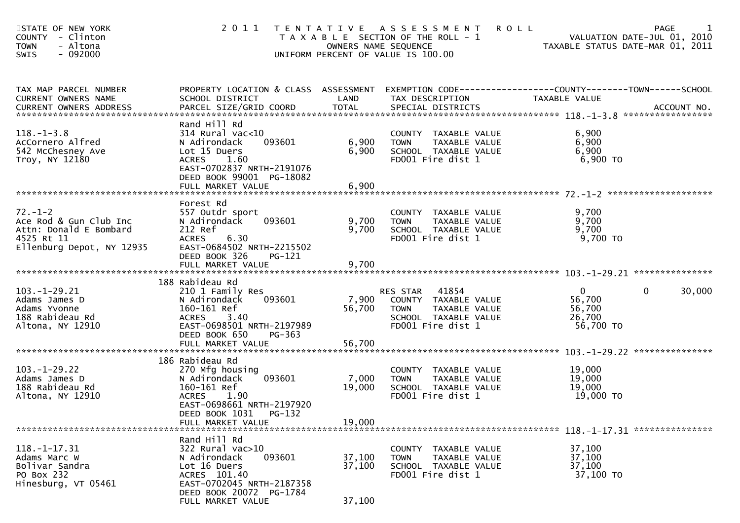| STATE OF NEW YORK<br>COUNTY - Clinton<br>- Altona<br><b>TOWN</b><br>$-092000$<br><b>SWIS</b>                 | 2011                                                                                                                                                                              | OWNERS NAME SEQUENCE      | TENTATIVE ASSESSMENT<br>T A X A B L E SECTION OF THE ROLL - 1<br>UNIFORM PERCENT OF VALUE IS 100.00                    | <b>ROLL</b><br>PAGE<br>VALUATION DATE-JUL 01, 2010<br>TAXABLE STATUS DATE-MAR 01, 2011                            | 1      |
|--------------------------------------------------------------------------------------------------------------|-----------------------------------------------------------------------------------------------------------------------------------------------------------------------------------|---------------------------|------------------------------------------------------------------------------------------------------------------------|-------------------------------------------------------------------------------------------------------------------|--------|
| TAX MAP PARCEL NUMBER<br>CURRENT OWNERS NAME                                                                 | SCHOOL DISTRICT                                                                                                                                                                   | LAND                      | TAX DESCRIPTION                                                                                                        | PROPERTY LOCATION & CLASS ASSESSMENT EXEMPTION CODE----------------COUNTY-------TOWN------SCHOOL<br>TAXABLE VALUE |        |
| $118. - 1 - 3.8$<br>AcCornero Alfred<br>542 McChesney Ave<br>Troy, NY 12180                                  | Rand Hill Rd<br>$314$ Rural vac<10<br>093601<br>N Adirondack<br>Lot 15 Duers<br>ACRES 1.60<br>EAST-0702837 NRTH-2191076<br>DEED BOOK 99001 PG-18082<br>FULL MARKET VALUE          | 6,900<br>6,900<br>6,900   | COUNTY TAXABLE VALUE<br>TAXABLE VALUE<br><b>TOWN</b><br>SCHOOL TAXABLE VALUE<br>FD001 Fire dist 1                      | 6,900<br>6,900<br>6,900<br>6,900 TO                                                                               |        |
|                                                                                                              |                                                                                                                                                                                   |                           |                                                                                                                        |                                                                                                                   |        |
| $72. - 1 - 2$<br>Ace Rod & Gun Club Inc<br>Attn: Donald E Bombard<br>4525 Rt 11<br>Ellenburg Depot, NY 12935 | Forest Rd<br>557 Outdr sport<br>093601<br>N Adirondack<br>212 Ref<br><b>ACRES</b><br>6.30<br>EAST-0684502 NRTH-2215502<br>DEED BOOK 326<br><b>PG-121</b>                          | 9,700<br>9,700            | COUNTY TAXABLE VALUE<br>TAXABLE VALUE<br><b>TOWN</b><br>SCHOOL TAXABLE VALUE<br>FD001 Fire dist 1                      | 9,700<br>9,700<br>9,700<br>9,700 TO                                                                               |        |
|                                                                                                              | FULL MARKET VALUE                                                                                                                                                                 | 9,700                     |                                                                                                                        |                                                                                                                   |        |
| $103. - 1 - 29.21$<br>Adams James D<br>Adams Yvonne<br>188 Rabideau Rd<br>Altona, NY 12910                   | 188 Rabideau Rd<br>210 1 Family Res<br>093601<br>N Adirondack<br>160-161 Ref<br><b>ACRES</b><br>3.40<br>EAST-0698501 NRTH-2197989<br>DEED BOOK 650<br>PG-363                      | 7,900<br>56,700           | 41854<br>RES STAR<br>COUNTY TAXABLE VALUE<br>TAXABLE VALUE<br><b>TOWN</b><br>SCHOOL TAXABLE VALUE<br>FD001 Fire dist 1 | $\overline{0}$<br>$\overline{0}$<br>56,700<br>56,700<br>26,700<br>56,700 TO                                       | 30,000 |
|                                                                                                              | FULL MARKET VALUE                                                                                                                                                                 | 56,700                    |                                                                                                                        |                                                                                                                   |        |
| $103. - 1 - 29.22$<br>Adams James D<br>188 Rabideau Rd<br>Altona, NY 12910                                   | 186 Rabideau Rd<br>270 Mfg housing<br>093601<br>N Adirondack<br>160-161 Ref<br>1.90<br><b>ACRES</b><br>EAST-0698661 NRTH-2197920<br>DEED BOOK 1031<br>PG-132<br>FULL MARKET VALUE | 7,000<br>19,000<br>19,000 | COUNTY TAXABLE VALUE<br>TAXABLE VALUE<br><b>TOWN</b><br>SCHOOL TAXABLE VALUE<br>FD001 Fire dist 1                      | 19,000<br>19,000<br>19,000<br>19,000 TO                                                                           |        |
|                                                                                                              |                                                                                                                                                                                   |                           |                                                                                                                        |                                                                                                                   |        |
| $118. - 1 - 17.31$<br>Adams Marc W<br>Bolivar Sandra<br>PO Box 232<br>Hinesburg, VT 05461                    | Rand Hill Rd<br>$322$ Rural vac $>10$<br>N Adirondack<br>093601<br>Lot 16 Duers<br>ACRES 101.40<br>EAST-0702045 NRTH-2187358<br>DEED BOOK 20072 PG-1784                           | 37,100<br>37,100          | COUNTY TAXABLE VALUE<br><b>TOWN</b><br>TAXABLE VALUE<br>SCHOOL TAXABLE VALUE<br>FD001 Fire dist 1                      | 37,100<br>37,100<br>37,100<br>37,100 TO                                                                           |        |
|                                                                                                              | FULL MARKET VALUE                                                                                                                                                                 | 37,100                    |                                                                                                                        |                                                                                                                   |        |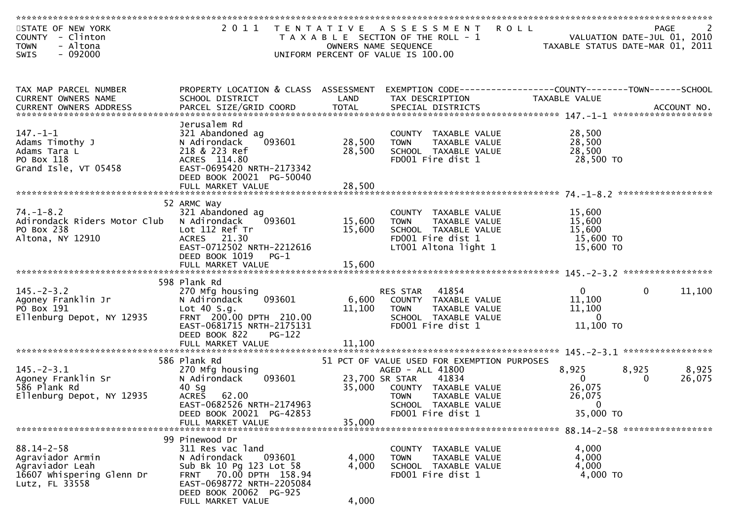| STATE OF NEW YORK<br>COUNTY - Clinton<br><b>TOWN</b><br>- Altona<br>$-092000$<br><b>SWIS</b>           |                                                                                                                                                                                               |                         | 2011 TENTATIVE ASSESSMENT<br>T A X A B L E SECTION OF THE ROLL - 1<br>OWNERS NAME SEQUENCE<br>UNIFORM PERCENT OF VALUE IS 100.00                                           | <b>ROLL</b><br>TAXABLE STATUS DATE-MAR 01, 2011             | PAGE<br>VALUATION DATE-JUL 01, 2010 | 2               |
|--------------------------------------------------------------------------------------------------------|-----------------------------------------------------------------------------------------------------------------------------------------------------------------------------------------------|-------------------------|----------------------------------------------------------------------------------------------------------------------------------------------------------------------------|-------------------------------------------------------------|-------------------------------------|-----------------|
|                                                                                                        |                                                                                                                                                                                               |                         |                                                                                                                                                                            |                                                             |                                     |                 |
| TAX MAP PARCEL NUMBER<br>CURRENT OWNERS NAME                                                           | PROPERTY LOCATION & CLASS ASSESSMENT<br>SCHOOL DISTRICT                                                                                                                                       | LAND                    | TAX DESCRIPTION                                                                                                                                                            | TAXABLE VALUE                                               |                                     |                 |
| $147. - 1 - 1$<br>Adams Timothy J<br>Adams Tara L<br>PO Box 118<br>Grand Isle, VT 05458                | Jerusalem Rd<br>321 Abandoned ag<br>N Adirondack<br>093601<br>218 & 223 Ref<br>ACRES 114.80<br>EAST-0695420 NRTH-2173342<br>DEED BOOK 20021 PG-50040                                          | 28,500<br>28,500        | COUNTY TAXABLE VALUE<br><b>TOWN</b><br>TAXABLE VALUE<br>SCHOOL TAXABLE VALUE<br>FD001 Fire dist 1                                                                          | 28,500<br>28,500<br>28,500<br>28,500 TO                     | ******************                  |                 |
| $74. - 1 - 8.2$<br>Adirondack Riders Motor Club<br>PO Box 238<br>Altona, NY 12910                      | 52 ARMC Way<br>321 Abandoned ag<br>N Adirondack<br>093601<br>Lot 112 Ref Tr<br>ACRES 21.30<br>EAST-0712502 NRTH-2212616<br>DEED BOOK 1019<br>$PG-1$                                           | 15,600<br>15,600        | COUNTY TAXABLE VALUE<br>TAXABLE VALUE<br><b>TOWN</b><br>SCHOOL TAXABLE VALUE<br>FD001 Fire dist 1<br>LT001 Altona light 1                                                  | 15,600<br>15,600<br>15,600<br>15,600 TO<br>15,600 TO        |                                     |                 |
| $145. - 2 - 3.2$<br>Agoney Franklin Jr<br>PO Box 191<br>Ellenburg Depot, NY 12935                      | 598 Plank Rd<br>270 Mfg housing<br>N Adirondack<br>093601<br>Lot $40 S.g.$<br>FRNT 200.00 DPTH 210.00<br>EAST-0681715 NRTH-2175131<br>DEED BOOK 822<br><b>PG-122</b>                          | 6,600<br>11,100         | 41854<br>RES STAR<br>COUNTY TAXABLE VALUE<br><b>TOWN</b><br>TAXABLE VALUE<br>SCHOOL TAXABLE VALUE<br>FD001 Fire dist 1                                                     | $\overline{0}$<br>11,100<br>11,100<br>$\Omega$<br>11,100 TO | $\mathbf{0}$                        | 11,100          |
|                                                                                                        | FULL MARKET VALUE                                                                                                                                                                             | 11,100                  |                                                                                                                                                                            |                                                             |                                     |                 |
| $145. - 2 - 3.1$<br>Agoney Franklin Sr<br>586 Plank Rd<br>Ellenburg Depot, NY 12935                    | 586 Plank Rd<br>270 Mfg housing<br>093601<br>N Adirondack<br>$40$ Sg<br>62.00<br><b>ACRES</b><br>EAST-0682526 NRTH-2174963                                                                    | 35,000                  | 51 PCT OF VALUE USED FOR EXEMPTION PURPOSES<br>AGED - ALL 41800<br>23,700 SR STAR<br>41834<br>COUNTY TAXABLE VALUE<br><b>TOWN</b><br>TAXABLE VALUE<br>SCHOOL TAXABLE VALUE | 8,925<br>$\mathbf{0}$<br>26,075<br>26,075<br>$\mathbf 0$    | 8,925<br>$\bf{0}$                   | 8,925<br>26,075 |
|                                                                                                        | DEED BOOK 20021 PG-42853<br>FULL MARKET VALUE                                                                                                                                                 | 35,000                  | FD001 Fire dist 1                                                                                                                                                          | 35,000 TO                                                   |                                     |                 |
| $88.14 - 2 - 58$<br>Agraviador Armin<br>Agraviador Leah<br>16607 Whispering Glenn Dr<br>Lutz, FL 33558 | 99 Pinewood Dr<br>311 Res vac land<br>N Adirondack<br>093601<br>Sub Bk 10 Pg 123 Lot 58<br>FRNT 70.00 DPTH 158.94<br>EAST-0698772 NRTH-2205084<br>DEED BOOK 20062 PG-925<br>FULL MARKET VALUE | 4,000<br>4,000<br>4,000 | COUNTY TAXABLE VALUE<br><b>TOWN</b><br>TAXABLE VALUE<br>SCHOOL TAXABLE VALUE<br>FD001 Fire dist 1                                                                          | 4,000<br>4,000<br>4,000<br>4,000 TO                         |                                     |                 |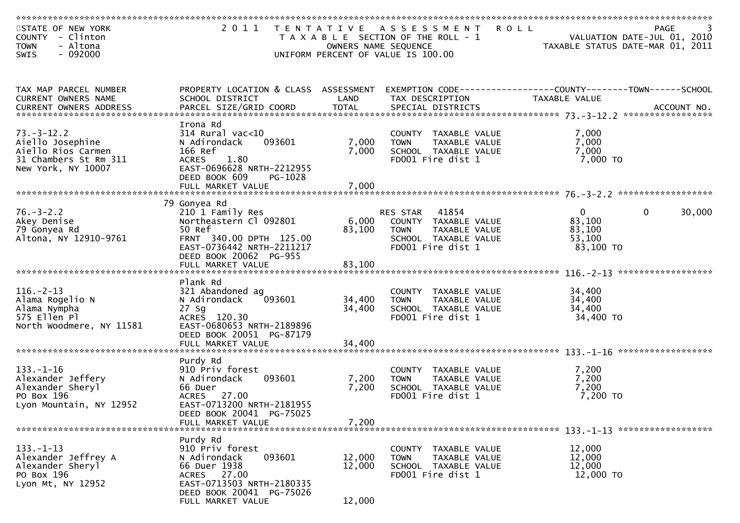| STATE OF NEW YORK<br>COUNTY - Clinton<br><b>TOWN</b><br>- Altona<br>$-092000$<br><b>SWIS</b>              | 2011                                                                                                                                                                        |                            | <b>ROLL</b><br>TENTATIVE ASSESSMENT<br>T A X A B L E SECTION OF THE ROLL - 1<br>OWNERS NAME SEQUENCE<br>UNIFORM PERCENT OF VALUE IS 100.00 | VALUATION DATE-JUL 01, 2010<br>TAXABLE STATUS DATE-MAR 01, 2011 | <b>PAGE</b>            |
|-----------------------------------------------------------------------------------------------------------|-----------------------------------------------------------------------------------------------------------------------------------------------------------------------------|----------------------------|--------------------------------------------------------------------------------------------------------------------------------------------|-----------------------------------------------------------------|------------------------|
| TAX MAP PARCEL NUMBER<br>CURRENT OWNERS NAME                                                              | PROPERTY LOCATION & CLASS ASSESSMENT<br>SCHOOL DISTRICT                                                                                                                     | LAND                       | EXEMPTION CODE-----------------COUNTY-------TOWN------SCHOOL<br>TAX DESCRIPTION                                                            | TAXABLE VALUE                                                   |                        |
|                                                                                                           |                                                                                                                                                                             |                            |                                                                                                                                            |                                                                 |                        |
| $73. - 3 - 12.2$<br>Aiello Josephine<br>Aiello Rios Carmen<br>31 Chambers St Rm 311<br>New York, NY 10007 | Irona Rd<br>314 Rural vac<10<br>093601<br>N Adirondack<br>166 Ref<br>1.80<br><b>ACRES</b><br>EAST-0696628 NRTH-2212955<br>DEED BOOK 609<br>PG-1028                          | 7,000<br>7,000             | COUNTY TAXABLE VALUE<br><b>TOWN</b><br>TAXABLE VALUE<br>SCHOOL TAXABLE VALUE<br>FD001 Fire dist 1                                          | 7,000<br>7,000<br>7,000<br>7,000 TO                             |                        |
|                                                                                                           |                                                                                                                                                                             |                            |                                                                                                                                            |                                                                 |                        |
| $76. - 3 - 2.2$<br>Akey Denise<br>79 Gonyea Rd<br>Altona, NY 12910-9761                                   | 79 Gonyea Rd<br>210 1 Family Res<br>Northeastern Cl 092801<br>50 Ref<br>FRNT 340.00 DPTH 125.00<br>EAST-0736442 NRTH-2211217<br>DEED BOOK 20062 PG-955<br>FULL MARKET VALUE | 6,000<br>83,100<br>83,100  | RES STAR<br>41854<br>COUNTY TAXABLE VALUE<br>TAXABLE VALUE<br><b>TOWN</b><br>SCHOOL TAXABLE VALUE<br>FD001 Fire dist 1                     | $\mathbf{0}$<br>83,100<br>83,100<br>53,100<br>83,100 TO         | $\mathbf{0}$<br>30,000 |
|                                                                                                           |                                                                                                                                                                             |                            |                                                                                                                                            |                                                                 |                        |
| $116. - 2 - 13$<br>Alama Rogelio N<br>Alama Nympha<br>575 Ellen Pl<br>North Woodmere, NY 11581            | Plank Rd<br>321 Abandoned ag<br>093601<br>N Adirondack<br>$27$ Sg<br>ACRES 120.30<br>EAST-0680653 NRTH-2189896<br>DEED BOOK 20051 PG-87179                                  | 34,400<br>34,400           | COUNTY TAXABLE VALUE<br><b>TAXABLE VALUE</b><br><b>TOWN</b><br>SCHOOL TAXABLE VALUE<br>FD001 Fire dist 1                                   | 34,400<br>34,400<br>34,400<br>34,400 TO                         |                        |
|                                                                                                           | FULL MARKET VALUE                                                                                                                                                           | 34,400                     |                                                                                                                                            |                                                                 | *****************      |
| $133. - 1 - 16$<br>Alexander Jeffery<br>Alexander Sheryl<br>PO Box 196<br>Lyon Mountain, NY 12952         | Purdy Rd<br>910 Priv forest<br>093601<br>N Adirondack<br>66 Duer<br>27.00<br><b>ACRES</b><br>EAST-0713200 NRTH-2181955                                                      | 7,200<br>7,200             | COUNTY<br>TAXABLE VALUE<br><b>TOWN</b><br>TAXABLE VALUE<br>SCHOOL TAXABLE VALUE<br>FD001 Fire dist 1                                       | 7,200<br>7,200<br>7,200<br>7,200 TO                             |                        |
|                                                                                                           | DEED BOOK 20041 PG-75025<br>FULL MARKET VALUE                                                                                                                               | 7,200                      |                                                                                                                                            |                                                                 |                        |
| $133. - 1 - 13$<br>Alexander Jeffrey A<br>Alexander Sheryl<br>PO Box 196<br>Lyon Mt, NY 12952             | Purdy Rd<br>910 Priv forest<br>093601<br>N Adirondack<br>66 Duer 1938<br>ACRES 27.00<br>EAST-0713503 NRTH-2180335<br>DEED BOOK 20041 PG-75026<br>FULL MARKET VALUE          | 12,000<br>12,000<br>12,000 | COUNTY TAXABLE VALUE<br><b>TOWN</b><br>TAXABLE VALUE<br>SCHOOL TAXABLE VALUE<br>FD001 Fire dist 1                                          | 12,000<br>12,000<br>12,000<br>12,000 TO                         |                        |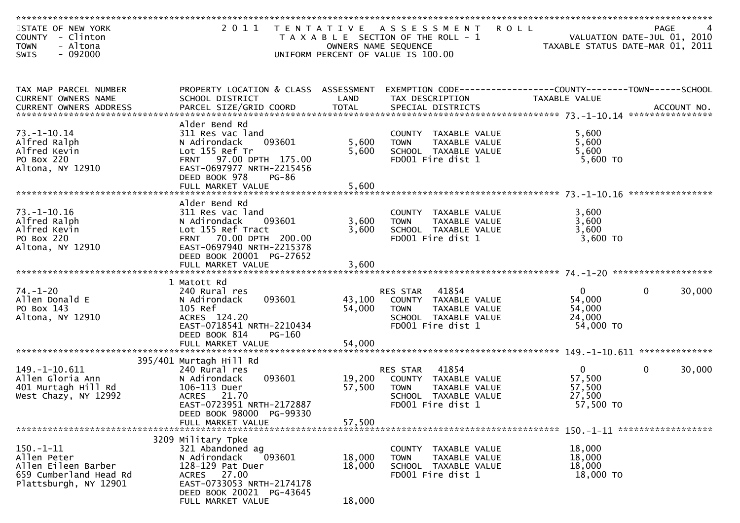| STATE OF NEW YORK<br><b>COUNTY</b><br>- Clinton<br>- Altona<br><b>TOWN</b>                               |                                                                                                                                                                                             |                            | 2011 TENTATIVE ASSESSMENT<br>T A X A B L E SECTION OF THE ROLL - 1<br>OWNERS NAME SEQUENCE                                    | <b>ROLL</b>                                               | PAGE<br>VALUATION DATE-JUL 01, 2010<br>TAXABLE STATUS DATE-MAR 01, 2011 |
|----------------------------------------------------------------------------------------------------------|---------------------------------------------------------------------------------------------------------------------------------------------------------------------------------------------|----------------------------|-------------------------------------------------------------------------------------------------------------------------------|-----------------------------------------------------------|-------------------------------------------------------------------------|
| $-092000$<br>SWIS                                                                                        |                                                                                                                                                                                             |                            | UNIFORM PERCENT OF VALUE IS 100.00                                                                                            |                                                           |                                                                         |
| TAX MAP PARCEL NUMBER<br>CURRENT OWNERS NAME                                                             | PROPERTY LOCATION & CLASS ASSESSMENT<br>SCHOOL DISTRICT                                                                                                                                     | LAND                       | EXEMPTION CODE-----------------COUNTY-------TOWN------SCHOOL<br>TAX DESCRIPTION                                               | TAXABLE VALUE                                             |                                                                         |
| $73. - 1 - 10.14$<br>Alfred Ralph<br>Alfred Kevin<br>PO Box 220<br>Altona, NY 12910                      | Alder Bend Rd<br>311 Res vac land<br>093601<br>N Adirondack<br>Lot 155 Ref Tr<br>FRNT 97.00 DPTH 175.00<br>EAST-0697977 NRTH-2215456<br>DEED BOOK 978<br><b>PG-86</b>                       | 5,600<br>5,600             | COUNTY TAXABLE VALUE<br><b>TOWN</b><br>TAXABLE VALUE<br>SCHOOL TAXABLE VALUE<br>FD001 Fire dist 1                             | 5,600<br>5,600<br>5,600<br>5,600 TO                       |                                                                         |
|                                                                                                          | FULL MARKET VALUE                                                                                                                                                                           | 5,600                      |                                                                                                                               |                                                           |                                                                         |
| 73. –1–10.16<br>Alfred Ralph<br>Alfred Kevin<br>PO Box 220<br>Altona, NY 12910                           | Alder Bend Rd<br>311 Res vac land<br>093601<br>N Adirondack<br>Lot 155 Ref Tract<br>FRNT 70.00 DPTH 200.00<br>EAST-0697940 NRTH-2215378<br>DEED BOOK 20001 PG-27652                         | 3,600<br>3,600             | COUNTY TAXABLE VALUE<br><b>TOWN</b><br>TAXABLE VALUE<br>SCHOOL TAXABLE VALUE<br>FD001 Fire dist 1                             | 3,600<br>3,600<br>3,600<br>3,600 TO                       |                                                                         |
|                                                                                                          | FULL MARKET VALUE                                                                                                                                                                           | 3,600                      |                                                                                                                               |                                                           |                                                                         |
| $74. - 1 - 20$<br>Allen Donald E<br>PO Box 143<br>Altona, NY 12910                                       | 1 Matott Rd<br>240 Rural res<br>093601<br>N Adirondack<br>105 Ref<br>ACRES 124.20<br>EAST-0718541 NRTH-2210434<br>DEED BOOK 814<br>PG-160                                                   | 43,100<br>54,000           | 41854<br>RES STAR<br>COUNTY TAXABLE VALUE<br><b>TOWN</b><br>TAXABLE VALUE<br>SCHOOL TAXABLE VALUE<br>FD001 Fire dist 1        | $\overline{0}$<br>54,000<br>54,000<br>24,000<br>54,000 TO | 30,000<br>$\overline{0}$                                                |
|                                                                                                          | FULL MARKET VALUE                                                                                                                                                                           | 54,000                     |                                                                                                                               |                                                           |                                                                         |
| 149. -1-10. 611<br>Allen Gloria Ann<br>401 Murtagh Hill Rd<br>West Chazy, NY 12992                       | 395/401 Murtagh Hill Rd<br>240 Rural res<br>N Adirondack<br>093601<br>106-113 Duer<br>ACRES 21.70<br>EAST-0723951 NRTH-2172887<br>DEED BOOK 98000 PG-99330                                  | 19,200<br>57,500           | 41854<br><b>RES STAR</b><br>COUNTY TAXABLE VALUE<br><b>TOWN</b><br>TAXABLE VALUE<br>SCHOOL TAXABLE VALUE<br>FD001 Fire dist 1 | $\mathbf 0$<br>57,500<br>57,500<br>27,500<br>57,500 TO    | $\mathbf{0}$<br>30,000                                                  |
|                                                                                                          | FULL MARKET VALUE                                                                                                                                                                           | 57,500                     |                                                                                                                               |                                                           |                                                                         |
| $150. - 1 - 11$<br>Allen Peter<br>Allen Eileen Barber<br>659 Cumberland Head Rd<br>Plattsburgh, NY 12901 | 3209 Military Tpke<br>321 Abandoned ag<br>N Adirondack<br>093601<br>128-129 Pat Duer<br>27.00<br><b>ACRES</b><br>EAST-0733053 NRTH-2174178<br>DEED BOOK 20021 PG-43645<br>FULL MARKET VALUE | 18,000<br>18,000<br>18,000 | COUNTY TAXABLE VALUE<br><b>TOWN</b><br>TAXABLE VALUE<br>SCHOOL TAXABLE VALUE<br>FD001 Fire dist 1                             | 18,000<br>18,000<br>18,000<br>18,000 TO                   |                                                                         |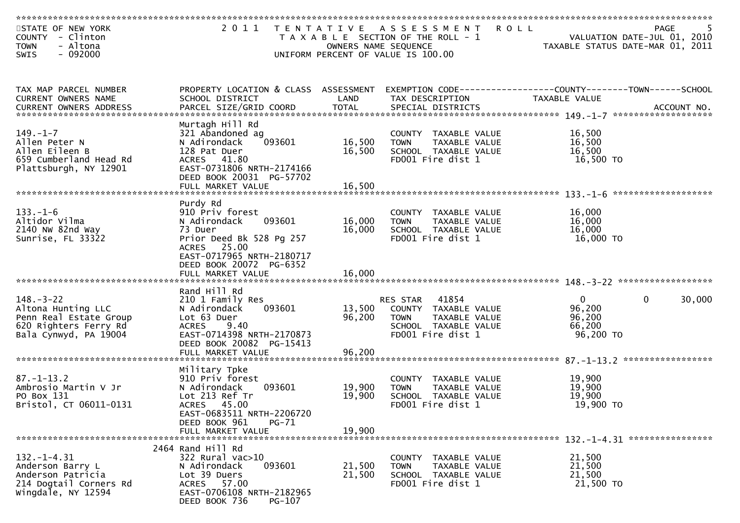| STATE OF NEW YORK<br>COUNTY - Clinton<br>- Altona<br><b>TOWN</b>                                                  |                                                                                                                                                                                          | OWNERS NAME SEQUENCE       | 2011 TENTATIVE ASSESSMENT ROLL<br>T A X A B L E SECTION OF THE ROLL - 1                                                | TAXABLE STATUS DATE-MAR 01, 2011                          | PAGE<br>VALUATION DATE-JUL 01, 2010 |
|-------------------------------------------------------------------------------------------------------------------|------------------------------------------------------------------------------------------------------------------------------------------------------------------------------------------|----------------------------|------------------------------------------------------------------------------------------------------------------------|-----------------------------------------------------------|-------------------------------------|
| $-092000$<br><b>SWIS</b>                                                                                          |                                                                                                                                                                                          |                            | UNIFORM PERCENT OF VALUE IS 100.00                                                                                     |                                                           |                                     |
| TAX MAP PARCEL NUMBER<br>CURRENT OWNERS NAME                                                                      | PROPERTY LOCATION & CLASS ASSESSMENT<br>SCHOOL DISTRICT                                                                                                                                  | LAND                       | EXEMPTION CODE-----------------COUNTY-------TOWN------SCHOOL<br>TAX DESCRIPTION                                        | TAXABLE VALUE                                             |                                     |
| $149. - 1 - 7$<br>Allen Peter N<br>Allen Eileen B<br>659 Cumberland Head Rd<br>Plattsburgh, NY 12901              | Murtagh Hill Rd<br>321 Abandoned ag<br>093601<br>N Adirondack<br>128 Pat Duer<br>ACRES 41.80<br>EAST-0731806 NRTH-2174166<br>DEED BOOK 20031 PG-57702<br>FULL MARKET VALUE               | 16,500<br>16,500<br>16,500 | COUNTY TAXABLE VALUE<br><b>TOWN</b><br>TAXABLE VALUE<br>SCHOOL TAXABLE VALUE<br>FD001 Fire dist 1                      | 16,500<br>16,500<br>16,500<br>16,500 TO                   |                                     |
| $133. - 1 - 6$<br>Altidor Vilma<br>2140 NW 82nd Way<br>Sunrise, FL 33322                                          | Purdy Rd<br>910 Priv forest<br>093601<br>N Adirondack<br>73 Duer<br>Prior Deed Bk 528 Pg 257<br>ACRES 25.00<br>EAST-0717965 NRTH-2180717<br>DEED BOOK 20072 PG-6352<br>FULL MARKET VALUE | 16,000<br>16,000<br>16,000 | COUNTY TAXABLE VALUE<br><b>TOWN</b><br>TAXABLE VALUE<br>SCHOOL TAXABLE VALUE<br>FD001 Fire dist 1                      | 16,000<br>16,000<br>16,000<br>16,000 TO                   |                                     |
| $148. - 3 - 22$<br>Altona Hunting LLC<br>Penn Real Estate Group<br>620 Righters Ferry Rd<br>Bala Cynwyd, PA 19004 | Rand Hill Rd<br>210 1 Family Res<br>093601<br>N Adirondack<br>Lot 63 Duer<br><b>ACRES</b><br>9.40<br>EAST-0714398 NRTH-2170873<br>DEED BOOK 20082 PG-15413<br>FULL MARKET VALUE          | 13,500<br>96,200<br>96,200 | 41854<br>RES STAR<br>COUNTY TAXABLE VALUE<br><b>TOWN</b><br>TAXABLE VALUE<br>SCHOOL TAXABLE VALUE<br>FD001 Fire dist 1 | $\overline{0}$<br>96,200<br>96,200<br>66,200<br>96,200 TO | 30,000<br>$\mathbf{0}$              |
| $87. - 1 - 13.2$<br>Ambrosio Martin V Jr<br>PO Box 131<br>Bristol, CT 06011-0131                                  | Military Tpke<br>910 Priv forest<br>N Adirondack<br>093601<br>Lot 213 Ref Tr<br>ACRES 45.00<br>EAST-0683511 NRTH-2206720<br>DEED BOOK 961<br><b>PG-71</b><br>FULL MARKET VALUE           | 19,900<br>19,900<br>19,900 | <b>COUNTY</b><br>TAXABLE VALUE<br>TAXABLE VALUE<br><b>TOWN</b><br>SCHOOL TAXABLE VALUE<br>FD001 Fire dist 1            | 19,900<br>19,900<br>19,900<br>19,900 TO                   |                                     |
| $132. - 1 - 4.31$<br>Anderson Barry L<br>Anderson Patricia<br>214 Dogtail Corners Rd<br>Wingdale, NY 12594        | 2464 Rand Hill Rd<br>322 Rural vac>10<br>093601<br>N Adirondack<br>Lot 39 Duers<br>ACRES 57.00<br>EAST-0706108 NRTH-2182965<br>DEED BOOK 736<br>PG-107                                   | 21,500<br>21,500           | COUNTY TAXABLE VALUE<br><b>TOWN</b><br>TAXABLE VALUE<br>SCHOOL TAXABLE VALUE<br>FD001 Fire dist 1                      | 21,500<br>21,500<br>21,500<br>21,500 TO                   |                                     |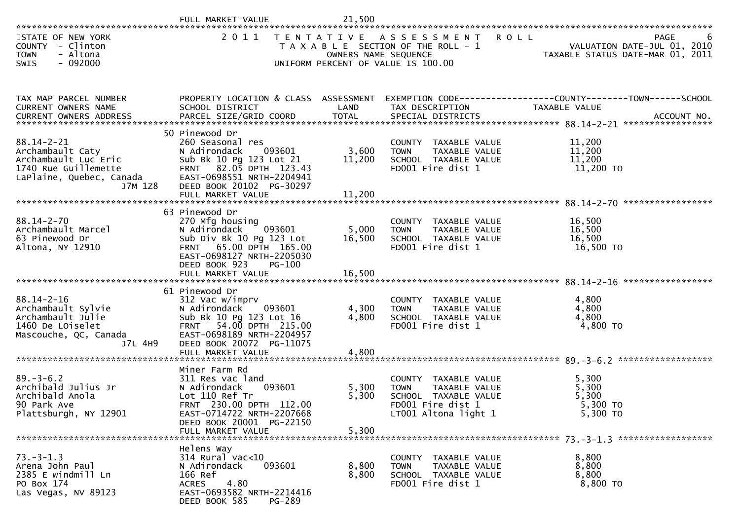|                                                                                                                             | FULL MARKET VALUE                                                                                                                                                                               | 21,500                    |                                                                                                                           |                                                                                                                                                                                                       |   |
|-----------------------------------------------------------------------------------------------------------------------------|-------------------------------------------------------------------------------------------------------------------------------------------------------------------------------------------------|---------------------------|---------------------------------------------------------------------------------------------------------------------------|-------------------------------------------------------------------------------------------------------------------------------------------------------------------------------------------------------|---|
| STATE OF NEW YORK<br>COUNTY - Clinton<br><b>TOWN</b><br>- Altona<br>$-092000$<br><b>SWIS</b>                                | 2011                                                                                                                                                                                            | OWNERS NAME SEQUENCE      | TENTATIVE ASSESSMENT<br><b>ROLL</b><br>T A X A B L E SECTION OF THE ROLL - 1<br>UNIFORM PERCENT OF VALUE IS 100.00        | PAGE<br>VALUATION DATE-JUL 01, 2010<br>TAXABLE STATUS DATE-MAR 01, 2011                                                                                                                               | 6 |
| TAX MAP PARCEL NUMBER<br>CURRENT OWNERS NAME                                                                                | PROPERTY LOCATION & CLASS ASSESSMENT<br>SCHOOL DISTRICT                                                                                                                                         | LAND                      | TAX DESCRIPTION                                                                                                           | EXEMPTION CODE------------------COUNTY--------TOWN------SCHOOL<br>TAXABLE VALUE<br>.CURRENT OWNERS ADDRESS PARCEL SIZE/GRID COORD TOTAL SPECIAL DISTRICTS ACCOUNT NO ACCOUNT NO ACCOUNT NO ACCOUNT NO |   |
| $88.14 - 2 - 21$<br>Archambault Caty<br>Archambault Luc Eric<br>1740 Rue Guillemette<br>LaPlaine, Quebec, Canada<br>J7M 1Z8 | 50 Pinewood Dr<br>260 Seasonal res<br>N Adirondack<br>093601<br>Sub Bk 10 Pg 123 Lot 21<br>FRNT 82.05 DPTH 123.43<br>EAST-0698551 NRTH-2204941<br>DEED BOOK 20102 PG-30297<br>FULL MARKET VALUE | 3,600<br>11,200<br>11,200 | COUNTY TAXABLE VALUE<br><b>TOWN</b><br>TAXABLE VALUE<br>SCHOOL TAXABLE VALUE<br>FD001 Fire dist 1                         | 11,200<br>11,200<br>11,200<br>11,200 TO                                                                                                                                                               |   |
| $88.14 - 2 - 70$<br>Archambault Marcel<br>63 Pinewood Dr<br>Altona, NY 12910                                                | 63 Pinewood Dr<br>270 Mfg housing<br>093601<br>N Adirondack<br>Sub Div Bk 10 Pg 123 Lot<br>FRNT 65.00 DPTH 165.00<br>EAST-0698127 NRTH-2205030<br>DEED BOOK 923<br>PG-100<br>FULL MARKET VALUE  | 5,000<br>16,500<br>16,500 | COUNTY TAXABLE VALUE<br>TAXABLE VALUE<br><b>TOWN</b><br>SCHOOL TAXABLE VALUE<br>FD001 Fire dist 1                         | 16,500<br>16,500<br>16,500<br>16,500 TO                                                                                                                                                               |   |
| $88.14 - 2 - 16$<br>Archambault Sylvie<br>Archambault Julie<br>1460 De LOiselet<br>Mascouche, QC, Canada<br>J7L 4H9         | 61 Pinewood Dr<br>312 Vac w/imprv<br>N Adirondack<br>093601<br>Sub Bk 10 Pg 123 Lot 16<br>FRNT 54.00 DPTH 215.00<br>EAST-0698189 NRTH-2204957<br>DEED BOOK 20072 PG-11075<br>FULL MARKET VALUE  | 4,300<br>4,800<br>4,800   | COUNTY TAXABLE VALUE<br><b>TOWN</b><br>TAXABLE VALUE<br>SCHOOL TAXABLE VALUE<br>FD001 Fire dist 1                         | *****************<br>4,800<br>4,800<br>4,800<br>4,800 TO                                                                                                                                              |   |
| $89. - 3 - 6.2$<br>Archibald Julius Jr<br>Archibald Anola<br>90 Park Ave<br>Plattsburgh, NY 12901                           | Miner Farm Rd<br>311 Res vac land<br>093601<br>N Adirondack<br>Lot 110 Ref Tr<br>FRNT 230.00 DPTH 112.00<br>EAST-0714722 NRTH-2207668<br>DEED BOOK 20001 PG-22150<br>FULL MARKET VALUE          | 5,300<br>5,300<br>5,300   | COUNTY TAXABLE VALUE<br>TAXABLE VALUE<br><b>TOWN</b><br>SCHOOL TAXABLE VALUE<br>FD001 Fire dist 1<br>LT001 Altona light 1 | 5,300<br>5,300<br>5,300<br>5,300 TO<br>5,300 TO                                                                                                                                                       |   |
| $73. - 3 - 1.3$<br>Arena John Paul<br>2385 E windmill Ln<br>PO Box 174<br>Las Vegas, NV 89123                               | Helens Way<br>$314$ Rural vac<10<br>N Adirondack<br>093601<br>166 Ref<br><b>ACRES</b><br>4.80<br>EAST-0693582 NRTH-2214416<br>DEED BOOK 585<br>PG-289                                           | 8,800<br>8,800            | COUNTY TAXABLE VALUE<br>TAXABLE VALUE<br><b>TOWN</b><br>SCHOOL TAXABLE VALUE<br>FD001 Fire dist 1                         | 8,800<br>8,800<br>8,800<br>8,800 TO                                                                                                                                                                   |   |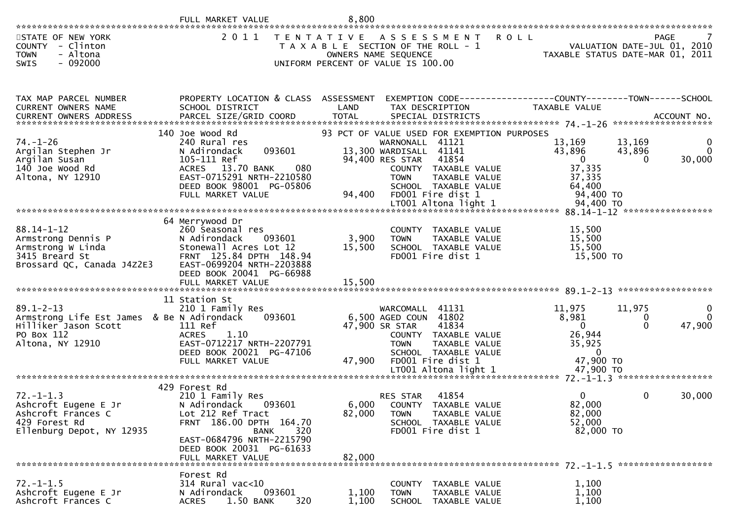|                                                                                                                         | FULL MARKET VALUE                                                                                                                                                                                        | 8,800                     |                                                                                                                                                                                                                           |                                                                                                            |                                               |
|-------------------------------------------------------------------------------------------------------------------------|----------------------------------------------------------------------------------------------------------------------------------------------------------------------------------------------------------|---------------------------|---------------------------------------------------------------------------------------------------------------------------------------------------------------------------------------------------------------------------|------------------------------------------------------------------------------------------------------------|-----------------------------------------------|
| STATE OF NEW YORK<br>- Clinton<br><b>COUNTY</b><br>- Altona<br><b>TOWN</b><br>SWIS<br>$-092000$                         | 2 0 1 1                                                                                                                                                                                                  |                           | TENTATIVE ASSESSMENT<br>T A X A B L E SECTION OF THE ROLL - 1<br>OWNERS NAME SEQUENCE<br>UNIFORM PERCENT OF VALUE IS 100.00                                                                                               | <b>ROLL</b><br>TAXABLE STATUS DATE-MAR 01, 2011                                                            | <b>PAGE</b><br>VALUATION DATE-JUL 01, 2010    |
| TAX MAP PARCEL NUMBER<br>CURRENT OWNERS NAME<br><b>CURRENT OWNERS ADDRESS</b>                                           | PROPERTY LOCATION & CLASS ASSESSMENT<br>SCHOOL DISTRICT                                                                                                                                                  | LAND                      | TAX DESCRIPTION                                                                                                                                                                                                           | EXEMPTION CODE-----------------COUNTY-------TOWN------SCHOOL<br><b>TAXABLE VALUE</b>                       |                                               |
| $74. - 1 - 26$<br>Argilan Stephen Jr<br>Argilan Susan<br>140 Joe Wood Rd<br>Altona, NY 12910                            | 140 Joe Wood Rd<br>240 Rural res<br>093601<br>N Adirondack<br>105-111 Ref<br>080<br><b>ACRES</b><br>13.70 BANK<br>EAST-0715291 NRTH-2210580<br>DEED BOOK 98001 PG-05806<br>FULL MARKET VALUE             | 94,400                    | 93 PCT OF VALUE USED FOR EXEMPTION PURPOSES<br>WARNONALL 41121<br>13,300 WARDISALL 41141<br>94,400 RES STAR<br>41854<br>COUNTY TAXABLE VALUE<br>TAXABLE VALUE<br><b>TOWN</b><br>SCHOOL TAXABLE VALUE<br>FD001 Fire dist 1 | 13,169<br>13,169<br>43,896<br>43,896<br>$\overline{\mathbf{0}}$<br>37,335<br>37,335<br>64,400<br>94,400 TO | $\Omega$<br>30,000<br>$\Omega$                |
| $88.14 - 1 - 12$<br>Armstrong Dennis P<br>Armstrong W Linda<br>3415 Breard St<br>Brossard QC, Canada J4Z2E3             | 64 Merrywood Dr<br>260 Seasonal res<br>093601<br>N Adirondack<br>Stonewall Acres Lot 12<br>FRNT 125.84 DPTH 148.94<br>EAST-0699204 NRTH-2203888<br>DEED BOOK 20041 PG-66988                              | 3,900<br>15,500           | COUNTY TAXABLE VALUE<br>TAXABLE VALUE<br><b>TOWN</b><br>SCHOOL TAXABLE VALUE<br>FD001 Fire dist 1                                                                                                                         | 15,500<br>15,500<br>15,500<br>15,500 TO                                                                    |                                               |
| $89.1 - 2 - 13$<br>Armstrong Life Est James & Be N Adirondack<br>Hilliker Jason Scott<br>PO Box 112<br>Altona, NY 12910 | 11 Station St<br>210 1 Family Res<br>093601<br>111 Ref<br><b>ACRES</b><br>1.10<br>EAST-0712217 NRTH-2207791<br>DEED BOOK 20021 PG-47106<br>FULL MARKET VALUE                                             | 47,900                    | WARCOMALL<br>41131<br>6,500 AGED COUN<br>41802<br>47,900 SR STAR<br>41834<br>COUNTY TAXABLE VALUE<br>TAXABLE VALUE<br><b>TOWN</b><br>SCHOOL TAXABLE VALUE<br>FD001 Fire dist 1                                            | 11,975<br>11,975<br>8,981<br>$\Omega$<br>26,944<br>35,925<br>$\mathbf{0}$<br>47,900 TO                     | ******************<br>0<br>47,900<br>$\Omega$ |
| $72. - 1 - 1.3$<br>Ashcroft Eugene E Jr<br>Ashcroft Frances C<br>429 Forest Rd<br>Ellenburg Depot, NY 12935             | 429 Forest Rd<br>210 1 Family Res<br>N Adirondack<br>093601<br>Lot 212 Ref Tract<br>FRNT 186.00 DPTH 164.70<br>320<br>BANK<br>EAST-0684796 NRTH-2215790<br>DEED BOOK 20031 PG-61633<br>FULL MARKET VALUE | 6,000<br>82,000<br>82,000 | 41854<br>RES STAR<br>COUNTY TAXABLE VALUE<br>TAXABLE VALUE<br><b>TOWN</b><br>SCHOOL TAXABLE VALUE<br>FD001 Fire dist 1                                                                                                    | 0<br>82,000<br>82,000<br>52,000<br>82,000 TO                                                               | 30,000<br>0                                   |
| $72. - 1 - 1.5$<br>Ashcroft Eugene E Jr<br>Ashcroft Frances C                                                           | Forest Rd<br>$314$ Rural vac<10<br>093601<br>N Adirondack<br>320<br>1.50 BANK<br><b>ACRES</b>                                                                                                            | 1,100<br>1,100            | COUNTY TAXABLE VALUE<br>TAXABLE VALUE<br><b>TOWN</b><br>SCHOOL<br>TAXABLE VALUE                                                                                                                                           | 1,100<br>1,100<br>1,100                                                                                    |                                               |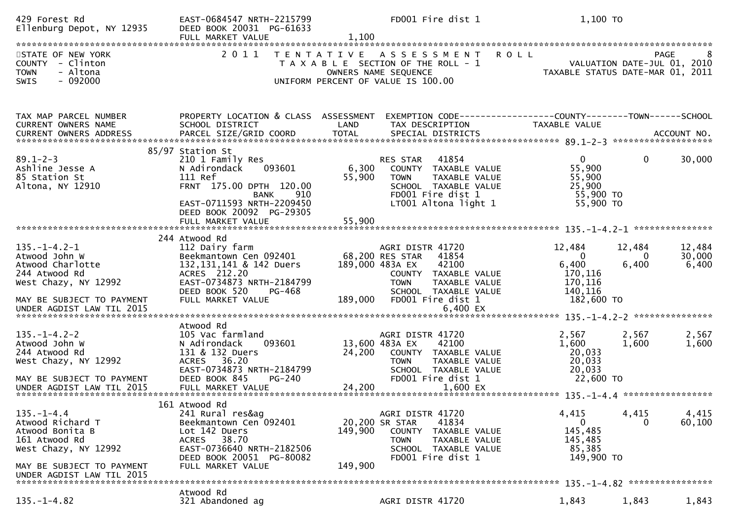| 429 Forest Rd<br>Ellenburg Depot, NY 12935                                                                                                                   | EAST-0684547 NRTH-2215799<br>DEED BOOK 20031 PG-61633<br>FULL MARKET VALUE                                                                                                   | 1,100              | FD001 Fire dist 1                                                                                                                                                                         | 1,100 TO                                                                   |                             |                                     |
|--------------------------------------------------------------------------------------------------------------------------------------------------------------|------------------------------------------------------------------------------------------------------------------------------------------------------------------------------|--------------------|-------------------------------------------------------------------------------------------------------------------------------------------------------------------------------------------|----------------------------------------------------------------------------|-----------------------------|-------------------------------------|
|                                                                                                                                                              |                                                                                                                                                                              |                    |                                                                                                                                                                                           |                                                                            |                             |                                     |
| STATE OF NEW YORK<br>COUNTY - Clinton<br><b>TOWN</b><br>- Altona<br>$-092000$<br><b>SWIS</b>                                                                 | 2011                                                                                                                                                                         | T E N T A T I V E  | ASSESSMENT<br><b>ROLL</b><br>T A X A B L E SECTION OF THE ROLL - 1<br>OWNERS NAME SEQUENCE<br>UNIFORM PERCENT OF VALUE IS 100.00                                                          | TAXABLE STATUS DATE-MAR 01, 2011                                           |                             | PAGE<br>VALUATION DATE-JUL 01, 2010 |
| TAX MAP PARCEL NUMBER<br>CURRENT OWNERS NAME                                                                                                                 | PROPERTY LOCATION & CLASS ASSESSMENT<br>SCHOOL DISTRICT                                                                                                                      | LAND               | EXEMPTION CODE------------------COUNTY--------TOWN------SCHOOL<br>TAX DESCRIPTION                                                                                                         | TAXABLE VALUE                                                              |                             |                                     |
| $89.1 - 2 - 3$<br>Ashline Jesse A<br>85 Station St<br>Altona, NY 12910                                                                                       | 85/97 Station St<br>210 1 Family Res<br>N Adirondack<br>093601<br>111 Ref<br>FRNT 175.00 DPTH 120.00<br>910<br>BANK<br>EAST-0711593 NRTH-2209450<br>DEED BOOK 20092 PG-29305 | 6,300<br>55,900    | 41854<br>RES STAR<br>COUNTY TAXABLE VALUE<br><b>TOWN</b><br>TAXABLE VALUE<br>SCHOOL TAXABLE VALUE<br>FD001 Fire dist 1<br>LT001 Altona light 1                                            | $\mathbf{0}$<br>55,900<br>55,900<br>25,900<br>55,900 TO<br>55,900 TO       | 0                           | 30,000                              |
|                                                                                                                                                              | 244 Atwood Rd                                                                                                                                                                |                    |                                                                                                                                                                                           |                                                                            |                             |                                     |
| $135. - 1 - 4.2 - 1$<br>Atwood John W<br>Atwood Charlotte<br>244 Atwood Rd<br>West Chazy, NY 12992<br>MAY BE SUBJECT TO PAYMENT<br>UNDER AGDIST LAW TIL 2015 | 112 Dairy farm<br>Beekmantown Cen 092401<br>132, 131, 141 & 142 Duers<br>ACRES 212.20<br>EAST-0734873 NRTH-2184799<br>DEED BOOK 520<br>PG-468<br>FULL MARKET VALUE           | 189,000            | AGRI DISTR 41720<br>68,200 RES STAR<br>41854<br>189,000 483A EX<br>42100<br>COUNTY TAXABLE VALUE<br><b>TOWN</b><br>TAXABLE VALUE<br>SCHOOL TAXABLE VALUE<br>FD001 Fire dist 1<br>6,400 EX | 12,484<br>$\Omega$<br>6,400<br>170,116<br>170,116<br>140,116<br>182,600 TO | 12,484<br>$\Omega$<br>6,400 | 12,484<br>30,000<br>6,400           |
|                                                                                                                                                              |                                                                                                                                                                              |                    |                                                                                                                                                                                           |                                                                            |                             |                                     |
| $135. - 1 - 4.2 - 2$<br>Atwood John W<br>244 Atwood Rd<br>West Chazy, NY 12992<br>MAY BE SUBJECT TO PAYMENT                                                  | Atwood Rd<br>105 Vac farmland<br>N Adirondack<br>093601<br>131 & 132 Duers<br>ACRES 36.20<br>EAST-0734873 NRTH-2184799<br>DEED BOOK 845<br><b>PG-240</b>                     | 24,200             | AGRI DISTR 41720<br>13,600 483A EX<br>42100<br>COUNTY TAXABLE VALUE<br>TAXABLE VALUE<br><b>TOWN</b><br>SCHOOL TAXABLE VALUE<br>FD001 Fire dist 1                                          | 2,567<br>1,600<br>20,033<br>20,033<br>20,033<br>22,600 TO                  | 2,567<br>1,600              | 2,567<br>1,600                      |
|                                                                                                                                                              | 161 Atwood Rd                                                                                                                                                                |                    |                                                                                                                                                                                           |                                                                            |                             |                                     |
| $135. - 1 - 4.4$<br>Atwood Richard T<br>Atwood Bonita B<br>161 Atwood Rd<br>West Chazy, NY 12992<br>MAY BE SUBJECT TO PAYMENT                                | 241 Rural res&ag<br>Beekmantown Cen 092401<br>Lot 142 Duers<br>38.70<br><b>ACRES</b><br>EAST-0736640 NRTH-2182506<br>DEED BOOK 20051 PG-80082<br>FULL MARKET VALUE           | 149,900<br>149,900 | AGRI DISTR 41720<br>41834<br>20,200 SR STAR<br>COUNTY<br>TAXABLE VALUE<br>TAXABLE VALUE<br>TOWN<br>SCHOOL TAXABLE VALUE<br>FD001 Fire dist 1                                              | 4,415<br>0<br>145,485<br>145,485<br>85,385<br>149,900 TO                   | 4,415<br>$\Omega$           | 4,415<br>60,100                     |
| UNDER AGDIST LAW TIL 2015                                                                                                                                    |                                                                                                                                                                              |                    |                                                                                                                                                                                           |                                                                            |                             |                                     |
| $135. - 1 - 4.82$                                                                                                                                            | Atwood Rd<br>321 Abandoned ag                                                                                                                                                |                    | AGRI DISTR 41720                                                                                                                                                                          | 1,843                                                                      | 1,843                       | 1,843                               |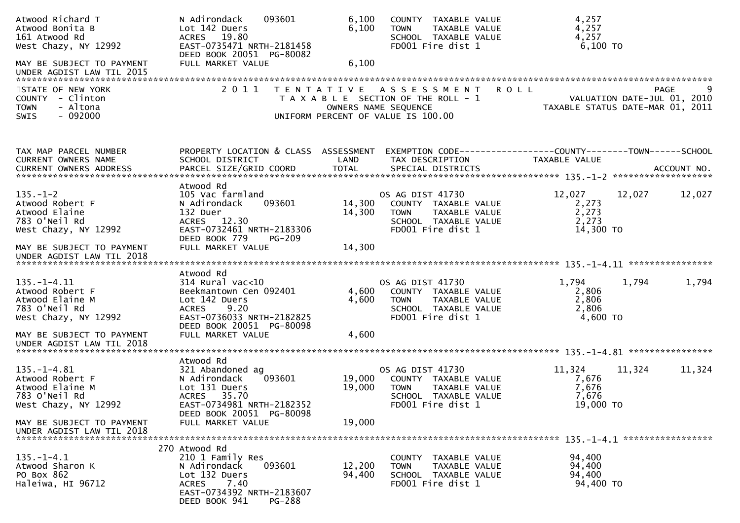| Atwood Richard T<br>Atwood Bonita B<br>161 Atwood Rd<br>West Chazy, NY 12992<br>MAY BE SUBJECT TO PAYMENT | N Adirondack<br>093601<br>Lot 142 Duers<br>ACRES 19.80<br>EAST-0735471 NRTH-2181458<br>DEED BOOK 20051 PG-80082<br>FULL MARKET VALUE                                | 6,100<br>6,100<br>6,100 | COUNTY TAXABLE VALUE<br>TAXABLE VALUE<br><b>TOWN</b><br>SCHOOL TAXABLE VALUE<br>FD001 Fire dist 1                                | 4,257<br>4,257<br>4,257<br>$6,100$ TO                                          |             |
|-----------------------------------------------------------------------------------------------------------|---------------------------------------------------------------------------------------------------------------------------------------------------------------------|-------------------------|----------------------------------------------------------------------------------------------------------------------------------|--------------------------------------------------------------------------------|-------------|
| UNDER AGDIST LAW TIL 2015                                                                                 |                                                                                                                                                                     |                         |                                                                                                                                  |                                                                                |             |
| STATE OF NEW YORK<br>COUNTY - Clinton<br><b>TOWN</b><br>- Altona<br>SWIS<br>$-092000$                     |                                                                                                                                                                     |                         | 2011 TENTATIVE ASSESSMENT<br>T A X A B L E SECTION OF THE ROLL - 1<br>OWNERS NAME SEQUENCE<br>UNIFORM PERCENT OF VALUE IS 100.00 | <b>ROLL</b><br>VALUATION DATE-JUL 01, 2010<br>TAXABLE STATUS DATE-MAR 01, 2011 | <b>PAGE</b> |
| TAX MAP PARCEL NUMBER<br>CURRENT OWNERS NAME                                                              | PROPERTY LOCATION & CLASS ASSESSMENT<br>SCHOOL DISTRICT                                                                                                             | LAND                    | TAX DESCRIPTION                                                                                                                  | EXEMPTION CODE-----------------COUNTY-------TOWN------SCHOOL<br>TAXABLE VALUE  |             |
| $135. - 1 - 2$<br>Atwood Robert F<br>Atwood Elaine<br>783 O'Neil Rd<br>West Chazy, NY 12992               | Atwood Rd<br>105 Vac farmland<br>093601<br>N Adirondack<br>132 Duer<br>ACRES 12.30<br>EAST-0732461 NRTH-2183306<br>DEED BOOK 779<br>$PG-209$                        | 14,300<br>14,300        | OS AG DIST 41730<br>COUNTY TAXABLE VALUE<br>TAXABLE VALUE<br><b>TOWN</b><br>SCHOOL TAXABLE VALUE<br>FD001 Fire dist 1            | 12,027<br>12,027<br>2,273<br>2,273<br>2,273<br>14,300 TO                       | 12,027      |
| MAY BE SUBJECT TO PAYMENT<br>UNDER AGDIST LAW TIL 2018                                                    | FULL MARKET VALUE                                                                                                                                                   | 14,300                  |                                                                                                                                  |                                                                                |             |
| $135. - 1 - 4.11$<br>Atwood Robert F<br>Atwood Elaine M<br>783 O'Neil Rd<br>West Chazy, NY 12992          | Atwood Rd<br>$314$ Rural vac<10<br>Beekmantown Cen 092401<br>Lot 142 Duers<br>ACRES 9.20<br>EAST-0736033 NRTH-2182825<br>DEED BOOK 20051 PG-80098                   | 4,600<br>4,600          | OS AG DIST 41730<br>COUNTY TAXABLE VALUE<br><b>TOWN</b><br>TAXABLE VALUE<br>SCHOOL TAXABLE VALUE<br>FD001 Fire dist 1            | 1,794<br>1,794<br>2,806<br>2,806<br>2,806<br>4,600 TO                          | 1,794       |
| MAY BE SUBJECT TO PAYMENT<br>UNDER AGDIST LAW TIL 2018                                                    | FULL MARKET VALUE                                                                                                                                                   | 4,600                   |                                                                                                                                  |                                                                                |             |
|                                                                                                           | Atwood Rd                                                                                                                                                           |                         |                                                                                                                                  |                                                                                |             |
| $135. - 1 - 4.81$<br>Atwood Robert F<br>Atwood Elaine M<br>783 O'Neil Rd<br>West Chazy, NY 12992          | 321 Abandoned ag<br>093601<br>N Adirondack<br>Lot 131 Duers<br>ACRES 35.70<br>EAST-0734981 NRTH-2182352<br>DEED BOOK 20051 PG-80098                                 | 19,000<br>19,000        | OS AG DIST 41730<br>COUNTY TAXABLE VALUE<br>TAXABLE VALUE<br><b>TOWN</b><br>SCHOOL TAXABLE VALUE<br>FD001 Fire dist 1            | 11,324<br>11,324<br>7,676<br>7,676<br>7,676<br>19,000 TO                       | 11,324      |
| MAY BE SUBJECT TO PAYMENT<br>UNDER AGDIST LAW TIL 2018                                                    | FULL MARKET VALUE                                                                                                                                                   | 19,000                  |                                                                                                                                  |                                                                                |             |
| $135. - 1 - 4.1$<br>Atwood Sharon K<br>PO Box 862<br>Haleiwa, HI 96712                                    | 270 Atwood Rd<br>210 1 Family Res<br>093601<br>N Adirondack<br>Lot 132 Duers<br>7.40<br><b>ACRES</b><br>EAST-0734392 NRTH-2183607<br>DEED BOOK 941<br><b>PG-288</b> | 12,200<br>94,400        | COUNTY TAXABLE VALUE<br>TAXABLE VALUE<br>TOWN<br>SCHOOL TAXABLE VALUE<br>FD001 Fire dist 1                                       | 94,400<br>94,400<br>94,400<br>94,400 TO                                        |             |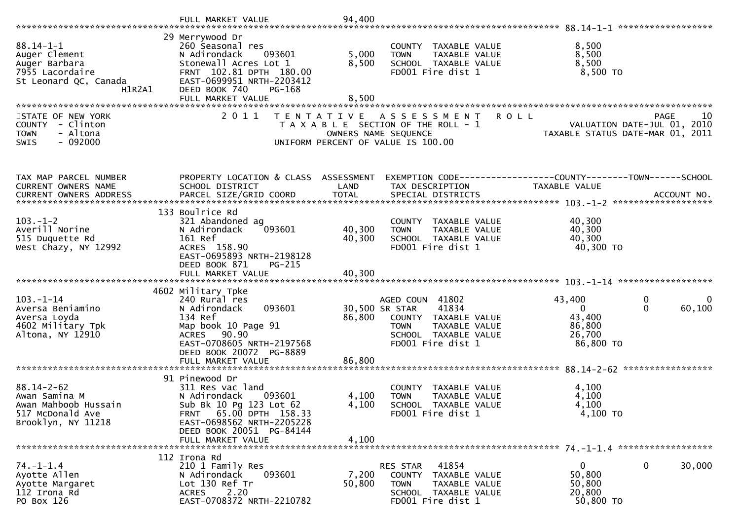| $88.14 - 1 - 1$<br>Auger Clement<br>Auger Barbara<br>7955 Lacordaire<br>St Leonard QC, Canada<br>H1R2A1 | 29 Merrywood Dr<br>260 Seasonal res<br>093601<br>N Adirondack<br>Stonewall Acres Lot 1<br>FRNT 102.81 DPTH 180.00<br>EAST-0699951 NRTH-2203412<br>DEED BOOK 740<br>PG-168<br>FULL MARKET VALUE | 5,000<br>8,500<br>8,500 | COUNTY TAXABLE VALUE<br>TAXABLE VALUE<br><b>TOWN</b><br>SCHOOL TAXABLE VALUE<br>FD001 Fire dist 1                                               | 8,500<br>8,500<br>8,500<br>$8,500$ TO                             |                                  |
|---------------------------------------------------------------------------------------------------------|------------------------------------------------------------------------------------------------------------------------------------------------------------------------------------------------|-------------------------|-------------------------------------------------------------------------------------------------------------------------------------------------|-------------------------------------------------------------------|----------------------------------|
|                                                                                                         |                                                                                                                                                                                                |                         |                                                                                                                                                 |                                                                   |                                  |
| STATE OF NEW YORK<br>COUNTY - Clinton<br><b>TOWN</b><br>- Altona<br>$-092000$<br><b>SWIS</b>            | 2011<br>T E N T A T I V E                                                                                                                                                                      |                         | A S S E S S M E N T<br><b>ROLL</b><br>T A X A B L E SECTION OF THE ROLL - 1<br>OWNERS NAME SEQUENCE<br>UNIFORM PERCENT OF VALUE IS 100.00       | VALUATION DATE-JUL 01, 2010<br>TAXABLE STATUS DATE-MAR 01, 2011   | 10<br><b>PAGE</b>                |
| TAX MAP PARCEL NUMBER                                                                                   | PROPERTY LOCATION & CLASS ASSESSMENT                                                                                                                                                           |                         |                                                                                                                                                 |                                                                   |                                  |
| CURRENT OWNERS NAME                                                                                     | SCHOOL DISTRICT                                                                                                                                                                                | LAND                    | TAX DESCRIPTION                                                                                                                                 | TAXABLE VALUE                                                     |                                  |
|                                                                                                         |                                                                                                                                                                                                |                         |                                                                                                                                                 |                                                                   |                                  |
| $103. - 1 - 2$<br>Averill Norine<br>515 Duquette Rd<br>West Chazy, NY 12992                             | 133 Boulrice Rd<br>321 Abandoned ag<br>N Adirondack<br>093601<br>161 Ref<br>ACRES 158.90<br>EAST-0695893 NRTH-2198128<br>DEED BOOK 871<br>$PG-215$                                             | 40,300<br>40,300        | COUNTY TAXABLE VALUE<br>TAXABLE VALUE<br><b>TOWN</b><br>SCHOOL TAXABLE VALUE<br>FD001 Fire dist 1                                               | 40,300<br>40,300<br>40,300<br>40,300 TO                           |                                  |
|                                                                                                         | FULL MARKET VALUE                                                                                                                                                                              | 40,300                  |                                                                                                                                                 |                                                                   |                                  |
| $103. - 1 - 14$<br>Aversa Beniamino<br>Aversa Loyda<br>4602 Military Tpk<br>Altona, NY 12910            | 4602 Military Tpke<br>240 Rural res<br>093601<br>N Adirondack<br>134 Ref<br>Map book 10 Page 91<br>ACRES 90.90<br>EAST-0708605 NRTH-2197568<br>DEED BOOK 20072<br>PG-8889                      | 86,800                  | AGED COUN 41802<br>30,500 SR STAR<br>41834<br>COUNTY TAXABLE VALUE<br><b>TOWN</b><br>TAXABLE VALUE<br>SCHOOL TAXABLE VALUE<br>FD001 Fire dist 1 | 43,400<br>$\mathbf{0}$<br>43,400<br>86,800<br>26,700<br>86,800 TO | 0<br>0<br>$\mathbf{0}$<br>60,100 |
|                                                                                                         |                                                                                                                                                                                                |                         |                                                                                                                                                 |                                                                   |                                  |
| $88.14 - 2 - 62$<br>Awan Samina M<br>Awan Mahboob Hussain<br>517 McDonald Ave<br>Brooklyn, NY 11218     | 91 Pinewood Dr<br>311 Res vac land<br>N Adirondack<br>093601<br>Sub Bk 10 Pg 123 Lot 62<br>FRNT 65.00 DPTH 158.33<br>EAST-0698562 NRTH-2205228<br>DEED BOOK 20051 PG-84144                     | 4,100<br>4,100          | COUNTY TAXABLE VALUE<br><b>TOWN</b><br>TAXABLE VALUE<br>SCHOOL TAXABLE VALUE<br>FD001 Fire dist 1                                               | 4,100<br>4,100<br>4,100<br>4,100 TO                               |                                  |
|                                                                                                         | FULL MARKET VALUE                                                                                                                                                                              | 4,100                   |                                                                                                                                                 |                                                                   |                                  |
| $74. - 1 - 1.4$<br>Ayotte Allen<br>Ayotte Margaret<br>112 Irona Rd<br>PO Box 126                        | 112 Irona Rd<br>210 1 Family Res<br>093601<br>N Adirondack<br>Lot 130 Ref Tr<br>2.20<br><b>ACRES</b><br>EAST-0708372 NRTH-2210782                                                              | 7,200<br>50,800         | 41854<br>RES STAR<br>COUNTY TAXABLE VALUE<br><b>TOWN</b><br>TAXABLE VALUE<br>SCHOOL TAXABLE VALUE<br>FD001 Fire dist 1                          | $\mathbf{0}$<br>50,800<br>50,800<br>20,800<br>50,800 TO           | $\mathbf 0$<br>30,000            |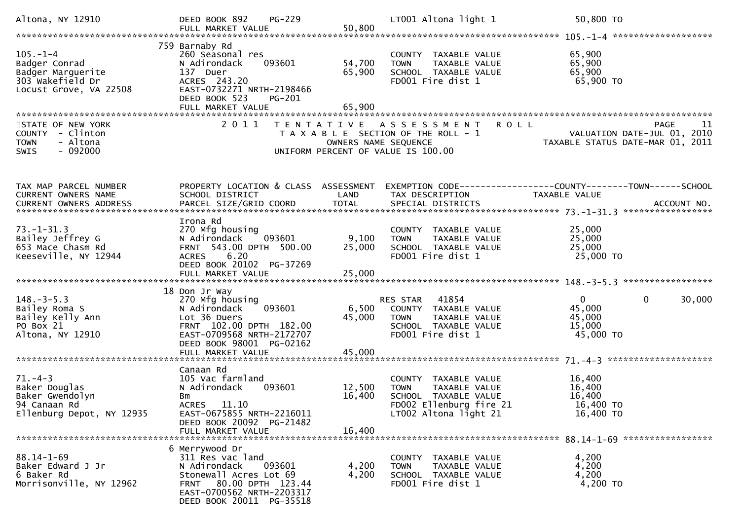| Altona, NY 12910                                                                                   | PG-229<br>DEED BOOK 892<br>FULL MARKET VALUE                                                                                                                                        | 50,800                     | LT001 Altona light 1                                                                                                             | 50,800 TO                                                                      |        |
|----------------------------------------------------------------------------------------------------|-------------------------------------------------------------------------------------------------------------------------------------------------------------------------------------|----------------------------|----------------------------------------------------------------------------------------------------------------------------------|--------------------------------------------------------------------------------|--------|
| $105. - 1 - 4$<br>Badger Conrad<br>Badger Marguerite<br>303 Wakefield Dr<br>Locust Grove, VA 22508 | 759 Barnaby Rd<br>260 Seasonal res<br>093601<br>N Adirondack<br>137 Duer<br>ACRES 243.20<br>EAST-0732271 NRTH-2198466<br>DEED BOOK 523<br>PG-201<br>FULL MARKET VALUE               | 54,700<br>65,900<br>65,900 | COUNTY TAXABLE VALUE<br><b>TOWN</b><br>TAXABLE VALUE<br>SCHOOL TAXABLE VALUE<br>FD001 Fire dist 1                                | 65,900<br>65,900<br>65,900<br>65,900 TO                                        |        |
| STATE OF NEW YORK<br>COUNTY - Clinton<br>- Altona<br><b>TOWN</b><br>$-092000$<br><b>SWIS</b>       | 2011                                                                                                                                                                                | OWNERS NAME SEQUENCE       | <b>ROLL</b><br>TENTATIVE ASSESSMENT<br>T A X A B L E SECTION OF THE ROLL - 1<br>UNIFORM PERCENT OF VALUE IS 100.00               | <b>PAGE</b><br>VALUATION DATE-JUL 01, 2010<br>TAXABLE STATUS DATE-MAR 01, 2011 | -11    |
| TAX MAP PARCEL NUMBER<br><b>CURRENT OWNERS NAME</b>                                                | PROPERTY LOCATION & CLASS ASSESSMENT<br>SCHOOL DISTRICT                                                                                                                             | LAND                       | TAX DESCRIPTION                                                                                                                  | EXEMPTION CODE-----------------COUNTY-------TOWN------SCHOOL<br>TAXABLE VALUE  |        |
| $73. - 1 - 31.3$<br>Bailey Jeffrey G<br>653 Mace Chasm Rd<br>Keeseville, NY 12944                  | Irona Rd<br>270 Mfg housing<br>093601<br>N Adirondack<br>FRNT 543.00 DPTH 500.00<br>6.20<br>ACRES<br>DEED BOOK 20102 PG-37269<br>FULL MARKET VALUE                                  | 9,100<br>25,000<br>25,000  | COUNTY TAXABLE VALUE<br>TAXABLE VALUE<br><b>TOWN</b><br>SCHOOL TAXABLE VALUE<br>FD001 Fire dist 1                                | 25,000<br>25,000<br>25,000<br>25,000 TO                                        |        |
| $148. - 3 - 5.3$<br>Bailey Roma S<br>Bailey Kelly Ann<br>PO Box 21<br>Altona, NY 12910             | 18 Don Jr Way<br>270 Mfg housing<br>093601<br>N Adirondack<br>Lot 36 Duers<br>FRNT 102.00 DPTH 182.00<br>EAST-0709568 NRTH-2172707<br>DEED BOOK 98001 PG-02162<br>FULL MARKET VALUE | 6,500<br>45,000<br>45,000  | RES STAR 41854<br>COUNTY TAXABLE VALUE<br>TAXABLE VALUE<br><b>TOWN</b><br>SCHOOL TAXABLE VALUE<br>FD001 Fire dist 1              | $\overline{0}$<br>$\mathbf{0}$<br>45,000<br>45,000<br>15,000<br>45,000 TO      | 30,000 |
| $71. - 4 - 3$<br>Baker Douglas<br>Baker Gwendolyn<br>94 Canaan Rd<br>Ellenburg Depot, NY 12935     | Canaan Rd<br>105 Vac farmland<br>093601<br>N Adirondack<br>Bm<br>ACRES 11.10<br>EAST-0675855 NRTH-2216011<br>DEED BOOK 20092 PG-21482<br>FULL MARKET VALUE                          | 12,500<br>16,400<br>16,400 | COUNTY TAXABLE VALUE<br>TAXABLE VALUE<br><b>TOWN</b><br>SCHOOL TAXABLE VALUE<br>FD002 Ellenburg fire 21<br>LT002 Altona light 21 | 16,400<br>16,400<br>16,400<br>16,400 TO<br>16,400 TO                           |        |
| $88.14 - 1 - 69$<br>Baker Edward J Jr<br>6 Baker Rd<br>Morrisonville, NY 12962                     | 6 Merrywood Dr<br>311 Res vac land<br>N Adirondack<br>093601<br>Stonewall Acres Lot 69<br>FRNT 80.00 DPTH 123.44<br>EAST-0700562 NRTH-2203317<br>DEED BOOK 20011 PG-35518           | 4,200<br>4,200             | COUNTY TAXABLE VALUE<br>TAXABLE VALUE<br><b>TOWN</b><br>SCHOOL TAXABLE VALUE<br>FD001 Fire dist 1                                | 4,200<br>4,200<br>4,200<br>4,200 TO                                            |        |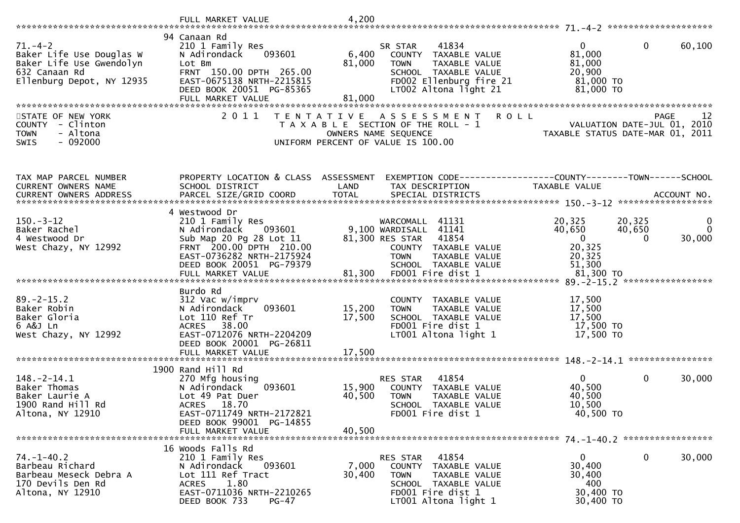|                                                                                                                     | FULL MARKET VALUE                                                                                                                                                                        | 4,200                      |                                                                                                                                                      |                                                                      |                                            |                             |
|---------------------------------------------------------------------------------------------------------------------|------------------------------------------------------------------------------------------------------------------------------------------------------------------------------------------|----------------------------|------------------------------------------------------------------------------------------------------------------------------------------------------|----------------------------------------------------------------------|--------------------------------------------|-----------------------------|
|                                                                                                                     |                                                                                                                                                                                          |                            |                                                                                                                                                      |                                                                      |                                            |                             |
| $71. - 4 - 2$<br>Baker Life Use Douglas W<br>Baker Life Use Gwendolyn<br>632 Canaan Rd<br>Ellenburg Depot, NY 12935 | 94 Canaan Rd<br>210 1 Family Res<br>093601<br>N Adirondack<br>Lot Bm<br>FRNT 150.00 DPTH 265.00<br>EAST-0675138 NRTH-2215815<br>DEED BOOK 20051 PG-85365                                 | 6,400<br>81,000            | 41834<br>SR STAR<br>COUNTY TAXABLE VALUE<br>TAXABLE VALUE<br><b>TOWN</b><br>SCHOOL TAXABLE VALUE<br>FD002 Ellenburg fire 21<br>LT002 Altona light 21 | $\mathbf{0}$<br>81,000<br>81,000<br>20,900<br>81,000 TO<br>81,000 TO | $\mathbf{0}$<br>60,100                     |                             |
|                                                                                                                     | FULL MARKET VALUE                                                                                                                                                                        | 81,000                     |                                                                                                                                                      |                                                                      |                                            |                             |
|                                                                                                                     |                                                                                                                                                                                          |                            |                                                                                                                                                      |                                                                      |                                            |                             |
| STATE OF NEW YORK<br>COUNTY - Clinton<br>- Altona<br><b>TOWN</b><br>$-092000$<br>SWIS                               | 2011                                                                                                                                                                                     | T E N T A T I V E          | <b>ROLL</b><br>A S S E S S M E N T<br>T A X A B L E SECTION OF THE ROLL - 1<br>OWNERS NAME SEQUENCE<br>UNIFORM PERCENT OF VALUE IS 100.00            | TAXABLE STATUS DATE-MAR 01, 2011                                     | <b>PAGE</b><br>VALUATION DATE-JUL 01, 2010 | 12                          |
| TAX MAP PARCEL NUMBER                                                                                               | PROPERTY LOCATION & CLASS ASSESSMENT                                                                                                                                                     |                            | EXEMPTION CODE-----------------COUNTY-------TOWN------SCHOOL                                                                                         |                                                                      |                                            |                             |
| CURRENT OWNERS NAME                                                                                                 | SCHOOL DISTRICT                                                                                                                                                                          | LAND                       | TAX DESCRIPTION                                                                                                                                      | TAXABLE VALUE                                                        |                                            |                             |
|                                                                                                                     |                                                                                                                                                                                          |                            |                                                                                                                                                      |                                                                      |                                            |                             |
| $150 - 3 - 12$<br>Baker Rachel                                                                                      | 4 Westwood Dr<br>210 1 Family Res<br>093601<br>N Adirondack                                                                                                                              |                            | WARCOMALL 41131<br>9,100 WARDISALL 41141<br>81,300 RES STAR                                                                                          | 20,325<br>40,650<br>$\overline{0}$                                   | 20,325<br>40,650<br>$\Omega$               | $\mathbf 0$<br>$\mathbf{0}$ |
| 4 Westwood Dr<br>West Chazy, NY 12992                                                                               | Sub Map 20 Pg 28 Lot 11<br>FRNT 200.00 DPTH 210.00<br>EAST-0736282 NRTH-2175924<br>DEED BOOK 20051 PG-79379                                                                              |                            | 41854<br>COUNTY TAXABLE VALUE<br><b>TOWN</b><br>TAXABLE VALUE<br>SCHOOL TAXABLE VALUE                                                                | 20,325<br>20,325<br>51,300                                           | 30,000                                     |                             |
|                                                                                                                     |                                                                                                                                                                                          |                            |                                                                                                                                                      |                                                                      |                                            |                             |
|                                                                                                                     | Burdo Rd                                                                                                                                                                                 |                            |                                                                                                                                                      |                                                                      |                                            |                             |
| $89. - 2 - 15.2$<br>Baker Robin<br>Baker Gloria<br>6 A&J Ln<br>West Chazy, NY 12992                                 | 312 Vac w/imprv<br>093601<br>N Adirondack<br>Lot 110 Ref Tr<br>38.00<br><b>ACRES</b><br>EAST-0712076 NRTH-2204209<br>DEED BOOK 20001 PG-26811<br>FULL MARKET VALUE                       | 15,200<br>17,500<br>17,500 | COUNTY TAXABLE VALUE<br>TAXABLE VALUE<br><b>TOWN</b><br>SCHOOL TAXABLE VALUE<br>FD001 Fire dist 1<br>LT001 Altona light 1                            | 17,500<br>17,500<br>17,500<br>17,500 TO<br>17,500 TO                 |                                            |                             |
|                                                                                                                     |                                                                                                                                                                                          |                            |                                                                                                                                                      |                                                                      |                                            |                             |
| $148. - 2 - 14.1$<br>Baker Thomas<br>Baker Laurie A<br>1900 Rand Hill Rd<br>Altona, NY 12910                        | 1900 Rand Hill Rd<br>270 Mfg housing<br>N Adirondack<br>093601<br>Lot 49 Pat Duer<br><b>ACRES</b><br>18.70<br>EAST-0711749 NRTH-2172821<br>DEED BOOK 99001 PG-14855<br>FULL MARKET VALUE | 15,900<br>40,500<br>40,500 | 41854<br>RES STAR<br>COUNTY TAXABLE VALUE<br><b>TOWN</b><br><b>TAXABLE VALUE</b><br>SCHOOL TAXABLE VALUE<br>FD001 Fire dist 1                        | $\mathbf{0}$<br>40,500<br>40,500<br>10,500<br>40,500 TO              | $\mathbf 0$<br>30,000                      |                             |
|                                                                                                                     | 16 Woods Falls Rd                                                                                                                                                                        |                            |                                                                                                                                                      |                                                                      |                                            |                             |
| $74. - 1 - 40.2$<br>Barbeau Richard<br>Barbeau Meseck Debra A<br>170 Devils Den Rd<br>Altona, NY 12910              | 210 1 Family Res<br>N Adirondack<br>093601<br>Lot 111 Ref Tract<br>1.80<br><b>ACRES</b><br>EAST-0711036 NRTH-2210265<br>DEED BOOK 733<br><b>PG-47</b>                                    | 7,000<br>30,400            | RES STAR 41854<br>COUNTY TAXABLE VALUE<br>TAXABLE VALUE<br><b>TOWN</b><br>SCHOOL TAXABLE VALUE<br>FD001 Fire dist 1<br>LT001 Altona light 1          | $\mathbf{0}$<br>30,400<br>30,400<br>400<br>30,400 TO<br>30,400 TO    | $\mathbf 0$<br>30,000                      |                             |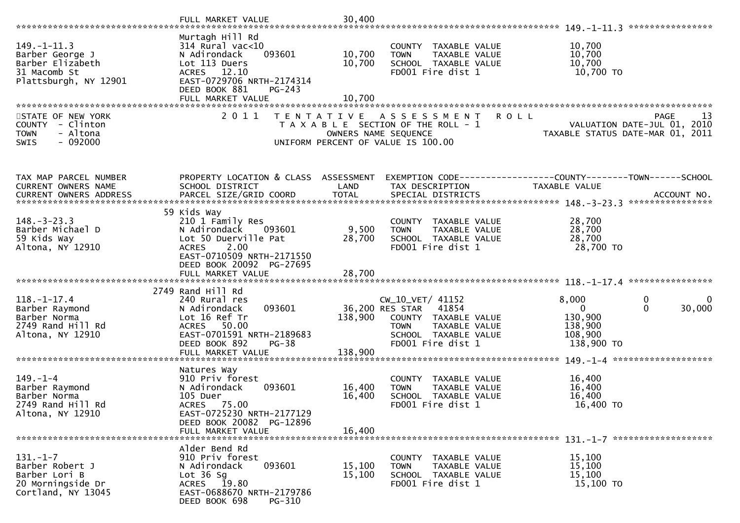|                                                                                               | FULL MARKET VALUE                                                                                                                                                          | 30,400                                    |                                                                                                                                                |                                                                                                  |
|-----------------------------------------------------------------------------------------------|----------------------------------------------------------------------------------------------------------------------------------------------------------------------------|-------------------------------------------|------------------------------------------------------------------------------------------------------------------------------------------------|--------------------------------------------------------------------------------------------------|
| $149. - 1 - 11.3$<br>Barber George J<br>Barber Elizabeth<br>31 Macomb St                      | Murtagh Hill Rd<br>$314$ Rural vac<10<br>093601<br>N Adirondack<br>Lot 113 Duers<br>ACRES 12.10                                                                            | 10,700<br>10,700                          | COUNTY TAXABLE VALUE<br><b>TOWN</b><br>TAXABLE VALUE<br>SCHOOL TAXABLE VALUE<br>FD001 Fire dist 1                                              | 10,700<br>10,700<br>10,700<br>10,700 TO                                                          |
| Plattsburgh, NY 12901                                                                         | EAST-0729706 NRTH-2174314<br>DEED BOOK 881<br>$PG-243$<br>FULL MARKET VALUE                                                                                                | 10,700                                    |                                                                                                                                                |                                                                                                  |
| STATE OF NEW YORK<br>COUNTY - Clinton<br>- Altona<br><b>TOWN</b><br>$-092000$<br>SWIS         | 2011                                                                                                                                                                       | T E N T A T I V E<br>OWNERS NAME SEQUENCE | <b>ROLL</b><br>A S S E S S M E N T<br>T A X A B L E SECTION OF THE ROLL - 1<br>UNIFORM PERCENT OF VALUE IS 100.00                              | <b>PAGE</b><br>13<br>VALUATION DATE-JUL 01, 2010<br>TAXABLE STATUS DATE-MAR 01, 2011             |
| TAX MAP PARCEL NUMBER<br>CURRENT OWNERS NAME<br>CURRENT OWNERS ADDRESS                        | PROPERTY LOCATION & CLASS ASSESSMENT<br>SCHOOL DISTRICT<br>PARCEL SIZE/GRID COORD                                                                                          | LAND<br><b>TOTAL</b>                      | TAX DESCRIPTION<br>SPECIAL DISTRICTS                                                                                                           | EXEMPTION CODE------------------COUNTY--------TOWN------SCHOOL<br>TAXABLE VALUE<br>ACCOUNT NO.   |
| $148. - 3 - 23.3$<br>Barber Michael D<br>59 Kids Way<br>Altona, NY 12910                      | 59 Kids Way<br>210 1 Family Res<br>N Adirondack<br>093601<br>Lot 50 Duerville Pat<br>2.00<br><b>ACRES</b><br>EAST-0710509 NRTH-2171550<br>DEED BOOK 20092 PG-27695         | 9,500<br>28,700                           | COUNTY TAXABLE VALUE<br>TAXABLE VALUE<br><b>TOWN</b><br>SCHOOL TAXABLE VALUE<br>FD001 Fire dist 1                                              | 28,700<br>28,700<br>28,700<br>28,700 TO                                                          |
|                                                                                               | FULL MARKET VALUE                                                                                                                                                          | 28,700                                    |                                                                                                                                                |                                                                                                  |
| $118. - 1 - 17.4$<br>Barber Raymond<br>Barber Norma<br>2749 Rand Hill Rd<br>Altona, NY 12910  | 2749 Rand Hill Rd<br>240 Rural res<br>093601<br>N Adirondack<br>Lot 16 Ref Tr<br>ACRES 50.00<br>EAST-0701591 NRTH-2189683<br>DEED BOOK 892<br>$PG-38$<br>FULL MARKET VALUE | 138,900<br>138,900                        | CW_10_VET/ 41152<br>36,200 RES STAR 41854<br>COUNTY TAXABLE VALUE<br><b>TOWN</b><br>TAXABLE VALUE<br>SCHOOL TAXABLE VALUE<br>FD001 Fire dist 1 | 8,000<br>0<br>0<br>$\Omega$<br>30,000<br>$\Omega$<br>130,900<br>138,900<br>108,900<br>138,900 TO |
|                                                                                               |                                                                                                                                                                            |                                           |                                                                                                                                                |                                                                                                  |
| $149. - 1 - 4$<br>Barber Raymond<br>Barber Norma<br>2749 Rand Hill Rd<br>Altona, NY 12910     | Natures Way<br>910 Priv forest<br>N Adirondack<br>093601<br>105 Duer<br>ACRES 75.00<br>EAST-0725230 NRTH-2177129<br>DEED BOOK 20082 PG-12896                               | 16,400<br>16,400                          | COUNTY TAXABLE VALUE<br>TAXABLE VALUE<br><b>TOWN</b><br>SCHOOL TAXABLE VALUE<br>FD001 Fire dist 1                                              | 16,400<br>16,400<br>16,400<br>16,400 TO                                                          |
|                                                                                               | FULL MARKET VALUE                                                                                                                                                          | 16,400                                    |                                                                                                                                                |                                                                                                  |
| $131. - 1 - 7$<br>Barber Robert J<br>Barber Lori B<br>20 Morningside Dr<br>Cortland, NY 13045 | Alder Bend Rd<br>910 Priv forest<br>093601<br>N Adirondack<br>Lot $36$ Sg<br>ACRES 19.80<br>EAST-0688670 NRTH-2179786<br>DEED BOOK 698<br>PG-310                           | 15,100<br>15,100                          | COUNTY TAXABLE VALUE<br>TAXABLE VALUE<br><b>TOWN</b><br>SCHOOL TAXABLE VALUE<br>FD001 Fire dist 1                                              | 15,100<br>15,100<br>15,100<br>15,100 TO                                                          |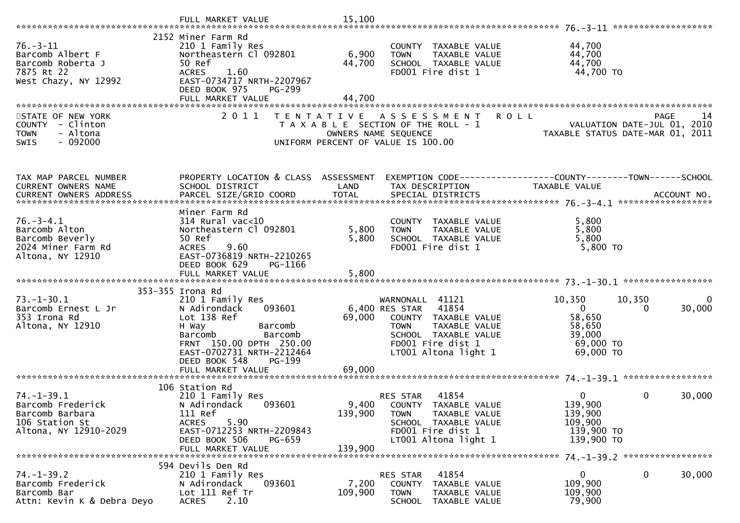| $76. - 3 - 11$<br>Barcomb Albert F<br>Barcomb Roberta J<br>7875 Rt 22<br>West Chazy, NY 12992       | 2152 Miner Farm Rd<br>210 1 Family Res<br>Northeastern Cl 092801<br>50 Ref<br><b>ACRES</b><br>1.60<br>EAST-0734717 NRTH-2207967<br>DEED BOOK 975<br>PG-299<br>FULL MARKET VALUE                            | 6,900<br>44,700<br>44,700   | COUNTY TAXABLE VALUE<br><b>TOWN</b><br>TAXABLE VALUE<br>SCHOOL TAXABLE VALUE<br>FD001 Fire dist 1                                                                    | 44,700<br>44,700<br>44,700<br>44,700 TO                                                  |                   |
|-----------------------------------------------------------------------------------------------------|------------------------------------------------------------------------------------------------------------------------------------------------------------------------------------------------------------|-----------------------------|----------------------------------------------------------------------------------------------------------------------------------------------------------------------|------------------------------------------------------------------------------------------|-------------------|
|                                                                                                     |                                                                                                                                                                                                            |                             |                                                                                                                                                                      |                                                                                          |                   |
| STATE OF NEW YORK<br>COUNTY - Clinton<br><b>TOWN</b><br>- Altona<br>$-092000$<br><b>SWIS</b>        | 2011<br>T E N T A T I V E                                                                                                                                                                                  |                             | <b>ROLL</b><br>A S S E S S M E N T<br>T A X A B L E SECTION OF THE ROLL - 1<br>OWNERS NAME SEQUENCE<br>UNIFORM PERCENT OF VALUE IS 100.00                            | VALUATION DATE-JUL 01, 2010<br>TAXABLE STATUS DATE-MAR 01, 2011                          | <b>PAGE</b><br>14 |
| TAX MAP PARCEL NUMBER                                                                               | PROPERTY LOCATION & CLASS ASSESSMENT                                                                                                                                                                       |                             | EXEMPTION CODE-----------------COUNTY-------TOWN------SCHOOL                                                                                                         |                                                                                          |                   |
| CURRENT OWNERS NAME                                                                                 | SCHOOL DISTRICT                                                                                                                                                                                            | LAND                        | TAX DESCRIPTION                                                                                                                                                      | TAXABLE VALUE                                                                            |                   |
| CURRENT OWNERS ADDRESS                                                                              |                                                                                                                                                                                                            |                             |                                                                                                                                                                      |                                                                                          |                   |
| $76. - 3 - 4.1$<br>Barcomb Alton<br>Barcomb Beverly<br>2024 Miner Farm Rd<br>Altona, NY 12910       | Miner Farm Rd<br>$314$ Rural vac<10<br>Northeastern Cl 092801<br>50 Ref<br>9.60<br><b>ACRES</b><br>EAST-0736819 NRTH-2210265<br>DEED BOOK 629<br>PG-1166                                                   | 5,800<br>5,800              | COUNTY TAXABLE VALUE<br>TAXABLE VALUE<br><b>TOWN</b><br>SCHOOL TAXABLE VALUE<br>FD001 Fire dist 1                                                                    | 5,800<br>5,800<br>5,800<br>$5,800$ TO                                                    |                   |
|                                                                                                     | FULL MARKET VALUE                                                                                                                                                                                          | 5,800                       |                                                                                                                                                                      |                                                                                          |                   |
| $73. - 1 - 30.1$<br>Barcomb Ernest L Jr<br>353 Irona Rd<br>Altona, NY 12910                         | 353-355 Irona Rd<br>210 1 Family Res<br>093601<br>N Adirondack<br>Lot 138 Ref<br>H Way<br>Barcomb<br>Barcomb<br>Barcomb<br>FRNT 150.00 DPTH 250.00<br>EAST-0702731 NRTH-2212464<br>DEED BOOK 548<br>PG-199 | 69,000                      | WARNONALL 41121<br>6,400 RES STAR 41854<br>COUNTY TAXABLE VALUE<br>TAXABLE VALUE<br><b>TOWN</b><br>SCHOOL TAXABLE VALUE<br>FD001 Fire dist 1<br>LT001 Altona light 1 | 10,350<br>10,350<br>$\mathbf{0}$<br>58,650<br>58,650<br>39,000<br>69,000 TO<br>69,000 TO | 0<br>30,000<br>0  |
|                                                                                                     |                                                                                                                                                                                                            |                             |                                                                                                                                                                      |                                                                                          |                   |
| $74. - 1 - 39.1$<br>Barcomb Frederick<br>Barcomb Barbara<br>106 Station St<br>Altona, NY 12910-2029 | 106 Station Rd<br>210 1 Family Res<br>N Adirondack<br>093601<br>111 Ref<br>5.90<br><b>ACRES</b><br>EAST-0712253 NRTH-2209843<br>DEED BOOK 506<br>PG-659<br>FULL MARKET VALUE                               | 9,400<br>139,900<br>139,900 | 41854<br>RES STAR<br>COUNTY TAXABLE VALUE<br>TAXABLE VALUE<br><b>TOWN</b><br>SCHOOL TAXABLE VALUE<br>FD001 Fire dist 1<br>LT001 Altona light 1                       | 0<br>139,900<br>139,900<br>109,900<br>139,900 TO<br>139,900 TO                           | 30,000<br>0       |
|                                                                                                     | 594 Devils Den Rd                                                                                                                                                                                          |                             |                                                                                                                                                                      |                                                                                          |                   |
| $74. - 1 - 39.2$<br>Barcomb Frederick<br>Barcomb Bar<br>Attn: Kevin K & Debra Deyo                  | 210 1 Family Res<br>N Adirondack<br>093601<br>Lot 111 Ref Tr<br>2.10<br><b>ACRES</b>                                                                                                                       | 7,200<br>109,900            | 41854<br>RES STAR<br>COUNTY TAXABLE VALUE<br><b>TOWN</b><br>TAXABLE VALUE<br><b>SCHOOL</b><br>TAXABLE VALUE                                                          | $\mathbf 0$<br>109,900<br>109,900<br>79,900                                              | 30,000<br>0       |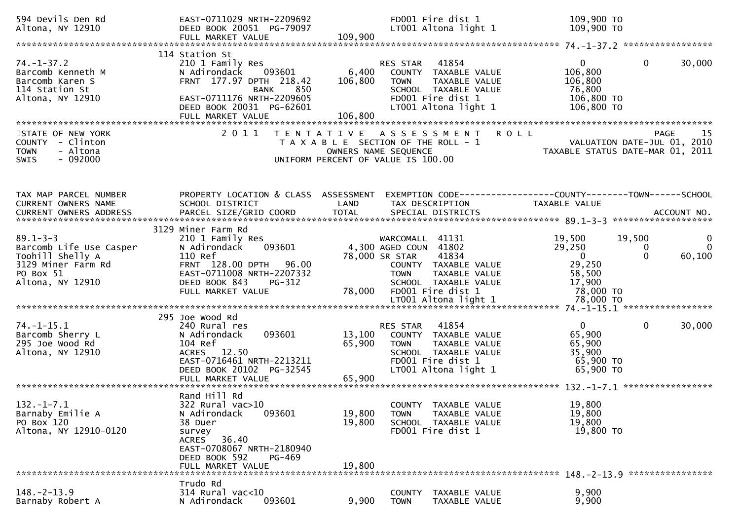| 594 Devils Den Rd<br>Altona, NY 12910                                                          | EAST-0711029 NRTH-2209692<br>DEED BOOK 20051 PG-79097<br>FULL MARKET VALUE                                                                                                           | 109,900                     | FD001 Fire dist 1<br>LT001 Altona light 1                                                                                                      | 109,900 TO<br>109,900 TO                                                                                          |               |
|------------------------------------------------------------------------------------------------|--------------------------------------------------------------------------------------------------------------------------------------------------------------------------------------|-----------------------------|------------------------------------------------------------------------------------------------------------------------------------------------|-------------------------------------------------------------------------------------------------------------------|---------------|
|                                                                                                |                                                                                                                                                                                      |                             |                                                                                                                                                |                                                                                                                   |               |
| $74. - 1 - 37.2$<br>Barcomb Kenneth M<br>Barcomb Karen S<br>114 Station St<br>Altona, NY 12910 | 114 Station St<br>210 1 Family Res<br>093601<br>N Adirondack<br>FRNT 177.97 DPTH 218.42<br>BANK<br>850<br>EAST-0711176 NRTH-2209605<br>DEED BOOK 20031 PG-62601<br>FULL MARKET VALUE | 6,400<br>106,800<br>106,800 | 41854<br>RES STAR<br>COUNTY TAXABLE VALUE<br><b>TOWN</b><br>TAXABLE VALUE<br>SCHOOL TAXABLE VALUE<br>FD001 Fire dist 1<br>LT001 Altona light 1 | $\overline{0}$<br>$\mathbf{0}$<br>30,000<br>106,800<br>106,800<br>76,800<br>106,800 TO<br>106,800 TO              |               |
|                                                                                                |                                                                                                                                                                                      |                             |                                                                                                                                                |                                                                                                                   |               |
| STATE OF NEW YORK<br>COUNTY - Clinton<br>- Altona<br><b>TOWN</b><br>$-092000$<br><b>SWIS</b>   | 2011                                                                                                                                                                                 | OWNERS NAME SEQUENCE        | TENTATIVE ASSESSMENT<br>T A X A B L E SECTION OF THE ROLL - 1<br>UNIFORM PERCENT OF VALUE IS 100.00                                            | <b>ROLL</b><br>PAGE<br>VALUATION DATE-JUL 01, 2010<br>TAXABLE STATUS DATE-MAR 01, 2011                            | 15            |
| TAX MAP PARCEL NUMBER<br>CURRENT OWNERS NAME                                                   | SCHOOL DISTRICT                                                                                                                                                                      | LAND                        | TAX DESCRIPTION                                                                                                                                | PROPERTY LOCATION & CLASS ASSESSMENT EXEMPTION CODE----------------COUNTY-------TOWN------SCHOOL<br>TAXABLE VALUE |               |
| $89.1 - 3 - 3$<br>Barcomb Life Use Casper                                                      | 3129 Miner Farm Rd<br>210 1 Family Res<br>N Adirondack<br>093601                                                                                                                     |                             | WARCOMALL 41131<br>4,300 AGED COUN 41802                                                                                                       | 19,500<br>19,500<br>29,250<br>0<br>$\Omega$                                                                       | 0<br>$\Omega$ |
| Toohill Shelly A<br>3129 Miner Farm Rd<br>PO Box 51<br>Altona, NY 12910                        | 110 Ref<br>FRNT 128.00 DPTH 96.00<br>EAST-0711008 NRTH-2207332<br>DEED BOOK 843<br>PG-312<br>FULL MARKET VALUE                                                                       | 78,000 SR STAR<br>78,000    | 41834<br>COUNTY TAXABLE VALUE<br>TAXABLE VALUE<br><b>TOWN</b><br>SCHOOL TAXABLE VALUE<br>FD001 Fire dist 1                                     | 60,100<br>$\overline{0}$<br>29,250<br>58,500<br>17,900<br>78,000 TO                                               |               |
|                                                                                                |                                                                                                                                                                                      |                             |                                                                                                                                                |                                                                                                                   |               |
| $74. - 1 - 15.1$<br>Barcomb Sherry L<br>295 Joe Wood Rd<br>Altona, NY 12910                    | 295 Joe Wood Rd<br>240 Rural res<br>093601<br>N Adirondack<br>104 Ref<br>ACRES 12.50<br>EAST-0716461 NRTH-2213211<br>DEED BOOK 20102 PG-32545<br>FULL MARKET VALUE                   | 13,100<br>65,900<br>65,900  | 41854<br>RES STAR<br>COUNTY TAXABLE VALUE<br><b>TOWN</b><br>TAXABLE VALUE<br>SCHOOL TAXABLE VALUE<br>FD001 Fire dist 1<br>LT001 Altona light 1 | $\mathbf{0}$<br>$\mathbf{0}$<br>30,000<br>65,900<br>65,900<br>35,900<br>65,900 TO<br>65,900 TO                    |               |
|                                                                                                |                                                                                                                                                                                      |                             |                                                                                                                                                |                                                                                                                   |               |
| $132. - 1 - 7.1$<br>Barnaby Emilie A<br>PO Box 120<br>Altona, NY 12910-0120                    | Rand Hill Rd<br>$322$ Rural vac $>10$<br>093601<br>N Adirondack<br>38 Duer<br>survey<br>ACRES 36.40                                                                                  | 19,800<br>19,800            | COUNTY TAXABLE VALUE<br>TAXABLE VALUE<br><b>TOWN</b><br>SCHOOL TAXABLE VALUE<br>FD001 Fire dist 1                                              | 19,800<br>19,800<br>19,800<br>19,800 TO                                                                           |               |
|                                                                                                | EAST-0708067 NRTH-2180940<br>DEED BOOK 592<br>PG-469<br>FULL MARKET VALUE                                                                                                            | 19,800                      |                                                                                                                                                |                                                                                                                   |               |
| $148. - 2 - 13.9$<br>Barnaby Robert A                                                          | Trudo Rd<br>314 Rural vac<10<br>N Adirondack<br>093601                                                                                                                               | 9,900                       | TAXABLE VALUE<br>COUNTY<br><b>TOWN</b><br>TAXABLE VALUE                                                                                        | 9,900<br>9,900                                                                                                    |               |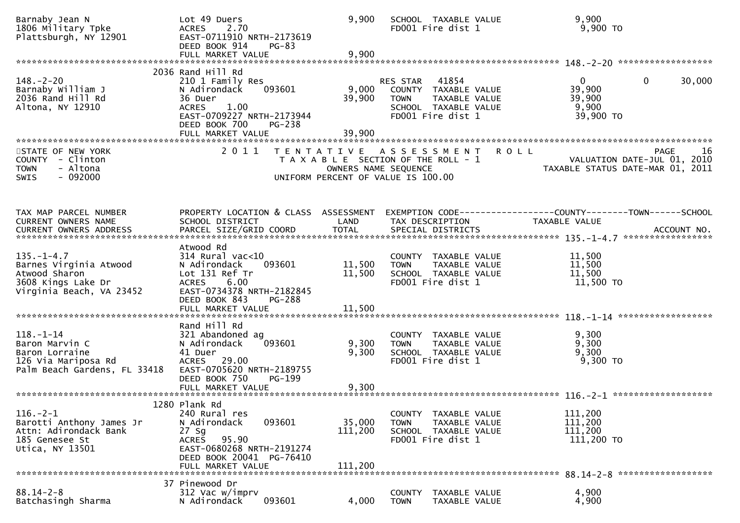| Barnaby Jean N<br>1806 Military Tpke<br>Plattsburgh, NY 12901                                                 | Lot 49 Duers<br>2.70<br><b>ACRES</b><br>EAST-0711910 NRTH-2173619<br>DEED BOOK 914<br>$PG-83$<br>FULL MARKET VALUE                                                       | 9,900<br>9,900                              | SCHOOL TAXABLE VALUE<br>FD001 Fire dist 1                                                                              |             | 9,900<br>$9,900$ TO                                                             |        |
|---------------------------------------------------------------------------------------------------------------|--------------------------------------------------------------------------------------------------------------------------------------------------------------------------|---------------------------------------------|------------------------------------------------------------------------------------------------------------------------|-------------|---------------------------------------------------------------------------------|--------|
|                                                                                                               |                                                                                                                                                                          |                                             |                                                                                                                        |             |                                                                                 |        |
| $148. - 2 - 20$<br>Barnaby William J<br>2036 Rand Hill Rd<br>Altona, NY 12910                                 | 2036 Rand Hill Rd<br>210 1 Family Res<br>093601<br>N Adirondack<br>36 Duer<br>1.00<br><b>ACRES</b><br>EAST-0709227 NRTH-2173944<br>DEED BOOK 700<br>PG-238               | 9,000<br>39,900                             | 41854<br>RES STAR<br>COUNTY TAXABLE VALUE<br><b>TOWN</b><br>TAXABLE VALUE<br>SCHOOL TAXABLE VALUE<br>FD001 Fire dist 1 |             | $\mathbf{0}$<br>$\overline{0}$<br>39,900<br>39,900<br>9,900<br>39,900 TO        | 30,000 |
|                                                                                                               | FULL MARKET VALUE                                                                                                                                                        | 39,900                                      |                                                                                                                        |             |                                                                                 |        |
| STATE OF NEW YORK<br>COUNTY - Clinton<br><b>TOWN</b><br>- Altona<br>$-092000$<br>SWIS                         | 2011                                                                                                                                                                     | UNIFORM PERCENT OF VALUE IS 100.00          | TENTATIVE ASSESSMENT<br>T A X A B L E SECTION OF THE ROLL - 1<br>OWNERS NAME SEQUENCE                                  | <b>ROLL</b> | <b>PAGE</b><br>VALUATION DATE-JUL 01, 2010<br>TAXABLE STATUS DATE-MAR 01, 2011  | -16    |
| TAX MAP PARCEL NUMBER<br>CURRENT OWNERS NAME                                                                  | PROPERTY LOCATION & CLASS ASSESSMENT<br>SCHOOL DISTRICT                                                                                                                  | LAND                                        | TAX DESCRIPTION                                                                                                        |             | EXEMPTION CODE------------------COUNTY--------TOWN------SCHOOL<br>TAXABLE VALUE |        |
| $135. - 1 - 4.7$<br>Barnes Virginia Atwood<br>Atwood Sharon<br>3608 Kings Lake Dr<br>Virginia Beach, VA 23452 | Atwood Rd<br>$314$ Rural vac<10<br>N Adirondack<br>093601<br>Lot 131 Ref Tr<br><b>ACRES</b><br>6.00<br>EAST-0734378 NRTH-2182845<br>DEED BOOK 843<br>FULL MARKET VALUE   | 11,500<br>11,500<br><b>PG-288</b><br>11,500 | COUNTY TAXABLE VALUE<br><b>TOWN</b><br>TAXABLE VALUE<br>SCHOOL TAXABLE VALUE<br>FD001 Fire dist 1                      |             | 11,500<br>11,500<br>11,500<br>11,500 TO                                         |        |
|                                                                                                               |                                                                                                                                                                          |                                             |                                                                                                                        |             |                                                                                 |        |
| $118. - 1 - 14$<br>Baron Marvin C<br>Baron Lorraine<br>126 Via Mariposa Rd<br>Palm Beach Gardens, FL 33418    | Rand Hill Rd<br>321 Abandoned ag<br>N Adirondack<br>093601<br>41 Duer<br>ACRES 29.00<br>EAST-0705620 NRTH-2189755<br>DEED BOOK 750<br>PG-199                             | 9,300<br>9,300                              | COUNTY TAXABLE VALUE<br><b>TOWN</b><br>TAXABLE VALUE<br>SCHOOL TAXABLE VALUE<br>FD001 Fire dist 1                      |             | 9,300<br>9,300<br>9,300<br>9,300 TO                                             |        |
|                                                                                                               |                                                                                                                                                                          |                                             |                                                                                                                        |             |                                                                                 |        |
| $116. - 2 - 1$<br>Barotti Anthony James Jr<br>Attn: Adirondack Bank<br>185 Genesee St<br>Utica, NY 13501      | 1280 Plank Rd<br>240 Rural res<br>093601<br>N Adirondack<br>27 Sg<br>95.90<br><b>ACRES</b><br>EAST-0680268 NRTH-2191274<br>DEED BOOK 20041 PG-76410<br>FULL MARKET VALUE | 35,000<br>111,200<br>111,200                | COUNTY TAXABLE VALUE<br><b>TOWN</b><br>TAXABLE VALUE<br>SCHOOL TAXABLE VALUE<br>FD001 Fire dist 1                      |             | 111,200<br>111,200<br>111,200<br>111,200 TO                                     |        |
|                                                                                                               |                                                                                                                                                                          |                                             |                                                                                                                        |             |                                                                                 |        |
| $88.14 - 2 - 8$<br>Batchasingh Sharma                                                                         | 37 Pinewood Dr<br>312 Vac w/imprv<br>093601<br>N Adirondack                                                                                                              | 4,000                                       | <b>COUNTY</b><br>TAXABLE VALUE<br><b>TOWN</b><br>TAXABLE VALUE                                                         |             | 4,900<br>4,900                                                                  |        |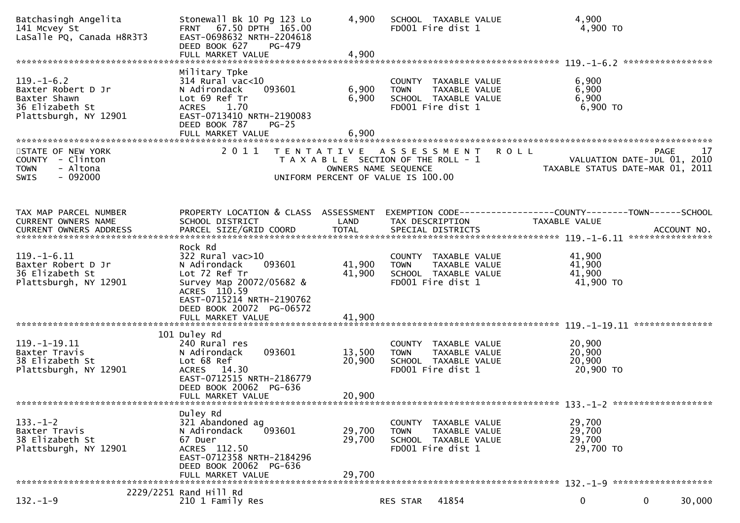| Batchasingh Angelita<br>141 Mcvey St<br>LaSalle PQ, Canada H8R3T3                                  | Stonewall Bk 10 Pg 123 Lo<br>FRNT 67.50 DPTH 165.00<br>EAST-0698632 NRTH-2204618<br>DEED BOOK 627<br>PG-479                                                      | 4,900                                     | SCHOOL TAXABLE VALUE<br>FD001 Fire dist 1                                                          |               | 4,900<br>4,900 TO                                                                    |
|----------------------------------------------------------------------------------------------------|------------------------------------------------------------------------------------------------------------------------------------------------------------------|-------------------------------------------|----------------------------------------------------------------------------------------------------|---------------|--------------------------------------------------------------------------------------|
|                                                                                                    | Military Tpke                                                                                                                                                    |                                           |                                                                                                    |               |                                                                                      |
| $119. - 1 - 6.2$<br>Baxter Robert D Jr<br>Baxter Shawn<br>36 Elizabeth St<br>Plattsburgh, NY 12901 | $314$ Rural vac<10<br>093601<br>N Adirondack<br>Lot 69 Ref Tr<br><b>ACRES</b><br>1.70<br>EAST-0713410 NRTH-2190083<br>DEED BOOK 787<br>$PG-25$                   | 6,900<br>6,900                            | COUNTY TAXABLE VALUE<br><b>TOWN</b><br>SCHOOL TAXABLE VALUE<br>FD001 Fire dist 1                   | TAXABLE VALUE | 6,900<br>6,900<br>6,900<br>6,900 ТО                                                  |
|                                                                                                    | FULL MARKET VALUE                                                                                                                                                | 6,900                                     |                                                                                                    |               |                                                                                      |
|                                                                                                    | 2011                                                                                                                                                             |                                           |                                                                                                    |               |                                                                                      |
| STATE OF NEW YORK<br>COUNTY - Clinton<br>- Altona<br><b>TOWN</b><br>$-092000$<br><b>SWIS</b>       |                                                                                                                                                                  | T E N T A T I V E<br>OWNERS NAME SEQUENCE | A S S E S S M E N T<br>T A X A B L E SECTION OF THE ROLL - 1<br>UNIFORM PERCENT OF VALUE IS 100.00 | <b>ROLL</b>   | 17<br><b>PAGE</b><br>VALUATION DATE-JUL 01, 2010<br>TAXABLE STATUS DATE-MAR 01, 2011 |
|                                                                                                    |                                                                                                                                                                  |                                           |                                                                                                    |               |                                                                                      |
| TAX MAP PARCEL NUMBER<br>CURRENT OWNERS NAME                                                       | PROPERTY LOCATION & CLASS ASSESSMENT<br>SCHOOL DISTRICT                                                                                                          | LAND                                      | TAX DESCRIPTION                                                                                    |               | EXEMPTION CODE-----------------COUNTY-------TOWN------SCHOOL<br>TAXABLE VALUE        |
|                                                                                                    |                                                                                                                                                                  |                                           |                                                                                                    |               |                                                                                      |
| $119. - 1 - 6.11$<br>Baxter Robert D Jr<br>36 Elizabeth St<br>Plattsburgh, NY 12901                | Rock Rd<br>$322$ Rural vac $>10$<br>093601<br>N Adirondack<br>Lot 72 Ref Tr<br>Survey Map 20072/05682 &<br>ACRES 110.59<br>EAST-0715214 NRTH-2190762             | 41,900<br>41,900                          | COUNTY TAXABLE VALUE<br><b>TOWN</b><br>SCHOOL TAXABLE VALUE<br>FD001 Fire dist 1                   | TAXABLE VALUE | 41,900<br>41,900<br>41,900<br>41,900 TO                                              |
|                                                                                                    | DEED BOOK 20072 PG-06572<br>FULL MARKET VALUE                                                                                                                    | 41,900                                    |                                                                                                    |               |                                                                                      |
|                                                                                                    |                                                                                                                                                                  |                                           |                                                                                                    |               |                                                                                      |
| $119. - 1 - 19.11$<br>Baxter Travis<br>38 Elizabeth St<br>Plattsburgh, NY 12901                    | 101 Duley Rd<br>240 Rural res<br>093601<br>N Adirondack<br>Lot 68 Ref<br>ACRES 14.30<br>EAST-0712515 NRTH-2186779<br>DEED BOOK 20062 PG-636<br>FULL MARKET VALUE | 13,500<br>20,900<br>20,900                | COUNTY TAXABLE VALUE<br><b>TOWN</b><br>SCHOOL TAXABLE VALUE<br>FD001 Fire dist 1                   | TAXABLE VALUE | 20,900<br>20,900<br>20,900<br>20,900 TO                                              |
|                                                                                                    |                                                                                                                                                                  |                                           |                                                                                                    |               |                                                                                      |
| $133. - 1 - 2$<br>Baxter Travis<br>38 Elizabeth St<br>Plattsburgh, NY 12901                        | Duley Rd<br>321 Abandoned ag<br>093601<br>N Adirondack<br>67 Duer<br>ACRES 112.50<br>EAST-0712358 NRTH-2184296<br>DEED BOOK 20062 PG-636<br>FULL MARKET VALUE    | 29,700<br>29,700<br>29,700                | COUNTY TAXABLE VALUE<br><b>TOWN</b><br>SCHOOL TAXABLE VALUE<br>FD001 Fire dist 1                   | TAXABLE VALUE | 29,700<br>29,700<br>29,700<br>29,700 TO                                              |
|                                                                                                    |                                                                                                                                                                  |                                           |                                                                                                    |               |                                                                                      |
| $132. - 1 - 9$                                                                                     | 2229/2251 Rand Hill Rd<br>210 1 Family Res                                                                                                                       |                                           | 41854<br>RES STAR                                                                                  |               | 30,000<br>0<br>$\mathbf{0}$                                                          |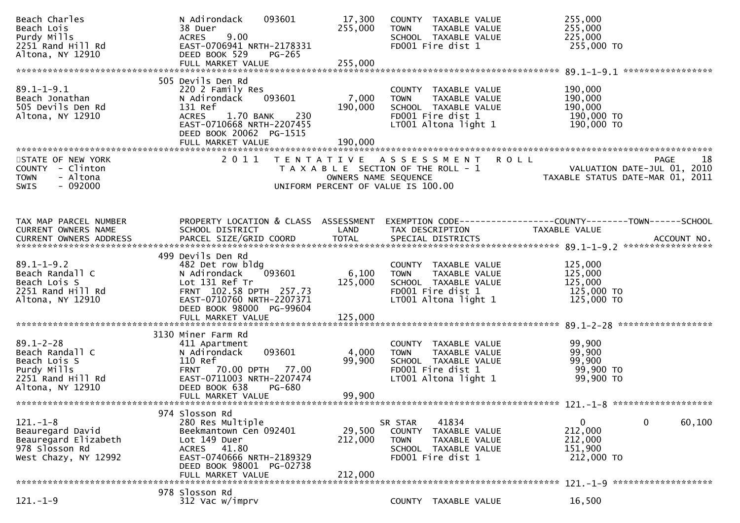| Beach Charles<br>Beach Lois<br>Purdy Mills<br>2251 Rand Hill Rd<br>Altona, NY 12910                        | N Adirondack<br>093601<br>38 Duer<br>9.00<br><b>ACRES</b><br>EAST-0706941 NRTH-2178331<br>DEED BOOK 529<br>PG-265                                                                        | 17,300<br>255,000            | COUNTY TAXABLE VALUE<br><b>TOWN</b><br>TAXABLE VALUE<br>SCHOOL TAXABLE VALUE<br>FD001 Fire dist 1                                         | 255,000<br>255,000<br>225,000<br>255,000 TO                                                                        |
|------------------------------------------------------------------------------------------------------------|------------------------------------------------------------------------------------------------------------------------------------------------------------------------------------------|------------------------------|-------------------------------------------------------------------------------------------------------------------------------------------|--------------------------------------------------------------------------------------------------------------------|
|                                                                                                            |                                                                                                                                                                                          |                              |                                                                                                                                           |                                                                                                                    |
| $89.1 - 1 - 9.1$<br>Beach Jonathan<br>505 Devils Den Rd<br>Altona, NY 12910                                | 505 Devils Den Rd<br>220 2 Family Res<br>093601<br>N Adirondack<br>131 Ref<br>1.70 BANK 230<br><b>ACRES</b><br>EAST-0710668 NRTH-2207455<br>DEED BOOK 20062 PG-1515<br>FULL MARKET VALUE | 7,000<br>190,000<br>190,000  | COUNTY TAXABLE VALUE<br>TAXABLE VALUE<br><b>TOWN</b><br>SCHOOL TAXABLE VALUE<br>FD001 Fire dist 1<br>LT001 Altona light 1                 | 190,000<br>190,000<br>190,000<br>190,000 TO<br>190,000 TO                                                          |
| STATE OF NEW YORK<br>COUNTY - Clinton<br>- Altona<br><b>TOWN</b><br>$-092000$<br><b>SWIS</b>               | 2011                                                                                                                                                                                     |                              | TENTATIVE ASSESSMENT ROLL                                                                                                                 | PAGE 18<br>OWNERS NAME SEQUENCE<br>OWNERS NAME SEQUENCE<br>UNIFORM PERCENT OF VALUE IS 100.00                      |
| TAX MAP PARCEL NUMBER<br>CURRENT OWNERS NAME                                                               | SCHOOL DISTRICT                                                                                                                                                                          | LAND                         | TAX DESCRIPTION                                                                                                                           | PROPERTY LOCATION & CLASS ASSESSMENT EXEMPTION CODE-----------------COUNTY-------TOWN------SCHOOL<br>TAXABLE VALUE |
| $89.1 - 1 - 9.2$<br>Beach Randall C<br>Beach Lois S<br>2251 Rand Hill Rd<br>Altona, NY 12910               | 499 Devils Den Rd<br>482 Det row bldg<br>N Adirondack 093601<br>Lot 131 Ref Tr<br>FRNT 102.58 DPTH 257.73<br>EAST-0710760 NRTH-2207371<br>DEED BOOK 98000 PG-99604                       | 6,100<br>125,000             | COUNTY TAXABLE VALUE<br><b>TOWN</b><br>TAXABLE VALUE<br>SCHOOL TAXABLE VALUE<br>FD001 Fire dist 1<br>LT001 Altona light 1                 | 125,000<br>125,000<br>125,000<br>125,000 TO<br>125,000 TO                                                          |
| $89.1 - 2 - 28$<br>Beach Randall C<br>Beach Lois S<br>Purdy Mills<br>2251 Rand Hill Rd<br>Altona, NY 12910 | 3130 Miner Farm Rd<br>411 Apartment<br>093601<br>N Adirondack<br>110 Ref<br>FRNT 70.00 DPTH 77.00<br>EAST-0711003 NRTH-2207474<br>DEED BOOK 638<br>PG-680<br>FULL MARKET VALUE           | 4,000<br>99,900<br>99,900    | COUNTY TAXABLE VALUE<br><b>TOWN</b><br>TAXABLE VALUE<br>TOWN IMMOBEL<br>SCHOOL TAXABLE VALUE<br>FD001 Fire dist 1<br>LT001 Altona light 1 | 99,900<br>99,900<br>99,900<br>99,900 то<br>99,900 TO                                                               |
|                                                                                                            |                                                                                                                                                                                          |                              |                                                                                                                                           |                                                                                                                    |
| $121. - 1 - 8$<br>Beauregard David<br>Beauregard Elizabeth<br>978 Slosson Rd<br>West Chazy, NY 12992       | 974 Slosson Rd<br>280 Res Multiple<br>Beekmantown Cen 092401<br>Lot 149 Duer<br><b>ACRES</b><br>41.80<br>EAST-0740666 NRTH-2189329<br>DEED BOOK 98001 PG-02738<br>FULL MARKET VALUE      | 29,500<br>212,000<br>212,000 | 41834<br>SR STAR<br>TAXABLE VALUE<br>COUNTY<br><b>TOWN</b><br>TAXABLE VALUE<br>SCHOOL TAXABLE VALUE<br>FD001 Fire dist 1                  | 0<br>60,100<br>0<br>212,000<br>212,000<br>151,900<br>212,000 TO<br>$121 - 1 - 9$ ********************              |
| $121. - 1 - 9$                                                                                             | 978 Slosson Rd<br>312 Vac w/imprv                                                                                                                                                        |                              | COUNTY TAXABLE VALUE                                                                                                                      | 16,500                                                                                                             |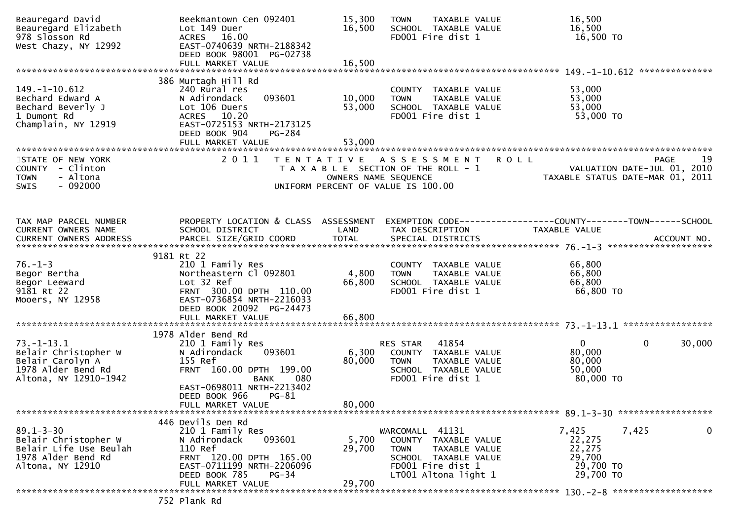| Beauregard David<br>Beauregard Elizabeth<br>978 Slosson Rd<br>West Chazy, NY 12992                          | Beekmantown Cen 092401<br>Lot 149 Duer<br>ACRES 16.00<br>EAST-0740639 NRTH-2188342<br>DEED BOOK 98001 PG-02738                                                              | 15,300<br>16,500                                                                                    | <b>TOWN</b><br>FD001 Fire dist 1                    | TAXABLE VALUE<br>SCHOOL TAXABLE VALUE                                  | 16,500<br>16,500<br>16,500 TO                                                   |                             |
|-------------------------------------------------------------------------------------------------------------|-----------------------------------------------------------------------------------------------------------------------------------------------------------------------------|-----------------------------------------------------------------------------------------------------|-----------------------------------------------------|------------------------------------------------------------------------|---------------------------------------------------------------------------------|-----------------------------|
|                                                                                                             |                                                                                                                                                                             |                                                                                                     |                                                     |                                                                        |                                                                                 |                             |
| $149. - 1 - 10.612$<br>Bechard Edward A<br>Bechard Beverly J<br>1 Dumont Rd<br>Champlain, NY 12919          | 386 Murtagh Hill Rd<br>240 Rural res<br>093601<br>N Adirondack<br>Lot 106 Duers<br>ACRES 10.20<br>EAST-0725153 NRTH-2173125<br>DEED BOOK 904<br>PG-284<br>FULL MARKET VALUE | 10,000<br>53,000<br>53,000                                                                          | <b>TOWN</b><br>FD001 Fire dist 1                    | COUNTY TAXABLE VALUE<br>TAXABLE VALUE<br>SCHOOL TAXABLE VALUE          | 53,000<br>53,000<br>53,000<br>53,000 TO                                         |                             |
| STATE OF NEW YORK                                                                                           | 2 0 1 1                                                                                                                                                                     | TENTATIVE ASSESSMENT                                                                                |                                                     | <b>ROLL</b>                                                            |                                                                                 | <b>PAGE</b><br>19           |
| COUNTY - Clinton<br>- Altona<br><b>TOWN</b><br>$-092000$<br><b>SWIS</b>                                     |                                                                                                                                                                             | T A X A B L E SECTION OF THE ROLL - 1<br>OWNERS NAME SEQUENCE<br>UNIFORM PERCENT OF VALUE IS 100.00 |                                                     |                                                                        | VALUATION DATE-JUL VI, 2010<br>TAXABLE STATUS DATE-MAR 01, 2011                 | VALUATION DATE-JUL 01, 2010 |
|                                                                                                             |                                                                                                                                                                             |                                                                                                     |                                                     |                                                                        |                                                                                 |                             |
| TAX MAP PARCEL NUMBER<br>CURRENT OWNERS NAME<br><b>CURRENT OWNERS ADDRESS</b>                               | PROPERTY LOCATION & CLASS ASSESSMENT<br>SCHOOL DISTRICT                                                                                                                     | LAND                                                                                                | TAX DESCRIPTION                                     |                                                                        | EXEMPTION CODE------------------COUNTY--------TOWN------SCHOOL<br>TAXABLE VALUE |                             |
|                                                                                                             | 9181 Rt 22                                                                                                                                                                  |                                                                                                     |                                                     |                                                                        |                                                                                 |                             |
| $76. - 1 - 3$<br>Begor Bertha<br>Begor Leeward<br>9181 Rt 22<br>Mooers, NY 12958                            | 210 1 Family Res<br>Northeastern Cl 092801<br>Lot 32 Ref<br>FRNT 300.00 DPTH 110.00<br>EAST-0736854 NRTH-2216033<br>DEED BOOK 20092 PG-24473                                | 4,800<br>66,800                                                                                     | <b>TOWN</b><br>FD001 Fire dist 1                    | COUNTY TAXABLE VALUE<br>TAXABLE VALUE<br>SCHOOL TAXABLE VALUE          | 66,800<br>66,800<br>66,800<br>66,800 TO                                         |                             |
|                                                                                                             | FULL MARKET VALUE                                                                                                                                                           | 66,800                                                                                              |                                                     |                                                                        |                                                                                 |                             |
| $73. - 1 - 13.1$<br>Belair Christopher W<br>Belair Carolyn A<br>1978 Alder Bend Rd<br>Altona, NY 12910-1942 | 1978 Alder Bend Rd<br>210 1 Family Res<br>093601<br>N Adirondack<br>155 Ref<br>FRNT 160.00 DPTH 199.00<br>080<br>BANK<br>EAST-0698011 NRTH-2213402                          | 6,300<br>80,000                                                                                     | RES STAR<br><b>TOWN</b><br>FD001 Fire dist 1        | 41854<br>COUNTY TAXABLE VALUE<br>TAXABLE VALUE<br>SCHOOL TAXABLE VALUE | $\mathbf{0}$<br>80,000<br>80,000<br>50,000<br>80,000 TO                         | $\mathbf{0}$<br>30,000      |
|                                                                                                             | DEED BOOK 966<br>$PG-81$<br>FULL MARKET VALUE                                                                                                                               | 80,000                                                                                              |                                                     |                                                                        |                                                                                 |                             |
| $89.1 - 3 - 30$<br>Belair Christopher W<br>Belair Life Use Beulah<br>1978 Alder Bend Rd<br>Altona, NY 12910 | 446 Devils Den Rd<br>210 1 Family Res<br>093601<br>N Adirondack<br>110 Ref<br>FRNT 120.00 DPTH 165.00<br>EAST-0711199 NRTH-2206096                                          | 5,700<br>29,700                                                                                     | WARCOMALL 41131<br><b>TOWN</b><br>FD001 Fire dist 1 | COUNTY TAXABLE VALUE<br>TAXABLE VALUE<br>SCHOOL TAXABLE VALUE          | 7,425<br>22,275<br>22,275<br>29,700<br>29,700 TO                                | 0<br>7,425                  |
|                                                                                                             | DEED BOOK 785<br>$PG-34$<br>FULL MARKET VALUE                                                                                                                               | 29,700                                                                                              | LT001 Altona light 1                                |                                                                        | 29,700 TO                                                                       |                             |
|                                                                                                             | 752 Plank Rd                                                                                                                                                                |                                                                                                     |                                                     |                                                                        |                                                                                 |                             |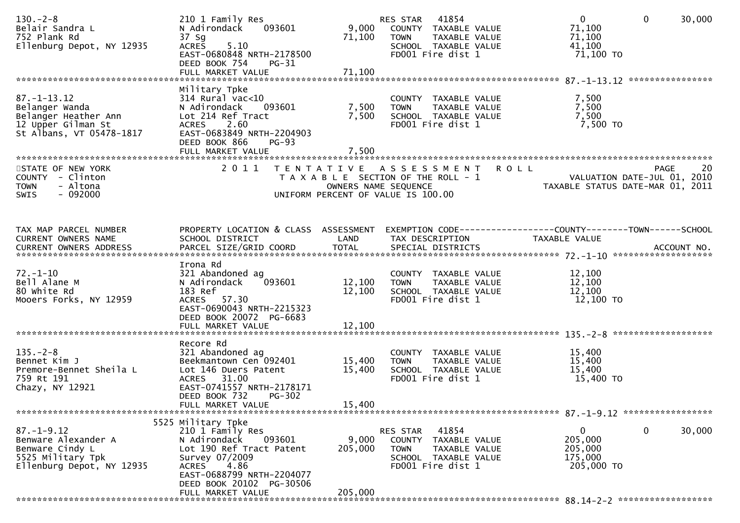| $130 - 2 - 8$<br>Belair Sandra L<br>752 Plank Rd<br>Ellenburg Depot, NY 12935                                 | 210 1 Family Res<br>093601<br>N Adirondack<br>37 Sg<br>5.10<br><b>ACRES</b><br>EAST-0680848 NRTH-2178500<br>DEED BOOK 754<br>$PG-31$<br>FULL MARKET VALUE                                | 9,000<br>71,100<br>71,100                 | RES STAR 41854<br>COUNTY TAXABLE VALUE<br>TAXABLE VALUE<br><b>TOWN</b><br>SCHOOL TAXABLE VALUE<br>FD001 Fire dist 1 | $\overline{0}$<br>$\mathbf 0$<br>30,000<br>71,100<br>71,100<br>41,100<br>71,100 TO   |
|---------------------------------------------------------------------------------------------------------------|------------------------------------------------------------------------------------------------------------------------------------------------------------------------------------------|-------------------------------------------|---------------------------------------------------------------------------------------------------------------------|--------------------------------------------------------------------------------------|
| $87. - 1 - 13.12$<br>Belanger Wanda<br>Belanger Heather Ann<br>12 Upper Gilman St<br>St Albans, VT 05478-1817 | Military Tpke<br>$314$ Rural vac<10<br>N Adirondack<br>093601<br>Lot 214 Ref Tract<br><b>ACRES</b><br>2.60<br>EAST-0683849 NRTH-2204903<br>DEED BOOK 866<br>$PG-93$<br>FULL MARKET VALUE | 7,500<br>7,500<br>7,500                   | COUNTY TAXABLE VALUE<br>TAXABLE VALUE<br><b>TOWN</b><br>SCHOOL TAXABLE VALUE<br>FD001 Fire dist 1                   | 7,500<br>7,500<br>7,500<br>7,500 TO                                                  |
| STATE OF NEW YORK<br>COUNTY - Clinton<br><b>TOWN</b><br>- Altona<br>$-092000$<br><b>SWIS</b>                  | 2011                                                                                                                                                                                     | T E N T A T I V E<br>OWNERS NAME SEQUENCE | A S S E S S M E N T<br><b>ROLL</b><br>T A X A B L E SECTION OF THE ROLL - 1<br>UNIFORM PERCENT OF VALUE IS 100.00   | 20<br><b>PAGE</b><br>VALUATION DATE-JUL 01, 2010<br>TAXABLE STATUS DATE-MAR 01, 2011 |
| TAX MAP PARCEL NUMBER<br>CURRENT OWNERS NAME                                                                  | PROPERTY LOCATION & CLASS ASSESSMENT<br>SCHOOL DISTRICT                                                                                                                                  | LAND                                      | TAX DESCRIPTION                                                                                                     | EXEMPTION CODE-----------------COUNTY-------TOWN------SCHOOL<br>TAXABLE VALUE        |
| $72. - 1 - 10$<br>Bell Alane M<br>80 white Rd<br>Mooers Forks, NY 12959                                       | Irona Rd<br>321 Abandoned ag<br>N Adirondack<br>093601<br>183 Ref<br>ACRES 57.30<br>EAST-0690043 NRTH-2215323<br>DEED BOOK 20072 PG-6683                                                 | 12,100<br>12,100                          | COUNTY TAXABLE VALUE<br>TAXABLE VALUE<br><b>TOWN</b><br>SCHOOL TAXABLE VALUE<br>FD001 Fire dist 1                   | 12,100<br>12,100<br>12,100<br>12,100 TO                                              |
|                                                                                                               |                                                                                                                                                                                          |                                           |                                                                                                                     |                                                                                      |
| $135. - 2 - 8$<br>Bennet Kim J<br>Premore-Bennet Sheila L<br>759 Rt 191<br>Chazy, NY 12921                    | Recore Rd<br>321 Abandoned ag<br>Beekmantown Cen 092401<br>Lot 146 Duers Patent<br>ACRES 31.00<br>EAST-0741557 NRTH-2178171<br>DEED BOOK 732<br>$PG-302$                                 | 15,400<br>15,400                          | COUNTY TAXABLE VALUE<br><b>TOWN</b><br>TAXABLE VALUE<br>SCHOOL TAXABLE VALUE<br>FD001 Fire dist 1                   | 15,400<br>15,400<br>15,400<br>15,400 TO                                              |
|                                                                                                               | FULL MARKET VALUE                                                                                                                                                                        | 15,400                                    |                                                                                                                     |                                                                                      |
|                                                                                                               | 5525 Military Tpke                                                                                                                                                                       |                                           |                                                                                                                     |                                                                                      |
| $87. - 1 - 9.12$<br>Benware Alexander A<br>Benware Cindy L<br>5525 Military Tpk<br>Ellenburg Depot, NY 12935  | 210 1 Family Res<br>N Adirondack<br>093601<br>Lot 190 Ref Tract Patent<br>Survey 07/2009<br>4.86<br><b>ACRES</b><br>EAST-0688799 NRTH-2204077                                            | 9,000<br>205,000                          | RES STAR 41854<br>COUNTY TAXABLE VALUE<br><b>TOWN</b><br>TAXABLE VALUE<br>SCHOOL TAXABLE VALUE<br>FD001 Fire dist 1 | $\mathbf 0$<br>$\mathbf 0$<br>30,000<br>205,000<br>205,000<br>175,000<br>205,000 TO  |
|                                                                                                               | DEED BOOK 20102 PG-30506<br>FULL MARKET VALUE                                                                                                                                            | 205,000                                   |                                                                                                                     |                                                                                      |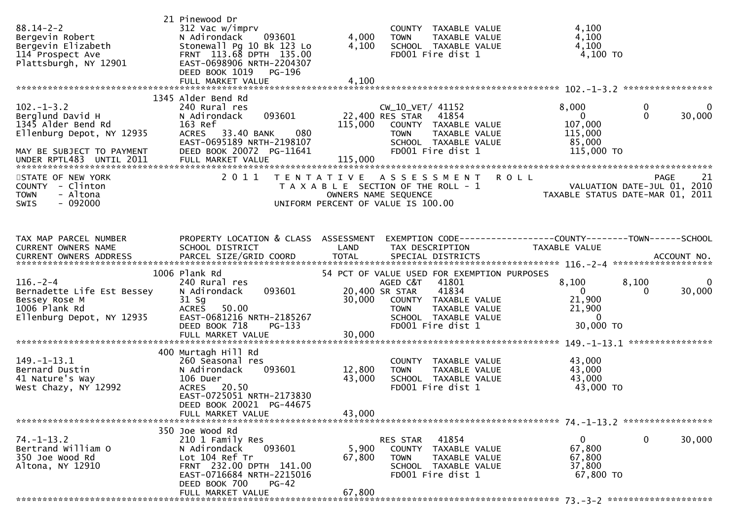| $88.14 - 2 - 2$<br>Bergevin Robert<br>Bergevin Elizabeth<br>114 Prospect Ave<br>Plattsburgh, NY 12901               | 21 Pinewood Dr<br>312 Vac w/imprv<br>093601<br>N Adirondack<br>Stonewall Pg 10 Bk 123 Lo<br>FRNT 113.68 DPTH 135.00<br>EAST-0698906 NRTH-2204307<br>DEED BOOK 1019<br>PG-196<br>FULL MARKET VALUE | 4,000<br>4,100<br>4,100    | COUNTY TAXABLE VALUE<br>TAXABLE VALUE<br><b>TOWN</b><br>SCHOOL TAXABLE VALUE<br>FD001 Fire dist 1                                                 | 4,100<br>4,100<br>4,100<br>$4,100$ TO                                          |                                         |
|---------------------------------------------------------------------------------------------------------------------|---------------------------------------------------------------------------------------------------------------------------------------------------------------------------------------------------|----------------------------|---------------------------------------------------------------------------------------------------------------------------------------------------|--------------------------------------------------------------------------------|-----------------------------------------|
|                                                                                                                     |                                                                                                                                                                                                   |                            |                                                                                                                                                   |                                                                                |                                         |
| $102 - 1 - 3.2$<br>Berglund David H<br>1345 Alder Bend Rd<br>Ellenburg Depot, NY 12935<br>MAY BE SUBJECT TO PAYMENT | 1345 Alder Bend Rd<br>240 Rural res<br>093601<br>N Adirondack<br>163 Ref<br>ACRES 33.40 BANK<br>080<br>EAST-0695189 NRTH-2198107<br>DEED BOOK 20072 PG-11641                                      | 115,000                    | CW_10_VET/ 41152<br>22,400 RES STAR<br>41854<br>COUNTY TAXABLE VALUE<br><b>TOWN</b><br>TAXABLE VALUE<br>SCHOOL TAXABLE VALUE<br>FD001 Fire dist 1 | 8,000<br>$\overline{0}$<br>107,000<br>115,000<br>85,000<br>115,000 TO          | $\mathbf{0}$<br>0<br>$\Omega$<br>30,000 |
|                                                                                                                     |                                                                                                                                                                                                   |                            |                                                                                                                                                   |                                                                                |                                         |
| STATE OF NEW YORK<br>COUNTY - Clinton<br><b>TOWN</b><br>- Altona<br>$-092000$<br>SWIS                               | 2011                                                                                                                                                                                              | T E N T A T I V E          | A S S E S S M E N T<br>T A X A B L E SECTION OF THE ROLL - 1<br>OWNERS NAME SEQUENCE<br>UNIFORM PERCENT OF VALUE IS 100.00                        | <b>ROLL</b><br>VALUATION DATE-JUL 01, 2010<br>TAXABLE STATUS DATE-MAR 01, 2011 | 21<br><b>PAGE</b>                       |
| TAX MAP PARCEL NUMBER<br>CURRENT OWNERS NAME                                                                        | PROPERTY LOCATION & CLASS ASSESSMENT<br>SCHOOL DISTRICT                                                                                                                                           | LAND                       | EXEMPTION CODE-----------------COUNTY--------TOWN------SCHOOL<br>TAX DESCRIPTION                                                                  | TAXABLE VALUE                                                                  |                                         |
|                                                                                                                     | 1006 Plank Rd                                                                                                                                                                                     |                            | 54 PCT OF VALUE USED FOR EXEMPTION PURPOSES                                                                                                       |                                                                                |                                         |
| $116. - 2 - 4$<br>Bernadette Life Est Bessey<br>Bessey Rose M<br>1006 Plank Rd<br>Ellenburg Depot, NY 12935         | 240 Rural res<br>093601<br>N Adirondack<br>$31$ Sg<br>ACRES 50.00<br>EAST-0681216 NRTH-2185267                                                                                                    | 30,000                     | AGED C&T<br>41801<br>41834<br>20,400 SR STAR<br>COUNTY TAXABLE VALUE<br><b>TOWN</b><br>TAXABLE VALUE<br>SCHOOL TAXABLE VALUE                      | 8,100<br>$\overline{0}$<br>21,900<br>21,900<br>$\overline{0}$                  | 8,100<br>0<br>$\Omega$<br>30,000        |
|                                                                                                                     | DEED BOOK 718<br>PG-133                                                                                                                                                                           |                            | FD001 Fire dist 1                                                                                                                                 | 30,000 TO                                                                      |                                         |
|                                                                                                                     |                                                                                                                                                                                                   |                            |                                                                                                                                                   |                                                                                |                                         |
| $149. - 1 - 13.1$<br>Bernard Dustin<br>41 Nature's Way<br>West Chazy, NY 12992                                      | 400 Murtagh Hill Rd<br>260 Seasonal res<br>093601<br>N Adirondack<br>106 Duer<br>ACRES 20.50<br>EAST-0725051 NRTH-2173830<br>DEED BOOK 20021 PG-44675<br>FULL MARKET VALUE                        | 12,800<br>43,000<br>43,000 | COUNTY TAXABLE VALUE<br>TAXABLE VALUE<br><b>TOWN</b><br>SCHOOL TAXABLE VALUE<br>FD001 Fire dist 1                                                 | 43,000<br>43,000<br>43,000<br>43,000 TO                                        |                                         |
|                                                                                                                     |                                                                                                                                                                                                   |                            |                                                                                                                                                   |                                                                                |                                         |
| $74. - 1 - 13.2$<br>Bertrand William O<br>350 Joe Wood Rd<br>Altona, NY 12910                                       | 350 Joe Wood Rd<br>210 1 Family Res<br>093601<br>N Adirondack<br>Lot 104 Ref Tr<br>FRNT 232.00 DPTH 141.00<br>EAST-0716684 NRTH-2215016<br>DEED BOOK 700<br><b>PG-42</b>                          | 5,900<br>67,800<br>67,800  | 41854<br>RES STAR<br>COUNTY TAXABLE VALUE<br>TAXABLE VALUE<br><b>TOWN</b><br>SCHOOL TAXABLE VALUE<br>FD001 Fire dist 1                            | $\mathbf{0}$<br>67,800<br>67,800<br>37,800<br>67,800 TO                        | $\mathbf 0$<br>30,000                   |
|                                                                                                                     | FULL MARKET VALUE                                                                                                                                                                                 |                            |                                                                                                                                                   |                                                                                |                                         |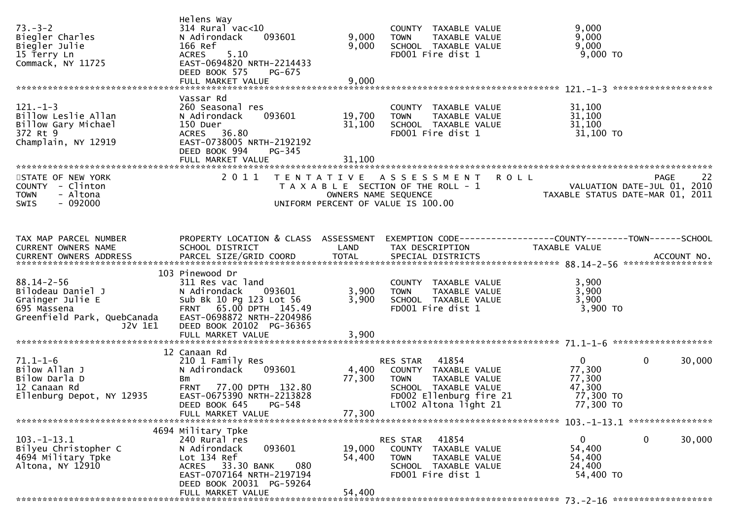| $73. - 3 - 2$<br>Biegler Charles<br>Biegler Julie<br>15 Terry Ln<br>Commack, NY 11725                              | Helens Way<br>$314$ Rural vac<10<br>N Adirondack<br>093601<br>166 Ref<br>5.10<br>ACRES<br>EAST-0694820 NRTH-2214433<br>DEED BOOK 575<br>PG-675                   | 9,000<br>9,000                            | COUNTY TAXABLE VALUE<br><b>TOWN</b><br>TAXABLE VALUE<br>SCHOOL TAXABLE VALUE<br>FD001 Fire dist 1                                                     | 9,000<br>9,000<br>9,000<br>$9,000$ TO                                              |
|--------------------------------------------------------------------------------------------------------------------|------------------------------------------------------------------------------------------------------------------------------------------------------------------|-------------------------------------------|-------------------------------------------------------------------------------------------------------------------------------------------------------|------------------------------------------------------------------------------------|
|                                                                                                                    | Vassar Rd                                                                                                                                                        |                                           |                                                                                                                                                       |                                                                                    |
| $121 - 1 - 3$<br>Billow Leslie Allan<br>Billow Gary Michael<br>372 Rt 9<br>Champlain, NY 12919                     | 260 Seasonal res<br>N Adirondack<br>093601<br>150 Duer<br>ACRES 36.80<br>EAST-0738005 NRTH-2192192<br>DEED BOOK 994<br><b>PG-345</b>                             | 19,700<br>31,100                          | COUNTY TAXABLE VALUE<br>TAXABLE VALUE<br><b>TOWN</b><br>SCHOOL TAXABLE VALUE<br>FD001 Fire dist 1                                                     | 31,100<br>31,100<br>31,100<br>31,100 TO                                            |
|                                                                                                                    | FULL MARKET VALUE                                                                                                                                                | 31,100                                    |                                                                                                                                                       |                                                                                    |
| STATE OF NEW YORK<br>COUNTY - Clinton<br><b>TOWN</b><br>- Altona<br>- 092000<br>SWIS                               | 2011                                                                                                                                                             | T E N T A T I V E<br>OWNERS NAME SEQUENCE | <b>ROLL</b><br>A S S E S S M E N T<br>T A X A B L E SECTION OF THE ROLL - 1<br>UNIFORM PERCENT OF VALUE IS 100.00                                     | 22<br>PAGE<br>VALUATION DATE-JUL 01, 2010<br>TAXABLE STATUS DATE-MAR 01, 2011      |
|                                                                                                                    |                                                                                                                                                                  |                                           |                                                                                                                                                       |                                                                                    |
| TAX MAP PARCEL NUMBER<br>CURRENT OWNERS NAME                                                                       | PROPERTY LOCATION & CLASS ASSESSMENT<br>SCHOOL DISTRICT                                                                                                          | LAND                                      | TAX DESCRIPTION                                                                                                                                       | EXEMPTION CODE-----------------COUNTY-------TOWN------SCHOOL<br>TAXABLE VALUE      |
|                                                                                                                    | 103 Pinewood Dr                                                                                                                                                  |                                           |                                                                                                                                                       |                                                                                    |
| $88.14 - 2 - 56$<br>Bilodeau Daniel J<br>Grainger Julie E<br>695 Massena<br>Greenfield Park, QuebCanada<br>J2V 1E1 | 311 Res vac land<br>N Adirondack<br>093601<br>Sub Bk 10 Pg 123 Lot 56<br>FRNT 65.00 DPTH 145.49<br>EAST-0698872 NRTH-2204986<br>DEED BOOK 20102 PG-36365         | 3,900<br>3,900                            | COUNTY TAXABLE VALUE<br>TAXABLE VALUE<br><b>TOWN</b><br>SCHOOL TAXABLE VALUE<br>FD001 Fire dist 1                                                     | 3,900<br>3,900<br>3,900<br>$3,900$ TO                                              |
|                                                                                                                    |                                                                                                                                                                  |                                           |                                                                                                                                                       |                                                                                    |
|                                                                                                                    | 12 Canaan Rd                                                                                                                                                     |                                           |                                                                                                                                                       |                                                                                    |
| $71.1 - 1 - 6$<br>Bilow Allan J<br>Bilow Darla D<br>12 Canaan Rd<br>Ellenburg Depot, NY 12935                      | 210 1 Family Res<br>N Adirondack<br>093601<br>Bm<br>FRNT 77.00 DPTH 132.80<br>EAST-0675390 NRTH-2213828<br>DEED BOOK 645 PG-548<br>FULL MARKET VALUE             | 4,400<br>77,300<br>77,300                 | RES STAR<br>41854<br>COUNTY TAXABLE VALUE<br>TAXABLE VALUE<br><b>TOWN</b><br>SCHOOL TAXABLE VALUE<br>FD002 Ellenburg fire 21<br>LT002 Altona light 21 | 0<br>$\mathbf 0$<br>30,000<br>77,300<br>77,300<br>47,300<br>77,300 TO<br>77,300 TO |
|                                                                                                                    |                                                                                                                                                                  |                                           |                                                                                                                                                       |                                                                                    |
| $103. - 1 - 13.1$<br>Bilyeu Christopher C<br>4694 Military Tpke<br>Altona, NY 12910                                | 4694 Military Tpke<br>240 Rural res<br>093601<br>N Adirondack<br>Lot 134 Ref<br>ACRES 33.30 BANK<br>080<br>EAST-0707164 NRTH-2197194<br>DEED BOOK 20031 PG-59264 | 19,000<br>54,400<br>54,400                | 41854<br>RES STAR<br>COUNTY TAXABLE VALUE<br>TAXABLE VALUE<br>TOWN<br>SCHOOL TAXABLE VALUE<br>FD001 Fire dist 1                                       | $\mathbf 0$<br>30,000<br>$\mathbf{0}$<br>54,400<br>54,400<br>24,400<br>54,400 TO   |
|                                                                                                                    | FULL MARKET VALUE                                                                                                                                                |                                           |                                                                                                                                                       |                                                                                    |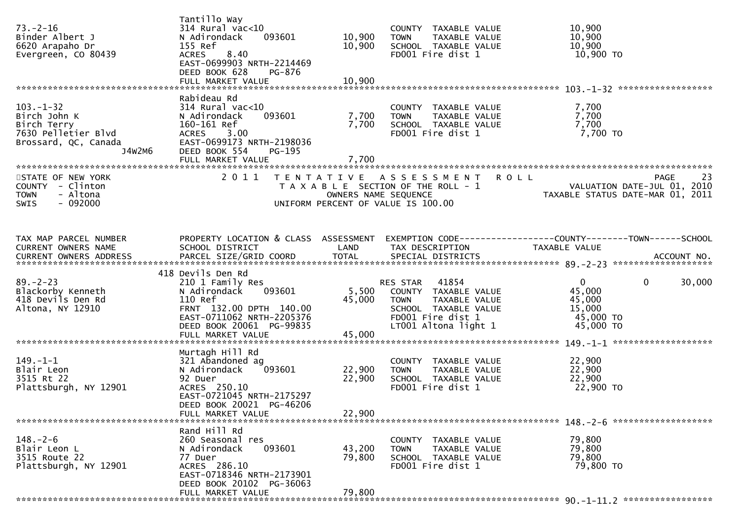| $73. - 2 - 16$<br>Binder Albert J<br>6620 Arapaho Dr<br>Evergreen, CO 80439                             | Tantillo Way<br>314 Rural vac<10<br>093601<br>N Adirondack<br>155 Ref<br>8.40<br><b>ACRES</b><br>EAST-0699903 NRTH-2214469<br>DEED BOOK 628<br><b>PG-876</b>            | 10,900<br>10,900                          | COUNTY TAXABLE VALUE<br>TAXABLE VALUE<br><b>TOWN</b><br>SCHOOL TAXABLE VALUE<br>FD001 Fire dist 1                      | 10,900<br>10,900<br>10,900<br>10,900 TO                                                             |
|---------------------------------------------------------------------------------------------------------|-------------------------------------------------------------------------------------------------------------------------------------------------------------------------|-------------------------------------------|------------------------------------------------------------------------------------------------------------------------|-----------------------------------------------------------------------------------------------------|
|                                                                                                         | Rabideau Rd                                                                                                                                                             |                                           |                                                                                                                        |                                                                                                     |
| $103. - 1 - 32$<br>Birch John K<br>Birch Terry<br>7630 Pelletier Blvd<br>Brossard, QC, Canada<br>J4w2m6 | $314$ Rural vac<10<br>N Adirondack<br>093601<br>160-161 Ref<br><b>ACRES</b><br>3.00<br>EAST-0699173 NRTH-2198036<br>DEED BOOK 554<br><b>PG-195</b><br>FULL MARKET VALUE | 7,700<br>7,700<br>7,700                   | COUNTY TAXABLE VALUE<br><b>TOWN</b><br>TAXABLE VALUE<br>SCHOOL TAXABLE VALUE<br>FD001 Fire dist 1                      | 7,700<br>7,700<br>7,700<br>7,700 TO                                                                 |
|                                                                                                         |                                                                                                                                                                         |                                           |                                                                                                                        |                                                                                                     |
| STATE OF NEW YORK<br>COUNTY - Clinton<br><b>TOWN</b><br>- Altona<br>- 092000<br>SWIS                    | 2 0 1 1                                                                                                                                                                 | T E N T A T I V E<br>OWNERS NAME SEQUENCE | A S S E S S M E N T<br>T A X A B L E SECTION OF THE ROLL - 1<br>UNIFORM PERCENT OF VALUE IS 100.00                     | <b>ROLL</b><br><b>PAGE</b><br>23<br>VALUATION DATE-JUL 01, 2010<br>TAXABLE STATUS DATE-MAR 01, 2011 |
| TAX MAP PARCEL NUMBER                                                                                   | PROPERTY LOCATION & CLASS ASSESSMENT                                                                                                                                    |                                           |                                                                                                                        | EXEMPTION CODE------------------COUNTY--------TOWN------SCHOOL                                      |
| CURRENT OWNERS NAME                                                                                     | SCHOOL DISTRICT                                                                                                                                                         | LAND                                      | TAX DESCRIPTION                                                                                                        | <b>TAXABLE VALUE</b>                                                                                |
|                                                                                                         | 418 Devils Den Rd                                                                                                                                                       |                                           |                                                                                                                        |                                                                                                     |
| $89. - 2 - 23$<br>Blackorby Kenneth<br>418 Devils Den Rd<br>Altona, NY 12910                            | 210 1 Family Res<br>093601<br>N Adirondack<br>110 Ref<br>FRNT 132.00 DPTH 140.00<br>EAST-0711062 NRTH-2205376                                                           | 5,500<br>45,000                           | 41854<br>RES STAR<br>COUNTY TAXABLE VALUE<br>TAXABLE VALUE<br><b>TOWN</b><br>SCHOOL TAXABLE VALUE<br>FD001 Fire dist 1 | $\mathbf{0}$<br>$\mathbf{0}$<br>30,000<br>45,000<br>45,000<br>15,000<br>45,000 TO                   |
|                                                                                                         | DEED BOOK 20061 PG-99835                                                                                                                                                |                                           | LT001 Altona light 1                                                                                                   | 45,000 TO                                                                                           |
|                                                                                                         | Murtagh Hill Rd                                                                                                                                                         |                                           |                                                                                                                        |                                                                                                     |
| $149. - 1 - 1$<br>Blair Leon<br>3515 Rt 22<br>Plattsburgh, NY 12901                                     | 321 Abandoned ag<br>093601<br>N Adirondack<br>92 Duer<br>ACRES 250.10<br>EAST-0721045 NRTH-2175297<br>DEED BOOK 20021 PG-46206                                          | 22,900<br>22,900                          | COUNTY TAXABLE VALUE<br><b>TOWN</b><br>TAXABLE VALUE<br>SCHOOL TAXABLE VALUE<br>FD001 Fire dist 1                      | 22,900<br>22,900<br>22,900<br>22,900 TO                                                             |
|                                                                                                         | FULL MARKET VALUE                                                                                                                                                       | 22,900                                    |                                                                                                                        |                                                                                                     |
| $148. - 2 - 6$<br>Blair Leon L<br>3515 Route 22<br>Plattsburgh, NY 12901                                | Rand Hill Rd<br>260 Seasonal res<br>093601<br>N Adirondack<br>77 Duer<br>ACRES 286.10<br>EAST-0718346 NRTH-2173901                                                      | 43,200<br>79,800                          | COUNTY TAXABLE VALUE<br><b>TOWN</b><br>TAXABLE VALUE<br>SCHOOL TAXABLE VALUE<br>FD001 Fire dist 1                      | 79,800<br>79,800<br>79,800<br>79,800 TO                                                             |
|                                                                                                         | DEED BOOK 20102 PG-36063<br>FULL MARKET VALUE                                                                                                                           | 79,800                                    |                                                                                                                        |                                                                                                     |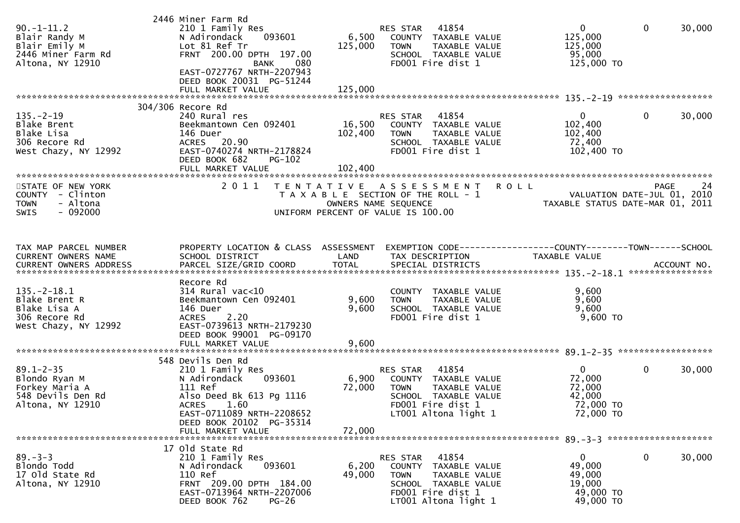| $90. -1 - 11.2$<br>Blair Randy M<br>Blair Emily M<br>2446 Miner Farm Rd<br>Altona, NY 12910  | 2446 Miner Farm Rd<br>210 1 Family Res<br>N Adirondack<br>093601<br>Lot 81 Ref Tr<br>FRNT 200.00 DPTH 197.00<br><b>BANK</b><br>080<br>EAST-0727767 NRTH-2207943<br>DEED BOOK 20031 PG-51244<br>FULL MARKET VALUE | 6,500<br>125,000<br>125,000  | 41854<br>RES STAR<br>COUNTY TAXABLE VALUE<br>TAXABLE VALUE<br><b>TOWN</b><br>SCHOOL TAXABLE VALUE<br>FD001 Fire dist 1                                | $\mathbf{0}$<br>125,000<br>125,000<br>95,000<br>125,000 TO           | $\mathbf 0$<br>30,000                                                   |    |
|----------------------------------------------------------------------------------------------|------------------------------------------------------------------------------------------------------------------------------------------------------------------------------------------------------------------|------------------------------|-------------------------------------------------------------------------------------------------------------------------------------------------------|----------------------------------------------------------------------|-------------------------------------------------------------------------|----|
| $135. - 2 - 19$<br>Blake Brent<br>Blake Lisa<br>306 Recore Rd<br>West Chazy, NY 12992        | 304/306 Recore Rd<br>240 Rural res<br>Beekmantown Cen 092401<br>146 Duer<br>ACRES 20.90<br>EAST-0740274 NRTH-2178824<br>DEED BOOK 682<br>PG-102<br>FULL MARKET VALUE                                             | 16,500<br>102,400<br>102,400 | RES STAR<br>41854<br>COUNTY TAXABLE VALUE<br><b>TOWN</b><br>TAXABLE VALUE<br>SCHOOL TAXABLE VALUE<br>FD001 Fire dist 1                                | $\mathbf{0}$<br>102,400<br>102,400<br>72,400<br>102,400 TO           | 30,000<br>$\mathbf{0}$                                                  |    |
| STATE OF NEW YORK<br>COUNTY - Clinton<br><b>TOWN</b><br>- Altona<br>$-092000$<br><b>SWIS</b> | 2 0 1 1                                                                                                                                                                                                          |                              | TENTATIVE ASSESSMENT<br>T A X A B L E SECTION OF THE ROLL - 1<br>OWNERS NAME SEQUENCE<br>UNIFORM PERCENT OF VALUE IS 100.00                           | <b>ROLL</b>                                                          | PAGE<br>VALUATION DATE-JUL 01, 2010<br>TAXABLE STATUS DATE-MAR 01, 2011 | 24 |
| TAX MAP PARCEL NUMBER<br>CURRENT OWNERS NAME                                                 | PROPERTY LOCATION & CLASS ASSESSMENT<br>SCHOOL DISTRICT                                                                                                                                                          | LAND                         | EXEMPTION CODE-----------------COUNTY-------TOWN------SCHOOL<br>TAX DESCRIPTION                                                                       | <b>TAXABLE VALUE</b>                                                 | ACCOUNT NO.<br>****************                                         |    |
| $135. - 2 - 18.1$<br>Blake Brent R<br>Blake Lisa A<br>306 Recore Rd<br>West Chazy, NY 12992  | Recore Rd<br>$314$ Rural vac<10<br>Beekmantown Cen 092401<br>146 Duer<br>2.20<br><b>ACRES</b><br>EAST-0739613 NRTH-2179230<br>DEED BOOK 99001 PG-09170<br>FULL MARKET VALUE                                      | 9,600<br>9,600<br>9,600      | COUNTY TAXABLE VALUE<br>TAXABLE VALUE<br><b>TOWN</b><br>SCHOOL TAXABLE VALUE<br>FD001 Fire dist 1                                                     | 9,600<br>9,600<br>9,600<br>9,600 TO                                  |                                                                         |    |
| $89.1 - 2 - 35$<br>Blondo Ryan M<br>Forkey Maria A<br>548 Devils Den Rd<br>Altona, NY 12910  | 548 Devils Den Rd<br>210 1 Family Res<br>093601<br>N Adirondack<br>111 Ref<br>Also Deed Bk 613 Pg 1116<br>ACRES 1.60<br>EAST-0711089 NRTH-2208652<br>DEED BOOK 20102 PG-35314<br>FULL MARKET VALUE               | 6,900<br>72,000<br>72,000    | 41854<br><b>RES STAR</b><br>COUNTY TAXABLE VALUE<br><b>TOWN</b><br>TAXABLE VALUE<br>SCHOOL TAXABLE VALUE<br>FD001 Fire dist 1<br>LT001 Altona light 1 | $\mathbf{0}$<br>72,000<br>72,000<br>42,000<br>72,000 TO<br>72,000 TO | $\mathbf 0$<br>30,000                                                   |    |
| $89. - 3 - 3$<br>Blondo Todd<br>17 Old State Rd<br>Altona, NY 12910                          | 17 Old State Rd<br>210 1 Family Res<br>093601<br>N Adirondack<br>110 Ref<br>FRNT 209.00 DPTH 184.00<br>EAST-0713964 NRTH-2207006<br>DEED BOOK 762<br>$PG-26$                                                     | 6,200<br>49,000              | RES STAR<br>41854<br>COUNTY TAXABLE VALUE<br><b>TOWN</b><br>TAXABLE VALUE<br>SCHOOL TAXABLE VALUE<br>FD001 Fire dist 1<br>LT001 Altona light 1        | 0<br>49,000<br>49,000<br>19,000<br>49,000 TO<br>49,000 TO            | 0<br>30,000                                                             |    |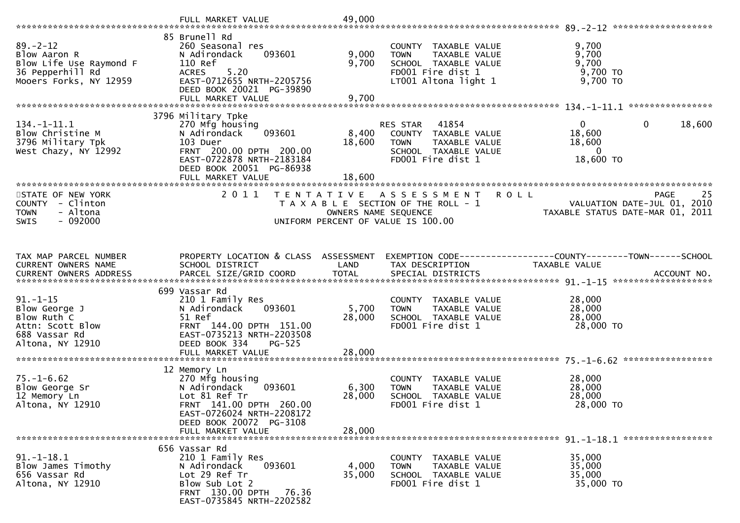|                                                                                                         | FULL MARKET VALUE                                                                                                                                                  | 49,000                    |                                                                                                                           |                                                                                     |
|---------------------------------------------------------------------------------------------------------|--------------------------------------------------------------------------------------------------------------------------------------------------------------------|---------------------------|---------------------------------------------------------------------------------------------------------------------------|-------------------------------------------------------------------------------------|
|                                                                                                         |                                                                                                                                                                    |                           |                                                                                                                           |                                                                                     |
| $89. - 2 - 12$<br>Blow Aaron R<br>Blow Life Use Raymond F<br>36 Pepperhill Rd<br>Mooers Forks, NY 12959 | 85 Brunell Rd<br>260 Seasonal res<br>093601<br>N Adirondack<br>110 Ref<br>5.20<br><b>ACRES</b><br>EAST-0712655 NRTH-2205756<br>DEED BOOK 20021 PG-39890            | 9,000<br>9,700            | COUNTY TAXABLE VALUE<br>TAXABLE VALUE<br><b>TOWN</b><br>SCHOOL TAXABLE VALUE<br>FD001 Fire dist 1<br>LT001 Altona light 1 | 9,700<br>9,700<br>9,700<br>$9,700$ TO<br>9,700 TO                                   |
|                                                                                                         | FULL MARKET VALUE                                                                                                                                                  | 9,700                     |                                                                                                                           |                                                                                     |
|                                                                                                         | 3796 Military Tpke                                                                                                                                                 |                           |                                                                                                                           |                                                                                     |
| $134. - 1 - 11.1$<br>Blow Christine M<br>3796 Military Tpk<br>West Chazy, NY 12992                      | 270 Mfg housing<br>093601<br>N Adirondack<br>103 Duer<br>FRNT 200.00 DPTH 200.00<br>EAST-0722878 NRTH-2183184<br>DEED BOOK 20051 PG-86938                          | 8,400<br>18,600           | RES STAR<br>41854<br>COUNTY TAXABLE VALUE<br><b>TOWN</b><br>TAXABLE VALUE<br>SCHOOL TAXABLE VALUE<br>FD001 Fire dist 1    | $\mathbf{0}$<br>18,600<br>$\mathbf{0}$<br>18,600<br>18,600<br>$\Omega$<br>18,600 TO |
|                                                                                                         | FULL MARKET VALUE                                                                                                                                                  | 18,600                    |                                                                                                                           |                                                                                     |
| STATE OF NEW YORK<br>COUNTY - Clinton<br><b>TOWN</b><br>- Altona<br>$-092000$<br>SWIS                   | 2011                                                                                                                                                               | OWNERS NAME SEQUENCE      | TENTATIVE ASSESSMENT<br><b>ROLL</b><br>T A X A B L E SECTION OF THE ROLL - 1<br>UNIFORM PERCENT OF VALUE IS 100.00        | 25<br>PAGE<br>VALUATION DATE-JUL 01, 2010<br>TAXABLE STATUS DATE-MAR 01, 2011       |
| TAX MAP PARCEL NUMBER                                                                                   | PROPERTY LOCATION & CLASS ASSESSMENT                                                                                                                               |                           |                                                                                                                           | EXEMPTION CODE------------------COUNTY--------TOWN------SCHOOL                      |
| CURRENT OWNERS NAME                                                                                     | SCHOOL DISTRICT                                                                                                                                                    | LAND                      | TAX DESCRIPTION                                                                                                           | TAXABLE VALUE                                                                       |
|                                                                                                         | 699 Vassar Rd                                                                                                                                                      |                           |                                                                                                                           |                                                                                     |
| $91. - 1 - 15$<br>Blow George J<br>Blow Ruth C<br>Attn: Scott Blow<br>688 Vassar Rd<br>Altona, NY 12910 | 210 1 Family Res<br>093601<br>N Adirondack<br>51 Ref<br>FRNT 144.00 DPTH 151.00<br>EAST-0735213 NRTH-2203508<br>DEED BOOK 334<br>PG-525                            | 5,700<br>28,000           | COUNTY TAXABLE VALUE<br>TAXABLE VALUE<br><b>TOWN</b><br>SCHOOL TAXABLE VALUE<br>FD001 Fire dist 1                         | 28,000<br>28,000<br>28,000<br>28,000 TO                                             |
|                                                                                                         | FULL MARKET VALUE                                                                                                                                                  | 28,000                    |                                                                                                                           |                                                                                     |
|                                                                                                         | 12 Memory Ln                                                                                                                                                       |                           |                                                                                                                           |                                                                                     |
| $75. - 1 - 6.62$<br>Blow George Sr<br>12 Memory Ln<br>Altona, NY 12910                                  | 270 Mfg housing<br>N Adirondack<br>093601<br>Lot 81 Ref Tr<br>FRNT 141.00 DPTH 260.00<br>EAST-0726024 NRTH-2208172<br>DEED BOOK 20072 PG-3108<br>FULL MARKET VALUE | 6,300<br>28,000<br>28,000 | COUNTY TAXABLE VALUE<br>TAXABLE VALUE<br><b>TOWN</b><br>SCHOOL TAXABLE VALUE<br>FD001 Fire dist 1                         | 28,000<br>28,000<br>28,000<br>28,000 TO                                             |
|                                                                                                         |                                                                                                                                                                    |                           |                                                                                                                           |                                                                                     |
| $91. - 1 - 18.1$<br>Blow James Timothy<br>656 Vassar Rd<br>Altona, NY 12910                             | 656 Vassar Rd<br>210 1 Family Res<br>N Adirondack<br>093601<br>Lot 29 Ref Tr<br>Blow Sub Lot 2<br>FRNT 130.00 DPTH<br>76.36<br>EAST-0735845 NRTH-2202582           | 4,000<br>35,000           | COUNTY TAXABLE VALUE<br><b>TOWN</b><br><b>TAXABLE VALUE</b><br>SCHOOL TAXABLE VALUE<br>FD001 Fire dist 1                  | 35,000<br>35,000<br>35,000<br>35,000 TO                                             |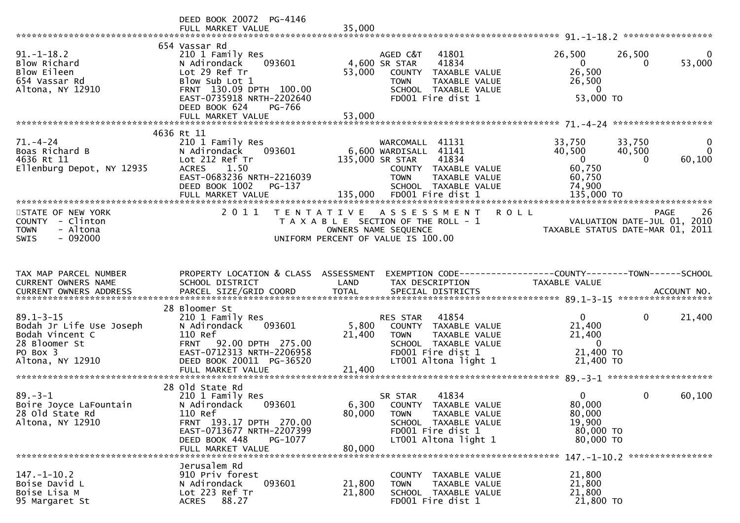|                                                                                                                 | DEED BOOK 20072 PG-4146<br>FULL MARKET VALUE                                                                                                                                      | 35,000                                                     |                                                                                                                                                                |                                                                                       |                              |                                       |
|-----------------------------------------------------------------------------------------------------------------|-----------------------------------------------------------------------------------------------------------------------------------------------------------------------------------|------------------------------------------------------------|----------------------------------------------------------------------------------------------------------------------------------------------------------------|---------------------------------------------------------------------------------------|------------------------------|---------------------------------------|
| $91.-1-18.2$<br>Blow Richard<br>Blow Eileen<br>654 Vassar Rd<br>Altona, NY 12910                                | 654 Vassar Rd<br>210 1 Family Res<br>093601<br>N Adirondack<br>Lot 29 Ref Tr<br>Blow Sub Lot 1<br>FRNT 130.09 DPTH 100.00<br>EAST-0735918 NRTH-2202640<br>DEED BOOK 624<br>PG-766 | 4,600 SR STAR<br>53,000                                    | AGED C&T<br>41801<br>41834<br>COUNTY TAXABLE VALUE<br>TAXABLE VALUE<br><b>TOWN</b><br>SCHOOL TAXABLE VALUE<br>FD001 Fire dist 1                                | 26,500<br>$\overline{0}$<br>26,500<br>26,500<br>$\overline{0}$<br>53,000 TO           | 26,500<br>0                  | $\bf{0}$<br>53,000                    |
|                                                                                                                 | FULL MARKET VALUE                                                                                                                                                                 | 53,000                                                     |                                                                                                                                                                |                                                                                       |                              |                                       |
|                                                                                                                 | 4636 Rt 11                                                                                                                                                                        |                                                            |                                                                                                                                                                |                                                                                       |                              |                                       |
| 71. – 4 – 24<br>Boas Richard B<br>4636 Rt 11<br>Ellenburg Depot, NY 12935                                       | 210 1 Family Res<br>093601<br>N Adirondack<br>Lot 212 Ref Tr<br>1.50<br><b>ACRES</b><br>EAST-0683236 NRTH-2216039<br>DEED BOOK 1002<br>PG-137<br>FULL MARKET VALUE                | 135,000 SR STAR                                            | WARCOMALL 41131<br>6,600 WARDISALL 41141<br>41834<br>COUNTY TAXABLE VALUE<br><b>TOWN</b><br>TAXABLE VALUE<br>SCHOOL TAXABLE VALUE<br>135,000 FD001 Fire dist 1 | 33,750<br>40,500<br>$\overline{0}$<br>60,750<br>60,750<br>74,900<br>135,000 TO        | 33,750<br>40,500<br>$\Omega$ | $\mathbf{0}$<br>$\mathbf 0$<br>60,100 |
|                                                                                                                 |                                                                                                                                                                                   |                                                            |                                                                                                                                                                |                                                                                       |                              |                                       |
| STATE OF NEW YORK<br>COUNTY - Clinton<br>- Altona<br><b>TOWN</b><br>$-092000$<br><b>SWIS</b>                    | 2011                                                                                                                                                                              | OWNERS NAME SEQUENCE<br>UNIFORM PERCENT OF VALUE IS 100.00 | TENTATIVE ASSESSMENT<br><b>ROLL</b><br>T A X A B L E SECTION OF THE ROLL - 1                                                                                   | ےں<br>2010 VALUATION DATE-JUL<br>2011 TAXABLE STATUS DATE-MAR                         | <b>PAGE</b>                  | -26                                   |
|                                                                                                                 |                                                                                                                                                                                   |                                                            |                                                                                                                                                                |                                                                                       |                              |                                       |
|                                                                                                                 |                                                                                                                                                                                   |                                                            |                                                                                                                                                                |                                                                                       |                              |                                       |
| TAX MAP PARCEL NUMBER<br>CURRENT OWNERS NAME                                                                    | PROPERTY LOCATION & CLASS ASSESSMENT<br>SCHOOL DISTRICT                                                                                                                           | LAND                                                       | EXEMPTION CODE-----------------COUNTY-------TOWN------SCHOOL<br>TAX DESCRIPTION                                                                                | TAXABLE VALUE                                                                         |                              |                                       |
|                                                                                                                 | 28 Bloomer St                                                                                                                                                                     |                                                            |                                                                                                                                                                |                                                                                       |                              |                                       |
| $89.1 - 3 - 15$<br>Bodah Jr Life Use Joseph<br>Bodah Vincent C<br>28 Bloomer St<br>PO Box 3<br>Altona, NY 12910 | 210 1 Family Res<br>N Adirondack<br>093601<br>110 Ref<br>FRNT 92.00 DPTH 275.00<br>EAST-0712313 NRTH-2206958<br>DEED BOOK 20011 PG-36520<br>FULL MARKET VALUE                     | 5,800<br>21,400<br>21,400                                  | 41854<br>RES STAR<br>COUNTY TAXABLE VALUE<br><b>TOWN</b><br>TAXABLE VALUE<br>SCHOOL TAXABLE VALUE<br>FD001 Fire dist 1<br>LT001 Altona light 1                 | $\mathbf{0}$<br>21,400<br>21,400<br>$\overline{\mathbf{0}}$<br>21,400 TO<br>21,400 TO | $\mathbf{0}$                 | 21,400                                |
|                                                                                                                 |                                                                                                                                                                                   |                                                            |                                                                                                                                                                |                                                                                       |                              |                                       |
| $89. - 3 - 1$<br>Boire Joyce LaFountain<br>28 Old State Rd<br>Altona, NY 12910                                  | 28 Old State Rd<br>210 1 Family Res<br>N Adirondack<br>093601<br>110 Ref<br>FRNT 193.17 DPTH 270.00<br>EAST-0713677 NRTH-2207399<br>DEED BOOK 448<br>PG-1077                      | 6,300<br>80,000                                            | 41834<br>SR STAR<br>COUNTY TAXABLE VALUE<br>TAXABLE VALUE<br><b>TOWN</b><br>SCHOOL TAXABLE VALUE<br>FD001 Fire dist 1<br>LT001 Altona light 1                  | $\mathbf{0}$<br>80,000<br>80,000<br>19,900<br>80,000 TO<br>80,000 TO                  | $\mathbf{0}$                 | 60,100                                |
|                                                                                                                 | FULL MARKET VALUE                                                                                                                                                                 | 80,000                                                     |                                                                                                                                                                |                                                                                       |                              |                                       |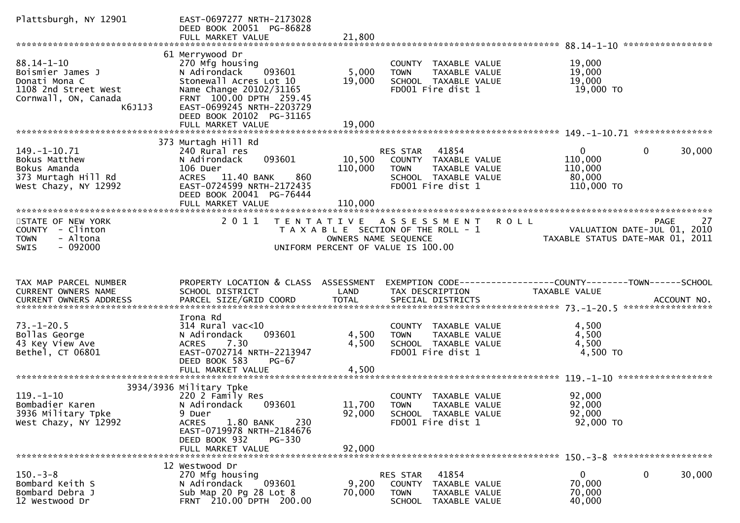| Plattsburgh, NY 12901                                                                                           | EAST-0697277 NRTH-2173028<br>DEED BOOK 20051 PG-86828<br>FULL MARKET VALUE                                                                                                                                                 | 21,800                    |                                                                                                                                  |                                                                                 |                                                            |                        |
|-----------------------------------------------------------------------------------------------------------------|----------------------------------------------------------------------------------------------------------------------------------------------------------------------------------------------------------------------------|---------------------------|----------------------------------------------------------------------------------------------------------------------------------|---------------------------------------------------------------------------------|------------------------------------------------------------|------------------------|
|                                                                                                                 |                                                                                                                                                                                                                            |                           |                                                                                                                                  |                                                                                 |                                                            |                        |
| $88.14 - 1 - 10$<br>Boismier James J<br>Donati Mona C<br>1108 2nd Street West<br>Cornwall, ON, Canada<br>K6J1J3 | 61 Merrywood Dr<br>270 Mfg housing<br>N Adirondack<br>093601<br>Stonewall Acres Lot 10<br>Name Change 20102/31165<br>FRNT 100.00 DPTH 259.45<br>EAST-0699245 NRTH-2203729<br>DEED BOOK 20102 PG-31165<br>FULL MARKET VALUE | 5,000<br>19,000<br>19,000 | COUNTY TAXABLE VALUE<br><b>TOWN</b><br>TAXABLE VALUE<br>SCHOOL TAXABLE VALUE<br>FD001 Fire dist 1                                |                                                                                 | 19,000<br>19,000<br>19,000<br>19,000 TO                    |                        |
|                                                                                                                 |                                                                                                                                                                                                                            |                           |                                                                                                                                  |                                                                                 |                                                            |                        |
|                                                                                                                 |                                                                                                                                                                                                                            |                           |                                                                                                                                  |                                                                                 |                                                            |                        |
| 149. -1-10. 71<br>Bokus Matthew<br>Bokus Amanda<br>373 Murtagh Hill Rd<br>West Chazy, NY 12992                  | 373 Murtagh Hill Rd<br>240 Rural res<br>093601<br>N Adirondack<br>106 Duer<br>860<br><b>ACRES</b><br>11.40 BANK<br>EAST-0724599 NRTH-2172435<br>DEED BOOK 20041 PG-76444                                                   | 10,500<br>110,000         | 41854<br>RES STAR<br>COUNTY TAXABLE VALUE<br>TAXABLE VALUE<br>TOWN<br>SCHOOL TAXABLE VALUE<br>FD001 Fire dist 1                  |                                                                                 | $\mathbf{0}$<br>110,000<br>110,000<br>80,000<br>110,000 TO | $\mathbf{0}$<br>30,000 |
|                                                                                                                 |                                                                                                                                                                                                                            |                           |                                                                                                                                  |                                                                                 |                                                            |                        |
| STATE OF NEW YORK<br>COUNTY - Clinton<br>- Altona<br><b>TOWN</b><br>$-092000$<br><b>SWIS</b>                    | 2011                                                                                                                                                                                                                       |                           | TENTATIVE ASSESSMENT ROLL<br>T A X A B L E SECTION OF THE ROLL - 1<br>OWNERS NAME SEQUENCE<br>UNIFORM PERCENT OF VALUE IS 100.00 | VALUATION DATE-JUL 01, 2010<br>TAXABLE STATUS DATE-MAR 01, 2011                 |                                                            | 27<br>PAGE             |
|                                                                                                                 |                                                                                                                                                                                                                            |                           |                                                                                                                                  |                                                                                 |                                                            |                        |
| TAX MAP PARCEL NUMBER<br>CURRENT OWNERS NAME                                                                    | PROPERTY LOCATION & CLASS ASSESSMENT<br>SCHOOL DISTRICT                                                                                                                                                                    | LAND                      | TAX DESCRIPTION                                                                                                                  | EXEMPTION CODE------------------COUNTY--------TOWN------SCHOOL<br>TAXABLE VALUE |                                                            |                        |
|                                                                                                                 |                                                                                                                                                                                                                            |                           |                                                                                                                                  |                                                                                 |                                                            |                        |
| $73. - 1 - 20.5$<br>Bollas George<br>43 Key View Ave<br>Bethel, CT 06801                                        | Irona Rd<br>$314$ Rural vac<10<br>093601<br>N Adirondack<br>7.30<br><b>ACRES</b><br>EAST-0702714 NRTH-2213947<br>DEED BOOK 583<br>$PG-67$<br>FULL MARKET VALUE                                                             | 4,500<br>4,500<br>4,500   | COUNTY TAXABLE VALUE<br><b>TOWN</b><br>TAXABLE VALUE<br>SCHOOL TAXABLE VALUE<br>FD001 Fire dist 1                                |                                                                                 | 4,500<br>4,500<br>4,500<br>4,500 TO                        |                        |
|                                                                                                                 |                                                                                                                                                                                                                            |                           |                                                                                                                                  |                                                                                 |                                                            |                        |
| $119. - 1 - 10$<br>Bombadier Karen<br>3936 Military Tpke<br>West Chazy, NY 12992                                | 3934/3936 Military Tpke<br>220 2 Family Res<br>093601<br>N Adirondack<br>9 Duer<br><b>ACRES</b><br>1.80 BANK<br>230<br>EAST-0719978 NRTH-2184676<br>DEED BOOK 932<br><b>PG-330</b>                                         | 11,700 TOWN<br>92,000     | COUNTY TAXABLE VALUE<br>TAXABLE VALUE<br>SCHOOL TAXABLE VALUE<br>FD001 Fire dist 1                                               |                                                                                 | 92,000<br>92,000<br>92,000<br>92,000 TO                    |                        |
|                                                                                                                 | FULL MARKET VALUE                                                                                                                                                                                                          | 92,000                    |                                                                                                                                  |                                                                                 |                                                            |                        |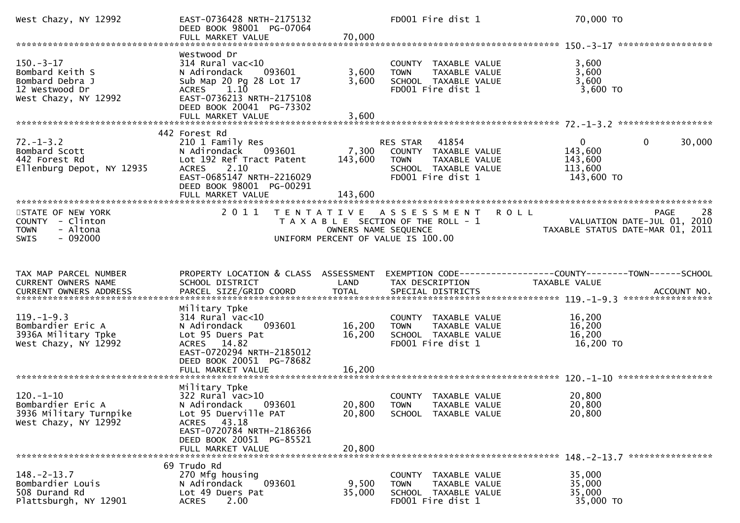| West Chazy, NY 12992                                                                         | EAST-0736428 NRTH-2175132<br>DEED BOOK 98001 PG-07064<br>FULL MARKET VALUE                                                                                                               | 70,000                      | FD001 Fire dist 1                                                                                                   |               | 70,000 TO                                                                               |
|----------------------------------------------------------------------------------------------|------------------------------------------------------------------------------------------------------------------------------------------------------------------------------------------|-----------------------------|---------------------------------------------------------------------------------------------------------------------|---------------|-----------------------------------------------------------------------------------------|
|                                                                                              |                                                                                                                                                                                          |                             |                                                                                                                     |               |                                                                                         |
| $150.-3-17$<br>Bombard Keith S<br>Bombard Debra J<br>12 Westwood Dr<br>West Chazy, NY 12992  | Westwood Dr<br>$314$ Rural vac<10<br>093601<br>N Adirondack<br>Sub Map 20 Pg 28 Lot 17<br>ACRES 1.10<br>EAST-0736213 NRTH-2175108<br>DEED BOOK 20041 PG-73302<br>FULL MARKET VALUE       | 3,600<br>3,600<br>3,600     | COUNTY TAXABLE VALUE<br><b>TOWN</b><br>TAXABLE VALUE<br>SCHOOL TAXABLE VALUE<br>FD001 Fire dist 1                   |               | 3,600<br>3,600<br>3,600<br>$3,600$ TO                                                   |
|                                                                                              |                                                                                                                                                                                          |                             |                                                                                                                     |               |                                                                                         |
| $72. - 1 - 3.2$<br>Bombard Scott<br>442 Forest Rd<br>Ellenburg Depot, NY 12935               | 442 Forest Rd<br>210 1 Family Res<br>093601<br>N Adirondack<br>Lot 192 Ref Tract Patent<br>ACRES 2.10<br>EAST-0685147 NRTH-2216029<br>DEED BOOK 98001 PG-00291<br>FULL MARKET VALUE      | 7,300<br>143,600<br>143,600 | RES STAR 41854<br>COUNTY TAXABLE VALUE<br><b>TOWN</b><br>TAXABLE VALUE<br>SCHOOL TAXABLE VALUE<br>FD001 Fire dist 1 |               | $\mathbf{0}$<br>30,000<br>$\overline{0}$<br>143,600<br>143,600<br>113,600<br>143,600 TO |
|                                                                                              |                                                                                                                                                                                          |                             |                                                                                                                     |               |                                                                                         |
| STATE OF NEW YORK<br>COUNTY - Clinton<br><b>TOWN</b><br>- Altona<br>$-092000$<br><b>SWIS</b> | 2 0 1 1                                                                                                                                                                                  | OWNERS NAME SEQUENCE        | TENTATIVE ASSESSMENT<br>T A X A B L E SECTION OF THE ROLL - 1<br>UNIFORM PERCENT OF VALUE IS 100.00                 | <b>ROLL</b>   | 28<br><b>PAGE</b><br>VALUATION DATE-JUL 01, 2010<br>TAXABLE STATUS DATE-MAR 01, 2011    |
| TAX MAP PARCEL NUMBER                                                                        | PROPERTY LOCATION & CLASS ASSESSMENT                                                                                                                                                     |                             |                                                                                                                     |               | EXEMPTION CODE-----------------COUNTY-------TOWN------SCHOOL                            |
| CURRENT OWNERS NAME                                                                          | SCHOOL DISTRICT                                                                                                                                                                          | LAND                        | TAX DESCRIPTION                                                                                                     | TAXABLE VALUE |                                                                                         |
| $119. - 1 - 9.3$<br>Bombardier Eric A<br>3936A Military Tpke<br>West Chazy, NY 12992         | Military Tpke<br>314 Rural vac<10<br>N Adirondack<br>093601<br>Lot 95 Duers Pat<br>ACRES 14.82<br>EAST-0720294 NRTH-2185012<br>DEED BOOK 20051 PG-78682                                  | 16,200<br>16,200            | COUNTY TAXABLE VALUE<br>TAXABLE VALUE<br><b>TOWN</b><br>SCHOOL TAXABLE VALUE<br>FD001 Fire dist 1                   |               | 16,200<br>16,200<br>16,200<br>16,200 TO                                                 |
|                                                                                              | FULL MARKET VALUE                                                                                                                                                                        | 16,200                      |                                                                                                                     |               |                                                                                         |
| $120. - 1 - 10$<br>Bombardier Eric A<br>3936 Military Turnpike<br>West Chazy, NY 12992       | Military Tpke<br>$322$ Rural vac $>10$<br>N Adirondack<br>093601<br>Lot 95 Duerville PAT<br>43.18<br>ACRES<br>EAST-0720784 NRTH-2186366<br>DEED BOOK 20051 PG-85521<br>FULL MARKET VALUE | 20,800<br>20,800            | COUNTY TAXABLE VALUE<br>20,800 TOWN TAXABLE VALUE<br>SCHOOL TAXABLE VALUE                                           |               | 20,800<br>20,800<br>20,800                                                              |
|                                                                                              |                                                                                                                                                                                          |                             |                                                                                                                     |               |                                                                                         |
| $148. - 2 - 13.7$<br>Bombardier Louis<br>508 Durand Rd<br>Plattsburgh, NY 12901              | 69 Trudo Rd<br>270 Mfg housing<br>093601<br>N Adirondack<br>Lot 49 Duers Pat<br>2.00<br><b>ACRES</b>                                                                                     | 9,500<br>35,000             | COUNTY TAXABLE VALUE<br>TAXABLE VALUE<br><b>TOWN</b><br>SCHOOL TAXABLE VALUE<br>FD001 Fire dist 1                   |               | 35,000<br>35,000<br>35,000<br>35,000 TO                                                 |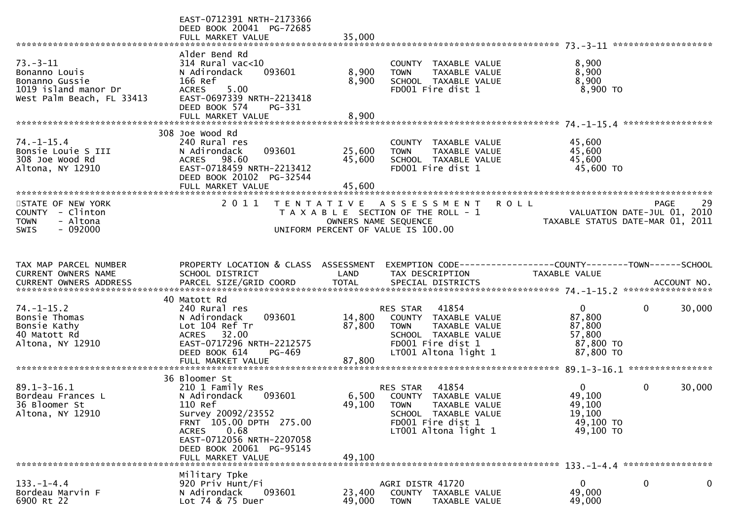|                                                                                                        | EAST-0712391 NRTH-2173366<br>DEED BOOK 20041 PG-72685<br>FULL MARKET VALUE                                                                                                                               | 35,000                  |                                                                                                                                                      |                                                                                        |
|--------------------------------------------------------------------------------------------------------|----------------------------------------------------------------------------------------------------------------------------------------------------------------------------------------------------------|-------------------------|------------------------------------------------------------------------------------------------------------------------------------------------------|----------------------------------------------------------------------------------------|
| $73. - 3 - 11$<br>Bonanno Louis<br>Bonanno Gussie<br>1019 island manor Dr<br>West Palm Beach, FL 33413 | Alder Bend Rd<br>$314$ Rural vac< $10$<br>093601<br>N Adirondack<br>166 Ref<br><b>ACRES</b><br>5.00<br>EAST-0697339 NRTH-2213418<br>DEED BOOK 574<br>PG-331<br>FULL MARKET VALUE                         | 8,900<br>8,900<br>8,900 | COUNTY TAXABLE VALUE<br>TAXABLE VALUE<br><b>TOWN</b><br>SCHOOL TAXABLE VALUE<br>FD001 Fire dist 1                                                    | 8,900<br>8,900<br>8,900<br>$8,900$ TO                                                  |
|                                                                                                        |                                                                                                                                                                                                          |                         |                                                                                                                                                      |                                                                                        |
| $74. - 1 - 15.4$<br>Bonsie Louie S III<br>308 Joe Wood Rd<br>Altona, NY 12910                          | 308 Joe Wood Rd<br>240 Rural res<br>093601<br>N Adirondack<br>ACRES 98.60<br>EAST-0718459 NRTH-2213412<br>DEED BOOK 20102 PG-32544<br>FULL MARKET VALUE<br>*********************                         | 25,600<br>45,600        | COUNTY TAXABLE VALUE<br>TAXABLE VALUE<br><b>TOWN</b><br>SCHOOL TAXABLE VALUE<br>FD001 Fire dist 1                                                    | 45,600<br>45,600<br>45,600<br>45,600 TO                                                |
|                                                                                                        | 2 0 1 1                                                                                                                                                                                                  |                         |                                                                                                                                                      |                                                                                        |
| STATE OF NEW YORK<br>COUNTY - Clinton<br>- Altona<br><b>TOWN</b><br>$-092000$<br>SWIS                  |                                                                                                                                                                                                          | OWNERS NAME SEQUENCE    | <b>ROLL</b><br>TENTATIVE ASSESSMENT<br>T A X A B L E SECTION OF THE ROLL - 1<br>UNIFORM PERCENT OF VALUE IS 100.00                                   | 29<br>PAGE<br>VALUATION DATE-JUL 01, 2010<br>TAXABLE STATUS DATE-MAR 01, 2011          |
|                                                                                                        |                                                                                                                                                                                                          |                         |                                                                                                                                                      |                                                                                        |
| TAX MAP PARCEL NUMBER<br>CURRENT OWNERS NAME                                                           | PROPERTY LOCATION & CLASS ASSESSMENT<br>SCHOOL DISTRICT                                                                                                                                                  | LAND                    | TAX DESCRIPTION                                                                                                                                      | EXEMPTION CODE------------------COUNTY--------TOWN------SCHOOL<br><b>TAXABLE VALUE</b> |
|                                                                                                        | 40 Matott Rd                                                                                                                                                                                             |                         |                                                                                                                                                      |                                                                                        |
| $74. - 1 - 15.2$<br>Bonsie Thomas<br>Bonsie Kathy<br>40 Matott Rd<br>Altona, NY 12910                  | 240 Rural res<br>093601<br>N Adirondack<br>Lot 104 Ref Tr<br>ACRES 32.00<br>EAST-0717296 NRTH-2212575<br>DEED BOOK 614<br>PG-469                                                                         | 14,800<br>87,800        | RES STAR 41854<br>COUNTY TAXABLE VALUE<br><b>TOWN</b><br>TAXABLE VALUE<br>SCHOOL TAXABLE VALUE<br>FD001 Fire dist 1<br>LT001 Altona light 1          | $\mathbf{0}$<br>0<br>30,000<br>87,800<br>87,800<br>57,800<br>87,800 TO<br>87,800 TO    |
|                                                                                                        |                                                                                                                                                                                                          |                         |                                                                                                                                                      |                                                                                        |
|                                                                                                        |                                                                                                                                                                                                          |                         |                                                                                                                                                      |                                                                                        |
| $89.1 - 3 - 16.1$<br>Bordeau Frances L<br>36 Bloomer St<br>Altona, NY 12910                            | 36 Bloomer St<br>210 1 Family Res<br>093601<br>N Adirondack<br>110 Ref<br>Survey 20092/23552<br>FRNT 105.00 DPTH 275.00<br>0.68<br><b>ACRES</b><br>EAST-0712056 NRTH-2207058<br>DEED BOOK 20061 PG-95145 |                         | 41854<br>RES STAR<br>6,500 COUNTY TAXABLE VALUE<br>49,100 TOWN<br>TAXABLE VALUE<br>SCHOOL TAXABLE VALUE<br>FD001 Fire dist 1<br>LT001 Altona light 1 | $\Omega$<br>0<br>30,000<br>49,100<br>49,100<br>19,100<br>49,100 TO<br>49,100 TO        |
|                                                                                                        | FULL MARKET VALUE                                                                                                                                                                                        | 49,100                  |                                                                                                                                                      |                                                                                        |
| $133. - 1 - 4.4$<br>Bordeau Marvin F<br>6900 Rt 22                                                     | Military Tpke<br>920 Priv Hunt/Fi<br>N Adirondack<br>093601<br>Lot 74 & 75 Duer                                                                                                                          | 23,400<br>49,000        | AGRI DISTR 41720<br>COUNTY TAXABLE VALUE<br><b>TOWN</b><br>TAXABLE VALUE                                                                             | 0<br>0<br>0<br>49,000<br>49,000                                                        |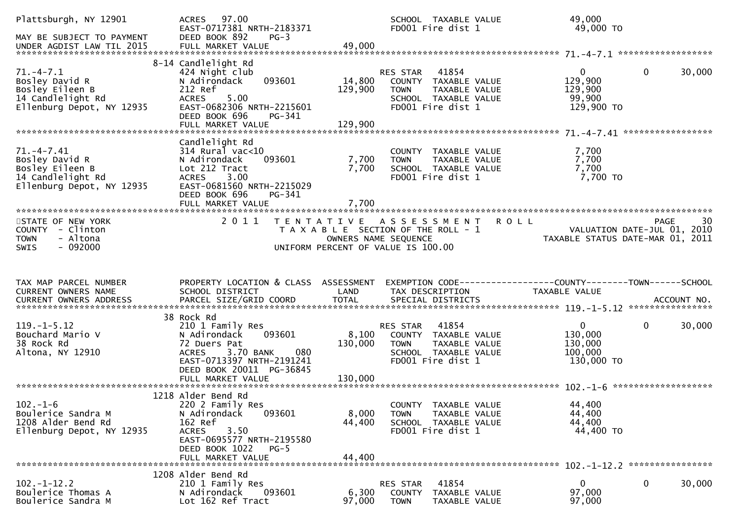| Plattsburgh, NY 12901<br>MAY BE SUBJECT TO PAYMENT                                                     | 97.00<br><b>ACRES</b><br>EAST-0717381 NRTH-2183371<br>DEED BOOK 892<br>$PG-3$                                                                                                              |                             | SCHOOL TAXABLE VALUE<br>FD001 Fire dist 1                                                                              | 49,000<br>49,000 TO                                             |                       |
|--------------------------------------------------------------------------------------------------------|--------------------------------------------------------------------------------------------------------------------------------------------------------------------------------------------|-----------------------------|------------------------------------------------------------------------------------------------------------------------|-----------------------------------------------------------------|-----------------------|
|                                                                                                        |                                                                                                                                                                                            |                             |                                                                                                                        |                                                                 |                       |
| $71. - 4 - 7.1$<br>Bosley David R<br>Bosley Eileen B<br>14 Candlelight Rd<br>Ellenburg Depot, NY 12935 | 8-14 Candlelight Rd<br>424 Night club<br>093601<br>N Adirondack<br>212 Ref<br>5.00<br><b>ACRES</b><br>EAST-0682306 NRTH-2215601<br>DEED BOOK 696<br>PG-341                                 | 14,800<br>129,900           | 41854<br>RES STAR<br>COUNTY TAXABLE VALUE<br>TAXABLE VALUE<br><b>TOWN</b><br>SCHOOL TAXABLE VALUE<br>FD001 Fire dist 1 | $\mathbf{0}$<br>129,900<br>129,900<br>99,900<br>129,900 TO      | $\mathbf 0$<br>30,000 |
|                                                                                                        |                                                                                                                                                                                            |                             |                                                                                                                        |                                                                 |                       |
| $71. -4 - 7.41$<br>Bosley David R<br>Bosley Eileen B<br>14 Candlelight Rd<br>Ellenburg Depot, NY 12935 | Candlelight Rd<br>$314$ Rural vac<10<br>093601<br>N Adirondack<br>Lot 212 Tract<br><b>ACRES</b><br>3.00<br>EAST-0681560 NRTH-2215029<br>DEED BOOK 696<br>$PG-341$<br>FULL MARKET VALUE     | 7,700<br>7,700<br>7,700     | COUNTY TAXABLE VALUE<br>TAXABLE VALUE<br><b>TOWN</b><br>SCHOOL TAXABLE VALUE<br>FD001 Fire dist 1                      | 7,700<br>7,700<br>7,700<br>7,700 TO                             |                       |
| STATE OF NEW YORK<br>COUNTY - Clinton<br>- Altona<br><b>TOWN</b><br>$-092000$<br><b>SWIS</b>           | 2 0 1 1                                                                                                                                                                                    | T E N T A T I V E           | ASSESSMENT ROLL<br>T A X A B L E SECTION OF THE ROLL - 1<br>OWNERS NAME SEQUENCE<br>UNIFORM PERCENT OF VALUE IS 100.00 | VALUATION DATE-JUL 01, 2010<br>TAXABLE STATUS DATE-MAR 01, 2011 | <b>PAGE</b><br>30     |
|                                                                                                        |                                                                                                                                                                                            |                             |                                                                                                                        |                                                                 |                       |
| TAX MAP PARCEL NUMBER<br>CURRENT OWNERS NAME<br>CURRENT OWNERS ADDRESS                                 | PROPERTY LOCATION & CLASS ASSESSMENT<br>SCHOOL DISTRICT                                                                                                                                    | LAND                        | TAX DESCRIPTION                                                                                                        | TAXABLE VALUE                                                   |                       |
| $119. -1 - 5.12$<br>Bouchard Mario V<br>38 Rock Rd<br>Altona, NY 12910                                 | 38 Rock Rd<br>210 1 Family Res<br>N Adirondack<br>093601<br>72 Duers Pat<br>080<br>3.70 BANK<br><b>ACRES</b><br>EAST-0713397 NRTH-2191241<br>DEED BOOK 20011 PG-36845<br>FULL MARKET VALUE | 8,100<br>130,000<br>130,000 | 41854<br>RES STAR<br>COUNTY TAXABLE VALUE<br><b>TOWN</b><br>TAXABLE VALUE<br>SCHOOL TAXABLE VALUE<br>FD001 Fire dist 1 | $\mathbf{0}$<br>130,000<br>130,000<br>100,000<br>130,000 TO     | $\mathbf 0$<br>30,000 |
| $102. - 1 - 6$<br>Boulerice Sandra M<br>1208 Alder Bend Rd<br>Ellenburg Depot, NY 12935                | 1218 Alder Bend Rd<br>220 2 Family Res<br>N Adirondack<br>093601<br>162 Ref<br>3.50<br><b>ACRES</b><br>EAST-0695577 NRTH-2195580<br>DEED BOOK 1022<br>$PG-5$<br>FULL MARKET VALUE          | 8,000<br>44,400<br>44,400   | COUNTY TAXABLE VALUE<br>TAXABLE VALUE<br><b>TOWN</b><br>SCHOOL TAXABLE VALUE<br>FD001 Fire dist 1                      | 44,400<br>44,400<br>44,400<br>44,400 TO                         |                       |
|                                                                                                        | 1208 Alder Bend Rd                                                                                                                                                                         |                             |                                                                                                                        |                                                                 |                       |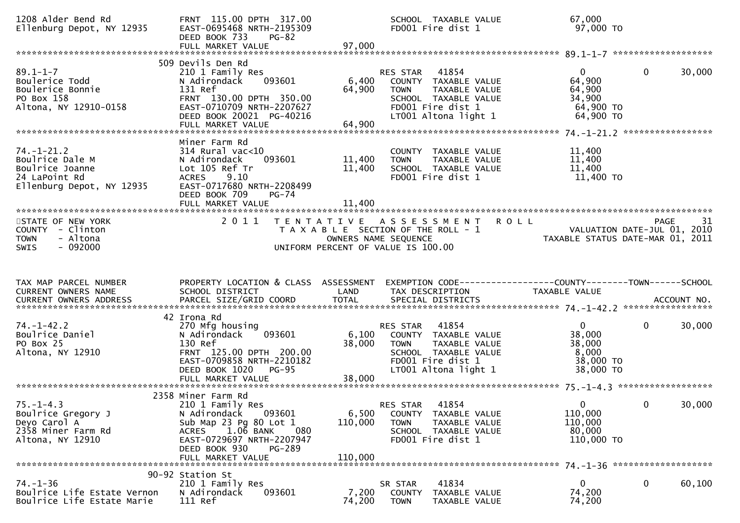| 1208 Alder Bend Rd<br>Ellenburg Depot, NY 12935                                                      | FRNT 115.00 DPTH 317.00<br>EAST-0695468 NRTH-2195309<br>DEED BOOK 733<br><b>PG-82</b><br>FULL MARKET VALUE                                                                                            | 97,000                      | SCHOOL TAXABLE VALUE<br>FD001 Fire dist 1                                                                                                      | 67,000<br>97,000 TO                                                   |                        |    |
|------------------------------------------------------------------------------------------------------|-------------------------------------------------------------------------------------------------------------------------------------------------------------------------------------------------------|-----------------------------|------------------------------------------------------------------------------------------------------------------------------------------------|-----------------------------------------------------------------------|------------------------|----|
| $89.1 - 1 - 7$<br>Boulerice Todd<br>Boulerice Bonnie<br>PO Box 158<br>Altona, NY 12910-0158          | 509 Devils Den Rd<br>210 1 Family Res<br>093601<br>N Adirondack<br>131 Ref<br>FRNT 130.00 DPTH 350.00<br>EAST-0710709 NRTH-2207627<br>DEED BOOK 20021 PG-40216                                        | 6,400<br>64,900             | 41854<br>RES STAR<br>COUNTY TAXABLE VALUE<br><b>TOWN</b><br>TAXABLE VALUE<br>SCHOOL TAXABLE VALUE<br>FD001 Fire dist 1<br>LT001 Altona light 1 | $\mathbf{0}$<br>64,900<br>64,900<br>34,900<br>64,900 TO<br>64,900 TO  | $\mathbf{0}$<br>30,000 |    |
| $74. - 1 - 21.2$<br>Boulrice Dale M<br>Boulrice Joanne<br>24 LaPoint Rd<br>Ellenburg Depot, NY 12935 | Miner Farm Rd<br>$314$ Rural vac<10<br>093601<br>N Adirondack<br>Lot 105 Ref Tr<br><b>ACRES</b><br>9.10<br>EAST-0717680 NRTH-2208499<br>DEED BOOK 709<br>$PG-74$<br>FULL MARKET VALUE                 | 11,400<br>11,400<br>11,400  | COUNTY TAXABLE VALUE<br><b>TOWN</b><br>TAXABLE VALUE<br>SCHOOL TAXABLE VALUE<br>FD001 Fire dist 1                                              | 11,400<br>11,400<br>11,400<br>11,400 TO                               |                        |    |
| STATE OF NEW YORK<br>COUNTY - Clinton<br>- Altona<br><b>TOWN</b><br>$-092000$<br><b>SWIS</b>         | 2011                                                                                                                                                                                                  |                             | TENTATIVE ASSESSMENT ROLL<br>T A X A B L E SECTION OF THE ROLL - 1<br>OWNERS NAME SEQUENCE<br>UNIFORM PERCENT OF VALUE IS 100.00               | VALUATION DATE-JUL 01, 2010<br>2010 TAXABLE STATUS DATE-MAR 01, 2011  | PAGE                   | 31 |
|                                                                                                      |                                                                                                                                                                                                       |                             |                                                                                                                                                |                                                                       |                        |    |
| TAX MAP PARCEL NUMBER<br>CURRENT OWNERS NAME                                                         | PROPERTY LOCATION & CLASS ASSESSMENT<br>SCHOOL DISTRICT                                                                                                                                               | LAND                        | EXEMPTION CODE------------------COUNTY--------TOWN------SCHOOL<br>TAX DESCRIPTION                                                              | TAXABLE VALUE                                                         |                        |    |
| $74. - 1 - 42.2$<br>Boulrice Daniel<br>PO Box 25<br>Altona, NY 12910                                 | 42 Irona Rd<br>270 Mfg housing<br>093601<br>N Adirondack<br>130 Ref<br>FRNT 125.00 DPTH 200.00<br>EAST-0709858 NRTH-2210182<br>DEED BOOK 1020<br><b>PG-95</b><br>FULL MARKET VALUE                    | 6,100<br>38,000<br>38,000   | 41854<br>RES STAR<br>COUNTY TAXABLE VALUE<br><b>TOWN</b><br>TAXABLE VALUE<br>SCHOOL TAXABLE VALUE<br>FD001 Fire dist 1<br>LT001 Altona light 1 | $\overline{0}$<br>38,000<br>38,000<br>8,000<br>38,000 TO<br>38,000 TO | $\mathbf{0}$<br>30,000 |    |
| $75. - 1 - 4.3$<br>Boulrice Gregory J<br>Deyo Carol A<br>2358 Miner Farm Rd<br>Altona, NY 12910      | 2358 Miner Farm Rd<br>210 1 Family Res<br>N Adirondack 093601<br>Sub Map 23 Pg 80 Lot 1<br>ACRES 1.06 BANK<br>080<br>EAST-0729697 NRTH-2207947<br>DEED BOOK 930<br><b>PG-289</b><br>FULL MARKET VALUE | 6,500<br>110,000<br>110,000 | RES STAR<br>41854<br>COUNTY TAXABLE VALUE<br><b>TOWN</b><br>TAXABLE VALUE<br>SCHOOL TAXABLE VALUE<br>FD001 Fire dist 1                         | 0<br>110,000<br>110,000<br>80,000<br>110,000 TO                       | 30,000<br>$\mathbf{0}$ |    |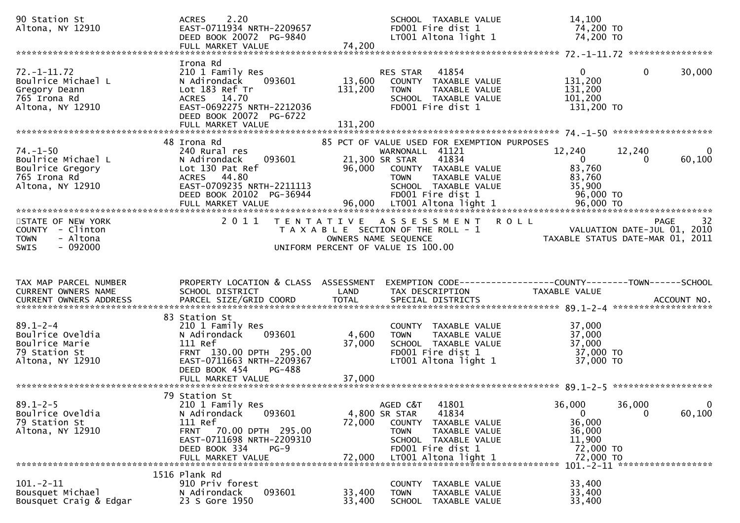| 90 Station St<br>Altona, NY 12910                                                            | 2.20<br><b>ACRES</b><br>EAST-0711934 NRTH-2209657<br>DEED BOOK 20072 PG-9840<br>FULL MARKET VALUE                                                                                       | 74,200                    | SCHOOL TAXABLE VALUE<br>FD001 Fire dist 1<br>LT001 Altona light 1                                                                                                                                                      | 14,100<br>74,200 TO<br>74,200 TO                                                             |                    |
|----------------------------------------------------------------------------------------------|-----------------------------------------------------------------------------------------------------------------------------------------------------------------------------------------|---------------------------|------------------------------------------------------------------------------------------------------------------------------------------------------------------------------------------------------------------------|----------------------------------------------------------------------------------------------|--------------------|
|                                                                                              |                                                                                                                                                                                         |                           |                                                                                                                                                                                                                        |                                                                                              |                    |
| $72. - 1 - 11.72$<br>Boulrice Michael L<br>Gregory Deann<br>765 Irona Rd<br>Altona, NY 12910 | Irona Rd<br>210 1 Family Res<br>N Adirondack<br>093601<br>Lot 183 Ref Tr<br>ACRES 14.70<br>EAST-0692275 NRTH-2212036<br>DEED BOOK 20072 PG-6722                                         | 13,600<br>131,200         | 41854<br>RES STAR<br>COUNTY TAXABLE VALUE<br><b>TOWN</b><br>TAXABLE VALUE<br>SCHOOL TAXABLE VALUE<br>FD001 Fire dist 1                                                                                                 | $\mathbf{0}$<br>$\mathbf{0}$<br>131,200<br>131,200<br>101,200<br>131,200 TO                  | 30,000             |
|                                                                                              | 48 Irona Rd                                                                                                                                                                             |                           |                                                                                                                                                                                                                        |                                                                                              |                    |
| $74. - 1 - 50$<br>Boulrice Michael L<br>Boulrice Gregory<br>765 Irona Rd<br>Altona, NY 12910 | 240 Rural res<br>093601<br>N Adirondack<br>Lot 130 Pat Ref<br>ACRES 44.80<br>EAST-0709235 NRTH-2211113<br>DEED BOOK 20102 PG-36944<br>FULL MARKET VALUE                                 | 96,000<br>96,000          | 85 PCT OF VALUE USED FOR EXEMPTION PURPOSES<br>WARNONALL 41121<br>21,300 SR STAR<br>41834<br>COUNTY TAXABLE VALUE<br>TAXABLE VALUE<br><b>TOWN</b><br>SCHOOL TAXABLE VALUE<br>FD001 Fire dist 1<br>LT001 Altona light 1 | 12,240<br>12,240<br>$\Omega$<br>0<br>83,760<br>83,760<br>35,900<br>96,000 TO<br>96,000 TO    | $\Omega$<br>60,100 |
| STATE OF NEW YORK<br>COUNTY - Clinton<br>- Altona<br><b>TOWN</b><br>$-092000$<br><b>SWIS</b> | 2011                                                                                                                                                                                    | T E N T A T I V E         | A S S E S S M E N T<br>T A X A B L E SECTION OF THE ROLL - 1<br>OWNERS NAME SEQUENCE<br>UNIFORM PERCENT OF VALUE IS 100.00                                                                                             | <b>ROLL</b><br>VALUATION DATE-JUL 01, 2010<br>TAXABLE STATUS DATE-MAR 01, 2011               | <b>PAGE</b><br>32  |
|                                                                                              |                                                                                                                                                                                         |                           |                                                                                                                                                                                                                        |                                                                                              |                    |
| TAX MAP PARCEL NUMBER<br>CURRENT OWNERS NAME                                                 | PROPERTY LOCATION & CLASS ASSESSMENT<br>SCHOOL DISTRICT                                                                                                                                 | LAND                      | TAX DESCRIPTION                                                                                                                                                                                                        | EXEMPTION CODE-----------------COUNTY-------TOWN------SCHOOL<br>TAXABLE VALUE                |                    |
| $89.1 - 2 - 4$<br>Boulrice Oveldia<br>Boulrice Marie<br>79 Station St<br>Altona, NY 12910    | 83 Station St<br>210 1 Family Res<br>093601<br>N Adirondack<br>111 Ref<br>FRNT 130.00 DPTH 295.00<br>EAST-0711663 NRTH-2209367<br>DEED BOOK 454<br>PG-488<br>FULL MARKET VALUE          | 4,600<br>37,000<br>37,000 | COUNTY TAXABLE VALUE<br>TAXABLE VALUE<br><b>TOWN</b><br>SCHOOL TAXABLE VALUE<br>FD001 Fire dist 1<br>LT001 Altona light 1                                                                                              | 37,000<br>37,000<br>37,000<br>37,000 TO<br>37,000 TO                                         |                    |
| $89.1 - 2 - 5$<br>Boulrice Oveldia<br>79 Station St<br>Altona, NY 12910                      | 79 Station St<br>210 1 Family Res<br>093601<br>N Adirondack<br>111 Ref<br>70.00 DPTH 295.00<br><b>FRNT</b><br>EAST-0711698 NRTH-2209310<br>DEED BOOK 334<br>$PG-9$<br>FULL MARKET VALUE | 72,000<br>72,000          | AGED C&T<br>41801<br>41834<br>4,800 SR STAR<br><b>COUNTY</b><br>TAXABLE VALUE<br>TAXABLE VALUE<br><b>TOWN</b><br>SCHOOL TAXABLE VALUE<br>FD001 Fire dist 1<br>LT001 Altona light 1                                     | 36,000<br>36,000<br>$\mathbf 0$<br>0<br>36,000<br>36,000<br>11,900<br>72,000 TO<br>72,000 TO | $\bf{0}$<br>60,100 |
|                                                                                              | 1516 Plank Rd                                                                                                                                                                           |                           |                                                                                                                                                                                                                        | 101. - 2 - 11 *******************                                                            |                    |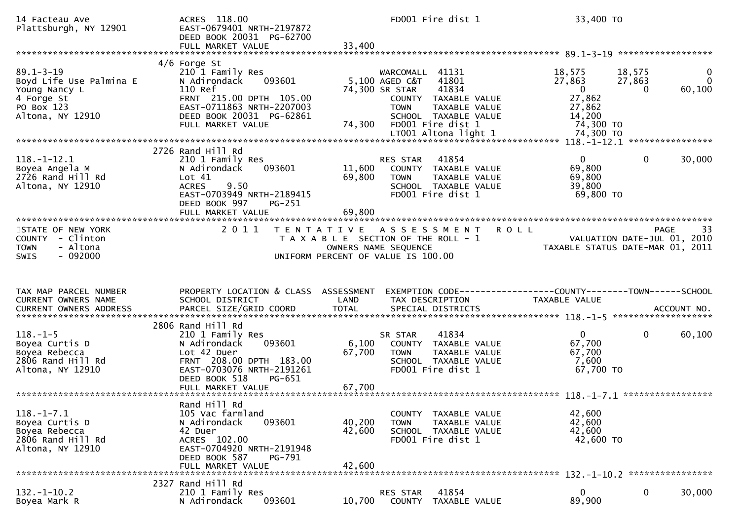| 14 Facteau Ave<br>Plattsburgh, NY 12901                                                                     | ACRES 118.00<br>EAST-0679401 NRTH-2197872<br>DEED BOOK 20031 PG-62700<br>FULL MARKET VALUE                                                                                       | FD001 Fire dist 1<br>33,400                                                                                                                                                                                         | 33,400 TO                                                                                                                                                 |
|-------------------------------------------------------------------------------------------------------------|----------------------------------------------------------------------------------------------------------------------------------------------------------------------------------|---------------------------------------------------------------------------------------------------------------------------------------------------------------------------------------------------------------------|-----------------------------------------------------------------------------------------------------------------------------------------------------------|
| $89.1 - 3 - 19$<br>Boyd Life Use Palmina E<br>Young Nancy L<br>4 Forge St<br>PO Box 123<br>Altona, NY 12910 | $4/6$ Forge St<br>210 1 Family Res<br>093601<br>N Adirondack<br>110 Ref<br>FRNT 215.00 DPTH 105.00<br>EAST-0711863 NRTH-2207003<br>DEED BOOK 20031 PG-62861<br>FULL MARKET VALUE | WARCOMALL 41131<br>41801<br>5,100 AGED C&T<br>74,300 SR STAR<br>41834<br>COUNTY TAXABLE VALUE<br><b>TOWN</b><br><b>TAXABLE VALUE</b><br>SCHOOL TAXABLE VALUE<br>FD001 Fire dist 1<br>74,300<br>LT001 Altona light 1 | 18,575<br>18,575<br>0<br>27,863<br>27,863<br>$\mathbf{0}$<br>$\overline{0}$<br>60,100<br>$\Omega$<br>27,862<br>27,862<br>14,200<br>74,300 TO<br>74,300 TO |
| $118.-1-12.1$<br>Boyea Angela M<br>2726 Rand Hill Rd<br>Altona, NY 12910                                    | 2726 Rand Hill Rd<br>210 1 Family Res<br>N Adirondack<br>093601<br>Lot 41<br><b>ACRES</b><br>9.50<br>EAST-0703949 NRTH-2189415<br>DEED BOOK 997<br>PG-251<br>FULL MARKET VALUE   | 41854<br>RES STAR<br>11,600<br>COUNTY TAXABLE VALUE<br>69,800<br>TAXABLE VALUE<br><b>TOWN</b><br>SCHOOL TAXABLE VALUE<br>FD001 Fire dist 1<br>69,800                                                                | $\overline{0}$<br>$\mathbf 0$<br>30,000<br>69,800<br>69,800<br>39,800<br>69,800 TO                                                                        |
| STATE OF NEW YORK<br>COUNTY - Clinton<br>- Altona<br><b>TOWN</b><br>$-092000$<br><b>SWIS</b>                | 2011                                                                                                                                                                             | T E N T A T I V E<br>A S S E S S M E N T<br>T A X A B L E SECTION OF THE ROLL - 1<br>OWNERS NAME SEQUENCE<br>UNIFORM PERCENT OF VALUE IS 100.00                                                                     | 33<br><b>ROLL</b><br><b>PAGE</b><br>VALUATION DATE-JUL 01, 2010<br>TAXABLE STATUS DATE-MAR 01, 2011                                                       |
| TAX MAP PARCEL NUMBER                                                                                       | PROPERTY LOCATION & CLASS ASSESSMENT                                                                                                                                             |                                                                                                                                                                                                                     | EXEMPTION CODE-----------------COUNTY-------TOWN------SCHOOL                                                                                              |
| CURRENT OWNERS NAME<br>CURRENT OWNERS ADDRESS                                                               | SCHOOL DISTRICT<br>PARCEL SIZE/GRID COORD                                                                                                                                        | LAND<br>TAX DESCRIPTION<br><b>TOTAL</b><br>SPECIAL DISTRICTS                                                                                                                                                        | TAXABLE VALUE<br>ACCOUNT NO.                                                                                                                              |
| $118. - 1 - 5$<br>Boyea Curtis D<br>Boyea Rebecca<br>2806 Rand Hill Rd<br>Altona, NY 12910                  | 2806 Rand Hill Rd<br>210 1 Family Res<br>N Adirondack<br>093601<br>Lot 42 Duer<br>FRNT 208.00 DPTH 183.00<br>EAST-0703076 NRTH-2191261<br>DEED BOOK 518<br>PG-651                | 41834<br>SR STAR<br>6,100<br>COUNTY TAXABLE VALUE<br>67,700<br><b>TOWN</b><br>TAXABLE VALUE<br>SCHOOL TAXABLE VALUE<br>FD001 Fire dist 1                                                                            | $\overline{0}$<br>$\mathbf{0}$<br>60,100<br>67,700<br>67,700<br>7,600<br>67,700 TO                                                                        |
| $118. - 1 - 7.1$<br>Boyea Curtis D<br>Boyea Rebecca<br>2806 Rand Hill Rd<br>Altona, NY 12910                | Rand Hill Rd<br>105 Vac farmland<br>N Adirondack<br>093601<br>42 Duer<br>ACRES 102.00<br>EAST-0704920 NRTH-2191948<br>DEED BOOK 587<br>PG-791<br>FULL MARKET VALUE               | COUNTY TAXABLE VALUE<br>40,200<br>TAXABLE VALUE<br><b>TOWN</b><br>42,600<br>SCHOOL TAXABLE VALUE<br>FD001 Fire dist 1<br>42,600                                                                                     | 42,600<br>42,600<br>42,600<br>42,600 TO                                                                                                                   |
| $132 - 1 - 10.2$<br>Boyea Mark R                                                                            | 2327 Rand Hill Rd<br>210 1 Family Res<br>093601<br>N Adirondack                                                                                                                  | 41854<br>RES STAR<br>10,700<br>COUNTY TAXABLE VALUE                                                                                                                                                                 | $\mathbf 0$<br>$\mathbf{0}$<br>30,000<br>89,900                                                                                                           |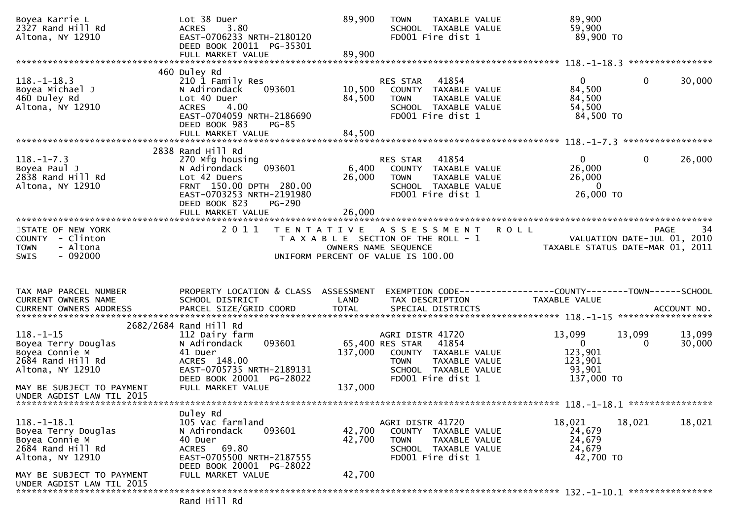| Boyea Karrie L<br>2327 Rand Hill Rd<br>Altona, NY 12910                                                                    | Lot 38 Duer<br>3.80<br><b>ACRES</b><br>EAST-0706233 NRTH-2180120<br>DEED BOOK 20011 PG-35301<br>FULL MARKET VALUE                                                           | 89,900<br>89,900                      | TAXABLE VALUE<br><b>TOWN</b><br>SCHOOL TAXABLE VALUE<br>FD001 Fire dist 1                                                      | 89,900<br>59,900<br>89,900 TO                                                    |                                                              |
|----------------------------------------------------------------------------------------------------------------------------|-----------------------------------------------------------------------------------------------------------------------------------------------------------------------------|---------------------------------------|--------------------------------------------------------------------------------------------------------------------------------|----------------------------------------------------------------------------------|--------------------------------------------------------------|
|                                                                                                                            | 460 Duley Rd                                                                                                                                                                |                                       |                                                                                                                                |                                                                                  | ****************                                             |
| $118.-1-18.3$<br>Boyea Michael J<br>460 Duley Rd<br>Altona, NY 12910                                                       | 210 1 Family Res<br>093601<br>N Adirondack<br>Lot 40 Duer<br><b>ACRES</b><br>4.00<br>EAST-0704059 NRTH-2186690<br>DEED BOOK 983<br><b>PG-85</b><br>FULL MARKET VALUE        | 10,500<br>84,500<br>84,500            | 41854<br>RES STAR<br>COUNTY TAXABLE VALUE<br><b>TOWN</b><br>TAXABLE VALUE<br>SCHOOL TAXABLE VALUE<br>FD001 Fire dist 1         | $\overline{0}$<br>84,500<br>84,500<br>54,500<br>84,500 TO                        | $\mathbf{0}$<br>30,000                                       |
|                                                                                                                            | 2838 Rand Hill Rd                                                                                                                                                           |                                       |                                                                                                                                |                                                                                  | *****************                                            |
| $118. - 1 - 7.3$<br>Boyea Paul J<br>2838 Rand Hill Rd<br>Altona, NY 12910                                                  | 270 Mfg housing<br>093601<br>N Adirondack<br>Lot 42 Duers<br>FRNT 150.00 DPTH 280.00<br>EAST-0703253 NRTH-2191980<br>DEED BOOK 823<br><b>PG-290</b>                         | 6,400<br>26,000                       | RES STAR<br>41854<br>COUNTY<br>TAXABLE VALUE<br><b>TOWN</b><br>TAXABLE VALUE<br>SCHOOL TAXABLE VALUE<br>FD001 Fire dist 1      | $\overline{0}$<br>26,000<br>26,000<br>$\mathbf{0}$<br>26,000 TO                  | $\mathbf{0}$<br>26,000                                       |
|                                                                                                                            | FULL MARKET VALUE                                                                                                                                                           | 26,000                                |                                                                                                                                |                                                                                  |                                                              |
| STATE OF NEW YORK<br>COUNTY - Clinton<br><b>TOWN</b><br>- Altona<br>$-092000$<br><b>SWIS</b>                               | 2 0 1 1                                                                                                                                                                     | OWNERS NAME SEQUENCE                  | <b>ROLL</b><br>TENTATIVE ASSESSMENT<br>T A X A B L E SECTION OF THE ROLL - 1<br>UNIFORM PERCENT OF VALUE IS 100.00             | TAXABLE STATUS DATE-MAR 01, 2011                                                 | 34<br>PAGE<br>VALUATION DATE-JUL 01, 2010                    |
| TAX MAP PARCEL NUMBER                                                                                                      |                                                                                                                                                                             |                                       |                                                                                                                                |                                                                                  |                                                              |
| CURRENT OWNERS NAME                                                                                                        | PROPERTY LOCATION & CLASS ASSESSMENT<br>SCHOOL DISTRICT                                                                                                                     | LAND                                  | TAX DESCRIPTION                                                                                                                | <b>TAXABLE VALUE</b>                                                             | EXEMPTION CODE-----------------COUNTY-------TOWN------SCHOOL |
| $118.-1-15$<br>Boyea Terry Douglas<br>Boyea Connie M<br>2684 Rand Hill Rd<br>Altona, NY 12910<br>MAY BE SUBJECT TO PAYMENT | 2682/2684 Rand Hill Rd<br>112 Dairy farm<br>093601<br>N Adirondack<br>41 Duer<br>ACRES 148.00<br>EAST-0705735 NRTH-2189131<br>DEED BOOK 20001 PG-28022<br>FULL MARKET VALUE | 65,400 RES STAR<br>137,000<br>137,000 | AGRI DISTR 41720<br>41854<br>COUNTY TAXABLE VALUE<br>TAXABLE VALUE<br><b>TOWN</b><br>SCHOOL TAXABLE VALUE<br>FD001 Fire dist 1 | 13,099<br>13,099<br>$\overline{0}$<br>123,901<br>123,901<br>93,901<br>137,000 TO | 13,099<br>30,000<br>0                                        |
| UNDER AGDIST LAW TIL 2015                                                                                                  |                                                                                                                                                                             |                                       |                                                                                                                                |                                                                                  |                                                              |
| $118. - 1 - 18.1$<br>Boyea Terry Douglas<br>Boyea Connie M<br>2684 Rand Hill Rd<br>Altona, NY 12910                        | Duley Rd<br>105 Vac farmland<br>N Adirondack<br>093601<br>40 Duer<br>69.80<br>ACRES<br>EAST-0705500 NRTH-2187555<br>DEED BOOK 20001 PG-28022                                | 42,700<br>42,700                      | AGRI DISTR 41720<br>COUNTY TAXABLE VALUE<br><b>TOWN</b><br>TAXABLE VALUE<br>SCHOOL TAXABLE VALUE<br>FD001 Fire dist 1          | 18,021<br>18,021<br>24,679<br>24,679<br>24,679<br>42,700 TO                      | 18,021                                                       |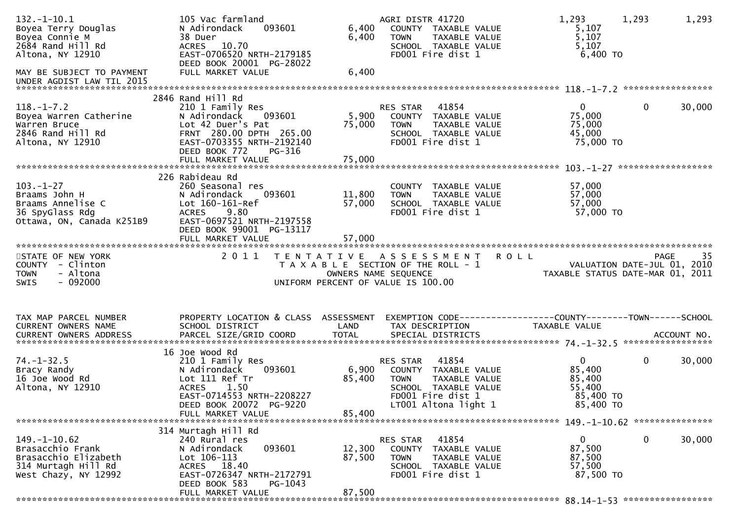| $132. - 1 - 10.1$<br>Boyea Terry Douglas<br>Boyea Connie M<br>2684 Rand Hill Rd<br>Altona, NY 12910<br>MAY BE SUBJECT TO PAYMENT | 105 Vac farmland<br>093601<br>N Adirondack<br>38 Duer<br>ACRES 10.70<br>EAST-0706520 NRTH-2179185<br>DEED BOOK 20001 PG-28022<br>FULL MARKET VALUE                                           | 6,400<br>6,400<br>6,400    | AGRI DISTR 41720<br>COUNTY TAXABLE VALUE<br>TAXABLE VALUE<br><b>TOWN</b><br>SCHOOL TAXABLE VALUE<br>FD001 Fire dist 1                          | 1,293<br>1,293<br>5,107<br>5,107<br>5,107<br>$6,400$ TO                                                       | 1,293  |
|----------------------------------------------------------------------------------------------------------------------------------|----------------------------------------------------------------------------------------------------------------------------------------------------------------------------------------------|----------------------------|------------------------------------------------------------------------------------------------------------------------------------------------|---------------------------------------------------------------------------------------------------------------|--------|
| UNDER AGDIST LAW TIL 2015                                                                                                        |                                                                                                                                                                                              |                            |                                                                                                                                                |                                                                                                               |        |
| $118.-1-7.2$<br>Boyea Warren Catherine<br>Warren Bruce<br>2846 Rand Hill Rd<br>Altona, NY 12910                                  | 2846 Rand Hill Rd<br>210 1 Family Res<br>N Adirondack<br>093601<br>Lot 42 Duer's Pat<br>FRNT 280.00 DPTH 265.00<br>EAST-0703355 NRTH-2192140<br>DEED BOOK 772<br>PG-316<br>FULL MARKET VALUE | 5,900<br>75,000<br>75,000  | RES STAR<br>41854<br>COUNTY TAXABLE VALUE<br><b>TOWN</b><br>TAXABLE VALUE<br>SCHOOL TAXABLE VALUE<br>FD001 Fire dist 1                         | $\overline{0}$<br>$\mathbf{0}$<br>75,000<br>75,000<br>45,000<br>75,000 TO                                     | 30,000 |
|                                                                                                                                  | 226 Rabideau Rd                                                                                                                                                                              |                            |                                                                                                                                                |                                                                                                               |        |
| $103 - 1 - 27$<br>Braams John H<br>Braams Annelise C<br>36 SpyGlass Rdg<br>Ottawa, ON, Canada K251B9                             | 260 Seasonal res<br>093601<br>N Adirondack<br>Lot 160-161-Ref<br>9.80<br><b>ACRES</b><br>EAST-0697521 NRTH-2197558<br>DEED BOOK 99001 PG-13117                                               | 11,800<br>57,000           | COUNTY TAXABLE VALUE<br>TAXABLE VALUE<br><b>TOWN</b><br>SCHOOL TAXABLE VALUE<br>FD001 Fire dist 1                                              | 57,000<br>57,000<br>57,000<br>57,000 TO                                                                       |        |
|                                                                                                                                  | FULL MARKET VALUE                                                                                                                                                                            | 57,000                     |                                                                                                                                                |                                                                                                               |        |
| STATE OF NEW YORK<br>COUNTY - Clinton<br><b>TOWN</b><br>- Altona                                                                 | 2011                                                                                                                                                                                         |                            | TENTATIVE ASSESSMENT ROLL<br>T A X A B L E SECTION OF THE ROLL - 1<br>OWNERS NAME SEQUENCE                                                     | <b>PAGE</b><br>VALUATION DATE-JUL 01, 2010<br>VALUATION DATE-JUL 01, ZU1U<br>TAXABLE STATUS DATE-MAR 01, 2011 | 35     |
| $-092000$<br>SWIS                                                                                                                |                                                                                                                                                                                              |                            | UNIFORM PERCENT OF VALUE IS 100.00                                                                                                             |                                                                                                               |        |
| TAX MAP PARCEL NUMBER<br>CURRENT OWNERS NAME<br>CURRENT OWNERS ADDRESS                                                           | PROPERTY LOCATION & CLASS ASSESSMENT<br>SCHOOL DISTRICT                                                                                                                                      | LAND                       | TAX DESCRIPTION                                                                                                                                | EXEMPTION CODE-----------------COUNTY--------TOWN------SCHOOL<br>TAXABLE VALUE                                |        |
| $74. - 1 - 32.5$<br>Bracy Randy<br>16 Joe Wood Rd<br>Altona, NY 12910                                                            | 16 Joe Wood Rd<br>210 1 Family Res<br>093601<br>N Adirondack<br>Lot 111 Ref Tr<br>1.50<br><b>ACRES</b><br>EAST-0714553 NRTH-2208227<br>DEED BOOK 20072 PG-9220<br>FULL MARKET VALUE          | 6,900<br>85,400<br>85,400  | 41854<br>RES STAR<br>COUNTY TAXABLE VALUE<br><b>TOWN</b><br>TAXABLE VALUE<br>SCHOOL TAXABLE VALUE<br>FD001 Fire dist 1<br>LT001 Altona light 1 | $\mathbf 0$<br>$\mathbf{0}$<br>85,400<br>85,400<br>55,400<br>85,400 TO<br>85,400 TO                           | 30,000 |
|                                                                                                                                  |                                                                                                                                                                                              |                            |                                                                                                                                                |                                                                                                               |        |
| $149. - 1 - 10.62$<br>Brasacchio Frank<br>Brasacchio Elizabeth<br>314 Murtagh Hill Rd<br>West Chazy, NY 12992                    | 314 Murtagh Hill Rd<br>240 Rural res<br>N Adirondack<br>093601<br>$Lot 106-113$<br>ACRES 18.40<br>EAST-0726347 NRTH-2172791<br>DEED BOOK 583<br>PG-1043<br>FULL MARKET VALUE                 | 12,300<br>87,500<br>87,500 | 41854<br>RES STAR<br>COUNTY TAXABLE VALUE<br><b>TOWN</b><br>TAXABLE VALUE<br>SCHOOL TAXABLE VALUE<br>FD001 Fire dist 1                         | $\mathbf{0}$<br>$\mathbf 0$<br>87,500<br>87,500<br>57,500<br>87,500 TO                                        | 30,000 |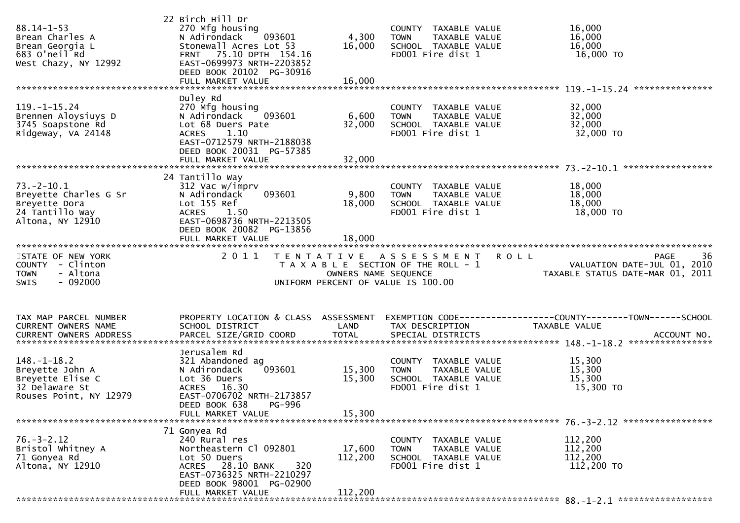| $88.14 - 1 - 53$<br>Brean Charles A<br>Brean Georgia L<br>683 O'neil Rd<br>West Chazy, NY 12992      | 22 Birch Hill Dr<br>270 Mfg housing<br>N Adirondack<br>093601<br>Stonewall Acres Lot 53<br>75.10 DPTH 154.16<br><b>FRNT</b><br>EAST-0699973 NRTH-2203852<br>DEED BOOK 20102 PG-30916 | 4,300<br>16,000      | COUNTY TAXABLE VALUE<br><b>TOWN</b><br>TAXABLE VALUE<br>SCHOOL TAXABLE VALUE<br>FD001 Fire dist 1                  | 16,000<br>16,000<br>16,000<br>16,000 TO                                              |
|------------------------------------------------------------------------------------------------------|--------------------------------------------------------------------------------------------------------------------------------------------------------------------------------------|----------------------|--------------------------------------------------------------------------------------------------------------------|--------------------------------------------------------------------------------------|
|                                                                                                      |                                                                                                                                                                                      |                      |                                                                                                                    |                                                                                      |
| $119. - 1 - 15.24$<br>Brennen Aloysiuys D<br>3745 Soapstone Rd<br>Ridgeway, VA 24148                 | Duley Rd<br>270 Mfg housing<br>N Adirondack<br>093601<br>Lot 68 Duers Pate<br>1.10<br><b>ACRES</b><br>EAST-0712579 NRTH-2188038<br>DEED BOOK 20031 PG-57385                          | 6,600<br>32,000      | COUNTY TAXABLE VALUE<br><b>TOWN</b><br>TAXABLE VALUE<br>SCHOOL TAXABLE VALUE<br>FD001 Fire dist 1                  | 32,000<br>32,000<br>32,000<br>32,000 TO                                              |
|                                                                                                      |                                                                                                                                                                                      |                      |                                                                                                                    |                                                                                      |
|                                                                                                      |                                                                                                                                                                                      |                      |                                                                                                                    |                                                                                      |
| $73. - 2 - 10.1$<br>Breyette Charles G Sr<br>Breyette Dora<br>24 Tantillo Way<br>Altona, NY 12910    | 24 Tantillo Way<br>312 Vac w/imprv<br>N Adirondack<br>093601<br>Lot 155 Ref<br><b>ACRES</b><br>1.50<br>EAST-0698736 NRTH-2213505<br>DEED BOOK 20082 PG-13856                         | 9,800<br>18,000      | COUNTY TAXABLE VALUE<br>TAXABLE VALUE<br><b>TOWN</b><br>SCHOOL TAXABLE VALUE<br>FD001 Fire dist 1                  | 18,000<br>18,000<br>18,000<br>18,000 TO                                              |
|                                                                                                      |                                                                                                                                                                                      |                      |                                                                                                                    |                                                                                      |
|                                                                                                      |                                                                                                                                                                                      |                      |                                                                                                                    |                                                                                      |
| STATE OF NEW YORK<br>COUNTY - Clinton<br>- Altona<br><b>TOWN</b><br>$-092000$<br><b>SWIS</b>         | 2011                                                                                                                                                                                 | OWNERS NAME SEQUENCE | TENTATIVE ASSESSMENT<br><b>ROLL</b><br>T A X A B L E SECTION OF THE ROLL - 1<br>UNIFORM PERCENT OF VALUE IS 100.00 | 36<br><b>PAGE</b><br>VALUATION DATE-JUL 01, 2010<br>TAXABLE STATUS DATE-MAR 01, 2011 |
| TAX MAP PARCEL NUMBER<br>CURRENT OWNERS NAME                                                         | PROPERTY LOCATION & CLASS ASSESSMENT<br>SCHOOL DISTRICT                                                                                                                              | LAND                 | TAX DESCRIPTION                                                                                                    | EXEMPTION CODE-----------------COUNTY-------TOWN------SCHOOL<br>TAXABLE VALUE        |
| $148. - 1 - 18.2$<br>Breyette John A<br>Breyette Elise C<br>32 Delaware St<br>Rouses Point, NY 12979 | Jerusalem Rd<br>321 Abandoned ag<br>093601<br>N Adirondack<br>Lot 36 Duers<br>ACRES 16.30<br>EAST-0706702 NRTH-2173857<br>DEED BOOK 638 PG-996                                       | 15,300<br>15,300     | COUNTY TAXABLE VALUE<br>TAXABLE VALUE<br><b>TOWN</b><br>SCHOOL TAXABLE VALUE<br>FD001 Fire dist 1                  | 15,300<br>15,300<br>15,300<br>15,300 TO                                              |
|                                                                                                      | FULL MARKET VALUE                                                                                                                                                                    | 15,300               |                                                                                                                    |                                                                                      |
|                                                                                                      | 71 Gonyea Rd                                                                                                                                                                         |                      |                                                                                                                    |                                                                                      |
| $76. - 3 - 2.12$<br>Bristol Whitney A<br>71 Gonyea Rd<br>Altona, NY 12910                            | 240 Rural res<br>Northeastern Cl 092801<br>Lot 50 Duers<br>ACRES 28.10 BANK<br>320<br>EAST-0736325 NRTH-2210297<br>DEED BOOK 98001 PG-02900                                          | 17,600<br>112,200    | COUNTY TAXABLE VALUE<br><b>TOWN</b><br>TAXABLE VALUE<br>SCHOOL TAXABLE VALUE<br>FD001 Fire dist 1                  | 112,200<br>112,200<br>112,200<br>112,200 TO                                          |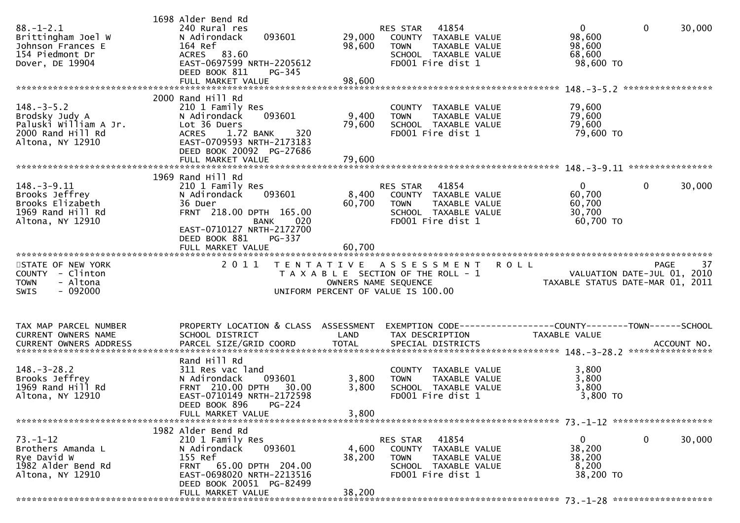| $88. - 1 - 2.1$<br>Brittingham Joel W<br>Johnson Frances E<br>154 Piedmont Dr<br>Dover, DE 19904     | 1698 Alder Bend Rd<br>240 Rural res<br>093601<br>N Adirondack<br>164 Ref<br>ACRES 83.60<br>EAST-0697599 NRTH-2205612<br>DEED BOOK 811<br>PG-345<br>FULL MARKET VALUE                                     | 29,000<br>98,600<br>98,600 | 41854<br>RES STAR<br>COUNTY TAXABLE VALUE<br><b>TOWN</b><br>TAXABLE VALUE<br>SCHOOL TAXABLE VALUE<br>FD001 Fire dist 1                     | $\overline{0}$<br>$\mathbf{0}$<br>30,000<br>98,600<br>98,600<br>68,600<br>98,600 TO |
|------------------------------------------------------------------------------------------------------|----------------------------------------------------------------------------------------------------------------------------------------------------------------------------------------------------------|----------------------------|--------------------------------------------------------------------------------------------------------------------------------------------|-------------------------------------------------------------------------------------|
| $148. - 3 - 5.2$<br>Brodsky Judy A<br>Paluski William A Jr.<br>2000 Rand Hill Rd<br>Altona, NY 12910 | 2000 Rand Hill Rd<br>210 1 Family Res<br>093601<br>N Adirondack<br>Lot 36 Duers<br>320<br>1.72 BANK<br><b>ACRES</b><br>EAST-0709593 NRTH-2173183<br>DEED BOOK 20092 PG-27686<br>FULL MARKET VALUE        | 9,400<br>79,600<br>79,600  | COUNTY TAXABLE VALUE<br><b>TOWN</b><br>TAXABLE VALUE<br>SCHOOL TAXABLE VALUE<br>FD001 Fire dist 1                                          | 79,600<br>79,600<br>79,600<br>79,600 TO                                             |
| $148. - 3 - 9.11$<br>Brooks Jeffrey<br>Brooks Elizabeth<br>1969 Rand Hill Rd<br>Altona, NY 12910     | 1969 Rand Hill Rd<br>210 1 Family Res<br>093601<br>N Adirondack<br>36 Duer<br>FRNT 218.00 DPTH 165.00<br>020<br><b>BANK</b><br>EAST-0710127 NRTH-2172700<br>DEED BOOK 881<br>PG-337<br>FULL MARKET VALUE | 8,400<br>60,700<br>60,700  | 41854<br>RES STAR<br>COUNTY TAXABLE VALUE<br>TAXABLE VALUE<br><b>TOWN</b><br>SCHOOL TAXABLE VALUE<br>FD001 Fire dist 1                     | $\overline{0}$<br>$\mathbf{0}$<br>30,000<br>60,700<br>60,700<br>30,700<br>60,700 TO |
| STATE OF NEW YORK<br>COUNTY - Clinton<br>- Altona<br><b>TOWN</b><br>$-092000$<br>SWIS                | 2011                                                                                                                                                                                                     |                            | TENTATIVE ASSESSMENT<br><b>ROLL</b><br>T A X A B L E SECTION OF THE ROLL - 1<br>OWNERS NAME SEQUENCE<br>UNIFORM PERCENT OF VALUE IS 100.00 | 37<br>PAGE<br>VALUATION DATE-JUL 01, 2010<br>TAXABLE STATUS DATE-MAR 01, 2011       |
| TAX MAP PARCEL NUMBER<br><b>CURRENT OWNERS NAME</b>                                                  | PROPERTY LOCATION & CLASS ASSESSMENT<br>SCHOOL DISTRICT                                                                                                                                                  | LAND                       | TAX DESCRIPTION                                                                                                                            | TAXABLE VALUE                                                                       |
| $148. - 3 - 28.2$<br>Brooks Jeffrey<br>1969 Rand Hill Rd<br>Altona, NY 12910                         | Rand Hill Rd<br>311 Res vac land<br>093601<br>N Adirondack<br>FRNT 210.00 DPTH<br>30.00<br>EAST-0710149 NRTH-2172598<br>DEED BOOK 896 PG-224<br>FULL MARKET VALUE                                        | 3,800<br>3,800<br>3,800    | COUNTY TAXABLE VALUE<br>TAXABLE VALUE<br><b>TOWN</b><br>SCHOOL TAXABLE VALUE<br>FD001 Fire dist 1                                          | 3,800<br>3,800<br>3,800<br>3,800 TO                                                 |
| $73. - 1 - 12$<br>Brothers Amanda L<br>Rye David W<br>1982 Alder Bend Rd<br>Altona, NY 12910         | 1982 Alder Bend Rd<br>210 1 Family Res<br>N Adirondack<br>093601<br>155 Ref<br>FRNT 65.00 DPTH 204.00<br>EAST-0698020 NRTH-2213516<br>DEED BOOK 20051 PG-82499<br>FULL MARKET VALUE                      | 4,600<br>38,200<br>38,200  | 41854<br>RES STAR<br>COUNTY TAXABLE VALUE<br><b>TOWN</b><br>TAXABLE VALUE<br>SCHOOL TAXABLE VALUE<br>FD001 Fire dist 1                     | 0<br>0<br>30,000<br>38,200<br>38,200<br>8,200<br>38,200 TO                          |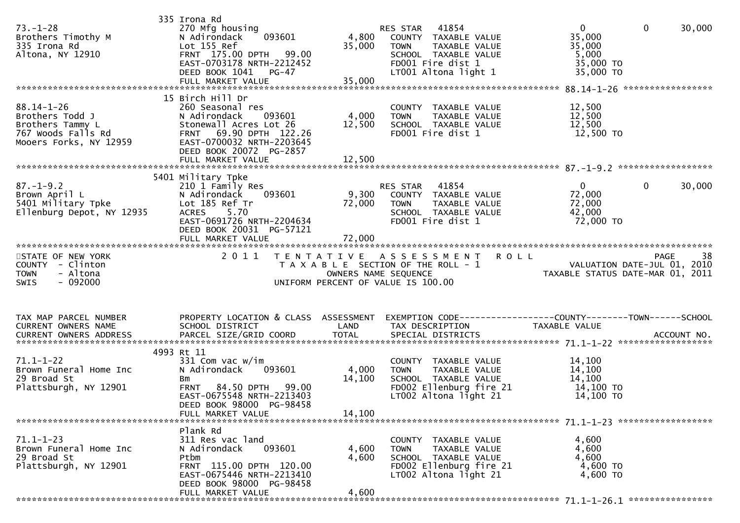| $73. - 1 - 28$<br>Brothers Timothy M<br>335 Irona Rd<br>Altona, NY 12910                                | 335 Irona Rd<br>270 Mfg housing<br>093601<br>N Adirondack<br>Lot 155 Ref<br>FRNT 175.00 DPTH 99.00<br>EAST-0703178 NRTH-2212452<br>DEED BOOK 1041 PG-47                         | 4,800<br>35,000           | RES STAR 41854<br>COUNTY TAXABLE VALUE<br>TAXABLE VALUE<br><b>TOWN</b><br>SCHOOL TAXABLE VALUE<br>FD001 Fire dist 1<br>LT001 Altona light 1 | $\mathbf{0}$<br>$\mathbf 0$<br>35,000<br>35,000<br>5,000<br>35,000 TO<br>35,000 TO                         | 30,000            |
|---------------------------------------------------------------------------------------------------------|---------------------------------------------------------------------------------------------------------------------------------------------------------------------------------|---------------------------|---------------------------------------------------------------------------------------------------------------------------------------------|------------------------------------------------------------------------------------------------------------|-------------------|
| $88.14 - 1 - 26$<br>Brothers Todd J<br>Brothers Tammy L<br>767 Woods Falls Rd<br>Mooers Forks, NY 12959 | 15 Birch Hill Dr<br>260 Seasonal res<br>N Adirondack<br>093601<br>Stonewall Acres Lot 26<br>FRNT 69.90 DPTH 122.26<br>EAST-0700032 NRTH-2203645<br>DEED BOOK 20072 PG-2857      | 4,000<br>12,500           | COUNTY TAXABLE VALUE<br>TAXABLE VALUE<br><b>TOWN</b><br>SCHOOL TAXABLE VALUE<br>FD001 Fire dist 1                                           | 12,500<br>12,500<br>12,500<br>12,500 TO                                                                    |                   |
| $87. - 1 - 9.2$<br>Brown April L<br>5401 Military Tpke<br>Ellenburg Depot, NY 12935                     | 5401 Military Tpke<br>210 1 Family Res<br>N Adirondack<br>093601<br>Lot 185 Ref Tr<br>5.70<br><b>ACRES</b><br>EAST-0691726 NRTH-2204634<br>DEED BOOK 20031 PG-57121             | 72,000                    | RES STAR 41854<br>9,300 COUNTY TAXABLE VALUE<br><b>TOWN</b><br>TAXABLE VALUE<br>SCHOOL TAXABLE VALUE<br>FD001 Fire dist 1                   | $\overline{0}$<br>$\mathbf{0}$<br>72,000<br>72,000<br>42,000<br>72,000 TO                                  | 30,000            |
| STATE OF NEW YORK<br>COUNTY - Clinton<br>- Altona<br><b>TOWN</b><br><b>SWIS</b><br>- 092000             | 2 0 1 1                                                                                                                                                                         | OWNERS NAME SEQUENCE      | TENTATIVE ASSESSMENT<br><b>ROLL</b><br>T A X A B L E SECTION OF THE ROLL - 1<br>UNIFORM PERCENT OF VALUE IS 100.00                          | 38<br>VALUATION DATE-JUL 01, 2010<br>TAXARIF STATIIS DATE-MAR 01, 2011<br>TAXABLE STATUS DATE-MAR 01, 2011 | 38<br><b>PAGE</b> |
| TAX MAP PARCEL NUMBER<br>CURRENT OWNERS NAME                                                            | PROPERTY LOCATION & CLASS ASSESSMENT EXEMPTION CODE----------------COUNTY-------TOWN------SCHOOL<br>SCHOOL DISTRICT                                                             | LAND                      | TAX DESCRIPTION                                                                                                                             | TAXABLE VALUE                                                                                              |                   |
| $71.1 - 1 - 22$<br>Brown Funeral Home Inc<br>29 Broad St<br>Plattsburgh, NY 12901                       | 4993 Rt 11<br>331 Com vac w/im<br>N Adirondack<br>093601<br>Bm<br>84.50 DPTH 99.00<br><b>FRNT</b><br>EAST-0675548 NRTH-2213403<br>DEED BOOK 98000 PG-98458<br>FULL MARKET VALUE | 4,000<br>14,100<br>14,100 | COUNTY TAXABLE VALUE<br><b>TOWN</b><br>TAXABLE VALUE<br>SCHOOL TAXABLE VALUE<br>FD002 Ellenburg fire 21<br>$LT002$ Altona light 21          | 14,100<br>14,100<br>14,100<br>14,100 TO<br>14,100 TO                                                       |                   |
| $71.1 - 1 - 23$<br>Brown Funeral Home Inc<br>29 Broad St<br>Plattsburgh, NY 12901                       | Plank Rd<br>311 Res vac land<br>N Adirondack<br>093601<br>Ptbm<br>FRNT 115.00 DPTH 120.00<br>EAST-0675446 NRTH-2213410<br>DEED BOOK 98000 PG-98458<br>FULL MARKET VALUE         | 4,600<br>4,600<br>4,600   | COUNTY TAXABLE VALUE<br><b>TOWN</b><br>TAXABLE VALUE<br>SCHOOL TAXABLE VALUE<br>FD002 Ellenburg fire 21<br>LT002 Altona light 21            | 4,600<br>4,600<br>4,600<br>4,600 TO<br>4,600 TO                                                            |                   |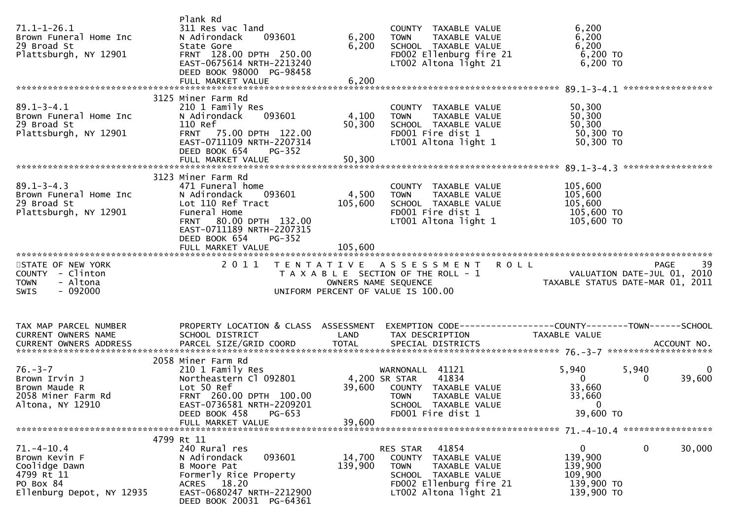| $71.1 - 1 - 26.1$<br>Brown Funeral Home Inc<br>29 Broad St<br>Plattsburgh, NY 12901                    | Plank Rd<br>311 Res vac land<br>093601<br>N Adirondack<br>State Gore<br>FRNT 128.00 DPTH 250.00<br>EAST-0675614 NRTH-2213240<br>DEED BOOK 98000 PG-98458                                | 6,200<br>6,200    | COUNTY TAXABLE VALUE<br>TAXABLE VALUE<br><b>TOWN</b><br>SCHOOL TAXABLE VALUE<br>FD002 Ellenburg fire 21<br>LT002 Altona light $21$                    | 6,200<br>6,200<br>6,200<br>$6,200$ TO<br>6,200 TO                                                                                            |
|--------------------------------------------------------------------------------------------------------|-----------------------------------------------------------------------------------------------------------------------------------------------------------------------------------------|-------------------|-------------------------------------------------------------------------------------------------------------------------------------------------------|----------------------------------------------------------------------------------------------------------------------------------------------|
|                                                                                                        |                                                                                                                                                                                         |                   |                                                                                                                                                       |                                                                                                                                              |
| $89.1 - 3 - 4.1$<br>Brown Funeral Home Inc<br>29 Broad St<br>Plattsburgh, NY 12901                     | 3125 Miner Farm Rd<br>210 1 Family Res<br>N Adirondack<br>093601<br>110 Ref<br>FRNT 75.00 DPTH 122.00<br>EAST-0711109 NRTH-2207314<br>DEED BOOK 654<br>PG-352                           | 4,100<br>50,300   | COUNTY TAXABLE VALUE<br>TOWN TAXABLE VALUE<br>SCHOOL TAXABLE VALUE<br>FD001 Fire dist 1<br>LT001 Altona light 1                                       | 50,300<br>50,300<br>50,300<br>50,300 TO<br>50,300 TO                                                                                         |
|                                                                                                        |                                                                                                                                                                                         |                   |                                                                                                                                                       |                                                                                                                                              |
| $89.1 - 3 - 4.3$<br>Brown Funeral Home Inc<br>29 Broad St<br>Plattsburgh, NY 12901                     | 3123 Miner Farm Rd<br>471 Funeral home<br>N Adirondack<br>093601<br>Lot 110 Ref Tract<br>Funeral Home<br>FRNT 80.00 DPTH 132.00<br>EAST-0711189 NRTH-2207315<br>DEED BOOK 654<br>PG-352 | 4,500<br>105,600  | COUNTY TAXABLE VALUE<br>TAXABLE VALUE<br><b>TOWN</b><br>SCHOOL TAXABLE VALUE<br>FD001 Fire dist 1<br>LT001 Altona light 1                             | 105,600<br>105,600<br>105,600<br>105,600 то<br>105,600 то                                                                                    |
|                                                                                                        |                                                                                                                                                                                         |                   |                                                                                                                                                       |                                                                                                                                              |
| STATE OF NEW YORK<br>COUNTY - Clinton<br><b>TOWN</b><br>- Altona<br>$-092000$<br><b>SWIS</b>           |                                                                                                                                                                                         |                   | 2011 TENTATIVE ASSESSMENT ROLL<br>UNIFORM PERCENT OF VALUE IS 100.00                                                                                  | T A X A B L E SECTION OF THE ROLL - 1<br>T A X A B L E SECTION OF THE ROLL - 1<br>OWNERS NAME SEQUENCE<br>JNIFORM PERCENT OF VALUE IS 100.00 |
| TAX MAP PARCEL NUMBER<br>CURRENT OWNERS NAME                                                           | PROPERTY LOCATION & CLASS ASSESSMENT<br>SCHOOL DISTRICT                                                                                                                                 | LAND              | TAX DESCRIPTION                                                                                                                                       | EXEMPTION CODE-----------------COUNTY-------TOWN------SCHOOL<br>TAXABLE VALUE                                                                |
|                                                                                                        | 2058 Miner Farm Rd                                                                                                                                                                      |                   |                                                                                                                                                       |                                                                                                                                              |
| $76. - 3 - 7$<br>Brown Irvin J<br>Brown Maude R<br>2058 Miner Farm Rd<br>Altona, NY 12910              | 210 1 Family Res<br>Northeastern C1 092801 4,200 SR STAR<br>Lot 50 Ref<br>FRNT 260.00 DPTH 100.00<br>EAST-0736581 NRTH-2209201<br>DEED BOOK 458<br>PG-653                               |                   | WARNONALL 41121<br>41834<br>39,600 COUNTY TAXABLE VALUE<br><b>TOWN</b><br>TAXABLE VALUE<br>SCHOOL TAXABLE VALUE<br>FD001 Fire dist 1                  | 5,940<br>5,940<br>0<br>$\mathbf{0}$<br>39,600<br>33,660<br>33,660<br>$\mathbf{0}$<br>39,600 TO                                               |
|                                                                                                        | FULL MARKET VALUE                                                                                                                                                                       | 39,600            |                                                                                                                                                       |                                                                                                                                              |
|                                                                                                        |                                                                                                                                                                                         |                   |                                                                                                                                                       |                                                                                                                                              |
| $71.-4-10.4$<br>Brown Kevin F<br>Coolidge Dawn<br>4799 Rt 11<br>PO Box 84<br>Ellenburg Depot, NY 12935 | 4799 Rt 11<br>240 Rural res<br>093601<br>N Adirondack<br>B Moore Pat<br>Formerly Rice Property<br>ACRES 18.20<br>EAST-0680247 NRTH-2212900                                              | 14,700<br>139,900 | RES STAR<br>41854<br>COUNTY TAXABLE VALUE<br><b>TOWN</b><br>TAXABLE VALUE<br>SCHOOL TAXABLE VALUE<br>FD002 Ellenburg fire 21<br>LT002 Altona light 21 | 0<br>0<br>30,000<br>139,900<br>139,900<br>109,900<br>139,900 то<br>139,900 TO                                                                |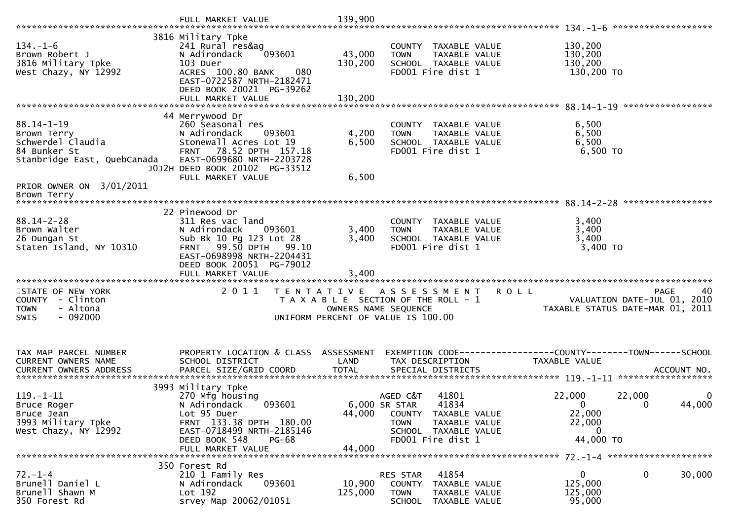| $134. - 1 - 6$<br>Brown Robert J<br>3816 Military Tpke<br>West Chazy, NY 12992                                            | 3816 Military Tpke<br>241 Rural res&ag<br>093601<br>N Adirondack<br>103 Duer<br>080<br>ACRES 100.80 BANK<br>EAST-0722587 NRTH-2182471<br>DEED BOOK 20021 PG-39262                                     | 43,000<br>130,200       | COUNTY TAXABLE VALUE<br><b>TOWN</b><br>TAXABLE VALUE<br>SCHOOL TAXABLE VALUE<br>FD001 Fire dist 1                                                | 130,200<br>130,200<br>130,200<br>130,200 TO                                        |                        |
|---------------------------------------------------------------------------------------------------------------------------|-------------------------------------------------------------------------------------------------------------------------------------------------------------------------------------------------------|-------------------------|--------------------------------------------------------------------------------------------------------------------------------------------------|------------------------------------------------------------------------------------|------------------------|
| 88.14-1-19<br>Brown Terry<br>Schwerdel Claudia<br>84 Bunker St<br>Stanbridge East, QuebCanada<br>PRIOR OWNER ON 3/01/2011 | 44 Merrywood Dr<br>260 Seasonal res<br>N Adirondack<br>093601<br>Stonewall Acres Lot 19<br>FRNT 78.52 DPTH 157.18<br>EAST-0699680 NRTH-2203728<br>J0J2H DEED BOOK 20102 PG-33512<br>FULL MARKET VALUE | 4,200<br>6,500<br>6,500 | COUNTY TAXABLE VALUE<br>TAXABLE VALUE<br><b>TOWN</b><br>SCHOOL TAXABLE VALUE<br>FD001 Fire dist 1                                                | 6,500<br>6,500<br>6,500<br>$6,500$ TO                                              |                        |
| Brown Terry<br>$88.14 - 2 - 28$<br>Brown Walter<br>26 Dungan St<br>Staten Island, NY 10310                                | 22 Pinewood Dr<br>311 Res vac land<br>N Adirondack<br>093601<br>Sub Bk 10 Pg 123 Lot 28<br>FRNT 99.50 DPTH 99.10<br>EAST-0698998 NRTH-2204431<br>DEED BOOK 20051 PG-79012<br>FULL MARKET VALUE        | 3,400<br>3,400<br>3,400 | COUNTY TAXABLE VALUE<br>TAXABLE VALUE<br><b>TOWN</b><br>SCHOOL TAXABLE VALUE<br>FD001 Fire dist 1                                                | 3,400<br>3,400<br>3,400<br>3,400 TO                                                |                        |
| STATE OF NEW YORK<br>COUNTY - Clinton<br>- Altona<br><b>TOWN</b><br>$-092000$<br><b>SWIS</b>                              | 2011                                                                                                                                                                                                  | OWNERS NAME SEQUENCE    | TENTATIVE ASSESSMENT<br>T A X A B L E SECTION OF THE ROLL - 1<br>UNIFORM PERCENT OF VALUE IS 100.00                                              | <b>ROLL</b><br>VALUATION DATE-JUL 01, 2010<br>TAXABLE STATUS DATE-MAR 01, 2011     | <b>PAGE</b><br>40      |
| TAX MAP PARCEL NUMBER<br>CURRENT OWNERS NAME                                                                              | PROPERTY LOCATION & CLASS ASSESSMENT<br>SCHOOL DISTRICT                                                                                                                                               | LAND                    | TAX DESCRIPTION                                                                                                                                  | EXEMPTION CODE-----------------COUNTY-------TOWN------SCHOOL<br>TAXABLE VALUE      |                        |
| $119. - 1 - 11$<br>Bruce Roger<br>Bruce Jean<br>3993 Military Tpke<br>West Chazy, NY 12992                                | 3993 Military Tpke<br>270 Mfg housing<br>N Adirondack<br>093601<br>Lot 95 Duer<br>FRNT 133.38 DPTH 180.00<br>EAST-0718499 NRTH-2185146<br>DEED BOOK 548<br><b>PG-68</b><br>FULL MARKET VALUE          | 44,000<br>44,000        | 41801<br>AGED C&T<br>6,000 SR STAR<br>41834<br>COUNTY TAXABLE VALUE<br><b>TOWN</b><br>TAXABLE VALUE<br>SCHOOL TAXABLE VALUE<br>FD001 Fire dist 1 | 22,000<br>22,000<br>$\mathbf{0}$<br>$\Omega$<br>22,000<br>22,000<br>0<br>44,000 TO | $\mathbf{0}$<br>44,000 |
| $72. - 1 - 4$<br>Brunell Daniel L<br>Brunell Shawn M<br>350 Forest Rd                                                     | 350 Forest Rd<br>210 1 Family Res<br>093601<br>N Adirondack<br>Lot 192<br>srvey Map 20062/01051                                                                                                       | 10,900<br>125,000       | 41854<br>RES STAR<br>COUNTY TAXABLE VALUE<br><b>TOWN</b><br>TAXABLE VALUE<br>SCHOOL<br>TAXABLE VALUE                                             | $\mathbf 0$<br>0<br>125,000<br>125,000<br>95,000                                   | 30,000                 |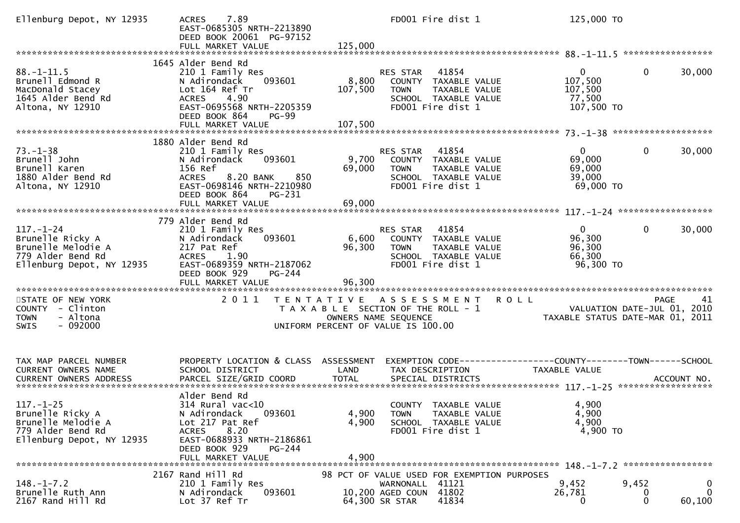| Ellenburg Depot, NY 12935                                                                                   | 7.89<br><b>ACRES</b><br>EAST-0685305 NRTH-2213890<br>DEED BOOK 20061 PG-97152<br>FULL MARKET VALUE                                                                                     | 125,000                                                                               | FD001 Fire dist 1                                                                           | 125,000 TO                                                                      |                                                                               |
|-------------------------------------------------------------------------------------------------------------|----------------------------------------------------------------------------------------------------------------------------------------------------------------------------------------|---------------------------------------------------------------------------------------|---------------------------------------------------------------------------------------------|---------------------------------------------------------------------------------|-------------------------------------------------------------------------------|
|                                                                                                             |                                                                                                                                                                                        |                                                                                       |                                                                                             |                                                                                 |                                                                               |
| $88. - 1 - 11.5$<br>Brunell Edmond R<br>MacDonald Stacey<br>1645 Alder Bend Rd<br>Altona, NY 12910          | 1645 Alder Bend Rd<br>210 1 Family Res<br>093601<br>N Adirondack<br>Lot 164 Ref Tr<br>ACRES<br>4.90<br>EAST-0695568 NRTH-2205359<br>DEED BOOK 864<br><b>PG-99</b><br>FULL MARKET VALUE | RES STAR<br>8,800<br>107,500<br><b>TOWN</b><br>107,500                                | 41854<br>COUNTY TAXABLE VALUE<br>TAXABLE VALUE<br>SCHOOL TAXABLE VALUE<br>FD001 Fire dist 1 | $\mathbf{0}$<br>107,500<br>107,500<br>77,500<br>107,500 TO                      | $\mathbf{0}$<br>30,000                                                        |
|                                                                                                             |                                                                                                                                                                                        |                                                                                       |                                                                                             |                                                                                 |                                                                               |
| $73. - 1 - 38$<br>Brunell John<br>Brunell Karen<br>1880 Alder Bend Rd<br>Altona, NY 12910                   | 1880 Alder Bend Rd<br>210 1 Family Res<br>093601<br>N Adirondack<br>156 Ref<br>8.20 BANK<br>850<br><b>ACRES</b><br>EAST-0698146 NRTH-2210980<br>DEED BOOK 864<br>PG-231                | RES STAR<br>9,700<br>69,000<br><b>TOWN</b>                                            | 41854<br>COUNTY TAXABLE VALUE<br>TAXABLE VALUE<br>SCHOOL TAXABLE VALUE<br>FD001 Fire dist 1 | $0^{\circ}$<br>69,000<br>69,000<br>39,000<br>69,000 TO                          | 30,000<br>0                                                                   |
|                                                                                                             | FULL MARKET VALUE                                                                                                                                                                      | 69,000                                                                                |                                                                                             |                                                                                 |                                                                               |
| $117. - 1 - 24$<br>Brunelle Ricky A<br>Brunelle Melodie A<br>779 Alder Bend Rd<br>Ellenburg Depot, NY 12935 | 779 Alder Bend Rd<br>210 1 Family Res<br>093601<br>N Adirondack<br>217 Pat Ref<br><b>ACRES</b><br>1.90<br>EAST-0689359 NRTH-2187062                                                    | RES STAR<br>6,600<br>96,300<br><b>TOWN</b>                                            | 41854<br>COUNTY TAXABLE VALUE<br>TAXABLE VALUE<br>SCHOOL TAXABLE VALUE<br>FD001 Fire dist 1 | $\mathbf{0}$<br>96,300<br>96,300<br>66,300<br>96,300 TO                         | $\mathbf{0}$<br>30,000                                                        |
| STATE OF NEW YORK<br>COUNTY - Clinton<br>- Altona<br><b>TOWN</b>                                            | DEED BOOK 929<br>$PG-244$<br>2011                                                                                                                                                      | TENTATIVE ASSESSMENT<br>T A X A B L E SECTION OF THE ROLL - 1<br>OWNERS NAME SEQUENCE |                                                                                             | <b>ROLL</b>                                                                     | 41<br>PAGE<br>VALUATION DATE-JUL 01, 2010<br>TAXABLE STATUS DATE-MAR 01, 2011 |
| $-092000$<br>SWIS                                                                                           |                                                                                                                                                                                        | UNIFORM PERCENT OF VALUE IS 100.00                                                    |                                                                                             |                                                                                 |                                                                               |
| TAX MAP PARCEL NUMBER<br>CURRENT OWNERS NAME<br><b>CURRENT OWNERS ADDRESS</b>                               | PROPERTY LOCATION & CLASS ASSESSMENT<br>SCHOOL DISTRICT<br>PARCEL SIZE/GRID COORD                                                                                                      | LAND<br><b>TOTAL</b>                                                                  | TAX DESCRIPTION<br>SPECIAL DISTRICTS                                                        | EXEMPTION CODE------------------COUNTY--------TOWN------SCHOOL<br>TAXABLE VALUE | ACCOUNT NO.                                                                   |
| $117. - 1 - 25$<br>Brunelle Ricky A<br>Brunelle Melodie A<br>779 Alder Bend Rd<br>Ellenburg Depot, NY 12935 | Alder Bend Rd<br>314 Rural vac<10<br>093601<br>N Adirondack<br>Lot 217 Pat Ref<br>8.20<br><b>ACRES</b><br>EAST-0688933 NRTH-2186861<br>DEED BOOK 929<br>PG-244<br>FULL MARKET VALUE    | 4,900<br><b>TOWN</b><br>4,900<br>4,900                                                | COUNTY TAXABLE VALUE<br>TAXABLE VALUE<br>SCHOOL TAXABLE VALUE<br>FD001 Fire dist 1          | 4,900<br>4,900<br>4,900<br>4,900 TO                                             |                                                                               |
| $148. - 1 - 7.2$<br>Brunelle Ruth Ann<br>2167 Rand Hill Rd                                                  | 2167 Rand Hill Rd<br>210 1 Family Res<br>093601<br>N Adirondack<br>Lot 37 Ref Tr                                                                                                       | 10,200 AGED COUN 41802<br>64,300 SR STAR                                              | 98 PCT OF VALUE USED FOR EXEMPTION PURPOSES<br>WARNONALL 41121<br>41834                     | 9,452<br>26,781<br>0                                                            | 9,452<br>$\mathbf 0$<br>$\Omega$<br>$\Omega$<br>0<br>60,100                   |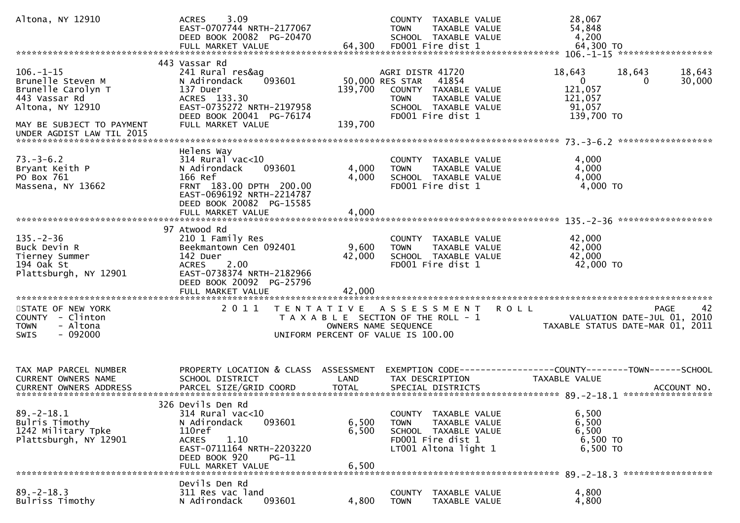| Altona, NY 12910                                                                                                                                          | 3.09<br><b>ACRES</b><br>EAST-0707744 NRTH-2177067<br>DEED BOOK 20082 PG-20470<br>FULL MARKET VALUE                                                                              | 64,300                    | COUNTY TAXABLE VALUE<br>TAXABLE VALUE<br><b>TOWN</b><br>SCHOOL TAXABLE VALUE<br>FD001 Fire dist 1                                                 | 28,067<br>54,848<br>4,200<br>64,300 TO                                                                  |
|-----------------------------------------------------------------------------------------------------------------------------------------------------------|---------------------------------------------------------------------------------------------------------------------------------------------------------------------------------|---------------------------|---------------------------------------------------------------------------------------------------------------------------------------------------|---------------------------------------------------------------------------------------------------------|
| $106. - 1 - 15$<br>Brunelle Steven M<br>Brunelle Carolyn T<br>443 Vassar Rd<br>Altona, NY 12910<br>MAY BE SUBJECT TO PAYMENT<br>UNDER AGDIST LAW TIL 2015 | 443 Vassar Rd<br>241 Rural res&ag<br>093601<br>N Adirondack<br>137 Duer<br>ACRES 133.30<br>EAST-0735272 NRTH-2197958<br>DEED BOOK 20041 PG-76174<br>FULL MARKET VALUE           | 139,700<br>139,700        | AGRI DISTR 41720<br>41854<br>50,000 RES STAR<br>COUNTY TAXABLE VALUE<br>TAXABLE VALUE<br><b>TOWN</b><br>SCHOOL TAXABLE VALUE<br>FD001 Fire dist 1 | 18,643<br>18,643<br>18,643<br>$\mathbf{0}$<br>30,000<br>0<br>121,057<br>121,057<br>91,057<br>139,700 TO |
| $73. - 3 - 6.2$<br>Bryant Keith P<br>PO Box 761<br>Massena, NY 13662                                                                                      | Helens Way<br>$314$ Rural vac<10<br>N Adirondack<br>093601<br>166 Ref<br>FRNT 183.00 DPTH 200.00<br>EAST-0696192 NRTH-2214787<br>DEED BOOK 20082 PG-15585<br>FULL MARKET VALUE  | 4,000<br>4,000<br>4,000   | COUNTY TAXABLE VALUE<br>TAXABLE VALUE<br><b>TOWN</b><br>SCHOOL TAXABLE VALUE<br>FD001 Fire dist 1                                                 | 4,000<br>4,000<br>4,000<br>4,000 TO                                                                     |
| $135. - 2 - 36$<br>Buck Devin R<br>Tierney Summer<br>194 Oak St<br>Plattsburgh, NY 12901                                                                  | 97 Atwood Rd<br>210 1 Family Res<br>Beekmantown Cen 092401<br>142 Duer<br><b>ACRES</b><br>2.00<br>EAST-0738374 NRTH-2182966<br>DEED BOOK 20092 PG-25796<br>FULL MARKET VALUE    | 9,600<br>42,000<br>42,000 | COUNTY TAXABLE VALUE<br>TAXABLE VALUE<br><b>TOWN</b><br>SCHOOL TAXABLE VALUE<br>FD001 Fire dist 1                                                 | 42,000<br>42,000<br>42,000<br>42,000 TO                                                                 |
| STATE OF NEW YORK<br>COUNTY - Clinton<br>- Altona<br><b>TOWN</b><br>$-092000$<br>SWIS                                                                     | 2011                                                                                                                                                                            | OWNERS NAME SEQUENCE      | TENTATIVE ASSESSMENT<br>T A X A B L E SECTION OF THE ROLL - 1<br>UNIFORM PERCENT OF VALUE IS 100.00                                               | 42<br><b>ROLL</b><br><b>PAGE</b><br>VALUATION DATE-JUL 01, 2010<br>TAXABLE STATUS DATE-MAR 01, 2011     |
| TAX MAP PARCEL NUMBER<br><b>CURRENT OWNERS NAME</b>                                                                                                       | PROPERTY LOCATION & CLASS ASSESSMENT<br>SCHOOL DISTRICT                                                                                                                         | LAND                      | TAX DESCRIPTION                                                                                                                                   | EXEMPTION CODE------------------COUNTY--------TOWN------SCHOOL<br><b>TAXABLE VALUE</b>                  |
| $89. -2 - 18.1$<br>Bulris Timothy<br>1242 Military Tpke<br>Plattsburgh, NY 12901                                                                          | 326 Devils Den Rd<br>314 Rural vac<10<br>093601<br>N Adirondack<br>110ref<br><b>ACRES</b><br>1.10<br>EAST-0711164 NRTH-2203220<br>DEED BOOK 920<br>$PG-11$<br>FULL MARKET VALUE | 6,500<br>6,500<br>6,500   | COUNTY TAXABLE VALUE<br>TAXABLE VALUE<br><b>TOWN</b><br>SCHOOL TAXABLE VALUE<br>FD001 Fire dist 1<br>LT001 Altona light 1                         | 6,500<br>6,500<br>6,500<br>6,500 TO<br>6,500 TO                                                         |
| $89. - 2 - 18.3$<br>Bulriss Timothy                                                                                                                       | Devils Den Rd<br>311 Res vac land<br>093601<br>N Adirondack                                                                                                                     | 4,800                     | COUNTY TAXABLE VALUE<br><b>TOWN</b><br>TAXABLE VALUE                                                                                              | 4,800<br>4,800                                                                                          |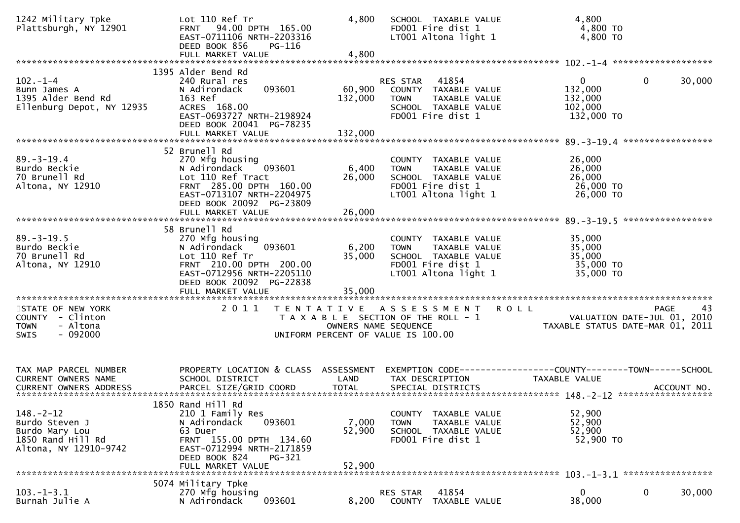| 1242 Military Tpke<br>Plattsburgh, NY 12901                                                       | Lot 110 Ref Tr<br>FRNT 94.00 DPTH 165.00<br>EAST-0711106 NRTH-2203316<br>DEED BOOK 856<br>$PG-116$<br>FULL MARKET VALUE                                                                  | 4,800<br>4,800            | SCHOOL TAXABLE VALUE<br>FD001 Fire dist 1<br>LT001 Altona light 1                                                         | 4,800<br>4,800 TO<br>$4,800$ TO                                                                     |        |
|---------------------------------------------------------------------------------------------------|------------------------------------------------------------------------------------------------------------------------------------------------------------------------------------------|---------------------------|---------------------------------------------------------------------------------------------------------------------------|-----------------------------------------------------------------------------------------------------|--------|
|                                                                                                   | 1395 Alder Bend Rd                                                                                                                                                                       |                           |                                                                                                                           |                                                                                                     |        |
| $102 - 1 - 4$<br>Bunn James A<br>1395 Alder Bend Rd<br>Ellenburg Depot, NY 12935                  | 240 Rural res<br>093601<br>N Adirondack<br>163 Ref<br>ACRES 168.00<br>EAST-0693727 NRTH-2198924<br>DEED BOOK 20041 PG-78235                                                              | 60,900<br>132,000         | 41854<br>RES STAR<br>COUNTY TAXABLE VALUE<br><b>TOWN</b><br>TAXABLE VALUE<br>SCHOOL TAXABLE VALUE<br>FD001 Fire dist 1    | $\mathbf{0}$<br>0<br>132,000<br>132,000<br>102,000<br>132,000 TO                                    | 30,000 |
|                                                                                                   |                                                                                                                                                                                          |                           |                                                                                                                           | *****************                                                                                   |        |
| $89. - 3 - 19.4$<br>Burdo Beckie<br>70 Brunell Rd<br>Altona, NY 12910                             | 52 Brunell Rd<br>270 Mfg housing<br>093601<br>N Adirondack<br>Lot 110 Ref Tract<br>FRNT 285.00 DPTH 160.00<br>EAST-0713107 NRTH-2204975<br>DEED BOOK 20092 PG-23809<br>FULL MARKET VALUE | 6,400<br>26,000<br>26,000 | COUNTY TAXABLE VALUE<br>TAXABLE VALUE<br><b>TOWN</b><br>SCHOOL TAXABLE VALUE<br>FD001 Fire dist 1<br>LT001 Altona light 1 | 26,000<br>26,000<br>26,000<br>26,000 TO<br>26,000 TO                                                |        |
|                                                                                                   |                                                                                                                                                                                          |                           |                                                                                                                           |                                                                                                     |        |
| $89. - 3 - 19.5$<br>Burdo Beckie<br>70 Brunell Rd<br>Altona, NY 12910                             | 58 Brunell Rd<br>270 Mfg housing<br>N Adirondack<br>093601<br>Lot 110 Ref Tr<br>FRNT 210.00 DPTH 200.00<br>EAST-0712956 NRTH-2205110<br>DEED BOOK 20092 PG-22838                         | 6,200<br>35,000           | COUNTY TAXABLE VALUE<br>TAXABLE VALUE<br><b>TOWN</b><br>SCHOOL TAXABLE VALUE<br>FD001 Fire dist 1<br>LT001 Altona light 1 | 35,000<br>35,000<br>35,000<br>35,000 TO<br>35,000 TO                                                |        |
| STATE OF NEW YORK                                                                                 | 2011                                                                                                                                                                                     | T E N T A T I V E         | A S S E S S M E N T                                                                                                       | R O L L<br><b>PAGE</b>                                                                              | 43     |
| COUNTY - Clinton<br><b>TOWN</b><br>- Altona<br>$-092000$<br><b>SWIS</b>                           |                                                                                                                                                                                          | OWNERS NAME SEQUENCE      | T A X A B L E SECTION OF THE ROLL - 1<br>UNIFORM PERCENT OF VALUE IS 100.00                                               | VALUATION DATE-JUL 01, 2010<br>TAXABLE STATIIS DATE-MAP 01 2011<br>TAXABLE STATUS DATE-MAR 01, 2011 |        |
| TAX MAP PARCEL NUMBER<br>CURRENT OWNERS NAME                                                      | PROPERTY LOCATION & CLASS ASSESSMENT<br>SCHOOL DISTRICT                                                                                                                                  | LAND                      | TAX DESCRIPTION                                                                                                           | EXEMPTION CODE-----------------COUNTY-------TOWN------SCHOOL<br>TAXABLE VALUE                       |        |
|                                                                                                   | 1850 Rand Hill Rd                                                                                                                                                                        |                           |                                                                                                                           |                                                                                                     |        |
| $148. - 2 - 12$<br>Burdo Steven J<br>Burdo Mary Lou<br>1850 Rand Hill Rd<br>Altona, NY 12910-9742 | 210 1 Family Res<br>093601<br>N Adirondack<br>63 Duer<br>FRNT 155.00 DPTH 134.60<br>EAST-0712994 NRTH-2171859<br>DEED BOOK 824<br>PG-321<br>FULL MARKET VALUE                            | 7,000<br>52,900<br>52,900 | COUNTY TAXABLE VALUE<br><b>TOWN</b><br>TAXABLE VALUE<br>SCHOOL TAXABLE VALUE<br>FD001 Fire dist 1                         | 52,900<br>52,900<br>52,900<br>52,900 TO                                                             |        |
|                                                                                                   | 5074 Military Tpke                                                                                                                                                                       |                           |                                                                                                                           |                                                                                                     |        |
| $103. -1 - 3.1$<br>Burnah Julie A                                                                 | 270 Mfg housing<br>093601<br>N Adirondack                                                                                                                                                | 8,200                     | 41854<br>RES STAR<br>TAXABLE VALUE<br><b>COUNTY</b>                                                                       | 0<br>0<br>38,000                                                                                    | 30,000 |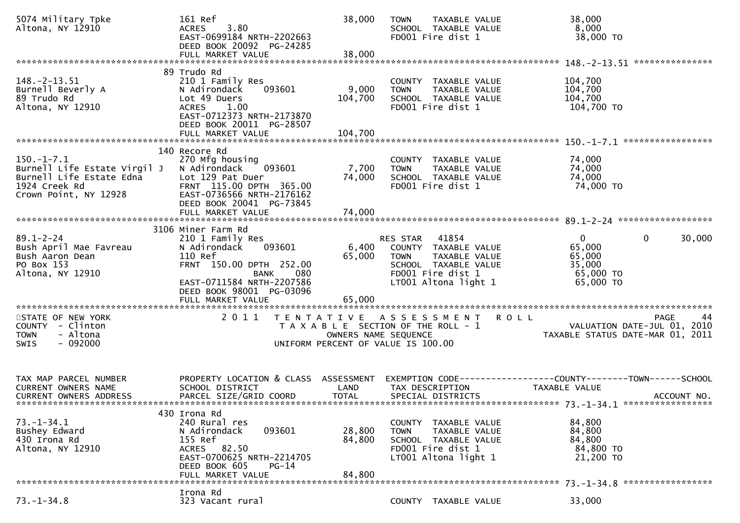| 5074 Military Tpke<br>Altona, NY 12910                                                         | 161 Ref<br>ACRES 3.80<br>EAST-0699184 NRTH-2202663<br>DEED BOOK 20092 PG-24285<br>FULL MARKET VALUE                                                                                     | 38,000<br>38,000            | <b>TOWN</b><br>TAXABLE VALUE<br>SCHOOL TAXABLE VALUE<br>FD001 Fire dist 1                                                                         | 38,000<br>8,000<br>38,000 TO                                                                    |
|------------------------------------------------------------------------------------------------|-----------------------------------------------------------------------------------------------------------------------------------------------------------------------------------------|-----------------------------|---------------------------------------------------------------------------------------------------------------------------------------------------|-------------------------------------------------------------------------------------------------|
|                                                                                                | 89 Trudo Rd                                                                                                                                                                             |                             |                                                                                                                                                   |                                                                                                 |
| $148. - 2 - 13.51$<br>Burnell Beverly A<br>89 Trudo Rd<br>Altona, NY 12910                     | 210 1 Family Res<br>093601<br>N Adirondack<br>Lot 49 Duers<br>1.00<br><b>ACRES</b><br>EAST-0712373 NRTH-2173870<br>DEED BOOK 20011 PG-28507<br>FULL MARKET VALUE                        | 9,000<br>104,700<br>104,700 | COUNTY TAXABLE VALUE<br><b>TOWN</b><br>TAXABLE VALUE<br>SCHOOL TAXABLE VALUE<br>FD001 Fire dist 1                                                 | 104,700<br>104,700<br>104,700<br>104,700 TO                                                     |
|                                                                                                |                                                                                                                                                                                         |                             |                                                                                                                                                   |                                                                                                 |
| $150.-1-7.1$<br>Burnell Life Estate Virgil J<br>1924 Creek Rd<br>Crown Point, NY 12928         | 140 Recore Rd<br>270 Mfg housing<br>093601<br>N Adirondack<br>Lot 129 Pat Duer<br>FRNT 115.00 DPTH 365.00<br>EAST-0736566 NRTH-2176162<br>DEED BOOK 20041 PG-73845<br>FULL MARKET VALUE | 7,700<br>74,000<br>74,000   | COUNTY TAXABLE VALUE<br><b>TOWN</b><br>TAXABLE VALUE<br>SCHOOL TAXABLE VALUE<br>FD001 Fire dist 1                                                 | 74,000<br>74,000<br>74,000<br>74,000 TO                                                         |
|                                                                                                | 3106 Miner Farm Rd                                                                                                                                                                      |                             |                                                                                                                                                   |                                                                                                 |
| $89.1 - 2 - 24$<br>Bush April Mae Favreau<br>Bush Aaron Dean<br>PO Box 153<br>Altona, NY 12910 | 210 1 Family Res<br>N Adirondack<br>093601<br>110 Ref<br>FRNT 150.00 DPTH 252.00<br>BANK<br>080<br>EAST-0711584 NRTH-2207586<br>DEED BOOK 98001 PG-03096                                | 65,000                      | RES STAR 41854<br>6,400 COUNTY TAXABLE VALUE<br>TAXABLE VALUE<br><b>TOWN</b><br>SCHOOL TAXABLE VALUE<br>FD001 Fire dist 1<br>LT001 Altona light 1 | $\overline{0}$<br>$\mathbf 0$<br>30,000<br>65,000<br>65,000<br>35,000<br>65,000 TO<br>65,000 TO |
|                                                                                                | FULL MARKET VALUE                                                                                                                                                                       | 65,000                      |                                                                                                                                                   |                                                                                                 |
| STATE OF NEW YORK<br>COUNTY - Clinton<br><b>TOWN</b><br>- Altona<br>$-092000$<br><b>SWIS</b>   | 2011                                                                                                                                                                                    | OWNERS NAME SEQUENCE        | TENTATIVE ASSESSMENT ROLL<br>T A X A B L E SECTION OF THE ROLL - 1<br>UNIFORM PERCENT OF VALUE IS 100.00                                          | 44<br>PAGE<br>VALUATION DATE-JUL 01, 2010<br>TAXABLE STATUS DATE-MAR 01, 2011                   |
| TAX MAP PARCEL NUMBER<br><b>CURRENT OWNERS NAME</b><br><b>CURRENT OWNERS ADDRESS</b>           | PROPERTY LOCATION & CLASS ASSESSMENT<br>SCHOOL DISTRICT<br>PARCEL SIZE/GRID COORD                                                                                                       | LAND<br><b>TOTAL</b>        | TAX DESCRIPTION<br>SPECIAL DISTRICTS                                                                                                              | EXEMPTION CODE-----------------COUNTY--------TOWN------SCHOOL<br>TAXABLE VALUE<br>ACCOUNT NO.   |
|                                                                                                | 430 Irona Rd                                                                                                                                                                            |                             |                                                                                                                                                   |                                                                                                 |
| $73. - 1 - 34.1$<br>Bushey Edward<br>430 Irona Rd<br>Altona, NY 12910                          | 240 Rural res<br>093601<br>N Adirondack<br>155 Ref<br>ACRES 82.50<br>EAST-0700625 NRTH-2214705<br>DEED BOOK 605<br>$PG-14$<br>FULL MARKET VALUE                                         | 28,800<br>84,800<br>84,800  | COUNTY TAXABLE VALUE<br><b>TOWN</b><br>TAXABLE VALUE<br>SCHOOL TAXABLE VALUE<br>FD001 Fire dist 1<br>LT001 Altona light 1                         | 84,800<br>84,800<br>84,800<br>84,800 TO<br>21,200 TO                                            |
|                                                                                                | Irona Rd                                                                                                                                                                                |                             |                                                                                                                                                   |                                                                                                 |
| $73. - 1 - 34.8$                                                                               | 323 Vacant rural                                                                                                                                                                        |                             | COUNTY TAXABLE VALUE                                                                                                                              | 33,000                                                                                          |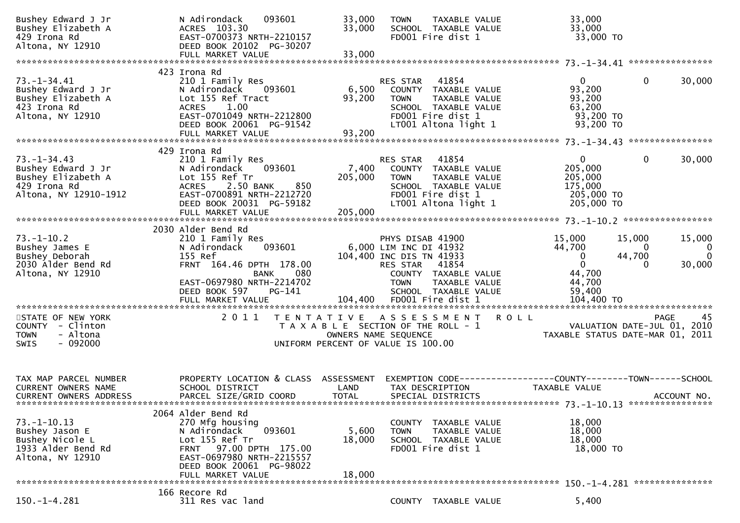| Bushey Edward J Jr<br>Bushey Elizabeth A<br>429 Irona Rd<br>Altona, NY 12910                           | 093601<br>N Adirondack<br>ACRES 103.30<br>EAST-0700373 NRTH-2210157<br>DEED BOOK 20102 PG-30207<br>FULL MARKET VALUE                                                                           | 33,000<br>33,000<br>33,000         | <b>TOWN</b><br>TAXABLE VALUE<br>SCHOOL TAXABLE VALUE<br>FD001 Fire dist 1                                                                                                   |             | 33,000<br>33,000<br>33,000 TO                                             |                                   |                                   |
|--------------------------------------------------------------------------------------------------------|------------------------------------------------------------------------------------------------------------------------------------------------------------------------------------------------|------------------------------------|-----------------------------------------------------------------------------------------------------------------------------------------------------------------------------|-------------|---------------------------------------------------------------------------|-----------------------------------|-----------------------------------|
|                                                                                                        | 423 Irona Rd                                                                                                                                                                                   |                                    |                                                                                                                                                                             |             |                                                                           |                                   |                                   |
| $73. - 1 - 34.41$<br>Bushey Edward J Jr<br>Bushey Elizabeth A<br>423 Irona Rd<br>Altona, NY 12910      | 210 1 Family Res<br>093601<br>N Adirondack<br>Lot 155 Ref Tract<br><b>ACRES</b><br>1.00<br>EAST-0701049 NRTH-2212800<br>DEED BOOK 20061 PG-91542<br>FULL MARKET VALUE                          | 6,500<br>93,200<br>93,200          | RES STAR<br>41854<br>COUNTY TAXABLE VALUE<br><b>TOWN</b><br>TAXABLE VALUE<br>SCHOOL TAXABLE VALUE<br>FD001 Fire dist 1<br>LT001 Altona light 1                              |             | $\overline{0}$<br>93,200<br>93,200<br>63,200<br>93,200 TO<br>93,200 TO    | $\mathbf 0$                       | 30,000                            |
|                                                                                                        |                                                                                                                                                                                                |                                    |                                                                                                                                                                             |             |                                                                           |                                   |                                   |
| $73. - 1 - 34.43$<br>Bushey Edward J Jr<br>Bushey Elizabeth A<br>429 Irona Rd<br>Altona, NY 12910-1912 | 429 Irona Rd<br>210 1 Family Res<br>093601<br>N Adirondack<br>Lot 155 Ref Tr<br>2.50 BANK<br>850<br><b>ACRES</b><br>EAST-0700891 NRTH-2212720<br>DEED BOOK 20031 PG-59182<br>FULL MARKET VALUE | 7,400<br>205,000<br>205,000        | <b>RES STAR</b><br>41854<br>COUNTY TAXABLE VALUE<br><b>TOWN</b><br>TAXABLE VALUE<br>SCHOOL TAXABLE VALUE<br>FD001 Fire dist 1<br>LT001 Altona light 1                       |             | $\mathbf{0}$<br>205,000<br>205,000<br>175,000<br>205,000 TO<br>205,000 TO | 0                                 | 30,000                            |
|                                                                                                        | 2030 Alder Bend Rd                                                                                                                                                                             |                                    |                                                                                                                                                                             |             |                                                                           |                                   |                                   |
| $73. - 1 - 10.2$<br>Bushey James E<br>Bushey Deborah<br>2030 Alder Bend Rd<br>Altona, NY 12910         | 210 1 Family Res<br>093601<br>N Adirondack<br>155 Ref<br>FRNT 164.46 DPTH 178.00<br><b>BANK</b><br>080<br>EAST-0697980 NRTH-2214702<br>DEED BOOK 597<br>PG-141                                 |                                    | PHYS DISAB 41900<br>6,000 LIM INC DI 41932<br>104,400 INC DIS TN 41933<br>41854<br>RES STAR<br>COUNTY TAXABLE VALUE<br><b>TOWN</b><br>TAXABLE VALUE<br>SCHOOL TAXABLE VALUE |             | 15,000<br>44,700<br>0<br>$\mathbf 0$<br>44,700<br>44,700<br>59,400        | 15,000<br>$\Omega$<br>44,700<br>0 | 15,000<br>0<br>$\Omega$<br>30,000 |
|                                                                                                        | FULL MARKET VALUE                                                                                                                                                                              |                                    | 104,400 FD001 Fire dist 1                                                                                                                                                   |             | 104,400 TO                                                                |                                   |                                   |
| STATE OF NEW YORK<br>COUNTY - Clinton<br>- Altona<br><b>TOWN</b><br>$-092000$<br>SWIS                  | 2011                                                                                                                                                                                           |                                    | TENTATIVE ASSESSMENT<br>T A X A B L E SECTION OF THE ROLL - 1<br>OWNERS NAME SEQUENCE<br>UNIFORM PERCENT OF VALUE IS 100.00                                                 | <b>ROLL</b> | VALUATION DATE-JUL 01, 2010<br>TAXABLE STATUS DATE-MAR 01, 2011           | <b>PAGE</b>                       | 45                                |
| TAX MAP PARCEL NUMBER<br><b>CURRENT OWNERS NAME</b><br><b>CURRENT OWNERS ADDRESS</b>                   | PROPERTY LOCATION & CLASS<br>SCHOOL DISTRICT<br>PARCEL SIZE/GRID COORD                                                                                                                         | ASSESSMENT<br>LAND<br><b>TOTAL</b> | EXEMPTION CODE-----------------COUNTY-------TOWN------SCHOOL<br>TAX DESCRIPTION<br>SPECIAL DISTRICTS                                                                        |             | TAXABLE VALUE                                                             |                                   | ACCOUNT NO.                       |
|                                                                                                        | 2064 Alder Bend Rd                                                                                                                                                                             |                                    |                                                                                                                                                                             |             |                                                                           |                                   |                                   |
| $73. - 1 - 10.13$<br>Bushey Jason E<br>Bushey Nicole L<br>1933 Alder Bend Rd<br>Altona, NY 12910       | 270 Mfg housing<br>093601<br>N Adirondack<br>Lot 155 Ref Tr<br>97.00 DPTH 175.00<br><b>FRNT</b><br>EAST-0697980 NRTH-2215557<br>DEED BOOK 20061 PG-98022<br>FULL MARKET VALUE                  | 5,600<br>18,000<br>18,000          | COUNTY TAXABLE VALUE<br><b>TOWN</b><br>TAXABLE VALUE<br>SCHOOL TAXABLE VALUE<br>FD001 Fire dist 1                                                                           |             | 18,000<br>18,000<br>18,000<br>18,000 TO                                   |                                   |                                   |
|                                                                                                        |                                                                                                                                                                                                |                                    |                                                                                                                                                                             |             | 150. -1-4.281 ****************                                            |                                   |                                   |
| $150. - 1 - 4.281$                                                                                     | 166 Recore Rd<br>311 Res vac land                                                                                                                                                              |                                    | COUNTY TAXABLE VALUE                                                                                                                                                        |             | 5,400                                                                     |                                   |                                   |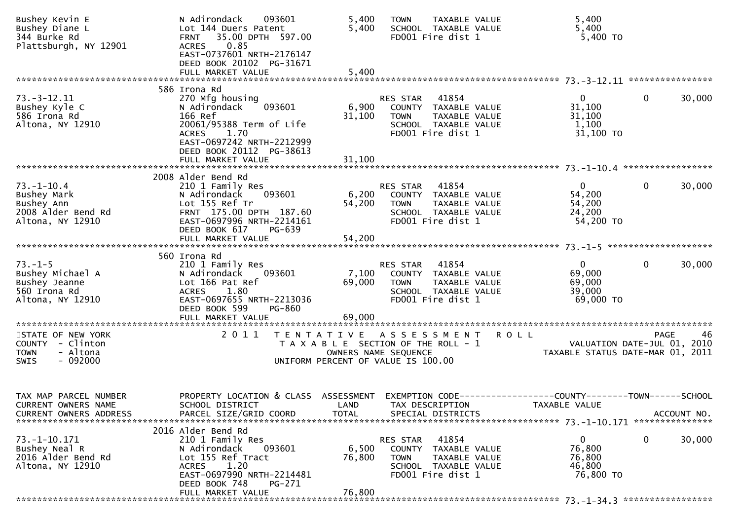| Bushey Kevin E<br>Bushey Diane L<br>344 Burke Rd<br>Plattsburgh, NY 12901                    | N Adirondack<br>093601<br>Lot 144 Duers Patent<br>35.00 DPTH 597.00<br>FRNT<br>0.85<br><b>ACRES</b><br>EAST-0737601 NRTH-2176147<br>DEED BOOK 20102 PG-31671<br>FULL MARKET VALUE  | 5,400<br>5,400<br>5,400                                                     | <b>TOWN</b>                                 | TAXABLE VALUE<br>SCHOOL TAXABLE VALUE<br>FD001 Fire dist 1                                  |                                               | 5,400<br>5,400<br>5,400 TO                                      |             |             |
|----------------------------------------------------------------------------------------------|------------------------------------------------------------------------------------------------------------------------------------------------------------------------------------|-----------------------------------------------------------------------------|---------------------------------------------|---------------------------------------------------------------------------------------------|-----------------------------------------------|-----------------------------------------------------------------|-------------|-------------|
|                                                                                              | 586 Irona Rd                                                                                                                                                                       |                                                                             |                                             |                                                                                             |                                               |                                                                 |             |             |
| $73.-3-12.11$<br>Bushey Kyle C<br>586 Irona Rd<br>Altona, NY 12910                           | 270 Mfg housing<br>093601<br>N Adirondack<br>166 Ref<br>20061/95388 Term of Life<br>1.70<br>ACRES<br>EAST-0697242 NRTH-2212999<br>DEED BOOK 20112 PG-38613                         | 6,900<br>31,100                                                             | RES STAR<br><b>TOWN</b>                     | 41854<br>COUNTY TAXABLE VALUE<br>TAXABLE VALUE<br>SCHOOL TAXABLE VALUE<br>FD001 Fire dist 1 |                                               | 0<br>31,100<br>31,100<br>1,100<br>31,100 TO                     | 0           | 30,000      |
|                                                                                              | FULL MARKET VALUE                                                                                                                                                                  | 31,100                                                                      |                                             |                                                                                             |                                               |                                                                 |             |             |
| $73. - 1 - 10.4$<br>Bushey Mark<br>Bushey Ann<br>2008 Alder Bend Rd<br>Altona, NY 12910      | 2008 Alder Bend Rd<br>210 1 Family Res<br>093601<br>N Adirondack<br>Lot 155 Ref Tr<br>FRNT 175.00 DPTH 187.60<br>EAST-0697996 NRTH-2214161                                         | 6,200<br>54,200                                                             | RES STAR<br><b>TOWN</b>                     | 41854<br>COUNTY TAXABLE VALUE<br>TAXABLE VALUE<br>SCHOOL TAXABLE VALUE<br>FD001 Fire dist 1 |                                               | 0<br>54,200<br>54,200<br>24,200<br>54,200 TO                    | 0           | 30,000      |
|                                                                                              | DEED BOOK 617<br>PG-639<br>FULL MARKET VALUE                                                                                                                                       | 54,200                                                                      |                                             |                                                                                             |                                               |                                                                 |             |             |
|                                                                                              |                                                                                                                                                                                    |                                                                             |                                             |                                                                                             |                                               |                                                                 |             |             |
| $73. - 1 - 5$<br>Bushey Michael A<br>Bushey Jeanne<br>560 Irona Rd<br>Altona, NY 12910       | 560 Irona Rd<br>210 1 Family Res<br>093601<br>N Adirondack<br>Lot 166 Pat Ref<br><b>ACRES</b><br>1.80<br>EAST-0697655 NRTH-2213036<br>DEED BOOK 599<br>PG-860<br>FULL MARKET VALUE | 7,100<br>69,000<br>69,000                                                   | RES STAR<br><b>TOWN</b>                     | 41854<br>COUNTY TAXABLE VALUE<br>TAXABLE VALUE<br>SCHOOL TAXABLE VALUE<br>FD001 Fire dist 1 |                                               | 0<br>69,000<br>69,000<br>39,000<br>69,000 TO                    | 0           | 30,000      |
|                                                                                              |                                                                                                                                                                                    |                                                                             |                                             |                                                                                             |                                               |                                                                 |             |             |
| STATE OF NEW YORK<br>COUNTY - Clinton<br>- Altona<br><b>TOWN</b><br>$-092000$<br><b>SWIS</b> | 2011<br>T E N T A T I V E                                                                                                                                                          | T A X A B L E SECTION OF THE ROLL - 1<br>UNIFORM PERCENT OF VALUE IS 100.00 | A S S E S S M E N T<br>OWNERS NAME SEQUENCE |                                                                                             | <b>ROLL</b>                                   | VALUATION DATE-JUL 01, 2010<br>TAXABLE STATUS DATE-MAR 01, 2011 | <b>PAGE</b> | 46          |
| TAX MAP PARCEL NUMBER<br>CURRENT OWNERS NAME<br><b>CURRENT OWNERS ADDRESS</b>                | PROPERTY LOCATION & CLASS<br>SCHOOL DISTRICT<br>PARCEL SIZE/GRID COORD                                                                                                             | ASSESSMENT<br>LAND<br><b>TOTAL</b>                                          | EXEMPTION CODE--<br>TAX DESCRIPTION         | SPECIAL DISTRICTS                                                                           | ---------------COUNTY--------TOWN------SCHOOL | TAXABLE VALUE                                                   |             | ACCOUNT NO. |
|                                                                                              | 2016 Alder Bend Rd                                                                                                                                                                 |                                                                             |                                             |                                                                                             |                                               |                                                                 |             |             |
| 73. -1 -10. 171<br>Bushey Neal R<br>2016 Alder Bend Rd<br>Altona, NY 12910                   | 210 1 Family Res<br>093601<br>N Adirondack<br>Lot 155 Ref Tract<br>1.20<br><b>ACRES</b><br>EAST-0697990 NRTH-2214481<br>DEED BOOK 748<br>PG-271<br>FULL MARKET VALUE               | 6,500<br>76,800<br>76,800                                                   | RES STAR<br>COUNTY<br><b>TOWN</b>           | 41854<br>TAXABLE VALUE<br>TAXABLE VALUE<br>SCHOOL TAXABLE VALUE<br>FD001 Fire dist 1        |                                               | 0<br>76,800<br>76,800<br>46,800<br>76,800 TO                    | 0           | 30,000      |
|                                                                                              |                                                                                                                                                                                    |                                                                             |                                             |                                                                                             |                                               |                                                                 |             |             |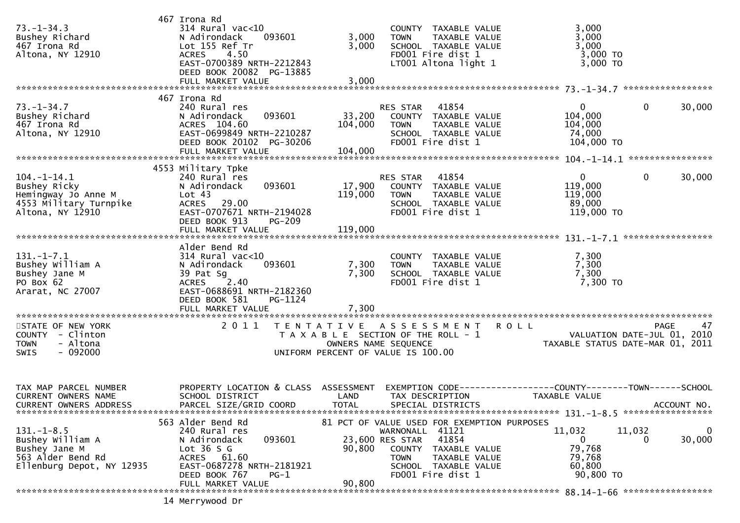| $73. - 1 - 34.3$<br>Bushey Richard<br>467 Irona Rd<br>Altona, NY 12910                                  | 467 Irona Rd<br>314 Rural vac<10<br>N Adirondack<br>093601<br>Lot 155 Ref Tr<br>4.50<br><b>ACRES</b><br>EAST-0700389 NRTH-2212843<br>DEED BOOK 20082 PG-13885<br>FULL MARKET VALUE | 3,000<br><b>TOWN</b><br>3,000<br>FD001 Fire dist 1<br>3,000                                                                               | COUNTY TAXABLE VALUE<br>TAXABLE VALUE<br>SCHOOL TAXABLE VALUE<br>LT001 Altona light 1 | 3,000<br>3,000<br>3,000<br>3,000 TO<br>3,000 TO                                              |
|---------------------------------------------------------------------------------------------------------|------------------------------------------------------------------------------------------------------------------------------------------------------------------------------------|-------------------------------------------------------------------------------------------------------------------------------------------|---------------------------------------------------------------------------------------|----------------------------------------------------------------------------------------------|
|                                                                                                         |                                                                                                                                                                                    |                                                                                                                                           |                                                                                       |                                                                                              |
| $73. - 1 - 34.7$<br>Bushey Richard<br>467 Irona Rd<br>Altona, NY 12910                                  | 467 Irona Rd<br>240 Rural res<br>093601<br>N Adirondack<br>ACRES 104.60<br>EAST-0699849 NRTH-2210287<br>DEED BOOK 20102 PG-30206<br>FULL MARKET VALUE                              | RES STAR<br>33,200<br>104,000<br><b>TOWN</b><br>FD001 Fire dist 1<br>104,000                                                              | 41854<br>COUNTY TAXABLE VALUE<br>TAXABLE VALUE<br>SCHOOL TAXABLE VALUE                | $\mathbf{0}$<br>$\mathbf{0}$<br>30,000<br>104,000<br>104,000<br>74,000<br>104,000 TO         |
|                                                                                                         | 4553 Military Tpke                                                                                                                                                                 |                                                                                                                                           |                                                                                       |                                                                                              |
| $104. -1 - 14.1$<br>Bushey Ricky<br>Hemingway Jo Anne M<br>4553 Military Turnpike<br>Altona, NY 12910   | 240 Rural res<br>093601<br>N Adirondack<br>Lot 43<br>ACRES 29.00<br>EAST-0707671 NRTH-2194028<br>DEED BOOK 913<br><b>PG-209</b><br>FULL MARKET VALUE                               | RES STAR<br>17,900<br>119,000<br><b>TOWN</b><br>FD001 Fire dist 1<br>119,000                                                              | 41854<br>COUNTY TAXABLE VALUE<br><b>TAXABLE VALUE</b><br>SCHOOL TAXABLE VALUE         | $\mathbf{0}$<br>$\mathbf{0}$<br>30,000<br>119,000<br>119,000<br>89,000<br>119,000 TO         |
|                                                                                                         | Alder Bend Rd                                                                                                                                                                      |                                                                                                                                           |                                                                                       |                                                                                              |
| $131. - 1 - 7.1$<br>Bushey William A<br>Bushey Jane M<br>PO Box 62<br>Ararat, NC 27007                  | $314$ Rural vac<10<br>N Adirondack<br>093601<br>39 Pat Sg<br><b>ACRES</b><br>2.40<br>EAST-0688691 NRTH-2182360<br>DEED BOOK 581<br>PG-1124<br>FULL MARKET VALUE                    | 7,300<br><b>TOWN</b><br>7,300<br>FD001 Fire dist 1<br>7,300                                                                               | COUNTY TAXABLE VALUE<br>TAXABLE VALUE<br>SCHOOL TAXABLE VALUE                         | 7,300<br>7,300<br>7,300<br>7,300 TO                                                          |
| STATE OF NEW YORK<br>COUNTY - Clinton<br>- Altona<br>TOWN<br>$-092000$<br>SWIS                          | 2 0 1 1                                                                                                                                                                            | TENTATIVE ASSESSMENT<br>T A X A B L E SECTION OF THE ROLL - 1<br>OWNERS NAME SEQUENCE<br>UNIFORM PERCENT OF VALUE IS 100.00               | <b>ROLL</b>                                                                           | 47<br>PAGE<br>VALUATION DATE-JUL 01, 2010<br>TAXABLE STATUS DATE-MAR 01, 2011                |
| TAX MAP PARCEL NUMBER<br><b>CURRENT OWNERS NAME</b><br><b>CURRENT OWNERS ADDRESS</b>                    | PROPERTY LOCATION & CLASS<br>SCHOOL DISTRICT<br>PARCEL SIZE/GRID COORD                                                                                                             | ASSESSMENT<br>LAND<br>TAX DESCRIPTION<br><b>TOTAL</b><br>SPECIAL DISTRICTS                                                                |                                                                                       | EXEMPTION CODE-----------------COUNTY-------TOWN------SCHOOL<br>TAXABLE VALUE<br>ACCOUNT NO. |
| $131. - 1 - 8.5$<br>Bushey William A<br>Bushey Jane M<br>563 Alder Bend Rd<br>Ellenburg Depot, NY 12935 | 563 Alder Bend Rd<br>240 Rural res<br>093601<br>N Adirondack<br>Lot $36S$<br>ACRES 61.60<br>EAST-0687278 NRTH-2181921<br>DEED BOOK 767<br>$PG-1$<br>FULL MARKET VALUE              | 81 PCT OF VALUE USED FOR EXEMPTION PURPOSES<br>WARNONALL 41121<br>23,600 RES STAR<br>90,800<br><b>TOWN</b><br>FD001 Fire dist 1<br>90,800 | 41854<br>COUNTY TAXABLE VALUE<br>TAXABLE VALUE<br>SCHOOL TAXABLE VALUE                | 11,032<br>11,032<br>0<br>30,000<br>0<br>$\Omega$<br>79,768<br>79,768<br>60,800<br>90,800 TO  |
|                                                                                                         | 14 Merrywood Dr                                                                                                                                                                    |                                                                                                                                           |                                                                                       |                                                                                              |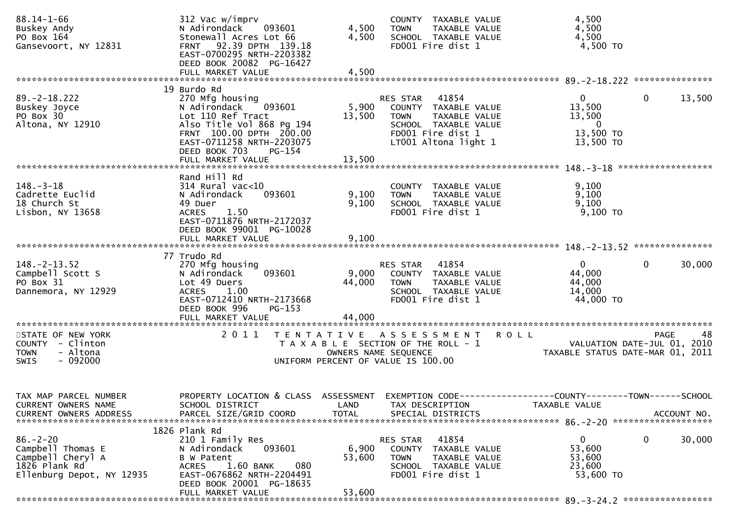| $88.14 - 1 - 66$<br>Buskey Andy<br>PO Box 164<br>Gansevoort, NY 12831                                  | 312 Vac w/imprv<br>093601<br>N Adirondack<br>Stonewall Acres Lot 66<br>FRNT 92.39 DPTH 139.18<br>EAST-0700295 NRTH-2203382<br>DEED BOOK 20082 PG-16427<br>FULL MARKET VALUE    | 4,500<br>4,500<br>4,500                   | COUNTY TAXABLE VALUE<br>TAXABLE VALUE<br><b>TOWN</b><br>SCHOOL TAXABLE VALUE<br>FD001 Fire dist 1                                              | 4,500<br>4,500<br>4,500<br>4,500 TO                                                                 |
|--------------------------------------------------------------------------------------------------------|--------------------------------------------------------------------------------------------------------------------------------------------------------------------------------|-------------------------------------------|------------------------------------------------------------------------------------------------------------------------------------------------|-----------------------------------------------------------------------------------------------------|
|                                                                                                        | 19 Burdo Rd                                                                                                                                                                    |                                           |                                                                                                                                                |                                                                                                     |
| $89. -2 - 18.222$<br>Buskey Joyce<br>PO Box 30<br>Altona, NY 12910                                     | 270 Mfg housing<br>N Adirondack<br>093601<br>Lot 110 Ref Tract<br>Also Title Vol 868 Pg 194<br>FRNT 100.00 DPTH 200.00<br>EAST-0711258 NRTH-2203075<br>DEED BOOK 703<br>PG-154 | 5,900<br>13,500                           | 41854<br>RES STAR<br>COUNTY TAXABLE VALUE<br>TAXABLE VALUE<br><b>TOWN</b><br>SCHOOL TAXABLE VALUE<br>FD001 Fire dist 1<br>LT001 Altona light 1 | $\mathbf{0}$<br>$\mathbf 0$<br>13,500<br>13,500<br>13,500<br>$\mathbf{0}$<br>13,500 TO<br>13,500 TO |
|                                                                                                        | FULL MARKET VALUE                                                                                                                                                              | 13,500                                    |                                                                                                                                                |                                                                                                     |
|                                                                                                        | Rand Hill Rd                                                                                                                                                                   |                                           |                                                                                                                                                |                                                                                                     |
| $148. - 3 - 18$<br>Cadrette Euclid<br>18 Church St<br>Lisbon, NY 13658                                 | $314$ Rural vac<10<br>093601<br>N Adirondack<br>49 Duer<br><b>ACRES</b><br>1.50<br>EAST-0711876 NRTH-2172037                                                                   | 9,100<br>9,100                            | COUNTY TAXABLE VALUE<br><b>TOWN</b><br>TAXABLE VALUE<br>SCHOOL TAXABLE VALUE<br>FD001 Fire dist 1                                              | 9,100<br>9,100<br>9,100<br>9,100 TO                                                                 |
|                                                                                                        | DEED BOOK 99001 PG-10028<br>FULL MARKET VALUE                                                                                                                                  | 9,100                                     |                                                                                                                                                |                                                                                                     |
|                                                                                                        |                                                                                                                                                                                |                                           |                                                                                                                                                |                                                                                                     |
| $148. - 2 - 13.52$<br>Campbell Scott S<br>PO Box 31<br>Dannemora, NY 12929                             | 77 Trudo Rd<br>270 Mfg housing<br>093601<br>N Adirondack<br>Lot 49 Duers<br>1.00<br><b>ACRES</b><br>EAST-0712410 NRTH-2173668<br>DEED BOOK 996<br>$PG-153$                     | 9,000<br>44,000                           | RES STAR<br>41854<br>COUNTY TAXABLE VALUE<br>TAXABLE VALUE<br><b>TOWN</b><br>SCHOOL TAXABLE VALUE<br>FD001 Fire dist 1                         | 30,000<br>$\overline{0}$<br>$\Omega$<br>44,000<br>44,000<br>14,000<br>44,000 TO                     |
|                                                                                                        | FULL MARKET VALUE                                                                                                                                                              | 44,000                                    |                                                                                                                                                |                                                                                                     |
| STATE OF NEW YORK<br>COUNTY - Clinton<br><b>TOWN</b><br>- Altona<br>$-092000$<br><b>SWIS</b>           | 2011                                                                                                                                                                           |                                           | TENTATIVE ASSESSMENT<br>ROLL<br>T A X A B L E SECTION OF THE ROLL - 1<br>OWNERS NAME SEQUENCE<br>UNIFORM PERCENT OF VALUE IS 100.00            | <b>PAGE</b><br>48<br>VALUATION DATE-JUL 01, 2010<br>TAXABLE STATUS DATE-MAR 01, 2011                |
| TAX MAP PARCEL NUMBER<br>CURRENT OWNERS NAME<br><b>CURRENT OWNERS ADDRESS</b>                          | PROPERTY LOCATION & CLASS<br>SCHOOL DISTRICT<br>PARCEL SIZE/GRID COORD                                                                                                         | <b>ASSESSMENT</b><br>LAND<br><b>TOTAL</b> | EXEMPTION CODE--<br>TAX DESCRIPTION<br>SPECIAL DISTRICTS                                                                                       | ----------------COUNTY--------TOWN------SCHOOL<br>TAXABLE VALUE<br>ACCOUNT NO.                      |
|                                                                                                        | 1826 Plank Rd                                                                                                                                                                  |                                           |                                                                                                                                                |                                                                                                     |
| $86. - 2 - 20$<br>Campbell Thomas E<br>Campbell Cheryl A<br>1826 Plank Rd<br>Ellenburg Depot, NY 12935 | 210 1 Family Res<br>093601<br>N Adirondack<br>B W Patent<br>1.60 BANK<br>080<br><b>ACRES</b><br>EAST-0676862 NRTH-2204491<br>DEED BOOK 20001 PG-18635<br>FULL MARKET VALUE     | 6,900<br>53,600<br>53,600                 | 41854<br>RES STAR<br><b>COUNTY</b><br>TAXABLE VALUE<br><b>TOWN</b><br>TAXABLE VALUE<br>SCHOOL TAXABLE VALUE<br>FD001 Fire dist 1               | 0<br>$\mathbf 0$<br>30,000<br>53,600<br>53,600<br>23,600<br>53,600 TO                               |
|                                                                                                        |                                                                                                                                                                                |                                           |                                                                                                                                                |                                                                                                     |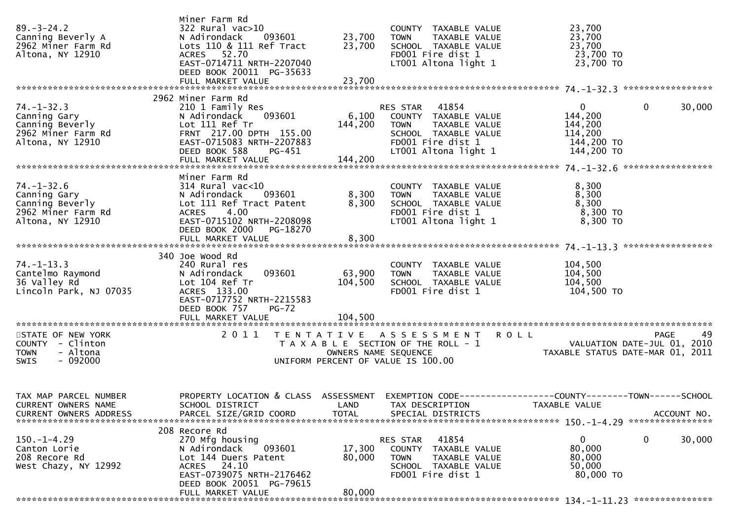| $89. - 3 - 24.2$<br>Canning Beverly A<br>2962 Miner Farm Rd<br>Altona, NY 12910                | Miner Farm Rd<br>322 Rural vac>10<br>093601<br>N Adirondack<br>Lots 110 & 111 Ref Tract<br>ACRES 52.70<br>EAST-0714711 NRTH-2207040<br>DEED BOOK 20011 PG-35633 | 23,700<br>23,700           | COUNTY TAXABLE VALUE<br>TAXABLE VALUE<br><b>TOWN</b><br>SCHOOL TAXABLE VALUE<br>FD001 Fire dist 1<br>LT001 Altona light 1                         | 23,700<br>23,700<br>23,700<br>$2\frac{3}{2}$ , $\frac{700}{2}$ TO<br>23,700 TO                                                   |        |
|------------------------------------------------------------------------------------------------|-----------------------------------------------------------------------------------------------------------------------------------------------------------------|----------------------------|---------------------------------------------------------------------------------------------------------------------------------------------------|----------------------------------------------------------------------------------------------------------------------------------|--------|
|                                                                                                | 2962 Miner Farm Rd                                                                                                                                              |                            |                                                                                                                                                   |                                                                                                                                  |        |
| $74. - 1 - 32.3$<br>Canning Gary<br>Canning Beverly<br>2962 Miner Farm Rd<br>Altona, NY 12910  | 210 1 Family Res<br>093601<br>N Adirondack<br>Lot 111 Ref Tr<br>FRNT 217.00 DPTH 155.00<br>EAST-0715083 NRTH-2207883<br>DEED BOOK 588<br>PG-451                 | 144,200                    | RES STAR 41854<br>6,100 COUNTY TAXABLE VALUE<br>TAXABLE VALUE<br><b>TOWN</b><br>SCHOOL TAXABLE VALUE<br>FD001 Fire dist 1<br>LT001 Altona light 1 | $\overline{0}$<br>$\mathbf 0$<br>144,200<br>144,200<br>114,200<br>144,200 TO<br>144,200 TO                                       | 30,000 |
|                                                                                                |                                                                                                                                                                 |                            |                                                                                                                                                   |                                                                                                                                  |        |
| $74. - 1 - 32.6$<br>Canning Gary<br>Canning Beverly<br>2962 Miner Farm Rd<br>Altona, NY 12910  | Miner Farm Rd<br>314 Rural vac<10<br>093601<br>N Adirondack<br>Lot 111 Ref Tract Patent<br>ACRES 4.00<br>EAST-0715102 NRTH-2208098<br>DEED BOOK 2000 PG-18270   | 8,300<br>8,300             | COUNTY TAXABLE VALUE<br>TAXABLE VALUE<br><b>TOWN</b><br>SCHOOL TAXABLE VALUE<br>FD001 Fire dist 1<br>LT001 Altona light 1                         | 8,300<br>8,300<br>8,300<br>8,300 TO<br>8,300 TO                                                                                  |        |
|                                                                                                |                                                                                                                                                                 |                            |                                                                                                                                                   |                                                                                                                                  |        |
|                                                                                                |                                                                                                                                                                 |                            |                                                                                                                                                   |                                                                                                                                  |        |
| $74. - 1 - 13.3$<br>Cantelmo Raymond<br>36 Valley Rd<br>36 Valley Rd<br>Lincoln Park, NJ 07035 | 340 Joe Wood Rd<br>240 Rural res<br>093601<br>N Adirondack<br>Lot 104 Ref Tr<br>ACRES 133.00<br>EAST-0717752 NRTH-2215583<br>DEED BOOK 757<br>$PG-72$           | 63,900<br>104,500          | COUNTY TAXABLE VALUE<br><b>TOWN</b><br>TAXABLE VALUE<br>SCHOOL TAXABLE VALUE<br>FD001 Fire dist 1                                                 | 104,500<br>104,500<br>104,500<br>104,500 TO                                                                                      |        |
|                                                                                                | FULL MARKET VALUE                                                                                                                                               | 104,500                    |                                                                                                                                                   |                                                                                                                                  |        |
|                                                                                                |                                                                                                                                                                 |                            |                                                                                                                                                   |                                                                                                                                  |        |
| STATE OF NEW YORK<br>COUNTY - Clinton<br>- Altona<br><b>TOWN</b><br>$-092000$<br>SWIS          |                                                                                                                                                                 | OWNERS NAME SEQUENCE       | 2011 TENTATIVE ASSESSMENT ROLL<br>T A X A B L E SECTION OF THE ROLL - 1<br>UNIFORM PERCENT OF VALUE IS 100.00                                     | <b>PAGE</b><br>VALUATION DATE-JUL 01, 2010<br>TAXABLE STATUS DATE-MAR 01, 2011                                                   | 49     |
| TAX MAP PARCEL NUMBER<br>CURRENT OWNERS NAME<br><b>CURRENT OWNERS ADDRESS</b>                  | PARCEL SIZE/GRID COORD                                                                                                                                          | <b>TOTAL</b>               | SPECIAL DISTRICTS                                                                                                                                 | PROPERTY LOCATION & CLASS ASSESSMENT EXEMPTION CODE----------------COUNTY-------TOWN------SCHOOL<br>TAXABLE VALUE<br>ACCOUNT NO. |        |
|                                                                                                | 208 Recore Rd                                                                                                                                                   |                            |                                                                                                                                                   |                                                                                                                                  |        |
| $150.-1-4.29$<br>Canton Lorie<br>208 Recore Rd<br>West Chazy, NY 12992                         | 270 Mfg housing<br>093601<br>N Adirondack<br>Lot 144 Duers Patent<br>ACRES 24.10<br>EAST-0739075 NRTH-2176462<br>DEED BOOK 20051 PG-79615<br>FULL MARKET VALUE  | 17,300<br>80,000<br>80,000 | 41854<br>RES STAR<br>COUNTY TAXABLE VALUE<br>TAXABLE VALUE<br>TOWN<br>SCHOOL TAXABLE VALUE<br>FD001 Fire dist 1                                   | 0<br>0<br>80,000<br>80,000<br>50,000<br>80,000 TO                                                                                | 30,000 |
|                                                                                                |                                                                                                                                                                 |                            |                                                                                                                                                   |                                                                                                                                  |        |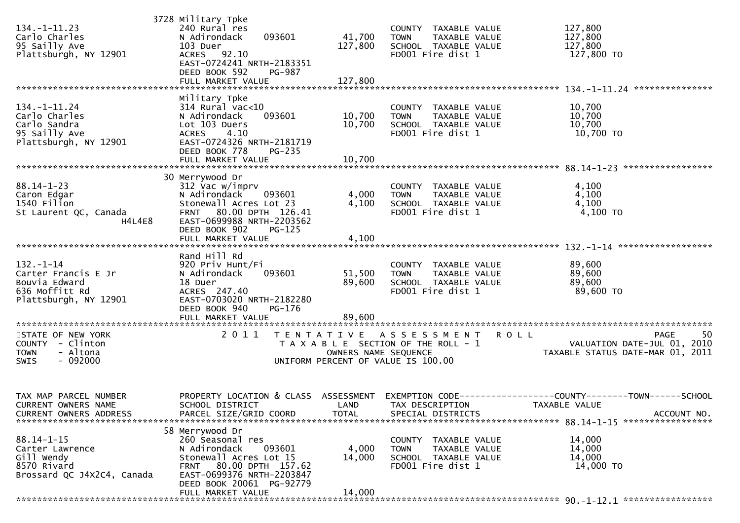| 134. –1–11.23<br>Carlo Charles<br>95 Sailly Ave<br>Plattsburgh, NY 12901                       | 3728 Military Tpke<br>240 Rural res<br>093601<br>N Adirondack<br>103 Duer<br>ACRES 92.10<br>EAST-0724241 NRTH-2183351<br>DEED BOOK 592<br>PG-987<br>FULL MARKET VALUE             | 41,700<br>127,800<br>127,800 | COUNTY TAXABLE VALUE<br><b>TOWN</b><br>TAXABLE VALUE<br>SCHOOL TAXABLE VALUE<br>FD001 Fire dist 1 | 127,800<br>127,800<br>127,800<br>127,800 TO                                                                                      |
|------------------------------------------------------------------------------------------------|-----------------------------------------------------------------------------------------------------------------------------------------------------------------------------------|------------------------------|---------------------------------------------------------------------------------------------------|----------------------------------------------------------------------------------------------------------------------------------|
| $134. - 1 - 11.24$<br>Carlo Charles<br>Carlo Sandra<br>95 Sailly Ave<br>Plattsburgh, NY 12901  | Military Tpke<br>314 Rural vac<10<br>093601<br>N Adirondack<br>Lot 103 Duers<br><b>ACRES</b><br>4.10<br>EAST-0724326 NRTH-2181719<br>DEED BOOK 778<br>PG-235<br>FULL MARKET VALUE | 10,700<br>10,700<br>10,700   | COUNTY TAXABLE VALUE<br>TAXABLE VALUE<br><b>TOWN</b><br>SCHOOL TAXABLE VALUE<br>FD001 Fire dist 1 | 10,700<br>10,700<br>10,700<br>10,700 TO                                                                                          |
| $88.14 - 1 - 23$<br>Caron Edgar<br>1540 Filion<br>St Laurent QC, Canada<br>H4L4E8              | 30 Merrywood Dr<br>312 Vac w/imprv<br>N Adirondack<br>093601<br>Stonewall Acres Lot 23<br>FRNT 80.00 DPTH 126.41<br>EAST-0699988 NRTH-2203562                                     | 4,000<br>4,100               | COUNTY TAXABLE VALUE<br><b>TOWN</b><br>TAXABLE VALUE<br>SCHOOL TAXABLE VALUE<br>FD001 Fire dist 1 | 4,100<br>4,100<br>4,100<br>4,100 TO                                                                                              |
| $132. - 1 - 14$<br>Carter Francis E Jr<br>Bouvia Edward                                        | DEED BOOK 902<br>$PG-125$<br>FULL MARKET VALUE<br>Rand Hill Rd<br>920 Priv Hunt/Fi<br>093601<br>N Adirondack<br>18 Duer                                                           | 4,100<br>51,500<br>89,600    | COUNTY TAXABLE VALUE<br><b>TOWN</b><br>TAXABLE VALUE<br>SCHOOL TAXABLE VALUE                      | 89,600<br>89,600<br>89,600                                                                                                       |
| 636 Moffitt Rd<br>Plattsburgh, NY 12901<br>STATE OF NEW YORK                                   | ACRES 247.40<br>EAST-0703020 NRTH-2182280<br>DEED BOOK 940<br>PG-176<br>FULL MARKET VALUE<br>2011                                                                                 | 89,600                       | FD001 Fire dist 1<br>TENTATIVE ASSESSMENT ROLL                                                    | 89,600 TO<br>-50<br>PAGE                                                                                                         |
| COUNTY - Clinton<br>- Altona<br><b>TOWN</b><br>$-092000$<br><b>SWIS</b>                        |                                                                                                                                                                                   | OWNERS NAME SEQUENCE         | T A X A B L E SECTION OF THE ROLL - 1<br>UNIFORM PERCENT OF VALUE IS 100.00                       | VALUATION DATE-JUL 01, 2010<br>TAXABLE STATUS DATE-MAR 01, 2011                                                                  |
| TAX MAP PARCEL NUMBER<br>CURRENT OWNERS NAME<br><b>CURRENT OWNERS ADDRESS</b>                  | SCHOOL DISTRICT<br>PARCEL SIZE/GRID COORD<br>58 Merrywood Dr                                                                                                                      | <b>TOTAL</b>                 | LAND TAX DESCRIPTION<br>SPECIAL DISTRICTS                                                         | PROPERTY LOCATION & CLASS ASSESSMENT EXEMPTION CODE----------------COUNTY-------TOWN------SCHOOL<br>TAXABLE VALUE<br>ACCOUNT NO. |
| $88.14 - 1 - 15$<br>Carter Lawrence<br>Gill Wendy<br>8570 Rivard<br>Brossard QC J4X2C4, Canada | 260 Seasonal res<br>N Adirondack<br>093601<br>Stonewall Acres Lot 15<br>FRNT 80.00 DPTH 157.62<br>EAST-0699376 NRTH-2203847<br>DEED BOOK 20061 PG-92779                           | 4,000<br>14,000              | COUNTY TAXABLE VALUE<br><b>TOWN</b><br>TAXABLE VALUE<br>SCHOOL TAXABLE VALUE<br>FD001 Fire dist 1 | 14,000<br>14,000<br>14,000<br>14,000 TO                                                                                          |
|                                                                                                | FULL MARKET VALUE                                                                                                                                                                 | 14,000                       |                                                                                                   |                                                                                                                                  |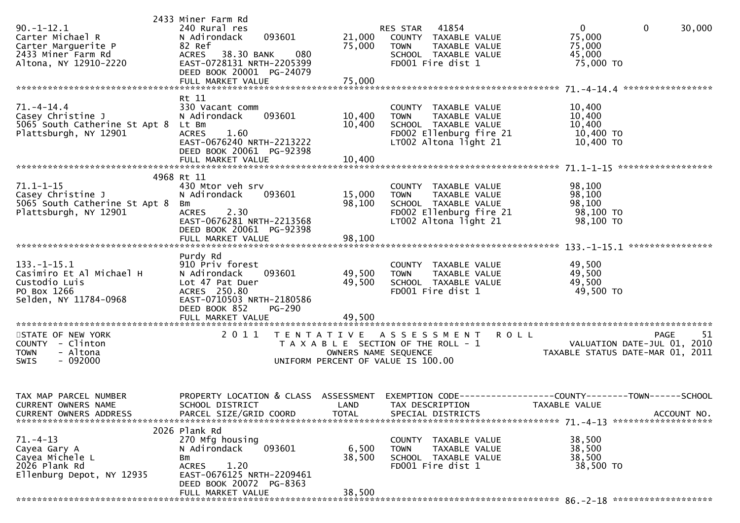| $90. -1 - 12.1$<br>Carter Michael R<br>Carter Marguerite P<br>2433 Miner Farm Rd<br>Altona, NY 12910-2220 | 2433 Miner Farm Rd<br>240 Rural res<br>093601<br>N Adirondack<br>82 Ref<br>080<br>38.30 BANK<br><b>ACRES</b><br>EAST-0728131 NRTH-2205399<br>DEED BOOK 20001 PG-24079        | 21,000<br>75,000           | <b>RES STAR 41854</b><br>COUNTY TAXABLE VALUE<br>TAXABLE VALUE<br><b>TOWN</b><br>SCHOOL TAXABLE VALUE<br>FD001 Fire dist 1       | $\overline{0}$<br>$\overline{0}$<br>30,000<br>75,000<br>75,000<br>45,000<br>75,000 TO                                            |
|-----------------------------------------------------------------------------------------------------------|------------------------------------------------------------------------------------------------------------------------------------------------------------------------------|----------------------------|----------------------------------------------------------------------------------------------------------------------------------|----------------------------------------------------------------------------------------------------------------------------------|
|                                                                                                           | Rt 11                                                                                                                                                                        |                            |                                                                                                                                  |                                                                                                                                  |
| $71. - 4 - 14.4$<br>Casey Christine J<br>5065 South Catherine St Apt 8 Lt Bm<br>Plattsburgh, NY 12901     | 330 Vacant comm<br>093601<br>N Adirondack<br><b>ACRES</b><br>1.60<br>EAST-0676240 NRTH-2213222<br>DEED BOOK 20061 PG-92398                                                   | 10,400<br>10,400           | COUNTY TAXABLE VALUE<br>TAXABLE VALUE<br><b>TOWN</b><br>SCHOOL TAXABLE VALUE<br>FD002 Ellenburg fire 21<br>LT002 Altona light 21 | 10,400<br>10,400<br>10,400<br>10,400 TO<br>10,400 TO                                                                             |
|                                                                                                           | FULL MARKET VALUE                                                                                                                                                            | 10,400                     |                                                                                                                                  |                                                                                                                                  |
|                                                                                                           | 4968 Rt 11                                                                                                                                                                   |                            |                                                                                                                                  |                                                                                                                                  |
| $71.1 - 1 - 15$<br>Casey Christine J<br>5065 South Catherine St Apt 8<br>Plattsburgh, NY 12901            | 430 Mtor veh srv<br>093601<br>N Adirondack<br>Bm<br>2.30<br>ACRES<br>EAST-0676281 NRTH-2213568<br>DEED BOOK 20061 PG-92398                                                   | 15,000<br>98,100           | COUNTY TAXABLE VALUE<br>TAXABLE VALUE<br><b>TOWN</b><br>SCHOOL TAXABLE VALUE<br>FD002 Ellenburg fire 21<br>LT002 Altona light 21 | 98,100<br>98,100<br>98,100<br>98,100 TO<br>98,100 TO                                                                             |
|                                                                                                           | FULL MARKET VALUE                                                                                                                                                            | 98,100                     |                                                                                                                                  |                                                                                                                                  |
| $133.-1-15.1$<br>Casimiro Et Al Michael H<br>Custodio Luis<br>PO Box 1266<br>Selden, NY 11784-0968        | Purdy Rd<br>910 Priv forest<br>N Adirondack<br>093601<br>Lot 47 Pat Duer<br>ACRES 250.80<br>EAST-0710503 NRTH-2180586<br>DEED BOOK 852<br><b>PG-290</b><br>FULL MARKET VALUE | 49,500<br>49,500<br>49,500 | COUNTY TAXABLE VALUE<br><b>TOWN</b><br>TAXABLE VALUE<br>SCHOOL TAXABLE VALUE<br>FD001 Fire dist 1                                | 49,500<br>49,500<br>49,500<br>49,500 TO                                                                                          |
|                                                                                                           |                                                                                                                                                                              |                            |                                                                                                                                  |                                                                                                                                  |
| STATE OF NEW YORK<br>COUNTY - Clinton<br>- Altona<br><b>TOWN</b><br>$-092000$<br><b>SWIS</b>              |                                                                                                                                                                              | OWNERS NAME SEQUENCE       | 2011 TENTATIVE ASSESSMENT<br><b>ROLL</b><br>T A X A B L E SECTION OF THE ROLL - 1<br>UNIFORM PERCENT OF VALUE IS 100.00          | 51<br>PAGE<br>VALUATION DATE-JUL 01, 2010<br>TAXABLE STATUS DATE-MAR 01, 2011                                                    |
| TAX MAP PARCEL NUMBER<br>CURRENT OWNERS NAME<br><b>CURRENT OWNERS ADDRESS</b>                             | SCHOOL DISTRICT<br>PARCEL SIZE/GRID COORD                                                                                                                                    | <b>TOTAL</b>               | LAND TAX DESCRIPTION<br>SPECIAL DISTRICTS                                                                                        | PROPERTY LOCATION & CLASS ASSESSMENT EXEMPTION CODE----------------COUNTY-------TOWN------SCHOOL<br>TAXABLE VALUE<br>ACCOUNT NO. |
| $71. - 4 - 13$                                                                                            | 2026 Plank Rd                                                                                                                                                                |                            |                                                                                                                                  |                                                                                                                                  |
| Cayea Gary A<br>Cayea Michele L<br>2026 Plank Rd<br>Ellenburg Depot, NY 12935                             | 270 Mfg housing<br>N Adirondack<br>093601<br>Bm<br><b>ACRES</b><br>1.20<br>EAST-0676125 NRTH-2209461                                                                         | 6,500<br>38,500            | COUNTY TAXABLE VALUE<br><b>TOWN</b><br>TAXABLE VALUE<br>SCHOOL TAXABLE VALUE<br>FD001 Fire dist 1                                | 38,500<br>38,500<br>38,500<br>38,500 TO                                                                                          |
|                                                                                                           | DEED BOOK 20072 PG-8363<br>FULL MARKET VALUE                                                                                                                                 | 38,500                     |                                                                                                                                  |                                                                                                                                  |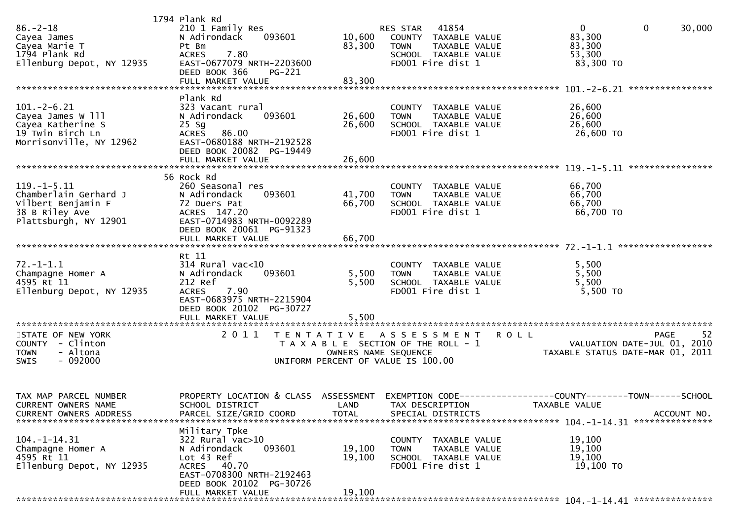| $86. - 2 - 18$<br>Cayea James<br>Cayea Marie T<br>1794 Plank Rd<br>Ellenburg Depot, NY 12935                | 1794 Plank Rd<br>210 1 Family Res<br>N Adirondack<br>093601<br>Pt Bm<br>7.80<br><b>ACRES</b><br>EAST-0677079 NRTH-2203600<br>DEED BOOK 366<br>PG-221<br>FULL MARKET VALUE | 10,600<br>83,300<br>83,300                | 41854<br>RES STAR<br>COUNTY TAXABLE VALUE<br><b>TOWN</b><br>TAXABLE VALUE<br>SCHOOL TAXABLE VALUE<br>FD001 Fire dist 1 | $\mathbf 0$<br>0<br>30,000<br>83,300<br>83,300<br>53,300<br>83,300 TO                     |     |
|-------------------------------------------------------------------------------------------------------------|---------------------------------------------------------------------------------------------------------------------------------------------------------------------------|-------------------------------------------|------------------------------------------------------------------------------------------------------------------------|-------------------------------------------------------------------------------------------|-----|
|                                                                                                             |                                                                                                                                                                           |                                           |                                                                                                                        |                                                                                           |     |
| $101. - 2 - 6.21$<br>Cayea James W 111<br>Cayea Katherine S<br>19 Twin Birch Ln<br>Morrisonville, NY 12962  | Plank Rd<br>323 Vacant rural<br>N Adirondack<br>093601<br>$25$ Sg<br>86.00<br><b>ACRES</b><br>EAST-0680188 NRTH-2192528<br>DEED BOOK 20082 PG-19449                       | 26,600<br>26,600                          | COUNTY TAXABLE VALUE<br>TAXABLE VALUE<br><b>TOWN</b><br>SCHOOL TAXABLE VALUE<br>FD001 Fire dist 1                      | 26,600<br>26,600<br>26,600<br>26,600 TO                                                   |     |
|                                                                                                             |                                                                                                                                                                           |                                           |                                                                                                                        |                                                                                           |     |
| $119. - 1 - 5.11$<br>Chamberlain Gerhard J<br>Vilbert Benjamin F<br>38 B Riley Ave<br>Plattsburgh, NY 12901 | 56 Rock Rd<br>260 Seasonal res<br>N Adirondack<br>093601<br>72 Duers Pat<br>ACRES 147.20<br>EAST-0714983 NRTH-0092289<br>DEED BOOK 20061 PG-91323                         | 41,700<br>66,700                          | COUNTY TAXABLE VALUE<br><b>TOWN</b><br>TAXABLE VALUE<br>SCHOOL TAXABLE VALUE<br>FD001 Fire dist 1                      | 66,700<br>66,700<br>66,700<br>66,700 TO                                                   |     |
|                                                                                                             | FULL MARKET VALUE                                                                                                                                                         | 66,700                                    |                                                                                                                        |                                                                                           |     |
| $72. - 1 - 1.1$<br>Champagne Homer A<br>4595 Rt 11<br>Ellenburg Depot, NY 12935                             | Rt 11<br>$314$ Rural vac<10<br>N Adirondack<br>093601<br>212 Ref<br>7.90<br><b>ACRES</b><br>EAST-0683975 NRTH-2215904<br>DEED BOOK 20102 PG-30727<br>FULL MARKET VALUE    | 5,500<br>5,500<br>5,500                   | COUNTY TAXABLE VALUE<br>TAXABLE VALUE<br><b>TOWN</b><br>SCHOOL TAXABLE VALUE<br>FD001 Fire dist 1                      | 5,500<br>5,500<br>5,500<br>5,500 TO                                                       |     |
| STATE OF NEW YORK<br>COUNTY - Clinton<br>- Altona<br><b>TOWN</b><br>$-092000$<br><b>SWIS</b>                | 2011                                                                                                                                                                      | T E N T A T I V E<br>OWNERS NAME SEQUENCE | A S S E S S M E N T<br>T A X A B L E SECTION OF THE ROLL - 1<br>UNIFORM PERCENT OF VALUE IS 100.00                     | <b>PAGE</b><br>R O L L<br>VALUATION DATE-JUL 01, 2010<br>TAXABLE STATUS DATE-MAR 01, 2011 | -52 |
| TAX MAP PARCEL NUMBER<br><b>CURRENT OWNERS NAME</b><br><b>CURRENT OWNERS ADDRESS</b>                        | PROPERTY LOCATION & CLASS<br>SCHOOL DISTRICT<br>PARCEL SIZE/GRID COORD                                                                                                    | ASSESSMENT<br>LAND<br><b>TOTAL</b>        | <b>EXEMPTION CODE-</b><br>TAX DESCRIPTION<br>SPECIAL DISTRICTS                                                         | --------COUNTY--------TOWN------SCHOOL<br><b>TAXABLE VALUE</b><br>ACCOUNT NO.             |     |
| $104. - 1 - 14.31$<br>Champagne Homer A<br>4595 Rt 11<br>Ellenburg Depot, NY 12935                          | Military Tpke<br>322 Rural vac>10<br>093601<br>N Adirondack<br>Lot 43 Ref<br>ACRES 40.70<br>EAST-0708300 NRTH-2192463<br>DEED BOOK 20102 PG-30726<br>FULL MARKET VALUE    | 19,100<br>19,100<br>19,100                | COUNTY TAXABLE VALUE<br><b>TOWN</b><br>TAXABLE VALUE<br>SCHOOL TAXABLE VALUE<br>FD001 Fire dist 1                      | 19,100<br>19,100<br>19,100<br>19,100 TO                                                   |     |
|                                                                                                             |                                                                                                                                                                           |                                           |                                                                                                                        |                                                                                           |     |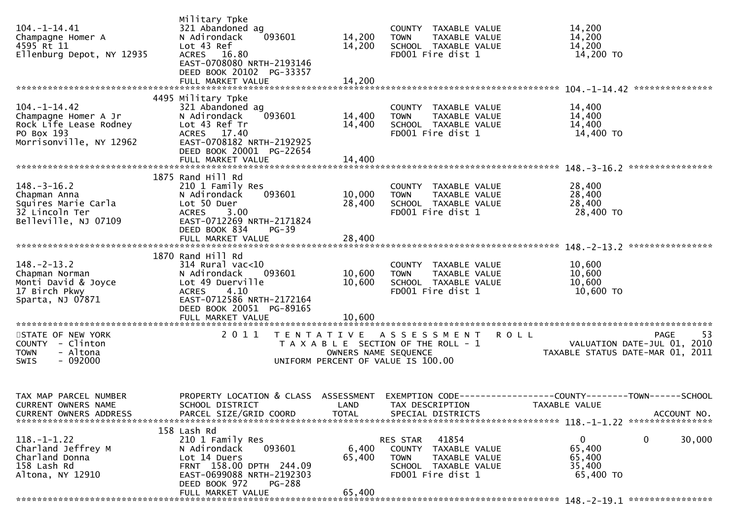| $104. - 1 - 14.41$<br>Champagne Homer A<br>4595 Rt 11<br>Ellenburg Depot, NY 12935                            | Military Tpke<br>321 Abandoned ag<br>N Adirondack<br>093601<br>Lot 43 Ref<br>ACRES 16.80<br>EAST-0708080 NRTH-2193146<br>DEED BOOK 20102 PG-33357                                 | 14,200<br>14,200                          | COUNTY TAXABLE VALUE<br>TAXABLE VALUE<br><b>TOWN</b><br>SCHOOL TAXABLE VALUE<br>FD001 Fire dist 1                      | 14,200<br>14,200<br>14,200<br>14,200 TO                                                                                          |
|---------------------------------------------------------------------------------------------------------------|-----------------------------------------------------------------------------------------------------------------------------------------------------------------------------------|-------------------------------------------|------------------------------------------------------------------------------------------------------------------------|----------------------------------------------------------------------------------------------------------------------------------|
|                                                                                                               | 4495 Military Tpke                                                                                                                                                                |                                           |                                                                                                                        |                                                                                                                                  |
| $104. - 1 - 14.42$<br>Champagne Homer A Jr<br>Rock Life Lease Rodney<br>PO Box 193<br>Morrisonville, NY 12962 | 321 Abandoned ag<br>093601<br>N Adirondack<br>Lot 43 Ref Tr<br>ACRES 17.40<br>EAST-0708182 NRTH-2192925<br>DEED BOOK 20001 PG-22654                                               | 14,400<br>14,400                          | COUNTY TAXABLE VALUE<br><b>TOWN</b><br>TAXABLE VALUE<br>SCHOOL TAXABLE VALUE<br>FD001 Fire dist 1                      | 14,400<br>14,400<br>14,400<br>14,400 TO                                                                                          |
|                                                                                                               | FULL MARKET VALUE                                                                                                                                                                 | 14,400                                    |                                                                                                                        |                                                                                                                                  |
|                                                                                                               |                                                                                                                                                                                   |                                           |                                                                                                                        |                                                                                                                                  |
| $148.-3-16.2$<br>Chapman Anna<br>Squires Marie Carla<br>32 Lincoln Ter<br>Belleville, NJ 07109                | 1875 Rand Hill Rd<br>210 1 Family Res<br>093601<br>N Adirondack<br>Lot 50 Duer<br><b>ACRES</b><br>3.00<br>EAST-0712269 NRTH-2171824<br>DEED BOOK 834<br>$PG-39$                   | 10,000<br>28,400                          | COUNTY TAXABLE VALUE<br>TAXABLE VALUE<br><b>TOWN</b><br>SCHOOL TAXABLE VALUE<br>FD001 Fire dist 1                      | 28,400<br>28,400<br>28,400<br>28,400 TO                                                                                          |
|                                                                                                               |                                                                                                                                                                                   |                                           |                                                                                                                        |                                                                                                                                  |
|                                                                                                               |                                                                                                                                                                                   |                                           |                                                                                                                        |                                                                                                                                  |
| $148. - 2 - 13.2$<br>Chapman Norman<br>Monti David & Joyce<br>17 Birch Pkwy<br>Sparta, NJ 07871               | 1870 Rand Hill Rd<br>$314$ Rural vac<10<br>N Adirondack<br>093601<br>Lot 49 Duerville<br>4.10<br><b>ACRES</b><br>EAST-0712586 NRTH-2172164<br>DEED BOOK 20051 PG-89165            | 10,600<br>10,600                          | COUNTY TAXABLE VALUE<br>TAXABLE VALUE<br><b>TOWN</b><br>SCHOOL TAXABLE VALUE<br>FD001 Fire dist 1                      | 10,600<br>10,600<br>10,600<br>10,600 TO                                                                                          |
|                                                                                                               | FULL MARKET VALUE                                                                                                                                                                 | 10,600                                    |                                                                                                                        |                                                                                                                                  |
| STATE OF NEW YORK<br>COUNTY - Clinton<br>- Altona<br><b>TOWN</b><br>$-092000$<br><b>SWIS</b>                  | 2011                                                                                                                                                                              | T E N T A T I V E<br>OWNERS NAME SEQUENCE | A S S E S S M E N T<br>T A X A B L E SECTION OF THE ROLL - 1<br>UNIFORM PERCENT OF VALUE IS 100.00                     | <b>ROLL</b><br>PAGE<br>53<br>VALUATION DATE-JUL 01, 2010<br>TAXABLE STATUS DATE-MAR 01, 2011                                     |
| TAX MAP PARCEL NUMBER<br>CURRENT OWNERS NAME<br><b>CURRENT OWNERS ADDRESS</b>                                 | SCHOOL DISTRICT<br>PARCEL SIZE/GRID COORD                                                                                                                                         | <b>TOTAL</b>                              | LAND TAX DESCRIPTION<br>SPECIAL DISTRICTS                                                                              | PROPERTY LOCATION & CLASS ASSESSMENT EXEMPTION CODE----------------COUNTY-------TOWN------SCHOOL<br>TAXABLE VALUE<br>ACCOUNT NO. |
| $118. - 1 - 1.22$<br>Charland Jeffrey M<br>Charland Donna<br>158 Lash Rd<br>Altona, NY 12910                  | 158 Lash Rd<br>210 1 Family Res<br>N Adirondack<br>093601<br>Lot 14 Duers<br>FRNT 158.00 DPTH 244.09<br>EAST-0699088 NRTH-2192303<br>DEED BOOK 972<br>PG-288<br>FULL MARKET VALUE | 6,400<br>65,400<br>65,400                 | 41854<br>RES STAR<br>COUNTY TAXABLE VALUE<br><b>TOWN</b><br>TAXABLE VALUE<br>SCHOOL TAXABLE VALUE<br>FD001 Fire dist 1 | 0<br>0<br>30,000<br>65,400<br>65,400<br>35,400<br>65,400 TO                                                                      |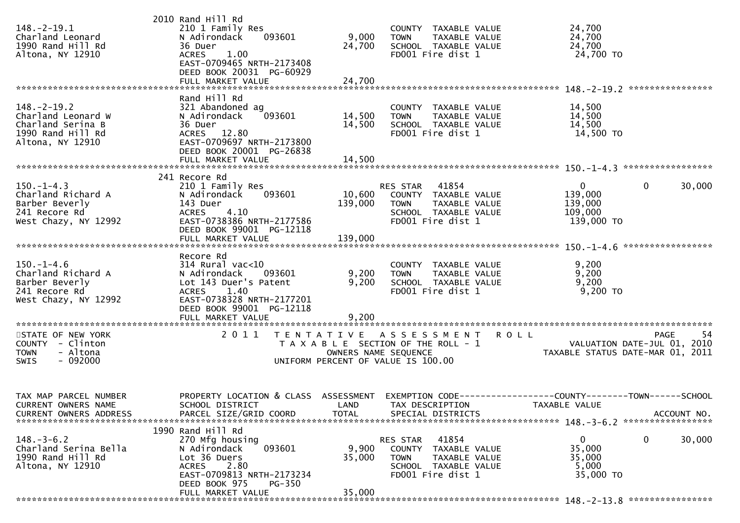| $148.-2-19.1$<br>Charland Leonard<br>1990 Rand Hill Rd<br>Altona, NY 12910                            | 2010 Rand Hill Rd<br>210 1 Family Res<br>N Adirondack<br>093601<br>36 Duer<br>1.00<br><b>ACRES</b><br>EAST-0709465 NRTH-2173408<br>DEED BOOK 20031 PG-60929                                 | 9,000<br>24,700                    | COUNTY TAXABLE VALUE<br>TAXABLE VALUE<br><b>TOWN</b><br>SCHOOL TAXABLE VALUE<br>FD001 Fire dist 1                             | 24,700<br>24,700<br>24,700<br>24,700 TO                                        |                        |
|-------------------------------------------------------------------------------------------------------|---------------------------------------------------------------------------------------------------------------------------------------------------------------------------------------------|------------------------------------|-------------------------------------------------------------------------------------------------------------------------------|--------------------------------------------------------------------------------|------------------------|
|                                                                                                       | FULL MARKET VALUE                                                                                                                                                                           | 24,700                             |                                                                                                                               |                                                                                |                        |
| $148. - 2 - 19.2$<br>Charland Leonard W<br>Charland Serina B<br>1990 Rand Hill Rd<br>Altona, NY 12910 | Rand Hill Rd<br>321 Abandoned ag<br>093601<br>N Adirondack<br>36 Duer<br>ACRES 12.80<br>EAST-0709697 NRTH-2173800<br>DEED BOOK 20001 PG-26838                                               | 14,500<br>14,500                   | COUNTY TAXABLE VALUE<br>TAXABLE VALUE<br><b>TOWN</b><br>SCHOOL TAXABLE VALUE<br>FD001 Fire dist 1                             | 14,500<br>14,500<br>14,500<br>14,500 TO                                        |                        |
|                                                                                                       |                                                                                                                                                                                             |                                    |                                                                                                                               |                                                                                |                        |
|                                                                                                       | 241 Recore Rd                                                                                                                                                                               |                                    |                                                                                                                               |                                                                                |                        |
| $150. -1 - 4.3$<br>Charland Richard A<br>Barber Beverly<br>241 Recore Rd<br>West Chazy, NY 12992      | 210 1 Family Res<br>093601<br>N Adirondack<br>143 Duer<br>4.10<br><b>ACRES</b><br>EAST-0738386 NRTH-2177586<br>DEED BOOK 99001 PG-12118                                                     | 139,000                            | RES STAR<br>41854<br>10,600 COUNTY TAXABLE VALUE<br>TAXABLE VALUE<br><b>TOWN</b><br>SCHOOL TAXABLE VALUE<br>FD001 Fire dist 1 | $\mathbf{0}$<br>139,000<br>139,000<br>109,000<br>139,000 TO                    | 30,000<br>0            |
|                                                                                                       | FULL MARKET VALUE                                                                                                                                                                           | 139,000                            |                                                                                                                               |                                                                                |                        |
| $150. - 1 - 4.6$<br>Charland Richard A<br>Barber Beverly<br>241 Recore Rd<br>West Chazy, NY 12992     | Recore Rd<br>$314$ Rural vac< $10$<br>N Adirondack<br>093601<br>Lot 143 Duer's Patent<br>1.40<br><b>ACRES</b><br>EAST-0738328 NRTH-2177201<br>DEED BOOK 99001 PG-12118<br>FULL MARKET VALUE | 9,200<br>9,200<br>9,200            | COUNTY TAXABLE VALUE<br>TAXABLE VALUE<br><b>TOWN</b><br>SCHOOL TAXABLE VALUE<br>FD001 Fire dist 1                             | 9,200<br>9,200<br>9,200<br>$9,200$ TO                                          |                        |
| STATE OF NEW YORK<br>COUNTY - Clinton<br><b>TOWN</b><br>- Altona<br>$-092000$<br><b>SWIS</b>          | 2011                                                                                                                                                                                        | OWNERS NAME SEQUENCE               | TENTATIVE ASSESSMENT<br>T A X A B L E SECTION OF THE ROLL - 1<br>UNIFORM PERCENT OF VALUE IS 100.00                           | <b>ROLL</b><br>VALUATION DATE-JUL 01, 2010<br>TAXABLE STATUS DATE-MAR 01, 2011 | -54<br>PAGE            |
| TAX MAP PARCEL NUMBER<br><b>CURRENT OWNERS NAME</b><br><b>CURRENT OWNERS ADDRESS</b>                  | PROPERTY LOCATION & CLASS<br>SCHOOL DISTRICT<br>PARCEL SIZE/GRID COORD                                                                                                                      | ASSESSMENT<br>LAND<br><b>TOTAL</b> | TAX DESCRIPTION<br>SPECIAL DISTRICTS                                                                                          | TAXABLE VALUE                                                                  | ACCOUNT NO.            |
| $148.-3-6.2$<br>Charland Serina Bella<br>1990 Rand Hill Rd<br>Altona, NY 12910                        | 1990 Rand Hill Rd<br>270 Mfg housing<br>093601<br>N Adirondack<br>Lot 36 Duers<br>2.80<br><b>ACRES</b><br>EAST-0709813 NRTH-2173234<br>DEED BOOK 975<br><b>PG-350</b><br>FULL MARKET VALUE  | 9,900<br>35,000<br>35,000          | 41854<br>RES STAR<br>COUNTY TAXABLE VALUE<br><b>TOWN</b><br>TAXABLE VALUE<br>SCHOOL TAXABLE VALUE<br>FD001 Fire dist 1        | 0<br>35,000<br>35,000<br>5,000<br>35,000 TO                                    | $\mathbf{0}$<br>30,000 |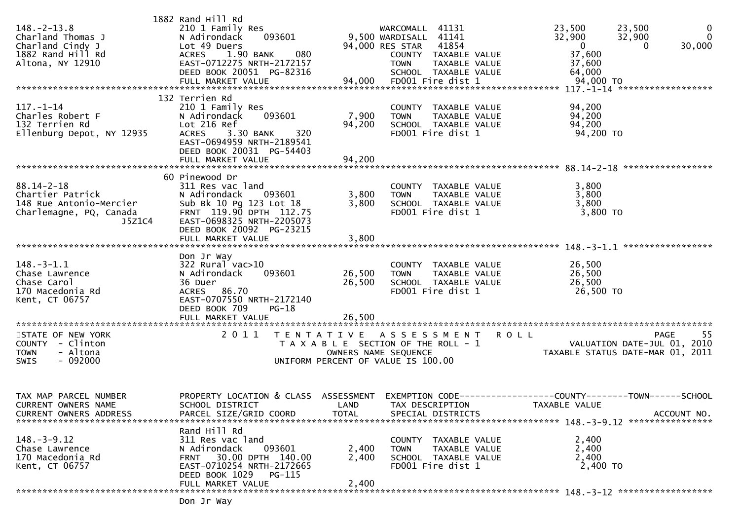| $148. - 2 - 13.8$<br>Charland Thomas J<br>Charland Cindy J<br>1882 Rand Hill Rd<br>Altona, NY 12910<br>---- 2--- 2--- 2--- 2--- 4,000 FD001 Fire dist 1<br>FULL MARKET VALUE 94,000 FD001 Fire dist 1 94,000 70 FUNARKET VALUE 94,000 FD001 Fire dist 1 | 1882 Rand Hill Rd<br>210 1 Family Res<br>093601<br>N Adirondack<br>Lot 49 Duers<br>1.90 BANK<br>080<br><b>ACRES</b><br>EAST-0712275 NRTH-2172157<br>DEED BOOK 20051 PG-82316                     |                                           | WARCOMALL 41131<br>9,500 WARDISALL 41141<br>94,000 RES STAR 41854<br>COUNTY TAXABLE VALUE<br><b>TOWN</b><br>TAXABLE VALUE<br>SCHOOL TAXABLE VALUE | 23,500<br>23,500<br>32,900<br>32,900<br>$\mathbf 0$<br>37,600<br>37,600<br>64,000                                  | $\overline{0}$<br>$\mathbf{0}$<br>30,000<br>$\mathbf{0}$ |
|---------------------------------------------------------------------------------------------------------------------------------------------------------------------------------------------------------------------------------------------------------|--------------------------------------------------------------------------------------------------------------------------------------------------------------------------------------------------|-------------------------------------------|---------------------------------------------------------------------------------------------------------------------------------------------------|--------------------------------------------------------------------------------------------------------------------|----------------------------------------------------------|
|                                                                                                                                                                                                                                                         | 132 Terrien Rd                                                                                                                                                                                   |                                           |                                                                                                                                                   |                                                                                                                    |                                                          |
| $117. - 1 - 14$<br>Charles Robert F<br>132 Terrien Rd<br>Ellenburg Depot, NY 12935                                                                                                                                                                      | 210 1 Family Res<br>093601<br>N Adirondack<br>Lot 216 Ref<br>ACRES 3.30 BANK<br>320<br>EAST-0694959 NRTH-2189541<br>DEED BOOK 20031 PG-54403                                                     | 7,900<br>94,200                           | COUNTY TAXABLE VALUE<br><b>TOWN</b><br>TAXABLE VALUE<br>SCHOOL TAXABLE VALUE<br>FD001 Fire dist 1                                                 | 94,200<br>94,200<br>94,200<br>94,200 TO                                                                            |                                                          |
|                                                                                                                                                                                                                                                         |                                                                                                                                                                                                  |                                           |                                                                                                                                                   |                                                                                                                    |                                                          |
| $88.14 - 2 - 18$<br>Chartier Patrick<br>148 Rue Antonio-Mercier<br>Charlemagne, PQ, Canada<br>J5Z1C4                                                                                                                                                    | 60 Pinewood Dr<br>311 Res vac land<br>N Adirondack<br>093601<br>Sub Bk 10 Pg 123 Lot 18<br>FRNT 119.90 DPTH 112.75<br>EAST-0698325 NRTH-2205073<br>DEED BOOK 20092 PG-23215<br>FULL MARKET VALUE | 3,800<br>3,800<br>3,800                   | COUNTY TAXABLE VALUE<br><b>TOWN</b><br>TAXABLE VALUE<br>SCHOOL TAXABLE VALUE<br>FD001 Fire dist 1                                                 | 3,800<br>3,800<br>3,800<br>$3,800$ TO                                                                              |                                                          |
|                                                                                                                                                                                                                                                         |                                                                                                                                                                                                  |                                           |                                                                                                                                                   |                                                                                                                    | ******************                                       |
| $148. - 3 - 1.1$<br>Chase Lawrence<br>Chase Carol<br>170 Macedonia Rd<br>Kent, CT 06757                                                                                                                                                                 | Don Jr Way<br>322 Rural vac>10<br>093601<br>N Adirondack<br>36 Duer<br>ACRES 86.70<br>EAST-0707550 NRTH-2172140<br>DEED BOOK 709<br>$PG-18$<br>FULL MARKET VALUE                                 | 26,500<br>26,500<br>26,500                | COUNTY TAXABLE VALUE<br>TAXABLE VALUE<br><b>TOWN</b><br>SCHOOL TAXABLE VALUE<br>FD001 Fire dist 1                                                 | 26,500<br>26,500<br>26,500<br>26,500 TO                                                                            |                                                          |
|                                                                                                                                                                                                                                                         |                                                                                                                                                                                                  |                                           |                                                                                                                                                   |                                                                                                                    |                                                          |
| STATE OF NEW YORK<br>COUNTY - Clinton<br>- Altona<br><b>TOWN</b><br>$-092000$<br><b>SWIS</b>                                                                                                                                                            | 2011                                                                                                                                                                                             | T E N T A T I V E<br>OWNERS NAME SEQUENCE | A S S E S S M E N T<br>T A X A B L E SECTION OF THE ROLL - 1<br>UNIFORM PERCENT OF VALUE IS 100.00                                                | <b>ROLL</b><br>TAXABLE STATUS DATE-MAR 01, 2011                                                                    | -55<br><b>PAGE</b><br>VALUATION DATE-JUL 01, 2010        |
| TAX MAP PARCEL NUMBER<br>CURRENT OWNERS NAME<br><b>CURRENT OWNERS ADDRESS</b>                                                                                                                                                                           | SCHOOL DISTRICT<br>PARCEL SIZE/GRID COORD                                                                                                                                                        | <b>TOTAL</b>                              | LAND TAX DESCRIPTION<br>SPECIAL DISTRICTS                                                                                                         | PROPERTY LOCATION & CLASS ASSESSMENT EXEMPTION CODE----------------COUNTY--------TOWN------SCHOOL<br>TAXABLE VALUE | ACCOUNT NO.                                              |
| $148. - 3 - 9.12$<br>Chase Lawrence<br>170 Macedonia Rd<br>Kent, CT 06757                                                                                                                                                                               | Rand Hill Rd<br>311 Res vac land<br>093601<br>N Adirondack<br>30.00 DPTH 140.00<br><b>FRNT</b><br>EAST-0710254 NRTH-2172665<br>DEED BOOK 1029 PG-115<br>FULL MARKET VALUE                        | 2,400<br>2,400<br>2,400                   | COUNTY TAXABLE VALUE<br>TAXABLE VALUE<br><b>TOWN</b><br>SCHOOL TAXABLE VALUE<br>FD001 Fire dist 1                                                 | 2,400<br>2,400<br>2,400<br>2,400 TO                                                                                |                                                          |
|                                                                                                                                                                                                                                                         |                                                                                                                                                                                                  |                                           |                                                                                                                                                   |                                                                                                                    |                                                          |
|                                                                                                                                                                                                                                                         | Don Jr Way                                                                                                                                                                                       |                                           |                                                                                                                                                   |                                                                                                                    |                                                          |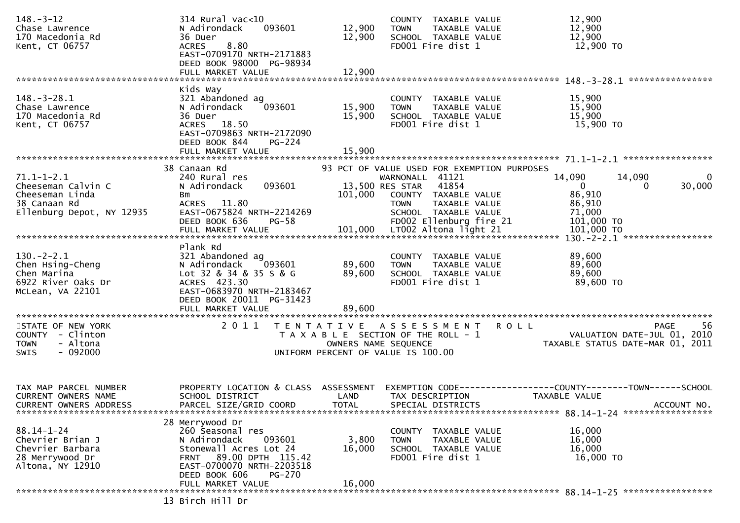| $148. - 3 - 12$<br>Chase Lawrence<br>170 Macedonia Rd<br>Kent, CT 06757                                | 314 Rural vac<10<br>093601<br>N Adirondack<br>36 Duer<br>8.80<br><b>ACRES</b><br>EAST-0709170 NRTH-2171883<br>DEED BOOK 98000 PG-98934<br>FULL MARKET VALUE                                                     | 12,900<br>12,900<br>12,900 | COUNTY TAXABLE VALUE<br><b>TOWN</b><br>TAXABLE VALUE<br>SCHOOL TAXABLE VALUE<br>FD001 Fire dist 1                                                                       | 12,900<br>12,900<br>12,900<br>12,900 TO                                                             |
|--------------------------------------------------------------------------------------------------------|-----------------------------------------------------------------------------------------------------------------------------------------------------------------------------------------------------------------|----------------------------|-------------------------------------------------------------------------------------------------------------------------------------------------------------------------|-----------------------------------------------------------------------------------------------------|
|                                                                                                        | Kids Way                                                                                                                                                                                                        |                            |                                                                                                                                                                         |                                                                                                     |
| $148. - 3 - 28.1$<br>Chase Lawrence<br>170 Macedonia Rd<br>Kent, CT 06757                              | 321 Abandoned ag<br>093601<br>N Adirondack<br>36 Duer<br>ACRES 18.50<br>EAST-0709863 NRTH-2172090<br>DEED BOOK 844<br>PG-224<br>FULL MARKET VALUE                                                               | 15,900<br>15,900<br>15,900 | COUNTY TAXABLE VALUE<br><b>TOWN</b><br>TAXABLE VALUE<br>SCHOOL TAXABLE VALUE<br>FD001 Fire dist 1                                                                       | 15,900<br>15,900<br>15,900<br>15,900 TO                                                             |
|                                                                                                        |                                                                                                                                                                                                                 |                            |                                                                                                                                                                         |                                                                                                     |
| $71.1 - 1 - 2.1$<br>Cheeseman Calvin C<br>Cheeseman Linda<br>38 Canaan Rd<br>Ellenburg Depot, NY 12935 | 38 Canaan Rd<br>240 Rural res<br>093601<br>N Adirondack<br>Bm<br>ACRES 11.80<br>EAST-0675824 NRTH-2214269                                                                                                       | 101,000                    | 93 PCT OF VALUE USED FOR EXEMPTION PURPOSES<br>WARNONALL 41121<br>13,500 RES STAR 41854<br>COUNTY TAXABLE VALUE<br>TAXABLE VALUE<br><b>TOWN</b><br>SCHOOL TAXABLE VALUE | 14,090<br>14,090<br>$\bf{0}$<br>$\Omega$<br>30,000<br>$\Omega$<br>86,910<br>86,910<br>71,000        |
|                                                                                                        | Plank Rd                                                                                                                                                                                                        |                            |                                                                                                                                                                         |                                                                                                     |
| $130 - 2 - 2.1$<br>Chen Hsing-Cheng<br>Chen Marina<br>6922 River Oaks Dr<br>McLean, VA 22101           | 321 Abandoned ag<br>N Adirondack 093601<br>Lot 32 & 34 & 35 S & G<br>ACRES 423.30<br>EAST-0683970 NRTH-2183467<br>DEED BOOK 20011 PG-31423<br>FULL MARKET VALUE                                                 | 89,600<br>89,600<br>89,600 | COUNTY TAXABLE VALUE<br>TAXABLE VALUE<br><b>TOWN</b><br>SCHOOL TAXABLE VALUE<br>FD001 Fire dist 1                                                                       | 89,600<br>89,600<br>89,600<br>89,600 TO                                                             |
| STATE OF NEW YORK                                                                                      | 2011                                                                                                                                                                                                            |                            | TENTATIVE ASSESSMENT                                                                                                                                                    | <b>ROLL</b><br>-56<br>PAGE                                                                          |
| COUNTY - Clinton<br>- Altona<br><b>TOWN</b><br><b>SWIS</b><br>$-092000$                                |                                                                                                                                                                                                                 | OWNERS NAME SEQUENCE       | T A X A B L E SECTION OF THE ROLL - 1<br>UNIFORM PERCENT OF VALUE IS 100.00                                                                                             | VALUATION DATE-JUL 01, 2010<br>VALUATION DATE SUL 11 101                                            |
|                                                                                                        |                                                                                                                                                                                                                 |                            |                                                                                                                                                                         |                                                                                                     |
| TAX MAP PARCEL NUMBER<br>CURRENT OWNERS NAME<br><b>CURRENT OWNERS ADDRESS</b>                          | PROPERTY LOCATION & CLASS ASSESSMENT<br>SCHOOL DISTRICT<br>PARCEL SIZE/GRID COORD                                                                                                                               | LAND<br><b>TOTAL</b>       | TAX DESCRIPTION<br>SPECIAL DISTRICTS                                                                                                                                    | EXEMPTION        CODE-----------------COUNTY-------TOWN------SCHOOL<br>TAXABLE VALUE<br>ACCOUNT NO. |
| $88.14 - 1 - 24$<br>Chevrier Brian J<br>Chevrier Barbara<br>28 Merrywood Dr<br>Altona, NY 12910        | 28 Merrywood Dr<br>260 Seasonal res<br>N Adirondack<br>093601<br>Stonewall Acres Lot 24<br>89.00 DPTH 115.42<br><b>FRNT</b><br>EAST-0700070 NRTH-2203518<br>DEED BOOK 606<br><b>PG-270</b><br>FULL MARKET VALUE | 3,800<br>16,000<br>16,000  | COUNTY TAXABLE VALUE<br><b>TOWN</b><br>TAXABLE VALUE<br>SCHOOL TAXABLE VALUE<br>FD001 Fire dist 1                                                                       | 16,000<br>16,000<br>16,000<br>16,000 TO                                                             |
|                                                                                                        | 13 Birch Hill Dr                                                                                                                                                                                                |                            |                                                                                                                                                                         |                                                                                                     |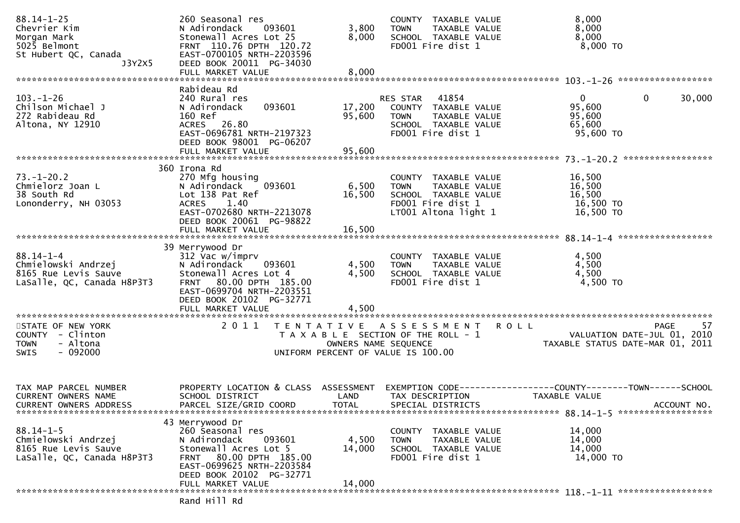| $88.14 - 1 - 25$<br>Chevrier Kim<br>Morgan Mark<br>5025 Belmont<br>St Hubert QC, Canada<br>J3Y2X5 | 260 Seasonal res<br>N Adirondack<br>093601<br>Stonewall Acres Lot 25<br>FRNT 110.76 DPTH 120.72<br>EAST-0700105 NRTH-2203596<br>DEED BOOK 20011 PG-34030<br>FULL MARKET VALUE                  | 3,800<br>8,000<br>8,000    | COUNTY TAXABLE VALUE<br>TAXABLE VALUE<br><b>TOWN</b><br>SCHOOL TAXABLE VALUE<br>FD001 Fire dist 1                   | 8,000<br>8,000<br>8,000<br>8,000 TO                                                          |
|---------------------------------------------------------------------------------------------------|------------------------------------------------------------------------------------------------------------------------------------------------------------------------------------------------|----------------------------|---------------------------------------------------------------------------------------------------------------------|----------------------------------------------------------------------------------------------|
|                                                                                                   |                                                                                                                                                                                                |                            |                                                                                                                     |                                                                                              |
| $103. - 1 - 26$<br>Chilson Michael J<br>272 Rabideau Rd<br>Altona, NY 12910                       | Rabideau Rd<br>240 Rural res<br>093601<br>N Adirondack<br>160 Ref<br>ACRES 26.80<br>EAST-0696781 NRTH-2197323<br>DEED BOOK 98001 PG-06207<br>FULL MARKET VALUE                                 | 17,200<br>95,600<br>95,600 | RES STAR 41854<br>COUNTY TAXABLE VALUE<br><b>TOWN</b><br>TAXABLE VALUE<br>SCHOOL TAXABLE VALUE<br>FD001 Fire dist 1 | $\mathbf{0}$<br>$\mathbf{0}$<br>30,000<br>95,600<br>95,600<br>65,600<br>95,600 TO            |
|                                                                                                   |                                                                                                                                                                                                |                            |                                                                                                                     |                                                                                              |
| $73. - 1 - 20.2$<br>Chmielorz Joan L<br>38 South Rd<br>Lononderry, NH 03053                       | 360 Irona Rd<br>270 Mfg housing<br>N Adirondack<br>093601<br>Lot 138 Pat Ref<br>ACRES 1.40<br>EAST-0702680 NRTH-2213078<br>DEED BOOK 20061 PG-98822<br>FULL MARKET VALUE                       | 6,500<br>16,500<br>16,500  | COUNTY TAXABLE VALUE<br>TAXABLE VALUE<br>TOWN<br>SCHOOL TAXABLE VALUE<br>FD001 Fire dist 1<br>LT001 Altona light 1  | 16,500<br>16,500<br>16,500<br>16,500 TO<br>16,500 TO                                         |
|                                                                                                   |                                                                                                                                                                                                |                            |                                                                                                                     |                                                                                              |
| $88.14 - 1 - 4$<br>Chmielowski Andrzej<br>8165 Rue Levis Sauve<br>LaSalle, QC, Canada H8P3T3      | 39 Merrywood Dr<br>312 Vac w/imprv<br>N Adirondack<br>093601<br>Stonewall Acres Lot 4<br>FRNT 80.00 DPTH 185.00<br>EAST-0699704 NRTH-2203551<br>DEED BOOK 20102 PG-32771<br>FULL MARKET VALUE  | 4,500<br>4,500<br>4,500    | COUNTY TAXABLE VALUE<br>TAXABLE VALUE<br><b>TOWN</b><br>SCHOOL TAXABLE VALUE<br>FD001 Fire dist 1                   | 4,500<br>4,500<br>4,500<br>4,500 TO                                                          |
| STATE OF NEW YORK                                                                                 | 2011                                                                                                                                                                                           |                            | TENTATIVE ASSESSMENT                                                                                                | 57<br><b>ROLL</b><br><b>PAGE</b>                                                             |
| COUNTY - Clinton<br>- Altona<br><b>TOWN</b><br>$-092000$<br><b>SWIS</b>                           |                                                                                                                                                                                                | OWNERS NAME SEQUENCE       | T A X A B L E SECTION OF THE ROLL - 1<br>UNIFORM PERCENT OF VALUE IS 100.00                                         | VALUATION DATE-JUL 01, 2010<br>TAXABLE STATUS DATE-MAR 01, 2011                              |
| TAX MAP PARCEL NUMBER<br>CURRENT OWNERS NAME<br><b>CURRENT OWNERS ADDRESS</b>                     | PROPERTY LOCATION & CLASS ASSESSMENT<br>SCHOOL DISTRICT<br>PARCEL SIZE/GRID COORD                                                                                                              | LAND<br><b>TOTAL</b>       | TAX DESCRIPTION<br>SPECIAL DISTRICTS                                                                                | EXEMPTION CODE-----------------COUNTY-------TOWN------SCHOOL<br>TAXABLE VALUE<br>ACCOUNT NO. |
| $88.14 - 1 - 5$<br>Chmielowski Andrzej<br>8165 Rue Levis Sauve<br>LaSalle, QC, Canada H8P3T3      | 43 Merrywood Dr<br>260 Seasonal res<br>N Adirondack<br>093601<br>Stonewall Acres Lot 5<br>FRNT 80.00 DPTH 185.00<br>EAST-0699625 NRTH-2203584<br>DEED BOOK 20102 PG-32771<br>FULL MARKET VALUE | 4,500<br>14,000<br>14,000  | COUNTY TAXABLE VALUE<br>TAXABLE VALUE<br><b>TOWN</b><br>SCHOOL TAXABLE VALUE<br>FD001 Fire dist 1                   | 14,000<br>14,000<br>14,000<br>14,000 TO                                                      |
|                                                                                                   |                                                                                                                                                                                                |                            |                                                                                                                     |                                                                                              |
|                                                                                                   | Rand Hill Rd                                                                                                                                                                                   |                            |                                                                                                                     |                                                                                              |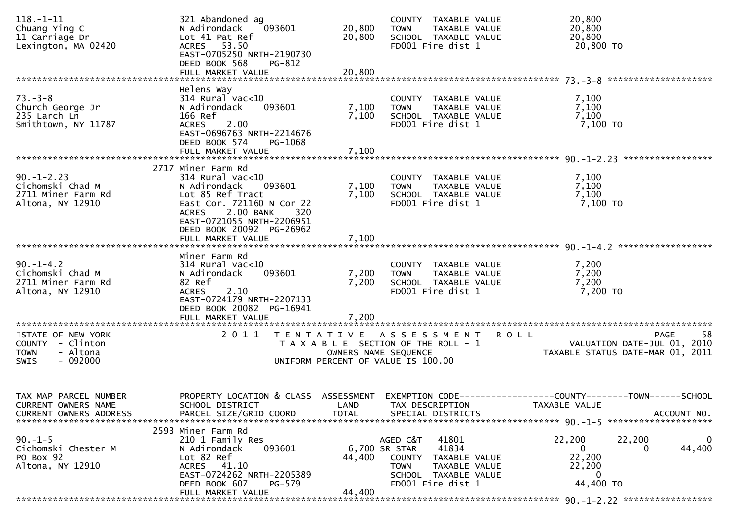| $118. - 1 - 11$<br>Chuang Ying C<br>11 Carriage Dr<br>Lexington, MA 02420                    | 321 Abandoned ag<br>N Adirondack<br>093601<br>Lot 41 Pat Ref<br>ACRES 53.50<br>EAST-0705250 NRTH-2190730<br>DEED BOOK 568<br>PG-812<br>FULL MARKET VALUE                             | 20,800<br>20,800<br>20,800        | COUNTY TAXABLE VALUE<br><b>TOWN</b><br>TAXABLE VALUE<br>SCHOOL TAXABLE VALUE<br>FD001 Fire dist 1                                         |             | 20,800<br>20,800<br>20,800<br>20,800 TO                                                      |             |
|----------------------------------------------------------------------------------------------|--------------------------------------------------------------------------------------------------------------------------------------------------------------------------------------|-----------------------------------|-------------------------------------------------------------------------------------------------------------------------------------------|-------------|----------------------------------------------------------------------------------------------|-------------|
|                                                                                              | Helens Way                                                                                                                                                                           |                                   |                                                                                                                                           |             |                                                                                              |             |
| $73. - 3 - 8$<br>Church George Jr<br>235 Larch Ln<br>Smithtown, NY 11787                     | $314$ Rural vac<10<br>N Adirondack<br>093601<br>166 Ref<br><b>ACRES</b><br>2.00<br>EAST-0696763 NRTH-2214676                                                                         | 7,100<br>7,100                    | COUNTY TAXABLE VALUE<br>TAXABLE VALUE<br><b>TOWN</b><br>SCHOOL TAXABLE VALUE<br>FD001 Fire dist 1                                         |             | 7,100<br>7,100<br>7,100<br>7,100 TO                                                          |             |
|                                                                                              | DEED BOOK 574<br>PG-1068<br>FULL MARKET VALUE                                                                                                                                        | 7,100                             |                                                                                                                                           |             |                                                                                              |             |
| $90. - 1 - 2.23$<br>Cichomski Chad M<br>2711 Miner Farm Rd<br>Altona, NY 12910               | 2717 Miner Farm Rd<br>$314$ Rural vac<10<br>N Adirondack<br>093601<br>Lot 85 Ref Tract<br>East Cor. 721160 N Cor 22<br>2.00 BANK<br>320<br><b>ACRES</b><br>EAST-0721055 NRTH-2206951 | 7,100<br>7,100                    | COUNTY TAXABLE VALUE<br><b>TOWN</b><br>TAXABLE VALUE<br>SCHOOL TAXABLE VALUE<br>FD001 Fire dist 1                                         |             | 7,100<br>7,100<br>7,100<br>7,100 TO                                                          |             |
|                                                                                              | DEED BOOK 20092 PG-26962<br>FULL MARKET VALUE                                                                                                                                        | 7,100                             |                                                                                                                                           |             |                                                                                              |             |
| $90. -1 - 4.2$<br>Cichomski Chad M<br>2711 Miner Farm Rd<br>Altona, NY 12910                 | Miner Farm Rd<br>$314$ Rural vac< $10$<br>N Adirondack<br>093601<br>82 Ref<br><b>ACRES</b><br>2.10<br>EAST-0724179 NRTH-2207133<br>DEED BOOK 20082 PG-16941<br>FULL MARKET VALUE     | 7,200<br>7,200<br>7,200           | COUNTY TAXABLE VALUE<br>TAXABLE VALUE<br><b>TOWN</b><br>SCHOOL TAXABLE VALUE<br>FD001 Fire dist 1                                         |             | 7,200<br>7,200<br>7,200<br>7,200 TO                                                          |             |
| STATE OF NEW YORK<br>COUNTY - Clinton<br><b>TOWN</b><br>- Altona<br>$-092000$<br><b>SWIS</b> | 2011                                                                                                                                                                                 | OWNERS NAME SEQUENCE              | TENTATIVE ASSESSMENT<br>T A X A B L E SECTION OF THE ROLL - 1<br>UNIFORM PERCENT OF VALUE IS 100.00                                       | <b>ROLL</b> | <b>PAGE</b><br>VALUATION DATE-JUL 01, 2010<br>TAXABLE STATUS DATE-MAR 01, 2011               | 58          |
| TAX MAP PARCEL NUMBER<br>CURRENT OWNERS NAME<br>CURRENT OWNERS ADDRESS                       | PROPERTY LOCATION & CLASS ASSESSMENT<br>SCHOOL DISTRICT<br>PARCEL SIZE/GRID COORD                                                                                                    | LAND<br><b>TOTAL</b>              | TAX DESCRIPTION<br>SPECIAL DISTRICTS                                                                                                      |             | EXEMPTION CODE-----------------COUNTY-------TOWN------SCHOOL<br>TAXABLE VALUE<br>ACCOUNT NO. |             |
| $90. -1 - 5$<br>Cichomski Chester M<br>PO Box 92<br>Altona, NY 12910                         | 2593 Miner Farm Rd<br>210 1 Family Res<br>093601<br>N Adirondack<br>Lot 82 Ref<br>ACRES 41.10<br>EAST-0724262 NRTH-2205389<br>DEED BOOK 607<br>PG-579<br>FULL MARKET VALUE           | 6,700 SR STAR<br>44,400<br>44,400 | 41801<br>AGED C&T<br>41834<br><b>COUNTY</b><br>TAXABLE VALUE<br><b>TOWN</b><br>TAXABLE VALUE<br>SCHOOL TAXABLE VALUE<br>FD001 Fire dist 1 |             | 22,200<br>22,200<br>0<br>0<br>22,200<br>22,200<br>0<br>44,400 TO                             | 0<br>44,400 |
|                                                                                              |                                                                                                                                                                                      |                                   |                                                                                                                                           |             |                                                                                              |             |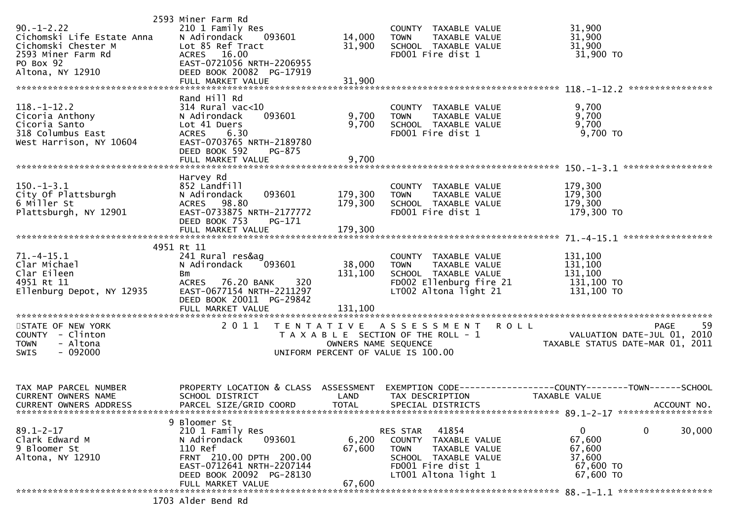| $90. -1 - 2.22$<br>Cichomski Life Estate Anna<br>Cichomski Chester M<br>2593 Miner Farm Rd<br>PO Box 92<br>Altona, NY 12910 | 2593 Miner Farm Rd<br>210 1 Family Res<br>N Adirondack<br>093601<br>Lot 85 Ref Tract<br>ACRES 16.00<br>EAST-0721056 NRTH-2206955<br>DEED BOOK 20082 PG-17919<br>FULL MARKET VALUE | 14,000<br>31,900<br>31,900   | COUNTY TAXABLE VALUE<br>TAXABLE VALUE<br><b>TOWN</b><br>SCHOOL TAXABLE VALUE<br>FD001 Fire dist 1                                           | 31,900<br>31,900<br>31,900<br>31,900 TO                                                                                    |
|-----------------------------------------------------------------------------------------------------------------------------|-----------------------------------------------------------------------------------------------------------------------------------------------------------------------------------|------------------------------|---------------------------------------------------------------------------------------------------------------------------------------------|----------------------------------------------------------------------------------------------------------------------------|
| $118. - 1 - 12.2$<br>Cicoria Anthony<br>Cicoria Santo<br>318 Columbus East<br>West Harrison, NY 10604                       | Rand Hill Rd<br>$314$ Rural vac<10<br>093601<br>N Adirondack<br>Lot 41 Duers<br><b>ACRES</b><br>6.30<br>EAST-0703765 NRTH-2189780<br>DEED BOOK 592<br>PG-875<br>FULL MARKET VALUE | 9,700<br>9,700<br>9,700      | COUNTY TAXABLE VALUE<br>TAXABLE VALUE<br><b>TOWN</b><br>SCHOOL TAXABLE VALUE<br>FD001 Fire dist 1                                           | 9,700<br>9,700<br>9,700<br>9,700 TO                                                                                        |
|                                                                                                                             |                                                                                                                                                                                   |                              |                                                                                                                                             |                                                                                                                            |
| $150.-1-3.1$<br>City Of Plattsburgh<br>6 Miller St<br>Plattsburgh, NY 12901                                                 | Harvey Rd<br>852 Landfill<br>N Adirondack<br>093601<br>ACRES 98.80<br>EAST-0733875 NRTH-2177772<br>DEED BOOK 753<br>PG-171                                                        | 179,300<br>179,300           | COUNTY TAXABLE VALUE<br><b>TOWN</b><br>TAXABLE VALUE<br>SCHOOL TAXABLE VALUE<br>FD001 Fire dist 1                                           | 179,300<br>179,300<br>179,300<br>179,300 то                                                                                |
|                                                                                                                             | FULL MARKET VALUE                                                                                                                                                                 | 179,300                      |                                                                                                                                             |                                                                                                                            |
| $71.-4-15.1$<br>Clar Michael<br>Clar Eileen<br>4951 Rt 11<br>Ellenburg Depot, NY 12935                                      | 4951 Rt 11<br>241 Rural res&ag<br>N Adirondack<br>093601<br>Bm<br>320<br>ACRES 76.20 BANK<br>EAST-0677154 NRTH-2211297<br>DEED BOOK 20011 PG-29842<br>FULL MARKET VALUE           | 38,000<br>131,100<br>131,100 | COUNTY TAXABLE VALUE<br>TAXABLE VALUE<br><b>TOWN</b><br>SCHOOL TAXABLE VALUE<br>FD002 Ellenburg fire 21<br>LT002 Altona light 21            | 131,100<br>131,100<br>131,100<br>131,100 TO<br>131,100 TO                                                                  |
| STATE OF NEW YORK<br>COUNTY - Clinton<br><b>TOWN</b><br>- Altona<br>$-092000$<br><b>SWIS</b>                                |                                                                                                                                                                                   |                              | 2011 TENTATIVE ASSESSMENT ROLL<br>UNIFORM PERCENT OF VALUE IS 100.00                                                                        | -59<br>PAGE<br>T A X A B L E SECTION OF THE ROLL - 1<br>OWNERS NAME SEQUENCE THE ROLL - 1 TAXABLE STATUS DATE-MAR 01, 2011 |
| TAX MAP PARCEL NUMBER<br>CURRENT OWNERS NAME<br>CURRENT OWNERS ADDRESS                                                      | PROPERTY LOCATION & CLASS ASSESSMENT<br>SCHOOL DISTRICT<br>PARCEL SIZE/GRID COORD                                                                                                 | LAND<br>TOTAL                | TAX DESCRIPTION<br>SPECIAL DISTRICTS                                                                                                        | EXEMPTION CODE------------------COUNTY--------TOWN------SCHOOL<br>TAXABLE VALUE<br>ACCOUNT NO.                             |
| $89.1 - 2 - 17$<br>Clark Edward M<br>9 Bloomer St<br>Altona, NY 12910                                                       | 9 Bloomer St<br>210 1 Family Res<br>093601<br>N Adirondack<br>110 Ref<br>FRNT 210.00 DPTH 200.00<br>EAST-0712641 NRTH-2207144<br>DEED BOOK 20092 PG-28130<br>FULL MARKET VALUE    | 6,200<br>67,600<br>67,600    | RES STAR 41854<br>COUNTY TAXABLE VALUE<br><b>TOWN</b><br>TAXABLE VALUE<br>SCHOOL TAXABLE VALUE<br>FD001 Fire dist 1<br>LT001 Altona light 1 | 0<br>0<br>30,000<br>67,600<br>67,600<br>37,600<br>67,600 TO<br>67,600 TO                                                   |
|                                                                                                                             | 1703 Alder Bend Rd                                                                                                                                                                |                              |                                                                                                                                             |                                                                                                                            |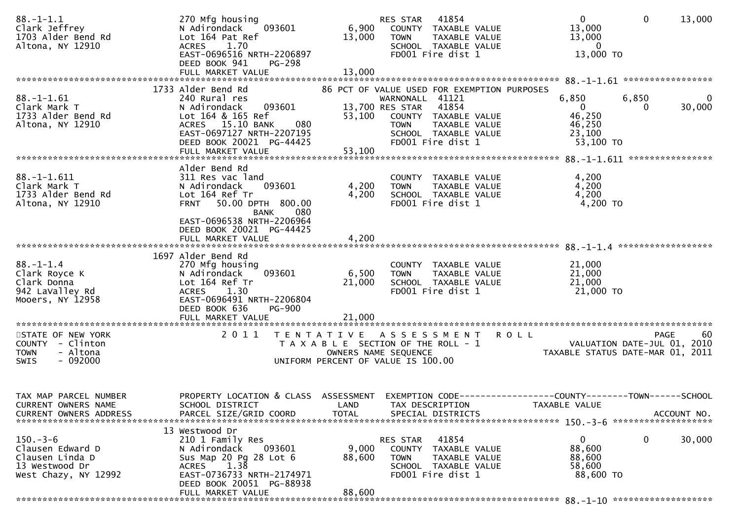| $88. - 1 - 1.1$<br>Clark Jeffrey<br>1703 Alder Bend Rd<br>Altona, NY 12910                     | 270 Mfg housing<br>093601<br>N Adirondack<br>Lot 164 Pat Ref<br>1.70<br><b>ACRES</b><br>EAST-0696516 NRTH-2206897<br>DEED BOOK 941<br>PG-298<br>FULL MARKET VALUE                            | 6,900<br>13,000<br>13,000                                                                                                        | RES STAR<br><b>TOWN</b>                           | 41854<br>COUNTY TAXABLE VALUE<br>TAXABLE VALUE<br>SCHOOL TAXABLE VALUE<br>FD001 Fire dist 1 |                                             | $\overline{0}$<br>13,000<br>13,000<br>0<br>13,000 TO                                 | $\mathbf 0$                                | 13,000      |
|------------------------------------------------------------------------------------------------|----------------------------------------------------------------------------------------------------------------------------------------------------------------------------------------------|----------------------------------------------------------------------------------------------------------------------------------|---------------------------------------------------|---------------------------------------------------------------------------------------------|---------------------------------------------|--------------------------------------------------------------------------------------|--------------------------------------------|-------------|
|                                                                                                |                                                                                                                                                                                              |                                                                                                                                  |                                                   |                                                                                             |                                             |                                                                                      |                                            |             |
| $88. - 1 - 1.61$<br>Clark Mark T<br>1733 Alder Bend Rd<br>Altona, NY 12910                     | 1733 Alder Bend Rd<br>240 Rural res<br>093601<br>N Adirondack<br>Lot 164 & 165 Ref<br>ACRES 15.10 BANK<br>080<br>EAST-0697127 NRTH-2207195<br>DEED BOOK 20021 PG-44425                       | 53,100                                                                                                                           | WARNONALL 41121<br>13,700 RES STAR<br><b>TOWN</b> | 41854<br>COUNTY TAXABLE VALUE<br>TAXABLE VALUE<br>SCHOOL TAXABLE VALUE<br>FD001 Fire dist 1 | 86 PCT OF VALUE USED FOR EXEMPTION PURPOSES | 6,850<br>$\overline{0}$<br>46,250<br>46,250<br>23,100<br>53,100 TO                   | 6,850                                      | 0<br>30,000 |
|                                                                                                | FULL MARKET VALUE                                                                                                                                                                            | 53,100                                                                                                                           |                                                   |                                                                                             |                                             |                                                                                      |                                            |             |
|                                                                                                |                                                                                                                                                                                              |                                                                                                                                  |                                                   |                                                                                             |                                             |                                                                                      |                                            |             |
| $88. - 1 - 1.611$<br>Clark Mark T<br>1733 Alder Bend Rd<br>Altona, NY 12910                    | Alder Bend Rd<br>311 Res vac land<br>093601<br>N Adirondack<br>Lot 164 Ref Tr<br>FRNT 50.00 DPTH 800.00<br><b>BANK</b><br>080<br>EAST-0696538 NRTH-2206964                                   | 4,200<br>4,200                                                                                                                   | <b>TOWN</b>                                       | COUNTY TAXABLE VALUE<br>TAXABLE VALUE<br>SCHOOL TAXABLE VALUE<br>FD001 Fire dist 1          |                                             | 4,200<br>4,200<br>4,200<br>4,200 TO                                                  |                                            |             |
|                                                                                                | DEED BOOK 20021 PG-44425<br>FULL MARKET VALUE                                                                                                                                                | 4,200                                                                                                                            |                                                   |                                                                                             |                                             |                                                                                      |                                            |             |
|                                                                                                |                                                                                                                                                                                              |                                                                                                                                  |                                                   |                                                                                             |                                             |                                                                                      |                                            |             |
|                                                                                                | 1697 Alder Bend Rd                                                                                                                                                                           |                                                                                                                                  |                                                   |                                                                                             |                                             |                                                                                      |                                            |             |
| $88 - 1 - 1.4$<br>Clark Royce K<br>Clark Donna<br>942 LaValley Rd<br>Mooers, NY 12958          | 270 Mfg housing<br>093601<br>N Adirondack<br>Lot 164 Ref Tr<br>1.30<br><b>ACRES</b><br>EAST-0696491 NRTH-2206804<br>DEED BOOK 636<br><b>PG-900</b><br>FULL MARKET VALUE                      | 6,500<br>21,000<br>21,000                                                                                                        | <b>TOWN</b>                                       | COUNTY TAXABLE VALUE<br>TAXABLE VALUE<br>SCHOOL TAXABLE VALUE<br>FD001 Fire dist 1          |                                             | 21,000<br>21,000<br>21,000<br>21,000 TO                                              |                                            |             |
|                                                                                                |                                                                                                                                                                                              |                                                                                                                                  |                                                   |                                                                                             |                                             |                                                                                      |                                            |             |
| STATE OF NEW YORK<br>COUNTY - Clinton<br><b>TOWN</b><br>- Altona<br>$-092000$<br><b>SWIS</b>   | 2011                                                                                                                                                                                         | TENTATIVE ASSESSMENT ROLL<br>T A X A B L E SECTION OF THE ROLL - 1<br>OWNERS NAME SEQUENCE<br>UNIFORM PERCENT OF VALUE IS 100.00 |                                                   |                                                                                             |                                             | TAXABLE STATUS DATE-MAR 01, 2011                                                     | <b>PAGE</b><br>VALUATION DATE-JUL 01, 2010 | 60          |
| TAX MAP PARCEL NUMBER<br>CURRENT OWNERS NAME<br><b>CURRENT OWNERS ADDRESS</b>                  | PROPERTY LOCATION & CLASS<br>SCHOOL DISTRICT<br>PARCEL SIZE/GRID COORD                                                                                                                       | ASSESSMENT<br>LAND<br>TOTAL                                                                                                      |                                                   | TAX DESCRIPTION<br>SPECIAL DISTRICTS                                                        |                                             | EXEMPTION CODE-----------------COUNTY-------TOWN------SCHOOL<br><b>TAXABLE VALUE</b> |                                            | ACCOUNT NO. |
| $150 - 3 - 6$<br>Clausen Edward D<br>Clausen Linda D<br>13 Westwood Dr<br>West Chazy, NY 12992 | 13 Westwood Dr<br>210 1 Family Res<br>093601<br>N Adirondack<br>Sus Map 20 Pg 28 Lot 6<br>1.38<br><b>ACRES</b><br>EAST-0736733 NRTH-2174971<br>DEED BOOK 20051 PG-88938<br>FULL MARKET VALUE | 9,000<br>88,600<br>88,600                                                                                                        | RES STAR<br><b>COUNTY</b><br><b>TOWN</b>          | 41854<br>TAXABLE VALUE<br>TAXABLE VALUE<br>SCHOOL TAXABLE VALUE<br>FD001 Fire dist 1        |                                             | 0<br>88,600<br>88,600<br>58,600<br>88,600 TO                                         | 0                                          | 30,000      |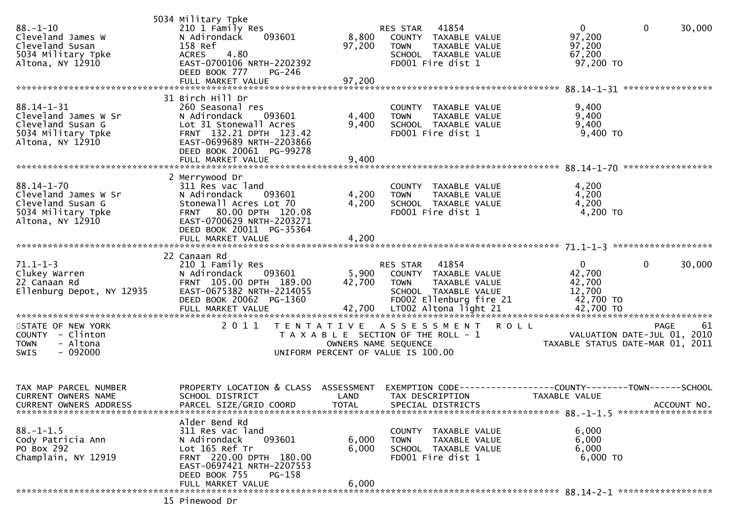| $88. - 1 - 10$<br>Cleveland James W<br>Cleveland Susan<br>5034 Military Tpke<br>Altona, NY 12910        | 5034 Military Tpke<br>210 1 Family Res<br>093601<br>N Adirondack<br>158 Ref<br>4.80<br><b>ACRES</b><br>EAST-0700106 NRTH-2202392<br>DEED BOOK 777<br>PG-246                                       | 8,800<br>97,200                                                                                                             | RES STAR 41854<br><b>TOWN</b> | COUNTY TAXABLE VALUE<br>TAXABLE VALUE<br>SCHOOL TAXABLE VALUE<br>FD001 Fire dist 1        |                                                              | $\mathbf 0$<br>97,200<br>97,200<br>67,200<br>97,200 TO          | 0           | 30,000      |
|---------------------------------------------------------------------------------------------------------|---------------------------------------------------------------------------------------------------------------------------------------------------------------------------------------------------|-----------------------------------------------------------------------------------------------------------------------------|-------------------------------|-------------------------------------------------------------------------------------------|--------------------------------------------------------------|-----------------------------------------------------------------|-------------|-------------|
| $88.14 - 1 - 31$<br>Cleveland James W Sr<br>Cleveland Susan G<br>5034 Military Tpke<br>Altona, NY 12910 | 31 Birch Hill Dr<br>260 Seasonal res<br>N Adirondack<br>093601<br>Lot 31 Stonewall Acres<br>FRNT 132.21 DPTH 123.42<br>EAST-0699689 NRTH-2203866<br>DEED BOOK 20061 PG-99278<br>FULL MARKET VALUE | 4,400<br>9,400<br>9,400                                                                                                     | <b>TOWN</b>                   | COUNTY TAXABLE VALUE<br>TAXABLE VALUE<br>SCHOOL TAXABLE VALUE<br>FD001 Fire dist 1        |                                                              | 9,400<br>9,400<br>9,400<br>$9,400$ TO                           |             |             |
| $88.14 - 1 - 70$<br>Cleveland James W Sr<br>Cleveland Susan G<br>5034 Military Tpke<br>Altona, NY 12910 | 2 Merrywood Dr<br>311 Res vac land<br>N Adirondack<br>093601<br>Stonewall Acres Lot 70<br>FRNT 80.00 DPTH 120.08<br>EAST-0700629 NRTH-2203271<br>DEED BOOK 20011 PG-35364<br>FULL MARKET VALUE    | 4,200<br>4,200<br>4,200                                                                                                     | <b>TOWN</b>                   | COUNTY TAXABLE VALUE<br>TAXABLE VALUE<br>SCHOOL TAXABLE VALUE<br>FD001 Fire dist 1        |                                                              | 4,200<br>4,200<br>4,200<br>$4,200$ TO                           |             |             |
| $71.1 - 1 - 3$<br>Clukey Warren<br>22 Canaan Rd<br>Ellenburg Depot, NY 12935                            | 22 Canaan Rd<br>210 1 Family Res<br>N Adirondack<br>093601<br>FRNT 105.00 DPTH 189.00<br>EAST-0675382 NRTH-2214055<br>DEED BOOK 20062 PG-1360<br>FULL MARKET VALUE                                | 5,900<br>42,700                                                                                                             | RES STAR 41854<br><b>TOWN</b> | COUNTY TAXABLE VALUE<br>TAXABLE VALUE<br>SCHOOL TAXABLE VALUE<br>FD002 Ellenburg fire 21  |                                                              | $\overline{0}$<br>42,700<br>42,700<br>12,700<br>42,700 TO       | 0           | 30,000      |
| STATE OF NEW YORK<br>COUNTY - Clinton<br>- Altona<br><b>TOWN</b><br>$-092000$<br>SWIS                   | 2011                                                                                                                                                                                              | TENTATIVE ASSESSMENT<br>T A X A B L E SECTION OF THE ROLL - 1<br>OWNERS NAME SEQUENCE<br>UNIFORM PERCENT OF VALUE IS 100.00 |                               |                                                                                           | <b>ROLL</b>                                                  | VALUATION DATE-JUL 01, 2010<br>TAXABLE STATUS DATE-MAR 01, 2011 | <b>PAGE</b> | 61          |
| TAX MAP PARCEL NUMBER<br>CURRENT OWNERS NAME<br>CURRENT OWNERS ADDRESS                                  | PROPERTY LOCATION & CLASS ASSESSMENT<br>SCHOOL DISTRICT<br>PARCEL SIZE/GRID COORD                                                                                                                 | LAND<br><b>TOTAL</b>                                                                                                        | TAX DESCRIPTION               | SPECIAL DISTRICTS                                                                         | EXEMPTION CODE-----------------COUNTY-------TOWN------SCHOOL | TAXABLE VALUE                                                   |             | ACCOUNT NO. |
| $88. - 1 - 1.5$<br>Cody Patricia Ann<br>PO Box 292<br>Champlain, NY 12919                               | Alder Bend Rd<br>311 Res vac land<br>N Adirondack<br>093601<br>Lot 165 Ref Tr<br>FRNT 220.00 DPTH 180.00<br>EAST-0697421 NRTH-2207553<br>DEED BOOK 755<br>PG-158                                  | 6,000<br>6,000<br>6,000                                                                                                     | <b>TOWN</b>                   | COUNTY TAXABLE VALUE<br><b>TAXABLE VALUE</b><br>SCHOOL TAXABLE VALUE<br>FD001 Fire dist 1 |                                                              | 6,000<br>6,000<br>6,000<br>$6,000$ TO                           |             |             |
|                                                                                                         | FULL MARKET VALUE<br>15 Pinewood Dr                                                                                                                                                               |                                                                                                                             |                               |                                                                                           |                                                              |                                                                 |             |             |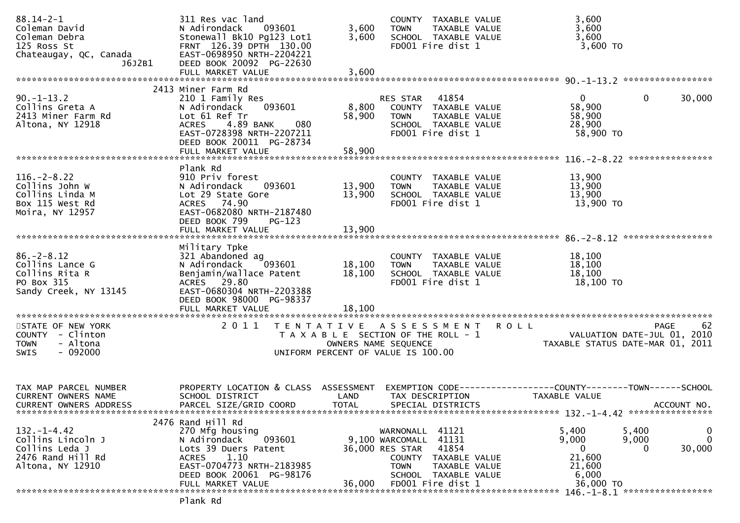| $88.14 - 2 - 1$<br>Coleman David<br>Coleman Debra<br>125 Ross St                                  | 311 Res vac land<br>093601<br>N Adirondack<br>Stonewall Bk10 Pg123 Lot1<br>FRNT 126.39 DPTH 130.00                                                                                           | 3,600<br>3,600             | COUNTY TAXABLE VALUE<br>TAXABLE VALUE<br><b>TOWN</b><br>SCHOOL TAXABLE VALUE<br>FD001 Fire dist 1                                                                         | 3,600<br>3,600<br>3,600                                                       | 3,600 TO                                                                      |
|---------------------------------------------------------------------------------------------------|----------------------------------------------------------------------------------------------------------------------------------------------------------------------------------------------|----------------------------|---------------------------------------------------------------------------------------------------------------------------------------------------------------------------|-------------------------------------------------------------------------------|-------------------------------------------------------------------------------|
| Chateaugay, QC, Canada<br>J6J2B1                                                                  | EAST-0698950 NRTH-2204221<br>DEED BOOK 20092 PG-22630<br>FULL MARKET VALUE                                                                                                                   | 3,600                      |                                                                                                                                                                           |                                                                               |                                                                               |
| $90. -1 - 13.2$<br>Collins Greta A<br>2413 Miner Farm Rd<br>Altona, NY 12918                      | 2413 Miner Farm Rd<br>210 1 Family Res<br>093601<br>N Adirondack<br>Lot 61 Ref Tr<br><b>ACRES</b><br>4.89 BANK<br>080<br>EAST-0728398 NRTH-2207211<br>DEED BOOK 20011 PG-28734               | 8,800<br>58,900            | RES STAR 41854<br>COUNTY TAXABLE VALUE<br><b>TOWN</b><br>TAXABLE VALUE<br>SCHOOL TAXABLE VALUE<br>FD001 Fire dist 1                                                       | $\mathbf{0}$<br>58,900<br>58,900<br>28,900                                    | $\mathbf{0}$<br>30,000<br>58,900 TO                                           |
|                                                                                                   | FULL MARKET VALUE                                                                                                                                                                            | 58,900                     |                                                                                                                                                                           |                                                                               |                                                                               |
| $116. - 2 - 8.22$<br>Collins John W<br>Collins Linda M<br>Box 115 West Rd<br>Moira, NY 12957      | Plank Rd<br>910 Priv forest<br>093601<br>N Adirondack<br>Lot 29 State Gore<br>ACRES 74.90<br>EAST-0682080 NRTH-2187480<br>DEED BOOK 799<br>PG-123                                            | 13,900<br>13,900           | COUNTY TAXABLE VALUE<br>TAXABLE VALUE<br>TOWN<br>SCHOOL TAXABLE VALUE<br>FD001 Fire dist 1                                                                                | 13,900<br>13,900<br>13,900                                                    | 13,900 TO                                                                     |
|                                                                                                   | FULL MARKET VALUE                                                                                                                                                                            | 13,900                     |                                                                                                                                                                           |                                                                               |                                                                               |
| $86. - 2 - 8.12$<br>Collins Lance G<br>Collins Rita R<br>PO Box 315<br>Sandy Creek, NY 13145      | Military Tpke<br>321 Abandoned ag<br>N Adirondack<br>093601<br>Benjamin/wallace Patent<br>ACRES 29.80<br>EAST-0680304 NRTH-2203388<br>DEED BOOK 98000 PG-98337<br>FULL MARKET VALUE          | 18,100<br>18,100<br>18,100 | COUNTY TAXABLE VALUE<br><b>TOWN</b><br>TAXABLE VALUE<br>SCHOOL TAXABLE VALUE<br>FD001 Fire dist 1                                                                         | 18,100<br>18,100<br>18,100<br>18,100 TO                                       |                                                                               |
| STATE OF NEW YORK<br>COUNTY - Clinton<br>- Altona<br><b>TOWN</b><br>$-092000$<br><b>SWIS</b>      | 2011                                                                                                                                                                                         | OWNERS NAME SEQUENCE       | TENTATIVE ASSESSMENT ROLL<br>T A X A B L E SECTION OF THE ROLL - 1<br>UNIFORM PERCENT OF VALUE IS 100.00                                                                  |                                                                               | 62<br>PAGE<br>VALUATION DATE-JUL 01, 2010<br>TAXABLE STATUS DATE-MAR 01, 2011 |
| TAX MAP PARCEL NUMBER<br>CURRENT OWNERS NAME<br><b>CURRENT OWNERS ADDRESS</b>                     | PROPERTY LOCATION & CLASS ASSESSMENT<br>SCHOOL DISTRICT<br>PARCEL SIZE/GRID COORD                                                                                                            | LAND<br><b>TOTAL</b>       | TAX DESCRIPTION<br>SPECIAL DISTRICTS                                                                                                                                      | EXEMPTION CODE-----------------COUNTY-------TOWN------SCHOOL<br>TAXABLE VALUE | ACCOUNT NO.                                                                   |
| $132. - 1 - 4.42$<br>Collins Lincoln J<br>Collins Leda J<br>2476 Rand Hill Rd<br>Altona, NY 12910 | 2476 Rand Hill Rd<br>270 Mfg housing<br>N Adirondack<br>093601<br>Lots 39 Duers Patent<br>1.10<br><b>ACRES</b><br>EAST-0704773 NRTH-2183985<br>DEED BOOK 20061 PG-98176<br>FULL MARKET VALUE | 36,000                     | WARNONALL 41121<br>9,100 WARCOMALL 41131<br>36,000 RES STAR<br>41854<br>COUNTY TAXABLE VALUE<br><b>TOWN</b><br>TAXABLE VALUE<br>SCHOOL TAXABLE VALUE<br>FD001 Fire dist 1 | 5,400<br>9,000<br>$\mathbf{0}$<br>21,600<br>21,600<br>6,000                   | 0<br>5,400<br>$\mathbf 0$<br>9,000<br>30,000<br>$\Omega$<br>36,000 TO         |
|                                                                                                   | Plank Rd                                                                                                                                                                                     |                            |                                                                                                                                                                           |                                                                               | 146. -1-8.1 *******************                                               |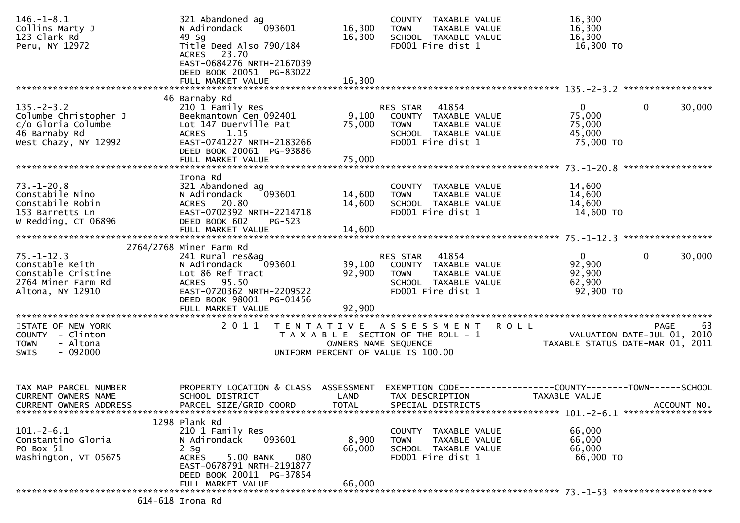| $146. - 1 - 8.1$<br>Collins Marty J<br>123 Clark Rd<br>Peru, NY 12972                                    | 321 Abandoned ag<br>093601<br>N Adirondack<br>49 Sg<br>Title Deed Also 790/184<br>ACRES 23.70<br>EAST-0684276 NRTH-2167039<br>DEED BOOK 20051 PG-83022                                  | 16,300<br>16,300           | COUNTY TAXABLE VALUE<br><b>TOWN</b><br>TAXABLE VALUE<br>SCHOOL TAXABLE VALUE<br>FD001 Fire dist 1                      |             | 16,300<br>16,300<br>16,300<br>16,300 TO                                              |             |
|----------------------------------------------------------------------------------------------------------|-----------------------------------------------------------------------------------------------------------------------------------------------------------------------------------------|----------------------------|------------------------------------------------------------------------------------------------------------------------|-------------|--------------------------------------------------------------------------------------|-------------|
|                                                                                                          | FULL MARKET VALUE                                                                                                                                                                       | 16,300                     |                                                                                                                        |             |                                                                                      |             |
| $135. - 2 - 3.2$<br>Columbe Christopher J<br>c/o Gloria Columbe<br>46 Barnaby Rd<br>West Chazy, NY 12992 | 46 Barnaby Rd<br>210 1 Family Res<br>Beekmantown Cen 092401<br>Lot 147 Duerville Pat<br>ACRES 1.15<br>EAST-0741227 NRTH-2183266<br>DEED BOOK 20061 PG-93886<br>FULL MARKET VALUE        | 9,100<br>75,000<br>75,000  | 41854<br>RES STAR<br>COUNTY TAXABLE VALUE<br><b>TOWN</b><br>TAXABLE VALUE<br>SCHOOL TAXABLE VALUE<br>FD001 Fire dist 1 |             | $\mathbf{0}$<br>$\mathbf{0}$<br>75,000<br>75,000<br>45,000<br>75,000 TO              | 30,000      |
|                                                                                                          | Irona Rd                                                                                                                                                                                |                            |                                                                                                                        |             |                                                                                      |             |
| $73. - 1 - 20.8$<br>Constabile Nino<br>Constabile Robin<br>153 Barretts Ln<br>W Redding, CT 06896        | 321 Abandoned ag<br>093601<br>N Adirondack<br>ACRES 20.80<br>EAST-0702392 NRTH-2214718<br>DEED BOOK 602<br>$PG-523$                                                                     | 14,600<br>14,600           | COUNTY TAXABLE VALUE<br>TAXABLE VALUE<br><b>TOWN</b><br>SCHOOL TAXABLE VALUE<br>FD001 Fire dist 1                      |             | 14,600<br>14,600<br>14,600<br>14,600 TO                                              |             |
|                                                                                                          | FULL MARKET VALUE                                                                                                                                                                       | 14,600                     |                                                                                                                        |             |                                                                                      |             |
| $75. - 1 - 12.3$<br>Constable Keith<br>Constable Cristine<br>2764 Miner Farm Rd<br>Altona, NY 12910      | 2764/2768 Miner Farm Rd<br>241 Rural res&ag<br>N Adirondack<br>093601<br>Lot 86 Ref Tract<br>ACRES 95.50<br>EAST-0720362 NRTH-2209522<br>DEED BOOK 98001 PG-01456<br>FULL MARKET VALUE  | 39,100<br>92,900<br>92,900 | RES STAR 41854<br>COUNTY TAXABLE VALUE<br>TAXABLE VALUE<br><b>TOWN</b><br>SCHOOL TAXABLE VALUE<br>FD001 Fire dist 1    |             | $\mathbf 0$<br>$\mathbf 0$<br>92,900<br>92,900<br>62,900<br>92,900 TO                | 30,000      |
| STATE OF NEW YORK<br>COUNTY - Clinton<br><b>TOWN</b><br>- Altona<br>$-092000$<br><b>SWIS</b>             | 2011<br>T E N T A T I V E                                                                                                                                                               | OWNERS NAME SEQUENCE       | A S S E S S M E N T<br>T A X A B L E SECTION OF THE ROLL - 1<br>UNIFORM PERCENT OF VALUE IS 100.00                     | <b>ROLL</b> | VALUATION DATE-JUL 01, 2010<br>TAXABLE STATUS DATE-MAR 01, 2011                      | PAGE<br>63  |
| TAX MAP PARCEL NUMBER<br><b>CURRENT OWNERS NAME</b><br>CURRENT OWNERS ADDRESS                            | PROPERTY LOCATION & CLASS ASSESSMENT<br>SCHOOL DISTRICT<br>PARCEL SIZE/GRID COORD                                                                                                       | LAND<br><b>TOTAL</b>       | TAX DESCRIPTION<br>SPECIAL DISTRICTS                                                                                   |             | EXEMPTION        CODE-----------------COUNTY-------TOWN------SCHOOL<br>TAXABLE VALUE | ACCOUNT NO. |
| $101. -2 - 6.1$<br>Constantino Gloria<br>PO Box 51<br>Washington, VT 05675                               | 1298 Plank Rd<br>210 1 Family Res<br>N Adirondack<br>093601<br>$2$ Sg<br>5.00 BANK<br>080<br><b>ACRES</b><br>EAST-0678791 NRTH-2191877<br>DEED BOOK 20011 PG-37854<br>FULL MARKET VALUE | 8,900<br>66,000<br>66,000  | COUNTY TAXABLE VALUE<br><b>TOWN</b><br>TAXABLE VALUE<br>SCHOOL TAXABLE VALUE<br>FD001 Fire dist 1                      |             | 66,000<br>66,000<br>66,000<br>66,000 TO                                              |             |
|                                                                                                          | 614-618 Irona Rd                                                                                                                                                                        |                            |                                                                                                                        |             |                                                                                      |             |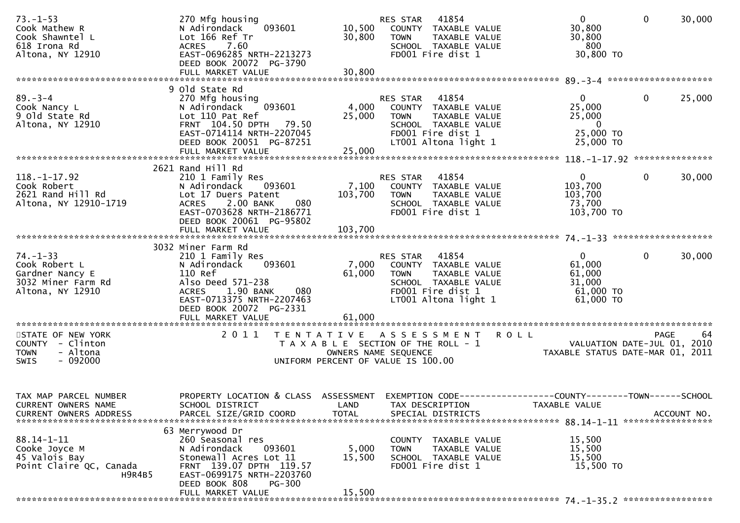| $73. - 1 - 53$<br>Cook Mathew R<br>Cook Shawntel L<br>618 Irona Rd<br>Altona, NY 12910         | 270 Mfg housing<br>093601<br>N Adirondack<br>Lot 166 Ref Tr<br><b>ACRES</b><br>7.60<br>EAST-0696285 NRTH-2213273<br>DEED BOOK 20072 PG-3790                                                       | 10,500<br>30,800          | RES STAR<br>41854<br>COUNTY TAXABLE VALUE<br>TAXABLE VALUE<br><b>TOWN</b><br>SCHOOL TAXABLE VALUE<br>FD001 Fire dist 1                               | $\overline{0}$<br>30,800<br>30,800<br>800<br>30,800 TO                       | $\mathbf 0$<br>30,000                     |
|------------------------------------------------------------------------------------------------|---------------------------------------------------------------------------------------------------------------------------------------------------------------------------------------------------|---------------------------|------------------------------------------------------------------------------------------------------------------------------------------------------|------------------------------------------------------------------------------|-------------------------------------------|
|                                                                                                | 9 Old State Rd                                                                                                                                                                                    |                           |                                                                                                                                                      |                                                                              |                                           |
| $89 - 3 - 4$<br>Cook Nancy L<br>9 Old State Rd<br>Altona, NY 12910                             | 270 Mfg housing<br>093601<br>N Adirondack<br>Lot 110 Pat Ref<br>FRNT 104.50 DPTH 79.50<br>EAST-0714114 NRTH-2207045<br>DEED BOOK 20051 PG-87251<br>FULL MARKET VALUE                              | 25,000<br>25,000          | 41854<br>RES STAR<br>4,000 COUNTY TAXABLE VALUE<br><b>TOWN</b><br>TAXABLE VALUE<br>SCHOOL TAXABLE VALUE<br>FD001 Fire dist 1<br>LT001 Altona light 1 | $\mathbf{0}$<br>25,000<br>25,000<br>$\overline{0}$<br>25,000 TO<br>25,000 TO | 0<br>25,000                               |
|                                                                                                |                                                                                                                                                                                                   |                           |                                                                                                                                                      |                                                                              |                                           |
| $118. - 1 - 17.92$<br>Cook Robert<br>2621 Rand Hill Rd<br>Altona, NY 12910-1719                | 2621 Rand Hill Rd<br>210 1 Family Res<br>N Adirondack<br>093601<br>Lot 17 Duers Patent<br>2.00 BANK<br>080<br><b>ACRES</b><br>EAST-0703628 NRTH-2186771<br>DEED BOOK 20061 PG-95802               | 103,700                   | 41854<br>RES STAR<br>7,100 COUNTY TAXABLE VALUE<br>TAXABLE VALUE<br><b>TOWN</b><br>SCHOOL TAXABLE VALUE<br>FD001 Fire dist 1                         | $\overline{0}$<br>103,700<br>103,700<br>73,700<br>103,700 TO                 | $\mathbf 0$<br>30,000                     |
|                                                                                                | 3032 Miner Farm Rd                                                                                                                                                                                |                           |                                                                                                                                                      |                                                                              |                                           |
| $74. - 1 - 33$<br>Cook Robert L<br>Gardner Nancy E<br>3032 Miner Farm Rd<br>Altona, NY 12910   | 210 1 Family Res<br>N Adirondack<br>093601<br>110 Ref<br>Also Deed 571-238<br>1.90 BANK<br><b>ACRES</b><br>080<br>EAST-0713375 NRTH-2207463<br>DEED BOOK 20072 PG-2331<br>FULL MARKET VALUE       | 7,000<br>61,000<br>61,000 | RES STAR 41854<br>COUNTY TAXABLE VALUE<br>TAXABLE VALUE<br><b>TOWN</b><br>SCHOOL TAXABLE VALUE<br>FD001 Fire dist 1<br>LT001 Altona light 1          | $\mathbf{0}$<br>61,000<br>61,000<br>31,000<br>61,000 TO<br>61,000 TO         | 0<br>30,000                               |
|                                                                                                |                                                                                                                                                                                                   |                           |                                                                                                                                                      |                                                                              |                                           |
| STATE OF NEW YORK<br>COUNTY - Clinton<br>- Altona<br><b>TOWN</b><br>$-092000$<br>SWIS          | 2011                                                                                                                                                                                              | OWNERS NAME SEQUENCE      | <b>ROLL</b><br>TENTATIVE ASSESSMENT<br>T A X A B L E SECTION OF THE ROLL - 1<br>UNIFORM PERCENT OF VALUE IS 100.00                                   | TAXABLE STATUS DATE-MAR 01, 2011                                             | 64<br>PAGE<br>VALUATION DATE-JUL 01, 2010 |
| TAX MAP PARCEL NUMBER<br>CURRENT OWNERS NAME<br><b>CURRENT OWNERS ADDRESS</b>                  | PROPERTY LOCATION & CLASS ASSESSMENT<br>SCHOOL DISTRICT<br>PARCEL SIZE/GRID COORD                                                                                                                 | LAND<br><b>TOTAL</b>      | EXEMPTION CODE-----------------COUNTY-------TOWN------SCHOOL<br>TAX DESCRIPTION<br>SPECIAL DISTRICTS                                                 | TAXABLE VALUE                                                                | ACCOUNT NO.                               |
| $88.14 - 1 - 11$<br>Cooke Joyce M<br>45 Valois Bay<br>Point Claire QC, Canada<br><b>H9R4B5</b> | 63 Merrywood Dr<br>260 Seasonal res<br>N Adirondack<br>093601<br>Stonewall Acres Lot 11<br>FRNT 139.07 DPTH 119.57<br>EAST-0699175 NRTH-2203760<br>DEED BOOK 808<br>$PG-300$<br>FULL MARKET VALUE | 5,000<br>15,500<br>15,500 | COUNTY TAXABLE VALUE<br>TAXABLE VALUE<br><b>TOWN</b><br>SCHOOL TAXABLE VALUE<br>FD001 Fire dist 1                                                    | 15,500<br>15,500<br>15,500<br>15,500 TO                                      |                                           |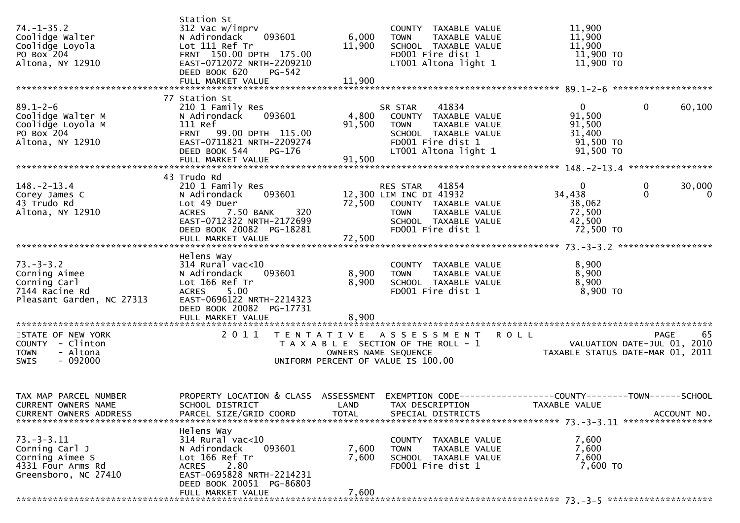| $74. - 1 - 35.2$<br>Coolidge Walter<br>Coolidge Loyola<br>PO Box 204<br>Altona, NY 12910               | Station St<br>312 Vac w/imprv<br>093601<br>N Adirondack<br>Lot 111 Ref Tr<br>FRNT 150.00 DPTH 175.00<br>EAST-0712072 NRTH-2209210<br>DEED BOOK 620<br>PG-542                       | 6,000<br>11,900             | COUNTY TAXABLE VALUE<br><b>TOWN</b><br>TAXABLE VALUE<br>SCHOOL TAXABLE VALUE<br>FD001 Fire dist 1<br>LT001 Altona light 1                             | 11,900<br>11,900<br>11,900<br>11,900 TO<br>11,900 TO                 |                                         |
|--------------------------------------------------------------------------------------------------------|------------------------------------------------------------------------------------------------------------------------------------------------------------------------------------|-----------------------------|-------------------------------------------------------------------------------------------------------------------------------------------------------|----------------------------------------------------------------------|-----------------------------------------|
| $89.1 - 2 - 6$<br>Coolidge Walter M<br>Coolidge Loyola M<br>PO Box <sup>-204</sup><br>Altona, NY 12910 | 77 Station St<br>210 1 Family Res<br>093601<br>N Adirondack<br>111 Ref<br>FRNT 99.00 DPTH 115.00<br>EAST-0711821 NRTH-2209274<br>DEED BOOK 544<br>PG-176<br>FULL MARKET VALUE      | 91,500<br>91,500            | 41834<br>SR STAR<br>4,800 COUNTY TAXABLE VALUE<br><b>TOWN</b><br>TAXABLE VALUE<br>SCHOOL TAXABLE VALUE<br>FD001 Fire dist 1<br>LT001 Altona light 1   | $\mathbf{0}$<br>91,500<br>91,500<br>31,400<br>91,500 TO<br>91,500 TO | 60,100<br>$\mathbf{0}$                  |
| $148. - 2 - 13.4$<br>Corey James C<br>43 Trudo Rd<br>Altona, NY 12910                                  | 43 Trudo Rd<br>210 1 Family Res<br>093601<br>N Adirondack<br>Lot 49 Duer<br>7.50 BANK<br>320<br><b>ACRES</b><br>EAST-0712322 NRTH-2172699<br>DEED BOOK 20082 PG-18281              |                             | RES STAR 41854<br>12,300 LIM INC DI 41932<br>72,500 COUNTY TAXABLE VALUE<br>TAXABLE VALUE<br><b>TOWN</b><br>SCHOOL TAXABLE VALUE<br>FD001 Fire dist 1 | $\mathbf{0}$<br>34,438<br>38,062<br>72,500<br>42,500<br>72,500 TO    | 30,000<br>0<br>$\mathbf{0}$<br>$\Omega$ |
| $73. - 3 - 3.2$<br>Corning Aimee<br>Corning Carl<br>7144 Racine Rd<br>Pleasant Garden, NC 27313        | Helens Way<br>$314$ Rural vac<10<br>093601<br>N Adirondack<br>Lot 166 Ref Tr<br><b>ACRES</b><br>5.00<br>EAST-0696122 NRTH-2214323<br>DEED BOOK 20082 PG-17731<br>FULL MARKET VALUE | 8,900<br>8,900<br>8,900     | COUNTY TAXABLE VALUE<br>TAXABLE VALUE<br><b>TOWN</b><br>SCHOOL TAXABLE VALUE<br>FD001 Fire dist 1                                                     | 8,900<br>8,900<br>8,900<br>8,900 TO                                  |                                         |
| STATE OF NEW YORK<br>COUNTY - Clinton<br>- Altona<br><b>TOWN</b><br>$-092000$<br>SWIS                  | 2 0 1 1                                                                                                                                                                            |                             | TENTATIVE ASSESSMENT ROLL<br>T A X A B L E SECTION OF THE ROLL - 1<br>OWNERS NAME SEQUENCE<br>UNIFORM PERCENT OF VALUE IS 100.00                      | VALUATION DATE-JUL 01, 2010<br>TAXABLE STATUS DATE-MAR 01, 2011      | 65<br>PAGE                              |
| TAX MAP PARCEL NUMBER<br>CURRENT OWNERS NAME<br><b>CURRENT OWNERS ADDRESS</b>                          | PROPERTY LOCATION & CLASS ASSESSMENT EXEMPTION CODE----------------COUNTY-------TOWN------SCHOOL<br>SCHOOL DISTRICT<br>PARCEL SIZE/GRID COORD                                      | <b>LAND</b><br><b>TOTAL</b> | TAX DESCRIPTION<br>SPECIAL DISTRICTS                                                                                                                  | TAXABLE VALUE                                                        | ACCOUNT NO.                             |
| $73. - 3 - 3.11$<br>Corning Carl J<br>Corning Aimee S<br>4331 Four Arms Rd<br>Greensboro, NC 27410     | Helens Way<br>$314$ Rural vac<10<br>N Adirondack<br>093601<br>Lot 166 Ref Tr<br>2.80<br>ACRES<br>EAST-0695828 NRTH-2214231<br>DEED BOOK 20051 PG-86803<br>FULL MARKET VALUE        | 7,600<br>7,600<br>7,600     | COUNTY TAXABLE VALUE<br>TAXABLE VALUE<br><b>TOWN</b><br>SCHOOL TAXABLE VALUE<br>FD001 Fire dist 1                                                     | 7,600<br>7,600<br>7,600<br>7,600 TO                                  |                                         |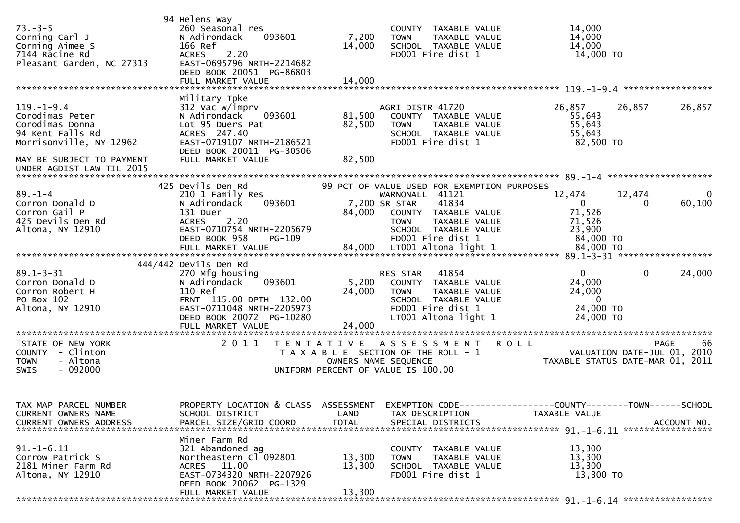| $73. - 3 - 5$<br>Corning Carl J<br>Corning Aimee S<br>7144 Racine Rd<br>Pleasant Garden, NC 27313                                  | 94 Helens Way<br>260 Seasonal res<br>N Adirondack<br>093601<br>166 Ref<br>2.20<br><b>ACRES</b><br>EAST-0695796 NRTH-2214682<br>DEED BOOK 20051 PG-86803                      | 7,200<br>14,000                           | COUNTY TAXABLE VALUE<br>TAXABLE VALUE<br><b>TOWN</b><br>SCHOOL TAXABLE VALUE<br>FD001 Fire dist 1                                                                                             | 14,000<br>14,000<br>14,000<br>14,000 TO                                                                  |
|------------------------------------------------------------------------------------------------------------------------------------|------------------------------------------------------------------------------------------------------------------------------------------------------------------------------|-------------------------------------------|-----------------------------------------------------------------------------------------------------------------------------------------------------------------------------------------------|----------------------------------------------------------------------------------------------------------|
|                                                                                                                                    | FULL MARKET VALUE                                                                                                                                                            | 14,000                                    |                                                                                                                                                                                               |                                                                                                          |
| $119. - 1 - 9.4$<br>Corodimas Peter<br>Corodimas Donna<br>94 Kent Falls Rd<br>Morrisonville, NY 12962<br>MAY BE SUBJECT TO PAYMENT | Military Tpke<br>312 Vac w/imprv<br>N Adirondack<br>093601<br>Lot 95 Duers Pat<br>ACRES 247.40<br>EAST-0719107 NRTH-2186521<br>DEED BOOK 20011 PG-30506<br>FULL MARKET VALUE | 81,500<br>82,500<br>82,500                | AGRI DISTR 41720<br>COUNTY TAXABLE VALUE<br>TAXABLE VALUE<br><b>TOWN</b><br>SCHOOL TAXABLE VALUE<br>FD001 Fire dist 1                                                                         | 26,857<br>26,857<br>26,857<br>55,643<br>55,643<br>55,643<br>82,500 TO                                    |
| UNDER AGDIST LAW TIL 2015                                                                                                          |                                                                                                                                                                              |                                           |                                                                                                                                                                                               |                                                                                                          |
| $89. - 1 - 4$<br>Corron Donald D<br>Corron Gail P<br>425 Devils Den Rd<br>Altona, NY 12910                                         | 425 Devils Den Rd<br>210 1 Family Res<br>N Adirondack<br>093601<br>131 Duer<br>2.20<br><b>ACRES</b><br>EAST-0710754 NRTH-2205679<br>DEED BOOK 958<br><b>PG-109</b>           | 84,000                                    | 99 PCT OF VALUE USED FOR EXEMPTION PURPOSES<br>WARNONALL 41121<br>41834<br>7,200 SR STAR<br>COUNTY TAXABLE VALUE<br>TAXABLE VALUE<br><b>TOWN</b><br>SCHOOL TAXABLE VALUE<br>FD001 Fire dist 1 | 12,474<br>12,474<br>0<br>60,100<br>$\overline{0}$<br>$\Omega$<br>71,526<br>71,526<br>23,900<br>84,000 TO |
|                                                                                                                                    | 444/442 Devils Den Rd                                                                                                                                                        |                                           |                                                                                                                                                                                               |                                                                                                          |
| $89.1 - 3 - 31$<br>Corron Donald D<br>Corron Robert H<br>PO Box 102<br>Altona, NY 12910                                            | 270 Mfg housing<br>093601<br>N Adirondack<br>110 Ref<br>FRNT 115.00 DPTH 132.00<br>EAST-0711048 NRTH-2205973<br>DEED BOOK 20072 PG-10280<br>FULL MARKET VALUE                | 5,200<br>24,000<br>24,000                 | 41854<br>RES STAR<br>COUNTY TAXABLE VALUE<br>TAXABLE VALUE<br><b>TOWN</b><br>SCHOOL TAXABLE VALUE<br>FD001 Fire dist 1<br>LT001 Altona light 1                                                | $\Omega$<br>$\mathbf{0}$<br>24,000<br>24,000<br>24,000<br>$\overline{0}$<br>24,000 TO<br>24,000 TO       |
| STATE OF NEW YORK<br>COUNTY - Clinton<br><b>TOWN</b><br>- Altona<br>$-092000$<br>SWIS                                              | 2011                                                                                                                                                                         | T E N T A T I V E<br>OWNERS NAME SEQUENCE | A S S E S S M E N T<br>T A X A B L E SECTION OF THE ROLL - 1<br>UNIFORM PERCENT OF VALUE IS 100.00                                                                                            | <b>ROLL</b><br>66<br><b>PAGE</b><br>VALUATION DATE-JUL 01, 2010<br>TAXABLE STATUS DATE-MAR 01, 2011      |
| TAX MAP PARCEL NUMBER<br>CURRENT OWNERS NAME<br><b>CURRENT OWNERS ADDRESS</b>                                                      | PROPERTY LOCATION & CLASS ASSESSMENT<br>SCHOOL DISTRICT<br>PARCEL SIZE/GRID COORD                                                                                            | LAND<br><b>TOTAL</b>                      | TAX DESCRIPTION<br>SPECIAL DISTRICTS                                                                                                                                                          | EXEMPTION CODE-----------------COUNTY-------TOWN------SCHOOL<br>TAXABLE VALUE<br>ACCOUNT NO.             |
| $91. - 1 - 6.11$<br>Corrow Patrick S<br>2181 Miner Farm Rd<br>Altona, NY 12910                                                     | Miner Farm Rd<br>321 Abandoned ag<br>Northeastern Cl 092801<br>ACRES 11.00<br>EAST-0734320 NRTH-2207926<br>DEED BOOK 20062 PG-1329<br>FULL MARKET VALUE                      | 13,300<br>13,300<br>13,300                | COUNTY TAXABLE VALUE<br>TAXABLE VALUE<br>TOWN<br>SCHOOL TAXABLE VALUE<br>FD001 Fire dist 1                                                                                                    | 13,300<br>13,300<br>13,300<br>13,300 TO                                                                  |
|                                                                                                                                    |                                                                                                                                                                              |                                           |                                                                                                                                                                                               |                                                                                                          |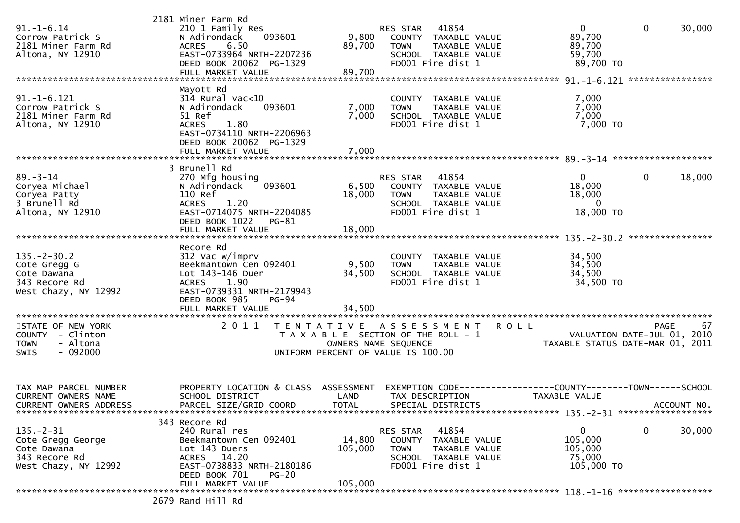| $91. - 1 - 6.14$<br>Corrow Patrick S<br>2181 Miner Farm Rd<br>Altona, NY 12910               | 2181 Miner Farm Rd<br>210 1 Family Res<br>093601<br>N Adirondack<br>6.50<br><b>ACRES</b><br>EAST-0733964 NRTH-2207236<br>DEED BOOK 20062 PG-1329                       | 9,800<br>89,700                                                                                                          | RES STAR<br><b>TOWN</b> | 41854<br>COUNTY TAXABLE VALUE<br>TAXABLE VALUE<br>SCHOOL TAXABLE VALUE<br>FD001 Fire dist 1 |                                                              | 0<br>89,700<br>89,700<br>59,700<br>89,700 TO                    | $\mathbf 0$      | 30,000      |
|----------------------------------------------------------------------------------------------|------------------------------------------------------------------------------------------------------------------------------------------------------------------------|--------------------------------------------------------------------------------------------------------------------------|-------------------------|---------------------------------------------------------------------------------------------|--------------------------------------------------------------|-----------------------------------------------------------------|------------------|-------------|
|                                                                                              | FULL MARKET VALUE                                                                                                                                                      | 89,700                                                                                                                   |                         |                                                                                             |                                                              |                                                                 | **************** |             |
| $91.-1-6.121$<br>Corrow Patrick S<br>2181 Miner Farm Rd<br>Altona, NY 12910                  | Mayott Rd<br>314 Rural vac<10<br>N Adirondack<br>093601<br>51 Ref<br><b>ACRES</b><br>1.80<br>EAST-0734110 NRTH-2206963<br>DEED BOOK 20062 PG-1329<br>FULL MARKET VALUE | 7,000<br>7,000<br>7,000                                                                                                  | <b>TOWN</b>             | COUNTY TAXABLE VALUE<br>TAXABLE VALUE<br>SCHOOL TAXABLE VALUE<br>FD001 Fire dist 1          |                                                              | 7,000<br>7,000<br>7,000<br>7,000 TO                             |                  |             |
|                                                                                              |                                                                                                                                                                        |                                                                                                                          |                         |                                                                                             |                                                              |                                                                 |                  |             |
| $89 - 3 - 14$<br>Coryea Michael<br>Coryea Patty<br>3 Brunell Rd<br>Altona, NY 12910          | 3 Brunell Rd<br>270 Mfg housing<br>093601<br>N Adirondack<br>110 Ref<br>ACRES<br>1.20<br>EAST-0714075 NRTH-2204085<br>DEED BOOK 1022<br>PG-81                          | 6,500<br>18,000                                                                                                          | RES STAR<br><b>TOWN</b> | 41854<br>COUNTY TAXABLE VALUE<br>TAXABLE VALUE<br>SCHOOL TAXABLE VALUE<br>FD001 Fire dist 1 |                                                              | $\mathbf{0}$<br>18,000<br>18,000<br>$\overline{0}$<br>18,000 TO | $\mathbf{0}$     | 18,000      |
|                                                                                              | FULL MARKET VALUE                                                                                                                                                      | 18,000                                                                                                                   |                         |                                                                                             |                                                              |                                                                 |                  |             |
|                                                                                              | Recore Rd                                                                                                                                                              |                                                                                                                          |                         |                                                                                             |                                                              |                                                                 |                  |             |
| $135. - 2 - 30.2$<br>Cote Gregg G<br>Cote Dawana<br>343 Recore Rd<br>West Chazy, NY 12992    | 312 Vac w/imprv<br>Beekmantown Cen 092401<br>Lot 143-146 Duer<br>1.90<br><b>ACRES</b><br>EAST-0739331 NRTH-2179943<br>DEED BOOK 985<br>$PG-94$                         | 9,500<br>34,500                                                                                                          | <b>TOWN</b>             | COUNTY TAXABLE VALUE<br>TAXABLE VALUE<br>SCHOOL TAXABLE VALUE<br>FD001 Fire dist 1          |                                                              | 34,500<br>34,500<br>34,500<br>34,500 TO                         |                  |             |
| *********************                                                                        | FULL MARKET VALUE<br>*********************                                                                                                                             | 34,500                                                                                                                   |                         |                                                                                             |                                                              |                                                                 |                  |             |
| STATE OF NEW YORK<br>COUNTY - Clinton<br>- Altona<br><b>TOWN</b><br>$-092000$<br><b>SWIS</b> | 2011                                                                                                                                                                   | T E N T A T I V E<br>T A X A B L E SECTION OF THE ROLL - 1<br>OWNERS NAME SEQUENCE<br>UNIFORM PERCENT OF VALUE IS 100.00 |                         | A S S E S S M E N T                                                                         | <b>ROLL</b>                                                  | VALUATION DATE-JUL 01, 2010<br>TAXABLE STATUS DATE-MAR 01, 2011 | PAGE             | 67          |
| TAX MAP PARCEL NUMBER<br>CURRENT OWNERS NAME<br>CURRENT OWNERS ADDRESS                       | PROPERTY LOCATION & CLASS ASSESSMENT<br>SCHOOL DISTRICT<br>PARCEL SIZE/GRID COORD                                                                                      | LAND<br><b>TOTAL</b>                                                                                                     |                         | TAX DESCRIPTION<br>SPECIAL DISTRICTS                                                        | EXEMPTION CODE-----------------COUNTY-------TOWN------SCHOOL | <b>TAXABLE VALUE</b>                                            |                  | ACCOUNT NO. |
|                                                                                              | 343 Recore Rd                                                                                                                                                          |                                                                                                                          |                         |                                                                                             |                                                              |                                                                 |                  |             |
| $135. - 2 - 31$<br>Cote Gregg George<br>Cote Dawana<br>343 Recore Rd<br>West Chazy, NY 12992 | 240 Rural res<br>Beekmantown Cen 092401<br>Lot 143 Duers<br>ACRES 14.20<br>EAST-0738833 NRTH-2180186<br>DEED BOOK 701<br>$PG-20$                                       | 14,800<br>105,000                                                                                                        | RES STAR<br><b>TOWN</b> | 41854<br>COUNTY TAXABLE VALUE<br>TAXABLE VALUE<br>SCHOOL TAXABLE VALUE<br>FD001 Fire dist 1 |                                                              | $\mathbf 0$<br>105,000<br>105,000<br>75,000<br>105,000 TO       | 0                | 30,000      |
|                                                                                              | FULL MARKET VALUE                                                                                                                                                      | 105,000                                                                                                                  |                         |                                                                                             |                                                              |                                                                 |                  |             |
|                                                                                              | 2679 Rand Hill Rd                                                                                                                                                      |                                                                                                                          |                         |                                                                                             |                                                              |                                                                 |                  |             |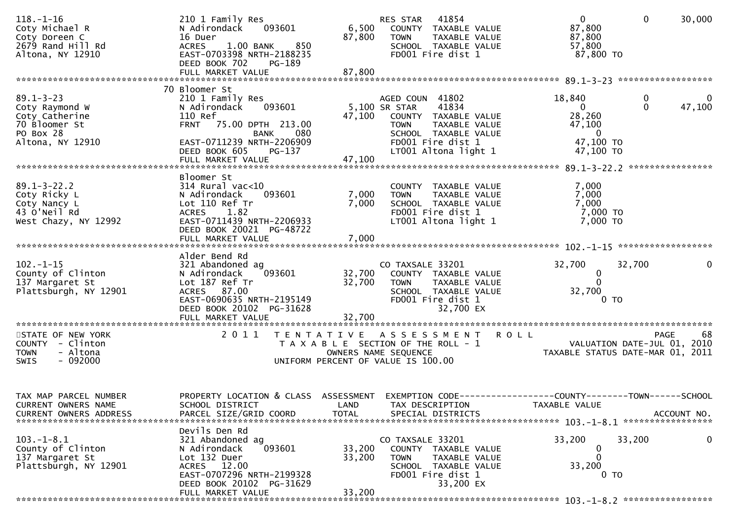| $118. - 1 - 16$<br>Coty Michael R<br>Coty Doreen C<br>2679 Rand Hill Rd<br>Altona, NY 12910           | 210 1 Family Res<br>093601<br>N Adirondack<br>16 Duer<br>1.00 BANK<br>850<br><b>ACRES</b><br>EAST-0703398 NRTH-2188235<br>DEED BOOK 702<br>PG-189                                     | 6,500<br>87,800                    | 41854<br>RES STAR<br>COUNTY TAXABLE VALUE<br><b>TOWN</b><br>TAXABLE VALUE<br>SCHOOL TAXABLE VALUE<br>FD001 Fire dist 1                                                 | $\overline{0}$<br>$\mathbf 0$<br>87,800<br>87,800<br>57,800<br>87,800 TO                              | 30,000       |
|-------------------------------------------------------------------------------------------------------|---------------------------------------------------------------------------------------------------------------------------------------------------------------------------------------|------------------------------------|------------------------------------------------------------------------------------------------------------------------------------------------------------------------|-------------------------------------------------------------------------------------------------------|--------------|
|                                                                                                       | 70 Bloomer St                                                                                                                                                                         |                                    |                                                                                                                                                                        |                                                                                                       |              |
| $89.1 - 3 - 23$<br>Coty Raymond W<br>Coty Catherine<br>70 Bloomer St<br>PO Box 28<br>Altona, NY 12910 | 210 1 Family Res<br>093601<br>N Adirondack<br>110 Ref<br>75.00 DPTH 213.00<br><b>FRNT</b><br>080<br>BANK<br>EAST-0711239 NRTH-2206909<br>DEED BOOK 605<br>PG-137<br>FULL MARKET VALUE | 47,100<br>47,100                   | AGED COUN 41802<br>5,100 SR STAR<br>41834<br>COUNTY TAXABLE VALUE<br><b>TOWN</b><br>TAXABLE VALUE<br>SCHOOL TAXABLE VALUE<br>FD001 Fire dist 1<br>LT001 Altona light 1 | 18,840<br>0<br>$\Omega$<br>$\mathbf{0}$<br>28,260<br>47,100<br>$\mathbf{0}$<br>47,100 TO<br>47,100 TO | 0<br>47,100  |
|                                                                                                       |                                                                                                                                                                                       |                                    |                                                                                                                                                                        |                                                                                                       |              |
| $89.1 - 3 - 22.2$<br>Coty Ricky L<br>Coty Nancy L<br>43 O'Neil Rd<br>West Chazy, NY 12992             | Bloomer St<br>$314$ Rural vac< $10$<br>093601<br>N Adirondack<br>Lot 110 Ref Tr<br><b>ACRES</b><br>1.82<br>EAST-0711439 NRTH-2206933<br>DEED BOOK 20021 PG-48722<br>FULL MARKET VALUE | 7,000<br>7,000<br>7,000            | COUNTY TAXABLE VALUE<br><b>TOWN</b><br>TAXABLE VALUE<br>SCHOOL TAXABLE VALUE<br>FD001 Fire dist 1<br>LT001 Altona light 1                                              | 7,000<br>7,000<br>7,000<br>7,000 TO<br>7,000 TO                                                       |              |
|                                                                                                       |                                                                                                                                                                                       |                                    |                                                                                                                                                                        |                                                                                                       |              |
| $102. - 1 - 15$<br>County of Clinton<br>137 Margaret St<br>Plattsburgh, NY 12901                      | Alder Bend Rd<br>321 Abandoned ag<br>093601<br>N Adirondack<br>Lot 187 Ref Tr<br>ACRES 87.00<br>EAST-0690635 NRTH-2195149<br>DEED BOOK 20102 PG-31628<br>FULL MARKET VALUE            | 32,700<br>32,700<br>32,700         | CO TAXSALE 33201<br>COUNTY TAXABLE VALUE<br><b>TOWN</b><br>TAXABLE VALUE<br>SCHOOL TAXABLE VALUE<br>FD001 Fire dist 1<br>32,700 EX                                     | 32,700<br>32,700<br>0<br>0<br>32,700<br>0 TO                                                          | $\mathbf{0}$ |
| STATE OF NEW YORK<br>COUNTY - Clinton<br><b>TOWN</b><br>- Altona<br>$-092000$<br>SWIS                 | 2 0 1 1                                                                                                                                                                               | T E N T A T I V E                  | A S S E S S M E N T<br>T A X A B L E SECTION OF THE ROLL - 1<br>OWNERS NAME SEQUENCE<br>UNIFORM PERCENT OF VALUE IS 100.00                                             | <b>ROLL</b><br>VALUATION DATE-JUL 01, 2010<br>TAXABLE STATUS DATE-MAR 01, 2011                        | PAGE<br>68   |
| TAX MAP PARCEL NUMBER<br>CURRENT OWNERS NAME<br><b>CURRENT OWNERS ADDRESS</b>                         | PROPERTY LOCATION & CLASS<br>SCHOOL DISTRICT<br>PARCEL SIZE/GRID COORD                                                                                                                | ASSESSMENT<br>LAND<br><b>TOTAL</b> | EXEMPTION CODE-<br>TAX DESCRIPTION<br>SPECIAL DISTRICTS                                                                                                                | ---------------COUNTY--------TOWN------SCHOOL<br>TAXABLE VALUE                                        | ACCOUNT NO.  |
| $103. -1 - 8.1$<br>County of Clinton<br>137 Margaret St<br>Plattsburgh, NY 12901                      | Devils Den Rd<br>321 Abandoned ag<br>093601<br>N Adirondack<br>Lot 132 Duer<br>ACRES 12.00<br>EAST-0707296 NRTH-2199328<br>DEED BOOK 20102 PG-31629<br>FULL MARKET VALUE              | 33,200<br>33,200<br>33,200         | CO TAXSALE 33201<br>COUNTY TAXABLE VALUE<br><b>TOWN</b><br>TAXABLE VALUE<br>SCHOOL TAXABLE VALUE<br>FD001 Fire dist 1<br>33,200 EX                                     | 33,200<br>33,200<br>0<br>0<br>33,200<br>$0$ TO                                                        | 0            |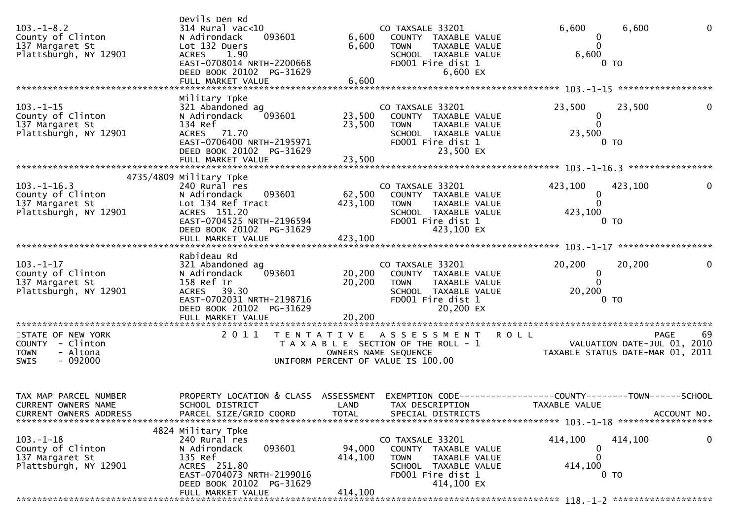| $103. -1 - 8.2$<br>County of Clinton<br>137 Margaret St<br>Plattsburgh, NY 12901      | Devils Den Rd<br>$314$ Rural vac<10<br>093601<br>N Adirondack<br>Lot 132 Duers<br>1.90<br><b>ACRES</b><br>EAST-0708014 NRTH-2200668<br>DEED BOOK 20102 PG-31629<br>FULL MARKET VALUE | 6,600<br>6,600<br>6,600      | CO TAXSALE 33201<br>COUNTY TAXABLE VALUE<br><b>TOWN</b><br>TAXABLE VALUE<br>SCHOOL TAXABLE VALUE<br>FD001 Fire dist 1<br>6,600 EX   | 6,600<br>0<br>$\Omega$<br>6,600<br>0 TO                          | $\mathbf 0$<br>6,600                             |
|---------------------------------------------------------------------------------------|--------------------------------------------------------------------------------------------------------------------------------------------------------------------------------------|------------------------------|-------------------------------------------------------------------------------------------------------------------------------------|------------------------------------------------------------------|--------------------------------------------------|
|                                                                                       | Military Tpke                                                                                                                                                                        |                              |                                                                                                                                     |                                                                  |                                                  |
| $103. - 1 - 15$<br>County of Clinton<br>137 Margaret St<br>Plattsburgh, NY 12901      | 321 Abandoned ag<br>N Adirondack<br>093601<br>134 Ref<br>ACRES 71.70<br>EAST-0706400 NRTH-2195971<br>DEED BOOK 20102 PG-31629                                                        | 23,500<br>23,500             | CO TAXSALE 33201<br>COUNTY TAXABLE VALUE<br><b>TOWN</b><br>TAXABLE VALUE<br>SCHOOL TAXABLE VALUE<br>FD001 Fire dist 1<br>23,500 EX  | 23,500<br>$\bf{0}$<br>$\Omega$<br>23,500<br>0 <sub>T</sub>       | 23,500<br>0                                      |
|                                                                                       |                                                                                                                                                                                      |                              |                                                                                                                                     |                                                                  |                                                  |
| $103.-1-16.3$<br>County of Clinton<br>137 Margaret St<br>Plattsburgh, NY 12901        | 4735/4809 Military Tpke<br>240 Rural res<br>N Adirondack<br>093601<br>Lot 134 Ref Tract<br>ACRES 151.20<br>EAST-0704525 NRTH-2196594<br>DEED BOOK 20102 PG-31629                     | 62,500<br>423,100            | CO TAXSALE 33201<br>COUNTY TAXABLE VALUE<br>TAXABLE VALUE<br><b>TOWN</b><br>SCHOOL TAXABLE VALUE<br>FD001 Fire dist 1<br>423,100 EX | 423,100<br>423,100<br>0<br>$\Omega$<br>423,100<br>0 TO           | 0                                                |
|                                                                                       |                                                                                                                                                                                      |                              |                                                                                                                                     |                                                                  |                                                  |
| $103. - 1 - 17$<br>County of Clinton<br>137 Margaret St<br>Plattsburgh, NY 12901      | Rabideau Rd<br>321 Abandoned ag<br>093601<br>N Adirondack<br>158 Ref Tr<br>ACRES 39.30<br>EAST-0702031 NRTH-2198716<br>DEED BOOK 20102 PG-31629<br>FULL MARKET VALUE                 | 20,200<br>20,200<br>20,200   | CO TAXSALE 33201<br>COUNTY TAXABLE VALUE<br>TAXABLE VALUE<br><b>TOWN</b><br>SCHOOL TAXABLE VALUE<br>FD001 Fire dist 1<br>20,200 EX  | 20,200<br>$\bf{0}$<br>$\Omega$<br>20,200<br>0 TO                 | 0<br>20,200                                      |
|                                                                                       |                                                                                                                                                                                      |                              |                                                                                                                                     |                                                                  |                                                  |
| STATE OF NEW YORK<br>COUNTY - Clinton<br>- Altona<br><b>TOWN</b><br>$-092000$<br>SWIS | 2011                                                                                                                                                                                 | T E N T A T I V E            | ASSESSMENT<br>T A X A B L E SECTION OF THE ROLL - 1<br>OWNERS NAME SEQUENCE<br>UNIFORM PERCENT OF VALUE IS 100.00                   | <b>ROLL</b><br>TAXABLE STATUS DATE-MAR 01, 2011                  | 69<br><b>PAGE</b><br>VALUATION DATE-JUL 01, 2010 |
| TAX MAP PARCEL NUMBER<br>CURRENT OWNERS NAME<br>CURRENT OWNERS ADDRESS                | PROPERTY LOCATION & CLASS ASSESSMENT EXEMPTION CODE----------------COUNTY-------TOWN------SCHOOL<br>SCHOOL DISTRICT<br>PARCEL SIZE/GRID COORD                                        | <b>TOTAL</b>                 | LAND TAX DESCRIPTION<br>SPECIAL DISTRICTS                                                                                           | TAXABLE VALUE                                                    | ACCOUNT NO.                                      |
| $103. - 1 - 18$<br>County of Clinton<br>137 Margaret St<br>Plattsburgh, NY 12901      | 4824 Military Tpke<br>240 Rural res<br>093601<br>N Adirondack<br>135 Ref<br>ACRES 251.80<br>EAST-0704073 NRTH-2199016<br>DEED BOOK 20102 PG-31629<br>FULL MARKET VALUE               | 94,000<br>414,100<br>414,100 | CO TAXSALE 33201<br>COUNTY TAXABLE VALUE<br>TOWN<br>TAXABLE VALUE<br>SCHOOL TAXABLE VALUE<br>FD001 Fire dist 1<br>414,100 EX        | 414,100<br>414,100<br>0<br>$\Omega$<br>414,100<br>0 <sub>T</sub> | 0                                                |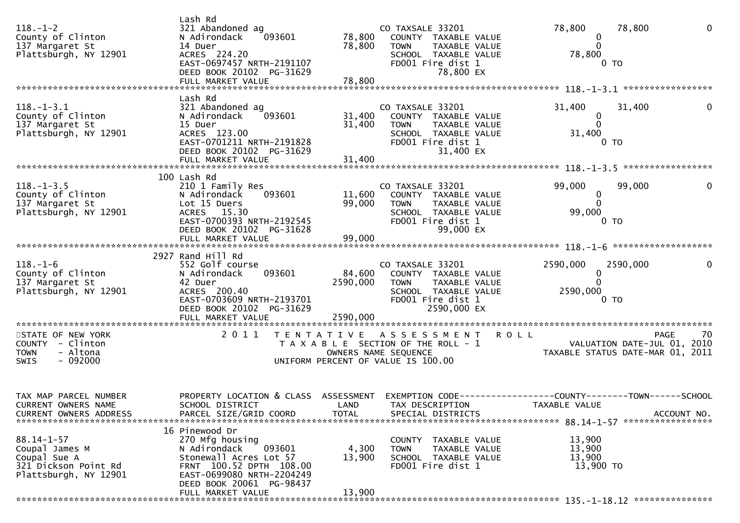| $118. - 1 - 2$<br>County of Clinton<br>137 Margaret St<br>Plattsburgh, NY 12901                     | Lash Rd<br>321 Abandoned ag<br>093601<br>N Adirondack<br>14 Duer<br>ACRES 224.20<br>EAST-0697457 NRTH-2191107<br>DEED BOOK 20102 PG-31629                                                      | 78,800<br>78,800                       | CO TAXSALE 33201<br>COUNTY TAXABLE VALUE<br>TAXABLE VALUE<br><b>TOWN</b><br>SCHOOL TAXABLE VALUE<br>FD001 Fire dist 1<br>78,800 EX   | 78,800<br>78,800<br>$\Omega$<br>$\mathbf 0$<br>$\Omega$<br>78,800<br>0 <sub>T</sub>          |
|-----------------------------------------------------------------------------------------------------|------------------------------------------------------------------------------------------------------------------------------------------------------------------------------------------------|----------------------------------------|--------------------------------------------------------------------------------------------------------------------------------------|----------------------------------------------------------------------------------------------|
| $118. - 1 - 3.1$<br>County of Clinton<br>137 Margaret St<br>Plattsburgh, NY 12901                   | Lash Rd<br>321 Abandoned ag<br>093601<br>N Adirondack<br>15 Duer<br>ACRES 123.00<br>EAST-0701211 NRTH-2191828<br>DEED BOOK 20102 PG-31629                                                      | 31,400<br>31,400                       | CO TAXSALE 33201<br>COUNTY TAXABLE VALUE<br>TAXABLE VALUE<br><b>TOWN</b><br>SCHOOL TAXABLE VALUE<br>FD001 Fire dist 1<br>31,400 EX   | 31,400<br>31,400<br>$\mathbf{0}$<br>$\mathbf 0$<br>$\mathbf 0$<br>31,400<br>0 TO             |
| $118. - 1 - 3.5$<br>County of Clinton<br>137 Margaret St<br>Plattsburgh, NY 12901                   | 100 Lash Rd<br>210 1 Family Res<br>N Adirondack<br>093601<br>Lot 15 Duers<br>ACRES 15.30<br>EAST-0700393 NRTH-2192545<br>DEED BOOK 20102 PG-31628<br>FULL MARKET VALUE                         | 11,600<br>99,000<br>99,000             | CO TAXSALE 33201<br>COUNTY TAXABLE VALUE<br><b>TOWN</b><br>TAXABLE VALUE<br>SCHOOL TAXABLE VALUE<br>FD001 Fire dist 1<br>99,000 EX   | 99,000<br>99,000<br>$\Omega$<br>0<br>$\Omega$<br>99,000<br>0 <sub>T</sub>                    |
| $118. - 1 - 6$<br>County of Clinton<br>137 Margaret St<br>Plattsburgh, NY 12901                     | 2927 Rand Hill Rd<br>552 Golf course<br>093601<br>N Adirondack<br>42 Duer<br>ACRES 200.40<br>EAST-0703609 NRTH-2193701<br>DEED BOOK 20102 PG-31629<br>FULL MARKET VALUE                        | 84,600<br>2590,000<br>2590,000         | CO TAXSALE 33201<br>COUNTY TAXABLE VALUE<br>TAXABLE VALUE<br><b>TOWN</b><br>SCHOOL TAXABLE VALUE<br>FD001 Fire dist 1<br>2590,000 EX | 2590,000<br>$\mathbf{0}$<br>2590,000<br>$\Omega$<br>2590,000<br>0 TO                         |
| STATE OF NEW YORK<br>COUNTY - Clinton<br>- Altona<br><b>TOWN</b><br>$-092000$<br><b>SWIS</b>        | 2011                                                                                                                                                                                           | T E N T A T I V E                      | A S S E S S M E N T<br>T A X A B L E SECTION OF THE ROLL - 1<br>OWNERS NAME SEQUENCE<br>UNIFORM PERCENT OF VALUE IS 100.00           | 70<br><b>ROLL</b><br>PAGE<br>VALUATION DATE-JUL 01, 2010<br>TAXABLE STATUS DATE-MAR 01, 2011 |
| TAX MAP PARCEL NUMBER<br>CURRENT OWNERS NAME<br>CURRENT OWNERS ADDRESS                              | PROPERTY LOCATION & CLASS ASSESSMENT<br>SCHOOL DISTRICT<br>PARCEL SIZE/GRID COORD                                                                                                              | <b>Example 12</b> LAND<br><b>TOTAL</b> | TAX DESCRIPTION<br>SPECIAL DISTRICTS                                                                                                 | TAXABLE VALUE<br>ACCOUNT NO.                                                                 |
| $88.14 - 1 - 57$<br>Coupal James M<br>Coupal Sue A<br>321 Dickson Point Rd<br>Plattsburgh, NY 12901 | 16 Pinewood Dr<br>270 Mfg housing<br>093601<br>N Adirondack<br>Stonewall Acres Lot 57<br>FRNT 100.52 DPTH 108.00<br>EAST-0699080 NRTH-2204249<br>DEED BOOK 20061 PG-98437<br>FULL MARKET VALUE | 4,300<br>13,900<br>13,900              | COUNTY TAXABLE VALUE<br><b>TOWN</b><br>TAXABLE VALUE<br>SCHOOL TAXABLE VALUE<br>FD001 Fire dist 1                                    | 13,900<br>13,900<br>13,900<br>13,900 TO                                                      |
|                                                                                                     |                                                                                                                                                                                                |                                        |                                                                                                                                      |                                                                                              |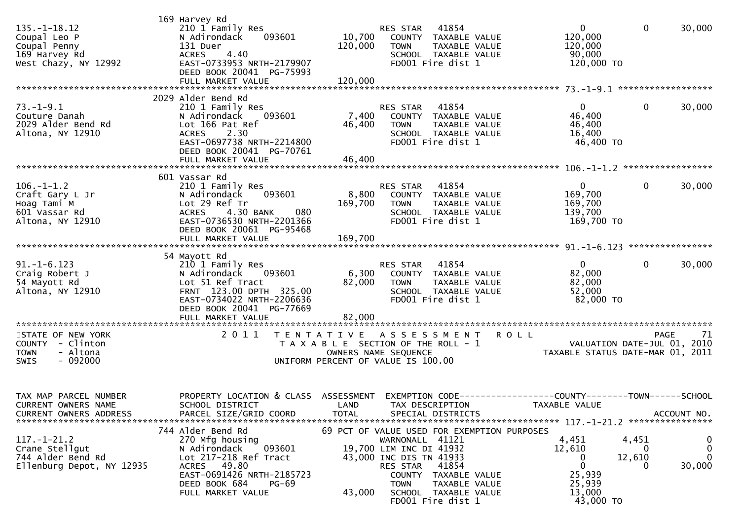| $135. - 1 - 18.12$<br>Coupal Leo P<br>Coupal Penny<br>169 Harvey Rd<br>West Chazy, NY 12992                                                                        | 169 Harvey Rd<br>210 1 Family Res<br>093601<br>N Adirondack<br>131 Duer<br>4.40<br><b>ACRES</b><br>EAST-0733953 NRTH-2179907<br>DEED BOOK 20041 PG-75993                                                                                                                                                                              | 10,700<br>120,000                                                                                | RES STAR<br><b>TOWN</b>                                                                          | 41854<br>COUNTY TAXABLE VALUE<br>TAXABLE VALUE<br>SCHOOL TAXABLE VALUE<br>FD001 Fire dist 1                                                                     | $\overline{0}$<br>120,000<br>120,000<br>90,000<br>120,000 TO                                    | $\mathbf{0}$              | 30,000                                                            |
|--------------------------------------------------------------------------------------------------------------------------------------------------------------------|---------------------------------------------------------------------------------------------------------------------------------------------------------------------------------------------------------------------------------------------------------------------------------------------------------------------------------------|--------------------------------------------------------------------------------------------------|--------------------------------------------------------------------------------------------------|-----------------------------------------------------------------------------------------------------------------------------------------------------------------|-------------------------------------------------------------------------------------------------|---------------------------|-------------------------------------------------------------------|
| $73. - 1 - 9.1$<br>Couture Danah<br>2029 Alder Bend Rd<br>Altona, NY 12910                                                                                         | 2029 Alder Bend Rd<br>210 1 Family Res<br>N Adirondack<br>093601<br>Lot 166 Pat Ref<br><b>ACRES</b><br>2.30<br>EAST-0697738 NRTH-2214800<br>DEED BOOK 20041 PG-70761                                                                                                                                                                  | 7,400<br>46,400                                                                                  | RES STAR<br><b>TOWN</b>                                                                          | 41854<br>COUNTY TAXABLE VALUE<br>TAXABLE VALUE<br>SCHOOL TAXABLE VALUE<br>FD001 Fire dist 1                                                                     | $\mathbf{0}$<br>46,400<br>46,400<br>16,400<br>46,400 TO                                         | 0                         | 30,000                                                            |
| $106. - 1 - 1.2$<br>Craft Gary L Jr<br>Hoag Tami M<br>601 Vassar Rd<br>Altona, NY 12910                                                                            | 601 Vassar Rd<br>210 1 Family Res<br>N Adirondack<br>093601<br>Lot 29 Ref Tr<br>4.30 BANK<br><b>ACRES</b><br>080<br>EAST-0736530 NRTH-2201366<br>DEED BOOK 20061 PG-95468                                                                                                                                                             | 8,800<br>169,700                                                                                 | RES STAR<br><b>TOWN</b>                                                                          | 41854<br>COUNTY TAXABLE VALUE<br>TAXABLE VALUE<br>SCHOOL TAXABLE VALUE<br>FD001 Fire dist 1                                                                     | $\overline{0}$<br>169,700<br>169,700<br>139,700<br>169,700 TO                                   | $\mathbf{0}$              | 30,000                                                            |
| $91. -1 - 6.123$<br>Craig Robert J<br>54 Mayott Rd<br>Altona, NY 12910                                                                                             | 54 Mayott Rd<br>210 1 Family Res<br>093601<br>N Adirondack<br>Lot 51 Ref Tract<br>FRNT 123.00 DPTH 325.00<br>EAST-0734022 NRTH-2206636<br>DEED BOOK 20041 PG-77669<br>FULL MARKET VALUE                                                                                                                                               | 6,300<br>82,000<br>82,000                                                                        | RES STAR<br>TOWN                                                                                 | 41854<br>COUNTY TAXABLE VALUE<br>TAXABLE VALUE<br>SCHOOL TAXABLE VALUE<br>FD001 Fire dist 1                                                                     | $\overline{0}$<br>82,000<br>82,000<br>52,000<br>82,000 TO                                       | $\mathbf{0}$              | 30,000                                                            |
| STATE OF NEW YORK<br>COUNTY - Clinton<br>- Altona<br><b>TOWN</b><br>$-092000$<br><b>SWIS</b>                                                                       | 2011                                                                                                                                                                                                                                                                                                                                  | T E N T A T I V E<br>T A X A B L E SECTION OF THE ROLL - 1<br>UNIFORM PERCENT OF VALUE IS 100.00 | OWNERS NAME SEQUENCE                                                                             | A S S E S S M E N T                                                                                                                                             | <b>ROLL</b><br>VALUATION DATE SUL 01, 2011                                                      |                           | 71<br><b>PAGE</b><br>VALUATION DATE-JUL 01, 2010                  |
| TAX MAP PARCEL NUMBER<br>CURRENT OWNERS NAME<br><b>CURRENT OWNERS ADDRESS</b><br>$117.-1-21.2$<br>Crane Stellgut<br>744 Alder Bend Rd<br>Ellenburg Depot, NY 12935 | PROPERTY LOCATION & CLASS ASSESSMENT EXEMPTION CODE----------------COUNTY-------TOWN------SCHOOL<br>SCHOOL DISTRICT<br>PARCEL SIZE/GRID COORD<br>744 Alder Bend Rd<br>270 Mfg housing<br>093601<br>N Adirondack<br>Lot 217-218 Ref Tract<br>ACRES 49.80<br>EAST-0691426 NRTH-2185723<br>DEED BOOK 684<br>$PG-69$<br>FULL MARKET VALUE | LAND TAX DESCRIPTION<br><b>TOTAL</b><br>43,000                                                   | WARNONALL 41121<br>19,700 LIM INC DI 41932<br>43,000 INC DIS TN 41933<br>RES STAR<br><b>TOWN</b> | SPECIAL DISTRICTS<br>69 PCT OF VALUE USED FOR EXEMPTION PURPOSES<br>41854<br>COUNTY TAXABLE VALUE<br>TAXABLE VALUE<br>SCHOOL TAXABLE VALUE<br>FD001 Fire dist 1 | TAXABLE VALUE<br>4,451<br>12,610<br>0<br>$\mathbf 0$<br>25,939<br>25,939<br>13,000<br>43,000 TO | 4,451<br>0<br>12,610<br>O | ACCOUNT NO.<br>$\bf{0}$<br>$\mathbf{0}$<br>$\mathbf{0}$<br>30,000 |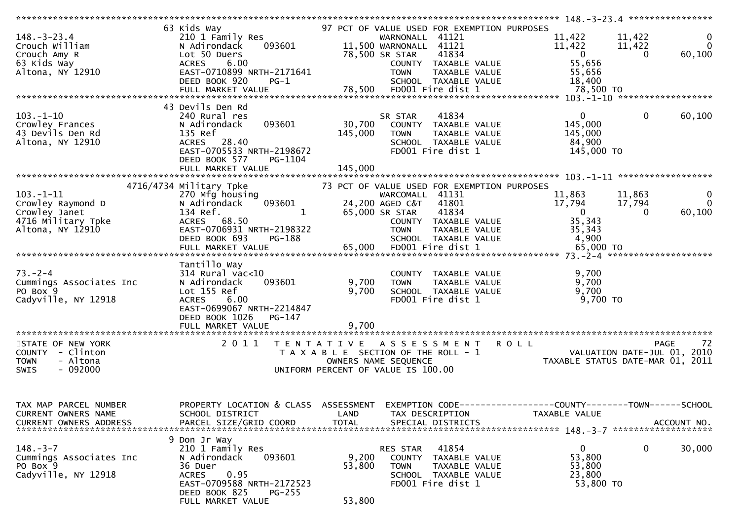|                                 | 63 Kids Way                          |                   | 97 PCT OF VALUE USED FOR EXEMPTION PURPOSES |                                                              |                                  |
|---------------------------------|--------------------------------------|-------------------|---------------------------------------------|--------------------------------------------------------------|----------------------------------|
| $148. - 3 - 23.4$               | 210 1 Family Res                     |                   | WARNONALL 41121                             | 11,422                                                       | 11,422<br>$\mathbf{0}$           |
| Crouch William                  | 093601<br>N Adirondack               |                   | 11,500 WARNONALL 41121                      | 11,422                                                       | $\overline{0}$<br>11,422         |
|                                 |                                      |                   | 41834                                       | $\mathbf{0}$                                                 | $\Omega$                         |
| Crouch Amy R                    | Lot 50 Duers                         |                   | 78,500 SR STAR                              |                                                              | 60,100                           |
| 63 Kids Way                     | <b>ACRES</b><br>6.00                 |                   | COUNTY TAXABLE VALUE                        | 55,656                                                       |                                  |
| Altona, NY 12910                | EAST-0710899 NRTH-2171641            |                   | <b>TOWN</b><br>TAXABLE VALUE                | 55,656                                                       |                                  |
|                                 | DEED BOOK 920<br>$PG-1$              |                   | SCHOOL TAXABLE VALUE                        | 18,400                                                       |                                  |
|                                 | FULL MARKET VALUE                    | 78,500            | FD001 Fire dist 1                           | 78,500 TO                                                    |                                  |
|                                 |                                      |                   |                                             |                                                              |                                  |
|                                 | 43 Devils Den Rd                     |                   |                                             |                                                              |                                  |
|                                 |                                      |                   |                                             | $\overline{0}$                                               |                                  |
| $103.-1-10$                     | 240 Rural res                        |                   | 41834<br>SR STAR                            |                                                              | $\mathbf 0$<br>60,100            |
| Crowley Frances                 | 093601<br>N Adirondack               | 30,700            | COUNTY TAXABLE VALUE                        | 145,000                                                      |                                  |
| 43 Devils Den Rd                | 135 Ref                              | 145,000           | TAXABLE VALUE<br><b>TOWN</b>                | 145,000                                                      |                                  |
| Altona, NY 12910                | ACRES 28.40                          |                   | SCHOOL TAXABLE VALUE                        | 84,900                                                       |                                  |
|                                 | EAST-0705533 NRTH-2198672            |                   | FD001 Fire dist 1                           | 145,000 TO                                                   |                                  |
|                                 | DEED BOOK 577<br>PG-1104             |                   |                                             |                                                              |                                  |
|                                 |                                      |                   |                                             |                                                              |                                  |
| *************************       | FULL MARKET VALUE                    | 145,000           |                                             |                                                              |                                  |
|                                 |                                      |                   |                                             |                                                              |                                  |
|                                 | 4716/4734 Military Tpke              |                   | 73 PCT OF VALUE USED FOR EXEMPTION PURPOSES |                                                              |                                  |
| $103. - 1 - 11$                 | 270 Mfg housing                      |                   | WARCOMALL 41131                             | 11,863                                                       | 11,863<br>$\mathbf{0}$           |
| Crowley Raymond D               | 093601<br>N Adirondack               |                   | 24,200 AGED C&T<br>41801                    | 17,794                                                       | $\Omega$<br>17,794               |
| Crowley Janet                   | 134 Ref.<br>1                        |                   | 41834<br>65,000 SR STAR                     | $\overline{0}$                                               | 60,100<br>$\Omega$               |
| 4716 Military Tpke              | ACRES 68.50                          |                   | COUNTY TAXABLE VALUE                        | 35,343                                                       |                                  |
|                                 |                                      |                   |                                             |                                                              |                                  |
| Altona, NY 12910                | EAST-0706931 NRTH-2198322            |                   | TAXABLE VALUE<br><b>TOWN</b>                | 35,343                                                       |                                  |
|                                 | DEED BOOK 693<br>PG-188              |                   | SCHOOL TAXABLE VALUE                        | 4,900                                                        |                                  |
|                                 | FULL MARKET VALUE                    | 65,000            | FD001 Fire dist 1                           | 65,000 TO                                                    |                                  |
|                                 |                                      |                   |                                             |                                                              |                                  |
|                                 | Tantillo Way                         |                   |                                             |                                                              |                                  |
| $73. - 2 - 4$                   | $314$ Rural vac<10                   |                   | COUNTY TAXABLE VALUE                        | 9,700                                                        |                                  |
| Cummings Associates Inc         | N Adirondack<br>093601               | 9,700             | <b>TOWN</b><br>TAXABLE VALUE                | 9,700                                                        |                                  |
| PO Box 9                        | Lot 155 Ref                          | 9,700             | SCHOOL TAXABLE VALUE                        | 9,700                                                        |                                  |
|                                 |                                      |                   |                                             |                                                              |                                  |
| Cadyville, NY 12918             | 6.00<br><b>ACRES</b>                 |                   | FD001 Fire dist 1                           | 9,700 TO                                                     |                                  |
|                                 | EAST-0699067 NRTH-2214847            |                   |                                             |                                                              |                                  |
|                                 | DEED BOOK 1026<br>PG-147             |                   |                                             |                                                              |                                  |
|                                 |                                      | 9,700             |                                             |                                                              |                                  |
| ******************************* |                                      |                   |                                             |                                                              |                                  |
| STATE OF NEW YORK               | 2011                                 | T E N T A T I V E | A S S E S S M E N T                         | <b>ROLL</b>                                                  | PAGE<br>72                       |
| COUNTY - Clinton                |                                      |                   | T A X A B L E SECTION OF THE ROLL - 1       | VALUATION DATE-JUL 01,                                       | 2010                             |
| - Altona<br><b>TOWN</b>         |                                      |                   | OWNERS NAME SEQUENCE                        |                                                              | TAXABLE STATUS DATE-MAR 01, 2011 |
|                                 |                                      |                   |                                             |                                                              |                                  |
| - 092000<br><b>SWIS</b>         |                                      |                   | UNIFORM PERCENT OF VALUE IS 100.00          |                                                              |                                  |
|                                 |                                      |                   |                                             |                                                              |                                  |
|                                 |                                      |                   |                                             |                                                              |                                  |
|                                 |                                      |                   |                                             |                                                              |                                  |
| TAX MAP PARCEL NUMBER           | PROPERTY LOCATION & CLASS ASSESSMENT |                   |                                             | EXEMPTION CODE-----------------COUNTY-------TOWN------SCHOOL |                                  |
| CURRENT OWNERS NAME             | SCHOOL DISTRICT                      | LAND              | TAX DESCRIPTION                             | TAXABLE VALUE                                                |                                  |
| <b>CURRENT OWNERS ADDRESS</b>   | PARCEL SIZE/GRID COORD               | <b>TOTAL</b>      | SPECIAL DISTRICTS                           |                                                              | ACCOUNT NO.                      |
|                                 |                                      |                   |                                             |                                                              |                                  |
|                                 |                                      |                   |                                             |                                                              |                                  |
|                                 | 9 Don Jr Way                         |                   |                                             |                                                              |                                  |
| $148.-3-7$                      | 210 1 Family Res                     |                   | 41854<br>RES STAR                           | $\mathbf{0}$                                                 | 0<br>30,000                      |
| Cummings Associates Inc         | N Adirondack<br>093601               | 9,200             | <b>COUNTY</b><br>TAXABLE VALUE              | 53,800                                                       |                                  |
| PO Box 9                        | 36 Duer                              | 53,800            | <b>TOWN</b><br>TAXABLE VALUE                | 53,800                                                       |                                  |
| Cadyville, NY 12918             | 0.95<br><b>ACRES</b>                 |                   | SCHOOL TAXABLE VALUE                        | 23,800                                                       |                                  |
|                                 | EAST-0709588 NRTH-2172523            |                   | FD001 Fire dist 1                           | 53,800 TO                                                    |                                  |
|                                 |                                      |                   |                                             |                                                              |                                  |
|                                 | DEED BOOK 825<br>$PG-255$            |                   |                                             |                                                              |                                  |
|                                 | FULL MARKET VALUE                    | 53,800            |                                             |                                                              |                                  |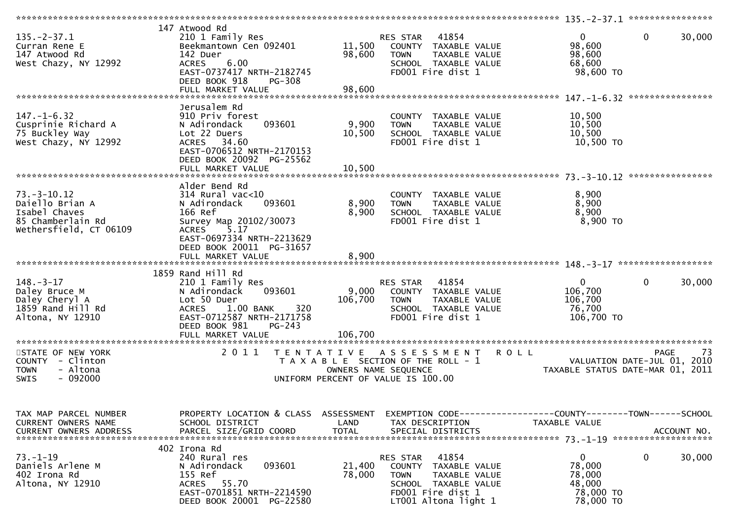| $135. -2 - 37.1$<br>Curran Rene E<br>147 Atwood Rd<br>West Chazy, NY 12992                           | 147 Atwood Rd<br>210 1 Family Res<br>Beekmantown Cen 092401<br>142 Duer<br><b>ACRES</b><br>6.00<br>EAST-0737417 NRTH-2182745<br>DEED BOOK 918<br><b>PG-308</b><br>FULL MARKET VALUE               | 11,500<br>98,600<br>98,600  | 41854<br>RES STAR<br>COUNTY TAXABLE VALUE<br>TAXABLE VALUE<br><b>TOWN</b><br>SCHOOL TAXABLE VALUE<br>FD001 Fire dist 1                         | $\mathbf 0$<br>$\mathbf{0}$<br>30,000<br>98,600<br>98,600<br>68,600<br>98,600 TO                     |
|------------------------------------------------------------------------------------------------------|---------------------------------------------------------------------------------------------------------------------------------------------------------------------------------------------------|-----------------------------|------------------------------------------------------------------------------------------------------------------------------------------------|------------------------------------------------------------------------------------------------------|
| $147. - 1 - 6.32$<br>Cusprinie Richard A<br>75 Buckley Way<br>West Chazy, NY 12992                   | Jerusalem Rd<br>910 Priv forest<br>093601<br>N Adirondack<br>Lot 22 Duers<br>ACRES 34.60<br>EAST-0706512 NRTH-2170153<br>DEED BOOK 20092 PG-25562<br>FULL MARKET VALUE                            | 9,900<br>10,500<br>10,500   | COUNTY TAXABLE VALUE<br>TAXABLE VALUE<br><b>TOWN</b><br>SCHOOL TAXABLE VALUE<br>FD001 Fire dist 1                                              | 10,500<br>10,500<br>10,500<br>10,500 TO<br>****************                                          |
| $73. - 3 - 10.12$<br>Daiello Brian A<br>Isabel Chaves<br>85 Chamberlain Rd<br>Wethersfield, CT 06109 | Alder Bend Rd<br>314 Rural vac<10<br>093601<br>N Adirondack<br>166 Ref<br>Survey Map 20102/30073<br>ACRES 5.17<br>EAST-0697334 NRTH-2213629<br>DEED BOOK 20011 PG-31657<br>FULL MARKET VALUE      | 8,900<br>8,900<br>8,900     | COUNTY TAXABLE VALUE<br><b>TOWN</b><br>TAXABLE VALUE<br>SCHOOL TAXABLE VALUE<br>FD001 Fire dist 1                                              | 8,900<br>8,900<br>8,900<br>8,900 TO                                                                  |
| $148. - 3 - 17$<br>Daley Bruce M<br>Daley Cheryl A<br>1859 Rand Hill Rd<br>Altona, NY 12910          | 1859 Rand Hill Rd<br>210 1 Family Res<br>093601<br>N Adirondack<br>Lot 50 Duer<br>320<br>1.00 BANK<br><b>ACRES</b><br>EAST-0712587 NRTH-2171758<br>DEED BOOK 981<br>$PG-243$<br>FULL MARKET VALUE | 9,000<br>106,700<br>106,700 | RES STAR 41854<br>COUNTY TAXABLE VALUE<br><b>TOWN</b><br>TAXABLE VALUE<br>SCHOOL TAXABLE VALUE<br>FD001 Fire dist 1                            | $\mathbf{0}$<br>$\Omega$<br>30,000<br>106,700<br>106,700<br>76,700<br>106,700 TO                     |
| STATE OF NEW YORK<br>COUNTY - Clinton<br><b>TOWN</b><br>- Altona<br>$-092000$<br>SWIS                | 2011<br>T E N T A T I V E                                                                                                                                                                         |                             | A S S E S S M E N T<br>T A X A B L E SECTION OF THE ROLL - 1<br>OWNERS NAME SEQUENCE<br>UNIFORM PERCENT OF VALUE IS 100.00                     | 73<br><b>ROLL</b><br>PAGE<br>VALUATION DATE-JUL 01, 2010<br>TAXABLE STATUS DATE-MAR 01, 2011         |
| TAX MAP PARCEL NUMBER<br>CURRENT OWNERS NAME<br><b>CURRENT OWNERS ADDRESS</b>                        | PROPERTY LOCATION & CLASS ASSESSMENT<br>SCHOOL DISTRICT<br>PARCEL SIZE/GRID COORD                                                                                                                 | LAND<br><b>TOTAL</b>        | TAX DESCRIPTION<br>SPECIAL DISTRICTS                                                                                                           | EXEMPTION CODE-----------------COUNTY--------TOWN------SCHOOL<br><b>TAXABLE VALUE</b><br>ACCOUNT NO. |
| $73. - 1 - 19$<br>Daniels Arlene M<br>402 Irona Rd<br>Altona, NY 12910                               | 402 Irona Rd<br>240 Rural res<br>093601<br>N Adirondack<br>155 Ref<br>ACRES 55.70<br>EAST-0701851 NRTH-2214590<br>DEED BOOK 20001 PG-22580                                                        | 21,400<br>78,000            | 41854<br>RES STAR<br>COUNTY TAXABLE VALUE<br><b>TOWN</b><br>TAXABLE VALUE<br>SCHOOL TAXABLE VALUE<br>FD001 Fire dist 1<br>LT001 Altona light 1 | $\mathbf 0$<br>0<br>30,000<br>78,000<br>78,000<br>48,000<br>78,000 TO<br>78,000 TO                   |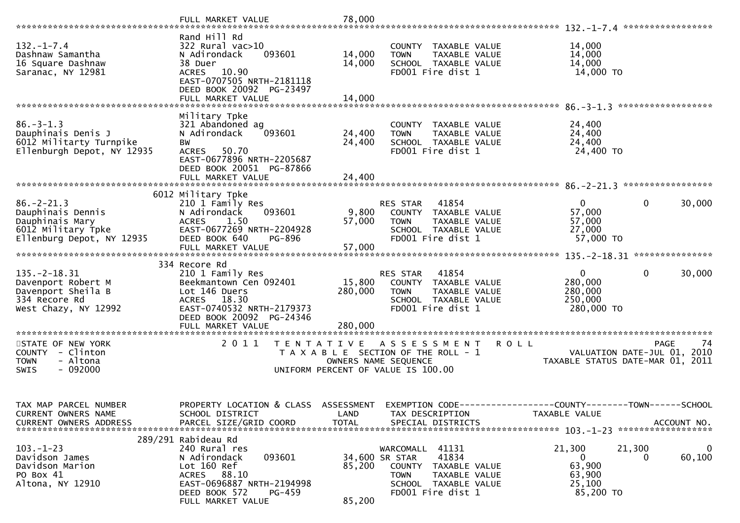| $132. - 1 - 7.4$<br>Dashnaw Samantha<br>16 Square Dashnaw<br>Saranac, NY 12981                              | Rand Hill Rd<br>322 Rural vac>10<br>093601<br>N Adirondack<br>38 Duer<br>ACRES 10.90<br>EAST-0707505 NRTH-2181118<br>DEED BOOK 20092 PG-23497<br>FULL MARKET VALUE           | 14,000<br>14,000<br>14,000 | COUNTY TAXABLE VALUE<br><b>TOWN</b><br>TAXABLE VALUE<br>SCHOOL TAXABLE VALUE<br>FD001 Fire dist 1                                                         | 14,000<br>14,000<br>14,000<br>14,000 TO                                         |                                                                                      |
|-------------------------------------------------------------------------------------------------------------|------------------------------------------------------------------------------------------------------------------------------------------------------------------------------|----------------------------|-----------------------------------------------------------------------------------------------------------------------------------------------------------|---------------------------------------------------------------------------------|--------------------------------------------------------------------------------------|
| $86. - 3 - 1.3$<br>Dauphinais Denis J<br>6012 Militarty Turnpike<br>Ellenburgh Depot, NY 12935              | Military Tpke<br>321 Abandoned ag<br>N Adirondack<br>093601<br>ВW<br>ACRES 50.70<br>EAST-0677896 NRTH-2205687<br>DEED BOOK 20051 PG-87866<br>FULL MARKET VALUE               | 24,400<br>24,400<br>24,400 | COUNTY TAXABLE VALUE<br>TAXABLE VALUE<br><b>TOWN</b><br>SCHOOL TAXABLE VALUE<br>FD001 Fire dist 1                                                         | 24,400<br>24,400<br>24,400<br>24,400 TO                                         |                                                                                      |
| $86. - 2 - 21.3$<br>Dauphinais Dennis<br>Dauphinais Mary<br>6012 Military Tpke<br>Ellenburg Depot, NY 12935 | 6012 Military Tpke<br>210 1 Family Res<br>N Adirondack<br>093601<br>1.50<br><b>ACRES</b><br>EAST-0677269 NRTH-2204928<br>DEED BOOK 640<br>PG-896<br>FULL MARKET VALUE        | 9,800<br>57,000<br>57,000  | 41854<br><b>RES STAR</b><br>COUNTY TAXABLE VALUE<br>TAXABLE VALUE<br><b>TOWN</b><br>SCHOOL TAXABLE VALUE<br>FD001 Fire dist 1                             | $\overline{0}$<br>57,000<br>57,000<br>27,000<br>57,000 TO                       | $\mathbf 0$<br>30,000                                                                |
| $135. -2 - 18.31$<br>Davenport Robert M<br>Davenport Sheila B<br>334 Recore Rd<br>West Chazy, NY 12992      | 334 Recore Rd<br>210 1 Family Res<br>Beekmantown Cen 092401<br>Lot 146 Duers<br>ACRES 18.30<br>EAST-0740532 NRTH-2179373<br>DEED BOOK 20092 PG-24346                         | 15,800<br>280,000          | 41854<br>RES STAR<br>COUNTY TAXABLE VALUE<br>TAXABLE VALUE<br><b>TOWN</b><br>SCHOOL TAXABLE VALUE<br>FD001 Fire dist 1                                    | $\mathbf{0}$<br>280,000<br>280,000<br>250,000<br>280,000 TO                     | $\mathbf{0}$<br>30,000                                                               |
| STATE OF NEW YORK<br>COUNTY - Clinton<br>- Altona<br><b>TOWN</b><br>$-092000$<br><b>SWIS</b>                | 2011                                                                                                                                                                         |                            | TENTATIVE ASSESSMENT<br>T A X A B L E SECTION OF THE ROLL - 1<br>OWNERS NAME SEQUENCE<br>UNIFORM PERCENT OF VALUE IS 100.00                               | <b>ROLL</b>                                                                     | <b>PAGE</b><br>74<br>VALUATION DATE-JUL 01, 2010<br>TAXABLE STATUS DATE-MAR 01, 2011 |
| TAX MAP PARCEL NUMBER<br>CURRENT OWNERS NAME<br><b>CURRENT OWNERS ADDRESS</b>                               | PROPERTY LOCATION & CLASS ASSESSMENT<br>SCHOOL DISTRICT<br>PARCEL SIZE/GRID COORD                                                                                            | LAND<br><b>TOTAL</b>       | TAX DESCRIPTION<br>SPECIAL DISTRICTS                                                                                                                      | EXEMPTION CODE------------------COUNTY--------TOWN------SCHOOL<br>TAXABLE VALUE | ACCOUNT NO.                                                                          |
| $103. - 1 - 23$<br>Davidson James<br>Davidson Marion<br>PO Box 41<br>Altona, NY 12910                       | 289/291 Rabideau Rd<br>240 Rural res<br>093601<br>N Adirondack<br>Lot 160 Ref<br>88.10<br>ACRES<br>EAST-0696887 NRTH-2194998<br>DEED BOOK 572<br>PG-459<br>FULL MARKET VALUE | 85,200<br>85,200           | WARCOMALL 41131<br>41834<br>34,600 SR STAR<br><b>COUNTY</b><br>TAXABLE VALUE<br>TAXABLE VALUE<br><b>TOWN</b><br>SCHOOL TAXABLE VALUE<br>FD001 Fire dist 1 | 21,300<br>$\mathbf{0}$<br>63,900<br>63,900<br>25,100<br>85,200 TO               | 21,300<br>0<br>60,100<br>0                                                           |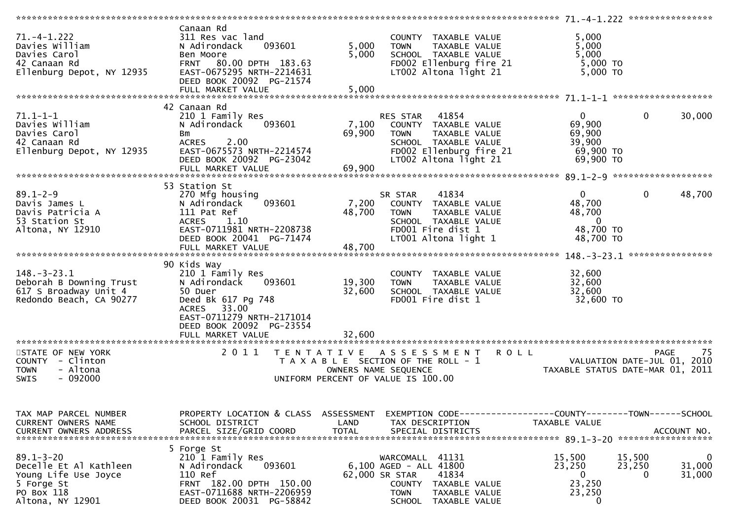| $71. -4 - 1.222$<br>Davies William<br>Davies Carol<br>42 Canaan Rd<br>Ellenburg Depot, NY 12935                   | Canaan Rd<br>311 Res vac land<br>093601<br>N Adirondack<br>Ben Moore<br>FRNT 80.00 DPTH 183.63<br>EAST-0675295 NRTH-2214631<br>DEED BOOK 20092 PG-21574<br>FULL MARKET VALUE | COUNTY TAXABLE VALUE<br>5,000<br><b>TOWN</b><br>TAXABLE VALUE<br>5,000<br>SCHOOL TAXABLE VALUE<br>FD002 Ellenburg fire 21<br>LT002 Altona light 21<br>5,000                     | 5,000<br>5,000<br>5,000<br>5,000 TO<br>$5,000$ TO                                                                     |
|-------------------------------------------------------------------------------------------------------------------|------------------------------------------------------------------------------------------------------------------------------------------------------------------------------|---------------------------------------------------------------------------------------------------------------------------------------------------------------------------------|-----------------------------------------------------------------------------------------------------------------------|
|                                                                                                                   |                                                                                                                                                                              |                                                                                                                                                                                 |                                                                                                                       |
|                                                                                                                   | 42 Canaan Rd                                                                                                                                                                 |                                                                                                                                                                                 |                                                                                                                       |
| $71.1 - 1 - 1$<br>Davies William<br>Davies Carol<br>42 Canaan Rd<br>Ellenburg Depot, NY 12935                     | 210 1 Family Res<br>093601<br>N Adirondack<br>Bm<br>2.00<br><b>ACRES</b><br>EAST-0675573 NRTH-2214574<br>DEED BOOK 20092 PG-23042<br>FULL MARKET VALUE                       | RES STAR 41854<br>7,100<br>COUNTY TAXABLE VALUE<br>69,900<br>TAXABLE VALUE<br><b>TOWN</b><br>SCHOOL TAXABLE VALUE<br>FD002 Ellenburg fire 21<br>LT002 Altona light 21<br>69,900 | $\mathbf 0$<br>$\overline{0}$<br>30,000<br>69,900<br>69,900<br>39,900<br>69,900 TO<br>69,900 TO                       |
|                                                                                                                   |                                                                                                                                                                              |                                                                                                                                                                                 |                                                                                                                       |
| $89.1 - 2 - 9$<br>Davis James L<br>Davis Patricia A<br>53 Station St<br>Altona, NY 12910                          | 53 Station St<br>270 Mfg housing<br>093601<br>N Adirondack<br>111 Pat Ref<br>ACRES 1.10<br>EAST-0711981 NRTH-2208738<br>DEED BOOK 20041 PG-71474                             | 41834<br>SR STAR<br>7,200<br>COUNTY TAXABLE VALUE<br>48,700<br><b>TOWN</b><br>TAXABLE VALUE<br>SCHOOL TAXABLE VALUE<br>FD001 Fire dist 1<br>LT001 Altona light 1                | $\overline{0}$<br>$\mathbf 0$<br>48,700<br>48,700<br>48,700<br>$\overline{0}$<br>48,700 TO<br>48,700 TO               |
|                                                                                                                   |                                                                                                                                                                              |                                                                                                                                                                                 |                                                                                                                       |
| $148. - 3 - 23.1$<br>Deborah B Downing Trust<br>617 S Broadway Unit 4<br>Redondo Beach, CA 90277                  | 90 Kids Way<br>210 1 Family Res<br>N Adirondack<br>093601<br>50 Duer<br>Deed Bk 617 Pg 748<br><b>ACRES</b><br>33.00<br>EAST-0711279 NRTH-2171014<br>DEED BOOK 20092 PG-23554 | COUNTY TAXABLE VALUE<br>19,300<br><b>TOWN</b><br>TAXABLE VALUE<br>32,600<br>SCHOOL TAXABLE VALUE<br>FD001 Fire dist 1                                                           | 32,600<br>32,600<br>32,600<br>32,600 TO                                                                               |
|                                                                                                                   | FULL MARKET VALUE                                                                                                                                                            | 32,600                                                                                                                                                                          |                                                                                                                       |
| STATE OF NEW YORK<br>COUNTY - Clinton<br>- Altona<br><b>TOWN</b><br>$-092000$<br><b>SWIS</b>                      | 2011<br>T E N T A T I V E                                                                                                                                                    | A S S E S S M E N T<br><b>ROLL</b><br>T A X A B L E SECTION OF THE ROLL - 1<br>OWNERS NAME SEQUENCE<br>UNIFORM PERCENT OF VALUE IS 100.00                                       | -75<br><b>PAGE</b><br>VALUATION DATE-JUL 01, 2010<br>TAXABLE STATUS DATE-MAR 01, 2011                                 |
| TAX MAP PARCEL NUMBER<br>CURRENT OWNERS NAME<br><b>CURRENT OWNERS ADDRESS</b>                                     | PROPERTY LOCATION & CLASS ASSESSMENT<br>SCHOOL DISTRICT<br>PARCEL SIZE/GRID COORD                                                                                            | LAND<br>TAX DESCRIPTION<br><b>TOTAL</b><br>SPECIAL DISTRICTS                                                                                                                    | EXEMPTION CODE-----------------COUNTY-------TOWN------SCHOOL<br>TAXABLE VALUE<br>ACCOUNT NO.                          |
| $89.1 - 3 - 20$<br>Decelle Et Al Kathleen<br>Young Life Use Joyce<br>5 Forge St<br>PO Box 118<br>Altona, NY 12901 | 5 Forge St<br>210 1 Family Res<br>093601<br>N Adirondack<br>110 Ref<br>FRNT 182.00 DPTH 150.00<br>EAST-0711688 NRTH-2206959<br>DEED BOOK 20031 PG-58842                      | WARCOMALL 41131<br>$6,100$ AGED - ALL $41800$<br>62,000 SR STAR<br>41834<br>COUNTY<br>TAXABLE VALUE<br><b>TOWN</b><br>TAXABLE VALUE<br>SCHOOL TAXABLE VALUE                     | 15,500<br>15,500<br>0<br>31,000<br>23,250<br>23,250<br>31,000<br>$\mathbf{0}$<br>$\mathbf 0$<br>23,250<br>23,250<br>0 |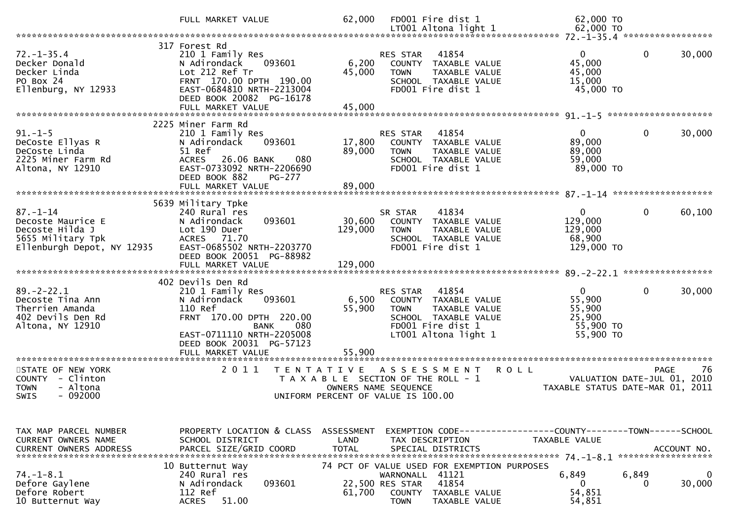|                                                                                                           | FULL MARKET VALUE                                                                                                                                                                      | 62,000                       | FD001 Fire dist 1<br>LT001 Altona light 1                                                                                                                | 62,000 TO<br>62,000 TO                                                               |                                                                                       |
|-----------------------------------------------------------------------------------------------------------|----------------------------------------------------------------------------------------------------------------------------------------------------------------------------------------|------------------------------|----------------------------------------------------------------------------------------------------------------------------------------------------------|--------------------------------------------------------------------------------------|---------------------------------------------------------------------------------------|
|                                                                                                           |                                                                                                                                                                                        |                              |                                                                                                                                                          |                                                                                      |                                                                                       |
| $72. - 1 - 35.4$<br>Decker Donald<br>Decker Linda<br>PO Box 24<br>Ellenburg, NY 12933                     | 317 Forest Rd<br>210 1 Family Res<br>093601<br>N Adirondack<br>Lot 212 Ref Tr<br>FRNT 170.00 DPTH 190.00<br>EAST-0684810 NRTH-2213004<br>DEED BOOK 20082 PG-16178<br>FULL MARKET VALUE | 6,200<br>45,000<br>45,000    | RES STAR<br>41854<br>COUNTY TAXABLE VALUE<br>TAXABLE VALUE<br><b>TOWN</b><br>SCHOOL TAXABLE VALUE<br>FD001 Fire dist 1                                   | $\Omega$<br>45,000<br>45,000<br>15,000<br>45,000 TO                                  | 0<br>30,000                                                                           |
|                                                                                                           |                                                                                                                                                                                        |                              |                                                                                                                                                          |                                                                                      |                                                                                       |
| $91. - 1 - 5$<br>DeCoste Ellyas R<br>DeCoste Linda<br>2225 Miner Farm Rd<br>Altona, NY 12910              | 2225 Miner Farm Rd<br>210 1 Family Res<br>093601<br>N Adirondack<br>51 Ref<br>26.06 BANK<br>080<br><b>ACRES</b><br>EAST-0733092 NRTH-2206690<br>DEED BOOK 882<br><b>PG-277</b>         | 17,800<br>89,000             | 41854<br>RES STAR<br>COUNTY TAXABLE VALUE<br>TAXABLE VALUE<br><b>TOWN</b><br>SCHOOL TAXABLE VALUE<br>FD001 Fire dist 1                                   | 0<br>89,000<br>89,000<br>59,000<br>89,000 TO                                         | 0<br>30,000                                                                           |
|                                                                                                           |                                                                                                                                                                                        |                              |                                                                                                                                                          |                                                                                      |                                                                                       |
|                                                                                                           | 5639 Military Tpke                                                                                                                                                                     |                              |                                                                                                                                                          |                                                                                      |                                                                                       |
| $87. - 1 - 14$<br>Decoste Maurice E<br>Decoste Hilda J<br>5655 Military Tpk<br>Ellenburgh Depot, NY 12935 | 240 Rural res<br>N Adirondack<br>093601<br>Lot 190 Duer<br><b>ACRES</b><br>71.70<br>EAST-0685502 NRTH-2203770<br>DEED BOOK 20051 PG-88982<br>FULL MARKET VALUE                         | 30,600<br>129,000<br>129,000 | 41834<br>SR STAR<br>COUNTY TAXABLE VALUE<br>TAXABLE VALUE<br><b>TOWN</b><br>SCHOOL TAXABLE VALUE<br>FD001 Fire dist 1                                    | $\mathbf{0}$<br>129,000<br>129,000<br>68,900<br>129,000 TO                           | $\mathbf{0}$<br>60,100                                                                |
|                                                                                                           | 402 Devils Den Rd                                                                                                                                                                      |                              |                                                                                                                                                          |                                                                                      |                                                                                       |
| $89. - 2 - 22.1$<br>Decoste Tina Ann<br>Therrien Amanda<br>402 Devils Den Rd<br>Altona, NY 12910          | 210 1 Family Res<br>N Adirondack<br>093601<br>110 Ref<br>FRNT 170.00 DPTH 220.00<br><b>BANK</b><br>080<br>EAST-0711110 NRTH-2205008<br>DEED BOOK 20031 PG-57123<br>FULL MARKET VALUE   | 6,500<br>55,900<br>55,900    | 41854<br>RES STAR<br>COUNTY TAXABLE VALUE<br><b>TOWN</b><br>TAXABLE VALUE<br>SCHOOL TAXABLE VALUE<br>FD001 Fire dist 1<br>LT001 Altona light 1           | $\Omega$<br>55,900<br>55,900<br>25,900<br>55,900 TO<br>55,900 TO                     | 0<br>30,000                                                                           |
|                                                                                                           | *****************                                                                                                                                                                      |                              |                                                                                                                                                          |                                                                                      |                                                                                       |
| STATE OF NEW YORK<br>COUNTY - Clinton<br><b>TOWN</b><br>- Altona<br>- 092000<br>SWIS                      | 2 0 1 1<br>T E N T A T I V E                                                                                                                                                           |                              | A S S E S S M E N T<br>T A X A B L E SECTION OF THE ROLL - 1<br>OWNERS NAME SEQUENCE<br>UNIFORM PERCENT OF VALUE IS 100.00                               | <b>ROLL</b>                                                                          | -76<br><b>PAGE</b><br>VALUATION DATE-JUL 01, 2010<br>TAXABLE STATUS DATE-MAR 01, 2011 |
| TAX MAP PARCEL NUMBER<br>CURRENT OWNERS NAME                                                              | PROPERTY LOCATION & CLASS<br>SCHOOL DISTRICT                                                                                                                                           | ASSESSMENT<br>LAND           | TAX DESCRIPTION                                                                                                                                          | EXEMPTION CODE-----------------COUNTY-------TOWN------SCHOOL<br><b>TAXABLE VALUE</b> |                                                                                       |
|                                                                                                           |                                                                                                                                                                                        |                              |                                                                                                                                                          |                                                                                      | ACCOUNT NO.<br>******************                                                     |
| $74. - 1 - 8.1$<br>Defore Gaylene<br>Defore Robert<br>10 Butternut Way                                    | 10 Butternut Way<br>240 Rural res<br>N Adirondack<br>093601<br>112 Ref<br>51.00<br><b>ACRES</b>                                                                                        | 61,700                       | 74 PCT OF VALUE USED FOR EXEMPTION PURPOSES<br>41121<br>WARNONALL<br>41854<br>22,500 RES STAR<br>COUNTY<br>TAXABLE VALUE<br><b>TOWN</b><br>TAXABLE VALUE | 6,849<br>0<br>54,851<br>54,851                                                       | 6,849<br>0<br>30,000<br>$\Omega$                                                      |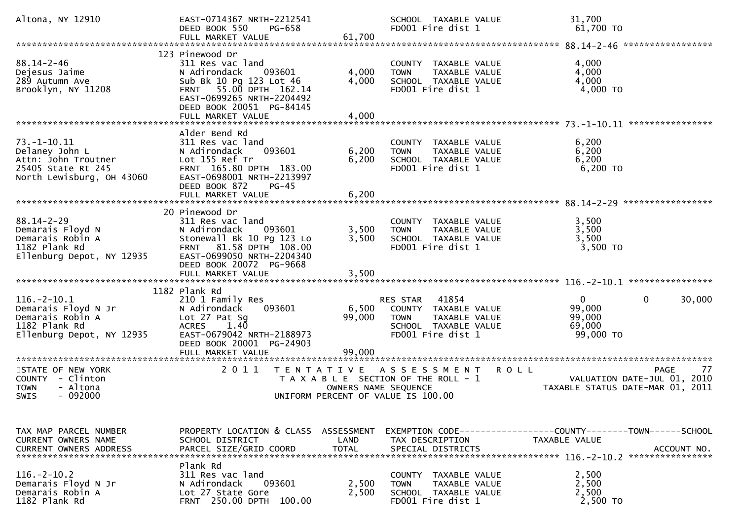| Altona, NY 12910                                                                                              | EAST-0714367 NRTH-2212541<br>DEED BOOK 550<br>PG-658                                                                                                                                             |                           | SCHOOL TAXABLE VALUE<br>FD001 Fire dist 1                                                                           | 31,700<br>61,700 TO                                                                                                                                     |
|---------------------------------------------------------------------------------------------------------------|--------------------------------------------------------------------------------------------------------------------------------------------------------------------------------------------------|---------------------------|---------------------------------------------------------------------------------------------------------------------|---------------------------------------------------------------------------------------------------------------------------------------------------------|
|                                                                                                               |                                                                                                                                                                                                  |                           |                                                                                                                     |                                                                                                                                                         |
| $88.14 - 2 - 46$<br>Dejesus Jaime<br>289 Autumn Ave<br>Brooklyn, NY 11208                                     | 123 Pinewood Dr<br>311 Res vac land<br>N Adirondack<br>093601<br>Sub Bk 10 Pg 123 Lot 46<br>FRNT 55.00 DPTH 162.14<br>EAST-0699265 NRTH-2204492<br>DEED BOOK 20051 PG-84145<br>FULL MARKET VALUE | 4,000<br>4,000<br>4,000   | COUNTY TAXABLE VALUE<br><b>TOWN</b><br>TAXABLE VALUE<br>SCHOOL TAXABLE VALUE<br>FD001 Fire dist 1                   | 4,000<br>4,000<br>4,000<br>$4,000$ TO                                                                                                                   |
|                                                                                                               |                                                                                                                                                                                                  |                           |                                                                                                                     |                                                                                                                                                         |
| $73. - 1 - 10.11$<br>Delaney John L<br>Attn: John Troutner<br>25405 State Rt 245<br>North Lewisburg, OH 43060 | Alder Bend Rd<br>311 Res vac land<br>093601<br>N Adirondack<br>Lot 155 Ref Tr<br>FRNT 165.80 DPTH 183.00<br>EAST-0698001 NRTH-2213997<br>DEED BOOK 872<br>$PG-45$                                | 6,200<br>6,200            | COUNTY TAXABLE VALUE<br>TAXABLE VALUE<br><b>TOWN</b><br>SCHOOL TAXABLE VALUE<br>FD001 Fire dist 1                   | 6,200<br>6,200<br>6,200<br>$6,200$ TO                                                                                                                   |
|                                                                                                               |                                                                                                                                                                                                  |                           |                                                                                                                     |                                                                                                                                                         |
| $88.14 - 2 - 29$<br>Demarais Floyd N<br>Demarais Robin A<br>1182 Plank Rd<br>Ellenburg Depot, NY 12935        | 20 Pinewood Dr<br>311 Res vac land<br>N Adirondack<br>093601<br>Stonewall Bk 10 Pg 123 Lo<br>FRNT 81.58 DPTH 108.00<br>EAST-0699050 NRTH-2204340<br>DEED BOOK 20072 PG-9668                      | 3,500<br>3,500            | COUNTY TAXABLE VALUE<br>TAXABLE VALUE<br><b>TOWN</b><br>SCHOOL TAXABLE VALUE<br>FD001 Fire dist 1                   | 3,500<br>3,500<br>3,500<br>3,500 TO                                                                                                                     |
|                                                                                                               | FULL MARKET VALUE                                                                                                                                                                                | 3,500                     |                                                                                                                     |                                                                                                                                                         |
|                                                                                                               | 1182 Plank Rd                                                                                                                                                                                    |                           |                                                                                                                     |                                                                                                                                                         |
| $116. - 2 - 10.1$<br>Demarais Floyd N Jr<br>Demarais Robin A<br>1182 Plank Rd<br>Ellenburg Depot, NY 12935    | 210 1 Family Res<br>093601<br>N Adirondack<br>Lot 27 Pat Sg<br>1.40<br><b>ACRES</b><br>EAST-0679042 NRTH-2188973<br>DEED BOOK 20001 PG-24903<br>FULL MARKET VALUE                                | 6,500<br>99,000<br>99,000 | RES STAR 41854<br>COUNTY TAXABLE VALUE<br><b>TOWN</b><br>TAXABLE VALUE<br>SCHOOL TAXABLE VALUE<br>FD001 Fire dist 1 | $\mathbf{0}$<br>$\mathbf{0}$<br>30,000<br>99,000<br>99,000<br>69,000<br>99,000 TO                                                                       |
| STATE OF NEW YORK                                                                                             | 2011<br>T E N T A T I V E                                                                                                                                                                        |                           | A S S E S S M E N T                                                                                                 | 77<br><b>ROLL</b><br><b>PAGE</b>                                                                                                                        |
| COUNTY - Clinton<br>- Altona<br><b>TOWN</b><br>$-092000$<br>SWIS                                              |                                                                                                                                                                                                  | OWNERS NAME SEQUENCE      | T A X A B L E SECTION OF THE ROLL - 1<br>UNIFORM PERCENT OF VALUE IS 100.00                                         | 2010<br>VALUATION DATE-JUL 01,<br>TAXABLE STATUS DATE-MAR 01, 2011                                                                                      |
|                                                                                                               |                                                                                                                                                                                                  |                           |                                                                                                                     |                                                                                                                                                         |
| TAX MAP PARCEL NUMBER<br><b>CURRENT OWNERS NAME</b>                                                           | PROPERTY LOCATION & CLASS<br>SCHOOL DISTRICT                                                                                                                                                     | ASSESSMENT<br>LAND        | TAX DESCRIPTION                                                                                                     | TAXABLE VALUE<br>.CURRENT OWNERS ADDRESS PARCEL SIZE/GRID COORD TOTAL SPECIAL DISTRICTS MOTHOL ACCOUNT NO AND MESS AND MESS AND TOTAL SPECIAL DISTRICTS |
| $116. - 2 - 10.2$<br>Demarais Floyd N Jr<br>Demarais Robin A<br>1182 Plank Rd                                 | Plank Rd<br>311 Res vac land<br>N Adirondack<br>093601<br>Lot 27 State Gore<br><b>FRNT 250.00 DPTH</b><br>100.00                                                                                 | 2,500<br>2,500            | COUNTY TAXABLE VALUE<br>TAXABLE VALUE<br><b>TOWN</b><br>SCHOOL TAXABLE VALUE<br>FD001 Fire dist 1                   | 2,500<br>2,500<br>2,500<br>2,500 TO                                                                                                                     |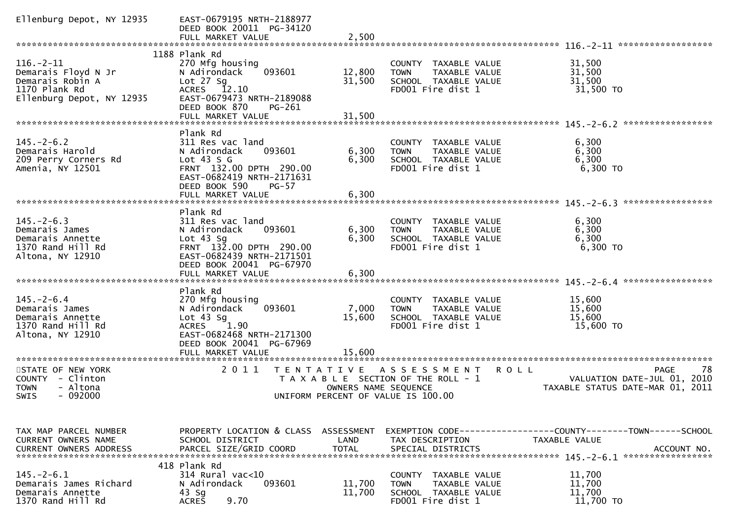| Ellenburg Depot, NY 12935                                                                                | EAST-0679195 NRTH-2188977<br>DEED BOOK 20011 PG-34120<br>FULL MARKET VALUE                                                                                                     | 2,500                      |                                                                                                            |                                                                               |
|----------------------------------------------------------------------------------------------------------|--------------------------------------------------------------------------------------------------------------------------------------------------------------------------------|----------------------------|------------------------------------------------------------------------------------------------------------|-------------------------------------------------------------------------------|
|                                                                                                          |                                                                                                                                                                                |                            |                                                                                                            | ******************                                                            |
| $116. - 2 - 11$<br>Demarais Floyd N Jr<br>Demarais Robin A<br>1170 Plank Rd<br>Ellenburg Depot, NY 12935 | 1188 Plank Rd<br>270 Mfg housing<br>093601<br>N Adirondack<br>Lot $27$ Sq<br>ACRES 12.10<br>EAST-0679473 NRTH-2189088<br>DEED BOOK 870<br>PG-261<br>FULL MARKET VALUE          | 12,800<br>31,500<br>31,500 | COUNTY TAXABLE VALUE<br><b>TOWN</b><br>TAXABLE VALUE<br>SCHOOL TAXABLE VALUE<br>FD001 Fire dist 1          | 31,500<br>31,500<br>31,500<br>31,500 TO                                       |
|                                                                                                          | Plank Rd                                                                                                                                                                       |                            |                                                                                                            |                                                                               |
| $145. - 2 - 6.2$<br>Demarais Harold<br>209 Perry Corners Rd<br>Amenia, NY 12501                          | 311 Res vac land<br>093601<br>N Adirondack<br>Lot $43 S G$<br>FRNT 132.00 DPTH 290.00<br>EAST-0682419 NRTH-2171631<br>DEED BOOK 590<br>$PG-57$                                 | 6,300<br>6,300             | COUNTY TAXABLE VALUE<br><b>TOWN</b><br>TAXABLE VALUE<br>SCHOOL TAXABLE VALUE<br>FD001 Fire dist 1          | 6,300<br>6,300<br>6,300<br>$6,300$ TO                                         |
|                                                                                                          | FULL MARKET VALUE                                                                                                                                                              | 6,300                      |                                                                                                            |                                                                               |
| $145. - 2 - 6.3$<br>Demarais James<br>Demarais Annette<br>1370 Rand Hill Rd<br>Altona, NY 12910          | Plank Rd<br>311 Res vac land<br>093601<br>N Adirondack<br>Lot $43$ Sg<br>FRNT 132.00 DPTH 290.00<br>EAST-0682439 NRTH-2171501<br>DEED BOOK 20041 PG-67970<br>FULL MARKET VALUE | 6,300<br>6,300<br>6,300    | COUNTY TAXABLE VALUE<br>TAXABLE VALUE<br><b>TOWN</b><br>SCHOOL TAXABLE VALUE<br>FD001 Fire dist 1          | 6,300<br>6,300<br>6,300<br>6,300 TO                                           |
|                                                                                                          |                                                                                                                                                                                |                            |                                                                                                            |                                                                               |
| $145. - 2 - 6.4$<br>Demarais James<br>Demarais Annette<br>1370 Rand Hill Rd<br>Altona, NY 12910          | Plank Rd<br>270 Mfg housing<br>093601<br>N Adirondack<br>Lot $43$ Sg<br>1.90<br><b>ACRES</b><br>EAST-0682468 NRTH-2171300<br>DEED BOOK 20041 PG-67969<br>FULL MARKET VALUE     | 7,000<br>15,600<br>15.600  | COUNTY TAXABLE VALUE<br><b>TOWN</b><br>TAXABLE VALUE<br>SCHOOL TAXABLE VALUE<br>FD001 Fire dist 1          | 15,600<br>15,600<br>15,600<br>15,600 TO                                       |
| **********************                                                                                   | ********************                                                                                                                                                           |                            |                                                                                                            |                                                                               |
| STATE OF NEW YORK<br>- Clinton<br>COUNTY<br><b>TOWN</b><br>- Altona<br>- 092000<br>SWIS                  | 2011<br>T E N T A T I V E                                                                                                                                                      | OWNERS NAME SEQUENCE       | A S S E S S M E N T<br>ROLL<br>T A X A B L E SECTION OF THE ROLL - 1<br>UNIFORM PERCENT OF VALUE IS 100.00 | PAGE<br>78<br>VALUATION DATE-JUL 01, 2010<br>TAXABLE STATUS DATE-MAR 01, 2011 |
|                                                                                                          |                                                                                                                                                                                |                            |                                                                                                            |                                                                               |
| TAX MAP PARCEL NUMBER<br><b>CURRENT OWNERS NAME</b>                                                      | PROPERTY LOCATION & CLASS<br>SCHOOL DISTRICT                                                                                                                                   | ASSESSMENT<br>LAND         | TAX DESCRIPTION                                                                                            | TAXABLE VALUE                                                                 |
| $145. - 2 - 6.1$<br>Demarais James Richard<br>Demarais Annette<br>1370 Rand Hill Rd                      | 418 Plank Rd<br>$314$ Rural vac<10<br>N Adirondack<br>093601<br>$43$ Sg<br>9.70<br><b>ACRES</b>                                                                                | 11,700<br>11,700           | COUNTY TAXABLE VALUE<br>TAXABLE VALUE<br><b>TOWN</b><br>SCHOOL TAXABLE VALUE<br>FD001 Fire dist 1          | 11,700<br>11,700<br>11,700<br>11,700 TO                                       |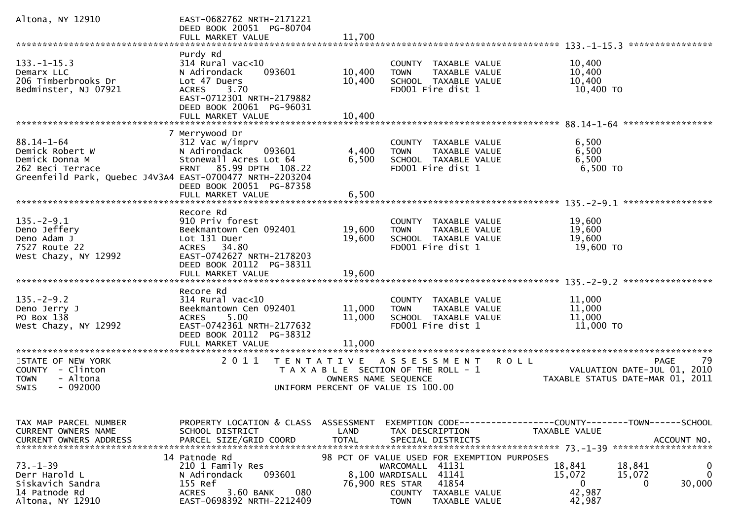| Altona, NY 12910                                                                                                                      | EAST-0682762 NRTH-2171221<br>DEED BOOK 20051 PG-80704<br>FULL MARKET VALUE                                                                                                              | 11,700                             |                                                                                                                 |                                                                                                                              |
|---------------------------------------------------------------------------------------------------------------------------------------|-----------------------------------------------------------------------------------------------------------------------------------------------------------------------------------------|------------------------------------|-----------------------------------------------------------------------------------------------------------------|------------------------------------------------------------------------------------------------------------------------------|
|                                                                                                                                       |                                                                                                                                                                                         |                                    |                                                                                                                 | ****************                                                                                                             |
| $133. - 1 - 15.3$<br>Demarx LLC<br>206 Timberbrooks Dr<br>Bedminster, NJ 07921                                                        | Purdy Rd<br>$314$ Rural vac<10<br>N Adirondack<br>093601<br>Lot 47 Duers<br>3.70<br><b>ACRES</b><br>EAST-0712301 NRTH-2179882<br>DEED BOOK 20061 PG-96031<br>FULL MARKET VALUE          | 10,400<br>10,400<br>10,400         | COUNTY TAXABLE VALUE<br>TAXABLE VALUE<br><b>TOWN</b><br>SCHOOL TAXABLE VALUE<br>FD001 Fire dist 1               | 10,400<br>10,400<br>10,400<br>10,400 TO                                                                                      |
|                                                                                                                                       |                                                                                                                                                                                         |                                    |                                                                                                                 |                                                                                                                              |
| $88.14 - 1 - 64$<br>Demick Robert W<br>Demick Donna M<br>262 Beci Terrace<br>Greenfeild Park, Quebec J4V3A4 EAST-0700477 NRTH-2203204 | 7 Merrywood Dr<br>312 Vac w/imprv<br>N Adirondack<br>093601<br>Stonewall Acres Lot 64<br>85.99 DPTH 108.22<br><b>FRNT</b><br>DEED BOOK 20051 PG-87358<br>FULL MARKET VALUE              | 4,400<br>6,500<br>6,500            | COUNTY TAXABLE VALUE<br>TAXABLE VALUE<br><b>TOWN</b><br>SCHOOL TAXABLE VALUE<br>FD001 Fire dist 1               | 6,500<br>6,500<br>6,500<br>6,500 TO                                                                                          |
|                                                                                                                                       |                                                                                                                                                                                         |                                    |                                                                                                                 | $135 - 2 - 9.1$<br>*****************                                                                                         |
| $135. - 2 - 9.1$<br>Deno Jeffery<br>Deno Adam J<br>7527 Route 22<br>West Chazy, NY 12992                                              | Recore Rd<br>910 Priv forest<br>Beekmantown Cen 092401<br>Lot 131 Duer<br>ACRES 34.80<br>EAST-0742627 NRTH-2178203<br>DEED BOOK 20112 PG-38311                                          | 19,600<br>19,600                   | COUNTY TAXABLE VALUE<br>TAXABLE VALUE<br><b>TOWN</b><br>SCHOOL TAXABLE VALUE<br>FD001 Fire dist 1               | 19,600<br>19,600<br>19,600<br>19,600 TO                                                                                      |
|                                                                                                                                       | FULL MARKET VALUE                                                                                                                                                                       | 19,600                             |                                                                                                                 |                                                                                                                              |
| $135. - 2 - 9.2$<br>Deno Jerry J<br>PO Box 138<br>West Chazy, NY 12992<br>*********************                                       | Recore Rd<br>$314$ Rural vac<10<br>Beekmantown Cen 092401<br>5.00<br><b>ACRES</b><br>EAST-0742361 NRTH-2177632<br>DEED BOOK 20112 PG-38312<br>FULL MARKET VALUE<br>******************** | 11,000<br>11,000<br>11,000         | COUNTY TAXABLE VALUE<br><b>TOWN</b><br>TAXABLE VALUE<br>SCHOOL TAXABLE VALUE<br>FD001 Fire dist 1               | 11,000<br>11,000<br>11,000<br>11,000 TO                                                                                      |
| STATE OF NEW YORK                                                                                                                     | 2011<br>T E N T A T I V E                                                                                                                                                               |                                    | A S S E S S M E N T                                                                                             | 79<br><b>ROLL</b><br>PAGE                                                                                                    |
| COUNTY - Clinton<br><b>TOWN</b><br>- Altona<br>$-092000$<br>SWIS                                                                      |                                                                                                                                                                                         | OWNERS NAME SEQUENCE               | T A X A B L E SECTION OF THE ROLL - 1<br>UNIFORM PERCENT OF VALUE IS 100.00                                     | VALUATION DATE-JUL 01,<br>2010<br>TAXABLE STATUS DATE-MAR 01, 2011                                                           |
| TAX MAP PARCEL NUMBER<br><b>CURRENT OWNERS NAME</b><br><b>CURRENT OWNERS ADDRESS</b><br>$73. - 1 - 39$                                | PROPERTY LOCATION & CLASS<br>SCHOOL DISTRICT<br>PARCEL SIZE/GRID COORD<br>14 Patnode Rd<br>210 1 Family Res                                                                             | ASSESSMENT<br>LAND<br><b>TOTAL</b> | TAX DESCRIPTION<br>SPECIAL DISTRICTS<br>98 PCT OF VALUE USED FOR EXEMPTION PURPOSES<br>41131<br>WARCOMALL       | EXEMPTION        CODE-----------------COUNTY-------TOWN------SCHOOL<br>TAXABLE VALUE<br>ACCOUNT NO.<br>0<br>18,841<br>18,841 |
| Derr Harold L<br>Siskavich Sandra<br>14 Patnode Rd<br>Altona, NY 12910                                                                | 093601<br>N Adirondack<br>155 Ref<br>3.60 BANK<br>080<br><b>ACRES</b><br>EAST-0698392 NRTH-2212409                                                                                      |                                    | 8,100 WARDISALL<br>41141<br>41854<br>76,900 RES STAR<br>COUNTY<br>TAXABLE VALUE<br><b>TOWN</b><br>TAXABLE VALUE | $\mathbf{0}$<br>15,072<br>15,072<br>0<br>30,000<br>0<br>42,987<br>42,987                                                     |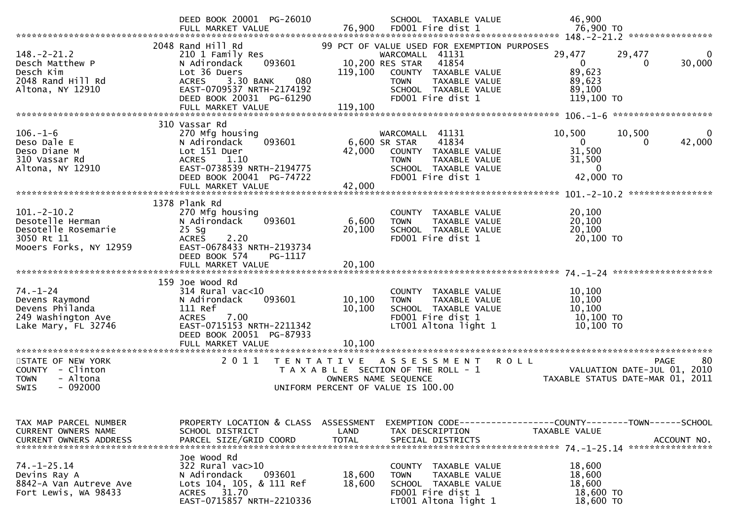|                                                                                                                 | DEED BOOK 20001 PG-26010<br>FULL MARKET VALUE                                                                                                                                                     | 76,900                                    | SCHOOL TAXABLE VALUE<br>FD001 Fire dist 1                                                                                                                                                       | 46,900<br>76,900 то                                                                                          |
|-----------------------------------------------------------------------------------------------------------------|---------------------------------------------------------------------------------------------------------------------------------------------------------------------------------------------------|-------------------------------------------|-------------------------------------------------------------------------------------------------------------------------------------------------------------------------------------------------|--------------------------------------------------------------------------------------------------------------|
| $148. - 2 - 21.2$<br>Desch Matthew P<br>Desch Kim<br>2048 Rand Hill Rd<br>Altona, NY 12910                      | 2048 Rand Hill Rd<br>210 1 Family Res<br>N Adirondack<br>093601<br>Lot 36 Duers<br>3.30 BANK<br>080<br><b>ACRES</b><br>EAST-0709537 NRTH-2174192<br>DEED BOOK 20031 PG-61290<br>FULL MARKET VALUE | 119,100<br>119,100                        | 99 PCT OF VALUE USED FOR EXEMPTION PURPOSES<br>WARCOMALL 41131<br>10,200 RES STAR<br>41854<br>COUNTY TAXABLE VALUE<br>TAXABLE VALUE<br><b>TOWN</b><br>SCHOOL TAXABLE VALUE<br>FD001 Fire dist 1 | 29,477<br>29,477<br>30,000<br>0<br>0<br>89,623<br>89,623<br>89,100<br>119,100 TO                             |
|                                                                                                                 |                                                                                                                                                                                                   |                                           |                                                                                                                                                                                                 |                                                                                                              |
| $106. - 1 - 6$<br>Deso Dale E<br>Deso Diane M<br>310 Vassar Rd<br>Altona, NY 12910                              | 310 Vassar Rd<br>270 Mfg housing<br>093601<br>N Adirondack<br>Lot 151 Duer<br>ACRES<br>1.10<br>EAST-0738539 NRTH-2194775<br>DEED BOOK 20041 PG-74722<br>FULL MARKET VALUE                         | 42,000<br>42,000                          | WARCOMALL 41131<br>6,600 SR STAR<br>41834<br>COUNTY TAXABLE VALUE<br>TAXABLE VALUE<br><b>TOWN</b><br>SCHOOL TAXABLE VALUE<br>FD001 Fire dist 1                                                  | 10,500<br>10,500<br>$\Omega$<br>$\mathbf{0}$<br>42,000<br>0<br>31,500<br>31,500<br>$\mathbf{0}$<br>42,000 TO |
|                                                                                                                 |                                                                                                                                                                                                   |                                           |                                                                                                                                                                                                 | ****************                                                                                             |
| $101 - 2 - 10.2$<br>Desotelle Herman<br>Desotelle Rosemarie<br>3050 Rt 11<br>Mooers Forks, NY 12959             | 1378 Plank Rd<br>270 Mfg housing<br>093601<br>N Adirondack<br>$25$ Sg<br><b>ACRES</b><br>2.20<br>EAST-0678433 NRTH-2193734<br>DEED BOOK 574<br>PG-1117<br>FULL MARKET VALUE                       | 6,600<br>20,100<br>20,100                 | TAXABLE VALUE<br>COUNTY<br><b>TOWN</b><br>TAXABLE VALUE<br>SCHOOL TAXABLE VALUE<br>FD001 Fire dist 1                                                                                            | 20,100<br>20,100<br>20,100<br>20,100 TO                                                                      |
|                                                                                                                 |                                                                                                                                                                                                   |                                           |                                                                                                                                                                                                 |                                                                                                              |
| $74. - 1 - 24$<br>Devens Raymond<br>Devens Philanda<br>249 Washington Ave<br>Lake Mary, FL 32746                | 159 Joe Wood Rd<br>$314$ Rural vac< $10$<br>N Adirondack<br>093601<br>111 Ref<br>7.00<br><b>ACRES</b><br>EAST-0715153 NRTH-2211342<br>DEED BOOK 20051 PG-87933                                    | 10,100<br>10,100                          | COUNTY TAXABLE VALUE<br>TAXABLE VALUE<br><b>TOWN</b><br>SCHOOL TAXABLE VALUE<br>FD001 Fire dist 1<br>LT001 Altona light 1                                                                       | 10,100<br>10,100<br>10,100<br>10,100 TO<br>10,100 TO                                                         |
|                                                                                                                 | FULL MARKET VALUE                                                                                                                                                                                 | 10,100                                    |                                                                                                                                                                                                 |                                                                                                              |
| **********************<br>STATE OF NEW YORK<br>COUNTY - Clinton<br><b>TOWN</b><br>- Altona<br>$-092000$<br>SWIS | **************************<br>2 0 1 1                                                                                                                                                             | T E N T A T I V E<br>OWNERS NAME SEQUENCE | A S S E S S M E N T<br>T A X A B L E SECTION OF THE ROLL - 1<br>UNIFORM PERCENT OF VALUE IS 100.00                                                                                              | -80<br><b>ROLL</b><br><b>PAGE</b><br>VALUATION DATE-JUL 01, 2010<br>TAXABLE STATUS DATE-MAR 01, 2011         |
| TAX MAP PARCEL NUMBER<br>CURRENT OWNERS NAME<br><b>CURRENT OWNERS ADDRESS</b>                                   | PROPERTY LOCATION & CLASS<br>SCHOOL DISTRICT<br>PARCEL SIZE/GRID COORD                                                                                                                            | <b>ASSESSMENT</b><br>LAND<br><b>TOTAL</b> | TAX DESCRIPTION<br>SPECIAL DISTRICTS                                                                                                                                                            | <b>TAXABLE VALUE</b><br>ACCOUNT NO.                                                                          |
| $74. - 1 - 25.14$<br>Devins Ray A<br>8842-A Van Autreve Ave<br>Fort Lewis, WA 98433                             | Joe Wood Rd<br>322 Rural vac>10<br>093601<br>N Adirondack<br>Lots 104, 105, & 111 Ref<br>31.70<br>ACRES<br>EAST-0715857 NRTH-2210336                                                              | 18,600<br>18,600                          | COUNTY TAXABLE VALUE<br>TAXABLE VALUE<br><b>TOWN</b><br>SCHOOL TAXABLE VALUE<br>FD001 Fire dist 1<br>LT001 Altona light 1                                                                       | 18,600<br>18,600<br>18,600<br>18,600 TO<br>18,600 TO                                                         |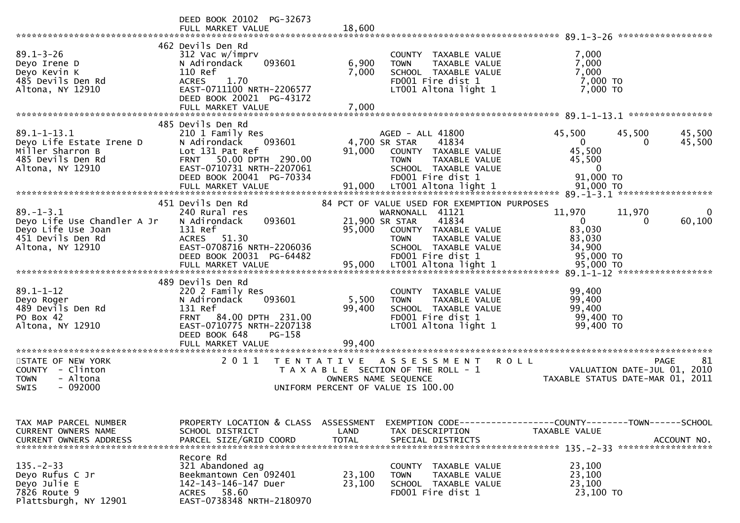|                                                                                                            | DEED BOOK 20102 PG-32673<br>FULL MARKET VALUE                                                                                                                                   | 18,600                                    |                                                                                                                                |                                                                                                                                  |
|------------------------------------------------------------------------------------------------------------|---------------------------------------------------------------------------------------------------------------------------------------------------------------------------------|-------------------------------------------|--------------------------------------------------------------------------------------------------------------------------------|----------------------------------------------------------------------------------------------------------------------------------|
|                                                                                                            |                                                                                                                                                                                 |                                           |                                                                                                                                |                                                                                                                                  |
| $89.1 - 3 - 26$<br>Deyo Irene D<br>Deyo Kevin K<br>485 Devils Den Rd<br>Altona, NY 12910                   | 462 Devils Den Rd<br>312 Vac w/imprv<br>093601<br>N Adirondack<br>110 Ref<br>1.70<br><b>ACRES</b><br>EAST-0711100 NRTH-2206577<br>DEED BOOK 20021 PG-43172<br>FULL MARKET VALUE | 6,900<br>7,000<br>7,000                   | COUNTY TAXABLE VALUE<br>TAXABLE VALUE<br><b>TOWN</b><br>SCHOOL TAXABLE VALUE<br>FD001 Fire dist 1<br>LT001 Altona light 1      | 7,000<br>7,000<br>7,000<br>7,000 TO<br>7,000 TO                                                                                  |
|                                                                                                            | 485 Devils Den Rd                                                                                                                                                               |                                           |                                                                                                                                |                                                                                                                                  |
| $89.1 - 1 - 13.1$<br>Deyo Life Estate Irene D<br>Miller Sharron B<br>485 Devils Den Rd<br>Altona, NY 12910 | 210 1 Family Res<br>N Adirondack<br>093601<br>Lot 131 Pat Ref<br>50.00 DPTH 290.00<br><b>FRNT</b><br>EAST-0710731 NRTH-2207061<br>DEED BOOK 20041 PG-70334                      | 4,700 SR STAR<br>91,000                   | AGED - ALL 41800<br>41834<br>COUNTY TAXABLE VALUE<br>TAXABLE VALUE<br><b>TOWN</b><br>SCHOOL TAXABLE VALUE<br>FD001 Fire dist 1 | 45,500<br>45,500<br>45,500<br>$\mathbf 0$<br>45,500<br>0<br>45,500<br>45,500<br>$\mathbf 0$<br>91,000 TO                         |
|                                                                                                            |                                                                                                                                                                                 |                                           |                                                                                                                                |                                                                                                                                  |
| $89. - 1 - 3.1$<br>Deyo Life Use Chandler A Jr<br>Deyo Life Use Joan                                       | 451 Devils Den Rd<br>240 Rural res<br>093601<br>N Adirondack<br>131 Ref                                                                                                         | 21,900 SR STAR<br>95,000                  | 84 PCT OF VALUE USED FOR EXEMPTION PURPOSES<br>WARNONALL 41121<br>41834<br>COUNTY TAXABLE VALUE                                | 11,970<br>11,970<br>$\mathbf{0}$<br>60,100<br>0<br>83,030                                                                        |
| 451 Devils Den Rd<br>Altona, NY 12910                                                                      | ACRES 51.30<br>EAST-0708716 NRTH-2206036<br>DEED BOOK 20031 PG-64482                                                                                                            |                                           | <b>TOWN</b><br><b>TAXABLE VALUE</b><br>SCHOOL TAXABLE VALUE<br>FD001 Fire dist 1                                               | 83,030<br>34,900<br>95,000 TO                                                                                                    |
|                                                                                                            | 489 Devils Den Rd                                                                                                                                                               |                                           |                                                                                                                                |                                                                                                                                  |
| $89.1 - 1 - 12$<br>Deyo Roger<br>489 Devils Den Rd<br>PO Box 42<br>Altona, NY 12910                        | 220 2 Family Res<br>N Adirondack<br>093601<br>131 Ref<br><b>FRNT</b><br>84.00 DPTH 231.00<br>EAST-0710775 NRTH-2207138<br>DEED BOOK 648<br>$PG-158$                             | 5,500<br>99,400                           | COUNTY TAXABLE VALUE<br><b>TOWN</b><br>TAXABLE VALUE<br>SCHOOL TAXABLE VALUE<br>FD001 Fire dist 1<br>LT001 Altona light 1      | 99,400<br>99,400<br>99,400<br>99,400 TO<br>99,400 TO                                                                             |
|                                                                                                            | FULL MARKET VALUE                                                                                                                                                               | 99,400                                    |                                                                                                                                |                                                                                                                                  |
| STATE OF NEW YORK<br>COUNTY - Clinton<br>- Altona<br><b>TOWN</b><br>$-092000$<br><b>SWIS</b>               | 2011                                                                                                                                                                            | T E N T A T I V E<br>OWNERS NAME SEQUENCE | A S S E S S M E N T<br>T A X A B L E SECTION OF THE ROLL - 1<br>UNIFORM PERCENT OF VALUE IS 100.00                             | 81<br><b>ROLL</b><br><b>PAGE</b><br>VALUATION DATE-JUL 01, 2010<br>TAXABLE STATUS DATE-MAR 01, 2011                              |
|                                                                                                            |                                                                                                                                                                                 |                                           |                                                                                                                                |                                                                                                                                  |
| TAX MAP PARCEL NUMBER<br>CURRENT OWNERS NAME<br><b>CURRENT OWNERS ADDRESS</b>                              | SCHOOL DISTRICT<br>PARCEL SIZE/GRID COORD                                                                                                                                       | LAND<br><b>TOTAL</b>                      | TAX DESCRIPTION<br>SPECIAL DISTRICTS                                                                                           | PROPERTY LOCATION & CLASS ASSESSMENT EXEMPTION CODE----------------COUNTY-------TOWN------SCHOOL<br>TAXABLE VALUE<br>ACCOUNT NO. |
| $135. - 2 - 33$<br>Deyo Rufus C Jr<br>Deyo Julie E<br>7826 Route 9<br>Plattsburgh, NY 12901                | Recore Rd<br>321 Abandoned ag<br>Beekmantown Cen 092401<br>142-143-146-147 Duer<br>ACRES 58.60<br>EAST-0738348 NRTH-2180970                                                     | 23,100<br>23,100                          | COUNTY TAXABLE VALUE<br><b>TOWN</b><br>TAXABLE VALUE<br>SCHOOL TAXABLE VALUE<br>FD001 Fire dist 1                              | 23,100<br>23,100<br>23,100<br>23,100 TO                                                                                          |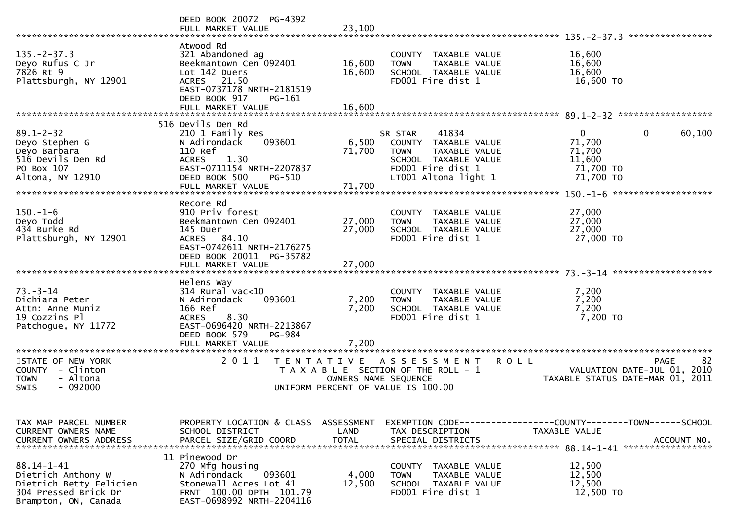|                                                                                                                   | DEED BOOK 20072 PG-4392<br>FULL MARKET VALUE                                                                                                                                    | 23,100                    |                                                                                                                                               |                                                                                               |
|-------------------------------------------------------------------------------------------------------------------|---------------------------------------------------------------------------------------------------------------------------------------------------------------------------------|---------------------------|-----------------------------------------------------------------------------------------------------------------------------------------------|-----------------------------------------------------------------------------------------------|
|                                                                                                                   |                                                                                                                                                                                 |                           |                                                                                                                                               |                                                                                               |
| $135. -2 - 37.3$<br>Deyo Rufus C Jr<br>7826 Rt 9<br>Plattsburgh, NY 12901                                         | Atwood Rd<br>321 Abandoned ag<br>Beekmantown Cen 092401<br>Lot 142 Duers<br>ACRES 21.50<br>EAST-0737178 NRTH-2181519<br>DEED BOOK 917<br>PG-161                                 | 16,600<br>16,600          | COUNTY TAXABLE VALUE<br>TAXABLE VALUE<br><b>TOWN</b><br>SCHOOL TAXABLE VALUE<br>FD001 Fire dist 1                                             | 16,600<br>16,600<br>16,600<br>16,600 TO                                                       |
|                                                                                                                   | FULL MARKET VALUE                                                                                                                                                               | 16,600                    |                                                                                                                                               |                                                                                               |
| $89.1 - 2 - 32$<br>Deyo Stephen G<br>Deyo Barbara<br>516 Devils Den Rd<br>PO Box 107<br>Altona, NY 12910          | 516 Devils Den Rd<br>210 1 Family Res<br>N Adirondack<br>093601<br>110 Ref<br>1.30<br><b>ACRES</b><br>EAST-0711154 NRTH-2207837<br>DEED BOOK 500<br>PG-510<br>FULL MARKET VALUE | 6,500<br>71,700<br>71,700 | 41834<br>SR STAR<br>COUNTY TAXABLE VALUE<br><b>TOWN</b><br>TAXABLE VALUE<br>SCHOOL TAXABLE VALUE<br>FD001 Fire dist 1<br>LT001 Altona light 1 | 0<br>60,100<br>0<br>71,700<br>71,700<br>11,600<br>71,700 TO<br>71,700 TO                      |
|                                                                                                                   |                                                                                                                                                                                 |                           |                                                                                                                                               |                                                                                               |
| $150.-1-6$<br>Deyo Todd<br>434 Burke Rd<br>Plattsburgh, NY 12901                                                  | Recore Rd<br>910 Priv forest<br>Beekmantown Cen 092401<br>145 Duer<br>ACRES 84.10<br>EAST-0742611 NRTH-2176275<br>DEED BOOK 20011 PG-35782                                      | 27,000<br>27,000          | TAXABLE VALUE<br><b>COUNTY</b><br>TAXABLE VALUE<br><b>TOWN</b><br>SCHOOL TAXABLE VALUE<br>FD001 Fire dist 1                                   | 27,000<br>27,000<br>27,000<br>27,000 TO                                                       |
|                                                                                                                   | FULL MARKET VALUE                                                                                                                                                               | 27,000                    |                                                                                                                                               |                                                                                               |
| $73. - 3 - 14$<br>Dichiara Peter<br>Attn: Anne Muniz<br>19 Cozzins Pl<br>Patchogue, NY 11772                      | Helens Way<br>$314$ Rural vac<10<br>N Adirondack<br>093601<br>166 Ref<br>8.30<br><b>ACRES</b><br>EAST-0696420 NRTH-2213867<br>DEED BOOK 579<br>PG-984                           | 7,200<br>7,200            | COUNTY TAXABLE VALUE<br>TAXABLE VALUE<br><b>TOWN</b><br>SCHOOL TAXABLE VALUE<br>FD001 Fire dist 1                                             | 7,200<br>7,200<br>7,200<br>7,200 TO                                                           |
|                                                                                                                   | FULL MARKET VALUE                                                                                                                                                               | 7.200                     |                                                                                                                                               |                                                                                               |
| STATE OF NEW YORK<br>COUNTY - Clinton<br>- Altona<br><b>TOWN</b><br>$-092000$<br>SWIS                             | 2011<br>T E N T A T I V E                                                                                                                                                       | OWNERS NAME SEQUENCE      | <b>ROLL</b><br>A S S E S S M E N T<br>T A X A B L E SECTION OF THE ROLL - 1<br>UNIFORM PERCENT OF VALUE IS 100.00                             | -82<br><b>PAGE</b><br>VALUATION DATE-JUL 01, 2010<br>TAXABLE STATUS DATE-MAR 01, 2011         |
| TAX MAP PARCEL NUMBER<br>CURRENT OWNERS NAME<br><b>CURRENT OWNERS ADDRESS</b>                                     | PROPERTY LOCATION & CLASS ASSESSMENT<br>SCHOOL DISTRICT<br>PARCEL SIZE/GRID COORD                                                                                               | LAND<br><b>TOTAL</b>      | TAX DESCRIPTION<br>SPECIAL DISTRICTS                                                                                                          | EXEMPTION CODE------------------COUNTY-------TOWN------SCHOOL<br>TAXABLE VALUE<br>ACCOUNT NO. |
| $88.14 - 1 - 41$<br>Dietrich Anthony W<br>Dietrich Betty Felicien<br>304 Pressed Brick Dr<br>Brampton, ON, Canada | 11 Pinewood Dr<br>270 Mfg housing<br>093601<br>N Adirondack<br>Stonewall Acres Lot 41<br>FRNT 100.00 DPTH 101.79<br>EAST-0698992 NRTH-2204116                                   | 4,000<br>12,500           | COUNTY TAXABLE VALUE<br><b>TOWN</b><br>TAXABLE VALUE<br>SCHOOL TAXABLE VALUE<br>FD001 Fire dist 1                                             | 12,500<br>12,500<br>12,500<br>12,500 TO                                                       |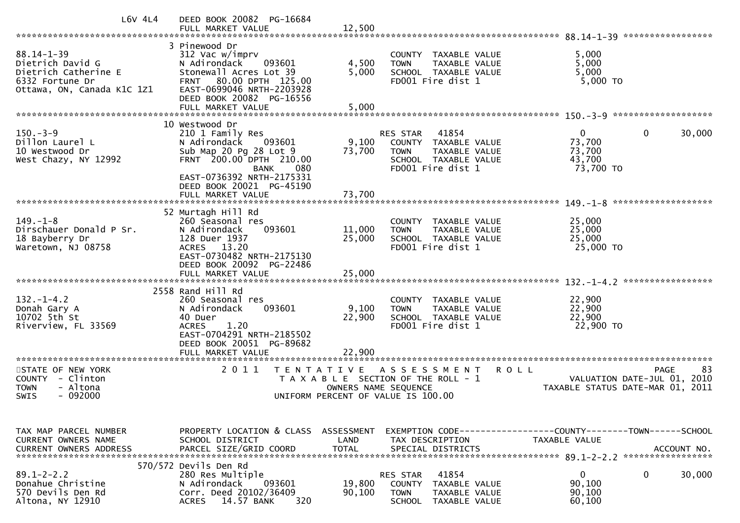| $L6V$ 4L4                                                                                                     | DEED BOOK 20082 PG-16684                                                                                                                                                                                     |                                    |                                                                                                                              |                                                                                         |
|---------------------------------------------------------------------------------------------------------------|--------------------------------------------------------------------------------------------------------------------------------------------------------------------------------------------------------------|------------------------------------|------------------------------------------------------------------------------------------------------------------------------|-----------------------------------------------------------------------------------------|
| $88.14 - 1 - 39$<br>Dietrich David G<br>Dietrich Catherine E<br>6332 Fortune Dr<br>Ottawa, ON, Canada K1C 1Z1 | 3 Pinewood Dr<br>312 Vac w/imprv<br>N Adirondack<br>093601<br>Stonewall Acres Lot 39<br>80.00 DPTH 125.00<br><b>FRNT</b><br>EAST-0699046 NRTH-2203928<br>DEED BOOK 20082 PG-16556<br>FULL MARKET VALUE       | 4,500<br>5,000<br>5,000            | COUNTY TAXABLE VALUE<br>TAXABLE VALUE<br><b>TOWN</b><br>SCHOOL TAXABLE VALUE<br>FD001 Fire dist 1                            | 5,000<br>5,000<br>5,000<br>5,000 TO                                                     |
|                                                                                                               | 10 Westwood Dr                                                                                                                                                                                               |                                    |                                                                                                                              |                                                                                         |
| $150. - 3 - 9$<br>Dillon Laurel L<br>10 Westwood Dr<br>West Chazy, NY 12992                                   | 210 1 Family Res<br>N Adirondack<br>093601<br>Sub Map 20 Pg 28 Lot 9<br>FRNT 200.00 DPTH 210.00<br><b>BANK</b><br>080                                                                                        | 9,100<br>73,700                    | 41854<br>RES STAR<br>COUNTY TAXABLE VALUE<br><b>TOWN</b><br>TAXABLE VALUE<br>SCHOOL TAXABLE VALUE<br>FD001 Fire dist 1       | 0<br>$\Omega$<br>30,000<br>73,700<br>73,700<br>43,700<br>73,700 TO                      |
|                                                                                                               | EAST-0736392 NRTH-2175331<br>DEED BOOK 20021 PG-45190<br>FULL MARKET VALUE                                                                                                                                   | 73,700                             |                                                                                                                              |                                                                                         |
| $149. - 1 - 8$<br>Dirschauer Donald P Sr.<br>18 Bayberry Dr<br>Waretown, NJ 08758                             | 52 Murtagh Hill Rd<br>260 Seasonal res<br>093601<br>N Adirondack<br>128 Duer 1937<br>ACRES 13.20<br>EAST-0730482 NRTH-2175130<br>DEED BOOK 20092 PG-22486                                                    | 11,000<br>25,000                   | COUNTY TAXABLE VALUE<br>TAXABLE VALUE<br><b>TOWN</b><br>SCHOOL TAXABLE VALUE<br>FD001 Fire dist 1                            | 25,000<br>25,000<br>25,000<br>25,000 TO                                                 |
|                                                                                                               | FULL MARKET VALUE                                                                                                                                                                                            | 25,000                             |                                                                                                                              |                                                                                         |
| $132. - 1 - 4.2$<br>Donah Gary A<br>10702 5th St<br>Riverview, FL 33569<br>*********************              | 2558 Rand Hill Rd<br>260 Seasonal res<br>093601<br>N Adirondack<br>40 Duer<br><b>ACRES</b><br>1.20<br>EAST-0704291 NRTH-2185502<br>DEED BOOK 20051 PG-89682<br>FULL MARKET VALUE<br>************************ | 9,100<br>22,900<br>22,900          | COUNTY TAXABLE VALUE<br><b>TOWN</b><br>TAXABLE VALUE<br>SCHOOL TAXABLE VALUE<br>FD001 Fire dist 1                            | 22,900<br>22,900<br>22,900<br>22,900 TO                                                 |
| STATE OF NEW YORK<br>- Clinton<br><b>COUNTY</b><br>- Altona<br><b>TOWN</b><br><b>SWIS</b><br>- 092000         | 2011<br>T E N T A T I V E                                                                                                                                                                                    | OWNERS NAME SEQUENCE               | ASSESSMENT<br><b>ROLL</b><br>T A X A B L E SECTION OF THE ROLL - 1<br>UNIFORM PERCENT OF VALUE IS 100.00                     | 83<br><b>PAGE</b><br>VALUATION DATE-JUL 01, 2010<br>TAXABLE STATUS DATE-MAR 01,<br>2011 |
|                                                                                                               |                                                                                                                                                                                                              |                                    |                                                                                                                              |                                                                                         |
| TAX MAP PARCEL NUMBER<br><b>CURRENT OWNERS NAME</b><br><b>CURRENT OWNERS ADDRESS</b>                          | PROPERTY LOCATION & CLASS<br>SCHOOL DISTRICT<br>PARCEL SIZE/GRID COORD                                                                                                                                       | ASSESSMENT<br>LAND<br><b>TOTAL</b> | EXEMPTION CODE-----------------COUNTY-------TOWN------SCHOOL<br>TAX DESCRIPTION<br>SPECIAL DISTRICTS                         | TAXABLE VALUE<br>ACCOUNT NO.                                                            |
| $89.1 - 2 - 2.2$<br>Donahue Christine<br>570 Devils Den Rd<br>Altona, NY 12910                                | 570/572 Devils Den Rd<br>280 Res Multiple<br>N Adirondack<br>093601<br>Corr. Deed 20102/36409<br>14.57 BANK<br><b>ACRES</b><br>320                                                                           | 19,800<br>90,100                   | 41854<br>RES STAR<br><b>COUNTY</b><br>TAXABLE VALUE<br><b>TOWN</b><br><b>TAXABLE VALUE</b><br><b>SCHOOL</b><br>TAXABLE VALUE | 0<br>0<br>30,000<br>90,100<br>90,100<br>60,100                                          |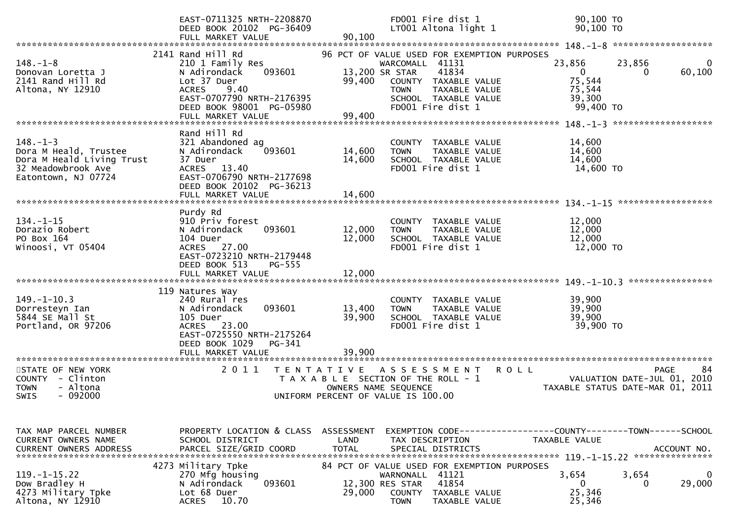|                                                                                                                               | EAST-0711325 NRTH-2208870<br>DEED BOOK 20102 PG-36409<br>FULL MARKET VALUE                                                                                                                             | FD001 Fire dist 1<br>LT001 Altona light 1<br>90,100                                                                                                                                                                | 90,100 TO<br>90,100 TO                                                                                            |
|-------------------------------------------------------------------------------------------------------------------------------|--------------------------------------------------------------------------------------------------------------------------------------------------------------------------------------------------------|--------------------------------------------------------------------------------------------------------------------------------------------------------------------------------------------------------------------|-------------------------------------------------------------------------------------------------------------------|
| $148. - 1 - 8$<br>Donovan Loretta J<br>2141 Rand Hill Rd<br>Altona, NY 12910                                                  | 2141 Rand Hill Rd<br>210 1 Family Res<br>N Adirondack<br>093601<br>Lot 37 Duer<br>9.40<br><b>ACRES</b><br>EAST-0707790 NRTH-2176395<br>DEED BOOK 98001 PG-05980<br>FULL MARKET VALUE                   | 96 PCT OF VALUE USED FOR EXEMPTION PURPOSES<br>WARCOMALL 41131<br>41834<br>13,200 SR STAR<br>99,400<br>COUNTY TAXABLE VALUE<br><b>TOWN</b><br>TAXABLE VALUE<br>SCHOOL TAXABLE VALUE<br>FD001 Fire dist 1<br>99,400 | 23,856<br>23,856<br>$\mathbf{0}$<br>60,100<br>0<br>75,544<br>75,544<br>39,300<br>99,400 TO<br>******************* |
| $148. - 1 - 3$<br>Dora M Heald, Trustee<br>Dora M Heald Living Trust<br>32 Meadowbrook Ave<br>Eatontown, NJ 07724             | Rand Hill Rd<br>321 Abandoned ag<br>093601<br>N Adirondack<br>37 Duer<br>13.40<br><b>ACRES</b><br>EAST-0706790 NRTH-2177698<br>DEED BOOK 20102 PG-36213<br>FULL MARKET VALUE                           | COUNTY TAXABLE VALUE<br>14,600<br>TAXABLE VALUE<br><b>TOWN</b><br>14,600<br>SCHOOL TAXABLE VALUE<br>FD001 Fire dist 1<br>14,600                                                                                    | 14,600<br>14,600<br>14,600<br>14,600 TO                                                                           |
| $134. - 1 - 15$<br>Dorazio Robert<br>PO Box 164<br>Winoosi, VT 05404                                                          | Purdy Rd<br>910 Priv forest<br>093601<br>N Adirondack<br>104 Duer<br>ACRES 27.00<br>EAST-0723210 NRTH-2179448<br>DEED BOOK 513<br>PG-555<br>FULL MARKET VALUE                                          | COUNTY TAXABLE VALUE<br>12,000<br>TAXABLE VALUE<br><b>TOWN</b><br>12,000<br>SCHOOL TAXABLE VALUE<br>FD001 Fire dist 1<br>12,000                                                                                    | ******************<br>12,000<br>12,000<br>12,000<br>12,000 TO<br>****************                                 |
| $149. - 1 - 10.3$<br>Dorresteyn Ian<br>5844 SE Mall St<br>Portland, OR 97206                                                  | 119 Natures Way<br>240 Rural res<br>093601<br>N Adirondack<br>105 Duer<br>23.00<br><b>ACRES</b><br>EAST-0725550 NRTH-2175264<br>DEED BOOK 1029<br>PG-341<br>FULL MARKET VALUE<br>********************* | COUNTY TAXABLE VALUE<br>13,400<br>TAXABLE VALUE<br><b>TOWN</b><br>39,900<br>SCHOOL TAXABLE VALUE<br>FD001 Fire dist 1<br>39,900                                                                                    | 39,900<br>39,900<br>39,900<br>39,900 TO                                                                           |
| STATE OF NEW YORK<br>COUNTY - Clinton<br><b>TOWN</b><br>- Altona<br>$-092000$<br>SWIS                                         | 2 0 1 1                                                                                                                                                                                                | T E N T A T I V E<br>ASSESSMENT<br>SECTION OF THE ROLL - 1<br>T A X A B L E<br>OWNERS NAME SEQUENCE<br>UNIFORM PERCENT OF VALUE IS 100.00                                                                          | 84<br><b>ROLL</b><br><b>PAGE</b><br>2010<br>VALUATION DATE-JUL 01,<br>TAXABLE STATUS DATE-MAR 01,<br>2011         |
| TAX MAP PARCEL NUMBER<br>CURRENT OWNERS NAME<br>$119. - 1 - 15.22$<br>Dow Bradley H<br>4273 Military Tpke<br>Altona, NY 12910 | PROPERTY LOCATION & CLASS<br>SCHOOL DISTRICT<br>4273 Military Tpke<br>270 Mfg housing<br>093601<br>N Adirondack<br>Lot 68 Duer<br>10.70<br><b>ACRES</b>                                                | ASSESSMENT<br>LAND<br>TAX DESCRIPTION<br>84 PCT OF VALUE USED FOR EXEMPTION PURPOSES<br>41121<br>WARNONALL<br>41854<br>12,300 RES STAR<br>29,000<br>COUNTY<br>TAXABLE VALUE<br><b>TOWN</b><br>TAXABLE VALUE        | TAXABLE VALUE<br>3,654<br>3,654<br>0<br>$\Omega$<br>29,000<br>0<br>25,346<br>25,346                               |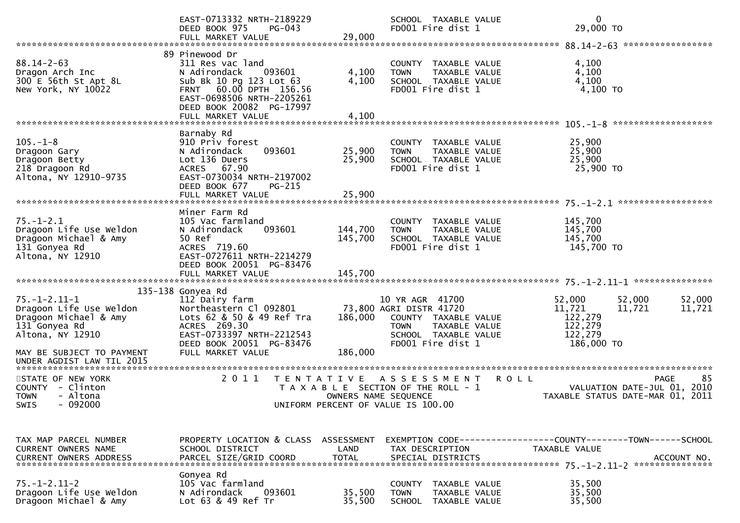|                                                                                                                                                                         | EAST-0713332 NRTH-2189229<br>DEED BOOK 975<br><b>PG-043</b><br>FULL MARKET VALUE                                                                                                                | 29,000                     | SCHOOL TAXABLE VALUE<br>FD001 Fire dist 1                                                                                                | 0<br>29,000 TO                                                                      |                   |
|-------------------------------------------------------------------------------------------------------------------------------------------------------------------------|-------------------------------------------------------------------------------------------------------------------------------------------------------------------------------------------------|----------------------------|------------------------------------------------------------------------------------------------------------------------------------------|-------------------------------------------------------------------------------------|-------------------|
|                                                                                                                                                                         |                                                                                                                                                                                                 |                            |                                                                                                                                          |                                                                                     |                   |
| $88.14 - 2 - 63$<br>Dragon Arch Inc<br>300 E 56th St Apt 8L<br>New York, NY 10022                                                                                       | 89 Pinewood Dr<br>311 Res vac land<br>N Adirondack<br>093601<br>Sub Bk 10 Pg 123 Lot 63<br>FRNT 60.00 DPTH 156.56<br>EAST-0698506 NRTH-2205261<br>DEED BOOK 20082 PG-17997<br>FULL MARKET VALUE | 4,100<br>4,100<br>4,100    | COUNTY TAXABLE VALUE<br>TAXABLE VALUE<br><b>TOWN</b><br>SCHOOL TAXABLE VALUE<br>FD001 Fire dist 1                                        | 4,100<br>4,100<br>4,100<br>4,100 TO                                                 |                   |
|                                                                                                                                                                         |                                                                                                                                                                                                 |                            |                                                                                                                                          |                                                                                     |                   |
| $105. - 1 - 8$<br>Dragoon Gary<br>Dragoon Betty<br>218 Dragoon Rd<br>Altona, NY 12910-9735                                                                              | Barnaby Rd<br>910 Priv forest<br>093601<br>N Adirondack<br>Lot 136 Duers<br>ACRES 67.90<br>EAST-0730034 NRTH-2197002<br>DEED BOOK 677<br><b>PG-215</b><br>FULL MARKET VALUE                     | 25,900<br>25,900<br>25,900 | COUNTY TAXABLE VALUE<br><b>TOWN</b><br>TAXABLE VALUE<br>SCHOOL TAXABLE VALUE<br>FD001 Fire dist 1                                        | 25,900<br>25,900<br>25,900<br>25,900 TO                                             |                   |
|                                                                                                                                                                         |                                                                                                                                                                                                 |                            |                                                                                                                                          |                                                                                     |                   |
| $75. - 1 - 2.1$<br>Dragoon Life Use Weldon<br>Dragoon Michael & Amy<br>131 Gonyea Rd<br>Altona, NY 12910                                                                | Miner Farm Rd<br>105 Vac farmland<br>093601<br>N Adirondack<br>50 Ref<br>ACRES 719.60<br>EAST-0727611 NRTH-2214279<br>DEED BOOK 20051 PG-83476                                                  | 144,700<br>145,700         | COUNTY TAXABLE VALUE<br>TAXABLE VALUE<br><b>TOWN</b><br>SCHOOL TAXABLE VALUE<br>FD001 Fire dist 1                                        | 145,700<br>145,700<br>145,700<br>145,700 TO                                         |                   |
|                                                                                                                                                                         | FULL MARKET VALUE                                                                                                                                                                               | 145,700                    |                                                                                                                                          |                                                                                     |                   |
| $75. - 1 - 2.11 - 1$<br>Dragoon Life Use Weldon<br>Dragoon Michael & Amy<br>131 Gonyea Rd<br>Altona, NY 12910<br>MAY BE SUBJECT TO PAYMENT<br>UNDER AGDIST LAW TIL 2015 | 135-138 Gonyea Rd<br>112 Dairy farm<br>Northeastern Cl 092801<br>Lots 62 & 50 & 49 Ref Tra<br>ACRES 269.30<br>EAST-0733397 NRTH-2212543<br>DEED BOOK 20051 PG-83476<br>FULL MARKET VALUE        | 186,000<br>186,000         | 10 YR AGR 41700<br>73,800 AGRI DISTR 41720<br>COUNTY TAXABLE VALUE<br>TOWN<br>TAXABLE VALUE<br>SCHOOL TAXABLE VALUE<br>FD001 Fire dist 1 | 52,000<br>52,000<br>11,721<br>11,721<br>122,279<br>122,279<br>122,279<br>186,000 TO | 52,000<br>11,721  |
|                                                                                                                                                                         |                                                                                                                                                                                                 |                            |                                                                                                                                          |                                                                                     |                   |
| STATE OF NEW YORK<br>COUNTY - Clinton<br>- Altona<br><b>TOWN</b><br>SWIS - 092000                                                                                       | 2011<br>T E N T A T I V E                                                                                                                                                                       | OWNERS NAME SEQUENCE       | A S S E S S M E N T<br>T A X A B L E SECTION OF THE ROLL - 1<br>UNIFORM PERCENT OF VALUE IS 100.00                                       | <b>ROLL</b><br>VALUATION DATE-JUL 01, 2010<br>TAXABLE STATUS DATE-MAR 01, 2011      | 85<br><b>PAGE</b> |
|                                                                                                                                                                         |                                                                                                                                                                                                 |                            |                                                                                                                                          |                                                                                     |                   |
| TAX MAP PARCEL NUMBER<br><b>CURRENT OWNERS NAME</b><br><b>CURRENT OWNERS ADDRESS</b>                                                                                    | PROPERTY LOCATION & CLASS ASSESSMENT<br>SCHOOL DISTRICT<br>PARCEL SIZE/GRID COORD                                                                                                               | LAND<br><b>TOTAL</b>       | TAX DESCRIPTION<br>SPECIAL DISTRICTS                                                                                                     | EXEMPTION CODE-----------------COUNTY-------TOWN------SCHOOL<br>TAXABLE VALUE       | ACCOUNT NO.       |
| $75. - 1 - 2.11 - 2$<br>Dragoon Life Use Weldon<br>Dragoon Michael & Amy                                                                                                | Gonyea Rd<br>105 Vac farmland<br>093601<br>N Adirondack<br>Lot 63 & 49 Ref Tr                                                                                                                   | 35,500<br>35,500           | COUNTY TAXABLE VALUE<br><b>TOWN</b><br>TAXABLE VALUE<br>SCHOOL TAXABLE VALUE                                                             | 35,500<br>35,500<br>35,500                                                          |                   |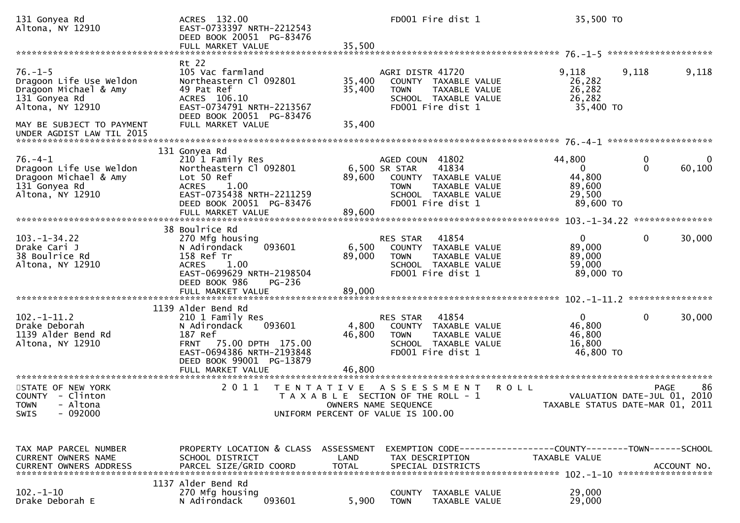| 131 Gonyea Rd<br>Altona, NY 12910                                                                      | ACRES 132.00<br>EAST-0733397 NRTH-2212543<br>DEED BOOK 20051 PG-83476                                                                                                                 |                           |                                                                                                                            | FD001 Fire dist 1                                                                           |             | 35,500 TO                                                                       |                                     |             |
|--------------------------------------------------------------------------------------------------------|---------------------------------------------------------------------------------------------------------------------------------------------------------------------------------------|---------------------------|----------------------------------------------------------------------------------------------------------------------------|---------------------------------------------------------------------------------------------|-------------|---------------------------------------------------------------------------------|-------------------------------------|-------------|
| $76. - 1 - 5$<br>Dragoon Life Use Weldon<br>Dragoon Michael & Amy<br>131 Gonyea Rd<br>Altona, NY 12910 | Rt 22<br>105 Vac farmland<br>Northeastern Cl 092801<br>49 Pat Ref<br>ACRES 106.10<br>EAST-0734791 NRTH-2213567<br>DEED BOOK 20051 PG-83476                                            | 35,400<br>35,400          | AGRI DISTR 41720<br><b>TOWN</b>                                                                                            | COUNTY TAXABLE VALUE<br>TAXABLE VALUE<br>SCHOOL TAXABLE VALUE<br>FD001 Fire dist 1          |             | 9,118<br>26,282<br>26,282<br>26,282<br>35,400 TO                                | 9,118                               | 9,118       |
| MAY BE SUBJECT TO PAYMENT<br>UNDER AGDIST LAW TIL 2015                                                 | FULL MARKET VALUE                                                                                                                                                                     | 35,400                    |                                                                                                                            |                                                                                             |             |                                                                                 |                                     |             |
| $76. - 4 - 1$<br>Dragoon Life Use Weldon<br>Dragoon Michael & Amy<br>131 Gonyea Rd<br>Altona, NY 12910 | 131 Gonyea Rd<br>210 1 Family Res<br>Northeastern Cl 092801<br>Lot 50 Ref<br><b>ACRES</b><br>1.00<br>EAST-0735438 NRTH-2211259<br>DEED BOOK 20051 PG-83476<br>FULL MARKET VALUE       | 89,600<br>89,600          | AGED COUN 41802<br>6,500 SR STAR<br><b>TOWN</b>                                                                            | 41834<br>COUNTY TAXABLE VALUE<br>TAXABLE VALUE<br>SCHOOL TAXABLE VALUE<br>FD001 Fire dist 1 |             | 44,800<br>0<br>44,800<br>89,600<br>29,500<br>89,600 TO                          | 0<br>$\Omega$                       | 0<br>60,100 |
| $103. - 1 - 34.22$<br>Drake Cari J<br>38 Boulrice Rd<br>Altona, NY 12910                               | 38 Boulrice Rd<br>270 Mfg housing<br>093601<br>N Adirondack<br>158 Ref Tr<br>1.00<br><b>ACRES</b><br>EAST-0699629 NRTH-2198504<br>DEED BOOK 986<br><b>PG-236</b><br>FULL MARKET VALUE | 6,500<br>89,000<br>89,000 | RES STAR<br><b>TOWN</b>                                                                                                    | 41854<br>COUNTY TAXABLE VALUE<br>TAXABLE VALUE<br>SCHOOL TAXABLE VALUE<br>FD001 Fire dist 1 |             | $\overline{0}$<br>89,000<br>89,000<br>59,000<br>89,000 TO                       | $\mathbf 0$                         | 30,000      |
|                                                                                                        | 1139 Alder Bend Rd                                                                                                                                                                    |                           |                                                                                                                            |                                                                                             |             |                                                                                 |                                     |             |
| $102 - 1 - 11.2$<br>Drake Deborah<br>1139 Alder Bend Rd<br>Altona, NY 12910                            | 210 1 Family Res<br>093601<br>N Adirondack<br>187 Ref<br><b>FRNT</b><br>75.00 DPTH 175.00<br>EAST-0694386 NRTH-2193848<br>DEED BOOK 99001 PG-13879<br>FULL MARKET VALUE               | 4,800<br>46,800<br>46,800 | RES STAR<br><b>TOWN</b>                                                                                                    | 41854<br>COUNTY TAXABLE VALUE<br>TAXABLE VALUE<br>SCHOOL TAXABLE VALUE<br>FD001 Fire dist 1 |             | $\mathbf{0}$<br>46,800<br>46,800<br>16,800<br>46,800 TO                         | $\mathbf 0$                         | 30,000      |
| STATE OF NEW YORK<br>COUNTY - Clinton<br>TOWN - Altona<br>$-092000$<br><b>SWIS</b>                     | 2 0 1 1<br>T E N T A T I V E                                                                                                                                                          |                           | A S S E S S M E N T<br>T A X A B L E SECTION OF THE ROLL - 1<br>OWNERS NAME SEQUENCE<br>UNIFORM PERCENT OF VALUE IS 100.00 |                                                                                             | <b>ROLL</b> | TAXABLE STATUS DATE-MAR 01, 2011                                                | PAGE<br>VALUATION DATE-JUL 01, 2010 | 86          |
| TAX MAP PARCEL NUMBER<br>CURRENT OWNERS NAME<br><b>CURRENT OWNERS ADDRESS</b>                          | PROPERTY LOCATION & CLASS ASSESSMENT<br>SCHOOL DISTRICT<br>PARCEL SIZE/GRID COORD                                                                                                     | LAND<br><b>TOTAL</b>      | TAX DESCRIPTION                                                                                                            | SPECIAL DISTRICTS                                                                           |             | EXEMPTION CODE------------------COUNTY--------TOWN------SCHOOL<br>TAXABLE VALUE |                                     | ACCOUNT NO. |
| $102 - 1 - 10$<br>Drake Deborah E                                                                      | 1137 Alder Bend Rd<br>270 Mfg housing<br>093601<br>N Adirondack                                                                                                                       | 5,900                     | <b>TOWN</b>                                                                                                                | COUNTY TAXABLE VALUE<br>TAXABLE VALUE                                                       |             | 29,000<br>29,000                                                                |                                     |             |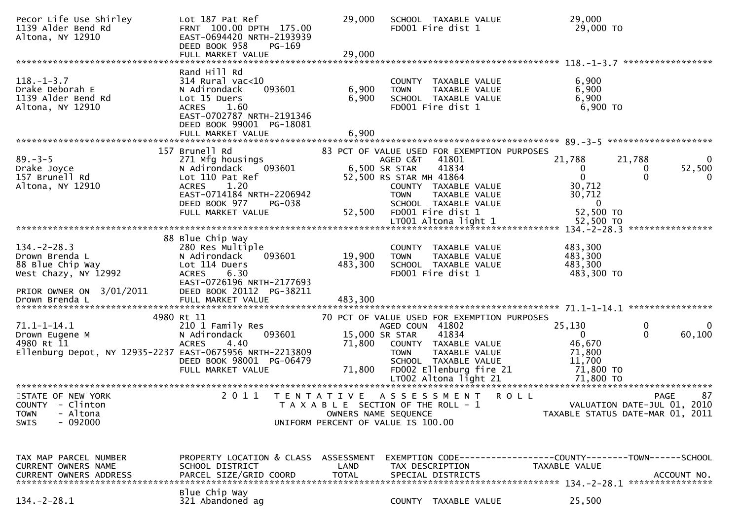| Pecor Life Use Shirley<br>1139 Alder Bend Rd<br>Altona, NY 12910                                                             | Lot 187 Pat Ref<br>FRNT 100.00 DPTH 175.00<br>EAST-0694420 NRTH-2193939<br>DEED BOOK 958<br><b>PG-169</b><br>FULL MARKET VALUE                                                        | 29,000<br>29,000             | SCHOOL TAXABLE VALUE<br>FD001 Fire dist 1                                                                                                                                                                                     |             | 29,000<br>29,000 TO                                                         |                                                                               |
|------------------------------------------------------------------------------------------------------------------------------|---------------------------------------------------------------------------------------------------------------------------------------------------------------------------------------|------------------------------|-------------------------------------------------------------------------------------------------------------------------------------------------------------------------------------------------------------------------------|-------------|-----------------------------------------------------------------------------|-------------------------------------------------------------------------------|
| $118. - 1 - 3.7$<br>Drake Deborah E<br>1139 Alder Bend Rd<br>Altona, NY 12910                                                | Rand Hill Rd<br>$314$ Rural vac<10<br>N Adirondack<br>093601<br>Lot 15 Duers<br><b>ACRES</b><br>1.60<br>EAST-0702787 NRTH-2191346<br>DEED BOOK 99001 PG-18081<br>FULL MARKET VALUE    | 6,900<br>6,900<br>6,900      | TAXABLE VALUE<br>COUNTY<br>TAXABLE VALUE<br><b>TOWN</b><br>SCHOOL TAXABLE VALUE<br>FD001 Fire dist 1                                                                                                                          |             | 6,900<br>6,900<br>6,900<br>$6,900$ TO                                       |                                                                               |
| $89. - 3 - 5$<br>Drake Joyce<br>157 Brunell Rd<br>Altona, NY 12910                                                           | 157 Brunell Rd<br>271 Mfg housings<br>093601<br>N Adirondack<br>Lot 110 Pat Ref<br><b>ACRES</b><br>1.20<br>EAST-0714184 NRTH-2206942<br>DEED BOOK 977<br>PG-038<br>FULL MARKET VALUE  | 52,500                       | 83 PCT OF VALUE USED FOR EXEMPTION PURPOSES<br>AGED C&T<br>41801<br>41834<br>6,500 SR STAR<br>52,500 RS STAR MH 41864<br>COUNTY TAXABLE VALUE<br>TAXABLE VALUE<br><b>TOWN</b><br>SCHOOL TAXABLE VALUE<br>FD001 Fire dist 1    |             | 21,788<br>0<br>$\mathbf 0$<br>30,712<br>30,712<br>$\mathbf{0}$<br>52,500 TO | 21,788<br>$\Omega$<br>52,500<br>0<br>0<br>$\Omega$<br>****************        |
| $134 - 2 - 28.3$<br>Drown Brenda L<br>88 Blue Chip Way<br>West Chazy, NY 12992<br>PRIOR OWNER ON 3/01/2011<br>Drown Brenda L | 88 Blue Chip Way<br>280 Res Multiple<br>N Adirondack<br>093601<br>Lot 114 Duers<br>6.30<br><b>ACRES</b><br>EAST-0726196 NRTH-2177693<br>DEED BOOK 20112 PG-38211<br>FULL MARKET VALUE | 19,900<br>483,300<br>483,300 | COUNTY<br>TAXABLE VALUE<br>TAXABLE VALUE<br><b>TOWN</b><br>SCHOOL TAXABLE VALUE<br>FD001 Fire dist 1                                                                                                                          |             | 483,300<br>483,300<br>483,300<br>483,300 TO                                 |                                                                               |
| $71.1 - 1 - 14.1$<br>Drown Eugene M<br>4980 Rt 11<br>Ellenburg Depot, NY 12935-2237 EAST-0675956 NRTH-2213809                | 4980 Rt 11<br>210 1 Family Res<br>N Adirondack<br>093601<br><b>ACRES</b><br>4.40<br>DEED BOOK 98001 PG-06479<br>FULL MARKET VALUE                                                     | 71,800<br>71,800             | 70 PCT OF VALUE USED FOR EXEMPTION PURPOSES<br>AGED COUN 41802<br>15,000 SR STAR<br>41834<br>COUNTY TAXABLE VALUE<br>TAXABLE VALUE<br><b>TOWN</b><br>SCHOOL TAXABLE VALUE<br>FD002 Ellenburg fire 21<br>LT002 Altona light 21 |             | 25,130<br>$\Omega$<br>46,670<br>71,800<br>11,700<br>71,800 TO<br>71,800 TO  | 0<br>$\Omega$<br>$\Omega$<br>60,100                                           |
| STATE OF NEW YORK<br>COUNTY - Clinton<br>- Altona<br><b>TOWN</b><br>$-092000$<br><b>SWIS</b>                                 | 2 0 1 1                                                                                                                                                                               | T E N T A T I V E            | A S S E S S M E N T<br>T A X A B L E SECTION OF THE ROLL - 1<br>OWNERS NAME SEQUENCE<br>UNIFORM PERCENT OF VALUE IS 100.00                                                                                                    | <b>ROLL</b> |                                                                             | 87<br>PAGE<br>VALUATION DATE-JUL 01, 2010<br>TAXABLE STATUS DATE-MAR 01, 2011 |
| TAX MAP PARCEL NUMBER<br><b>CURRENT OWNERS NAME</b><br>$134. -2 - 28.1$                                                      | PROPERTY LOCATION & CLASS ASSESSMENT<br>SCHOOL DISTRICT<br>Blue Chip Way<br>321 Abandoned ag                                                                                          | LAND                         | TAX DESCRIPTION<br>COUNTY TAXABLE VALUE                                                                                                                                                                                       |             | TAXABLE VALUE<br>25,500                                                     |                                                                               |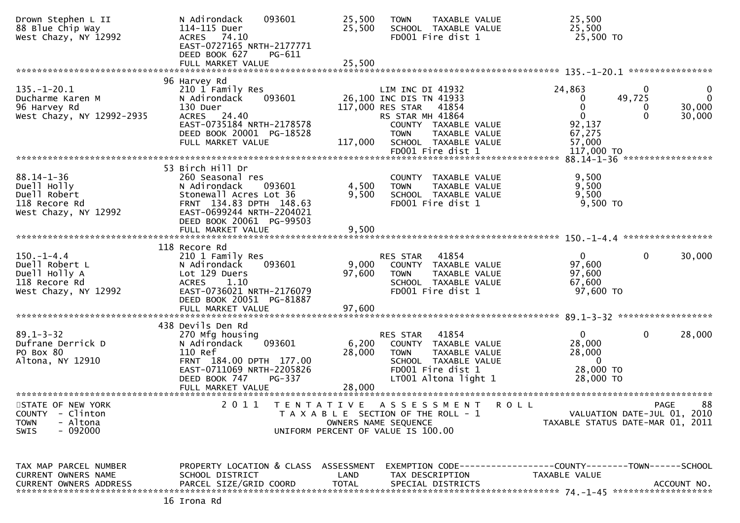| Drown Stephen L II<br>88 Blue Chip Way<br>West Chazy, NY 12992                                         | 093601<br>N Adirondack<br>114-115 Duer<br><b>ACRES</b><br>74.10<br>EAST-0727165 NRTH-2177771<br>DEED BOOK 627<br>PG-611<br>FULL MARKET VALUE                                 | 25,500<br><b>TOWN</b><br>25,500<br>SCHOOL TAXABLE VALUE<br>FD001 Fire dist 1<br>25,500                                                                                             | TAXABLE VALUE          | 25,500<br>25,500<br>25,500 TO                                                                           |                                   |
|--------------------------------------------------------------------------------------------------------|------------------------------------------------------------------------------------------------------------------------------------------------------------------------------|------------------------------------------------------------------------------------------------------------------------------------------------------------------------------------|------------------------|---------------------------------------------------------------------------------------------------------|-----------------------------------|
|                                                                                                        |                                                                                                                                                                              |                                                                                                                                                                                    |                        |                                                                                                         |                                   |
| $135. - 1 - 20.1$<br>Ducharme Karen M<br>96 Harvey Rd<br>West Chazy, NY 12992-2935                     | 96 Harvey Rd<br>210 1 Family Res<br>N Adirondack<br>093601<br>130 Duer<br>ACRES 24.40<br>EAST-0735184 NRTH-2178578<br>DEED BOOK 20001 PG-18528<br>FULL MARKET VALUE          | LIM INC DI 41932<br>26,100 INC DIS TN 41933<br>117,000 RES STAR<br>RS STAR MH 41864<br>COUNTY TAXABLE VALUE<br><b>TOWN</b><br>117,000<br>SCHOOL TAXABLE VALUE<br>FD001 Fire dist 1 | 41854<br>TAXABLE VALUE | 24,863<br>0<br>49,725<br>0<br>$\mathbf{0}$<br>$\Omega$<br>0<br>92,137<br>67,275<br>57,000<br>117,000 TO | 0<br>$\Omega$<br>30,000<br>30,000 |
|                                                                                                        |                                                                                                                                                                              |                                                                                                                                                                                    |                        |                                                                                                         | *****************                 |
| $88.14 - 1 - 36$<br>Duell Holly<br>Duell Robert<br>118 Recore Rd<br>West Chazy, NY 12992               | 53 Birch Hill Dr<br>260 Seasonal res<br>N Adirondack<br>093601<br>Stonewall Acres Lot 36<br>FRNT 134.83 DPTH 148.63<br>EAST-0699244 NRTH-2204021<br>DEED BOOK 20061 PG-99503 | COUNTY TAXABLE VALUE<br>4,500<br><b>TOWN</b><br>9,500<br>SCHOOL TAXABLE VALUE<br>FD001 Fire dist 1                                                                                 | TAXABLE VALUE          | 9,500<br>9,500<br>9,500<br>9,500 TO                                                                     |                                   |
|                                                                                                        | FULL MARKET VALUE                                                                                                                                                            | 9,500                                                                                                                                                                              |                        |                                                                                                         |                                   |
|                                                                                                        |                                                                                                                                                                              |                                                                                                                                                                                    |                        | $150 - 1 - 4.4$                                                                                         | *****************                 |
| $150. - 1 - 4.4$<br>Duell Robert L<br>Duell Holly A<br>118 Recore Rd<br>West Chazy, NY 12992           | 118 Recore Rd<br>210 1 Family Res<br>N Adirondack<br>093601<br>Lot 129 Duers<br>ACRES 1.10<br>EAST-0736021 NRTH-2176079<br>DEED BOOK 20051 PG-81887<br>FULL MARKET VALUE     | RES STAR<br>9,000<br>COUNTY TAXABLE VALUE<br>97,600<br><b>TOWN</b><br>SCHOOL TAXABLE VALUE<br>FD001 Fire dist 1<br>97,600                                                          | 41854<br>TAXABLE VALUE | 0<br>0<br>97,600<br>97,600<br>67,600<br>97,600 TO                                                       | 30,000                            |
|                                                                                                        |                                                                                                                                                                              |                                                                                                                                                                                    |                        |                                                                                                         |                                   |
| $89.1 - 3 - 32$<br>Dufrane Derrick D<br>PO Box 80<br>Altona, NY 12910                                  | 438 Devils Den Rd<br>270 Mfg housing<br>093601<br>N Adirondack<br>110 Ref<br>FRNT 184.00 DPTH 177.00<br>EAST-0711069 NRTH-2205826<br>DEED BOOK 747<br>PG-337                 | RES STAR<br>6,200<br>COUNTY TAXABLE VALUE<br>28,000<br><b>TOWN</b><br>SCHOOL TAXABLE VALUE<br>FD001 Fire dist 1<br>LT001 Altona light 1                                            | 41854<br>TAXABLE VALUE | $\overline{0}$<br>0<br>28,000<br>28,000<br>$\overline{0}$<br>28,000 TO<br>28,000 TO                     | 28,000                            |
|                                                                                                        | FULL MARKET VALUE                                                                                                                                                            | 28,000                                                                                                                                                                             |                        |                                                                                                         |                                   |
| STATE OF NEW YORK<br><b>COUNTY</b><br>- Clinton<br>- Altona<br><b>TOWN</b><br>$-092000$<br><b>SWIS</b> | 2 0 1 1<br>T E N T A T I V E                                                                                                                                                 | ASSESSMENT<br>T A X A B L E SECTION OF THE ROLL - 1<br>OWNERS NAME SEQUENCE<br>UNIFORM PERCENT OF VALUE IS 100.00                                                                  | R O L L                | VALUATION DATE-JUL 01, 2010<br>TAXABLE STATUS DATE-MAR 01, 2011                                         | 88<br>PAGE                        |
| TAX MAP PARCEL NUMBER<br>CURRENT OWNERS NAME<br><b>CURRENT OWNERS ADDRESS</b>                          | PROPERTY LOCATION & CLASS<br>SCHOOL DISTRICT<br>PARCEL SIZE/GRID COORD                                                                                                       | ASSESSMENT<br>LAND<br>TAX DESCRIPTION<br><b>TOTAL</b><br>SPECIAL DISTRICTS                                                                                                         |                        | TAXABLE VALUE                                                                                           | ACCOUNT NO.                       |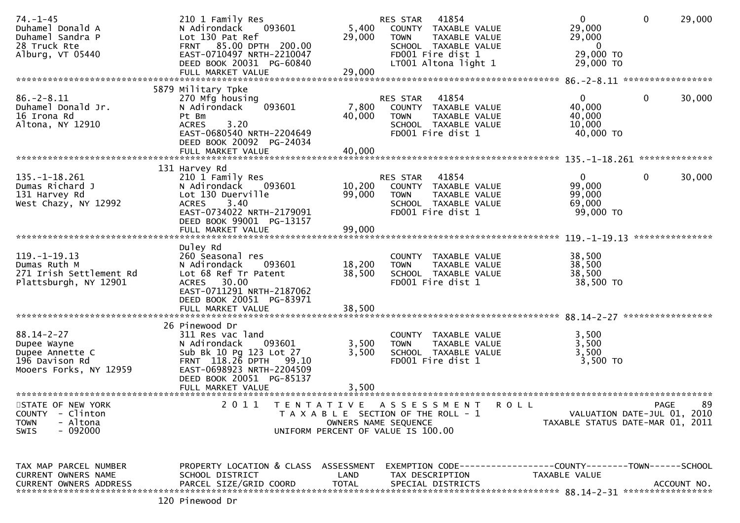| $74. - 1 - 45$<br>Duhamel Donald A<br>Duhamel Sandra P<br>28 Truck Rte<br>Alburg, VT 05440     | 210 1 Family Res<br>093601<br>N Adirondack<br>Lot 130 Pat Ref<br>FRNT 85.00 DPTH 200.00<br>EAST-0710497 NRTH-2210047<br>DEED BOOK 20031 PG-60840<br>FULL MARKET VALUE                  | 5,400<br>29,000<br>29,000  | 41854<br>RES STAR<br>COUNTY TAXABLE VALUE<br>TAXABLE VALUE<br><b>TOWN</b><br>SCHOOL TAXABLE VALUE<br>FD001 Fire dist 1<br>LT001 Altona light 1 | $\mathbf{0}$<br>29,000<br>29,000<br>$\mathbf{0}$<br>29,000 TO<br>29,000 TO | 29,000<br>$\mathbf{0}$ |
|------------------------------------------------------------------------------------------------|----------------------------------------------------------------------------------------------------------------------------------------------------------------------------------------|----------------------------|------------------------------------------------------------------------------------------------------------------------------------------------|----------------------------------------------------------------------------|------------------------|
|                                                                                                | 5879 Military Tpke                                                                                                                                                                     |                            |                                                                                                                                                |                                                                            |                        |
| $86. - 2 - 8.11$<br>Duhamel Donald Jr.<br>16 Irona Rd<br>Altona, NY 12910                      | 270 Mfg housing<br>093601<br>N Adirondack<br>Pt Bm<br>3.20<br><b>ACRES</b><br>EAST-0680540 NRTH-2204649<br>DEED BOOK 20092 PG-24034<br>FULL MARKET VALUE                               | 7,800<br>40,000<br>40,000  | 41854<br><b>RES STAR</b><br>COUNTY<br>TAXABLE VALUE<br><b>TOWN</b><br>TAXABLE VALUE<br>SCHOOL TAXABLE VALUE<br>FD001 Fire dist 1               | $\overline{0}$<br>40,000<br>40,000<br>10,000<br>40,000 TO                  | $\mathbf{0}$<br>30,000 |
|                                                                                                |                                                                                                                                                                                        |                            |                                                                                                                                                |                                                                            |                        |
| 135. –1–18.261<br>Dumas Richard J<br>131 Harvey Rd<br>West Chazy, NY 12992                     | 131 Harvey Rd<br>210 1 Family Res<br>N Adirondack<br>093601<br>Lot 130 Duerville<br>3.40<br><b>ACRES</b><br>EAST-0734022 NRTH-2179091<br>DEED BOOK 99001 PG-13157<br>FULL MARKET VALUE | 10,200<br>99,000<br>99,000 | 41854<br>RES STAR<br>COUNTY TAXABLE VALUE<br>TAXABLE VALUE<br><b>TOWN</b><br>SCHOOL TAXABLE VALUE<br>FD001 Fire dist 1                         | $\mathbf{0}$<br>99,000<br>99,000<br>69,000<br>99,000 TO                    | 30,000<br>0            |
|                                                                                                |                                                                                                                                                                                        |                            |                                                                                                                                                |                                                                            | ***************        |
| $119. - 1 - 19.13$<br>Dumas Ruth M<br>271 Irish Settlement Rd<br>Plattsburgh, NY 12901         | Duley Rd<br>260 Seasonal res<br>N Adirondack<br>093601<br>Lot 68 Ref Tr Patent<br>ACRES 30.00<br>EAST-0711291 NRTH-2187062<br>DEED BOOK 20051 PG-83971<br>FULL MARKET VALUE            | 18,200<br>38,500<br>38,500 | COUNTY<br>TAXABLE VALUE<br><b>TOWN</b><br>TAXABLE VALUE<br>SCHOOL TAXABLE VALUE<br>FD001 Fire dist 1                                           | 38,500<br>38,500<br>38,500<br>38,500 TO                                    |                        |
|                                                                                                | 26 Pinewood Dr                                                                                                                                                                         |                            |                                                                                                                                                |                                                                            |                        |
| $88.14 - 2 - 27$<br>Dupee Wayne<br>Dupee Annette C<br>196 Davison Rd<br>Mooers Forks, NY 12959 | 311 Res vac land<br>N Adirondack<br>093601<br>Sub Bk 10 Pg 123 Lot 27<br>FRNT 118.26 DPTH 99.10<br>EAST-0698923 NRTH-2204509<br>DEED BOOK 20051 PG-85137<br>FULL MARKET VALUE          | 3,500<br>3,500<br>3,500    | COUNTY TAXABLE VALUE<br><b>TOWN</b><br>TAXABLE VALUE<br>SCHOOL TAXABLE VALUE<br>FD001 Fire dist 1                                              | 3,500<br>3,500<br>3,500<br>3,500 TO                                        |                        |
| ************************<br>STATE OF NEW YORK                                                  | ***************************<br>2 0 1 1                                                                                                                                                 |                            | A S S E S S M E N T<br><b>ROLL</b>                                                                                                             |                                                                            | 89<br><b>PAGE</b>      |
| COUNTY - Clinton<br>- Altona<br><b>TOWN</b><br>$-092000$<br><b>SWIS</b>                        | T E N T A T I V E                                                                                                                                                                      | OWNERS NAME SEQUENCE       | T A X A B L E SECTION OF THE ROLL - 1<br>UNIFORM PERCENT OF VALUE IS 100.00                                                                    | VALUATION DATE-JUL 01, 2010<br>TAXABLE STATUS DATE-MAR 01, 2011            |                        |
| TAX MAP PARCEL NUMBER<br><b>CURRENT OWNERS NAME</b><br><b>CURRENT OWNERS ADDRESS</b>           | PROPERTY LOCATION & CLASS ASSESSMENT<br>SCHOOL DISTRICT<br>PARCEL SIZE/GRID COORD<br>120 Pinewood Dr                                                                                   | LAND<br><b>TOTAL</b>       | TAX DESCRIPTION<br>SPECIAL DISTRICTS                                                                                                           | TAXABLE VALUE                                                              | ACCOUNT NO.            |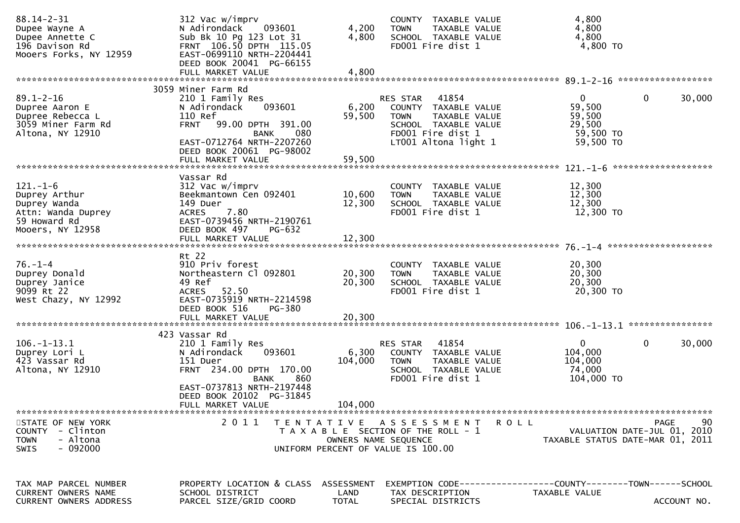| $88.14 - 2 - 31$<br>Dupee Wayne A<br>Dupee Annette C<br>196 Davison Rd<br>Mooers Forks, NY 12959         | 312 Vac w/imprv<br>N Adirondack<br>093601<br>Sub Bk 10 Pg 123 Lot 31<br>FRNT 106.50 DPTH 115.05<br>EAST-0699110 NRTH-2204441<br>DEED BOOK 20041 PG-66155                                       | 4,200<br>4,800             | COUNTY TAXABLE VALUE<br><b>TOWN</b><br>TAXABLE VALUE<br>SCHOOL TAXABLE VALUE<br>FD001 Fire dist 1                                              | 4,800<br>4,800<br>4,800<br>4,800 TO                                            |             |
|----------------------------------------------------------------------------------------------------------|------------------------------------------------------------------------------------------------------------------------------------------------------------------------------------------------|----------------------------|------------------------------------------------------------------------------------------------------------------------------------------------|--------------------------------------------------------------------------------|-------------|
|                                                                                                          | FULL MARKET VALUE                                                                                                                                                                              | 4,800                      |                                                                                                                                                |                                                                                |             |
| $89.1 - 2 - 16$<br>Dupree Aaron E<br>Dupree Rebecca L<br>3059 Miner Farm Rd<br>Altona, NY 12910          | 3059 Miner Farm Rd<br>210 1 Family Res<br>093601<br>N Adirondack<br>110 Ref<br><b>FRNT</b><br>99.00 DPTH 391.00<br><b>BANK</b><br>080<br>EAST-0712764 NRTH-2207260<br>DEED BOOK 20061 PG-98002 | 6,200<br>59,500            | RES STAR<br>41854<br>COUNTY TAXABLE VALUE<br>TAXABLE VALUE<br><b>TOWN</b><br>SCHOOL TAXABLE VALUE<br>FD001 Fire dist 1<br>LT001 Altona light 1 | $\overline{0}$<br>0<br>59,500<br>59,500<br>29,500<br>59,500 TO<br>59,500 TO    | 30,000      |
| $121 - 1 - 6$<br>Duprey Arthur<br>Duprey Wanda<br>Attn: Wanda Duprey<br>59 Howard Rd<br>Mooers, NY 12958 | Vassar Rd<br>312 Vac w/imprv<br>Beekmantown Cen 092401<br>149 Duer<br>7.80<br><b>ACRES</b><br>EAST-0739456 NRTH-2190761<br>DEED BOOK 497<br><b>PG-632</b><br>FULL MARKET VALUE                 | 10,600<br>12,300<br>12,300 | COUNTY TAXABLE VALUE<br>TAXABLE VALUE<br><b>TOWN</b><br>SCHOOL TAXABLE VALUE<br>FD001 Fire dist 1                                              | 12,300<br>12,300<br>12,300<br>12,300 TO                                        |             |
|                                                                                                          |                                                                                                                                                                                                |                            |                                                                                                                                                |                                                                                |             |
| $76. - 1 - 4$<br>Duprey Donald<br>Duprey Janice<br>9099 Rt 22<br>West Chazy, NY 12992                    | Rt 22<br>910 Priv forest<br>Northeastern Cl 092801<br>49 Ref<br>52.50<br>ACRES<br>EAST-0735919 NRTH-2214598<br>DEED BOOK 516<br>PG-380                                                         | 20,300<br>20,300           | COUNTY TAXABLE VALUE<br>TAXABLE VALUE<br><b>TOWN</b><br>SCHOOL TAXABLE VALUE<br>FD001 Fire dist 1                                              | 20,300<br>20,300<br>20,300<br>20,300 TO                                        |             |
|                                                                                                          |                                                                                                                                                                                                |                            |                                                                                                                                                |                                                                                |             |
| $106. -1 - 13.1$<br>Duprey Lori L<br>423 Vassar Rd<br>Altona, NY 12910                                   | 423 Vassar Rd<br>210 1 Family Res<br>093601<br>N Adirondack<br>151 Duer<br>FRNT 234.00 DPTH 170.00<br>860<br>BANK<br>EAST-0737813 NRTH-2197448<br>DEED BOOK 20102 PG-31845                     | 6,300<br>104,000           | 41854<br><b>RES STAR</b><br>COUNTY TAXABLE VALUE<br><b>TOWN</b><br>TAXABLE VALUE<br>SCHOOL TAXABLE VALUE<br>FD001 Fire dist 1                  | $\overline{0}$<br>0<br>104,000<br>104,000<br>74,000<br>104,000 TO              | 30,000      |
|                                                                                                          | FULL MARKET VALUE                                                                                                                                                                              | 104,000                    |                                                                                                                                                |                                                                                |             |
| STATE OF NEW YORK<br>- Clinton<br><b>COUNTY</b><br>- Altona<br><b>TOWN</b><br>$-092000$<br><b>SWIS</b>   | 2011                                                                                                                                                                                           | OWNERS NAME SEQUENCE       | TENTATIVE ASSESSMENT<br>R O L L<br>T A X A B L E SECTION OF THE ROLL - 1<br>UNIFORM PERCENT OF VALUE IS 100.00                                 | <b>PAGE</b><br>VALUATION DATE-JUL 01, 2010<br>TAXABLE STATUS DATE-MAR 01, 2011 | 90          |
| TAX MAP PARCEL NUMBER<br><b>CURRENT OWNERS NAME</b><br>CURRENT OWNERS ADDRESS                            | PROPERTY LOCATION & CLASS ASSESSMENT<br>SCHOOL DISTRICT<br>PARCEL SIZE/GRID COORD                                                                                                              | LAND<br><b>TOTAL</b>       | TAX DESCRIPTION<br>SPECIAL DISTRICTS                                                                                                           | EXEMPTION CODE-----------------COUNTY-------TOWN------SCHOOL<br>TAXABLE VALUE  | ACCOUNT NO. |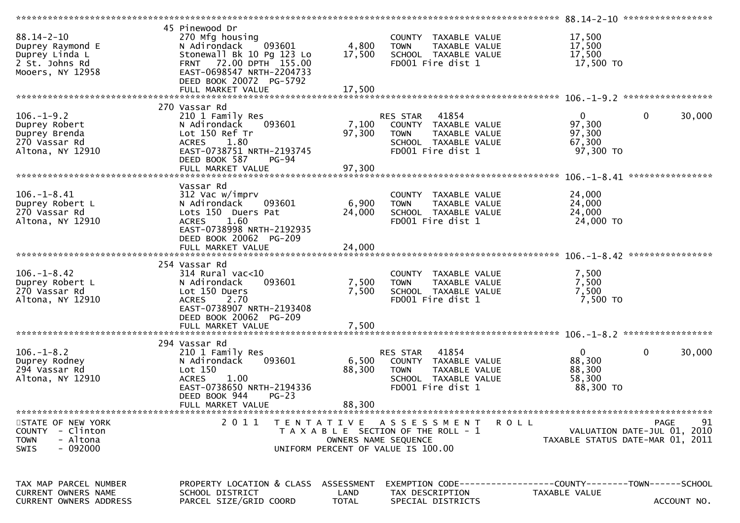|                                                                                              |                                                                                                                                                                                                 |                                    |                                                                                                                        | 88.14-2-10 *******************<br>************                  |                                           |
|----------------------------------------------------------------------------------------------|-------------------------------------------------------------------------------------------------------------------------------------------------------------------------------------------------|------------------------------------|------------------------------------------------------------------------------------------------------------------------|-----------------------------------------------------------------|-------------------------------------------|
| $88.14 - 2 - 10$<br>Duprey Raymond E<br>Duprey Linda L<br>2 St. Johns Rd<br>Mooers, NY 12958 | 45 Pinewood Dr<br>270 Mfg housing<br>093601<br>N Adirondack<br>Stonewall Bk 10 Pg 123 Lo<br>FRNT 72.00 DPTH 155.00<br>EAST-0698547 NRTH-2204733<br>DEED BOOK 20072 PG-5792<br>FULL MARKET VALUE | 4,800<br>17,500<br>17,500          | COUNTY TAXABLE VALUE<br>TAXABLE VALUE<br><b>TOWN</b><br>SCHOOL TAXABLE VALUE<br>FD001 Fire dist 1                      | 17,500<br>17,500<br>17,500<br>17,500 TO                         |                                           |
|                                                                                              |                                                                                                                                                                                                 |                                    |                                                                                                                        |                                                                 |                                           |
| $106. - 1 - 9.2$<br>Duprey Robert<br>Duprey Brenda<br>270 Vassar Rd<br>Altona, NY 12910      | 270 Vassar Rd<br>210 1 Family Res<br>093601<br>N Adirondack<br>Lot 150 Ref Tr<br>1.80<br><b>ACRES</b><br>EAST-0738751 NRTH-2193745<br>DEED BOOK 587<br><b>PG-94</b><br>FULL MARKET VALUE        | 7,100<br>97,300<br>97,300          | 41854<br>RES STAR<br>COUNTY TAXABLE VALUE<br>TAXABLE VALUE<br><b>TOWN</b><br>SCHOOL TAXABLE VALUE<br>FD001 Fire dist 1 | $\Omega$<br>97,300<br>97,300<br>67,300<br>97,300 TO             | $\mathbf 0$<br>30,000<br>**************** |
| $106. - 1 - 8.41$<br>Duprey Robert L<br>270 Vassar Rd<br>Altona, NY 12910                    | Vassar Rd<br>312 Vac w/imprv<br>093601<br>N Adirondack<br>Lots 150 Duers Pat<br>1.60<br><b>ACRES</b><br>EAST-0738998 NRTH-2192935<br>DEED BOOK 20062 PG-209                                     | 6,900<br>24,000                    | COUNTY TAXABLE VALUE<br><b>TOWN</b><br>TAXABLE VALUE<br>SCHOOL TAXABLE VALUE<br>FD001 Fire dist 1                      | 24,000<br>24,000<br>24,000<br>24,000 TO                         |                                           |
| $106. - 1 - 8.42$<br>Duprey Robert L<br>270 Vassar Rd<br>Altona, NY 12910                    | 254 Vassar Rd<br>$314$ Rural vac<10<br>N Adirondack<br>093601<br>Lot 150 Duers<br>2.70<br><b>ACRES</b><br>EAST-0738907 NRTH-2193408<br>DEED BOOK 20062 PG-209                                   | 7,500<br>7,500                     | COUNTY TAXABLE VALUE<br>TAXABLE VALUE<br><b>TOWN</b><br>SCHOOL TAXABLE VALUE<br>FD001 Fire dist 1                      | 7,500<br>7,500<br>7,500<br>7,500 TO                             |                                           |
| $106. - 1 - 8.2$<br>Duprey Rodney<br>294 Vassar Rd<br>Altona, NY 12910                       | 294 Vassar Rd<br>210 1 Family Res<br>093601<br>N Adirondack<br>Lot 150<br>1.00<br><b>ACRES</b><br>EAST-0738650 NRTH-2194336<br>DEED BOOK 944<br>$PG-23$<br>FULL MARKET VALUE                    | 6,500<br>88,300<br>88,300          | RES STAR<br>41854<br>COUNTY TAXABLE VALUE<br><b>TOWN</b><br>TAXABLE VALUE<br>SCHOOL TAXABLE VALUE<br>FD001 Fire dist 1 | $\Omega$<br>88,300<br>88,300<br>58,300<br>88,300 TO             | 0<br>30,000                               |
| STATE OF NEW YORK<br>COUNTY - Clinton<br>- Altona<br><b>TOWN</b><br>$-092000$<br><b>SWIS</b> | 2011                                                                                                                                                                                            | OWNERS NAME SEQUENCE               | <b>ROLL</b><br>TENTATIVE ASSESSMENT<br>T A X A B L E SECTION OF THE ROLL - 1<br>UNIFORM PERCENT OF VALUE IS 100.00     | VALUATION DATE-JUL 01, 2010<br>TAXABLE STATUS DATE-MAR 01, 2011 | 91<br><b>PAGE</b>                         |
| TAX MAP PARCEL NUMBER<br><b>CURRENT OWNERS NAME</b><br><b>CURRENT OWNERS ADDRESS</b>         | PROPERTY LOCATION & CLASS<br>SCHOOL DISTRICT<br>PARCEL SIZE/GRID COORD                                                                                                                          | ASSESSMENT<br>LAND<br><b>TOTAL</b> | TAX DESCRIPTION<br>SPECIAL DISTRICTS                                                                                   | TAXABLE VALUE                                                   | ACCOUNT NO.                               |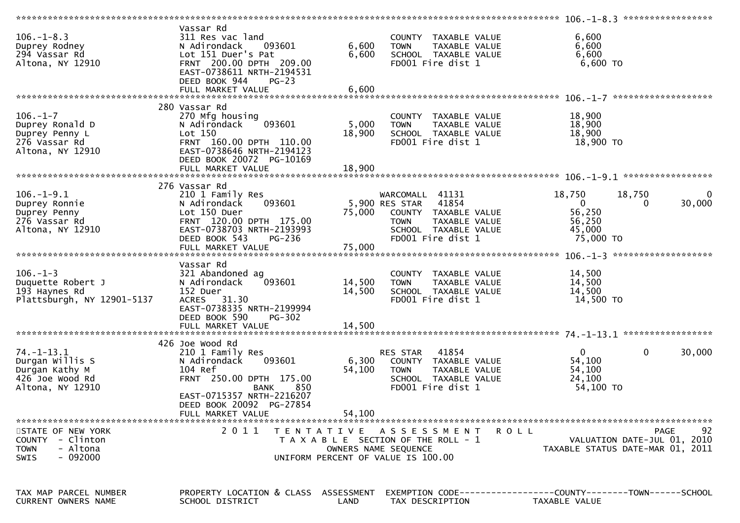| $106. - 1 - 8.3$<br>Duprey Rodney<br>294 Vassar Rd<br>Altona, NY 12910                       | Vassar Rd<br>311 Res vac land<br>093601<br>N Adirondack<br>Lot 151 Duer's Pat<br>FRNT 200.00 DPTH 209.00<br>EAST-0738611 NRTH-2194531<br>DEED BOOK 944<br>$PG-23$<br>FULL MARKET VALUE | 6,600<br>6,600<br>6,600 | COUNTY TAXABLE VALUE<br>TAXABLE VALUE<br><b>TOWN</b><br>SCHOOL TAXABLE VALUE<br>FD001 Fire dist 1                                            | 6,600<br>6,600<br>6,600<br>6,600 TO                                              |                    |
|----------------------------------------------------------------------------------------------|----------------------------------------------------------------------------------------------------------------------------------------------------------------------------------------|-------------------------|----------------------------------------------------------------------------------------------------------------------------------------------|----------------------------------------------------------------------------------|--------------------|
|                                                                                              |                                                                                                                                                                                        |                         |                                                                                                                                              |                                                                                  |                    |
| $106. - 1 - 7$<br>Duprey Ronald D<br>Duprey Penny L<br>276 Vassar Rd<br>Altona, NY 12910     | 280 Vassar Rd<br>270 Mfg housing<br>093601<br>N Adirondack<br>Lot 150<br>FRNT 160.00 DPTH 110.00<br>EAST-0738646 NRTH-2194123<br>DEED BOOK 20072 PG-10169                              | 5,000<br>18,900         | COUNTY TAXABLE VALUE<br><b>TOWN</b><br>TAXABLE VALUE<br>SCHOOL TAXABLE VALUE<br>FD001 Fire dist 1                                            | 18,900<br>18,900<br>18,900<br>18,900 TO                                          |                    |
|                                                                                              |                                                                                                                                                                                        |                         |                                                                                                                                              |                                                                                  |                    |
| $106. - 1 - 9.1$<br>Duprey Ronnie<br>Duprey Penny<br>276 Vassar Rd<br>Altona, NY 12910       | 276 Vassar Rd<br>210 1 Family Res<br>093601<br>N Adirondack<br>Lot 150 Duer<br>FRNT 120.00 DPTH 175.00<br>EAST-0738703 NRTH-2193993<br>DEED BOOK 543<br><b>PG-236</b>                  | 75,000                  | WARCOMALL 41131<br>5,900 RES STAR 41854<br>COUNTY TAXABLE VALUE<br>TAXABLE VALUE<br><b>TOWN</b><br>SCHOOL TAXABLE VALUE<br>FD001 Fire dist 1 | 18,750<br>18,750<br>$\mathbf{0}$<br>0<br>56,250<br>56,250<br>45,000<br>75,000 TO | $\Omega$<br>30,000 |
|                                                                                              |                                                                                                                                                                                        |                         |                                                                                                                                              |                                                                                  |                    |
|                                                                                              |                                                                                                                                                                                        |                         |                                                                                                                                              |                                                                                  |                    |
| $106. - 1 - 3$<br>Duquette Robert J<br>193 Haynes Rd<br>Plattsburgh, NY 12901-5137           | Vassar Rd<br>321 Abandoned ag<br>093601<br>N Adirondack<br>152 Duer<br>ACRES 31.30<br>EAST-0738335 NRTH-2199994<br>DEED BOOK 590<br>$PG-302$                                           | 14,500<br>14,500        | COUNTY TAXABLE VALUE<br>TAXABLE VALUE<br><b>TOWN</b><br>SCHOOL TAXABLE VALUE<br>FD001 Fire dist 1                                            | 14,500<br>14,500<br>14,500<br>14,500 TO                                          |                    |
|                                                                                              |                                                                                                                                                                                        |                         |                                                                                                                                              |                                                                                  |                    |
| $74. - 1 - 13.1$<br>Durgan Willis S<br>Durgan Kathy M<br>426 Joe Wood Rd<br>Altona, NY 12910 | 426 Joe Wood Rd<br>210 1 Family Res<br>093601<br>N Adirondack<br>104 Ref<br>FRNT 250.00 DPTH 175.00<br>850<br>BANK<br>EAST-0715357 NRTH-2216207<br>DEED BOOK 20092 PG-27854            | 6,300<br>54,100         | 41854<br>RES STAR<br>COUNTY TAXABLE VALUE<br><b>TOWN</b><br>TAXABLE VALUE<br>SCHOOL TAXABLE VALUE<br>FD001 Fire dist 1                       | $\mathbf 0$<br>$\mathbf{0}$<br>54,100<br>54,100<br>24,100<br>54,100 TO           | 30,000             |
|                                                                                              | FULL MARKET VALUE                                                                                                                                                                      | 54,100                  |                                                                                                                                              |                                                                                  |                    |
| STATE OF NEW YORK<br>COUNTY - Clinton<br>- Altona<br><b>TOWN</b><br>$-092000$<br><b>SWIS</b> | 2011                                                                                                                                                                                   |                         | TENTATIVE ASSESSMENT<br>R O L L<br>T A X A B L E SECTION OF THE ROLL - 1<br>OWNERS NAME SEQUENCE<br>UNIFORM PERCENT OF VALUE IS 100.00       | VALUATION DATE-JUL 01, 2010<br>TAXABLE STATUS DATE-MAR 01, 2011                  | 92<br><b>PAGE</b>  |
| TAX MAP PARCEL NUMBER<br>CURRENT OWNERS NAME                                                 | PROPERTY LOCATION & CLASS ASSESSMENT<br>SCHOOL DISTRICT                                                                                                                                | LAND                    | TAX DESCRIPTION                                                                                                                              | TAXABLE VALUE                                                                    |                    |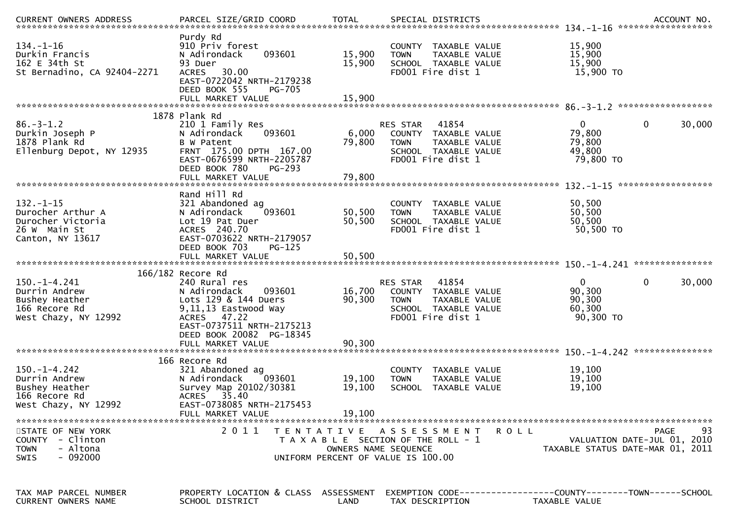|                                                                                                |                                                                                                                                                                               |                            |                                                                                                                                            | ACCOUNT NO.<br>******************                                                  |    |
|------------------------------------------------------------------------------------------------|-------------------------------------------------------------------------------------------------------------------------------------------------------------------------------|----------------------------|--------------------------------------------------------------------------------------------------------------------------------------------|------------------------------------------------------------------------------------|----|
| 134.-1-16<br>Durkin Francis<br>162 E 34th St<br>St Bernadino, CA 92404-2271                    | Purdy Rd<br>910 Priv forest<br>093601<br>N Adirondack<br>93 Duer<br>30.00<br><b>ACRES</b><br>EAST-0722042 NRTH-2179238<br>DEED BOOK 555<br><b>PG-705</b><br>FULL MARKET VALUE | 15,900<br>15,900<br>15,900 | COUNTY TAXABLE VALUE<br>TAXABLE VALUE<br><b>TOWN</b><br>SCHOOL TAXABLE VALUE<br>FD001 Fire dist 1                                          | 15,900<br>15,900<br>15,900<br>15,900 TO                                            |    |
|                                                                                                |                                                                                                                                                                               |                            |                                                                                                                                            |                                                                                    |    |
| $86. - 3 - 1.2$<br>Durkin Joseph P<br>1878 Plank Rd<br>Ellenburg Depot, NY 12935               | 1878 Plank Rd<br>210 1 Family Res<br>N Adirondack<br>093601<br>B W Patent<br>FRNT 175.00 DPTH 167.00<br>EAST-0676599 NRTH-2205787<br>DEED BOOK 780<br>PG-293                  | 6,000<br>79,800            | RES STAR<br>41854<br>COUNTY TAXABLE VALUE<br>TAXABLE VALUE<br><b>TOWN</b><br>SCHOOL TAXABLE VALUE<br>FD001 Fire dist 1                     | $\mathbf 0$<br>$\overline{0}$<br>30,000<br>79,800<br>79,800<br>49,800<br>79,800 TO |    |
|                                                                                                | FULL MARKET VALUE                                                                                                                                                             | 79,800                     |                                                                                                                                            | $132 - 1 - 15$<br>******************                                               |    |
| $132. - 1 - 15$<br>Durocher Arthur A<br>Durocher Victoria<br>26 W Main St<br>Canton, NY 13617  | Rand Hill Rd<br>321 Abandoned ag<br>N Adirondack<br>093601<br>Lot 19 Pat Duer<br>ACRES 240.70<br>EAST-0703622 NRTH-2179057                                                    | 50,500<br>50,500           | TAXABLE VALUE<br>COUNTY<br>TAXABLE VALUE<br><b>TOWN</b><br>SCHOOL TAXABLE VALUE<br>FD001 Fire dist 1                                       | 50,500<br>50,500<br>50,500<br>50,500 TO                                            |    |
|                                                                                                | DEED BOOK 703<br>$PG-125$<br>FULL MARKET VALUE                                                                                                                                | 50,500                     |                                                                                                                                            |                                                                                    |    |
|                                                                                                | 166/182 Recore Rd                                                                                                                                                             |                            |                                                                                                                                            | ***************                                                                    |    |
| $150. - 1 - 4.241$<br>Durrin Andrew<br>Bushey Heather<br>166 Recore Rd<br>West Chazy, NY 12992 | 240 Rural res<br>N Adirondack<br>093601<br>Lots 129 & 144 Duers<br>9,11,13 Eastwood Way<br>ACRES<br>47.22                                                                     | 16,700<br>90,300           | 41854<br>RES STAR<br>COUNTY TAXABLE VALUE<br><b>TOWN</b><br>TAXABLE VALUE<br>SCHOOL TAXABLE VALUE                                          | $\mathbf{0}$<br>$\mathbf 0$<br>30,000<br>90,300<br>90,300<br>60,300                |    |
|                                                                                                | EAST-0737511 NRTH-2175213                                                                                                                                                     |                            | FD001 Fire dist 1                                                                                                                          | 90,300 TO                                                                          |    |
|                                                                                                | DEED BOOK 20082 PG-18345<br>FULL MARKET VALUE                                                                                                                                 | 90,300                     |                                                                                                                                            |                                                                                    |    |
| $150. - 1 - 4.242$<br>Durrin Andrew<br>Bushey Heather<br>166 Recore Rd<br>West Chazy, NY 12992 | 166 Recore Rd<br>321 Abandoned ag<br>N Adirondack<br>093601<br>Survey Map 20102/30381<br>35.40<br><b>ACRES</b><br>EAST-0738085 NRTH-2175453<br>FULL MARKET VALUE              | 19,100<br>19,100<br>19,100 | <b>COUNTY</b><br>TAXABLE VALUE<br>TAXABLE VALUE<br><b>TOWN</b><br>SCHOOL TAXABLE VALUE                                                     | 19,100<br>19,100<br>19,100                                                         |    |
|                                                                                                |                                                                                                                                                                               |                            |                                                                                                                                            |                                                                                    |    |
| STATE OF NEW YORK<br>COUNTY - Clinton<br>- Altona<br><b>TOWN</b><br>- 092000<br><b>SWIS</b>    | 2011                                                                                                                                                                          |                            | TENTATIVE ASSESSMENT<br><b>ROLL</b><br>T A X A B L E SECTION OF THE ROLL - 1<br>OWNERS NAME SEQUENCE<br>UNIFORM PERCENT OF VALUE IS 100.00 | <b>PAGE</b><br>VALUATION DATE-JUL 01, 2010<br>TAXABLE STATUS DATE-MAR 01, 2011     | 93 |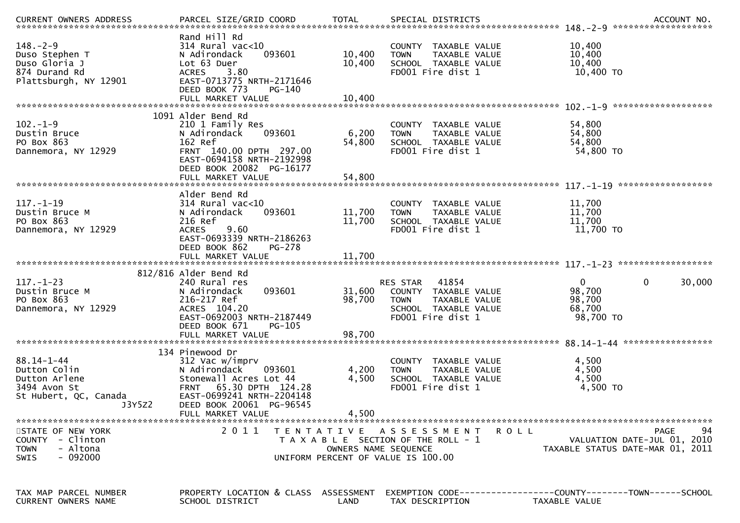| $148. - 2 - 9$<br>Duso Stephen T<br>Duso Gloria J<br>874 Durand Rd<br>Plattsburgh, NY 12901          | Rand Hill Rd<br>314 Rural vac<10<br>093601<br>N Adirondack<br>Lot 63 Duer<br><b>ACRES</b><br>3.80<br>EAST-0713775 NRTH-2171646<br>DEED BOOK 773<br>$PG-140$                                              | 10,400<br>10,400           | COUNTY TAXABLE VALUE<br><b>TOWN</b><br>TAXABLE VALUE<br>SCHOOL TAXABLE VALUE<br>FD001 Fire dist 1                      | 10,400<br>10,400<br>10,400<br>10,400 TO                                              |
|------------------------------------------------------------------------------------------------------|----------------------------------------------------------------------------------------------------------------------------------------------------------------------------------------------------------|----------------------------|------------------------------------------------------------------------------------------------------------------------|--------------------------------------------------------------------------------------|
|                                                                                                      | 1091 Alder Bend Rd                                                                                                                                                                                       |                            |                                                                                                                        |                                                                                      |
| $102. - 1 - 9$<br>Dustin Bruce<br>PO Box 863<br>Dannemora, NY 12929                                  | 210 1 Family Res<br>093601<br>N Adirondack<br>162 Ref<br>FRNT 140.00 DPTH 297.00<br>EAST-0694158 NRTH-2192998<br>DEED BOOK 20082 PG-16177                                                                | 6,200<br>54,800            | COUNTY TAXABLE VALUE<br>TAXABLE VALUE<br><b>TOWN</b><br>SCHOOL TAXABLE VALUE<br>FD001 Fire dist 1                      | 54,800<br>54,800<br>54,800<br>54,800 TO                                              |
|                                                                                                      |                                                                                                                                                                                                          |                            |                                                                                                                        | ******************                                                                   |
| $117. - 1 - 19$<br>Dustin Bruce M<br>PO Box 863<br>Dannemora, NY 12929                               | Alder Bend Rd<br>$314$ Rural vac<10<br>N Adirondack<br>093601<br>216 Ref<br>9.60<br><b>ACRES</b><br>EAST-0693339 NRTH-2186263<br>DEED BOOK 862<br>PG-278                                                 | 11,700<br>11,700           | COUNTY TAXABLE VALUE<br>TAXABLE VALUE<br><b>TOWN</b><br>SCHOOL TAXABLE VALUE<br>FD001 Fire dist 1                      | 11,700<br>11,700<br>11,700<br>11,700 TO                                              |
|                                                                                                      | FULL MARKET VALUE                                                                                                                                                                                        | 11,700                     |                                                                                                                        |                                                                                      |
| $117. - 1 - 23$<br>Dustin Bruce M<br>PO Box 863<br>Dannemora, NY 12929                               | 812/816 Alder Bend Rd<br>240 Rural res<br>093601<br>N Adirondack<br>216-217 Ref<br>ACRES 104.20<br>EAST-0692003 NRTH-2187449<br>DEED BOOK 671<br>PG-105<br>FULL MARKET VALUE                             | 31,600<br>98,700<br>98,700 | 41854<br>RES STAR<br>COUNTY TAXABLE VALUE<br><b>TOWN</b><br>TAXABLE VALUE<br>SCHOOL TAXABLE VALUE<br>FD001 Fire dist 1 | $\Omega$<br>0<br>30,000<br>98,700<br>98,700<br>68,700<br>98,700 TO                   |
|                                                                                                      |                                                                                                                                                                                                          |                            |                                                                                                                        |                                                                                      |
| $88.14 - 1 - 44$<br>Dutton Colin<br>Dutton Arlene<br>3494 Avon St<br>St Hubert, QC, Canada<br>J3Y5Z2 | 134 Pinewood Dr<br>312 Vac w/imprv<br>N Adirondack<br>093601<br>Stonewall Acres Lot 44<br>65.30 DPTH 124.28<br><b>FRNT</b><br>EAST-0699241 NRTH-2204148<br>DEED BOOK 20061 PG-96545<br>FULL MARKET VALUE | 4,200<br>4,500<br>4,500    | COUNTY TAXABLE VALUE<br>TAXABLE VALUE<br><b>TOWN</b><br>SCHOOL TAXABLE VALUE<br>FD001 Fire dist 1                      | 4,500<br>4,500<br>4,500<br>4,500 TO                                                  |
| STATE OF NEW YORK<br>COUNTY - Clinton<br>- Altona<br><b>TOWN</b><br>- 092000<br><b>SWIS</b>          | 2011                                                                                                                                                                                                     | OWNERS NAME SEQUENCE       | TENTATIVE ASSESSMENT<br>R O L L<br>T A X A B L E SECTION OF THE ROLL - 1<br>UNIFORM PERCENT OF VALUE IS 100.00         | 94<br><b>PAGE</b><br>VALUATION DATE-JUL 01, 2010<br>TAXABLE STATUS DATE-MAR 01, 2011 |
| TAX MAP PARCEL NUMBER<br>CURRENT OWNERS NAME                                                         | PROPERTY LOCATION & CLASS ASSESSMENT<br>SCHOOL DISTRICT                                                                                                                                                  | LAND                       | TAX DESCRIPTION                                                                                                        | EXEMPTION        CODE-----------------COUNTY-------TOWN------SCHOOL<br>TAXABLE VALUE |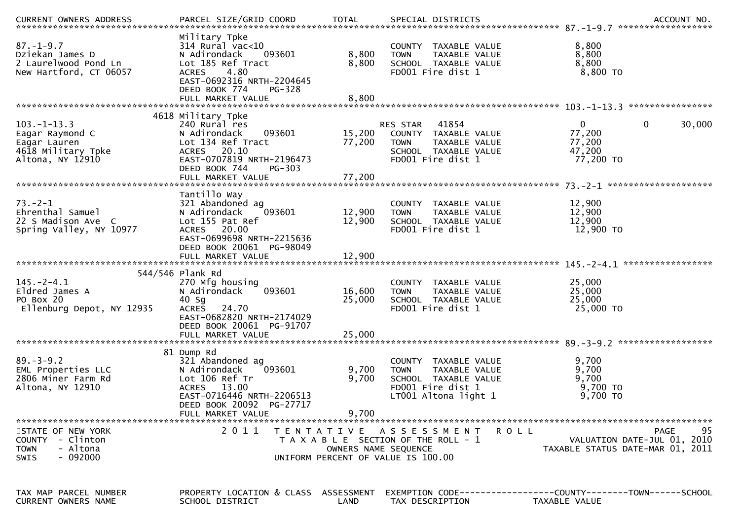|                                                                                                        |                                                                                                                                                                         |                         |                                                                                                                           | .CURRENT OWNERS ADDRESS PARCEL SIZE/GRID COORD TOTAL SPECIAL DISTRICTS (ACCOUNT NO ACCOUNT NO ACCOUNT NO AND ASSESS TO A AND A A SERVER AND A A SERVER ASSESS TO A A SERVER AND A SERVER AND TO A A SERVER AND THE SERVER AND |        |
|--------------------------------------------------------------------------------------------------------|-------------------------------------------------------------------------------------------------------------------------------------------------------------------------|-------------------------|---------------------------------------------------------------------------------------------------------------------------|-------------------------------------------------------------------------------------------------------------------------------------------------------------------------------------------------------------------------------|--------|
| $87. - 1 - 9.7$<br>Dziekan James D<br>2 Laurelwood Pond Ln<br>New Hartford, CT 06057                   | Military Tpke<br>314 Rural vac<10<br>093601<br>N Adirondack<br>Lot 185 Ref Tract<br>4.80<br><b>ACRES</b><br>EAST-0692316 NRTH-2204645<br>DEED BOOK 774<br>PG-328        | 8,800<br>8,800          | COUNTY TAXABLE VALUE<br>TAXABLE VALUE<br><b>TOWN</b><br>SCHOOL TAXABLE VALUE<br>FD001 Fire dist 1                         | 8,800<br>8,800<br>8,800<br>$8,800$ TO                                                                                                                                                                                         |        |
|                                                                                                        |                                                                                                                                                                         |                         |                                                                                                                           |                                                                                                                                                                                                                               |        |
| $103. -1 - 13.3$<br>Eagar Raymond C<br>Eagar Lauren<br>4618 Military Tpke<br>Altona, NY 12910          | 4618 Military Tpke<br>240 Rural res<br>N Adirondack<br>093601<br>Lot 134 Ref Tract<br>ACRES 20.10<br>EAST-0707819 NRTH-2196473<br>DEED BOOK 744<br>$PG-303$             | 15,200<br>77,200        | RES STAR 41854<br>COUNTY TAXABLE VALUE<br>TAXABLE VALUE<br><b>TOWN</b><br>SCHOOL TAXABLE VALUE<br>FD001 Fire dist 1       | $\mathbf{0}$<br>$\mathbf{0}$<br>77,200<br>77,200<br>47,200<br>77,200 TO                                                                                                                                                       | 30,000 |
|                                                                                                        |                                                                                                                                                                         |                         |                                                                                                                           |                                                                                                                                                                                                                               |        |
| $73. - 2 - 1$<br>Ehrenthal Samuel<br>22 S Madison Ave C<br>Spring Valley, NY 10977                     | Tantillo Way<br>321 Abandoned ag<br>N Adirondack<br>093601<br>Lot 155 Pat Ref<br>ACRES 20.00<br>EAST-0699698 NRTH-2215636<br>DEED BOOK 20061 PG-98049                   | 12,900<br>12,900        | COUNTY TAXABLE VALUE<br>TAXABLE VALUE<br><b>TOWN</b><br>SCHOOL TAXABLE VALUE<br>FD001 Fire dist 1                         | 12,900<br>12,900<br>12,900<br>12,900 TO                                                                                                                                                                                       |        |
|                                                                                                        | FULL MARKET VALUE                                                                                                                                                       | 12,900                  |                                                                                                                           |                                                                                                                                                                                                                               |        |
| $145. - 2 - 4.1$<br>Eldred James A<br>PO Box 20<br>Ellenburg Depot, NY 12935                           | 544/546 Plank Rd<br>270 Mfg housing<br>093601<br>N Adirondack<br>$40$ Sg<br>24.70<br><b>ACRES</b><br>EAST-0682820 NRTH-2174029<br>DEED BOOK 20061 PG-91707              | 16,600<br>25,000        | COUNTY TAXABLE VALUE<br>TAXABLE VALUE<br><b>TOWN</b><br>SCHOOL TAXABLE VALUE<br>FD001 Fire dist 1                         | 25,000<br>25,000<br>25,000<br>25,000 TO                                                                                                                                                                                       |        |
|                                                                                                        |                                                                                                                                                                         |                         |                                                                                                                           |                                                                                                                                                                                                                               |        |
| $89. - 3 - 9.2$<br>EML Properties LLC<br>2806 Miner Farm Rd<br>Altona, NY 12910                        | 81 Dump Rd<br>321 Abandoned ag<br>093601<br>N Adirondack<br>Lot 106 Ref Tr<br>ACRES 13.00<br>EAST-0716446 NRTH-2206513<br>DEED BOOK 20092 PG-27717<br>FULL MARKET VALUE | 9,700<br>9,700<br>9,700 | COUNTY TAXABLE VALUE<br>TAXABLE VALUE<br><b>TOWN</b><br>SCHOOL TAXABLE VALUE<br>FD001 Fire dist 1<br>LT001 Altona light 1 | 9,700<br>9,700<br>9,700<br>9,700 TO<br>9,700 TO                                                                                                                                                                               |        |
| STATE OF NEW YORK<br>- Clinton<br><b>COUNTY</b><br>- Altona<br><b>TOWN</b><br>$-092000$<br><b>SWIS</b> | 2 0 1 1                                                                                                                                                                 | OWNERS NAME SEQUENCE    | TENTATIVE ASSESSMENT<br>T A X A B L E SECTION OF THE ROLL - 1<br>UNIFORM PERCENT OF VALUE IS 100.00                       | ROLL<br>PAGE<br>VALUATION DATE-JUL 01, 2010<br>TAXABLE STATUS DATE-MAR 01, 2011                                                                                                                                               | 95     |
| TAX MAP PARCEL NUMBER<br>CURRENT OWNERS NAME                                                           | PROPERTY LOCATION & CLASS ASSESSMENT<br>SCHOOL DISTRICT                                                                                                                 | LAND                    | TAX DESCRIPTION                                                                                                           | EXEMPTION CODE-----------------COUNTY-------TOWN------SCHOOL<br>TAXABLE VALUE                                                                                                                                                 |        |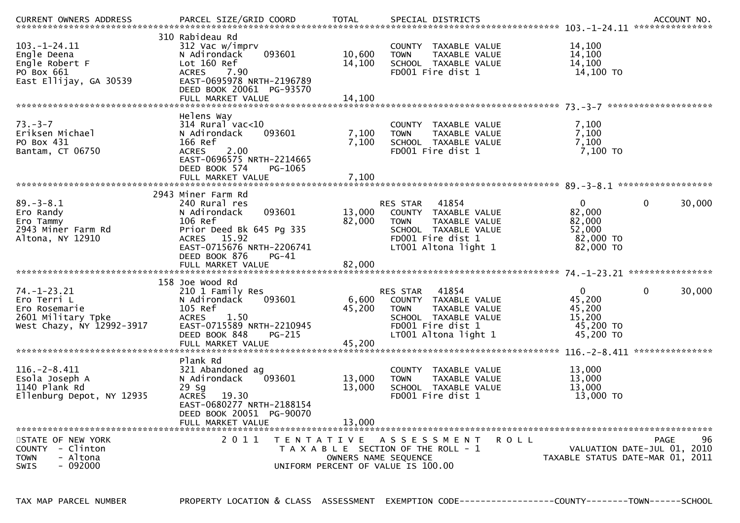| .CURRENT OWNERS ADDRESS PARCEL SIZE/GRID COORD TOTAL SPECIAL DISTRICTS ACCOUNT NO ACCOUNT NO ACCOUNT NO AND ART AND A SPECIAL DISTRICTS |                                                                                                                                                                               |                           |                                                                                                                                                |                                                                      |                                           |
|-----------------------------------------------------------------------------------------------------------------------------------------|-------------------------------------------------------------------------------------------------------------------------------------------------------------------------------|---------------------------|------------------------------------------------------------------------------------------------------------------------------------------------|----------------------------------------------------------------------|-------------------------------------------|
| $103. - 1 - 24.11$<br>Engle Deena<br>Engle Robert F<br>PO Box 661<br>East Ellijay, GA 30539                                             | 310 Rabideau Rd<br>312 Vac w/imprv<br>093601<br>N Adirondack<br>Lot 160 Ref<br><b>ACRES</b><br>7.90<br>EAST-0695978 NRTH-2196789<br>DEED BOOK 20061 PG-93570                  | 10,600<br>14,100          | COUNTY TAXABLE VALUE<br><b>TOWN</b><br>TAXABLE VALUE<br>SCHOOL TAXABLE VALUE<br>FD001 Fire dist 1                                              | 14,100<br>14,100<br>14,100<br>14,100 TO                              |                                           |
|                                                                                                                                         | Helens Way                                                                                                                                                                    |                           |                                                                                                                                                |                                                                      |                                           |
| $73. - 3 - 7$<br>Eriksen Michael<br>PO Box 431<br>Bantam, CT 06750                                                                      | $314$ Rural vac<10<br>093601<br>N Adirondack<br>166 Ref<br>2.00<br><b>ACRES</b><br>EAST-0696575 NRTH-2214665<br>DEED BOOK 574<br>PG-1065                                      | 7,100<br>7,100            | COUNTY TAXABLE VALUE<br>TAXABLE VALUE<br><b>TOWN</b><br>SCHOOL TAXABLE VALUE<br>FD001 Fire dist 1                                              | 7,100<br>7,100<br>7,100<br>$7,100$ TO                                |                                           |
|                                                                                                                                         |                                                                                                                                                                               |                           |                                                                                                                                                |                                                                      |                                           |
|                                                                                                                                         | 2943 Miner Farm Rd                                                                                                                                                            |                           |                                                                                                                                                |                                                                      |                                           |
| $89. - 3 - 8.1$<br>Ero Randy<br>Ero Tammy<br>2943 Miner Farm Rd<br>Altona, NY 12910                                                     | 240 Rural res<br>093601<br>N Adirondack<br>106 Ref<br>Prior Deed Bk 645 Pg 335<br>ACRES 15.92<br>EAST-0715676 NRTH-2206741<br>DEED BOOK 876<br>$PG-41$                        | 13,000<br>82,000          | RES STAR<br>41854<br>COUNTY TAXABLE VALUE<br>TAXABLE VALUE<br><b>TOWN</b><br>SCHOOL TAXABLE VALUE<br>FD001 Fire dist 1<br>LT001 Altona light 1 | $\Omega$<br>82,000<br>82,000<br>52,000<br>82,000 TO<br>82,000 TO     | $\mathbf 0$<br>30,000                     |
|                                                                                                                                         |                                                                                                                                                                               |                           |                                                                                                                                                |                                                                      |                                           |
| $74. - 1 - 23.21$<br>Ero Terri L<br>Ero Rosemarie<br>2601 Military Tpke<br>West Chazy, NY 12992-3917                                    | 158 Joe Wood Rd<br>210 1 Family Res<br>093601<br>N Adirondack<br>105 Ref<br>1.50<br><b>ACRES</b><br>EAST-0715589 NRTH-2210945<br>DEED BOOK 848<br>PG-215<br>FULL MARKET VALUE | 6,600<br>45,200<br>45,200 | 41854<br>RES STAR<br>COUNTY TAXABLE VALUE<br>TAXABLE VALUE<br><b>TOWN</b><br>SCHOOL TAXABLE VALUE<br>FD001 Fire dist 1<br>LT001 Altona light 1 | $\mathbf{0}$<br>45,200<br>45,200<br>15,200<br>45,200 TO<br>45,200 TO | $\mathbf{0}$<br>30,000                    |
|                                                                                                                                         | Plank Rd                                                                                                                                                                      |                           |                                                                                                                                                |                                                                      | ***************                           |
| $116. - 2 - 8.411$<br>Esola Joseph A<br>1140 Plank Rd<br>Ellenburg Depot, NY 12935                                                      | 321 Abandoned ag<br>N Adirondack<br>093601<br>29 Sg<br>19.30<br><b>ACRES</b><br>EAST-0680277 NRTH-2188154<br>DEED BOOK 20051 PG-90070                                         | 13,000<br>13,000          | TAXABLE VALUE<br>COUNTY<br>TAXABLE VALUE<br><b>TOWN</b><br>SCHOOL TAXABLE VALUE<br>FD001 Fire dist 1                                           | 13,000<br>13,000<br>13,000<br>13,000 TO                              |                                           |
|                                                                                                                                         | FULL MARKET VALUE                                                                                                                                                             | 13,000                    |                                                                                                                                                |                                                                      |                                           |
| STATE OF NEW YORK<br>- Clinton<br><b>COUNTY</b><br>- Altona<br><b>TOWN</b><br>$-092000$<br><b>SWIS</b>                                  | 2 0 1 1                                                                                                                                                                       | OWNERS NAME SEQUENCE      | TENTATIVE ASSESSMENT<br>R O L L<br>T A X A B L E SECTION OF THE ROLL - 1<br>UNIFORM PERCENT OF VALUE IS 100.00                                 | TAXABLE STATUS DATE-MAR 01, 2011                                     | 96<br>PAGE<br>VALUATION DATE-JUL 01, 2010 |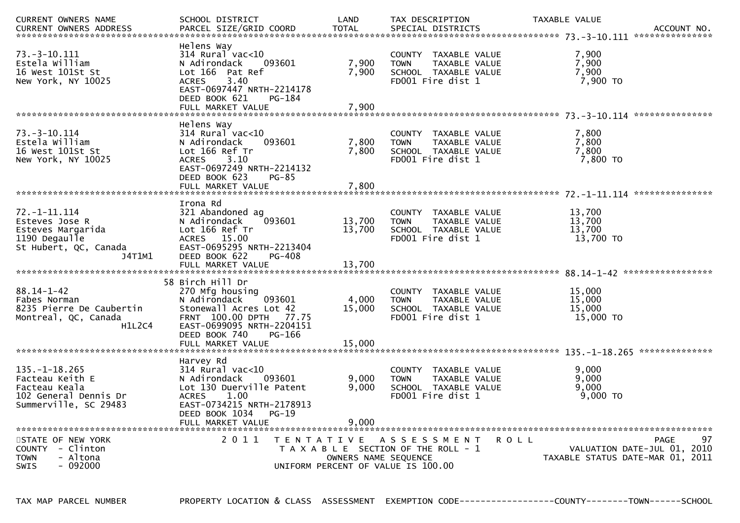| CURRENT OWNERS NAME<br><b>CURRENT OWNERS ADDRESS</b>                                                          | SCHOOL DISTRICT<br>PARCEL SIZE/GRID COORD                                                                                                                                                  | LAND<br><b>TOTAL</b>                                       | TAX DESCRIPTION<br>SPECIAL DISTRICTS                                                                 | TAXABLE VALUE                           | ACCOUNT NO.                 |
|---------------------------------------------------------------------------------------------------------------|--------------------------------------------------------------------------------------------------------------------------------------------------------------------------------------------|------------------------------------------------------------|------------------------------------------------------------------------------------------------------|-----------------------------------------|-----------------------------|
| $73. - 3 - 10.111$<br>Estela William<br>16 West 101St St<br>New York, NY 10025                                | Helens Way<br>$314$ Rural vac<10<br>N Adirondack<br>093601<br>Lot 166 Pat Ref<br>3.40<br><b>ACRES</b><br>EAST-0697447 NRTH-2214178<br>DEED BOOK 621<br>PG-184<br>FULL MARKET VALUE         | 7,900<br>7,900<br>7,900                                    | COUNTY TAXABLE VALUE<br>TAXABLE VALUE<br><b>TOWN</b><br>SCHOOL TAXABLE VALUE<br>FD001 Fire dist 1    | 7,900<br>7,900<br>7,900<br>7,900 TO     | ***************             |
|                                                                                                               | Helens Way                                                                                                                                                                                 |                                                            |                                                                                                      |                                         |                             |
| $73. - 3 - 10.114$<br>Estela William<br>16 West 101St St<br>New York, NY 10025                                | $314$ Rural vac< $10$<br>N Adirondack<br>093601<br>Lot 166 Ref Tr<br>3.10<br><b>ACRES</b><br>EAST-0697249 NRTH-2214132<br>DEED BOOK 623<br>PG-85                                           | 7,800<br>7,800                                             | COUNTY<br>TAXABLE VALUE<br><b>TOWN</b><br>TAXABLE VALUE<br>SCHOOL TAXABLE VALUE<br>FD001 Fire dist 1 | 7,800<br>7,800<br>7.800<br>7,800 TO     |                             |
|                                                                                                               | FULL MARKET VALUE                                                                                                                                                                          | 7,800                                                      |                                                                                                      |                                         |                             |
|                                                                                                               | Irona Rd                                                                                                                                                                                   |                                                            |                                                                                                      |                                         |                             |
| $72. - 1 - 11.114$<br>Esteves Jose R<br>Esteves Margarida<br>1190 Degaulle<br>St Hubert, QC, Canada<br>J4T1M1 | 321 Abandoned ag<br>N Adirondack<br>093601<br>Lot 166 Ref Tr<br><b>ACRES</b><br>15.00<br>EAST-0695295 NRTH-2213404<br>DEED BOOK 622<br>PG-408                                              | 13,700<br>13,700                                           | COUNTY TAXABLE VALUE<br>TAXABLE VALUE<br><b>TOWN</b><br>SCHOOL TAXABLE VALUE<br>FD001 Fire dist 1    | 13,700<br>13,700<br>13,700<br>13,700 TO |                             |
|                                                                                                               | FULL MARKET VALUE                                                                                                                                                                          | 13.700                                                     |                                                                                                      |                                         |                             |
| $88.14 - 1 - 42$<br>Fabes Norman<br>8235 Pierre De Caubertin<br>Montreal, QC, Canada<br>H1L2C4                | 58 Birch Hill Dr<br>270 Mfg housing<br>N Adirondack<br>093601<br>Stonewall Acres Lot 42<br>FRNT 100.00 DPTH 77.75<br>EAST-0699095 NRTH-2204151<br>DEED BOOK 740<br>PG-166                  | 4,000<br>15,000                                            | TAXABLE VALUE<br>COUNTY<br>TAXABLE VALUE<br><b>TOWN</b><br>SCHOOL TAXABLE VALUE<br>FD001 Fire dist 1 | 15,000<br>15,000<br>15,000<br>15,000 TO |                             |
|                                                                                                               | FULL MARKET VALUE                                                                                                                                                                          | 15,000                                                     |                                                                                                      |                                         |                             |
| $135. - 1 - 18.265$<br>Facteau Keith E<br>Facteau Keala<br>102 General Dennis Dr<br>Summerville, SC 29483     | Harvey Rd<br>314 Rural vac<10<br>N Adirondack<br>093601<br>Lot 130 Duerville Patent<br>1.00<br><b>ACRES</b><br>EAST-0734215 NRTH-2178913<br>DEED BOOK 1034<br>$PG-19$<br>FULL MARKET VALUE | 9,000<br>9.000<br>9,000                                    | COUNTY TAXABLE VALUE<br><b>TOWN</b><br>TAXABLE VALUE<br>SCHOOL TAXABLE VALUE<br>FD001 Fire dist 1    | 9,000<br>9,000<br>9.000<br>$9,000$ TO   |                             |
| STATE OF NEW YORK                                                                                             | 2011                                                                                                                                                                                       | T E N T A T I V E                                          | A S S E S S M E N T                                                                                  | ROLL                                    | 97<br><b>PAGE</b>           |
| COUNTY - Clinton<br><b>TOWN</b><br>- Altona<br>- 092000<br><b>SWIS</b>                                        |                                                                                                                                                                                            | OWNERS NAME SEQUENCE<br>UNIFORM PERCENT OF VALUE IS 100.00 | T A X A B L E SECTION OF THE ROLL - 1                                                                | TAXABLE STATUS DATE-MAR 01, 2011        | VALUATION DATE-JUL 01, 2010 |

TAX MAP PARCEL NUMBER PROPERTY LOCATION & CLASS ASSESSMENT EXEMPTION CODE----------------COUNTY--------TOWN------SCHOOL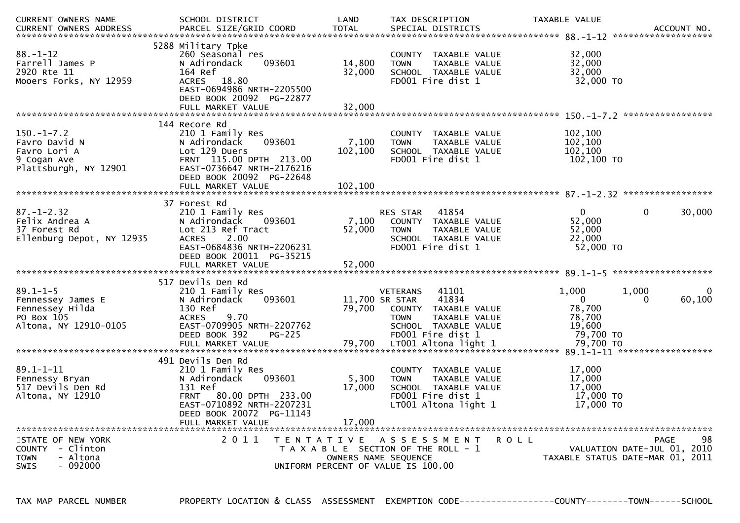| CURRENT OWNERS NAME                                                                             | SCHOOL DISTRICT                                                                                                                                                                       | LAND                        | TAX DESCRIPTION                                                                                                                                          | TAXABLE VALUE                                                    |                                                                               |
|-------------------------------------------------------------------------------------------------|---------------------------------------------------------------------------------------------------------------------------------------------------------------------------------------|-----------------------------|----------------------------------------------------------------------------------------------------------------------------------------------------------|------------------------------------------------------------------|-------------------------------------------------------------------------------|
| $88. - 1 - 12$<br>Farrell James P<br>2920 Rte 11<br>Mooers Forks, NY 12959                      | 5288 Military Tpke<br>260 Seasonal res<br>N Adirondack<br>093601<br>164 Ref<br>ACRES 18.80<br>EAST-0694986 NRTH-2205500<br>DEED BOOK 20092 PG-22877<br>FULL MARKET VALUE              | 14,800<br>32,000<br>32,000  | COUNTY TAXABLE VALUE<br>TAXABLE VALUE<br><b>TOWN</b><br>SCHOOL TAXABLE VALUE<br>FD001 Fire dist 1                                                        | 32,000<br>32,000<br>32,000<br>32,000 TO                          |                                                                               |
| $150.-1-7.2$<br>Favro David N<br>Favro Lori A<br>9 Cogan Ave<br>Plattsburgh, NY 12901           | 144 Recore Rd<br>210 1 Family Res<br>093601<br>N Adirondack<br>Lot 129 Duers<br>FRNT 115.00 DPTH 213.00<br>EAST-0736647 NRTH-2176216<br>DEED BOOK 20092 PG-22648<br>FULL MARKET VALUE | 7,100<br>102,100<br>102,100 | COUNTY TAXABLE VALUE<br>TAXABLE VALUE<br><b>TOWN</b><br>SCHOOL TAXABLE VALUE<br>FD001 Fire dist 1                                                        | 102,100<br>102,100<br>102,100<br>102,100 TO                      |                                                                               |
| $87. - 1 - 2.32$<br>Felix Andrea A<br>37 Forest Rd<br>Ellenburg Depot, NY 12935                 | 37 Forest Rd<br>210 1 Family Res<br>093601<br>N Adirondack<br>Lot 213 Ref Tract<br>2.00<br><b>ACRES</b><br>EAST-0684836 NRTH-2206231<br>DEED BOOK 20011 PG-35215                      | 7,100<br>52,000             | 41854<br><b>RES STAR</b><br>COUNTY TAXABLE VALUE<br><b>TOWN</b><br>TAXABLE VALUE<br>SCHOOL TAXABLE VALUE<br>FD001 Fire dist 1                            | $\overline{0}$<br>52,000<br>52,000<br>22,000<br>52,000 TO        | 30,000<br>0                                                                   |
| $89.1 - 1 - 5$<br>Fennessey James E<br>Fennessey Hilda<br>PO Box 105<br>Altona, NY 12910-0105   | 517 Devils Den Rd<br>210 1 Family Res<br>093601<br>N Adirondack<br>130 Ref<br>9.70<br><b>ACRES</b><br>EAST-0709905 NRTH-2207762<br>DEED BOOK 392<br>$PG-225$                          | 79,700                      | <b>VETERANS</b><br>41101<br>11,700 SR STAR<br>41834<br>COUNTY TAXABLE VALUE<br>TAXABLE VALUE<br><b>TOWN</b><br>SCHOOL TAXABLE VALUE<br>FD001 Fire dist 1 | 1,000<br>$\mathbf{0}$<br>78,700<br>78,700<br>19,600<br>79,700 TO | 1,000<br>0<br>60,100<br>$\Omega$                                              |
| $89.1 - 1 - 11$<br>Fennessy Bryan<br>517 Devils Den Rd<br>Altona, NY 12910                      | 491 Devils Den Rd<br>210 1 Family Res<br>N Adirondack<br>093601<br>131 Ref<br>FRNT 80.00 DPTH 233.00<br>EAST-0710892 NRTH-2207231<br>DEED BOOK 20072 PG-11143<br>FULL MARKET VALUE    | 5,300<br>17,000<br>17,000   | COUNTY TAXABLE VALUE<br>TAXABLE VALUE<br><b>TOWN</b><br>SCHOOL TAXABLE VALUE<br>FD001 Fire dist 1<br>LT001 Altona light 1                                | 17,000<br>17,000<br>17,000<br>17,000 TO<br>17,000 TO             |                                                                               |
| STATE OF NEW YORK<br>COUNTY<br>- Clinton<br>- Altona<br><b>TOWN</b><br>$-092000$<br><b>SWIS</b> | 2011                                                                                                                                                                                  |                             | TENTATIVE ASSESSMENT<br>T A X A B L E SECTION OF THE ROLL - 1<br>OWNERS NAME SEQUENCE<br>UNIFORM PERCENT OF VALUE IS 100.00                              | R O L L                                                          | 98<br>PAGE<br>VALUATION DATE-JUL 01, 2010<br>TAXABLE STATUS DATE-MAR 01, 2011 |

TAX MAP PARCEL NUMBER PROPERTY LOCATION & CLASS ASSESSMENT EXEMPTION CODE----------------COUNTY--------TOWN------SCHOOL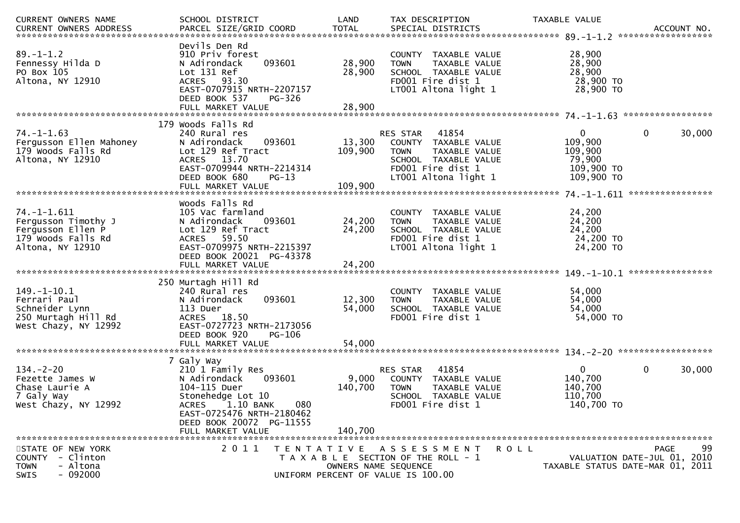| CURRENT OWNERS NAME                                                                                | SCHOOL DISTRICT                                                                                                                                                                                            | LAND                                                                                             | TAX DESCRIPTION                                                                                                               |                                | TAXABLE VALUE                                                            | ACCOUNT NO.<br>******************                                                    |
|----------------------------------------------------------------------------------------------------|------------------------------------------------------------------------------------------------------------------------------------------------------------------------------------------------------------|--------------------------------------------------------------------------------------------------|-------------------------------------------------------------------------------------------------------------------------------|--------------------------------|--------------------------------------------------------------------------|--------------------------------------------------------------------------------------|
| $89. - 1 - 1.2$<br>Fennessy Hilda D<br>PO Box 105<br>Altona, NY 12910                              | Devils Den Rd<br>910 Priv forest<br>093601<br>N Adirondack<br>Lot 131 Ref<br>ACRES 93.30<br>EAST-0707915 NRTH-2207157<br>DEED BOOK 537<br>FULL MARKET VALUE                                                | 28,900<br>28,900<br><b>PG-326</b><br>28,900                                                      | COUNTY TAXABLE VALUE<br><b>TOWN</b><br>SCHOOL TAXABLE VALUE<br>FD001 Fire dist 1<br>LT001 Altona light 1                      | TAXABLE VALUE                  | 28,900<br>28,900<br>28,900<br>28,900 TO<br>28,900 TO                     |                                                                                      |
|                                                                                                    |                                                                                                                                                                                                            |                                                                                                  |                                                                                                                               |                                |                                                                          |                                                                                      |
| $74. - 1 - 1.63$<br>Fergusson Ellen Mahoney<br>179 Woods Falls Rd<br>Altona, NY 12910              | 179 Woods Falls Rd<br>240 Rural res<br>093601<br>N Adirondack<br>Lot 129 Ref Tract<br>ACRES 13.70<br>EAST-0709944 NRTH-2214314<br>DEED BOOK 680<br>FULL MARKET VALUE                                       | 13,300<br>109,900<br>$PG-13$<br>109,900                                                          | RES STAR<br>41854<br>COUNTY TAXABLE VALUE<br><b>TOWN</b><br>SCHOOL TAXABLE VALUE<br>FD001 Fire dist 1<br>LT001 Altona light 1 | TAXABLE VALUE                  | $\mathbf{0}$<br>109,900<br>109,900<br>79,900<br>109,900 TO<br>109,900 TO | $\mathbf 0$<br>30,000                                                                |
|                                                                                                    | Woods Falls Rd                                                                                                                                                                                             |                                                                                                  |                                                                                                                               |                                |                                                                          |                                                                                      |
| 74. –1–1.611<br>Fergusson Timothy J<br>Fergusson Ellen P<br>179 Woods Falls Rd<br>Altona, NY 12910 | 105 Vac farmland<br>N Adirondack<br>093601<br>Lot 129 Ref Tract<br><b>ACRES</b><br>59.50<br>EAST-0709975 NRTH-2215397<br>DEED BOOK 20021 PG-43378                                                          | 24,200<br>24,200                                                                                 | COUNTY<br><b>TOWN</b><br>SCHOOL TAXABLE VALUE<br>FD001 Fire dist 1<br>LT001 Altona light 1                                    | TAXABLE VALUE<br>TAXABLE VALUE | 24,200<br>24,200<br>24,200<br>24,200 TO<br>24,200 TO                     |                                                                                      |
|                                                                                                    |                                                                                                                                                                                                            |                                                                                                  |                                                                                                                               |                                |                                                                          |                                                                                      |
|                                                                                                    |                                                                                                                                                                                                            |                                                                                                  |                                                                                                                               |                                |                                                                          |                                                                                      |
| 149. –1–10.1<br>Ferrari Paul<br>Schneider Lynn<br>250 Murtagh Hill Rd<br>West Chazy, NY 12992      | 250 Murtagh Hill Rd<br>240 Rural res<br>093601<br>N Adirondack<br>113 Duer<br>18.50<br><b>ACRES</b><br>EAST-0727723 NRTH-2173056<br>DEED BOOK 920                                                          | 12,300<br>54,000<br>PG-106                                                                       | COUNTY TAXABLE VALUE<br><b>TOWN</b><br>SCHOOL TAXABLE VALUE<br>FD001 Fire dist 1                                              | TAXABLE VALUE                  | 54,000<br>54,000<br>54,000<br>54,000 TO                                  |                                                                                      |
|                                                                                                    |                                                                                                                                                                                                            |                                                                                                  |                                                                                                                               |                                |                                                                          |                                                                                      |
| $134. - 2 - 20$<br>Fezette James W<br>Chase Laurie A<br>7 Galy Way<br>West Chazy, NY 12992         | 7 Galy Way<br>210 1 Family Res<br>N Adirondack<br>093601<br>104-115 Duer<br>Stonehedge Lot 10<br>$1.10$ BANK<br><b>ACRES</b><br>EAST-0725476 NRTH-2180462<br>DEED BOOK 20072 PG-11555<br>FULL MARKET VALUE | 9,000<br>140,700<br>080<br>140,700                                                               | 41854<br>RES STAR<br>COUNTY TAXABLE VALUE<br><b>TOWN</b><br>SCHOOL TAXABLE VALUE<br>FD001 Fire dist 1                         | TAXABLE VALUE                  | $\mathbf{0}$<br>140,700<br>140,700<br>110,700<br>140,700 TO              | $\mathbf 0$<br>30,000                                                                |
| STATE OF NEW YORK<br>COUNTY - Clinton<br>- Altona<br><b>TOWN</b><br>$-092000$<br><b>SWIS</b>       | 2011                                                                                                                                                                                                       | T E N T A T I V E<br>T A X A B L E SECTION OF THE ROLL - 1<br>UNIFORM PERCENT OF VALUE IS 100.00 | A S S E S S M E N T<br>OWNERS NAME SEQUENCE                                                                                   | <b>ROLL</b>                    |                                                                          | 99<br><b>PAGE</b><br>VALUATION DATE-JUL 01, 2010<br>TAXABLE STATUS DATE-MAR 01, 2011 |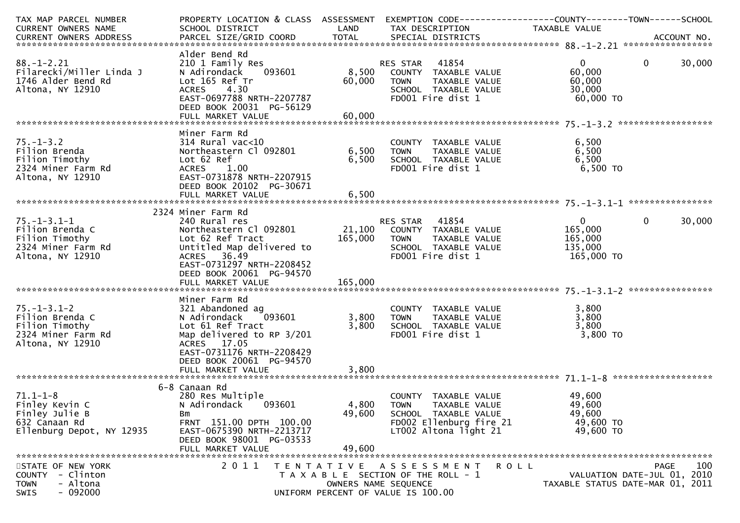| TAX MAP PARCEL NUMBER                                                                              | PROPERTY LOCATION & CLASS ASSESSMENT EXEMPTION CODE----------------COUNTY--------TOWN------SCHOOL                                                                                      |                                           |                                                                                                                                  |                                                               |                                                                                |
|----------------------------------------------------------------------------------------------------|----------------------------------------------------------------------------------------------------------------------------------------------------------------------------------------|-------------------------------------------|----------------------------------------------------------------------------------------------------------------------------------|---------------------------------------------------------------|--------------------------------------------------------------------------------|
| CURRENT OWNERS NAME                                                                                | SCHOOL DISTRICT                                                                                                                                                                        | LAND                                      | TAX DESCRIPTION                                                                                                                  | TAXABLE VALUE                                                 |                                                                                |
|                                                                                                    |                                                                                                                                                                                        |                                           |                                                                                                                                  |                                                               |                                                                                |
| $88. - 1 - 2.21$<br>Filarecki/Miller Linda J<br>1746 Alder Bend Rd<br>Altona, NY 12910             | Alder Bend Rd<br>210 1 Family Res<br>093601<br>N Adirondack<br>Lot 165 Ref Tr<br>ACRES 4.30<br>EAST-0697788 NRTH-2207787<br>DEED BOOK 20031 PG-56129                                   | 60,000                                    | RES STAR 41854<br>8,500 COUNTY TAXABLE VALUE<br><b>TOWN</b><br>TAXABLE VALUE<br>SCHOOL TAXABLE VALUE<br>FD001 Fire dist 1        | $\overline{0}$<br>60,000<br>60,000<br>30,000<br>60,000 TO     | $\mathbf 0$<br>30,000                                                          |
|                                                                                                    |                                                                                                                                                                                        |                                           |                                                                                                                                  |                                                               |                                                                                |
| $75. - 1 - 3.2$<br>Filion Brenda<br>Filion Timothy<br>2324 Miner Farm Rd<br>Altona, NY 12910       | Miner Farm Rd<br>$314$ Rural vac<10<br>Northeastern Cl 092801<br>Lot 62 Ref<br>ACRES 1.00<br>EAST-0731878 NRTH-2207915<br>DEED BOOK 20102 PG-30671                                     | 6,500<br>6,500                            | COUNTY TAXABLE VALUE<br><b>TOWN</b><br>TAXABLE VALUE<br>SCHOOL TAXABLE VALUE<br>FD001 Fire dist 1                                | 6,500<br>6,500<br>6,500<br>$6,500$ TO                         |                                                                                |
|                                                                                                    |                                                                                                                                                                                        |                                           |                                                                                                                                  |                                                               |                                                                                |
| $75. - 1 - 3.1 - 1$<br>Filion Brenda C<br>Filion Timothy<br>2324 Miner Farm Rd<br>Altona, NY 12910 | 2324 Miner Farm Rd<br>240 Rural res<br>Northeastern Cl 092801<br>Lot 62 Ref Tract<br>Untitled Map delivered to<br>ACRES 36.49<br>EAST-0731297 NRTH-2208452<br>DEED BOOK 20061 PG-94570 | 165,000                                   | RES STAR 41854<br>21,100 COUNTY TAXABLE VALUE<br>TAXABLE VALUE<br><b>TOWN</b><br>SCHOOL TAXABLE VALUE<br>FD001 Fire dist 1       | $\overline{0}$<br>165,000<br>165,000<br>135,000<br>165,000 TO | $\overline{0}$<br>30,000                                                       |
|                                                                                                    |                                                                                                                                                                                        |                                           |                                                                                                                                  |                                                               |                                                                                |
| $75. - 1 - 3.1 - 2$<br>Filion Brenda C<br>Filion Timothy<br>2324 Miner Farm Rd<br>Altona, NY 12910 | Miner Farm Rd<br>321 Abandoned ag<br>093601<br>N Adirondack<br>Lot 61 Ref Tract<br>Map delivered to RP 3/201<br>ACRES 17.05<br>EAST-0731176 NRTH-2208429<br>DEED BOOK 20061 PG-94570   | 3,800<br>3,800                            | COUNTY TAXABLE VALUE<br>TAXABLE VALUE<br><b>TOWN</b><br>SCHOOL TAXABLE VALUE<br>FD001 Fire dist 1                                | 3,800<br>3,800<br>3,800<br>3,800 TO                           |                                                                                |
|                                                                                                    |                                                                                                                                                                                        |                                           |                                                                                                                                  |                                                               |                                                                                |
| $71.1 - 1 - 8$<br>Finley Kevin C<br>Finley Julie B<br>632 Canaan Rd<br>Ellenburg Depot, NY 12935   | 6-8 Canaan Rd<br>280 Res Multiple<br>N Adirondack<br>093601<br>Bm<br>FRNT 151.00 DPTH 100.00<br>EAST-0675390 NRTH-2213717<br>DEED BOOK 98001 PG-03533<br>FULL MARKET VALUE             | 4,800<br>49,600<br>49,600                 | COUNTY TAXABLE VALUE<br><b>TOWN</b><br>TAXABLE VALUE<br>SCHOOL TAXABLE VALUE<br>FD002 Ellenburg fire 21<br>LT002 Altona light 21 | 49,600<br>49,600<br>49,600<br>49,600 TO<br>49,600 TO          |                                                                                |
| STATE OF NEW YORK<br>- Clinton<br><b>COUNTY</b><br>- Altona<br><b>TOWN</b><br>$-092000$<br>SWIS    | 2011                                                                                                                                                                                   | T E N T A T I V E<br>OWNERS NAME SEQUENCE | A S S E S S M E N T<br>T A X A B L E SECTION OF THE ROLL - 1<br>UNIFORM PERCENT OF VALUE IS 100.00                               | ROLL                                                          | 100<br>PAGE<br>VALUATION DATE-JUL 01, 2010<br>TAXABLE STATUS DATE-MAR 01, 2011 |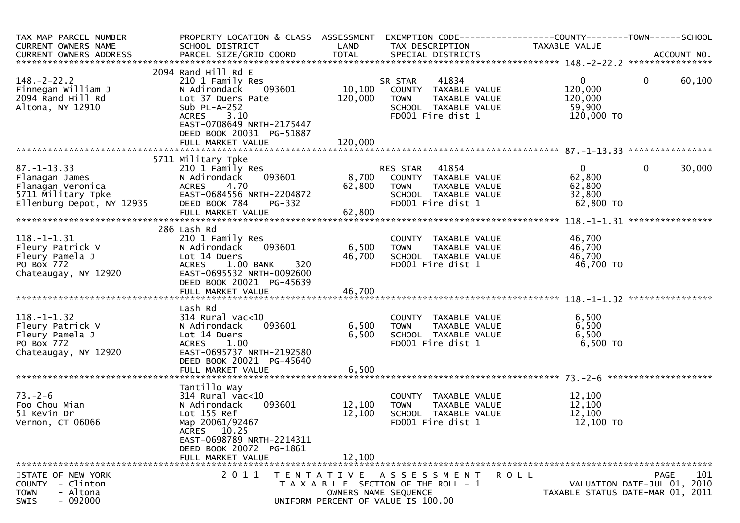| TAX MAP PARCEL NUMBER<br>CURRENT OWNERS NAME                                                                                     | PROPERTY LOCATION & CLASS ASSESSMENT EXEMPTION CODE----------------COUNTY-------TOWN------SCHOOL<br>SCHOOL DISTRICT                                                                       | LAND                      | TAX DESCRIPTION                                                                                                             | TAXABLE VALUE                                                |                                                                                |
|----------------------------------------------------------------------------------------------------------------------------------|-------------------------------------------------------------------------------------------------------------------------------------------------------------------------------------------|---------------------------|-----------------------------------------------------------------------------------------------------------------------------|--------------------------------------------------------------|--------------------------------------------------------------------------------|
|                                                                                                                                  |                                                                                                                                                                                           |                           |                                                                                                                             |                                                              |                                                                                |
| $148. - 2 - 22.2$<br>Finnegan William J<br>2094 Rand Hill Rd<br>Altona, NY 12910                                                 | 2094 Rand Hill Rd E<br>210 1 Family Res<br>093601<br>N Adirondack<br>Lot 37 Duers Pate<br>Sub $PL-A-252$<br>3.10<br><b>ACRES</b><br>EAST-0708649 NRTH-2175447<br>DEED BOOK 20031 PG-51887 | 10,100<br>120,000         | 41834<br>SR STAR<br>COUNTY TAXABLE VALUE<br><b>TOWN</b><br>TAXABLE VALUE<br>SCHOOL TAXABLE VALUE<br>FD001 Fire dist 1       | $\overline{0}$<br>120,000<br>120,000<br>59,900<br>120,000 TO | $\mathbf{0}$<br>60,100                                                         |
|                                                                                                                                  |                                                                                                                                                                                           |                           |                                                                                                                             |                                                              |                                                                                |
| $87. - 1 - 13.33$<br>Flanagan James<br>Flanagan Veronica<br>rıanagan veronıca<br>5711 Military Tpke<br>Ellenburg Depot, NY 12935 | 5711 Military Tpke<br>210 1 Family Res<br>093601<br>N Adirondack<br><b>ACRES</b><br>4.70<br>EAST-0684556 NRTH-2204872<br>DEED BOOK 784<br>PG-332<br>FULL MARKET VALUE                     | 8,700<br>62,800<br>62,800 | RES STAR 41854<br>COUNTY TAXABLE VALUE<br><b>TOWN</b><br>TAXABLE VALUE<br>SCHOOL TAXABLE VALUE<br>FD001 Fire dist 1         | $\mathbf{0}$<br>62,800<br>62,800<br>32,800<br>62,800 TO      | $\mathbf{0}$<br>30,000                                                         |
|                                                                                                                                  | 286 Lash Rd                                                                                                                                                                               |                           |                                                                                                                             |                                                              |                                                                                |
| $118.-1-1.31$<br>Fleury Patrick V<br>Fleury Pamela J<br>PO Box 772<br>Chateaugay, NY 12920                                       | 210 1 Family Res<br>093601<br>N Adirondack<br>Lot 14 Duers<br>1.00 BANK<br><b>ACRES</b><br>320<br>EAST-0695532 NRTH-0092600<br>DEED BOOK 20021 PG-45639                                   | 6,500<br>46,700           | COUNTY TAXABLE VALUE<br>TAXABLE VALUE<br><b>TOWN</b><br>SCHOOL TAXABLE VALUE<br>FD001 Fire dist 1                           | 46,700<br>46,700<br>46,700<br>46,700 TO                      |                                                                                |
|                                                                                                                                  |                                                                                                                                                                                           |                           |                                                                                                                             |                                                              |                                                                                |
| $118. - 1 - 1.32$<br>Fleury Patrick V<br>Fleury Pamela J<br>PO Box 772<br>Chateaugay, NY 12920                                   | Lash Rd<br>$314$ Rural vac<10<br>093601<br>N Adirondack<br>Lot 14 Duers<br>1.00<br><b>ACRES</b><br>EAST-0695737 NRTH-2192580<br>DEED BOOK 20021 PG-45640<br>FULL MARKET VALUE             | 6,500<br>6,500<br>6,500   | COUNTY TAXABLE VALUE<br><b>TOWN</b><br>TAXABLE VALUE<br>SCHOOL TAXABLE VALUE<br>FD001 Fire dist 1                           | 6,500<br>6,500<br>6,500<br>6,500 TO                          |                                                                                |
|                                                                                                                                  |                                                                                                                                                                                           |                           |                                                                                                                             |                                                              |                                                                                |
| $73. - 2 - 6$<br>Foo Chou Mian<br>51 Kevin Dr<br>Vernon, CT 06066                                                                | Tantillo Way<br>$314$ Rural vac<10<br>N Adirondack<br>093601<br>Lot 155 Ref<br>Map 20061/92467<br>ACRES 10.25<br>EAST-0698789 NRTH-2214311<br>DEED BOOK 20072 PG-1861                     | 12,100<br>12,100          | COUNTY TAXABLE VALUE<br>TAXABLE VALUE<br><b>TOWN</b><br>SCHOOL TAXABLE VALUE<br>FD001 Fire dist 1                           | 12,100<br>12,100<br>12,100<br>12,100 TO                      |                                                                                |
|                                                                                                                                  | FULL MARKET VALUE                                                                                                                                                                         | 12,100                    |                                                                                                                             |                                                              |                                                                                |
| STATE OF NEW YORK<br>- Clinton<br><b>COUNTY</b><br>- Altona<br><b>TOWN</b><br>$-092000$<br><b>SWIS</b>                           | 2011                                                                                                                                                                                      |                           | TENTATIVE ASSESSMENT<br>T A X A B L E SECTION OF THE ROLL - 1<br>OWNERS NAME SEQUENCE<br>UNIFORM PERCENT OF VALUE IS 100.00 | ROLL                                                         | 101<br>PAGE<br>VALUATION DATE-JUL 01, 2010<br>TAXABLE STATUS DATE-MAR 01, 2011 |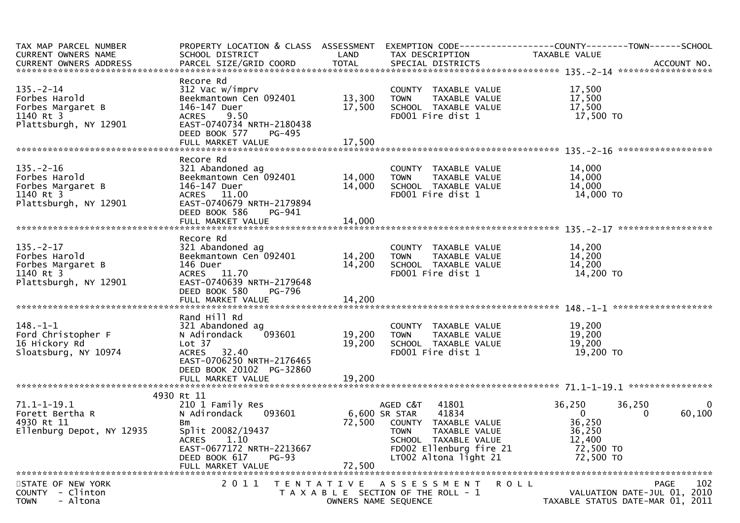| TAX MAP PARCEL NUMBER<br>CURRENT OWNERS NAME                                                | SCHOOL DISTRICT                                                                                                                                                           | LAND<br><b>TOTAL</b>       | TAX DESCRIPTION                                                                                                                                                                 | PROPERTY LOCATION & CLASS ASSESSMENT EXEMPTION CODE----------------COUNTY--------TOWN------SCHOOL<br>TAXABLE VALUE    |
|---------------------------------------------------------------------------------------------|---------------------------------------------------------------------------------------------------------------------------------------------------------------------------|----------------------------|---------------------------------------------------------------------------------------------------------------------------------------------------------------------------------|-----------------------------------------------------------------------------------------------------------------------|
|                                                                                             |                                                                                                                                                                           |                            |                                                                                                                                                                                 |                                                                                                                       |
| $135. - 2 - 14$<br>Forbes Harold<br>Forbes Margaret B<br>1140 Rt 3                          | Recore Rd<br>312 Vac w/imprv<br>Beekmantown Cen 092401<br>146-147 Duer<br>9.50<br><b>ACRES</b>                                                                            | 13,300<br>17,500           | COUNTY TAXABLE VALUE<br><b>TOWN</b><br>TAXABLE VALUE<br>SCHOOL TAXABLE VALUE<br>FD001 Fire dist 1                                                                               | 17,500<br>17,500<br>17,500<br>17,500 TO                                                                               |
| Plattsburgh, NY 12901                                                                       | EAST-0740734 NRTH-2180438<br>DEED BOOK 577<br>PG-495                                                                                                                      |                            |                                                                                                                                                                                 |                                                                                                                       |
|                                                                                             |                                                                                                                                                                           |                            |                                                                                                                                                                                 |                                                                                                                       |
| $135. - 2 - 16$<br>Forbes Harold<br>Forbes Margaret B<br>1140 Rt 3<br>Plattsburgh, NY 12901 | Recore Rd<br>321 Abandoned ag<br>Beekmantown Cen 092401<br>146-147 Duer<br>ACRES 11.00<br>EAST-0740679 NRTH-2179894<br>DEED BOOK 586<br>PG-941                            | 14,000<br>14,000           | COUNTY TAXABLE VALUE<br>TAXABLE VALUE<br><b>TOWN</b><br>SCHOOL TAXABLE VALUE<br>FD001 Fire dist 1                                                                               | 14,000<br>14,000<br>14,000<br>14,000 TO                                                                               |
|                                                                                             |                                                                                                                                                                           |                            |                                                                                                                                                                                 |                                                                                                                       |
|                                                                                             |                                                                                                                                                                           |                            |                                                                                                                                                                                 |                                                                                                                       |
| $135. - 2 - 17$<br>Forbes Harold<br>Forbes Margaret B<br>1140 Rt 3<br>Plattsburgh, NY 12901 | Recore Rd<br>321 Abandoned ag<br>Beekmantown Cen <sup>-</sup> 092401<br>146 Duer<br>ACRES 11.70<br>EAST-0740639 NRTH-2179648<br>DEED BOOK 580<br>PG-796                   | 14,200<br>14,200           | COUNTY TAXABLE VALUE<br>TAXABLE VALUE<br><b>TOWN</b><br>SCHOOL TAXABLE VALUE<br>FD001 Fire dist 1                                                                               | 14,200<br>14,200<br>14,200<br>14,200 TO                                                                               |
|                                                                                             |                                                                                                                                                                           |                            |                                                                                                                                                                                 |                                                                                                                       |
| $148. - 1 - 1$<br>Ford Christopher F<br>16 Hickory Rd<br>Sloatsburg, NY 10974               | Rand Hill Rd<br>321 Abandoned ag<br>093601<br>N Adirondack<br>Lot 37<br>ACRES 32.40<br>EAST-0706250 NRTH-2176465<br>DEED BOOK 20102 PG-32860<br>FULL MARKET VALUE         | 19,200<br>19,200<br>19,200 | COUNTY TAXABLE VALUE<br><b>TOWN</b><br>TAXABLE VALUE<br>SCHOOL TAXABLE VALUE<br>FD001 Fire dist 1                                                                               | 19,200<br>19,200<br>19,200<br>19,200 TO                                                                               |
|                                                                                             |                                                                                                                                                                           |                            |                                                                                                                                                                                 |                                                                                                                       |
| $71.1 - 1 - 19.1$<br>Forett Bertha R<br>4930 Rt 11<br>Ellenburg Depot, NY 12935             | 4930 Rt 11<br>210 1 Family Res<br>N Adirondack<br>093601<br>Bm<br>Split 20082/19437<br>1.10<br><b>ACRES</b><br>EAST-0677172 NRTH-2213667<br>DEED BOOK 617<br><b>PG-93</b> | 72,500                     | AGED C&T<br>41801<br>6,600 SR STAR<br>41834<br>COUNTY TAXABLE VALUE<br><b>TOWN</b><br>TAXABLE VALUE<br>SCHOOL TAXABLE VALUE<br>FD002 Ellenburg fire 21<br>LT002 Altona light 21 | 36,250<br>36,250<br>$\overline{0}$<br>60,100<br>$\Omega$<br>0<br>36,250<br>36,250<br>12,400<br>72,500 TO<br>72,500 TO |
|                                                                                             | FULL MARKET VALUE                                                                                                                                                         | 72,500                     |                                                                                                                                                                                 |                                                                                                                       |
| STATE OF NEW YORK<br>- Clinton<br><b>COUNTY</b><br>- Altona<br><b>TOWN</b>                  | 2 0 1 1<br>T E N T A T I V E                                                                                                                                              |                            | A S S E S S M E N T<br>T A X A B L E SECTION OF THE ROLL - 1<br>OWNERS NAME SEQUENCE                                                                                            | 102<br><b>PAGE</b><br>R O L L<br>VALUATION DATE-JUL 01, 2010<br>TAXABLE STATUS DATE-MAR 01, 2011                      |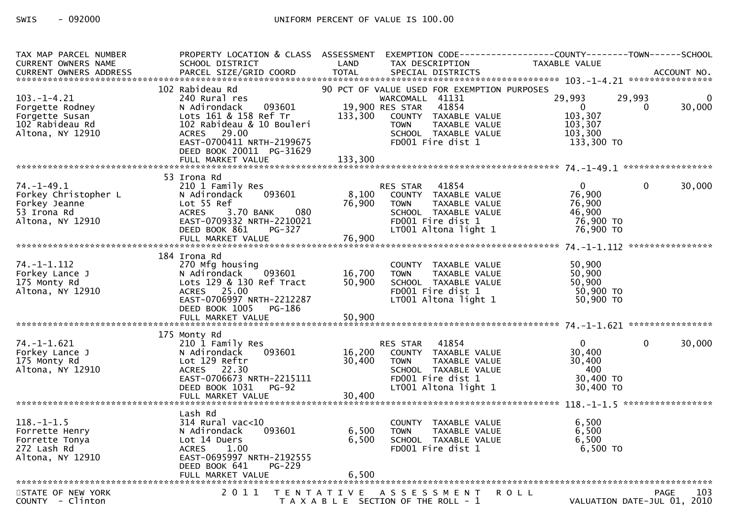| TAX MAP PARCEL NUMBER<br>CURRENT OWNERS NAME                                                 | PROPERTY LOCATION & CLASS ASSESSMENT EXEMPTION CODE----------------COUNTY-------TOWN------SCHOOL<br>SCHOOL DISTRICT                                                                      | LAND                       | TAX DESCRIPTION                                                                                                                                                                                 | TAXABLE VALUE                                                           |                                            |
|----------------------------------------------------------------------------------------------|------------------------------------------------------------------------------------------------------------------------------------------------------------------------------------------|----------------------------|-------------------------------------------------------------------------------------------------------------------------------------------------------------------------------------------------|-------------------------------------------------------------------------|--------------------------------------------|
|                                                                                              |                                                                                                                                                                                          |                            |                                                                                                                                                                                                 |                                                                         |                                            |
| $103. -1 - 4.21$<br>Forgette Rodney<br>Forgette Susan<br>102 Rabideau Rd<br>Altona, NY 12910 | 102 Rabideau Rd<br>240 Rural res<br>093601<br>N Adirondack<br>Lots 161 & 158 Ref Tr<br>102 Rabideau & 10 Bouleri<br>ACRES 29.00<br>EAST-0700411 NRTH-2199675<br>DEED BOOK 20011 PG-31629 | 133,300                    | 90 PCT OF VALUE USED FOR EXEMPTION PURPOSES<br>WARCOMALL 41131<br>19,900 RES STAR<br>41854<br>COUNTY TAXABLE VALUE<br><b>TOWN</b><br>TAXABLE VALUE<br>SCHOOL TAXABLE VALUE<br>FD001 Fire dist 1 | 29,993<br>$\overline{0}$<br>103,307<br>103,307<br>103,300<br>133,300 TO | 29,993<br>$\Omega$<br>30,000<br>$\Omega$   |
|                                                                                              |                                                                                                                                                                                          |                            |                                                                                                                                                                                                 |                                                                         |                                            |
| $74. - 1 - 49.1$<br>Forkey Christopher L<br>Forkey Jeanne<br>53 Irona Rd<br>Altona, NY 12910 | 53 Irona Rd<br>210 1 Family Res<br>093601<br>N Adirondack<br>Lot 55 Ref<br><b>ACRES</b><br>3.70 BANK<br>080<br>EAST-0709332 NRTH-2210021<br>DEED BOOK 861<br>PG-327                      | 8,100<br>76,900            | RES STAR 41854<br>COUNTY TAXABLE VALUE<br><b>TOWN</b><br>TAXABLE VALUE<br>SCHOOL TAXABLE VALUE<br>FD001 Fire dist 1<br>LT001 Altona light 1                                                     | $\Omega$<br>76,900<br>76,900<br>46,900<br>76,900 TO<br>76,900 TO        | 30,000<br>$\mathbf{0}$                     |
|                                                                                              | FULL MARKET VALUE                                                                                                                                                                        | 76,900                     |                                                                                                                                                                                                 |                                                                         |                                            |
| $74. - 1 - 1.112$<br>Forkey Lance J<br>175 Monty Rd<br>Altona, NY 12910                      | 184 Irona Rd<br>270 Mfg housing<br>N Adirondack<br>093601<br>Lots 129 & 130 Ref Tract<br>ACRES 25.00<br>EAST-0706997 NRTH-2212287<br>DEED BOOK 1005<br>PG-186<br>FULL MARKET VALUE       | 16,700<br>50,900<br>50,900 | COUNTY TAXABLE VALUE<br>TAXABLE VALUE<br><b>TOWN</b><br>SCHOOL TAXABLE VALUE<br>FD001 Fire dist 1<br>LT001 Altona light 1                                                                       | 50,900<br>50,900<br>50,900<br>50,900 TO<br>50,900 TO                    |                                            |
|                                                                                              | 175 Monty Rd                                                                                                                                                                             |                            |                                                                                                                                                                                                 |                                                                         |                                            |
| $74. -1 - 1.621$<br>Forkey Lance J<br>175 Monty Rd<br>Altona, NY 12910                       | 210 1 Family Res<br>093601<br>N Adirondack<br>Lot 129 Reftr<br>ACRES 22.30<br>EAST-0706673 NRTH-2215111<br>DEED BOOK 1031<br><b>PG-92</b><br>FULL MARKET VALUE                           | 16,200<br>30,400<br>30,400 | RES STAR 41854<br>COUNTY TAXABLE VALUE<br><b>TOWN</b><br>TAXABLE VALUE<br>SCHOOL TAXABLE VALUE<br>FD001 Fire dist 1<br>LT001 Altona light 1                                                     | $\mathbf{0}$<br>30,400<br>30,400<br>- 400<br>30,400 TO<br>30,400 TO     | 30,000<br>$\Omega$                         |
|                                                                                              |                                                                                                                                                                                          |                            |                                                                                                                                                                                                 |                                                                         |                                            |
| $118. - 1 - 1.5$<br>Forrette Henry<br>Forrette Tonya<br>272 Lash Rd<br>Altona, NY 12910      | Lash Rd<br>$314$ Rural vac<10<br>093601<br>N Adirondack<br>Lot 14 Duers<br>ACRES 1.00<br>EAST-0695997 NRTH-2192555<br>DEED BOOK 641<br><b>PG-229</b>                                     | 6,500<br>6,500             | COUNTY TAXABLE VALUE<br><b>TOWN</b><br>TAXABLE VALUE<br>SCHOOL TAXABLE VALUE<br>FD001 Fire dist 1                                                                                               | 6,500<br>6,500<br>6,500<br>6,500 TO                                     |                                            |
| STATE OF NEW YORK<br>COUNTY - Clinton                                                        | 2011                                                                                                                                                                                     |                            | TENTATIVE ASSESSMENT<br>T A X A B L E SECTION OF THE ROLL - 1                                                                                                                                   | <b>ROLL</b>                                                             | 103<br>PAGE<br>VALUATION DATE-JUL 01, 2010 |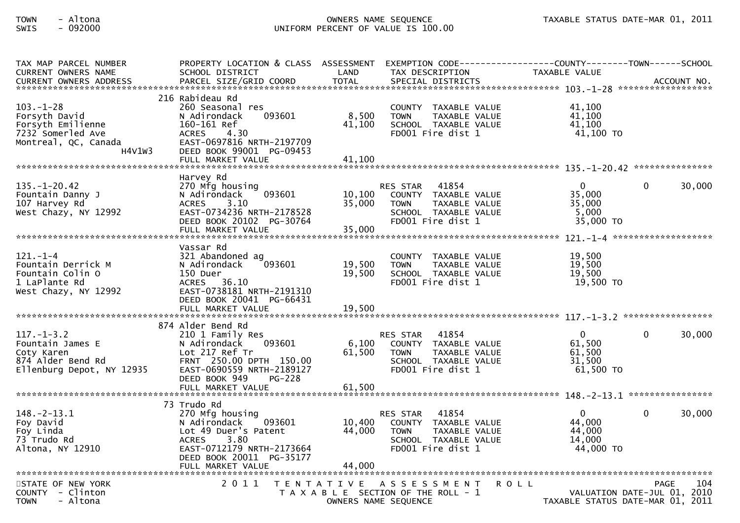## TOWN - Altona OWNERS NAME SEQUENCE TAXABLE STATUS DATE-MAR 01, 2011SWIS - 092000 UNIFORM PERCENT OF VALUE IS 100.00

| TAX MAP PARCEL NUMBER<br><b>CURRENT OWNERS NAME</b>                                                          | PROPERTY LOCATION & CLASS ASSESSMENT<br>SCHOOL DISTRICT                                                                                                                     | LAND                       | EXEMPTION CODE-----------------COUNTY--------TOWN------SCHOOL<br>TAX DESCRIPTION                                              | TAXABLE VALUE                                                                  |          |        |
|--------------------------------------------------------------------------------------------------------------|-----------------------------------------------------------------------------------------------------------------------------------------------------------------------------|----------------------------|-------------------------------------------------------------------------------------------------------------------------------|--------------------------------------------------------------------------------|----------|--------|
|                                                                                                              |                                                                                                                                                                             |                            |                                                                                                                               |                                                                                |          |        |
| $103. - 1 - 28$<br>Forsyth David<br>Forsyth Emilienne<br>7232 Somerled Ave<br>Montreal, QC, Canada<br>H4V1W3 | 216 Rabideau Rd<br>260 Seasonal res<br>N Adirondack<br>093601<br>160-161 Ref<br>4.30<br><b>ACRES</b><br>EAST-0697816 NRTH-2197709<br>DEED BOOK 99001 PG-09453               | 8,500<br>41.100            | COUNTY TAXABLE VALUE<br><b>TOWN</b><br>TAXABLE VALUE<br>SCHOOL TAXABLE VALUE<br>FD001 Fire dist 1                             | 41.100<br>41,100<br>41.100<br>41,100 TO                                        |          |        |
|                                                                                                              | Harvey Rd                                                                                                                                                                   |                            |                                                                                                                               |                                                                                |          |        |
| $135. - 1 - 20.42$<br>Fountain Danny J<br>107 Harvey Rd<br>West Chazy, NY 12992                              | 270 Mfg housing<br>093601<br>N Adirondack<br><b>ACRES</b><br>3.10<br>EAST-0734236 NRTH-2178528<br>DEED BOOK 20102 PG-30764<br>FULL MARKET VALUE                             | 10,100<br>35,000<br>35,000 | 41854<br><b>RES STAR</b><br>COUNTY TAXABLE VALUE<br><b>TOWN</b><br>TAXABLE VALUE<br>SCHOOL TAXABLE VALUE<br>FD001 Fire dist 1 | $\Omega$<br>35,000<br>35,000<br>5,000<br>35,000 TO                             | $\Omega$ | 30,000 |
|                                                                                                              |                                                                                                                                                                             |                            |                                                                                                                               |                                                                                |          |        |
| $121. - 1 - 4$<br>Fountain Derrick M<br>Fountain Colin O<br>1 LaPlante Rd<br>West Chazy, NY 12992            | Vassar Rd<br>321 Abandoned ag<br>N Adirondack<br>093601<br>150 Duer<br>ACRES 36.10<br>EAST-0738181 NRTH-2191310<br>DEED BOOK 20041 PG-66431<br>FULL MARKET VALUE            | 19,500<br>19,500<br>19,500 | COUNTY TAXABLE VALUE<br>TAXABLE VALUE<br><b>TOWN</b><br>SCHOOL TAXABLE VALUE<br>FD001 Fire dist 1                             | 19,500<br>19.500<br>19,500<br>19,500 TO                                        |          |        |
|                                                                                                              |                                                                                                                                                                             |                            |                                                                                                                               |                                                                                |          |        |
| $117. - 1 - 3.2$<br>Fountain James E<br>Coty Karen<br>874 Alder Bend Rd<br>Ellenburg Depot, NY 12935         | 874 Alder Bend Rd<br>210 1 Family Res<br>093601<br>N Adirondack<br>Lot 217 Ref Tr<br>FRNT 250.00 DPTH 150.00<br>EAST-0690559 NRTH-2189127<br><b>PG-228</b><br>DEED BOOK 949 | 6,100<br>61,500            | 41854<br><b>RES STAR</b><br>COUNTY TAXABLE VALUE<br><b>TOWN</b><br>TAXABLE VALUE<br>SCHOOL TAXABLE VALUE<br>FD001 Fire dist 1 | $\mathbf 0$<br>61,500<br>61,500<br>31.500<br>$61,500$ TO                       | $\Omega$ | 30,000 |
|                                                                                                              | FULL MARKET VALUE                                                                                                                                                           | 61,500                     |                                                                                                                               |                                                                                |          |        |
|                                                                                                              | 73 Trudo Rd                                                                                                                                                                 |                            |                                                                                                                               |                                                                                |          |        |
| $148. - 2 - 13.1$<br>Foy David<br>Foy Linda<br>73 Trudo Rd<br>Altona, NY 12910                               | 270 Mfg housing<br>N Adirondack<br>093601<br>Lot 49 Duer's Patent<br>3.80<br><b>ACRES</b><br>EAST-0712179 NRTH-2173664<br>DEED BOOK 20011 PG-35177                          | 10,400<br>44,000           | 41854<br>RES STAR<br>COUNTY TAXABLE VALUE<br><b>TOWN</b><br>TAXABLE VALUE<br>SCHOOL TAXABLE VALUE<br>FD001 Fire dist 1        | $\overline{0}$<br>44,000<br>44,000<br>14,000<br>44,000 TO                      | $\Omega$ | 30,000 |
|                                                                                                              | FULL MARKET VALUE                                                                                                                                                           | 44,000                     |                                                                                                                               |                                                                                |          |        |
| STATE OF NEW YORK<br>COUNTY - Clinton<br><b>TOWN</b><br>- Altona                                             | 2011                                                                                                                                                                        |                            | TENTATIVE ASSESSMENT<br>T A X A B L E SECTION OF THE ROLL - 1<br>OWNERS NAME SEQUENCE                                         | <b>ROLL</b><br>VALUATION DATE-JUL 01, 2010<br>TAXABLE STATUS DATE-MAR 01, 2011 | PAGE     | 104    |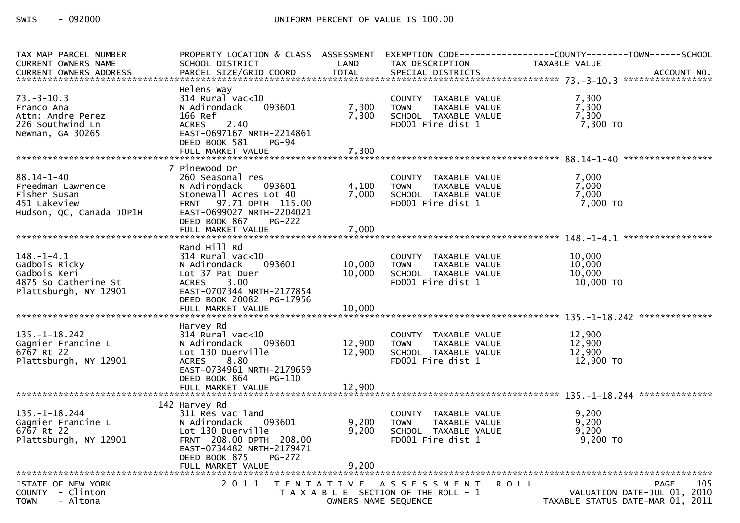| TAX MAP PARCEL NUMBER<br><b>CURRENT OWNERS NAME</b><br><b>CURRENT OWNERS ADDRESS</b>               | SCHOOL DISTRICT<br>PARCEL SIZE/GRID COORD                                                                                                                                                           | LAND<br><b>TOTAL</b>       | TAX DESCRIPTION<br>SPECIAL DISTRICTS                                                              | PROPERTY LOCATION & CLASS ASSESSMENT EXEMPTION CODE----------------COUNTY-------TOWN------SCHOOL<br>TAXABLE VALUE<br>ACCOUNT NO. |
|----------------------------------------------------------------------------------------------------|-----------------------------------------------------------------------------------------------------------------------------------------------------------------------------------------------------|----------------------------|---------------------------------------------------------------------------------------------------|----------------------------------------------------------------------------------------------------------------------------------|
| $73. - 3 - 10.3$<br>Franco Ana<br>Attn: Andre Perez<br>226 Southwind Ln<br>Newnan, GA 30265        | Helens Way<br>$314$ Rural vac< $10$<br>093601<br>N Adirondack<br>166 Ref<br><b>ACRES</b><br>2.40<br>EAST-0697167 NRTH-2214861<br>DEED BOOK 581<br>$PG-94$<br>FULL MARKET VALUE                      | 7,300<br>7,300<br>7,300    | COUNTY TAXABLE VALUE<br>TAXABLE VALUE<br><b>TOWN</b><br>SCHOOL TAXABLE VALUE<br>FD001 Fire dist 1 | 7,300<br>7,300<br>7,300<br>7,300 TO                                                                                              |
|                                                                                                    |                                                                                                                                                                                                     |                            |                                                                                                   |                                                                                                                                  |
| $88.14 - 1 - 40$<br>Freedman Lawrence<br>Fisher Susan<br>451 Lakeview<br>Hudson, QC, Canada JOP1H  | 7 Pinewood Dr<br>260 Seasonal res<br>N Adirondack<br>093601<br>Stonewall Acres Lot 40<br>FRNT 97.71 DPTH 115.00<br>EAST-0699027 NRTH-2204021<br>DEED BOOK 867<br><b>PG-222</b><br>FULL MARKET VALUE | 4,100<br>7,000<br>7,000    | COUNTY TAXABLE VALUE<br><b>TOWN</b><br>TAXABLE VALUE<br>SCHOOL TAXABLE VALUE<br>FD001 Fire dist 1 | 7,000<br>7,000<br>7,000<br>7,000 TO                                                                                              |
|                                                                                                    | Rand Hill Rd                                                                                                                                                                                        |                            |                                                                                                   |                                                                                                                                  |
| $148. - 1 - 4.1$<br>Gadbois Ricky<br>Gadbois Keri<br>4875 So Catherine St<br>Plattsburgh, NY 12901 | $314$ Rural vac<10<br>N Adirondack<br>093601<br>Lot 37 Pat Duer<br>3.00<br><b>ACRES</b><br>EAST-0707344 NRTH-2177854<br>DEED BOOK 20082 PG-17956<br>FULL MARKET VALUE                               | 10,000<br>10,000<br>10,000 | COUNTY TAXABLE VALUE<br><b>TOWN</b><br>TAXABLE VALUE<br>SCHOOL TAXABLE VALUE<br>FD001 Fire dist 1 | 10,000<br>10,000<br>10,000<br>10,000 TO                                                                                          |
|                                                                                                    |                                                                                                                                                                                                     |                            |                                                                                                   |                                                                                                                                  |
| $135. - 1 - 18.242$<br>Gagnier Francine L<br>6767 Rt 22<br>Plattsburgh, NY 12901                   | Harvey Rd<br>$314$ Rural vac< $10$<br>N Adirondack 093601<br>Lot 130 Duerville<br><b>ACRES</b><br>8.80<br>EAST-0734961 NRTH-2179659<br>DEED BOOK 864<br>PG-110                                      | 12,900<br>12,900           | COUNTY TAXABLE VALUE<br><b>TOWN</b><br>TAXABLE VALUE<br>SCHOOL TAXABLE VALUE<br>FD001 Fire dist 1 | 12,900<br>12,900<br>12,900<br>12,900 TO                                                                                          |
|                                                                                                    |                                                                                                                                                                                                     |                            |                                                                                                   |                                                                                                                                  |
| $135. - 1 - 18.244$<br>Gagnier Francine L<br>6767 Rt 22<br>Plattsburgh, NY 12901                   | 142 Harvey Rd<br>311 Res vac land<br>093601<br>N Adirondack<br>Lot 130 Duerville<br>FRNT 208.00 DPTH 208.00<br>EAST-0734482 NRTH-2179471<br>DEED BOOK 875<br><b>PG-272</b>                          | 9,200<br>9,200             | COUNTY TAXABLE VALUE<br><b>TOWN</b><br>TAXABLE VALUE<br>SCHOOL TAXABLE VALUE<br>FD001 Fire dist 1 | 9,200<br>9,200<br>9,200<br>$9,200$ TO                                                                                            |
|                                                                                                    | FULL MARKET VALUE                                                                                                                                                                                   | 9,200                      |                                                                                                   |                                                                                                                                  |
| STATE OF NEW YORK<br>COUNTY - Clinton<br>- Altona<br><b>TOWN</b>                                   | 2011                                                                                                                                                                                                | OWNERS NAME SEQUENCE       | TENTATIVE ASSESSMENT<br>T A X A B L E SECTION OF THE ROLL - 1                                     | 105<br><b>PAGE</b><br>R O L L<br>VALUATION DATE-JUL 01, 2010<br>TAXABLE STATUS DATE-MAR 01, 2011                                 |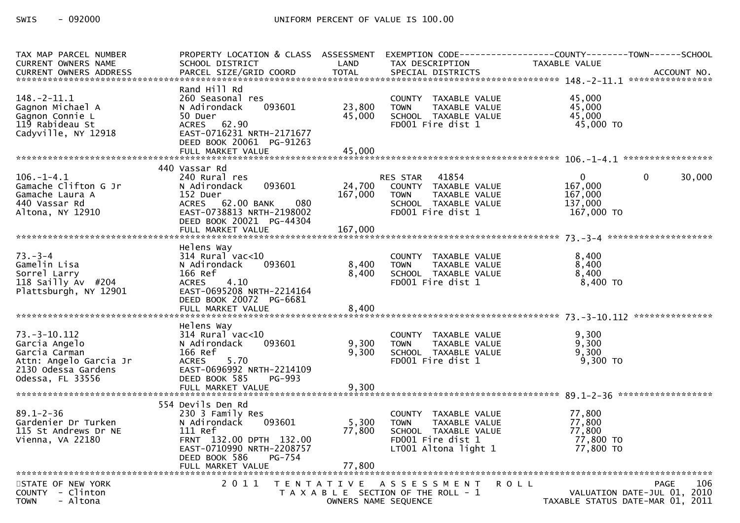| TAX MAP PARCEL NUMBER                                                                                                     |                                                                                                                                                               |                      |                                                                                                                           | PROPERTY LOCATION & CLASS ASSESSMENT EXEMPTION CODE----------------COUNTY-------TOWN------SCHOOL |
|---------------------------------------------------------------------------------------------------------------------------|---------------------------------------------------------------------------------------------------------------------------------------------------------------|----------------------|---------------------------------------------------------------------------------------------------------------------------|--------------------------------------------------------------------------------------------------|
| <b>CURRENT OWNERS NAME</b>                                                                                                | SCHOOL DISTRICT                                                                                                                                               | LAND                 | TAX DESCRIPTION                                                                                                           | <b>TAXABLE VALUE</b>                                                                             |
|                                                                                                                           |                                                                                                                                                               |                      |                                                                                                                           |                                                                                                  |
| $148. - 2 - 11.1$<br>Gagnon Michael A<br>Gagnon Connie L<br>119 Rabideau St<br>Cadyville, NY 12918                        | Rand Hill Rd<br>260 Seasonal res<br>N Adirondack<br>093601<br>50 Duer<br>ACRES 62.90<br>EAST-0716231 NRTH-2171677<br>DEED BOOK 20061 PG-91263                 | 23,800<br>45,000     | COUNTY TAXABLE VALUE<br>TAXABLE VALUE<br><b>TOWN</b><br>SCHOOL TAXABLE VALUE<br>FD001 Fire dist 1                         | 45,000<br>45,000<br>45,000<br>45,000 TO                                                          |
|                                                                                                                           | FULL MARKET VALUE                                                                                                                                             | 45,000               |                                                                                                                           |                                                                                                  |
|                                                                                                                           |                                                                                                                                                               |                      |                                                                                                                           |                                                                                                  |
| $106. - 1 - 4.1$<br>Gamache Clifton G Jr<br>Gamache Laura A<br>440 Vassar Rd<br>Altona, NY 12910                          | 440 Vassar Rd<br>240 Rural res<br>093601<br>N Adirondack<br>152 Duer<br>080<br>ACRES 62.00 BANK<br>EAST-0738813 NRTH-2198002<br>DEED BOOK 20021 PG-44304      | 24,700<br>167,000    | RES STAR 41854<br>COUNTY TAXABLE VALUE<br><b>TOWN</b><br>TAXABLE VALUE<br>SCHOOL TAXABLE VALUE<br>FD001 Fire dist 1       | $\overline{0}$<br>30,000<br>$\mathbf{0}$<br>167,000<br>167,000<br>137,000<br>167,000 TO          |
|                                                                                                                           | Helens Way                                                                                                                                                    |                      |                                                                                                                           |                                                                                                  |
| $73. - 3 - 4$<br>Gamelin Lisa<br>Sorrel Larry<br>118 Sailly Av #204<br>Plattsburgh, NY 12901                              | $314$ Rural vac< $10$<br>N Adirondack<br>093601<br>166 Ref<br>4.10<br><b>ACRES</b><br>EAST-0695208 NRTH-2214164<br>DEED BOOK 20072 PG-6681                    | 8,400<br>8,400       | COUNTY TAXABLE VALUE<br><b>TOWN</b><br>TAXABLE VALUE<br>SCHOOL TAXABLE VALUE<br>FD001 Fire dist 1                         | 8,400<br>8,400<br>8,400<br>8,400 TO                                                              |
|                                                                                                                           | FULL MARKET VALUE                                                                                                                                             | 8,400                |                                                                                                                           |                                                                                                  |
| $73. - 3 - 10.112$<br>Garcia Angelo<br>Garcia Carman<br>Attn: Angelo Garcia Jr<br>2130 Odessa Gardens<br>Odessa, FL 33556 | Helens Way<br>$314$ Rural vac< $10$<br>N Adirondack<br>093601<br>166 Ref<br><b>ACRES</b><br>5.70<br>EAST-0696992 NRTH-2214109<br>DEED BOOK 585<br>PG-993      | 9,300<br>9,300       | COUNTY TAXABLE VALUE<br><b>TOWN</b><br>TAXABLE VALUE<br>SCHOOL TAXABLE VALUE<br>FD001 Fire dist 1                         | 9,300<br>9,300<br>9,300<br>$9,300$ TO                                                            |
|                                                                                                                           |                                                                                                                                                               |                      |                                                                                                                           |                                                                                                  |
| $89.1 - 2 - 36$<br>Gardenier Dr Turken<br>115 St Andrews Dr NE<br>Vienna, VA 22180                                        | 554 Devils Den Rd<br>230 3 Family Res<br>093601<br>N Adirondack<br>111 Ref<br>FRNT 132.00 DPTH 132.00<br>EAST-0710990 NRTH-2208757<br>DEED BOOK 586<br>PG-754 | 5,300<br>77,800      | COUNTY TAXABLE VALUE<br>TAXABLE VALUE<br><b>TOWN</b><br>SCHOOL TAXABLE VALUE<br>FD001 Fire dist 1<br>LT001 Altona light 1 | 77,800<br>77,800<br>77,800<br>77,800 TO<br>77,800 TO                                             |
| STATE OF NEW YORK                                                                                                         | 2011                                                                                                                                                          |                      | TENTATIVE ASSESSMENT                                                                                                      | 106<br><b>ROLL</b><br><b>PAGE</b>                                                                |
| COUNTY - Clinton<br><b>TOWN</b><br>- Altona                                                                               |                                                                                                                                                               | OWNERS NAME SEQUENCE | T A X A B L E SECTION OF THE ROLL - 1                                                                                     | VALUATION DATE-JUL 01, 2010<br>TAXABLE STATUS DATE-MAR 01, 2011                                  |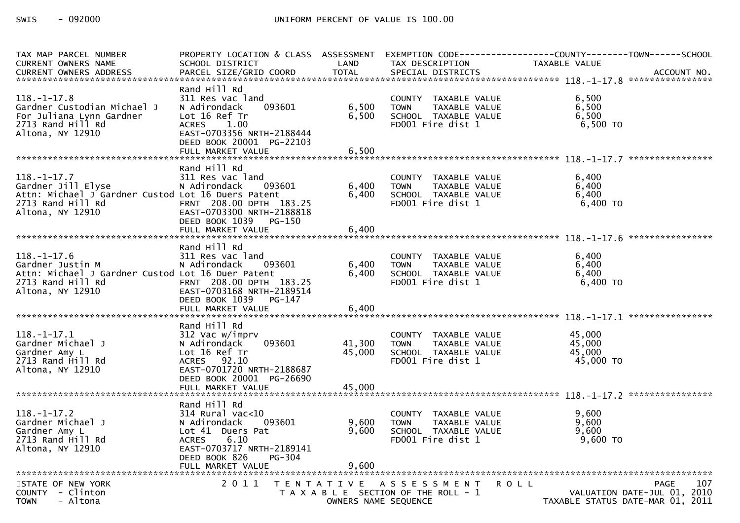| TAX MAP PARCEL NUMBER                                                                                                                  | PROPERTY LOCATION & CLASS ASSESSMENT                                                                                                                               |                         |                                                                                                   | EXEMPTION CODE-----------------COUNTY-------TOWN------SCHOOL                                  |
|----------------------------------------------------------------------------------------------------------------------------------------|--------------------------------------------------------------------------------------------------------------------------------------------------------------------|-------------------------|---------------------------------------------------------------------------------------------------|-----------------------------------------------------------------------------------------------|
| <b>CURRENT OWNERS NAME</b><br><b>CURRENT OWNERS ADDRESS</b>                                                                            | SCHOOL DISTRICT<br>PARCEL SIZE/GRID COORD                                                                                                                          | LAND<br><b>TOTAL</b>    | TAX DESCRIPTION<br>SPECIAL DISTRICTS                                                              | <b>TAXABLE VALUE</b><br>ACCOUNT NO.                                                           |
|                                                                                                                                        |                                                                                                                                                                    |                         |                                                                                                   |                                                                                               |
| $118. - 1 - 17.8$<br>Gardner Custodian Michael J<br>For Juliana Lynn Gardner<br>$2713$ Rand Hill Rd<br>Altona, NY 12910                | Rand Hill Rd<br>311 Res vac land<br>N Adirondack<br>093601<br>Lot 16 Ref Tr<br><b>ACRES</b><br>1.00<br>EAST-0703356 NRTH-2188444<br>DEED BOOK 20001 PG-22103       | 6,500<br>6,500          | COUNTY TAXABLE VALUE<br>TAXABLE VALUE<br><b>TOWN</b><br>SCHOOL TAXABLE VALUE<br>FD001 Fire dist 1 | 6,500<br>6,500<br>6,500<br>$6,500$ TO                                                         |
|                                                                                                                                        | FULL MARKET VALUE                                                                                                                                                  | 6.500                   |                                                                                                   |                                                                                               |
| $118. - 1 - 17.7$<br>Gardner Jill Elyse<br>Attn: Michael J Gardner Custod Lot 16 Duers Patent<br>2713 Rand Hill Rd<br>Altona, NY 12910 | Rand Hill Rd<br>311 Res vac land<br>N Adirondack<br>093601<br>FRNT 208.00 DPTH 183.25<br>EAST-0703300 NRTH-2188818<br>DEED BOOK 1039 PG-150<br>FULL MARKET VALUE   | 6,400<br>6,400<br>6,400 | COUNTY TAXABLE VALUE<br><b>TOWN</b><br>TAXABLE VALUE<br>SCHOOL TAXABLE VALUE<br>FD001 Fire dist 1 | 6,400<br>6,400<br>6,400<br>6,400 TO                                                           |
|                                                                                                                                        |                                                                                                                                                                    |                         |                                                                                                   |                                                                                               |
| $118. - 1 - 17.6$<br>Gardner Justin M<br>Attn: Michael J Gardner Custod Lot 16 Duer Patent<br>2713 Rand Hill Rd<br>Altona, NY 12910    | Rand Hill Rd<br>311 Res vac land<br>N Adirondack<br>093601<br>FRNT 208.00 DPTH 183.25<br>EAST-0703168 NRTH-2189514<br>DEED BOOK 1039 PG-147<br>FULL MARKET VALUE   | 6,400<br>6,400<br>6,400 | COUNTY TAXABLE VALUE<br><b>TOWN</b><br>TAXABLE VALUE<br>SCHOOL TAXABLE VALUE<br>FD001 Fire dist 1 | 6,400<br>6,400<br>6,400<br>6,400 TO                                                           |
|                                                                                                                                        |                                                                                                                                                                    |                         |                                                                                                   |                                                                                               |
| $118. - 1 - 17.1$<br>Gardner Michael J<br>Gardner Amy L<br>2713 Rand Hill Rd<br>Altona, NY 12910                                       | Rand Hill Rd<br>312 Vac w/imprv<br>093601<br>N Adirondack<br>Lot 16 Ref Tr<br>ACRES 92.10<br>EAST-0701720 NRTH-2188687<br>DEED BOOK 20001 PG-26690                 | 41,300<br>45,000        | COUNTY TAXABLE VALUE<br><b>TOWN</b><br>TAXABLE VALUE<br>SCHOOL TAXABLE VALUE<br>FD001 Fire dist 1 | 45,000<br>45,000<br>45.000<br>45,000 TO                                                       |
|                                                                                                                                        |                                                                                                                                                                    |                         |                                                                                                   |                                                                                               |
| $118. - 1 - 17.2$<br>Gardner Michael J<br>Gardner Amy L<br>2713 Rand Hill Rd<br>Altona, NY 12910                                       | Rand Hill Rd<br>$314$ Rural vac<10<br>093601<br>N Adirondack<br>Lot 41 Duers Pat<br>6.10<br><b>ACRES</b><br>EAST-0703717 NRTH-2189141<br>DEED BOOK 826<br>$PG-304$ | 9,600<br>9.600          | COUNTY TAXABLE VALUE<br><b>TOWN</b><br>TAXABLE VALUE<br>SCHOOL TAXABLE VALUE<br>FD001 Fire dist 1 | 9,600<br>9,600<br>9.600<br>$9,600$ TO                                                         |
|                                                                                                                                        | FULL MARKET VALUE                                                                                                                                                  | 9,600                   |                                                                                                   |                                                                                               |
| STATE OF NEW YORK<br>COUNTY - Clinton<br>- Altona<br><b>TOWN</b>                                                                       | 2 0 1 1                                                                                                                                                            | OWNERS NAME SEQUENCE    | TENTATIVE ASSESSMENT<br>T A X A B L E SECTION OF THE ROLL - 1                                     | 107<br><b>PAGE</b><br>ROLL<br>VALUATION DATE-JUL 01, 2010<br>TAXABLE STATUS DATE-MAR 01, 2011 |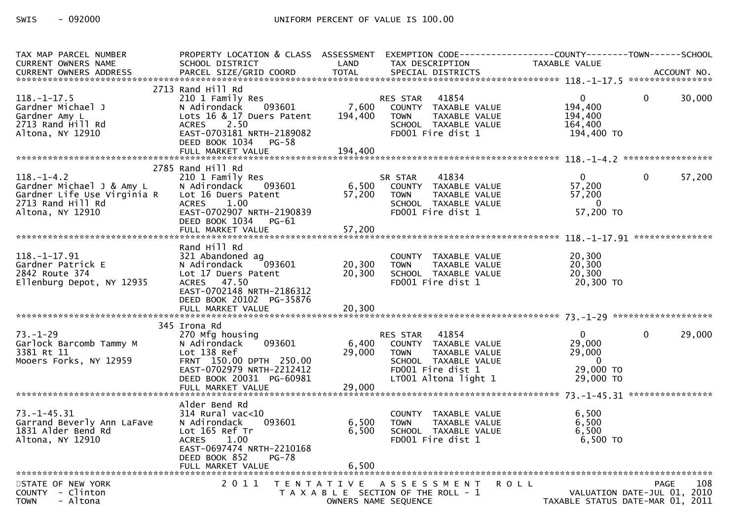| TAX MAP PARCEL NUMBER              | PROPERTY LOCATION & CLASS ASSESSMENT EXEMPTION CODE----------------COUNTY--------TOWN------SCHOOL |                  |                                                      |                                  |                |        |
|------------------------------------|---------------------------------------------------------------------------------------------------|------------------|------------------------------------------------------|----------------------------------|----------------|--------|
| <b>CURRENT OWNERS NAME</b>         | SCHOOL DISTRICT                                                                                   | LAND             | TAX DESCRIPTION                                      | TAXABLE VALUE                    |                |        |
|                                    |                                                                                                   |                  |                                                      |                                  |                |        |
|                                    | 2713 Rand Hill Rd                                                                                 |                  |                                                      |                                  |                |        |
| $118. - 1 - 17.5$                  | 210 1 Family Res<br>093601<br>N Adirondack                                                        | 7,600            | RES STAR 41854<br>COUNTY TAXABLE VALUE               | $\Omega$<br>194,400              | $\Omega$       | 30,000 |
| Gardner Michael J<br>Gardner Amy L | Lots 16 & 17 Duers Patent                                                                         | 194,400          | <b>TOWN</b><br>TAXABLE VALUE                         | 194,400                          |                |        |
| 2713 Rand Hill Rd                  | 2.50<br><b>ACRES</b>                                                                              |                  | SCHOOL TAXABLE VALUE                                 | 164,400                          |                |        |
| Altona, NY 12910                   | EAST-0703181 NRTH-2189082                                                                         |                  | FD001 Fire dist 1                                    | 194,400 TO                       |                |        |
|                                    | DEED BOOK 1034<br>PG-58                                                                           |                  |                                                      |                                  |                |        |
|                                    | FULL MARKET VALUE                                                                                 | 194,400          |                                                      |                                  |                |        |
|                                    | 2785 Rand Hill Rd                                                                                 |                  |                                                      |                                  |                |        |
| $118. - 1 - 4.2$                   | 210 1 Family Res                                                                                  |                  | 41834<br>SR STAR                                     | $\overline{0}$                   | $\overline{0}$ | 57,200 |
| Gardner Michael J & Amy L          | 093601<br>N Adirondack                                                                            | 6,500            | COUNTY TAXABLE VALUE                                 | 57,200                           |                |        |
| Gardner Life Use Virginia R        | Lot 16 Duers Patent                                                                               | 57,200           | TAXABLE VALUE<br><b>TOWN</b>                         | 57,200                           |                |        |
| 2713 Rand Hill Rd                  | 1.00<br><b>ACRES</b>                                                                              |                  | SCHOOL TAXABLE VALUE                                 | $\overline{\mathbf{0}}$          |                |        |
| Altona, NY 12910                   | EAST-0702907 NRTH-2190839<br>DEED BOOK 1034 PG-61                                                 |                  | FD001 Fire dist 1                                    | 57,200 TO                        |                |        |
|                                    |                                                                                                   |                  |                                                      |                                  |                |        |
|                                    |                                                                                                   |                  |                                                      |                                  |                |        |
|                                    | Rand Hill Rd                                                                                      |                  |                                                      |                                  |                |        |
| 118. -1-17.91<br>Gardner Patrick E | 321 Abandoned ag                                                                                  |                  | COUNTY TAXABLE VALUE                                 | 20,300<br>20,300                 |                |        |
| 2842 Route 374                     | 093601<br>N Adirondack<br>Lot 17 Duers Patent                                                     | 20,300<br>20,300 | <b>TOWN</b><br>TAXABLE VALUE<br>SCHOOL TAXABLE VALUE | 20,300                           |                |        |
| Ellenburg Depot, NY 12935          | ACRES 47.50                                                                                       |                  | FD001 Fire dist 1                                    | 20,300 TO                        |                |        |
|                                    | EAST-0702148 NRTH-2186312                                                                         |                  |                                                      |                                  |                |        |
|                                    | DEED BOOK 20102 PG-35876                                                                          |                  |                                                      |                                  |                |        |
|                                    |                                                                                                   |                  |                                                      |                                  |                |        |
|                                    | 345 Irona Rd                                                                                      |                  |                                                      |                                  |                |        |
| $73. - 1 - 29$                     | 270 Mfg housing                                                                                   |                  | RES STAR 41854                                       | $\mathbf{0}$                     | $\mathbf{0}$   | 29,000 |
| Garlock Barcomb Tammy M            | 093601<br>N Adirondack                                                                            | 6,400            | COUNTY TAXABLE VALUE                                 | 29,000                           |                |        |
| 3381 Rt 11                         | Lot 138 Ref                                                                                       | 29,000           | TAXABLE VALUE<br><b>TOWN</b>                         | 29,000                           |                |        |
| Mooers Forks, NY 12959             | FRNT 150.00 DPTH 250.00<br>EAST-0702979 NRTH-2212412                                              |                  | SCHOOL TAXABLE VALUE<br>FD001 Fire dist 1            | $\overline{0}$<br>29,000 TO      |                |        |
|                                    | DEED BOOK 20031 PG-60981                                                                          |                  | LT001 Altona light 1                                 | 29,000 TO                        |                |        |
|                                    |                                                                                                   |                  |                                                      |                                  |                |        |
|                                    |                                                                                                   |                  |                                                      |                                  |                |        |
| $73. - 1 - 45.31$                  | Alder Bend Rd<br>$314$ Rural vac< $10$                                                            |                  |                                                      | 6,500                            |                |        |
| Garrand Beverly Ann LaFave         | 093601<br>N Adirondack                                                                            | 6,500            | COUNTY TAXABLE VALUE<br><b>TOWN</b><br>TAXABLE VALUE | 6,500                            |                |        |
| 1831 Alder Bend Rd                 | Lot 165 Ref Tr                                                                                    | 6,500            | SCHOOL TAXABLE VALUE                                 | 6,500                            |                |        |
| Altona, NY 12910                   | <b>ACRES</b><br>1.00                                                                              |                  | FD001 Fire dist 1                                    | 6,500 TO                         |                |        |
|                                    | EAST-0697474 NRTH-2210168                                                                         |                  |                                                      |                                  |                |        |
|                                    | DEED BOOK 852<br><b>PG-78</b>                                                                     |                  |                                                      |                                  |                |        |
|                                    |                                                                                                   |                  |                                                      |                                  |                |        |
| STATE OF NEW YORK                  |                                                                                                   |                  | 2011 TENTATIVE ASSESSMENT                            | <b>ROLL</b>                      | <b>PAGE</b>    | 108    |
| $COUNTY - Clinton$                 |                                                                                                   |                  | T A X A B L E SECTION OF THE ROLL - 1                | VALUATION DATE-JUL 01, 2010      |                |        |
| <b>TOWN</b><br>- Altona            |                                                                                                   |                  | OWNERS NAME SEQUENCE                                 | TAXABLE STATUS DATE-MAR 01, 2011 |                |        |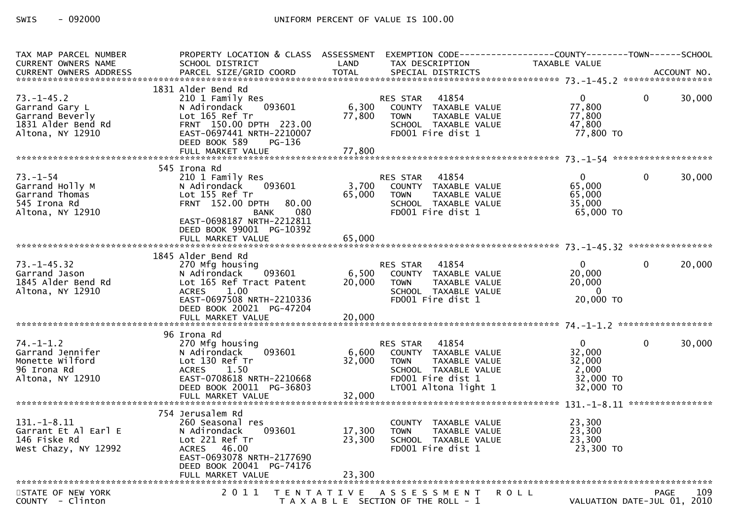| TAX MAP PARCEL NUMBER<br>CURRENT OWNERS NAME                                                    | PROPERTY LOCATION & CLASS ASSESSMENT<br>SCHOOL DISTRICT                                                                                                                           | LAND                       | EXEMPTION CODE------------------COUNTY--------TOWN------SCHOOL<br>TAX DESCRIPTION                                      | TAXABLE VALUE                                                     |                |        |
|-------------------------------------------------------------------------------------------------|-----------------------------------------------------------------------------------------------------------------------------------------------------------------------------------|----------------------------|------------------------------------------------------------------------------------------------------------------------|-------------------------------------------------------------------|----------------|--------|
|                                                                                                 |                                                                                                                                                                                   |                            |                                                                                                                        |                                                                   |                |        |
| $73. - 1 - 45.2$<br>Garrand Gary L<br>Garrand Beverly<br>1831 Alder Bend Rd<br>Altona, NY 12910 | 1831 Alder Bend Rd<br>210 1 Family Res<br>093601<br>N Adirondack<br>Lot 165 Ref Tr<br>FRNT 150.00 DPTH 223.00<br>EAST-0697441 NRTH-2210007<br>DEED BOOK 589<br>PG-136             | 6,300<br>77,800            | 41854<br>RES STAR<br>COUNTY TAXABLE VALUE<br><b>TOWN</b><br>TAXABLE VALUE<br>SCHOOL TAXABLE VALUE<br>FD001 Fire dist 1 | $\overline{0}$<br>77,800<br>77,800<br>47,800<br>77,800 TO         | $\mathbf{0}$   | 30,000 |
|                                                                                                 |                                                                                                                                                                                   |                            |                                                                                                                        |                                                                   |                |        |
| $73. - 1 - 54$<br>Garrand Holly M<br>Garrand Thomas<br>545 Irona Rd<br>Altona, NY 12910         | 545 Irona Rd<br>210 1 Family Res<br>093601<br>N Adirondack<br>Lot 155 Ref Tr<br>FRNT 152.00 DPTH<br>80.00<br>080<br>BANK<br>EAST-0698187 NRTH-2212811<br>DEED BOOK 99001 PG-10392 | 3,700<br>65,000            | RES STAR 41854<br>COUNTY TAXABLE VALUE<br>TAXABLE VALUE<br><b>TOWN</b><br>SCHOOL TAXABLE VALUE<br>FD001 Fire dist 1    | $\mathbf{0}$<br>65,000<br>65,000<br>35,000<br>65,000 TO           | $\mathbf{0}$   | 30,000 |
|                                                                                                 | FULL MARKET VALUE                                                                                                                                                                 | 65,000                     |                                                                                                                        |                                                                   |                |        |
|                                                                                                 | 1845 Alder Bend Rd                                                                                                                                                                |                            |                                                                                                                        |                                                                   |                |        |
| $73. - 1 - 45.32$<br>Garrand Jason<br>1845 Alder Bend Rd<br>Altona, NY 12910                    | 270 Mfg housing<br>093601<br>N Adirondack<br>Lot 165 Ref Tract Patent<br>ACRES 1.00<br>EAST-0697508 NRTH-2210336<br>DEED BOOK 20021 PG-47204                                      | 6,500<br>20,000            | RES STAR 41854<br>COUNTY TAXABLE VALUE<br><b>TOWN</b><br>TAXABLE VALUE<br>SCHOOL TAXABLE VALUE<br>FD001 Fire dist 1    | $\overline{0}$<br>20,000<br>20,000<br>$\overline{0}$<br>20,000 TO | $\overline{0}$ | 20,000 |
|                                                                                                 |                                                                                                                                                                                   |                            |                                                                                                                        |                                                                   |                |        |
| $74. - 1 - 1.2$<br>Garrand Jennifer<br>Monette Wilford<br>96 Irona Rd<br>Altona, NY 12910       | 96 Irona Rd<br>270 Mfg housing<br>093601<br>N Adirondack<br>Lot 130 Ref Tr<br>ACRES 1.50<br>EAST-0708618 NRTH-2210668                                                             | 6,600<br>32,000            | RES STAR 41854<br>COUNTY TAXABLE VALUE<br><b>TOWN</b><br>TAXABLE VALUE<br>SCHOOL TAXABLE VALUE<br>FD001 Fire dist 1    | $\overline{0}$<br>32,000<br>32,000<br>2,000<br>32,000 TO          | $\mathbf{0}$   | 30,000 |
|                                                                                                 | DEED BOOK 20011 PG-36803<br>FULL MARKET VALUE                                                                                                                                     | 32,000                     | LT001 Altona light 1                                                                                                   | 32,000 TO                                                         |                |        |
|                                                                                                 | 754 Jerusalem Rd                                                                                                                                                                  |                            |                                                                                                                        |                                                                   |                |        |
| $131. - 1 - 8.11$<br>Garrant Et Al Earl E<br>146 Fiske Rd<br>West Chazy, NY 12992               | 260 Seasonal res<br>093601<br>N Adirondack<br>Lot 221 Ref Tr<br>ACRES 46.00<br>EAST-0693078 NRTH-2177690<br>DEED BOOK 20041 PG-74176<br>FULL MARKET VALUE                         | 17,300<br>23,300<br>23,300 | COUNTY TAXABLE VALUE<br><b>TOWN</b><br>TAXABLE VALUE<br>SCHOOL TAXABLE VALUE<br>FD001 Fire dist 1                      | 23,300<br>23,300<br>23,300<br>23,300 TO                           |                |        |
|                                                                                                 |                                                                                                                                                                                   |                            |                                                                                                                        |                                                                   |                |        |
| STATE OF NEW YORK<br>COUNTY - Clinton                                                           |                                                                                                                                                                                   |                            | 2011 TENTATIVE ASSESSMENT<br>T A X A B L E SECTION OF THE ROLL - 1                                                     | ROLL<br>VALUATION DATE-JUL 01, 2010                               | <b>PAGE</b>    | 109    |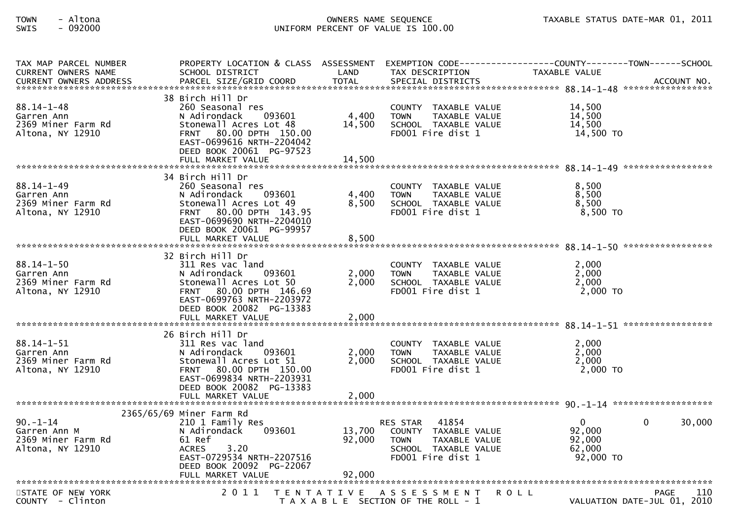| TAX MAP PARCEL NUMBER<br><b>CURRENT OWNERS NAME</b>                      | PROPERTY LOCATION & CLASS ASSESSMENT<br>SCHOOL DISTRICT                                                                                                                                                    | LAND                    | EXEMPTION CODE--<br>TAX DESCRIPTION                                                                                                  | ------------COUNTY--------TOWN------SCHOOL<br><b>TAXABLE VALUE</b> |                                            |
|--------------------------------------------------------------------------|------------------------------------------------------------------------------------------------------------------------------------------------------------------------------------------------------------|-------------------------|--------------------------------------------------------------------------------------------------------------------------------------|--------------------------------------------------------------------|--------------------------------------------|
|                                                                          |                                                                                                                                                                                                            |                         |                                                                                                                                      |                                                                    |                                            |
| $88.14 - 1 - 48$<br>Garren Ann<br>2369 Miner Farm Rd<br>Altona, NY 12910 | 38 Birch Hill Dr<br>260 Seasonal res<br>N Adirondack<br>093601<br>Stonewall Acres Lot 48<br>80.00 DPTH 150.00<br><b>FRNT</b><br>EAST-0699616 NRTH-2204042<br>DEED BOOK 20061 PG-97523                      | 4,400<br>14,500         | COUNTY TAXABLE VALUE<br><b>TOWN</b><br>TAXABLE VALUE<br>SCHOOL TAXABLE VALUE<br>FD001 Fire dist 1                                    | 14.500<br>14,500<br>14.500<br>14,500 TO                            |                                            |
|                                                                          | FULL MARKET VALUE                                                                                                                                                                                          | 14,500                  |                                                                                                                                      |                                                                    |                                            |
| $88.14 - 1 - 49$<br>Garren Ann<br>2369 Miner Farm Rd<br>Altona, NY 12910 | 34 Birch Hill Dr<br>260 Seasonal res<br>093601<br>N Adirondack<br>Stonewall Acres Lot 49<br>FRNT 80.00 DPTH 143.95<br>EAST-0699690 NRTH-2204010<br>DEED BOOK 20061 PG-99957                                | 4,400<br>8,500          | COUNTY TAXABLE VALUE<br><b>TOWN</b><br>TAXABLE VALUE<br>SCHOOL TAXABLE VALUE<br>FD001 Fire dist 1                                    | 8.500<br>8,500<br>8,500<br>$8,500$ TO                              |                                            |
|                                                                          | FULL MARKET VALUE                                                                                                                                                                                          | 8,500                   |                                                                                                                                      |                                                                    |                                            |
| $88.14 - 1 - 50$<br>Garren Ann<br>2369 Miner Farm Rd<br>Altona, NY 12910 | 32 Birch Hill Dr<br>311 Res vac land<br>N Adirondack<br>093601<br>Stonewall Acres Lot 50<br>FRNT 80.00 DPTH 146.69<br>EAST-0699763 NRTH-2203972<br>DEED BOOK 20082 PG-13383                                | 2,000<br>2,000          | COUNTY TAXABLE VALUE<br><b>TOWN</b><br>TAXABLE VALUE<br>SCHOOL TAXABLE VALUE<br>FD001 Fire dist 1                                    | 2,000<br>2,000<br>2,000<br>$2,000$ TO                              |                                            |
|                                                                          | FULL MARKET VALUE                                                                                                                                                                                          | 2,000                   |                                                                                                                                      |                                                                    |                                            |
| $88.14 - 1 - 51$<br>Garren Ann<br>2369 Miner Farm Rd<br>Altona, NY 12910 | 26 Birch Hill Dr<br>311 Res vac land<br>N Adirondack<br>093601<br>Stonewall Acres Lot 51<br><b>FRNT</b><br>80.00 DPTH 150.00<br>EAST-0699834 NRTH-2203931<br>DEED BOOK 20082 PG-13383<br>FULL MARKET VALUE | 2,000<br>2,000<br>2,000 | COUNTY TAXABLE VALUE<br><b>TOWN</b><br>TAXABLE VALUE<br>SCHOOL TAXABLE VALUE<br>FD001 Fire dist 1                                    | 2,000<br>2,000<br>2,000<br>$2,000$ TO                              |                                            |
|                                                                          |                                                                                                                                                                                                            |                         |                                                                                                                                      |                                                                    |                                            |
| $90. - 1 - 14$<br>Garren Ann M<br>2369 Miner Farm Rd<br>Altona, NY 12910 | 2365/65/69 Miner Farm Rd<br>210 1 Family Res<br>093601<br>N Adirondack<br>61 Ref<br><b>ACRES</b><br>3.20<br>EAST-0729534 NRTH-2207516<br>DEED BOOK 20092 PG-22067                                          | 13,700<br>92,000        | 41854<br><b>RES STAR</b><br>COUNTY TAXABLE VALUE<br><b>TAXABLE VALUE</b><br><b>TOWN</b><br>SCHOOL TAXABLE VALUE<br>FD001 Fire dist 1 | $\mathbf 0$<br>92,000<br>92,000<br>62,000<br>$92,000$ TO           | 30,000<br>0                                |
|                                                                          |                                                                                                                                                                                                            |                         |                                                                                                                                      |                                                                    |                                            |
| STATE OF NEW YORK<br>COUNTY - Clinton                                    | 2011                                                                                                                                                                                                       | T E N T A T I V E       | A S S E S S M E N T<br>T A X A B L E SECTION OF THE ROLL - 1                                                                         | <b>ROLL</b>                                                        | 110<br>PAGE<br>VALUATION DATE-JUL 01, 2010 |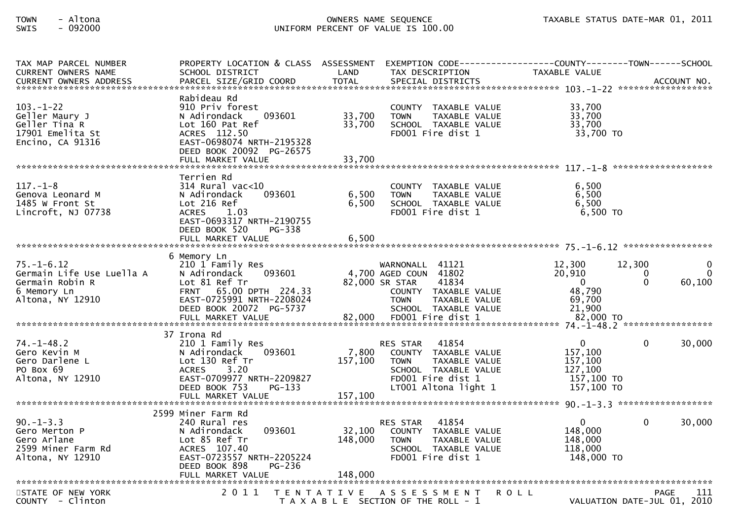| TAX MAP PARCEL NUMBER<br><b>CURRENT OWNERS NAME</b>                                                 | PROPERTY LOCATION & CLASS ASSESSMENT EXEMPTION CODE----------------COUNTY--------TOWN------SCHOOL<br>SCHOOL DISTRICT                                                      | LAND                        | TAX DESCRIPTION                                                                                                                                     | TAXABLE VALUE                                                         |                                                           |
|-----------------------------------------------------------------------------------------------------|---------------------------------------------------------------------------------------------------------------------------------------------------------------------------|-----------------------------|-----------------------------------------------------------------------------------------------------------------------------------------------------|-----------------------------------------------------------------------|-----------------------------------------------------------|
| <b>CURRENT OWNERS ADDRESS</b>                                                                       | PARCEL SIZE/GRID COORD                                                                                                                                                    | <b>TOTAL</b>                | SPECIAL DISTRICTS                                                                                                                                   |                                                                       | ACCOUNT NO.                                               |
| $103. - 1 - 22$<br>Geller Maury J<br>Geller Tina R<br>17901 Emelita St<br>Encino, CA 91316          | Rabideau Rd<br>910 Priv forest<br>N Adirondack<br>093601<br>Lot 160 Pat Ref<br>ACRES 112.50<br>EAST-0698074 NRTH-2195328<br>DEED BOOK 20092 PG-26575<br>FULL MARKET VALUE | 33,700<br>33,700<br>33,700  | COUNTY TAXABLE VALUE<br>TAXABLE VALUE<br><b>TOWN</b><br>SCHOOL TAXABLE VALUE<br>FD001 Fire dist 1                                                   | 33.700<br>33,700<br>33,700<br>33,700 TO                               |                                                           |
|                                                                                                     | Terrien Rd                                                                                                                                                                |                             |                                                                                                                                                     |                                                                       |                                                           |
| $117. - 1 - 8$<br>Genova Leonard M<br>1485 W Front St<br>Lincroft, NJ 07738                         | $314$ Rural vac< $10$<br>093601<br>N Adirondack<br>Lot 216 Ref<br><b>ACRES</b><br>1.03<br>EAST-0693317 NRTH-2190755<br>DEED BOOK 520<br>PG-338                            | 6,500<br>6,500              | COUNTY TAXABLE VALUE<br><b>TOWN</b><br>TAXABLE VALUE<br>SCHOOL TAXABLE VALUE<br>FD001 Fire dist 1                                                   | 6.500<br>6,500<br>6,500<br>6,500 TO                                   |                                                           |
|                                                                                                     |                                                                                                                                                                           |                             |                                                                                                                                                     |                                                                       |                                                           |
| $75. - 1 - 6.12$<br>Germain Life Use Luella A<br>Germain Robin R<br>6 Memory Ln<br>Altona, NY 12910 | 6 Memory Ln<br>210 1 Family Res<br>093601<br>N Adirondack<br>Lot 81 Ref Tr<br>FRNT 65.00 DPTH 224.33<br>EAST-0725991 NRTH-2208024<br>DEED BOOK 20072 PG-5737              |                             | WARNONALL 41121<br>4,700 AGED COUN 41802<br>41834<br>82,000 SR STAR<br>COUNTY TAXABLE VALUE<br><b>TOWN</b><br>TAXABLE VALUE<br>SCHOOL TAXABLE VALUE | 12,300<br>20,910<br>$\overline{0}$<br>48,790<br>69,700<br>21,900      | 12,300<br>$\Omega$<br>0<br>$\Omega$<br>$\Omega$<br>60,100 |
|                                                                                                     |                                                                                                                                                                           |                             |                                                                                                                                                     |                                                                       |                                                           |
|                                                                                                     | 37 Irona Rd                                                                                                                                                               |                             |                                                                                                                                                     |                                                                       |                                                           |
| $74. - 1 - 48.2$<br>Gero Kevin M<br>Gero Darlene L<br>PO Box 69<br>Altona, NY 12910                 | 210 1 Family Res<br>N Adirondack<br>093601<br>Lot 130 Ref Tr<br><b>ACRES</b><br>3.20<br>EAST-0709977 NRTH-2209827<br>DEED BOOK 753<br>PG-133<br>FULL MARKET VALUE         | 7,800<br>157,100<br>157,100 | 41854<br>RES STAR<br>COUNTY TAXABLE VALUE<br><b>TOWN</b><br>TAXABLE VALUE<br>SCHOOL TAXABLE VALUE<br>FD001 Fire dist 1<br>LT001 Altona light 1      | $\Omega$<br>157,100<br>157,100<br>127,100<br>157,100 TO<br>157,100 TO | 30,000<br>0                                               |
|                                                                                                     |                                                                                                                                                                           |                             |                                                                                                                                                     |                                                                       |                                                           |
| $90. -1 - 3.3$<br>Gero Merton P<br>Gero Arlane<br>2599 Miner Farm Rd<br>Altona, NY 12910            | 2599 Miner Farm Rd<br>240 Rural res<br>093601<br>N Adirondack<br>Lot 85 Ref Tr<br>ACRES 107.40<br>EAST-0723557 NRTH-2205224<br>PG-236<br>DEED BOOK 898                    | 32,100<br>148,000           | 41854<br><b>RES STAR</b><br>COUNTY TAXABLE VALUE<br>TAXABLE VALUE<br><b>TOWN</b><br>SCHOOL TAXABLE VALUE<br>FD001 Fire dist 1                       | $\mathbf 0$<br>148,000<br>148,000<br>118,000<br>148,000 TO            | 30,000<br>$\Omega$                                        |
|                                                                                                     |                                                                                                                                                                           |                             |                                                                                                                                                     |                                                                       |                                                           |
| STATE OF NEW YORK<br>COUNTY - Clinton                                                               | 2011                                                                                                                                                                      |                             | TENTATIVE ASSESSMENT<br>T A X A B L E SECTION OF THE ROLL - 1                                                                                       | <b>ROLL</b>                                                           | <b>PAGE</b><br>111<br>VALUATION DATE-JUL 01, 2010         |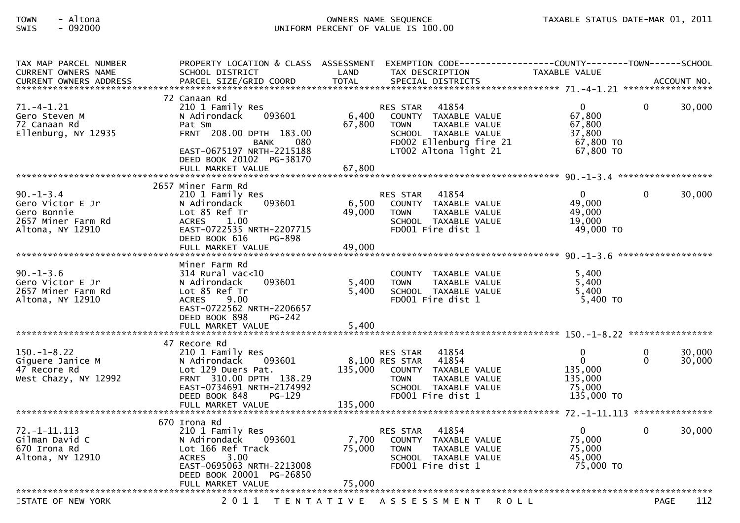| TAX MAP PARCEL NUMBER<br><b>CURRENT OWNERS NAME</b>                                          | PROPERTY LOCATION & CLASS ASSESSMENT EXEMPTION CODE--<br>SCHOOL DISTRICT                                                                                                                     | LAND                      | TAX DESCRIPTION                                                                                                                                              | ------------COUNTY--------TOWN------SCHOOL<br>TAXABLE VALUE            |                      |                  |
|----------------------------------------------------------------------------------------------|----------------------------------------------------------------------------------------------------------------------------------------------------------------------------------------------|---------------------------|--------------------------------------------------------------------------------------------------------------------------------------------------------------|------------------------------------------------------------------------|----------------------|------------------|
|                                                                                              |                                                                                                                                                                                              |                           |                                                                                                                                                              |                                                                        |                      |                  |
| $71. - 4 - 1.21$<br>Gero Steven M<br>72 Canaan Rd<br>Ellenburg, NY 12935                     | 72 Canaan Rd<br>210 1 Family Res<br>N Adirondack<br>093601<br>Pat Sm<br>FRNT 208.00 DPTH 183.00<br>080<br>BANK<br>EAST-0675197 NRTH-2215188<br>DEED BOOK 20102 PG-38170<br>FULL MARKET VALUE | 6,400<br>67,800<br>67,800 | 41854<br>RES STAR<br>COUNTY TAXABLE VALUE<br><b>TAXABLE VALUE</b><br><b>TOWN</b><br>SCHOOL TAXABLE VALUE<br>FD002 Ellenburg fire 21<br>LT002 Altona light 21 | $\mathbf{0}$<br>67,800<br>67,800<br>37,800<br>67,800 TO<br>67,800 TO   | $\Omega$             | 30,000           |
|                                                                                              | 2657 Miner Farm Rd                                                                                                                                                                           |                           |                                                                                                                                                              |                                                                        |                      |                  |
| $90. - 1 - 3.4$<br>Gero Victor E Jr<br>Gero Bonnie<br>2657 Miner Farm Rd<br>Altona, NY 12910 | 210 1 Family Res<br>093601<br>N Adirondack<br>Lot 85 Ref Tr<br><b>ACRES</b><br>1.00<br>EAST-0722535 NRTH-2207715<br>DEED BOOK 616<br>PG-898<br>FULL MARKET VALUE                             | 6,500<br>49,000<br>49,000 | 41854<br><b>RES STAR</b><br>COUNTY TAXABLE VALUE<br><b>TOWN</b><br>TAXABLE VALUE<br>SCHOOL TAXABLE VALUE<br>FD001 Fire dist 1                                | $\mathbf{0}$<br>49,000<br>49,000<br>19,000<br>49,000 TO                | $\mathbf 0$          | 30,000           |
|                                                                                              |                                                                                                                                                                                              |                           |                                                                                                                                                              |                                                                        | ******************   |                  |
| $90. -1 - 3.6$<br>Gero Victor E Jr<br>2657 Miner Farm Rd<br>Altona, NY 12910                 | Miner Farm Rd<br>$314$ Rural vac< $10$<br>093601<br>N Adirondack<br>Lot 85 Ref Tr<br>9.00<br><b>ACRES</b><br>EAST-0722562 NRTH-2206657<br>DEED BOOK 898<br>PG-242<br>FULL MARKET VALUE       | 5,400<br>5,400<br>5.400   | COUNTY TAXABLE VALUE<br>TAXABLE VALUE<br><b>TOWN</b><br>SCHOOL TAXABLE VALUE<br>FD001 Fire dist 1                                                            | 5,400<br>5,400<br>5,400<br>5,400 TO                                    |                      |                  |
|                                                                                              | 47 Recore Rd                                                                                                                                                                                 |                           |                                                                                                                                                              |                                                                        |                      |                  |
| $150. - 1 - 8.22$<br>Giguere Janice M<br>47 Recore Rd<br>West Chazy, NY 12992                | 210 1 Family Res<br>N Adirondack<br>093601<br>Lot 129 Duers Pat.<br>FRNT 310.00 DPTH 138.29<br>EAST-0734691 NRTH-2174992<br>DEED BOOK 848<br>PG-129<br>FULL MARKET VALUE                     | 135,000<br>135,000        | 41854<br><b>RES STAR</b><br>8,100 RES STAR<br>41854<br>COUNTY TAXABLE VALUE<br>TAXABLE VALUE<br><b>TOWN</b><br>SCHOOL TAXABLE VALUE<br>FD001 Fire dist 1     | $\mathbf{0}$<br>$\Omega$<br>135,000<br>135,000<br>75,000<br>135,000 TO | $\Omega$<br>$\Omega$ | 30,000<br>30,000 |
|                                                                                              |                                                                                                                                                                                              |                           |                                                                                                                                                              |                                                                        |                      |                  |
| $72. - 1 - 11.113$<br>Gilman David C<br>670 Irona Rd<br>Altona, NY 12910                     | 670 Irona Rd<br>210 1 Family Res<br>N Adirondack<br>093601<br>Lot 166 Ref Track<br><b>ACRES</b><br>3.00<br>EAST-0695063 NRTH-2213008<br>DEED BOOK 20001 PG-26850<br>FULL MARKET VALUE        | 7,700<br>75,000<br>75,000 | 41854<br>RES STAR<br>COUNTY TAXABLE VALUE<br><b>TOWN</b><br>TAXABLE VALUE<br>SCHOOL TAXABLE VALUE<br>FD001 Fire dist 1                                       | $\mathbf 0$<br>75,000<br>75,000<br>45.000<br>75,000 TO                 | $\Omega$             | 30,000           |
|                                                                                              |                                                                                                                                                                                              |                           |                                                                                                                                                              |                                                                        |                      |                  |
| STATE OF NEW YORK                                                                            | 2011<br>T E N T A T I V E                                                                                                                                                                    |                           | A S S E S S M E N T                                                                                                                                          | <b>ROLL</b>                                                            | <b>PAGE</b>          | 112              |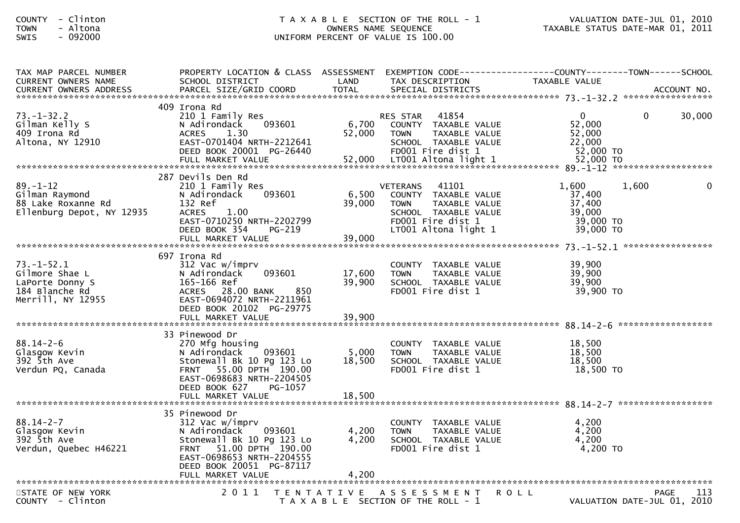| - Clinton<br><b>COUNTY</b><br>- Altona<br><b>TOWN</b><br>$-092000$<br><b>SWIS</b>            |                                                                                                                                                                                                     | OWNERS NAME SEQUENCE       | T A X A B L E SECTION OF THE ROLL - 1<br>UNIFORM PERCENT OF VALUE IS 100.00                                                                           | TAXABLE STATUS DATE-MAR 01, 2011                              | VALUATION DATE-JUL 01, 2010                       |
|----------------------------------------------------------------------------------------------|-----------------------------------------------------------------------------------------------------------------------------------------------------------------------------------------------------|----------------------------|-------------------------------------------------------------------------------------------------------------------------------------------------------|---------------------------------------------------------------|---------------------------------------------------|
| TAX MAP PARCEL NUMBER<br>CURRENT OWNERS NAME                                                 | PROPERTY LOCATION & CLASS ASSESSMENT EXEMPTION CODE----------------COUNTY-------TOWN------SCHOOL<br>SCHOOL DISTRICT                                                                                 | LAND                       | TAX DESCRIPTION                                                                                                                                       | TAXABLE VALUE                                                 |                                                   |
| $73. - 1 - 32.2$<br>Gilman Kelly S<br>409 Irona Rd<br>Altona, NY 12910                       | 409 Irona Rd<br>210 1 Family Res<br>093601<br>N Adirondack<br>1.30<br><b>ACRES</b><br>EAST-0701404 NRTH-2212641<br>DEED BOOK 20001 PG-26440                                                         | 6,700<br>52,000            | 41854<br>RES STAR<br>COUNTY TAXABLE VALUE<br>TAXABLE VALUE<br><b>TOWN</b><br>SCHOOL TAXABLE VALUE<br>FD001 Fire dist 1                                | $\overline{0}$<br>52,000<br>52,000<br>22,000<br>52,000 TO     | $\Omega$<br>30,000                                |
| $89. - 1 - 12$<br>Gilman Raymond<br>88 Lake Roxanne Rd<br>Ellenburg Depot, NY 12935          | 287 Devils Den Rd<br>210 1 Family Res<br>093601<br>N Adirondack<br>132 Ref<br><b>ACRES</b><br>1.00<br>EAST-0710250 NRTH-2202799<br>DEED BOOK 354<br>PG-219<br>FULL MARKET VALUE                     | 6,500<br>39,000<br>39,000  | 41101<br><b>VETERANS</b><br>COUNTY TAXABLE VALUE<br>TAXABLE VALUE<br><b>TOWN</b><br>SCHOOL TAXABLE VALUE<br>FD001 Fire dist 1<br>LT001 Altona light 1 | 1,600<br>37,400<br>37,400<br>39,000<br>39,000 TO<br>39,000 TO | 1,600<br>0                                        |
| $73. - 1 - 52.1$<br>Gilmore Shae L<br>LaPorte Donny S<br>184 Blanche Rd<br>Merrill, NY 12955 | 697 Irona Rd<br>312 Vac w/imprv<br>093601<br>N Adirondack<br>165-166 Ref<br>ACRES 28.00 BANK<br>850<br>EAST-0694072 NRTH-2211961<br>DEED BOOK 20102 PG-29775<br>FULL MARKET VALUE                   | 17,600<br>39,900<br>39,900 | COUNTY TAXABLE VALUE<br><b>TOWN</b><br>TAXABLE VALUE<br>SCHOOL TAXABLE VALUE<br>FD001 Fire dist 1                                                     | 39,900<br>39,900<br>39,900<br>39,900 TO                       |                                                   |
| $88.14 - 2 - 6$<br>Glasgow Kevin<br>392 5th Ave<br>Verdun PQ, Canada                         | 33 Pinewood Dr<br>270 Mfg housing<br>093601<br>N Adirondack<br>Stonewall Bk 10 Pg 123 Lo<br>FRNT 55.00 DPTH 190.00<br>EAST-0698683 NRTH-2204505<br>DEED BOOK 627<br>PG-1057<br>FULL MARKET VALUE    | 5,000<br>18,500<br>18,500  | COUNTY TAXABLE VALUE<br>TAXABLE VALUE<br><b>TOWN</b><br>SCHOOL TAXABLE VALUE<br>FD001 Fire dist 1                                                     | 18,500<br>18,500<br>18,500<br>18,500 TO                       |                                                   |
| $88.14 - 2 - 7$<br>Glasgow Kevin<br>392 5th Ave<br>Verdun, Quebec H46221                     | 35 Pinewood Dr<br>312 Vac w/imprv<br>093601<br>N Adirondack<br>Stonewall Bk 10 Pg 123 Lo<br>51.00 DPTH 190.00<br>FRNT<br>EAST-0698653 NRTH-2204555<br>DEED BOOK 20051 PG-87117<br>FULL MARKET VALUE | 4,200<br>4,200<br>4,200    | COUNTY<br>TAXABLE VALUE<br><b>TOWN</b><br>TAXABLE VALUE<br>SCHOOL TAXABLE VALUE<br>FD001 Fire dist 1                                                  | 4,200<br>4,200<br>4,200<br>4,200 TO                           |                                                   |
| STATE OF NEW YORK<br>COUNTY - Clinton                                                        | 2 0 1 1                                                                                                                                                                                             | T E N T A T I V E          | A S S E S S M E N T<br>T A X A B L E SECTION OF THE ROLL - 1                                                                                          | <b>ROLL</b>                                                   | <b>PAGE</b><br>113<br>VALUATION DATE-JUL 01, 2010 |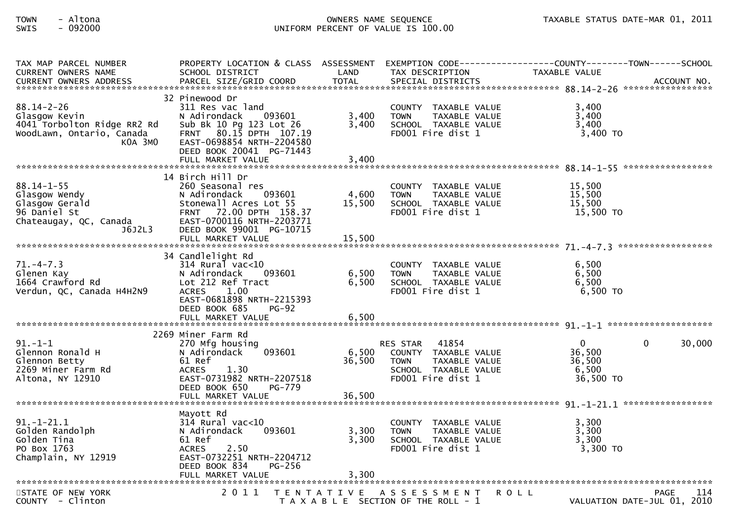| TAX MAP PARCEL NUMBER<br><b>CURRENT OWNERS NAME</b>                                                      | PROPERTY LOCATION & CLASS ASSESSMENT<br>SCHOOL DISTRICT                                                                                                                                                    | LAND                      | TAX DESCRIPTION                                                                                                               | EXEMPTION CODE------------------COUNTY--------TOWN------SCHOOL<br>TAXABLE VALUE |
|----------------------------------------------------------------------------------------------------------|------------------------------------------------------------------------------------------------------------------------------------------------------------------------------------------------------------|---------------------------|-------------------------------------------------------------------------------------------------------------------------------|---------------------------------------------------------------------------------|
| $88.14 - 2 - 26$<br>Glasgow Kevin<br>4041 Torbolton Ridge RR2 Rd<br>WoodLawn, Ontario, Canada<br>KOA 3MO | 32 Pinewood Dr<br>311 Res vac land<br>093601<br>N Adirondack<br>Sub Bk 10 Pg 123 Lot 26<br>FRNT 80.15 DPTH 107.19<br>EAST-0698854 NRTH-2204580<br>DEED BOOK 20041 PG-71443                                 | 3,400<br>3,400            | COUNTY TAXABLE VALUE<br>TAXABLE VALUE<br><b>TOWN</b><br>SCHOOL TAXABLE VALUE<br>FD001 Fire dist 1                             | 3,400<br>3,400<br>3,400<br>$3,400$ TO                                           |
| $88.14 - 1 - 55$<br>Glasgow Wendy<br>Glasgow Gerald<br>96 Daniel St<br>Chateaugay, QC, Canada<br>J6J2L3  | 14 Birch Hill Dr<br>260 Seasonal res<br>N Adirondack<br>093601<br>Stonewall Acres Lot 55<br>72.00 DPTH 158.37<br><b>FRNT</b><br>EAST-0700116 NRTH-2203771<br>DEED BOOK 99001 PG-10715<br>FULL MARKET VALUE | 4,600<br>15,500<br>15,500 | COUNTY TAXABLE VALUE<br><b>TOWN</b><br>TAXABLE VALUE<br>SCHOOL TAXABLE VALUE<br>FD001 Fire dist 1                             | 15,500<br>15,500<br>15.500<br>15,500 TO                                         |
| $71. - 4 - 7.3$<br>Glenen Kay<br>1664 Crawford Rd<br>Verdun, QC, Canada H4H2N9                           | 34 Candlelight Rd<br>$314$ Rural vac<10<br>N Adirondack<br>093601<br>Lot 212 Ref Tract<br><b>ACRES</b><br>1.00<br>EAST-0681898 NRTH-2215393<br>DEED BOOK 685<br>$PG-92$                                    | 6,500<br>6,500            | COUNTY TAXABLE VALUE<br><b>TOWN</b><br>TAXABLE VALUE<br>SCHOOL TAXABLE VALUE<br>FD001 Fire dist 1                             | 6,500<br>6,500<br>6.500<br>6,500 TO                                             |
| $91. -1 -1$<br>Glennon Ronald H<br>Glennon Betty<br>2269 Miner Farm Rd<br>Altona, NY 12910               | 2269 Miner Farm Rd<br>270 Mfg housing<br>N Adirondack<br>093601<br>61 Ref<br>1.30<br><b>ACRES</b><br>EAST-0731982 NRTH-2207518<br>DEED BOOK 650<br><b>PG-779</b><br>FULL MARKET VALUE                      | 6,500<br>36,500<br>36,500 | 41854<br><b>RES STAR</b><br>COUNTY TAXABLE VALUE<br>TAXABLE VALUE<br><b>TOWN</b><br>SCHOOL TAXABLE VALUE<br>FD001 Fire dist 1 | $\mathbf{0}$<br>$\Omega$<br>30,000<br>36,500<br>36,500<br>6,500<br>36,500 TO    |
| $91. - 1 - 21.1$<br>Golden Randolph<br>Golden Tina<br>PO Box 1763<br>Champlain, NY 12919                 | Mayott Rd<br>$314$ Rural vac<10<br>N Adirondack<br>093601<br>61 Ref<br>2.50<br><b>ACRES</b><br>EAST-0732251 NRTH-2204712<br>DEED BOOK 834<br>PG-256<br>FULL MARKET VALUE                                   | 3,300<br>3,300<br>3,300   | COUNTY TAXABLE VALUE<br><b>TOWN</b><br>TAXABLE VALUE<br>SCHOOL TAXABLE VALUE<br>FD001 Fire dist 1                             | 3,300<br>3,300<br>3,300<br>3,300 TO                                             |
| STATE OF NEW YORK<br>COUNTY - Clinton                                                                    | 2011                                                                                                                                                                                                       | T E N T A T I V E         | A S S E S S M E N T<br>T A X A B L E SECTION OF THE ROLL - 1                                                                  | <b>ROLL</b><br>PAGE<br>114<br>VALUATION DATE-JUL 01, 2010                       |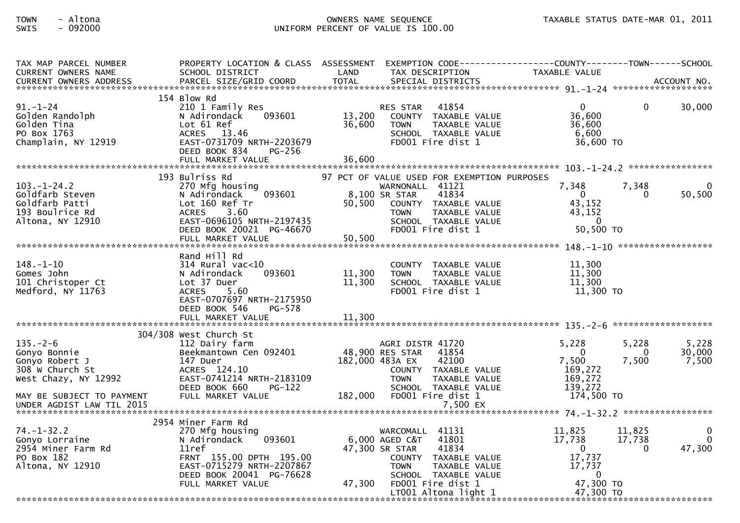| TAX MAP PARCEL NUMBER<br>CURRENT OWNERS NAME                                                  | PROPERTY LOCATION & CLASS ASSESSMENT<br>SCHOOL DISTRICT                                                                                                        | LAND             | TAX DESCRIPTION                                                                                                                                              | EXEMPTION        CODE-----------------COUNTY-------TOWN------SCHOOL<br><b>TAXABLE VALUE</b>  |                          |
|-----------------------------------------------------------------------------------------------|----------------------------------------------------------------------------------------------------------------------------------------------------------------|------------------|--------------------------------------------------------------------------------------------------------------------------------------------------------------|----------------------------------------------------------------------------------------------|--------------------------|
| <b>CURRENT OWNERS ADDRESS</b>                                                                 | PARCEL SIZE/GRID COORD                                                                                                                                         | <b>TOTAL</b>     | SPECIAL DISTRICTS                                                                                                                                            |                                                                                              | ACCOUNT NO.              |
| $91 - 1 - 24$<br>Golden Randolph<br>Golden Tina<br>PO Box 1763<br>Champlain, NY 12919         | 154 Blow Rd<br>210 1 Family Res<br>093601<br>N Adirondack<br>Lot 61 Ref<br>ACRES 13.46<br>EAST-0731709 NRTH-2203679<br>DEED BOOK 834<br>PG-256                 | 13,200<br>36,600 | <b>RES STAR</b><br>41854<br>COUNTY TAXABLE VALUE<br><b>TOWN</b><br><b>TAXABLE VALUE</b><br>SCHOOL TAXABLE VALUE<br>FD001 Fire dist 1                         | $\mathbf{0}$<br>$\mathbf{0}$<br>36,600<br>36,600<br>6,600<br>36,600 TO                       | 30,000                   |
|                                                                                               | 193 Bulriss Rd                                                                                                                                                 |                  | 97 PCT OF VALUE USED FOR EXEMPTION PURPOSES                                                                                                                  |                                                                                              |                          |
| $103. - 1 - 24.2$<br>Goldfarb Steven<br>Goldfarb Patti<br>193 Boulrice Rd<br>Altona, NY 12910 | 270 Mfg housing<br>093601<br>N Adirondack<br>Lot 160 Ref Tr<br>3.60<br><b>ACRES</b><br>EAST-0696105 NRTH-2197435<br>DEED BOOK 20021 PG-46670                   | 50,500           | WARNONALL 41121<br>41834<br>8,100 SR STAR<br>COUNTY TAXABLE VALUE<br>TAXABLE VALUE<br><b>TOWN</b><br>SCHOOL TAXABLE VALUE<br>FD001 Fire dist 1               | 7,348<br>7.348<br>$\overline{0}$<br>$\Omega$<br>43,152<br>43,152<br>$\Omega$<br>50,500 TO    | 50,500                   |
|                                                                                               | FULL MARKET VALUE                                                                                                                                              | 50,500           |                                                                                                                                                              |                                                                                              |                          |
| $148. - 1 - 10$<br>Gomes John<br>101 Christoper Ct<br>Medford, NY 11763                       | Rand Hill Rd<br>$314$ Rural vac< $10$<br>093601<br>N Adirondack<br>Lot 37 Duer<br><b>ACRES</b><br>5.60<br>EAST-0707697 NRTH-2175950<br>DEED BOOK 546<br>PG-578 | 11,300<br>11,300 | COUNTY TAXABLE VALUE<br><b>TOWN</b><br>TAXABLE VALUE<br>SCHOOL TAXABLE VALUE<br>FD001 Fire dist 1                                                            | 11,300<br>11,300<br>11,300<br>11,300 TO                                                      |                          |
|                                                                                               | FULL MARKET VALUE                                                                                                                                              | 11,300           |                                                                                                                                                              |                                                                                              |                          |
| $135. - 2 - 6$<br>Gonyo Bonnie<br>Gonyo Robert J<br>308 W Church St<br>West Chazy, NY 12992   | 304/308 West Church St<br>112 Dairy farm<br>Beekmantown Cen 092401<br>147 Duer<br>ACRES 124.10<br>EAST-0741214 NRTH-2183109                                    |                  | AGRI DISTR 41720<br>48,900 RES STAR<br>41854<br>182,000 483A EX<br>42100<br>COUNTY TAXABLE VALUE<br><b>TAXABLE VALUE</b><br><b>TOWN</b>                      | 5,228<br>5,228<br>$\Omega$<br>$\Omega$<br>7,500<br>7,500<br>169,272<br>169,272               | 5,228<br>30,000<br>7,500 |
| MAY BE SUBJECT TO PAYMENT<br>UNDER AGDIST LAW TIL 2015                                        | DEED BOOK 660<br>PG-122<br>FULL MARKET VALUE                                                                                                                   | 182,000          | SCHOOL TAXABLE VALUE<br>FD001 Fire dist 1<br>7,500 EX                                                                                                        | 139,272<br>174,500 TO                                                                        |                          |
|                                                                                               | 2954 Miner Farm Rd                                                                                                                                             |                  |                                                                                                                                                              |                                                                                              |                          |
| $74. - 1 - 32.2$<br>Gonyo Lorraine<br>2954 Miner Farm Rd<br>PO Box 182<br>Altona, NY 12910    | 270 Mfg housing<br>N Adirondack<br>093601<br>11ref<br>FRNT 155.00 DPTH 195.00<br>EAST-0715279 NRTH-2207867<br>DEED BOOK 20041 PG-76628                         |                  | WARCOMALL 41131<br>6,000 AGED C&T<br>41801<br>47,300 SR STAR<br>41834<br>COUNTY TAXABLE VALUE<br><b>TOWN</b><br><b>TAXABLE VALUE</b><br>SCHOOL TAXABLE VALUE | 11,825<br>11,825<br>17,738<br>17,738<br>$\Omega$<br>$\Omega$<br>17,737<br>17,737<br>$\Omega$ | 0<br>$\Omega$<br>47,300  |
|                                                                                               | FULL MARKET VALUE                                                                                                                                              | 47,300           | FD001 Fire dist 1<br>LT001 Altona light 1                                                                                                                    | 47,300 TO<br>47,300 TO                                                                       |                          |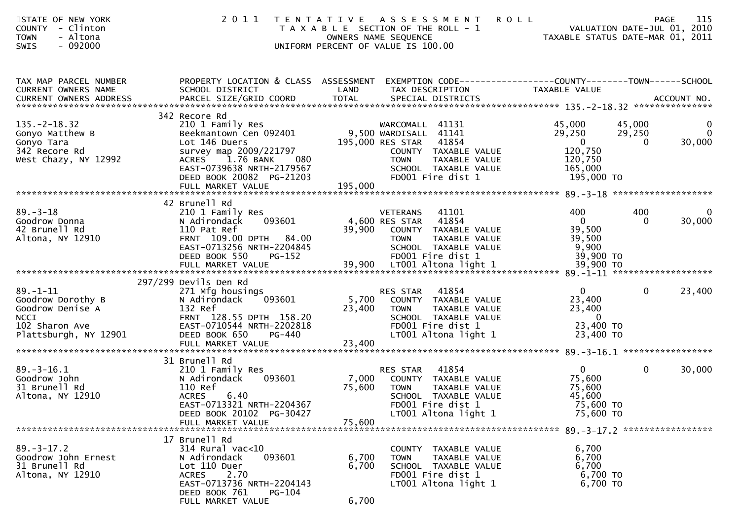| STATE OF NEW YORK<br><b>COUNTY</b><br>- Clinton<br>- Altona<br><b>TOWN</b><br>$-092000$<br><b>SWIS</b>            | 2011                                                                                                                                                                                         |                           | TENTATIVE ASSESSMENT<br>T A X A B L E SECTION OF THE ROLL - 1<br>OWNERS NAME SEQUENCE<br>UNIFORM PERCENT OF VALUE IS 100.00                                                | <b>ROLL</b><br>TAXABLE STATUS DATE-MAR 01, 2011                                             | <b>PAGE</b><br>VALUATION DATE-JUL 01, 2010 | 115                                  |
|-------------------------------------------------------------------------------------------------------------------|----------------------------------------------------------------------------------------------------------------------------------------------------------------------------------------------|---------------------------|----------------------------------------------------------------------------------------------------------------------------------------------------------------------------|---------------------------------------------------------------------------------------------|--------------------------------------------|--------------------------------------|
| TAX MAP PARCEL NUMBER<br>CURRENT OWNERS NAME                                                                      | PROPERTY LOCATION & CLASS ASSESSMENT EXEMPTION CODE----------------COUNTY-------TOWN------SCHOOL<br>SCHOOL DISTRICT                                                                          | LAND                      | TAX DESCRIPTION                                                                                                                                                            | TAXABLE VALUE                                                                               |                                            |                                      |
| $135. -2 - 18.32$<br>Gonyo Matthew B<br>Gonyo Tara<br>342 Recore Rd<br>West Chazy, NY 12992                       | 342 Recore Rd<br>210 1 Family Res<br>Beekmantown Cen 092401<br>Lot 146 Duers<br>survey map 2009/221797<br>080<br>1.76 BANK<br>ACRES<br>EAST-0739638 NRTH-2179567<br>DEED BOOK 20082 PG-21203 |                           | WARCOMALL 41131<br>9,500 WARDISALL 41141<br>195,000 RES STAR<br>41854<br>COUNTY TAXABLE VALUE<br>TAXABLE VALUE<br><b>TOWN</b><br>SCHOOL TAXABLE VALUE<br>FD001 Fire dist 1 | 45,000<br>29,250<br>$\overline{\phantom{0}}$<br>120,750<br>120,750<br>165,000<br>195,000 TO | 45,000<br>29,250<br>$\Omega$               | $\mathbf 0$<br>$\mathbf 0$<br>30,000 |
|                                                                                                                   | 42 Brunell Rd                                                                                                                                                                                |                           |                                                                                                                                                                            |                                                                                             |                                            |                                      |
| $89. - 3 - 18$<br>Goodrow Donna<br>42 Brunell Rd<br>Altona, NY 12910                                              | 210 1 Family Res<br>093601<br>N Adirondack<br>110 Pat Ref<br>FRNT 109.00 DPTH 84.00<br>EAST-0713256 NRTH-2204845<br>DEED BOOK 550<br>$PG-152$                                                |                           | <b>VETERANS</b><br>41101<br>4,600 RES STAR<br>41854<br>39,900 COUNTY TAXABLE VALUE<br><b>TOWN</b><br><b>TAXABLE VALUE</b><br>SCHOOL TAXABLE VALUE<br>FD001 Fire dist 1     | 400<br>$\mathbf 0$<br>39,500<br>39,500<br>9,900<br>39,900 TO                                | 400<br>$\Omega$                            | 0<br>30,000                          |
|                                                                                                                   | 297/299 Devils Den Rd                                                                                                                                                                        |                           |                                                                                                                                                                            |                                                                                             |                                            |                                      |
| $89. - 1 - 11$<br>Goodrow Dorothy B<br>Goodrow Denise A<br><b>NCCI</b><br>102 Sharon Ave<br>Plattsburgh, NY 12901 | 271 Mfg housings<br>N Adirondack<br>093601<br>132 Ref<br>FRNT 128.55 DPTH 158.20<br>EAST-0710544 NRTH-2202818<br>DEED BOOK 650<br>PG-440                                                     | 5,700<br>23,400           | 41854<br>RES STAR<br>COUNTY TAXABLE VALUE<br>TAXABLE VALUE<br>TOWN<br>SCHOOL TAXABLE VALUE<br>FD001 Fire dist 1<br>LT001 Altona light 1                                    | $\mathbf{0}$<br>23,400<br>23,400<br>$\overline{\mathbf{0}}$<br>23,400 TO<br>23,400 TO       | $\mathbf{0}$                               | 23,400                               |
|                                                                                                                   |                                                                                                                                                                                              |                           |                                                                                                                                                                            |                                                                                             |                                            |                                      |
| $89. - 3 - 16.1$<br>Goodrow John<br>31 Brunell Rd<br>Altona, NY 12910                                             | 31 Brunell Rd<br>210 1 Family Res<br>093601<br>N Adirondack<br>110 Ref<br><b>ACRES</b><br>6.40<br>EAST-0713321 NRTH-2204367<br>DEED BOOK 20102 PG-30427<br>FULL MARKET VALUE                 | 7,000<br>75,600<br>75,600 | 41854<br>RES STAR<br>COUNTY TAXABLE VALUE<br>TOWN<br><b>TAXABLE VALUE</b><br>SCHOOL TAXABLE VALUE<br>FD001 Fire dist 1<br>LT001 Altona light 1                             | $\mathbf{0}$<br>75,600<br>75,600<br>45,600<br>75,600 TO<br>75,600 TO                        | $\mathbf{0}$                               | 30,000                               |
| $89. - 3 - 17.2$<br>Goodrow John Ernest<br>31 Brunell Rd<br>Altona, NY 12910                                      | 17 Brunell Rd<br>314 Rural vac<10<br>093601<br>N Adirondack<br>Lot 110 Duer<br><b>ACRES</b><br>2.70<br>EAST-0713736 NRTH-2204143<br>DEED BOOK 761<br><b>PG-104</b><br>FULL MARKET VALUE      | 6,700<br>6,700<br>6,700   | COUNTY TAXABLE VALUE<br>TAXABLE VALUE<br><b>TOWN</b><br>SCHOOL TAXABLE VALUE<br>FD001 Fire dist 1<br>LT001 Altona light 1                                                  | 6,700<br>6,700<br>6,700<br>6,700 TO<br>6,700 TO                                             |                                            |                                      |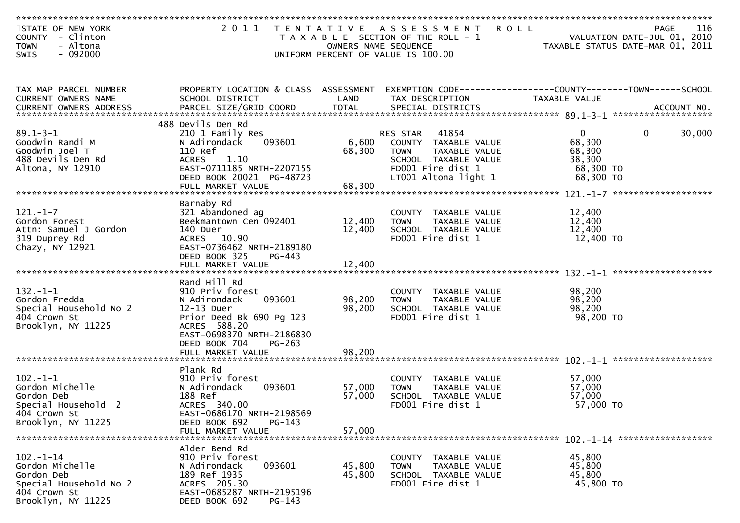| STATE OF NEW YORK<br>COUNTY - Clinton                                                         |                                           |                      | 2011 TENTATIVE ASSESSMENT<br><b>ROLL</b><br>T A X A B L E SECTION OF THE ROLL - 1 |                     | PAGE<br>VALUATION DATE-JUL 01, 2010 | 116    |
|-----------------------------------------------------------------------------------------------|-------------------------------------------|----------------------|-----------------------------------------------------------------------------------|---------------------|-------------------------------------|--------|
| - Altona<br><b>TOWN</b>                                                                       |                                           | OWNERS NAME SEQUENCE |                                                                                   |                     | TAXABLE STATUS DATE-MAR 01, 2011    |        |
| $-092000$<br>SWIS                                                                             |                                           |                      | UNIFORM PERCENT OF VALUE IS 100.00                                                |                     |                                     |        |
|                                                                                               |                                           |                      |                                                                                   |                     |                                     |        |
|                                                                                               |                                           |                      |                                                                                   |                     |                                     |        |
| TAX MAP PARCEL NUMBER                                                                         | PROPERTY LOCATION & CLASS ASSESSMENT      |                      | EXEMPTION CODE------------------COUNTY--------TOWN------SCHOOL                    |                     |                                     |        |
| CURRENT OWNERS NAME                                                                           | SCHOOL DISTRICT                           | LAND                 | TAX DESCRIPTION                                                                   | TAXABLE VALUE       |                                     |        |
| CURRENT OWNERS ADDRESS PARCEL SIZE/GRID COORD TOTAL SPECIAL DISTRICTS (2011) 1997 ACCOUNT NO. |                                           |                      |                                                                                   |                     |                                     |        |
|                                                                                               | 488 Devils Den Rd                         |                      |                                                                                   |                     |                                     |        |
| $89.1 - 3 - 1$                                                                                | 210 1 Family Res                          |                      | 41854<br>RES STAR                                                                 | $\overline{0}$      | $\mathbf{0}$                        | 30,000 |
| Goodwin Randi M                                                                               | 093601<br>N Adirondack                    | 6,600                | COUNTY TAXABLE VALUE                                                              | 68,300              |                                     |        |
| Goodwin Joel T                                                                                | 110 Ref                                   | 68,300               | <b>TOWN</b><br>TAXABLE VALUE                                                      | 68,300              |                                     |        |
| 488 Devils Den Rd                                                                             | <b>ACRES</b><br>1.10                      |                      | SCHOOL TAXABLE VALUE                                                              | 38,300              |                                     |        |
| Altona, NY 12910                                                                              | EAST-0711185 NRTH-2207155                 |                      | FD001 Fire dist 1                                                                 | 68,300 TO           |                                     |        |
|                                                                                               | DEED BOOK 20021 PG-48723                  |                      | LT001 Altona light 1                                                              | 68,300 TO           |                                     |        |
|                                                                                               | FULL MARKET VALUE                         | 68,300               |                                                                                   |                     |                                     |        |
|                                                                                               | Barnaby Rd                                |                      |                                                                                   |                     |                                     |        |
| $121. - 1 - 7$                                                                                | 321 Abandoned ag                          |                      | COUNTY TAXABLE VALUE                                                              | 12,400              |                                     |        |
| Gordon Forest                                                                                 | Beekmantown Cen 092401                    | 12,400               | TAXABLE VALUE<br><b>TOWN</b>                                                      | 12,400              |                                     |        |
| Attn: Samuel J Gordon                                                                         | 140 Duer                                  | 12,400               | SCHOOL TAXABLE VALUE                                                              | 12,400              |                                     |        |
| 319 Duprey Rd                                                                                 | ACRES 10.90                               |                      | FD001 Fire dist 1                                                                 | 12,400 TO           |                                     |        |
| Chazy, NY 12921                                                                               | EAST-0736462 NRTH-2189180                 |                      |                                                                                   |                     |                                     |        |
|                                                                                               | DEED BOOK 325<br>PG-443                   |                      |                                                                                   |                     |                                     |        |
|                                                                                               |                                           |                      |                                                                                   |                     |                                     |        |
|                                                                                               | Rand Hill Rd                              |                      |                                                                                   |                     |                                     |        |
| $132 - 1 - 1$                                                                                 | 910 Priv forest                           |                      | COUNTY TAXABLE VALUE                                                              | 98,200              |                                     |        |
| Gordon Fredda                                                                                 | 093601<br>N Adirondack                    | 98,200               | TAXABLE VALUE<br><b>TOWN</b>                                                      | 98,200              |                                     |        |
| Special Household No 2                                                                        | 12-13 Duer                                | 98,200               | SCHOOL TAXABLE VALUE                                                              | 98,200              |                                     |        |
| 404 Crown St                                                                                  | Prior Deed Bk 690 Pg 123                  |                      | FD001 Fire dist 1                                                                 | 98,200 TO           |                                     |        |
| Brooklyn, NY 11225                                                                            | ACRES 588.20<br>EAST-0698370 NRTH-2186830 |                      |                                                                                   |                     |                                     |        |
|                                                                                               | DEED BOOK 704<br>$PG-263$                 |                      |                                                                                   |                     |                                     |        |
|                                                                                               | FULL MARKET VALUE                         | 98,200               |                                                                                   |                     |                                     |        |
|                                                                                               |                                           |                      |                                                                                   |                     |                                     |        |
|                                                                                               | Plank Rd                                  |                      |                                                                                   |                     |                                     |        |
| $102 - 1 - 1$                                                                                 | 910 Priv forest                           |                      | COUNTY TAXABLE VALUE                                                              | 57,000              |                                     |        |
| Gordon Michelle                                                                               | 093601<br>N Adirondack                    | 57,000               | TAXABLE VALUE<br><b>TOWN</b>                                                      | 57,000              |                                     |        |
| Gordon Deb<br>Special Household 2                                                             | 188 Ref                                   | 57,000               | SCHOOL TAXABLE VALUE                                                              | 57,000<br>57,000 TO |                                     |        |
| 404 Crown St                                                                                  | ACRES 340.00<br>EAST-0686170 NRTH-2198569 |                      | FD001 Fire dist 1                                                                 |                     |                                     |        |
| Brooklyn, NY 11225                                                                            | DEED BOOK 692<br>$PG-143$                 |                      |                                                                                   |                     |                                     |        |
|                                                                                               | FULL MARKET VALUE                         | 57,000               |                                                                                   |                     |                                     |        |
|                                                                                               |                                           |                      |                                                                                   |                     |                                     |        |
|                                                                                               | Alder Bend Rd                             |                      |                                                                                   |                     |                                     |        |
| $102. - 1 - 14$                                                                               | 910 Priv forest                           |                      | COUNTY TAXABLE VALUE                                                              | 45,800              |                                     |        |
| Gordon Michelle                                                                               | 093601<br>N Adirondack<br>189 Ref 1935    | 45,800               | TAXABLE VALUE<br><b>TOWN</b>                                                      | 45,800              |                                     |        |
| Gordon Deb<br>Special Household No 2                                                          | ACRES 205.30                              | 45,800               | SCHOOL TAXABLE VALUE<br>FD001 Fire dist 1                                         | 45,800<br>45,800 TO |                                     |        |
| 404 Crown St                                                                                  | EAST-0685287 NRTH-2195196                 |                      |                                                                                   |                     |                                     |        |
| Brooklyn, NY 11225                                                                            | DEED BOOK 692<br>PG-143                   |                      |                                                                                   |                     |                                     |        |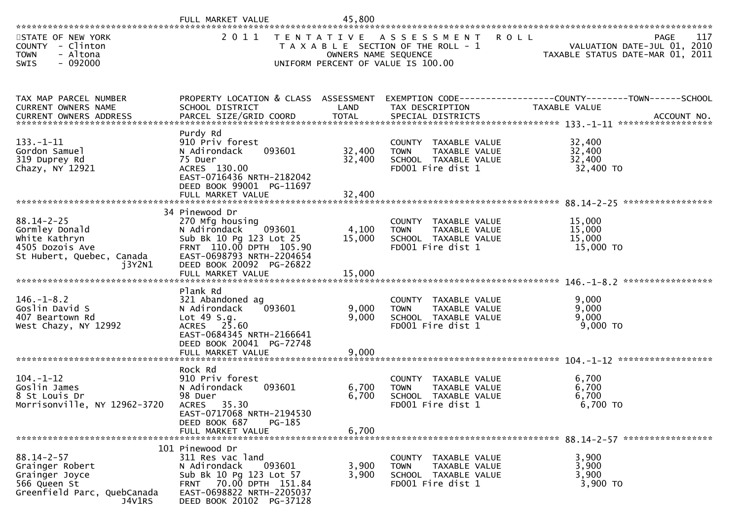|                                                                                                                                                                                                              | FULL MARKET VALUE                                                                                                                                                                               | 45,800                     |                                                                                                      |                                                                                |                   |
|--------------------------------------------------------------------------------------------------------------------------------------------------------------------------------------------------------------|-------------------------------------------------------------------------------------------------------------------------------------------------------------------------------------------------|----------------------------|------------------------------------------------------------------------------------------------------|--------------------------------------------------------------------------------|-------------------|
| STATE OF NEW YORK<br>COUNTY - Clinton<br><b>TOWN</b><br>- Altona<br>$-092000$<br><b>SWIS</b>                                                                                                                 | 2011                                                                                                                                                                                            | OWNERS NAME SEQUENCE       | TENTATIVE ASSESSMENT<br>T A X A B L E SECTION OF THE ROLL - 1<br>UNIFORM PERCENT OF VALUE IS 100.00  | <b>ROLL</b><br>VALUATION DATE-JUL 01, 2010<br>TAXABLE STATUS DATE-MAR 01, 2011 | 117<br>PAGE       |
| TAX MAP PARCEL NUMBER<br>CURRENT OWNERS NAME<br>.CURRENT OWNERS ADDRESS PARCEL SIZE/GRID COORD TOTAL SPECIAL DISTRICTS ACCOUNT NO ACCOUNT NO ACCOUNT NO AND A AND A SERIE STRILL AND TOTAL SPECIAL DISTRICTS | PROPERTY LOCATION & CLASS ASSESSMENT<br>SCHOOL DISTRICT                                                                                                                                         | LAND                       | EXEMPTION CODE-----------------COUNTY-------TOWN------SCHOOL<br>TAX DESCRIPTION                      | TAXABLE VALUE                                                                  |                   |
| $133. - 1 - 11$<br>Gordon Samuel<br>319 Duprey Rd<br>Chazy, NY 12921                                                                                                                                         | Purdy Rd<br>910 Priv forest<br>093601<br>N Adirondack<br>75 Duer<br>ACRES 130.00<br>EAST-0716436 NRTH-2182042<br>DEED BOOK 99001 PG-11697<br>FULL MARKET VALUE                                  | 32,400<br>32,400<br>32,400 | COUNTY TAXABLE VALUE<br>TAXABLE VALUE<br><b>TOWN</b><br>SCHOOL TAXABLE VALUE<br>FD001 Fire dist 1    | 32,400<br>32,400<br>32,400<br>32,400 TO                                        |                   |
| $88.14 - 2 - 25$<br>Gormley Donald<br>White Kathryn<br>4505 Dozois Ave<br>St Hubert, Quebec, Canada<br>i3Y2N1                                                                                                | 34 Pinewood Dr<br>270 Mfg housing<br>N Adirondack<br>093601<br>Sub Bk 10 Pg 123 Lot 25<br>FRNT 110.00 DPTH 105.90<br>EAST-0698793 NRTH-2204654<br>DEED BOOK 20092 PG-26822<br>FULL MARKET VALUE | 4,100<br>15,000<br>15,000  | COUNTY TAXABLE VALUE<br>TAXABLE VALUE<br><b>TOWN</b><br>SCHOOL TAXABLE VALUE<br>FD001 Fire dist 1    | 15,000<br>15,000<br>15,000<br>15,000 TO                                        | ***************** |
| $146. - 1 - 8.2$<br>Goslin David S<br>407 Beartown Rd<br>West Chazy, NY 12992                                                                                                                                | Plank Rd<br>321 Abandoned ag<br>093601<br>N Adirondack<br>Lot $49 S.g.$<br>ACRES 25.60<br>EAST-0684345 NRTH-2166641<br>DEED BOOK 20041 PG-72748<br>FULL MARKET VALUE                            | 9,000<br>9,000<br>9,000    | COUNTY TAXABLE VALUE<br><b>TOWN</b><br>TAXABLE VALUE<br>SCHOOL TAXABLE VALUE<br>FD001 Fire dist 1    | 9,000<br>9,000<br>9,000<br>9,000 TO                                            |                   |
| $104. - 1 - 12$<br>Goslin James<br>8 St Louis Dr<br>Morrisonville, NY 12962-3720                                                                                                                             | Rock Rd<br>910 Priv forest<br>N Adirondack<br>093601<br>98 Duer<br>35.30<br><b>ACRES</b><br>EAST-0717068 NRTH-2194530<br>DEED BOOK 687<br>PG-185<br>FULL MARKET VALUE                           | 6,700<br>6,700<br>6,700    | COUNTY<br>TAXABLE VALUE<br>TAXABLE VALUE<br><b>TOWN</b><br>SCHOOL TAXABLE VALUE<br>FD001 Fire dist 1 | 6,700<br>6,700<br>6,700<br>6,700 TO                                            |                   |
| $88.14 - 2 - 57$<br>Grainger Robert<br>Grainger Joyce<br>566 Queen St<br>Greenfield Parc, QuebCanada<br>J4V1RS                                                                                               | 101 Pinewood Dr<br>311 Res vac land<br>N Adirondack<br>093601<br>Sub Bk 10 Pg 123 Lot 57<br>FRNT 70.00 DPTH 151.84<br>EAST-0698822 NRTH-2205037<br>DEED BOOK 20102 PG-37128                     | 3,900<br>3,900             | COUNTY TAXABLE VALUE<br>TAXABLE VALUE<br><b>TOWN</b><br>SCHOOL TAXABLE VALUE<br>FD001 Fire dist 1    | 3,900<br>3,900<br>3,900<br>3,900 TO                                            |                   |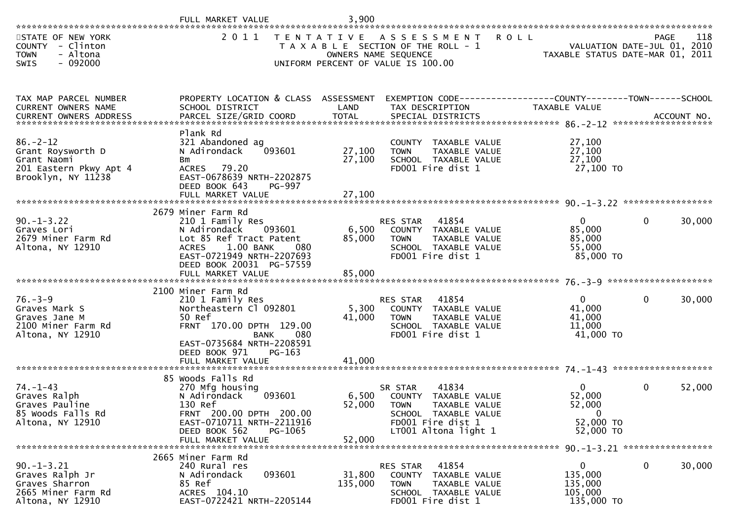| *******************                                                                                | FULL MARKET VALUE                                                                                                                                                                        | 3,900                      |                                                                                                                                                     |                                                                                |                                            |        |
|----------------------------------------------------------------------------------------------------|------------------------------------------------------------------------------------------------------------------------------------------------------------------------------------------|----------------------------|-----------------------------------------------------------------------------------------------------------------------------------------------------|--------------------------------------------------------------------------------|--------------------------------------------|--------|
| STATE OF NEW YORK<br>COUNTY - Clinton<br>- Altona<br><b>TOWN</b><br>$-092000$<br>SWIS              | 2011                                                                                                                                                                                     |                            | TENTATIVE ASSESSMENT<br>T A X A B L E SECTION OF THE ROLL - 1<br>OWNERS NAME SEQUENCE<br>UNIFORM PERCENT OF VALUE IS 100.00                         | <b>ROLL</b><br>VALUATION DATE-JUL 01, 2010<br>TAXABLE STATUS DATE-MAR 01, 2011 | <b>PAGE</b><br>VALUATION DATE-JUL 01, 2010 | 118    |
| TAX MAP PARCEL NUMBER<br>CURRENT OWNERS NAME                                                       | PROPERTY LOCATION & CLASS ASSESSMENT<br>SCHOOL DISTRICT                                                                                                                                  | LAND                       | EXEMPTION CODE-----------------COUNTY--------TOWN------SCHOOL<br>TAX DESCRIPTION                                                                    | TAXABLE VALUE                                                                  |                                            |        |
| $86. - 2 - 12$<br>Grant Roysworth D<br>Grant Naomi<br>201 Eastern Pkwy Apt 4<br>Brooklyn, NY 11238 | Plank Rd<br>321 Abandoned ag<br>093601<br>N Adirondack<br>Bm<br>ACRES 79.20<br>EAST-0678639 NRTH-2202875<br>DEED BOOK 643<br>PG-997<br>FULL MARKET VALUE                                 | 27,100<br>27,100<br>27,100 | COUNTY TAXABLE VALUE<br>TAXABLE VALUE<br><b>TOWN</b><br>SCHOOL TAXABLE VALUE<br>FD001 Fire dist 1                                                   | 27,100<br>27,100<br>27,100<br>27,100 TO                                        |                                            |        |
| $90. -1 - 3.22$<br>Graves Lori<br>2679 Miner Farm Rd<br>Altona, NY 12910                           | 2679 Miner Farm Rd<br>210 1 Family Res<br>N Adirondack<br>093601<br>Lot 85 Ref Tract Patent<br>1.00 BANK<br>080<br><b>ACRES</b><br>EAST-0721949 NRTH-2207693<br>DEED BOOK 20031 PG-57559 | 6,500<br>85,000            | 41854<br>RES STAR<br>COUNTY TAXABLE VALUE<br><b>TOWN</b><br>TAXABLE VALUE<br>SCHOOL TAXABLE VALUE<br>FD001 Fire dist 1                              | $\overline{0}$<br>85,000<br>85,000<br>55,000<br>85,000 TO                      | $\mathbf{0}$                               | 30,000 |
| $76. - 3 - 9$<br>Graves Mark S<br>Graves Jane M<br>2100 Miner Farm Rd<br>Altona, NY 12910          | 2100 Miner Farm Rd<br>210 1 Family Res<br>Northeastern Cl 092801<br>50 Ref<br>FRNT 170.00 DPTH 129.00<br>BANK<br>080<br>EAST-0735684 NRTH-2208591<br>DEED BOOK 971<br>$PG-163$           | 5,300<br>41,000            | 41854<br>RES STAR<br>COUNTY TAXABLE VALUE<br>TAXABLE VALUE<br><b>TOWN</b><br>SCHOOL TAXABLE VALUE<br>FD001 Fire dist 1                              | $\overline{0}$<br>41,000<br>41,000<br>11,000<br>41,000 TO                      | $\mathbf{0}$                               | 30,000 |
| $74. - 1 - 43$<br>Graves Ralph<br>Graves Pauline<br>85 Woods Falls Rd<br>Altona, NY 12910          | 85 Woods Falls Rd<br>270 Mfg housing<br>093601<br>N Adirondack<br>130 Ref<br>FRNT 200.00 DPTH 200.00<br>EAST-0710711 NRTH-2211916<br>PG-1065<br>DEED BOOK 562<br>FULL MARKET VALUE       | 52,000<br>52,000           | 41834<br>SR STAR<br>6,500 COUNTY TAXABLE VALUE<br><b>TOWN</b><br>TAXABLE VALUE<br>SCHOOL TAXABLE VALUE<br>FD001 Fire dist 1<br>LT001 Altona light 1 | $\overline{0}$<br>52,000<br>52,000<br>. O<br>52,000 TO<br>52,000 TO            | $\mathbf{0}$                               | 52,000 |
| $90. -1 - 3.21$<br>Graves Ralph Jr<br>Graves Sharron<br>2665 Miner Farm Rd<br>Altona, NY 12910     | 2665 Miner Farm Rd<br>240 Rural res<br>093601<br>N Adirondack<br>85 Ref<br>ACRES 104.10<br>EAST-0722421 NRTH-2205144                                                                     | 31,800<br>135,000          | 41854<br><b>RES STAR</b><br>COUNTY TAXABLE VALUE<br>TAXABLE VALUE<br><b>TOWN</b><br>SCHOOL TAXABLE VALUE<br>FD001 Fire dist 1                       | $\mathbf{0}$<br>135,000<br>135,000<br>105,000<br>135,000 TO                    | $\mathbf{0}$                               | 30,000 |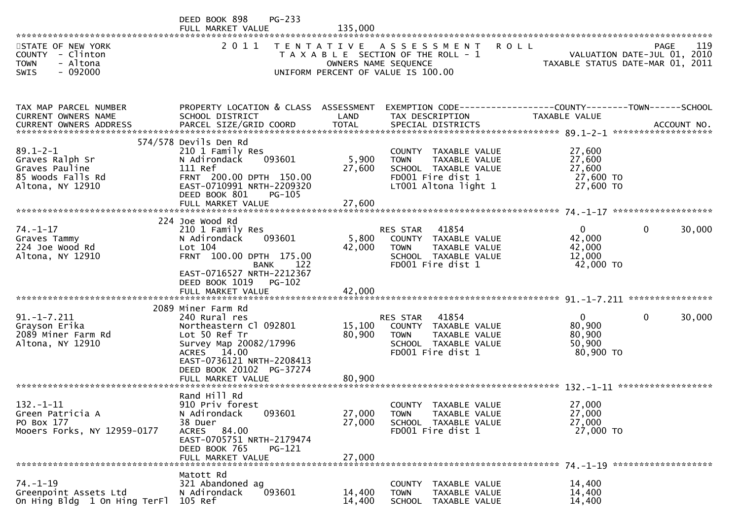|                                                                  | PG-233<br>DEED BOOK 898<br>FULL MARKET VALUE            | 135,000          |                                                                                                      |                                  |                                            |
|------------------------------------------------------------------|---------------------------------------------------------|------------------|------------------------------------------------------------------------------------------------------|----------------------------------|--------------------------------------------|
| STATE OF NEW YORK<br>COUNTY - Clinton<br><b>TOWN</b><br>- Altona | 2 0 1 1                                                 |                  | TENTATIVE ASSESSMENT<br><b>ROLL</b><br>T A X A B L E SECTION OF THE ROLL - 1<br>OWNERS NAME SEQUENCE | TAXABLE STATUS DATE-MAR 01, 2011 | 119<br>PAGE<br>VALUATION DATE-JUL 01, 2010 |
| $-092000$<br><b>SWIS</b>                                         |                                                         |                  | UNIFORM PERCENT OF VALUE IS 100.00                                                                   |                                  |                                            |
| TAX MAP PARCEL NUMBER<br>CURRENT OWNERS NAME                     | PROPERTY LOCATION & CLASS ASSESSMENT<br>SCHOOL DISTRICT | LAND             | EXEMPTION CODE------------------COUNTY-------TOWN------SCHOOL<br>TAX DESCRIPTION                     | <b>TAXABLE VALUE</b>             |                                            |
| CURRENT OWNERS ADDRESS                                           |                                                         |                  |                                                                                                      |                                  |                                            |
| $89.1 - 2 - 1$                                                   | 574/578 Devils Den Rd<br>210 1 Family Res               |                  | COUNTY TAXABLE VALUE                                                                                 | 27,600                           |                                            |
| Graves Ralph Sr                                                  | 093601<br>N Adirondack                                  | 5,900            | <b>TOWN</b><br>TAXABLE VALUE                                                                         | 27,600                           |                                            |
| Graves Pauline<br>85 Woods Falls Rd                              | 111 Ref<br>FRNT 200.00 DPTH 150.00                      | 27,600           | SCHOOL TAXABLE VALUE<br>FD001 Fire dist 1                                                            | 27,600<br>27,600 TO              |                                            |
| Altona, NY 12910                                                 | EAST-0710991 NRTH-2209320<br>DEED BOOK 801<br>PG-105    |                  | LT001 Altona light 1                                                                                 | 27,600 TO                        |                                            |
|                                                                  |                                                         |                  |                                                                                                      |                                  |                                            |
| $74. - 1 - 17$                                                   | 224 Joe Wood Rd<br>210 1 Family Res                     |                  | RES STAR 41854                                                                                       | $\overline{0}$                   | $\mathbf 0$<br>30,000                      |
| Graves Tammy                                                     | 093601<br>N Adirondack                                  | 5,800            | COUNTY TAXABLE VALUE                                                                                 | 42,000                           |                                            |
| 224 Joe Wood Rd                                                  | Lot 104                                                 | 42,000           | TAXABLE VALUE<br>TOWN                                                                                | 42,000                           |                                            |
| Altona, NY 12910                                                 | FRNT 100.00 DPTH 175.00<br>122<br>BANK                  |                  | SCHOOL TAXABLE VALUE<br>FD001 Fire dist 1                                                            | 12,000<br>42,000 TO              |                                            |
|                                                                  | EAST-0716527 NRTH-2212367                               |                  |                                                                                                      |                                  |                                            |
|                                                                  | DEED BOOK 1019 PG-102<br>FULL MARKET VALUE              | 42,000           |                                                                                                      |                                  |                                            |
|                                                                  |                                                         |                  |                                                                                                      |                                  |                                            |
|                                                                  | 2089 Miner Farm Rd                                      |                  |                                                                                                      | $\mathbf{0}$                     |                                            |
| $91. - 1 - 7.211$<br>Grayson Erika                               | 240 Rural res<br>Northeastern Cl 092801                 | 15,100           | 41854<br>RES STAR<br>COUNTY TAXABLE VALUE                                                            | 80,900                           | 30,000<br>$\Omega$                         |
| 2089 Miner Farm Rd                                               | Lot 50 Ref Tr                                           | 80,900           | <b>TOWN</b><br>TAXABLE VALUE                                                                         | 80,900                           |                                            |
| Altona, NY 12910                                                 | Survey Map 20082/17996<br>ACRES 14.00                   |                  | SCHOOL TAXABLE VALUE<br>FD001 Fire dist 1                                                            | 50,900<br>80,900 TO              |                                            |
|                                                                  | EAST-0736121 NRTH-2208413<br>DEED BOOK 20102 PG-37274   |                  |                                                                                                      |                                  |                                            |
|                                                                  | FULL MARKET VALUE                                       | 80,900           |                                                                                                      |                                  |                                            |
|                                                                  | Rand Hill Rd                                            |                  |                                                                                                      |                                  |                                            |
| $132. - 1 - 11$                                                  | 910 Priv forest                                         |                  | COUNTY TAXABLE VALUE                                                                                 | 27,000                           |                                            |
| Green Patricia A<br>PO Box 177                                   | 093601<br>N Adirondack<br>38 Duer                       | 27,000<br>27,000 | TAXABLE VALUE<br><b>TOWN</b><br>SCHOOL TAXABLE VALUE                                                 | 27,000<br>27,000                 |                                            |
| Mooers Forks, NY 12959-0177                                      | ACRES 84.00                                             |                  | FD001 Fire dist 1                                                                                    | 27,000 TO                        |                                            |
|                                                                  | EAST-0705751 NRTH-2179474                               |                  |                                                                                                      |                                  |                                            |
|                                                                  | DEED BOOK 765<br>$PG-121$<br>FULL MARKET VALUE          | 27,000           |                                                                                                      |                                  |                                            |
|                                                                  |                                                         |                  |                                                                                                      |                                  |                                            |
| $74. - 1 - 19$                                                   | Matott Rd<br>321 Abandoned ag                           |                  | COUNTY TAXABLE VALUE                                                                                 | 14,400                           |                                            |
| Greenpoint Assets Ltd                                            | 093601<br>N Adirondack                                  | 14,400           | TAXABLE VALUE<br><b>TOWN</b>                                                                         | 14,400                           |                                            |
| On Hing Bldg 1 On Hing TerFl                                     | 105 Ref                                                 | 14,400           | SCHOOL TAXABLE VALUE                                                                                 | 14,400                           |                                            |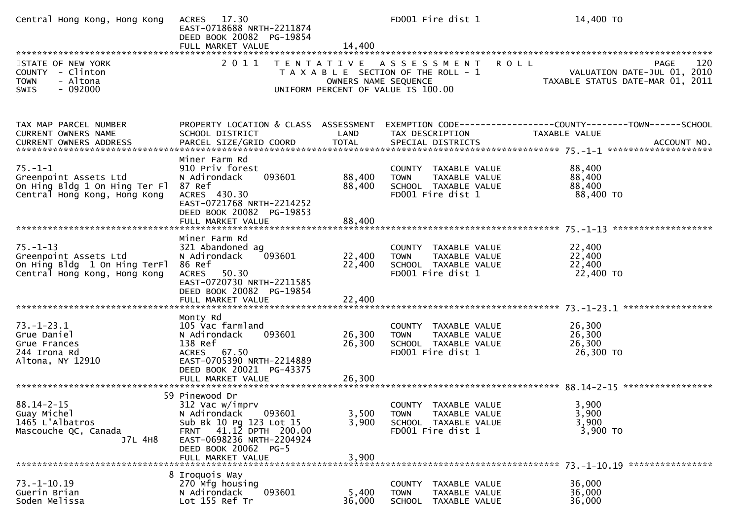| Central Hong Kong, Hong Kong                                                                            | ACRES 17.30<br>EAST-0718688 NRTH-2211874<br>DEED BOOK 20082 PG-19854<br>FULL MARKET VALUE                                                                                                  | 14,400                                    | FD001 Fire dist 1                                                                                                 | 14,400 TO                                                                             |
|---------------------------------------------------------------------------------------------------------|--------------------------------------------------------------------------------------------------------------------------------------------------------------------------------------------|-------------------------------------------|-------------------------------------------------------------------------------------------------------------------|---------------------------------------------------------------------------------------|
| STATE OF NEW YORK<br>COUNTY - Clinton<br>- Altona<br><b>TOWN</b><br>$-092000$<br>SWIS                   | 2 0 1 1                                                                                                                                                                                    | T E N T A T I V E<br>OWNERS NAME SEQUENCE | A S S E S S M E N T<br><b>ROLL</b><br>T A X A B L E SECTION OF THE ROLL - 1<br>UNIFORM PERCENT OF VALUE IS 100.00 | <b>PAGE</b><br>120<br>VALUATION DATE-JUL 01, 2010<br>TAXABLE STATUS DATE-MAR 01, 2011 |
| TAX MAP PARCEL NUMBER<br>CURRENT OWNERS NAME                                                            | PROPERTY LOCATION & CLASS ASSESSMENT<br>SCHOOL DISTRICT                                                                                                                                    | LAND                                      | TAX DESCRIPTION                                                                                                   | EXEMPTION CODE-----------------COUNTY-------TOWN------SCHOOL<br>TAXABLE VALUE         |
| $75. - 1 - 1$<br>Greenpoint Assets Ltd<br>On Hing Bldg 1 On Hing Ter Fl<br>Central Hong Kong, Hong Kong | Miner Farm Rd<br>910 Priv forest<br>093601<br>N Adirondack<br>87 Ref<br>ACRES 430.30<br>EAST-0721768 NRTH-2214252<br>DEED BOOK 20082 PG-19853<br>FULL MARKET VALUE                         | 88,400<br>88,400<br>88,400                | COUNTY TAXABLE VALUE<br>TAXABLE VALUE<br><b>TOWN</b><br>SCHOOL TAXABLE VALUE<br>FD001 Fire dist 1                 | 88,400<br>88,400<br>88,400<br>88,400 TO                                               |
| $75. - 1 - 13$<br>Greenpoint Assets Ltd<br>On Hing Bldg 1 On Hing TerFl<br>Central Hong Kong, Hong Kong | Miner Farm Rd<br>321 Abandoned ag<br>093601<br>N Adirondack<br>86 Ref<br>50.30<br><b>ACRES</b><br>EAST-0720730 NRTH-2211585<br>DEED BOOK 20082 PG-19854<br>FULL MARKET VALUE               | 22,400<br>22,400<br>22,400                | COUNTY TAXABLE VALUE<br><b>TOWN</b><br>TAXABLE VALUE<br>SCHOOL TAXABLE VALUE<br>FD001 Fire dist 1                 | 22,400<br>22,400<br>22,400<br>22,400 TO                                               |
| $73. - 1 - 23.1$<br>Grue Daniel<br>Grue Frances<br>244 Irona Rd<br>Altona, NY 12910                     | Monty Rd<br>105 Vac farmland<br>093601<br>N Adirondack<br>138 Ref<br>ACRES 67.50<br>EAST-0705390 NRTH-2214889<br>DEED BOOK 20021 PG-43375<br>FULL MARKET VALUE                             | 26,300<br>26,300<br>26,300                | COUNTY TAXABLE VALUE<br><b>TOWN</b><br>TAXABLE VALUE<br>SCHOOL TAXABLE VALUE<br>FD001 Fire dist 1                 | 26,300<br>26,300<br>26,300<br>26,300 TO                                               |
| $88.14 - 2 - 15$<br>Guay Michel<br>1465 L'Albatros<br>Mascouche QC, Canada<br>J7L 4H8                   | 59 Pinewood Dr<br>312 Vac w/imprv<br>093601<br>N Adirondack<br>Sub Bk 10 Pg 123 Lot 15<br>FRNT 41.12 DPTH 200.00<br>EAST-0698236 NRTH-2204924<br>DEED BOOK 20062 PG-5<br>FULL MARKET VALUE | 3,500<br>3,900<br>3,900                   | COUNTY TAXABLE VALUE<br><b>TOWN</b><br><b>TAXABLE VALUE</b><br>SCHOOL TAXABLE VALUE<br>FD001 Fire dist 1          | 3,900<br>3,900<br>3,900<br>3,900 TO                                                   |
| $73. - 1 - 10.19$<br>Guerin Brian<br>Soden Melissa                                                      | 8 Iroquois Way<br>270 Mfg housing<br>093601<br>N Adirondack<br>Lot 155 Ref Tr                                                                                                              | 5,400<br>36,000                           | <b>COUNTY</b><br>TAXABLE VALUE<br><b>TOWN</b><br>TAXABLE VALUE<br>SCHOOL TAXABLE VALUE                            | 36,000<br>36,000<br>36,000                                                            |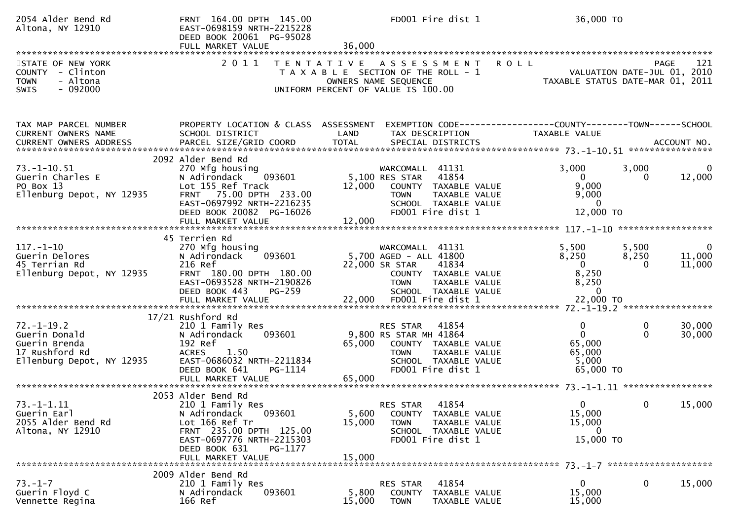| 2054 Alder Bend Rd<br>Altona, NY 12910                                                            | FRNT 164.00 DPTH 145.00<br>EAST-0698159 NRTH-2215228<br>DEED BOOK 20061 PG-95028<br>FULL MARKET VALUE                                                                                       | FD001 Fire dist 1<br>36,000                                                                                                                                                 | 36,000 TO                                                                                                     |                                    |
|---------------------------------------------------------------------------------------------------|---------------------------------------------------------------------------------------------------------------------------------------------------------------------------------------------|-----------------------------------------------------------------------------------------------------------------------------------------------------------------------------|---------------------------------------------------------------------------------------------------------------|------------------------------------|
| STATE OF NEW YORK<br>COUNTY - Clinton<br>- Altona<br><b>TOWN</b><br>$-092000$<br>SWIS             | 2011                                                                                                                                                                                        | <b>ROLL</b><br>T E N T A T I V E<br>A S S E S S M E N T<br>T A X A B L E SECTION OF THE ROLL - 1<br>OWNERS NAME SEQUENCE<br>UNIFORM PERCENT OF VALUE IS 100.00              | <b>PAGE</b><br>VALUATION DATE-JUL 01, 2010<br>VALUATION DATE-JUL 01, 2010<br>TAXABLE STATUS DATE-MAR 01, 2011 | 121                                |
| TAX MAP PARCEL NUMBER<br>CURRENT OWNERS NAME                                                      | PROPERTY LOCATION & CLASS ASSESSMENT<br>SCHOOL DISTRICT                                                                                                                                     | TAX DESCRIPTION<br>LAND                                                                                                                                                     | EXEMPTION CODE-----------------COUNTY-------TOWN------SCHOOL<br><b>TAXABLE VALUE</b>                          |                                    |
| 73. –1–10. 51<br>Guerin Charles E<br>PO Box 13<br>Ellenburg Depot, NY 12935                       | 2092 Alder Bend Rd<br>270 Mfg housing<br>093601<br>N Adirondack<br>Lot 155 Ref Track<br>75.00 DPTH 233.00<br><b>FRNT</b><br>EAST-0697992 NRTH-2216235<br>DEED BOOK 20082 PG-16026           | WARCOMALL 41131<br>5,100 RES STAR<br>41854<br>12,000<br>COUNTY TAXABLE VALUE<br>TAXABLE VALUE<br><b>TOWN</b><br>SCHOOL TAXABLE VALUE<br>FD001 Fire dist 1                   | 3,000<br>3,000<br>$\overline{0}$<br>0<br>9,000<br>9,000<br>$\mathbf{0}$<br>12,000 TO                          | 12,000                             |
| $117. - 1 - 10$<br>Guerin Delores<br>45 Terrian Rd<br>Ellenburg Depot, NY 12935                   | 45 Terrien Rd<br>270 Mfg housing<br>093601<br>N Adirondack<br>216 Ref<br>FRNT 180.00 DPTH 180.00<br>EAST-0693528 NRTH-2190826<br>DEED BOOK 443<br>PG-259                                    | WARCOMALL 41131<br>5,700 AGED - ALL 41800<br>22,000 SR STAR<br>41834<br>COUNTY TAXABLE VALUE<br><b>TOWN</b><br>TAXABLE VALUE<br>SCHOOL TAXABLE VALUE                        | 5,500<br>5,500<br>8,250<br>8,250<br>$\overline{0}$<br>$\Omega$<br>8,250<br>8,250<br>$\mathbf{0}$              | $\overline{0}$<br>11,000<br>11,000 |
| $72. - 1 - 19.2$<br>Guerin Donald<br>Guerin Brenda<br>17 Rushford Rd<br>Ellenburg Depot, NY 12935 | 17/21 Rushford Rd<br>210 1 Family Res<br>N Adirondack<br>093601<br>192 Ref<br>1.50<br><b>ACRES</b><br>EAST-0686032 NRTH-2211834<br>DEED BOOK 641<br>PG-1114<br>FULL MARKET VALUE            | 41854<br><b>RES STAR</b><br>9,800 RS STAR MH 41864<br>65,000<br>COUNTY TAXABLE VALUE<br><b>TOWN</b><br>TAXABLE VALUE<br>SCHOOL TAXABLE VALUE<br>FD001 Fire dist 1<br>65,000 | 0<br>0<br>$\mathbf{0}$<br>$\mathbf{0}$<br>65,000<br>65,000<br>5,000<br>65,000 TO                              | 30,000<br>30,000                   |
| $73. - 1 - 1.11$<br>Guerin Earl<br>2055 Alder Bend Rd<br>Altona, NY 12910                         | 2053 Alder Bend Rd<br>210 1 Family Res<br>093601<br>N Adirondack<br>Lot 166 Ref Tr<br>FRNT 235.00 DPTH 125.00<br>EAST-0697776 NRTH-2215303<br>DEED BOOK 631<br>PG-1177<br>FULL MARKET VALUE | 41854<br>RES STAR<br>5,600<br>COUNTY TAXABLE VALUE<br>15,000<br>TAXABLE VALUE<br><b>TOWN</b><br>SCHOOL TAXABLE VALUE<br>FD001 Fire dist 1<br>15,000                         | $\mathbf{0}$<br>0<br>15,000<br>15,000<br>$\mathbf 0$<br>15,000 TO                                             | 15,000                             |
| $73. - 1 - 7$<br>Guerin Floyd C<br>Vennette Regina                                                | 2009 Alder Bend Rd<br>210 1 Family Res<br>093601<br>N Adirondack<br>166 Ref                                                                                                                 | 41854<br>RES STAR<br>5,800<br><b>COUNTY</b><br>TAXABLE VALUE<br>15,000<br><b>TOWN</b><br>TAXABLE VALUE                                                                      | $\mathbf 0$<br>$\mathbf{0}$<br>15,000<br>15,000                                                               | 15,000                             |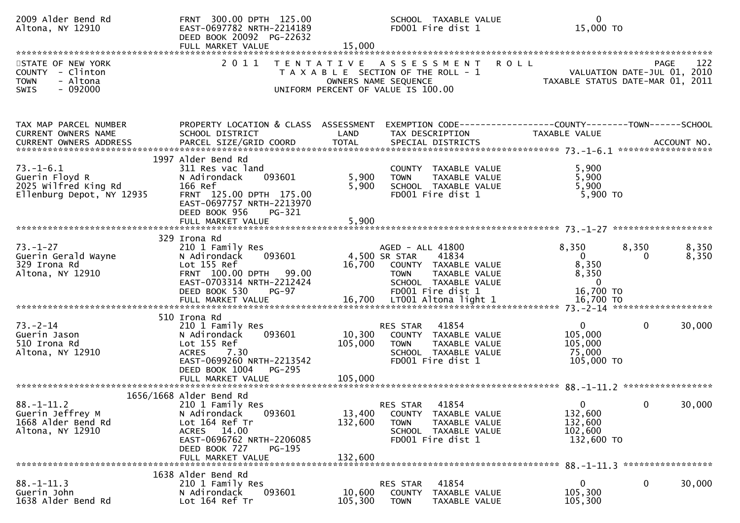| 2009 Alder Bend Rd<br>Altona, NY 12910                                                       | FRNT 300.00 DPTH 125.00<br>EAST-0697782 NRTH-2214189<br>DEED BOOK 20092 PG-22632<br>FULL MARKET VALUE                                                                               | 15,000                       | SCHOOL TAXABLE VALUE<br>FD001 Fire dist 1                                                                                                              | $\mathbf{0}$<br>15,000 TO                                              |                              |
|----------------------------------------------------------------------------------------------|-------------------------------------------------------------------------------------------------------------------------------------------------------------------------------------|------------------------------|--------------------------------------------------------------------------------------------------------------------------------------------------------|------------------------------------------------------------------------|------------------------------|
| STATE OF NEW YORK<br>COUNTY - Clinton<br>- Altona<br><b>TOWN</b><br>$-092000$<br><b>SWIS</b> | 2011                                                                                                                                                                                |                              | TENTATIVE ASSESSMENT ROLL<br>PAGE 122<br>PAGE 122<br>OWNERS NAME SEQUENCE TAXABLE STATUS DATE-JUL 01, 2010<br>UNIFORM PERCENT OF VALUE IS 100.00       |                                                                        | 122                          |
| TAX MAP PARCEL NUMBER<br>CURRENT OWNERS NAME                                                 | PROPERTY LOCATION & CLASS ASSESSMENT<br>SCHOOL DISTRICT                                                                                                                             | LAND                         | TAX DESCRIPTION                                                                                                                                        | TAXABLE VALUE                                                          |                              |
| $73. - 1 - 6.1$<br>Guerin Floyd R<br>2025 Wilfred King Rd<br>Ellenburg Depot, NY 12935       | 1997 Alder Bend Rd<br>311 Res vac land<br>093601<br>N Adirondack<br>166 Ref<br>FRNT 125.00 DPTH 175.00<br>EAST-0697757 NRTH-2213970<br>DEED BOOK 956<br>PG-321                      | 5,900<br>5,900               | COUNTY TAXABLE VALUE<br><b>TOWN</b><br>TAXABLE VALUE<br>SCHOOL TAXABLE VALUE<br>FD001 Fire dist 1                                                      | 5,900<br>5,900<br>5,900<br>$5,900$ TO                                  |                              |
| $73. - 1 - 27$<br>Guerin Gerald Wayne<br>329 Irona Rd<br>Altona, NY 12910                    | 329 Irona Rd<br>210 1 Family Res<br>093601<br>N Adirondack<br>Lot 155 Ref<br>FRNT 100.00 DPTH 99.00<br>EAST-0703314 NRTH-2212424<br>DEED BOOK 530<br><b>PG-97</b>                   |                              | AGED - ALL 41800<br>4,500 SR STAR<br>41834<br>16,700 COUNTY TAXABLE VALUE<br>TAXABLE VALUE<br><b>TOWN</b><br>SCHOOL TAXABLE VALUE<br>FD001 Fire dist 1 | 8,350<br>$\mathbf{0}$<br>8,350<br>8,350<br>$\overline{0}$<br>16,700 TO | 8,350<br>8,350<br>8,350<br>0 |
| $73. - 2 - 14$<br>Guerin Jason<br>510 Irona Rd<br>Altona, NY 12910                           | 510 Irona Rd<br>210 1 Family Res<br>093601<br>N Adirondack<br>Lot 155 Ref<br>7.30<br><b>ACRES</b><br>EAST-0699260 NRTH-2213542<br>DEED BOOK 1004<br>PG-295<br>FULL MARKET VALUE     | 10,300<br>105,000<br>105,000 | 41854<br>RES STAR<br>COUNTY TAXABLE VALUE<br><b>TOWN</b><br>TAXABLE VALUE<br>SCHOOL TAXABLE VALUE<br>FD001 Fire dist 1                                 | $\mathbf{0}$<br>105,000<br>105,000<br>75,000<br>105,000 TO             | $\mathbf{0}$<br>30,000       |
| $88. - 1 - 11.2$<br>Guerin Jeffrey M<br>1668 Alder Bend Rd<br>Altona, NY 12910               | 1656/1668 Alder Bend Rd<br>210 1 Family Res<br>N Adirondack<br>093601<br>Lot 164 Ref Tr<br>ACRES 14.00<br>EAST-0696762 NRTH-2206085<br>DEED BOOK 727<br>PG-195<br>FULL MARKET VALUE | 13,400<br>132,600<br>132,600 | 41854<br>RES STAR<br>COUNTY TAXABLE VALUE<br><b>TOWN</b><br>TAXABLE VALUE<br>SCHOOL TAXABLE VALUE<br>FD001 Fire dist 1                                 | $\Omega$<br>132,600<br>132,600<br>102,600<br>132,600 TO                | 30,000<br>0                  |
| $88. - 1 - 11.3$<br>Guerin John<br>1638 Alder Bend Rd                                        | 1638 Alder Bend Rd<br>210 1 Family Res<br>093601<br>N Adirondack<br>Lot 164 Ref Tr                                                                                                  | 10,600<br>105,300            | 41854<br>RES STAR<br>COUNTY<br>TAXABLE VALUE<br>TAXABLE VALUE<br><b>TOWN</b>                                                                           | 0<br>105,300<br>105,300                                                | 0<br>30,000                  |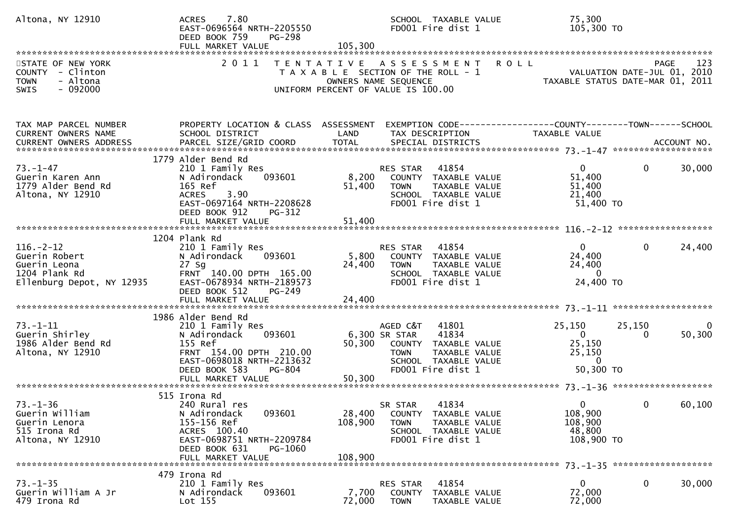| Altona, NY 12910                                                                               | 7.80<br><b>ACRES</b><br>EAST-0696564 NRTH-2205550<br>DEED BOOK 759<br>PG-298<br>FULL MARKET VALUE                                                                                   | 105,300                      | SCHOOL TAXABLE VALUE<br>FD001 Fire dist 1                                                                                                        | 75,300<br>105,300 TO                                                          |                        |
|------------------------------------------------------------------------------------------------|-------------------------------------------------------------------------------------------------------------------------------------------------------------------------------------|------------------------------|--------------------------------------------------------------------------------------------------------------------------------------------------|-------------------------------------------------------------------------------|------------------------|
| STATE OF NEW YORK<br>COUNTY - Clinton<br>- Altona<br><b>TOWN</b><br>$-092000$<br><b>SWIS</b>   | 2011                                                                                                                                                                                |                              | TENTATIVE ASSESSMENT<br><b>ROLL</b><br>T A X A B L E SECTION OF THE ROLL - 1<br>OWNERS NAME SEQUENCE<br>UNIFORM PERCENT OF VALUE IS 100.00       | VALUATION DATE-JUL 01, 2010<br>TAXABLE STATUS DATE-MAR 01, 2011               | 123<br>PAGE            |
| TAX MAP PARCEL NUMBER<br>CURRENT OWNERS NAME                                                   | PROPERTY LOCATION & CLASS ASSESSMENT<br>SCHOOL DISTRICT                                                                                                                             | LAND                         | EXEMPTION CODE-----------------COUNTY-------TOWN------SCHOOL<br>TAX DESCRIPTION                                                                  | TAXABLE VALUE                                                                 |                        |
| $73. - 1 - 47$<br>Guerin Karen Ann<br>1779 Alder Bend Rd<br>Altona, NY 12910                   | 1779 Alder Bend Rd<br>210 1 Family Res<br>N Adirondack<br>093601<br>165 Ref<br>3.90<br><b>ACRES</b><br>EAST-0697164 NRTH-2208628<br>DEED BOOK 912<br>PG-312                         | 8,200<br>51,400              | 41854<br>RES STAR<br>COUNTY TAXABLE VALUE<br><b>TOWN</b><br>TAXABLE VALUE<br>SCHOOL TAXABLE VALUE<br>FD001 Fire dist 1                           | $\mathbf{0}$<br>51,400<br>51,400<br>21,400<br>51,400 TO                       | $\mathbf{0}$<br>30,000 |
| $116. - 2 - 12$<br>Guerin Robert<br>Guerin Leona<br>1204 Plank Rd<br>Ellenburg Depot, NY 12935 | 1204 Plank Rd<br>210 1 Family Res<br>093601<br>N Adirondack<br>27 Sg<br>FRNT 140.00 DPTH 165.00<br>EAST-0678934 NRTH-2189573<br>DEED BOOK 512<br>PG-249<br>FULL MARKET VALUE        | 24,400<br>24,400             | RES STAR 41854<br>5,800 COUNTY TAXABLE VALUE<br>TAXABLE VALUE<br><b>TOWN</b><br>SCHOOL TAXABLE VALUE<br>FD001 Fire dist 1                        | $\mathbf{0}$<br>24,400<br>24,400<br>$\mathbf{0}$<br>24,400 TO                 | 24,400<br>$\mathbf{0}$ |
| $73. - 1 - 11$<br>Guerin Shirley<br>1986 Alder Bend Rd<br>Altona, NY 12910                     | 1986 Alder Bend Rd<br>210 1 Family Res<br>093601<br>N Adirondack<br>155 Ref<br>FRNT 154.00 DPTH 210.00<br>EAST-0698018 NRTH-2213632<br>DEED BOOK 583<br>PG-804<br>FULL MARKET VALUE | 50,300<br>50,300             | AGED C&T<br>41801<br>41834<br>6,300 SR STAR<br>COUNTY TAXABLE VALUE<br>TAXABLE VALUE<br><b>TOWN</b><br>SCHOOL TAXABLE VALUE<br>FD001 Fire dist 1 | 25,150<br>25,150<br>$\Omega$<br>25,150<br>25,150<br>$\mathbf{0}$<br>50,300 TO | 50,300<br>0            |
| $73. - 1 - 36$<br>Guerin William<br>Guerin Lenora<br>515 Irona Rd<br>Altona, NY 12910          | 515 Irona Rd<br>240 Rural res<br>093601<br>N Adirondack<br>155-156 Ref<br>ACRES 100.40<br>EAST-0698751 NRTH-2209784<br>DEED BOOK 631<br>PG-1060<br>FULL MARKET VALUE                | 28,400<br>108,900<br>108,900 | 41834<br>SR STAR<br>COUNTY TAXABLE VALUE<br>TAXABLE VALUE<br><b>TOWN</b><br>SCHOOL TAXABLE VALUE<br>FD001 Fire dist 1                            | 0<br>108,900<br>108,900<br>48,800<br>108,900 TO                               | 60,100<br>$\mathbf{0}$ |
| $73. - 1 - 35$<br>Guerin William A Jr<br>479 Irona Rd                                          | 479 Irona Rd<br>210 1 Family Res<br>093601<br>N Adirondack<br>Lot 155                                                                                                               | 7,700<br>72,000              | 41854<br>RES STAR<br>COUNTY<br>TAXABLE VALUE<br><b>TOWN</b><br>TAXABLE VALUE                                                                     | 0<br>72,000<br>72,000                                                         | 0<br>30,000            |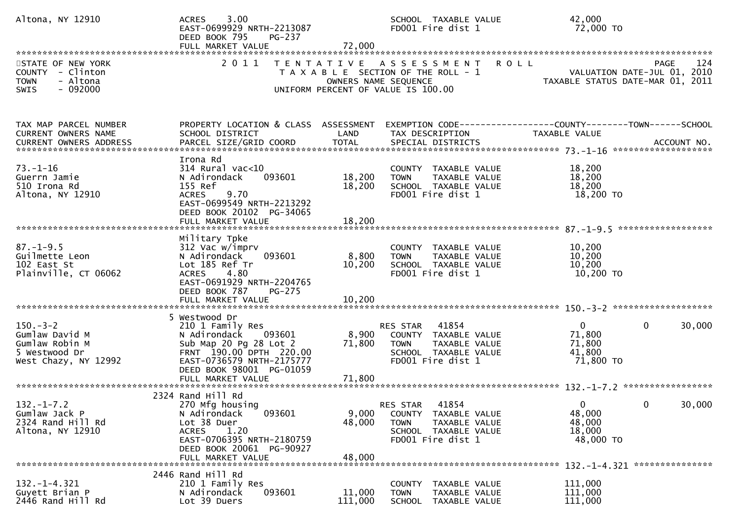| Altona, NY 12910                                                                             | 3.00<br><b>ACRES</b><br>EAST-0699929 NRTH-2213087<br>DEED BOOK 795<br>PG-237<br>FULL MARKET VALUE                                                                                              | 72,000                    | SCHOOL TAXABLE VALUE<br>FD001 Fire dist 1                                                                              | 42,000<br>72,000 TO                                                                                           |
|----------------------------------------------------------------------------------------------|------------------------------------------------------------------------------------------------------------------------------------------------------------------------------------------------|---------------------------|------------------------------------------------------------------------------------------------------------------------|---------------------------------------------------------------------------------------------------------------|
| STATE OF NEW YORK<br>COUNTY - Clinton<br>- Altona<br><b>TOWN</b><br>$-092000$<br><b>SWIS</b> | 2 0 1 1                                                                                                                                                                                        | OWNERS NAME SEQUENCE      | <b>ROLL</b><br>TENTATIVE ASSESSMENT<br>T A X A B L E SECTION OF THE ROLL - 1<br>UNIFORM PERCENT OF VALUE IS 100.00     | 124<br>PAGE<br>VALUATION DATE-JUL 01, 2010<br>VALUATION DATE-JUL 01, 2010<br>TAXABLE STATUS DATE-MAR 01, 2011 |
| TAX MAP PARCEL NUMBER<br><b>CURRENT OWNERS NAME</b><br>CURRENT OWNERS ADDRESS                | PROPERTY LOCATION & CLASS ASSESSMENT<br>SCHOOL DISTRICT                                                                                                                                        | LAND                      | TAX DESCRIPTION                                                                                                        | EXEMPTION CODE-----------------COUNTY-------TOWN------SCHOOL<br>TAXABLE VALUE                                 |
| $73. - 1 - 16$<br>Guerrn Jamie<br>510 Irona Rd<br>Altona, NY 12910                           | Irona Rd<br>$314$ Rural vac< $10$<br>N Adirondack<br>093601<br>155 Ref<br>9.70<br><b>ACRES</b><br>EAST-0699549 NRTH-2213292<br>DEED BOOK 20102 PG-34065                                        | 18,200<br>18,200          | COUNTY TAXABLE VALUE<br>TAXABLE VALUE<br><b>TOWN</b><br>SCHOOL TAXABLE VALUE<br>FD001 Fire dist 1                      | 18,200<br>18,200<br>18,200<br>18,200 TO                                                                       |
| $87. - 1 - 9.5$<br>Guilmette Leon<br>102 East St<br>Plainville, CT 06062                     | Military Tpke<br>312 Vac w/imprv<br>N Adirondack<br>093601<br>Lot 185 Ref Tr<br>4.80<br><b>ACRES</b><br>EAST-0691929 NRTH-2204765<br>DEED BOOK 787<br>PG-275                                   | 8,800<br>10,200           | COUNTY TAXABLE VALUE<br><b>TOWN</b><br>TAXABLE VALUE<br>SCHOOL TAXABLE VALUE<br>FD001 Fire dist 1                      | 10,200<br>10,200<br>10,200<br>10,200 TO                                                                       |
| $150 - 3 - 2$<br>Gumlaw David M<br>Gumlaw Robin M<br>5 Westwood Dr<br>West Chazy, NY 12992   | 5 Westwood Dr<br>210 1 Family Res<br>N Adirondack<br>093601<br>Sub Map 20 Pg 28 Lot 2<br>FRNT 190.00 DPTH 220.00<br>EAST-0736579 NRTH-2175777<br>DEED BOOK 98001 PG-01059<br>FULL MARKET VALUE | 8,900<br>71,800<br>71,800 | 41854<br>RES STAR<br>COUNTY TAXABLE VALUE<br>TAXABLE VALUE<br><b>TOWN</b><br>SCHOOL TAXABLE VALUE<br>FD001 Fire dist 1 | $\Omega$<br>$\mathbf{0}$<br>30,000<br>71,800<br>71,800<br>41,800<br>71,800 TO                                 |
| $132. - 1 - 7.2$<br>Gumlaw Jack P<br>2324 Rand Hill Rd<br>Altona, NY 12910                   | 2324 Rand Hill Rd<br>270 Mfg housing<br>093601<br>N Adirondack<br>Lot 38 Duer<br>1.20<br><b>ACRES</b><br>EAST-0706395 NRTH-2180759<br>DEED BOOK 20061 PG-90927<br>FULL MARKET VALUE            | 9,000<br>48,000<br>48,000 | 41854<br>RES STAR<br>COUNTY TAXABLE VALUE<br><b>TOWN</b><br>TAXABLE VALUE<br>SCHOOL TAXABLE VALUE<br>FD001 Fire dist 1 | $\mathbf 0$<br>30,000<br>0<br>48,000<br>48,000<br>18,000<br>48,000 TO                                         |
| $132. - 1 - 4.321$<br>Guyett Brian P<br>2446 Rand Hill Rd                                    | 2446 Rand Hill Rd<br>210 1 Family Res<br>093601<br>N Adirondack<br>Lot 39 Duers                                                                                                                | 11,000<br>111,000         | COUNTY TAXABLE VALUE<br>TAXABLE VALUE<br><b>TOWN</b><br>SCHOOL<br>TAXABLE VALUE                                        | 132. -1-4.321 ****************<br>111,000<br>111,000<br>111,000                                               |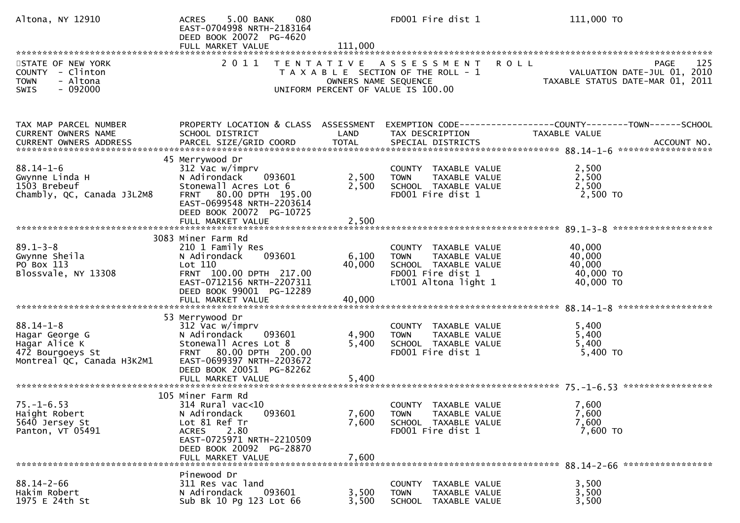| Altona, NY 12910                                                                                     | 080<br>5.00 BANK<br><b>ACRES</b><br>EAST-0704998 NRTH-2183164<br>DEED BOOK 20072 PG-4620<br>FULL MARKET VALUE                                                                                 | 111,000                   | FD001 Fire dist 1                                                                                                         | 111,000 TO                                                                     |
|------------------------------------------------------------------------------------------------------|-----------------------------------------------------------------------------------------------------------------------------------------------------------------------------------------------|---------------------------|---------------------------------------------------------------------------------------------------------------------------|--------------------------------------------------------------------------------|
| STATE OF NEW YORK<br>COUNTY - Clinton<br>- Altona<br><b>TOWN</b><br>$-092000$<br><b>SWIS</b>         | 2 0 1 1                                                                                                                                                                                       | OWNERS NAME SEQUENCE      | TENTATIVE ASSESSMENT ROLL<br>T A X A B L E SECTION OF THE ROLL - 1<br>UNIFORM PERCENT OF VALUE IS 100.00                  | 125<br>PAGE<br>VALUATION DATE-JUL 01, 2010<br>TAXABLE STATUS DATE-MAR 01, 2011 |
| TAX MAP PARCEL NUMBER<br>CURRENT OWNERS NAME                                                         | PROPERTY LOCATION & CLASS ASSESSMENT<br>SCHOOL DISTRICT                                                                                                                                       | LAND                      | TAX DESCRIPTION                                                                                                           | TAXABLE VALUE                                                                  |
| $88.14 - 1 - 6$<br>Gwynne Linda H<br>1503 Brebeuf<br>Chambly, QC, Canada J3L2M8                      | 45 Merrywood Dr<br>312 Vac w/imprv<br>N Adirondack<br>093601<br>Stonewall Acres Lot 6<br>FRNT 80.00 DPTH 195.00<br>EAST-0699548 NRTH-2203614<br>DEED BOOK 20072 PG-10725<br>FULL MARKET VALUE | 2,500<br>2,500<br>2,500   | COUNTY TAXABLE VALUE<br>TAXABLE VALUE<br><b>TOWN</b><br>SCHOOL TAXABLE VALUE<br>FD001 Fire dist 1                         | 2,500<br>2,500<br>2,500<br>2,500 TO                                            |
| $89.1 - 3 - 8$<br>Gwynne Sheila<br>PO Box 113<br>Blossvale, NY 13308                                 | 3083 Miner Farm Rd<br>210 1 Family Res<br>N Adirondack<br>093601<br>Lot 110<br>FRNT 100.00 DPTH 217.00<br>EAST-0712156 NRTH-2207311<br>DEED BOOK 99001 PG-12289<br>FULL MARKET VALUE          | 6,100<br>40,000<br>40,000 | COUNTY TAXABLE VALUE<br>TAXABLE VALUE<br><b>TOWN</b><br>SCHOOL TAXABLE VALUE<br>FD001 Fire dist 1<br>LT001 Altona light 1 | 40,000<br>40,000<br>40,000<br>40,000 TO<br>40,000 TO                           |
| $88.14 - 1 - 8$<br>Hagar George G<br>Hagar Alice K<br>472 Bourgoeys St<br>Montreal QC, Canada H3K2M1 | 53 Merrywood Dr<br>312 Vac w/imprv<br>N Adirondack<br>093601<br>Stonewall Acres Lot 8<br>FRNT 80.00 DPTH 200.00<br>EAST-0699397 NRTH-2203672<br>DEED BOOK 20051 PG-82262<br>FULL MARKET VALUE | 4,900<br>5,400<br>5,400   | COUNTY TAXABLE VALUE<br>TAXABLE VALUE<br><b>TOWN</b><br>SCHOOL TAXABLE VALUE<br>FD001 Fire dist 1                         | 5,400<br>5,400<br>5,400<br>5,400 TO                                            |
| $75. - 1 - 6.53$<br>Haight Robert<br>5640 Jersey St<br>Panton, VT 05491                              | 105 Miner Farm Rd<br>314 Rural vac<10<br>N Adirondack<br>093601<br>Lot 81 Ref Tr<br>ACRES<br>2.80<br>EAST-0725971 NRTH-2210509<br>DEED BOOK 20092 PG-28870<br>FULL MARKET VALUE               | 7,600<br>7,600<br>7,600   | COUNTY TAXABLE VALUE<br><b>TOWN</b><br>TAXABLE VALUE<br>SCHOOL TAXABLE VALUE<br>FD001 Fire dist 1                         | 7,600<br>7,600<br>7,600<br>7,600 TO                                            |
| $88.14 - 2 - 66$<br>Hakim Robert<br>1975 E 24th St                                                   | Pinewood Dr<br>311 Res vac land<br>N Adirondack<br>093601<br>Sub Bk 10 Pg 123 Lot 66                                                                                                          | 3,500<br>3,500            | COUNTY<br>TAXABLE VALUE<br><b>TOWN</b><br>TAXABLE VALUE<br>SCHOOL TAXABLE VALUE                                           | 3,500<br>3,500<br>3,500                                                        |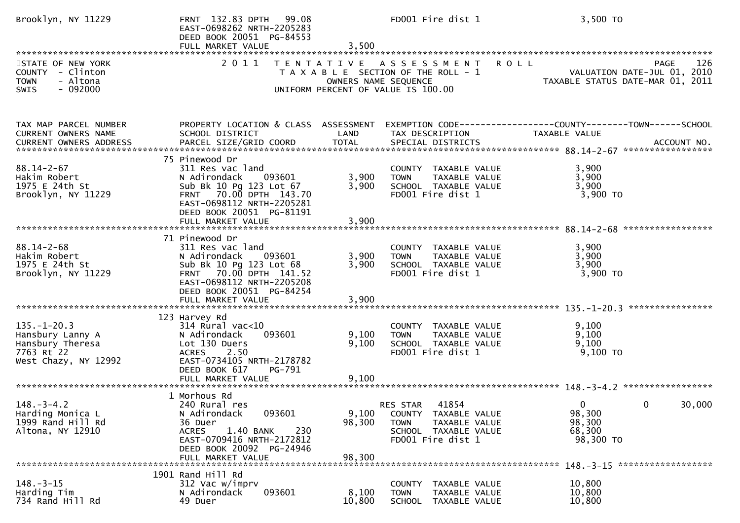| Brooklyn, NY 11229                                                                              | FRNT 132.83 DPTH<br>99.08<br>EAST-0698262 NRTH-2205283<br>DEED BOOK 20051 PG-84553<br>FULL MARKET VALUE                                                                                         | 3,500                     | FD001 Fire dist 1                                                                                                      | 3,500 TO                                                                                      |
|-------------------------------------------------------------------------------------------------|-------------------------------------------------------------------------------------------------------------------------------------------------------------------------------------------------|---------------------------|------------------------------------------------------------------------------------------------------------------------|-----------------------------------------------------------------------------------------------|
| STATE OF NEW YORK<br>COUNTY - Clinton<br>- Altona<br><b>TOWN</b><br>$-092000$<br><b>SWIS</b>    | 2011                                                                                                                                                                                            | OWNERS NAME SEQUENCE      | TENTATIVE ASSESSMENT<br>T A X A B L E SECTION OF THE ROLL - 1<br>UNIFORM PERCENT OF VALUE IS 100.00                    | 126<br><b>ROLL</b><br>PAGE<br>VALUATION DATE-JUL 01, 2010<br>TAXABLE STATUS DATE-MAR 01, 2011 |
|                                                                                                 |                                                                                                                                                                                                 |                           |                                                                                                                        |                                                                                               |
| TAX MAP PARCEL NUMBER<br>CURRENT OWNERS NAME                                                    | PROPERTY LOCATION & CLASS ASSESSMENT<br>SCHOOL DISTRICT                                                                                                                                         | LAND                      | TAX DESCRIPTION                                                                                                        | EXEMPTION CODE-----------------COUNTY-------TOWN------SCHOOL<br>TAXABLE VALUE                 |
| $88.14 - 2 - 67$<br>Hakim Robert<br>1975 E 24th St<br>Brooklyn, NY 11229                        | 75 Pinewood Dr<br>311 Res vac land<br>N Adirondack<br>093601<br>Sub Bk 10 Pg 123 Lot 67<br>FRNT 70.00 DPTH 143.70<br>EAST-0698112 NRTH-2205281<br>DEED BOOK 20051 PG-81191<br>FULL MARKET VALUE | 3,900<br>3,900<br>3,900   | COUNTY TAXABLE VALUE<br><b>TOWN</b><br>TAXABLE VALUE<br>SCHOOL TAXABLE VALUE<br>FD001 Fire dist 1                      | 3,900<br>3,900<br>3,900<br>3,900 TO                                                           |
| $88.14 - 2 - 68$<br>Hakim Robert<br>1975 E 24th St<br>Brooklyn, NY 11229                        | 71 Pinewood Dr<br>311 Res vac land<br>093601<br>N Adirondack<br>Sub Bk 10 Pg 123 Lot 68<br>FRNT 70.00 DPTH 141.52<br>EAST-0698112 NRTH-2205208<br>DEED BOOK 20051 PG-84254<br>FULL MARKET VALUE | 3,900<br>3,900<br>3,900   | COUNTY TAXABLE VALUE<br>TAXABLE VALUE<br><b>TOWN</b><br>SCHOOL TAXABLE VALUE<br>FD001 Fire dist 1                      | 3,900<br>3,900<br>3,900<br>3,900 TO                                                           |
| $135. - 1 - 20.3$<br>Hansbury Lanny A<br>Hansbury Theresa<br>7763 Rt 22<br>West Chazy, NY 12992 | 123 Harvey Rd<br>$314$ Rural vac< $10$<br>093601<br>N Adirondack<br>Lot 130 Duers<br><b>ACRES</b><br>2.50<br>EAST-0734105 NRTH-2178782<br>DEED BOOK 617<br>PG-791<br>FULL MARKET VALUE          | 9,100<br>9,100<br>9,100   | COUNTY TAXABLE VALUE<br><b>TOWN</b><br>TAXABLE VALUE<br>SCHOOL TAXABLE VALUE<br>FD001 Fire dist 1                      | ****************<br>9,100<br>9,100<br>9,100<br>$9,100$ TO                                     |
| $148. - 3 - 4.2$<br>Harding Monica L<br>1999 Rand Hill Rd<br>Altona, NY 12910                   | 1 Morhous Rd<br>240 Rural res<br>093601<br>N Adirondack<br>36 Duer<br><b>ACRES</b><br>1.40 BANK<br>230<br>EAST-0709416 NRTH-2172812<br>DEED BOOK 20092 PG-24946<br>FULL MARKET VALUE            | 9,100<br>98,300<br>98,300 | 41854<br>RES STAR<br>COUNTY TAXABLE VALUE<br>TAXABLE VALUE<br><b>TOWN</b><br>SCHOOL TAXABLE VALUE<br>FD001 Fire dist 1 | 30,000<br>$\Omega$<br>0<br>98,300<br>98,300<br>68,300<br>98,300 TO                            |
|                                                                                                 | 1901 Rand Hill Rd                                                                                                                                                                               |                           |                                                                                                                        |                                                                                               |
| $148. - 3 - 15$<br>Harding Tim<br>734 Rand Hill Rd                                              | 312 Vac w/imprv<br>093601<br>N Adirondack<br>49 Duer                                                                                                                                            | 8,100<br>10,800           | COUNTY TAXABLE VALUE<br><b>TOWN</b><br>TAXABLE VALUE<br>SCHOOL TAXABLE VALUE                                           | 10,800<br>10,800<br>10,800                                                                    |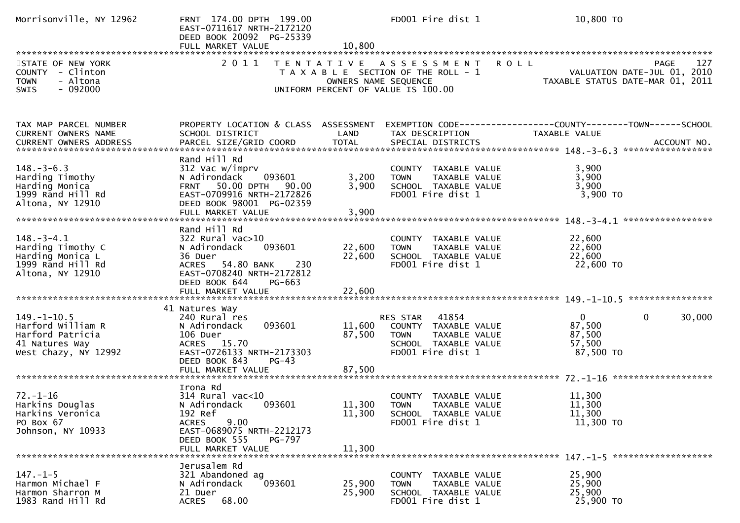| Morrisonville, NY 12962                                                                              | FRNT 174.00 DPTH 199.00<br>EAST-0711617 NRTH-2172120<br>DEED BOOK 20092 PG-25339<br>FULL MARKET VALUE                                                                              | 10,800                     | FD001 Fire dist 1                                                                                                      | 10,800 TO                                                                                            |
|------------------------------------------------------------------------------------------------------|------------------------------------------------------------------------------------------------------------------------------------------------------------------------------------|----------------------------|------------------------------------------------------------------------------------------------------------------------|------------------------------------------------------------------------------------------------------|
| STATE OF NEW YORK<br>COUNTY - Clinton<br>- Altona<br><b>TOWN</b><br>$-092000$<br><b>SWIS</b>         | 2011                                                                                                                                                                               | OWNERS NAME SEQUENCE       | TENTATIVE ASSESSMENT<br>T A X A B L E SECTION OF THE ROLL - 1<br>UNIFORM PERCENT OF VALUE IS 100.00                    | <b>ROLL</b><br>127<br><b>PAGE</b><br>VALUATION DATE-JUL 01, 2010<br>TAXABLE STATUS DATE-MAR 01, 2011 |
| TAX MAP PARCEL NUMBER<br>CURRENT OWNERS NAME                                                         | PROPERTY LOCATION & CLASS ASSESSMENT<br>SCHOOL DISTRICT                                                                                                                            | LAND                       | TAX DESCRIPTION                                                                                                        | TAXABLE VALUE                                                                                        |
| $148. - 3 - 6.3$<br>Harding Timothy<br>Harding Monica<br>1999 Rand Hill Rd<br>Altona, NY 12910       | Rand Hill Rd<br>312 Vac w/imprv<br>093601<br>N Adirondack<br>FRNT 50.00 DPTH 90.00<br>EAST-0709916 NRTH-2172826<br>DEED BOOK 98001 PG-02359<br>FULL MARKET VALUE                   | 3,200<br>3,900<br>3,900    | COUNTY TAXABLE VALUE<br><b>TOWN</b><br>TAXABLE VALUE<br>SCHOOL TAXABLE VALUE<br>FD001 Fire dist 1                      | 3,900<br>3,900<br>3,900<br>$3,900$ TO                                                                |
| $148. - 3 - 4.1$<br>Harding Timothy C<br>Harding Monica L<br>1999 Rand Hill Rd<br>Altona, NY 12910   | Rand Hill Rd<br>$322$ Rural vac $>10$<br>093601<br>N Adirondack<br>36 Duer<br>ACRES 54.80 BANK<br>230<br>EAST-0708240 NRTH-2172812<br>DEED BOOK 644<br>PG-663<br>FULL MARKET VALUE | 22,600<br>22,600<br>22,600 | COUNTY TAXABLE VALUE<br>TAXABLE VALUE<br><b>TOWN</b><br>SCHOOL TAXABLE VALUE<br>FD001 Fire dist 1                      | 22,600<br>22,600<br>22,600<br>22,600 TO                                                              |
| $149. - 1 - 10.5$<br>Harford William R<br>Harford Patricia<br>41 Natures Way<br>West Chazy, NY 12992 | 41 Natures Way<br>240 Rural res<br>N Adirondack<br>093601<br>106 Duer<br>ACRES 15.70<br>EAST-0726133 NRTH-2173303<br>DEED BOOK 843<br>$PG-43$                                      | 11,600<br>87,500           | RES STAR<br>41854<br>COUNTY TAXABLE VALUE<br><b>TOWN</b><br>TAXABLE VALUE<br>SCHOOL TAXABLE VALUE<br>FD001 Fire dist 1 | $\mathbf{0}$<br>$\mathbf{0}$<br>30,000<br>87,500<br>87,500<br>57,500<br>87,500 TO                    |
| $72. - 1 - 16$<br>Harkins Douglas<br>Harkins Veronica<br>PO Box 67<br>Johnson, NY 10933              | Irona Rd<br>$314$ Rural vac<10<br>N Adirondack<br>093601<br>192 Ref<br>9.00<br><b>ACRES</b><br>EAST-0689075 NRTH-2212173<br>DEED BOOK 555<br>PG-797<br>FULL MARKET VALUE           | 11,300<br>11,300<br>11,300 | COUNTY TAXABLE VALUE<br><b>TOWN</b><br>TAXABLE VALUE<br>SCHOOL TAXABLE VALUE<br>FD001 Fire dist 1                      | 11,300<br>11,300<br>11,300<br>11,300 TO                                                              |
| $147. - 1 - 5$<br>Harmon Michael F<br>Harmon Sharron M<br>1983 Rand Hill Rd                          | Jerusalem Rd<br>321 Abandoned ag<br>093601<br>N Adirondack<br>21 Duer<br><b>ACRES</b><br>68.00                                                                                     | 25,900<br>25,900           | COUNTY TAXABLE VALUE<br>TAXABLE VALUE<br><b>TOWN</b><br>SCHOOL TAXABLE VALUE<br>FD001 Fire dist 1                      | 25,900<br>25,900<br>25,900<br>25,900 TO                                                              |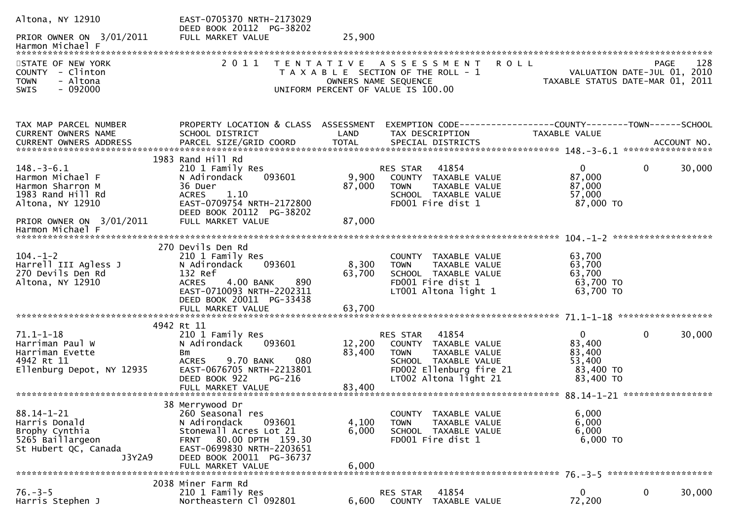| Altona, NY 12910                                                                                          | EAST-0705370 NRTH-2173029                                                                                                                                  |                   |                                                                                                                                                       |                                                                        |                                                           |
|-----------------------------------------------------------------------------------------------------------|------------------------------------------------------------------------------------------------------------------------------------------------------------|-------------------|-------------------------------------------------------------------------------------------------------------------------------------------------------|------------------------------------------------------------------------|-----------------------------------------------------------|
| PRIOR OWNER ON 3/01/2011<br>Harmon Michael F                                                              | DEED BOOK 20112 PG-38202<br>FULL MARKET VALUE                                                                                                              | 25,900            |                                                                                                                                                       |                                                                        |                                                           |
| STATE OF NEW YORK<br>COUNTY - Clinton<br>- Altona<br><b>TOWN</b>                                          | 2 0 1 1                                                                                                                                                    | T E N T A T I V E | <b>ROLL</b><br>A S S E S S M E N T<br>T A X A B L E SECTION OF THE ROLL - 1<br>OWNERS NAME SEQUENCE                                                   | TAXABLE STATUS DATE-MAR 01,                                            | 128<br><b>PAGE</b><br>VALUATION DATE-JUL 01, 2010<br>2011 |
| $-092000$<br>SWIS                                                                                         |                                                                                                                                                            |                   | UNIFORM PERCENT OF VALUE IS 100.00                                                                                                                    |                                                                        |                                                           |
| TAX MAP PARCEL NUMBER                                                                                     | PROPERTY LOCATION & CLASS ASSESSMENT                                                                                                                       |                   |                                                                                                                                                       |                                                                        |                                                           |
| CURRENT OWNERS NAME<br>CURRENT OWNERS ADDRESS                                                             | SCHOOL DISTRICT                                                                                                                                            | LAND              | TAX DESCRIPTION                                                                                                                                       | TAXABLE VALUE                                                          |                                                           |
|                                                                                                           | 1983 Rand Hill Rd                                                                                                                                          |                   |                                                                                                                                                       |                                                                        |                                                           |
| $148. - 3 - 6.1$<br>Harmon Michael F                                                                      | 210 1 Family Res<br>N Adirondack<br>093601                                                                                                                 | 9,900             | 41854<br>RES STAR<br>COUNTY TAXABLE VALUE                                                                                                             | $\overline{0}$<br>87,000                                               | 30,000<br>$\mathbf 0$                                     |
| Harmon Sharron M                                                                                          | 36 Duer                                                                                                                                                    | 87,000            | <b>TOWN</b><br><b>TAXABLE VALUE</b>                                                                                                                   | 87,000                                                                 |                                                           |
| 1983 Rand Hill Rd<br>Altona, NY 12910                                                                     | 1.10<br><b>ACRES</b><br>EAST-0709754 NRTH-2172800                                                                                                          |                   | SCHOOL TAXABLE VALUE<br>FD001 Fire dist 1                                                                                                             | 57,000<br>87,000 TO                                                    |                                                           |
| PRIOR OWNER ON 3/01/2011<br>Harmon Michael F                                                              | DEED BOOK 20112 PG-38202<br>FULL MARKET VALUE                                                                                                              | 87,000            |                                                                                                                                                       |                                                                        |                                                           |
|                                                                                                           | 270 Devils Den Rd                                                                                                                                          |                   |                                                                                                                                                       |                                                                        |                                                           |
| $104. - 1 - 2$<br>Harrell III Agless J<br>270 Devils Den Rd                                               | 210 1 Family Res<br>093601<br>N Adirondack<br>132 Ref                                                                                                      | 8,300<br>63,700   | COUNTY TAXABLE VALUE<br><b>TOWN</b><br>TAXABLE VALUE<br>SCHOOL TAXABLE VALUE<br>FD001 Fire dist 1                                                     | 63,700<br>63,700<br>63,700                                             |                                                           |
| Altona, NY 12910                                                                                          | <b>ACRES</b><br>890<br>4.00 BANK<br>EAST-0710093 NRTH-2202311<br>DEED BOOK 20011 PG-33438<br>FULL MARKET VALUE                                             | 63,700            | LT001 Altona light 1                                                                                                                                  | 63,700 TO<br>63,700 TO                                                 |                                                           |
|                                                                                                           |                                                                                                                                                            |                   |                                                                                                                                                       |                                                                        |                                                           |
| $71.1 - 1 - 18$<br>Harriman Paul W<br>Harriman Evette<br>4942 Rt 11<br>Ellenburg Depot, NY 12935          | 4942 Rt 11<br>210 1 Family Res<br>N Adirondack<br>093601<br>Bm<br>9.70 BANK<br>080<br><b>ACRES</b><br>EAST-0676705 NRTH-2213801<br>DEED BOOK 922<br>PG-216 | 12,200<br>83,400  | 41854<br>RES STAR<br>COUNTY TAXABLE VALUE<br><b>TOWN</b><br>TAXABLE VALUE<br>SCHOOL TAXABLE VALUE<br>FD002 Ellenburg fire 21<br>LT002 Altona light 21 | $\overline{0}$<br>83,400<br>83,400<br>53,400<br>83,400 TO<br>83,400 TO | $\mathbf{0}$<br>30,000                                    |
|                                                                                                           | FULL MARKET VALUE                                                                                                                                          | 83,400            |                                                                                                                                                       |                                                                        |                                                           |
|                                                                                                           | 38 Merrywood Dr                                                                                                                                            |                   |                                                                                                                                                       |                                                                        |                                                           |
| $88.14 - 1 - 21$<br>Harris Donald<br>Brophy Cynthia<br>5265 Baillargeon<br>St Hubert QC, Canada<br>J3Y2A9 | 260 Seasonal res<br>N Adirondack<br>093601<br>Stonewall Acres Lot 21<br>FRNT 80.00 DPTH 159.30<br>EAST-0699830 NRTH-2203651<br>DEED BOOK 20011 PG-36737    | 4,100<br>6,000    | COUNTY TAXABLE VALUE<br>TAXABLE VALUE<br><b>TOWN</b><br>SCHOOL TAXABLE VALUE<br>FD001 Fire dist 1                                                     | 6,000<br>6,000<br>6,000<br>6,000 TO                                    |                                                           |
|                                                                                                           | FULL MARKET VALUE                                                                                                                                          | 6,000             |                                                                                                                                                       |                                                                        |                                                           |
|                                                                                                           | 2038 Miner Farm Rd                                                                                                                                         |                   |                                                                                                                                                       |                                                                        |                                                           |
| $76. - 3 - 5$<br>Harris Stephen J                                                                         | 210 1 Family Res<br>Northeastern Cl 092801                                                                                                                 | 6,600             | 41854<br>RES STAR<br>COUNTY TAXABLE VALUE                                                                                                             | 0<br>72,200                                                            | $\mathbf 0$<br>30,000                                     |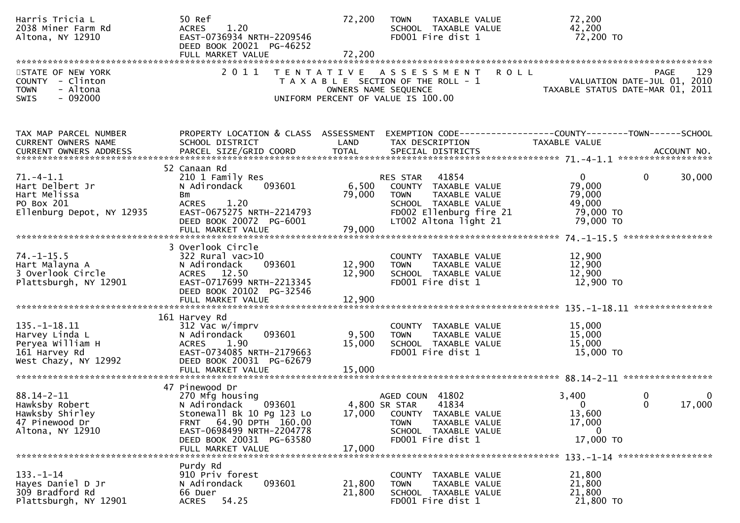| Harris Tricia L<br>2038 Miner Farm Rd<br>Altona, NY 12910                                         | 50 Ref<br>1.20<br><b>ACRES</b><br>EAST-0736934 NRTH-2209546<br>DEED BOOK 20021 PG-46252<br>FULL MARKET VALUE                                                                                     | 72,200<br>72,200           | TAXABLE VALUE<br><b>TOWN</b><br>SCHOOL TAXABLE VALUE<br>FD001 Fire dist 1                                                                                | 72,200<br>42,200<br>72,200 TO                                                         |             |
|---------------------------------------------------------------------------------------------------|--------------------------------------------------------------------------------------------------------------------------------------------------------------------------------------------------|----------------------------|----------------------------------------------------------------------------------------------------------------------------------------------------------|---------------------------------------------------------------------------------------|-------------|
| STATE OF NEW YORK<br>COUNTY - Clinton<br><b>TOWN</b><br>- Altona<br>$-092000$<br>SWIS             | 2011                                                                                                                                                                                             | OWNERS NAME SEQUENCE       | <b>ROLL</b><br>TENTATIVE ASSESSMENT<br>T A X A B L E SECTION OF THE ROLL - 1<br>UNIFORM PERCENT OF VALUE IS 100.00                                       | PAGE<br>VALUATION DATE-JUL 01, 2010<br>TAXABLE STATUS DATE-MAR 01, 2011               | 129         |
| TAX MAP PARCEL NUMBER<br>CURRENT OWNERS NAME<br>CURRENT OWNERS ADDRESS                            | PROPERTY LOCATION & CLASS ASSESSMENT<br>SCHOOL DISTRICT                                                                                                                                          | LAND                       | TAX DESCRIPTION                                                                                                                                          | EXEMPTION CODE-----------------COUNTY-------TOWN------SCHOOL<br><b>TAXABLE VALUE</b>  |             |
| $71. - 4 - 1.1$<br>Hart Delbert Jr<br>Hart Melissa<br>PO Box 201<br>Ellenburg Depot, NY 12935     | 52 Canaan Rd<br>210 1 Family Res<br>093601<br>N Adirondack<br>Bm<br>1.20<br><b>ACRES</b><br>EAST-0675275 NRTH-2214793<br>DEED BOOK 20072 PG-6001<br>FULL MARKET VALUE                            | 79,000<br>79,000           | RES STAR 41854<br>6,500 COUNTY TAXABLE VALUE<br>TAXABLE VALUE<br><b>TOWN</b><br>SCHOOL TAXABLE VALUE<br>FD002 Ellenburg fire 21<br>LT002 Altona light 21 | $\overline{0}$<br>$\mathbf 0$<br>79,000<br>79,000<br>49,000<br>79,000 TO<br>79,000 TO | 30,000      |
| $74. - 1 - 15.5$<br>Hart Malayna A<br>3 Overlook Circle<br>Plattsburgh, NY 12901                  | 3 Overlook Circle<br>$322$ Rural vac $>10$<br>093601<br>N Adirondack<br>ACRES 12.50<br>EAST-0717699 NRTH-2213345<br>DEED BOOK 20102 PG-32546<br>FULL MARKET VALUE                                | 12,900<br>12,900<br>12,900 | COUNTY TAXABLE VALUE<br><b>TOWN</b><br>TAXABLE VALUE<br>SCHOOL TAXABLE VALUE<br>FD001 Fire dist 1                                                        | 12,900<br>12,900<br>12,900<br>12,900 TO                                               |             |
| $135. - 1 - 18.11$<br>Harvey Linda L<br>Peryea William H<br>161 Harvey Rd<br>West Chazy, NY 12992 | 161 Harvey Rd<br>312 Vac w/imprv<br>093601<br>N Adirondack<br><b>ACRES</b><br>1.90<br>EAST-0734085 NRTH-2179663<br>DEED BOOK 20031 PG-62679<br>FULL MARKET VALUE                                 | 9,500<br>15,000<br>15,000  | COUNTY TAXABLE VALUE<br>TAXABLE VALUE<br><b>TOWN</b><br>SCHOOL TAXABLE VALUE<br>FD001 Fire dist 1                                                        | 15,000<br>15,000<br>15,000<br>15,000 TO                                               |             |
| $88.14 - 2 - 11$<br>Hawksby Robert<br>Hawksby Shirley<br>47 Pinewood Dr<br>Altona, NY 12910       | 47 Pinewood Dr<br>270 Mfg housing<br>N Adirondack<br>093601<br>Stonewall Bk 10 Pg 123 Lo<br>FRNT 64.90 DPTH 160.00<br>EAST-0698499 NRTH-2204778<br>DEED BOOK 20031 PG-63580<br>FULL MARKET VALUE | 17,000<br>17,000           | AGED COUN 41802<br>4,800 SR STAR<br>41834<br>COUNTY TAXABLE VALUE<br><b>TOWN</b><br>TAXABLE VALUE<br>SCHOOL TAXABLE VALUE<br>FD001 Fire dist 1           | 3,400<br>0<br>$\Omega$<br>$\Omega$<br>13,600<br>17,000<br>$\bf{0}$<br>17,000 TO       | 0<br>17,000 |
| $133. - 1 - 14$<br>Hayes Daniel D Jr<br>309 Bradford Rd<br>Plattsburgh, NY 12901                  | Purdy Rd<br>910 Priv forest<br>N Adirondack<br>093601<br>66 Duer<br>54.25<br>ACRES                                                                                                               | 21,800<br>21,800           | COUNTY TAXABLE VALUE<br>TAXABLE VALUE<br><b>TOWN</b><br>SCHOOL TAXABLE VALUE<br>FD001 Fire dist 1                                                        | 21,800<br>21,800<br>21,800<br>21,800 TO                                               |             |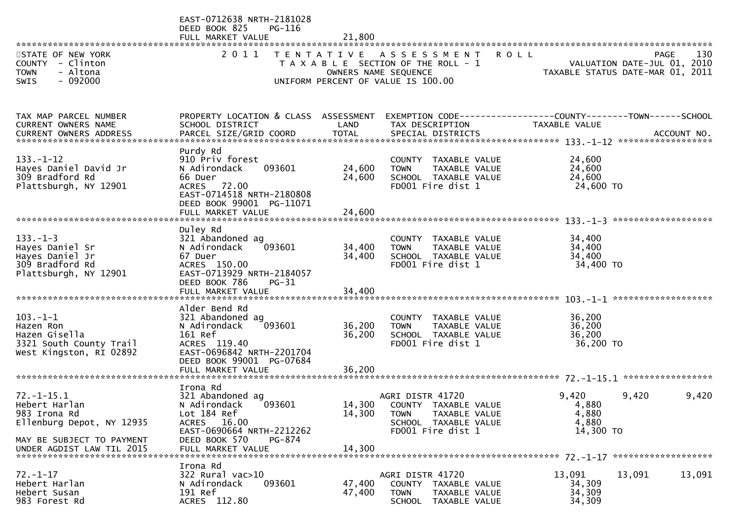| STATE OF NEW YORK                                                                                                                        | EAST-0712638 NRTH-2181028<br>DEED BOOK 825<br>PG-116<br>FULL MARKET VALUE                                                                                            | 21,800                     | 2011 TENTATIVE ASSESSMENT ROLL                                                                                               |                                               | 130<br>PAGE                                                     |
|------------------------------------------------------------------------------------------------------------------------------------------|----------------------------------------------------------------------------------------------------------------------------------------------------------------------|----------------------------|------------------------------------------------------------------------------------------------------------------------------|-----------------------------------------------|-----------------------------------------------------------------|
| COUNTY - Clinton<br>- Altona<br><b>TOWN</b><br>$-092000$<br>SWIS                                                                         |                                                                                                                                                                      |                            | T A X A B L E SECTION OF THE ROLL - 1<br>OWNERS NAME SEQUENCE<br>UNIFORM PERCENT OF VALUE IS 100.00                          |                                               | VALUATION DATE-JUL 01, 2010<br>TAXABLE STATUS DATE-MAR 01, 2011 |
| TAX MAP PARCEL NUMBER<br>CURRENT OWNERS NAME                                                                                             | PROPERTY LOCATION & CLASS ASSESSMENT<br>SCHOOL DISTRICT                                                                                                              | LAND                       | EXEMPTION CODE------------------COUNTY--------TOWN------SCHOOL<br>TAX DESCRIPTION                                            | TAXABLE VALUE                                 |                                                                 |
| $133. - 1 - 12$<br>Hayes Daniel David Jr<br>309 Bradford Rd<br>Plattsburgh, NY 12901                                                     | Purdy Rd<br>910 Priv forest<br>093601<br>N Adirondack<br>66 Duer<br>ACRES 72.00<br>EAST-0714518 NRTH-2180808<br>DEED BOOK 99001 PG-11071                             | 24,600<br>24,600           | COUNTY TAXABLE VALUE<br>TAXABLE VALUE<br><b>TOWN</b><br>SCHOOL TAXABLE VALUE<br>FD001 Fire dist 1                            | 24,600<br>24,600<br>24,600<br>24,600 TO       |                                                                 |
| $133. - 1 - 3$<br>Hayes Daniel Sr<br>Hayes Daniel Jr<br>309 Bradford Rd<br>Plattsburgh, NY 12901                                         | Duley Rd<br>321 Abandoned ag<br>N Adirondack<br>093601<br>67 Duer<br>ACRES 150.00<br>EAST-0713929 NRTH-2184057<br>DEED BOOK 786<br>$PG-31$<br>FULL MARKET VALUE      | 34,400<br>34,400<br>34,400 | COUNTY TAXABLE VALUE<br><b>TOWN</b><br>TAXABLE VALUE<br>SCHOOL TAXABLE VALUE<br>FD001 Fire dist 1                            | 34,400<br>34,400<br>34,400<br>34,400 TO       |                                                                 |
| $103. - 1 - 1$<br>Hazen Ron<br>Hazen Gisella<br>3321 South County Trail<br>West Kingston, RI 02892                                       | Alder Bend Rd<br>321 Abandoned ag<br>N Adirondack<br>093601<br>161 Ref<br>ACRES 119.40<br>EAST-0696842 NRTH-2201704<br>DEED BOOK 99001 PG-07684<br>FULL MARKET VALUE | 36,200<br>36,200<br>36,200 | COUNTY TAXABLE VALUE<br><b>TOWN</b><br>TAXABLE VALUE<br>SCHOOL TAXABLE VALUE<br>FD001 Fire dist 1                            | 36,200<br>36,200<br>36,200<br>36,200 TO       |                                                                 |
| $72. - 1 - 15.1$<br>Hebert Harlan<br>983 Irona Rd<br>Ellenburg Depot, NY 12935<br>MAY BE SUBJECT TO PAYMENT<br>UNDER AGDIST LAW TIL 2015 | Irona Rd<br>321 Abandoned ag<br>093601<br>N Adirondack<br>Lot 184 Ref<br>ACRES 16.00<br>EAST-0690664 NRTH-2212262<br>DEED BOOK 570<br>PG-874<br>FULL MARKET VALUE    | 14,300<br>14,300           | AGRI DISTR 41720<br>14,300 COUNTY TAXABLE VALUE<br>TAXABLE VALUE<br><b>TOWN</b><br>SCHOOL TAXABLE VALUE<br>FD001 Fire dist 1 | 9,420<br>4,880<br>4,880<br>4,880<br>14,300 TO | 9,420<br>9,420                                                  |
| $72. - 1 - 17$<br>Hebert Harlan<br>Hebert Susan<br>983 Forest Rd                                                                         | Irona Rd<br>322 Rural vac>10<br>093601<br>N Adirondack<br>191 Ref<br>ACRES 112.80                                                                                    | 47,400<br>47,400           | AGRI DISTR 41720<br>COUNTY TAXABLE VALUE<br><b>TOWN</b><br>TAXABLE VALUE<br>SCHOOL TAXABLE VALUE                             | 13,091<br>34,309<br>34,309<br>34,309          | 13,091<br>13,091                                                |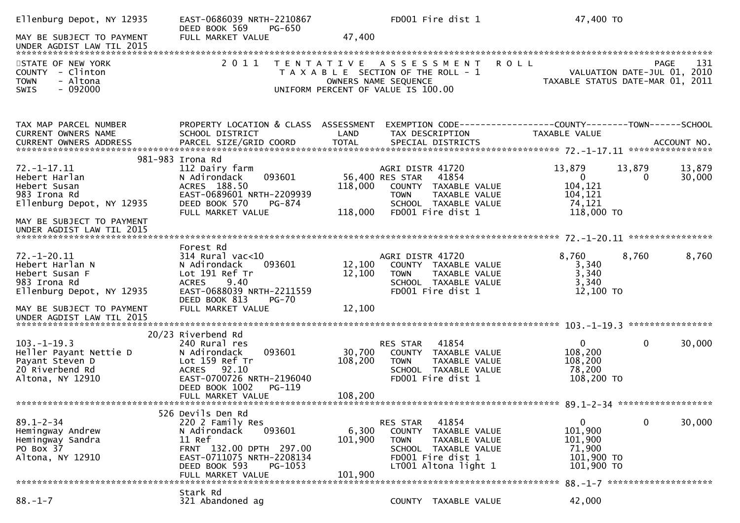| Ellenburg Depot, NY 12935                                                                                                                                 | EAST-0686039 NRTH-2210867<br>DEED BOOK 569<br>PG-650                                                                                                                                   |                                       | FD001 Fire dist 1                                                                                                                                               | 47,400 TO                                                                |                                                                                |
|-----------------------------------------------------------------------------------------------------------------------------------------------------------|----------------------------------------------------------------------------------------------------------------------------------------------------------------------------------------|---------------------------------------|-----------------------------------------------------------------------------------------------------------------------------------------------------------------|--------------------------------------------------------------------------|--------------------------------------------------------------------------------|
| MAY BE SUBJECT TO PAYMENT                                                                                                                                 | FULL MARKET VALUE                                                                                                                                                                      | 47,400                                |                                                                                                                                                                 |                                                                          |                                                                                |
| STATE OF NEW YORK<br>COUNTY - Clinton<br>- Altona<br><b>TOWN</b><br>$-092000$<br><b>SWIS</b>                                                              | 2 0 1 1<br>T E N T A T I V E                                                                                                                                                           | OWNERS NAME SEQUENCE                  | <b>ROLL</b><br>A S S E S S M E N T<br>T A X A B L E SECTION OF THE ROLL - 1<br>UNIFORM PERCENT OF VALUE IS 100.00                                               |                                                                          | 131<br>PAGE<br>VALUATION DATE-JUL 01, 2010<br>TAXABLE STATUS DATE-MAR 01, 2011 |
| TAX MAP PARCEL NUMBER<br><b>CURRENT OWNERS NAME</b>                                                                                                       | PROPERTY LOCATION & CLASS ASSESSMENT<br>SCHOOL DISTRICT                                                                                                                                | LAND                                  | EXEMPTION CODE-----------------COUNTY-------TOWN------SCHOOL<br>TAX DESCRIPTION                                                                                 | TAXABLE VALUE                                                            |                                                                                |
| $72. - 1 - 17.11$<br>Hebert Harlan<br>Hebert Susan<br>983 Irona Rd<br>Ellenburg Depot, NY 12935<br>MAY BE SUBJECT TO PAYMENT<br>UNDER AGDIST LAW TIL 2015 | 981-983 Irona Rd<br>112 Dairy farm<br>093601<br>N Adirondack<br>ACRES 188.50<br>EAST-0689601 NRTH-2209939<br>DEED BOOK 570<br>PG-874<br>FULL MARKET VALUE                              | 56,400 RES STAR<br>118,000<br>118,000 | AGRI DISTR 41720<br>41854<br>COUNTY TAXABLE VALUE<br>TAXABLE VALUE<br><b>TOWN</b><br>SCHOOL TAXABLE VALUE<br>FD001 Fire dist 1                                  | 13,879<br>$\overline{0}$<br>104,121<br>104,121<br>74,121<br>118,000 TO   | 13,879<br>13,879<br>$\mathbf{0}$<br>30,000                                     |
| $72. - 1 - 20.11$<br>Hebert Harlan N<br>Hebert Susan F<br>983 Irona Rd<br>Ellenburg Depot, NY 12935                                                       | Forest Rd<br>$314$ Rural vac<10<br>N Adirondack<br>093601<br>Lot 191 Ref Tr<br><b>ACRES</b><br>9.40<br>EAST-0688039 NRTH-2211559<br>DEED BOOK 813<br><b>PG-70</b>                      | 12,100<br>12,100                      | AGRI DISTR 41720<br>COUNTY TAXABLE VALUE<br><b>TOWN</b><br>TAXABLE VALUE<br>SCHOOL TAXABLE VALUE<br>FD001 Fire dist 1                                           | 8,760<br>3,340<br>3,340<br>3,340<br>12,100 TO                            | 8,760<br>8,760                                                                 |
| MAY BE SUBJECT TO PAYMENT<br>UNDER AGDIST LAW TIL 2015                                                                                                    | FULL MARKET VALUE                                                                                                                                                                      | 12,100                                |                                                                                                                                                                 |                                                                          |                                                                                |
| $103. -1 - 19.3$<br>Heller Payant Nettie D<br>Payant Steven D<br>20 Riverbend Rd<br>Altona, NY 12910                                                      | 20/23 Riverbend Rd<br>240 Rural res<br>093601<br>N Adirondack<br>Lot 159 Ref Tr<br>92.10<br><b>ACRES</b><br>EAST-0700726 NRTH-2196040<br>DEED BOOK 1002<br>PG-119<br>FULL MARKET VALUE | 30,700<br>108,200<br>108,200          | 41854<br>RES STAR<br>COUNTY TAXABLE VALUE<br>TAXABLE VALUE<br>TOWN<br>SCHOOL TAXABLE VALUE<br>FD001 Fire dist 1                                                 | $\overline{0}$<br>108,200<br>108,200<br>78,200<br>108,200 TO             | 30,000<br>0                                                                    |
|                                                                                                                                                           | 526 Devils Den Rd                                                                                                                                                                      |                                       |                                                                                                                                                                 |                                                                          |                                                                                |
| $89.1 - 2 - 34$<br>Hemingway Andrew<br>Hemingway Sandra<br>PO Box 37<br>Altona, NY 12910                                                                  | 220 2 Family Res<br>N Adirondack<br>093601<br>11 Ref<br>FRNT 132.00 DPTH 297.00<br>EAST-0711075 NRTH-2208134<br>DEED BOOK 593<br>PG-1053<br>FULL MARKET VALUE                          | 6,300<br>101,900<br>101,900           | 41854<br><b>RES STAR</b><br><b>COUNTY</b><br>TAXABLE VALUE<br><b>TOWN</b><br>TAXABLE VALUE<br>SCHOOL TAXABLE VALUE<br>FD001 Fire dist 1<br>LT001 Altona light 1 | $\mathbf{0}$<br>101,900<br>101,900<br>71,900<br>101,900 TO<br>101,900 TO | 0<br>30,000                                                                    |
|                                                                                                                                                           | Stark Rd                                                                                                                                                                               |                                       |                                                                                                                                                                 |                                                                          | 88. -1-7 **********************                                                |
| $88. - 1 - 7$                                                                                                                                             | 321 Abandoned ag                                                                                                                                                                       |                                       | COUNTY TAXABLE VALUE                                                                                                                                            | 42,000                                                                   |                                                                                |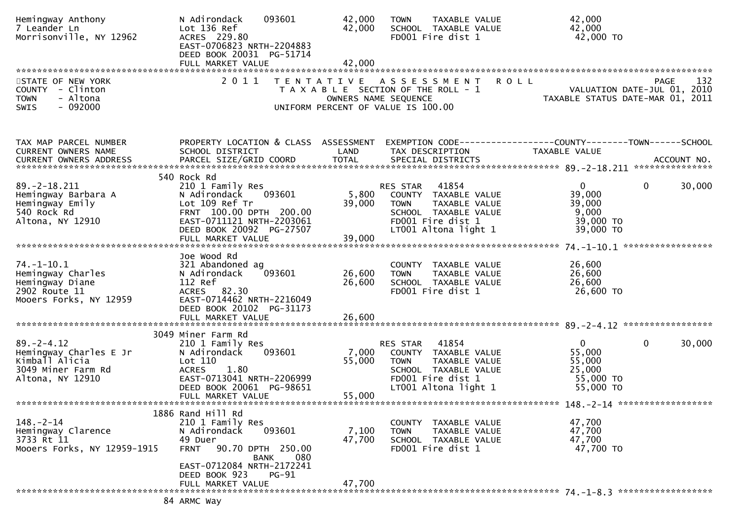| Hemingway Anthony<br>7 Leander Ln<br>Morrisonville, NY 12962                                           | 093601<br>N Adirondack<br>Lot 136 Ref<br>ACRES 229.80<br>EAST-0706823 NRTH-2204883<br>DEED BOOK 20031 PG-51714                                                                                                   | 42,000<br>42,000           | <b>TAXABLE VALUE</b><br><b>TOWN</b><br>SCHOOL TAXABLE VALUE<br>FD001 Fire dist 1                                                               | 42,000<br>42,000<br>42,000 TO                                                                   |
|--------------------------------------------------------------------------------------------------------|------------------------------------------------------------------------------------------------------------------------------------------------------------------------------------------------------------------|----------------------------|------------------------------------------------------------------------------------------------------------------------------------------------|-------------------------------------------------------------------------------------------------|
| STATE OF NEW YORK<br>COUNTY - Clinton<br>- Altona<br><b>TOWN</b><br>$-092000$<br>SWIS                  | 2011                                                                                                                                                                                                             |                            | TENTATIVE ASSESSMENT<br>T A X A B L E SECTION OF THE ROLL - 1<br>OWNERS NAME SEQUENCE<br>UNIFORM PERCENT OF VALUE IS 100.00                    | 132<br><b>ROLL</b><br>PAGE<br>VALUATION DATE-JUL 01, 2010<br>TAXABLE STATUS DATE-MAR 01, 2011   |
| TAX MAP PARCEL NUMBER<br>CURRENT OWNERS NAME                                                           | PROPERTY LOCATION & CLASS ASSESSMENT<br>SCHOOL DISTRICT                                                                                                                                                          | LAND                       | TAX DESCRIPTION                                                                                                                                | EXEMPTION CODE-----------------COUNTY-------TOWN------SCHOOL<br><b>TAXABLE VALUE</b>            |
| $89. -2 - 18.211$<br>Hemingway Barbara A<br>Hemingway Emily<br>540 Rock Rd<br>Altona, NY 12910         | 540 Rock Rd<br>210 1 Family Res<br>093601<br>N Adirondack<br>Lot 109 Ref Tr<br>FRNT 100.00 DPTH 200.00<br>EAST-0711121 NRTH-2203061<br>DEED BOOK 20092 PG-27507<br>FULL MARKET VALUE                             | 5,800<br>39,000<br>39,000  | RES STAR<br>41854<br>COUNTY TAXABLE VALUE<br><b>TOWN</b><br>TAXABLE VALUE<br>SCHOOL TAXABLE VALUE<br>FD001 Fire dist 1<br>LT001 Altona light 1 | 30,000<br>$\overline{0}$<br>$\mathbf{0}$<br>39,000<br>39,000<br>9,000<br>39,000 TO<br>39,000 TO |
| $74. - 1 - 10.1$<br>Hemingway Charles<br>Hemingway Diane<br>2902 Route 11<br>Mooers Forks, NY 12959    | Joe Wood Rd<br>321 Abandoned ag<br>093601<br>N Adirondack<br>112 Ref<br>ACRES 82.30<br>EAST-0714462 NRTH-2216049<br>DEED BOOK 20102 PG-31173<br>FULL MARKET VALUE                                                | 26,600<br>26,600<br>26,600 | COUNTY<br>TAXABLE VALUE<br>TAXABLE VALUE<br><b>TOWN</b><br>SCHOOL TAXABLE VALUE<br>FD001 Fire dist 1                                           | 26,600<br>26,600<br>26,600<br>26,600 TO                                                         |
| $89. - 2 - 4.12$<br>Hemingway Charles E Jr<br>Kimball Alicia<br>3049 Miner Farm Rd<br>Altona, NY 12910 | 3049 Miner Farm Rd<br>210 1 Family Res<br>N Adirondack<br>093601<br>Lot 110<br>1.80<br><b>ACRES</b><br>EAST-0713041 NRTH-2206999<br>DEED BOOK 20061 PG-98651<br>FULL MARKET VALUE                                | 7,000<br>55,000<br>55,000  | 41854<br>RES STAR<br>COUNTY TAXABLE VALUE<br>TAXABLE VALUE<br><b>TOWN</b><br>SCHOOL TAXABLE VALUE<br>FD001 Fire dist 1<br>LT001 Altona light 1 | $\Omega$<br>$\mathbf{0}$<br>30,000<br>55,000<br>55,000<br>25,000<br>55,000 TO<br>55,000 TO      |
| $148. - 2 - 14$<br>Hemingway Clarence<br>3733 Rt 11<br>Mooers Forks, NY 12959-1915                     | 1886 Rand Hill Rd<br>210 1 Family Res<br>N Adirondack<br>093601<br>49 Duer<br>90.70 DPTH 250.00<br><b>FRNT</b><br>080<br>BANK<br>EAST-0712084 NRTH-2172241<br>DEED BOOK 923<br><b>PG-91</b><br>FULL MARKET VALUE | 7,100<br>47,700<br>47,700  | COUNTY TAXABLE VALUE<br><b>TOWN</b><br>TAXABLE VALUE<br>SCHOOL TAXABLE VALUE<br>FD001 Fire dist 1                                              | 47,700<br>47,700<br>47,700<br>47,700 TO                                                         |
|                                                                                                        | 84 ARMC Way                                                                                                                                                                                                      |                            |                                                                                                                                                |                                                                                                 |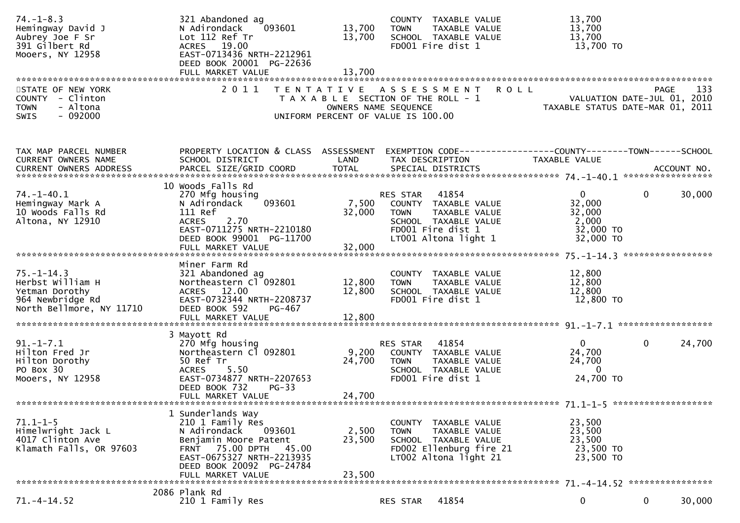| $74. - 1 - 8.3$<br>Hemingway David J<br>Aubrey Joe F Sr<br>391 Gilbert Rd<br>Mooers, NY 12958          | 321 Abandoned ag<br>093601<br>N Adirondack<br>Lot 112 Ref Tr<br>ACRES 19.00<br>EAST-0713436 NRTH-2212961<br>DEED BOOK 20001 PG-22636<br>FULL MARKET VALUE                                       | 13,700<br>13,700<br>13,700 | COUNTY TAXABLE VALUE<br>TAXABLE VALUE<br><b>TOWN</b><br>SCHOOL TAXABLE VALUE<br>FD001 Fire dist 1                                              | 13,700<br>13,700<br>13,700<br>13,700 TO                             |                                            |
|--------------------------------------------------------------------------------------------------------|-------------------------------------------------------------------------------------------------------------------------------------------------------------------------------------------------|----------------------------|------------------------------------------------------------------------------------------------------------------------------------------------|---------------------------------------------------------------------|--------------------------------------------|
| STATE OF NEW YORK<br>COUNTY - Clinton<br>- Altona<br><b>TOWN</b><br>SWIS<br>- 092000                   | 2011                                                                                                                                                                                            | OWNERS NAME SEQUENCE       | <b>ROLL</b><br>TENTATIVE ASSESSMENT<br>T A X A B L E SECTION OF THE ROLL - 1<br>UNIFORM PERCENT OF VALUE IS 100.00                             | TAXABLE STATUS DATE-MAR 01, 2011                                    | 133<br>PAGE<br>VALUATION DATE-JUL 01, 2010 |
| TAX MAP PARCEL NUMBER<br>CURRENT OWNERS NAME                                                           | PROPERTY LOCATION & CLASS ASSESSMENT<br>SCHOOL DISTRICT                                                                                                                                         | LAND                       | TAX DESCRIPTION                                                                                                                                | TAXABLE VALUE                                                       |                                            |
| $74. - 1 - 40.1$<br>Hemingway Mark A<br>10 Woods Falls Rd<br>Altona, NY 12910                          | 10 Woods Falls Rd<br>270 Mfg housing<br>093601<br>N Adirondack<br>111 Ref<br>2.70<br><b>ACRES</b><br>EAST-0711275 NRTH-2210180<br>DEED BOOK 99001 PG-11700<br>FULL MARKET VALUE                 | 7,500<br>32,000<br>32,000  | 41854<br>RES STAR<br>COUNTY TAXABLE VALUE<br>TAXABLE VALUE<br><b>TOWN</b><br>SCHOOL TAXABLE VALUE<br>FD001 Fire dist 1<br>LT001 Altona light 1 | $\mathbf{0}$<br>32,000<br>32,000<br>2,000<br>32,000 TO<br>32,000 TO | 30,000<br>0                                |
| $75. - 1 - 14.3$<br>Herbst William H<br>Yetman Dorothy<br>964 Newbridge Rd<br>North Bellmore, NY 11710 | Miner Farm Rd<br>321 Abandoned ag<br>Northeastern Cl 092801<br>ACRES 12.00<br>EAST-0732344 NRTH-2208737<br>DEED BOOK 592<br>PG-467<br>FULL MARKET VALUE                                         | 12,800<br>12,800<br>12,800 | COUNTY TAXABLE VALUE<br><b>TOWN</b><br>TAXABLE VALUE<br>SCHOOL TAXABLE VALUE<br>FD001 Fire dist 1                                              | 12,800<br>12,800<br>12,800<br>12,800 TO                             |                                            |
| $91. - 1 - 7.1$<br>Hilton Fred Jr<br>Hilton Dorothy<br>PO Box 30<br>Mooers, NY 12958                   | 3 Mayott Rd<br>270 Mfg housing<br>Northeastern Cl 092801<br>50 Ref Tr<br>5.50<br><b>ACRES</b><br>EAST-0734877 NRTH-2207653<br>DEED BOOK 732<br>$PG-33$<br>FULL MARKET VALUE                     | 9,200<br>24,700<br>24,700  | 41854<br>RES STAR<br>COUNTY TAXABLE VALUE<br><b>TOWN</b><br>TAXABLE VALUE<br>SCHOOL TAXABLE VALUE<br>FD001 Fire dist 1                         | 0<br>24,700<br>24,700<br>$\mathbf{0}$<br>24,700 TO                  | 24,700<br>0                                |
| $71.1 - 1 - 5$<br>Himelwright Jack L<br>4017 Clinton Ave<br>Klamath Falls, OR 97603                    | 1 Sunderlands Way<br>210 1 Family Res<br>N Adirondack<br>093601<br>Benjamin Moore Patent<br>FRNT 75.00 DPTH 45.00<br>EAST-0675327 NRTH-2213935<br>DEED BOOK 20092 PG-24784<br>FULL MARKET VALUE | 2,500<br>23,500<br>23,500  | COUNTY TAXABLE VALUE<br>TAXABLE VALUE<br><b>TOWN</b><br>SCHOOL TAXABLE VALUE<br>FD002 Ellenburg fire 21<br>LT002 Altona light 21               | 23,500<br>23,500<br>23,500<br>23,500 TO<br>23,500 TO                |                                            |
| $71. - 4 - 14.52$                                                                                      | 2086 Plank Rd<br>210 1 Family Res                                                                                                                                                               |                            | 41854<br>RES STAR                                                                                                                              | 0                                                                   | 0<br>30,000                                |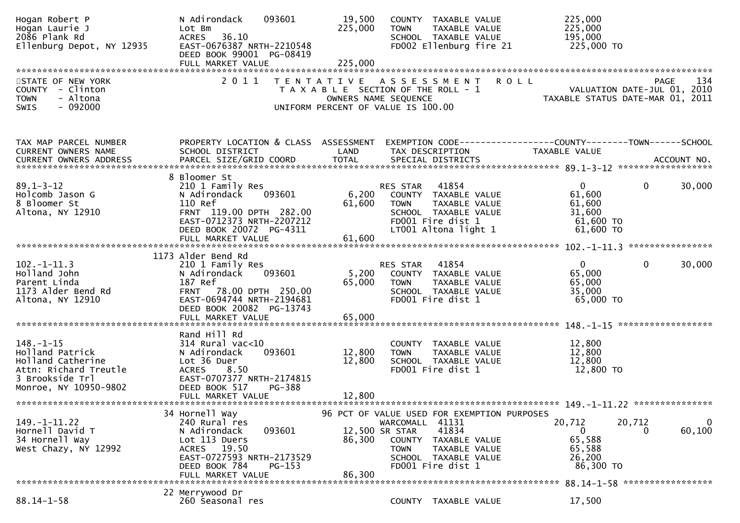| Hogan Robert P<br>Hogan Laurie J<br>2086 Plank Rd<br>Ellenburg Depot, NY 12935                                               | N Adirondack<br>093601<br>Lot Bm<br>36.10<br><b>ACRES</b><br>EAST-0676387 NRTH-2210548<br>DEED BOOK 99001 PG-08419                                                                  | 19,500<br>225,000         | COUNTY TAXABLE VALUE<br><b>TOWN</b><br>TAXABLE VALUE<br>SCHOOL TAXABLE VALUE<br>FD002 Ellenburg fire 21                                                                                                     | 225,000<br>225,000<br>195,000<br>225,000 TO                                                                                                                                    |
|------------------------------------------------------------------------------------------------------------------------------|-------------------------------------------------------------------------------------------------------------------------------------------------------------------------------------|---------------------------|-------------------------------------------------------------------------------------------------------------------------------------------------------------------------------------------------------------|--------------------------------------------------------------------------------------------------------------------------------------------------------------------------------|
| STATE OF NEW YORK<br>COUNTY - Clinton<br>- Altona<br><b>TOWN</b><br>$-092000$<br><b>SWIS</b>                                 | 2011                                                                                                                                                                                |                           | TENTATIVE ASSESSMENT ROLL<br>T A X A B L E SECTION OF THE ROLL - 1<br>OWNERS NAME SEQUENCE<br>UNIFORM PERCENT OF VALUE IS 100.00                                                                            | 134<br>PAGE<br>VALUATION DATE-JUL 01, 2010<br>TAXABLE STATUS DATE-MAR 01, 2011                                                                                                 |
| TAX MAP PARCEL NUMBER<br>CURRENT OWNERS NAME<br>CURRENT OWNERS ADDRESS                                                       | PROPERTY LOCATION & CLASS ASSESSMENT<br>SCHOOL DISTRICT                                                                                                                             | LAND                      | TAX DESCRIPTION                                                                                                                                                                                             | EXEMPTION CODE-----------------COUNTY-------TOWN------SCHOOL<br>TAXABLE VALUE<br>CURRENT OWNERS ADDRESS PARCEL SIZE/GRID COORD TOTAL SPECIAL DISTRICTS (2011) 1997 ACCOUNT NO. |
| $89.1 - 3 - 12$<br>Holcomb Jason G<br>8 Bloomer St<br>Altona, NY 12910                                                       | 8 Bloomer St<br>210 1 Family Res<br>093601<br>N Adirondack<br>110 Ref<br>FRNT 119.00 DPTH 282.00<br>EAST-0712373 NRTH-2207212<br>DEED BOOK 20072 PG-4311<br>FULL MARKET VALUE       | 61,600<br>61,600          | 41854<br>RES STAR<br>6,200 COUNTY TAXABLE VALUE<br>TAXABLE VALUE<br><b>TOWN</b><br>SCHOOL TAXABLE VALUE<br>FD001 Fire dist 1<br>LT001 Altona light 1                                                        | 30,000<br>$\mathbf{0}$<br>$\mathbf{0}$<br>61,600<br>61,600<br>31,600<br>61,600 TO<br>$61,600$ TO                                                                               |
|                                                                                                                              |                                                                                                                                                                                     |                           |                                                                                                                                                                                                             |                                                                                                                                                                                |
| $102. -1 - 11.3$<br>Holland John<br>Parent Linda<br>1173 Alder Bend Rd<br>Altona, NY 12910                                   | 1173 Alder Bend Rd<br>210 1 Family Res<br>N Adirondack<br>093601<br>187 Ref<br>FRNT 78.00 DPTH 250.00<br>EAST-0694744 NRTH-2194681<br>DEED BOOK 20082 PG-13743<br>FULL MARKET VALUE | 5,200<br>65,000<br>65,000 | 41854<br>RES STAR<br>COUNTY TAXABLE VALUE<br><b>TOWN</b><br>TAXABLE VALUE<br>SCHOOL TAXABLE VALUE<br>FD001 Fire dist 1                                                                                      | $\mathbf 0$<br>$\mathbf{0}$<br>30,000<br>65,000<br>65,000<br>35,000<br>65,000 TO                                                                                               |
|                                                                                                                              | Rand Hill Rd                                                                                                                                                                        |                           |                                                                                                                                                                                                             |                                                                                                                                                                                |
| $148. - 1 - 15$<br>Holland Patrick<br>Holland Catherine<br>Attn: Richard Treutle<br>3 Brookside Trl<br>Monroe, NY 10950-9802 | $314$ Rural vac< $10$<br>093601<br>N Adirondack<br>Lot 36 Duer<br>8.50<br><b>ACRES</b><br>EAST-0707377 NRTH-2174815<br>DEED BOOK 517<br>PG-388                                      | 12,800<br>12,800          | COUNTY TAXABLE VALUE<br><b>TOWN</b><br>TAXABLE VALUE<br>SCHOOL TAXABLE VALUE<br>FD001 Fire dist 1                                                                                                           | 12,800<br>12,800<br>12,800<br>12,800 TO                                                                                                                                        |
|                                                                                                                              | FULL MARKET VALUE                                                                                                                                                                   | 12,800                    |                                                                                                                                                                                                             |                                                                                                                                                                                |
| 149. - 1 - 11. 22<br>Hornell David T<br>34 Hornell Way<br>West Chazy, NY 12992                                               | 34 Hornell Way<br>240 Rural res<br>093601<br>N Adirondack<br>Lot 113 Duers<br>19.50<br><b>ACRES</b><br>EAST-0727593 NRTH-2173529<br>DEED BOOK 784<br>$PG-153$<br>FULL MARKET VALUE  | 86,300<br>86,300          | 96 PCT OF VALUE USED FOR EXEMPTION PURPOSES<br>41131<br>WARCOMALL<br>12,500 SR STAR<br>41834<br><b>COUNTY</b><br>TAXABLE VALUE<br>TAXABLE VALUE<br><b>TOWN</b><br>SCHOOL TAXABLE VALUE<br>FD001 Fire dist 1 | 20,712<br>20,712<br>60,100<br>0<br>65,588<br>65,588<br>26,200<br>86,300 TO<br>88.14-1-58 ******************                                                                    |
|                                                                                                                              | 22 Merrywood Dr                                                                                                                                                                     |                           |                                                                                                                                                                                                             |                                                                                                                                                                                |
| $88.14 - 1 - 58$                                                                                                             | 260 Seasonal res                                                                                                                                                                    |                           | COUNTY TAXABLE VALUE                                                                                                                                                                                        | 17,500                                                                                                                                                                         |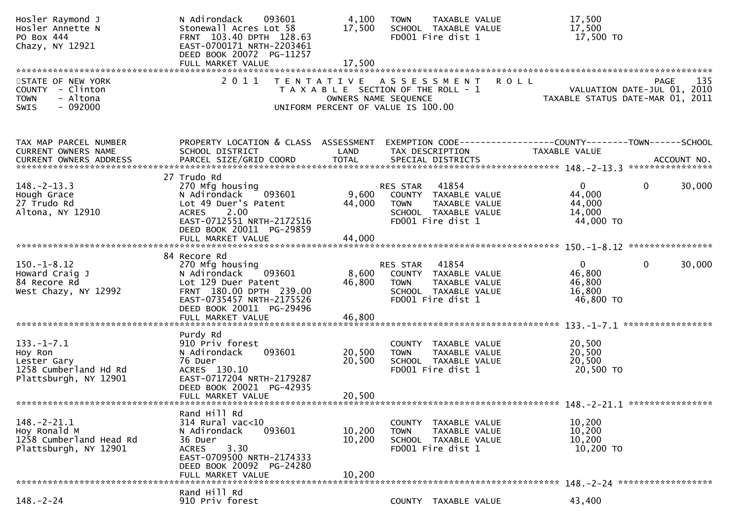| Hosler Raymond J<br>Hosler Annette N<br>PO Box 444<br>Chazy, NY 12921                        | N Adirondack<br>093601<br>Stonewall Acres Lot 58<br>FRNT 103.40 DPTH 128.63<br>EAST-0700171 NRTH-2203461<br>DEED BOOK 20072 PG-11257                                             | 4,100<br>17,500                                                                                                          | <b>TOWN</b>             | TAXABLE VALUE<br>SCHOOL TAXABLE VALUE<br>FD001 Fire dist 1                                  |                                                              | 17,500<br>17,500<br>17,500 TO                           |                                     |        |
|----------------------------------------------------------------------------------------------|----------------------------------------------------------------------------------------------------------------------------------------------------------------------------------|--------------------------------------------------------------------------------------------------------------------------|-------------------------|---------------------------------------------------------------------------------------------|--------------------------------------------------------------|---------------------------------------------------------|-------------------------------------|--------|
|                                                                                              |                                                                                                                                                                                  |                                                                                                                          |                         |                                                                                             |                                                              |                                                         |                                     |        |
| STATE OF NEW YORK<br>COUNTY - Clinton<br>- Altona<br><b>TOWN</b><br>$-092000$<br>SWIS        | 2011                                                                                                                                                                             | T E N T A T I V E<br>T A X A B L E SECTION OF THE ROLL - 1<br>OWNERS NAME SEQUENCE<br>UNIFORM PERCENT OF VALUE IS 100.00 |                         | A S S E S S M E N T                                                                         | <b>ROLL</b>                                                  | TAXABLE STATUS DATE-MAR 01, 2011                        | PAGE<br>VALUATION DATE-JUL 01, 2010 | 135    |
| TAX MAP PARCEL NUMBER<br>CURRENT OWNERS NAME<br><b>CURRENT OWNERS ADDRESS</b>                | PROPERTY LOCATION & CLASS ASSESSMENT<br>SCHOOL DISTRICT                                                                                                                          | LAND                                                                                                                     |                         | TAX DESCRIPTION                                                                             | EXEMPTION CODE-----------------COUNTY-------TOWN------SCHOOL | TAXABLE VALUE                                           |                                     |        |
| $148. - 2 - 13.3$<br>Hough Grace<br>27 Trudo Rd<br>Altona, NY 12910                          | 27 Trudo Rd<br>270 Mfg housing<br>093601<br>N Adirondack<br>Lot 49 Duer's Patent<br><b>ACRES</b><br>2.00<br>EAST-0712551 NRTH-2172516<br>DEED BOOK 20011 PG-29859                | 9,600<br>44,000<br>44,000                                                                                                | RES STAR<br><b>TOWN</b> | 41854<br>COUNTY TAXABLE VALUE<br>TAXABLE VALUE<br>SCHOOL TAXABLE VALUE<br>FD001 Fire dist 1 |                                                              | $\mathbf{0}$<br>44,000<br>44,000<br>14,000<br>44,000 TO | $\Omega$                            | 30,000 |
|                                                                                              | FULL MARKET VALUE                                                                                                                                                                |                                                                                                                          |                         |                                                                                             |                                                              |                                                         |                                     |        |
| $150. - 1 - 8.12$<br>Howard Craig J<br>84 Recore Rd<br>West Chazy, NY 12992                  | 84 Recore Rd<br>270 Mfg housing<br>093601<br>N Adirondack<br>Lot 129 Duer Patent<br>FRNT 180.00 DPTH 239.00<br>EAST-0735457 NRTH-2175526<br>DEED BOOK 20011 PG-29496             | 8,600<br>46,800                                                                                                          | RES STAR<br><b>TOWN</b> | 41854<br>COUNTY TAXABLE VALUE<br>TAXABLE VALUE<br>SCHOOL TAXABLE VALUE<br>FD001 Fire dist 1 |                                                              | $\Omega$<br>46,800<br>46,800<br>16,800<br>46,800 TO     | $\Omega$                            | 30,000 |
|                                                                                              | FULL MARKET VALUE                                                                                                                                                                | 46,800                                                                                                                   |                         |                                                                                             |                                                              |                                                         |                                     |        |
| $133. - 1 - 7.1$<br>Hoy Ron<br>Lester Gary<br>1258 Cumberland Hd Rd<br>Plattsburgh, NY 12901 | Purdy Rd<br>910 Priv forest<br>093601<br>N Adirondack<br>76 Duer<br>ACRES 130.10<br>EAST-0717204 NRTH-2179287<br>DEED BOOK 20021 PG-42935<br>FULL MARKET VALUE                   | 20,500<br>20,500<br>20,500                                                                                               | COUNTY<br><b>TOWN</b>   | TAXABLE VALUE<br>TAXABLE VALUE<br>SCHOOL TAXABLE VALUE<br>FD001 Fire dist 1                 |                                                              | 20,500<br>20,500<br>20,500<br>20,500 TO                 |                                     |        |
|                                                                                              |                                                                                                                                                                                  |                                                                                                                          |                         |                                                                                             |                                                              |                                                         |                                     |        |
| $148.-2-21.1$<br>Hoy Ronald M<br>1258 Cumberland Head Rd<br>Plattsburgh, NY 12901            | Rand Hill Rd<br>$314$ Rural vac< $10$<br>093601<br>N Adirondack<br>36 Duer<br>3.30<br><b>ACRES</b><br>EAST-0709500 NRTH-2174333<br>DEED BOOK 20092 PG-24280<br>FULL MARKET VALUE | 10,200<br>10,200<br>10,200                                                                                               | <b>TOWN</b>             | COUNTY TAXABLE VALUE<br>TAXABLE VALUE<br>SCHOOL TAXABLE VALUE<br>FD001 Fire dist 1          |                                                              | 10,200<br>10,200<br>10,200<br>10,200 TO                 |                                     |        |
|                                                                                              | Rand Hill Rd                                                                                                                                                                     |                                                                                                                          |                         |                                                                                             |                                                              |                                                         |                                     |        |
| $148. - 2 - 24$                                                                              | 910 Priv forest                                                                                                                                                                  |                                                                                                                          |                         | COUNTY TAXABLE VALUE                                                                        |                                                              | 43,400                                                  |                                     |        |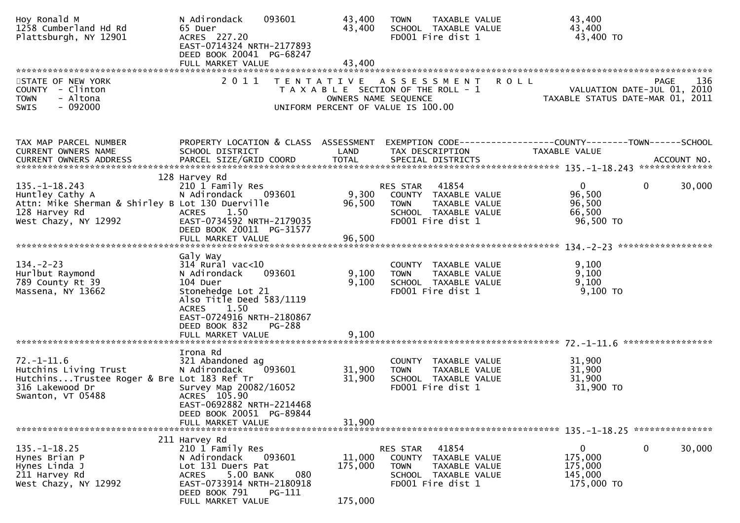| Hoy Ronald M<br>1258 Cumberland Hd Rd<br>Plattsburgh, NY 12901                                                                  | N Adirondack<br>093601<br>65 Duer<br>ACRES 227.20<br>EAST-0714324 NRTH-2177893<br>DEED BOOK 20041 PG-68247                                                                                                                        | 43,400<br>43,400                                                                                    | <b>TOWN</b><br>SCHOOL TAXABLE VALUE<br>FD001 Fire dist 1                                           | TAXABLE VALUE                                                |             | 43,400<br>43,400<br>43,400 TO                                                 |                        |
|---------------------------------------------------------------------------------------------------------------------------------|-----------------------------------------------------------------------------------------------------------------------------------------------------------------------------------------------------------------------------------|-----------------------------------------------------------------------------------------------------|----------------------------------------------------------------------------------------------------|--------------------------------------------------------------|-------------|-------------------------------------------------------------------------------|------------------------|
| STATE OF NEW YORK<br>COUNTY - Clinton<br>- Altona<br><b>TOWN</b><br>SWIS<br>- 092000                                            | 2011                                                                                                                                                                                                                              | TENTATIVE ASSESSMENT<br>T A X A B L E SECTION OF THE ROLL - 1<br>UNIFORM PERCENT OF VALUE IS 100.00 | OWNERS NAME SEQUENCE                                                                               |                                                              | <b>ROLL</b> | VALUATION DATE-JUL 01, 2010<br>TAXABLE STATUS DATE-MAR 01, 2011               | 136<br>PAGE            |
| TAX MAP PARCEL NUMBER<br>CURRENT OWNERS NAME                                                                                    | PROPERTY LOCATION & CLASS ASSESSMENT<br>SCHOOL DISTRICT                                                                                                                                                                           | LAND                                                                                                | TAX DESCRIPTION                                                                                    |                                                              |             | EXEMPTION CODE-----------------COUNTY-------TOWN------SCHOOL<br>TAXABLE VALUE |                        |
| 135. –1–18.243<br>Huntley Cathy A<br>Attn: Mike Sherman & Shirley B Lot 130 Duerville<br>128 Harvey Rd<br>West Chazy, NY 12992  | 128 Harvey Rd<br>210 1 Family Res<br>N Adirondack 093601<br>1.50<br><b>ACRES</b><br>EAST-0734592 NRTH-2179035<br>DEED BOOK 20011 PG-31577                                                                                         | 9,300<br>96,500                                                                                     | RES STAR 41854<br>COUNTY TAXABLE VALUE<br><b>TOWN</b><br>SCHOOL TAXABLE VALUE<br>FD001 Fire dist 1 | TAXABLE VALUE                                                |             | $\mathbf{0}$<br>96,500<br>96,500<br>66,500<br>96,500 TO                       | 30,000<br>$\mathbf{0}$ |
|                                                                                                                                 | FULL MARKET VALUE                                                                                                                                                                                                                 | 96,500                                                                                              |                                                                                                    |                                                              |             |                                                                               |                        |
| $134. - 2 - 23$<br>Hurlbut Raymond<br>789 County Rt 39<br>Massena, NY 13662                                                     | Galy Way<br>$314$ Rural vac<10<br>093601<br>N Adirondack<br>104 Duer<br>Stonehedge Lot 21<br>Also Title Deed 583/1119<br>1.50<br><b>ACRES</b><br>EAST-0724916 NRTH-2180867<br>DEED BOOK 832<br><b>PG-288</b><br>FULL MARKET VALUE | 9,100<br>9,100<br>9,100                                                                             | COUNTY TAXABLE VALUE<br><b>TOWN</b><br>SCHOOL TAXABLE VALUE<br>FD001 Fire dist 1                   | TAXABLE VALUE                                                |             | 9,100<br>9,100<br>9,100<br>$9,100$ TO                                         | *****************      |
| $72. - 1 - 11.6$<br>Hutchins Living Trust<br>HutchinsTrustee Roger & Bre Lot 183 Ref Tr<br>316 Lakewood Dr<br>Swanton, VT 05488 | Irona Rd<br>321 Abandoned ag<br>093601<br>N Adirondack<br>Survey Map 20082/16052<br>ACRES 105.90<br>EAST-0692882 NRTH-2214468<br>DEED BOOK 20051 PG-89844<br>FULL MARKET VALUE                                                    | 31,900<br>31,900<br>31,900                                                                          | COUNTY TAXABLE VALUE<br><b>TOWN</b><br>SCHOOL TAXABLE VALUE<br>FD001 Fire dist 1                   | TAXABLE VALUE                                                |             | 31,900<br>31,900<br>31,900<br>31,900 TO                                       |                        |
| $135. - 1 - 18.25$<br>Hynes Brian P<br>Hynes Linda J<br>211 Harvey Rd<br>West Chazy, NY 12992                                   | 211 Harvey Rd<br>210 1 Family Res<br>093601<br>N Adirondack<br>Lot 131 Duers Pat<br>080<br>5.00 BANK<br><b>ACRES</b><br>EAST-0733914 NRTH-2180918<br>DEED BOOK 791<br>PG-111<br>FULL MARKET VALUE                                 | 11,000<br>175,000<br>175,000                                                                        | RES STAR<br>COUNTY<br><b>TOWN</b><br>SCHOOL TAXABLE VALUE                                          | 41854<br>TAXABLE VALUE<br>TAXABLE VALUE<br>FD001 Fire dist 1 |             | 0<br>175,000<br>175,000<br>145,000<br>175,000 TO                              | 0<br>30,000            |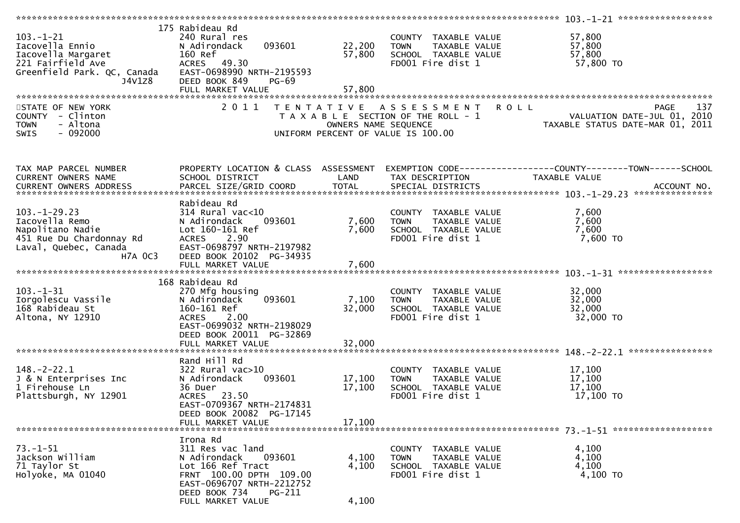|                                                                                                                                |                                                                                                                                                                                      |                                           |                                                                                                    | 103. -1-21 *******************                                                                           |
|--------------------------------------------------------------------------------------------------------------------------------|--------------------------------------------------------------------------------------------------------------------------------------------------------------------------------------|-------------------------------------------|----------------------------------------------------------------------------------------------------|----------------------------------------------------------------------------------------------------------|
| $103. -1 - 21$<br>Iacovella Ennio<br>Iacovella Margaret<br>221 Fairfield Ave<br>Greenfield Park. QC, Canada<br>J4V1Z8          | 175 Rabideau Rd<br>240 Rural res<br>093601<br>N Adirondack<br>160 Ref<br>ACRES 49.30<br>EAST-0698990 NRTH-2195593<br>DEED BOOK 849<br>PG-69<br>FULL MARKET VALUE                     | 22,200<br>57,800<br>57,800                | COUNTY TAXABLE VALUE<br>TAXABLE VALUE<br><b>TOWN</b><br>SCHOOL TAXABLE VALUE<br>FD001 Fire dist 1  | 57,800<br>57,800<br>57,800<br>57,800 TO                                                                  |
|                                                                                                                                |                                                                                                                                                                                      |                                           |                                                                                                    |                                                                                                          |
| STATE OF NEW YORK<br>COUNTY - Clinton<br>- Altona<br><b>TOWN</b><br>$-092000$<br><b>SWIS</b>                                   | 2 0 1 1                                                                                                                                                                              | T E N T A T I V E<br>OWNERS NAME SEQUENCE | A S S E S S M E N T<br>T A X A B L E SECTION OF THE ROLL - 1<br>UNIFORM PERCENT OF VALUE IS 100.00 | <b>ROLL</b><br>137<br><b>PAGE</b><br>VALUATION DATE-JUL 01, 2010<br>TAXABLE STATUS DATE-MAR 01,<br>-2011 |
| TAX MAP PARCEL NUMBER<br>CURRENT OWNERS NAME                                                                                   | PROPERTY LOCATION & CLASS ASSESSMENT<br>SCHOOL DISTRICT                                                                                                                              | LAND                                      | TAX DESCRIPTION                                                                                    | TAXABLE VALUE                                                                                            |
| $103. -1 - 29.23$<br>Iacovella Remo<br>Napolitano Nadie<br>451 Rue Du Chardonnay Rd<br>Laval, Quebec, Canada<br><b>H7A OC3</b> | Rabideau Rd<br>$314$ Rural vac<10<br>N Adirondack<br>093601<br>Lot 160-161 Ref<br>2.90<br><b>ACRES</b><br>EAST-0698797 NRTH-2197982<br>DEED BOOK 20102 PG-34935<br>FULL MARKET VALUE | 7,600<br>7,600<br>7,600                   | COUNTY TAXABLE VALUE<br>TAXABLE VALUE<br><b>TOWN</b><br>SCHOOL TAXABLE VALUE<br>FD001 Fire dist 1  | 7,600<br>7,600<br>7,600<br>7,600 TO                                                                      |
|                                                                                                                                |                                                                                                                                                                                      |                                           |                                                                                                    |                                                                                                          |
| $103. - 1 - 31$<br>Iorgolescu Vassile<br>168 Rabideau St<br>Altona, NY 12910                                                   | 168 Rabideau Rd<br>270 Mfg housing<br>093601<br>N Adirondack<br>160-161 Ref<br>2.00<br><b>ACRES</b><br>EAST-0699032 NRTH-2198029<br>DEED BOOK 20011 PG-32869                         | 7,100<br>32,000                           | COUNTY TAXABLE VALUE<br><b>TOWN</b><br>TAXABLE VALUE<br>SCHOOL TAXABLE VALUE<br>FD001 Fire dist 1  | 32,000<br>32,000<br>32,000<br>32,000 TO                                                                  |
|                                                                                                                                | FULL MARKET VALUE                                                                                                                                                                    | 32,000                                    |                                                                                                    |                                                                                                          |
| $148. - 2 - 22.1$<br>J & N Enterprises Inc<br>1 Firehouse Ln<br>Plattsburgh, NY 12901                                          | Rand Hill Rd<br>$322$ Rural vac $>10$<br>N Adirondack<br>093601<br>36 Duer<br>ACRES 23.50<br>EAST-0709367 NRTH-2174831                                                               | 17,100<br>17,100                          | COUNTY TAXABLE VALUE<br>TAXABLE VALUE<br><b>TOWN</b><br>SCHOOL TAXABLE VALUE<br>FD001 Fire dist 1  | 17,100<br>17,100<br>17,100<br>17,100 TO                                                                  |
|                                                                                                                                | DEED BOOK 20082 PG-17145<br>FULL MARKET VALUE                                                                                                                                        | 17,100                                    |                                                                                                    |                                                                                                          |
|                                                                                                                                |                                                                                                                                                                                      |                                           |                                                                                                    |                                                                                                          |
| $73. - 1 - 51$<br>Jackson William<br>71 Taylor St<br>Holyoke, MA 01040                                                         | Irona Rd<br>311 Res vac land<br>N Adirondack<br>093601<br>Lot 166 Ref Tract<br>FRNT 100.00 DPTH 109.00<br>EAST-0696707 NRTH-2212752<br>DEED BOOK 734<br>PG-211<br>FULL MARKET VALUE  | 4,100<br>4,100<br>4,100                   | COUNTY TAXABLE VALUE<br>TAXABLE VALUE<br><b>TOWN</b><br>SCHOOL TAXABLE VALUE<br>FD001 Fire dist 1  | 4,100<br>4,100<br>4,100<br>4,100 TO                                                                      |
|                                                                                                                                |                                                                                                                                                                                      |                                           |                                                                                                    |                                                                                                          |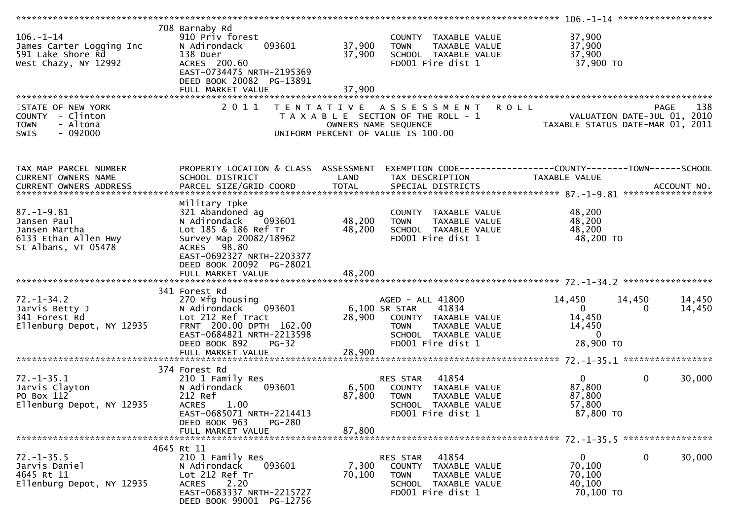| $106. - 1 - 14$<br>James Carter Logging Inc<br>591 Lake Shore Rd<br>West Chazy, NY 12992        | 708 Barnaby Rd<br>910 Priv forest<br>N Adirondack<br>093601<br>138 Duer<br>ACRES 200.60<br>EAST-0734475 NRTH-2195369<br>DEED BOOK 20082 PG-13891<br>FULL MARKET VALUE                    | 37,900<br>37,900<br>37,900 | COUNTY TAXABLE VALUE<br><b>TOWN</b><br>TAXABLE VALUE<br>SCHOOL TAXABLE VALUE<br>FD001 Fire dist 1                                               | 37,900<br>37,900<br>37,900<br>37,900 TO                                                       |                    |
|-------------------------------------------------------------------------------------------------|------------------------------------------------------------------------------------------------------------------------------------------------------------------------------------------|----------------------------|-------------------------------------------------------------------------------------------------------------------------------------------------|-----------------------------------------------------------------------------------------------|--------------------|
| STATE OF NEW YORK<br>COUNTY - Clinton<br>- Altona<br><b>TOWN</b><br>$-092000$<br><b>SWIS</b>    | 2 0 1 1                                                                                                                                                                                  | T E N T A T I V E          | A S S E S S M E N T<br>T A X A B L E SECTION OF THE ROLL - 1<br>OWNERS NAME SEQUENCE<br>UNIFORM PERCENT OF VALUE IS 100.00                      | <b>ROLL</b><br>VALUATION DATE-JUL 01, 2010<br>TAXABLE STATUS DATE-MAR 01, 2011                | 138<br><b>PAGE</b> |
| TAX MAP PARCEL NUMBER<br>CURRENT OWNERS NAME<br>CURRENT OWNERS ADDRESS                          | PROPERTY LOCATION & CLASS ASSESSMENT<br>SCHOOL DISTRICT                                                                                                                                  | LAND                       | TAX DESCRIPTION                                                                                                                                 | TAXABLE VALUE                                                                                 |                    |
| $87. - 1 - 9.81$<br>Jansen Paul<br>Jansen Martha<br>6133 Ethan Allen Hwy<br>St Albans, VT 05478 | Military Tpke<br>321 Abandoned ag<br>093601<br>N Adirondack<br>Lot 185 & 186 Ref Tr<br>Survey Map 20082/18962<br>ACRES 98.80<br>EAST-0692327 NRTH-2203377<br>DEED BOOK 20092 PG-28021    | 48,200<br>48,200           | COUNTY TAXABLE VALUE<br><b>TOWN</b><br>TAXABLE VALUE<br>SCHOOL TAXABLE VALUE<br>FD001 Fire dist 1                                               | 48,200<br>48,200<br>48,200<br>48,200 TO                                                       |                    |
|                                                                                                 |                                                                                                                                                                                          |                            |                                                                                                                                                 |                                                                                               |                    |
| $72. - 1 - 34.2$<br>Jarvis Betty J<br>341 Forest Rd<br>Ellenburg Depot, NY 12935                | 341 Forest Rd<br>270 Mfg housing<br>N Adirondack<br>093601<br>Lot 212 Ref Tract<br>FRNT 200.00 DPTH 162.00<br>EAST-0684821 NRTH-2213598<br>DEED BOOK 892<br>$PG-32$<br>FULL MARKET VALUE | 28,900<br>28,900           | AGED - ALL 41800<br>6,100 SR STAR<br>41834<br>COUNTY TAXABLE VALUE<br><b>TOWN</b><br>TAXABLE VALUE<br>SCHOOL TAXABLE VALUE<br>FD001 Fire dist 1 | 14,450<br>14,450<br>$\mathbf{0}$<br>$\Omega$<br>14,450<br>14,450<br>$\mathbf{0}$<br>28,900 TO | 14,450<br>14,450   |
|                                                                                                 |                                                                                                                                                                                          |                            |                                                                                                                                                 |                                                                                               |                    |
| $72. - 1 - 35.1$<br>Jarvis Clayton<br>PO Box 112<br>Ellenburg Depot, NY 12935                   | 374 Forest Rd<br>210 1 Family Res<br>N Adirondack<br>093601<br>212 Ref<br>1.00<br><b>ACRES</b><br>EAST-0685071 NRTH-2214413<br>DEED BOOK 963<br>PG-280                                   | 6,500<br>87,800            | RES STAR<br>41854<br>COUNTY TAXABLE VALUE<br><b>TOWN</b><br>TAXABLE VALUE<br>SCHOOL TAXABLE VALUE<br>FD001 Fire dist 1                          | $\Omega$<br>$\mathbf{0}$<br>87,800<br>87,800<br>57,800<br>87,800 TO                           | 30,000             |
|                                                                                                 | FULL MARKET VALUE                                                                                                                                                                        | 87,800                     |                                                                                                                                                 |                                                                                               |                    |
|                                                                                                 | 4645 Rt 11                                                                                                                                                                               |                            |                                                                                                                                                 |                                                                                               |                    |
| $72. - 1 - 35.5$<br>Jarvis Daniel<br>4645 Rt 11<br>Ellenburg Depot, NY 12935                    | 210 1 Family Res<br>N Adirondack<br>093601<br>Lot 212 Ref Tr<br>2.20<br><b>ACRES</b><br>EAST-0683337 NRTH-2215727<br>DEED BOOK 99001 PG-12756                                            | 7,300<br>70,100            | RES STAR<br>41854<br>COUNTY TAXABLE VALUE<br><b>TOWN</b><br>TAXABLE VALUE<br>SCHOOL TAXABLE VALUE<br>FD001 Fire dist 1                          | 0<br>$\bf{0}$<br>70,100<br>70,100<br>40,100<br>70,100 TO                                      | 30,000             |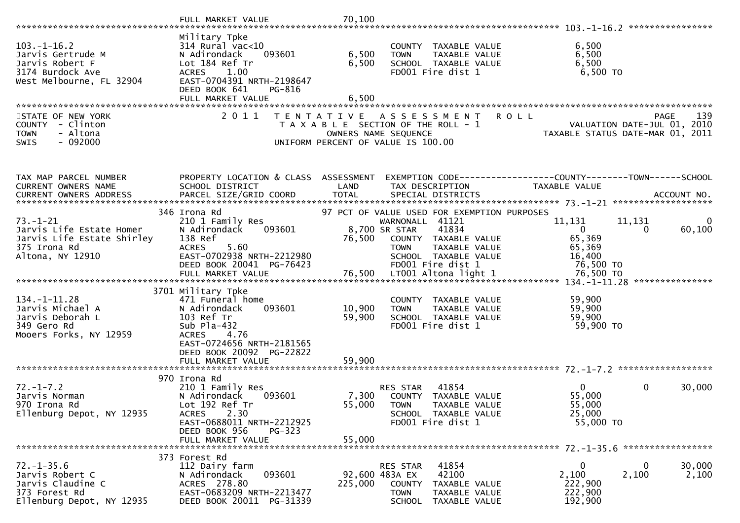|                                                                                                                                                                                                                                                |                                                                                                                                                                                      |                         |                                                                                                                                                                                               |                                                                   | ****************                                                |
|------------------------------------------------------------------------------------------------------------------------------------------------------------------------------------------------------------------------------------------------|--------------------------------------------------------------------------------------------------------------------------------------------------------------------------------------|-------------------------|-----------------------------------------------------------------------------------------------------------------------------------------------------------------------------------------------|-------------------------------------------------------------------|-----------------------------------------------------------------|
| $103 - 1 - 16.2$<br>Jarvis Gertrude M<br>Jarvis Robert F<br>3174 Burdock Ave<br>West Melbourne, FL 32904                                                                                                                                       | Military Tpke<br>$314$ Rural vac<10<br>093601<br>N Adirondack<br>Lot 184 Ref Tr<br>1.00<br><b>ACRES</b><br>EAST-0704391 NRTH-2198647<br>DEED BOOK 641<br>PG-816<br>FULL MARKET VALUE | 6,500<br>6,500<br>6,500 | COUNTY TAXABLE VALUE<br>TAXABLE VALUE<br><b>TOWN</b><br>SCHOOL TAXABLE VALUE<br>FD001 Fire dist 1                                                                                             | 6,500<br>6,500<br>6,500<br>$6,500$ TO                             |                                                                 |
| STATE OF NEW YORK                                                                                                                                                                                                                              | 2 0 1 1                                                                                                                                                                              | T E N T A T I V E       | A S S E S S M E N T                                                                                                                                                                           | <b>ROLL</b>                                                       | 139<br><b>PAGE</b>                                              |
| COUNTY - Clinton<br><b>TOWN</b><br>- Altona<br>$-092000$<br><b>SWIS</b>                                                                                                                                                                        |                                                                                                                                                                                      | OWNERS NAME SEQUENCE    | T A X A B L E SECTION OF THE ROLL - 1<br>UNIFORM PERCENT OF VALUE IS 100.00                                                                                                                   |                                                                   | VALUATION DATE-JUL 01, 2010<br>TAXABLE STATUS DATE-MAR 01, 2011 |
| TAX MAP PARCEL NUMBER                                                                                                                                                                                                                          | PROPERTY LOCATION & CLASS ASSESSMENT                                                                                                                                                 |                         | EXEMPTION CODE------------------COUNTY--------TOWN------SCHOOL                                                                                                                                |                                                                   |                                                                 |
| CURRENT OWNERS NAME                                                                                                                                                                                                                            | SCHOOL DISTRICT                                                                                                                                                                      | LAND                    | TAX DESCRIPTION                                                                                                                                                                               | TAXABLE VALUE                                                     |                                                                 |
|                                                                                                                                                                                                                                                |                                                                                                                                                                                      |                         |                                                                                                                                                                                               |                                                                   |                                                                 |
| $73. - 1 - 21$<br>Jarvis Life Estate Homer<br>Jarvis Life Estate Shirley<br>375 Irona Rd<br>Altona, NY 12910<br>ے ہے کہ بارے کے بارے کے بارے کے بارے کہ اس FULL MARKET VALUE<br>FULL MARKET VALUE 76,500 LT001 A1tona 1ight 1 76,500 76,500 TO | 346 Irona Rd<br>210 1 Family Res<br>N Adirondack<br>093601<br>138 Ref<br>5.60<br><b>ACRES</b><br>EAST-0702938 NRTH-2212980<br>DEED BOOK 20041 PG-76423                               | 76,500                  | 97 PCT OF VALUE USED FOR EXEMPTION PURPOSES<br>WARNONALL 41121<br>41834<br>8,700 SR STAR<br>COUNTY TAXABLE VALUE<br>TAXABLE VALUE<br><b>TOWN</b><br>SCHOOL TAXABLE VALUE<br>FD001 Fire dist 1 | 11,131<br>$\mathbf{0}$<br>65,369<br>65,369<br>16,400<br>76,500 TO | 11,131<br>$\Omega$<br>60,100<br>$\Omega$                        |
|                                                                                                                                                                                                                                                | 3701 Military Tpke                                                                                                                                                                   |                         |                                                                                                                                                                                               |                                                                   |                                                                 |
| $134. - 1 - 11.28$<br>Jarvis Michael A<br>Jarvis Deborah L<br>349 Gero Rd<br>Mooers Forks, NY 12959                                                                                                                                            | 471 Funeral home<br>N Adirondack<br>093601<br>103 Ref Tr<br>Sub $Pla-432$<br><b>ACRES</b><br>4.76<br>EAST-0724656 NRTH-2181565<br>DEED BOOK 20092 PG-22822                           | 10,900<br>59,900        | COUNTY TAXABLE VALUE<br>TAXABLE VALUE<br><b>TOWN</b><br>SCHOOL TAXABLE VALUE<br>FD001 Fire dist 1                                                                                             | 59,900<br>59,900<br>59,900<br>59,900 TO                           |                                                                 |
|                                                                                                                                                                                                                                                |                                                                                                                                                                                      |                         |                                                                                                                                                                                               |                                                                   |                                                                 |
| $72. - 1 - 7.2$<br>Jarvis Norman<br>970 Irona Rd<br>Ellenburg Depot, NY 12935                                                                                                                                                                  | 970 Irona Rd<br>210 1 Family Res<br>N Adirondack<br>093601<br>Lot 192 Ref Tr<br>2.30<br><b>ACRES</b><br>EAST-0688011 NRTH-2212925<br>DEED BOOK 956<br>$PG-323$                       | 7,300<br>55,000         | 41854<br>RES STAR<br>COUNTY TAXABLE VALUE<br><b>TOWN</b><br>TAXABLE VALUE<br>SCHOOL TAXABLE VALUE<br>FD001 Fire dist 1                                                                        | $\mathbf{0}$<br>55,000<br>55,000<br>25,000<br>55,000 TO           | 0<br>30,000                                                     |
|                                                                                                                                                                                                                                                | FULL MARKET VALUE                                                                                                                                                                    | 55,000                  |                                                                                                                                                                                               |                                                                   |                                                                 |
| $72. - 1 - 35.6$<br>Jarvis Robert C<br>Jarvis Claudine C<br>373 Forest Rd<br>Ellenburg Depot, NY 12935                                                                                                                                         | 373 Forest Rd<br>112 Dairy farm<br>093601<br>N Adirondack<br>ACRES 278.80<br>EAST-0683209 NRTH-2213477<br>DEED BOOK 20011 PG-31339                                                   | 225,000                 | 41854<br>RES STAR<br>42100<br>92,600 483A EX<br>COUNTY<br>TAXABLE VALUE<br><b>TOWN</b><br>TAXABLE VALUE<br><b>SCHOOL</b><br>TAXABLE VALUE                                                     | 0<br>2,100<br>222,900<br>222,900<br>192,900                       | 30,000<br>0<br>2,100<br>2,100                                   |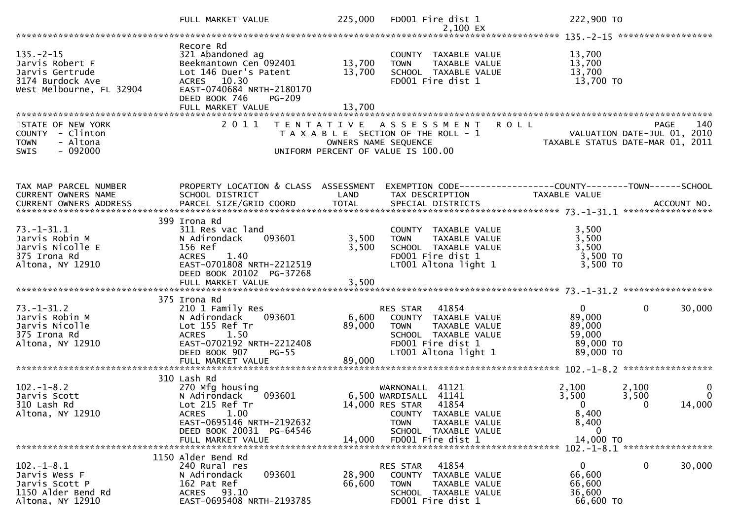|                                                                                                       | FULL MARKET VALUE                                                                                                                                                                   | 225,000                    | FD001 Fire dist 1<br>2,100 EX                                                                                                                                                | 222,900 TO                                                                                                                             |                                |
|-------------------------------------------------------------------------------------------------------|-------------------------------------------------------------------------------------------------------------------------------------------------------------------------------------|----------------------------|------------------------------------------------------------------------------------------------------------------------------------------------------------------------------|----------------------------------------------------------------------------------------------------------------------------------------|--------------------------------|
|                                                                                                       |                                                                                                                                                                                     |                            |                                                                                                                                                                              |                                                                                                                                        |                                |
| $135. - 2 - 15$<br>Jarvis Robert F<br>Jarvis Gertrude<br>3174 Burdock Ave<br>West Melbourne, FL 32904 | Recore Rd<br>321 Abandoned ag<br>Beekmantown Cen 092401<br>Lot 146 Duer's Patent<br>ACRES 10.30<br>EAST-0740684 NRTH-2180170<br>DEED BOOK 746<br><b>PG-209</b><br>FULL MARKET VALUE | 13,700<br>13,700<br>13,700 | COUNTY TAXABLE VALUE<br>TAXABLE VALUE<br><b>TOWN</b><br>SCHOOL TAXABLE VALUE<br>FD001 Fire dist 1                                                                            | 13,700<br>13,700<br>13,700<br>13,700 TO                                                                                                |                                |
|                                                                                                       |                                                                                                                                                                                     |                            |                                                                                                                                                                              |                                                                                                                                        |                                |
| STATE OF NEW YORK<br>COUNTY - Clinton<br>- Altona<br><b>TOWN</b><br>$-092000$<br><b>SWIS</b>          | 2011                                                                                                                                                                                | OWNERS NAME SEQUENCE       | TENTATIVE ASSESSMENT ROLL<br>T A X A B L E SECTION OF THE ROLL - 1<br>UNIFORM PERCENT OF VALUE IS 100.00                                                                     | PAGE<br>- 1<br>VALUATION DATE-JUL 01, 2010<br>TAXABLE STATUS DATE-MAR 01, 2011                                                         | 140                            |
| TAX MAP PARCEL NUMBER<br>CURRENT OWNERS NAME                                                          | PROPERTY LOCATION & CLASS ASSESSMENT<br>SCHOOL DISTRICT                                                                                                                             | LAND                       | TAX DESCRIPTION                                                                                                                                                              | EXEMPTION CODE------------------COUNTY--------TOWN------SCHOOL<br>TAXABLE VALUE                                                        |                                |
|                                                                                                       |                                                                                                                                                                                     |                            |                                                                                                                                                                              |                                                                                                                                        |                                |
| $73. - 1 - 31.1$<br>Jarvis Robin M<br>Jarvis Nicolle E<br>375 Irona Rd<br>Altona, NY 12910            | 399 Irona Rd<br>311 Res vac land<br>093601<br>N Adirondack<br>156 Ref<br><b>ACRES</b><br>1.40<br>EAST-0701808 NRTH-2212519<br>DEED BOOK 20102 PG-37268                              | 3,500<br>3,500             | COUNTY TAXABLE VALUE<br><b>TOWN</b><br>TAXABLE VALUE<br>SCHOOL TAXABLE VALUE<br>FD001 Fire dist 1<br>LT001 Altona light 1                                                    | 3,500<br>3,500<br>3,500<br>3,500 TO<br>3,500 TO                                                                                        |                                |
|                                                                                                       | FULL MARKET VALUE                                                                                                                                                                   | 3,500                      |                                                                                                                                                                              |                                                                                                                                        |                                |
| $73. - 1 - 31.2$<br>Jarvis Robin M<br>Jarvis Nicolle<br>375 Irona Rd<br>Altona, NY 12910              | 375 Irona Rd<br>210 1 Family Res<br>N Adirondack<br>093601<br>Lot 155 Ref Tr<br>ACRES 1.50<br>EAST-0702192 NRTH-2212408<br>DEED BOOK 907<br>$PG-55$                                 | 6,600<br>89,000            | RES STAR 41854<br>COUNTY TAXABLE VALUE<br><b>TOWN</b><br>TAXABLE VALUE<br>SCHOOL TAXABLE VALUE<br>FD001 Fire dist 1<br>LT001 Altona light 1                                  | $\mathbf{0}$<br>$\bf{0}$<br>89,000<br>89,000<br>59,000<br>89,000 TO<br>89,000 TO                                                       | 30,000                         |
|                                                                                                       | FULL MARKET VALUE                                                                                                                                                                   | 89,000                     |                                                                                                                                                                              |                                                                                                                                        |                                |
| $102. -1 - 8.2$<br>Jarvis Scott<br>310 Lash Rd<br>Altona, NY 12910                                    | 310 Lash Rd<br>270 Mfg housing<br>093601<br>N Adirondack<br>Lot 215 Ref Tr<br>1.00<br><b>ACRES</b><br>EAST-0695146 NRTH-2192632<br>DEED BOOK 20031 PG-64546<br>FULL MARKET VALUE    | 14,000                     | 41121<br>WARNONALL<br>6,500 WARDISALL<br>41141<br>14,000 RES STAR 41854<br>COUNTY TAXABLE VALUE<br>TAXABLE VALUE<br><b>TOWN</b><br>SCHOOL TAXABLE VALUE<br>FD001 Fire dist 1 | 2,100<br>2,100<br>3,500<br>3,500<br>$\overline{\phantom{0}}$<br>$\overline{\phantom{0}}$<br>8,400<br>8,400<br>$\mathbf 0$<br>14,000 TO | $\bf{0}$<br>$\Omega$<br>14,000 |
|                                                                                                       |                                                                                                                                                                                     |                            |                                                                                                                                                                              | *****************<br>$102 - 1 - 8.1$                                                                                                   |                                |
| $102. -1 - 8.1$<br>Jarvis Wess F<br>Jarvis Scott P<br>1150 Alder Bend Rd<br>Altona, NY 12910          | 1150 Alder Bend Rd<br>240 Rural res<br>093601<br>N Adirondack<br>162 Pat Ref<br>ACRES 93.10<br>EAST-0695408 NRTH-2193785                                                            | 28,900<br>66,600           | RES STAR<br>41854<br>TAXABLE VALUE<br>COUNTY<br><b>TOWN</b><br>TAXABLE VALUE<br>SCHOOL TAXABLE VALUE<br>FD001 Fire dist 1                                                    | $\mathbf{0}$<br>0<br>66,600<br>66,600<br>36,600<br>66,600 TO                                                                           | 30,000                         |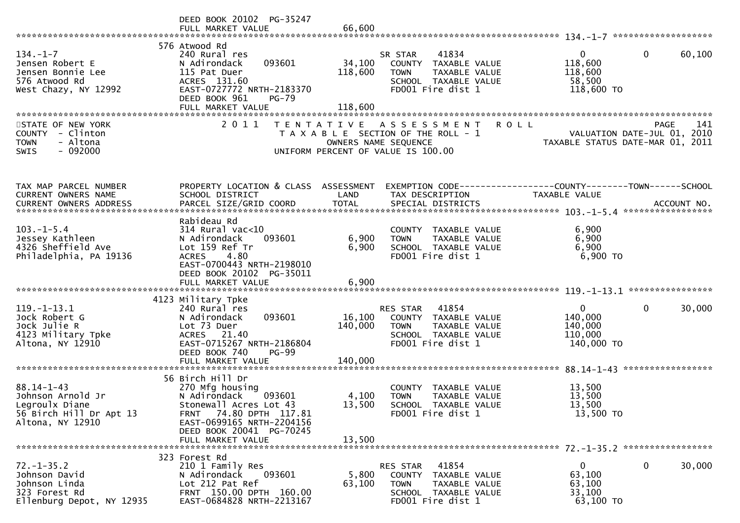|                                                                                                        | DEED BOOK 20102 PG-35247<br>FULL MARKET VALUE                                                                                                                                                   | 66,600                       |                                                                                                                             |                                                             |                                                    |
|--------------------------------------------------------------------------------------------------------|-------------------------------------------------------------------------------------------------------------------------------------------------------------------------------------------------|------------------------------|-----------------------------------------------------------------------------------------------------------------------------|-------------------------------------------------------------|----------------------------------------------------|
| $134. - 1 - 7$<br>Jensen Robert E<br>Jensen Bonnie Lee<br>576 Atwood Rd<br>West Chazy, NY 12992        | 576 Atwood Rd<br>240 Rural res<br>093601<br>N Adirondack<br>115 Pat Duer<br>ACRES 131.60<br>EAST-0727772 NRTH-2183370<br>DEED BOOK 961<br>$PG-79$<br>FULL MARKET VALUE                          | 34,100<br>118,600<br>118,600 | 41834<br>SR STAR<br>COUNTY TAXABLE VALUE<br><b>TOWN</b><br>TAXABLE VALUE<br>SCHOOL TAXABLE VALUE<br>FD001 Fire dist 1       | 0<br>118,600<br>118,600<br>58,500<br>118,600 TO             | $\mathbf{0}$<br>60,100                             |
| STATE OF NEW YORK<br>COUNTY<br>- Clinton<br>- Altona<br><b>TOWN</b><br>$-092000$<br>SWIS               | 2 0 1 1                                                                                                                                                                                         |                              | TENTATIVE ASSESSMENT<br>T A X A B L E SECTION OF THE ROLL - 1<br>OWNERS NAME SEQUENCE<br>UNIFORM PERCENT OF VALUE IS 100.00 | <b>ROLL</b><br>TAXABLE STATUS DATE-MAR 01,                  | 141<br>PAGE<br>VALUATION DATE-JUL 01, 2010<br>2011 |
| TAX MAP PARCEL NUMBER<br>CURRENT OWNERS NAME<br>CURRENT OWNERS ADDRESS                                 | PROPERTY LOCATION & CLASS ASSESSMENT<br>SCHOOL DISTRICT                                                                                                                                         | LAND                         | EXEMPTION CODE------------------COUNTY--------TOWN------SCHOOL<br>TAX DESCRIPTION                                           | <b>TAXABLE VALUE</b>                                        |                                                    |
| $103. -1 - 5.4$<br>Jessey Kathleen<br>4326 Sheffield Ave<br>Philadelphia, PA 19136                     | Rabideau Rd<br>$314$ Rural vac<10<br>N Adirondack<br>093601<br>Lot 159 Ref Tr<br>4.80<br><b>ACRES</b><br>EAST-0700443 NRTH-2198010<br>DEED BOOK 20102 PG-35011<br>FULL MARKET VALUE             | 6,900<br>6,900<br>6,900      | COUNTY TAXABLE VALUE<br>TAXABLE VALUE<br><b>TOWN</b><br>SCHOOL TAXABLE VALUE<br>FD001 Fire dist 1                           | 6,900<br>6,900<br>6,900<br>6,900 ТО                         | ****************                                   |
| $119. - 1 - 13.1$<br>Jock Robert G<br>Jock Julie R<br>4123 Military Tpke<br>Altona, NY 12910           | 4123 Military Tpke<br>240 Rural res<br>093601<br>N Adirondack<br>Lot 73 Duer<br>ACRES 21.40<br>EAST-0715267 NRTH-2186804<br>DEED BOOK 740<br>$PG-99$<br>FULL MARKET VALUE                       | 16,100<br>140,000<br>140,000 | RES STAR<br>41854<br>COUNTY TAXABLE VALUE<br><b>TOWN</b><br>TAXABLE VALUE<br>SCHOOL TAXABLE VALUE<br>FD001 Fire dist 1      | $\mathbf{0}$<br>140,000<br>140,000<br>110,000<br>140,000 TO | 30,000<br>0                                        |
| $88.14 - 1 - 43$<br>Johnson Arnold Jr<br>Legroulx Diane<br>56 Birch Hill Dr Apt 13<br>Altona, NY 12910 | 56 Birch Hill Dr<br>270 Mfg housing<br>N Adirondack<br>093601<br>Stonewall Acres Lot 43<br>FRNT 74.80 DPTH 117.81<br>EAST-0699165 NRTH-2204156<br>DEED BOOK 20041 PG-70245<br>FULL MARKET VALUE | 4,100<br>13,500<br>13,500    | <b>COUNTY</b><br>TAXABLE VALUE<br>TAXABLE VALUE<br><b>TOWN</b><br>SCHOOL TAXABLE VALUE<br>FD001 Fire dist 1                 | 13,500<br>13,500<br>13,500<br>13,500 TO                     |                                                    |
| $72. - 1 - 35.2$<br>Johnson David<br>Johnson Linda<br>323 Forest Rd<br>Ellenburg Depot, NY 12935       | 323 Forest Rd<br>210 1 Family Res<br>093601<br>N Adirondack<br>Lot 212 Pat Ref<br>FRNT 150.00 DPTH 160.00<br>EAST-0684828 NRTH-2213167                                                          | 5,800<br>63,100              | 41854<br>RES STAR<br>COUNTY TAXABLE VALUE<br><b>TOWN</b><br>TAXABLE VALUE<br>SCHOOL TAXABLE VALUE<br>FD001 Fire dist 1      | 0<br>63,100<br>63,100<br>33,100<br>63,100 TO                | 0<br>30,000                                        |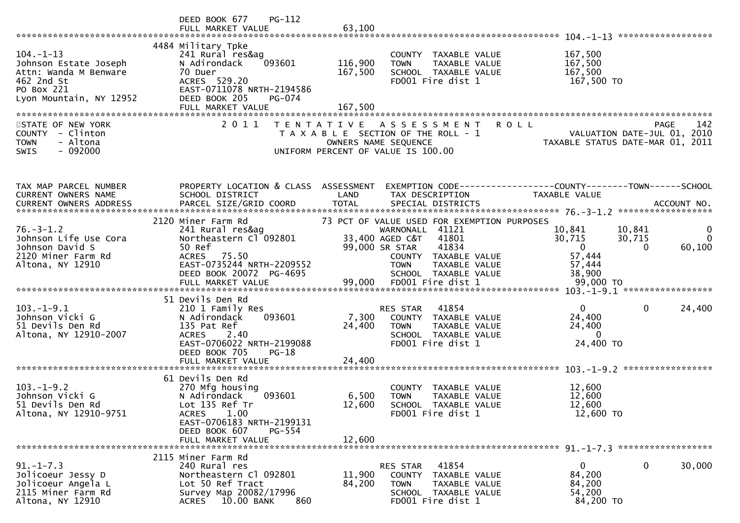|                                                                                                                          | $PG-112$<br>DEED BOOK 677<br>FULL MARKET VALUE                                                                                                                                              | 63,100                                                                                                                                                                                                       |                                                                                                                                        |
|--------------------------------------------------------------------------------------------------------------------------|---------------------------------------------------------------------------------------------------------------------------------------------------------------------------------------------|--------------------------------------------------------------------------------------------------------------------------------------------------------------------------------------------------------------|----------------------------------------------------------------------------------------------------------------------------------------|
| $104. - 1 - 13$<br>Johnson Estate Joseph<br>Attn: Wanda M Benware<br>462 2nd St<br>PO Box 221<br>Lyon Mountain, NY 12952 | 4484 Military Tpke<br>241 Rural res&ag<br>N Adirondack<br>093601<br>70 Duer<br>ACRES 529.20<br>EAST-0711078 NRTH-2194586<br>DEED BOOK 205<br>PG-074<br>FULL MARKET VALUE                    | COUNTY TAXABLE VALUE<br>116,900<br>TAXABLE VALUE<br><b>TOWN</b><br>167,500<br>SCHOOL TAXABLE VALUE<br>FD001 Fire dist 1<br>167,500                                                                           | 167,500<br>167,500<br>167,500<br>167,500 TO                                                                                            |
| STATE OF NEW YORK<br>COUNTY - Clinton<br>- Altona<br><b>TOWN</b><br>$-092000$<br><b>SWIS</b>                             | 2 0 1 1                                                                                                                                                                                     | TENTATIVE ASSESSMENT<br>T A X A B L E SECTION OF THE ROLL - 1<br>OWNERS NAME SEQUENCE<br>UNIFORM PERCENT OF VALUE IS 100.00                                                                                  | <b>PAGE</b><br>142<br><b>ROLL</b><br>VALUATION DATE-JUL 01, 2010<br>TAXABLE STATUS DATE-MAR 01, 2011                                   |
| TAX MAP PARCEL NUMBER<br>CURRENT OWNERS NAME<br>CURRENT OWNERS ADDRESS                                                   | PROPERTY LOCATION & CLASS ASSESSMENT<br>SCHOOL DISTRICT                                                                                                                                     | LAND<br>TAX DESCRIPTION                                                                                                                                                                                      | EXEMPTION CODE------------------COUNTY--------TOWN------SCHOOL<br><b>TAXABLE VALUE</b>                                                 |
| $76. - 3 - 1.2$<br>Johnson Life Use Cora<br>Johnson David S<br>2120 Miner Farm Rd<br>Altona, NY 12910                    | 2120 Miner Farm Rd<br>241 Rural res&ag<br>Northeastern Cl 092801<br>50 Ref<br>75.50<br><b>ACRES</b><br>EAST-0735244 NRTH-2209552<br>DEED BOOK 20072 PG-4695                                 | 73 PCT OF VALUE USED FOR EXEMPTION PURPOSES<br>WARNONALL 41121<br>33,400 AGED C&T<br>41801<br>99,000 SR STAR<br>41834<br>COUNTY TAXABLE VALUE<br><b>TOWN</b><br><b>TAXABLE VALUE</b><br>SCHOOL TAXABLE VALUE | 10,841<br>10,841<br>$\bf{0}$<br>30,715<br>30,715<br>$\Omega$<br>60,100<br>$\overline{0}$<br>$\mathbf{0}$<br>57,444<br>57,444<br>38,900 |
| $103. -1 - 9.1$<br>Johnson Vicki G<br>51 Devils Den Rd<br>Altona, NY 12910-2007                                          | 51 Devils Den Rd<br>210 1 Family Res<br>N Adirondack<br>093601<br>135 Pat Ref<br><b>ACRES</b><br>2.40<br>EAST-0706022 NRTH-2199088<br>DEED BOOK 705<br>$PG-18$<br>FULL MARKET VALUE         | 41854<br><b>RES STAR</b><br>7,300<br><b>COUNTY</b><br>TAXABLE VALUE<br>24,400<br><b>TOWN</b><br>TAXABLE VALUE<br>SCHOOL TAXABLE VALUE<br>FD001 Fire dist 1<br>24,400                                         | $\Omega$<br>$\mathbf{0}$<br>24,400<br>24,400<br>24,400<br>$\mathbf{0}$<br>24,400 TO                                                    |
| $103. -1 - 9.2$<br>Johnson Vicki G<br>51 Devils Den Rd<br>Altona, NY 12910-9751                                          | 61 Devils Den Rd<br>270 Mfg housing<br>093601<br>N Adirondack<br>Lot 135 Ref Tr<br>1.00<br><b>ACRES</b><br>EAST-0706183 NRTH-2199131<br>DEED BOOK 607<br><b>PG-554</b><br>FULL MARKET VALUE | TAXABLE VALUE<br><b>COUNTY</b><br>6,500<br><b>TOWN</b><br><b>TAXABLE VALUE</b><br>12,600<br><b>SCHOOL</b><br>TAXABLE VALUE<br>FD001 Fire dist 1<br>12,600                                                    | 12,600<br>12,600<br>12,600<br>12,600 TO                                                                                                |
| $91. - 1 - 7.3$<br>Jolicoeur Jessy D<br>Jolicoeur Angela L<br>2115 Miner Farm Rd<br>Altona, NY 12910                     | 2115 Miner Farm Rd<br>240 Rural res<br>Northeastern Cl 092801<br>Lot 50 Ref Tract<br>Survey Map 20082/17996<br>860<br>10.00 BANK<br><b>ACRES</b>                                            | 41854<br>RES STAR<br>11,900<br><b>COUNTY</b><br>TAXABLE VALUE<br>84,200<br><b>TOWN</b><br>TAXABLE VALUE<br>SCHOOL TAXABLE VALUE<br>FD001 Fire dist 1                                                         | 30,000<br>$\mathbf{0}$<br>0<br>84,200<br>84,200<br>54,200<br>84,200 TO                                                                 |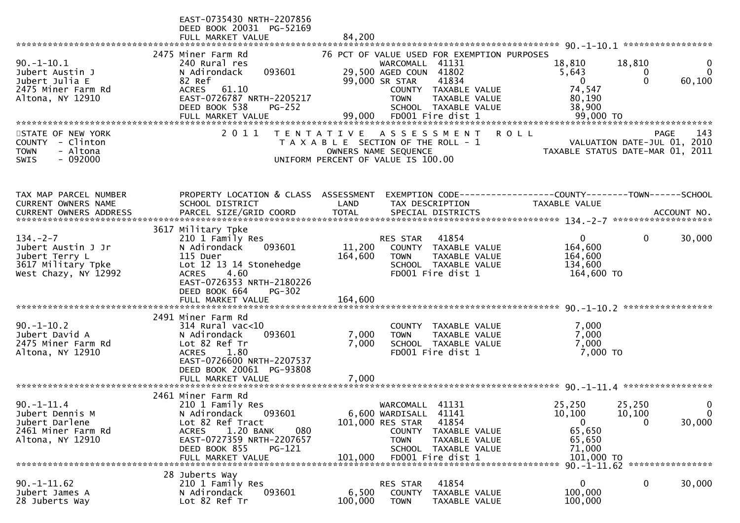|                                                                                                      | EAST-0735430 NRTH-2207856                                                                                                                                                                             |                         |                                                                                                                             |                                                                                                                       |                                                                              |                                                                         |                               |
|------------------------------------------------------------------------------------------------------|-------------------------------------------------------------------------------------------------------------------------------------------------------------------------------------------------------|-------------------------|-----------------------------------------------------------------------------------------------------------------------------|-----------------------------------------------------------------------------------------------------------------------|------------------------------------------------------------------------------|-------------------------------------------------------------------------|-------------------------------|
|                                                                                                      | DEED BOOK 20031 PG-52169<br>FULL MARKET VALUE                                                                                                                                                         | 84,200                  |                                                                                                                             |                                                                                                                       |                                                                              |                                                                         |                               |
|                                                                                                      |                                                                                                                                                                                                       |                         |                                                                                                                             |                                                                                                                       |                                                                              |                                                                         |                               |
| $90. -1 - 10.1$<br>Jubert Austin J<br>Jubert Julia E<br>2475 Miner Farm Rd<br>Altona, NY 12910       | 2475 Miner Farm Rd<br>240 Rural res<br>093601<br>N Adirondack<br>82 Ref<br><b>ACRES</b><br>61.10<br>EAST-0726787 NRTH-2205217<br>DEED BOOK 538<br>$PG-252$                                            |                         | WARCOMALL 41131<br>29,500 AGED COUN 41802<br>99,000 SR STAR<br><b>TOWN</b>                                                  | 76 PCT OF VALUE USED FOR EXEMPTION PURPOSES<br>41834<br>COUNTY TAXABLE VALUE<br>TAXABLE VALUE<br>SCHOOL TAXABLE VALUE | 18,810<br>5,643<br>$\Omega$<br>74,547<br>80,190<br>38,900                    | 18,810<br>0<br>$\Omega$                                                 | $\Omega$<br>60,100            |
| STATE OF NEW YORK<br>COUNTY - Clinton<br>- Altona<br><b>TOWN</b><br>$-092000$<br><b>SWIS</b>         | 2011                                                                                                                                                                                                  |                         | TENTATIVE ASSESSMENT<br>T A X A B L E SECTION OF THE ROLL - 1<br>OWNERS NAME SEQUENCE<br>UNIFORM PERCENT OF VALUE IS 100.00 |                                                                                                                       | <b>ROLL</b>                                                                  | PAGE<br>VALUATION DATE-JUL 01, 2010<br>TAXABLE STATUS DATE-MAR 01, 2011 | 143                           |
| TAX MAP PARCEL NUMBER<br>CURRENT OWNERS NAME                                                         | PROPERTY LOCATION & CLASS ASSESSMENT<br>SCHOOL DISTRICT                                                                                                                                               | LAND                    | TAX DESCRIPTION                                                                                                             |                                                                                                                       | TAXABLE VALUE                                                                |                                                                         |                               |
| $134. - 2 - 7$<br>Jubert Austin J Jr<br>Jubert Terry L<br>3617 Military Tpke<br>West Chazy, NY 12992 | 3617 Military Tpke<br>210 1 Family Res<br>N Adirondack<br>093601<br>115 Duer<br>Lot 12 13 14 Stonehedge<br><b>ACRES</b><br>4.60<br>EAST-0726353 NRTH-2180226<br>DEED BOOK 664<br>$PG-302$             | 11,200<br>164,600       | RES STAR<br><b>TOWN</b>                                                                                                     | 41854<br>COUNTY TAXABLE VALUE<br>TAXABLE VALUE<br>SCHOOL TAXABLE VALUE<br>FD001 Fire dist 1                           | 0<br>164,600<br>164,600<br>134,600<br>164,600 TO                             | 0                                                                       | 30,000                        |
|                                                                                                      |                                                                                                                                                                                                       |                         |                                                                                                                             |                                                                                                                       |                                                                              |                                                                         |                               |
| $90. -1 - 10.2$<br>Jubert David A<br>2475 Miner Farm Rd<br>Altona, NY 12910                          | 2491 Miner Farm Rd<br>$314$ Rural vac<10<br>093601<br>N Adirondack<br>Lot 82 Ref Tr<br><b>ACRES</b><br>1.80<br>EAST-0726600 NRTH-2207537<br>DEED BOOK 20061 PG-93808<br>FULL MARKET VALUE             | 7,000<br>7,000<br>7,000 | <b>TOWN</b>                                                                                                                 | COUNTY TAXABLE VALUE<br>TAXABLE VALUE<br>SCHOOL TAXABLE VALUE<br>FD001 Fire dist 1                                    | 7,000<br>7,000<br>7,000<br>7,000 TO                                          |                                                                         |                               |
|                                                                                                      |                                                                                                                                                                                                       |                         |                                                                                                                             |                                                                                                                       |                                                                              |                                                                         |                               |
| $90. -1 - 11.4$<br>Jubert Dennis M<br>Jubert Darlene<br>2461 Miner Farm Rd<br>Altona, NY 12910       | 2461 Miner Farm Rd<br>210 1 Family Res<br>093601<br>N Adirondack<br>Lot 82 Ref Tract<br>1.20 BANK<br>080<br><b>ACRES</b><br>EAST-0727359 NRTH-2207657<br>DEED BOOK 855<br>PG-121<br>FULL MARKET VALUE | 101,000                 | WARCOMALL<br>6,600 WARDISALL<br>101,000 RES STAR<br><b>TOWN</b>                                                             | 41131<br>41141<br>41854<br>COUNTY TAXABLE VALUE<br>TAXABLE VALUE<br>SCHOOL TAXABLE VALUE<br>FD001 Fire dist 1         | 25,250<br>10,100<br>$\mathbf{0}$<br>65,650<br>65,650<br>71,000<br>101,000 TO | 25,250<br>10,100<br>0                                                   | 0<br>$\overline{0}$<br>30,000 |
|                                                                                                      |                                                                                                                                                                                                       |                         |                                                                                                                             |                                                                                                                       |                                                                              | 90. -1-11.62 *****************                                          |                               |
| $90. -1 - 11.62$<br>Jubert James A<br>28 Juberts Way                                                 | 28 Juberts Way<br>210 1 Family Res<br>093601<br>N Adirondack<br>Lot 82 Ref Tr                                                                                                                         | 6,500<br>100,000        | RES STAR<br>COUNTY<br><b>TOWN</b>                                                                                           | 41854<br>TAXABLE VALUE<br>TAXABLE VALUE                                                                               | $\mathbf{0}$<br>100,000<br>100,000                                           | 0                                                                       | 30,000                        |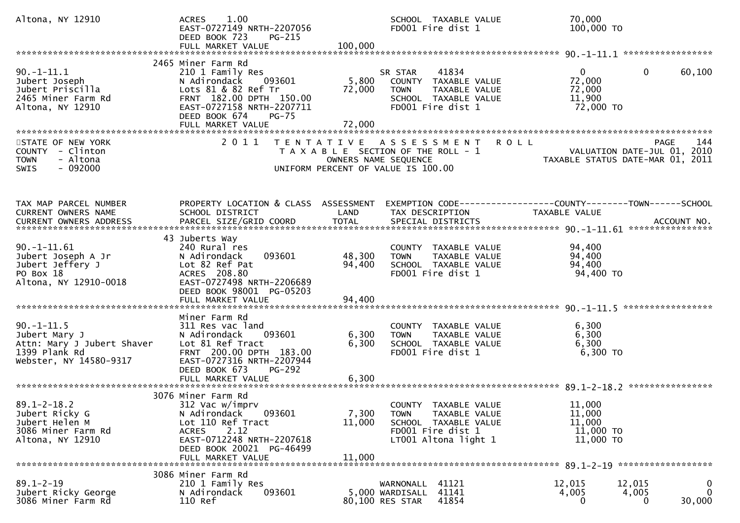| Altona, NY 12910                                                                                          | 1.00<br><b>ACRES</b><br>EAST-0727149 NRTH-2207056<br>DEED BOOK 723<br><b>PG-215</b>                                                                                                            | SCHOOL TAXABLE VALUE<br>FD001 Fire dist 1                                                                                                              | 70,000<br>100,000 TO                                                                              |
|-----------------------------------------------------------------------------------------------------------|------------------------------------------------------------------------------------------------------------------------------------------------------------------------------------------------|--------------------------------------------------------------------------------------------------------------------------------------------------------|---------------------------------------------------------------------------------------------------|
|                                                                                                           |                                                                                                                                                                                                |                                                                                                                                                        |                                                                                                   |
| $90. -1 - 11.1$<br>Jubert Joseph<br>Jubert Priscilla<br>2465 Miner Farm Rd<br>Altona, NY 12910            | 2465 Miner Farm Rd<br>210 1 Family Res<br>093601<br>N Adirondack<br>Lots 81 & 82 Ref Tr<br>FRNT 182.00 DPTH 150.00<br>EAST-0727158 NRTH-2207711<br>DEED BOOK 674<br>$PG-75$                    | 41834<br>SR STAR<br>5,800<br>COUNTY TAXABLE VALUE<br>72,000<br><b>TOWN</b><br>TAXABLE VALUE<br>SCHOOL TAXABLE VALUE<br>FD001 Fire dist 1               | $\mathbf{0}$<br>60,100<br>$\overline{0}$<br>72,000<br>72,000<br>11,900<br>72,000 TO               |
|                                                                                                           |                                                                                                                                                                                                |                                                                                                                                                        |                                                                                                   |
| STATE OF NEW YORK<br>COUNTY - Clinton<br>- Altona<br><b>TOWN</b><br>$-092000$<br><b>SWIS</b>              |                                                                                                                                                                                                | 2011 TENTATIVE ASSESSMENT<br>T A X A B L E SECTION OF THE ROLL - 1<br>OWNERS NAME SEQUENCE<br>UNIFORM PERCENT OF VALUE IS 100.00                       | <b>ROLL</b><br>144<br>PAGE 144<br>VALUATION DATE-JUL 01, 2010<br>TAXABLE STATUS DATE-MAR 01, 2011 |
|                                                                                                           |                                                                                                                                                                                                |                                                                                                                                                        |                                                                                                   |
| TAX MAP PARCEL NUMBER<br>CURRENT OWNERS NAME                                                              | PROPERTY LOCATION & CLASS ASSESSMENT<br>SCHOOL DISTRICT                                                                                                                                        | LAND<br>TAX DESCRIPTION                                                                                                                                | EXEMPTION CODE------------------COUNTY--------TOWN------SCHOOL<br><b>TAXABLE VALUE</b>            |
|                                                                                                           |                                                                                                                                                                                                |                                                                                                                                                        |                                                                                                   |
| $90. -1 - 11.61$<br>Jubert Joseph A Jr<br>Jubert Jeffery J<br>PO Box 18<br>Altona, NY 12910-0018          | 43 Juberts Way<br>240 Rural res<br>093601<br>N Adirondack<br>Lot 82 Ref Pat<br>ACRES 208.80<br>EAST-0727498 NRTH-2206689<br>DEED BOOK 98001 PG-05203                                           | COUNTY TAXABLE VALUE<br>48,300<br><b>TOWN</b><br>TAXABLE VALUE<br>94,400<br>SCHOOL TAXABLE VALUE<br>FD001 Fire dist 1                                  | 94,400<br>94,400<br>94,400<br>94,400 TO                                                           |
|                                                                                                           | FULL MARKET VALUE                                                                                                                                                                              | 94,400                                                                                                                                                 |                                                                                                   |
|                                                                                                           |                                                                                                                                                                                                |                                                                                                                                                        |                                                                                                   |
| $90. -1 - 11.5$<br>Jubert Mary J<br>Attn: Mary J Jubert Shaver<br>1399 Plank Rd<br>Webster, NY 14580-9317 | Miner Farm Rd<br>311 Res vac land<br>093601<br>N Adirondack<br>Lot 81 Ref Tract<br>FRNT 200.00 DPTH 183.00<br>EAST-0727316 NRTH-2207944<br>DEED BOOK 673<br><b>PG-292</b><br>FULL MARKET VALUE | COUNTY TAXABLE VALUE<br>6,300<br>TAXABLE VALUE<br><b>TOWN</b><br>6,300<br>SCHOOL TAXABLE VALUE<br>FD001 Fire dist 1<br>6,300                           | 6,300<br>6,300<br>6,300<br>$6,300$ TO                                                             |
|                                                                                                           |                                                                                                                                                                                                |                                                                                                                                                        |                                                                                                   |
| $89.1 - 2 - 18.2$<br>Jubert Ricky G<br>Jubert Helen M<br>3086 Miner Farm Rd<br>Altona, NY 12910           | 3076 Miner Farm Rd<br>312 Vac w/imprv<br>093601<br>N Adirondack<br>Lot 110 Ref Tract<br>2.12<br><b>ACRES</b><br>EAST-0712248 NRTH-2207618<br>DEED BOOK 20021 PG-46499<br>FULL MARKET VALUE     | COUNTY TAXABLE VALUE<br>7,300<br><b>TOWN</b><br>TAXABLE VALUE<br>11,000<br>SCHOOL TAXABLE VALUE<br>FD001 Fire dist 1<br>LT001 Altona light 1<br>11,000 | 11,000<br>11,000<br>11,000<br>11,000 TO<br>11,000 TO                                              |
|                                                                                                           |                                                                                                                                                                                                |                                                                                                                                                        |                                                                                                   |
| $89.1 - 2 - 19$<br>Jubert Ricky George<br>3086 Miner Farm Rd                                              | 3086 Miner Farm Rd<br>210 1 Family Res<br>093601<br>N Adirondack<br>110 Ref                                                                                                                    | 41121<br>WARNONALL<br>5,000 WARDISALL 41141<br>41854<br>80,100 RES STAR                                                                                | 12,015<br>0<br>12,015<br>$\mathbf{0}$<br>4,005<br>4,005<br>30,000<br>$\Omega$<br>0                |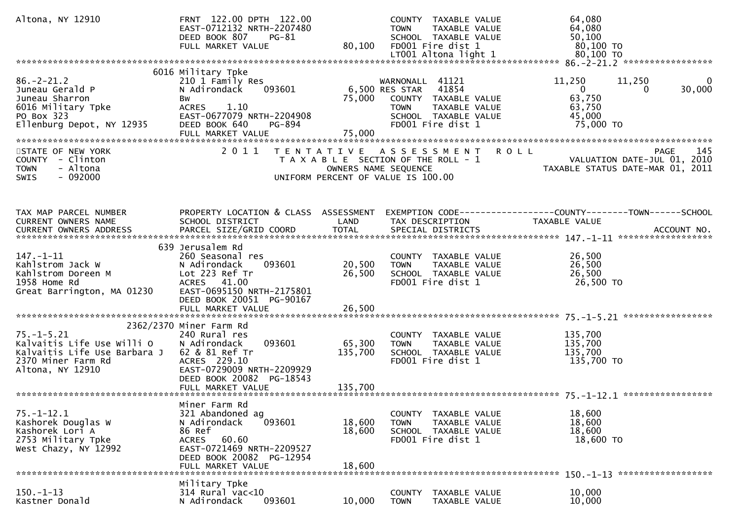| Altona, NY 12910                                                                                                         | FRNT 122.00 DPTH 122.00<br>EAST-0712132 NRTH-2207480<br>DEED BOOK 807<br>$PG-81$<br>FULL MARKET VALUE                                                                         | 80,100                     | COUNTY TAXABLE VALUE<br>TAXABLE VALUE<br>TOWN<br>SCHOOL TAXABLE VALUE<br>FD001 Fire dist 1                                                             | 64,080<br>64,080<br>50, 100<br>80,100 TO                                                               |
|--------------------------------------------------------------------------------------------------------------------------|-------------------------------------------------------------------------------------------------------------------------------------------------------------------------------|----------------------------|--------------------------------------------------------------------------------------------------------------------------------------------------------|--------------------------------------------------------------------------------------------------------|
|                                                                                                                          |                                                                                                                                                                               |                            |                                                                                                                                                        |                                                                                                        |
| $86. - 2 - 21.2$<br>Juneau Gerald P<br>Juneau Sharron<br>6016 Military Tpke<br>PO Box 323<br>Ellenburg Depot, NY 12935   | 6016 Military Tpke<br>210 1 Family Res<br>093601<br>N Adirondack<br>Bw<br><b>ACRES</b><br>1.10<br>EAST-0677079 NRTH-2204908<br>DEED BOOK 640<br>PG-894                        |                            | WARNONALL 41121<br>6,500 RES STAR<br>41854<br>75,000 COUNTY TAXABLE VALUE<br>TAXABLE VALUE<br><b>TOWN</b><br>SCHOOL TAXABLE VALUE<br>FD001 Fire dist 1 | 11,250<br>11,250<br>0<br>30,000<br>$\mathbf{0}$<br>$\Omega$<br>63,750<br>63,750<br>45,000<br>75,000 TO |
|                                                                                                                          | FULL MARKET VALUE                                                                                                                                                             | 75,000                     |                                                                                                                                                        |                                                                                                        |
| STATE OF NEW YORK<br>COUNTY - Clinton<br>- Altona<br><b>TOWN</b><br>$-092000$<br>SWIS                                    | 2011<br>T E N T A T I V E                                                                                                                                                     |                            | A S S E S S M E N T R O L L<br>T A X A B L E SECTION OF THE ROLL - 1<br>OWNERS NAME SEQUENCE<br>UNIFORM PERCENT OF VALUE IS 100.00                     | 145<br><b>PAGE</b><br>PAGE 145<br>VALUATION DATE-JUL 01, 2010<br>TAXABLE STATUS DATE-MAR 01, 2011      |
| TAX MAP PARCEL NUMBER<br>CURRENT OWNERS NAME                                                                             | PROPERTY LOCATION & CLASS ASSESSMENT<br>SCHOOL DISTRICT                                                                                                                       | LAND                       | TAX DESCRIPTION                                                                                                                                        | EXEMPTION CODE-----------------COUNTY--------TOWN-----SCHOOL<br>TAXABLE VALUE                          |
| $147. - 1 - 11$<br>Kahlstrom Jack W<br>Kahlstrom Doreen M<br>1958 Home Rd<br>Great Barrington, MA 01230                  | 639 Jerusalem Rd<br>260 Seasonal res<br>N Adirondack<br>093601<br>Lot 223 Ref Tr<br>ACRES 41.00<br>EAST-0695150 NRTH-2175801<br>DEED BOOK 20051 PG-90167<br>FULL MARKET VALUE | 20,500<br>26,500<br>26,500 | COUNTY TAXABLE VALUE<br><b>TOWN</b><br>TAXABLE VALUE<br>SCHOOL TAXABLE VALUE<br>FD001 Fire dist 1                                                      | 26,500<br>26,500<br>26,500<br>26,500 TO                                                                |
|                                                                                                                          |                                                                                                                                                                               |                            |                                                                                                                                                        |                                                                                                        |
| $75. - 1 - 5.21$<br>Kalvaitis Life Use Willi O<br>Kalvaitis Life Use Barbara J<br>2370 Miner Farm Rd<br>Altona, NY 12910 | 2362/2370 Miner Farm Rd<br>240 Rural res<br>N Adirondack<br>093601<br>62 & 81 Ref Tr<br>ACRES 229.10<br>EAST-0729009 NRTH-2209929<br>DEED BOOK 20082 PG-18543                 | 65,300<br>135,700          | COUNTY TAXABLE VALUE<br>TAXABLE VALUE<br><b>TOWN</b><br>SCHOOL TAXABLE VALUE<br>FD001 Fire dist 1                                                      | 135,700<br>135,700<br>135,700<br>135,700 TO                                                            |
|                                                                                                                          |                                                                                                                                                                               |                            |                                                                                                                                                        |                                                                                                        |
| $75. - 1 - 12.1$<br>Kashorek Douglas W<br>Kashorek Lori A<br>2753 Military Tpke<br>West Chazy, NY 12992                  | Miner Farm Rd<br>321 Abandoned ag<br>093601<br>N Adirondack<br>86 Ref<br><b>ACRES</b><br>60.60<br>EAST-0721469 NRTH-2209527<br>DEED BOOK 20082 PG-12954<br>FULL MARKET VALUE  | 18,600<br>18,600<br>18,600 | COUNTY TAXABLE VALUE<br>TAXABLE VALUE<br><b>TOWN</b><br>SCHOOL TAXABLE VALUE<br>FD001 Fire dist 1                                                      | 18,600<br>18,600<br>18,600<br>18,600 TO                                                                |
|                                                                                                                          |                                                                                                                                                                               |                            |                                                                                                                                                        | 150. -1-13 *******************                                                                         |
| $150. - 1 - 13$<br>Kastner Donald                                                                                        | Military Tpke<br>$314$ Rural vac<10<br>093601<br>N Adirondack                                                                                                                 | 10,000                     | TAXABLE VALUE<br><b>COUNTY</b><br><b>TOWN</b><br>TAXABLE VALUE                                                                                         | 10,000<br>10,000                                                                                       |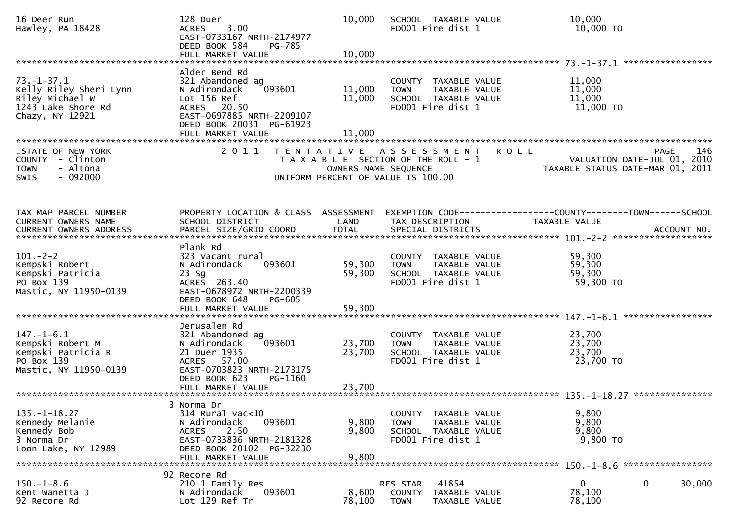| 16 Deer Run<br>Hawley, PA 18428                                                                        | 128 Duer<br><b>ACRES</b><br>3.00<br>EAST-0733167 NRTH-2174977<br>DEED BOOK 584<br>PG-785<br>FULL MARKET VALUE                                                           | 10,000<br>10,000           | SCHOOL TAXABLE VALUE<br>FD001 Fire dist 1                                                          | 10,000<br>10,000 TO                                                                                     |
|--------------------------------------------------------------------------------------------------------|-------------------------------------------------------------------------------------------------------------------------------------------------------------------------|----------------------------|----------------------------------------------------------------------------------------------------|---------------------------------------------------------------------------------------------------------|
| $73. - 1 - 37.1$<br>Kelly Riley Sheri Lynn<br>Riley Michael W<br>1243 Lake Shore Rd<br>Chazy, NY 12921 | Alder Bend Rd<br>321 Abandoned ag<br>093601<br>N Adirondack<br>Lot 156 Ref<br>ACRES 20.50<br>EAST-0697885 NRTH-2209107<br>DEED BOOK 20031 PG-61923<br>FULL MARKET VALUE | 11,000<br>11,000<br>11,000 | COUNTY TAXABLE VALUE<br>TAXABLE VALUE<br><b>TOWN</b><br>SCHOOL TAXABLE VALUE<br>FD001 Fire dist 1  | 11,000<br>11,000<br>11,000<br>$11,000$ TO                                                               |
| STATE OF NEW YORK<br>COUNTY - Clinton<br><b>TOWN</b><br>- Altona<br><b>SWIS</b><br>- 092000            | 2011<br>T E N T A T I V E                                                                                                                                               | OWNERS NAME SEQUENCE       | A S S E S S M E N T<br>T A X A B L E SECTION OF THE ROLL - 1<br>UNIFORM PERCENT OF VALUE IS 100.00 | 146<br><b>ROLL</b><br><b>PAGE</b><br>2010<br>VALUATION DATE-JUL 01,<br>TAXABLE STATUS DATE-MAR 01, 2011 |
| TAX MAP PARCEL NUMBER<br>CURRENT OWNERS NAME                                                           | PROPERTY LOCATION & CLASS ASSESSMENT<br>SCHOOL DISTRICT                                                                                                                 | LAND                       | TAX DESCRIPTION                                                                                    | TAXABLE VALUE                                                                                           |
| $101. -2 - 2$<br>Kempski Robert<br>Kempski Patricia<br>PO Box 139<br>Mastic, NY 11950-0139             | Plank Rd<br>323 Vacant rural<br>N Adirondack<br>093601<br>$23$ Sg<br>ACRES 263.40<br>EAST-0678972 NRTH-2200339<br>DEED BOOK 648<br><b>PG-605</b><br>FULL MARKET VALUE   | 59,300<br>59,300<br>59,300 | COUNTY TAXABLE VALUE<br><b>TOWN</b><br>TAXABLE VALUE<br>SCHOOL TAXABLE VALUE<br>FD001 Fire dist 1  | 59,300<br>59,300<br>59,300<br>59,300 TO                                                                 |
| $147. - 1 - 6.1$<br>Kempski Robert M<br>Kempski Patricia R<br>PO Box 139<br>Mastic, NY 11950-0139      | Jerusalem Rd<br>321 Abandoned ag<br>N Adirondack<br>093601<br>21 Duer 1935<br>ACRES 57.00<br>EAST-0703823 NRTH-2173175<br>DEED BOOK 623<br>PG-1160                      | 23,700<br>23,700           | COUNTY TAXABLE VALUE<br>TAXABLE VALUE<br><b>TOWN</b><br>SCHOOL TAXABLE VALUE<br>FD001 Fire dist 1  | 23,700<br>23,700<br>23,700<br>23,700 TO                                                                 |
| $135. - 1 - 18.27$<br>Kennedy Melanie<br>Kennedy Bob<br>3 Norma Dr<br>Loon Lake, NY 12989              | 3 Norma Dr<br>314 Rural vac<10<br>093601<br>N Adirondack<br>2.50<br><b>ACRES</b><br>EAST-0733836 NRTH-2181328<br>DEED BOOK 20102 PG-32230<br>FULL MARKET VALUE          | 9,800<br>9,800<br>9,800    | COUNTY TAXABLE VALUE<br>TAXABLE VALUE<br><b>TOWN</b><br>SCHOOL TAXABLE VALUE<br>FD001 Fire dist 1  | 9,800<br>9,800<br>9,800<br>9,800 TO                                                                     |
| $150.-1-8.6$<br>Kent Wanetta J<br>92 Recore Rd                                                         | 92 Recore Rd<br>210 1 Family Res<br>N Adirondack<br>093601<br>Lot 129 Ref Tr                                                                                            | 8,600<br>78,100            | 41854<br>RES STAR<br>COUNTY<br>TAXABLE VALUE<br><b>TOWN</b><br>TAXABLE VALUE                       | 0<br>30,000<br>0<br>78,100<br>78,100                                                                    |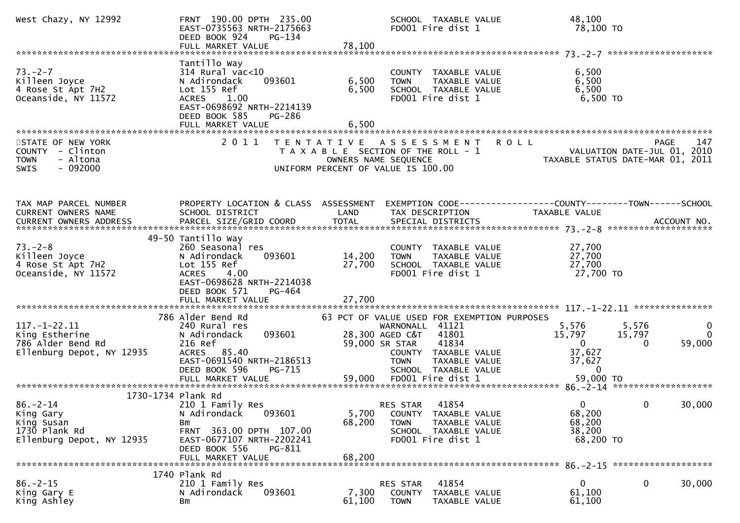| West Chazy, NY 12992                                                                                          | FRNT 190.00 DPTH 235.00<br>EAST-0735563 NRTH-2175663<br>DEED BOOK 924<br>PG-134                                                                                                      |                                                                                                                                  | SCHOOL TAXABLE VALUE<br>FD001 Fire dist 1                                                                                                         | 48,100<br>78,100 TO                                                                    |                                                            |
|---------------------------------------------------------------------------------------------------------------|--------------------------------------------------------------------------------------------------------------------------------------------------------------------------------------|----------------------------------------------------------------------------------------------------------------------------------|---------------------------------------------------------------------------------------------------------------------------------------------------|----------------------------------------------------------------------------------------|------------------------------------------------------------|
| $73. - 2 - 7$<br>Killeen Joyce<br>4 Rose St Apt 7H2<br>Oceanside, NY 11572                                    | Tantillo Way<br>$314$ Rural vac<10<br>093601<br>N Adirondack<br>Lot 155 Ref<br>ACRES 1.00<br>EAST-0698692 NRTH-2214139<br>DEED BOOK 585<br>PG-286                                    | 6,500<br><b>TOWN</b><br>6,500                                                                                                    | COUNTY TAXABLE VALUE<br>TAXABLE VALUE<br>SCHOOL TAXABLE VALUE<br>FD001 Fire dist 1                                                                | 6,500<br>6,500<br>6,500<br>6,500 TO                                                    |                                                            |
| STATE OF NEW YORK<br>COUNTY - Clinton<br>- Altona<br><b>TOWN</b><br>SWIS<br>- 092000                          |                                                                                                                                                                                      | 2011 TENTATIVE ASSESSMENT<br>T A X A B L E SECTION OF THE ROLL - 1<br>OWNERS NAME SEQUENCE<br>UNIFORM PERCENT OF VALUE IS 100.00 | <b>ROLL</b>                                                                                                                                       | 14/<br>VALUATION DATE-JUL 01, 2010<br>TAXABLE STATIIS DATE-MAR 01, 2011                | 147<br><b>PAGE</b>                                         |
| TAX MAP PARCEL NUMBER<br>CURRENT OWNERS NAME<br>CURRENT OWNERS ADDRESS                                        | PROPERTY LOCATION & CLASS ASSESSMENT<br>SCHOOL DISTRICT                                                                                                                              | LAND                                                                                                                             | TAX DESCRIPTION                                                                                                                                   | EXEMPTION CODE------------------COUNTY--------TOWN------SCHOOL<br><b>TAXABLE VALUE</b> |                                                            |
| $73. - 2 - 8$<br>Killeen Joyce<br>4 Rose St Apt 7H2<br>Oceanside, NY 11572                                    | 49-50 Tantillo Way<br>260 Seasonal res<br>093601<br>N Adirondack<br>Lot 155 Ref<br><b>ACRES</b><br>4.00<br>EAST-0698628 NRTH-2214038<br>DEED BOOK 571<br>PG-464<br>FULL MARKET VALUE | 14,200<br>TOWN<br>27,700<br>27,700                                                                                               | COUNTY TAXABLE VALUE<br>TAXABLE VALUE<br>SCHOOL TAXABLE VALUE<br>FD001 Fire dist 1                                                                | 27,700<br>27,700<br>27,700<br>27,700 TO                                                |                                                            |
| $117. - 1 - 22.11$<br>King Estherine<br>786 Alder Bend Rd<br>Ellenburg Depot, NY 12935                        | 786 Alder Bend Rd<br>240 Rural res<br>093601<br>N Adirondack<br>216 Ref<br>ACRES 85.40<br>EAST-0691540 NRTH-2186513<br>DEED BOOK 596<br>PG-715                                       | 28,300 AGED C&T<br>59,000 SR STAR<br><b>TOWN</b>                                                                                 | 63 PCT OF VALUE USED FOR EXEMPTION PURPOSES<br>WARNONALL 41121<br>41801<br>41834<br>COUNTY TAXABLE VALUE<br>TAXABLE VALUE<br>SCHOOL TAXABLE VALUE | 5,576<br>15,797<br>$\overline{0}$<br>37,627<br>37,627<br>- 0                           | 5,576<br>$\bf{0}$<br>15,797<br>$\mathbf{0}$<br>59,000<br>0 |
| 1730-1734 Plank Rd<br>$86. - 2 - 14$<br>King Gary<br>King Susan<br>1730 Plank Rd<br>Ellenburg Depot, NY 12935 | 210 1 Family Res<br>093601<br>N Adirondack<br>Вm<br>FRNT 363.00 DPTH 107.00<br>EAST-0677107 NRTH-2202241<br>DEED BOOK 556<br>PG-811<br>FULL MARKET VALUE                             | RES STAR<br>5,700<br>68,200<br><b>TOWN</b><br>68,200                                                                             | 41854<br>COUNTY TAXABLE VALUE<br>TAXABLE VALUE<br>SCHOOL TAXABLE VALUE<br>FD001 Fire dist 1                                                       | $\Omega$<br>68,200<br>68,200<br>38,200<br>68,200 TO                                    | 30,000<br>0                                                |
| $86. -2 - 15$<br>King Gary E<br>King Ashley                                                                   | 1740 Plank Rd<br>210 1 Family Res<br>N Adirondack<br>093601<br>Bm                                                                                                                    | RES STAR<br>7,300<br><b>COUNTY</b><br>61,100<br><b>TOWN</b>                                                                      | 41854<br>TAXABLE VALUE<br>TAXABLE VALUE                                                                                                           | 0<br>61,100<br>61,100                                                                  | 0<br>30,000                                                |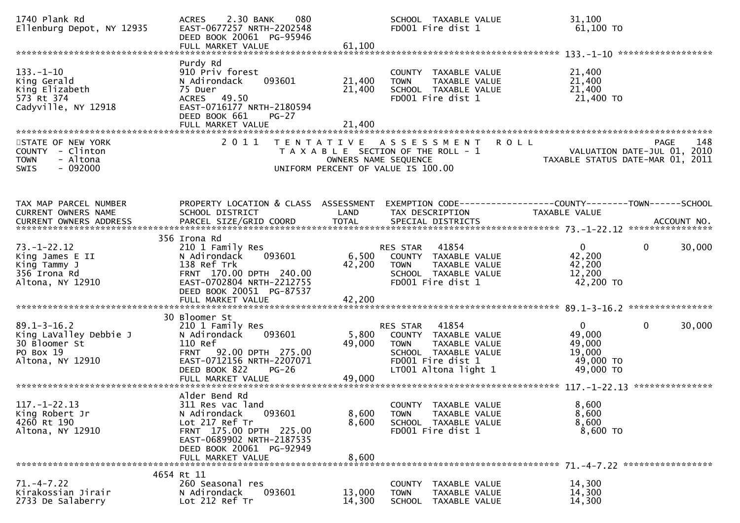| 1740 Plank Rd<br>Ellenburg Depot, NY 12935                                                    | 2.30 BANK<br>080<br><b>ACRES</b><br>EAST-0677257 NRTH-2202548<br>DEED BOOK 20061 PG-95946<br>FULL MARKET VALUE                                                                           | 61,100                    | SCHOOL TAXABLE VALUE<br>FD001 Fire dist 1                                                                                                      | 31,100<br>61,100 TO                                                                                       |        |
|-----------------------------------------------------------------------------------------------|------------------------------------------------------------------------------------------------------------------------------------------------------------------------------------------|---------------------------|------------------------------------------------------------------------------------------------------------------------------------------------|-----------------------------------------------------------------------------------------------------------|--------|
| $133. - 1 - 10$<br>King Gerald<br>King Elizabeth<br>573 Rt 374<br>Cadyville, NY 12918         | Purdy Rd<br>910 Priv forest<br>093601<br>N Adirondack<br>75 Duer<br>ACRES 49.50<br>EAST-0716177 NRTH-2180594<br>DEED BOOK 661<br>$PG-27$                                                 | 21,400<br>21,400          | COUNTY TAXABLE VALUE<br>TAXABLE VALUE<br><b>TOWN</b><br>SCHOOL TAXABLE VALUE<br>FD001 Fire dist 1                                              | 21,400<br>21,400<br>21,400<br>21,400 TO                                                                   |        |
| STATE OF NEW YORK<br>COUNTY - Clinton<br>- Altona<br><b>TOWN</b><br><b>SWIS</b><br>- 092000   | 2011                                                                                                                                                                                     | OWNERS NAME SEQUENCE      | TENTATIVE ASSESSMENT<br><b>ROLL</b><br>T A X A B L E SECTION OF THE ROLL - 1<br>UNIFORM PERCENT OF VALUE IS 100.00                             | PAGE<br>VALUATION DATE-JUL 01, 2010<br>TAXABLE STATUS DATE-MAR 01, 2011                                   | 148    |
| TAX MAP PARCEL NUMBER<br>CURRENT OWNERS NAME                                                  | PROPERTY LOCATION & CLASS ASSESSMENT<br>SCHOOL DISTRICT                                                                                                                                  | LAND                      | TAX DESCRIPTION                                                                                                                                | EXEMPTION CODE-----------------COUNTY-------TOWN------SCHOOL<br>TAXABLE VALUE                             |        |
| $73. - 1 - 22.12$<br>King James E II<br>King Tammy J<br>356 Irona Rd<br>Altona, NY 12910      | 356 Irona Rd<br>210 1 Family Res<br>093601<br>N Adirondack<br>138 Ref Trk<br>FRNT 170.00 DPTH 240.00<br>EAST-0702804 NRTH-2212755<br>DEED BOOK 20051 PG-87537<br>FULL MARKET VALUE       | 6,500<br>42,200<br>42,200 | 41854<br><b>RES STAR</b><br>COUNTY TAXABLE VALUE<br>TAXABLE VALUE<br><b>TOWN</b><br>SCHOOL TAXABLE VALUE<br>FD001 Fire dist 1                  | $\mathbf{0}$<br>$\mathbf{0}$<br>42,200<br>42,200<br>12,200<br>42,200 TO                                   | 30,000 |
| $89.1 - 3 - 16.2$<br>King LaValley Debbie J<br>30 Bloomer St<br>PO Box 19<br>Altona, NY 12910 | 30 Bloomer St<br>210 1 Family Res<br>093601<br>N Adirondack<br>110 Ref<br>92.00 DPTH 275.00<br><b>FRNT</b><br>EAST-0712156 NRTH-2207071<br>DEED BOOK 822<br>$PG-26$<br>FULL MARKET VALUE | 5,800<br>49,000<br>49,000 | 41854<br>RES STAR<br>COUNTY TAXABLE VALUE<br>TAXABLE VALUE<br><b>TOWN</b><br>SCHOOL TAXABLE VALUE<br>FD001 Fire dist 1<br>LT001 Altona light 1 | $\mathbf{0}$<br>0 <sup>1</sup><br>49,000<br>49,000<br>19,000<br>49,000 TO<br>49,000 TO<br>*************** | 30,000 |
| $117. - 1 - 22.13$<br>King Robert Jr<br>4260 Rt 190<br>Altona, NY 12910                       | Alder Bend Rd<br>311 Res vac land<br>093601<br>N Adirondack<br>Lot 217 Ref Tr<br>FRNT 175.00 DPTH 225.00<br>EAST-0689902 NRTH-2187535<br>DEED BOOK 20061 PG-92949<br>FULL MARKET VALUE   | 8,600<br>8,600<br>8,600   | COUNTY TAXABLE VALUE<br>TAXABLE VALUE<br><b>TOWN</b><br>SCHOOL TAXABLE VALUE<br>FD001 Fire dist 1                                              | 8,600<br>8,600<br>8,600<br>8,600 TO                                                                       |        |
| $71. - 4 - 7.22$<br>Kirakossian Jirair<br>2733 De Salaberry                                   | 4654 Rt 11<br>260 Seasonal res<br>N Adirondack<br>093601<br>Lot 212 Ref Tr                                                                                                               | 13,000<br>14,300          | COUNTY TAXABLE VALUE<br>TAXABLE VALUE<br><b>TOWN</b><br>SCHOOL<br>TAXABLE VALUE                                                                | 14,300<br>14,300<br>14,300                                                                                |        |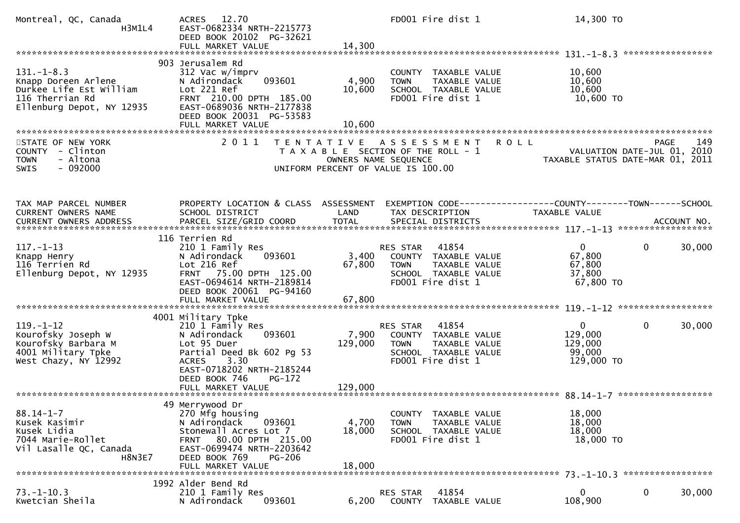| Montreal, QC, Canada<br>H3M1L4                                                                                     | 12.70<br><b>ACRES</b><br>EAST-0682334 NRTH-2215773<br>DEED BOOK 20102 PG-32621<br>FULL MARKET VALUE                                                                                            | 14,300                    | FD001 Fire dist 1                                                                                                                    | 14,300 TO                                                                            |                                                                                       |
|--------------------------------------------------------------------------------------------------------------------|------------------------------------------------------------------------------------------------------------------------------------------------------------------------------------------------|---------------------------|--------------------------------------------------------------------------------------------------------------------------------------|--------------------------------------------------------------------------------------|---------------------------------------------------------------------------------------|
| $131. - 1 - 8.3$<br>Knapp Doreen Arlene<br>Durkee Life Est William<br>116 Therrian Rd<br>Ellenburg Depot, NY 12935 | 903 Jerusalem Rd<br>312 Vac w/imprv<br>093601<br>N Adirondack<br>Lot 221 Ref<br>FRNT 210.00 DPTH 185.00<br>EAST-0689036 NRTH-2177838<br>DEED BOOK 20031 PG-53583                               | 4,900<br>10,600           | COUNTY TAXABLE VALUE<br><b>TOWN</b><br>TAXABLE VALUE<br>SCHOOL TAXABLE VALUE<br>FD001 Fire dist 1                                    | 10,600<br>10,600<br>10,600<br>10,600 TO                                              |                                                                                       |
| STATE OF NEW YORK<br>- Clinton<br><b>COUNTY</b><br>- Altona<br><b>TOWN</b><br>$-092000$<br><b>SWIS</b>             | 2 0 1 1                                                                                                                                                                                        |                           | TENTATIVE ASSESSMENT<br>T A X A B L E SECTION OF THE ROLL - 1<br>OWNERS NAME SEQUENCE<br>UNIFORM PERCENT OF VALUE IS 100.00          | <b>ROLL</b>                                                                          | 149<br><b>PAGE</b><br>VALUATION DATE-JUL 01, 2010<br>TAXABLE STATUS DATE-MAR 01, 2011 |
| TAX MAP PARCEL NUMBER<br>CURRENT OWNERS NAME                                                                       | PROPERTY LOCATION & CLASS ASSESSMENT<br>SCHOOL DISTRICT                                                                                                                                        | LAND                      | TAX DESCRIPTION                                                                                                                      | EXEMPTION CODE-----------------COUNTY-------TOWN------SCHOOL<br><b>TAXABLE VALUE</b> |                                                                                       |
| $117. - 1 - 13$<br>Knapp Henry<br>116 Terrien Rd<br>Ellenburg Depot, NY 12935                                      | 116 Terrien Rd<br>210 1 Family Res<br>093601<br>N Adirondack<br>Lot 216 Ref<br>FRNT 75.00 DPTH 125.00<br>EAST-0694614 NRTH-2189814<br>DEED BOOK 20061 PG-94160<br>FULL MARKET VALUE            | 3,400<br>67,800<br>67,800 | 41854<br>RES STAR<br>COUNTY TAXABLE VALUE<br>TAXABLE VALUE<br><b>TOWN</b><br>SCHOOL TAXABLE VALUE<br>FD001 Fire dist 1               | $\mathbf{0}$<br>67,800<br>67,800<br>37,800<br>67,800 TO                              | 30,000<br>0                                                                           |
| $119. - 1 - 12$<br>Kourofsky Joseph W<br>Kourofsky Barbara M<br>4001 Military Tpke<br>West Chazy, NY 12992         | 4001 Military Tpke<br>210 1 Family Res<br>N Adirondack<br>093601<br>Lot 95 Duer<br>Partial Deed Bk 602 Pg 53<br>3.30<br><b>ACRES</b><br>EAST-0718202 NRTH-2185244<br>DEED BOOK 746<br>$PG-172$ | 7,900<br>129,000          | 41854<br><b>RES STAR</b><br>COUNTY TAXABLE VALUE<br><b>TOWN</b><br><b>TAXABLE VALUE</b><br>SCHOOL TAXABLE VALUE<br>FD001 Fire dist 1 | 0<br>129,000<br>129,000<br>99,000<br>129,000 TO                                      | 30,000<br>0                                                                           |
| $88.14 - 1 - 7$<br>Kusek Kasimir<br>Kusek Lidia<br>7044 Marie-Rollet<br>Vil Lasalle QC, Canada<br><b>H8N3E7</b>    | 49 Merrywood Dr<br>270 Mfg housing<br>N Adirondack<br>093601<br>Stonewall Acres Lot 7<br>FRNT 80.00 DPTH 215.00<br>EAST-0699474 NRTH-2203642<br>DEED BOOK 769<br>PG-206<br>FULL MARKET VALUE   | 4,700<br>18,000<br>18,000 | COUNTY TAXABLE VALUE<br>TAXABLE VALUE<br><b>TOWN</b><br>SCHOOL TAXABLE VALUE<br>FD001 Fire dist 1                                    | 18,000<br>18,000<br>18,000<br>18,000 TO                                              |                                                                                       |
| $73. - 1 - 10.3$<br>Kwetcian Sheila                                                                                | 1992 Alder Bend Rd<br>210 1 Family Res<br>093601<br>N Adirondack                                                                                                                               | 6,200                     | RES STAR<br>41854<br>COUNTY TAXABLE VALUE                                                                                            | $\mathbf 0$<br>108,900                                                               | 0<br>30,000                                                                           |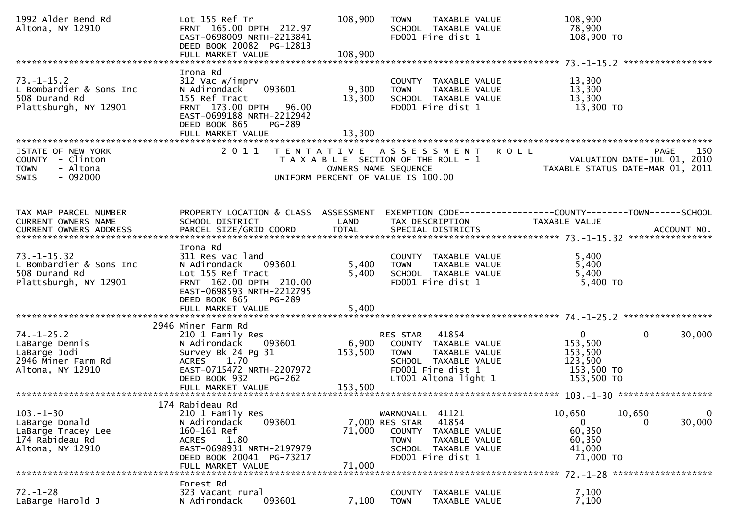| 1992 Alder Bend Rd<br>Altona, NY 12910                                                         | Lot 155 Ref Tr<br>FRNT 165.00 DPTH 212.97<br>EAST-0698009 NRTH-2213841<br>DEED BOOK 20082 PG-12813<br>FULL MARKET VALUE                                                            | 108,900<br>108,900      | TAXABLE VALUE<br><b>TOWN</b><br>SCHOOL TAXABLE VALUE<br>FD001 Fire dist 1                                                                          | 108,900<br>78,900<br>108,900 TO                                                |                                                                                |
|------------------------------------------------------------------------------------------------|------------------------------------------------------------------------------------------------------------------------------------------------------------------------------------|-------------------------|----------------------------------------------------------------------------------------------------------------------------------------------------|--------------------------------------------------------------------------------|--------------------------------------------------------------------------------|
|                                                                                                |                                                                                                                                                                                    |                         |                                                                                                                                                    |                                                                                |                                                                                |
| $73. - 1 - 15.2$<br>L Bombardier & Sons Inc<br>508 Durand Rd<br>Plattsburgh, NY 12901          | Irona Rd<br>312 Vac w/imprv<br>093601<br>N Adirondack<br>155 Ref Tract<br>FRNT 173.00 DPTH<br>96.00<br>EAST-0699188 NRTH-2212942<br>DEED BOOK 865<br><b>PG-289</b>                 | 9,300<br>13,300         | COUNTY TAXABLE VALUE<br>TAXABLE VALUE<br><b>TOWN</b><br>SCHOOL TAXABLE VALUE<br>FD001 Fire dist 1                                                  | 13,300<br>13,300<br>13,300<br>13,300 TO                                        |                                                                                |
|                                                                                                | FULL MARKET VALUE                                                                                                                                                                  | 13,300                  |                                                                                                                                                    |                                                                                |                                                                                |
|                                                                                                |                                                                                                                                                                                    |                         |                                                                                                                                                    |                                                                                |                                                                                |
| STATE OF NEW YORK<br>COUNTY - Clinton<br><b>TOWN</b><br>- Altona<br>$-092000$<br><b>SWIS</b>   | 2011                                                                                                                                                                               |                         | TENTATIVE ASSESSMENT ROLL<br>T A X A B L E SECTION OF THE ROLL - 1<br>OWNERS NAME SEQUENCE<br>UNIFORM PERCENT OF VALUE IS 100.00                   |                                                                                | 150<br>PAGE<br>VALUATION DATE-JUL 01, 2010<br>TAXABLE STATUS DATE-MAR 01, 2011 |
|                                                                                                |                                                                                                                                                                                    |                         |                                                                                                                                                    |                                                                                |                                                                                |
| TAX MAP PARCEL NUMBER<br>CURRENT OWNERS NAME<br><b>CURRENT OWNERS ADDRESS</b>                  | PROPERTY LOCATION & CLASS ASSESSMENT<br>SCHOOL DISTRICT                                                                                                                            | LAND                    | TAX DESCRIPTION                                                                                                                                    | EXEMPTION CODE-----------------COUNTY--------TOWN------SCHOOL<br>TAXABLE VALUE |                                                                                |
|                                                                                                | Irona Rd                                                                                                                                                                           |                         |                                                                                                                                                    |                                                                                |                                                                                |
| $73. - 1 - 15.32$<br>L Bombardier & Sons Inc<br>508 Durand Rd<br>Plattsburgh, NY 12901         | 311 Res vac land<br>N Adirondack<br>093601<br>Lot 155 Ref Tract<br>FRNT 162.00 DPTH 210.00<br>EAST-0698593 NRTH-2212795<br>DEED BOOK 865<br>PG-289<br>FULL MARKET VALUE            | 5,400<br>5,400<br>5,400 | COUNTY TAXABLE VALUE<br>TAXABLE VALUE<br><b>TOWN</b><br>SCHOOL TAXABLE VALUE<br>FD001 Fire dist 1                                                  | 5,400<br>5,400<br>5,400<br>5,400 TO                                            |                                                                                |
|                                                                                                |                                                                                                                                                                                    |                         |                                                                                                                                                    |                                                                                |                                                                                |
| $74. - 1 - 25.2$<br>LaBarge Dennis<br>LaBarge Jodi<br>2946 Miner Farm Rd<br>Altona, NY 12910   | 2946 Miner Farm Rd<br>210 1 Family Res<br>N Adirondack<br>093601<br>Survey Bk 24 Pg 31<br>1.70<br><b>ACRES</b><br>EAST-0715472 NRTH-2207972<br>DEED BOOK 932<br>$PG-262$           | 6,900<br>153,500        | 41854<br>RES STAR<br>COUNTY TAXABLE VALUE<br>TAXABLE VALUE<br><b>TOWN</b><br>SCHOOL TAXABLE VALUE<br>FD001 Fire dist 1<br>LT001 Altona light 1     | $\mathbf{0}$<br>153,500<br>153,500<br>123,500<br>153,500 TO<br>153,500 TO      | $\mathbf{0}$<br>30,000                                                         |
|                                                                                                |                                                                                                                                                                                    |                         |                                                                                                                                                    |                                                                                |                                                                                |
| $103. - 1 - 30$<br>LaBarge Donald<br>LaBarge Tracey Lee<br>174 Rabideau Rd<br>Altona, NY 12910 | 174 Rabideau Rd<br>210 1 Family Res<br>093601<br>N Adirondack<br>160-161 Ref<br><b>ACRES</b><br>1.80<br>EAST-0698931 NRTH-2197979<br>DEED BOOK 20041 PG-73217<br>FULL MARKET VALUE | 71,000<br>71,000        | WARNONALL 41121<br>41854<br>7,000 RES STAR<br>COUNTY<br>TAXABLE VALUE<br><b>TOWN</b><br>TAXABLE VALUE<br>SCHOOL TAXABLE VALUE<br>FD001 Fire dist 1 | 10,650<br>0<br>60,350<br>60,350<br>41,000<br>71,000 TO                         | 10,650<br>$\mathbf 0$<br>30,000<br>0                                           |
|                                                                                                |                                                                                                                                                                                    |                         |                                                                                                                                                    |                                                                                |                                                                                |
| $72. - 1 - 28$<br>LaBarge Harold J                                                             | Forest Rd<br>323 Vacant rural<br>093601<br>N Adirondack                                                                                                                            | 7,100                   | <b>COUNTY</b><br>TAXABLE VALUE<br>TAXABLE VALUE<br><b>TOWN</b>                                                                                     | 7,100<br>7,100                                                                 |                                                                                |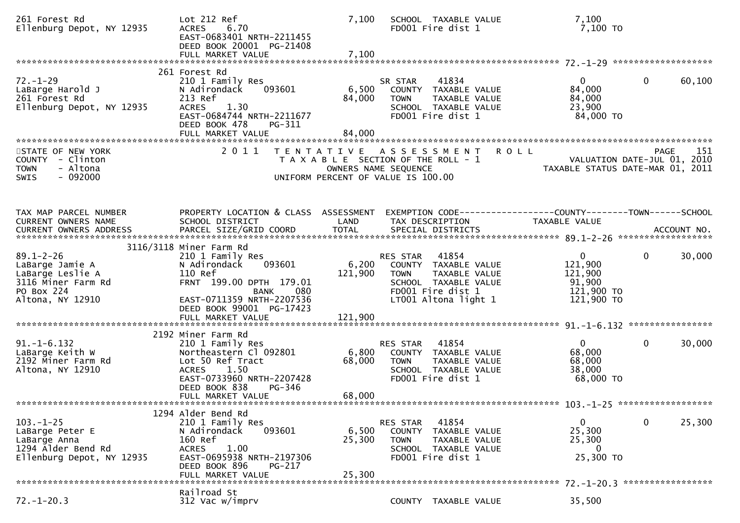| 261 Forest Rd<br>Ellenburg Depot, NY 12935                                                                     | Lot 212 Ref<br><b>ACRES</b><br>6.70<br>EAST-0683401 NRTH-2211455<br>DEED BOOK 20001 PG-21408<br>FULL MARKET VALUE                                                                | 7,100<br>7,100            | SCHOOL TAXABLE VALUE<br>FD001 Fire dist 1                                                                                                      | 7,100<br>7,100 то                                                        |                        |
|----------------------------------------------------------------------------------------------------------------|----------------------------------------------------------------------------------------------------------------------------------------------------------------------------------|---------------------------|------------------------------------------------------------------------------------------------------------------------------------------------|--------------------------------------------------------------------------|------------------------|
|                                                                                                                | 261 Forest Rd                                                                                                                                                                    |                           |                                                                                                                                                |                                                                          |                        |
| $72. - 1 - 29$<br>LaBarge Harold J<br>261 Forest Rd<br>Ellenburg Depot, NY 12935                               | 210 1 Family Res<br>093601<br>N Adirondack<br>213 Ref<br>1.30<br><b>ACRES</b><br>EAST-0684744 NRTH-2211677<br>DEED BOOK 478<br>PG-311                                            | 6,500<br>84,000           | 41834<br>SR STAR<br>COUNTY TAXABLE VALUE<br><b>TOWN</b><br>TAXABLE VALUE<br>SCHOOL TAXABLE VALUE<br>FD001 Fire dist 1                          | 0<br>84,000<br>84,000<br>23,900<br>84,000 TO                             | $\mathbf{0}$<br>60,100 |
|                                                                                                                | FULL MARKET VALUE                                                                                                                                                                | 84,000                    |                                                                                                                                                |                                                                          |                        |
| STATE OF NEW YORK<br>COUNTY - Clinton<br><b>TOWN</b><br>- Altona<br>$-092000$<br>SWIS                          | 2011                                                                                                                                                                             | T E N T A T I V E         | <b>ROLL</b><br>A S S E S S M E N T<br>T A X A B L E SECTION OF THE ROLL - 1<br>OWNERS NAME SEQUENCE<br>UNIFORM PERCENT OF VALUE IS 100.00      | VALUATION DATE-JUL 01, 2010<br>TAXABLE STATUS DATE-MAR 01, 2011          | 151<br><b>PAGE</b>     |
| TAX MAP PARCEL NUMBER<br>CURRENT OWNERS NAME                                                                   | PROPERTY LOCATION & CLASS ASSESSMENT<br>SCHOOL DISTRICT                                                                                                                          | LAND                      | EXEMPTION CODE-----------------COUNTY-------TOWN------SCHOOL<br>TAX DESCRIPTION                                                                | TAXABLE VALUE                                                            |                        |
|                                                                                                                | 3116/3118 Miner Farm Rd                                                                                                                                                          |                           |                                                                                                                                                |                                                                          |                        |
| $89.1 - 2 - 26$<br>LaBarge Jamie A<br>LaBarge Leslie A<br>3116 Miner Farm Rd<br>PO Box 224<br>Altona, NY 12910 | 210 1 Family Res<br>093601<br>N Adirondack<br>110 Ref<br>FRNT 199.00 DPTH 179.01<br>BANK<br>080<br>EAST-0711359 NRTH-2207536<br>DEED BOOK 99001 PG-17423                         | 6,200<br>121,900          | RES STAR<br>41854<br>COUNTY TAXABLE VALUE<br>TAXABLE VALUE<br><b>TOWN</b><br>SCHOOL TAXABLE VALUE<br>FD001 Fire dist 1<br>LT001 Altona light 1 | $\mathbf{0}$<br>121,900<br>121,900<br>91,900<br>121,900 TO<br>121,900 TO | $\mathbf 0$<br>30,000  |
|                                                                                                                | FULL MARKET VALUE                                                                                                                                                                | 121,900                   |                                                                                                                                                |                                                                          |                        |
|                                                                                                                |                                                                                                                                                                                  |                           |                                                                                                                                                |                                                                          |                        |
| $91. -1 - 6.132$<br>LaBarge Keith W<br>2192 Miner Farm Rd<br>Altona, NY 12910                                  | 2192 Miner Farm Rd<br>210 1 Family Res<br>Northeastern Cl 092801<br>Lot 50 Ref Tract<br>ACRES 1.50<br>EAST-0733960 NRTH-2207428<br>DEED BOOK 838<br>PG-346<br>FULL MARKET VALUE  | 6,800<br>68,000<br>68,000 | 41854<br>RES STAR<br>COUNTY TAXABLE VALUE<br><b>TOWN</b><br>TAXABLE VALUE<br>SCHOOL TAXABLE VALUE<br>FD001 Fire dist 1                         | 0<br>68,000<br>68,000<br>38,000<br>68,000 TO                             | $\Omega$<br>30,000     |
|                                                                                                                |                                                                                                                                                                                  |                           |                                                                                                                                                |                                                                          |                        |
| $103. - 1 - 25$<br>LaBarge Peter E<br>LaBarge Anna<br>1294 Alder Bend Rd<br>Ellenburg Depot, NY 12935          | 1294 Alder Bend Rd<br>210 1 Family Res<br>N Adirondack<br>093601<br>160 Ref<br><b>ACRES</b><br>1.00<br>EAST-0695938 NRTH-2197306<br>DEED BOOK 896<br>PG-217<br>FULL MARKET VALUE | 6,500<br>25,300<br>25,300 | 41854<br>RES STAR<br>TAXABLE VALUE<br>COUNTY<br><b>TOWN</b><br>TAXABLE VALUE<br>SCHOOL TAXABLE VALUE<br>FD001 Fire dist 1                      | 0<br>25,300<br>25,300<br>$\Omega$<br>25,300 TO                           | 25,300<br>$\mathbf 0$  |
|                                                                                                                | Railroad St                                                                                                                                                                      |                           |                                                                                                                                                |                                                                          |                        |
| $72. - 1 - 20.3$                                                                                               | 312 Vac w/imprv                                                                                                                                                                  |                           | COUNTY TAXABLE VALUE                                                                                                                           | 35,500                                                                   |                        |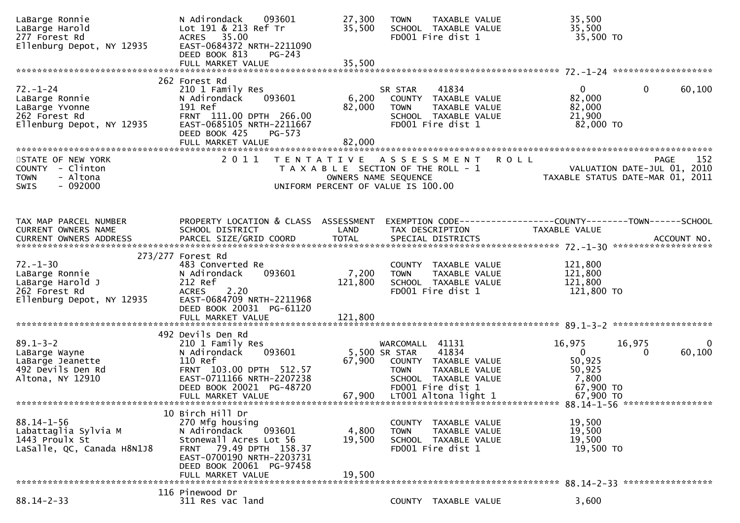| LaBarge Ronnie<br>LaBarge Harold<br>277 Forest Rd<br>Ellenburg Depot, NY 12935                     | N Adirondack<br>093601<br>Lot 191 & 213 Ref Tr<br>35.00<br>ACRES<br>EAST-0684372 NRTH-2211090<br>DEED BOOK 813<br>$PG-243$                                                                                | 27,300<br>35,500            | TAXABLE VALUE<br><b>TOWN</b><br>SCHOOL TAXABLE VALUE<br>FD001 Fire dist 1                                                                                              |                      | 35,500<br>35,500<br>35,500 TO                                                                |
|----------------------------------------------------------------------------------------------------|-----------------------------------------------------------------------------------------------------------------------------------------------------------------------------------------------------------|-----------------------------|------------------------------------------------------------------------------------------------------------------------------------------------------------------------|----------------------|----------------------------------------------------------------------------------------------|
|                                                                                                    |                                                                                                                                                                                                           |                             |                                                                                                                                                                        |                      |                                                                                              |
| $72. - 1 - 24$<br>LaBarge Ronnie<br>LaBarge Yvonne<br>262 Forest Rd<br>Ellenburg Depot, NY 12935   | 262 Forest Rd<br>210 1 Family Res<br>N Adirondack<br>093601<br>191 Ref<br>FRNT 111.00 DPTH 266.00<br>EAST-0685105 NRTH-2211667<br>DEED BOOK 425<br>$PG-573$<br>FULL MARKET VALUE                          | 6,200<br>82,000<br>82,000   | 41834<br>SR STAR<br>COUNTY TAXABLE VALUE<br><b>TOWN</b><br>TAXABLE VALUE<br>SCHOOL TAXABLE VALUE<br>FD001 Fire dist 1                                                  |                      | $\mathbf{0}$<br>0<br>60,100<br>82,000<br>82,000<br>21,900<br>82,000 TO                       |
| STATE OF NEW YORK<br>COUNTY<br>- Clinton<br>- Altona<br><b>TOWN</b><br>$-092000$<br><b>SWIS</b>    | 2011                                                                                                                                                                                                      | OWNERS NAME SEQUENCE        | TENTATIVE ASSESSMENT<br>T A X A B L E SECTION OF THE ROLL - 1<br>UNIFORM PERCENT OF VALUE IS 100.00                                                                    | <b>ROLL</b>          | 152<br><b>PAGE</b><br>VALUATION DATE-JUL 01, 2010<br>TAXABLE STATUS DATE-MAR 01, 2011        |
| TAX MAP PARCEL NUMBER<br>CURRENT OWNERS NAME<br><b>CURRENT OWNERS ADDRESS</b>                      | PROPERTY LOCATION & CLASS ASSESSMENT<br>SCHOOL DISTRICT<br>PARCEL SIZE/GRID COORD                                                                                                                         | LAND<br><b>TOTAL</b>        | TAX DESCRIPTION<br>SPECIAL DISTRICTS                                                                                                                                   | <b>TAXABLE VALUE</b> | EXEMPTION CODE------------------COUNTY--------TOWN------SCHOOL<br>ACCOUNT NO.                |
| $72. - 1 - 30$<br>LaBarge Ronnie<br>LaBarge Harold J<br>262 Forest Rd<br>Ellenburg Depot, NY 12935 | 273/277 Forest Rd<br>483 Converted Re<br>093601<br>N Adirondack<br>212 Ref<br>2.20<br><b>ACRES</b><br>EAST-0684709 NRTH-2211968<br>DEED BOOK 20031 PG-61120<br>FULL MARKET VALUE                          | 7,200<br>121,800<br>121,800 | COUNTY TAXABLE VALUE<br>TAXABLE VALUE<br><b>TOWN</b><br>SCHOOL TAXABLE VALUE<br>FD001 Fire dist 1                                                                      |                      | 121,800<br>121,800<br>121,800<br>121,800 TO                                                  |
|                                                                                                    |                                                                                                                                                                                                           |                             |                                                                                                                                                                        |                      |                                                                                              |
| $89.1 - 3 - 2$<br>LaBarge Wayne<br>LaBarge Jeanette<br>492 Devils Den Rd<br>Altona, NY 12910       | 492 Devils Den Rd<br>210 1 Family Res<br>093601<br>N Adirondack<br>110 Ref<br>FRNT 103.00 DPTH 512.57<br>EAST-0711166 NRTH-2207238<br>DEED BOOK 20021 PG-48720<br>FULL MARKET VALUE                       | 67,900<br>67,900            | WARCOMALL 41131<br>5,500 SR STAR<br>41834<br>COUNTY TAXABLE VALUE<br>TAXABLE VALUE<br><b>TOWN</b><br>SCHOOL TAXABLE VALUE<br>FD001 Fire dist 1<br>LT001 Altona light 1 | 16,975               | 16,975<br>60,100<br>$\mathbf{0}$<br>0<br>50,925<br>50,925<br>7,800<br>67,900 TO<br>67,900 TO |
|                                                                                                    |                                                                                                                                                                                                           |                             |                                                                                                                                                                        |                      |                                                                                              |
| $88.14 - 1 - 56$<br>Labattaglia Sylvia M<br>1443 Proulx St<br>LaSalle, QC, Canada H8N1J8           | 10 Birch Hill Dr<br>270 Mfg housing<br>N Adirondack<br>093601<br>Stonewall Acres Lot 56<br>79.49 DPTH 158.37<br><b>FRNT</b><br>EAST-0700190 NRTH-2203731<br>DEED BOOK 20061 PG-97458<br>FULL MARKET VALUE | 4,800<br>19,500<br>19,500   | COUNTY TAXABLE VALUE<br>TAXABLE VALUE<br><b>TOWN</b><br>SCHOOL TAXABLE VALUE<br>FD001 Fire dist 1                                                                      |                      | 19,500<br>19,500<br>19,500<br>19,500 TO                                                      |
|                                                                                                    |                                                                                                                                                                                                           |                             |                                                                                                                                                                        |                      |                                                                                              |
| $88.14 - 2 - 33$                                                                                   | 116 Pinewood Dr<br>311 Res vac land                                                                                                                                                                       |                             | COUNTY TAXABLE VALUE                                                                                                                                                   |                      | 3,600                                                                                        |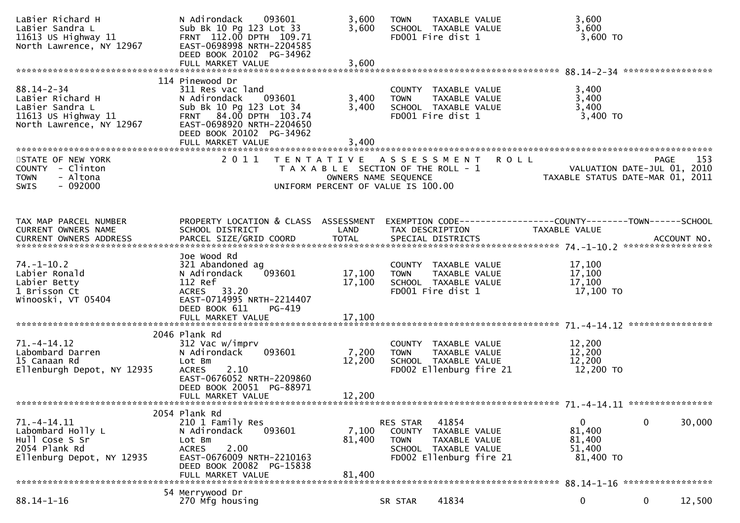| LaBier Richard H<br>LaBier Sandra L<br>11613 US Highway 11<br>North Lawrence, NY 12967                       | N Adirondack 093601<br>Sub Bk 10 Pg 123 Lot 33<br>FRNT 112.00 DPTH 109.71<br>EAST-0698998 NRTH-2204585<br>DEED BOOK 20102 PG-34962<br>FULL MARKET VALUE                                          | 3,600<br>3,600<br>3,600                   | TAXABLE VALUE<br><b>TOWN</b><br>SCHOOL TAXABLE VALUE<br>FD001 Fire dist 1                                                              |             | 3,600<br>3,600<br>3,600 TO                   |                                                                                |
|--------------------------------------------------------------------------------------------------------------|--------------------------------------------------------------------------------------------------------------------------------------------------------------------------------------------------|-------------------------------------------|----------------------------------------------------------------------------------------------------------------------------------------|-------------|----------------------------------------------|--------------------------------------------------------------------------------|
|                                                                                                              |                                                                                                                                                                                                  |                                           |                                                                                                                                        |             |                                              |                                                                                |
| $88.14 - 2 - 34$<br>LaBier Richard H<br>LaBier Sandra L<br>11613 US Highway $11$<br>North Lawrence, NY 12967 | 114 Pinewood Dr<br>311 Res vac land<br>N Adirondack<br>093601<br>Sub Bk 10 Pg 123 Lot 34<br>FRNT 84.00 DPTH 103.74<br>EAST-0698920 NRTH-2204650<br>DEED BOOK 20102 PG-34962<br>FULL MARKET VALUE | 3,400<br>3,400<br>3,400                   | COUNTY TAXABLE VALUE<br>TAXABLE VALUE<br><b>TOWN</b><br>SCHOOL TAXABLE VALUE<br>FD001 Fire dist 1                                      |             | 3,400<br>3,400<br>3,400<br>3,400 TO          |                                                                                |
| STATE OF NEW YORK<br>COUNTY - Clinton<br>- Altona<br><b>TOWN</b><br>$-092000$<br><b>SWIS</b>                 | 2011                                                                                                                                                                                             | T E N T A T I V E<br>OWNERS NAME SEQUENCE | A S S E S S M E N T<br>T A X A B L E SECTION OF THE ROLL - 1<br>UNIFORM PERCENT OF VALUE IS 100.00                                     | <b>ROLL</b> |                                              | 153<br>PAGE<br>VALUATION DATE-JUL 01, 2010<br>TAXABLE STATUS DATE-MAR 01, 2011 |
| TAX MAP PARCEL NUMBER<br>CURRENT OWNERS NAME<br>CURRENT OWNERS ADDRESS                                       | PROPERTY LOCATION & CLASS ASSESSMENT<br>SCHOOL DISTRICT                                                                                                                                          | LAND                                      | EXEMPTION CODE-----------------COUNTY-------TOWN------SCHOOL<br>TAX DESCRIPTION                                                        |             | TAXABLE VALUE                                |                                                                                |
| $74. - 1 - 10.2$<br>Labier Ronald<br>Labier Betty<br>1 Brisson Ct<br>Winooski, VT 05404                      | Joe Wood Rd<br>321 Abandoned ag<br>093601<br>N Adirondack<br>112 Ref<br>ACRES 33.20<br>EAST-0714995 NRTH-2214407<br>DEED BOOK 611<br>PG-419<br>FULL MARKET VALUE                                 | 17,100<br>17,100<br>17,100                | COUNTY TAXABLE VALUE<br>TAXABLE VALUE<br><b>TOWN</b><br>SCHOOL TAXABLE VALUE<br>FD001 Fire dist 1                                      |             | 17,100<br>17,100<br>17,100<br>17,100 TO      |                                                                                |
|                                                                                                              | 2046 Plank Rd                                                                                                                                                                                    |                                           |                                                                                                                                        |             |                                              |                                                                                |
| $71. - 4 - 14.12$<br>Labombard Darren<br>15 Canaan Rd<br>Ellenburgh Depot, NY 12935                          | 312 Vac w/imprv<br>N Adirondack<br>093601<br>Lot Bm<br>2.10<br><b>ACRES</b><br>EAST-0676052 NRTH-2209860<br>DEED BOOK 20051 PG-88971<br>FULL MARKET VALUE                                        | 7,200<br>12,200<br>12,200                 | COUNTY TAXABLE VALUE<br><b>TOWN</b><br>TAXABLE VALUE<br>SCHOOL TAXABLE VALUE<br>FD002 Ellenburg fire 21                                |             | 12,200<br>12,200<br>12,200<br>12,200 TO      |                                                                                |
|                                                                                                              |                                                                                                                                                                                                  |                                           |                                                                                                                                        |             |                                              |                                                                                |
| 71. -4-14.11<br>Labombard Holly L<br>Hull Cose S Sr<br>2054 Plank Rd<br>Ellenburg Depot, NY 12935            | 2054 Plank Rd<br>210 1 Family Res<br>N Adirondack<br>093601<br>Lot Bm<br>2.00<br><b>ACRES</b><br>EAST-0676009 NRTH-2210163<br>DEED BOOK 20082 PG-15838<br>FULL MARKET VALUE                      | 7,100<br>81,400<br>81,400                 | 41854<br>RES STAR<br><b>COUNTY</b><br>TAXABLE VALUE<br>TAXABLE VALUE<br><b>TOWN</b><br>SCHOOL TAXABLE VALUE<br>FD002 Ellenburg fire 21 |             | 0<br>81,400<br>81,400<br>51,400<br>81,400 TO | $\mathbf{0}$<br>30,000                                                         |
|                                                                                                              | 54 Merrywood Dr                                                                                                                                                                                  |                                           |                                                                                                                                        |             |                                              |                                                                                |
| $88.14 - 1 - 16$                                                                                             | 270 Mfg housing                                                                                                                                                                                  |                                           | 41834<br>SR STAR                                                                                                                       |             | 0                                            | 12,500<br>$\mathbf 0$                                                          |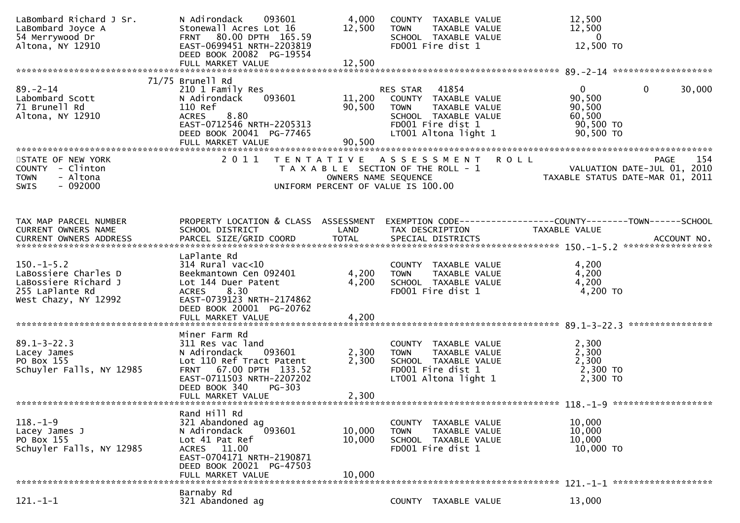| LaBombard Richard J Sr.<br>LaBombard Joyce A<br>54 Merrywood Dr<br>Altona, NY 12910                     | N Adirondack<br>093601<br>Stonewall Acres Lot 16<br>FRNT 80.00 DPTH 165.59<br>EAST-0699451 NRTH-2203819<br>DEED BOOK 20082 PG-19554                                                            | 4,000<br>12,500                           | COUNTY TAXABLE VALUE<br>TAXABLE VALUE<br><b>TOWN</b><br>SCHOOL TAXABLE VALUE<br>FD001 Fire dist 1                                              | 12,500<br>12,500<br>$\overline{\phantom{0}}$<br>12,500 TO                              |        |
|---------------------------------------------------------------------------------------------------------|------------------------------------------------------------------------------------------------------------------------------------------------------------------------------------------------|-------------------------------------------|------------------------------------------------------------------------------------------------------------------------------------------------|----------------------------------------------------------------------------------------|--------|
|                                                                                                         |                                                                                                                                                                                                |                                           |                                                                                                                                                |                                                                                        |        |
| $89 - 2 - 14$<br>Labombard Scott<br>71 Brunell Rd<br>Altona, NY 12910                                   | 71/75 Brunell Rd<br>210 1 Family Res<br>093601<br>N Adirondack<br>110 Ref<br><b>ACRES</b><br>8.80<br>EAST-0712546 NRTH-2205313<br>DEED BOOK 20041 PG-77465<br>FULL MARKET VALUE                | 11,200<br>90,500<br>90,500                | 41854<br>RES STAR<br>COUNTY TAXABLE VALUE<br>TAXABLE VALUE<br><b>TOWN</b><br>SCHOOL TAXABLE VALUE<br>FD001 Fire dist 1<br>LT001 Altona light 1 | $\Omega$<br>$\mathbf 0$<br>90,500<br>90,500<br>60,500<br>90,500 TO<br>90,500 TO        | 30,000 |
| STATE OF NEW YORK<br>COUNTY - Clinton<br>- Altona<br><b>TOWN</b><br>$-092000$<br><b>SWIS</b>            | 2011                                                                                                                                                                                           | T E N T A T I V E<br>OWNERS NAME SEQUENCE | <b>ROLL</b><br>A S S E S S M E N T<br>T A X A B L E SECTION OF THE ROLL - 1<br>UNIFORM PERCENT OF VALUE IS 100.00                              | <b>PAGE</b><br>VALUATION DATE-JUL 01, 2010<br>TAXABLE STATUS DATE-MAR 01, 2011         | 154    |
| TAX MAP PARCEL NUMBER<br>CURRENT OWNERS NAME<br><b>CURRENT OWNERS ADDRESS</b>                           | PROPERTY LOCATION & CLASS ASSESSMENT<br>SCHOOL DISTRICT                                                                                                                                        | LAND                                      | TAX DESCRIPTION                                                                                                                                | EXEMPTION CODE------------------COUNTY--------TOWN------SCHOOL<br><b>TAXABLE VALUE</b> |        |
| $150.-1-5.2$<br>LaBossiere Charles D<br>LaBossiere Richard J<br>255 LaPlante Rd<br>West Chazy, NY 12992 | LaPlante Rd<br>$314$ Rural vac<10<br>Beekmantown Cen 092401<br>Lot 144 Duer Patent<br>8.30<br><b>ACRES</b><br>EAST-0739123 NRTH-2174862<br>DEED BOOK 20001 PG-20762<br>FULL MARKET VALUE       | 4,200<br>4,200<br>4,200                   | COUNTY TAXABLE VALUE<br><b>TOWN</b><br>TAXABLE VALUE<br>SCHOOL TAXABLE VALUE<br>FD001 Fire dist 1                                              | 4,200<br>4,200<br>4,200<br>$4,200$ TO                                                  |        |
| $89.1 - 3 - 22.3$<br>Lacey James<br>PO Box 155<br>Schuyler Falls, NY 12985                              | Miner Farm Rd<br>311 Res vac land<br>N Adirondack<br>093601<br>Lot 110 Ref Tract Patent<br>FRNT 67.00 DPTH 133.52<br>EAST-0711503 NRTH-2207202<br>DEED BOOK 340<br>PG-303<br>FULL MARKET VALUE | 2,300<br>2,300<br>2,300                   | COUNTY TAXABLE VALUE<br><b>TOWN</b><br>TAXABLE VALUE<br>SCHOOL TAXABLE VALUE<br>FD001 Fire dist 1<br>LT001 Altona light 1                      | 2,300<br>2,300<br>2,300<br>2,300 TO<br>2,300 TO                                        |        |
| $118. - 1 - 9$<br>Lacey James J<br>PO Box 155<br>Schuyler Falls, NY 12985                               | Rand Hill Rd<br>321 Abandoned ag<br>093601<br>N Adirondack<br>Lot 41 Pat Ref<br>ACRES 11.00<br>EAST-0704171 NRTH-2190871<br>DEED BOOK 20021 PG-47503<br>FULL MARKET VALUE                      | 10,000<br>10,000<br>10,000                | COUNTY TAXABLE VALUE<br>TAXABLE VALUE<br><b>TOWN</b><br>SCHOOL TAXABLE VALUE<br>FD001 Fire dist 1                                              | 10,000<br>10,000<br>10,000<br>10,000 TO                                                |        |
| $121.-1-1$                                                                                              | Barnaby Rd<br>321 Abandoned ag                                                                                                                                                                 |                                           | COUNTY TAXABLE VALUE                                                                                                                           | 13,000                                                                                 |        |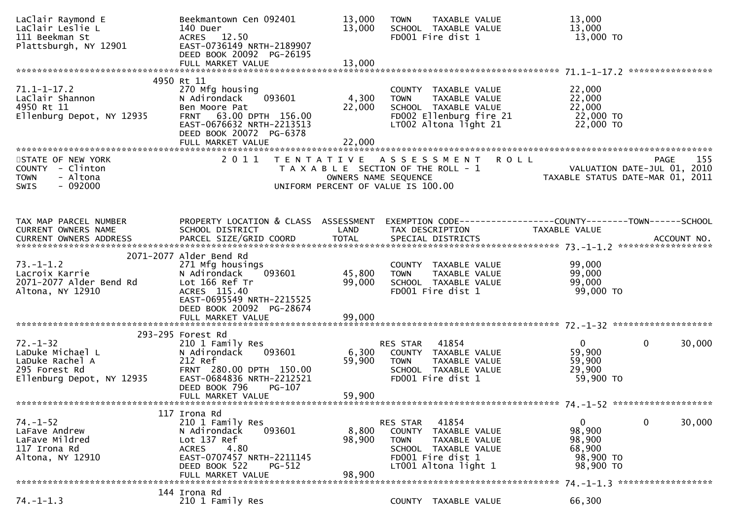| LaClair Raymond E<br>LaClair Leslie L<br>111 Beekman St<br>Plattsburgh, NY 12901                    | Beekmantown Cen 092401<br>140 Duer<br>ACRES 12.50<br>EAST-0736149 NRTH-2189907<br>DEED BOOK 20092 PG-26195                                                                                | 13,000<br>13,000                                                                                                                 | <b>TOWN</b>                       | TAXABLE VALUE<br>SCHOOL TAXABLE VALUE<br>FD001 Fire dist 1                                                   |                      | 13,000<br>13,000<br>13,000 TO                             |                                                          |
|-----------------------------------------------------------------------------------------------------|-------------------------------------------------------------------------------------------------------------------------------------------------------------------------------------------|----------------------------------------------------------------------------------------------------------------------------------|-----------------------------------|--------------------------------------------------------------------------------------------------------------|----------------------|-----------------------------------------------------------|----------------------------------------------------------|
|                                                                                                     |                                                                                                                                                                                           |                                                                                                                                  |                                   |                                                                                                              |                      |                                                           |                                                          |
| $71.1 - 1 - 17.2$<br>LaClair Shannon<br>4950 Rt 11<br>Ellenburg Depot, NY 12935                     | 4950 Rt 11<br>270 Mfg housing<br>093601<br>N Adirondack<br>Ben Moore Pat<br>63.00 DPTH 156.00<br><b>FRNT</b><br>EAST-0676632 NRTH-2213513<br>DEED BOOK 20072 PG-6378<br>FULL MARKET VALUE | 4,300<br>22,000<br>22,000                                                                                                        | <b>TOWN</b>                       | COUNTY TAXABLE VALUE<br>TAXABLE VALUE<br>FD002 Ellenburg fire 21<br>LT002 Altona light 21                    | SCHOOL TAXABLE VALUE | 22,000<br>22,000<br>22,000<br>22,000 TO<br>22,000 TO      |                                                          |
|                                                                                                     |                                                                                                                                                                                           |                                                                                                                                  |                                   |                                                                                                              |                      |                                                           |                                                          |
| STATE OF NEW YORK<br>COUNTY - Clinton<br>- Altona<br><b>TOWN</b><br>$-092000$<br><b>SWIS</b>        | 2 0 1 1                                                                                                                                                                                   | TENTATIVE ASSESSMENT ROLL<br>T A X A B L E SECTION OF THE ROLL - 1<br>OWNERS NAME SEQUENCE<br>UNIFORM PERCENT OF VALUE IS 100.00 |                                   |                                                                                                              |                      |                                                           |                                                          |
| TAX MAP PARCEL NUMBER<br>CURRENT OWNERS NAME<br>CURRENT OWNERS ADDRESS                              | PROPERTY LOCATION & CLASS ASSESSMENT EXEMPTION CODE----------------COUNTY-------TOWN------SCHOOL<br>SCHOOL DISTRICT                                                                       | <b>LAND</b>                                                                                                                      |                                   | TAX DESCRIPTION                                                                                              |                      | TAXABLE VALUE                                             |                                                          |
| $73. - 1 - 1.2$<br>Lacroix Karrie<br>2071-2077 Alder Bend Rd<br>Altona, NY 12910                    | 2071-2077 Alder Bend Rd<br>271 Mfg housings<br>093601<br>N Adirondack<br>Lot 166 Ref Tr<br>ACRES 115.40<br>EAST-0695549 NRTH-2215525<br>DEED BOOK 20092 PG-28674                          | 45,800<br>99,000                                                                                                                 | <b>TOWN</b>                       | COUNTY TAXABLE VALUE<br>TAXABLE VALUE<br>SCHOOL TAXABLE VALUE<br>FD001 Fire dist 1                           |                      | 99,000<br>99,000<br>99,000<br>99,000 TO                   |                                                          |
|                                                                                                     | FULL MARKET VALUE                                                                                                                                                                         | 99,000                                                                                                                           |                                   |                                                                                                              |                      |                                                           |                                                          |
|                                                                                                     |                                                                                                                                                                                           |                                                                                                                                  |                                   |                                                                                                              |                      |                                                           |                                                          |
| $72. - 1 - 32$<br>LaDuke Michael L<br>LaDuke Rachel A<br>295 Forest Rd<br>Ellenburg Depot, NY 12935 | 293-295 Forest Rd<br>210 1 Family Res<br>093601<br>N Adirondack<br>212 Ref<br>FRNT 280.00 DPTH 150.00<br>EAST-0684836 NRTH-2212521<br>DEED BOOK 796<br>$PG-107$                           | 6,300<br>59,900<br>59,900                                                                                                        | RES STAR 41854<br><b>TOWN</b>     | TAXABLE VALUE<br>SCHOOL TAXABLE VALUE<br>FD001 Fire dist 1                                                   | COUNTY TAXABLE VALUE | $\overline{0}$<br>59,900<br>59,900<br>29,900<br>59,900 TO | 30,000<br>$\bf{0}$                                       |
|                                                                                                     | FULL MARKET VALUE                                                                                                                                                                         |                                                                                                                                  |                                   |                                                                                                              |                      |                                                           |                                                          |
| 74. – 1–52<br>LaFave Andrew<br>LaFave Mildred<br>117 Irona Rd<br>Altona, NY 12910                   | 117 Irona Rd<br>210 1 Family Res<br>093601<br>N Adirondack<br>Lot 137 Ref<br>4.80<br><b>ACRES</b><br>EAST-0707457 NRTH-2211145<br>DEED BOOK 522<br>$PG-512$<br>FULL MARKET VALUE          | 8,800<br>98,900<br>98,900                                                                                                        | <b>RES STAR</b><br>COUNTY<br>TOWN | 41854<br>TAXABLE VALUE<br>TAXABLE VALUE<br>SCHOOL TAXABLE VALUE<br>FD001 Fire dist 1<br>LT001 Altona light 1 |                      | 0<br>98,900<br>98,900<br>68,900<br>98,900 TO<br>98,900 TO | $\mathbf{0}$<br>30,000<br>74. -1-1.3 ******************* |
|                                                                                                     | 144 Irona Rd                                                                                                                                                                              |                                                                                                                                  |                                   |                                                                                                              |                      |                                                           |                                                          |
| $74. - 1 - 1.3$                                                                                     | 210 1 Family Res                                                                                                                                                                          |                                                                                                                                  |                                   | COUNTY TAXABLE VALUE                                                                                         |                      | 66,300                                                    |                                                          |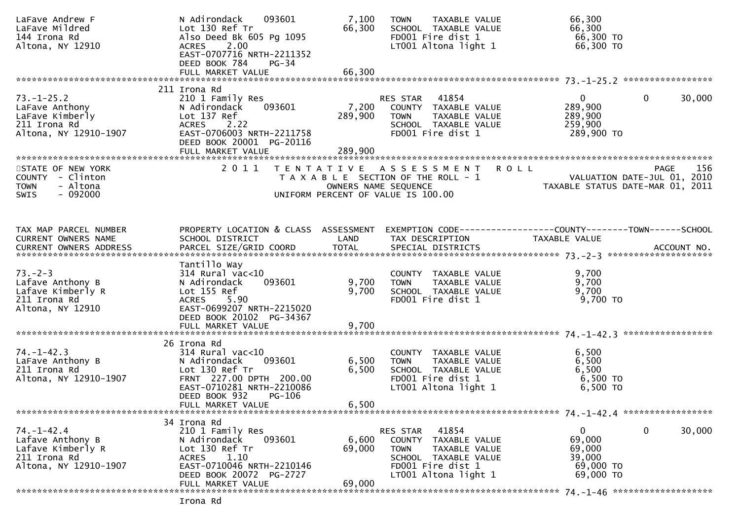| LaFave Andrew F<br>LaFave Mildred<br>144 Irona Rd<br>Altona, NY 12910                              | 093601<br>N Adirondack<br>Lot 130 Ref Tr<br>Also Deed Bk 605 Pg 1095<br>ACRES 2.00<br>EAST-0707716 NRTH-2211352<br>DEED BOOK 784<br>PG-34<br>FULL MARKET VALUE                           | 7,100<br>66,300<br>66,300   | TAXABLE VALUE<br><b>TOWN</b><br>SCHOOL TAXABLE VALUE<br>FD001 Fire dist 1<br>LT001 Altona light 1                                              | 66,300<br>66,300<br>66,300 TO<br>66,300 TO                                             |                        |
|----------------------------------------------------------------------------------------------------|------------------------------------------------------------------------------------------------------------------------------------------------------------------------------------------|-----------------------------|------------------------------------------------------------------------------------------------------------------------------------------------|----------------------------------------------------------------------------------------|------------------------|
|                                                                                                    | 211 Irona Rd                                                                                                                                                                             |                             |                                                                                                                                                |                                                                                        |                        |
| $73. - 1 - 25.2$<br>LaFave Anthony<br>LaFave Kimberly<br>211 Irona Rd<br>Altona, NY 12910-1907     | 210 1 Family Res<br>093601<br>N Adirondack<br>Lot 137 Ref<br>ACRES 2.22<br>EAST-0706003 NRTH-2211758<br>DEED BOOK 20001 PG-20116<br>FULL MARKET VALUE                                    | 7,200<br>289,900<br>289,900 | RES STAR 41854<br>COUNTY TAXABLE VALUE<br>TAXABLE VALUE<br><b>TOWN</b><br>SCHOOL TAXABLE VALUE<br>FD001 Fire dist 1                            | $\mathbf{0}$<br>289,900<br>289,900<br>259,900<br>289,900 TO                            | $\mathbf{0}$<br>30,000 |
|                                                                                                    |                                                                                                                                                                                          |                             |                                                                                                                                                |                                                                                        |                        |
| STATE OF NEW YORK<br>COUNTY - Clinton<br>- Altona<br><b>TOWN</b><br>$-092000$<br><b>SWIS</b>       | 2011                                                                                                                                                                                     | OWNERS NAME SEQUENCE        | TENTATIVE ASSESSMENT ROLL<br>T A X A B L E SECTION OF THE ROLL - 1<br>UNIFORM PERCENT OF VALUE IS 100.00                                       | VALUATION DATE-JUL 01, 2010<br>TAXABLE STATUS DATE-MAR 01, 2011                        | 156<br>PAGE            |
|                                                                                                    |                                                                                                                                                                                          |                             |                                                                                                                                                |                                                                                        |                        |
| TAX MAP PARCEL NUMBER<br>CURRENT OWNERS NAME                                                       | PROPERTY LOCATION & CLASS ASSESSMENT<br>SCHOOL DISTRICT                                                                                                                                  | LAND                        | TAX DESCRIPTION                                                                                                                                | EXEMPTION CODE------------------COUNTY--------TOWN------SCHOOL<br><b>TAXABLE VALUE</b> |                        |
|                                                                                                    | Tantillo Way                                                                                                                                                                             |                             |                                                                                                                                                |                                                                                        |                        |
| $73. - 2 - 3$<br>Lafave Anthony B<br>Lafave Kimberly R<br>211 Irona Rd<br>Altona, NY 12910         | $314$ Rural vac<10<br>093601<br>N Adirondack<br>Lot 155 Ref<br>ACRES 5.90<br>EAST-0699207 NRTH-2215020<br>DEED BOOK 20102 PG-34367                                                       | 9,700<br>9,700              | COUNTY TAXABLE VALUE<br><b>TOWN</b><br>TAXABLE VALUE<br>SCHOOL TAXABLE VALUE<br>FD001 Fire dist 1                                              | 9,700<br>9,700<br>9,700<br>9,700 TO                                                    |                        |
|                                                                                                    |                                                                                                                                                                                          |                             |                                                                                                                                                |                                                                                        |                        |
| $74. - 1 - 42.3$<br>LaFave Anthony B<br>211 Irona Rd<br>Altona, NY 12910-1907                      | 26 Irona Rd<br>$314$ Rural vac< $10$<br>N Adirondack<br>093601<br>Lot 130 Ref Tr<br>FRNT 227.00 DPTH 200.00<br>EAST-0710281 NRTH-2210086<br>DEED BOOK 932<br>PG-106<br>FULL MARKET VALUE | 6,500<br>6,500<br>6,500     | COUNTY TAXABLE VALUE<br>TAXABLE VALUE<br>TOWN<br>SCHOOL TAXABLE VALUE<br>FD001 Fire dist 1<br>LT001 Altona light 1                             | 6,500<br>6,500<br>6,500<br>6,500 TO<br>6,500 TO                                        |                        |
|                                                                                                    |                                                                                                                                                                                          |                             |                                                                                                                                                |                                                                                        |                        |
| $74. - 1 - 42.4$<br>Lafave Anthony B<br>Lafave Kimberly R<br>211 Irona Rd<br>Altona, NY 12910-1907 | 34 Irona Rd<br>210 1 Family Res<br>093601<br>N Adirondack<br>Lot 130 Ref Tr<br>1.10<br><b>ACRES</b><br>EAST-0710046 NRTH-2210146<br>DEED BOOK 20072 PG-2727                              | 6,600<br>69,000             | 41854<br>RES STAR<br>COUNTY TAXABLE VALUE<br>TAXABLE VALUE<br><b>TOWN</b><br>SCHOOL TAXABLE VALUE<br>FD001 Fire dist 1<br>LT001 Altona light 1 | $\mathbf{0}$<br>69,000<br>69,000<br>39,000<br>69,000 TO<br>69,000 TO                   | $\mathbf 0$<br>30,000  |
|                                                                                                    | FULL MARKET VALUE                                                                                                                                                                        | 69,000                      |                                                                                                                                                |                                                                                        |                        |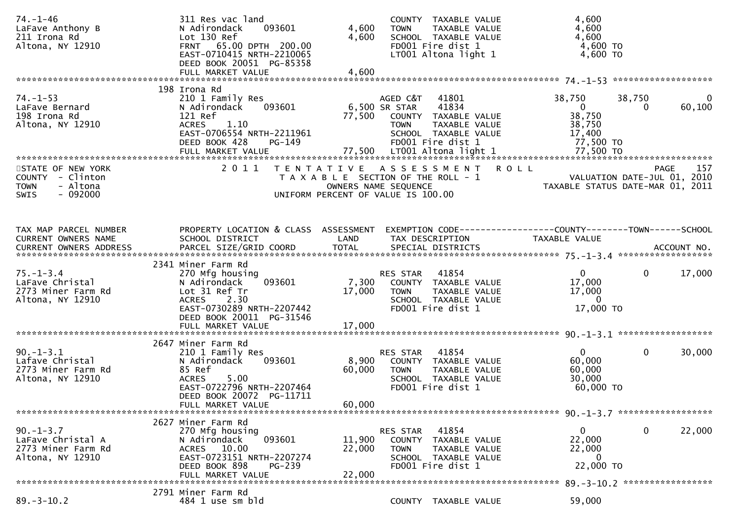| $74. - 1 - 46$<br>LaFave Anthony B<br>211 Irona Rd<br>Altona, NY 12910                       | 311 Res vac land<br>093601<br>N Adirondack<br>Lot 130 Ref<br>FRNT 65.00 DPTH 200.00<br>EAST-0710415 NRTH-2210065<br>DEED BOOK 20051 PG-85358<br>FULL MARKET VALUE                | 4,600<br>4,600<br>4,600   | COUNTY TAXABLE VALUE<br>TAXABLE VALUE<br><b>TOWN</b><br>SCHOOL TAXABLE VALUE<br>FD001 Fire dist 1<br>LT001 Altona light 1                                                       | 4,600<br>4,600<br>4,600<br>4,600 TO<br>4,600 TO                                  |                                                                                       |
|----------------------------------------------------------------------------------------------|----------------------------------------------------------------------------------------------------------------------------------------------------------------------------------|---------------------------|---------------------------------------------------------------------------------------------------------------------------------------------------------------------------------|----------------------------------------------------------------------------------|---------------------------------------------------------------------------------------|
| $74. - 1 - 53$<br>LaFave Bernard<br>198 Irona Rd<br>Altona, NY 12910                         | 198 Irona Rd<br>210 1 Family Res<br>N Adirondack<br>093601<br>121 Ref<br><b>ACRES</b><br>1.10<br>EAST-0706554 NRTH-2211961<br>DEED BOOK 428<br>PG-149<br>FULL MARKET VALUE       | 77,500                    | AGED C&T<br>41801<br>6,500 SR STAR<br>41834<br>COUNTY TAXABLE VALUE<br><b>TOWN</b><br>TAXABLE VALUE<br>SCHOOL TAXABLE VALUE<br>FD001 Fire dist 1<br>77,500 LT001 Altona light 1 | 38,750<br>$\overline{0}$<br>38,750<br>38,750<br>17,400<br>77,500 TO<br>77,500 TO | $\mathbf 0$<br>38,750<br>60,100<br>0                                                  |
| STATE OF NEW YORK<br>COUNTY - Clinton<br>- Altona<br><b>TOWN</b><br>$-092000$<br><b>SWIS</b> | 2 0 1 1                                                                                                                                                                          |                           | <b>ROLL</b><br>TENTATIVE ASSESSMENT<br>T A X A B L E SECTION OF THE ROLL - 1<br>OWNERS NAME SEQUENCE<br>UNIFORM PERCENT OF VALUE IS 100.00                                      |                                                                                  | 157<br><b>PAGE</b><br>VALUATION DATE-JUL 01, 2010<br>TAXABLE STATUS DATE-MAR 01, 2011 |
| TAX MAP PARCEL NUMBER<br>CURRENT OWNERS NAME                                                 | PROPERTY LOCATION & CLASS ASSESSMENT<br>SCHOOL DISTRICT                                                                                                                          | LAND                      | TAX DESCRIPTION                                                                                                                                                                 | TAXABLE VALUE                                                                    |                                                                                       |
| $75. - 1 - 3.4$<br>LaFave Christal<br>2773 Miner Farm Rd<br>Altona, NY 12910                 | 2341 Miner Farm Rd<br>270 Mfg housing<br>N Adirondack<br>093601<br>Lot 31 Ref Tr<br><b>ACRES</b><br>2.30<br>EAST-0730289 NRTH-2207442<br>DEED BOOK 20011 PG-31546                | 7,300<br>17,000           | 41854<br>RES STAR<br>COUNTY TAXABLE VALUE<br><b>TOWN</b><br>TAXABLE VALUE<br>SCHOOL TAXABLE VALUE<br>FD001 Fire dist 1                                                          | $\mathbf{0}$<br>17,000<br>17,000<br>$\overline{0}$<br>17,000 TO                  | $\mathbf 0$<br>17,000                                                                 |
| $90. -1 - 3.1$<br>Lafave Christal<br>2773 Miner Farm Rd<br>Altona, NY 12910                  | 2647 Miner Farm Rd<br>210 1 Family Res<br>093601<br>N Adirondack<br>85 Ref<br>5.00<br><b>ACRES</b><br>EAST-0722796 NRTH-2207464<br>DEED BOOK 20072 PG-11711<br>FULL MARKET VALUE | 8,900<br>60,000<br>60,000 | 41854<br>RES STAR<br>COUNTY TAXABLE VALUE<br>TAXABLE VALUE<br><b>TOWN</b><br>SCHOOL TAXABLE VALUE<br>FD001 Fire dist 1                                                          | $\mathbf{0}$<br>60,000<br>60,000<br>30,000<br>60,000 TO                          | $\mathbf 0$<br>30,000                                                                 |
| $90. - 1 - 3.7$                                                                              | 2627 Miner Farm Rd<br>270 Mfg housing                                                                                                                                            |                           | 41854<br>RES STAR                                                                                                                                                               | $\overline{0}$<br>22,000                                                         | $\mathbf 0$<br>22,000                                                                 |
| LaFave Christal A<br>2773 Miner Farm Rd<br>Altona, NY 12910                                  | N Adirondack<br>093601<br>ACRES 10.00<br>EAST-0723151 NRTH-2207274<br>DEED BOOK 898<br><b>PG-239</b>                                                                             | 11,900<br>22,000          | COUNTY TAXABLE VALUE<br>TAXABLE VALUE<br><b>TOWN</b><br>SCHOOL TAXABLE VALUE<br>FD001 Fire dist 1                                                                               | 22,000<br>0<br>22,000 TO                                                         |                                                                                       |
|                                                                                              | FULL MARKET VALUE                                                                                                                                                                | 22,000                    |                                                                                                                                                                                 |                                                                                  |                                                                                       |
| $89. - 3 - 10.2$                                                                             | 2791 Miner Farm Rd<br>484 1 use sm bld                                                                                                                                           |                           | COUNTY TAXABLE VALUE                                                                                                                                                            | 59,000                                                                           |                                                                                       |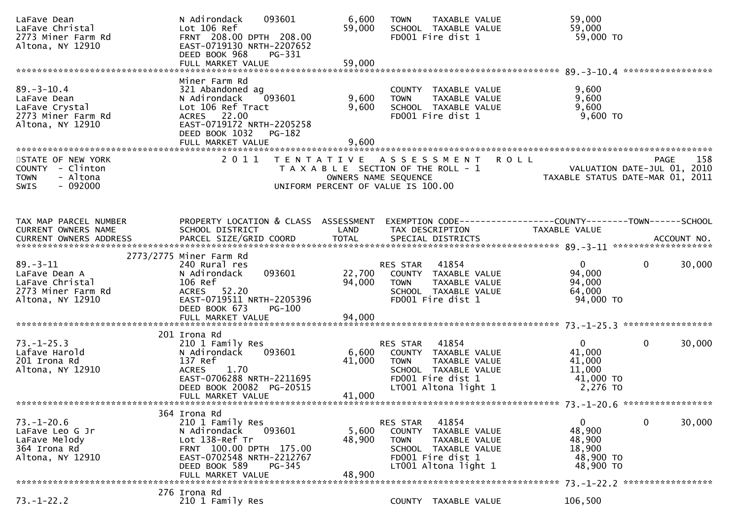| LaFave Dean<br>LaFave Christal<br>2773 Miner Farm Rd<br>Altona, NY 12910                                                                                           | 093601<br>N Adirondack<br>Lot 106 Ref<br>FRNT 208.00 DPTH 208.00<br>EAST-0719130 NRTH-2207652<br>DEED BOOK 968<br>PG-331<br>FULL MARKET VALUE                                           | 6,600<br>59,000<br>59,000 | TAXABLE VALUE<br><b>TOWN</b><br>SCHOOL TAXABLE VALUE<br>FD001 Fire dist 1                                                                         | 59,000<br>59,000<br>59,000 TO                                                  |                        |
|--------------------------------------------------------------------------------------------------------------------------------------------------------------------|-----------------------------------------------------------------------------------------------------------------------------------------------------------------------------------------|---------------------------|---------------------------------------------------------------------------------------------------------------------------------------------------|--------------------------------------------------------------------------------|------------------------|
|                                                                                                                                                                    |                                                                                                                                                                                         |                           |                                                                                                                                                   |                                                                                |                        |
| $89. - 3 - 10.4$<br>LaFave Dean<br>LaFave Crystal<br>2773 Miner Farm Rd<br>Altona, NY 12910                                                                        | Miner Farm Rd<br>321 Abandoned ag<br>093601<br>N Adirondack<br>Lot 106 Ref Tract<br>22.00<br><b>ACRES</b><br>EAST-0719172 NRTH-2205258<br>DEED BOOK 1032<br>PG-182<br>FULL MARKET VALUE | 9,600<br>9,600<br>9,600   | COUNTY TAXABLE VALUE<br><b>TOWN</b><br>TAXABLE VALUE<br>SCHOOL TAXABLE VALUE<br>FD001 Fire dist 1                                                 | 9,600<br>9,600<br>9,600<br>$9,600$ TO                                          |                        |
|                                                                                                                                                                    |                                                                                                                                                                                         |                           |                                                                                                                                                   |                                                                                |                        |
| STATE OF NEW YORK<br>COUNTY - Clinton<br>- Altona<br><b>TOWN</b><br>$-092000$<br><b>SWIS</b>                                                                       | 2011                                                                                                                                                                                    |                           | TENTATIVE ASSESSMENT<br>T A X A B L E SECTION OF THE ROLL - 1<br>OWNERS NAME SEQUENCE<br>UNIFORM PERCENT OF VALUE IS 100.00                       | <b>ROLL</b><br>VALUATION DATE-JUL 01, 2010<br>TAXABLE STATUS DATE-MAR 01, 2011 | 158<br>PAGE            |
|                                                                                                                                                                    |                                                                                                                                                                                         |                           |                                                                                                                                                   |                                                                                |                        |
| TAX MAP PARCEL NUMBER<br>CURRENT OWNERS NAME<br>.0URRENT OWNERS ADDRESS PARCEL SIZE/GRID COORD TOTAL SPECIAL DISTRICTS ACCOUNT NO ACCOUNT NO ACCOUNT NO ACCOUNT NO | PROPERTY LOCATION & CLASS ASSESSMENT<br>SCHOOL DISTRICT                                                                                                                                 | LAND                      | TAX DESCRIPTION                                                                                                                                   | EXEMPTION CODE-----------------COUNTY--------TOWN------SCHOOL<br>TAXABLE VALUE |                        |
|                                                                                                                                                                    |                                                                                                                                                                                         |                           |                                                                                                                                                   |                                                                                |                        |
| $89 - 3 - 11$<br>LaFave Dean A<br>LaFave Christal<br>2773 Miner Farm Rd<br>Altona, NY 12910                                                                        | 2773/2775 Miner Farm Rd<br>240 Rural res<br>093601<br>N Adirondack<br>106 Ref<br>ACRES 52.20<br>EAST-0719511 NRTH-2205396<br>DEED BOOK 673<br>PG-100                                    | 22,700<br>94,000          | 41854<br>RES STAR<br>COUNTY TAXABLE VALUE<br><b>TOWN</b><br>TAXABLE VALUE<br>SCHOOL TAXABLE VALUE<br>FD001 Fire dist 1                            | $\mathbf{0}$<br>94,000<br>94,000<br>64,000<br>94,000 TO                        | $\mathbf{0}$<br>30,000 |
|                                                                                                                                                                    | FULL MARKET VALUE                                                                                                                                                                       | 94,000                    |                                                                                                                                                   |                                                                                |                        |
|                                                                                                                                                                    | 201 Irona Rd                                                                                                                                                                            |                           |                                                                                                                                                   |                                                                                |                        |
| $73. - 1 - 25.3$<br>Lafave Harold<br>201 Irona Rd<br>Altona, NY 12910                                                                                              | 210 1 Family Res<br>093601<br>N Adirondack<br>137 Ref<br>1.70<br><b>ACRES</b><br>EAST-0706288 NRTH-2211695<br>DEED BOOK 20082 PG-20515<br>FULL MARKET VALUE                             | 6,600<br>41,000<br>41,000 | 41854<br>RES STAR<br>COUNTY TAXABLE VALUE<br>TAXABLE VALUE<br><b>TOWN</b><br>SCHOOL TAXABLE VALUE<br>FD001 Fire dist 1<br>LT001 Altona light 1    | $\Omega$<br>41,000<br>41,000<br>11,000<br>41,000 TO<br>2,276 TO                | $\mathbf{0}$<br>30,000 |
|                                                                                                                                                                    |                                                                                                                                                                                         |                           |                                                                                                                                                   |                                                                                |                        |
| $73. - 1 - 20.6$<br>LaFave Leo G Jr<br>LaFave Melody<br>364 Irona Rd<br>Altona, NY 12910                                                                           | 364 Irona Rd<br>210 1 Family Res<br>093601<br>N Adirondack<br>Lot 138-Ref Tr<br>FRNT 100.00 DPTH 175.00<br>EAST-0702548 NRTH-2212767<br>DEED BOOK 589<br>PG-345<br>FULL MARKET VALUE    | 5,600<br>48,900<br>48,900 | 41854<br>RES STAR<br>COUNTY<br>TAXABLE VALUE<br>TAXABLE VALUE<br><b>TOWN</b><br>SCHOOL TAXABLE VALUE<br>FD001 Fire dist 1<br>LT001 Altona light 1 | 0<br>48,900<br>48,900<br>18,900<br>48,900 TO<br>48,900 TO                      | $\mathbf 0$<br>30,000  |
|                                                                                                                                                                    | 276 Irona Rd                                                                                                                                                                            |                           |                                                                                                                                                   |                                                                                |                        |
| $73. - 1 - 22.2$                                                                                                                                                   | 210 1 Family Res                                                                                                                                                                        |                           | COUNTY TAXABLE VALUE                                                                                                                              | 106,500                                                                        |                        |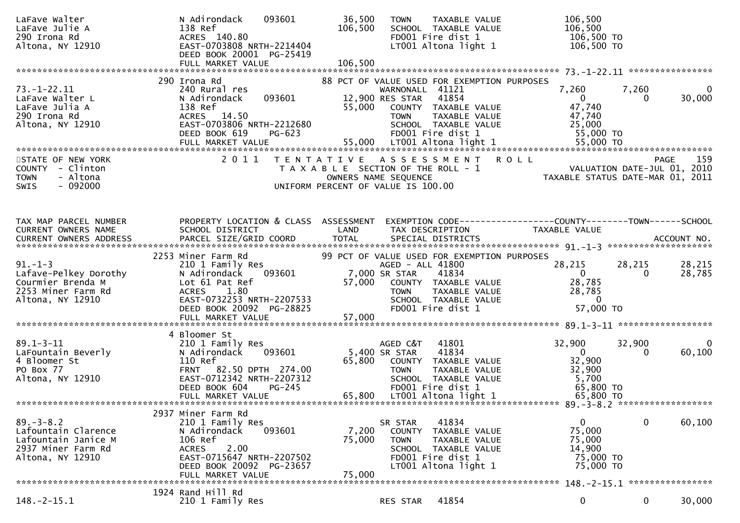| LaFave Walter<br>LaFave Julie A<br>290 Irona Rd<br>Altona, NY 12910                                     | N Adirondack<br>093601<br>138 Ref<br>ACRES 140.80<br>EAST-0703808 NRTH-2214404<br>DEED BOOK 20001 PG-25419                                                                        | 36,500<br>106,500                                                           | <b>TOWN</b>                                       | TAXABLE VALUE<br>SCHOOL TAXABLE VALUE<br>FD001 Fire dist 1<br>LT001 Altona light 1                                                         | 106,500<br>106,500<br>106,500 TO<br>106,500 TO                                  |                   |                    |
|---------------------------------------------------------------------------------------------------------|-----------------------------------------------------------------------------------------------------------------------------------------------------------------------------------|-----------------------------------------------------------------------------|---------------------------------------------------|--------------------------------------------------------------------------------------------------------------------------------------------|---------------------------------------------------------------------------------|-------------------|--------------------|
|                                                                                                         |                                                                                                                                                                                   |                                                                             |                                                   |                                                                                                                                            |                                                                                 |                   |                    |
| $73. - 1 - 22.11$<br>LaFave Walter L<br>LaFave Julia A<br>290 Irona Rd<br>Altona, NY 12910              | 290 Irona Rd<br>240 Rural res<br>093601<br>N Adirondack<br>138 Ref<br>ACRES 14.50<br>EAST-0703806 NRTH-2212680<br>DEED BOOK 619<br>PG-623                                         | 55,000                                                                      | WARNONALL 41121<br>12,900 RES STAR<br><b>TOWN</b> | 88 PCT OF VALUE USED FOR EXEMPTION PURPOSES<br>41854<br>COUNTY TAXABLE VALUE<br>TAXABLE VALUE<br>SCHOOL TAXABLE VALUE<br>FD001 Fire dist 1 | 7,260<br>$\overline{0}$<br>47,740<br>47,740<br>25,000<br>55,000 TO              | 7,260<br>$\Omega$ | $\bf{0}$<br>30,000 |
| STATE OF NEW YORK<br>COUNTY - Clinton<br>- Altona<br><b>TOWN</b><br>$-092000$<br><b>SWIS</b>            | 2011                                                                                                                                                                              | T A X A B L E SECTION OF THE ROLL - 1<br>UNIFORM PERCENT OF VALUE IS 100.00 | OWNERS NAME SEQUENCE                              | TENTATIVE ASSESSMENT ROLL                                                                                                                  | VALUATION DATE-JUL 01, 2010<br>TAXABLE STATUS DATE-MAR 01, 2011                 |                   | 159<br><b>PAGE</b> |
| TAX MAP PARCEL NUMBER<br>CURRENT OWNERS NAME<br>CURRENT OWNERS ADDRESS                                  | PROPERTY LOCATION & CLASS ASSESSMENT<br>SCHOOL DISTRICT<br>PARCEL SIZE/GRID COORD                                                                                                 | LAND<br><b>TOTAL</b>                                                        | TAX DESCRIPTION                                   | SPECIAL DISTRICTS                                                                                                                          | EXEMPTION CODE------------------COUNTY--------TOWN------SCHOOL<br>TAXABLE VALUE |                   | ACCOUNT NO.        |
|                                                                                                         | 2253 Miner Farm Rd                                                                                                                                                                |                                                                             |                                                   | 99 PCT OF VALUE USED FOR EXEMPTION PURPOSES                                                                                                |                                                                                 |                   |                    |
| $91. - 1 - 3$<br>Lafave-Pelkey Dorothy<br>Courmier Brenda M<br>2253 Miner Farm Rd<br>Altona, NY 12910   | 210 1 Family Res<br>093601<br>N Adirondack<br>Lot 61 Pat Ref<br><b>ACRES</b><br>1.80<br>EAST-0732253 NRTH-2207533<br>DEED BOOK 20092 PG-28825                                     | 57,000                                                                      | AGED - ALL 41800<br>7,000 SR STAR                 | ذD - ALL<br>COUNTY TAXABLE VALUE<br>— COUNTY TAXABLE VALUE<br>— CHALL TAXABLE VALUE<br>FD001 Fire dist 1                                   | 28,215<br>$\overline{0}$<br>28,785<br>28,785<br>$\overline{0}$<br>57,000 TO     | 28,215<br>0       | 28,215<br>28,785   |
|                                                                                                         |                                                                                                                                                                                   |                                                                             |                                                   |                                                                                                                                            |                                                                                 |                   |                    |
| $89.1 - 3 - 11$<br>LaFountain Beverly<br>4 Bloomer St<br>PO Box 77                                      | 4 Bloomer St<br>210 1 Family Res<br>093601<br>N Adirondack<br>110 Ref<br>FRNT 82.50 DPTH 274.00                                                                                   |                                                                             | AGED C&T<br>5,400 SR STAR<br><b>TOWN</b>          | 41801<br>41834<br>65,800 COUNTY TAXABLE VALUE<br>TAXABLE VALUE                                                                             | 32,900<br>$\overline{0}$<br>32,900<br>32,900                                    | 32,900<br>0       | 0<br>60,100        |
| Altona, NY 12910                                                                                        | EAST-0712342 NRTH-2207312<br>DEED BOOK 604<br>$PG-245$<br>FULL MARKET VALUE                                                                                                       | 65,800                                                                      |                                                   | SCHOOL TAXABLE VALUE<br>FD001 Fire dist 1<br>LT001 Altona light 1                                                                          | 5,700<br>65,800 TO<br>65,800 TO                                                 |                   |                    |
|                                                                                                         |                                                                                                                                                                                   |                                                                             |                                                   |                                                                                                                                            |                                                                                 |                   |                    |
| $89. - 3 - 8.2$<br>Lafountain Clarence<br>Lafountain Janice M<br>2937 Miner Farm Rd<br>Altona, NY 12910 | 2937 Miner Farm Rd<br>210 1 Family Res<br>N Adirondack<br>093601<br>106 Ref<br>2.00<br><b>ACRES</b><br>EAST-0715647 NRTH-2207502<br>DEED BOOK 20092 PG-23657<br>FULL MARKET VALUE | 7,200<br>75,000<br>75,000                                                   | SR STAR<br>COUNTY<br><b>TOWN</b>                  | 41834<br>TAXABLE VALUE<br>TAXABLE VALUE<br>SCHOOL TAXABLE VALUE<br>FD001 Fire dist 1<br>LT001 Altona light 1                               | 0<br>75,000<br>75,000<br>14,900<br>75,000 TO<br>75,000 TO                       | $\mathbf 0$       | 60,100             |
|                                                                                                         | 1924 Rand Hill Rd                                                                                                                                                                 |                                                                             |                                                   |                                                                                                                                            |                                                                                 |                   |                    |
| $148. - 2 - 15.1$                                                                                       | 210 1 Family Res                                                                                                                                                                  |                                                                             | RES STAR                                          | 41854                                                                                                                                      | 0                                                                               | $\mathbf 0$       | 30,000             |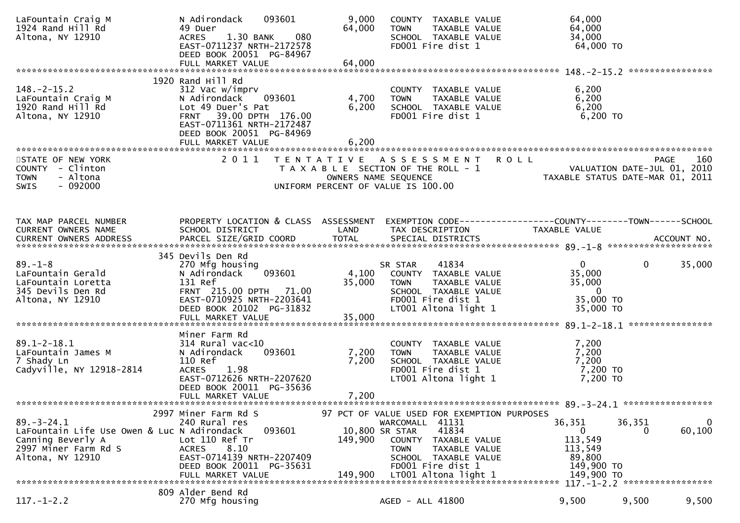| LaFountain Craig M<br>1924 Rand Hill Rd<br>Altona, NY 12910                                                                      | 093601<br>N Adirondack<br>49 Duer<br>080<br>1.30 BANK<br><b>ACRES</b><br>EAST-0711237 NRTH-2172578<br>DEED BOOK 20051 PG-84967<br>FULL MARKET VALUE                                                   | 9,000<br>64,000<br>64,000 | COUNTY TAXABLE VALUE<br>TAXABLE VALUE<br><b>TOWN</b><br>SCHOOL TAXABLE VALUE<br>FD001 Fire dist 1                                                                                                                     | 64,000<br>64,000<br>34,000<br>64,000 TO                                                        |                            |
|----------------------------------------------------------------------------------------------------------------------------------|-------------------------------------------------------------------------------------------------------------------------------------------------------------------------------------------------------|---------------------------|-----------------------------------------------------------------------------------------------------------------------------------------------------------------------------------------------------------------------|------------------------------------------------------------------------------------------------|----------------------------|
| $148. - 2 - 15.2$<br>LaFountain Craig M<br>1920 Rand Hill Rd<br>Altona, NY 12910                                                 | 1920 Rand Hill Rd<br>312 Vac w/imprv<br>093601<br>N Adirondack<br>Lot 49 Duer's Pat<br>39.00 DPTH 176.00<br><b>FRNT</b><br>EAST-0711361 NRTH-2172487<br>DEED BOOK 20051 PG-84969<br>FULL MARKET VALUE | 4,700<br>6,200<br>6,200   | COUNTY TAXABLE VALUE<br>TAXABLE VALUE<br><b>TOWN</b><br>SCHOOL TAXABLE VALUE<br>FD001 Fire dist 1                                                                                                                     | 6,200<br>6,200<br>6,200<br>$6,200$ TO                                                          | ****************           |
| STATE OF NEW YORK<br>COUNTY - Clinton<br>- Altona<br><b>TOWN</b><br>$-092000$<br><b>SWIS</b>                                     | 2011                                                                                                                                                                                                  |                           | TENTATIVE ASSESSMENT ROLL<br>T A X A B L E SECTION OF THE ROLL - 1<br>OWNERS NAME SEQUENCE<br>UNIFORM PERCENT OF VALUE IS 100.00                                                                                      | VALUATION DATE-JUL 01, 2010<br>TAXABLE STATUS DATE-MAR 01, 2011                                | 160<br><b>PAGE</b>         |
| TAX MAP PARCEL NUMBER<br>CURRENT OWNERS NAME                                                                                     | PROPERTY LOCATION & CLASS ASSESSMENT<br>SCHOOL DISTRICT                                                                                                                                               | LAND                      | TAX DESCRIPTION                                                                                                                                                                                                       | EXEMPTION CODE-----------------COUNTY-------TOWN------SCHOOL<br>TAXABLE VALUE                  |                            |
| $89. - 1 - 8$<br>LaFountain Gerald<br>LaFountain Loretta<br>345 Devils Den Rd<br>Altona, NY 12910                                | 345 Devils Den Rd<br>270 Mfg housing<br>093601<br>N Adirondack<br>131 Ref<br>FRNT 215.00 DPTH 71.00<br>EAST-0710925 NRTH-2203641<br>DEED BOOK 20102 PG-31832<br>FULL MARKET VALUE                     | 4,100<br>35,000<br>35,000 | 41834<br>SR STAR<br>COUNTY TAXABLE VALUE<br><b>TOWN</b><br>TAXABLE VALUE<br>SCHOOL TAXABLE VALUE<br>FD001 Fire dist 1<br>LT001 Altona light 1                                                                         | 0<br>35,000<br>35,000<br>$\overline{0}$<br>35,000 TO<br>35,000 TO                              | $\mathbf{0}$<br>35,000     |
| $89.1 - 2 - 18.1$<br>LaFountain James M<br>7 Shady Ln<br>Cadyville, NY 12918-2814                                                | Miner Farm Rd<br>$314$ Rural vac<10<br>093601<br>N Adirondack<br>110 Ref<br>1.98<br><b>ACRES</b><br>EAST-0712626 NRTH-2207620<br>DEED BOOK 20011 PG-35636<br>FULL MARKET VALUE                        | 7,200<br>7,200<br>7,200   | COUNTY TAXABLE VALUE<br><b>TOWN</b><br>TAXABLE VALUE<br>SCHOOL TAXABLE VALUE<br>FD001 Fire dist 1<br>LT001 Altona light 1                                                                                             | 7,200<br>7,200<br>7,200<br>7,200 TO<br>7,200 TO                                                |                            |
| $89. - 3 - 24.1$<br>LaFountain Life Use Owen & Luc N Adirondack<br>Canning Beverly A<br>2997 Miner Farm Rd S<br>Altona, NY 12910 | 2997 Miner Farm Rd S<br>240 Rural res<br>093601<br>Lot 110 Ref Tr<br>8.10<br><b>ACRES</b><br>EAST-0714139 NRTH-2207409<br>DEED BOOK 20011 PG-35631<br>FULL MARKET VALUE                               | 149,900<br>149,900        | 97 PCT OF VALUE USED FOR EXEMPTION PURPOSES<br>41131<br>WARCOMALL<br>10,800 SR STAR<br>41834<br>COUNTY<br>TAXABLE VALUE<br>TAXABLE VALUE<br>TOWN<br>SCHOOL TAXABLE VALUE<br>FD001 Fire dist 1<br>LT001 Altona light 1 | 36,351<br>36,351<br>$\overline{0}$<br>113,549<br>113,549<br>89,800<br>149,900 TO<br>149,900 TO | $\mathbf 0$<br>60,100<br>0 |
| $117.-1-2.2$                                                                                                                     | 809 Alder Bend Rd<br>270 Mfg housing                                                                                                                                                                  |                           | AGED - ALL 41800                                                                                                                                                                                                      | 9,500                                                                                          | 9,500<br>9,500             |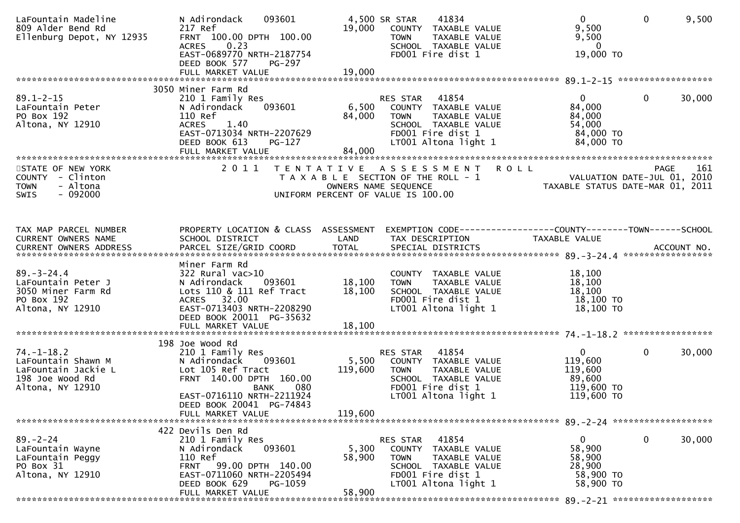| LaFountain Madeline<br>809 Alder Bend Rd<br>Ellenburg Depot, NY 12935                                | 093601<br>N Adirondack<br>217 Ref<br>FRNT 100.00 DPTH 100.00<br>ACRES 0.23<br>EAST-0689770 NRTH-2187754<br>DEED BOOK 577<br><b>PG-297</b><br>FULL MARKET VALUE                     | 19,000<br>19,000          | 4,500 SR STAR<br>41834<br>COUNTY TAXABLE VALUE<br><b>TOWN</b><br>TAXABLE VALUE<br>SCHOOL TAXABLE VALUE<br>FD001 Fire dist 1                    | $\mathbf{0}$<br>9,500<br>9,500<br>$\mathbf{0}$<br>19,000 TO              | 9,500<br>$\mathbf{0}$                             |
|------------------------------------------------------------------------------------------------------|------------------------------------------------------------------------------------------------------------------------------------------------------------------------------------|---------------------------|------------------------------------------------------------------------------------------------------------------------------------------------|--------------------------------------------------------------------------|---------------------------------------------------|
|                                                                                                      | 3050 Miner Farm Rd                                                                                                                                                                 |                           |                                                                                                                                                |                                                                          |                                                   |
| $89.1 - 2 - 15$<br>LaFountain Peter<br>PO Box 192<br>Altona, NY 12910                                | 210 1 Family Res<br>093601<br>N Adirondack<br>110 Ref<br>1.40<br><b>ACRES</b><br>EAST-0713034 NRTH-2207629<br>DEED BOOK 613<br>PG-127<br>FULL MARKET VALUE                         | 6,500<br>84,000<br>84,000 | RES STAR<br>41854<br>COUNTY TAXABLE VALUE<br><b>TOWN</b><br>TAXABLE VALUE<br>SCHOOL TAXABLE VALUE<br>FD001 Fire dist 1<br>LT001 Altona light 1 | 0<br>84,000<br>84,000<br>54,000<br>84,000 TO<br>84,000 TO                | $\mathbf{0}$<br>30,000                            |
|                                                                                                      |                                                                                                                                                                                    |                           |                                                                                                                                                |                                                                          |                                                   |
| STATE OF NEW YORK<br>COUNTY - Clinton<br><b>TOWN</b><br>- Altona<br>$-092000$<br><b>SWIS</b>         | 2011                                                                                                                                                                               |                           | <b>ROLL</b><br>TENTATIVE ASSESSMENT<br>T A X A B L E SECTION OF THE ROLL - 1<br>OWNERS NAME SEQUENCE<br>UNIFORM PERCENT OF VALUE IS 100.00     | TAXABLE STATUS DATE-MAR 01, 2011                                         | 161<br><b>PAGE</b><br>VALUATION DATE-JUL 01, 2010 |
| TAX MAP PARCEL NUMBER<br>CURRENT OWNERS NAME                                                         | PROPERTY LOCATION & CLASS ASSESSMENT<br>SCHOOL DISTRICT                                                                                                                            | LAND                      | EXEMPTION CODE------------------COUNTY--------TOWN------SCHOOL<br>TAX DESCRIPTION                                                              | TAXABLE VALUE                                                            |                                                   |
| CURRENT OWNERS ADDRESS PARCEL SIZE/GRID COORD TOTAL SPECIAL DISTRICTS (2014) 4 = \$ ACCOUNT NO.      |                                                                                                                                                                                    |                           |                                                                                                                                                |                                                                          |                                                   |
| $89. - 3 - 24.4$<br>LaFountain Peter J<br>3050 Miner Farm Rd<br>PO Box 192<br>Altona, NY 12910       | Miner Farm Rd<br>$322$ Rural vac $>10$<br>N Adirondack<br>093601<br>Lots 110 & 111 Ref Tract<br>ACRES 32.00<br>EAST-0713403 NRTH-2208290<br>DEED BOOK 20011 PG-35632               | 18,100<br>18,100          | COUNTY TAXABLE VALUE<br>TAXABLE VALUE<br><b>TOWN</b><br>SCHOOL TAXABLE VALUE<br>FD001 Fire dist 1<br>LT001 Altona light 1                      | 18,100<br>18,100<br>18,100<br>18,100 TO<br>$18,100$ TO                   |                                                   |
|                                                                                                      | 198 Joe Wood Rd                                                                                                                                                                    |                           |                                                                                                                                                |                                                                          |                                                   |
| $74. - 1 - 18.2$<br>LaFountain Shawn M<br>LaFountain Jackie L<br>198 Joe Wood Rd<br>Altona, NY 12910 | 210 1 Family Res<br>093601<br>N Adirondack<br>Lot 105 Ref Tract<br>FRNT 140.00 DPTH 160.00<br><b>BANK</b><br>080<br>EAST-0716110 NRTH-2211924<br>DEED BOOK 20041 PG-74843          | 5,500<br>119,600          | RES STAR<br>41854<br>COUNTY TAXABLE VALUE<br><b>TOWN</b><br>TAXABLE VALUE<br>SCHOOL TAXABLE VALUE<br>FD001 Fire dist 1<br>LT001 Altona light 1 | $\mathbf{0}$<br>119,600<br>119,600<br>89,600<br>119,600 TO<br>119,600 TO | 0<br>30,000                                       |
|                                                                                                      | FULL MARKET VALUE                                                                                                                                                                  | 119,600                   |                                                                                                                                                |                                                                          |                                                   |
| $89. - 2 - 24$<br>LaFountain Wayne<br>LaFountain Peggy<br>PO Box 31<br>Altona, NY 12910              | 422 Devils Den Rd<br>210 1 Family Res<br>093601<br>N Adirondack<br>110 Ref<br>FRNT 99.00 DPTH 140.00<br>EAST-0711060 NRTH-2205494<br>DEED BOOK 629<br>PG-1059<br>FULL MARKET VALUE | 5,300<br>58,900<br>58,900 | 41854<br>RES STAR<br>COUNTY TAXABLE VALUE<br><b>TOWN</b><br>TAXABLE VALUE<br>SCHOOL TAXABLE VALUE<br>FD001 Fire dist 1<br>LT001 Altona light 1 | 0<br>58,900<br>58,900<br>28,900<br>58,900 TO<br>58,900 TO                | $\mathbf{0}$<br>30,000                            |
|                                                                                                      |                                                                                                                                                                                    |                           |                                                                                                                                                |                                                                          |                                                   |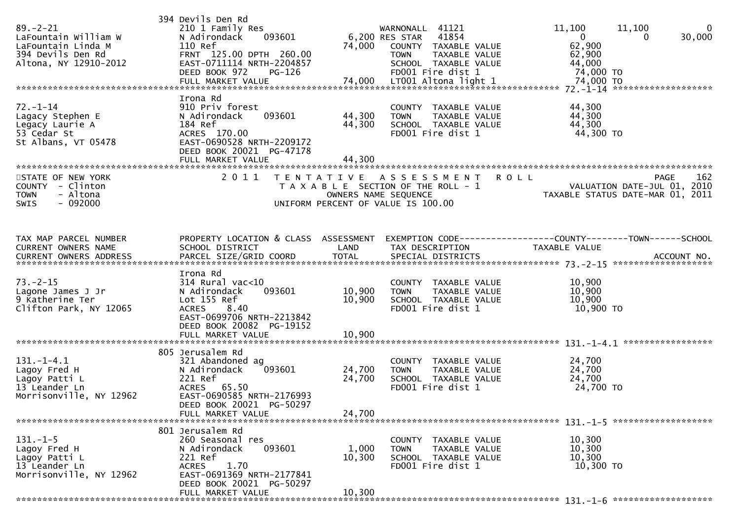| $89. - 2 - 21$<br>LaFountain William W<br>LaFountain Linda M<br>394 Devils Den Rd<br>Altona, NY 12910-2012 | 394 Devils Den Rd<br>210 1 Family Res<br>N Adirondack<br>093601<br>110 Ref<br>FRNT 125.00 DPTH 260.00<br>EAST-0711114 NRTH-2204857<br>DEED BOOK 972<br>PG-126            | 74,000                     | WARNONALL 41121<br>41854<br>6,200 RES STAR<br>COUNTY TAXABLE VALUE<br><b>TOWN</b><br>TAXABLE VALUE<br>SCHOOL TAXABLE VALUE<br>FD001 Fire dist 1 | 11,100<br>11,100<br>$\overline{0}$<br>$\Omega$<br>62,900<br>62,900<br>44,000<br>74,000 TO     | $\bf{0}$<br>30,000 |
|------------------------------------------------------------------------------------------------------------|--------------------------------------------------------------------------------------------------------------------------------------------------------------------------|----------------------------|-------------------------------------------------------------------------------------------------------------------------------------------------|-----------------------------------------------------------------------------------------------|--------------------|
| $72. - 1 - 14$<br>Lagacy Stephen E<br>Legacy Laurie A<br>53 Cedar St<br>St Albans, VT 05478                | Irona Rd<br>910 Priv forest<br>093601<br>N Adirondack<br>184 Ref<br>ACRES 170.00<br>EAST-0690528 NRTH-2209172<br>DEED BOOK 20021 PG-47178<br>FULL MARKET VALUE           | 44,300<br>44,300<br>44,300 | COUNTY TAXABLE VALUE<br>TAXABLE VALUE<br><b>TOWN</b><br>SCHOOL TAXABLE VALUE<br>FD001 Fire dist 1                                               | 44,300<br>44,300<br>44,300<br>44,300 TO                                                       |                    |
| STATE OF NEW YORK<br>COUNTY - Clinton<br><b>TOWN</b><br>- Altona<br>- 092000<br>SWIS                       | 2011                                                                                                                                                                     | T E N T A T I V E          | A S S E S S M E N T<br>T A X A B L E SECTION OF THE ROLL - 1<br>OWNERS NAME SEQUENCE<br>UNIFORM PERCENT OF VALUE IS 100.00                      | <b>ROLL</b><br><b>PAGE</b><br>VALUATION DATE-JUL 01, 2010<br>TAXABLE STATUS DATE-MAR 01, 2011 | 162                |
| TAX MAP PARCEL NUMBER<br>CURRENT OWNERS NAME                                                               | PROPERTY LOCATION & CLASS ASSESSMENT<br>SCHOOL DISTRICT                                                                                                                  | LAND                       | TAX DESCRIPTION                                                                                                                                 | EXEMPTION CODE-----------------COUNTY-------TOWN------SCHOOL<br><b>TAXABLE VALUE</b>          |                    |
| $73. - 2 - 15$<br>Lagone James J Jr<br>9 Katherine Ter<br>Clifton Park, NY 12065                           | Irona Rd<br>$314$ Rural vac<10<br>N Adirondack<br>093601<br>Lot 155 Ref<br><b>ACRES</b><br>8.40<br>EAST-0699706 NRTH-2213842<br>DEED BOOK 20082 PG-19152                 | 10,900<br>10,900           | COUNTY TAXABLE VALUE<br>TAXABLE VALUE<br><b>TOWN</b><br>SCHOOL TAXABLE VALUE<br>FD001 Fire dist 1                                               | 10,900<br>10,900<br>10,900<br>10,900 TO                                                       |                    |
|                                                                                                            |                                                                                                                                                                          |                            |                                                                                                                                                 |                                                                                               |                    |
| $131. - 1 - 4.1$<br>Lagoy Fred H<br>Lagoy Patti L<br>13 Leander Ln<br>Morrisonville, NY 12962              | 805 Jerusalem Rd<br>321 Abandoned ag<br>093601<br>N Adirondack<br>221 Ref<br>ACRES 65.50<br>EAST-0690585 NRTH-2176993<br>DEED BOOK 20021 PG-50297<br>FULL MARKET VALUE   | 24,700<br>24,700<br>24,700 | COUNTY TAXABLE VALUE<br><b>TOWN</b><br>TAXABLE VALUE<br>SCHOOL TAXABLE VALUE<br>FD001 Fire dist 1                                               | 24,700<br>24,700<br>24,700<br>24,700 TO                                                       |                    |
| $131. - 1 - 5$<br>Lagoy Fred H<br>Lagoy Patti L<br>13 Leander Ln<br>Morrisonville, NY 12962                | 801 Jerusalem Rd<br>260 Seasonal res<br>093601<br>N Adirondack<br>221 Ref<br>1.70<br>ACRES<br>EAST-0691369 NRTH-2177841<br>DEED BOOK 20021 PG-50297<br>FULL MARKET VALUE | 1,000<br>10,300<br>10,300  | COUNTY TAXABLE VALUE<br>TAXABLE VALUE<br>TOWN<br>SCHOOL TAXABLE VALUE<br>FD001 Fire dist 1                                                      | 10,300<br>10,300<br>10,300<br>10,300 TO                                                       |                    |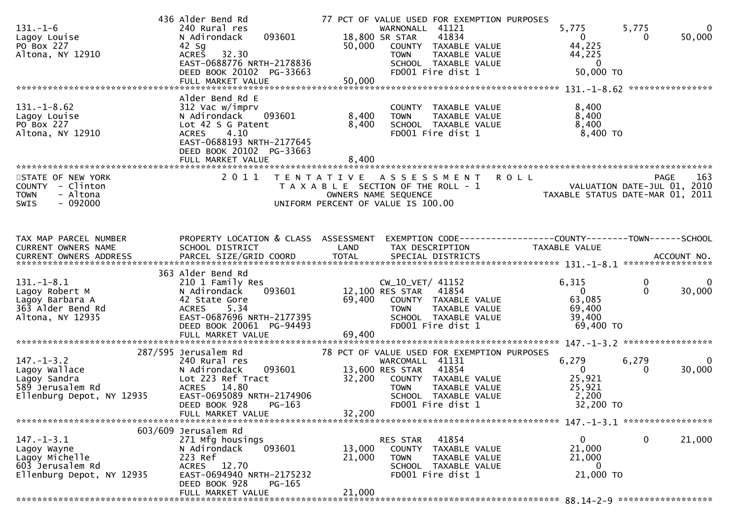| $131 - 1 - 6$<br>Lagoy Louise<br>PO Box 227<br>Altona, NY 12910                                    | 436 Alder Bend Rd<br>240 Rural res<br>N Adirondack<br>093601<br>$42$ Sg<br>32.30<br><b>ACRES</b><br>EAST-0688776 NRTH-2178836<br>DEED BOOK 20102 PG-33663<br>FULL MARKET VALUE               | 50,000<br>50,000           | 77 PCT OF VALUE USED FOR EXEMPTION PURPOSES<br>WARNONALL 41121<br>18,800 SR STAR<br>41834<br>COUNTY TAXABLE VALUE<br>TAXABLE VALUE<br><b>TOWN</b><br>SCHOOL TAXABLE VALUE<br>FD001 Fire dist 1         | 5,775<br>$\mathbf{0}$<br>44,225<br>44,225<br>$\overline{0}$<br>50,000 TO | 5,775<br>0<br>50,000<br>0                       |
|----------------------------------------------------------------------------------------------------|----------------------------------------------------------------------------------------------------------------------------------------------------------------------------------------------|----------------------------|--------------------------------------------------------------------------------------------------------------------------------------------------------------------------------------------------------|--------------------------------------------------------------------------|-------------------------------------------------|
| $131. - 1 - 8.62$<br>Lagoy Louise<br>PO Box 227<br>Altona, NY 12910                                | Alder Bend Rd E<br>312 Vac w/imprv<br>N Adirondack<br>093601<br>Lot 42 S G Patent<br>4.10<br><b>ACRES</b><br>EAST-0688193 NRTH-2177645<br>DEED BOOK 20102 PG-33663                           | 8,400<br>8,400<br>8,400    | COUNTY TAXABLE VALUE<br>TAXABLE VALUE<br><b>TOWN</b><br>SCHOOL TAXABLE VALUE<br>FD001 Fire dist 1                                                                                                      | 8,400<br>8,400<br>8,400<br>8,400 TO                                      |                                                 |
| STATE OF NEW YORK<br>COUNTY - Clinton<br>- Altona<br><b>TOWN</b><br>$-092000$<br><b>SWIS</b>       | 2011                                                                                                                                                                                         |                            | TENTATIVE ASSESSMENT<br>T A X A B L E SECTION OF THE ROLL - 1<br>OWNERS NAME SEQUENCE<br>UNIFORM PERCENT OF VALUE IS 100.00                                                                            | <b>ROLL</b><br>VALUATION DATE-JUL 01, 2010                               | 163<br>PAGE<br>TAXABLE STATUS DATE-MAR 01, 2011 |
| TAX MAP PARCEL NUMBER<br>CURRENT OWNERS NAME                                                       | PROPERTY LOCATION & CLASS ASSESSMENT<br>SCHOOL DISTRICT                                                                                                                                      | LAND                       | EXEMPTION CODE-----------------COUNTY-------TOWN------SCHOOL<br>TAX DESCRIPTION                                                                                                                        | TAXABLE VALUE                                                            |                                                 |
| $131.-1-8.1$<br>Lagoy Robert M<br>Lagoy Barbara A<br>363 Alder Bend Rd<br>Altona, NY 12935         | 363 Alder Bend Rd<br>210 1 Family Res<br>093601<br>N Adirondack<br>42 State Gore<br>5.34<br><b>ACRES</b><br>EAST-0687696 NRTH-2177395<br>DEED BOOK 20061 PG-94493<br>FULL MARKET VALUE       | 69,400<br>69,400           | CW_10_VET/ 41152<br>12,100 RES STAR<br>41854<br>COUNTY TAXABLE VALUE<br>TAXABLE VALUE<br><b>TOWN</b><br>SCHOOL TAXABLE VALUE<br>FD001 Fire dist 1                                                      | 6,315<br>$\mathbf{0}$<br>63,085<br>69,400<br>39,400<br>69,400 TO         | 0<br>0<br>$\Omega$<br>30,000                    |
| $147. - 1 - 3.2$<br>Lagoy Wallace<br>Lagoy Sandra<br>589 Jerusalem Rd<br>Ellenburg Depot, NY 12935 | 287/595 Jerusalem Rd<br>240 Rural res<br>N Adirondack<br>093601<br>Lot 223 Ref Tract<br><b>ACRES</b><br>14.80<br>EAST-0695089 NRTH-2174906<br>DEED BOOK 928<br>$PG-163$<br>FULL MARKET VALUE | 32,200<br>32,200           | 78 PCT OF VALUE USED FOR EXEMPTION PURPOSES<br>WARCOMALL 41131<br>13,600 RES STAR<br>41854<br>COUNTY TAXABLE VALUE<br><b>TAXABLE VALUE</b><br><b>TOWN</b><br>SCHOOL TAXABLE VALUE<br>FD001 Fire dist 1 | 6,279<br>$\overline{0}$<br>25,921<br>25,921<br>2,200<br>32,200 TO        | 6,279<br>$\Omega$<br>30,000<br>$\Omega$         |
| $147. - 1 - 3.1$<br>Lagoy Wayne<br>Lagoy Michelle<br>603 Jerusalem Rd<br>Ellenburg Depot, NY 12935 | 603/609 Jerusalem Rd<br>271 Mfg housings<br>093601<br>N Adirondack<br>223 Ref<br>ACRES 12.70<br>EAST-0694940 NRTH-2175232<br>DEED BOOK 928<br>PG-165<br>FULL MARKET VALUE                    | 13,000<br>21,000<br>21,000 | 41854<br>RES STAR<br>COUNTY TAXABLE VALUE<br>TAXABLE VALUE<br><b>TOWN</b><br>SCHOOL TAXABLE VALUE<br>FD001 Fire dist 1                                                                                 | $\mathbf{0}$<br>21,000<br>21,000<br>0<br>21,000 TO                       | $\mathbf 0$<br>21,000                           |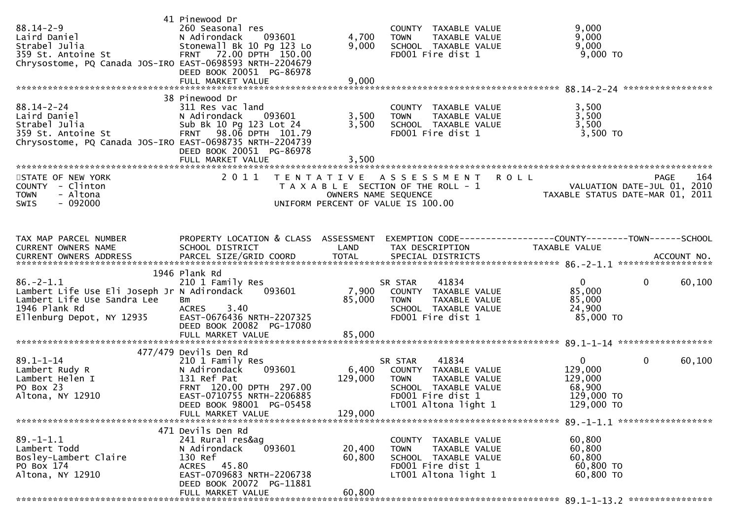| 88.14-2-9<br>Laird Daniel<br>Raird Railia<br>359 St. Antoine St<br>Chrysostome, PQ Canada JOS-IRO EAST-0698593 NRTH-2204679                 | 41 Pinewood Dr<br>260 Seasonal res<br>N Adirondack<br>093601<br>Stonewall Bk 10 Pg 123 Lo<br>FRNT 72.00 DPTH 150.00<br>DEED BOOK 20051 PG-86978<br>FULL MARKET VALUE                        | 4,700<br>9,000<br>9,000     | COUNTY TAXABLE VALUE<br>TAXABLE VALUE<br><b>TOWN</b><br>SCHOOL TAXABLE VALUE<br>FD001 Fire dist 1                                             | 9,000<br>9,000<br>9,000<br>$9,000$ TO                                           |                        |
|---------------------------------------------------------------------------------------------------------------------------------------------|---------------------------------------------------------------------------------------------------------------------------------------------------------------------------------------------|-----------------------------|-----------------------------------------------------------------------------------------------------------------------------------------------|---------------------------------------------------------------------------------|------------------------|
|                                                                                                                                             | 38 Pinewood Dr                                                                                                                                                                              |                             |                                                                                                                                               |                                                                                 |                        |
| 88.14-2-24<br>Laird Daniel<br>Strabel Julia<br>359 St. Antoine St<br>Chrysostome, PQ Canada JOS-IRO EAST-0698735 NRTH-2204739               | 311 Res vac land<br>N Adirondack 093601<br>Sub Bk 10 Pg 123 Lot 24<br>FRNT 98.06 DPTH 101.79<br>DEED BOOK 20051 PG-86978<br>FULL MARKET VALUE                                               | 3,500<br>3,500<br>3,500     | COUNTY TAXABLE VALUE<br><b>TOWN</b><br>TAXABLE VALUE<br>SCHOOL TAXABLE VALUE<br>FD001 Fire dist 1                                             | 3,500<br>3,500<br>3,500<br>$3,500$ TO                                           |                        |
|                                                                                                                                             |                                                                                                                                                                                             |                             |                                                                                                                                               |                                                                                 |                        |
| STATE OF NEW YORK<br>COUNTY - Clinton<br>- Altona<br><b>TOWN</b><br>$-092000$<br><b>SWIS</b>                                                | 2011                                                                                                                                                                                        | T E N T A T I V E           | A S S E S S M E N T R O L L<br>T A X A B L E SECTION OF THE ROLL - 1<br>OWNERS NAME SEQUENCE<br>UNIFORM PERCENT OF VALUE IS 100.00            | VALUATION DATE-JUL 01, 2010<br>TAXABLE STATUS DATE-MAR 01, 2011                 | <b>PAGE</b><br>164     |
| TAX MAP PARCEL NUMBER<br>CURRENT OWNERS NAME                                                                                                | PROPERTY LOCATION & CLASS ASSESSMENT<br>SCHOOL DISTRICT                                                                                                                                     | LAND                        | TAX DESCRIPTION                                                                                                                               | EXEMPTION CODE------------------COUNTY--------TOWN------SCHOOL<br>TAXABLE VALUE |                        |
|                                                                                                                                             | 1946 Plank Rd                                                                                                                                                                               |                             |                                                                                                                                               |                                                                                 |                        |
| $86. - 2 - 1.1$<br>Lambert Life Use Eli Joseph Jr N Adirondack<br>Lambert Life Use Sandra Lee<br>1946 Plank Rd<br>Ellenburg Depot, NY 12935 | 210 1 Family Res<br>093601<br>Bm<br>ACRES 3.40<br>EAST-0676436 NRTH-2207325<br>DEED BOOK 20082 PG-17080                                                                                     | 7,900<br>85,000             | 41834<br>SR STAR<br>COUNTY TAXABLE VALUE<br><b>TOWN</b><br>TAXABLE VALUE<br>SCHOOL TAXABLE VALUE<br>FD001 Fire dist 1                         | $\mathbf{0}$<br>85,000<br>85,000<br>24,900<br>85,000 TO                         | $\mathbf 0$<br>60,100  |
|                                                                                                                                             | FULL MARKET VALUE                                                                                                                                                                           | 85,000                      |                                                                                                                                               |                                                                                 |                        |
|                                                                                                                                             |                                                                                                                                                                                             |                             |                                                                                                                                               |                                                                                 |                        |
| $89.1 - 1 - 14$<br>Lambert Rudy R<br>Lambert Helen I<br>PO Box 23<br>Altona, NY 12910                                                       | 477/479 Devils Den Rd<br>210 1 Family Res<br>093601<br>N Adirondack<br>131 Ref Pat<br>FRNT 120.00 DPTH 297.00<br>EAST-0710755 NRTH-2206885<br>DEED BOOK 98001 PG-05458<br>FULL MARKET VALUE | 6,400<br>129,000<br>129,000 | 41834<br>SR STAR<br>COUNTY TAXABLE VALUE<br><b>TOWN</b><br>TAXABLE VALUE<br>SCHOOL TAXABLE VALUE<br>FD001 Fire dist 1<br>LT001 Altona light 1 | $\overline{0}$<br>129,000<br>129,000<br>68,900<br>129,000 TO<br>129,000 TO      | $\mathbf{0}$<br>60,100 |
|                                                                                                                                             |                                                                                                                                                                                             |                             |                                                                                                                                               |                                                                                 |                        |
| $89. - 1 - 1.1$<br>Lambert Todd<br>Bosley-Lambert Claire<br>PO Box 174<br>Altona, NY 12910                                                  | 471 Devils Den Rd<br>241 Rural res&ag<br>093601<br>N Adirondack<br>130 Ref<br>ACRES 45.80<br>EAST-0709683 NRTH-2206738<br>DEED BOOK 20072 PG-11881                                          | 20,400<br>60,800            | COUNTY TAXABLE VALUE<br>TAXABLE VALUE<br><b>TOWN</b><br>SCHOOL TAXABLE VALUE<br>FD001 Fire dist 1<br>LT001 Altona light 1                     | 60,800<br>60,800<br>60,800<br>60,800 TO<br>60,800 TO                            |                        |
|                                                                                                                                             | FULL MARKET VALUE                                                                                                                                                                           | 60,800                      |                                                                                                                                               |                                                                                 |                        |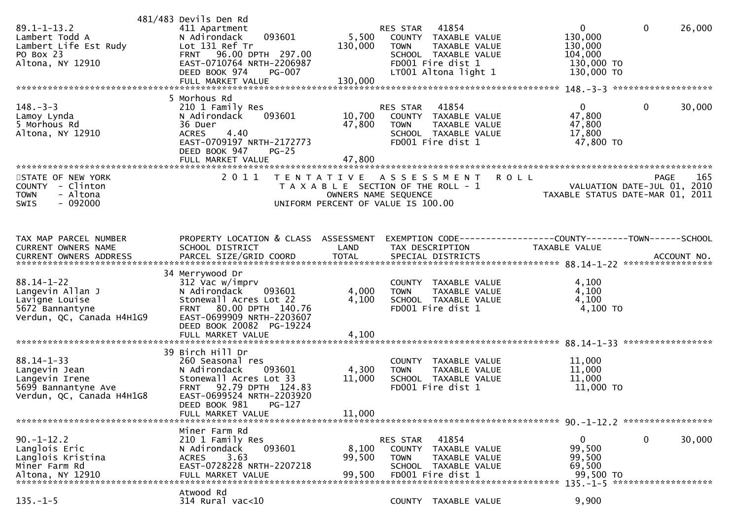| $89.1 - 1 - 13.2$<br>Lambert Todd A<br>Lambert Life Est Rudy<br>PO Box 23<br>Altona, NY 12910           | 481/483 Devils Den Rd<br>411 Apartment<br>093601<br>N Adirondack<br>Lot 131 Ref Tr<br>FRNT 96.00 DPTH 297.00<br>EAST-0710764 NRTH-2206987<br>DEED BOOK 974<br><b>PG-007</b>          | 5,500<br>130,000           | RES STAR 41854<br>COUNTY TAXABLE VALUE<br>TAXABLE VALUE<br><b>TOWN</b><br>SCHOOL TAXABLE VALUE<br>FD001 Fire dist 1<br>LT001 Altona light 1 | $\mathbf{0}$<br>130,000<br>130,000<br>104,000<br>130,000 TO<br>130,000 TO | $\mathbf 0$<br>26,000                                                          |
|---------------------------------------------------------------------------------------------------------|--------------------------------------------------------------------------------------------------------------------------------------------------------------------------------------|----------------------------|---------------------------------------------------------------------------------------------------------------------------------------------|---------------------------------------------------------------------------|--------------------------------------------------------------------------------|
|                                                                                                         | 5 Morhous Rd                                                                                                                                                                         |                            |                                                                                                                                             |                                                                           |                                                                                |
| $148. - 3 - 3$<br>Lamoy Lynda<br>5 Morhous Rd<br>Altona, NY 12910                                       | 210 1 Family Res<br>093601<br>N Adirondack<br>36 Duer<br>4.40<br><b>ACRES</b><br>EAST-0709197 NRTH-2172773<br>DEED BOOK 947<br>$PG-25$<br>FULL MARKET VALUE                          | 10,700<br>47,800<br>47,800 | 41854<br>RES STAR<br>COUNTY TAXABLE VALUE<br>TAXABLE VALUE<br><b>TOWN</b><br>SCHOOL TAXABLE VALUE<br>FD001 Fire dist 1                      | $\mathbf{0}$<br>47,800<br>47,800<br>17,800<br>47,800 TO                   | $\mathbf 0$<br>30,000                                                          |
|                                                                                                         |                                                                                                                                                                                      |                            |                                                                                                                                             |                                                                           |                                                                                |
| STATE OF NEW YORK<br>COUNTY - Clinton<br>- Altona<br><b>TOWN</b><br>- 092000<br>SWIS                    | 2011                                                                                                                                                                                 | T E N T A T I V E          | A S S E S S M E N T<br>T A X A B L E SECTION OF THE ROLL - 1<br>OWNERS NAME SEQUENCE<br>UNIFORM PERCENT OF VALUE IS 100.00                  | <b>ROLL</b>                                                               | 165<br>PAGE<br>VALUATION DATE-JUL 01, 2010<br>TAXABLE STATUS DATE-MAR 01, 2011 |
| TAX MAP PARCEL NUMBER<br>CURRENT OWNERS NAME                                                            | PROPERTY LOCATION & CLASS ASSESSMENT<br>SCHOOL DISTRICT                                                                                                                              | LAND                       | EXEMPTION CODE------------------COUNTY--------TOWN------SCHOOL<br>TAX DESCRIPTION                                                           | TAXABLE VALUE                                                             |                                                                                |
|                                                                                                         |                                                                                                                                                                                      |                            |                                                                                                                                             |                                                                           |                                                                                |
| $88.14 - 1 - 22$<br>Langevin Allan J<br>Lavigne Louise<br>5672 Bannantyne<br>Verdun, QC, Canada H4H1G9  | 34 Merrywood Dr<br>312 Vac w/imprv<br>N Adirondack<br>093601<br>Stonewall Acres Lot 22<br>80.00 DPTH 140.76<br><b>FRNT</b><br>EAST-0699909 NRTH-2203607<br>DEED BOOK 20082 PG-19224  | 4,000<br>4,100             | COUNTY TAXABLE VALUE<br>TAXABLE VALUE<br><b>TOWN</b><br>SCHOOL TAXABLE VALUE<br>FD001 Fire dist 1                                           | 4,100<br>4,100<br>4,100<br>$4,100$ TO                                     |                                                                                |
|                                                                                                         |                                                                                                                                                                                      |                            |                                                                                                                                             |                                                                           |                                                                                |
| $88.14 - 1 - 33$<br>Langevin Jean<br>Langevin Irene<br>5699 Bannantyne Ave<br>Verdun, QC, Canada H4H1G8 | 39 Birch Hill Dr<br>260 Seasonal res<br>N Adirondack<br>093601<br>Stonewall Acres Lot 33<br>92.79 DPTH 124.83<br><b>FRNT</b><br>EAST-0699524 NRTH-2203920<br>DEED BOOK 981<br>PG-127 | 4,300<br>11,000            | COUNTY TAXABLE VALUE<br><b>TOWN</b><br>TAXABLE VALUE<br>SCHOOL TAXABLE VALUE<br>FD001 Fire dist 1                                           | 11,000<br>11,000<br>11,000<br>11,000 TO                                   |                                                                                |
|                                                                                                         | FULL MARKET VALUE                                                                                                                                                                    | 11,000                     |                                                                                                                                             |                                                                           |                                                                                |
| $90. -1 - 12.2$<br>Langlois Eric<br>Langlois Kristina<br>Miner Farm Rd<br>Altona, NY 12910              | Miner Farm Rd<br>210 1 Family Res<br>093601<br>N Adirondack<br>3.63<br><b>ACRES</b><br>EAST-0728228 NRTH-2207218<br>FULL MARKET VALUE                                                | 8,100<br>99,500<br>99,500  | 41854<br>RES STAR<br>COUNTY TAXABLE VALUE<br><b>TOWN</b><br>TAXABLE VALUE<br>SCHOOL TAXABLE VALUE<br>FD001 Fire dist 1                      | $\mathbf{0}$<br>99,500<br>99,500<br>69,500<br>99,500 TO                   | 0<br>30,000<br>$135 - 1 - 5$ *********************                             |
| $135. - 1 - 5$                                                                                          | Atwood Rd<br>$314$ Rural vac<10                                                                                                                                                      |                            | COUNTY TAXABLE VALUE                                                                                                                        | 9,900                                                                     |                                                                                |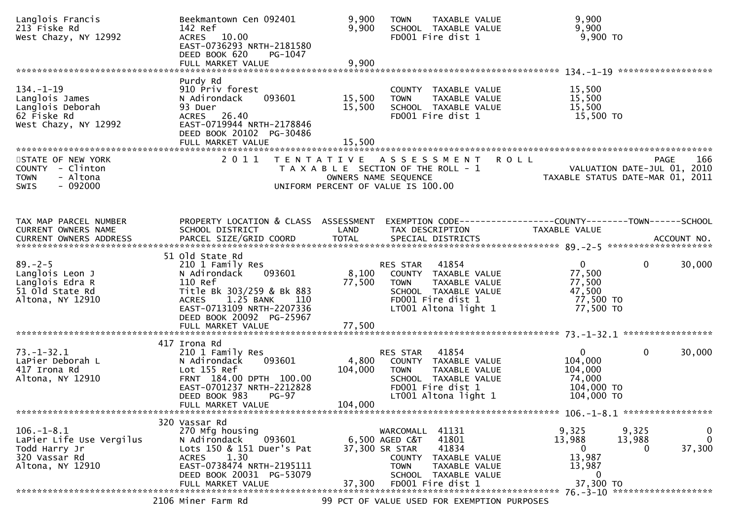| Langlois Francis<br>213 Fiske Rd<br>West Chazy, NY 12992                                           | Beekmantown Cen 092401<br>142 Ref<br>ACRES 10.00<br>EAST-0736293 NRTH-2181580<br>DEED BOOK 620<br>PG-1047                                                                                          | 9,900<br>9,900              | TAXABLE VALUE<br><b>TOWN</b><br>SCHOOL TAXABLE VALUE<br>FD001 Fire dist 1                                                                                                  | 9,900<br>9,900<br>9,900 TO                                                                 |                                  |
|----------------------------------------------------------------------------------------------------|----------------------------------------------------------------------------------------------------------------------------------------------------------------------------------------------------|-----------------------------|----------------------------------------------------------------------------------------------------------------------------------------------------------------------------|--------------------------------------------------------------------------------------------|----------------------------------|
|                                                                                                    |                                                                                                                                                                                                    |                             |                                                                                                                                                                            |                                                                                            |                                  |
| $134. - 1 - 19$<br>Langlois James<br>Langlois Deborah<br>62 Fiske Rd<br>West Chazy, NY 12992       | Purdy Rd<br>910 Priv forest<br>N Adirondack<br>093601<br>93 Duer<br>ACRES 26.40<br>EAST-0719944 NRTH-2178846<br>DEED BOOK 20102 PG-30486<br>FULL MARKET VALUE                                      | 15,500<br>15,500<br>15,500  | COUNTY TAXABLE VALUE<br><b>TOWN</b><br>TAXABLE VALUE<br>SCHOOL TAXABLE VALUE<br>FD001 Fire dist 1                                                                          | 15,500<br>15,500<br>15,500<br>15,500 TO                                                    |                                  |
| STATE OF NEW YORK<br>COUNTY - Clinton<br>- Altona<br><b>TOWN</b><br>$-092000$<br><b>SWIS</b>       | 2 0 1 1                                                                                                                                                                                            |                             | TENTATIVE ASSESSMENT<br>T A X A B L E SECTION OF THE ROLL - 1<br>OWNERS NAME SEQUENCE<br>UNIFORM PERCENT OF VALUE IS 100.00                                                | <b>ROLL</b><br>VALUATION DATE-JUL 01, 2010<br>TAXABLE STATUS DATE-MAR 01, 2011             | <b>PAGE</b><br>166               |
| TAX MAP PARCEL NUMBER<br>CURRENT OWNERS NAME<br>CURRENT OWNERS ADDRESS                             | PROPERTY LOCATION & CLASS ASSESSMENT<br>SCHOOL DISTRICT<br>PARCEL SIZE/GRID COORD                                                                                                                  | LAND<br><b>TOTAL</b>        | EXEMPTION CODE------------------COUNTY--------TOWN------SCHOOL<br>TAX DESCRIPTION<br>SPECIAL DISTRICTS                                                                     | TAXABLE VALUE                                                                              | ACCOUNT NO.                      |
| $89. - 2 - 5$<br>Langlois Leon J<br>Langlois Edra R<br>51 Old State Rd<br>Altona, NY 12910         | 51 old State Rd<br>210 1 Family Res<br>093601<br>N Adirondack<br>110 Ref<br>Title Bk 303/259 & Bk 883<br>1.25 BANK<br><b>ACRES</b><br>110<br>EAST-0713109 NRTH-2207336<br>DEED BOOK 20092 PG-25967 | 8,100<br>77,500             | 41854<br>RES STAR<br>COUNTY TAXABLE VALUE<br>TAXABLE VALUE<br><b>TOWN</b><br>SCHOOL TAXABLE VALUE<br>FD001 Fire dist 1<br>LT001 Altona light 1                             | $\overline{0}$<br>77,500<br>77,500<br>47,500<br>77,500 TO<br>77,500 TO                     | $\mathbf 0$<br>30,000            |
| $73. - 1 - 32.1$<br>LaPier Deborah L<br>417 Irona Rd<br>Altona, NY 12910                           | 417 Irona Rd<br>210 1 Family Res<br>093601<br>N Adirondack<br>Lot 155 Ref<br>FRNT 184.00 DPTH 100.00<br>EAST-0701237 NRTH-2212828<br>DEED BOOK 983<br>$PG-97$<br>FULL MARKET VALUE                 | 4,800<br>104,000<br>104,000 | 41854<br>RES STAR<br>COUNTY TAXABLE VALUE<br>TAXABLE VALUE<br><b>TOWN</b><br>SCHOOL TAXABLE VALUE<br>FD001 Fire dist 1<br>LT001 Altona light 1                             | $\mathbf{0}$<br>104,000<br>104,000<br>74,000<br>104,000 TO<br>104,000 TO                   | $\mathbf 0$<br>30,000            |
| $106. - 1 - 8.1$<br>LaPier Life Use Vergilus<br>Todd Harry Jr<br>320 Vassar Rd<br>Altona, NY 12910 | 320 Vassar Rd<br>270 Mfg housing<br>093601<br>N Adirondack<br>Lots 150 & 151 Duer's Pat<br>1.30<br><b>ACRES</b><br>EAST-0738474 NRTH-2195111<br>DEED BOOK 20031 PG-53079<br>FULL MARKET VALUE      | 37,300                      | WARCOMALL 41131<br>6,500 AGED C&T<br>41801<br>41834<br>37,300 SR STAR<br>COUNTY TAXABLE VALUE<br><b>TOWN</b><br>TAXABLE VALUE<br>SCHOOL TAXABLE VALUE<br>FD001 Fire dist 1 | 9,325<br>9,325<br>13,988<br>13,988<br>$\overline{0}$<br>13,987<br>13,987<br>0<br>37,300 TO | 0<br>$\mathbf{0}$<br>37,300<br>0 |
|                                                                                                    | 2106 Miner Farm Rd                                                                                                                                                                                 |                             | 99 PCT OF VALUE USED FOR EXEMPTION PURPOSES                                                                                                                                |                                                                                            |                                  |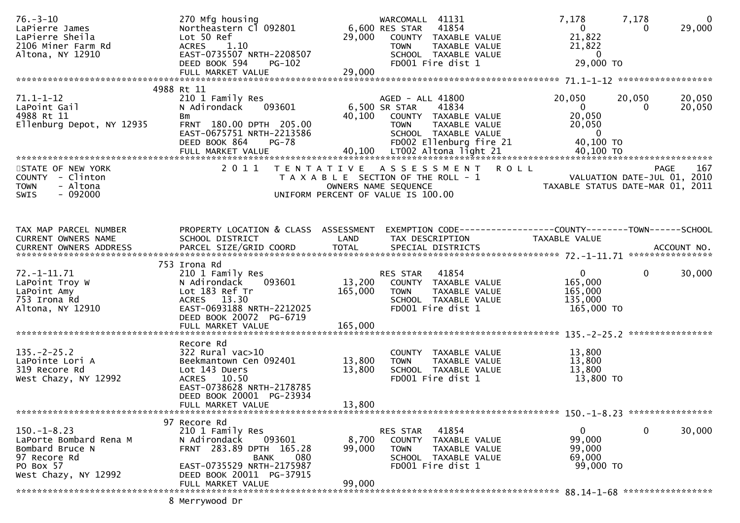| $76. - 3 - 10$<br>LaPierre James<br>LaPierre Sheila<br>2106 Miner Farm Rd<br>Altona, NY 12910                       | 270 Mfg housing<br>Northeastern Cl 092801<br>Lot 50 Ref<br>ACRES 1.10<br>EAST-0735507 NRTH-2208507<br>DEED BOOK 594<br><b>PG-102</b>                                               | 29,000                     | WARCOMALL 41131<br>6,600 RES STAR<br>41854<br>COUNTY TAXABLE VALUE<br><b>TOWN</b><br>TAXABLE VALUE<br>SCHOOL TAXABLE VALUE<br>FD001 Fire dist 1                                       | 7,178<br>$\overline{0}$<br>21,822<br>21,822<br>$\overline{0}$<br>29,000 TO               | 7,178<br>$\overline{\mathbf{0}}$<br>29,000<br>$\Omega$                         |
|---------------------------------------------------------------------------------------------------------------------|------------------------------------------------------------------------------------------------------------------------------------------------------------------------------------|----------------------------|---------------------------------------------------------------------------------------------------------------------------------------------------------------------------------------|------------------------------------------------------------------------------------------|--------------------------------------------------------------------------------|
|                                                                                                                     | FULL MARKET VALUE                                                                                                                                                                  | 29,000                     |                                                                                                                                                                                       |                                                                                          |                                                                                |
| $71.1 - 1 - 12$<br>LaPoint Gail<br>4988 Rt 11<br>Ellenburg Depot, NY 12935                                          | 4988 Rt 11<br>210 1 Family Res<br>N Adirondack<br>093601<br>Bm<br>FRNT 180.00 DPTH 205.00<br>EAST-0675751 NRTH-2213586<br>DEED BOOK 864<br><b>PG-78</b><br>FULL MARKET VALUE       | 40,100                     | AGED - ALL 41800<br>6,500 SR STAR<br>41834<br>COUNTY TAXABLE VALUE<br><b>TOWN</b><br>TAXABLE VALUE<br>SCHOOL TAXABLE VALUE<br>FD002 Ellenburg fire 21<br>40,100 LT002 Altona light 21 | 20,050<br>$\overline{0}$<br>20,050<br>20,050<br>$\overline{0}$<br>40,100 TO<br>40,100 TO | 20,050<br>20,050<br>20,050<br>$\Omega$                                         |
| STATE OF NEW YORK<br>COUNTY - Clinton<br><b>TOWN</b><br>- Altona<br>$-092000$<br><b>SWIS</b>                        | 2011                                                                                                                                                                               |                            | TENTATIVE ASSESSMENT ROLL<br>T A X A B L E SECTION OF THE ROLL - 1<br>OWNERS NAME SEQUENCE<br>UNIFORM PERCENT OF VALUE IS 100.00                                                      |                                                                                          | 167<br>PAGE<br>VALUATION DATE-JUL 01, 2010<br>TAXABLE STATUS DATE-MAR 01, 2011 |
| TAX MAP PARCEL NUMBER<br>CURRENT OWNERS NAME                                                                        | PROPERTY LOCATION & CLASS ASSESSMENT<br>SCHOOL DISTRICT                                                                                                                            | LAND                       | EXEMPTION CODE------------------COUNTY--------TOWN------SCHOOL<br>TAX DESCRIPTION                                                                                                     | <b>TAXABLE VALUE</b>                                                                     |                                                                                |
| $72. - 1 - 11.71$<br>LaPoint Troy W<br>LaPoint Amy<br>753 Irona Rd<br>Altona, NY 12910                              | 753 Irona Rd<br>210 1 Family Res<br>N Adirondack<br>093601<br>Lot 183 Ref Tr<br>ACRES 13.30<br>EAST-0693188 NRTH-2212025<br>DEED BOOK 20072 PG-6719                                | 13,200<br>165,000          | RES STAR 41854<br>COUNTY TAXABLE VALUE<br>TAXABLE VALUE<br><b>TOWN</b><br>SCHOOL TAXABLE VALUE<br>FD001 Fire dist 1                                                                   | $\overline{0}$<br>165,000<br>165,000<br>135,000<br>165,000 TO                            | 30,000<br>$\overline{0}$                                                       |
| $135. -2 - 25.2$<br>LaPointe Lori A<br>319 Recore Rd<br>West Chazy, NY 12992                                        | Recore Rd<br>$322$ Rural vac $>10$<br>Beekmantown Cen 092401<br>Lot 143 Duers<br>ACRES 10.50<br>EAST-0738628 NRTH-2178785<br>DEED BOOK 20001 PG-23934<br>FULL MARKET VALUE         | 13,800<br>13,800<br>13,800 | COUNTY TAXABLE VALUE<br>TAXABLE VALUE<br><b>TOWN</b><br>SCHOOL TAXABLE VALUE<br>FD001 Fire dist 1                                                                                     | 13,800<br>13,800<br>13,800<br>13,800 TO                                                  |                                                                                |
| $150. - 1 - 8.23$<br>LaPorte Bombard Rena M<br>Bombard Bruce N<br>97 Recore Rd<br>PO Box 57<br>West Chazy, NY 12992 | 97 Recore Rd<br>210 1 Family Res<br>093601<br>N Adirondack<br>FRNT 283.89 DPTH 165.28<br>080<br>BANK<br>EAST-0735529 NRTH-2175987<br>DEED BOOK 20011 PG-37915<br>FULL MARKET VALUE | 8,700<br>99,000<br>99,000  | 41854<br>RES STAR<br>COUNTY TAXABLE VALUE<br><b>TOWN</b><br>TAXABLE VALUE<br>SCHOOL TAXABLE VALUE<br>FD001 Fire dist 1                                                                | $\mathbf{0}$<br>99,000<br>99,000<br>69,000<br>99,000 TO                                  | $\mathbf 0$<br>30,000                                                          |
|                                                                                                                     | 8 Merrywood Dr                                                                                                                                                                     |                            |                                                                                                                                                                                       |                                                                                          |                                                                                |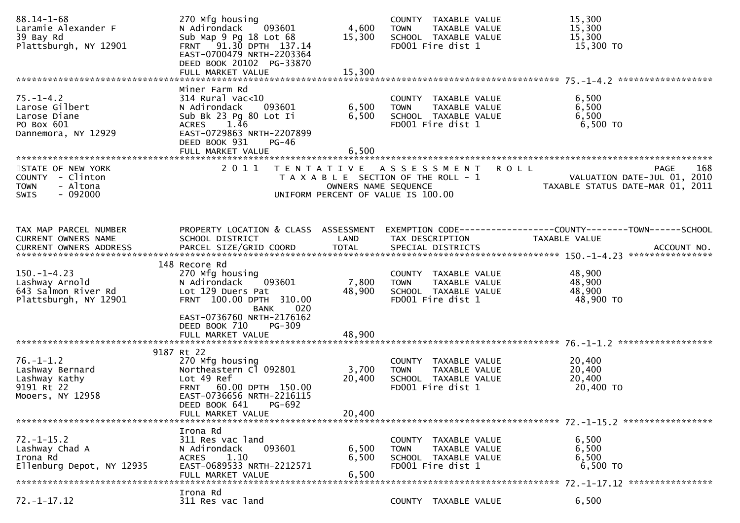| $88.14 - 1 - 68$<br>Laramie Alexander F<br>39 Bay Rd<br>Plattsburgh, NY 12901          | 270 Mfg housing<br>093601<br>N Adirondack<br>Sub Map 9 Pg 18 Lot 68<br>FRNT 91.30 DPTH 137.14<br>EAST-0700479 NRTH-2203364<br>DEED BOOK 20102 PG-33870<br>FULL MARKET VALUE                 | 4,600<br>15,300<br>15,300 | COUNTY TAXABLE VALUE<br><b>TOWN</b><br>TAXABLE VALUE<br>SCHOOL TAXABLE VALUE<br>FD001 Fire dist 1    | 15,300<br>15,300<br>15,300<br>15,300 TO                                                                                  |
|----------------------------------------------------------------------------------------|---------------------------------------------------------------------------------------------------------------------------------------------------------------------------------------------|---------------------------|------------------------------------------------------------------------------------------------------|--------------------------------------------------------------------------------------------------------------------------|
|                                                                                        |                                                                                                                                                                                             |                           |                                                                                                      |                                                                                                                          |
| $75. - 1 - 4.2$<br>Larose Gilbert<br>Larose Diane<br>PO Box 601<br>Dannemora, NY 12929 | Miner Farm Rd<br>$314$ Rural vac<10<br>N Adirondack<br>093601<br>Sub Bk 23 Pg 80 Lot Ii<br>1.46<br><b>ACRES</b><br>EAST-0729863 NRTH-2207899<br>DEED BOOK 931<br>PG-46<br>FULL MARKET VALUE | 6,500<br>6,500<br>6,500   | COUNTY TAXABLE VALUE<br>TAXABLE VALUE<br><b>TOWN</b><br>SCHOOL TAXABLE VALUE<br>FD001 Fire dist 1    | 6,500<br>6,500<br>6,500<br>6,500 TO                                                                                      |
| STATE OF NEW YORK                                                                      | 2011                                                                                                                                                                                        |                           | TENTATIVE ASSESSMENT                                                                                 | <b>ROLL</b><br><b>PAGE</b><br>168                                                                                        |
| COUNTY - Clinton<br>- Altona<br><b>TOWN</b><br>$-092000$<br><b>SWIS</b>                |                                                                                                                                                                                             | OWNERS NAME SEQUENCE      | T A X A B L E SECTION OF THE ROLL - 1<br>UNIFORM PERCENT OF VALUE IS 100.00                          | VALUATION DATE-JUL 01, 2010<br>TAXABLE STATUS DATE-MAR 01, 2011                                                          |
|                                                                                        |                                                                                                                                                                                             |                           |                                                                                                      |                                                                                                                          |
|                                                                                        |                                                                                                                                                                                             |                           |                                                                                                      |                                                                                                                          |
| TAX MAP PARCEL NUMBER<br>CURRENT OWNERS NAME                                           | SCHOOL DISTRICT                                                                                                                                                                             | LAND                      | TAX DESCRIPTION                                                                                      | PROPERTY LOCATION & CLASS ASSESSMENT EXEMPTION CODE----------------COUNTY-------TOWN------SCHOOL<br><b>TAXABLE VALUE</b> |
|                                                                                        |                                                                                                                                                                                             |                           |                                                                                                      |                                                                                                                          |
|                                                                                        |                                                                                                                                                                                             |                           |                                                                                                      |                                                                                                                          |
| $150. - 1 - 4.23$<br>Lashway Arnold<br>643 Salmon River Rd<br>Plattsburgh, NY 12901    | 148 Recore Rd<br>270 Mfg housing<br>N Adirondack<br>093601<br>Lot 129 Duers Pat<br>FRNT 100.00 DPTH 310.00<br>BANK 020<br>EAST-0736760 NRTH-2176162<br>DEED BOOK 710<br>PG-309              | 7,800<br>48,900           | COUNTY TAXABLE VALUE<br>TAXABLE VALUE<br><b>TOWN</b><br>SCHOOL TAXABLE VALUE<br>FD001 Fire dist 1    | 48,900<br>48,900<br>48,900<br>48,900 TO                                                                                  |
|                                                                                        | FULL MARKET VALUE                                                                                                                                                                           | 48,900                    |                                                                                                      |                                                                                                                          |
|                                                                                        |                                                                                                                                                                                             |                           |                                                                                                      |                                                                                                                          |
| $76. - 1 - 1.2$<br>Lashway Bernard<br>Lashway Kathy<br>9191 Rt 22<br>Mooers, NY 12958  | 9187 Rt 22<br>270 Mfg housing<br>Northeastern Cl 092801<br>Lot 49 Ref<br>FRNT 60.00 DPTH 150.00<br>EAST-0736656 NRTH-2216115<br>DEED BOOK 641<br><b>PG-692</b><br>FULL MARKET VALUE         | 3,700<br>20,400<br>20,400 | COUNTY TAXABLE VALUE<br>TAXABLE VALUE<br><b>TOWN</b><br>SCHOOL TAXABLE VALUE<br>FD001 Fire dist 1    | 20,400<br>20,400<br>20,400<br>20,400 TO                                                                                  |
|                                                                                        |                                                                                                                                                                                             |                           |                                                                                                      |                                                                                                                          |
| $72. - 1 - 15.2$<br>Lashway Chad A<br>Irona Rd<br>Ellenburg Depot, NY 12935            | Irona Rd<br>311 Res vac land<br>093601<br>N Adirondack<br>1.10<br><b>ACRES</b><br>EAST-0689533 NRTH-2212571<br>FULL MARKET VALUE                                                            | 6,500<br>6,500<br>6,500   | <b>COUNTY</b><br>TAXABLE VALUE<br>TAXABLE VALUE<br>TOWN<br>SCHOOL TAXABLE VALUE<br>FD001 Fire dist 1 | 6,500<br>6,500<br>6,500<br>6,500 TO                                                                                      |
|                                                                                        | Irona Rd                                                                                                                                                                                    |                           |                                                                                                      |                                                                                                                          |
| $72. - 1 - 17.12$                                                                      | 311 Res vac land                                                                                                                                                                            |                           | COUNTY TAXABLE VALUE                                                                                 | 6,500                                                                                                                    |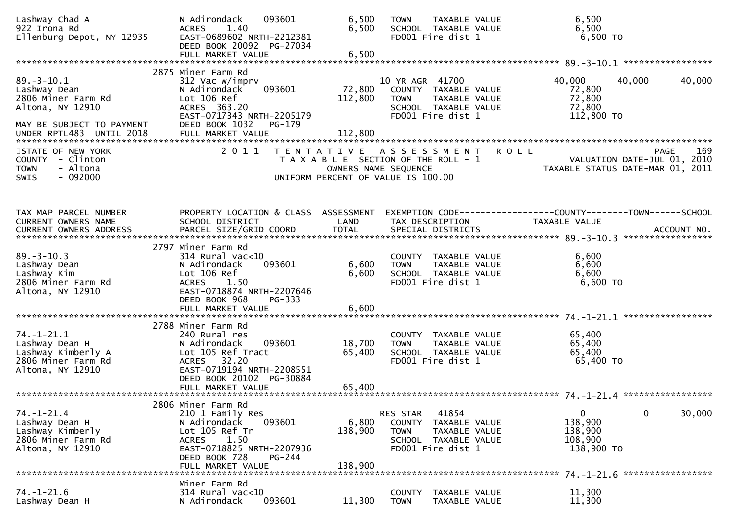| Lashway Chad A<br>922 Irona Rd<br>Ellenburg Depot, NY 12935                                                                         | N Adirondack<br>093601<br>1.40<br><b>ACRES</b><br>EAST-0689602 NRTH-2212381<br>DEED BOOK 20092 PG-27034<br>FULL MARKET VALUE                                                              | 6,500<br>6,500<br>6,500      | <b>TAXABLE VALUE</b><br><b>TOWN</b><br>SCHOOL TAXABLE VALUE<br>FD001 Fire dist 1                                                 |             | 6,500<br>6,500<br>6,500 TO                                      |        |        |
|-------------------------------------------------------------------------------------------------------------------------------------|-------------------------------------------------------------------------------------------------------------------------------------------------------------------------------------------|------------------------------|----------------------------------------------------------------------------------------------------------------------------------|-------------|-----------------------------------------------------------------|--------|--------|
| $89. - 3 - 10.1$<br>Lashway Dean<br>2806 Miner Farm Rd<br>Altona, NY 12910<br>MAY BE SUBJECT TO PAYMENT<br>UNDER RPTL483 UNTIL 2018 | 2875 Miner Farm Rd<br>312 Vac w/imprv<br>093601<br>N Adirondack<br>Lot 106 Ref<br>ACRES 363.20<br>EAST-0717343 NRTH-2205179<br>DEED BOOK 1032<br>PG-179<br>FULL MARKET VALUE              | 72,800<br>112,800<br>112,800 | 10 YR AGR 41700<br>COUNTY TAXABLE VALUE<br>TAXABLE VALUE<br><b>TOWN</b><br>SCHOOL TAXABLE VALUE<br>FD001 Fire dist 1             |             | 40,000<br>72,800<br>72,800<br>72,800<br>112,800 TO              | 40,000 | 40,000 |
| STATE OF NEW YORK<br>COUNTY - Clinton<br>- Altona<br><b>TOWN</b><br>$-092000$<br><b>SWIS</b>                                        | 2011                                                                                                                                                                                      |                              | TENTATIVE ASSESSMENT<br>T A X A B L E SECTION OF THE ROLL - 1<br>OWNERS NAME SEQUENCE<br>UNIFORM PERCENT OF VALUE IS 100.00      | <b>ROLL</b> | VALUATION DATE-JUL 01, 2010<br>TAXABLE STATUS DATE-MAR 01, 2011 | PAGE   | 169    |
| TAX MAP PARCEL NUMBER<br>CURRENT OWNERS NAME                                                                                        | PROPERTY LOCATION & CLASS ASSESSMENT<br>SCHOOL DISTRICT                                                                                                                                   | LAND                         | EXEMPTION CODE-----------------COUNTY-------TOWN------SCHOOL<br>TAX DESCRIPTION                                                  |             | TAXABLE VALUE                                                   |        |        |
| $89. - 3 - 10.3$<br>Lashway Dean<br>Lashway Kim<br>2806 Miner Farm Rd<br>Altona, NY 12910                                           | 2797 Miner Farm Rd<br>$314$ Rural vac<10<br>N Adirondack<br>093601<br>Lot 106 Ref<br>ACRES 1.50<br>EAST-0718874 NRTH-2207646<br>DEED BOOK 968<br>$PG-333$<br>FULL MARKET VALUE            | 6,600<br>6,600<br>6,600      | COUNTY TAXABLE VALUE<br>TAXABLE VALUE<br><b>TOWN</b><br>SCHOOL TAXABLE VALUE<br>FD001 Fire dist 1                                |             | 6,600<br>6,600<br>6,600<br>6,600 TO                             |        |        |
| $74. - 1 - 21.1$<br>Lashway Dean H<br>Lashway Kimberly A<br>2806 Miner Farm Rd<br>Altona, NY 12910                                  | 2788 Miner Farm Rd<br>240 Rural res<br>N Adirondack<br>093601<br>Lot 105 Ref Tract<br>ACRES 32.20<br>EAST-0719194 NRTH-2208551<br>DEED BOOK 20102 PG-30884<br>FULL MARKET VALUE           | 18,700<br>65,400<br>65,400   | COUNTY TAXABLE VALUE<br>TAXABLE VALUE<br><b>TOWN</b><br>SCHOOL TAXABLE VALUE<br>FD001 Fire dist 1                                |             | 65,400<br>65,400<br>65,400<br>65,400 TO                         |        |        |
| $74. - 1 - 21.4$<br>Lashway Dean H<br>Lashway Kimberly<br>2806 Miner Farm Rd<br>Altona, NY 12910                                    | 2806 Miner Farm Rd<br>210 1 Family Res<br>093601<br>N Adirondack<br>Lot 105 Ref Tr<br><b>ACRES</b><br>1.50<br>EAST-0718825 NRTH-2207936<br>DEED BOOK 728<br>$PG-244$<br>FULL MARKET VALUE | 6,800<br>138,900<br>138.900  | 41854<br>RES STAR<br>TAXABLE VALUE<br><b>COUNTY</b><br><b>TOWN</b><br>TAXABLE VALUE<br>SCHOOL TAXABLE VALUE<br>FD001 Fire dist 1 |             | $\mathbf{0}$<br>138,900<br>138,900<br>108,900<br>138,900 TO     | 0      | 30,000 |
| $74. - 1 - 21.6$<br>Lashway Dean H                                                                                                  | Miner Farm Rd<br>$314$ Rural vac< $10$<br>N Adirondack<br>093601                                                                                                                          | 11,300                       | <b>COUNTY</b><br>TAXABLE VALUE<br><b>TOWN</b><br>TAXABLE VALUE                                                                   |             | 11,300<br>11,300                                                |        |        |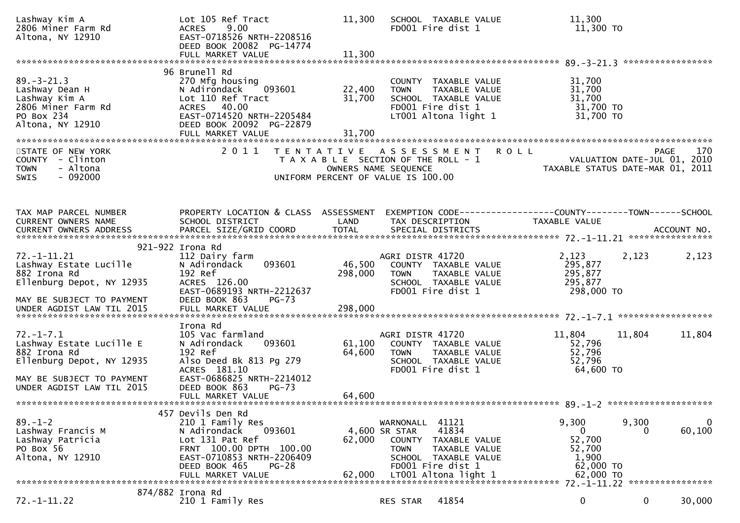| 96 Brunell Rd<br>$89. - 3 - 21.3$<br>270 Mfg housing<br>31,700<br>COUNTY TAXABLE VALUE<br>22,400<br>31,700<br>093601<br>TAXABLE VALUE<br>Lashway Dean H<br>N Adirondack<br><b>TOWN</b><br>31,700<br>31,700<br>Lashway Kim A<br>Lot 110 Ref Tract<br>SCHOOL TAXABLE VALUE<br>31,700 TO<br>ACRES 40.00<br>FD001 Fire dist 1<br>2806 Miner Farm Rd<br>LT001 Altona light 1<br>31,700 TO<br>PO Box 234<br>EAST-0714520 NRTH-2205484<br>Altona, NY 12910<br>DEED BOOK 20092 PG-22879<br>2011<br><b>ROLL</b><br>170<br>STATE OF NEW YORK<br>TENTATIVE ASSESSMENT<br><b>PAGE</b><br>COUNTY - Clinton<br>VALUATION DATE-JUL 01, 2010<br>T A X A B L E SECTION OF THE ROLL - 1<br><b>TOWN</b><br>- Altona<br>OWNERS NAME SEQUENCE<br>TAXABLE STATUS DATE-MAR 01, 2011<br>$-092000$<br><b>SWIS</b><br>UNIFORM PERCENT OF VALUE IS 100.00<br>TAX MAP PARCEL NUMBER<br>PROPERTY LOCATION & CLASS ASSESSMENT<br>EXEMPTION CODE------------------COUNTY--------TOWN------SCHOOL<br>LAND<br>CURRENT OWNERS NAME<br>SCHOOL DISTRICT<br>TAX DESCRIPTION<br>TAXABLE VALUE<br>921-922 Irona Rd<br>$72. - 1 - 11.21$<br>2,123<br>2,123<br>AGRI DISTR 41720<br>2,123<br>112 Dairy farm<br>093601<br>46,500<br>Lashway Estate Lucille<br>295,877<br>N Adirondack<br>COUNTY TAXABLE VALUE<br>295,877<br>882 Irona Rd<br>192 Ref<br>298,000<br>TAXABLE VALUE<br><b>TOWN</b><br>Ellenburg Depot, NY 12935<br>295,877<br>ACRES 126.00<br>SCHOOL TAXABLE VALUE<br>298,000 TO<br>EAST-0689193 NRTH-2212637<br>FD001 Fire dist 1<br>DEED BOOK 863<br>$PG-73$<br>MAY BE SUBJECT TO PAYMENT<br>FULL MARKET VALUE<br>298,000<br>UNDER AGDIST LAW TIL 2015<br>Irona Rd<br>$72. - 1 - 7.1$<br>AGRI DISTR 41720<br>11,804<br>11,804<br>11,804<br>105 Vac farmland<br>52,796<br>Lashway Estate Lucille E<br>61,100<br>N Adirondack<br>093601<br>COUNTY TAXABLE VALUE<br>882 Irona Rd<br>192 Ref<br>64,600<br>52,796<br><b>TOWN</b><br>TAXABLE VALUE<br>Ellenburg Depot, NY 12935<br>Also Deed Bk 813 Pg 279<br>52,796<br>SCHOOL TAXABLE VALUE<br>ACRES 181.10<br>FD001 Fire dist 1<br>64,600 TO<br>EAST-0686825 NRTH-2214012<br>MAY BE SUBJECT TO PAYMENT<br>UNDER AGDIST LAW TIL 2015<br>DEED BOOK 863<br>$PG-73$<br>64,600<br>FULL MARKET VALUE<br>457 Devils Den Rd<br>9,300<br>9,300<br>$89. - 1 - 2$<br>210 1 Family Res<br>41121<br>WARNONALL<br>$\bf{0}$<br>60,100<br>N Adirondack<br>093601<br>4,600 SR STAR<br>41834<br>0<br>Lashway Francis M<br>52,700<br>Lashway Patricia<br>Lot 131 Pat Ref<br>62,000<br>COUNTY TAXABLE VALUE<br>FRNT 100.00 DPTH 100.00<br>PO Box 56<br>52,700<br><b>TOWN</b><br>TAXABLE VALUE<br>Altona, NY 12910<br>EAST-0710853 NRTH-2206409<br>1,900<br>SCHOOL TAXABLE VALUE<br>FD001 Fire dist 1<br>62,000 TO<br>DEED BOOK 465<br>$PG-28$<br>LT001 Altona light 1<br>FULL MARKET VALUE<br>62,000<br>62,000 TO<br>****************<br>72.-1-11.22<br>874/882 Irona Rd | Lashway Kim A<br>2806 Miner Farm Rd<br>Altona, NY 12910 | Lot 105 Ref Tract<br><b>ACRES</b><br>9.00<br>EAST-0718526 NRTH-2208516<br>DEED BOOK 20082 PG-14774<br>FULL MARKET VALUE | 11,300<br>11,300 | SCHOOL TAXABLE VALUE<br>FD001 Fire dist 1 | 11,300<br>11,300 TO        |  |
|---------------------------------------------------------------------------------------------------------------------------------------------------------------------------------------------------------------------------------------------------------------------------------------------------------------------------------------------------------------------------------------------------------------------------------------------------------------------------------------------------------------------------------------------------------------------------------------------------------------------------------------------------------------------------------------------------------------------------------------------------------------------------------------------------------------------------------------------------------------------------------------------------------------------------------------------------------------------------------------------------------------------------------------------------------------------------------------------------------------------------------------------------------------------------------------------------------------------------------------------------------------------------------------------------------------------------------------------------------------------------------------------------------------------------------------------------------------------------------------------------------------------------------------------------------------------------------------------------------------------------------------------------------------------------------------------------------------------------------------------------------------------------------------------------------------------------------------------------------------------------------------------------------------------------------------------------------------------------------------------------------------------------------------------------------------------------------------------------------------------------------------------------------------------------------------------------------------------------------------------------------------------------------------------------------------------------------------------------------------------------------------------------------------------------------------------------------------------------------------------------------------------------------------------------------------------------------------------------------------------------------------------------------------------------------------------------------------------------------------------------------------------------------------------------------------------------------------------------------------------|---------------------------------------------------------|-------------------------------------------------------------------------------------------------------------------------|------------------|-------------------------------------------|----------------------------|--|
|                                                                                                                                                                                                                                                                                                                                                                                                                                                                                                                                                                                                                                                                                                                                                                                                                                                                                                                                                                                                                                                                                                                                                                                                                                                                                                                                                                                                                                                                                                                                                                                                                                                                                                                                                                                                                                                                                                                                                                                                                                                                                                                                                                                                                                                                                                                                                                                                                                                                                                                                                                                                                                                                                                                                                                                                                                                                     |                                                         |                                                                                                                         |                  |                                           |                            |  |
|                                                                                                                                                                                                                                                                                                                                                                                                                                                                                                                                                                                                                                                                                                                                                                                                                                                                                                                                                                                                                                                                                                                                                                                                                                                                                                                                                                                                                                                                                                                                                                                                                                                                                                                                                                                                                                                                                                                                                                                                                                                                                                                                                                                                                                                                                                                                                                                                                                                                                                                                                                                                                                                                                                                                                                                                                                                                     |                                                         |                                                                                                                         |                  |                                           |                            |  |
|                                                                                                                                                                                                                                                                                                                                                                                                                                                                                                                                                                                                                                                                                                                                                                                                                                                                                                                                                                                                                                                                                                                                                                                                                                                                                                                                                                                                                                                                                                                                                                                                                                                                                                                                                                                                                                                                                                                                                                                                                                                                                                                                                                                                                                                                                                                                                                                                                                                                                                                                                                                                                                                                                                                                                                                                                                                                     |                                                         |                                                                                                                         |                  |                                           |                            |  |
|                                                                                                                                                                                                                                                                                                                                                                                                                                                                                                                                                                                                                                                                                                                                                                                                                                                                                                                                                                                                                                                                                                                                                                                                                                                                                                                                                                                                                                                                                                                                                                                                                                                                                                                                                                                                                                                                                                                                                                                                                                                                                                                                                                                                                                                                                                                                                                                                                                                                                                                                                                                                                                                                                                                                                                                                                                                                     |                                                         |                                                                                                                         |                  |                                           |                            |  |
|                                                                                                                                                                                                                                                                                                                                                                                                                                                                                                                                                                                                                                                                                                                                                                                                                                                                                                                                                                                                                                                                                                                                                                                                                                                                                                                                                                                                                                                                                                                                                                                                                                                                                                                                                                                                                                                                                                                                                                                                                                                                                                                                                                                                                                                                                                                                                                                                                                                                                                                                                                                                                                                                                                                                                                                                                                                                     |                                                         |                                                                                                                         |                  |                                           |                            |  |
|                                                                                                                                                                                                                                                                                                                                                                                                                                                                                                                                                                                                                                                                                                                                                                                                                                                                                                                                                                                                                                                                                                                                                                                                                                                                                                                                                                                                                                                                                                                                                                                                                                                                                                                                                                                                                                                                                                                                                                                                                                                                                                                                                                                                                                                                                                                                                                                                                                                                                                                                                                                                                                                                                                                                                                                                                                                                     |                                                         |                                                                                                                         |                  |                                           |                            |  |
|                                                                                                                                                                                                                                                                                                                                                                                                                                                                                                                                                                                                                                                                                                                                                                                                                                                                                                                                                                                                                                                                                                                                                                                                                                                                                                                                                                                                                                                                                                                                                                                                                                                                                                                                                                                                                                                                                                                                                                                                                                                                                                                                                                                                                                                                                                                                                                                                                                                                                                                                                                                                                                                                                                                                                                                                                                                                     |                                                         |                                                                                                                         |                  |                                           |                            |  |
|                                                                                                                                                                                                                                                                                                                                                                                                                                                                                                                                                                                                                                                                                                                                                                                                                                                                                                                                                                                                                                                                                                                                                                                                                                                                                                                                                                                                                                                                                                                                                                                                                                                                                                                                                                                                                                                                                                                                                                                                                                                                                                                                                                                                                                                                                                                                                                                                                                                                                                                                                                                                                                                                                                                                                                                                                                                                     | $72. - 1 - 11.22$                                       | 210 1 Family Res                                                                                                        |                  | RES STAR<br>41854                         | 0<br>$\mathbf 0$<br>30,000 |  |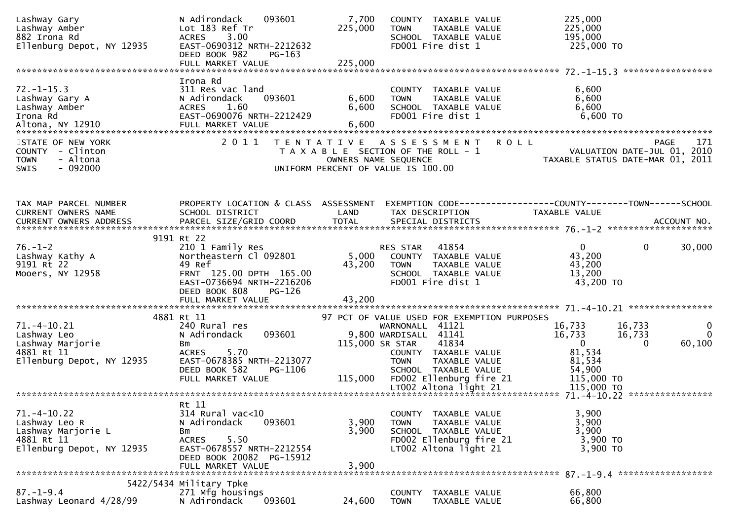| Lashway Gary<br>Lashway Amber<br>882 Irona Rd<br>Ellenburg Depot, NY 12935                                                                             | N Adirondack<br>093601<br>Lot 183 Ref Tr<br><b>ACRES</b><br>3.00<br>EAST-0690312 NRTH-2212632<br>DEED BOOK 982<br>PG-163            | 7,700<br>225,000        | <b>TOWN</b><br>FD001 Fire dist 1                                                                                            | COUNTY TAXABLE VALUE<br>TAXABLE VALUE<br>SCHOOL TAXABLE VALUE                                              | 225,000<br>225,000<br>195,000<br>225,000 TO                                            |                                                                          |
|--------------------------------------------------------------------------------------------------------------------------------------------------------|-------------------------------------------------------------------------------------------------------------------------------------|-------------------------|-----------------------------------------------------------------------------------------------------------------------------|------------------------------------------------------------------------------------------------------------|----------------------------------------------------------------------------------------|--------------------------------------------------------------------------|
|                                                                                                                                                        | Irona Rd                                                                                                                            |                         |                                                                                                                             |                                                                                                            |                                                                                        |                                                                          |
| $72. - 1 - 15.3$<br>Lashway Gary A<br>Lashway Amber<br>Irona Rd                                                                                        | 311 Res vac land<br>N Adirondack<br>093601<br>1.60<br>ACRES<br>EAST-0690076 NRTH-2212429                                            | 6,600<br>6,600<br>6,600 | <b>TOWN</b><br>FD001 Fire dist 1                                                                                            | COUNTY TAXABLE VALUE<br>TAXABLE VALUE<br>SCHOOL TAXABLE VALUE                                              | 6,600<br>6,600<br>6,600<br>6,600 TO                                                    |                                                                          |
| STATE OF NEW YORK<br>COUNTY - Clinton<br>- Altona<br><b>TOWN</b><br>$-092000$<br>SWIS                                                                  | 2011                                                                                                                                |                         | TENTATIVE ASSESSMENT<br>T A X A B L E SECTION OF THE ROLL - 1<br>OWNERS NAME SEQUENCE<br>UNIFORM PERCENT OF VALUE IS 100.00 |                                                                                                            | <b>ROLL</b>                                                                            | <b>PAGE</b><br>171<br>VALUATION DATE-JUL 01, 2010                        |
| TAX MAP PARCEL NUMBER<br>CURRENT OWNERS NAME<br>CURRENT OWNERS ADDRESS FARCEL SIZE/GRID COORD TOTAL SPECIAL DISTRICTS FOR THE SPECIAL POST ACCOUNT NO. | PROPERTY LOCATION & CLASS ASSESSMENT<br>SCHOOL DISTRICT                                                                             | LAND                    | TAX DESCRIPTION                                                                                                             |                                                                                                            | EXEMPTION        CODE------------------COUNTY--------TOWN------SCHOOL<br>TAXABLE VALUE |                                                                          |
| $76. - 1 - 2$                                                                                                                                          | 9191 Rt 22<br>210 1 Family Res                                                                                                      |                         | RES STAR 41854                                                                                                              |                                                                                                            | $\mathbf{0}$                                                                           | $\mathbf 0$<br>30,000                                                    |
| Lashway Kathy A<br>9191 Rt 22<br>Mooers, NY 12958                                                                                                      | Northeastern Cl 092801<br>49 Ref<br>FRNT 125.00 DPTH 165.00<br>EAST-0736694 NRTH-2216206<br>DEED BOOK 808<br>PG-126                 | 43,200                  | <b>TOWN</b><br>FD001 Fire dist 1                                                                                            | 5,000 COUNTY TAXABLE VALUE<br>TAXABLE VALUE<br>SCHOOL TAXABLE VALUE                                        | 43,200<br>43,200<br>13,200<br>43,200 TO                                                |                                                                          |
|                                                                                                                                                        |                                                                                                                                     |                         |                                                                                                                             |                                                                                                            |                                                                                        |                                                                          |
| $71. - 4 - 10.21$<br>Lashway Leo<br>Lashway Marjorie<br>4881 Rt 11                                                                                     | 4881 Rt 11<br>240 Rural res<br>093601<br>N Adirondack<br>Bm<br>ACRES 5.70                                                           |                         | WARNONALL 41121<br>9,800 WARDISALL 41141<br>115,000 SR STAR                                                                 | 97 PCT OF VALUE USED FOR EXEMPTION PURPOSES<br>41834<br>COUNTY TAXABLE VALUE                               | 16,733<br>16,733<br>$\overline{0}$<br>81,534                                           | 16,733<br>$\mathbf{0}$<br>$\overline{0}$<br>16,733<br>60,100<br>$\Omega$ |
| Ellenburg Depot, NY 12935                                                                                                                              | EAST-0678385 NRTH-2213077<br>DEED BOOK 582<br>PG-1106<br>FULL MARKET VALUE                                                          |                         | <b>TOWN</b>                                                                                                                 | TAXABLE VALUE<br>SCHOOL TAXABLE VALUE<br>115,000 FD002 Ellenburg fire 21<br>LT002 Altona light 21          | 81,534<br>54,900<br>115,000 TO<br>115,000 TO                                           |                                                                          |
|                                                                                                                                                        | Rt 11                                                                                                                               |                         |                                                                                                                             |                                                                                                            |                                                                                        |                                                                          |
| $71. -4 - 10.22$<br>Lashway Leo R<br>Lashway Marjorie L<br>4881 Rt 11<br>Ellenburg Depot, NY 12935                                                     | $314$ Rural vac<10<br>N Adirondack<br>093601<br>Bm<br><b>ACRES</b><br>5.50<br>EAST-0678557 NRTH-2212554<br>DEED BOOK 20082 PG-15912 | 3,900<br>3,900          | <b>COUNTY</b><br><b>TOWN</b>                                                                                                | TAXABLE VALUE<br>TAXABLE VALUE<br>SCHOOL TAXABLE VALUE<br>FD002 Ellenburg fire 21<br>LT002 Altona light 21 | 3,900<br>3,900<br>3,900<br>3,900 TO<br>3,900 TO                                        |                                                                          |
|                                                                                                                                                        | FULL MARKET VALUE                                                                                                                   | 3,900                   |                                                                                                                             |                                                                                                            |                                                                                        |                                                                          |
| $87. - 1 - 9.4$<br>Lashway Leonard 4/28/99                                                                                                             | 5422/5434 Military Tpke<br>271 Mfg housings<br>N Adirondack<br>093601                                                               | 24,600                  | COUNTY<br><b>TOWN</b>                                                                                                       | TAXABLE VALUE<br>TAXABLE VALUE                                                                             | 66,800<br>66,800                                                                       |                                                                          |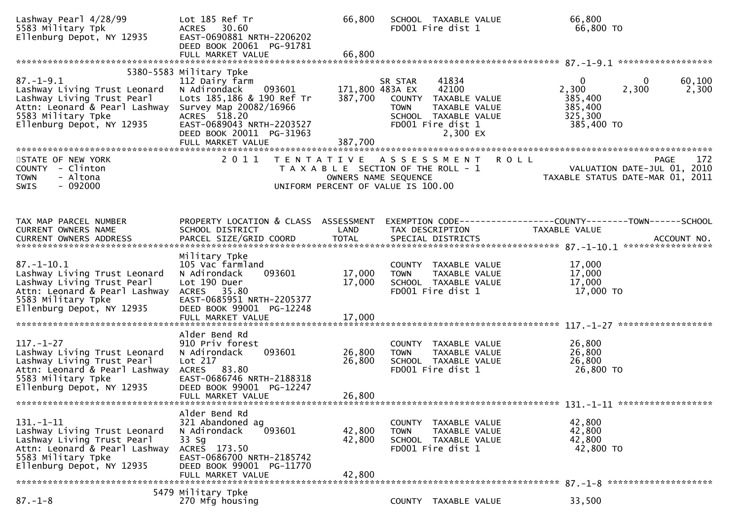| Lashway Pearl 4/28/99<br>5583 Military Tpk<br>Ellenburg Depot, NY 12935                                                                                            | Lot 185 Ref Tr<br>ACRES 30.60<br>EAST-0690881 NRTH-2206202<br>DEED BOOK 20061 PG-91781<br>FULL MARKET VALUE                                                                                                              | 66,800<br>66,800           | SCHOOL TAXABLE VALUE<br>FD001 Fire dist 1                                                                                                                     | 66,800<br>66,800 TO                                                                       |                    |
|--------------------------------------------------------------------------------------------------------------------------------------------------------------------|--------------------------------------------------------------------------------------------------------------------------------------------------------------------------------------------------------------------------|----------------------------|---------------------------------------------------------------------------------------------------------------------------------------------------------------|-------------------------------------------------------------------------------------------|--------------------|
|                                                                                                                                                                    |                                                                                                                                                                                                                          |                            |                                                                                                                                                               |                                                                                           |                    |
| $87. - 1 - 9.1$<br>Lashway Living Trust Leonard<br>Lashway Living Trust Pearl<br>Attn: Leonard & Pearl Lashway<br>5583 Military Tpke<br>Ellenburg Depot, NY 12935  | 5380-5583 Military Tpke<br>112 Dairy farm<br>093601<br>N Adirondack<br>Lots 185,186 & 190 Ref Tr<br>Survey Map 20082/16966<br>ACRES 518.20<br>EAST-0689043 NRTH-2203527<br>DEED BOOK 20011 PG-31963<br>FULL MARKET VALUE | 387,700<br>387,700         | 41834<br>SR STAR<br>42100<br>171,800 483A EX<br>COUNTY TAXABLE VALUE<br><b>TOWN</b><br>TAXABLE VALUE<br>SCHOOL TAXABLE VALUE<br>FD001 Fire dist 1<br>2,300 EX | $\mathbf{0}$<br>$\bf{0}$<br>2,300<br>2,300<br>385,400<br>385,400<br>325,300<br>385,400 TO | 60,100<br>2,300    |
|                                                                                                                                                                    |                                                                                                                                                                                                                          |                            |                                                                                                                                                               |                                                                                           |                    |
| STATE OF NEW YORK<br>COUNTY - Clinton<br>- Altona<br><b>TOWN</b><br>$-092000$<br>SWIS                                                                              | 2011                                                                                                                                                                                                                     |                            | TENTATIVE ASSESSMENT<br>T A X A B L E SECTION OF THE ROLL - 1<br>OWNERS NAME SEQUENCE<br>UNIFORM PERCENT OF VALUE IS 100.00                                   | <b>ROLL</b>                                                                               | 172<br><b>PAGE</b> |
|                                                                                                                                                                    |                                                                                                                                                                                                                          |                            |                                                                                                                                                               |                                                                                           |                    |
| TAX MAP PARCEL NUMBER<br>CURRENT OWNERS NAME                                                                                                                       | PROPERTY LOCATION & CLASS ASSESSMENT<br>SCHOOL DISTRICT                                                                                                                                                                  | LAND                       | TAX DESCRIPTION                                                                                                                                               | EXEMPTION CODE------------------COUNTY--------TOWN------SCHOOL<br>TAXABLE VALUE           |                    |
|                                                                                                                                                                    | Military Tpke                                                                                                                                                                                                            |                            |                                                                                                                                                               |                                                                                           |                    |
| $87. - 1 - 10.1$<br>Lashway Living Trust Leonard<br>Lashway Living Trust Pearl<br>Attn: Leonard & Pearl Lashway<br>5583 Military Tpke<br>Ellenburg Depot, NY 12935 | 105 Vac farmland<br>093601<br>N Adirondack<br>Lot 190 Duer<br>ACRES 35.80<br>EAST-0685951 NRTH-2205377<br>DEED BOOK 99001 PG-12248                                                                                       | 17,000<br>17,000           | COUNTY TAXABLE VALUE<br>TAXABLE VALUE<br>TOWN<br>SCHOOL TAXABLE VALUE<br>FD001 Fire dist 1                                                                    | 17,000<br>17,000<br>17,000<br>17,000 TO                                                   |                    |
|                                                                                                                                                                    | FULL MARKET VALUE                                                                                                                                                                                                        | 17,000                     |                                                                                                                                                               |                                                                                           |                    |
|                                                                                                                                                                    |                                                                                                                                                                                                                          |                            |                                                                                                                                                               |                                                                                           |                    |
| $117. - 1 - 27$<br>Lashway Living Trust Leonard<br>Lashway Living Trust Pearl<br>Attn: Leonard & Pearl Lashway<br>5583 Military Tpke<br>Ellenburg Depot, NY 12935  | Alder Bend Rd<br>910 Priv forest<br>093601<br>N Adirondack<br>Lot 217<br>ACRES 83.80<br>EAST-0686746 NRTH-2188318<br>DEED BOOK 99001 PG-12247<br>FULL MARKET VALUE                                                       | 26,800<br>26,800<br>26,800 | COUNTY TAXABLE VALUE<br><b>TOWN</b><br>TAXABLE VALUE<br>SCHOOL TAXABLE VALUE<br>FD001 Fire dist 1                                                             | 26,800<br>26,800<br>26,800<br>26,800 TO                                                   |                    |
|                                                                                                                                                                    |                                                                                                                                                                                                                          |                            |                                                                                                                                                               |                                                                                           |                    |
| $131. - 1 - 11$<br>Lashway Living Trust Leonard<br>Lashway Living Trust Pearl<br>Attn: Leonard & Pearl Lashway<br>5583 Military Tpke<br>Ellenburg Depot, NY 12935  | Alder Bend Rd<br>321 Abandoned ag<br>093601<br>N Adirondack<br>33 Sg<br>ACRES 173.50<br>EAST-0686700 NRTH-2185742<br>DEED BOOK 99001 PG-11770<br>FULL MARKET VALUE                                                       | 42,800<br>42,800<br>42,800 | COUNTY TAXABLE VALUE<br><b>TOWN</b><br>TAXABLE VALUE<br>SCHOOL TAXABLE VALUE<br>FD001 Fire dist 1                                                             | 42,800<br>42,800<br>42,800<br>42,800 TO                                                   |                    |
|                                                                                                                                                                    | 5479 Military Tpke                                                                                                                                                                                                       |                            |                                                                                                                                                               |                                                                                           |                    |
| $87. - 1 - 8$                                                                                                                                                      | 270 Mfg housing                                                                                                                                                                                                          |                            | COUNTY TAXABLE VALUE                                                                                                                                          | 33,500                                                                                    |                    |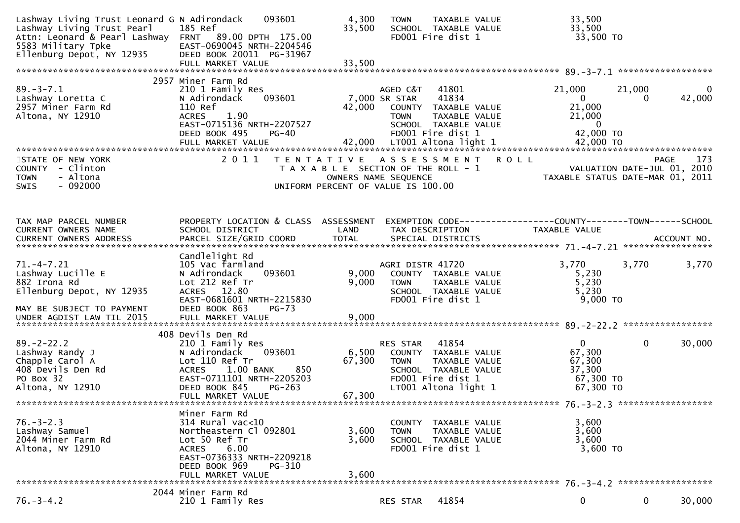| Lashway Living Trust Leonard G N Adirondack<br>Lashway Living Trust Pearl<br>5583 Military Tpke<br>Ellenburg Depot, NY 12935 | 093601<br>185 Ref<br>Attn: Leonard & Pearl Lashway FRNT 89.00 DPTH 175.00<br>EAST-0690045 NRTH-2204546<br>DEED BOOK 20011 PG-31967<br>FULL MARKET VALUE                                                | 4,300<br>33,500<br>33,500 | TAXABLE VALUE<br><b>TOWN</b><br>SCHOOL TAXABLE VALUE<br>FD001 Fire dist 1                                                                        | 33,500<br>33,500<br>33,500 TO                                             |                                                                                       |
|------------------------------------------------------------------------------------------------------------------------------|--------------------------------------------------------------------------------------------------------------------------------------------------------------------------------------------------------|---------------------------|--------------------------------------------------------------------------------------------------------------------------------------------------|---------------------------------------------------------------------------|---------------------------------------------------------------------------------------|
|                                                                                                                              |                                                                                                                                                                                                        |                           |                                                                                                                                                  |                                                                           |                                                                                       |
| $89. - 3 - 7.1$<br>Lashway Loretta C<br>2957 Miner Farm Rd<br>Altona, NY 12910                                               | 2957 Miner Farm Rd<br>210 1 Family Res<br>093601<br>N Adirondack<br>110 Ref<br><b>ACRES</b><br>1.90<br>EAST-0715136 NRTH-2207527<br>DEED BOOK 495<br>$PG-40$                                           | 42,000                    | 41801<br>AGED C&T<br>41834<br>7,000 SR STAR<br>COUNTY TAXABLE VALUE<br><b>TOWN</b><br>TAXABLE VALUE<br>SCHOOL TAXABLE VALUE<br>FD001 Fire dist 1 | 21,000<br>$\mathbf{0}$<br>21,000<br>21,000<br>$\overline{0}$<br>42,000 TO | 21,000<br>0<br>42,000<br>0                                                            |
|                                                                                                                              | FULL MARKET VALUE                                                                                                                                                                                      | 42,000                    | LT001 Altona light 1                                                                                                                             | 42,000 TO                                                                 |                                                                                       |
| STATE OF NEW YORK<br>COUNTY - Clinton<br>- Altona<br><b>TOWN</b><br>$-092000$<br>SWIS                                        | 2 0 1 1                                                                                                                                                                                                | T E N T A T I V E         | ASSESSMENT<br><b>ROLL</b><br>T A X A B L E SECTION OF THE ROLL - 1<br>OWNERS NAME SEQUENCE<br>UNIFORM PERCENT OF VALUE IS 100.00                 |                                                                           | 173<br><b>PAGE</b><br>VALUATION DATE-JUL 01, 2010<br>TAXABLE STATUS DATE-MAR 01, 2011 |
| TAX MAP PARCEL NUMBER<br>CURRENT OWNERS NAME<br>CURRENT OWNERS ADDRESS                                                       | PROPERTY LOCATION & CLASS ASSESSMENT<br>SCHOOL DISTRICT<br>PARCEL SIZE/GRID COORD                                                                                                                      | LAND<br><b>TOTAL</b>      | EXEMPTION        CODE-----------------COUNTY-------TOWN------SCHOOL<br>TAX DESCRIPTION<br>SPECIAL DISTRICTS                                      | TAXABLE VALUE                                                             | ACCOUNT NO.                                                                           |
|                                                                                                                              | Candlelight Rd                                                                                                                                                                                         |                           |                                                                                                                                                  |                                                                           |                                                                                       |
| $71. -4 - 7.21$<br>Lashway Lucille E<br>882 Irona Rd<br>Ellenburg Depot, NY 12935<br>MAY BE SUBJECT TO PAYMENT               | 105 Vac farmland<br>N Adirondack<br>093601<br>Lot 212 Ref Tr<br>ACRES 12.80<br>EAST-0681601 NRTH-2215830<br>DEED BOOK 863<br>$PG-73$                                                                   | 9,000<br>9,000            | AGRI DISTR 41720<br>COUNTY TAXABLE VALUE<br>TAXABLE VALUE<br><b>TOWN</b><br>SCHOOL TAXABLE VALUE<br>FD001 Fire dist 1                            | 3,770<br>5,230<br>5,230<br>5,230<br>9,000 TO                              | 3,770<br>3,770                                                                        |
|                                                                                                                              |                                                                                                                                                                                                        |                           |                                                                                                                                                  |                                                                           |                                                                                       |
|                                                                                                                              |                                                                                                                                                                                                        |                           |                                                                                                                                                  |                                                                           |                                                                                       |
| $89. - 2 - 22.2$<br>Lashway Randy J<br>Chapple Carol A<br>408 Devils Den Rd<br>PO Box 32<br>Altona, NY 12910                 | 408 Devils Den Rd<br>210 1 Family Res<br>093601<br>N Adirondack<br>Lot 110 Ref Tr<br>850<br>$1.00$ BANK<br><b>ACRES</b><br>EAST-0711101 NRTH-2205203<br>DEED BOOK 845<br>$PG-263$<br>FULL MARKET VALUE | 6,500<br>67,300<br>67,300 | 41854<br>RES STAR<br>COUNTY TAXABLE VALUE<br>TAXABLE VALUE<br><b>TOWN</b><br>SCHOOL TAXABLE VALUE<br>FD001 Fire dist 1<br>LT001 Altona light 1   | $\mathbf{0}$<br>67,300<br>67,300<br>37,300<br>67,300 TO<br>67,300 TO      | $\mathbf{0}$<br>30,000                                                                |
|                                                                                                                              |                                                                                                                                                                                                        |                           |                                                                                                                                                  |                                                                           |                                                                                       |
| $76. - 3 - 2.3$<br>Lashway Samuel<br>2044 Miner Farm Rd<br>Altona, NY 12910                                                  | Miner Farm Rd<br>$314$ Rural vac<10<br>Northeastern Cl 092801<br>Lot 50 Ref Tr<br>6.00<br><b>ACRES</b><br>EAST-0736333 NRTH-2209218<br>DEED BOOK 969<br>PG-310<br>FULL MARKET VALUE                    | 3,600<br>3,600<br>3,600   | COUNTY TAXABLE VALUE<br>TAXABLE VALUE<br><b>TOWN</b><br>SCHOOL TAXABLE VALUE<br>FD001 Fire dist 1                                                | 3,600<br>3,600<br>3,600<br>3,600 TO                                       |                                                                                       |
|                                                                                                                              | 2044 Miner Farm Rd                                                                                                                                                                                     |                           |                                                                                                                                                  |                                                                           |                                                                                       |
| $76. - 3 - 4.2$                                                                                                              | 210 1 Family Res                                                                                                                                                                                       |                           | 41854<br>RES STAR                                                                                                                                | 0                                                                         | 0<br>30,000                                                                           |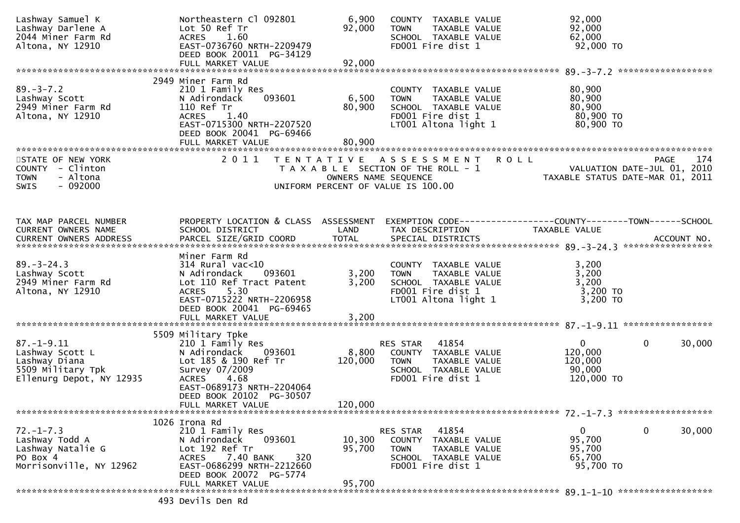| Lashway Samuel K<br>Lashway Darlene A<br>2044 Miner Farm Rd<br>Altona, NY 12910                       | Northeastern Cl 092801<br>Lot 50 Ref Tr<br>ACRES 1.60<br>EAST-0736760 NRTH-2209479<br>DEED BOOK 20011 PG-34129                                                            | 6,900<br>92,000      | COUNTY TAXABLE VALUE<br>TAXABLE VALUE<br><b>TOWN</b><br>SCHOOL TAXABLE VALUE<br>FD001 Fire dist 1                         | 92,000<br>92,000<br>62,000<br>92,000 TO                                        |        |
|-------------------------------------------------------------------------------------------------------|---------------------------------------------------------------------------------------------------------------------------------------------------------------------------|----------------------|---------------------------------------------------------------------------------------------------------------------------|--------------------------------------------------------------------------------|--------|
|                                                                                                       |                                                                                                                                                                           |                      |                                                                                                                           |                                                                                |        |
|                                                                                                       | 2949 Miner Farm Rd                                                                                                                                                        |                      |                                                                                                                           |                                                                                |        |
| $89. - 3 - 7.2$<br>Lashway Scott<br>2949 Miner Farm Rd<br>Altona, NY 12910                            | 210 1 Family Res<br>093601<br>N Adirondack<br>110 Ref Tr<br><b>ACRES</b><br>1.40<br>EAST-0715300 NRTH-2207520<br>DEED BOOK 20041 PG-69466                                 | 6,500<br>80,900      | COUNTY TAXABLE VALUE<br>TAXABLE VALUE<br><b>TOWN</b><br>SCHOOL TAXABLE VALUE<br>FD001 Fire dist 1<br>LT001 Altona light 1 | 80,900<br>80,900<br>80,900<br>80,900 TO<br>80,900 TO                           |        |
|                                                                                                       | FULL MARKET VALUE                                                                                                                                                         | 80,900               |                                                                                                                           |                                                                                |        |
| STATE OF NEW YORK<br>COUNTY - Clinton<br>- Altona<br><b>TOWN</b><br>$-092000$<br>SWIS                 | 2011                                                                                                                                                                      | OWNERS NAME SEQUENCE | <b>ROLL</b><br>TENTATIVE ASSESSMENT<br>T A X A B L E SECTION OF THE ROLL - 1<br>UNIFORM PERCENT OF VALUE IS 100.00        | <b>PAGE</b><br>VALUATION DATE-JUL 01, 2010<br>TAXABLE STATUS DATE-MAR 01, 2011 | 174    |
| TAX MAP PARCEL NUMBER<br>CURRENT OWNERS NAME<br>CURRENT OWNERS ADDRESS                                | PROPERTY LOCATION & CLASS ASSESSMENT<br>SCHOOL DISTRICT                                                                                                                   | LAND                 | TAX DESCRIPTION                                                                                                           | TAXABLE VALUE                                                                  |        |
| $89. - 3 - 24.3$<br>Lashway Scott<br>2949 Miner Farm Rd<br>Altona, NY 12910                           | Miner Farm Rd<br>$314$ Rural vac< $10$<br>N Adirondack<br>093601<br>Lot 110 Ref Tract Patent<br>5.30<br>ACRES<br>EAST-0715222 NRTH-2206958<br>DEED BOOK 20041 PG-69465    | 3,200<br>3,200       | COUNTY TAXABLE VALUE<br>TAXABLE VALUE<br><b>TOWN</b><br>SCHOOL TAXABLE VALUE<br>FD001 Fire dist 1<br>LT001 Altona light 1 | 3,200<br>3,200<br>3,200<br>$3,200$ TO<br>3,200 TO                              |        |
|                                                                                                       | FULL MARKET VALUE                                                                                                                                                         | 3,200                |                                                                                                                           |                                                                                |        |
|                                                                                                       | 5509 Military Tpke                                                                                                                                                        |                      |                                                                                                                           |                                                                                |        |
| $87. - 1 - 9.11$<br>Lashway Scott L<br>Lashway Diana<br>5509 Military Tpk<br>Ellenurg Depot, NY 12935 | 210 1 Family Res<br>N Adirondack<br>093601<br>Lot 185 & 190 Ref Tr<br>Survey 07/2009<br>ACRES 4.68<br>EAST-0689173 NRTH-2204064                                           | 8,800<br>120,000     | 41854<br>RES STAR<br>COUNTY TAXABLE VALUE<br><b>TOWN</b><br>TAXABLE VALUE<br>SCHOOL TAXABLE VALUE<br>FD001 Fire dist 1    | $\overline{0}$<br>$\mathbf{0}$<br>120,000<br>120,000<br>90,000<br>120,000 TO   | 30,000 |
|                                                                                                       | DEED BOOK 20102 PG-30507<br>FULL MARKET VALUE                                                                                                                             | 120,000              |                                                                                                                           |                                                                                |        |
| $72. - 1 - 7.3$<br>Lashway Todd A<br>Lashway Natalie G<br>PO Box 4<br>Morrisonville, NY 12962         | 1026 Irona Rd<br>210 1 Family Res<br>093601<br>N Adirondack<br>Lot 192 Ref Tr<br>7.40 BANK<br>320<br><b>ACRES</b><br>EAST-0686299 NRTH-2212660<br>DEED BOOK 20072 PG-5774 | 10,300<br>95,700     | 41854<br>RES STAR<br>COUNTY TAXABLE VALUE<br><b>TOWN</b><br>TAXABLE VALUE<br>SCHOOL TAXABLE VALUE<br>FD001 Fire dist 1    | $\mathbf 0$<br>$\mathbf{0}$<br>95,700<br>95,700<br>65,700<br>95,700 TO         | 30,000 |
|                                                                                                       | FULL MARKET VALUE                                                                                                                                                         | 95,700               |                                                                                                                           |                                                                                |        |
|                                                                                                       | 493 Devils Den Rd                                                                                                                                                         |                      |                                                                                                                           |                                                                                |        |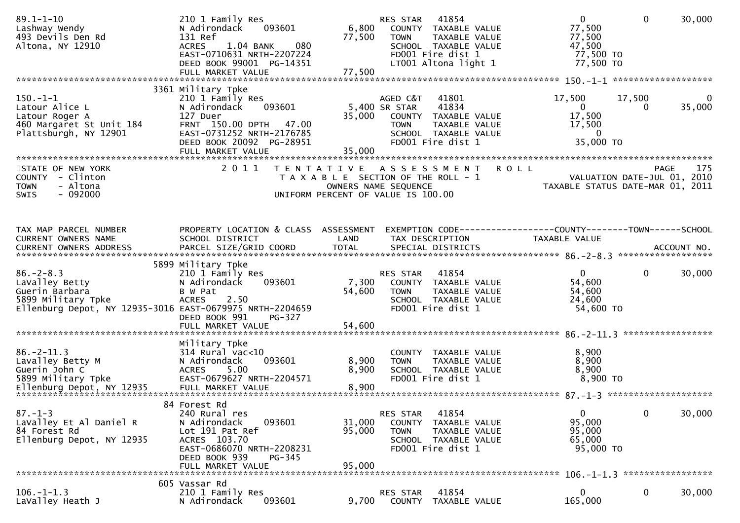| 3361 Military Tpke<br>$150.-1-1$<br>17,500<br>$\mathbf{0}$<br>210 1 Family Res<br>AGED C&T<br>41801<br>17,500<br>35,000<br>Latour Alice L<br>093601<br>5,400 SR STAR<br>41834<br>$\overline{0}$<br>N Adirondack<br>0<br>127 Duer<br>35,000<br>17,500<br>COUNTY TAXABLE VALUE<br>Latour Roger A<br>FRNT 150.00 DPTH 47.00<br>17,500<br>460 Margaret St Unit 184<br><b>TOWN</b><br>TAXABLE VALUE<br>EAST-0731252 NRTH-2176785<br>Plattsburgh, NY 12901<br>$\overline{0}$<br>SCHOOL TAXABLE VALUE<br>35,000 TO<br>DEED BOOK 20092 PG-28951<br>FD001 Fire dist 1<br>35,000<br>FULL MARKET VALUE<br>2011<br>175<br><b>ROLL</b><br>STATE OF NEW YORK<br>TENTATIVE ASSESSMENT<br><b>PAGE</b><br>VALUATION DATE-JUL 01, 2010<br>COUNTY - Clinton<br>T A X A B L E SECTION OF THE ROLL - 1<br>TAXABLE STATUS DATE-MAR 01, 2011<br>- Altona<br><b>TOWN</b><br>OWNERS NAME SEQUENCE<br>$-092000$<br>SWIS<br>UNIFORM PERCENT OF VALUE IS 100.00<br>PROPERTY LOCATION & CLASS ASSESSMENT<br>TAX MAP PARCEL NUMBER<br>CURRENT OWNERS NAME<br>SCHOOL DISTRICT<br>LAND<br>TAX DESCRIPTION<br>TAXABLE VALUE<br>5899 Military Tpke<br>$\mathbf{0}$<br>$86. - 2 - 8.3$<br>210 1 Family Res<br>41854<br>$\mathbf{0}$<br>30,000<br>RES STAR<br>54,600<br>LaValley Betty<br>093601<br>7,300<br>N Adirondack<br>COUNTY TAXABLE VALUE<br>54,600<br>54,600<br>Guerin Barbara<br>B W Pat<br><b>TOWN</b><br>TAXABLE VALUE<br>24,600<br>5899 Military Tpke<br>ACRES 2.50<br>SCHOOL TAXABLE VALUE<br>FD001 Fire dist 1<br>54,600 TO<br>Ellenburg Depot, NY 12935-3016 EAST-0679975 NRTH-2204659<br>DEED BOOK 991<br>PG-327<br>Military Tpke<br>$86. - 2 - 11.3$<br>8,900<br>$314$ Rural vac< $10$<br>COUNTY TAXABLE VALUE<br>Lavalley Betty M<br>093601<br>8,900<br>8,900<br>N Adirondack<br><b>TOWN</b><br>TAXABLE VALUE<br>8,900<br>8,900<br>Guerin John C<br>5.00<br>SCHOOL TAXABLE VALUE<br>ACRES<br>8,900 TO<br>EAST-0679627 NRTH-2204571<br>5899 Military Tpke<br>FD001 Fire dist 1<br>84 Forest Rd<br>30,000<br>$87. - 1 - 3$<br>41854<br>0<br>240 Rural res<br>RES STAR<br>$\mathbf{0}$<br>95,000<br>31,000<br>LaValley Et Al Daniel R<br>N Adirondack<br>093601<br><b>COUNTY</b><br>TAXABLE VALUE<br>Lot 191 Pat Ref<br>95,000<br>95,000<br>84 Forest Rd<br><b>TOWN</b><br>TAXABLE VALUE<br>Ellenburg Depot, NY 12935<br>ACRES 103.70<br>65,000<br>SCHOOL TAXABLE VALUE<br>EAST-0686070 NRTH-2208231<br>FD001 Fire dist 1<br>95,000 TO<br>DEED BOOK 939<br>PG-345<br>95,000<br>FULL MARKET VALUE<br>605 Vassar Rd<br>$106. - 1 - 1.3$<br>210 1 Family Res<br>RES STAR<br>41854<br>0<br>0<br>30,000<br>LaValley Heath J<br>093601<br>165,000<br>N Adirondack<br>9,700<br>TAXABLE VALUE<br>COUNTY | $89.1 - 1 - 10$<br>Lashway Wendy<br>493 Devils Den Rd<br>Altona, NY 12910 | 210 1 Family Res<br>093601<br>N Adirondack<br>131 Ref<br>1.04 BANK<br>080<br>ACRES<br>EAST-0710631 NRTH-2207224<br>DEED BOOK 99001 PG-14351<br>FULL MARKET VALUE | 6,800<br>77,500<br>77,500 | RES STAR<br>41854<br>COUNTY TAXABLE VALUE<br>TOWN<br>TAXABLE VALUE<br>SCHOOL TAXABLE VALUE<br>FD001 Fire dist 1<br>LT001 Altona light 1 | $\mathbf{0}$<br>77,500<br>77,500<br>47,500<br>77,500 TO<br>77,500 TO | $\mathbf{0}$<br>30,000 |
|-----------------------------------------------------------------------------------------------------------------------------------------------------------------------------------------------------------------------------------------------------------------------------------------------------------------------------------------------------------------------------------------------------------------------------------------------------------------------------------------------------------------------------------------------------------------------------------------------------------------------------------------------------------------------------------------------------------------------------------------------------------------------------------------------------------------------------------------------------------------------------------------------------------------------------------------------------------------------------------------------------------------------------------------------------------------------------------------------------------------------------------------------------------------------------------------------------------------------------------------------------------------------------------------------------------------------------------------------------------------------------------------------------------------------------------------------------------------------------------------------------------------------------------------------------------------------------------------------------------------------------------------------------------------------------------------------------------------------------------------------------------------------------------------------------------------------------------------------------------------------------------------------------------------------------------------------------------------------------------------------------------------------------------------------------------------------------------------------------------------------------------------------------------------------------------------------------------------------------------------------------------------------------------------------------------------------------------------------------------------------------------------------------------------------------------------------------------------------------------------------------------------------------------------------------------------------------------------------------------------------------------------------------------------------------|---------------------------------------------------------------------------|------------------------------------------------------------------------------------------------------------------------------------------------------------------|---------------------------|-----------------------------------------------------------------------------------------------------------------------------------------|----------------------------------------------------------------------|------------------------|
|                                                                                                                                                                                                                                                                                                                                                                                                                                                                                                                                                                                                                                                                                                                                                                                                                                                                                                                                                                                                                                                                                                                                                                                                                                                                                                                                                                                                                                                                                                                                                                                                                                                                                                                                                                                                                                                                                                                                                                                                                                                                                                                                                                                                                                                                                                                                                                                                                                                                                                                                                                                                                                                                             |                                                                           |                                                                                                                                                                  |                           |                                                                                                                                         |                                                                      |                        |
|                                                                                                                                                                                                                                                                                                                                                                                                                                                                                                                                                                                                                                                                                                                                                                                                                                                                                                                                                                                                                                                                                                                                                                                                                                                                                                                                                                                                                                                                                                                                                                                                                                                                                                                                                                                                                                                                                                                                                                                                                                                                                                                                                                                                                                                                                                                                                                                                                                                                                                                                                                                                                                                                             |                                                                           |                                                                                                                                                                  |                           |                                                                                                                                         |                                                                      |                        |
|                                                                                                                                                                                                                                                                                                                                                                                                                                                                                                                                                                                                                                                                                                                                                                                                                                                                                                                                                                                                                                                                                                                                                                                                                                                                                                                                                                                                                                                                                                                                                                                                                                                                                                                                                                                                                                                                                                                                                                                                                                                                                                                                                                                                                                                                                                                                                                                                                                                                                                                                                                                                                                                                             |                                                                           |                                                                                                                                                                  |                           |                                                                                                                                         |                                                                      |                        |
|                                                                                                                                                                                                                                                                                                                                                                                                                                                                                                                                                                                                                                                                                                                                                                                                                                                                                                                                                                                                                                                                                                                                                                                                                                                                                                                                                                                                                                                                                                                                                                                                                                                                                                                                                                                                                                                                                                                                                                                                                                                                                                                                                                                                                                                                                                                                                                                                                                                                                                                                                                                                                                                                             |                                                                           |                                                                                                                                                                  |                           |                                                                                                                                         |                                                                      |                        |
|                                                                                                                                                                                                                                                                                                                                                                                                                                                                                                                                                                                                                                                                                                                                                                                                                                                                                                                                                                                                                                                                                                                                                                                                                                                                                                                                                                                                                                                                                                                                                                                                                                                                                                                                                                                                                                                                                                                                                                                                                                                                                                                                                                                                                                                                                                                                                                                                                                                                                                                                                                                                                                                                             |                                                                           |                                                                                                                                                                  |                           |                                                                                                                                         |                                                                      |                        |
|                                                                                                                                                                                                                                                                                                                                                                                                                                                                                                                                                                                                                                                                                                                                                                                                                                                                                                                                                                                                                                                                                                                                                                                                                                                                                                                                                                                                                                                                                                                                                                                                                                                                                                                                                                                                                                                                                                                                                                                                                                                                                                                                                                                                                                                                                                                                                                                                                                                                                                                                                                                                                                                                             |                                                                           |                                                                                                                                                                  |                           |                                                                                                                                         |                                                                      |                        |
|                                                                                                                                                                                                                                                                                                                                                                                                                                                                                                                                                                                                                                                                                                                                                                                                                                                                                                                                                                                                                                                                                                                                                                                                                                                                                                                                                                                                                                                                                                                                                                                                                                                                                                                                                                                                                                                                                                                                                                                                                                                                                                                                                                                                                                                                                                                                                                                                                                                                                                                                                                                                                                                                             |                                                                           |                                                                                                                                                                  |                           |                                                                                                                                         |                                                                      |                        |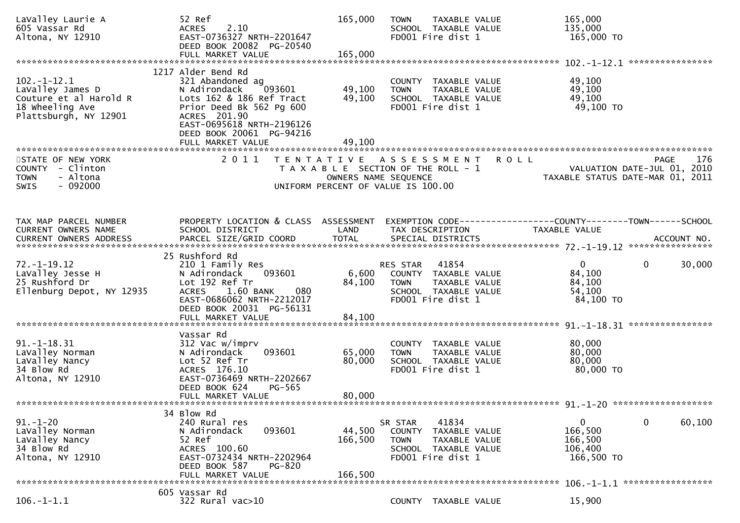| LaValley Laurie A<br>605 Vassar Rd<br>Altona, NY 12910                                                                                                             | 52 Ref<br>2.10<br><b>ACRES</b><br>EAST-0736327 NRTH-2201647<br>DEED BOOK 20082 PG-20540<br>FULL MARKET VALUE                                                          | 165,000<br>165,000           | TAXABLE VALUE<br><b>TOWN</b><br>SCHOOL TAXABLE VALUE<br>FD001 Fire dist 1                                                       | 165,000<br>135,000<br>165,000 TO                                                   |                        |
|--------------------------------------------------------------------------------------------------------------------------------------------------------------------|-----------------------------------------------------------------------------------------------------------------------------------------------------------------------|------------------------------|---------------------------------------------------------------------------------------------------------------------------------|------------------------------------------------------------------------------------|------------------------|
|                                                                                                                                                                    |                                                                                                                                                                       |                              |                                                                                                                                 |                                                                                    |                        |
| $102. - 1 - 12.1$<br>LaValley James D<br>Couture et al Harold R<br>18 Wheeling Ave<br>Plattsburgh, NY 12901                                                        | 1217 Alder Bend Rd<br>321 Abandoned ag<br>N Adirondack<br>093601<br>Lots 162 & 186 Ref Tract<br>Prior Deed Bk 562 Pg 600<br>ACRES 201.90<br>EAST-0695618 NRTH-2196126 | 49,100<br>49,100             | COUNTY TAXABLE VALUE<br><b>TOWN</b><br>TAXABLE VALUE<br>SCHOOL TAXABLE VALUE<br>FD001 Fire dist 1                               | 49,100<br>49,100<br>49,100<br>49,100 TO                                            |                        |
|                                                                                                                                                                    | DEED BOOK 20061 PG-94216<br>FULL MARKET VALUE                                                                                                                         | 49,100                       |                                                                                                                                 |                                                                                    |                        |
|                                                                                                                                                                    |                                                                                                                                                                       |                              |                                                                                                                                 |                                                                                    |                        |
| STATE OF NEW YORK<br>COUNTY - Clinton<br>- Altona<br><b>TOWN</b><br>$-092000$<br>SWIS                                                                              | 2011                                                                                                                                                                  | OWNERS NAME SEQUENCE         | TENTATIVE ASSESSMENT<br>T A X A B L E SECTION OF THE ROLL - 1<br>UNIFORM PERCENT OF VALUE IS 100.00                             | <b>ROLL</b><br>VALUATION DATE-JUL 01, 2010<br>TAXABLE STATUS DATE-MAR 01, 2011     | PAGE<br>176            |
|                                                                                                                                                                    |                                                                                                                                                                       |                              |                                                                                                                                 |                                                                                    |                        |
| TAX MAP PARCEL NUMBER<br>CURRENT OWNERS NAME<br>.0URRENT OWNERS ADDRESS PARCEL SIZE/GRID COORD TOTAL SPECIAL DISTRICTS ACCOUNT NO ACCOUNT NO ACCOUNT NO ACCOUNT NO | PROPERTY LOCATION & CLASS ASSESSMENT<br>SCHOOL DISTRICT                                                                                                               | LAND<br><b>TOTAL</b>         | TAX DESCRIPTION                                                                                                                 | EXEMPTION CODE-----------------COUNTY--------TOWN------SCHOOL<br>TAXABLE VALUE     |                        |
|                                                                                                                                                                    | 25 Rushford Rd                                                                                                                                                        |                              |                                                                                                                                 |                                                                                    |                        |
| $72. - 1 - 19.12$<br>LaValley Jesse H<br>25 Rushford Dr<br>Ellenburg Depot, NY 12935                                                                               | 210 1 Family Res<br>093601<br>N Adirondack<br>Lot 192 Ref Tr<br><b>ACRES</b><br>1.60 BANK<br>080<br>EAST-0686062 NRTH-2212017<br>DEED BOOK 20031 PG-56131             | 6,600<br>84,100              | RES STAR 41854<br>COUNTY TAXABLE VALUE<br><b>TOWN</b><br>TAXABLE VALUE<br>SCHOOL TAXABLE VALUE<br>FD001 Fire dist 1             | $\mathbf{0}$<br>84,100<br>84,100<br>54,100<br>84,100 TO                            | $\mathbf{0}$<br>30,000 |
|                                                                                                                                                                    | FULL MARKET VALUE                                                                                                                                                     | 84,100                       |                                                                                                                                 |                                                                                    |                        |
|                                                                                                                                                                    |                                                                                                                                                                       |                              |                                                                                                                                 |                                                                                    |                        |
| $91. - 1 - 18.31$<br>LaValley Norman<br>LaValley Nancy<br>34 Blow Rd<br>Altona, NY 12910                                                                           | Vassar Rd<br>312 Vac w/imprv<br>093601<br>N Adirondack<br>Lot 52 Ref Tr<br>ACRES 176.10<br>EAST-0736469 NRTH-2202667<br>DEED BOOK 624<br>PG-565<br>FULL MARKET VALUE  | 65,000<br>80,000<br>80,000   | COUNTY TAXABLE VALUE<br>TAXABLE VALUE<br><b>TOWN</b><br>SCHOOL TAXABLE VALUE<br>FD001 Fire dist 1                               | 80,000<br>80,000<br>80,000<br>80,000 TO                                            |                        |
|                                                                                                                                                                    |                                                                                                                                                                       |                              |                                                                                                                                 |                                                                                    |                        |
| $91 - 1 - 20$<br>LaValley Norman<br>LaValley Nancy<br>34 Blow Rd<br>Altona, NY 12910                                                                               | 34 Blow Rd<br>240 Rural res<br>093601<br>N Adirondack<br>52 Ref<br>ACRES 100.60<br>EAST-0732434 NRTH-2202964<br>DEED BOOK 587<br>PG-820<br>FULL MARKET VALUE          | 44,500<br>166,500<br>166,500 | 41834<br>SR STAR<br><b>COUNTY</b><br>TAXABLE VALUE<br><b>TOWN</b><br>TAXABLE VALUE<br>SCHOOL TAXABLE VALUE<br>FD001 Fire dist 1 | 0<br>166,500<br>166,500<br>106,400<br>166,500 TO<br>106. -1-1.1 ****************** | 0<br>60,100            |
|                                                                                                                                                                    | 605 Vassar Rd                                                                                                                                                         |                              |                                                                                                                                 |                                                                                    |                        |
| $106.-1-1.1$                                                                                                                                                       | 322 Rural vac>10                                                                                                                                                      |                              | COUNTY TAXABLE VALUE                                                                                                            | 15,900                                                                             |                        |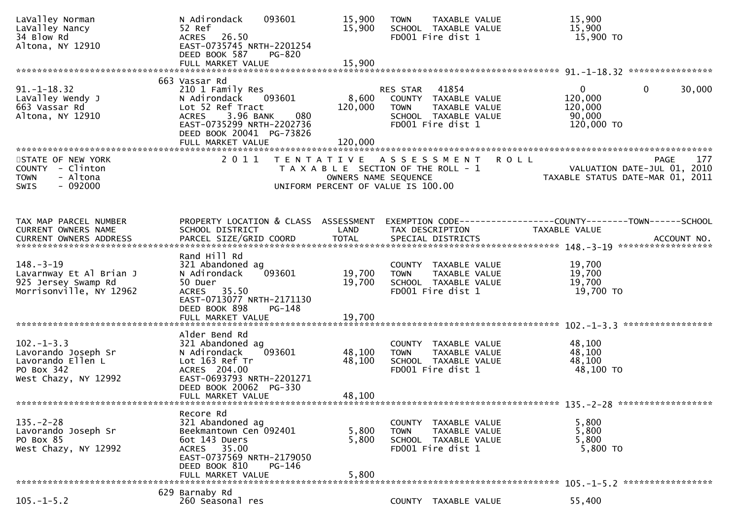| LaValley Norman<br>LaValley Nancy<br>34 Blow Rd<br>Altona, NY 12910                               | N Adirondack<br>093601<br>52 Ref<br>26.50<br><b>ACRES</b><br>EAST-0735745 NRTH-2201254<br>DEED BOOK 587<br><b>PG-820</b>                                                                          | 15,900<br>15,900            | TAXABLE VALUE<br><b>TOWN</b><br>SCHOOL TAXABLE VALUE<br>FD001 Fire dist 1                                              |                                                                | 15,900<br>15,900<br>15,900 TO                                                                  |                    |
|---------------------------------------------------------------------------------------------------|---------------------------------------------------------------------------------------------------------------------------------------------------------------------------------------------------|-----------------------------|------------------------------------------------------------------------------------------------------------------------|----------------------------------------------------------------|------------------------------------------------------------------------------------------------|--------------------|
|                                                                                                   |                                                                                                                                                                                                   |                             |                                                                                                                        |                                                                |                                                                                                |                    |
| $91. - 1 - 18.32$<br>LaValley Wendy J<br>663 Vassar Rd<br>Altona, NY 12910                        | 663 Vassar Rd<br>210 1 Family Res<br>N Adirondack<br>093601<br>Lot 52 Ref Tract<br>3.96 BANK<br>080<br><b>ACRES</b><br>EAST-0735299 NRTH-2202736<br>DEED BOOK 20041 PG-73826<br>FULL MARKET VALUE | 8,600<br>120,000<br>120,000 | 41854<br>RES STAR<br>COUNTY TAXABLE VALUE<br><b>TOWN</b><br>TAXABLE VALUE<br>SCHOOL TAXABLE VALUE<br>FD001 Fire dist 1 |                                                                | $\mathbf 0$<br>$\overline{0}$<br>120,000<br>120,000<br>90,000<br>120,000 TO                    | 30,000             |
| STATE OF NEW YORK<br>COUNTY - Clinton<br>- Altona<br><b>TOWN</b><br>$-092000$<br><b>SWIS</b>      | 2011                                                                                                                                                                                              | OWNERS NAME SEQUENCE        | TENTATIVE ASSESSMENT<br>T A X A B L E SECTION OF THE ROLL - 1<br>UNIFORM PERCENT OF VALUE IS 100.00                    | <b>ROLL</b>                                                    | VALUATION DATE-JUL 01, 2010<br>VALUATION DATE-JUL VI, 2010<br>TAXABLE STATUS DATE-MAR 01, 2011 | <b>PAGE</b><br>177 |
| TAX MAP PARCEL NUMBER<br>CURRENT OWNERS NAME<br>CURRENT OWNERS ADDRESS                            | PROPERTY LOCATION & CLASS ASSESSMENT<br>SCHOOL DISTRICT<br>PARCEL SIZE/GRID COORD                                                                                                                 | LAND<br><b>TOTAL</b>        | TAX DESCRIPTION<br>SPECIAL DISTRICTS                                                                                   | EXEMPTION CODE------------------COUNTY--------TOWN------SCHOOL | TAXABLE VALUE                                                                                  | ACCOUNT NO.        |
| $148. - 3 - 19$<br>Lavarnway Et Al Brian J<br>925 Jersey Swamp Rd<br>Morrisonville, NY 12962      | Rand Hill Rd<br>321 Abandoned ag<br>093601<br>N Adirondack<br>50 Duer<br>ACRES 35.50<br>EAST-0713077 NRTH-2171130<br>DEED BOOK 898<br>PG-148                                                      | 19,700<br>19,700            | COUNTY TAXABLE VALUE<br>TAXABLE VALUE<br><b>TOWN</b><br>SCHOOL TAXABLE VALUE<br>FD001 Fire dist 1                      |                                                                | 19,700<br>19,700<br>19,700<br>19,700 TO                                                        |                    |
|                                                                                                   | FULL MARKET VALUE                                                                                                                                                                                 | 19,700                      |                                                                                                                        |                                                                |                                                                                                |                    |
| $102. -1 - 3.3$<br>Lavorando Joseph Sr<br>Lavorando Ellen L<br>PO Box 342<br>West Chazy, NY 12992 | Alder Bend Rd<br>321 Abandoned ag<br>093601<br>N Adirondack<br>Lot 163 Ref Tr<br>ACRES 204.00<br>EAST-0693793 NRTH-2201271<br>DEED BOOK 20062 PG-330<br>FULL MARKET VALUE                         | 48,100<br>48,100<br>48,100  | COUNTY TAXABLE VALUE<br>TAXABLE VALUE<br><b>TOWN</b><br>SCHOOL TAXABLE VALUE<br>FD001 Fire dist 1                      |                                                                | 48,100<br>48,100<br>48,100<br>48,100 TO                                                        |                    |
|                                                                                                   | Recore Rd                                                                                                                                                                                         |                             |                                                                                                                        |                                                                |                                                                                                |                    |
| $135. - 2 - 28$<br>Lavorando Joseph Sr<br>PO Box 85<br>West Chazy, NY 12992                       | 321 Abandoned ag<br>Beekmantown Cen 092401<br>6ot 143 Duers<br>35.00<br><b>ACRES</b><br>EAST-0737569 NRTH-2179050<br>DEED BOOK 810<br>PG-146<br>FULL MARKET VALUE                                 | 5,800<br>5,800<br>5,800     | COUNTY TAXABLE VALUE<br>TAXABLE VALUE<br><b>TOWN</b><br>SCHOOL TAXABLE VALUE<br>FD001 Fire dist 1                      |                                                                | 5,800<br>5,800<br>5,800<br>5,800 TO                                                            |                    |
| $105. - 1 - 5.2$                                                                                  | 629 Barnaby Rd<br>260 Seasonal res                                                                                                                                                                |                             | COUNTY TAXABLE VALUE                                                                                                   |                                                                | 55,400                                                                                         |                    |
|                                                                                                   |                                                                                                                                                                                                   |                             |                                                                                                                        |                                                                |                                                                                                |                    |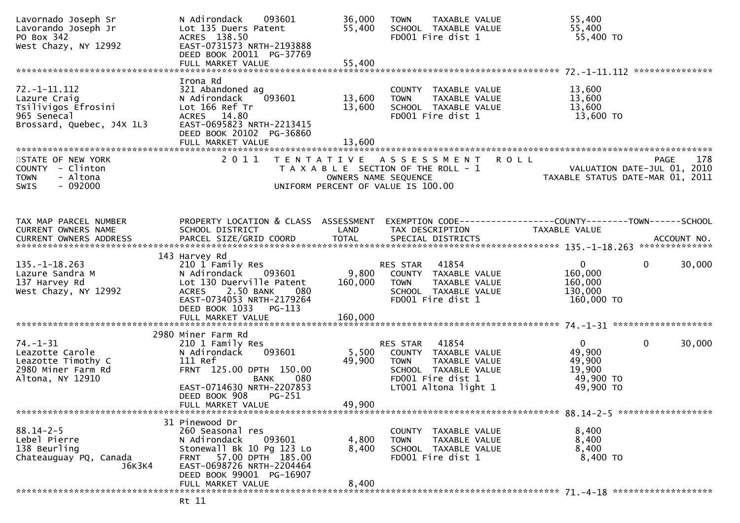| Lavornado Joseph Sr<br>Lavorando Joseph Jr<br>PO Box 342<br>West Chazy, NY 12992                     | N Adirondack<br>093601<br>Lot 135 Duers Patent<br>ACRES 138.50<br>EAST-0731573 NRTH-2193888<br>DEED BOOK 20011 PG-37769                                                           | 36,000<br>55,400           | <b>TOWN</b><br><b>TAXABLE VALUE</b><br>SCHOOL TAXABLE VALUE<br>FD001 Fire dist 1                                                        | 55,400<br>55,400<br>55,400 TO                                                                    |
|------------------------------------------------------------------------------------------------------|-----------------------------------------------------------------------------------------------------------------------------------------------------------------------------------|----------------------------|-----------------------------------------------------------------------------------------------------------------------------------------|--------------------------------------------------------------------------------------------------|
|                                                                                                      |                                                                                                                                                                                   |                            |                                                                                                                                         |                                                                                                  |
| $72. -1 - 11.112$<br>Lazure Craig<br>Tsilivigos Efrosini<br>965 Senecal<br>Brossard, Quebec, J4X 1L3 | Irona Rd<br>321 Abandoned ag<br>093601<br>N Adirondack<br>Lot 166 Ref Tr<br>ACRES 14.80<br>EAST-0695823 NRTH-2213415<br>DEED BOOK 20102 PG-36860<br>FULL MARKET VALUE             | 13,600<br>13,600<br>13,600 | COUNTY TAXABLE VALUE<br>TAXABLE VALUE<br><b>TOWN</b><br>SCHOOL TAXABLE VALUE<br>FD001 Fire dist 1                                       | 13,600<br>13,600<br>13,600<br>13,600 TO                                                          |
|                                                                                                      |                                                                                                                                                                                   |                            |                                                                                                                                         |                                                                                                  |
| STATE OF NEW YORK<br>COUNTY - Clinton<br>- Altona<br><b>TOWN</b><br>$-092000$<br>SWIS                | 2011                                                                                                                                                                              |                            | TENTATIVE ASSESSMENT<br>T A X A B L E SECTION OF THE ROLL - 1<br>OWNERS NAME SEQUENCE<br>UNIFORM PERCENT OF VALUE IS 100.00             | ROLL<br>178<br><b>PAGE</b><br>VALUATION DATE-JUL 01, 2010<br>TAXABLE STATUS DATE-MAR 01, 2011    |
| TAX MAP PARCEL NUMBER<br>CURRENT OWNERS NAME                                                         | PROPERTY LOCATION & CLASS ASSESSMENT<br>SCHOOL DISTRICT                                                                                                                           | LAND                       | TAX DESCRIPTION                                                                                                                         | EXEMPTION CODE------------------COUNTY--------TOWN------SCHOOL<br>TAXABLE VALUE                  |
| <b>CURRENT OWNERS ADDRESS</b>                                                                        |                                                                                                                                                                                   |                            |                                                                                                                                         |                                                                                                  |
|                                                                                                      |                                                                                                                                                                                   |                            |                                                                                                                                         |                                                                                                  |
| $135. - 1 - 18.263$<br>Lazure Sandra M<br>137 Harvey Rd<br>West Chazy, NY 12992                      | 143 Harvey Rd<br>210 1 Family Res<br>N Adirondack<br>093601<br>Lot 130 Duerville Patent<br>2.50 BANK<br><b>ACRES</b><br>080<br>EAST-0734053 NRTH-2179264<br>DEED BOOK 1033 PG-113 | 9,800<br>160,000           | 41854<br>RES STAR<br>COUNTY TAXABLE VALUE<br><b>TOWN</b><br>TAXABLE VALUE<br>SCHOOL TAXABLE VALUE<br>FD001 Fire dist 1                  | $\overline{0}$<br>$\mathbf{0}$<br>30,000<br>160,000<br>160,000<br>130,000<br>160,000 TO          |
|                                                                                                      | FULL MARKET VALUE                                                                                                                                                                 | 160,000                    |                                                                                                                                         |                                                                                                  |
|                                                                                                      | 2980 Miner Farm Rd                                                                                                                                                                |                            |                                                                                                                                         |                                                                                                  |
| $74. - 1 - 31$<br>Leazotte Carole<br>Leazotte Timothy C<br>2980 Miner Farm Rd<br>Altona, NY 12910    | 210 1 Family Res<br>093601<br>N Adirondack<br>111 Ref<br>FRNT 125.00 DPTH 150.00<br>080<br><b>BANK</b><br>EAST-0714630 NRTH-2207853<br>DEED BOOK 908<br>PG-251                    | 5,500<br>49,900            | 41854<br>RES STAR<br>COUNTY TAXABLE VALUE<br>TAXABLE VALUE<br>TOWN<br>SCHOOL TAXABLE VALUE<br>FD001 Fire dist 1<br>LT001 Altona light 1 | $\overline{0}$<br>$\mathbf{0}$<br>30,000<br>49,900<br>49,900<br>19,900<br>49,900 TO<br>49,900 TO |
|                                                                                                      | FULL MARKET VALUE                                                                                                                                                                 | 49,900                     |                                                                                                                                         |                                                                                                  |
| $88.14 - 2 - 5$<br>Lebel Pierre<br>138 Beurling<br>Chateauguay PQ, Canada<br>J6K3K4                  | 31 Pinewood Dr<br>260 Seasonal res<br>N Adirondack<br>093601<br>Stonewall Bk 10 Pg 123 Lo<br>FRNT 57.00 DPTH 185.00<br>EAST-0698726 NRTH-2204464<br>DEED BOOK 99001 PG-16907      | 4,800<br>8,400             | COUNTY TAXABLE VALUE<br>TAXABLE VALUE<br><b>TOWN</b><br>SCHOOL TAXABLE VALUE<br>FD001 Fire dist 1                                       | 8,400<br>8,400<br>8,400<br>8,400 TO                                                              |
|                                                                                                      | FULL MARKET VALUE                                                                                                                                                                 | 8,400                      |                                                                                                                                         |                                                                                                  |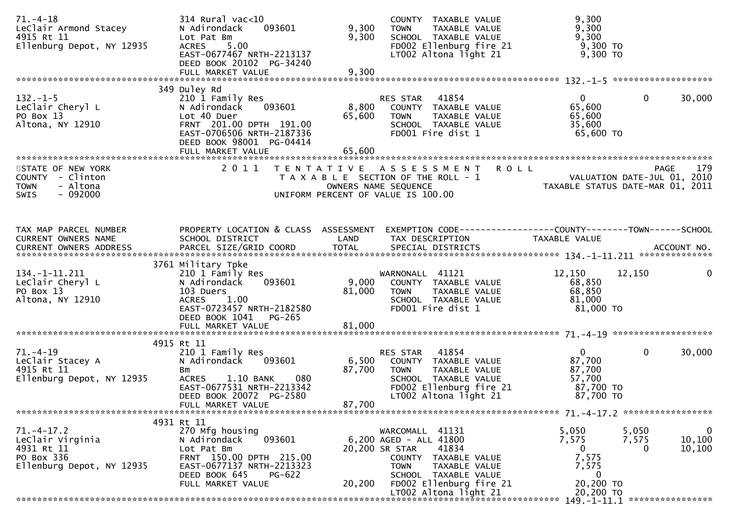| $71. - 4 - 18$<br>LeClair Armond Stacey<br>4915 Rt 11<br>Ellenburg Depot, NY 12935            | 314 Rural vac<10<br>093601<br>N Adirondack<br>Lot Pat Bm<br>5.00<br><b>ACRES</b><br>EAST-0677467 NRTH-2213137<br>DEED BOOK 20102 PG-34240<br>FULL MARKET VALUE                  | 9,300<br>9,300<br>9,300   | COUNTY TAXABLE VALUE<br>TAXABLE VALUE<br><b>TOWN</b><br>SCHOOL TAXABLE VALUE<br>FD002 Ellenburg fire 21<br>LT002 Altona light 21                                                | 9,300<br>9,300<br>9,300<br>9,300 TO<br>9,300 TO                    |                                                                |
|-----------------------------------------------------------------------------------------------|---------------------------------------------------------------------------------------------------------------------------------------------------------------------------------|---------------------------|---------------------------------------------------------------------------------------------------------------------------------------------------------------------------------|--------------------------------------------------------------------|----------------------------------------------------------------|
|                                                                                               | 349 Duley Rd                                                                                                                                                                    |                           |                                                                                                                                                                                 |                                                                    |                                                                |
| $132 - 1 - 5$<br>LeClair Cheryl L<br>PO Box 13<br>Altona, NY 12910                            | 210 1 Family Res<br>093601<br>N Adirondack<br>Lot 40 Duer<br>FRNT 201.00 DPTH 191.00<br>EAST-0706506 NRTH-2187336<br>DEED BOOK 98001 PG-04414                                   | 8,800<br>65,600           | RES STAR 41854<br>COUNTY TAXABLE VALUE<br>TAXABLE VALUE<br><b>TOWN</b><br>SCHOOL TAXABLE VALUE<br>FD001 Fire dist 1                                                             | 0<br>65,600<br>65,600<br>35,600<br>65,600 TO                       | $\mathbf 0$<br>30,000                                          |
|                                                                                               | FULL MARKET VALUE                                                                                                                                                               | 65,600                    |                                                                                                                                                                                 |                                                                    |                                                                |
| STATE OF NEW YORK<br>COUNTY - Clinton<br><b>TOWN</b><br>- Altona<br>$-092000$<br><b>SWIS</b>  | 2011                                                                                                                                                                            | T E N T A T I V E         | <b>ROLL</b><br>A S S E S S M E N T<br>T A X A B L E SECTION OF THE ROLL - 1<br>OWNERS NAME SEQUENCE<br>UNIFORM PERCENT OF VALUE IS 100.00                                       | VALUATION DATE-JUL 01, 2010<br>TAXABLE STATUS DATE-MAR 01, 2011    | 179<br><b>PAGE</b>                                             |
| TAX MAP PARCEL NUMBER                                                                         | PROPERTY LOCATION & CLASS ASSESSMENT                                                                                                                                            |                           | EXEMPTION CODE------------------COUNTY--------TOWN------SCHOOL                                                                                                                  |                                                                    |                                                                |
| CURRENT OWNERS NAME                                                                           | SCHOOL DISTRICT                                                                                                                                                                 | LAND                      | TAX DESCRIPTION                                                                                                                                                                 | <b>TAXABLE VALUE</b>                                               |                                                                |
| 134. -1-11. 211                                                                               | 3761 Military Tpke<br>210 1 Family Res                                                                                                                                          |                           | WARNONALL 41121                                                                                                                                                                 | 12,150                                                             | 12,150<br>0                                                    |
| LeClair Cheryl L<br>PO Box 13<br>Altona, NY 12910                                             | N Adirondack<br>093601<br>103 Duers<br>ACRES 1.00<br>EAST-0723457 NRTH-2182580<br>DEED BOOK 1041<br>PG-265                                                                      | 9,000<br>81,000           | COUNTY TAXABLE VALUE<br><b>TOWN</b><br>TAXABLE VALUE<br>SCHOOL TAXABLE VALUE<br>FD001 Fire dist 1                                                                               | 68,850<br>68,850<br>81,000<br>81,000 TO                            |                                                                |
|                                                                                               |                                                                                                                                                                                 |                           |                                                                                                                                                                                 |                                                                    |                                                                |
| 71. –4–19<br>LeClair Stacey A<br>4915 Rt 11<br>Ellenburg Depot, NY 12935                      | 4915 Rt 11<br>210 1 Family Res<br>N Adirondack<br>093601<br>Bm<br>1.10 BANK<br>080<br><b>ACRES</b><br>EAST-0677531 NRTH-2213342<br>DEED BOOK 20072 PG-2580<br>FULL MARKET VALUE | 6,500<br>87,700<br>87,700 | 41854<br>RES STAR<br>COUNTY TAXABLE VALUE<br>TAXABLE VALUE<br><b>TOWN</b><br>SCHOOL TAXABLE VALUE<br>FD002 Ellenburg fire 21<br>LT002 Altona light 21                           | 0<br>87,700<br>87,700<br>57,700<br>87,700 TO<br>87,700 TO          | $\mathbf{0}$<br>30,000                                         |
|                                                                                               | 4931 Rt 11                                                                                                                                                                      |                           |                                                                                                                                                                                 |                                                                    |                                                                |
| $71. - 4 - 17.2$<br>LeClair Virginia<br>4931 Rt 11<br>PO Box 336<br>Ellenburg Depot, NY 12935 | 270 Mfg housing<br>093601<br>N Adirondack<br>Lot Pat Bm<br>FRNT 150.00 DPTH 215.00<br>EAST-0677137 NRTH-2213323<br>DEED BOOK 645<br>PG-622<br>FULL MARKET VALUE                 | 20,200                    | WARCOMALL 41131<br>6,200 AGED - ALL 41800<br>20,200 SR STAR<br>41834<br>COUNTY TAXABLE VALUE<br><b>TOWN</b><br>TAXABLE VALUE<br>SCHOOL TAXABLE VALUE<br>FD002 Ellenburg fire 21 | 5,050<br>7,575<br>$\mathbf{0}$<br>7,575<br>7,575<br>0<br>20,200 TO | $\mathbf 0$<br>5,050<br>10, 100<br>7,575<br>10,100<br>$\Omega$ |
|                                                                                               |                                                                                                                                                                                 |                           | LT002 Altona light 21                                                                                                                                                           | 20,200 TO                                                          |                                                                |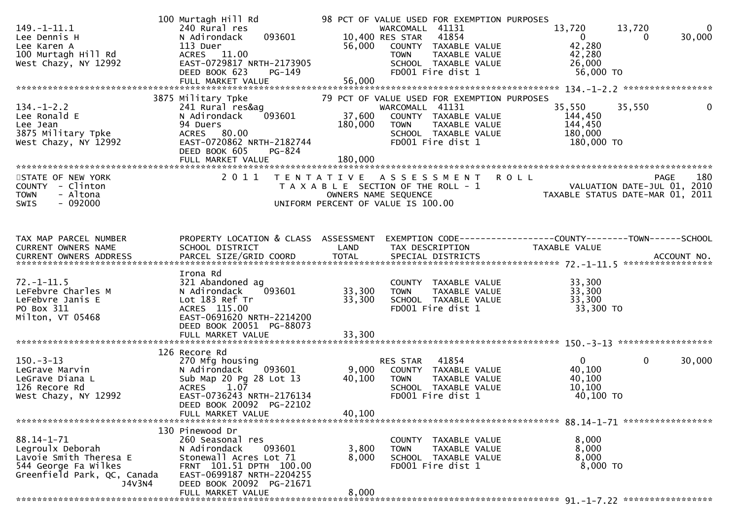| $149. - 1 - 11.1$<br>Lee Dennis H<br>Lee Karen A<br>100 Murtagh Hill Rd<br>West Chazy, NY 12992                           | 100 Murtagh Hill Rd<br>240 Rural res<br>093601<br>N Adirondack<br>113 Duer<br>ACRES 11.00<br>EAST-0729817 NRTH-2173905<br>DEED BOOK 623<br>$PG-149$<br>FULL MARKET VALUE                         | 56,000<br>56,000           | 98 PCT OF VALUE USED FOR EXEMPTION PURPOSES<br>WARCOMALL 41131<br>10,400 RES STAR<br>41854<br>COUNTY TAXABLE VALUE<br>TAXABLE VALUE<br><b>TOWN</b><br>SCHOOL TAXABLE VALUE<br>FD001 Fire dist 1 | 13,720<br>$\overline{0}$<br>42,280<br>42,280<br>26,000<br>56,000 TO | 13,720<br>0<br>30,000<br>$\bf{0}$       |
|---------------------------------------------------------------------------------------------------------------------------|--------------------------------------------------------------------------------------------------------------------------------------------------------------------------------------------------|----------------------------|-------------------------------------------------------------------------------------------------------------------------------------------------------------------------------------------------|---------------------------------------------------------------------|-----------------------------------------|
| $134. - 1 - 2.2$<br>Lee Ronald E<br>Lee Jean<br>3875 Military Tpke<br>West Chazy, NY 12992                                | 3875 Military Tpke<br>241 Rural res&ag<br>093601<br>N Adirondack<br>94 Duers<br>ACRES 80.00<br>EAST-0720862 NRTH-2182744<br>DEED BOOK 605<br>PG-824                                              | 37,600<br>180,000          | 79 PCT OF VALUE USED FOR EXEMPTION PURPOSES<br>WARCOMALL 41131<br>COUNTY TAXABLE VALUE<br><b>TOWN</b><br>TAXABLE VALUE<br>SCHOOL TAXABLE VALUE<br>FD001 Fire dist 1                             | 35,550<br>144,450<br>144,450<br>180,000<br>180,000 TO               | 35,550<br>$\mathbf{0}$                  |
| STATE OF NEW YORK<br>COUNTY - Clinton<br>- Altona<br><b>TOWN</b><br>$-092000$<br>SWIS                                     | 2011                                                                                                                                                                                             | OWNERS NAME SEQUENCE       | TENTATIVE ASSESSMENT ROLL<br>T A X A B L E SECTION OF THE ROLL - 1<br>UNIFORM PERCENT OF VALUE IS 100.00                                                                                        | PAGE 180<br>VALUATION DATE-JUL 01, 2010                             | 180<br>TAXABLE STATUS DATE-MAR 01, 2011 |
| TAX MAP PARCEL NUMBER<br>CURRENT OWNERS NAME                                                                              | PROPERTY LOCATION & CLASS ASSESSMENT<br>SCHOOL DISTRICT                                                                                                                                          | LAND                       | EXEMPTION CODE-----------------COUNTY--------TOWN------SCHOOL<br>TAX DESCRIPTION                                                                                                                | TAXABLE VALUE                                                       |                                         |
| $72. - 1 - 11.5$<br>LeFebvre Charles M<br>LeFebvre Janis E<br>PO Box 311<br>Milton, VT 05468                              | Irona Rd<br>321 Abandoned ag<br>093601<br>N Adirondack<br>Lot 183 Ref Tr<br>ACRES 115.00<br>EAST-0691620 NRTH-2214200<br>DEED BOOK 20051 PG-88073<br>FULL MARKET VALUE                           | 33,300<br>33,300<br>33,300 | COUNTY TAXABLE VALUE<br><b>TOWN</b><br>TAXABLE VALUE<br>SCHOOL TAXABLE VALUE<br>FD001 Fire dist 1                                                                                               | 33,300<br>33,300<br>33,300<br>33,300 TO                             |                                         |
| $150.-3-13$<br>LeGrave Marvin<br>LeGrave Diana L<br>126 Recore Rd<br>West Chazy, NY 12992                                 | 126 Recore Rd<br>270 Mfg housing<br>093601<br>N Adirondack<br>Sub Map 20 Pg 28 Lot 13<br>1.07<br><b>ACRES</b><br>EAST-0736243 NRTH-2176134<br>DEED BOOK 20092 PG-22102<br>FULL MARKET VALUE      | 9,000<br>40,100<br>40,100  | RES STAR<br>41854<br>COUNTY TAXABLE VALUE<br><b>TOWN</b><br>TAXABLE VALUE<br>SCHOOL TAXABLE VALUE<br>FD001 Fire dist 1                                                                          | $\overline{0}$<br>40,100<br>40,100<br>10, 100<br>40,100 TO          | $\mathbf{0}$<br>30,000                  |
| 88.14-1-71<br>Legroulx Deborah<br>Lavoie Smith Theresa E<br>544 George Fa Wilkes<br>Greenfield Park, QC, Canada<br>J4V3N4 | 130 Pinewood Dr<br>260 Seasonal res<br>N Adirondack<br>093601<br>Stonewall Acres Lot 71<br>FRNT 101.51 DPTH 100.00<br>EAST-0699187 NRTH-2204255<br>DEED BOOK 20092 PG-21671<br>FULL MARKET VALUE | 3,800<br>8,000<br>8,000    | COUNTY<br>TAXABLE VALUE<br><b>TOWN</b><br>TAXABLE VALUE<br>SCHOOL TAXABLE VALUE<br>FD001 Fire dist 1                                                                                            | 8,000<br>8,000<br>8,000<br>8,000 TO                                 |                                         |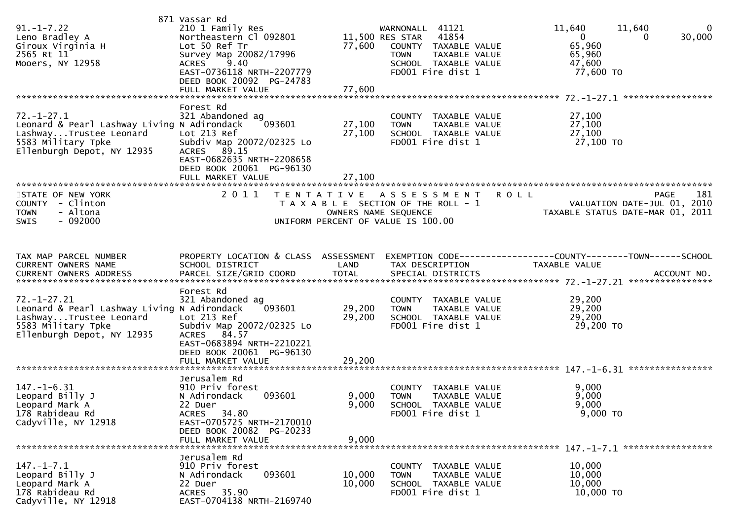| $91. - 1 - 7.22$<br>Leno Bradley A<br>Giroux Virginia H<br>2565 Rt 11<br>Mooers, NY 12958                                                                      | 871 Vassar Rd<br>210 1 Family Res<br>Northeastern Cl 092801<br>Lot 50 Ref Tr<br>Survey Map 20082/17996<br>9.40<br><b>ACRES</b><br>EAST-0736118 NRTH-2207779<br>DEED BOOK 20092 PG-24783<br>FULL MARKET VALUE | 77,600                     | WARNONALL 41121<br>11,500 RES STAR 41854<br>77,600 COUNTY TAXABLE VALUE<br><b>TOWN</b><br>TAXABLE VALUE<br>SCHOOL TAXABLE VALUE<br>FD001 Fire dist 1 | 11,640<br>$\mathbf{0}$<br>11,640<br>30,000<br>$\overline{0}$<br>$\Omega$<br>65,960<br>65,960<br>47,600<br>77,600 TO |
|----------------------------------------------------------------------------------------------------------------------------------------------------------------|--------------------------------------------------------------------------------------------------------------------------------------------------------------------------------------------------------------|----------------------------|------------------------------------------------------------------------------------------------------------------------------------------------------|---------------------------------------------------------------------------------------------------------------------|
| $72. - 1 - 27.1$<br>Leonard & Pearl Lashway Living N Adirondack<br>LashwayTrustee Leonard<br>$\frac{1}{2}$<br>5583 Military Tpke<br>Ellenburgh Depot, NY 12935 | Forest Rd<br>321 Abandoned ag<br>093601<br>Lot 213 Ref<br>Subdiv Map 20072/02325 Lo<br>ACRES 89.15<br>EAST-0682635 NRTH-2208658<br>DEED BOOK 20061 PG-96130                                                  | 27,100<br>27,100           | COUNTY TAXABLE VALUE<br>TAXABLE VALUE<br><b>TOWN</b><br>SCHOOL TAXABLE VALUE<br>FD001 Fire dist 1                                                    | 27,100<br>27,100<br>27,100<br>27,100 TO                                                                             |
| STATE OF NEW YORK<br>COUNTY - Clinton<br>- Altona<br><b>TOWN</b><br>$-092000$<br><b>SWIS</b>                                                                   | 2011                                                                                                                                                                                                         | OWNERS NAME SEQUENCE       | TENTATIVE ASSESSMENT ROLL<br>T A X A B L E SECTION OF THE ROLL - 1<br>UNIFORM PERCENT OF VALUE IS 100.00                                             | 181<br>PAGE 181<br>VALUATION DATE-JUL 01, 2010<br>TAXABLE STATUS DATE-MAR 01, 2011                                  |
| TAX MAP PARCEL NUMBER<br>CURRENT OWNERS NAME                                                                                                                   | PROPERTY LOCATION & CLASS ASSESSMENT<br>SCHOOL DISTRICT                                                                                                                                                      | LAND                       | TAX DESCRIPTION                                                                                                                                      | EXEMPTION CODE-----------------COUNTY-------TOWN------SCHOOL<br>TAXABLE VALUE                                       |
| $72. - 1 - 27.21$<br>Leonard & Pearl Lashway Living N Adirondack<br>LashwayTrustee Leonard<br>5583 Military Tpke<br>Ellenburgh Depot, NY 12935                 | Forest Rd<br>321 Abandoned ag<br>093601<br>Lot 213 Ref<br>Subdiv Map 20072/02325 Lo<br>ACRES 84.57<br>EAST-0683894 NRTH-2210221<br>DEED BOOK 20061 PG-96130<br>FULL MARKET VALUE                             | 29,200<br>29,200<br>29,200 | COUNTY TAXABLE VALUE<br><b>TOWN</b><br>TAXABLE VALUE<br>SCHOOL TAXABLE VALUE<br>FD001 Fire dist 1                                                    | 29,200<br>29,200<br>29,200<br>29,200 TO                                                                             |
| $147. - 1 - 6.31$<br>Leopard Billy J<br>Leopard Mark A<br>178 Rabideau Rd<br>Cadyville, NY 12918                                                               | Jerusalem Rd<br>910 Priv forest<br>093601<br>N Adirondack<br>22 Duer<br>ACRES 34.80<br>EAST-0705725 NRTH-2170010<br>DEED BOOK 20082 PG-20233<br>FULL MARKET VALUE                                            | 9,000<br>9,000<br>9,000    | COUNTY TAXABLE VALUE<br><b>TOWN</b><br><b>TAXABLE VALUE</b><br>SCHOOL TAXABLE VALUE<br>FD001 Fire dist 1                                             | 9,000<br>9,000<br>9,000<br>9,000 TO                                                                                 |
| $147. - 1 - 7.1$<br>Leopard Billy J<br>Leopard Mark A<br>178 Rabideau Rd<br>Cadyville, NY 12918                                                                | Jerusalem Rd<br>910 Priv forest<br>093601<br>N Adirondack<br>22 Duer<br>ACRES 35.90<br>EAST-0704138 NRTH-2169740                                                                                             | 10,000<br>10,000           | COUNTY TAXABLE VALUE<br>TAXABLE VALUE<br><b>TOWN</b><br>SCHOOL TAXABLE VALUE<br>FD001 Fire dist 1                                                    | 10,000<br>10,000<br>10,000<br>10,000 TO                                                                             |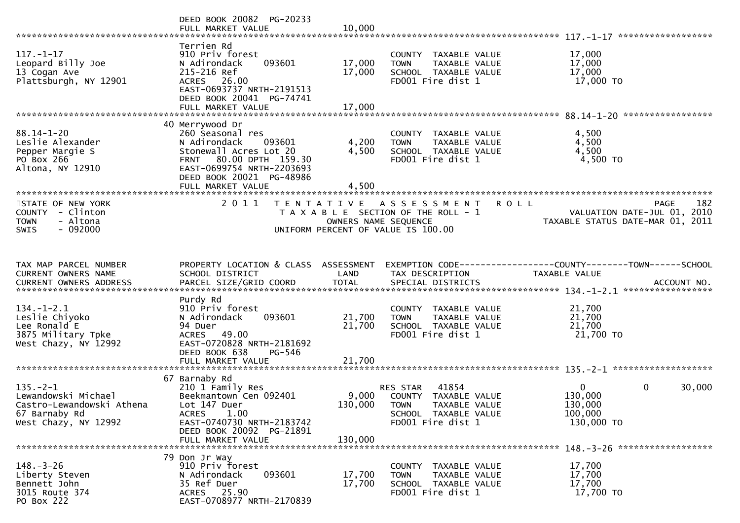|                                                                                                             | DEED BOOK 20082 PG-20233<br>FULL MARKET VALUE                                                                                                                                                   | 10,000                     |                                                                                                                             |                                                                                                         |
|-------------------------------------------------------------------------------------------------------------|-------------------------------------------------------------------------------------------------------------------------------------------------------------------------------------------------|----------------------------|-----------------------------------------------------------------------------------------------------------------------------|---------------------------------------------------------------------------------------------------------|
| $117. - 1 - 17$<br>Leopard Billy Joe<br>13 Cogan Ave<br>Plattsburgh, NY 12901                               | Terrien Rd<br>910 Priv forest<br>093601<br>N Adirondack<br>215-216 Ref<br>ACRES 26.00<br>EAST-0693737 NRTH-2191513<br>DEED BOOK 20041 PG-74741<br>FULL MARKET VALUE                             | 17,000<br>17,000<br>17,000 | COUNTY TAXABLE VALUE<br>TAXABLE VALUE<br><b>TOWN</b><br>SCHOOL TAXABLE VALUE<br>FD001 Fire dist 1                           | 17,000<br>17,000<br>17,000<br>17,000 TO                                                                 |
|                                                                                                             |                                                                                                                                                                                                 |                            |                                                                                                                             |                                                                                                         |
| $88.14 - 1 - 20$<br>Leslie Alexander<br>Pepper Margie S<br>PO Box 266<br>Altona, NY 12910                   | 40 Merrywood Dr<br>260 Seasonal res<br>N Adirondack<br>093601<br>Stonewall Acres Lot 20<br>FRNT 80.00 DPTH 159.30<br>EAST-0699754 NRTH-2203693<br>DEED BOOK 20021 PG-48986<br>FULL MARKET VALUE | 4,200<br>4,500<br>4,500    | COUNTY TAXABLE VALUE<br>TAXABLE VALUE<br><b>TOWN</b><br>SCHOOL TAXABLE VALUE<br>FD001 Fire dist 1                           | 4,500<br>4,500<br>4,500<br>4,500 TO                                                                     |
|                                                                                                             |                                                                                                                                                                                                 |                            |                                                                                                                             |                                                                                                         |
| STATE OF NEW YORK<br>COUNTY - Clinton<br>- Altona<br><b>TOWN</b><br>$-092000$<br><b>SWIS</b>                | 2 0 1 1                                                                                                                                                                                         |                            | TENTATIVE ASSESSMENT<br>T A X A B L E SECTION OF THE ROLL - 1<br>OWNERS NAME SEQUENCE<br>UNIFORM PERCENT OF VALUE IS 100.00 | 182<br><b>ROLL</b><br><b>PAGE</b><br>2010<br>VALUATION DATE-JUL 01,<br>TAXABLE STATUS DATE-MAR 01, 2011 |
|                                                                                                             |                                                                                                                                                                                                 |                            |                                                                                                                             |                                                                                                         |
| TAX MAP PARCEL NUMBER<br>CURRENT OWNERS NAME                                                                | PROPERTY LOCATION & CLASS ASSESSMENT<br>SCHOOL DISTRICT                                                                                                                                         | LAND                       | TAX DESCRIPTION                                                                                                             | EXEMPTION CODE-----------------COUNTY-------TOWN------SCHOOL<br>TAXABLE VALUE                           |
|                                                                                                             |                                                                                                                                                                                                 |                            |                                                                                                                             |                                                                                                         |
| $134. - 1 - 2.1$<br>Leslie Chiyoko<br>Lee Ronald E<br>3875 Military Tpke<br>West Chazy, NY 12992            | Purdy Rd<br>910 Priv forest<br>093601<br>N Adirondack<br>94 Duer<br>ACRES 49.00<br>EAST-0720828 NRTH-2181692<br>DEED BOOK 638<br>PG-546                                                         | 21,700<br>21,700           | COUNTY TAXABLE VALUE<br>TAXABLE VALUE<br><b>TOWN</b><br>SCHOOL TAXABLE VALUE<br>FD001 Fire dist 1                           | 21,700<br>21,700<br>21,700<br>21,700 TO                                                                 |
|                                                                                                             |                                                                                                                                                                                                 |                            |                                                                                                                             |                                                                                                         |
|                                                                                                             |                                                                                                                                                                                                 |                            |                                                                                                                             |                                                                                                         |
| $135. - 2 - 1$<br>Lewandowski Michael<br>Castro-Lewandowski Athena<br>67 Barnaby Rd<br>West Chazy, NY 12992 | 67 Barnaby Rd<br>210 1 Family Res<br>Beekmantown Cen 092401<br>Lot 147 Duer<br>1.00<br><b>ACRES</b><br>EAST-0740730 NRTH-2183742<br>DEED BOOK 20092 PG-21891<br>FULL MARKET VALUE               | 130,000 TOWN<br>130,000    | 41854<br>RES STAR<br>9,000 COUNTY TAXABLE VALUE<br>TAXABLE VALUE<br>SCHOOL TAXABLE VALUE<br>FD001 Fire dist 1               | $\mathbf{0}$<br>0<br>30,000<br>130,000<br>130,000<br>100,000<br>130,000 TO                              |
|                                                                                                             |                                                                                                                                                                                                 |                            |                                                                                                                             |                                                                                                         |
| $148. - 3 - 26$<br>Liberty Steven<br>Bennett John<br>3015 Route 374<br>PO Box 222                           | 79 Don Jr Way<br>910 Priv forest<br>093601<br>N Adirondack<br>35 Ref Duer<br>ACRES 25.90<br>EAST-0708977 NRTH-2170839                                                                           | 17,700<br>17,700           | COUNTY TAXABLE VALUE<br>TAXABLE VALUE<br><b>TOWN</b><br>SCHOOL TAXABLE VALUE<br>FD001 Fire dist 1                           | 17,700<br>17,700<br>17,700<br>17,700 TO                                                                 |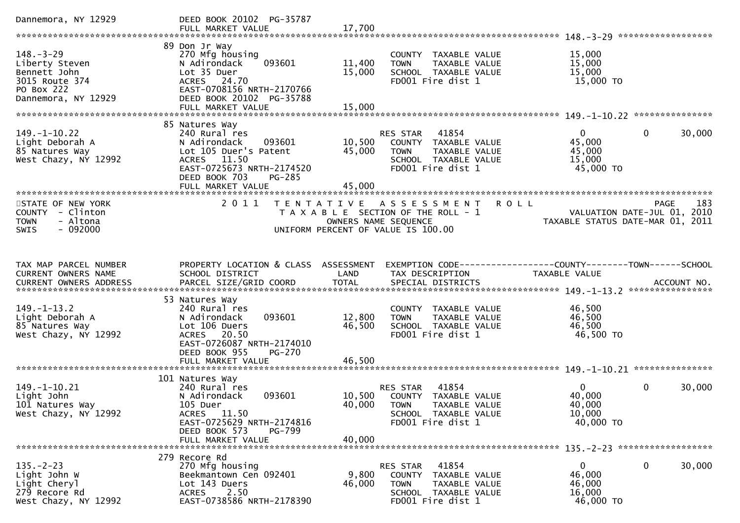| Dannemora, NY 12929                                                                                      | DEED BOOK 20102 PG-35787                                                                                                                                               |                                                            |                                                                                                                        |                                                           |                                                                                       |
|----------------------------------------------------------------------------------------------------------|------------------------------------------------------------------------------------------------------------------------------------------------------------------------|------------------------------------------------------------|------------------------------------------------------------------------------------------------------------------------|-----------------------------------------------------------|---------------------------------------------------------------------------------------|
| $148. - 3 - 29$<br>Liberty Steven<br>Bennett John<br>3015 Route 374<br>PO Box 222<br>Dannemora, NY 12929 | 89 Don Jr Way<br>270 Mfg housing<br>093601<br>N Adirondack<br>Lot 35 Duer<br>ACRES 24.70<br>EAST-0708156 NRTH-2170766<br>DEED BOOK 20102 PG-35788<br>FULL MARKET VALUE | 11,400<br>15,000<br>15,000                                 | COUNTY TAXABLE VALUE<br>TAXABLE VALUE<br><b>TOWN</b><br>SCHOOL TAXABLE VALUE<br>FD001 Fire dist 1                      | 15,000<br>15,000<br>15,000<br>15,000 TO                   |                                                                                       |
|                                                                                                          | 85 Natures Way                                                                                                                                                         |                                                            |                                                                                                                        |                                                           |                                                                                       |
| $149. - 1 - 10.22$<br>Light Deborah A<br>85 Natures Way<br>West Chazy, NY 12992                          | 240 Rural res<br>N Adirondack<br>093601<br>Lot 105 Duer's Patent<br>ACRES 11.50<br>EAST-0725673 NRTH-2174520<br>DEED BOOK 703<br><b>PG-285</b>                         | 10,500<br>45,000                                           | 41854<br>RES STAR<br>COUNTY TAXABLE VALUE<br>TAXABLE VALUE<br><b>TOWN</b><br>SCHOOL TAXABLE VALUE<br>FD001 Fire dist 1 | $\overline{0}$<br>45,000<br>45,000<br>15,000<br>45,000 TO | 30,000<br>$\mathbf{0}$                                                                |
|                                                                                                          |                                                                                                                                                                        |                                                            |                                                                                                                        |                                                           |                                                                                       |
| STATE OF NEW YORK<br>COUNTY - Clinton<br>- Altona<br><b>TOWN</b><br><b>SWIS</b><br>- 092000              | 2 0 1 1                                                                                                                                                                | OWNERS NAME SEQUENCE<br>UNIFORM PERCENT OF VALUE IS 100.00 | TENTATIVE ASSESSMENT<br>T A X A B L E SECTION OF THE ROLL - 1                                                          | <b>ROLL</b>                                               | 183<br><b>PAGE</b><br>VALUATION DATE-JUL 01, 2010<br>TAXABLE STATUS DATE-MAR 01, 2011 |
|                                                                                                          |                                                                                                                                                                        |                                                            |                                                                                                                        |                                                           |                                                                                       |
| TAX MAP PARCEL NUMBER<br>CURRENT OWNERS NAME                                                             | PROPERTY LOCATION & CLASS ASSESSMENT<br>SCHOOL DISTRICT                                                                                                                | LAND                                                       | EXEMPTION CODE------------------COUNTY--------TOWN------SCHOOL<br>TAX DESCRIPTION                                      | TAXABLE VALUE                                             |                                                                                       |
|                                                                                                          | 53 Natures Way                                                                                                                                                         |                                                            |                                                                                                                        |                                                           |                                                                                       |
| $149. - 1 - 13.2$<br>Light Deborah A<br>85 Natures Way<br>West Chazy, NY 12992                           | 240 Rural res<br>093601<br>N Adirondack<br>Lot 106 Duers<br>20.50<br><b>ACRES</b><br>EAST-0726087 NRTH-2174010<br>DEED BOOK 955<br><b>PG-270</b>                       | 12,800<br>46,500                                           | COUNTY TAXABLE VALUE<br><b>TOWN</b><br>TAXABLE VALUE<br>SCHOOL TAXABLE VALUE<br>FD001 Fire dist 1                      | 46,500<br>46,500<br>46,500<br>46,500 TO                   |                                                                                       |
|                                                                                                          | FULL MARKET VALUE                                                                                                                                                      | 46.500                                                     |                                                                                                                        |                                                           |                                                                                       |
| 149. -1-10. 21<br>Light John<br>101 Natures Way<br>West Chazy, NY 12992                                  | 101 Natures Way<br>240 Rural res<br>093601<br>N Adirondack<br>105 Duer<br>ACRES 11.50<br>EAST-0725629 NRTH-2174816                                                     | 40,000 TOWN                                                | 41854<br>RES STAR<br>10,500 COUNTY TAXABLE VALUE<br>TAXABLE VALUE<br>SCHOOL TAXABLE VALUE<br>FD001 Fire dist 1         | $\mathbf{0}$<br>40,000<br>40,000<br>10,000<br>40,000 TO   | 30,000<br>$\mathbf{0}$                                                                |
|                                                                                                          | DEED BOOK 573<br>PG-799<br>FULL MARKET VALUE                                                                                                                           | 40,000                                                     |                                                                                                                        |                                                           |                                                                                       |
|                                                                                                          | 279 Recore Rd                                                                                                                                                          |                                                            |                                                                                                                        |                                                           |                                                                                       |
| $135. -2 - 23$<br>Light John W<br>Light Cheryl<br>279 Recore Rd<br>West Chazy, NY 12992                  | 270 Mfg housing<br>Beekmantown Cen 092401<br>Lot 143 Duers<br>2.50<br><b>ACRES</b><br>EAST-0738586 NRTH-2178390                                                        | 9,800<br>46,000                                            | RES STAR<br>41854<br>COUNTY TAXABLE VALUE<br>TAXABLE VALUE<br><b>TOWN</b><br>SCHOOL TAXABLE VALUE<br>FD001 Fire dist 1 | $\overline{0}$<br>46,000<br>46,000<br>16,000<br>46,000 TO | 0<br>30,000                                                                           |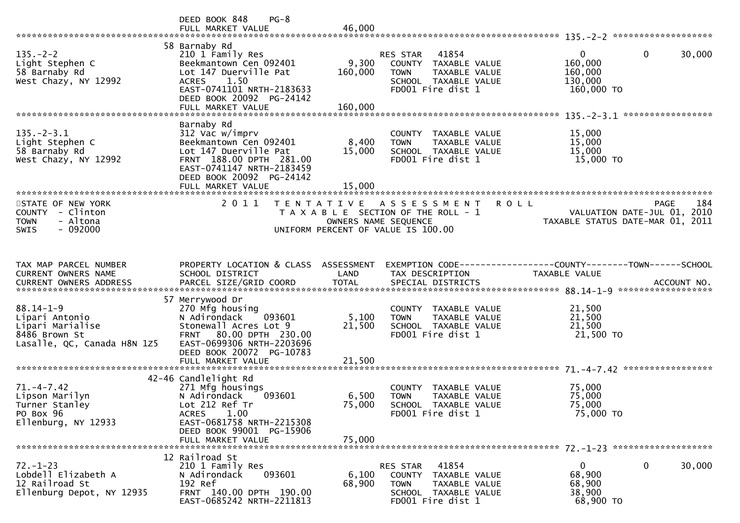|                                                                                                       | DEED BOOK 848<br>$PG-8$<br>FULL MARKET VALUE                                                                                                                                               | 46,000                                    |                                                                                                                               |                                                                            |                    |
|-------------------------------------------------------------------------------------------------------|--------------------------------------------------------------------------------------------------------------------------------------------------------------------------------------------|-------------------------------------------|-------------------------------------------------------------------------------------------------------------------------------|----------------------------------------------------------------------------|--------------------|
|                                                                                                       |                                                                                                                                                                                            |                                           |                                                                                                                               |                                                                            |                    |
| $135. -2 - 2$<br>Light Stephen C<br>58 Barnaby Rd<br>West Chazy, NY 12992                             | 58 Barnaby Rd<br>210 1 Family Res<br>Beekmantown Cen 092401<br>Lot 147 Duerville Pat<br><b>ACRES</b><br>1.50<br>EAST-0741101 NRTH-2183633<br>DEED BOOK 20092 PG-24142<br>FULL MARKET VALUE | 9,300<br>160,000<br>160,000               | 41854<br><b>RES STAR</b><br>COUNTY TAXABLE VALUE<br><b>TOWN</b><br>TAXABLE VALUE<br>SCHOOL TAXABLE VALUE<br>FD001 Fire dist 1 | $\mathbf{0}$<br>$\mathbf 0$<br>160,000<br>160,000<br>130,000<br>160,000 TO | 30,000             |
|                                                                                                       |                                                                                                                                                                                            |                                           |                                                                                                                               |                                                                            |                    |
| $135. -2 - 3.1$<br>Light Stephen C<br>58 Barnaby Rd<br>West Chazy, NY 12992                           | Barnaby Rd<br>312 Vac w/imprv<br>Beekmantown Cen 092401<br>Lot 147 Duerville Pat<br>FRNT 188.00 DPTH 281.00<br>EAST-0741147 NRTH-2183459<br>DEED BOOK 20092 PG-24142<br>FULL MARKET VALUE  | 8,400<br>15,000<br>15,000                 | COUNTY TAXABLE VALUE<br>TAXABLE VALUE<br><b>TOWN</b><br>SCHOOL TAXABLE VALUE<br>FD001 Fire dist 1                             | 15,000<br>15,000<br>15,000<br>15,000 TO                                    |                    |
| ***********************                                                                               | ***************************                                                                                                                                                                |                                           |                                                                                                                               |                                                                            |                    |
| STATE OF NEW YORK<br>COUNTY - Clinton<br>- Altona<br><b>TOWN</b><br>$-092000$<br><b>SWIS</b>          | 2 0 1 1                                                                                                                                                                                    | T E N T A T I V E<br>OWNERS NAME SEQUENCE | <b>ROLL</b><br>A S S E S S M E N T<br>T A X A B L E SECTION OF THE ROLL - 1<br>UNIFORM PERCENT OF VALUE IS 100.00             | VALUATION DATE-JUL 01, 2010<br>TAXABLE STATUS DATE-MAR 01, 2011            | 184<br><b>PAGE</b> |
|                                                                                                       |                                                                                                                                                                                            |                                           |                                                                                                                               |                                                                            |                    |
| TAX MAP PARCEL NUMBER<br>CURRENT OWNERS NAME<br><b>CURRENT OWNERS ADDRESS</b>                         | PROPERTY LOCATION & CLASS ASSESSMENT<br>SCHOOL DISTRICT                                                                                                                                    | LAND                                      | TAX DESCRIPTION                                                                                                               | TAXABLE VALUE                                                              |                    |
|                                                                                                       | 57 Merrywood Dr                                                                                                                                                                            |                                           |                                                                                                                               |                                                                            |                    |
| $88.14 - 1 - 9$<br>Lipari Antonio<br>Lipari Marialise<br>8486 Brown St<br>Lasalle, QC, Canada H8N 1Z5 | 270 Mfg housing<br>N Adirondack<br>093601<br>Stonewall Acres Lot 9<br>FRNT 80.00 DPTH 230.00<br>EAST-0699306 NRTH-2203696<br>DEED BOOK 20072 PG-10783                                      | 5,100<br>21,500                           | COUNTY TAXABLE VALUE<br>TAXABLE VALUE<br><b>TOWN</b><br>SCHOOL TAXABLE VALUE<br>FD001 Fire dist 1                             | 21,500<br>21,500<br>21,500<br>21,500 TO                                    |                    |
|                                                                                                       | FULL MARKET VALUE                                                                                                                                                                          | 21,500                                    |                                                                                                                               |                                                                            |                    |
|                                                                                                       |                                                                                                                                                                                            |                                           |                                                                                                                               |                                                                            |                    |
| $71. - 4 - 7.42$<br>Lipson Marilyn<br>Turner Stanley<br>PO Box 96<br>Ellenburg, NY 12933              | 42-46 Candlelight Rd<br>271 Mfg housings<br>093601<br>N Adirondack<br>Lot 212 Ref Tr<br><b>ACRES</b><br>1.00<br>EAST-0681758 NRTH-2215308<br>DEED BOOK 99001 PG-15906                      | 6,500<br>75,000                           | COUNTY TAXABLE VALUE<br><b>TOWN</b><br>TAXABLE VALUE<br>SCHOOL TAXABLE VALUE<br>FD001 Fire dist 1                             | 75,000<br>75,000<br>75,000<br>75,000 TO                                    |                    |
|                                                                                                       | FULL MARKET VALUE                                                                                                                                                                          | 75,000                                    |                                                                                                                               |                                                                            |                    |
| $72. - 1 - 23$<br>Lobdell Elizabeth A<br>12 Railroad St<br>Ellenburg Depot, NY 12935                  | 12 Railroad St<br>210 1 Family Res<br>N Adirondack<br>093601<br>192 Ref<br>FRNT 140.00 DPTH 190.00<br>EAST-0685242 NRTH-2211813                                                            | 6,100<br>68,900                           | 41854<br><b>RES STAR</b><br>COUNTY TAXABLE VALUE<br>TAXABLE VALUE<br><b>TOWN</b><br>SCHOOL TAXABLE VALUE<br>FD001 Fire dist 1 | 0<br>0<br>68,900<br>68,900<br>38,900<br>68,900 TO                          | 30,000             |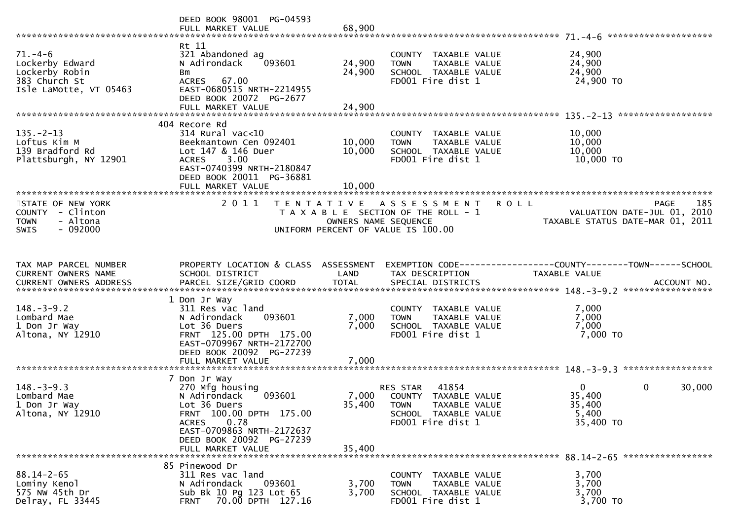|                                                                                               | DEED BOOK 98001 PG-04593<br>FULL MARKET VALUE                                                                                                                                         | 68,900                                    |                                                                                                                        | ********************                                                              |
|-----------------------------------------------------------------------------------------------|---------------------------------------------------------------------------------------------------------------------------------------------------------------------------------------|-------------------------------------------|------------------------------------------------------------------------------------------------------------------------|-----------------------------------------------------------------------------------|
| $71. - 4 - 6$<br>Lockerby Edward<br>Lockerby Robin<br>383 Church St<br>Isle LaMotte, VT 05463 | Rt 11<br>321 Abandoned ag<br>093601<br>N Adirondack<br>Bm<br>ACRES 67.00<br>EAST-0680515 NRTH-2214955<br>DEED BOOK 20072 PG-2677<br>FULL MARKET VALUE                                 | 24,900<br>24,900<br>24,900                | COUNTY TAXABLE VALUE<br>TAXABLE VALUE<br><b>TOWN</b><br>SCHOOL TAXABLE VALUE<br>FD001 Fire dist 1                      | 24,900<br>24,900<br>24,900<br>24,900 TO                                           |
|                                                                                               | 404 Recore Rd                                                                                                                                                                         |                                           |                                                                                                                        |                                                                                   |
| $135. -2 - 13$<br>Loftus Kim M<br>139 Bradford Rd<br>Plattsburgh, NY 12901                    | $314$ Rural vac<10<br>Beekmantown Cen 092401<br>Lot 147 & 146 Duer<br>ACRES 3.00<br>EAST-0740399 NRTH-2180847<br>DEED BOOK 20011 PG-36881                                             | 10,000<br>10,000                          | COUNTY TAXABLE VALUE<br>TAXABLE VALUE<br><b>TOWN</b><br>SCHOOL TAXABLE VALUE<br>FD001 Fire dist 1                      | 10,000<br>10,000<br>10,000<br>10,000 TO                                           |
|                                                                                               | FULL MARKET VALUE<br>***************************                                                                                                                                      | 10,000                                    |                                                                                                                        |                                                                                   |
| STATE OF NEW YORK<br>COUNTY - Clinton<br><b>TOWN</b><br>- Altona<br>$-092000$<br><b>SWIS</b>  | 2011                                                                                                                                                                                  | T E N T A T I V E<br>OWNERS NAME SEQUENCE | A S S E S S M E N T<br><b>ROLL</b><br>T A X A B L E SECTION OF THE ROLL - 1<br>UNIFORM PERCENT OF VALUE IS 100.00      | 185<br>PAGE<br>VALUATION DATE-JUL 01, 2010<br>TAXABLE STATUS DATE-MAR 01, 2011    |
| TAX MAP PARCEL NUMBER<br>CURRENT OWNERS NAME                                                  | PROPERTY LOCATION & CLASS ASSESSMENT<br>SCHOOL DISTRICT                                                                                                                               | LAND                                      | TAX DESCRIPTION                                                                                                        | EXEMPTION CODE------------------COUNTY--------TOWN------SCHOOL<br>TAXABLE VALUE   |
| $148. - 3 - 9.2$<br>Lombard Mae<br>1 Don Jr Way<br>Altona, NY 12910                           | 1 Don Jr Way<br>311 Res vac land<br>093601<br>N Adirondack<br>Lot 36 Duers<br>FRNT 125.00 DPTH 175.00<br>EAST-0709967 NRTH-2172700<br>DEED BOOK 20092 PG-27239                        | 7,000<br>7,000<br>7,000                   | COUNTY TAXABLE VALUE<br>TAXABLE VALUE<br><b>TOWN</b><br>SCHOOL TAXABLE VALUE<br>FD001 Fire dist 1                      | 7,000<br>7,000<br>7,000<br>7,000 TO                                               |
|                                                                                               | FULL MARKET VALUE                                                                                                                                                                     |                                           |                                                                                                                        |                                                                                   |
| $148. - 3 - 9.3$<br>Lombard Mae<br>1 Don Jr Way<br>Altona, NY 12910                           | 7 Don Jr Way<br>270 Mfg housing<br>N Adirondack<br>093601<br>Lot 36 Duers<br>FRNT 100.00 DPTH 175.00<br>0.78<br><b>ACRES</b><br>EAST-0709863 NRTH-2172637<br>DEED BOOK 20092 PG-27239 | 7,000<br>35,400                           | 41854<br>RES STAR<br>COUNTY TAXABLE VALUE<br><b>TOWN</b><br>TAXABLE VALUE<br>SCHOOL TAXABLE VALUE<br>FD001 Fire dist 1 | $\overline{0}$<br>$\mathbf 0$<br>30,000<br>35,400<br>35,400<br>5,400<br>35,400 TO |
|                                                                                               | FULL MARKET VALUE                                                                                                                                                                     | 35,400                                    |                                                                                                                        |                                                                                   |
| $88.14 - 2 - 65$<br>Lominy Kenol<br>575 NW 45th Dr<br>Delray, FL 33445                        | 85 Pinewood Dr<br>311 Res vac land<br>N Adirondack<br>093601<br>Sub Bk 10 Pg 123 Lot 65<br>70.00 DPTH 127.16<br><b>FRNT</b>                                                           | 3,700<br>3,700                            | COUNTY TAXABLE VALUE<br>TAXABLE VALUE<br><b>TOWN</b><br>SCHOOL TAXABLE VALUE<br>FD001 Fire dist 1                      | 3,700<br>3,700<br>3,700<br>3,700 TO                                               |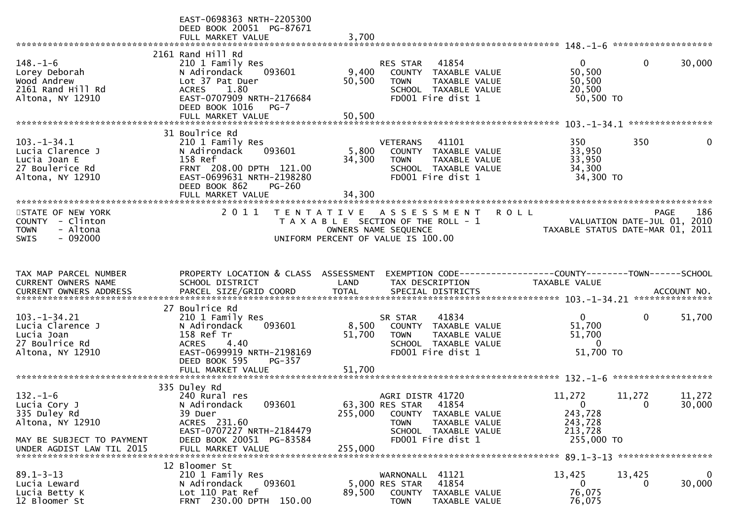| 2161 Rand Hill Rd<br>30,000<br>$148. - 1 - 6$<br>41854<br>$\overline{0}$<br>$\mathbf{0}$<br>210 1 Family Res<br><b>RES STAR</b><br>9,400<br>50,500<br>Lorey Deborah<br>N Adirondack<br>093601<br>COUNTY TAXABLE VALUE<br>50,500<br>Wood Andrew<br>Lot 37 Pat Duer<br>50,500<br><b>TOWN</b><br>TAXABLE VALUE<br>20,500<br>2161 Rand Hill Rd<br>1.80<br><b>ACRES</b><br>SCHOOL TAXABLE VALUE<br>EAST-0707909 NRTH-2176684<br>FD001 Fire dist 1<br>50,500 TO<br>Altona, NY 12910<br>DEED BOOK 1016<br>$PG-7$<br>50,500<br>FULL MARKET VALUE<br>****************<br>31 Boulrice Rd<br>350<br>$103. -1 - 34.1$<br>210 1 Family Res<br>41101<br>350<br><b>VETERANS</b><br>0<br>5,800<br>Lucia Clarence J<br>093601<br>33,950<br>N Adirondack<br>COUNTY TAXABLE VALUE<br>158 Ref<br>33,950<br>Lucia Joan E<br>34,300<br>TAXABLE VALUE<br><b>TOWN</b><br>27 Boulerice Rd<br>FRNT 208.00 DPTH 121.00<br>34,300<br>SCHOOL TAXABLE VALUE<br>FD001 Fire dist 1<br>34,300 TO<br>Altona, NY 12910<br>EAST-0699631 NRTH-2198280<br>DEED BOOK 862<br>$PG-260$<br>FULL MARKET VALUE<br>34,300<br>2011<br>STATE OF NEW YORK<br>A S S E S S M E N T R O L L<br>186<br>T E N T A T I V E<br>PAGE<br>VALUATION DATE-JUL 01, 2010<br>TAXABLE STATUS DATE-MAR 01, 2011<br>T A X A B L E SECTION OF THE ROLL - 1<br>COUNTY - Clinton<br>VALUATION DATE-JUL 01, 2010<br>- Altona<br><b>TOWN</b><br>OWNERS NAME SEQUENCE<br>$-092000$<br>UNIFORM PERCENT OF VALUE IS 100.00<br><b>SWIS</b><br>PROPERTY LOCATION & CLASS ASSESSMENT<br>EXEMPTION CODE-----------------COUNTY--------TOWN------SCHOOL<br>TAX MAP PARCEL NUMBER<br>SCHOOL DISTRICT<br>LAND<br>CURRENT OWNERS NAME<br>TAX DESCRIPTION<br>TAXABLE VALUE<br>27 Boulrice Rd<br>$103. - 1 - 34.21$<br>$\overline{0}$<br>$\mathbf 0$<br>51,700<br>210 1 Family Res<br>SR STAR<br>41834<br>8,500<br>51,700<br>Lucia Clarence J<br>093601<br>N Adirondack<br>COUNTY TAXABLE VALUE<br>Lucia Joan<br>158 Ref Tr<br>51,700<br>51,700<br><b>TOWN</b><br>TAXABLE VALUE<br>27 Boulrice Rd<br><b>ACRES</b><br>4.40<br>$\overline{0}$<br>SCHOOL TAXABLE VALUE<br>51,700 TO<br>EAST-0699919 NRTH-2198169<br>FD001 Fire dist 1<br>Altona, NY 12910<br>DEED BOOK 595<br>PG-357<br>51,700<br>FULL MARKET VALUE<br>335 Duley Rd<br>$132 - 1 - 6$<br>240 Rural res<br>AGRI DISTR 41720<br>11,272<br>11,272<br>11,272<br>63,300 RES STAR<br>$\mathbf{0}$<br>$\mathbf{0}$<br>N Adirondack<br>093601<br>41854<br>30,000<br>Lucia Cory J<br>335 Duley Rd<br>255,000<br>243,728<br>39 Duer<br>COUNTY TAXABLE VALUE<br>Altona, NY 12910<br>ACRES 231.60<br>243,728<br><b>TOWN</b><br>TAXABLE VALUE<br>EAST-0707227 NRTH-2184479<br>213,728<br>SCHOOL TAXABLE VALUE<br>DEED BOOK 20051 PG-83584<br>FD001 Fire dist 1<br>255,000 TO<br>MAY BE SUBJECT TO PAYMENT<br>255,000<br>UNDER AGDIST LAW TIL 2015<br>FULL MARKET VALUE<br>12 Bloomer St<br>$89.1 - 3 - 13$<br>210 1 Family Res<br>41121<br>13,425<br>13,425<br>WARNONALL<br>$\bf{0}$<br>30,000<br>41854<br>093601<br>5,000 RES STAR<br>$\mathbf{0}$<br>Lucia Leward<br>N Adirondack<br>0<br>76,075<br>Lot 110 Pat Ref<br>89,500<br>Lucia Betty K<br><b>COUNTY</b><br>TAXABLE VALUE<br>12 Bloomer St<br>FRNT 230.00 DPTH 150.00<br>76,075<br><b>TOWN</b><br>TAXABLE VALUE | EAST-0698363 NRTH-2205300<br>DEED BOOK 20051 PG-87671<br>FULL MARKET VALUE | 3,700 |  |  |
|--------------------------------------------------------------------------------------------------------------------------------------------------------------------------------------------------------------------------------------------------------------------------------------------------------------------------------------------------------------------------------------------------------------------------------------------------------------------------------------------------------------------------------------------------------------------------------------------------------------------------------------------------------------------------------------------------------------------------------------------------------------------------------------------------------------------------------------------------------------------------------------------------------------------------------------------------------------------------------------------------------------------------------------------------------------------------------------------------------------------------------------------------------------------------------------------------------------------------------------------------------------------------------------------------------------------------------------------------------------------------------------------------------------------------------------------------------------------------------------------------------------------------------------------------------------------------------------------------------------------------------------------------------------------------------------------------------------------------------------------------------------------------------------------------------------------------------------------------------------------------------------------------------------------------------------------------------------------------------------------------------------------------------------------------------------------------------------------------------------------------------------------------------------------------------------------------------------------------------------------------------------------------------------------------------------------------------------------------------------------------------------------------------------------------------------------------------------------------------------------------------------------------------------------------------------------------------------------------------------------------------------------------------------------------------------------------------------------------------------------------------------------------------------------------------------------------------------------------------------------------------------------------------------------------------------------------------------------------------------------------------------------------------------------------------------------------------------------------------------------------------------------------------------------------------------------------------------------------------------|----------------------------------------------------------------------------|-------|--|--|
|                                                                                                                                                                                                                                                                                                                                                                                                                                                                                                                                                                                                                                                                                                                                                                                                                                                                                                                                                                                                                                                                                                                                                                                                                                                                                                                                                                                                                                                                                                                                                                                                                                                                                                                                                                                                                                                                                                                                                                                                                                                                                                                                                                                                                                                                                                                                                                                                                                                                                                                                                                                                                                                                                                                                                                                                                                                                                                                                                                                                                                                                                                                                                                                                                                      |                                                                            |       |  |  |
|                                                                                                                                                                                                                                                                                                                                                                                                                                                                                                                                                                                                                                                                                                                                                                                                                                                                                                                                                                                                                                                                                                                                                                                                                                                                                                                                                                                                                                                                                                                                                                                                                                                                                                                                                                                                                                                                                                                                                                                                                                                                                                                                                                                                                                                                                                                                                                                                                                                                                                                                                                                                                                                                                                                                                                                                                                                                                                                                                                                                                                                                                                                                                                                                                                      |                                                                            |       |  |  |
|                                                                                                                                                                                                                                                                                                                                                                                                                                                                                                                                                                                                                                                                                                                                                                                                                                                                                                                                                                                                                                                                                                                                                                                                                                                                                                                                                                                                                                                                                                                                                                                                                                                                                                                                                                                                                                                                                                                                                                                                                                                                                                                                                                                                                                                                                                                                                                                                                                                                                                                                                                                                                                                                                                                                                                                                                                                                                                                                                                                                                                                                                                                                                                                                                                      |                                                                            |       |  |  |
|                                                                                                                                                                                                                                                                                                                                                                                                                                                                                                                                                                                                                                                                                                                                                                                                                                                                                                                                                                                                                                                                                                                                                                                                                                                                                                                                                                                                                                                                                                                                                                                                                                                                                                                                                                                                                                                                                                                                                                                                                                                                                                                                                                                                                                                                                                                                                                                                                                                                                                                                                                                                                                                                                                                                                                                                                                                                                                                                                                                                                                                                                                                                                                                                                                      |                                                                            |       |  |  |
|                                                                                                                                                                                                                                                                                                                                                                                                                                                                                                                                                                                                                                                                                                                                                                                                                                                                                                                                                                                                                                                                                                                                                                                                                                                                                                                                                                                                                                                                                                                                                                                                                                                                                                                                                                                                                                                                                                                                                                                                                                                                                                                                                                                                                                                                                                                                                                                                                                                                                                                                                                                                                                                                                                                                                                                                                                                                                                                                                                                                                                                                                                                                                                                                                                      |                                                                            |       |  |  |
|                                                                                                                                                                                                                                                                                                                                                                                                                                                                                                                                                                                                                                                                                                                                                                                                                                                                                                                                                                                                                                                                                                                                                                                                                                                                                                                                                                                                                                                                                                                                                                                                                                                                                                                                                                                                                                                                                                                                                                                                                                                                                                                                                                                                                                                                                                                                                                                                                                                                                                                                                                                                                                                                                                                                                                                                                                                                                                                                                                                                                                                                                                                                                                                                                                      |                                                                            |       |  |  |
|                                                                                                                                                                                                                                                                                                                                                                                                                                                                                                                                                                                                                                                                                                                                                                                                                                                                                                                                                                                                                                                                                                                                                                                                                                                                                                                                                                                                                                                                                                                                                                                                                                                                                                                                                                                                                                                                                                                                                                                                                                                                                                                                                                                                                                                                                                                                                                                                                                                                                                                                                                                                                                                                                                                                                                                                                                                                                                                                                                                                                                                                                                                                                                                                                                      |                                                                            |       |  |  |
|                                                                                                                                                                                                                                                                                                                                                                                                                                                                                                                                                                                                                                                                                                                                                                                                                                                                                                                                                                                                                                                                                                                                                                                                                                                                                                                                                                                                                                                                                                                                                                                                                                                                                                                                                                                                                                                                                                                                                                                                                                                                                                                                                                                                                                                                                                                                                                                                                                                                                                                                                                                                                                                                                                                                                                                                                                                                                                                                                                                                                                                                                                                                                                                                                                      |                                                                            |       |  |  |
|                                                                                                                                                                                                                                                                                                                                                                                                                                                                                                                                                                                                                                                                                                                                                                                                                                                                                                                                                                                                                                                                                                                                                                                                                                                                                                                                                                                                                                                                                                                                                                                                                                                                                                                                                                                                                                                                                                                                                                                                                                                                                                                                                                                                                                                                                                                                                                                                                                                                                                                                                                                                                                                                                                                                                                                                                                                                                                                                                                                                                                                                                                                                                                                                                                      |                                                                            |       |  |  |
|                                                                                                                                                                                                                                                                                                                                                                                                                                                                                                                                                                                                                                                                                                                                                                                                                                                                                                                                                                                                                                                                                                                                                                                                                                                                                                                                                                                                                                                                                                                                                                                                                                                                                                                                                                                                                                                                                                                                                                                                                                                                                                                                                                                                                                                                                                                                                                                                                                                                                                                                                                                                                                                                                                                                                                                                                                                                                                                                                                                                                                                                                                                                                                                                                                      |                                                                            |       |  |  |
|                                                                                                                                                                                                                                                                                                                                                                                                                                                                                                                                                                                                                                                                                                                                                                                                                                                                                                                                                                                                                                                                                                                                                                                                                                                                                                                                                                                                                                                                                                                                                                                                                                                                                                                                                                                                                                                                                                                                                                                                                                                                                                                                                                                                                                                                                                                                                                                                                                                                                                                                                                                                                                                                                                                                                                                                                                                                                                                                                                                                                                                                                                                                                                                                                                      |                                                                            |       |  |  |
|                                                                                                                                                                                                                                                                                                                                                                                                                                                                                                                                                                                                                                                                                                                                                                                                                                                                                                                                                                                                                                                                                                                                                                                                                                                                                                                                                                                                                                                                                                                                                                                                                                                                                                                                                                                                                                                                                                                                                                                                                                                                                                                                                                                                                                                                                                                                                                                                                                                                                                                                                                                                                                                                                                                                                                                                                                                                                                                                                                                                                                                                                                                                                                                                                                      |                                                                            |       |  |  |
|                                                                                                                                                                                                                                                                                                                                                                                                                                                                                                                                                                                                                                                                                                                                                                                                                                                                                                                                                                                                                                                                                                                                                                                                                                                                                                                                                                                                                                                                                                                                                                                                                                                                                                                                                                                                                                                                                                                                                                                                                                                                                                                                                                                                                                                                                                                                                                                                                                                                                                                                                                                                                                                                                                                                                                                                                                                                                                                                                                                                                                                                                                                                                                                                                                      |                                                                            |       |  |  |
|                                                                                                                                                                                                                                                                                                                                                                                                                                                                                                                                                                                                                                                                                                                                                                                                                                                                                                                                                                                                                                                                                                                                                                                                                                                                                                                                                                                                                                                                                                                                                                                                                                                                                                                                                                                                                                                                                                                                                                                                                                                                                                                                                                                                                                                                                                                                                                                                                                                                                                                                                                                                                                                                                                                                                                                                                                                                                                                                                                                                                                                                                                                                                                                                                                      |                                                                            |       |  |  |
|                                                                                                                                                                                                                                                                                                                                                                                                                                                                                                                                                                                                                                                                                                                                                                                                                                                                                                                                                                                                                                                                                                                                                                                                                                                                                                                                                                                                                                                                                                                                                                                                                                                                                                                                                                                                                                                                                                                                                                                                                                                                                                                                                                                                                                                                                                                                                                                                                                                                                                                                                                                                                                                                                                                                                                                                                                                                                                                                                                                                                                                                                                                                                                                                                                      |                                                                            |       |  |  |
|                                                                                                                                                                                                                                                                                                                                                                                                                                                                                                                                                                                                                                                                                                                                                                                                                                                                                                                                                                                                                                                                                                                                                                                                                                                                                                                                                                                                                                                                                                                                                                                                                                                                                                                                                                                                                                                                                                                                                                                                                                                                                                                                                                                                                                                                                                                                                                                                                                                                                                                                                                                                                                                                                                                                                                                                                                                                                                                                                                                                                                                                                                                                                                                                                                      |                                                                            |       |  |  |
|                                                                                                                                                                                                                                                                                                                                                                                                                                                                                                                                                                                                                                                                                                                                                                                                                                                                                                                                                                                                                                                                                                                                                                                                                                                                                                                                                                                                                                                                                                                                                                                                                                                                                                                                                                                                                                                                                                                                                                                                                                                                                                                                                                                                                                                                                                                                                                                                                                                                                                                                                                                                                                                                                                                                                                                                                                                                                                                                                                                                                                                                                                                                                                                                                                      |                                                                            |       |  |  |
|                                                                                                                                                                                                                                                                                                                                                                                                                                                                                                                                                                                                                                                                                                                                                                                                                                                                                                                                                                                                                                                                                                                                                                                                                                                                                                                                                                                                                                                                                                                                                                                                                                                                                                                                                                                                                                                                                                                                                                                                                                                                                                                                                                                                                                                                                                                                                                                                                                                                                                                                                                                                                                                                                                                                                                                                                                                                                                                                                                                                                                                                                                                                                                                                                                      |                                                                            |       |  |  |
|                                                                                                                                                                                                                                                                                                                                                                                                                                                                                                                                                                                                                                                                                                                                                                                                                                                                                                                                                                                                                                                                                                                                                                                                                                                                                                                                                                                                                                                                                                                                                                                                                                                                                                                                                                                                                                                                                                                                                                                                                                                                                                                                                                                                                                                                                                                                                                                                                                                                                                                                                                                                                                                                                                                                                                                                                                                                                                                                                                                                                                                                                                                                                                                                                                      |                                                                            |       |  |  |
|                                                                                                                                                                                                                                                                                                                                                                                                                                                                                                                                                                                                                                                                                                                                                                                                                                                                                                                                                                                                                                                                                                                                                                                                                                                                                                                                                                                                                                                                                                                                                                                                                                                                                                                                                                                                                                                                                                                                                                                                                                                                                                                                                                                                                                                                                                                                                                                                                                                                                                                                                                                                                                                                                                                                                                                                                                                                                                                                                                                                                                                                                                                                                                                                                                      |                                                                            |       |  |  |
|                                                                                                                                                                                                                                                                                                                                                                                                                                                                                                                                                                                                                                                                                                                                                                                                                                                                                                                                                                                                                                                                                                                                                                                                                                                                                                                                                                                                                                                                                                                                                                                                                                                                                                                                                                                                                                                                                                                                                                                                                                                                                                                                                                                                                                                                                                                                                                                                                                                                                                                                                                                                                                                                                                                                                                                                                                                                                                                                                                                                                                                                                                                                                                                                                                      |                                                                            |       |  |  |
|                                                                                                                                                                                                                                                                                                                                                                                                                                                                                                                                                                                                                                                                                                                                                                                                                                                                                                                                                                                                                                                                                                                                                                                                                                                                                                                                                                                                                                                                                                                                                                                                                                                                                                                                                                                                                                                                                                                                                                                                                                                                                                                                                                                                                                                                                                                                                                                                                                                                                                                                                                                                                                                                                                                                                                                                                                                                                                                                                                                                                                                                                                                                                                                                                                      |                                                                            |       |  |  |
|                                                                                                                                                                                                                                                                                                                                                                                                                                                                                                                                                                                                                                                                                                                                                                                                                                                                                                                                                                                                                                                                                                                                                                                                                                                                                                                                                                                                                                                                                                                                                                                                                                                                                                                                                                                                                                                                                                                                                                                                                                                                                                                                                                                                                                                                                                                                                                                                                                                                                                                                                                                                                                                                                                                                                                                                                                                                                                                                                                                                                                                                                                                                                                                                                                      |                                                                            |       |  |  |
|                                                                                                                                                                                                                                                                                                                                                                                                                                                                                                                                                                                                                                                                                                                                                                                                                                                                                                                                                                                                                                                                                                                                                                                                                                                                                                                                                                                                                                                                                                                                                                                                                                                                                                                                                                                                                                                                                                                                                                                                                                                                                                                                                                                                                                                                                                                                                                                                                                                                                                                                                                                                                                                                                                                                                                                                                                                                                                                                                                                                                                                                                                                                                                                                                                      |                                                                            |       |  |  |
|                                                                                                                                                                                                                                                                                                                                                                                                                                                                                                                                                                                                                                                                                                                                                                                                                                                                                                                                                                                                                                                                                                                                                                                                                                                                                                                                                                                                                                                                                                                                                                                                                                                                                                                                                                                                                                                                                                                                                                                                                                                                                                                                                                                                                                                                                                                                                                                                                                                                                                                                                                                                                                                                                                                                                                                                                                                                                                                                                                                                                                                                                                                                                                                                                                      |                                                                            |       |  |  |
|                                                                                                                                                                                                                                                                                                                                                                                                                                                                                                                                                                                                                                                                                                                                                                                                                                                                                                                                                                                                                                                                                                                                                                                                                                                                                                                                                                                                                                                                                                                                                                                                                                                                                                                                                                                                                                                                                                                                                                                                                                                                                                                                                                                                                                                                                                                                                                                                                                                                                                                                                                                                                                                                                                                                                                                                                                                                                                                                                                                                                                                                                                                                                                                                                                      |                                                                            |       |  |  |
|                                                                                                                                                                                                                                                                                                                                                                                                                                                                                                                                                                                                                                                                                                                                                                                                                                                                                                                                                                                                                                                                                                                                                                                                                                                                                                                                                                                                                                                                                                                                                                                                                                                                                                                                                                                                                                                                                                                                                                                                                                                                                                                                                                                                                                                                                                                                                                                                                                                                                                                                                                                                                                                                                                                                                                                                                                                                                                                                                                                                                                                                                                                                                                                                                                      |                                                                            |       |  |  |
|                                                                                                                                                                                                                                                                                                                                                                                                                                                                                                                                                                                                                                                                                                                                                                                                                                                                                                                                                                                                                                                                                                                                                                                                                                                                                                                                                                                                                                                                                                                                                                                                                                                                                                                                                                                                                                                                                                                                                                                                                                                                                                                                                                                                                                                                                                                                                                                                                                                                                                                                                                                                                                                                                                                                                                                                                                                                                                                                                                                                                                                                                                                                                                                                                                      |                                                                            |       |  |  |
|                                                                                                                                                                                                                                                                                                                                                                                                                                                                                                                                                                                                                                                                                                                                                                                                                                                                                                                                                                                                                                                                                                                                                                                                                                                                                                                                                                                                                                                                                                                                                                                                                                                                                                                                                                                                                                                                                                                                                                                                                                                                                                                                                                                                                                                                                                                                                                                                                                                                                                                                                                                                                                                                                                                                                                                                                                                                                                                                                                                                                                                                                                                                                                                                                                      |                                                                            |       |  |  |
|                                                                                                                                                                                                                                                                                                                                                                                                                                                                                                                                                                                                                                                                                                                                                                                                                                                                                                                                                                                                                                                                                                                                                                                                                                                                                                                                                                                                                                                                                                                                                                                                                                                                                                                                                                                                                                                                                                                                                                                                                                                                                                                                                                                                                                                                                                                                                                                                                                                                                                                                                                                                                                                                                                                                                                                                                                                                                                                                                                                                                                                                                                                                                                                                                                      |                                                                            |       |  |  |
|                                                                                                                                                                                                                                                                                                                                                                                                                                                                                                                                                                                                                                                                                                                                                                                                                                                                                                                                                                                                                                                                                                                                                                                                                                                                                                                                                                                                                                                                                                                                                                                                                                                                                                                                                                                                                                                                                                                                                                                                                                                                                                                                                                                                                                                                                                                                                                                                                                                                                                                                                                                                                                                                                                                                                                                                                                                                                                                                                                                                                                                                                                                                                                                                                                      |                                                                            |       |  |  |
|                                                                                                                                                                                                                                                                                                                                                                                                                                                                                                                                                                                                                                                                                                                                                                                                                                                                                                                                                                                                                                                                                                                                                                                                                                                                                                                                                                                                                                                                                                                                                                                                                                                                                                                                                                                                                                                                                                                                                                                                                                                                                                                                                                                                                                                                                                                                                                                                                                                                                                                                                                                                                                                                                                                                                                                                                                                                                                                                                                                                                                                                                                                                                                                                                                      |                                                                            |       |  |  |
|                                                                                                                                                                                                                                                                                                                                                                                                                                                                                                                                                                                                                                                                                                                                                                                                                                                                                                                                                                                                                                                                                                                                                                                                                                                                                                                                                                                                                                                                                                                                                                                                                                                                                                                                                                                                                                                                                                                                                                                                                                                                                                                                                                                                                                                                                                                                                                                                                                                                                                                                                                                                                                                                                                                                                                                                                                                                                                                                                                                                                                                                                                                                                                                                                                      |                                                                            |       |  |  |
|                                                                                                                                                                                                                                                                                                                                                                                                                                                                                                                                                                                                                                                                                                                                                                                                                                                                                                                                                                                                                                                                                                                                                                                                                                                                                                                                                                                                                                                                                                                                                                                                                                                                                                                                                                                                                                                                                                                                                                                                                                                                                                                                                                                                                                                                                                                                                                                                                                                                                                                                                                                                                                                                                                                                                                                                                                                                                                                                                                                                                                                                                                                                                                                                                                      |                                                                            |       |  |  |
|                                                                                                                                                                                                                                                                                                                                                                                                                                                                                                                                                                                                                                                                                                                                                                                                                                                                                                                                                                                                                                                                                                                                                                                                                                                                                                                                                                                                                                                                                                                                                                                                                                                                                                                                                                                                                                                                                                                                                                                                                                                                                                                                                                                                                                                                                                                                                                                                                                                                                                                                                                                                                                                                                                                                                                                                                                                                                                                                                                                                                                                                                                                                                                                                                                      |                                                                            |       |  |  |
|                                                                                                                                                                                                                                                                                                                                                                                                                                                                                                                                                                                                                                                                                                                                                                                                                                                                                                                                                                                                                                                                                                                                                                                                                                                                                                                                                                                                                                                                                                                                                                                                                                                                                                                                                                                                                                                                                                                                                                                                                                                                                                                                                                                                                                                                                                                                                                                                                                                                                                                                                                                                                                                                                                                                                                                                                                                                                                                                                                                                                                                                                                                                                                                                                                      |                                                                            |       |  |  |
|                                                                                                                                                                                                                                                                                                                                                                                                                                                                                                                                                                                                                                                                                                                                                                                                                                                                                                                                                                                                                                                                                                                                                                                                                                                                                                                                                                                                                                                                                                                                                                                                                                                                                                                                                                                                                                                                                                                                                                                                                                                                                                                                                                                                                                                                                                                                                                                                                                                                                                                                                                                                                                                                                                                                                                                                                                                                                                                                                                                                                                                                                                                                                                                                                                      |                                                                            |       |  |  |
|                                                                                                                                                                                                                                                                                                                                                                                                                                                                                                                                                                                                                                                                                                                                                                                                                                                                                                                                                                                                                                                                                                                                                                                                                                                                                                                                                                                                                                                                                                                                                                                                                                                                                                                                                                                                                                                                                                                                                                                                                                                                                                                                                                                                                                                                                                                                                                                                                                                                                                                                                                                                                                                                                                                                                                                                                                                                                                                                                                                                                                                                                                                                                                                                                                      |                                                                            |       |  |  |
|                                                                                                                                                                                                                                                                                                                                                                                                                                                                                                                                                                                                                                                                                                                                                                                                                                                                                                                                                                                                                                                                                                                                                                                                                                                                                                                                                                                                                                                                                                                                                                                                                                                                                                                                                                                                                                                                                                                                                                                                                                                                                                                                                                                                                                                                                                                                                                                                                                                                                                                                                                                                                                                                                                                                                                                                                                                                                                                                                                                                                                                                                                                                                                                                                                      |                                                                            |       |  |  |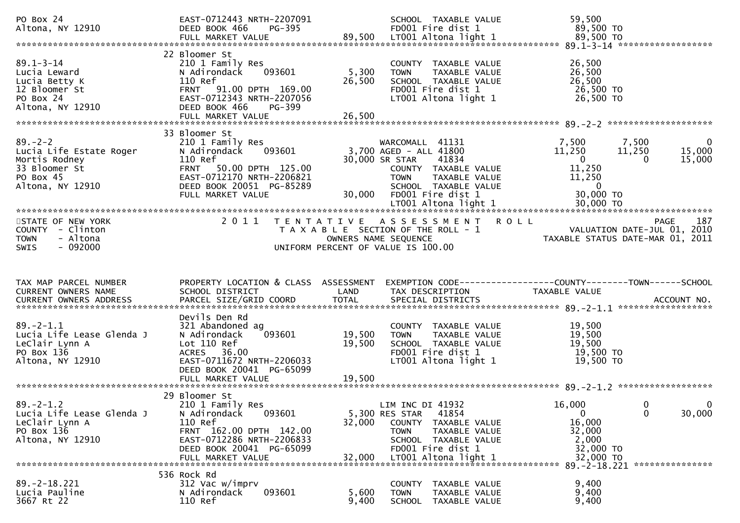| PO Box 24<br>Altona, NY 12910                                                                                                                                                                            | EAST-0712443 NRTH-2207091                                                                                                                                                       |                           | SCHOOL TAXABLE VALUE                                                                                                                                                      | 59,500                                                                                                                                             |
|----------------------------------------------------------------------------------------------------------------------------------------------------------------------------------------------------------|---------------------------------------------------------------------------------------------------------------------------------------------------------------------------------|---------------------------|---------------------------------------------------------------------------------------------------------------------------------------------------------------------------|----------------------------------------------------------------------------------------------------------------------------------------------------|
|                                                                                                                                                                                                          |                                                                                                                                                                                 |                           |                                                                                                                                                                           |                                                                                                                                                    |
| 39.1-3-14<br>Lucia Leward<br>Lucia Betty K<br>12 Bloomer St<br>Por 24<br>Compared Section 2010<br>CAST-0712343 NRTH-2207056<br>POR 24<br>COMPARED BOOK 466<br>POR DEED BOOK 466<br>POR FULL MARKET VALUE |                                                                                                                                                                                 | 5,300<br>26,500<br>26,500 | COUNTY TAXABLE VALUE<br><b>TOWN</b><br>TAXABLE VALUE<br>SCHOOL TAXABLE VALUE<br>FD001 Fire dist 1<br>LT001 Altona light 1                                                 | 26,500<br>26,500<br>26,500<br>26,500 TO<br>26,500 TO                                                                                               |
|                                                                                                                                                                                                          |                                                                                                                                                                                 |                           |                                                                                                                                                                           |                                                                                                                                                    |
| $89. - 2 - 2$<br>Lucia Life Estate Roger<br>state Roger<br>y<br>t<br>?910<br>Mortis Rodney<br>33 Bloomer St<br>PO Box 45<br>Altona, NY 12910                                                             | 33 Bloomer St<br>210 1 Family Res<br>093601<br>N Adirondack<br>110 Ref<br>FRNT 50.00 DPTH 125.00<br>EAST-0712170 NRTH-2206821<br>DEED BOOK 20051 PG-85289<br>FULL MARKET VALUE  | 30,000                    | WARCOMALL 41131<br>3,700 AGED - ALL 41800<br>30,000 SR STAR<br>41834<br>COUNTY TAXABLE VALUE<br><b>TOWN</b><br>TAXABLE VALUE<br>SCHOOL TAXABLE VALUE<br>FD001 Fire dist 1 | 7,500 7,500<br>0<br>11,250<br>11,250<br>15,000<br>$\overline{\mathbf{0}}$<br>15,000<br>$\bf{0}$<br>11,250<br>11,250<br>$\overline{0}$<br>30,000 TO |
|                                                                                                                                                                                                          |                                                                                                                                                                                 |                           |                                                                                                                                                                           |                                                                                                                                                    |
| STATE OF NEW YORK<br>COUNTY - Clinton<br>- Altona<br><b>TOWN</b><br>$-092000$<br><b>SWIS</b>                                                                                                             | 2 0 1 1                                                                                                                                                                         | T E N T A T I V E         | A S S E S S M E N T R O L L<br>T A X A B L E SECTION OF THE ROLL - 1<br>OWNERS NAME SEQUENCE<br>UNIFORM PERCENT OF VALUE IS 100.00                                        | 187<br>PAGE<br>VALUATION DATE-JUL 01, 2010<br>TAXABLE STATUS DATE-MAR 01, 2011                                                                     |
|                                                                                                                                                                                                          |                                                                                                                                                                                 |                           |                                                                                                                                                                           |                                                                                                                                                    |
| TAX MAP PARCEL NUMBER<br>CURRENT OWNERS NAME<br>CURRENT OWNERS ADDRESS                                                                                                                                   | SCHOOL DISTRICT                                                                                                                                                                 | LAND                      | TAX DESCRIPTION                                                                                                                                                           | PROPERTY LOCATION & CLASS ASSESSMENT EXEMPTION CODE----------------COUNTY-------TOWN------SCHOOL<br>TAXABLE VALUE                                  |
| $89. - 2 - 1.1$<br>Lucia Life Lease Glenda J<br>LeClair Lynn A<br>PO Box 136<br>Altona, NY 12910                                                                                                         | Devils Den Rd<br>321 Abandoned ag<br>093601<br>N Adirondack<br>Lot 110 Ref<br>ACRES 36.00<br>EAST-0711672 NRTH-2206033<br>DEED BOOK 20041 PG-65099                              | 19,500<br>19,500          | COUNTY TAXABLE VALUE<br>TAXABLE VALUE<br><b>TOWN</b><br>SCHOOL TAXABLE VALUE<br>FD001 Fire dist 1<br>LT001 Altona light 1                                                 | 19,500<br>19,500<br>19,500<br>19,500 TO<br>19,500 TO                                                                                               |
| $89. - 2 - 1.2$<br>Lucia Life Lease Glenda J<br>LeClair Lynn A<br>PO Box 136<br>Altona, NY 12910                                                                                                         | 29 Bloomer St<br>210 1 Family Res<br>093601<br>N Adirondack<br>110 Ref<br>FRNT 162.00 DPTH 142.00<br>EAST-0712286 NRTH-2206833<br>DEED BOOK 20041 PG-65099<br>FULL MARKET VALUE | 32,000<br>32,000          | LIM INC DI 41932<br>5,300 RES STAR<br>41854<br>COUNTY TAXABLE VALUE<br>TAXABLE VALUE<br><b>TOWN</b><br>SCHOOL TAXABLE VALUE<br>FD001 Fire dist 1<br>LT001 Altona light 1  | 16,000<br>$\mathbf 0$<br>0<br>$\mathbf 0$<br>$\mathbf 0$<br>30,000<br>16,000<br>32,000<br>2,000<br>32,000 TO<br>32,000 TO                          |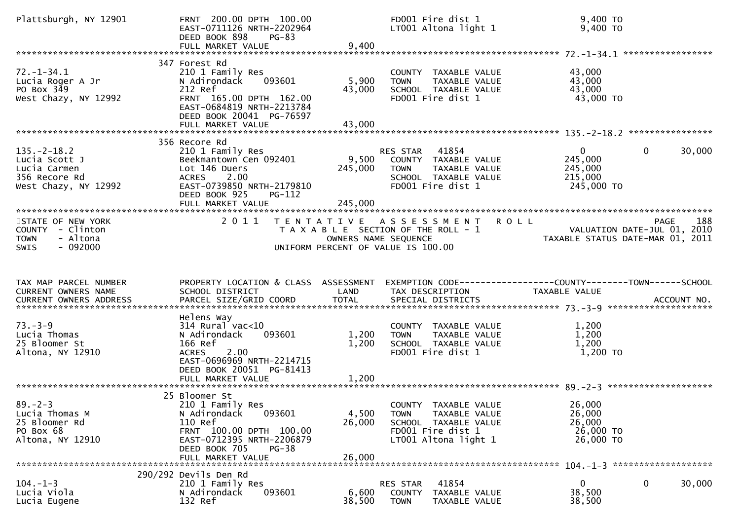| Plattsburgh, NY 12901                                                                        | FRNT 200.00 DPTH 100.00<br>EAST-0711126 NRTH-2202964<br>DEED BOOK 898<br>$PG-83$<br>FULL MARKET VALUE                                                                             | 9,400                       | FD001 Fire dist 1<br>LT001 Altona light 1                                                                                 | 9,400 TO<br>$9,400$ TO                                                                          |                        |
|----------------------------------------------------------------------------------------------|-----------------------------------------------------------------------------------------------------------------------------------------------------------------------------------|-----------------------------|---------------------------------------------------------------------------------------------------------------------------|-------------------------------------------------------------------------------------------------|------------------------|
|                                                                                              |                                                                                                                                                                                   |                             |                                                                                                                           |                                                                                                 |                        |
| $72. - 1 - 34.1$<br>Lucia Roger A Jr<br>PO Box 349<br>West Chazy, NY 12992                   | 347 Forest Rd<br>210 1 Family Res<br>093601<br>N Adirondack<br>212 Ref<br>FRNT 165.00 DPTH 162.00<br>EAST-0684819 NRTH-2213784<br>DEED BOOK 20041 PG-76597                        | 5,900<br>43,000             | COUNTY TAXABLE VALUE<br>TAXABLE VALUE<br><b>TOWN</b><br>SCHOOL TAXABLE VALUE<br>FD001 Fire dist 1                         | 43,000<br>43,000<br>43,000<br>43,000 TO                                                         |                        |
|                                                                                              |                                                                                                                                                                                   |                             |                                                                                                                           |                                                                                                 |                        |
| $135. -2 - 18.2$<br>Lucia Scott J<br>Lucia Carmen<br>356 Recore Rd<br>West Chazy, NY 12992   | 356 Recore Rd<br>210 1 Family Res<br>Beekmantown Cen 092401<br>Lot 146 Duers<br><b>ACRES</b><br>2.00<br>EAST-0739850 NRTH-2179810<br>DEED BOOK 925<br>PG-112<br>FULL MARKET VALUE | 9,500<br>245,000<br>245,000 | 41854<br>RES STAR<br>COUNTY TAXABLE VALUE<br>TAXABLE VALUE<br>TOWN<br>SCHOOL TAXABLE VALUE<br>FD001 Fire dist 1           | $\mathbf{0}$<br>245,000<br>245,000<br>215,000<br>245,000 TO                                     | 30,000<br>$\mathbf{0}$ |
|                                                                                              |                                                                                                                                                                                   |                             |                                                                                                                           |                                                                                                 |                        |
| STATE OF NEW YORK<br>COUNTY - Clinton<br>- Altona<br><b>TOWN</b><br>$-092000$<br><b>SWIS</b> | 2 0 1 1                                                                                                                                                                           | OWNERS NAME SEQUENCE        | TENTATIVE ASSESSMENT<br><b>ROLL</b><br>T A X A B L E SECTION OF THE ROLL - 1<br>UNIFORM PERCENT OF VALUE IS 100.00        | VALUATION DATE-JUL 01, 2010<br>VALUATION DATE SUL 11 (2011)<br>TAXABLE STATUS DATE-MAR 01, 2011 | 188<br><b>PAGE</b>     |
|                                                                                              |                                                                                                                                                                                   |                             |                                                                                                                           |                                                                                                 |                        |
| TAX MAP PARCEL NUMBER<br>CURRENT OWNERS NAME<br>CURRENT OWNERS ADDRESS                       | PROPERTY LOCATION & CLASS ASSESSMENT<br>SCHOOL DISTRICT<br>PARCEL SIZE/GRID COORD                                                                                                 | LAND<br><b>TOTAL</b>        | EXEMPTION CODE-----------------COUNTY-------TOWN------SCHOOL<br>TAX DESCRIPTION<br>SPECIAL DISTRICTS                      | TAXABLE VALUE                                                                                   | ACCOUNT NO.            |
| $73. - 3 - 9$<br>Lucia Thomas<br>25 Bloomer St<br>Altona, NY 12910                           | Helens Way<br>$314$ Rural vac< $10$<br>093601<br>N Adirondack<br>166 Ref<br>2.00<br><b>ACRES</b><br>EAST-0696969 NRTH-2214715<br>DEED BOOK 20051 PG-81413<br>FULL MARKET VALUE    | 1,200<br>1,200<br>1,200     | COUNTY TAXABLE VALUE<br>TAXABLE VALUE<br><b>TOWN</b><br>SCHOOL TAXABLE VALUE<br>FD001 Fire dist 1                         | 1,200<br>1,200<br>1,200<br>1,200 TO                                                             |                        |
| $89 - 2 - 3$<br>Lucia Thomas M<br>25 Bloomer Rd<br>PO Box 68<br>Altona, NY 12910             | 25 Bloomer St<br>210 1 Family Res<br>093601<br>N Adirondack<br>110 Ref<br>FRNT 100.00 DPTH 100.00<br>EAST-0712395 NRTH-2206879<br>DEED BOOK 705<br>$PG-38$<br>FULL MARKET VALUE   | 4,500<br>26,000<br>26,000   | COUNTY TAXABLE VALUE<br><b>TOWN</b><br>TAXABLE VALUE<br>SCHOOL TAXABLE VALUE<br>FD001 Fire dist 1<br>LT001 Altona light 1 | 26,000<br>26,000<br>26,000<br>26,000 TO<br>26,000 TO                                            |                        |
|                                                                                              | 290/292 Devils Den Rd                                                                                                                                                             |                             |                                                                                                                           |                                                                                                 |                        |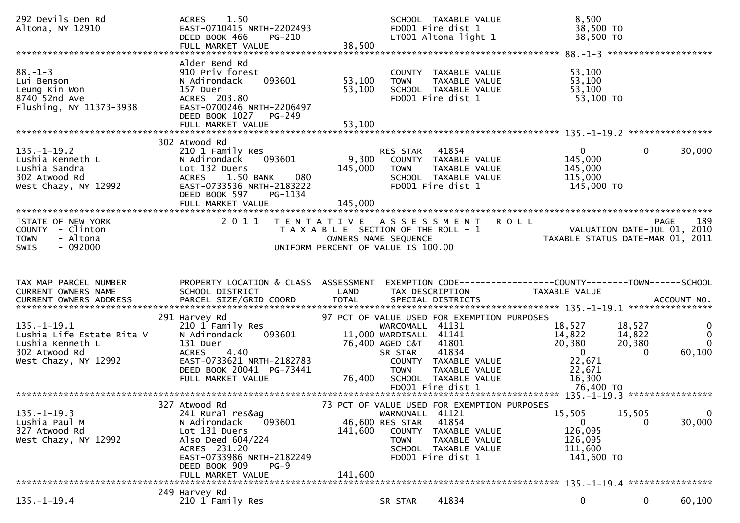| 292 Devils Den Rd<br>Altona, NY 12910                                                                                                                 | 1.50<br><b>ACRES</b><br>EAST-0710415 NRTH-2202493<br><b>PG-210</b><br>DEED BOOK 466<br>FULL MARKET VALUE                                                                                       | SCHOOL TAXABLE VALUE<br>FD001 Fire dist 1<br>LT001 Altona light 1<br>38,500                                                                                                                                                        | 8,500<br>38,500 TO<br>38,500 TO                                                                                                                                         |
|-------------------------------------------------------------------------------------------------------------------------------------------------------|------------------------------------------------------------------------------------------------------------------------------------------------------------------------------------------------|------------------------------------------------------------------------------------------------------------------------------------------------------------------------------------------------------------------------------------|-------------------------------------------------------------------------------------------------------------------------------------------------------------------------|
| $88. - 1 - 3$<br>Lui Benson<br>Leung Kin Won<br>8740 52nd Ave<br>Flushing, NY 11373-3938                                                              | Alder Bend Rd<br>910 Priv forest<br>N Adirondack<br>093601<br>157 Duer<br>ACRES 203.80<br>EAST-0700246 NRTH-2206497<br>DEED BOOK 1027<br>PG-249<br>FULL MARKET VALUE                           | COUNTY TAXABLE VALUE<br>53,100<br>TAXABLE VALUE<br><b>TOWN</b><br>53,100<br>SCHOOL TAXABLE VALUE<br>FD001 Fire dist 1<br>53,100                                                                                                    | 53,100<br>53,100<br>53,100<br>53,100 TO                                                                                                                                 |
|                                                                                                                                                       | 302 Atwood Rd                                                                                                                                                                                  |                                                                                                                                                                                                                                    |                                                                                                                                                                         |
| $135. - 1 - 19.2$<br>Lushia Kenneth L<br>Lushia Sandra<br>302 Atwood Rd<br>West Chazy, NY 12992                                                       | 210 1 Family Res<br>N Adirondack<br>093601<br>Lot 132 Duers<br>080<br><b>ACRES</b><br>1.50 BANK<br>EAST-0733536 NRTH-2183222<br>DEED BOOK 597<br>PG-1134<br>FULL MARKET VALUE                  | 41854<br>RES STAR<br>9,300<br>COUNTY TAXABLE VALUE<br>145,000<br>TAXABLE VALUE<br><b>TOWN</b><br>SCHOOL TAXABLE VALUE<br>FD001 Fire dist 1<br>145,000                                                                              | $\mathbf{0}$<br>30,000<br>$\mathbf{0}$<br>145,000<br>145,000<br>115,000<br>145,000 TO                                                                                   |
| STATE OF NEW YORK<br>COUNTY - Clinton<br>- Altona<br><b>TOWN</b><br>$-092000$<br><b>SWIS</b>                                                          | 2011                                                                                                                                                                                           | <b>ROLL</b><br>TENTATIVE ASSESSMENT<br>T A X A B L E SECTION OF THE ROLL - 1<br>OWNERS NAME SEQUENCE<br>UNIFORM PERCENT OF VALUE IS 100.00                                                                                         | 189<br><b>PAGE</b><br>VALUATION DATE-JUL 01, 2010<br>TAXABLE STATUS DATE-MAR 01, 2011                                                                                   |
| TAX MAP PARCEL NUMBER<br>CURRENT OWNERS NAME                                                                                                          | PROPERTY LOCATION & CLASS ASSESSMENT<br>SCHOOL DISTRICT                                                                                                                                        | LAND<br>TAX DESCRIPTION                                                                                                                                                                                                            | EXEMPTION CODE------------------COUNTY--------TOWN------SCHOOL<br>TAXABLE VALUE                                                                                         |
| CURRENT OWNERS ADDRESS                                                                                                                                | PARCEL SIZE/GRID COORD                                                                                                                                                                         | <b>TOTAL</b><br>SPECIAL DISTRICTS                                                                                                                                                                                                  | ACCOUNT NO.                                                                                                                                                             |
| Lushia Kenneth L<br>302 Atwood Rd                                                                                                                     | 291 Harvey Rd<br>210 1 Family Res<br>N Adirondack<br>093601<br>131 Duer<br><b>ACRES</b><br>4.40<br>EAST-0733621 NRTH-2182783<br>DEED BOOK 20041 PG-73441<br>FULL MARKET VALUE                  | 97 PCT OF VALUE USED FOR EXEMPTION PURPOSES<br>WARCOMALL 41131<br>11,000 WARDISALL 41141<br>76,400 AGED C&T<br>41801<br>41834<br>SR STAR<br>COUNTY TAXABLE VALUE<br><b>TOWN</b><br>TAXABLE VALUE<br>76,400<br>SCHOOL TAXABLE VALUE | 18,527<br>18,527<br>$\bf{0}$<br>14,822<br>14,822<br>$\mathbf 0$<br>20,380<br>20,380<br>$\mathbf{0}$<br>$\mathbf{0}$<br>60,100<br>$\Omega$<br>22,671<br>22,671<br>16,300 |
|                                                                                                                                                       |                                                                                                                                                                                                |                                                                                                                                                                                                                                    |                                                                                                                                                                         |
| $135. - 1 - 19.1$<br>Lushia Life Estate Rita V<br>West Chazy, NY 12992<br>$135. - 1 - 19.3$<br>Lushia Paul M<br>327 Atwood Rd<br>West Chazy, NY 12992 | 327 Atwood Rd<br>241 Rural res&ag<br>N Adirondack<br>093601<br>Lot 131 Duers<br>Also Deed 604/224<br>ACRES 231.20<br>EAST-0733986 NRTH-2182249<br>DEED BOOK 909<br>$PG-9$<br>FULL MARKET VALUE | 73 PCT OF VALUE USED FOR EXEMPTION PURPOSES<br>WARNONALL 41121<br>41854<br>46,600 RES STAR<br>141,600<br>COUNTY TAXABLE VALUE<br><b>TOWN</b><br>TAXABLE VALUE<br>SCHOOL TAXABLE VALUE<br>FD001 Fire dist 1<br>141,600              | $\mathbf 0$<br>15,505<br>15,505<br>30,000<br>$\mathbf{0}$<br>0<br>126,095<br>126,095<br>111,600<br>141,600 TO                                                           |
|                                                                                                                                                       | 249 Harvey Rd                                                                                                                                                                                  |                                                                                                                                                                                                                                    |                                                                                                                                                                         |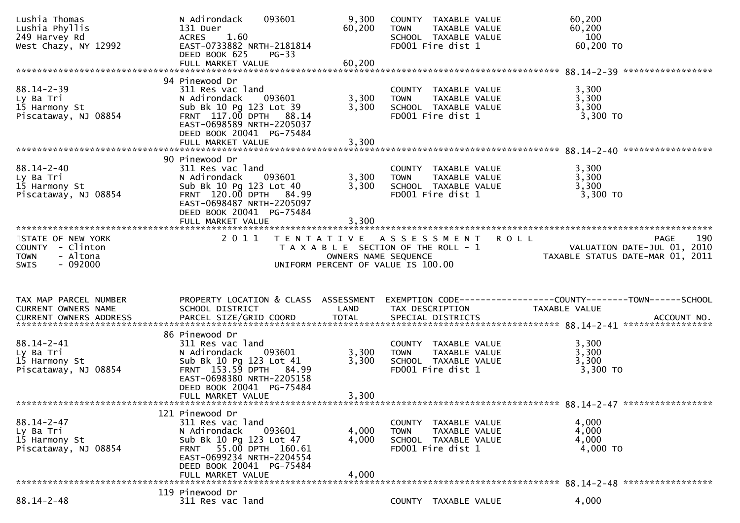| Lushia Thomas<br>Lushia Phyllis<br>249 Harvey Rd<br>West Chazy, NY 12992 | N Adirondack<br>093601<br>131 Duer<br>1.60<br><b>ACRES</b><br>EAST-0733882 NRTH-2181814<br>DEED BOOK 625<br><b>PG-33</b><br>FULL MARKET VALUE                                                    | 9,300<br>60,200<br>60,200 | COUNTY TAXABLE VALUE<br><b>TOWN</b><br>TAXABLE VALUE<br>SCHOOL TAXABLE VALUE<br>FD001 Fire dist 1 | 60,200<br>60,200<br>100<br>60,200 TO                                            |
|--------------------------------------------------------------------------|--------------------------------------------------------------------------------------------------------------------------------------------------------------------------------------------------|---------------------------|---------------------------------------------------------------------------------------------------|---------------------------------------------------------------------------------|
|                                                                          |                                                                                                                                                                                                  |                           |                                                                                                   |                                                                                 |
| $88.14 - 2 - 39$<br>Ly Ba Tri<br>15 Harmony St<br>Piscataway, NJ 08854   | 94 Pinewood Dr<br>311 Res vac land<br>N Adirondack<br>093601<br>Sub Bk 10 Pg 123 Lot 39<br>FRNT 117.00 DPTH 88.14<br>EAST-0698589 NRTH-2205037<br>DEED BOOK 20041 PG-75484<br>FULL MARKET VALUE  | 3,300<br>3,300<br>3,300   | COUNTY TAXABLE VALUE<br>TAXABLE VALUE<br><b>TOWN</b><br>SCHOOL TAXABLE VALUE<br>FD001 Fire dist 1 | 3,300<br>3,300<br>3,300<br>3,300 TO                                             |
|                                                                          |                                                                                                                                                                                                  |                           |                                                                                                   |                                                                                 |
| $88.14 - 2 - 40$<br>Ly Ba Tri<br>15 Harmony St<br>Piscataway, NJ 08854   | 90 Pinewood Dr<br>311 Res vac land<br>N Adirondack<br>093601<br>Sub Bk 10 Pg 123 Lot 40<br>FRNT 120.00 DPTH 84.99<br>EAST-0698487 NRTH-2205097<br>DEED BOOK 20041 PG-75484                       | 3,300<br>3,300            | COUNTY TAXABLE VALUE<br>TAXABLE VALUE<br><b>TOWN</b><br>SCHOOL TAXABLE VALUE<br>FD001 Fire dist 1 | 3,300<br>3,300<br>3,300<br>$3,300$ TO                                           |
|                                                                          |                                                                                                                                                                                                  |                           |                                                                                                   |                                                                                 |
| STATE OF NEW YORK<br>COUNTY - Clinton                                    |                                                                                                                                                                                                  |                           | 2011 TENTATIVE ASSESSMENT<br>T A X A B L E SECTION OF THE ROLL - 1                                | 190<br><b>ROLL</b><br>PAGE<br>VALUATION DATE-JUL 01, 2010                       |
| - Altona<br><b>TOWN</b><br>$-092000$<br><b>SWIS</b>                      |                                                                                                                                                                                                  |                           | OWNERS NAME SEQUENCE<br>UNIFORM PERCENT OF VALUE IS 100.00                                        | TAXABLE STATUS DATE-MAR 01, 2011                                                |
|                                                                          |                                                                                                                                                                                                  |                           |                                                                                                   |                                                                                 |
| TAX MAP PARCEL NUMBER<br>CURRENT OWNERS NAME                             | PROPERTY LOCATION & CLASS ASSESSMENT<br>SCHOOL DISTRICT                                                                                                                                          | LAND                      | TAX DESCRIPTION                                                                                   | EXEMPTION CODE------------------COUNTY--------TOWN------SCHOOL<br>TAXABLE VALUE |
|                                                                          |                                                                                                                                                                                                  |                           |                                                                                                   |                                                                                 |
| 88.14-2-41<br>Ly Ba Tri<br>15 Harmony St<br>Piscataway, NJ 08854         | 86 Pinewood Dr<br>311 Res vac land<br>093601<br>N Adirondack<br>Sub Bk 10 Pg 123 Lot 41<br>FRNT 153.59 DPTH 84.99<br>EAST-0698380 NRTH-2205158<br>DEED BOOK 20041 PG-75484<br>FULL MARKET VALUE  | 3,300<br>3,300<br>3,300   | COUNTY TAXABLE VALUE<br><b>TOWN</b><br>TAXABLE VALUE<br>SCHOOL TAXABLE VALUE<br>FD001 Fire dist 1 | 3,300<br>3,300<br>3,300<br>$3,300$ TO                                           |
|                                                                          |                                                                                                                                                                                                  |                           |                                                                                                   |                                                                                 |
| $88.14 - 2 - 47$<br>Ly Ba Tri<br>15 Harmony St<br>Piscataway, NJ 08854   | 121 Pinewood Dr<br>311 Res vac land<br>N Adirondack<br>093601<br>Sub Bk 10 Pg 123 Lot 47<br>FRNT 55.00 DPTH 160.61<br>EAST-0699234 NRTH-2204554<br>DEED BOOK 20041 PG-75484<br>FULL MARKET VALUE | 4,000<br>4,000<br>4,000   | COUNTY TAXABLE VALUE<br><b>TOWN</b><br>TAXABLE VALUE<br>SCHOOL TAXABLE VALUE<br>FD001 Fire dist 1 | 4,000<br>4,000<br>4,000<br>4,000 TO                                             |
|                                                                          | 119 Pinewood Dr                                                                                                                                                                                  |                           |                                                                                                   |                                                                                 |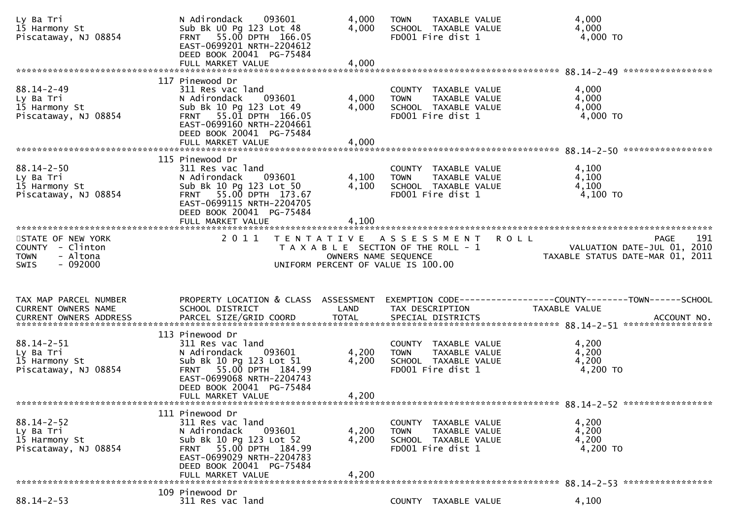| Ly Ba Tri<br>15 Harmony St<br>Piscataway, NJ 08854                     | N Adirondack<br>093601<br>Sub Bk UO Pg 123 Lot 48<br>FRNT 55.00 DPTH 166.05<br>EAST-0699201 NRTH-2204612<br>DEED BOOK 20041 PG-75484<br>FULL MARKET VALUE                                        | 4,000<br>4,000<br>4,000 | TAXABLE VALUE<br><b>TOWN</b><br>SCHOOL TAXABLE VALUE<br>FD001 Fire dist 1                            | 4,000<br>4,000<br>4,000 TO                                                                    |
|------------------------------------------------------------------------|--------------------------------------------------------------------------------------------------------------------------------------------------------------------------------------------------|-------------------------|------------------------------------------------------------------------------------------------------|-----------------------------------------------------------------------------------------------|
|                                                                        |                                                                                                                                                                                                  |                         |                                                                                                      |                                                                                               |
| $88.14 - 2 - 49$<br>Ly Ba Tri<br>15 Harmony St<br>Piscataway, NJ 08854 | 117 Pinewood Dr<br>311 Res vac land<br>N Adirondack<br>093601<br>Sub Bk 10 Pg 123 Lot 49<br>FRNT 55.01 DPTH 166.05<br>EAST-0699160 NRTH-2204661<br>DEED BOOK 20041 PG-75484                      | 4,000<br>4,000          | COUNTY TAXABLE VALUE<br>TAXABLE VALUE<br><b>TOWN</b><br>SCHOOL TAXABLE VALUE<br>FD001 Fire dist 1    | 4,000<br>4,000<br>4,000<br>4,000 TO                                                           |
|                                                                        |                                                                                                                                                                                                  |                         |                                                                                                      |                                                                                               |
| $88.14 - 2 - 50$<br>Ly Ba Tri<br>15 Harmony St<br>Piscataway, NJ 08854 | 115 Pinewood Dr<br>311 Res vac land<br>N Adirondack<br>093601<br>Sub Bk 10 Pg 123 Lot 50<br>FRNT 55.00 DPTH 173.67<br>EAST-0699115 NRTH-2204705<br>DEED BOOK 20041 PG-75484                      | 4,100<br>4,100          | COUNTY TAXABLE VALUE<br>TAXABLE VALUE<br><b>TOWN</b><br>SCHOOL TAXABLE VALUE<br>FD001 Fire dist 1    | 4,100<br>4,100<br>4,100<br>$4,100$ TO                                                         |
|                                                                        |                                                                                                                                                                                                  | 4,100                   |                                                                                                      |                                                                                               |
| STATE OF NEW YORK<br>COUNTY - Clinton<br>- Altona<br><b>TOWN</b>       | 2011                                                                                                                                                                                             | OWNERS NAME SEQUENCE    | TENTATIVE ASSESSMENT<br>T A X A B L E SECTION OF THE ROLL - 1                                        | 191<br><b>ROLL</b><br>PAGE<br>VALUATION DATE-JUL 01, 2010<br>TAXABLE STATUS DATE-MAR 01, 2011 |
| $-092000$<br><b>SWIS</b>                                               |                                                                                                                                                                                                  |                         | UNIFORM PERCENT OF VALUE IS 100.00                                                                   |                                                                                               |
|                                                                        |                                                                                                                                                                                                  |                         |                                                                                                      |                                                                                               |
| TAX MAP PARCEL NUMBER<br>CURRENT OWNERS NAME                           | PROPERTY LOCATION & CLASS ASSESSMENT<br>SCHOOL DISTRICT                                                                                                                                          | LAND                    | TAX DESCRIPTION                                                                                      | EXEMPTION CODE-----------------COUNTY-------TOWN------SCHOOL<br>TAXABLE VALUE                 |
|                                                                        |                                                                                                                                                                                                  |                         |                                                                                                      |                                                                                               |
| $88.14 - 2 - 51$<br>Ly Ba Tri<br>15 Harmony St<br>Piscataway, NJ 08854 | 113 Pinewood Dr<br>311 Res vac land<br>093601<br>N Adirondack<br>Sub Bk 10 Pg 123 Lot 51<br>FRNT 55.00 DPTH 184.99<br>EAST-0699068 NRTH-2204743<br>DEED BOOK 20041 PG-75484<br>FULL MARKET VALUE | 4,200<br>4,200          | COUNTY TAXABLE VALUE<br><b>TOWN</b><br>TAXABLE VALUE<br>SCHOOL TAXABLE VALUE<br>FD001 Fire dist 1    | 4,200<br>4,200<br>4,200<br>4,200 TO                                                           |
|                                                                        |                                                                                                                                                                                                  | 4,200                   |                                                                                                      |                                                                                               |
| $88.14 - 2 - 52$<br>Ly Ba Tri<br>15 Harmony St<br>Piscataway, NJ 08854 | 111 Pinewood Dr<br>311 Res vac land<br>N Adirondack<br>093601<br>Sub Bk 10 Pg 123 Lot 52<br>FRNT 55.00 DPTH 184.99<br>EAST-0699029 NRTH-2204783<br>DEED BOOK 20041 PG-75484<br>FULL MARKET VALUE | 4,200<br>4,200<br>4,200 | COUNTY<br>TAXABLE VALUE<br><b>TOWN</b><br>TAXABLE VALUE<br>SCHOOL TAXABLE VALUE<br>FD001 Fire dist 1 | 4,200<br>4,200<br>4,200<br>4,200 TO                                                           |
|                                                                        | 109 Pinewood Dr                                                                                                                                                                                  |                         |                                                                                                      |                                                                                               |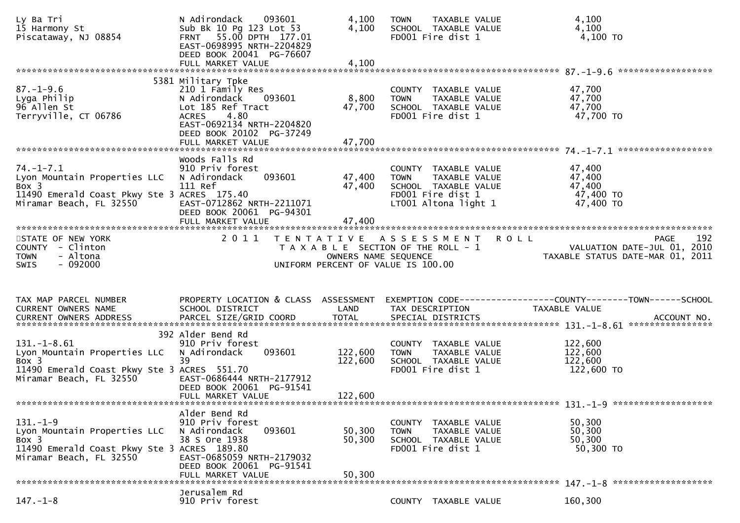| Ly Ba Tri<br>15 Harmony St<br>Piscataway, NJ 08854                                                                                 | N Adirondack<br>093601<br>Sub Bk 10 Pg 123 Lot 53<br>FRNT 55.00 DPTH 177.01<br>EAST-0698995 NRTH-2204829<br>DEED BOOK 20041 PG-76607<br>FULL MARKET VALUE                                   | 4,100<br>4,100<br>4,100       | TAXABLE VALUE<br><b>TOWN</b><br>SCHOOL TAXABLE VALUE<br>FD001 Fire dist 1                                                 | 4,100<br>4,100<br>4,100 TO                                                                                      |
|------------------------------------------------------------------------------------------------------------------------------------|---------------------------------------------------------------------------------------------------------------------------------------------------------------------------------------------|-------------------------------|---------------------------------------------------------------------------------------------------------------------------|-----------------------------------------------------------------------------------------------------------------|
|                                                                                                                                    |                                                                                                                                                                                             |                               |                                                                                                                           |                                                                                                                 |
| $87. - 1 - 9.6$<br>Lyga Philip<br>96 Allen St<br>Terryville, CT 06786                                                              | 5381 Military Tpke<br>210 1 Family Res<br>N Adirondack<br>093601<br>Lot 185 Ref Tract<br>4.80<br><b>ACRES</b><br>EAST-0692134 NRTH-2204820<br>DEED BOOK 20102 PG-37249<br>FULL MARKET VALUE | 8,800<br>47,700<br>47,700     | COUNTY TAXABLE VALUE<br>TAXABLE VALUE<br><b>TOWN</b><br>SCHOOL TAXABLE VALUE<br>FD001 Fire dist 1                         | 47,700<br>47,700<br>47,700<br>47,700 TO                                                                         |
|                                                                                                                                    |                                                                                                                                                                                             |                               |                                                                                                                           |                                                                                                                 |
| $74. - 1 - 7.1$<br>Lyon Mountain Properties LLC<br>Box 3<br>11490 Emerald Coast Pkwy Ste 3 ACRES 175.40<br>Miramar Beach, FL 32550 | Woods Falls Rd<br>910 Priv forest<br>093601<br>N Adirondack<br>111 Ref<br>EAST-0712862 NRTH-2211071<br>DEED BOOK 20061 PG-94301                                                             | 47,400<br>47,400              | COUNTY TAXABLE VALUE<br>TAXABLE VALUE<br><b>TOWN</b><br>SCHOOL TAXABLE VALUE<br>FD001 Fire dist 1<br>LT001 Altona light 1 | 47,400<br>47,400<br>47,400<br>47,400 TO<br>47,400 TO                                                            |
|                                                                                                                                    |                                                                                                                                                                                             |                               |                                                                                                                           |                                                                                                                 |
| STATE OF NEW YORK<br>COUNTY - Clinton<br>- Altona<br><b>TOWN</b>                                                                   | 2 0 1 1                                                                                                                                                                                     | OWNERS NAME SEQUENCE          | TENTATIVE ASSESSMENT ROLL<br>T A X A B L E SECTION OF THE ROLL - 1                                                        | 192<br>PAGE<br>VALUATION DATE-JUL 01, 2010<br>TAXABLE STATUS DATE-MAR 01, 2011                                  |
| $-092000$<br>SWIS                                                                                                                  |                                                                                                                                                                                             |                               | UNIFORM PERCENT OF VALUE IS 100.00                                                                                        |                                                                                                                 |
|                                                                                                                                    |                                                                                                                                                                                             |                               |                                                                                                                           |                                                                                                                 |
| TAX MAP PARCEL NUMBER<br>CURRENT OWNERS NAME                                                                                       | PROPERTY LOCATION & CLASS ASSESSMENT<br>SCHOOL DISTRICT                                                                                                                                     | LAND                          | TAX DESCRIPTION                                                                                                           | EXEMPTION CODE------------------COUNTY--------TOWN------SCHOOL<br>TAXABLE VALUE                                 |
|                                                                                                                                    |                                                                                                                                                                                             |                               |                                                                                                                           | .CURRENT OWNERS ADDRESS PARCEL SIZE/GRID COORD TOTAL SPECIAL DISTRICTS ACCOUNT NO ACCOUNT NO ACCOUNT NO ACCOUNT |
| $131.-1-8.61$<br>Lyon Mountain Properties LLC<br>Box 3<br>11490 Emerald Coast Pkwy Ste 3 ACRES 551.70<br>Miramar Beach, FL 32550   | 392 Alder Bend Rd<br>910 Priv forest<br>093601<br>N Adirondack<br>39<br>EAST-0686444 NRTH-2177912<br>DEED BOOK 20061 PG-91541<br>FULL MARKET VALUE                                          | 122,600<br>122,600<br>122,600 | COUNTY TAXABLE VALUE<br>TAXABLE VALUE<br><b>TOWN</b><br>SCHOOL TAXABLE VALUE<br>FD001 Fire dist 1                         | 122,600<br>122,600<br>122,600<br>122,600 TO                                                                     |
|                                                                                                                                    |                                                                                                                                                                                             |                               |                                                                                                                           |                                                                                                                 |
| $131 - 1 - 9$<br>Lyon Mountain Properties LLC<br>Box 3<br>11490 Emerald Coast Pkwy Ste 3 ACRES 189.80<br>Miramar Beach, FL 32550   | Alder Bend Rd<br>910 Priv forest<br>N Adirondack<br>093601<br>38 S Ore 1938<br>EAST-0685059 NRTH-2179032<br>DEED BOOK 20061 PG-91541<br>FULL MARKET VALUE                                   | 50,300<br>50,300<br>50,300    | COUNTY<br>TAXABLE VALUE<br><b>TOWN</b><br>TAXABLE VALUE<br>SCHOOL TAXABLE VALUE<br>FD001 Fire dist 1                      | 50,300<br>50,300<br>50,300<br>50,300 TO                                                                         |
|                                                                                                                                    | Jerusalem Rd                                                                                                                                                                                |                               |                                                                                                                           |                                                                                                                 |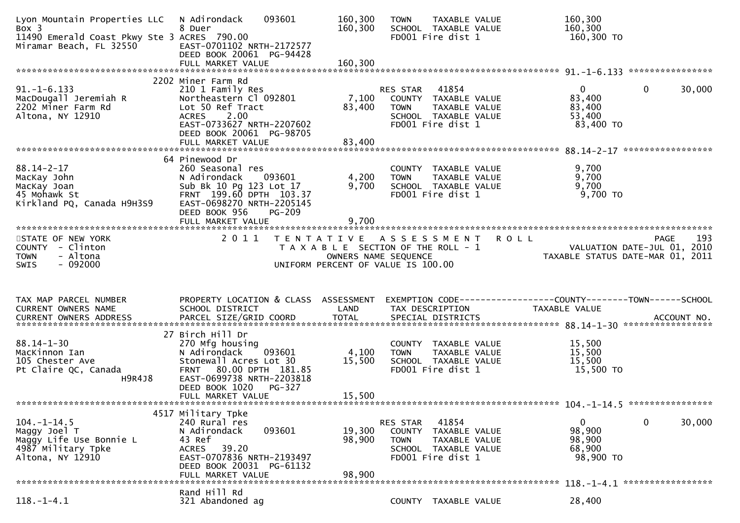| Lyon Mountain Properties LLC<br>Box 3<br>11490 Emerald Coast Pkwy Ste 3 ACRES 790.00<br>Miramar Beach, FL 32550 | 093601<br>N Adirondack<br>8 Duer<br>EAST-0701102 NRTH-2172577<br>DEED BOOK 20061 PG-94428<br>FULL MARKET VALUE                                                                                  | 160,300<br>160,300<br>160,300 | <b>TOWN</b><br>TAXABLE VALUE<br>SCHOOL TAXABLE VALUE<br>FD001 Fire dist 1                                                 | 160,300<br>160,300<br>160,300 TO             |                                            |
|-----------------------------------------------------------------------------------------------------------------|-------------------------------------------------------------------------------------------------------------------------------------------------------------------------------------------------|-------------------------------|---------------------------------------------------------------------------------------------------------------------------|----------------------------------------------|--------------------------------------------|
|                                                                                                                 | 2202 Miner Farm Rd                                                                                                                                                                              |                               |                                                                                                                           |                                              |                                            |
| $91. -1 - 6.133$<br>MacDougall Jeremiah R<br>2202 Miner Farm Rd<br>Altona, NY 12910                             | 210 1 Family Res<br>Northeastern Cl 092801<br>Lot 50 Ref Tract<br>2.00<br><b>ACRES</b><br>EAST-0733627 NRTH-2207602<br>DEED BOOK 20061 PG-98705<br>FULL MARKET VALUE                            | 7,100<br>83,400<br>83,400     | 41854<br>RES STAR<br>COUNTY TAXABLE VALUE<br><b>TOWN</b><br>TAXABLE VALUE<br>SCHOOL TAXABLE VALUE<br>FD001 Fire dist 1    | 0<br>83,400<br>83,400<br>53,400<br>83,400 TO | $\mathbf{0}$<br>30,000                     |
|                                                                                                                 |                                                                                                                                                                                                 |                               |                                                                                                                           |                                              |                                            |
| $88.14 - 2 - 17$<br>MacKay John<br>MacKay Joan<br>45 Mohawk St<br>Kirkland PQ, Canada H9H3S9                    | 64 Pinewood Dr<br>260 Seasonal res<br>N Adirondack<br>093601<br>Sub Bk 10 Pg 123 Lot 17<br>FRNT 199.60 DPTH 103.37<br>EAST-0698270 NRTH-2205145<br>DEED BOOK 956<br>PG-209<br>FULL MARKET VALUE | 4,200<br>9,700<br>9,700       | COUNTY TAXABLE VALUE<br>TAXABLE VALUE<br><b>TOWN</b><br>SCHOOL TAXABLE VALUE<br>FD001 Fire dist 1                         | 9,700<br>9,700<br>9,700<br>$9,700$ TO        |                                            |
|                                                                                                                 |                                                                                                                                                                                                 |                               |                                                                                                                           |                                              |                                            |
| STATE OF NEW YORK<br>COUNTY<br>- Clinton<br>- Altona                                                            | 2011                                                                                                                                                                                            |                               | TENTATIVE ASSESSMENT<br>T A X A B L E SECTION OF THE ROLL - 1                                                             | <b>ROLL</b>                                  | 193<br>PAGE<br>VALUATION DATE-JUL 01, 2010 |
| <b>TOWN</b><br>$-092000$<br><b>SWIS</b>                                                                         |                                                                                                                                                                                                 |                               | OWNERS NAME SEQUENCE<br>UNIFORM PERCENT OF VALUE IS 100.00                                                                | TAXABLE STATUS DATE-MAR 01, 2011             |                                            |
| TAX MAP PARCEL NUMBER<br>CURRENT OWNERS NAME                                                                    | PROPERTY LOCATION & CLASS ASSESSMENT<br>SCHOOL DISTRICT                                                                                                                                         | LAND                          | EXEMPTION CODE------------------COUNTY--------TOWN------SCHOOL<br>TAX DESCRIPTION                                         | <b>TAXABLE VALUE</b>                         |                                            |
|                                                                                                                 |                                                                                                                                                                                                 |                               |                                                                                                                           |                                              |                                            |
| $88.14 - 1 - 30$<br>MacKinnon Ian<br>105 Chester Ave<br>Pt Claire QC, Canada<br>H9R4J8                          | 27 Birch Hill Dr<br>270 Mfg housing<br>093601<br>N Adirondack<br>Stonewall Acres Lot 30<br>FRNT 80.00 DPTH 181.85<br>EAST-0699738 NRTH-2203818<br>DEED BOOK 1020<br>PG-327<br>FULL MARKET VALUE | 4,100<br>15,500               | COUNTY TAXABLE VALUE<br>TAXABLE VALUE<br><b>TOWN</b><br>SCHOOL TAXABLE VALUE<br>FD001 Fire dist 1                         | 15,500<br>15,500<br>15,500<br>15,500 TO      |                                            |
|                                                                                                                 |                                                                                                                                                                                                 | 15,500                        |                                                                                                                           |                                              |                                            |
| $104. - 1 - 14.5$<br>Maggy Joel T<br>Maggy Life Use Bonnie L<br>4987 Military Tpke<br>Altona, NY 12910          | 4517 Military Tpke<br>240 Rural res<br>093601<br>N Adirondack<br>43 Ref<br><b>ACRES</b><br>39.20<br>EAST-0707836 NRTH-2193497<br>DEED BOOK 20031 PG-61132<br>FULL MARKET VALUE                  | 19,300<br>98,900<br>98,900    | RES STAR<br>41854<br>COUNTY<br>TAXABLE VALUE<br><b>TOWN</b><br>TAXABLE VALUE<br>SCHOOL TAXABLE VALUE<br>FD001 Fire dist 1 | 0<br>98,900<br>98,900<br>68,900<br>98,900 TO | 0<br>30,000                                |
|                                                                                                                 | Rand Hill Rd                                                                                                                                                                                    |                               |                                                                                                                           |                                              | 118. -1-4.1 ******************             |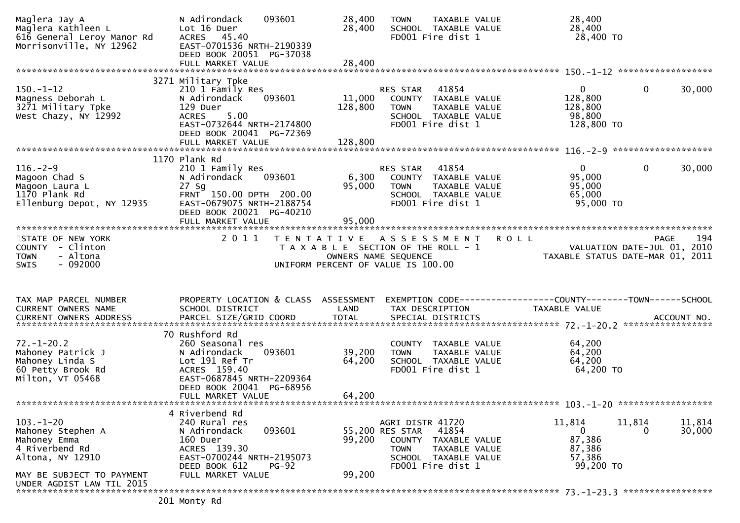| Maglera Jay A<br>Maglera Kathleen L<br>616 General Leroy Manor Rd<br>Morrisonville, NY 12962                                                                       | 093601<br>N Adirondack<br>Lot 16 Duer<br>ACRES 45.40<br>EAST-0701536 NRTH-2190339<br>DEED BOOK 20051 PG-37038<br>FULL MARKET VALUE                                                 | 28,400<br>28,400<br>28,400   | <b>TAXABLE VALUE</b><br><b>TOWN</b><br>SCHOOL TAXABLE VALUE<br>FD001 Fire dist 1                                                                            | 28,400<br>28,400<br>28,400 TO                                    |                        |
|--------------------------------------------------------------------------------------------------------------------------------------------------------------------|------------------------------------------------------------------------------------------------------------------------------------------------------------------------------------|------------------------------|-------------------------------------------------------------------------------------------------------------------------------------------------------------|------------------------------------------------------------------|------------------------|
|                                                                                                                                                                    |                                                                                                                                                                                    |                              |                                                                                                                                                             |                                                                  |                        |
| $150. - 1 - 12$<br>Magness Deborah L<br>3271 Military Tpke<br>West Chazy, NY 12992                                                                                 | 3271 Military Tpke<br>210 1 Family Res<br>093601<br>N Adirondack<br>129 Duer<br>5.00<br><b>ACRES</b><br>EAST-0732644 NRTH-2174800<br>DEED BOOK 20041 PG-72369<br>FULL MARKET VALUE | 11,000<br>128,800<br>128,800 | 41854<br>RES STAR<br>COUNTY TAXABLE VALUE<br>TAXABLE VALUE<br><b>TOWN</b><br>SCHOOL TAXABLE VALUE<br>FD001 Fire dist 1                                      | $\mathbf{0}$<br>128,800<br>128,800<br>98,800<br>128,800 TO       | 30,000<br>$\mathbf{0}$ |
|                                                                                                                                                                    | 1170 Plank Rd                                                                                                                                                                      |                              |                                                                                                                                                             |                                                                  |                        |
| $116. - 2 - 9$<br>Magoon Chad S<br>Magoon Laura L<br>1170 Plank Rd<br>Ellenburg Depot, NY 12935                                                                    | 210 1 Family Res<br>093601<br>N Adirondack<br>$27$ Sg<br>FRNT 150.00 DPTH 200.00<br>EAST-0679075 NRTH-2188754<br>DEED BOOK 20021 PG-40210                                          | 6,300<br>95,000              | 41854<br>RES STAR<br>COUNTY TAXABLE VALUE<br><b>TOWN</b><br>TAXABLE VALUE<br>SCHOOL TAXABLE VALUE<br>FD001 Fire dist 1                                      | $\mathbf{0}$<br>95,000<br>95,000<br>65,000<br>95,000 TO          | $\mathbf{0}$<br>30,000 |
|                                                                                                                                                                    |                                                                                                                                                                                    |                              |                                                                                                                                                             |                                                                  |                        |
| STATE OF NEW YORK<br>COUNTY - Clinton<br>- Altona<br><b>TOWN</b><br>$-092000$<br><b>SWIS</b>                                                                       | 2011                                                                                                                                                                               |                              | TENTATIVE ASSESSMENT<br><b>ROLL</b><br>T A X A B L E SECTION OF THE ROLL - 1<br>OWNERS NAME SEQUENCE<br>UNIFORM PERCENT OF VALUE IS 100.00                  | VALUATION DATE-JUL 01, 2010<br>TAXABLE STATUS DATE-MAR 01, 2011  | 194<br>PAGE            |
| TAX MAP PARCEL NUMBER<br>CURRENT OWNERS NAME<br>.0URRENT OWNERS ADDRESS PARCEL SIZE/GRID COORD TOTAL SPECIAL DISTRICTS ACCOUNT NO ACCOUNT NO ACCOUNT NO ACCOUNT NO | PROPERTY LOCATION & CLASS ASSESSMENT<br>SCHOOL DISTRICT                                                                                                                            | LAND                         | EXEMPTION CODE------------------COUNTY-------TOWN------SCHOOL<br>TAX DESCRIPTION                                                                            | TAXABLE VALUE                                                    |                        |
|                                                                                                                                                                    | 70 Rushford Rd                                                                                                                                                                     |                              |                                                                                                                                                             |                                                                  |                        |
| $72. - 1 - 20.2$<br>Mahoney Patrick J<br>Mahoney Linda S<br>60 Petty Brook Rd<br>Milton, VT 05468                                                                  | 260 Seasonal res<br>093601<br>N Adirondack<br>Lot 191 Ref Tr<br>ACRES 159.40<br>EAST-0687845 NRTH-2209364<br>DEED BOOK 20041 PG-68956                                              | 39,200<br>64,200             | COUNTY TAXABLE VALUE<br><b>TOWN</b><br>TAXABLE VALUE<br>SCHOOL TAXABLE VALUE<br>FD001 Fire dist 1                                                           | 64,200<br>64,200<br>64,200<br>64,200 TO                          |                        |
|                                                                                                                                                                    | FULL MARKET VALUE                                                                                                                                                                  | 64,200                       |                                                                                                                                                             |                                                                  |                        |
|                                                                                                                                                                    |                                                                                                                                                                                    |                              |                                                                                                                                                             |                                                                  |                        |
| $103. - 1 - 20$<br>Mahoney Stephen A<br>Mahoney Emma<br>4 Riverbend Rd<br>Altona, NY 12910                                                                         | 4 Riverbend Rd<br>240 Rural res<br>093601<br>N Adirondack<br>160 Duer<br>ACRES 139.30<br>EAST-0700244 NRTH-2195073<br>DEED BOOK 612<br>$PG-92$                                     | 99,200                       | AGRI DISTR 41720<br>55,200 RES STAR<br>41854<br><b>COUNTY</b><br>TAXABLE VALUE<br>TAXABLE VALUE<br><b>TOWN</b><br>SCHOOL TAXABLE VALUE<br>FD001 Fire dist 1 | 11,814<br>11,814<br>0<br>87,386<br>87,386<br>57,386<br>99,200 TO | 11,814<br>30,000<br>0  |
| MAY BE SUBJECT TO PAYMENT<br>UNDER AGDIST LAW TIL 2015                                                                                                             | FULL MARKET VALUE                                                                                                                                                                  | 99,200                       |                                                                                                                                                             |                                                                  |                        |
|                                                                                                                                                                    |                                                                                                                                                                                    |                              |                                                                                                                                                             |                                                                  |                        |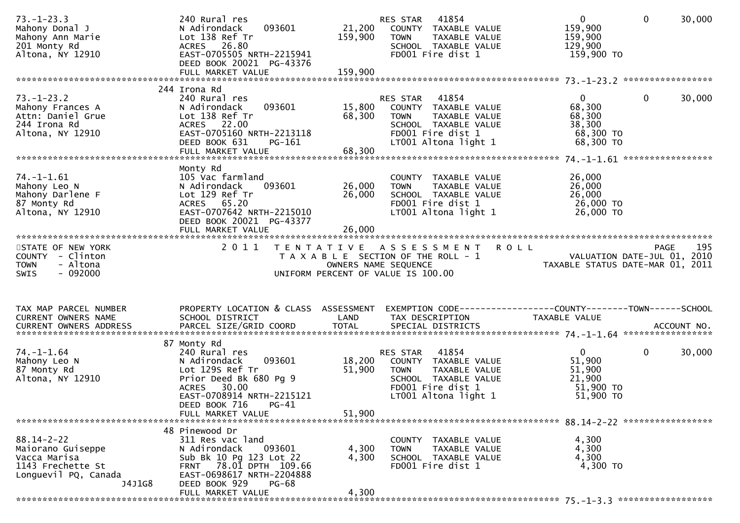| $73. - 1 - 23.3$<br>Mahony Donal J<br>Mahony Ann Marie<br>201 Monty Rd<br>Altona, NY 12910                   | 240 Rural res<br>093601<br>N Adirondack<br>Lot 138 Ref Tr<br>ACRES 26.80<br>EAST-0705505 NRTH-2215941<br>DEED BOOK 20021 PG-43376                             | 21,200<br>159,900 | 41854<br>RES STAR<br>COUNTY TAXABLE VALUE<br><b>TOWN</b><br>TAXABLE VALUE<br>SCHOOL TAXABLE VALUE<br>FD001 Fire dist 1                         | $\mathbf 0$<br>$\overline{0}$<br>159,900<br>159,900<br>129,900<br>159,900 TO          | 30,000 |
|--------------------------------------------------------------------------------------------------------------|---------------------------------------------------------------------------------------------------------------------------------------------------------------|-------------------|------------------------------------------------------------------------------------------------------------------------------------------------|---------------------------------------------------------------------------------------|--------|
|                                                                                                              | 244 Irona Rd                                                                                                                                                  |                   |                                                                                                                                                |                                                                                       |        |
| $73. - 1 - 23.2$<br>Mahony Frances A<br>Attn: Daniel Grue<br>244 Irona Rd<br>Altona, NY 12910                | 240 Rural res<br>093601<br>N Adirondack<br>Lot 138 Ref Tr<br>ACRES 22.00<br>EAST-0705160 NRTH-2213118<br>DEED BOOK 631<br>PG-161                              | 15,800<br>68,300  | RES STAR<br>41854<br>COUNTY TAXABLE VALUE<br>TAXABLE VALUE<br><b>TOWN</b><br>SCHOOL TAXABLE VALUE<br>FD001 Fire dist 1<br>LT001 Altona light 1 | $\overline{0}$<br>$\mathbf 0$<br>68,300<br>68,300<br>38,300<br>68,300 TO<br>68,300 ТО | 30,000 |
|                                                                                                              | Monty Rd                                                                                                                                                      |                   |                                                                                                                                                |                                                                                       |        |
| $74. - 1 - 1.61$<br>Mahony Leo N<br>Mahony Darlene F<br>87 Monty Rd<br>Altona, NY 12910                      | 105 Vac farmland<br>093601<br>N Adirondack<br>Lot 129 Ref Tr<br>ACRES 65.20<br>EAST-0707642 NRTH-2215010<br>DEED BOOK 20021 PG-43377                          | 26,000<br>26,000  | COUNTY TAXABLE VALUE<br>TAXABLE VALUE<br><b>TOWN</b><br>SCHOOL TAXABLE VALUE<br>FD001 Fire dist 1<br>LT001 Altona light 1                      | 26,000<br>26,000<br>26,000<br>26,000 TO<br>26,000 TO                                  |        |
|                                                                                                              |                                                                                                                                                               |                   |                                                                                                                                                |                                                                                       |        |
| STATE OF NEW YORK<br>COUNTY - Clinton                                                                        | 2 0 1 1                                                                                                                                                       |                   | <b>ROLL</b><br>TENTATIVE ASSESSMENT<br>T A X A B L E SECTION OF THE ROLL - 1                                                                   | <b>PAGE</b><br>VALUATION DATE-JUL 01, 2010                                            | 195    |
| - Altona<br><b>TOWN</b><br>SWIS<br>- 092000                                                                  |                                                                                                                                                               |                   | OWNERS NAME SEQUENCE<br>UNIFORM PERCENT OF VALUE IS 100.00                                                                                     | TAXABLE STATUS DATE-MAR 01, 2011                                                      |        |
| TAX MAP PARCEL NUMBER                                                                                        | PROPERTY LOCATION & CLASS ASSESSMENT                                                                                                                          |                   |                                                                                                                                                |                                                                                       |        |
| CURRENT OWNERS NAME                                                                                          | SCHOOL DISTRICT                                                                                                                                               | LAND              | TAX DESCRIPTION                                                                                                                                | TAXABLE VALUE                                                                         |        |
|                                                                                                              | 87 Monty Rd                                                                                                                                                   |                   |                                                                                                                                                |                                                                                       |        |
| $74. - 1 - 1.64$<br>Mahony Leo N<br>87 Monty Rd<br>Altona, NY 12910                                          | 240 Rural res<br>093601<br>N Adirondack<br>Lot 129s Ref Tr<br>Prior Deed Bk 680 Pg 9<br>ACRES 30.00<br>EAST-0708914 NRTH-2215121<br>DEED BOOK 716<br>$PG-41$  | 18,200<br>51,900  | 41854<br>RES STAR<br>COUNTY TAXABLE VALUE<br>TAXABLE VALUE<br><b>TOWN</b><br>SCHOOL TAXABLE VALUE<br>FD001 Fire dist 1<br>LT001 Altona light 1 | $\overline{0}$<br>$\mathbf 0$<br>51,900<br>51,900<br>21,900<br>51,900 TO<br>51,900 TO | 30,000 |
|                                                                                                              | FULL MARKET VALUE                                                                                                                                             | 51,900            |                                                                                                                                                |                                                                                       |        |
|                                                                                                              | 48 Pinewood Dr                                                                                                                                                |                   |                                                                                                                                                |                                                                                       |        |
| $88.14 - 2 - 22$<br>Maiorano Guiseppe<br>Vacca Marisa<br>1143 Frechette St<br>Longuevil PQ, Canada<br>J4J1G8 | 311 Res vac land<br>093601<br>N Adirondack<br>Sub Bk 10 Pg 123 Lot 22<br>FRNT 78.01 DPTH 109.66<br>EAST-0698617 NRTH-2204888<br>DEED BOOK 929<br><b>PG-68</b> | 4,300<br>4,300    | COUNTY TAXABLE VALUE<br><b>TOWN</b><br>TAXABLE VALUE<br>SCHOOL TAXABLE VALUE<br>FD001 Fire dist 1                                              | 4,300<br>4,300<br>4,300<br>4,300 TO                                                   |        |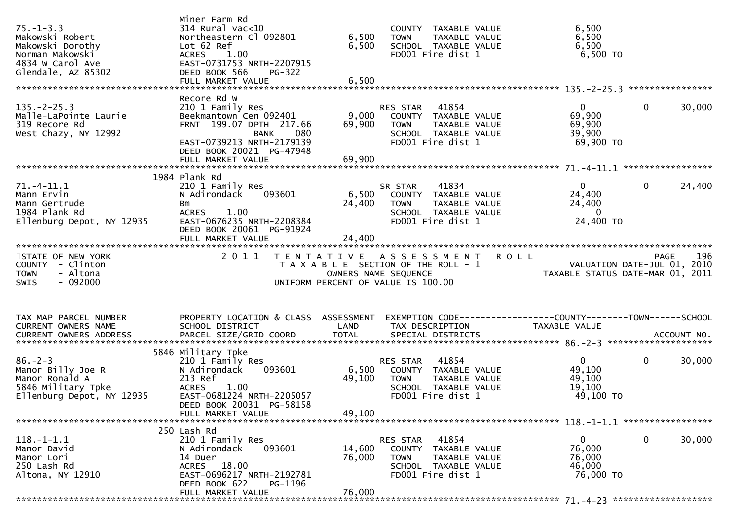| $75. - 1 - 3.3$<br>Makowski Robert<br>Makowski Dorothy<br>Norman Makowski<br>4834 W Carol Ave<br>Glendale, AZ 85302 | Miner Farm Rd<br>$314$ Rural vac<10<br>Northeastern Cl 092801<br>Lot 62 Ref<br>ACRES 1.00<br>EAST-0731753 NRTH-2207915<br>DEED BOOK 566<br><b>PG-322</b><br>FULL MARKET VALUE            | 6,500<br>6,500<br>6,500   | COUNTY TAXABLE VALUE<br><b>TOWN</b><br>TAXABLE VALUE<br>SCHOOL TAXABLE VALUE<br>FD001 Fire dist 1                             | 6,500<br>6,500<br>6,500<br>$6,500$ TO                                              |                        |
|---------------------------------------------------------------------------------------------------------------------|------------------------------------------------------------------------------------------------------------------------------------------------------------------------------------------|---------------------------|-------------------------------------------------------------------------------------------------------------------------------|------------------------------------------------------------------------------------|------------------------|
| $135. -2 - 25.3$<br>Malle-LaPointe Laurie<br>319 Recore Rd<br>West Chazy, NY 12992                                  | Recore Rd W<br>210 1 Family Res<br>Beekmantown Cen 092401<br>FRNT 199.07 DPTH 217.66<br><b>BANK</b><br>080<br>EAST-0739213 NRTH-2179139<br>DEED BOOK 20021 PG-47948<br>FULL MARKET VALUE | 9,000<br>69,900<br>69,900 | RES STAR 41854<br>COUNTY TAXABLE VALUE<br>TAXABLE VALUE<br><b>TOWN</b><br>SCHOOL TAXABLE VALUE<br>FD001 Fire dist 1           | 0<br>69,900<br>69,900<br>39,900<br>69,900 TO                                       | 30,000<br>0            |
| $71.-4-11.1$<br>Mann Ervin<br>Mann Gertrude<br>1984 Plank Rd<br>Ellenburg Depot, NY 12935                           | 1984 Plank Rd<br>210 1 Family Res<br>N Adirondack<br>093601<br>Bm<br>1.00<br><b>ACRES</b><br>EAST-0676235 NRTH-2208384<br>DEED BOOK 20061 PG-91924                                       | 24,400                    | 41834<br>SR STAR<br>6,500 COUNTY TAXABLE VALUE<br><b>TOWN</b><br>TAXABLE VALUE<br>SCHOOL TAXABLE VALUE<br>FD001 Fire dist 1   | $\mathbf{0}$<br>24,400<br>24,400<br>$\overline{0}$<br>24,400 TO                    | $\mathbf{0}$<br>24,400 |
| STATE OF NEW YORK<br>COUNTY - Clinton<br>- Altona<br><b>TOWN</b><br>$-092000$<br><b>SWIS</b>                        | 2011                                                                                                                                                                                     | OWNERS NAME SEQUENCE      | TENTATIVE ASSESSMENT<br><b>ROLL</b><br>T A X A B L E SECTION OF THE ROLL - 1<br>UNIFORM PERCENT OF VALUE IS 100.00            | $\frac{130}{2010}$ VALUATION DATE-JUL 01, 2010<br>TAXABLE STATUS DATE-MAR 01, 2011 | 196<br>PAGE            |
| TAX MAP PARCEL NUMBER<br>CURRENT OWNERS NAME                                                                        | PROPERTY LOCATION & CLASS ASSESSMENT<br>SCHOOL DISTRICT                                                                                                                                  | LAND                      | EXEMPTION CODE------------------COUNTY--------TOWN------SCHOOL<br>TAX DESCRIPTION                                             | <b>TAXABLE VALUE</b>                                                               |                        |
| $86. - 2 - 3$<br>Manor Billy Joe R<br>Manor Ronald A<br>5846 Military Tpke<br>Ellenburg Depot, NY 12935             | 5846 Military Tpke<br>210 1 Family Res<br>093601<br>N Adirondack<br>213 Ref<br>1.00<br><b>ACRES</b><br>EAST-0681224 NRTH-2205057<br>DEED BOOK 20031 PG-58158<br>FULL MARKET VALUE        | 49,100<br>49,100          | RES STAR 41854<br>6,500 COUNTY TAXABLE VALUE<br>TOWN TAXABLE VALUE<br>SCHOOL TAXABLE VALUE<br>FD001 Fire dist 1               | 0<br>49,100<br>49,100<br>19,100<br>49,100 TO                                       | 30,000<br>$\mathbf{0}$ |
|                                                                                                                     |                                                                                                                                                                                          |                           |                                                                                                                               |                                                                                    |                        |
| $118.-1-1.1$<br>Manor David<br>Manor Lori<br>250 Lash Rd<br>Altona, NY 12910                                        | 250 Lash Rd<br>210 1 Family Res<br>N Adirondack<br>093601<br>14 Duer<br>18.00<br>ACRES<br>EAST-0696217 NRTH-2192781                                                                      | 14,600<br>76,000          | 41854<br><b>RES STAR</b><br>COUNTY TAXABLE VALUE<br>TAXABLE VALUE<br><b>TOWN</b><br>SCHOOL TAXABLE VALUE<br>FD001 Fire dist 1 | 0<br>76,000<br>76,000<br>46,000<br>76,000 TO                                       | 0<br>30,000            |
|                                                                                                                     | DEED BOOK 622<br>PG-1196<br>FULL MARKET VALUE                                                                                                                                            | 76,000                    |                                                                                                                               |                                                                                    |                        |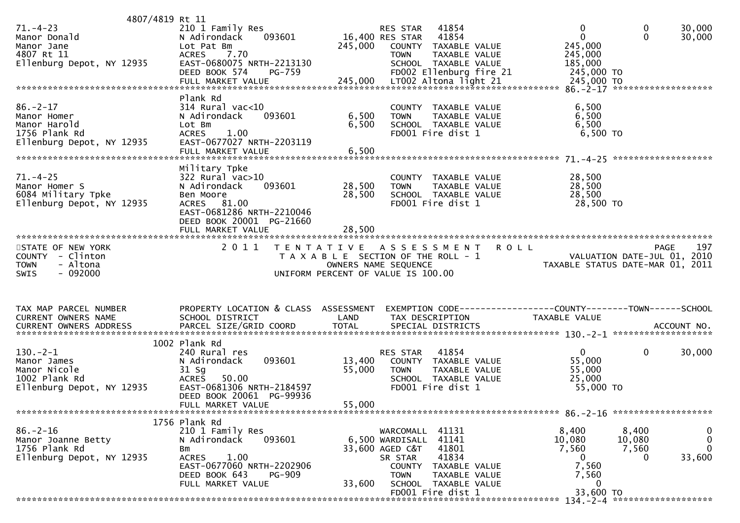| 4807/4819 Rt 11                                                                             |                                                                                                                                              |                         |                                                                                                                        |                                                                                |                                      |                                                        |
|---------------------------------------------------------------------------------------------|----------------------------------------------------------------------------------------------------------------------------------------------|-------------------------|------------------------------------------------------------------------------------------------------------------------|--------------------------------------------------------------------------------|--------------------------------------|--------------------------------------------------------|
| $71. - 4 - 23$<br>Manor Donald<br>Manor Jane<br>4807 Rt 11                                  | 210 1 Family Res<br>093601<br>N Adirondack<br>Lot Pat Bm<br><b>ACRES</b><br>7.70                                                             | 245,000                 | 41854<br>RES STAR<br>16,400 RES STAR<br>41854<br>COUNTY TAXABLE VALUE<br>TAXABLE VALUE<br><b>TOWN</b>                  | $\mathbf 0$<br>$\mathbf{0}$<br>245,000<br>245,000                              | 0<br>$\mathbf{0}$                    | 30,000<br>30,000                                       |
| Ellenburg Depot, NY 12935                                                                   | EAST-0680075 NRTH-2213130<br>DEED BOOK 574<br><b>PG-759</b>                                                                                  |                         | SCHOOL TAXABLE VALUE<br>FD002 Ellenburg fire 21                                                                        | 185,000<br>245,000 TO                                                          |                                      |                                                        |
|                                                                                             |                                                                                                                                              |                         |                                                                                                                        |                                                                                |                                      |                                                        |
| $86. - 2 - 17$<br>Manor Homer<br>Manor Harold<br>1756 Plank Rd<br>Ellenburg Depot, NY 12935 | Plank Rd<br>$314$ Rural vac<10<br>N Adirondack<br>093601<br>Lot Bm<br>1.00<br><b>ACRES</b><br>EAST-0677027 NRTH-2203119<br>FULL MARKET VALUE | 6,500<br>6,500<br>6,500 | COUNTY TAXABLE VALUE<br>TAXABLE VALUE<br><b>TOWN</b><br>SCHOOL TAXABLE VALUE<br>FD001 Fire dist 1                      | 6,500<br>6,500<br>6,500<br>$6,500$ TO                                          |                                      |                                                        |
|                                                                                             | Military Tpke                                                                                                                                |                         |                                                                                                                        |                                                                                |                                      |                                                        |
| $71. - 4 - 25$<br>Manor Homer S<br>6084 Military Tpke<br>Ellenburg Depot, NY 12935          | 322 Rural vac>10<br>093601<br>N Adirondack<br>Ben Moore<br>ACRES 81.00<br>EAST-0681286 NRTH-2210046<br>DEED BOOK 20001 PG-21660              | 28,500<br>28,500        | COUNTY TAXABLE VALUE<br>TAXABLE VALUE<br><b>TOWN</b><br>SCHOOL TAXABLE VALUE<br>FD001 Fire dist 1                      | 28,500<br>28,500<br>28,500<br>28,500 TO                                        |                                      |                                                        |
| *************************                                                                   | FULL MARKET VALUE<br>**********************                                                                                                  | 28,500                  |                                                                                                                        |                                                                                |                                      |                                                        |
| STATE OF NEW YORK                                                                           | 2 0 1 1                                                                                                                                      |                         | TENTATIVE ASSESSMENT ROLL                                                                                              |                                                                                | <b>PAGE</b>                          | 197                                                    |
| COUNTY - Clinton<br><b>TOWN</b><br>- Altona<br>$-092000$<br><b>SWIS</b>                     |                                                                                                                                              |                         | T A X A B L E SECTION OF THE ROLL - 1<br>OWNERS NAME SEQUENCE<br>UNIFORM PERCENT OF VALUE IS 100.00                    | VALUATION DATE-JUL 01, 2010<br>TAXABLE STATUS DATE-MAR 01, 2011                |                                      |                                                        |
|                                                                                             |                                                                                                                                              |                         |                                                                                                                        |                                                                                |                                      |                                                        |
| TAX MAP PARCEL NUMBER<br>CURRENT OWNERS NAME                                                | PROPERTY LOCATION & CLASS ASSESSMENT<br>SCHOOL DISTRICT                                                                                      | LAND                    | TAX DESCRIPTION                                                                                                        | EXEMPTION CODE-----------------COUNTY--------TOWN------SCHOOL<br>TAXABLE VALUE |                                      |                                                        |
|                                                                                             | 1002 Plank Rd                                                                                                                                |                         |                                                                                                                        |                                                                                |                                      |                                                        |
| $130. -2 - 1$<br>Manor James<br>Manor Nicole<br>1002 Plank Rd<br>Ellenburg Depot, NY 12935  | 240 Rural res<br>093601<br>N Adirondack<br>$31$ Sg<br>50.00<br><b>ACRES</b><br>EAST-0681306 NRTH-2184597                                     | 13,400<br>55,000        | 41854<br>RES STAR<br>COUNTY TAXABLE VALUE<br><b>TOWN</b><br>TAXABLE VALUE<br>SCHOOL TAXABLE VALUE<br>FD001 Fire dist 1 | $\mathbf{0}$<br>55,000<br>55,000<br>25,000<br>55,000 TO                        | $\mathbf 0$                          | 30,000                                                 |
|                                                                                             | DEED BOOK 20061 PG-99936<br>FULL MARKET VALUE                                                                                                | 55,000                  |                                                                                                                        |                                                                                |                                      |                                                        |
|                                                                                             |                                                                                                                                              |                         |                                                                                                                        |                                                                                |                                      |                                                        |
| $86. - 2 - 16$<br>Manor Joanne Betty<br>1756 Plank Rd<br>Ellenburg Depot, NY 12935          | 1756 Plank Rd<br>210 1 Family Res<br>093601<br>N Adirondack<br>Bm<br>1.00<br>ACRES<br>EAST-0677060 NRTH-2202906                              |                         | WARCOMALL 41131<br>41141<br>6,500 WARDISALL<br>41801<br>33,600 AGED C&T<br>41834<br>SR STAR<br>COUNTY TAXABLE VALUE    | 8,400<br>10,080<br>7,560<br>$\overline{0}$<br>7,560                            | 8,400<br>10,080<br>7,560<br>$\Omega$ | $\mathbf 0$<br>$\mathbf 0$<br>$\overline{0}$<br>33,600 |
|                                                                                             | DEED BOOK 643<br>PG-909<br>FULL MARKET VALUE                                                                                                 | 33,600                  | <b>TOWN</b><br>TAXABLE VALUE<br>SCHOOL TAXABLE VALUE<br>FD001 Fire dist 1                                              | 7,560<br>0<br>33,600 TO                                                        |                                      |                                                        |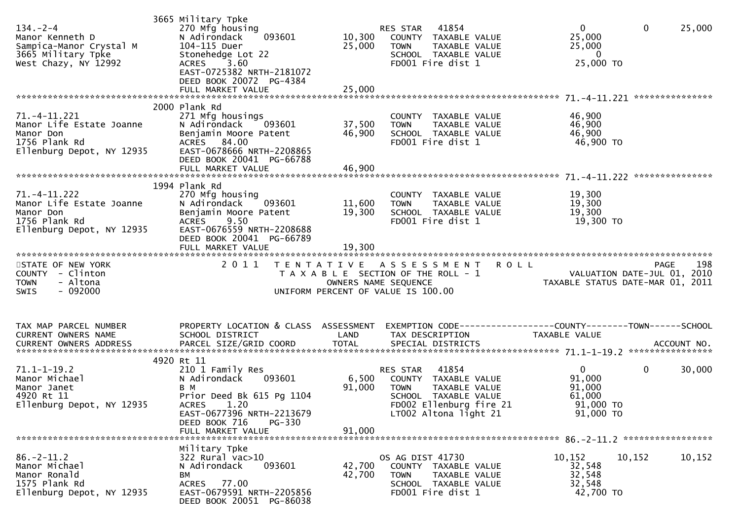| $134. - 2 - 4$<br>Manor Kenneth D<br>Sampica-Manor Crystal M<br>3665 Military Tpke<br>West Chazy, NY 12992 | 3665 Military Tpke<br>270 Mfg housing<br>093601<br>N Adirondack<br>104-115 Duer<br>Stonehedge Lot 22<br>ACRES 3.60<br>EAST-0725382 NRTH-2181072<br>DEED BOOK 20072 PG-4384<br>FULL MARKET VALUE | 10,300<br>25,000<br>25,000 | RES STAR 41854<br>COUNTY TAXABLE VALUE<br>TAXABLE VALUE<br><b>TOWN</b><br>SCHOOL TAXABLE VALUE<br>FD001 Fire dist 1                                   | $\overline{0}$<br>$\mathbf 0$<br>25,000<br>25,000<br>25,000<br>0<br>25,000 TO                                 |
|------------------------------------------------------------------------------------------------------------|-------------------------------------------------------------------------------------------------------------------------------------------------------------------------------------------------|----------------------------|-------------------------------------------------------------------------------------------------------------------------------------------------------|---------------------------------------------------------------------------------------------------------------|
| 71.-4-11.221<br>Manor Life Estate Joanne<br>Manor Don<br>1756 Plank Rd<br>Ellenburg Depot, NY 12935        | 2000 Plank Rd<br>271 Mfg housings<br>N Adirondack<br>093601<br>Benjamin Moore Patent<br>ACRES 84.00<br>EAST-0678666 NRTH-2208865<br>DEED BOOK 20041 PG-66788<br>FULL MARKET VALUE               | 37,500<br>46,900<br>46,900 | COUNTY TAXABLE VALUE<br>TAXABLE VALUE<br><b>TOWN</b><br>SCHOOL TAXABLE VALUE<br>FD001 Fire dist 1                                                     | 46,900<br>46,900<br>46,900<br>46,900 TO                                                                       |
| 71. -4-11.222<br>Manor Life Estate Joanne<br>Manor Don<br>1756 Plank Rd<br>Ellenburg Depot, NY 12935       | 1994 Plank Rd<br>270 Mfg housing<br>093601<br>N Adirondack<br>Benjamin Moore Patent<br>ACRES 9.50<br>EAST-0676559 NRTH-2208688<br>DEED BOOK 20041 PG-66789<br>FULL MARKET VALUE                 | 11,600<br>19,300<br>19,300 | COUNTY TAXABLE VALUE<br><b>TOWN</b><br>TAXABLE VALUE<br>SCHOOL TAXABLE VALUE<br>FD001 Fire dist 1                                                     | 19,300<br>19,300<br>19,300<br>19,300 TO                                                                       |
| STATE OF NEW YORK<br>COUNTY - Clinton<br><b>TOWN</b><br>- Altona<br>$-092000$<br><b>SWIS</b>               | 2 0 1 1                                                                                                                                                                                         |                            | TENTATIVE ASSESSMENT ROLL<br>T A X A B L E SECTION OF THE ROLL - 1<br>OWNERS NAME SEQUENCE<br>UNIFORM PERCENT OF VALUE IS 100.00                      | 198<br>PAGE<br>VALUATION DATE-JUL 01, 2010<br>TAXABLE STATUS DATE-MAR 01, 2011<br>VALUATION DATE-JUL 01, 2010 |
|                                                                                                            |                                                                                                                                                                                                 |                            |                                                                                                                                                       |                                                                                                               |
| TAX MAP PARCEL NUMBER<br>CURRENT OWNERS NAME                                                               | PROPERTY LOCATION & CLASS ASSESSMENT<br>SCHOOL DISTRICT                                                                                                                                         | LAND                       | TAX DESCRIPTION                                                                                                                                       | EXEMPTION CODE------------------COUNTY--------TOWN------SCHOOL<br>TAXABLE VALUE                               |
| $71.1 - 1 - 19.2$<br>Manor Michael<br>Manor Janet<br>4920 Rt 11<br>Ellenburg Depot, NY 12935               | 4920 Rt 11<br>210 1 Family Res<br>093601<br>N Adirondack<br>B M<br>Prior Deed Bk 615 Pg 1104<br>ACRES 1.20<br>EAST-0677396 NRTH-2213679<br>DEED BOOK 716<br><b>PG-330</b><br>FULL MARKET VALUE  | 6,500<br>91,000<br>91,000  | 41854<br>RES STAR<br>COUNTY TAXABLE VALUE<br><b>TOWN</b><br>TAXABLE VALUE<br>SCHOOL TAXABLE VALUE<br>FD002 Ellenburg fire 21<br>LT002 Altona light 21 | 0<br>$\mathbf{0}$<br>30,000<br>91,000<br>91,000<br>61,000<br>91,000 TO<br>91,000 TO                           |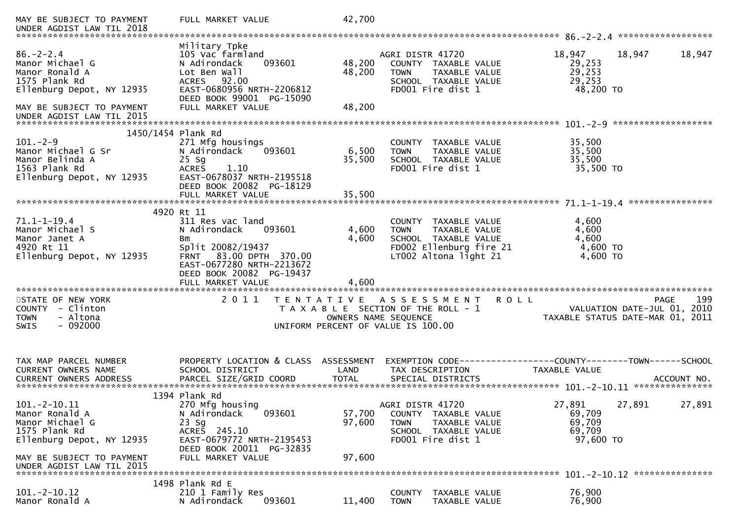| MAY BE SUBJECT TO PAYMENT<br>UNDER AGDIST LAW TIL 2018                                             | FULL MARKET VALUE                                                                                                                                   | 42,700               |                                                                                                                       |                                                                       |
|----------------------------------------------------------------------------------------------------|-----------------------------------------------------------------------------------------------------------------------------------------------------|----------------------|-----------------------------------------------------------------------------------------------------------------------|-----------------------------------------------------------------------|
| $86. - 2 - 2.4$<br>Manor Michael G<br>Manor Ronald A<br>1575 Plank Rd<br>Ellenburg Depot, NY 12935 | Military Tpke<br>105 Vac farmland<br>093601<br>N Adirondack<br>Lot Ben Wall<br>ACRES 92.00<br>EAST-0680956 NRTH-2206812<br>DEED BOOK 99001 PG-15090 | 48,200<br>48,200     | AGRI DISTR 41720<br>COUNTY TAXABLE VALUE<br>TAXABLE VALUE<br><b>TOWN</b><br>SCHOOL TAXABLE VALUE<br>FD001 Fire dist 1 | 18,947<br>18,947<br>18,947<br>29,253<br>29,253<br>29,253<br>48,200 TO |
| MAY BE SUBJECT TO PAYMENT<br>UNDER AGDIST LAW TIL 2015                                             | FULL MARKET VALUE                                                                                                                                   | 48,200               |                                                                                                                       |                                                                       |
|                                                                                                    |                                                                                                                                                     |                      |                                                                                                                       |                                                                       |
| 1450/1454 Plank Rd<br>$101. - 2 - 9$                                                               |                                                                                                                                                     |                      |                                                                                                                       | 35,500                                                                |
| Manor Michael G Sr                                                                                 | 271 Mfg housings<br>N Adirondack<br>093601                                                                                                          | 6,500                | COUNTY TAXABLE VALUE<br>TAXABLE VALUE<br><b>TOWN</b>                                                                  | 35,500                                                                |
| Manor Belinda A                                                                                    | $25$ Sg                                                                                                                                             | 35,500               | SCHOOL TAXABLE VALUE                                                                                                  | 35,500                                                                |
| 1563 Plank Rd                                                                                      | <b>ACRES</b><br>1.10                                                                                                                                |                      | FD001 Fire dist 1                                                                                                     | 35,500 TO                                                             |
| Ellenburg Depot, NY 12935                                                                          | EAST-0678037 NRTH-2195518                                                                                                                           |                      |                                                                                                                       |                                                                       |
|                                                                                                    | DEED BOOK 20082 PG-18129                                                                                                                            |                      |                                                                                                                       |                                                                       |
|                                                                                                    | FULL MARKET VALUE                                                                                                                                   | 35,500               |                                                                                                                       |                                                                       |
|                                                                                                    |                                                                                                                                                     |                      |                                                                                                                       |                                                                       |
|                                                                                                    | 4920 Rt 11                                                                                                                                          |                      |                                                                                                                       |                                                                       |
| $71.1 - 1 - 19.4$                                                                                  | 311 Res vac land                                                                                                                                    |                      | COUNTY TAXABLE VALUE                                                                                                  | 4,600                                                                 |
| Manor Michael S                                                                                    | N Adirondack<br>093601                                                                                                                              | 4,600                | TAXABLE VALUE<br><b>TOWN</b>                                                                                          | 4,600                                                                 |
| Manor Janet A<br>4920 Rt 11                                                                        | Вm<br>Split 20082/19437                                                                                                                             | 4,600                | SCHOOL TAXABLE VALUE                                                                                                  | 4,600<br>4,600 TO                                                     |
| Ellenburg Depot, NY 12935                                                                          | FRNT 83.00 DPTH 370.00                                                                                                                              |                      | FD002 Ellenburg fire 21<br>LT002 Altona light 21                                                                      | 4,600 TO                                                              |
|                                                                                                    | EAST-0677280 NRTH-2213672                                                                                                                           |                      |                                                                                                                       |                                                                       |
|                                                                                                    | DEED BOOK 20082 PG-19437                                                                                                                            |                      |                                                                                                                       |                                                                       |
|                                                                                                    |                                                                                                                                                     | 4,600                |                                                                                                                       |                                                                       |
|                                                                                                    |                                                                                                                                                     |                      |                                                                                                                       |                                                                       |
| STATE OF NEW YORK                                                                                  | 2011                                                                                                                                                |                      | TENTATIVE ASSESSMENT<br>R O L L                                                                                       | 199<br>PAGE                                                           |
| COUNTY<br>- Clinton                                                                                |                                                                                                                                                     |                      | T A X A B L E SECTION OF THE ROLL - 1                                                                                 | VALUATION DATE-JUL 01, 2010                                           |
| - Altona<br><b>TOWN</b>                                                                            |                                                                                                                                                     | OWNERS NAME SEQUENCE |                                                                                                                       | TAXABLE STATUS DATE-MAR 01, 2011                                      |
| $-092000$<br><b>SWIS</b>                                                                           |                                                                                                                                                     |                      | UNIFORM PERCENT OF VALUE IS 100.00                                                                                    |                                                                       |
|                                                                                                    |                                                                                                                                                     |                      |                                                                                                                       |                                                                       |
|                                                                                                    |                                                                                                                                                     |                      |                                                                                                                       |                                                                       |
| TAX MAP PARCEL NUMBER                                                                              | PROPERTY LOCATION & CLASS ASSESSMENT                                                                                                                |                      |                                                                                                                       |                                                                       |
| CURRENT OWNERS NAME                                                                                | SCHOOL DISTRICT                                                                                                                                     | LAND                 | TAX DESCRIPTION                                                                                                       | <b>TAXABLE VALUE</b>                                                  |
|                                                                                                    |                                                                                                                                                     |                      |                                                                                                                       |                                                                       |
|                                                                                                    |                                                                                                                                                     |                      |                                                                                                                       |                                                                       |
|                                                                                                    | 1394 Plank Rd                                                                                                                                       |                      |                                                                                                                       |                                                                       |
| $101.-2-10.11$                                                                                     | 270 Mfg housing                                                                                                                                     |                      | AGRI DISTR 41720                                                                                                      | 27,891<br>27,891<br>27,891                                            |
| Manor Ronald A                                                                                     | N Adirondack<br>093601                                                                                                                              | 57,700               | COUNTY TAXABLE VALUE                                                                                                  | 69,709                                                                |
| Manor Michael G                                                                                    | $23$ Sg                                                                                                                                             | 97,600               | TAXABLE VALUE<br><b>TOWN</b>                                                                                          | 69,709                                                                |
| 1575 Plank Rd                                                                                      | ACRES 245.10                                                                                                                                        |                      | SCHOOL TAXABLE VALUE                                                                                                  | 69,709                                                                |
| Ellenburg Depot, NY 12935                                                                          | EAST-0679772 NRTH-2195453                                                                                                                           |                      | FD001 Fire dist 1                                                                                                     | 97,600 TO                                                             |
|                                                                                                    |                                                                                                                                                     |                      |                                                                                                                       |                                                                       |
| MAY BE SUBJECT TO PAYMENT                                                                          | DEED BOOK 20011 PG-32835                                                                                                                            |                      |                                                                                                                       |                                                                       |
|                                                                                                    | FULL MARKET VALUE                                                                                                                                   | 97,600               |                                                                                                                       |                                                                       |
| UNDER AGDIST LAW TIL 2015                                                                          |                                                                                                                                                     |                      |                                                                                                                       |                                                                       |
|                                                                                                    |                                                                                                                                                     |                      |                                                                                                                       |                                                                       |
| $101.-2-10.12$                                                                                     | 1498 Plank Rd E                                                                                                                                     |                      | COUNTY                                                                                                                |                                                                       |
| Manor Ronald A                                                                                     | 210 1 Family Res<br>N Adirondack<br>093601                                                                                                          | 11,400               | TAXABLE VALUE<br><b>TOWN</b><br>TAXABLE VALUE                                                                         | 76,900<br>76,900                                                      |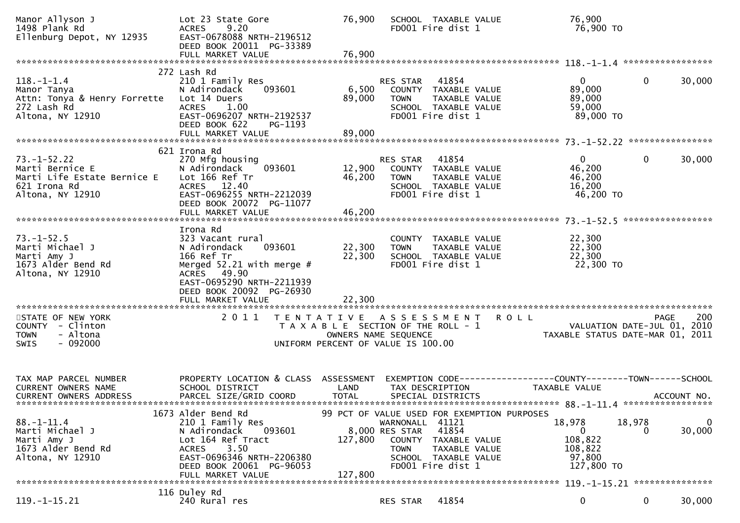| Manor Allyson J<br>1498 Plank Rd<br>Ellenburg Depot, NY 12935<br>1498 Plank Rd                                              | Lot 23 State Gore<br><b>ACRES</b><br>9.20<br>EAST-0678088 NRTH-2196512<br>DEED BOOK 20011 PG-33389                                                                                          | 76,900<br>76,900          | SCHOOL TAXABLE VALUE<br>FD001 Fire dist 1                                                                                                                                                      | 76,900<br>76,900 то                                                    |                                       |
|-----------------------------------------------------------------------------------------------------------------------------|---------------------------------------------------------------------------------------------------------------------------------------------------------------------------------------------|---------------------------|------------------------------------------------------------------------------------------------------------------------------------------------------------------------------------------------|------------------------------------------------------------------------|---------------------------------------|
|                                                                                                                             | FULL MARKET VALUE                                                                                                                                                                           |                           |                                                                                                                                                                                                |                                                                        |                                       |
| $118.-1-1.4$<br>Manor Tanya<br>Attn: Tonya & Henry Forrette  Lot 14 Duers<br>272 Lash Rd<br>272 Lash Rd<br>Altona, NY 12910 | 272 Lash Rd<br>210 1 Family Res<br>N Adirondack<br>093601<br><b>ACRES</b><br>1.00<br>EAST-0696207 NRTH-2192537<br>DEED BOOK 622<br>PG-1193<br>FULL MARKET VALUE                             | 6,500<br>89,000<br>89,000 | RES STAR<br>41854<br>COUNTY TAXABLE VALUE<br><b>TOWN</b><br>TAXABLE VALUE<br>SCHOOL TAXABLE VALUE<br>FD001 Fire dist 1                                                                         | 0<br>89,000<br>89,000<br>59,000<br>89,000 TO                           | $\mathbf{0}$<br>30,000                |
|                                                                                                                             | 621 Irona Rd                                                                                                                                                                                |                           |                                                                                                                                                                                                |                                                                        |                                       |
| $73. - 1 - 52.22$<br>Marti Bernice E<br>Marti Life Estate Bernice E<br>621 Irona Rd<br>Altona, NY 12910                     | 270 Mfg housing<br>093601<br>N Adirondack<br>Lot 166 Ref Tr<br>ACRES 12.40<br>EAST-0696255 NRTH-2212039<br>DEED BOOK 20072 PG-11077                                                         |                           | RES STAR 41854<br>12,900 COUNTY TAXABLE VALUE<br>46,200 TOWN TAXABLE VALUE<br>SCHOOL TAXABLE VALUE<br>FD001 Fire dist 1                                                                        | 0<br>46,200<br>46,200<br>16,200<br>46,200 TO                           | 30,000<br>$\mathbf{0}$                |
|                                                                                                                             | FULL MARKET VALUE                                                                                                                                                                           | 46,200                    |                                                                                                                                                                                                |                                                                        |                                       |
| $73. - 1 - 52.5$<br>Marti Michael J<br>Marti Amy J<br>1673 Alder Bend Rd<br>Altona, NY 12910                                | Irona Rd<br>323 Vacant rural<br>093601<br>N Adirondack<br>166 Ref Tr<br>Merged $52.21$ with merge #<br>ACRES 49.90<br>EAST-0695290 NRTH-2211939<br>DEED BOOK 20092 PG-26930                 | 22,300<br>22,300          | COUNTY TAXABLE VALUE<br><b>TOWN</b><br>TAXABLE VALUE<br>SCHOOL TAXABLE VALUE<br>FD001 Fire dist 1                                                                                              | 22,300<br>22,300<br>22,300<br>22,300 TO                                |                                       |
|                                                                                                                             |                                                                                                                                                                                             |                           |                                                                                                                                                                                                |                                                                        |                                       |
| STATE OF NEW YORK<br>COUNTY - Clinton<br><b>TOWN</b><br>- Altona<br>$-092000$<br><b>SWIS</b>                                | 2011                                                                                                                                                                                        |                           | TENTATIVE ASSESSMENT ROLL<br>T A X A B L E SECTION OF THE ROLL - 1<br>OWNERS NAME SEQUENCE<br>OWNERS NAME SEQUENCE<br>UNIFORM PERCENT OF VALUE IS 100.00                                       |                                                                        | 200<br>PAGE                           |
| TAX MAP PARCEL NUMBER<br>CURRENT OWNERS NAME<br>CURRENT OWNERS ADDRESS                                                      | PROPERTY LOCATION & CLASS ASSESSMENT EXEMPTION CODE----------------COUNTY-------TOWN------SCHOOL<br>SCHOOL DISTRICT<br>PARCEL SIZE/GRID COORD                                               | LAND<br><b>TOTAL</b>      | TAX DESCRIPTION<br>SPECIAL DISTRICTS                                                                                                                                                           | TAXABLE VALUE                                                          | ACCOUNT NO.                           |
| $88. - 1 - 11.4$<br>Marti Michael J<br>Marti Amy J<br>1673 Alder Bend Rd<br>Altona, NY 12910                                | 1673 Alder Bend Rd<br>210 1 Family Res<br>093601<br>N Adirondack<br>Lot 164 Ref Tract<br><b>ACRES</b><br>3.50<br>EAST-0696346 NRTH-2206380<br>DEED BOOK 20061 PG-96053<br>FULL MARKET VALUE | 127,800<br>127,800        | 99 PCT OF VALUE USED FOR EXEMPTION PURPOSES<br>WARNONALL 41121<br>41854<br>8,000 RES STAR<br>COUNTY TAXABLE VALUE<br><b>TOWN</b><br>TAXABLE VALUE<br>SCHOOL TAXABLE VALUE<br>FD001 Fire dist 1 | 18,978<br>$\overline{0}$<br>108,822<br>108,822<br>97,800<br>127,800 TO | 18,978<br>$\mathbf{0}$<br>30,000<br>0 |
|                                                                                                                             | 116 Duley Rd                                                                                                                                                                                |                           |                                                                                                                                                                                                |                                                                        |                                       |
| 119. –1–15.21                                                                                                               | 240 Rural res                                                                                                                                                                               |                           | 41854<br>RES STAR                                                                                                                                                                              | 0                                                                      | 0<br>30,000                           |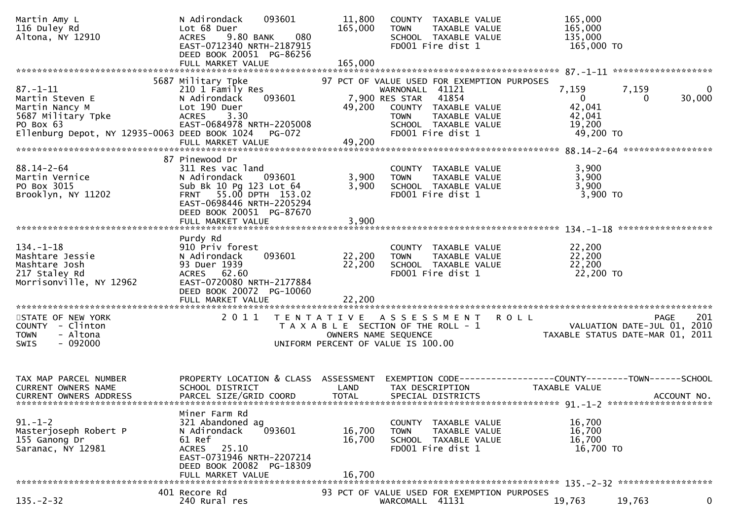| Martin Amy L<br>116 Duley Rd<br>Altona, NY 12910                                                                                        | 093601<br>N Adirondack<br>Lot 68 Duer<br>9.80 BANK<br>080<br><b>ACRES</b><br>EAST-0712340 NRTH-2187915<br>DEED BOOK 20051 PG-86256                                         | 11,800<br>165,000                                                                                   | <b>TOWN</b>                                      | COUNTY TAXABLE VALUE<br>TAXABLE VALUE<br>SCHOOL TAXABLE VALUE<br>FD001 Fire dist 1                                                         | 165,000<br>165,000<br>135,000<br>165,000 TO                                                                  |
|-----------------------------------------------------------------------------------------------------------------------------------------|----------------------------------------------------------------------------------------------------------------------------------------------------------------------------|-----------------------------------------------------------------------------------------------------|--------------------------------------------------|--------------------------------------------------------------------------------------------------------------------------------------------|--------------------------------------------------------------------------------------------------------------|
|                                                                                                                                         |                                                                                                                                                                            |                                                                                                     |                                                  |                                                                                                                                            |                                                                                                              |
| $87. - 1 - 11$<br>Martin Steven E<br>Martin Nancy M<br>5687 Military Tpke<br>PO Box 63<br>Ellenburg Depot, NY 12935-0063 DEED BOOK 1024 | 5687 Military Tpke<br>210 1 Family Res<br>093601<br>N Adirondack<br>Lot 190 Duer<br><b>ACRES</b><br>3.30<br>EAST-0684978 NRTH-2205008<br><b>PG-072</b>                     | 49,200                                                                                              | WARNONALL 41121<br>7,900 RES STAR<br><b>TOWN</b> | 97 PCT OF VALUE USED FOR EXEMPTION PURPOSES<br>41854<br>COUNTY TAXABLE VALUE<br>TAXABLE VALUE<br>SCHOOL TAXABLE VALUE<br>FD001 Fire dist 1 | 7,159<br>7,159<br>0<br>30,000<br>$\overline{0}$<br>$\overline{0}$<br>42,041<br>42,041<br>19,200<br>49,200 TO |
|                                                                                                                                         | FULL MARKET VALUE                                                                                                                                                          | 49,200                                                                                              |                                                  |                                                                                                                                            |                                                                                                              |
| $88.14 - 2 - 64$<br>Martin Vernice<br>PO Box 3015<br>Brooklyn, NY 11202                                                                 | 87 Pinewood Dr<br>311 Res vac land<br>N Adirondack<br>093601<br>Sub Bk 10 Pg 123 Lot 64<br>FRNT 55.00 DPTH 153.02<br>EAST-0698446 NRTH-2205294<br>DEED BOOK 20051 PG-87670 | 3,900<br>3,900                                                                                      | <b>TOWN</b>                                      | COUNTY TAXABLE VALUE<br>TAXABLE VALUE<br>SCHOOL TAXABLE VALUE<br>FD001 Fire dist 1                                                         | 3,900<br>3,900<br>3,900<br>3,900 TO                                                                          |
|                                                                                                                                         |                                                                                                                                                                            |                                                                                                     |                                                  |                                                                                                                                            |                                                                                                              |
| $134. - 1 - 18$<br>Mashtare Jessie<br>Mashtare Josh<br>217 Staley Rd<br>Morrisonville, NY 12962                                         | Purdy Rd<br>910 Priv forest<br>093601<br>N Adirondack<br>93 Duer 1939<br>ACRES 62.60<br>EAST-0720080 NRTH-2177884<br>DEED BOOK 20072 PG-10060                              | 22,200<br>22,200                                                                                    | <b>TOWN</b>                                      | COUNTY TAXABLE VALUE<br>TAXABLE VALUE<br>SCHOOL TAXABLE VALUE<br>FD001 Fire dist 1                                                         | 22,200<br>22,200<br>22,200<br>22,200 TO                                                                      |
|                                                                                                                                         | FULL MARKET VALUE                                                                                                                                                          | 22,200                                                                                              |                                                  |                                                                                                                                            |                                                                                                              |
| STATE OF NEW YORK<br>COUNTY - Clinton<br>- Altona<br><b>TOWN</b><br>$-092000$<br><b>SWIS</b>                                            | 2011                                                                                                                                                                       | T A X A B L E SECTION OF THE ROLL - 1<br>OWNERS NAME SEQUENCE<br>UNIFORM PERCENT OF VALUE IS 100.00 |                                                  | TENTATIVE ASSESSMENT ROLL                                                                                                                  | 201<br>PAGE<br>VALUATION DATE-JUL 01, 2010<br>TAXABLE STATUS DATE-MAR 01, 2011                               |
| TAX MAP PARCEL NUMBER<br>CURRENT OWNERS NAME<br><b>CURRENT OWNERS ADDRESS</b>                                                           | PROPERTY LOCATION & CLASS ASSESSMENT<br>SCHOOL DISTRICT<br>PARCEL SIZE/GRID COORD                                                                                          | LAND<br><b>TOTAL</b>                                                                                | TAX DESCRIPTION                                  | SPECIAL DISTRICTS                                                                                                                          | EXEMPTION CODE-----------------COUNTY-------TOWN------SCHOOL<br><b>TAXABLE VALUE</b><br>ACCOUNT NO.          |
| $91. - 1 - 2$<br>Masterjoseph Robert P<br>155 Ganong Dr<br>Saranac, NY 12981                                                            | Miner Farm Rd<br>321 Abandoned ag<br>093601<br>N Adirondack<br>61 Ref<br>25.10<br>ACRES<br>EAST-0731946 NRTH-2207214<br>DEED BOOK 20082 PG-18309<br>FULL MARKET VALUE      | 16,700<br>16,700<br>16,700                                                                          | <b>TOWN</b>                                      | COUNTY TAXABLE VALUE<br>TAXABLE VALUE<br>SCHOOL TAXABLE VALUE<br>FD001 Fire dist 1                                                         | 16,700<br>16,700<br>16,700<br>16,700 TO                                                                      |
|                                                                                                                                         | 401 Recore Rd                                                                                                                                                              |                                                                                                     |                                                  | 93 PCT OF VALUE USED FOR EXEMPTION PURPOSES                                                                                                |                                                                                                              |
| $135. - 2 - 32$                                                                                                                         | 240 Rural res                                                                                                                                                              |                                                                                                     | WARCOMALL 41131                                  |                                                                                                                                            | 19,763<br>0<br>19,763                                                                                        |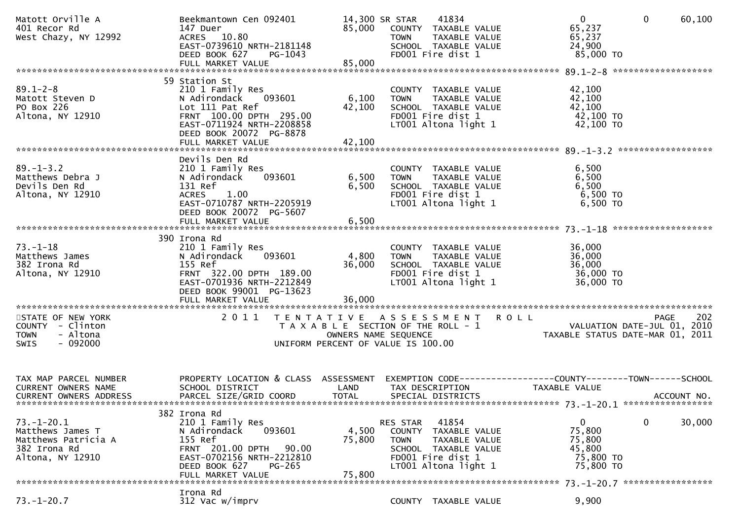| Matott Orville A<br>401 Recor Rd<br>West Chazy, NY 12992                                        | Beekmantown Cen 092401<br>147 Duer<br>ACRES 10.80<br>EAST-0739610 NRTH-2181148<br>DEED BOOK 627<br>PG-1043                                                                        | 85,000                                                                      | 14,300 SR STAR<br><b>TOWN</b><br>FD001 Fire dist 1     | 41834<br>COUNTY TAXABLE VALUE<br>TAXABLE VALUE<br>SCHOOL TAXABLE VALUE                  | $\mathbf{0}$<br>65,237<br>65,237<br>24,900<br>85,000 TO         | $\mathbf 0$ | 60, 100     |
|-------------------------------------------------------------------------------------------------|-----------------------------------------------------------------------------------------------------------------------------------------------------------------------------------|-----------------------------------------------------------------------------|--------------------------------------------------------|-----------------------------------------------------------------------------------------|-----------------------------------------------------------------|-------------|-------------|
|                                                                                                 |                                                                                                                                                                                   |                                                                             |                                                        |                                                                                         |                                                                 |             |             |
| $89.1 - 2 - 8$<br>Matott Steven D<br>PO Box 226<br>Altona, NY 12910                             | 59 Station St<br>210 1 Family Res<br>N Adirondack<br>093601<br>Lot 111 Pat Ref<br>FRNT 100.00 DPTH 295.00<br>EAST-0711924 NRTH-2208858<br>DEED BOOK 20072 PG-8878                 | 6,100<br>42,100                                                             | <b>TOWN</b><br>FD001 Fire dist 1                       | COUNTY TAXABLE VALUE<br>TAXABLE VALUE<br>SCHOOL TAXABLE VALUE<br>LT001 Altona light 1   | 42,100<br>42,100<br>42,100<br>42,100 TO<br>42,100 TO            |             |             |
|                                                                                                 |                                                                                                                                                                                   |                                                                             |                                                        |                                                                                         |                                                                 |             |             |
| $89. - 1 - 3.2$<br>Matthews Debra J<br>Devils Den Rd<br>Altona, NY 12910                        | Devils Den Rd<br>210 1 Family Res<br>N Adirondack<br>093601<br>131 Ref<br>ACRES 1.00<br>EAST-0710787 NRTH-2205919<br>DEED BOOK 20072 PG-5607                                      | 6,500<br>6,500                                                              | <b>TOWN</b><br>FD001 Fire dist 1                       | COUNTY TAXABLE VALUE<br>TAXABLE VALUE<br>SCHOOL TAXABLE VALUE<br>LT001 Altona light 1   | 6,500<br>6,500<br>6,500<br>6,500 TO<br>6,500 TO                 |             |             |
|                                                                                                 |                                                                                                                                                                                   |                                                                             |                                                        |                                                                                         |                                                                 |             |             |
| $73. - 1 - 18$<br>Matthews James<br>382 Irona Rd<br>Altona, NY 12910                            | 390 Irona Rd<br>210 1 Family Res<br>093601<br>N Adirondack<br>155 Ref<br>FRNT 322.00 DPTH 189.00<br>EAST-0701936 NRTH-2212849<br>DEED BOOK 99001 PG-13623<br>FULL MARKET VALUE    | 4,800<br>36,000<br>36,000                                                   | <b>TOWN</b><br>FD001 Fire dist 1                       | COUNTY TAXABLE VALUE<br>TAXABLE VALUE<br>SCHOOL TAXABLE VALUE<br>LT001 Altona light 1   | 36,000<br>36,000<br>36,000<br>36,000 TO<br>36,000 TO            |             |             |
|                                                                                                 |                                                                                                                                                                                   |                                                                             |                                                        |                                                                                         |                                                                 |             |             |
| STATE OF NEW YORK<br>COUNTY - Clinton<br>- Altona<br><b>TOWN</b><br>$-092000$<br><b>SWIS</b>    | 2011                                                                                                                                                                              | T A X A B L E SECTION OF THE ROLL - 1<br>UNIFORM PERCENT OF VALUE IS 100.00 | OWNERS NAME SEQUENCE                                   | TENTATIVE ASSESSMENT ROLL                                                               | VALUATION DATE-JUL 01, 2010<br>TAXABLE STATUS DATE-MAR 01, 2011 | PAGE        | 202         |
| TAX MAP PARCEL NUMBER<br>CURRENT OWNERS NAME<br><b>CURRENT OWNERS ADDRESS</b>                   | PROPERTY LOCATION & CLASS ASSESSMENT EXEMPTION CODE----------------COUNTY-------TOWN------SCHOOL<br>SCHOOL DISTRICT<br>PARCEL SIZE/GRID COORD                                     | LAND<br><b>TOTAL</b>                                                        | TAX DESCRIPTION<br>SPECIAL DISTRICTS                   |                                                                                         | TAXABLE VALUE                                                   |             | ACCOUNT NO. |
| $73. - 1 - 20.1$<br>Matthews James T<br>Matthews Patricia A<br>382 Irona Rd<br>Altona, NY 12910 | 382 Irona Rd<br>210 1 Family Res<br>N Adirondack<br>093601<br>155 Ref<br>FRNT 201.00 DPTH<br>90.00<br>EAST-0702156 NRTH-2212810<br>DEED BOOK 627<br>$PG-265$<br>FULL MARKET VALUE | 4,500<br>75,800<br>75,800                                                   | RES STAR<br>COUNTY<br><b>TOWN</b><br>FD001 Fire dist 1 | 41854<br>TAXABLE VALUE<br>TAXABLE VALUE<br>SCHOOL TAXABLE VALUE<br>LT001 Altona light 1 | 0<br>75,800<br>75,800<br>45,800<br>75,800 TO<br>75,800 TO       | 0           | 30,000      |
|                                                                                                 | Irona Rd                                                                                                                                                                          |                                                                             |                                                        |                                                                                         |                                                                 |             |             |
| $73. - 1 - 20.7$                                                                                | 312 Vac w/imprv                                                                                                                                                                   |                                                                             |                                                        | COUNTY TAXABLE VALUE                                                                    | 9,900                                                           |             |             |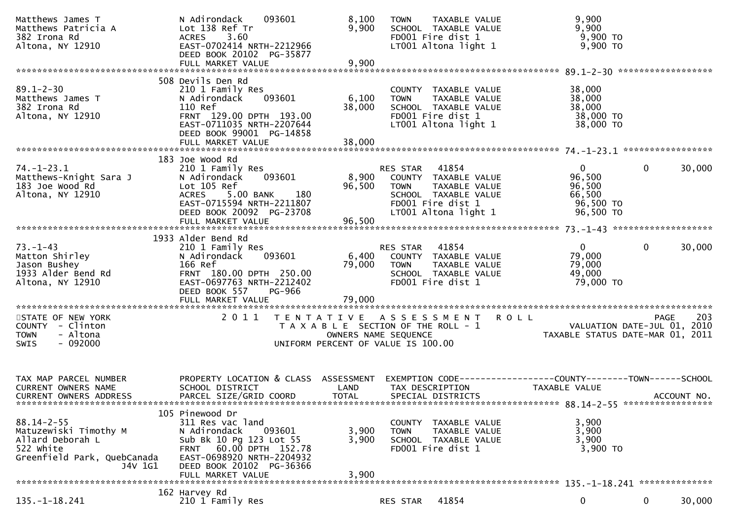| Matthews James T<br>Matthews Patricia A<br>382 Irona Rd<br>Altona, NY 12910                                          | N Adirondack<br>093601<br>Lot 138 Ref Tr<br>3.60<br><b>ACRES</b><br>EAST-0702414 NRTH-2212966<br>DEED BOOK 20102 PG-35877<br>FULL MARKET VALUE                                                   | 8,100<br>9,900<br>9,900                                                                             | <b>TOWN</b>             | TAXABLE VALUE<br>SCHOOL TAXABLE VALUE<br>FD001 Fire dist 1<br>LT001 Altona light 1                                  | 9,900<br>9,900<br>9,900 TO<br>$9,900$ TO                                      |              |             |
|----------------------------------------------------------------------------------------------------------------------|--------------------------------------------------------------------------------------------------------------------------------------------------------------------------------------------------|-----------------------------------------------------------------------------------------------------|-------------------------|---------------------------------------------------------------------------------------------------------------------|-------------------------------------------------------------------------------|--------------|-------------|
|                                                                                                                      |                                                                                                                                                                                                  |                                                                                                     |                         |                                                                                                                     |                                                                               |              |             |
| $89.1 - 2 - 30$<br>Matthews James T<br>382 Irona Rd<br>Altona, NY 12910                                              | 508 Devils Den Rd<br>210 1 Family Res<br>093601<br>N Adirondack<br>110 Ref<br>FRNT 129.00 DPTH 193.00<br>EAST-0711035 NRTH-2207644<br>DEED BOOK 99001 PG-14858                                   | 6,100<br>38,000                                                                                     | <b>TOWN</b>             | COUNTY TAXABLE VALUE<br>TAXABLE VALUE<br>SCHOOL TAXABLE VALUE<br>FD001 Fire dist 1<br>LT001 Altona light 1          | 38,000<br>38,000<br>38,000<br>38,000 TO<br>38,000 TO                          |              |             |
|                                                                                                                      | FULL MARKET VALUE                                                                                                                                                                                | 38,000                                                                                              |                         |                                                                                                                     |                                                                               |              |             |
| $74. - 1 - 23.1$<br>Matthews-Knight Sara J<br>183 Joe Wood Rd<br>Altona, NY 12910                                    | 183 Joe Wood Rd<br>210 1 Family Res<br>093601<br>N Adirondack<br>Lot 105 Ref<br>5.00 BANK<br>180<br><b>ACRES</b><br>EAST-0715594 NRTH-2211807<br>DEED BOOK 20092 PG-23708                        | 8,900<br>96,500                                                                                     | RES STAR<br><b>TOWN</b> | 41854<br>COUNTY TAXABLE VALUE<br>TAXABLE VALUE<br>SCHOOL TAXABLE VALUE<br>FD001 Fire dist 1<br>LT001 Altona light 1 | $\overline{0}$<br>96,500<br>96,500<br>66,500<br>96,500 TO<br>96,500 TO        | $\mathbf{0}$ | 30,000      |
|                                                                                                                      |                                                                                                                                                                                                  |                                                                                                     |                         |                                                                                                                     |                                                                               |              |             |
| $73. - 1 - 43$<br>Matton Shirley<br>Jason Bushey<br>1933 Alder Bend Rd<br>Altona, NY 12910                           | 1933 Alder Bend Rd<br>210 1 Family Res<br>093601<br>N Adirondack<br>166 Ref<br>FRNT 180.00 DPTH 250.00<br>EAST-0697763 NRTH-2212402<br>DEED BOOK 557<br>PG-966                                   | 6,400<br>79,000                                                                                     | RES STAR<br><b>TOWN</b> | 41854<br>COUNTY TAXABLE VALUE<br>TAXABLE VALUE<br>SCHOOL TAXABLE VALUE<br>FD001 Fire dist 1                         | $\overline{0}$<br>79,000<br>79,000<br>49,000<br>79,000 TO                     | $\Omega$     | 30,000      |
|                                                                                                                      | FULL MARKET VALUE                                                                                                                                                                                | 79,000                                                                                              |                         |                                                                                                                     |                                                                               |              |             |
|                                                                                                                      |                                                                                                                                                                                                  |                                                                                                     |                         |                                                                                                                     |                                                                               |              |             |
| STATE OF NEW YORK<br>COUNTY - Clinton<br>- Altona<br><b>TOWN</b><br>$-092000$<br><b>SWIS</b>                         | 2011                                                                                                                                                                                             | T A X A B L E SECTION OF THE ROLL - 1<br>OWNERS NAME SEQUENCE<br>UNIFORM PERCENT OF VALUE IS 100.00 |                         | TENTATIVE ASSESSMENT ROLL                                                                                           | VALUATION DATE-JUL 01, 2010<br>TAXABLE STATUS DATE-MAR 01, 2011               | PAGE         | 203         |
| TAX MAP PARCEL NUMBER<br>CURRENT OWNERS NAME<br><b>CURRENT OWNERS ADDRESS</b>                                        | PROPERTY LOCATION & CLASS ASSESSMENT<br>SCHOOL DISTRICT<br>PARCEL SIZE/GRID COORD                                                                                                                | LAND<br><b>TOTAL</b>                                                                                |                         | TAX DESCRIPTION<br>SPECIAL DISTRICTS                                                                                | EXEMPTION CODE-----------------COUNTY-------TOWN------SCHOOL<br>TAXABLE VALUE |              | ACCOUNT NO. |
| $88.14 - 2 - 55$<br>Matuzewiski Timothy M<br>Allard Deborah L<br>522 white<br>Greenfield Park, QuebCanada<br>J4V 1G1 | 105 Pinewood Dr<br>311 Res vac land<br>N Adirondack<br>093601<br>Sub Bk 10 Pg 123 Lot 55<br>FRNT 60.00 DPTH 152.78<br>EAST-0698920 NRTH-2204932<br>DEED BOOK 20102 PG-36366<br>FULL MARKET VALUE | 3,900<br>3,900<br>3,900                                                                             | <b>TOWN</b>             | COUNTY TAXABLE VALUE<br>TAXABLE VALUE<br>SCHOOL TAXABLE VALUE<br>FD001 Fire dist 1                                  | 3,900<br>3,900<br>3,900<br>3,900 TO                                           |              |             |
|                                                                                                                      | 162 Harvey Rd                                                                                                                                                                                    |                                                                                                     |                         |                                                                                                                     |                                                                               |              |             |
| $135. - 1 - 18.241$                                                                                                  | 210 1 Family Res                                                                                                                                                                                 |                                                                                                     | RES STAR                | 41854                                                                                                               | 0                                                                             | 0            | 30,000      |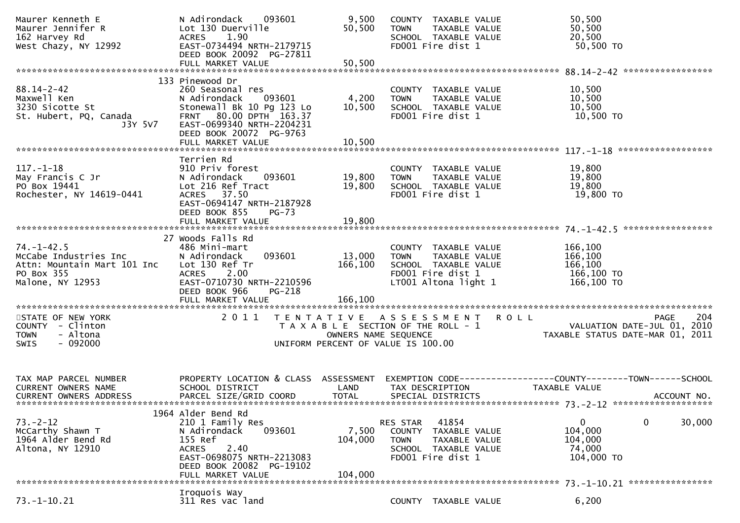| Maurer Kenneth E<br>Maurer Jennifer R<br>162 Harvey Rd<br>West Chazy, NY 12992                             | N Adirondack<br>093601<br>Lot 130 Duerville<br>1.90<br>ACRES<br>EAST-0734494 NRTH-2179715<br>DEED BOOK 20092 PG-27811                                                                  | 9,500<br>50,500             | COUNTY TAXABLE VALUE<br><b>TOWN</b><br>TAXABLE VALUE<br>SCHOOL TAXABLE VALUE<br>FD001 Fire dist 1                         |             | 50,500<br>50,500<br>20,500<br>50,500 TO                                                      |        |
|------------------------------------------------------------------------------------------------------------|----------------------------------------------------------------------------------------------------------------------------------------------------------------------------------------|-----------------------------|---------------------------------------------------------------------------------------------------------------------------|-------------|----------------------------------------------------------------------------------------------|--------|
|                                                                                                            |                                                                                                                                                                                        |                             |                                                                                                                           |             |                                                                                              |        |
| $88.14 - 2 - 42$<br>Maxwell Ken<br>3230 Sicotte St<br>St. Hubert, PQ, Canada<br>J3Y 5V7                    | 133 Pinewood Dr<br>260 Seasonal res<br>093601<br>N Adirondack<br>Stonewall Bk 10 Pg 123 Lo<br>80.00 DPTH 163.37<br><b>FRNT</b><br>EAST-0699340 NRTH-2204231<br>DEED BOOK 20072 PG-9763 | 4,200<br>10,500             | COUNTY TAXABLE VALUE<br><b>TOWN</b><br>TAXABLE VALUE<br>SCHOOL TAXABLE VALUE<br>FD001 Fire dist 1                         |             | 10,500<br>10,500<br>10,500<br>10,500 TO                                                      |        |
|                                                                                                            |                                                                                                                                                                                        |                             |                                                                                                                           |             |                                                                                              |        |
| $117. - 1 - 18$<br>May Francis C Jr<br>PO Box 19441<br>Rochester, NY 14619-0441                            | Terrien Rd<br>910 Priv forest<br>N Adirondack<br>093601<br>Lot 216 Ref Tract<br>ACRES 37.50<br>EAST-0694147 NRTH-2187928<br>DEED BOOK 855<br>$PG-73$                                   | 19,800<br>19,800            | COUNTY TAXABLE VALUE<br>TAXABLE VALUE<br><b>TOWN</b><br>SCHOOL TAXABLE VALUE<br>FD001 Fire dist 1                         |             | 19,800<br>19,800<br>19,800<br>19,800 TO                                                      |        |
|                                                                                                            |                                                                                                                                                                                        |                             |                                                                                                                           |             |                                                                                              |        |
| $74. - 1 - 42.5$<br>McCabe Industries Inc<br>Attn: Mountain Mart 101 Inc<br>PO Box 355<br>Malone, NY 12953 | 27 Woods Falls Rd<br>486 Mini-mart<br>093601<br>N Adirondack<br>Lot 130 Ref Tr<br>2.00<br><b>ACRES</b><br>EAST-0710730 NRTH-2210596<br>DEED BOOK 966<br>PG-218                         | 13,000<br>166,100           | COUNTY TAXABLE VALUE<br>TAXABLE VALUE<br><b>TOWN</b><br>SCHOOL TAXABLE VALUE<br>FD001 Fire dist 1<br>LT001 Altona light 1 |             | 166,100<br>166,100<br>166,100<br>166,100 то<br>166,100 TO                                    |        |
|                                                                                                            | FULL MARKET VALUE                                                                                                                                                                      | 166,100                     |                                                                                                                           |             |                                                                                              |        |
| STATE OF NEW YORK<br>COUNTY - Clinton<br>- Altona<br><b>TOWN</b><br>$-092000$<br><b>SWIS</b>               | 2011<br>T E N T A T I V E                                                                                                                                                              | OWNERS NAME SEQUENCE        | A S S E S S M E N T<br>T A X A B L E SECTION OF THE ROLL - 1<br>UNIFORM PERCENT OF VALUE IS 100.00                        | <b>ROLL</b> | <b>PAGE</b><br>VALUATION DATE-JUL 01, 2010<br>TAXABLE STATUS DATE-MAR 01, 2011               | 204    |
| TAX MAP PARCEL NUMBER<br><b>CURRENT OWNERS NAME</b><br><b>CURRENT OWNERS ADDRESS</b>                       | PROPERTY LOCATION & CLASS ASSESSMENT<br>SCHOOL DISTRICT<br>PARCEL SIZE/GRID COORD                                                                                                      | LAND<br><b>TOTAL</b>        | TAX DESCRIPTION<br>SPECIAL DISTRICTS                                                                                      |             | EXEMPTION CODE-----------------COUNTY-------TOWN------SCHOOL<br>TAXABLE VALUE<br>ACCOUNT NO. |        |
| $73. - 2 - 12$<br>McCarthy Shawn T<br>1964 Alder Bend Rd<br>Altona, NY 12910                               | 1964 Alder Bend Rd<br>210 1 Family Res<br>N Adirondack<br>093601<br>155 Ref<br>2.40<br><b>ACRES</b><br>EAST-0698075 NRTH-2213083<br>DEED BOOK 20082 PG-19102<br>FULL MARKET VALUE      | 7,500<br>104,000<br>104,000 | 41854<br>RES STAR<br>COUNTY<br>TAXABLE VALUE<br><b>TOWN</b><br>TAXABLE VALUE<br>SCHOOL TAXABLE VALUE<br>FD001 Fire dist 1 |             | 0<br>0<br>104,000<br>104,000<br>74,000<br>104,000 TO                                         | 30,000 |
|                                                                                                            | Iroquois Way                                                                                                                                                                           |                             |                                                                                                                           |             |                                                                                              |        |
| $73. - 1 - 10.21$                                                                                          | 311 Res vac land                                                                                                                                                                       |                             | COUNTY TAXABLE VALUE                                                                                                      |             | 6,200                                                                                        |        |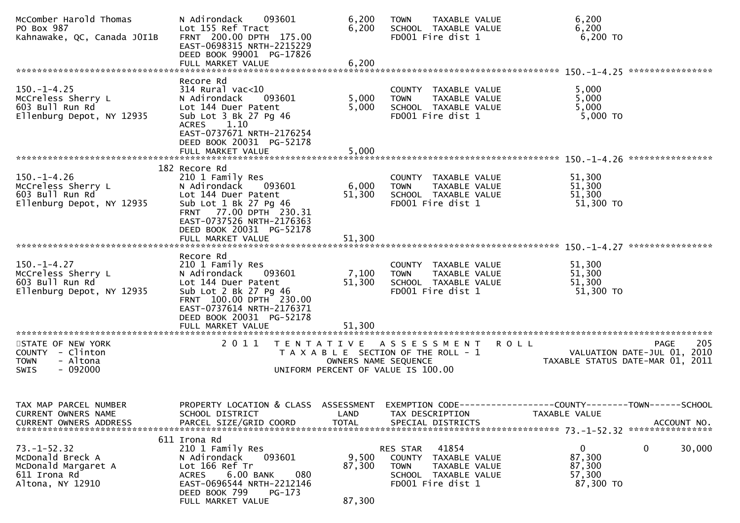| McComber Harold Thomas<br>PO Box 987<br>Kahnawake, QC, Canada JOI1B                              | N Adirondack<br>093601<br>Lot 155 Ref Tract<br>FRNT 200.00 DPTH 175.00<br>EAST-0698315 NRTH-2215229<br>DEED BOOK 99001 PG-17826                                                                                 | 6,200<br>6,200            | TAXABLE VALUE<br><b>TOWN</b><br>SCHOOL TAXABLE VALUE<br>FD001 Fire dist 1                                                        | 6,200<br>6,200<br>6,200 TO                                                                           |
|--------------------------------------------------------------------------------------------------|-----------------------------------------------------------------------------------------------------------------------------------------------------------------------------------------------------------------|---------------------------|----------------------------------------------------------------------------------------------------------------------------------|------------------------------------------------------------------------------------------------------|
|                                                                                                  |                                                                                                                                                                                                                 |                           |                                                                                                                                  |                                                                                                      |
| $150. - 1 - 4.25$<br>McCreless Sherry L<br>603 Bull Run Rd<br>Ellenburg Depot, NY 12935          | Recore Rd<br>$314$ Rural vac<10<br>N Adirondack<br>093601<br>Lot 144 Duer Patent<br>Sub Lot 3 Bk 27 Pg 46<br>1.10<br><b>ACRES</b><br>EAST-0737671 NRTH-2176254<br>DEED BOOK 20031 PG-52178<br>FULL MARKET VALUE | 5,000<br>5,000<br>5,000   | COUNTY TAXABLE VALUE<br>TAXABLE VALUE<br><b>TOWN</b><br>SCHOOL TAXABLE VALUE<br>FD001 Fire dist 1                                | 5,000<br>5,000<br>5,000<br>5,000 TO                                                                  |
|                                                                                                  | 182 Recore Rd                                                                                                                                                                                                   |                           |                                                                                                                                  |                                                                                                      |
| $150.-1-4.26$<br>McCreless Sherry L<br>603 Bull Run Rd<br>Ellenburg Depot, NY 12935              | 210 1 Family Res<br>N Adirondack<br>093601<br>Lot 144 Duer Patent<br>Sub Lot 1 Bk 27 Pg 46<br>FRNT 77.00 DPTH 230.31<br>EAST-0737526 NRTH-2176363<br>DEED BOOK 20031 PG-52178                                   | 6,000<br>51,300           | COUNTY TAXABLE VALUE<br>TAXABLE VALUE<br><b>TOWN</b><br>SCHOOL TAXABLE VALUE<br>FD001 Fire dist 1                                | 51,300<br>51,300<br>51,300<br>51,300 TO                                                              |
|                                                                                                  | FULL MARKET VALUE                                                                                                                                                                                               | 51,300                    |                                                                                                                                  |                                                                                                      |
| $150. - 1 - 4.27$<br>McCreless Sherry L<br>603 Bull Run Rd<br>Ellenburg Depot, NY 12935          | Recore Rd<br>210 1 Family Res<br>N Adirondack 093601<br>Lot 144 Duer Patent<br>Sub Lot 2 Bk 27 Pg 46<br>FRNT 100.00 DPTH 230.00<br>EAST-0737614 NRTH-2176371<br>DEED BOOK 20031 PG-52178                        | 7,100<br>51,300           | COUNTY TAXABLE VALUE<br>TAXABLE VALUE<br><b>TOWN</b><br>SCHOOL TAXABLE VALUE<br>FD001 Fire dist 1                                | 51,300<br>51,300<br>51,300<br>51,300 TO                                                              |
| STATE OF NEW YORK<br>COUNTY - Clinton<br>- Altona<br><b>TOWN</b><br><b>SWIS</b><br>- 092000      | 2011                                                                                                                                                                                                            | OWNERS NAME SEQUENCE      | TENTATIVE ASSESSMENT<br>T A X A B L E SECTION OF THE ROLL - 1<br>UNIFORM PERCENT OF VALUE IS 100.00                              | 205<br><b>ROLL</b><br><b>PAGE</b><br>VALUATION DATE-JUL 01, 2010<br>TAXABLE STATUS DATE-MAR 01, 2011 |
| TAX MAP PARCEL NUMBER<br>CURRENT OWNERS NAME<br><b>CURRENT OWNERS ADDRESS</b>                    | PROPERTY LOCATION & CLASS ASSESSMENT<br>SCHOOL DISTRICT<br>PARCEL SIZE/GRID COORD                                                                                                                               | LAND<br><b>TOTAL</b>      | TAX DESCRIPTION<br>SPECIAL DISTRICTS                                                                                             | EXEMPTION CODE-----------------COUNTY-------TOWN------SCHOOL<br>TAXABLE VALUE<br>ACCOUNT NO.         |
| $73. - 1 - 52.32$<br>McDonald Breck A<br>McDonald Margaret A<br>611 Irona Rd<br>Altona, NY 12910 | 611 Irona Rd<br>210 1 Family Res<br>N Adirondack<br>093601<br>Lot 166 Ref Tr<br>6.00 BANK<br>080<br><b>ACRES</b><br>EAST-0696544 NRTH-2212146<br>DEED BOOK 799<br>$PG-173$<br>FULL MARKET VALUE                 | 9,500<br>87,300<br>87,300 | 41854<br>RES STAR<br><b>COUNTY</b><br>TAXABLE VALUE<br><b>TOWN</b><br>TAXABLE VALUE<br>SCHOOL TAXABLE VALUE<br>FD001 Fire dist 1 | 0<br>0<br>30,000<br>87,300<br>87,300<br>57,300<br>87,300 TO                                          |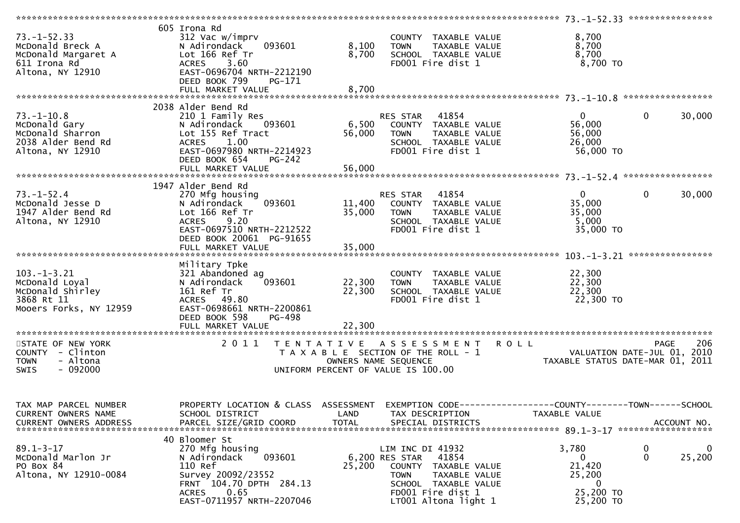|                                                                                                  |                                                                                                                                                                             |                      |                                                                                                                                                                             | ************************** 73.-1-52.33 ******************                     |                                   |
|--------------------------------------------------------------------------------------------------|-----------------------------------------------------------------------------------------------------------------------------------------------------------------------------|----------------------|-----------------------------------------------------------------------------------------------------------------------------------------------------------------------------|-------------------------------------------------------------------------------|-----------------------------------|
| $73. - 1 - 52.33$<br>McDonald Breck A<br>McDonald Margaret A<br>611 Irona Rd<br>Altona, NY 12910 | 605 Irona Rd<br>312 Vac w/imprv<br>093601<br>N Adirondack<br>Lot 166 Ref Tr<br>ACRES 3.60<br>EAST-0696704 NRTH-2212190<br>DEED BOOK 799<br>PG-171                           | 8,100<br>8,700       | COUNTY TAXABLE VALUE<br>TAXABLE VALUE<br><b>TOWN</b><br>SCHOOL TAXABLE VALUE<br>FD001 Fire dist 1                                                                           | 8,700<br>8,700<br>8,700<br>8,700 TO                                           |                                   |
|                                                                                                  | FULL MARKET VALUE                                                                                                                                                           | 8,700                |                                                                                                                                                                             |                                                                               |                                   |
|                                                                                                  |                                                                                                                                                                             |                      |                                                                                                                                                                             |                                                                               |                                   |
|                                                                                                  | 2038 Alder Bend Rd                                                                                                                                                          |                      |                                                                                                                                                                             |                                                                               |                                   |
| $73. - 1 - 10.8$<br>McDonald Gary<br>McDonald Sharron<br>2038 Alder Bend Rd<br>Altona, NY 12910  | 210 1 Family Res<br>093601<br>N Adirondack<br>Lot 155 Ref Tract<br>1.00<br><b>ACRES</b><br>EAST-0697980 NRTH-2214923<br>DEED BOOK 654<br><b>PG-242</b>                      | 6,500<br>56,000      | RES STAR 41854<br>COUNTY TAXABLE VALUE<br><b>TOWN</b><br>TAXABLE VALUE<br>SCHOOL TAXABLE VALUE<br>FD001 Fire dist 1                                                         | $\overline{0}$<br>56,000<br>56,000<br>26,000<br>56,000 TO                     | $\mathbf 0$<br>30,000             |
|                                                                                                  |                                                                                                                                                                             |                      |                                                                                                                                                                             |                                                                               |                                   |
| $73. - 1 - 52.4$<br>McDonald Jesse D<br>1947 Alder Bend Rd<br>Altona, NY 12910                   | 1947 Alder Bend Rd<br>270 Mfg housing<br>093601<br>N Adirondack<br>Lot 166 Ref Tr<br>ACRES 9.20<br>EAST-0697510 NRTH-2212522<br>DEED BOOK 20061 PG-91655                    | 11,400<br>35,000     | RES STAR 41854<br>COUNTY TAXABLE VALUE<br><b>TOWN</b><br>TAXABLE VALUE<br>SCHOOL TAXABLE VALUE<br>FD001 Fire dist 1                                                         | $\overline{0}$<br>35,000<br>35,000<br>5,000<br>35,000 TO                      | $\mathbf 0$<br>30,000             |
|                                                                                                  |                                                                                                                                                                             |                      |                                                                                                                                                                             |                                                                               |                                   |
| $103. -1 - 3.21$<br>McDonald Loyal<br>McDonald Shirley<br>3868 Rt 11<br>Mooers Forks, NY 12959   | Military Tpke<br>321 Abandoned ag<br>093601<br>N Adirondack<br>161 Ref Tr<br>ACRES 49.80<br>EAST-0698661 NRTH-2200861<br>DEED BOOK 598<br>PG-498                            | 22,300<br>22,300     | COUNTY TAXABLE VALUE<br>TAXABLE VALUE<br><b>TOWN</b><br>SCHOOL TAXABLE VALUE<br>FD001 Fire dist 1                                                                           | 22,300<br>22,300<br>22,300<br>22,300 TO                                       |                                   |
|                                                                                                  |                                                                                                                                                                             |                      |                                                                                                                                                                             |                                                                               |                                   |
| STATE OF NEW YORK<br>COUNTY - Clinton<br>- Altona<br><b>TOWN</b><br>$-092000$<br>SWIS            | 2011                                                                                                                                                                        |                      | TENTATIVE ASSESSMENT<br>T A X A B L E SECTION OF THE ROLL - 1<br>OWNERS NAME SEQUENCE<br>UNIFORM PERCENT OF VALUE IS 100.00                                                 | R O L L<br>VALUATION DATE-JUL 01, 2010<br>TAXABLE STATUS DATE-MAR 01, 2011    | 206<br><b>PAGE</b>                |
| TAX MAP PARCEL NUMBER<br>CURRENT OWNERS NAME<br><b>CURRENT OWNERS ADDRESS</b>                    | PROPERTY LOCATION & CLASS ASSESSMENT<br>SCHOOL DISTRICT<br>PARCEL SIZE/GRID COORD                                                                                           | LAND<br><b>TOTAL</b> | TAX DESCRIPTION<br>SPECIAL DISTRICTS                                                                                                                                        | EXEMPTION CODE-----------------COUNTY-------TOWN------SCHOOL<br>TAXABLE VALUE | ACCOUNT NO.<br>****************** |
| $89.1 - 3 - 17$<br>McDonald Marlon Jr<br>PO Box 84<br>Altona, NY 12910-0084                      | 40 Bloomer St<br>270 Mfg housing<br>093601<br>N Adirondack<br>110 Ref<br>Survey 20092/23552<br>FRNT 104.70 DPTH 284.13<br>0.65<br><b>ACRES</b><br>EAST-0711957 NRTH-2207046 | 25,200               | LIM INC DI 41932<br>41854<br>6,200 RES STAR<br>COUNTY<br>TAXABLE VALUE<br><b>TOWN</b><br>TAXABLE VALUE<br>SCHOOL TAXABLE VALUE<br>FD001 Fire dist 1<br>LT001 Altona light 1 | 3,780<br>0<br>21,420<br>25,200<br>0<br>25,200 TO<br>25,200 TO                 | 0<br>0<br>0<br>25,200             |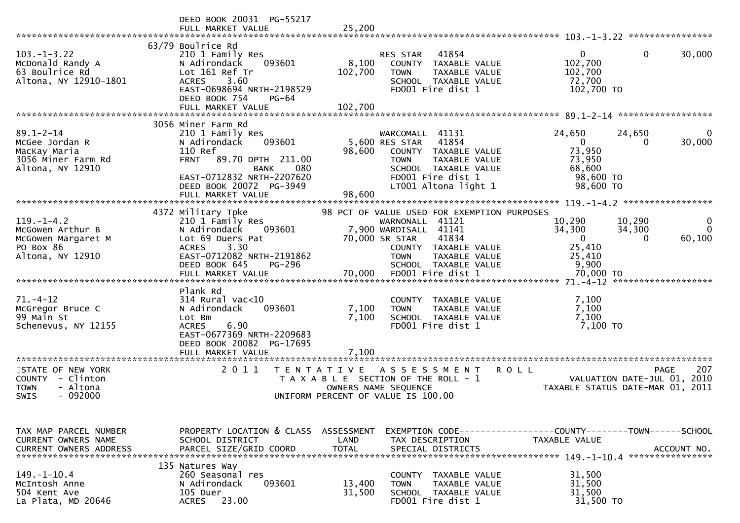|                                                                                             | DEED BOOK 20031 PG-55217<br>FULL MARKET VALUE                                                                                                                                                                      | 25,200                                                                                                                                                                                      |                                                                                                              |
|---------------------------------------------------------------------------------------------|--------------------------------------------------------------------------------------------------------------------------------------------------------------------------------------------------------------------|---------------------------------------------------------------------------------------------------------------------------------------------------------------------------------------------|--------------------------------------------------------------------------------------------------------------|
| $103 - 1 - 3.22$<br>McDonald Randy A<br>63 Boulrice Rd<br>Altona, NY 12910-1801             | 63/79 Boulrice Rd<br>210 1 Family Res<br>N Adirondack<br>093601<br>Lot 161 Ref Tr<br>3.60<br><b>ACRES</b><br>EAST-0698694 NRTH-2198529<br>DEED BOOK 754<br>PG-64<br>FULL MARKET VALUE                              | 41854<br><b>RES STAR</b><br>8,100<br>COUNTY TAXABLE VALUE<br>102,700<br>TAXABLE VALUE<br><b>TOWN</b><br>SCHOOL TAXABLE VALUE<br>FD001 Fire dist 1<br>102,700                                | $\Omega$<br>$\mathbf{0}$<br>30,000<br>102,700<br>102,700<br>72,700<br>102,700 TO                             |
|                                                                                             |                                                                                                                                                                                                                    |                                                                                                                                                                                             |                                                                                                              |
| $89.1 - 2 - 14$<br>McGee Jordan R<br>MacKay Maria<br>3056 Miner Farm Rd<br>Altona, NY 12910 | 3056 Miner Farm Rd<br>210 1 Family Res<br>N Adirondack<br>093601<br>110 Ref<br><b>FRNT</b><br>89.70 DPTH 211.00<br><b>BANK</b><br>080<br>EAST-0712832 NRTH-2207620<br>DEED BOOK 20072 PG-3949<br>FULL MARKET VALUE | WARCOMALL 41131<br>41854<br>5,600 RES STAR<br>98,600<br>COUNTY TAXABLE VALUE<br>TAXABLE VALUE<br><b>TOWN</b><br>SCHOOL TAXABLE VALUE<br>FD001 Fire dist 1<br>LT001 Altona light 1<br>98,600 | 24,650<br>24,650<br>30,000<br>$\overline{0}$<br>0<br>73,950<br>73,950<br>68,600<br>98,600 TO<br>98,600 TO    |
|                                                                                             | 4372 Military Tpke                                                                                                                                                                                                 | 98 PCT OF VALUE USED FOR EXEMPTION PURPOSES                                                                                                                                                 |                                                                                                              |
| $119. - 1 - 4.2$<br>McGowen Arthur B<br>McGowen Margaret M<br>PO Box 86<br>Altona, NY 12910 | 210 1 Family Res<br>N Adirondack<br>093601<br>Lot 69 Duers Pat<br>3.30<br><b>ACRES</b><br>EAST-0712082 NRTH-2191862<br>DEED BOOK 645<br>PG-296                                                                     | WARNONALL 41121<br>7,900 WARDISALL 41141<br>70,000 SR STAR<br>41834<br>COUNTY TAXABLE VALUE<br><b>TOWN</b><br>TAXABLE VALUE<br>SCHOOL TAXABLE VALUE                                         | 10,290<br>10,290<br>34,300<br>34,300<br>$\Omega$<br>$\mathbf{0}$<br>60,100<br>0<br>25,410<br>25,410<br>9,900 |
|                                                                                             | Plank Rd                                                                                                                                                                                                           |                                                                                                                                                                                             |                                                                                                              |
| $71. - 4 - 12$<br>McGregor Bruce C<br>99 Main St<br>Schenevus, NY 12155                     | 314 Rural vac<10<br>093601<br>N Adirondack<br>Lot Bm<br>6.90<br><b>ACRES</b><br>EAST-0677369 NRTH-2209683<br>DEED BOOK 20082 PG-17695                                                                              | COUNTY TAXABLE VALUE<br>7,100<br>TAXABLE VALUE<br><b>TOWN</b><br>7,100<br>SCHOOL TAXABLE VALUE<br>FD001 Fire dist 1                                                                         | 7,100<br>7,100<br>7,100<br>7,100 TO                                                                          |
|                                                                                             | FULL MARKET VALUE                                                                                                                                                                                                  | 7,100                                                                                                                                                                                       |                                                                                                              |
| STATE OF NEW YORK<br>COUNTY - Clinton<br>- Altona<br><b>TOWN</b><br>$-092000$<br>SWIS       | 2011<br>T E N T A T I V E                                                                                                                                                                                          | <b>ROLL</b><br>A S S E S S M E N T<br>T A X A B L E SECTION OF THE ROLL - 1<br>OWNERS NAME SEQUENCE<br>UNIFORM PERCENT OF VALUE IS 100.00                                                   | 207<br><b>PAGE</b><br>VALUATION DATE-JUL 01,<br>2010<br>TAXABLE STATUS DATE-MAR 01, 2011                     |
| TAX MAP PARCEL NUMBER<br>CURRENT OWNERS NAME<br><b>CURRENT OWNERS ADDRESS</b>               | PROPERTY LOCATION & CLASS ASSESSMENT<br>SCHOOL DISTRICT<br>PARCEL SIZE/GRID COORD                                                                                                                                  | LAND<br>TAX DESCRIPTION<br><b>TOTAL</b><br>SPECIAL DISTRICTS                                                                                                                                | EXEMPTION CODE-----------------COUNTY-------TOWN------SCHOOL<br>TAXABLE VALUE<br>ACCOUNT NO.                 |
| $149. - 1 - 10.4$<br>McIntosh Anne<br>504 Kent Ave<br>La Plata, MD 20646                    | 135 Natures Way<br>260 Seasonal res<br>N Adirondack<br>093601<br>105 Duer<br><b>ACRES</b><br>23.00                                                                                                                 | COUNTY TAXABLE VALUE<br>13,400<br><b>TAXABLE VALUE</b><br>TOWN<br>31,500<br>SCHOOL TAXABLE VALUE<br>FD001 Fire dist 1                                                                       | 31,500<br>31,500<br>31,500<br>31,500 TO                                                                      |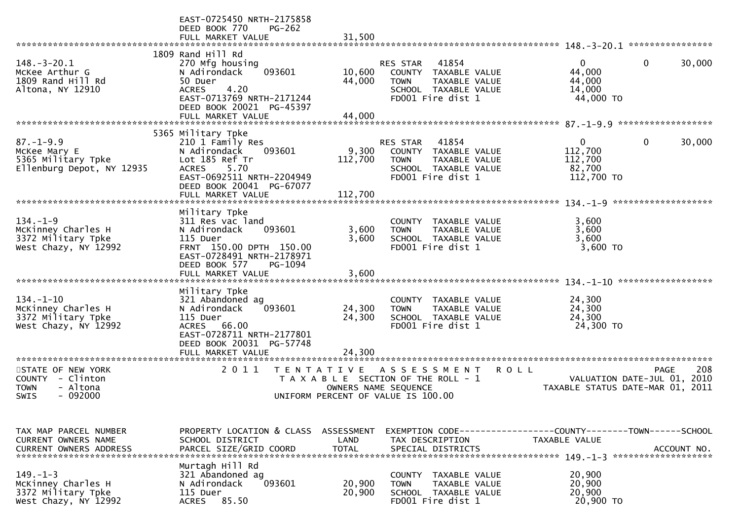|                                                                                                                 | EAST-0725450 NRTH-2175858<br>DEED BOOK 770<br><b>PG-262</b><br>FULL MARKET VALUE                                                                                                             | 31,500                      |                                                                                                                                  |                                                                                          |             |
|-----------------------------------------------------------------------------------------------------------------|----------------------------------------------------------------------------------------------------------------------------------------------------------------------------------------------|-----------------------------|----------------------------------------------------------------------------------------------------------------------------------|------------------------------------------------------------------------------------------|-------------|
|                                                                                                                 |                                                                                                                                                                                              |                             |                                                                                                                                  |                                                                                          |             |
| $148.-3-20.1$<br>McKee Arthur G<br>1809 Rand Hill Rd<br>Altona, NY 12910                                        | 1809 Rand Hill Rd<br>270 Mfg housing<br>093601<br>N Adirondack<br>50 Duer<br>4.20<br><b>ACRES</b><br>EAST-0713769 NRTH-2171244<br>DEED BOOK 20021 PG-45397<br>FULL MARKET VALUE              | 10,600<br>44,000<br>44,000  | 41854<br><b>RES STAR</b><br>TAXABLE VALUE<br>COUNTY<br><b>TOWN</b><br>TAXABLE VALUE<br>SCHOOL TAXABLE VALUE<br>FD001 Fire dist 1 | $\overline{0}$<br>0<br>44,000<br>44,000<br>14,000<br>44,000 TO                           | 30,000      |
|                                                                                                                 |                                                                                                                                                                                              |                             |                                                                                                                                  |                                                                                          |             |
|                                                                                                                 | 5365 Military Tpke                                                                                                                                                                           |                             |                                                                                                                                  |                                                                                          |             |
| $87. - 1 - 9.9$<br>McKee Mary E<br>5365 Military Tpke<br>Ellenburg Depot, NY 12935<br>************************* | 210 1 Family Res<br>093601<br>N Adirondack<br>Lot 185 Ref Tr<br><b>ACRES</b><br>5.70<br>EAST-0692511 NRTH-2204949<br>DEED BOOK 20041 PG-67077<br>FULL MARKET VALUE                           | 9,300<br>112,700<br>112,700 | RES STAR<br>41854<br>TAXABLE VALUE<br>COUNTY<br><b>TOWN</b><br>TAXABLE VALUE<br>SCHOOL TAXABLE VALUE<br>FD001 Fire dist 1        | $\overline{0}$<br>0<br>112,700<br>112,700<br>82,700<br>112,700 TO<br>******************* | 30,000      |
|                                                                                                                 | Military Tpke                                                                                                                                                                                |                             |                                                                                                                                  | $134 - 1 - 9$                                                                            |             |
| $134. - 1 - 9$<br>McKinney Charles H<br>3372 Military Tpke<br>West Chazy, NY 12992                              | 311 Res vac land<br>093601<br>N Adirondack<br>115 Duer<br>FRNT 150.00 DPTH 150.00<br>EAST-0728491 NRTH-2178971<br>DEED BOOK 577<br>PG-1094                                                   | 3,600<br>3,600              | COUNTY<br>TAXABLE VALUE<br><b>TOWN</b><br>TAXABLE VALUE<br>SCHOOL TAXABLE VALUE<br>FD001 Fire dist 1                             | 3,600<br>3,600<br>3,600<br>3,600 TO                                                      |             |
|                                                                                                                 | FULL MARKET VALUE                                                                                                                                                                            | 3,600                       |                                                                                                                                  |                                                                                          |             |
| $134. - 1 - 10$<br>McKinney Charles H<br>3372 Military Tpke<br>West Chazy, NY 12992                             | Military Tpke<br>321 Abandoned ag<br>093601<br>N Adirondack<br>115 Duer<br>66.00<br>ACRES<br>EAST-0728711 NRTH-2177801<br>DEED BOOK 20031 PG-57748<br>FULL MARKET VALUE<br>***************** | 24,300<br>24,300<br>24,300  | COUNTY<br>TAXABLE VALUE<br><b>TOWN</b><br>TAXABLE VALUE<br>SCHOOL TAXABLE VALUE<br>FD001 Fire dist 1                             | 24,300<br>24,300<br>24,300<br>24,300 TO                                                  |             |
| STATE OF NEW YORK<br>COUNTY - Clinton<br>- Altona<br><b>TOWN</b><br>$-092000$<br>SWIS                           | 2 0 1 1<br>T E N T A T I V E                                                                                                                                                                 | OWNERS NAME SEQUENCE        | A S S E S S M E N T<br><b>ROLL</b><br>T A X A B L E SECTION OF THE ROLL - 1<br>UNIFORM PERCENT OF VALUE IS 100.00                | <b>PAGE</b><br>VALUATION DATE-JUL 01, 2010<br>TAXABLE STATUS DATE-MAR 01,                | 208<br>2011 |
|                                                                                                                 |                                                                                                                                                                                              |                             |                                                                                                                                  |                                                                                          |             |
| TAX MAP PARCEL NUMBER<br>CURRENT OWNERS NAME                                                                    | PROPERTY LOCATION & CLASS<br>SCHOOL DISTRICT                                                                                                                                                 | <b>ASSESSMENT</b><br>LAND   | EXEMPTION CODE-----------------COUNTY-------TOWN------SCHOOL<br>TAX DESCRIPTION                                                  | <b>TAXABLE VALUE</b>                                                                     |             |
| $149. - 1 - 3$<br>McKinney Charles H<br>3372 Military Tpke<br>West Chazy, NY 12992                              | Murtagh Hill Rd<br>321 Abandoned ag<br>N Adirondack<br>093601<br>115 Duer<br>85.50<br><b>ACRES</b>                                                                                           | 20,900<br>20,900            | COUNTY TAXABLE VALUE<br><b>TOWN</b><br>TAXABLE VALUE<br>SCHOOL TAXABLE VALUE<br>FD001 Fire dist 1                                | 20,900<br>20,900<br>20,900<br>20,900 TO                                                  |             |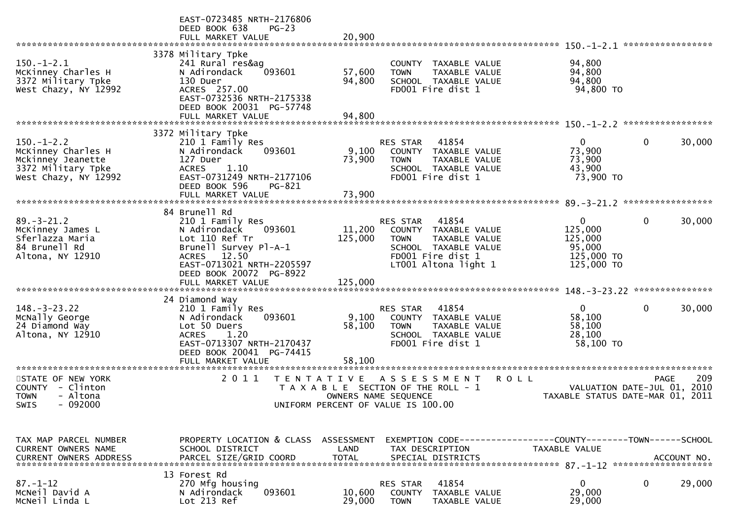|                                                                                                       | EAST-0723485 NRTH-2176806<br>DEED BOOK 638<br>$PG-23$<br>FULL MARKET VALUE                                                                                                    | 20,900                     |                                                                                                                                                       |                                                                           |                            |
|-------------------------------------------------------------------------------------------------------|-------------------------------------------------------------------------------------------------------------------------------------------------------------------------------|----------------------------|-------------------------------------------------------------------------------------------------------------------------------------------------------|---------------------------------------------------------------------------|----------------------------|
|                                                                                                       |                                                                                                                                                                               |                            |                                                                                                                                                       |                                                                           | *****************          |
| $150.-1-2.1$<br>McKinney Charles H<br>3372 Military Tpke<br>West Chazy, NY 12992                      | 3378 Military Tpke<br>241 Rural res&ag<br>093601<br>N Adirondack<br>130 Duer<br>ACRES 257.00<br>EAST-0732536 NRTH-2175338<br>DEED BOOK 20031 PG-57748<br>FULL MARKET VALUE    | 57,600<br>94,800<br>94,800 | COUNTY TAXABLE VALUE<br>TAXABLE VALUE<br><b>TOWN</b><br>SCHOOL TAXABLE VALUE<br>FD001 Fire dist 1                                                     | 94,800<br>94,800<br>94,800<br>94,800 TO                                   |                            |
|                                                                                                       |                                                                                                                                                                               |                            |                                                                                                                                                       |                                                                           |                            |
|                                                                                                       | 3372 Military Tpke                                                                                                                                                            |                            |                                                                                                                                                       |                                                                           |                            |
| $150.-1-2.2$<br>McKinney Charles H<br>Mckinney Jeanette<br>3372 Military Tpke<br>West Chazy, NY 12992 | 210 1 Family Res<br>093601<br>N Adirondack<br>127 Duer<br><b>ACRES</b><br>1.10<br>EAST-0731249 NRTH-2177106<br>DEED BOOK 596<br>PG-821                                        | 9,100<br>73,900            | RES STAR<br>41854<br>COUNTY TAXABLE VALUE<br>TAXABLE VALUE<br><b>TOWN</b><br>SCHOOL TAXABLE VALUE<br>FD001 Fire dist 1                                | $\overline{0}$<br>73,900<br>73,900<br>43,900<br>73,900 TO                 | $\mathbf 0$<br>30,000      |
|                                                                                                       | FULL MARKET VALUE                                                                                                                                                             | 73,900                     |                                                                                                                                                       |                                                                           |                            |
|                                                                                                       |                                                                                                                                                                               |                            |                                                                                                                                                       |                                                                           |                            |
| $89. - 3 - 21.2$<br>McKinney James L<br>Sferlazza Maria<br>84 Brunell Rd<br>Altona, NY 12910          | 84 Brunell Rd<br>210 1 Family Res<br>093601<br>N Adirondack<br>Lot 110 Ref Tr<br>Brunell Survey Pl-A-1<br>ACRES 12.50<br>EAST-0713021 NRTH-2205597<br>DEED BOOK 20072 PG-8922 | 11,200<br>125,000          | 41854<br><b>RES STAR</b><br>COUNTY TAXABLE VALUE<br><b>TOWN</b><br>TAXABLE VALUE<br>SCHOOL TAXABLE VALUE<br>FD001 Fire dist 1<br>LT001 Altona light 1 | $\mathbf{0}$<br>125,000<br>125,000<br>95,000<br>125,000 TO<br>125,000 TO  | $\mathbf 0$<br>30,000      |
|                                                                                                       |                                                                                                                                                                               |                            |                                                                                                                                                       |                                                                           |                            |
|                                                                                                       |                                                                                                                                                                               |                            |                                                                                                                                                       |                                                                           |                            |
|                                                                                                       |                                                                                                                                                                               |                            |                                                                                                                                                       |                                                                           |                            |
| $148. - 3 - 23.22$<br>McNally George<br>24 Diamond Way<br>Altona, NY 12910                            | 24 Diamond Way<br>210 1 Family Res<br>N Adirondack<br>093601<br>Lot 50 Duers<br>1.20<br><b>ACRES</b><br>EAST-0713307 NRTH-2170437<br>DEED BOOK 20041 PG-74415                 | 9,100<br>58,100            | 41854<br>RES STAR<br>COUNTY TAXABLE VALUE<br><b>TOWN</b><br>TAXABLE VALUE<br>SCHOOL TAXABLE VALUE<br>FD001 Fire dist 1                                | $\mathbf{0}$<br>58,100<br>58,100<br>28,100<br>58,100 TO                   | $\mathbf 0$<br>30,000      |
|                                                                                                       | FULL MARKET VALUE                                                                                                                                                             | 58.100                     |                                                                                                                                                       |                                                                           |                            |
| *************************                                                                             |                                                                                                                                                                               |                            |                                                                                                                                                       |                                                                           |                            |
| STATE OF NEW YORK<br>COUNTY - Clinton<br>- Altona<br><b>TOWN</b><br>$-092000$<br>SWIS                 | 2011<br>T E N T A T I V E                                                                                                                                                     |                            | A S S E S S M E N T<br>T A X A B L E SECTION OF THE ROLL - 1<br>OWNERS NAME SEQUENCE<br>UNIFORM PERCENT OF VALUE IS 100.00                            | <b>ROLL</b><br>VALUATION DATE-JUL 01,<br>TAXABLE STATUS DATE-MAR 01, 2011 | 209<br><b>PAGE</b><br>2010 |
|                                                                                                       |                                                                                                                                                                               |                            |                                                                                                                                                       |                                                                           |                            |
| TAX MAP PARCEL NUMBER<br>CURRENT OWNERS NAME<br><b>CURRENT OWNERS ADDRESS</b>                         | PROPERTY LOCATION & CLASS ASSESSMENT<br>SCHOOL DISTRICT<br>PARCEL SIZE/GRID COORD                                                                                             | LAND<br><b>TOTAL</b>       | EXEMPTION CODE-----------------COUNTY-------TOWN------SCHOOL<br>TAX DESCRIPTION<br>SPECIAL DISTRICTS                                                  | TAXABLE VALUE                                                             | ACCOUNT NO.                |
|                                                                                                       | 13 Forest Rd                                                                                                                                                                  |                            |                                                                                                                                                       |                                                                           |                            |
| $87. - 1 - 12$<br>MCNeil David A<br>MCNeil Linda L                                                    | 270 Mfg housing<br>093601<br>N Adirondack<br>Lot 213 Ref                                                                                                                      | 10,600<br>29,000           | 41854<br><b>RES STAR</b><br>COUNTY<br>TAXABLE VALUE<br><b>TOWN</b><br>TAXABLE VALUE                                                                   | $\mathbf 0$<br>29,000<br>29,000                                           | 29,000<br>0                |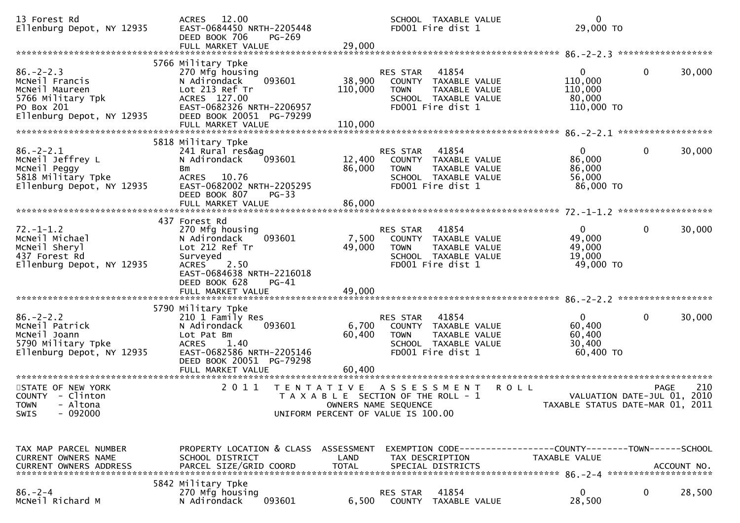| 13 Forest Rd<br>Ellenburg Depot, NY 12935                                                                           | 12.00<br><b>ACRES</b><br>EAST-0684450 NRTH-2205448<br>DEED BOOK 706<br>PG-269<br>FULL MARKET VALUE                                                                        | 29,000                                                                      |                                             | SCHOOL TAXABLE VALUE<br>FD001 Fire dist 1                                                   | $\mathbf{0}$<br>29,000 TO                                                            |                                                                                |        |
|---------------------------------------------------------------------------------------------------------------------|---------------------------------------------------------------------------------------------------------------------------------------------------------------------------|-----------------------------------------------------------------------------|---------------------------------------------|---------------------------------------------------------------------------------------------|--------------------------------------------------------------------------------------|--------------------------------------------------------------------------------|--------|
| $86. - 2 - 2.3$<br>MCNeil Francis<br>McNeil Maureen<br>5766 Military Tpk<br>PO Box 201<br>Ellenburg Depot, NY 12935 | 5766 Military Tpke<br>270 Mfg housing<br>093601<br>N Adirondack<br>Lot 213 Ref Tr<br>ACRES 127.00<br>EAST-0682326 NRTH-2206957<br>DEED BOOK 20051 PG-79299                | 38,900<br>110,000                                                           | <b>RES STAR</b><br><b>TOWN</b>              | 41854<br>COUNTY TAXABLE VALUE<br>TAXABLE VALUE<br>SCHOOL TAXABLE VALUE<br>FD001 Fire dist 1 | 0<br>110,000<br>110,000<br>80,000<br>110,000 TO                                      | $\mathbf{0}$                                                                   | 30,000 |
|                                                                                                                     | 5818 Military Tpke                                                                                                                                                        |                                                                             |                                             |                                                                                             |                                                                                      |                                                                                |        |
| $86. - 2 - 2.1$<br>MCNeil Jeffrey L<br>McNeil Peggy<br>5818 Military Tpke<br>Ellenburg Depot, NY 12935              | 241 Rural res&ag<br>093601<br>N Adirondack<br>Bm<br><b>ACRES</b><br>10.76<br>EAST-0682002 NRTH-2205295<br>DEED BOOK 807<br>$PG-33$                                        | 12,400<br>86,000                                                            | RES STAR<br><b>TOWN</b>                     | 41854<br>COUNTY TAXABLE VALUE<br>TAXABLE VALUE<br>SCHOOL TAXABLE VALUE<br>FD001 Fire dist 1 | $\mathbf{0}$<br>86,000<br>86,000<br>56,000<br>86,000 TO                              | 0                                                                              | 30,000 |
|                                                                                                                     | FULL MARKET VALUE                                                                                                                                                         | 86,000                                                                      |                                             |                                                                                             |                                                                                      |                                                                                |        |
| $72. - 1 - 1.2$<br>MCNeil Michael<br>MCNeil Sheryl<br>437 Forest Rd<br>Ellenburg Depot, NY 12935                    | 437 Forest Rd<br>270 Mfg housing<br>N Adirondack<br>093601<br>Lot 212 Ref Tr<br>Surveyed<br><b>ACRES</b><br>2.50<br>EAST-0684638 NRTH-2216018<br>DEED BOOK 628<br>$PG-41$ | 7,500<br>49,000                                                             | RES STAR<br><b>TOWN</b>                     | 41854<br>COUNTY TAXABLE VALUE<br>TAXABLE VALUE<br>SCHOOL TAXABLE VALUE<br>FD001 Fire dist 1 | 0<br>49,000<br>49,000<br>19,000<br>49,000 TO                                         | $\mathbf{0}$                                                                   | 30,000 |
|                                                                                                                     | 5790 Military Tpke                                                                                                                                                        |                                                                             |                                             |                                                                                             |                                                                                      |                                                                                |        |
| $86. - 2 - 2.2$<br>MCNeil Patrick<br>McNeil Joann<br>5790 Military Tpke<br>Ellenburg Depot, NY 12935                | 210 1 Family Res<br>093601<br>N Adirondack<br>Lot Pat Bm<br><b>ACRES</b><br>1.40<br>EAST-0682586 NRTH-2205146<br>DEED BOOK 20051 PG-79298<br>FULL MARKET VALUE            | 6,700<br>60,400<br>60,400                                                   | <b>RES STAR</b><br><b>TOWN</b>              | 41854<br>COUNTY TAXABLE VALUE<br>TAXABLE VALUE<br>SCHOOL TAXABLE VALUE<br>FD001 Fire dist 1 | $\mathbf{0}$<br>60,400<br>60,400<br>30,400<br>60,400 TO                              | 0                                                                              | 30,000 |
|                                                                                                                     |                                                                                                                                                                           |                                                                             |                                             |                                                                                             |                                                                                      |                                                                                |        |
| STATE OF NEW YORK<br>COUNTY - Clinton<br>TOWN - Altona<br>$-092000$<br>SWIS                                         | 2011<br>T E N T A T I V E                                                                                                                                                 | T A X A B L E SECTION OF THE ROLL - 1<br>UNIFORM PERCENT OF VALUE IS 100.00 | A S S E S S M E N T<br>OWNERS NAME SEQUENCE |                                                                                             | <b>ROLL</b>                                                                          | <b>PAGE</b><br>VALUATION DATE-JUL 01, 2010<br>TAXABLE STATUS DATE-MAR 01, 2011 | 210    |
| TAX MAP PARCEL NUMBER<br>CURRENT OWNERS NAME<br>CURRENT OWNERS ADDRESS                                              | PROPERTY LOCATION & CLASS ASSESSMENT<br>SCHOOL DISTRICT<br>PARCEL SIZE/GRID COORD                                                                                         | LAND<br><b>TOTAL</b>                                                        | TAX DESCRIPTION                             | SPECIAL DISTRICTS                                                                           | EXEMPTION CODE-----------------COUNTY-------TOWN------SCHOOL<br><b>TAXABLE VALUE</b> | ACCOUNT NO.                                                                    |        |
| $86. - 2 - 4$<br>MCNeil Richard M                                                                                   | 5842 Military Tpke<br>270 Mfg housing<br>093601<br>N Adirondack                                                                                                           | 6,500                                                                       | RES STAR                                    | 41854<br>COUNTY TAXABLE VALUE                                                               | 0<br>28,500                                                                          | $\mathbf{0}$                                                                   | 28,500 |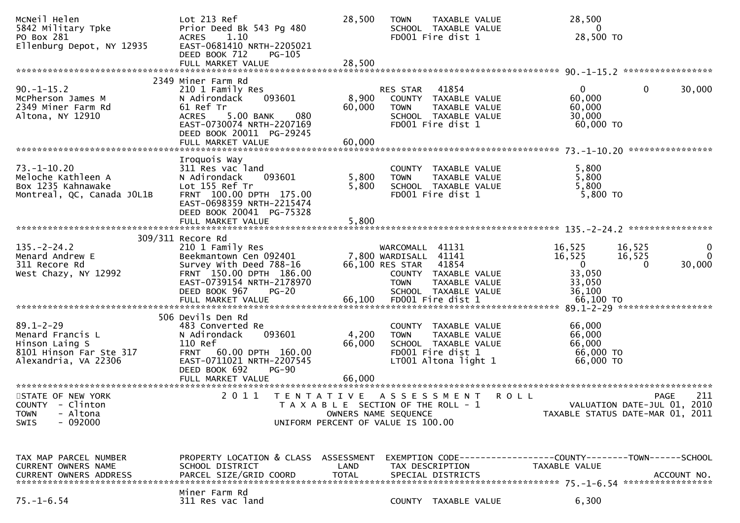| MCNeil Helen<br>5842 Military Tpke<br>PO Box 281<br>Ellenburg Depot, NY 12935                            | Lot 213 Ref<br>Prior Deed Bk 543 Pg 480<br>1.10<br><b>ACRES</b><br>EAST-0681410 NRTH-2205021<br>DEED BOOK 712<br>PG-105                                                                         | 28,500                    | <b>TOWN</b>                                                                      | TAXABLE VALUE<br>SCHOOL TAXABLE VALUE<br>FD001 Fire dist 1                                          |             | 28,500<br>$\overline{0}$<br>28,500 TO                                                |                              |                                                   |
|----------------------------------------------------------------------------------------------------------|-------------------------------------------------------------------------------------------------------------------------------------------------------------------------------------------------|---------------------------|----------------------------------------------------------------------------------|-----------------------------------------------------------------------------------------------------|-------------|--------------------------------------------------------------------------------------|------------------------------|---------------------------------------------------|
|                                                                                                          |                                                                                                                                                                                                 |                           |                                                                                  |                                                                                                     |             |                                                                                      |                              |                                                   |
| $90. -1 - 15.2$<br>McPherson James M<br>2349 Miner Farm Rd<br>Altona, NY 12910                           | 2349 Miner Farm Rd<br>210 1 Family Res<br>N Adirondack<br>093601<br>61 Ref Tr<br>080<br><b>ACRES</b><br>5.00 BANK<br>EAST-0730074 NRTH-2207169<br>DEED BOOK 20011 PG-29245<br>FULL MARKET VALUE | 8,900<br>60,000<br>60,000 | <b>RES STAR</b><br><b>TOWN</b>                                                   | 41854<br>COUNTY TAXABLE VALUE<br>TAXABLE VALUE<br>SCHOOL TAXABLE VALUE<br>FD001 Fire dist 1         |             | $\overline{0}$<br>60,000<br>60,000<br>30,000<br>60,000 TO                            | 0                            | 30,000                                            |
|                                                                                                          |                                                                                                                                                                                                 |                           |                                                                                  |                                                                                                     |             |                                                                                      |                              |                                                   |
| $73. - 1 - 10.20$<br>Meloche Kathleen A<br>Box 1235 Kahnawake<br>Montreal, QC, Canada JOL1B              | Iroquois Way<br>311 Res vac land<br>N Adirondack<br>093601<br>Lot 155 Ref Tr<br>FRNT 100.00 DPTH 175.00<br>EAST-0698359 NRTH-2215474<br>DEED BOOK 20041 PG-75328                                | 5,800<br>5,800            | COUNTY<br><b>TOWN</b>                                                            | TAXABLE VALUE<br>TAXABLE VALUE<br>SCHOOL TAXABLE VALUE<br>FD001 Fire dist 1                         |             | 5,800<br>5,800<br>5,800<br>5,800 TO                                                  |                              |                                                   |
|                                                                                                          | FULL MARKET VALUE                                                                                                                                                                               | 5,800                     |                                                                                  |                                                                                                     |             |                                                                                      |                              |                                                   |
|                                                                                                          |                                                                                                                                                                                                 |                           |                                                                                  |                                                                                                     |             |                                                                                      |                              |                                                   |
| $135. -2 - 24.2$<br>Menard Andrew E<br>311 Recore Rd<br>West Chazy, NY 12992                             | 309/311 Recore Rd<br>210 1 Family Res<br>Beekmantown Cen 092401<br>Survey With Deed 788-16<br>FRNT 150.00 DPTH 186.00<br>EAST-0739154 NRTH-2178970<br>DEED BOOK 967<br>$PG-20$                  |                           | WARCOMALL 41131<br>7,800 WARDISALL 41141<br>66,100 RES STAR 41854<br><b>TOWN</b> | COUNTY TAXABLE VALUE<br>TAXABLE VALUE<br>SCHOOL TAXABLE VALUE                                       |             | 16,525<br>16,525<br>$\overline{0}$<br>33,050<br>33,050<br>36,100                     | 16,525<br>16,525<br>$\Omega$ | $\bf{0}$<br>$\mathbf{0}$<br>30,000                |
|                                                                                                          |                                                                                                                                                                                                 |                           |                                                                                  |                                                                                                     |             |                                                                                      |                              |                                                   |
| $89.1 - 2 - 29$<br>Menard Francis L<br>Hinson Laing S<br>8101 Hinson Far Ste 317<br>Alexandria, VA 22306 | 506 Devils Den Rd<br>483 Converted Re<br>093601<br>N Adirondack<br>110 Ref<br>FRNT 60.00 DPTH 160.00<br>EAST-0711021 NRTH-2207545<br>DEED BOOK 692<br>$PG-90$                                   | 4,200<br>66,000           | COUNTY<br><b>TOWN</b>                                                            | TAXABLE VALUE<br>TAXABLE VALUE<br>SCHOOL TAXABLE VALUE<br>FD001 Fire dist 1<br>LT001 Altona light 1 |             | 66,000<br>66,000<br>66,000<br>66,000 TO<br>66,000 TO                                 |                              |                                                   |
|                                                                                                          |                                                                                                                                                                                                 |                           |                                                                                  |                                                                                                     |             |                                                                                      |                              |                                                   |
| STATE OF NEW YORK<br>COUNTY - Clinton<br>- Altona<br><b>TOWN</b><br>$-092000$<br>SWIS                    | 2011<br>TENTATIVE ASSESSMENT<br>UNIFORM PERCENT OF VALUE IS 100.00                                                                                                                              |                           | T A X A B L E SECTION OF THE ROLL - 1<br>OWNERS NAME SEQUENCE                    |                                                                                                     | <b>ROLL</b> | TAXABLE STATUS DATE-MAR 01, 2011                                                     |                              | 211<br><b>PAGE</b><br>VALUATION DATE-JUL 01, 2010 |
| TAX MAP PARCEL NUMBER<br>CURRENT OWNERS NAME<br>CURRENT OWNERS ADDRESS                                   | PROPERTY LOCATION & CLASS ASSESSMENT<br>SCHOOL DISTRICT<br>PARCEL SIZE/GRID COORD<br>Miner Farm Rd                                                                                              | LAND<br><b>TOTAL</b>      |                                                                                  | TAX DESCRIPTION<br>SPECIAL DISTRICTS                                                                |             | EXEMPTION CODE-----------------COUNTY-------TOWN------SCHOOL<br><b>TAXABLE VALUE</b> |                              | ACCOUNT NO.                                       |
| $75. - 1 - 6.54$                                                                                         | 311 Res vac land                                                                                                                                                                                |                           |                                                                                  | COUNTY TAXABLE VALUE                                                                                |             | 6,300                                                                                |                              |                                                   |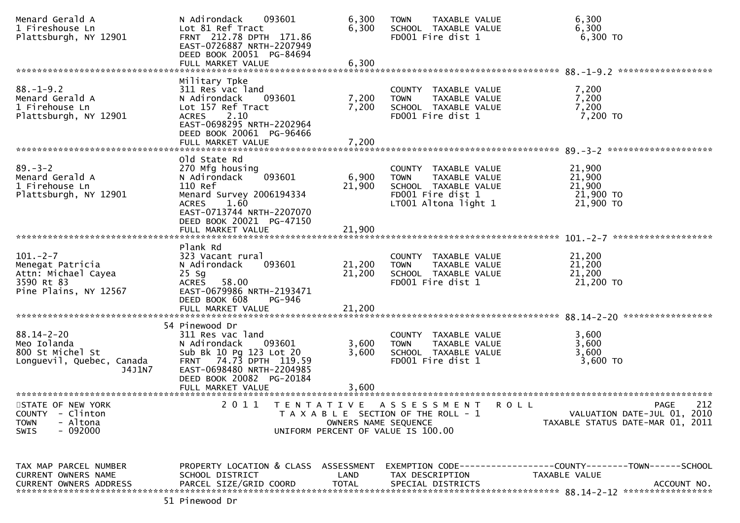| Menard Gerald A<br>1 Fireshouse Ln<br>Plattsburgh, NY 12901                                                             | N Adirondack<br>093601<br>Lot 81 Ref Tract<br>FRNT 212.78 DPTH 171.86<br>EAST-0726887 NRTH-2207949<br>DEED BOOK 20051 PG-84694                                                                                                | 6,300<br>6,300             | <b>TAXABLE VALUE</b><br><b>TOWN</b><br>SCHOOL TAXABLE VALUE<br>FD001 Fire dist 1                                          | 6,300<br>6,300<br>6,300 TO                                                                   |
|-------------------------------------------------------------------------------------------------------------------------|-------------------------------------------------------------------------------------------------------------------------------------------------------------------------------------------------------------------------------|----------------------------|---------------------------------------------------------------------------------------------------------------------------|----------------------------------------------------------------------------------------------|
| ******************************                                                                                          | FULL MARKET VALUE                                                                                                                                                                                                             | 6,300                      |                                                                                                                           |                                                                                              |
|                                                                                                                         | Military Tpke                                                                                                                                                                                                                 |                            |                                                                                                                           |                                                                                              |
| $88. - 1 - 9.2$<br>Menard Gerald A<br>1 Firehouse Ln<br>Plattsburgh, NY 12901                                           | 311 Res vac land<br>N Adirondack<br>093601<br>Lot 157 Ref Tract<br>2.10<br><b>ACRES</b><br>EAST-0698295 NRTH-2202964<br>DEED BOOK 20061 PG-96466                                                                              | 7,200<br>7,200             | COUNTY TAXABLE VALUE<br>TAXABLE VALUE<br><b>TOWN</b><br>SCHOOL TAXABLE VALUE<br>FD001 Fire dist 1                         | 7,200<br>7,200<br>7,200<br>7,200 TO                                                          |
|                                                                                                                         | FULL MARKET VALUE                                                                                                                                                                                                             | 7,200                      |                                                                                                                           |                                                                                              |
|                                                                                                                         | old State Rd                                                                                                                                                                                                                  |                            |                                                                                                                           |                                                                                              |
| $89. - 3 - 2$<br>Menard Gerald A<br>1 Firehouse Ln<br>Plattsburgh, NY 12901                                             | 270 Mfg housing<br>N Adirondack<br>093601<br>110 Ref<br>Menard Survey 2006194334<br>1.60<br>ACRES<br>EAST-0713744 NRTH-2207070                                                                                                | 6,900<br>21,900            | COUNTY TAXABLE VALUE<br>TAXABLE VALUE<br><b>TOWN</b><br>SCHOOL TAXABLE VALUE<br>FD001 Fire dist 1<br>LT001 Altona light 1 | 21,900<br>21,900<br>21,900<br>21,900 TO<br>21,900 TO                                         |
|                                                                                                                         | DEED BOOK 20021 PG-47150<br>FULL MARKET VALUE                                                                                                                                                                                 | 21,900                     |                                                                                                                           |                                                                                              |
|                                                                                                                         |                                                                                                                                                                                                                               |                            |                                                                                                                           |                                                                                              |
| $101 - 2 - 7$<br>Menegat Patricia<br>Attn: Michael Cayea<br>3590 Rt 83<br>Pine Plains, NY 12567                         | Plank Rd<br>323 Vacant rural<br>093601<br>N Adirondack<br>$25$ Sg<br>58.00<br><b>ACRES</b><br>EAST-0679986 NRTH-2193471<br>DEED BOOK 608<br>PG-946<br>FULL MARKET VALUE                                                       | 21,200<br>21,200<br>21,200 | COUNTY TAXABLE VALUE<br>TAXABLE VALUE<br><b>TOWN</b><br>SCHOOL TAXABLE VALUE<br>FD001 Fire dist 1                         | 21,200<br>21,200<br>21,200<br>21,200 TO                                                      |
|                                                                                                                         |                                                                                                                                                                                                                               |                            |                                                                                                                           |                                                                                              |
| $88.14 - 2 - 20$<br>Meo Iolanda<br>800 St Michel St<br>Longuevil, Quebec, Canada<br>J4J1N7<br>************************* | 54 Pinewood Dr<br>311 Res vac land<br>N Adirondack<br>093601<br>Sub Bk 10 Pg 123 Lot 20<br>FRNT 74.73 DPTH 119.59<br>EAST-0698480 NRTH-2204985<br>DEED BOOK 20082 PG-20184<br>FULL MARKET VALUE<br>************************** | 3,600<br>3,600<br>3,600    | COUNTY TAXABLE VALUE<br><b>TOWN</b><br>TAXABLE VALUE<br>SCHOOL TAXABLE VALUE<br>FD001 Fire dist 1                         | 3,600<br>3,600<br>3,600<br>3,600 TO                                                          |
| STATE OF NEW YORK<br><b>COUNTY</b><br>- Clinton<br>- Altona<br><b>TOWN</b><br>$-092000$<br>SWIS                         | 2011<br>T E N T A T I V E                                                                                                                                                                                                     | OWNERS NAME SEQUENCE       | A S S E S S M E N T<br>R O L L<br>T A X A B L E SECTION OF THE ROLL - 1<br>UNIFORM PERCENT OF VALUE IS 100.00             | 212<br><b>PAGE</b><br>VALUATION DATE-JUL 01, 2010<br>TAXABLE STATUS DATE-MAR 01, 2011        |
| TAX MAP PARCEL NUMBER<br>CURRENT OWNERS NAME<br><b>CURRENT OWNERS ADDRESS</b>                                           | PROPERTY LOCATION & CLASS ASSESSMENT<br>SCHOOL DISTRICT<br>PARCEL SIZE/GRID COORD                                                                                                                                             | LAND<br><b>TOTAL</b>       | TAX DESCRIPTION<br>SPECIAL DISTRICTS                                                                                      | EXEMPTION CODE-----------------COUNTY-------TOWN------SCHOOL<br>TAXABLE VALUE<br>ACCOUNT NO. |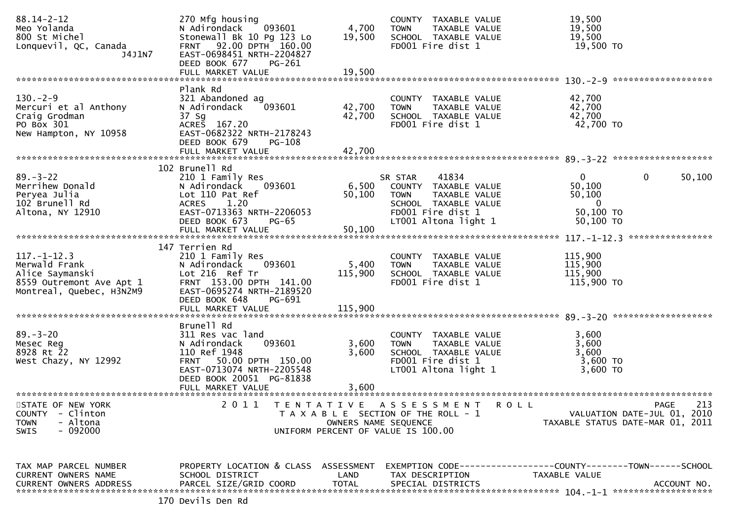| $88.14 - 2 - 12$<br>Meo Yolanda<br>800 St Michel<br>Lonquevil, QC, Canada<br>J4J1N7                           | 270 Mfg housing<br>093601<br>N Adirondack<br>Stonewall Bk 10 Pg 123 Lo<br>FRNT 92.00 DPTH 160.00<br>EAST-0698451 NRTH-2204827<br>DEED BOOK 677<br>PG-261                                                        | 4,700<br>19,500             | COUNTY TAXABLE VALUE<br><b>TOWN</b><br>TAXABLE VALUE<br>SCHOOL TAXABLE VALUE<br>FD001 Fire dist 1                                             | 19,500<br>19,500<br>19,500<br>19,500 TO                                                |                  |
|---------------------------------------------------------------------------------------------------------------|-----------------------------------------------------------------------------------------------------------------------------------------------------------------------------------------------------------------|-----------------------------|-----------------------------------------------------------------------------------------------------------------------------------------------|----------------------------------------------------------------------------------------|------------------|
|                                                                                                               | FULL MARKET VALUE                                                                                                                                                                                               | 19,500                      |                                                                                                                                               |                                                                                        |                  |
| $130 - 2 - 9$<br>Mercuri et al Anthony<br>Craig Grodman<br>PO Box 301<br>New Hampton, NY 10958                | Plank Rd<br>321 Abandoned ag<br>093601<br>N Adirondack<br>37 Sg<br>ACRES 167.20<br>EAST-0682322 NRTH-2178243<br>DEED BOOK 679<br><b>PG-108</b>                                                                  | 42,700<br>42,700            | COUNTY TAXABLE VALUE<br>TAXABLE VALUE<br><b>TOWN</b><br>SCHOOL TAXABLE VALUE<br>FD001 Fire dist 1                                             | 42,700<br>42,700<br>42,700<br>42,700 TO                                                |                  |
|                                                                                                               | FULL MARKET VALUE                                                                                                                                                                                               | 42,700                      |                                                                                                                                               |                                                                                        |                  |
| $89. - 3 - 22$<br>Merrihew Donald<br>Peryea Julia<br>102 Brunell Rd<br>Altona, NY 12910                       | 102 Brunell Rd<br>210 1 Family Res<br>N Adirondack<br>093601<br>Lot 110 Pat Ref<br>1.20<br><b>ACRES</b><br>EAST-0713363 NRTH-2206053<br>DEED BOOK 673<br>PG-65<br>FULL MARKET VALUE                             | 6,500<br>50,100<br>50,100   | 41834<br>SR STAR<br>COUNTY TAXABLE VALUE<br><b>TOWN</b><br>TAXABLE VALUE<br>SCHOOL TAXABLE VALUE<br>FD001 Fire dist 1<br>LT001 Altona light 1 | $\mathbf{0}$<br>$\mathbf{0}$<br>50,100<br>50,100<br>$\bf{0}$<br>50,100 TO<br>50,100 TO | 50,100           |
|                                                                                                               | 147 Terrien Rd                                                                                                                                                                                                  |                             |                                                                                                                                               |                                                                                        | **************** |
| $117. - 1 - 12.3$<br>Merwald Frank<br>Alice Saymanski<br>8559 Outremont Ave Apt 1<br>Montreal, Quebec, H3N2M9 | 210 1 Family Res<br>093601<br>N Adirondack<br>Lot 216 Ref Tr<br>FRNT 153.00 DPTH 141.00<br>EAST-0695274 NRTH-2189520<br>DEED BOOK 648<br>PG-691<br>FULL MARKET VALUE                                            | 5,400<br>115,900<br>115,900 | COUNTY TAXABLE VALUE<br>TAXABLE VALUE<br><b>TOWN</b><br>SCHOOL TAXABLE VALUE<br>FD001 Fire dist 1                                             | 115,900<br>115,900<br>115,900<br>115,900 TO                                            |                  |
| $89. - 3 - 20$<br>Mesec Reg<br>8928 Rt 22<br>West Chazy, NY 12992                                             | Brunell Rd<br>311 Res vac land<br>093601<br>N Adirondack<br>110 Ref 1948<br>FRNT 50.00 DPTH 150.00<br>EAST-0713074 NRTH-2205548<br>DEED BOOK 20051 PG-81838<br>FULL MARKET VALUE<br>*************************** | 3,600<br>3,600<br>3,600     | COUNTY TAXABLE VALUE<br>TAXABLE VALUE<br><b>TOWN</b><br>SCHOOL TAXABLE VALUE<br>FD001 Fire dist 1<br>LT001 Altona light 1                     | 3,600<br>3,600<br>3,600<br>3,600 TO<br>3,600 TO                                        |                  |
| STATE OF NEW YORK<br><b>COUNTY</b><br>- Clinton<br>- Altona<br><b>TOWN</b><br>$-092000$<br><b>SWIS</b>        | 2011<br>T E N T A T I V E                                                                                                                                                                                       | OWNERS NAME SEQUENCE        | A S S E S S M E N T<br><b>ROLL</b><br>T A X A B L E SECTION OF THE ROLL - 1<br>UNIFORM PERCENT OF VALUE IS 100.00                             | PAGE<br>VALUATION DATE-JUL 01, 2010<br>TAXABLE STATUS DATE-MAR 01, 2011                | 213              |
| TAX MAP PARCEL NUMBER<br>CURRENT OWNERS NAME                                                                  | PROPERTY LOCATION & CLASS ASSESSMENT<br>SCHOOL DISTRICT<br>170 Devils Den Rd                                                                                                                                    | LAND                        | TAX DESCRIPTION                                                                                                                               | EXEMPTION CODE-----------------COUNTY-------TOWN------SCHOOL<br>TAXABLE VALUE          |                  |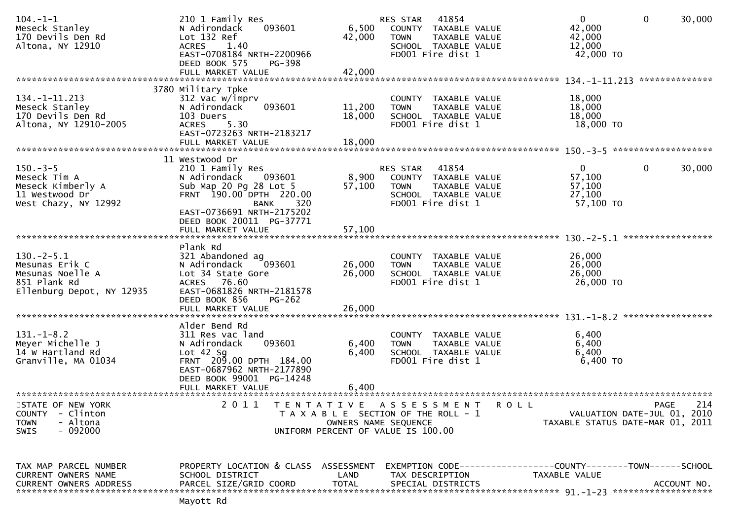| $104. - 1 - 1$<br>Meseck Stanley<br>170 Devils Den Rd<br>Altona, NY 12910                       | 210 1 Family Res<br>093601<br>N Adirondack<br>Lot 132 Ref<br><b>ACRES</b><br>1.40<br>EAST-0708184 NRTH-2200966<br>DEED BOOK 575<br>PG-398<br>FULL MARKET VALUE                                   | 6,500<br>42,000<br>42,000  | 41854<br>RES STAR<br>COUNTY TAXABLE VALUE<br><b>TOWN</b><br>SCHOOL TAXABLE VALUE<br>FD001 Fire dist 1                      | TAXABLE VALUE        | $\mathbf 0$<br>42,000<br>42,000<br>12,000<br>42,000 TO<br>$134. - 1 - 11.213$ | $\mathbf 0$ | 30,000<br>************** |
|-------------------------------------------------------------------------------------------------|--------------------------------------------------------------------------------------------------------------------------------------------------------------------------------------------------|----------------------------|----------------------------------------------------------------------------------------------------------------------------|----------------------|-------------------------------------------------------------------------------|-------------|--------------------------|
|                                                                                                 | 3780 Military Tpke                                                                                                                                                                               |                            |                                                                                                                            |                      |                                                                               |             |                          |
| 134. -1-11. 213<br>Meseck Stanley<br>170 Devils Den Rd<br>Altona, NY 12910-2005                 | 312 Vac w/imprv<br>093601<br>N Adirondack<br>103 Duers<br>5.30<br><b>ACRES</b><br>EAST-0723263 NRTH-2183217<br>FULL MARKET VALUE                                                                 | 11,200<br>18,000<br>18,000 | COUNTY TAXABLE VALUE<br><b>TOWN</b><br>SCHOOL TAXABLE VALUE<br>FD001 Fire dist 1                                           | TAXABLE VALUE        | 18,000<br>18,000<br>18,000<br>18,000 TO                                       |             |                          |
|                                                                                                 |                                                                                                                                                                                                  |                            |                                                                                                                            |                      |                                                                               |             |                          |
| $150. -3 - 5$<br>Meseck Tim A<br>Meseck Kimberly A<br>11 Westwood Dr<br>West Chazy, NY 12992    | 11 Westwood Dr<br>210 1 Family Res<br>N Adirondack<br>093601<br>Sub Map 20 Pg 28 Lot 5<br>FRNT 190.00 DPTH 220.00<br><b>BANK</b><br>320<br>EAST-0736691 NRTH-2175202<br>DEED BOOK 20011 PG-37771 | 8,900<br>57,100            | 41854<br>RES STAR<br>COUNTY TAXABLE VALUE<br><b>TOWN</b><br>SCHOOL TAXABLE VALUE<br>FD001 Fire dist 1                      | <b>TAXABLE VALUE</b> | $\mathbf 0$<br>57,100<br>57,100<br>27,100<br>57,100 TO                        | $\mathbf 0$ | 30,000                   |
|                                                                                                 |                                                                                                                                                                                                  |                            |                                                                                                                            |                      | $130 - 2 - 5.1$                                                               |             | *****************        |
| $130.-2-5.1$<br>Mesunas Erik C<br>Mesunas Noelle A<br>851 Plank Rd<br>Ellenburg Depot, NY 12935 | Plank Rd<br>321 Abandoned ag<br>N Adirondack<br>093601<br>Lot 34 State Gore<br>ACRES 76.60<br>EAST-0681826 NRTH-2181578<br>DEED BOOK 856<br>$PG-262$<br>FULL MARKET VALUE                        | 26,000<br>26,000<br>26,000 | COUNTY TAXABLE VALUE<br><b>TOWN</b><br>SCHOOL TAXABLE VALUE<br>FD001 Fire dist 1                                           | TAXABLE VALUE        | 26,000<br>26,000<br>26,000<br>26,000 TO                                       |             |                          |
|                                                                                                 | Alder Bend Rd                                                                                                                                                                                    |                            |                                                                                                                            |                      |                                                                               |             |                          |
| $131.-1-8.2$<br>Meyer Michelle J<br>14 W Hartland Rd<br>Granville, MA 01034                     | 311 Res vac land<br>093601<br>N Adirondack<br>Lot $42$ Sg<br>FRNT 209.00 DPTH 184.00<br>EAST-0687962 NRTH-2177890<br>DEED BOOK 99001 PG-14248<br>FULL MARKET VALUE                               | 6,400<br>6,400<br>6,400    | COUNTY TAXABLE VALUE<br><b>TOWN</b><br>SCHOOL TAXABLE VALUE<br>FD001 Fire dist 1                                           | TAXABLE VALUE        | 6,400<br>6,400<br>6,400<br>6,400 TO                                           |             |                          |
|                                                                                                 |                                                                                                                                                                                                  |                            |                                                                                                                            |                      |                                                                               |             |                          |
| STATE OF NEW YORK<br><b>COUNTY</b><br>- Clinton<br>- Altona<br><b>TOWN</b><br>$-092000$<br>SWIS | 2 0 1 1<br>T E N T A T I V E                                                                                                                                                                     |                            | A S S E S S M E N T<br>T A X A B L E SECTION OF THE ROLL - 1<br>OWNERS NAME SEQUENCE<br>UNIFORM PERCENT OF VALUE IS 100.00 | R O L L              | VALUATION DATE-JUL 01, 2010<br>TAXABLE STATUS DATE-MAR 01, 2011               | PAGE        | 214                      |
| TAX MAP PARCEL NUMBER<br>CURRENT OWNERS NAME<br><b>CURRENT OWNERS ADDRESS</b>                   | PROPERTY LOCATION & CLASS ASSESSMENT<br>SCHOOL DISTRICT<br>PARCEL SIZE/GRID COORD<br>Mayott Rd                                                                                                   | LAND<br><b>TOTAL</b>       | TAX DESCRIPTION<br>SPECIAL DISTRICTS                                                                                       |                      | EXEMPTION CODE-----------------COUNTY-------TOWN------SCHOOL<br>TAXABLE VALUE |             | ACCOUNT NO.              |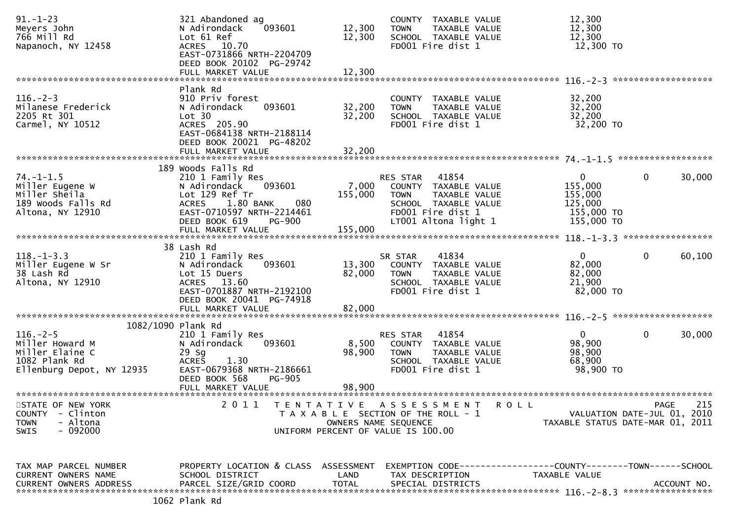| $91. - 1 - 23$<br>Meyers John<br>766 Mill Rd<br>Napanoch, NY 12458                                 | 321 Abandoned ag<br>093601<br>N Adirondack<br>Lot 61 Ref<br>ACRES 10.70<br>EAST-0731866 NRTH-2204709<br>DEED BOOK 20102 PG-29742                           | 12,300<br>12,300                   | COUNTY TAXABLE VALUE<br><b>TOWN</b><br>TAXABLE VALUE<br>SCHOOL TAXABLE VALUE<br>FD001 Fire dist 1                     | 12,300<br>12,300<br>12,300<br>12,300 TO                                              |             |
|----------------------------------------------------------------------------------------------------|------------------------------------------------------------------------------------------------------------------------------------------------------------|------------------------------------|-----------------------------------------------------------------------------------------------------------------------|--------------------------------------------------------------------------------------|-------------|
|                                                                                                    | FULL MARKET VALUE                                                                                                                                          | 12,300                             |                                                                                                                       |                                                                                      |             |
|                                                                                                    | Plank Rd                                                                                                                                                   |                                    |                                                                                                                       | *******************                                                                  |             |
| $116. - 2 - 3$<br>Milanese Frederick<br>2205 Rt 301<br>Carmel, NY 10512                            | 910 Priv forest<br>093601<br>N Adirondack<br>Lot 30<br>ACRES 205.90<br>EAST-0684138 NRTH-2188114<br>DEED BOOK 20021 PG-48202                               | 32,200<br>32,200                   | COUNTY TAXABLE VALUE<br>TAXABLE VALUE<br><b>TOWN</b><br>SCHOOL TAXABLE VALUE<br>FD001 Fire dist 1                     | 32,200<br>32,200<br>32,200<br>32,200 TO                                              |             |
|                                                                                                    | FULL MARKET VALUE                                                                                                                                          | 32,200                             |                                                                                                                       |                                                                                      |             |
|                                                                                                    | 189 Woods Falls Rd                                                                                                                                         |                                    |                                                                                                                       |                                                                                      |             |
| $74. - 1 - 1.5$<br>Miller Eugene W<br>Miller Sheila<br>189 Woods Falls Rd<br>Altona, NY 12910      | 210 1 Family Res<br>N Adirondack<br>093601<br>Lot 129 Ref Tr<br>ACRES 1.80 BANK<br>080<br>EAST-0710597 NRTH-2214461                                        | 7,000<br>155,000                   | RES STAR 41854<br>COUNTY TAXABLE VALUE<br><b>TOWN</b><br>TAXABLE VALUE<br>SCHOOL TAXABLE VALUE<br>FD001 Fire dist 1   | $\mathbf 0$<br>$\mathbf{0}$<br>155,000<br>155,000<br>125,000<br>155,000 TO           | 30,000      |
|                                                                                                    | DEED BOOK 619<br><b>PG-900</b><br>FULL MARKET VALUE                                                                                                        | 155,000                            | LT001 Altona light 1                                                                                                  | 155,000 TO                                                                           |             |
|                                                                                                    |                                                                                                                                                            |                                    |                                                                                                                       |                                                                                      |             |
|                                                                                                    | 38 Lash Rd                                                                                                                                                 |                                    |                                                                                                                       |                                                                                      |             |
| $118. - 1 - 3.3$<br>Miller Eugene W Sr<br>38 Lash Rd<br>Altona, NY 12910                           | 210 1 Family Res<br>N Adirondack<br>093601<br>Lot 15 Duers<br>ACRES 13.60<br>EAST-0701887 NRTH-2192100<br>DEED BOOK 20041 PG-74918                         | 13,300<br>82,000                   | 41834<br>SR STAR<br>COUNTY TAXABLE VALUE<br><b>TOWN</b><br>TAXABLE VALUE<br>SCHOOL TAXABLE VALUE<br>FD001 Fire dist 1 | $\mathbf 0$<br>$\mathbf{0}$<br>82,000<br>82,000<br>21,900<br>82,000 TO               | 60,100      |
|                                                                                                    | FULL MARKET VALUE                                                                                                                                          | 82,000                             |                                                                                                                       |                                                                                      |             |
| 1082/1090 Plank Rd                                                                                 |                                                                                                                                                            |                                    |                                                                                                                       |                                                                                      |             |
| $116. - 2 - 5$<br>Miller Howard M<br>Miller Elaine C<br>1082 Plank Rd<br>Ellenburg Depot, NY 12935 | 210 1 Family Res<br>093601<br>N Adirondack<br>$29$ Sg<br><b>ACRES</b><br>1.30<br>EAST-0679368 NRTH-2186661<br>DEED BOOK 568<br>PG-905<br>FULL MARKET VALUE | 8,500<br>98,900<br>98,900          | RES STAR 41854<br>COUNTY TAXABLE VALUE<br><b>TOWN</b><br>TAXABLE VALUE<br>SCHOOL TAXABLE VALUE<br>FD001 Fire dist 1   | $\overline{0}$<br>$\mathbf{0}$<br>98,900<br>98,900<br>68,900<br>98,900 TO            | 30,000      |
| STATE OF NEW YORK                                                                                  | 2 0 1 1<br>T E N T A T I V E                                                                                                                               |                                    | ASSESSMENT ROLL                                                                                                       | <b>PAGE</b>                                                                          | 215         |
| <b>COUNTY</b><br>- Clinton<br>- Altona<br><b>TOWN</b><br>$-092000$<br><b>SWIS</b>                  |                                                                                                                                                            | OWNERS NAME SEQUENCE               | T A X A B L E SECTION OF THE ROLL - 1<br>UNIFORM PERCENT OF VALUE IS 100.00                                           | VALUATION DATE-JUL 01, 2010<br>TAXABLE STATUS DATE-MAR 01, 2011                      |             |
| TAX MAP PARCEL NUMBER<br>CURRENT OWNERS NAME<br><b>CURRENT OWNERS ADDRESS</b>                      | PROPERTY LOCATION & CLASS<br>SCHOOL DISTRICT<br>PARCEL SIZE/GRID COORD                                                                                     | ASSESSMENT<br>LAND<br><b>TOTAL</b> | TAX DESCRIPTION<br>SPECIAL DISTRICTS                                                                                  | EXEMPTION        CODE-----------------COUNTY-------TOWN------SCHOOL<br>TAXABLE VALUE | ACCOUNT NO. |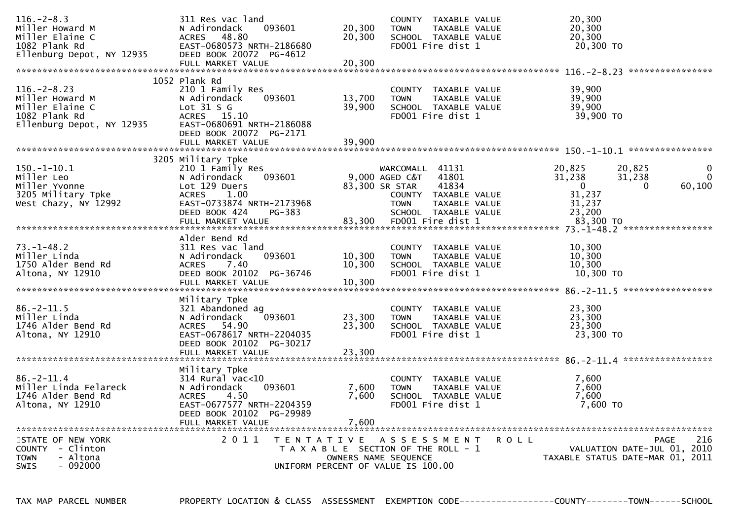| $116. - 2 - 8.3$<br>Miller Howard M<br>Miller Elaine C<br>1082 Plank Rd                               | 311 Res vac land<br>093601<br>N Adirondack<br>48.80<br>ACRES<br>EAST-0680573 NRTH-2186680                                                                                              | 20,300<br>COUNTY TAXABLE VALUE<br>20,300<br>20,300<br>TAXABLE VALUE<br><b>TOWN</b><br>20,300<br>20,300<br>SCHOOL TAXABLE VALUE<br>FD001 Fire dist 1<br>20,300 TO                                                                                                       |                                                                                   |
|-------------------------------------------------------------------------------------------------------|----------------------------------------------------------------------------------------------------------------------------------------------------------------------------------------|------------------------------------------------------------------------------------------------------------------------------------------------------------------------------------------------------------------------------------------------------------------------|-----------------------------------------------------------------------------------|
| Ellenburg Depot, NY 12935                                                                             | DEED BOOK 20072 PG-4612                                                                                                                                                                |                                                                                                                                                                                                                                                                        | ****************                                                                  |
| $116. - 2 - 8.23$<br>Miller Howard M<br>Miller Elaine C<br>1082 Plank Rd<br>Ellenburg Depot, NY 12935 | 1052 Plank Rd<br>210 1 Family Res<br>N Adirondack<br>093601<br>Lot $31 S G$<br>ACRES 15.10<br>EAST-0680691 NRTH-2186088<br>DEED BOOK 20072 PG-2171<br>FULL MARKET VALUE                | 39,900<br>COUNTY TAXABLE VALUE<br>39,900<br>13,700<br><b>TOWN</b><br>TAXABLE VALUE<br>39,900<br>39.900<br>SCHOOL TAXABLE VALUE<br>FD001 Fire dist 1<br>39,900 TO<br>39,900                                                                                             |                                                                                   |
| $150. - 1 - 10.1$<br>Miller Leo<br>Miller Yvonne<br>3205 Military Tpke<br>West Chazy, NY 12992        | 3205 Military Tpke<br>210 1 Family Res<br>N Adirondack<br>093601<br>Lot 129 Duers<br><b>ACRES</b><br>1.00<br>EAST-0733874 NRTH-2173968<br>DEED BOOK 424<br>PG-383<br>FULL MARKET VALUE | 41131<br>20,825<br>WARCOMALL<br>41801<br>31,238<br>9,000 AGED C&T<br>41834<br>83,300 SR STAR<br>$\mathbf{0}$<br>31,237<br>COUNTY TAXABLE VALUE<br>31,237<br><b>TOWN</b><br>TAXABLE VALUE<br>23,200<br>SCHOOL TAXABLE VALUE<br>83,300<br>FD001 Fire dist 1<br>83,300 TO | 20,825<br>0<br>$\Omega$<br>31,238<br>60,100<br>0                                  |
| $73. - 1 - 48.2$<br>Miller Linda<br>1750 Alder Bend Rd<br>Altona, NY 12910                            | Alder Bend Rd<br>311 Res vac land<br>N Adirondack<br>093601<br>7.40<br><b>ACRES</b><br>DEED BOOK 20102 PG-36746<br>FULL MARKET VALUE                                                   | 10,300<br>COUNTY TAXABLE VALUE<br>10,300<br>TAXABLE VALUE<br>10,300<br><b>TOWN</b><br>10,300<br>10,300<br>SCHOOL TAXABLE VALUE<br>FD001 Fire dist 1<br>10,300 TO<br>10,300                                                                                             |                                                                                   |
| $86. - 2 - 11.5$<br>Miller Linda<br>1746 Alder Bend Rd<br>Altona, NY 12910                            | Military Tpke<br>321 Abandoned ag<br>N Adirondack<br>093601<br>54.90<br>ACRES<br>EAST-0678617 NRTH-2204035<br>DEED BOOK 20102 PG-30217<br>FULL MARKET VALUE                            | 23,300<br>COUNTY TAXABLE VALUE<br>23,300<br>23,300<br>TAXABLE VALUE<br><b>TOWN</b><br>23,300<br>23,300<br>SCHOOL TAXABLE VALUE<br>23,300 TO<br>FD001 Fire dist 1<br>23,300                                                                                             |                                                                                   |
| $86. - 2 - 11.4$<br>Miller Linda Felareck<br>1746 Alder Bend Rd<br>Altona, NY 12910                   | Military Tpke<br>$314$ Rural vac<10<br>093601<br>N Adirondack<br>4.50<br><b>ACRES</b><br>EAST-0677577 NRTH-2204359<br>DEED BOOK 20102 PG-29989<br>FULL MARKET VALUE                    | 7,600<br>TAXABLE VALUE<br><b>COUNTY</b><br>7,600<br>7,600<br><b>TOWN</b><br>TAXABLE VALUE<br>7.600<br>7,600<br>SCHOOL TAXABLE VALUE<br>FD001 Fire dist 1<br>7,600 TO<br>7,600                                                                                          |                                                                                   |
| STATE OF NEW YORK<br>COUNTY - Clinton<br><b>TOWN</b><br>- Altona<br>- 092000<br><b>SWIS</b>           | 2011<br>T E N T A T I V E                                                                                                                                                              | A S S E S S M E N T<br><b>ROLL</b><br>T A X A B L E SECTION OF THE ROLL - 1<br>OWNERS NAME SEQUENCE<br>UNIFORM PERCENT OF VALUE IS 100.00                                                                                                                              | 216<br>PAGE<br>2010<br>VALUATION DATE-JUL 01,<br>TAXABLE STATUS DATE-MAR 01, 2011 |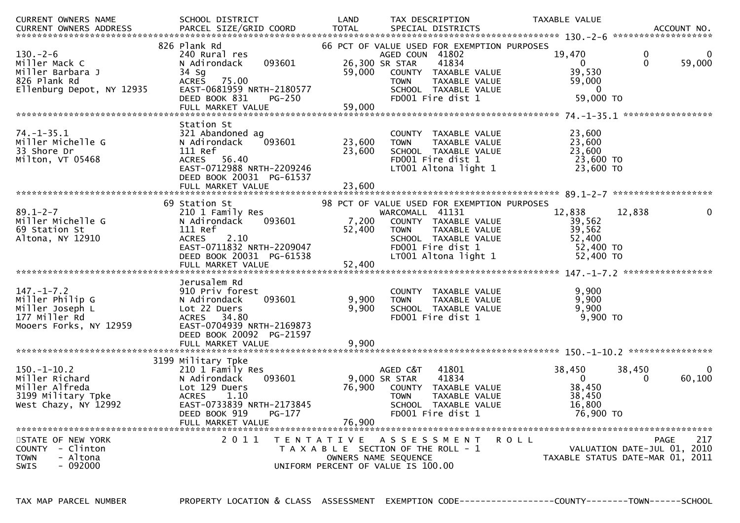| CURRENT OWNERS NAME                                                                                 | SCHOOL DISTRICT                                                                                                                                                              | LAND                       | TAX DESCRIPTION                                                                                                                                                                                | TAXABLE VALUE                                                    |                                                                                       |
|-----------------------------------------------------------------------------------------------------|------------------------------------------------------------------------------------------------------------------------------------------------------------------------------|----------------------------|------------------------------------------------------------------------------------------------------------------------------------------------------------------------------------------------|------------------------------------------------------------------|---------------------------------------------------------------------------------------|
| $130. - 2 - 6$<br>Miller Mack C<br>Miller Barbara J<br>826 Plank Rd<br>Ellenburg Depot, NY 12935    | 826 Plank Rd<br>240 Rural res<br>093601<br>N Adirondack<br>34 Sg<br><b>ACRES</b><br>75.00<br>EAST-0681959 NRTH-2180577<br>DEED BOOK 831<br><b>PG-250</b>                     | 59,000                     | 66 PCT OF VALUE USED FOR EXEMPTION PURPOSES<br>AGED COUN 41802<br>26,300 SR STAR<br>41834<br>COUNTY TAXABLE VALUE<br><b>TOWN</b><br>TAXABLE VALUE<br>SCHOOL TAXABLE VALUE<br>FD001 Fire dist 1 | 19,470<br>$\Omega$<br>39,530<br>59,000<br>- 0<br>59,000 TO       | 0<br>0<br>$\Omega$<br>59,000                                                          |
| $74. - 1 - 35.1$<br>Miller Michelle G<br>33 Shore Dr<br>Milton, VT 05468                            | Station St<br>321 Abandoned ag<br>093601<br>N Adirondack<br>111 Ref<br><b>ACRES</b><br>56.40<br>EAST-0712988 NRTH-2209246<br>DEED BOOK 20031 PG-61537<br>FULL MARKET VALUE   | 23,600<br>23,600<br>23,600 | COUNTY TAXABLE VALUE<br>TAXABLE VALUE<br><b>TOWN</b><br>SCHOOL TAXABLE VALUE<br>FD001 Fire dist 1<br>LT001 Altona light 1                                                                      | 23,600<br>23,600<br>23,600<br>23,600 TO<br>$23,600$ TO           |                                                                                       |
| $89.1 - 2 - 7$<br>Miller Michelle G<br>69 Station St<br>Altona, NY 12910                            | 69 Station St<br>210 1 Family Res<br>093601<br>N Adirondack<br>111 Ref<br>2.10<br><b>ACRES</b><br>EAST-0711832 NRTH-2209047<br>DEED BOOK 20031 PG-61538<br>FULL MARKET VALUE | 7,200<br>52,400<br>52,400  | 98 PCT OF VALUE USED FOR EXEMPTION PURPOSES<br>WARCOMALL 41131<br>COUNTY TAXABLE VALUE<br>TAXABLE VALUE<br><b>TOWN</b><br>SCHOOL TAXABLE VALUE<br>FD001 Fire dist 1<br>LT001 Altona light 1    | 12,838<br>39,562<br>39,562<br>52,400<br>52,400 TO<br>$52,400$ TO | 12,838                                                                                |
| $147. - 1 - 7.2$<br>Miller Philip G<br>Miller Joseph L<br>177 Miller Rd<br>Mooers Forks, NY 12959   | Jerusalem Rd<br>910 Priv forest<br>N Adirondack<br>093601<br>Lot 22 Duers<br>ACRES 34.80<br>EAST-0704939 NRTH-2169873<br>DEED BOOK 20092 PG-21597                            | 9,900<br>9,900             | COUNTY TAXABLE VALUE<br>TAXABLE VALUE<br><b>TOWN</b><br>SCHOOL TAXABLE VALUE<br>FD001 Fire dist 1                                                                                              | 9,900<br>9,900<br>9,900<br>9,900 TO                              |                                                                                       |
| $150. - 1 - 10.2$<br>Miller Richard<br>Miller Alfreda<br>3199 Military Tpke<br>West Chazy, NY 12992 | 3199 Military Tpke<br>210 1 Family Res<br>093601<br>N Adirondack<br>Lot 129 Duers<br><b>ACRES</b><br>1.10<br>EAST-0733839 NRTH-2173845<br>DEED BOOK 919<br>PG-177            | 76,900<br>76,900           | AGED C&T<br>41801<br>9,000 SR STAR<br>41834<br>COUNTY TAXABLE VALUE<br><b>TOWN</b><br>TAXABLE VALUE<br>SCHOOL TAXABLE VALUE<br>FD001 Fire dist 1                                               | 38,450<br>$\Omega$<br>38,450<br>38,450<br>16,800<br>76,900 TO    | 38,450<br>0<br>60,100<br>$\Omega$                                                     |
| STATE OF NEW YORK<br>COUNTY - Clinton<br>- Altona<br><b>TOWN</b><br>$-092000$<br><b>SWIS</b>        | 2 0 1 1                                                                                                                                                                      |                            | TENTATIVE ASSESSMENT<br>T A X A B L E SECTION OF THE ROLL - 1<br>OWNERS NAME SEQUENCE<br>UNIFORM PERCENT OF VALUE IS 100.00                                                                    | <b>ROLL</b>                                                      | 217<br><b>PAGE</b><br>VALUATION DATE-JUL 01, 2010<br>TAXABLE STATUS DATE-MAR 01, 2011 |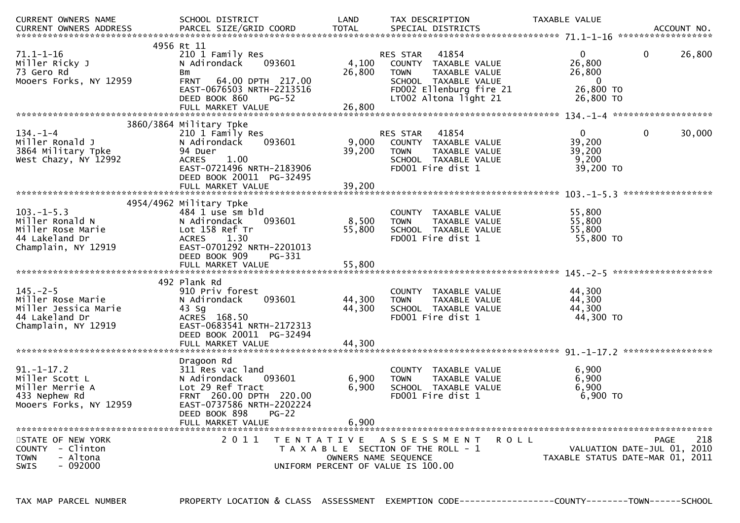| <b>CURRENT OWNERS NAME</b><br><b>CURRENT OWNERS ADDRESS</b>                                          | SCHOOL DISTRICT<br>PARCEL SIZE/GRID COORD                                                                                                                                                | LAND<br><b>TOTAL</b>       | TAX DESCRIPTION<br>SPECIAL DISTRICTS                                                                                                                         | TAXABLE VALUE                                                              | ACCOUNT NO.                                                                           |
|------------------------------------------------------------------------------------------------------|------------------------------------------------------------------------------------------------------------------------------------------------------------------------------------------|----------------------------|--------------------------------------------------------------------------------------------------------------------------------------------------------------|----------------------------------------------------------------------------|---------------------------------------------------------------------------------------|
| 71.1–1–16<br>Miller Ricky J<br>73 Gero Rd<br>Mooers Forks, NY 12959                                  | 4956 Rt 11<br>210 1 Family Res<br>N Adirondack<br>093601<br><b>B</b> m<br>64.00 DPTH 217.00<br><b>FRNT</b><br>EAST-0676503 NRTH-2213516<br>DEED BOOK 860<br>$PG-52$<br>FULL MARKET VALUE | 4,100<br>26,800<br>26,800  | 41854<br><b>RES STAR</b><br>COUNTY TAXABLE VALUE<br>TAXABLE VALUE<br><b>TOWN</b><br>SCHOOL TAXABLE VALUE<br>FD002 Ellenburg fire 21<br>LT002 Altona light 21 | $\mathbf{0}$<br>26,800<br>26,800<br>$\mathbf{0}$<br>26,800 TO<br>26,800 TO | 26,800<br>$\mathbf{0}$                                                                |
|                                                                                                      | 3860/3864 Military Tpke                                                                                                                                                                  |                            |                                                                                                                                                              |                                                                            |                                                                                       |
| $134. - 1 - 4$<br>Miller Ronald J<br>3864 Military Tpke<br>West Chazy, NY 12992                      | 210 1 Family Res<br>N Adirondack<br>093601<br>94 Duer<br><b>ACRES</b><br>1.00<br>EAST-0721496 NRTH-2183906<br>DEED BOOK 20011 PG-32495                                                   | 9,000<br>39,200            | 41854<br><b>RES STAR</b><br>COUNTY TAXABLE VALUE<br>TAXABLE VALUE<br><b>TOWN</b><br>SCHOOL TAXABLE VALUE<br>FD001 Fire dist 1                                | $\mathbf{0}$<br>39,200<br>39,200<br>9,200<br>39,200 TO                     | $\mathbf{0}$<br>30,000                                                                |
|                                                                                                      |                                                                                                                                                                                          |                            |                                                                                                                                                              |                                                                            | *****************                                                                     |
| $103. -1 - 5.3$<br>Miller Ronald N<br>Miller Rose Marie<br>44 Lakeland Dr<br>Champlain, NY 12919     | 4954/4962 Military Tpke<br>484 1 use sm bld<br>N Adirondack<br>093601<br>Lot 158 Ref Tr<br><b>ACRES</b><br>1.30<br>EAST-0701292 NRTH-2201013<br>DEED BOOK 909<br>PG-331                  | 8,500<br>55,800            | COUNTY TAXABLE VALUE<br><b>TOWN</b><br>TAXABLE VALUE<br>SCHOOL TAXABLE VALUE<br>FD001 Fire dist 1                                                            | 55,800<br>55,800<br>55,800<br>55,800 TO                                    |                                                                                       |
|                                                                                                      | FULL MARKET VALUE                                                                                                                                                                        | 55,800                     |                                                                                                                                                              |                                                                            |                                                                                       |
| $145. - 2 - 5$<br>Miller Rose Marie<br>Miller Jessica Marie<br>44 Lakeland Dr<br>Champlain, NY 12919 | 492 Plank Rd<br>910 Priv forest<br>093601<br>N Adirondack<br>43 Sg<br>ACRES 168.50<br>EAST-0683541 NRTH-2172313<br>DEED BOOK 20011 PG-32494<br>FULL MARKET VALUE                         | 44,300<br>44,300<br>44,300 | TAXABLE VALUE<br>COUNTY<br>TAXABLE VALUE<br><b>TOWN</b><br>SCHOOL TAXABLE VALUE<br>FD001 Fire dist 1                                                         | 44,300<br>44,300<br>44,300<br>44,300 TO                                    |                                                                                       |
|                                                                                                      |                                                                                                                                                                                          |                            |                                                                                                                                                              |                                                                            |                                                                                       |
| $91. - 1 - 17.2$<br>Miller Scott L<br>Miller Merrie A<br>433 Nephew Rd<br>Mooers Forks, NY 12959     | Dragoon Rd<br>311 Res vac land<br>N Adirondack<br>093601<br>Lot 29 Ref Tract<br>FRNT 260.00 DPTH 220.00<br>EAST-0737586 NRTH-2202224<br>DEED BOOK 898<br>$PG-22$                         | 6,900<br>6,900             | COUNTY TAXABLE VALUE<br><b>TOWN</b><br>TAXABLE VALUE<br>SCHOOL TAXABLE VALUE<br>FD001 Fire dist 1                                                            | 6,900<br>6,900<br>6,900<br>$6,900$ TO                                      |                                                                                       |
|                                                                                                      | FULL MARKET VALUE                                                                                                                                                                        | 6.900                      |                                                                                                                                                              |                                                                            |                                                                                       |
| STATE OF NEW YORK<br>COUNTY - Clinton<br>- Altona<br><b>TOWN</b><br>$-092000$<br><b>SWIS</b>         | 2 0 1 1                                                                                                                                                                                  | T E N T A T I V E          | ASSESSMENT<br>T A X A B L E SECTION OF THE ROLL - 1<br>OWNERS NAME SEQUENCE<br>UNIFORM PERCENT OF VALUE IS 100.00                                            | <b>ROLL</b>                                                                | 218<br><b>PAGE</b><br>VALUATION DATE-JUL 01, 2010<br>TAXABLE STATUS DATE-MAR 01, 2011 |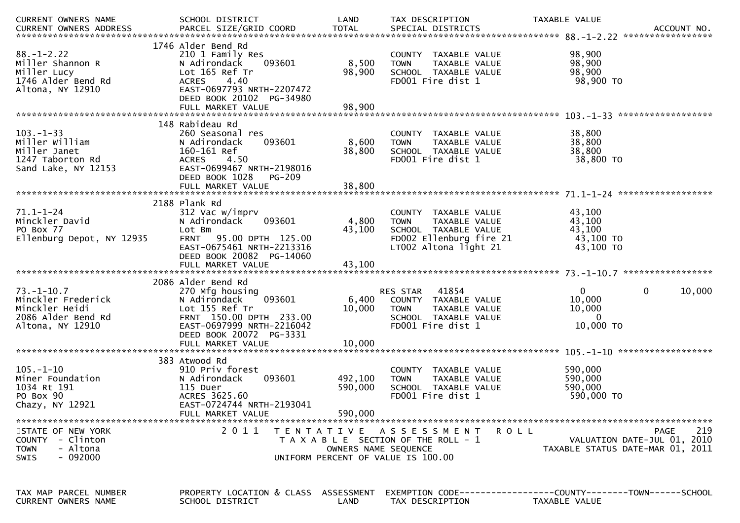| CURRENT OWNERS NAME                                                                                | SCHOOL DISTRICT                                                                                                                                                                          | LAND                          | TAX DESCRIPTION                                                                                                                  | TAXABLE VALUE                                                                   | ACCOUNT NO.<br>***************** |
|----------------------------------------------------------------------------------------------------|------------------------------------------------------------------------------------------------------------------------------------------------------------------------------------------|-------------------------------|----------------------------------------------------------------------------------------------------------------------------------|---------------------------------------------------------------------------------|----------------------------------|
| $88. - 1 - 2.22$<br>Miller Shannon R<br>Miller Lucy<br>1746 Alder Bend Rd<br>Altona, NY 12910      | 1746 Alder Bend Rd<br>210 1 Family Res<br>093601<br>N Adirondack<br>Lot 165 Ref Tr<br><b>ACRES</b><br>4.40<br>EAST-0697793 NRTH-2207472<br>DEED BOOK 20102 PG-34980<br>FULL MARKET VALUE | 8,500<br>98,900<br>98,900     | COUNTY TAXABLE VALUE<br><b>TOWN</b><br>TAXABLE VALUE<br>SCHOOL TAXABLE VALUE<br>FD001 Fire dist 1                                | 98,900<br>98,900<br>98,900<br>98,900 TO                                         |                                  |
|                                                                                                    | 148 Rabideau Rd                                                                                                                                                                          |                               |                                                                                                                                  |                                                                                 |                                  |
| $103. -1 - 33$<br>Miller William<br>Miller Janet<br>1247 Taborton Rd<br>Sand Lake, NY 12153        | 260 Seasonal res<br>093601<br>N Adirondack<br>160-161 Ref<br><b>ACRES</b><br>4.50<br>EAST-0699467 NRTH-2198016<br>DEED BOOK 1028<br>PG-209                                               | 8,600<br>38,800               | COUNTY TAXABLE VALUE<br><b>TOWN</b><br>TAXABLE VALUE<br>SCHOOL TAXABLE VALUE<br>FD001 Fire dist 1                                | 38,800<br>38,800<br>38,800<br>38,800 TO                                         |                                  |
|                                                                                                    |                                                                                                                                                                                          |                               |                                                                                                                                  |                                                                                 |                                  |
| $71.1 - 1 - 24$<br>Minckler David<br>PO Box 77<br>Ellenburg Depot, NY 12935                        | 2188 Plank Rd<br>312 Vac w/imprv<br>093601<br>N Adirondack<br>Lot Bm<br>95.00 DPTH 125.00<br><b>FRNT</b><br>EAST-0675461 NRTH-2213316<br>DEED BOOK 20082 PG-14060                        | 4,800<br>43,100               | COUNTY TAXABLE VALUE<br><b>TOWN</b><br>TAXABLE VALUE<br>SCHOOL TAXABLE VALUE<br>FD002 Ellenburg fire 21<br>LT002 Altona light 21 | 43,100<br>43,100<br>43,100<br>43,100 TO<br>43,100 TO                            |                                  |
|                                                                                                    | 2086 Alder Bend Rd                                                                                                                                                                       |                               |                                                                                                                                  |                                                                                 |                                  |
| $73. - 1 - 10.7$<br>Minckler Frederick<br>Minckler Heidi<br>2086 Alder Bend Rd<br>Altona, NY 12910 | 270 Mfg housing<br>093601<br>N Adirondack<br>Lot 155 Ref Tr<br>FRNT 150.00 DPTH 233.00<br>EAST-0697999 NRTH-2216042<br>DEED BOOK 20072 PG-3331                                           | 6,400<br>10,000               | 41854<br>RES STAR<br>COUNTY TAXABLE VALUE<br><b>TOWN</b><br>TAXABLE VALUE<br>SCHOOL TAXABLE VALUE<br>FD001 Fire dist 1           | $\overline{0}$<br>$\mathbf{0}$<br>10,000<br>10,000<br>$\mathbf{0}$<br>10,000 TO | 10,000                           |
|                                                                                                    |                                                                                                                                                                                          |                               |                                                                                                                                  |                                                                                 |                                  |
| $105. - 1 - 10$<br>Miner Foundation<br>1034 Rt 191<br>PO Box 90<br>Chazy, NY 12921                 | 383 Atwood Rd<br>910 Priv forest<br>093601<br>N Adirondack<br>115 Duer<br>ACRES 3625.60<br>EAST-0724744 NRTH-2193041<br>FULL MARKET VALUE                                                | 492,100<br>590,000<br>590,000 | COUNTY<br>TAXABLE VALUE<br>TAXABLE VALUE<br><b>TOWN</b><br>SCHOOL TAXABLE VALUE<br>FD001 Fire dist 1                             | 590,000<br>590,000<br>590,000<br>590,000 TO                                     |                                  |
| STATE OF NEW YORK<br>COUNTY - Clinton<br><b>TOWN</b><br>- Altona<br>- 092000<br>SWIS               |                                                                                                                                                                                          | OWNERS NAME SEQUENCE          | 2011 TENTATIVE ASSESSMENT<br>R O L L<br>T A X A B L E SECTION OF THE ROLL - 1<br>UNIFORM PERCENT OF VALUE IS 100.00              | VALUATION DATE-JUL 01, 2010<br>TAXABLE STATUS DATE-MAR 01, 2011                 | 219<br><b>PAGE</b>               |
| TAX MAP PARCEL NUMBER<br>CURRENT OWNERS NAME                                                       | PROPERTY LOCATION & CLASS ASSESSMENT<br>SCHOOL DISTRICT                                                                                                                                  | LAND                          | EXEMPTION CODE------------------COUNTY--------TOWN------SCHOOL<br>TAX DESCRIPTION                                                | TAXABLE VALUE                                                                   |                                  |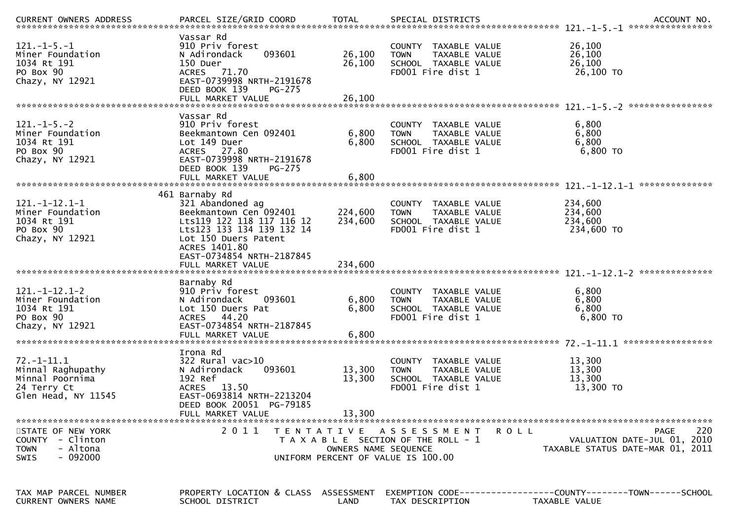| <b>CURRENT OWNERS ADDRESS</b>                                                                  |                                                                                                                                                                                              |                            |                                                                                                                |                                                                                |
|------------------------------------------------------------------------------------------------|----------------------------------------------------------------------------------------------------------------------------------------------------------------------------------------------|----------------------------|----------------------------------------------------------------------------------------------------------------|--------------------------------------------------------------------------------|
| $121 - 1 - 5 - 1$<br>Miner Foundation<br>1034 Rt 191<br>PO Box 90<br>Chazy, NY 12921           | Vassar Rd<br>910 Priv forest<br>093601<br>N Adirondack<br>150 Duer<br>ACRES 71.70<br>EAST-0739998 NRTH-2191678<br>DEED BOOK 139<br><b>PG-275</b><br>FULL MARKET VALUE                        | 26,100<br>26,100<br>26,100 | COUNTY TAXABLE VALUE<br>TAXABLE VALUE<br><b>TOWN</b><br>SCHOOL TAXABLE VALUE<br>FD001 Fire dist 1              | 26,100<br>26,100<br>26,100<br>26,100 TO                                        |
| $121 - 1 - 5 - 2$<br>Miner Foundation<br>1034 Rt 191<br>PO Box 90<br>Chazy, NY 12921           | Vassar Rd<br>910 Priv forest<br>Beekmantown Cen 092401<br>Lot 149 Duer<br>ACRES 27.80<br>EAST-0739998 NRTH-2191678<br>DEED BOOK 139<br><b>PG-275</b>                                         | 6,800<br>6,800             | COUNTY TAXABLE VALUE<br>TAXABLE VALUE<br><b>TOWN</b><br>SCHOOL TAXABLE VALUE<br>FD001 Fire dist 1              | 6,800<br>6,800<br>6,800<br>$6,800$ TO                                          |
|                                                                                                | FULL MARKET VALUE                                                                                                                                                                            | 6,800                      |                                                                                                                |                                                                                |
| $121. -1 - 12.1 - 1$<br>Miner Foundation<br>1034 Rt 191<br>PO Box 90<br>Chazy, NY 12921        | 461 Barnaby Rd<br>321 Abandoned ag<br>Beekmantown Cen 092401<br>Lts119 122 118 117 116 12<br>Lts123 133 134 139 132 14<br>Lot 150 Duers Patent<br>ACRES 1401.80<br>EAST-0734854 NRTH-2187845 | 224,600<br>234,600         | COUNTY TAXABLE VALUE<br>TAXABLE VALUE<br><b>TOWN</b><br>SCHOOL TAXABLE VALUE<br>FD001 Fire dist 1              | 234,600<br>234,600<br>234,600<br>234,600 TO                                    |
|                                                                                                |                                                                                                                                                                                              |                            |                                                                                                                |                                                                                |
| $121. -1 - 12.1 - 2$<br>Miner Foundation<br>1034 Rt 191<br>PO Box 90<br>Chazy, NY 12921        | Barnaby Rd<br>910 Priv forest<br>N Adirondack<br>093601<br>Lot 150 Duers Pat<br><b>ACRES</b><br>44.20<br>EAST-0734854 NRTH-2187845<br>FULL MARKET VALUE                                      | 6,800<br>6,800<br>6,800    | COUNTY TAXABLE VALUE<br><b>TOWN</b><br>TAXABLE VALUE<br>SCHOOL TAXABLE VALUE<br>FD001 Fire dist 1              | 6,800<br>6,800<br>6,800<br>6,800 TO<br>*****************                       |
| $72. - 1 - 11.1$<br>Minnal Raghupathy<br>Minnal Poornima<br>24 Terry Ct<br>Glen Head, NY 11545 | Irona Rd<br>$322$ Rural vac $>10$<br>093601<br>N Adirondack<br>192 Ref<br>ACRES 13.50<br>EAST-0693814 NRTH-2213204<br>DEED BOOK 20051 PG-79185<br>FULL MARKET VALUE                          | 13,300<br>13,300<br>13,300 | COUNTY TAXABLE VALUE<br><b>TOWN</b><br>TAXABLE VALUE<br>SCHOOL TAXABLE VALUE<br>FD001 Fire dist 1              | 13,300<br>13,300<br>13,300<br>13,300 TO                                        |
| STATE OF NEW YORK<br>COUNTY - Clinton<br>- Altona<br><b>TOWN</b><br>$-092000$<br><b>SWIS</b>   | 2011                                                                                                                                                                                         | OWNERS NAME SEQUENCE       | TENTATIVE ASSESSMENT<br>R O L L<br>T A X A B L E SECTION OF THE ROLL - 1<br>UNIFORM PERCENT OF VALUE IS 100.00 | 220<br>PAGE<br>VALUATION DATE-JUL 01, 2010<br>TAXABLE STATUS DATE-MAR 01, 2011 |
| TAX MAP PARCEL NUMBER<br><b>CURRENT OWNERS NAME</b>                                            | PROPERTY LOCATION & CLASS ASSESSMENT<br>SCHOOL DISTRICT                                                                                                                                      | LAND                       | TAX DESCRIPTION                                                                                                | TAXABLE VALUE                                                                  |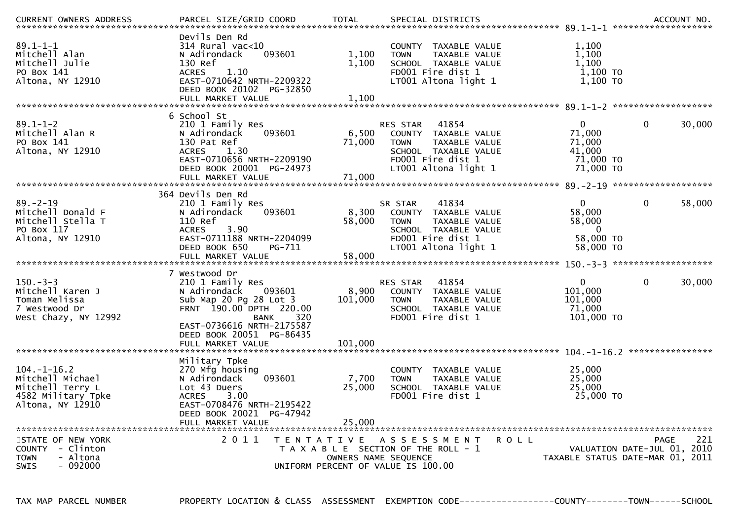| <b>CURRENT OWNERS ADDRESS</b>                                                                       |                                                                                                                                                                                                                      |                             |                                                                                                                                                  |             |                                                                      |                                                                                |
|-----------------------------------------------------------------------------------------------------|----------------------------------------------------------------------------------------------------------------------------------------------------------------------------------------------------------------------|-----------------------------|--------------------------------------------------------------------------------------------------------------------------------------------------|-------------|----------------------------------------------------------------------|--------------------------------------------------------------------------------|
| $89.1 - 1 - 1$<br>Mitchell Alan<br>Mitchell Julie<br>PO Box 141<br>Altona, NY 12910                 | Devils Den Rd<br>314 Rural vac<10<br>093601<br>N Adirondack<br>130 Ref<br>1.10<br><b>ACRES</b><br>EAST-0710642 NRTH-2209322<br>DEED BOOK 20102 PG-32850                                                              | 1,100<br>1,100              | COUNTY TAXABLE VALUE<br>TAXABLE VALUE<br><b>TOWN</b><br>SCHOOL TAXABLE VALUE<br>FD001 Fire dist 1<br>LT001 Altona light 1                        |             | 1,100<br>1,100<br>1,100<br>$1,100$ TO<br>1,100 TO                    |                                                                                |
|                                                                                                     | 6 School St                                                                                                                                                                                                          |                             |                                                                                                                                                  |             |                                                                      |                                                                                |
| $89.1 - 1 - 2$<br>Mitchell Alan R<br>PO Box 141<br>Altona, NY 12910                                 | 210 1 Family Res<br>093601<br>N Adirondack<br>130 Pat Ref<br><b>ACRES</b><br>1.30<br>EAST-0710656 NRTH-2209190<br>DEED BOOK 20001 PG-24973<br>FULL MARKET VALUE                                                      | 6,500<br>71,000<br>71,000   | RES STAR<br>41854<br>COUNTY TAXABLE VALUE<br>TAXABLE VALUE<br><b>TOWN</b><br>SCHOOL TAXABLE VALUE<br>FD001 Fire dist 1<br>LT001 Altona light 1   |             | $\mathbf{0}$<br>71,000<br>71,000<br>41,000<br>71,000 TO<br>71,000 TO | $\mathbf 0$<br>30,000                                                          |
|                                                                                                     |                                                                                                                                                                                                                      |                             |                                                                                                                                                  |             |                                                                      |                                                                                |
| $89. - 2 - 19$<br>Mitchell Donald F<br>Mitchell Stella T<br>PO Box 117<br>Altona, NY 12910          | 364 Devils Den Rd<br>210 1 Family Res<br>N Adirondack<br>093601<br>110 Ref<br>3.90<br><b>ACRES</b><br>EAST-0711188 NRTH-2204099<br>DEED BOOK 650<br>PG-711<br>FULL MARKET VALUE                                      | 8,300<br>58,000<br>58,000   | SR STAR<br>41834<br>TAXABLE VALUE<br>COUNTY<br><b>TOWN</b><br>TAXABLE VALUE<br>SCHOOL TAXABLE VALUE<br>FD001 Fire dist 1<br>LT001 Altona light 1 |             | $\overline{0}$<br>58,000<br>58,000<br>0<br>58,000 TO<br>58,000 TO    | $\mathbf 0$<br>58,000                                                          |
|                                                                                                     |                                                                                                                                                                                                                      |                             |                                                                                                                                                  |             |                                                                      |                                                                                |
| $150. - 3 - 3$<br>Mitchell Karen J<br>Toman Melissa<br>7 Westwood Dr<br>West Chazy, NY 12992        | 7 Westwood Dr<br>210 1 Family Res<br>N Adirondack<br>093601<br>Sub Map 20 Pg 28 Lot 3<br>FRNT 190.00 DPTH 220.00<br><b>BANK</b><br>320<br>EAST-0736616 NRTH-2175587<br>DEED BOOK 20051 PG-86435<br>FULL MARKET VALUE | 8,900<br>101,000<br>101,000 | 41854<br>RES STAR<br>COUNTY TAXABLE VALUE<br><b>TOWN</b><br>TAXABLE VALUE<br>SCHOOL TAXABLE VALUE<br>FD001 Fire dist 1                           |             | $\mathbf{0}$<br>101,000<br>101,000<br>71,000<br>101,000 TO           | $\mathbf 0$<br>30,000                                                          |
|                                                                                                     |                                                                                                                                                                                                                      |                             |                                                                                                                                                  |             |                                                                      | ****************                                                               |
| $104. - 1 - 16.2$<br>Mitchell Michael<br>Mitchell Terry L<br>4582 Military Tpke<br>Altona, NY 12910 | Military Tpke<br>270 Mfg housing<br>093601<br>N Adirondack<br>Lot 43 Duers<br><b>ACRES</b><br>3.00<br>EAST-0708476 NRTH-2195422<br>DEED BOOK 20021 PG-47942                                                          | 7,700<br>25,000             | TAXABLE VALUE<br><b>COUNTY</b><br>TAXABLE VALUE<br><b>TOWN</b><br>SCHOOL TAXABLE VALUE<br>FD001 Fire dist 1                                      |             | 25,000<br>25,000<br>25,000<br>25,000 TO                              |                                                                                |
|                                                                                                     | FULL MARKET VALUE                                                                                                                                                                                                    | 25,000                      |                                                                                                                                                  |             |                                                                      |                                                                                |
| STATE OF NEW YORK<br>- Clinton<br>COUNTY<br>- Altona<br><b>TOWN</b><br>SWIS<br>- 092000             | 2 0 1 1                                                                                                                                                                                                              | OWNERS NAME SEQUENCE        | TENTATIVE ASSESSMENT<br>T A X A B L E SECTION OF THE ROLL - 1<br>UNIFORM PERCENT OF VALUE IS 100.00                                              | <b>ROLL</b> |                                                                      | 221<br>PAGE<br>VALUATION DATE-JUL 01, 2010<br>TAXABLE STATUS DATE-MAR 01, 2011 |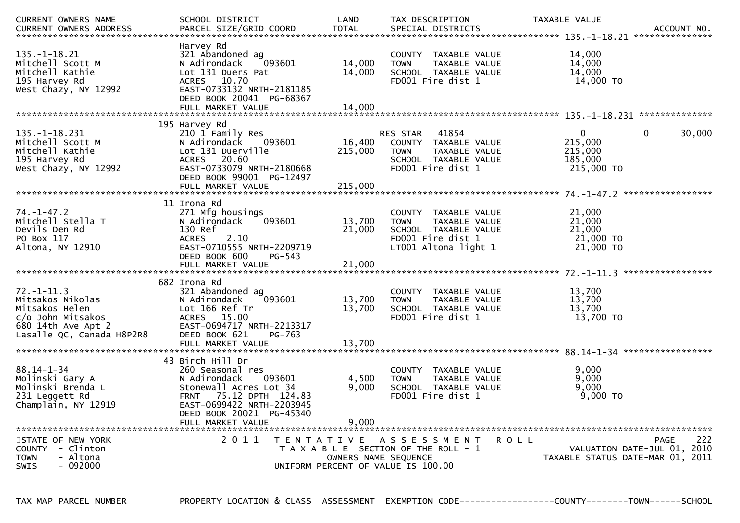| CURRENT OWNERS NAME<br>CURRENT OWNERS ADDRESS                                                                                  | SCHOOL DISTRICT<br>PARCEL SIZE/GRID COORD                                                                                                                                                           | LAND<br><b>TOTAL</b>                                       | TAX DESCRIPTION<br>SPECIAL DISTRICTS                                                                                      | TAXABLE VALUE                                               | ACCOUNT NO.<br>*************** |
|--------------------------------------------------------------------------------------------------------------------------------|-----------------------------------------------------------------------------------------------------------------------------------------------------------------------------------------------------|------------------------------------------------------------|---------------------------------------------------------------------------------------------------------------------------|-------------------------------------------------------------|--------------------------------|
| $135. - 1 - 18.21$<br>Mitchell Scott M<br>Mitchell Kathie<br>195 Harvey Rd<br>West Chazy, NY 12992                             | Harvey Rd<br>321 Abandoned ag<br>N Adirondack<br>093601<br>Lot 131 Duers Pat<br>ACRES 10.70<br>EAST-0733132 NRTH-2181185<br>DEED BOOK 20041 PG-68367<br>FULL MARKET VALUE                           | 14,000<br>14,000<br>14,000                                 | COUNTY TAXABLE VALUE<br>TAXABLE VALUE<br><b>TOWN</b><br>SCHOOL TAXABLE VALUE<br>FD001 Fire dist 1                         | 14,000<br>14,000<br>14,000<br>14,000 TO                     |                                |
|                                                                                                                                | 195 Harvey Rd                                                                                                                                                                                       |                                                            |                                                                                                                           |                                                             |                                |
| $135. -1 - 18.231$<br>Mitchell Scott M<br>Mitchell Kathie<br>195 Harvey Rd<br>West Chazy, NY 12992                             | 210 1 Family Res<br>N Adirondack<br>093601<br>Lot 131 Duerville<br>20.60<br>ACRES<br>EAST-0733079 NRTH-2180668<br>DEED BOOK 99001 PG-12497                                                          | 16,400<br>215,000                                          | 41854<br>RES STAR<br>COUNTY TAXABLE VALUE<br><b>TOWN</b><br>TAXABLE VALUE<br>SCHOOL TAXABLE VALUE<br>FD001 Fire dist 1    | $\mathbf{0}$<br>215,000<br>215,000<br>185,000<br>215,000 TO | $\mathbf{0}$<br>30,000         |
|                                                                                                                                | FULL MARKET VALUE                                                                                                                                                                                   | 215,000                                                    |                                                                                                                           |                                                             |                                |
| $74. - 1 - 47.2$<br>Mitchell Stella T<br>Devils Den Rd<br>PO Box 117<br>Altona, NY 12910                                       | 11 Irona Rd<br>271 Mfg housings<br>093601<br>N Adirondack<br>130 Ref<br>2.10<br><b>ACRES</b><br>EAST-0710555 NRTH-2209719<br>DEED BOOK 600<br>$PG-543$                                              | 13,700<br>21,000                                           | COUNTY TAXABLE VALUE<br><b>TOWN</b><br>TAXABLE VALUE<br>SCHOOL TAXABLE VALUE<br>FD001 Fire dist 1<br>LT001 Altona light 1 | 21,000<br>21,000<br>21,000<br>21,000 TO<br>21,000 TO        |                                |
|                                                                                                                                | 682 Irona Rd                                                                                                                                                                                        |                                                            |                                                                                                                           |                                                             | *****************              |
| $72. - 1 - 11.3$<br>Mitsakos Nikolas<br>Mitsakos Helen<br>c/o John Mitsakos<br>680 14th Ave Apt 2<br>Lasalle QC, Canada H8P2R8 | 321 Abandoned ag<br>N Adirondack<br>093601<br>Lot 166 Ref Tr<br><b>ACRES</b><br>15.00<br>EAST-0694717 NRTH-2213317<br>DEED BOOK 621<br>PG-763                                                       | 13,700<br>13,700                                           | COUNTY TAXABLE VALUE<br>TAXABLE VALUE<br><b>TOWN</b><br>SCHOOL TAXABLE VALUE<br>FD001 Fire dist 1                         | 13,700<br>13,700<br>13,700<br>13,700 TO                     |                                |
|                                                                                                                                | FULL MARKET VALUE                                                                                                                                                                                   | 13,700                                                     |                                                                                                                           |                                                             |                                |
| $88.14 - 1 - 34$<br>Molinski Gary A<br>Molinski Brenda L<br>231 Leggett Rd<br>Champlain, NY 12919                              | 43 Birch Hill Dr<br>260 Seasonal res<br>N Adirondack<br>093601<br>Stonewall Acres Lot 34<br>75.12 DPTH 124.83<br>FRNT<br>EAST-0699422 NRTH-2203945<br>DEED BOOK 20021 PG-45340<br>FULL MARKET VALUE | 4,500<br>9,000<br>9.000                                    | COUNTY TAXABLE VALUE<br><b>TOWN</b><br>TAXABLE VALUE<br>SCHOOL TAXABLE VALUE<br>FD001 Fire dist 1                         | 9,000<br>9,000<br>9,000<br>$9,000$ TO                       |                                |
| STATE OF NEW YORK                                                                                                              | 2011                                                                                                                                                                                                | T E N T A T I V E                                          | ASSESSMENT                                                                                                                | <b>ROLL</b>                                                 | 222<br><b>PAGE</b>             |
| COUNTY - Clinton<br>- Altona<br><b>TOWN</b><br><b>SWIS</b><br>- 092000                                                         |                                                                                                                                                                                                     | OWNERS NAME SEQUENCE<br>UNIFORM PERCENT OF VALUE IS 100.00 | T A X A B L E SECTION OF THE ROLL - 1                                                                                     | TAXABLE STATUS DATE-MAR 01, 2011                            | VALUATION DATE-JUL 01, 2010    |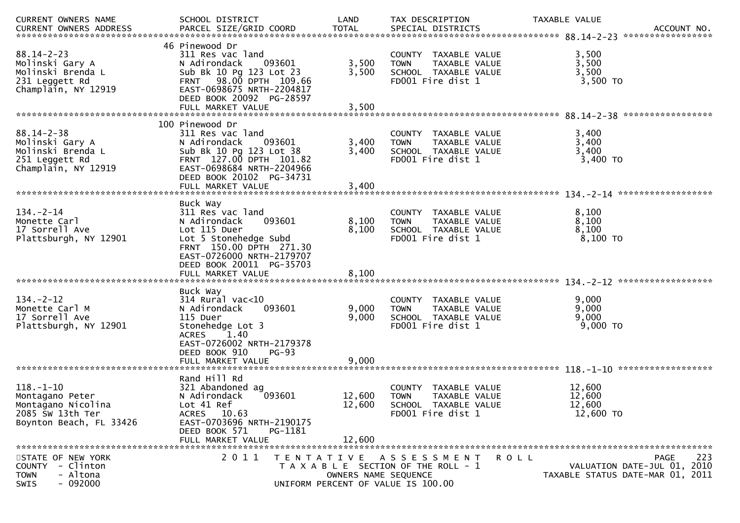| CURRENT OWNERS NAME                                                                                     | SCHOOL DISTRICT                                                                                                                                                                                   | LAND                                                                                                                        | TAX DESCRIPTION                                                                                   | TAXABLE VALUE                           | ACCOUNT NO.<br>*****************                                               |
|---------------------------------------------------------------------------------------------------------|---------------------------------------------------------------------------------------------------------------------------------------------------------------------------------------------------|-----------------------------------------------------------------------------------------------------------------------------|---------------------------------------------------------------------------------------------------|-----------------------------------------|--------------------------------------------------------------------------------|
| $88.14 - 2 - 23$<br>Molinski Gary A<br>Molinski Brenda L<br>231 Leggett Rd<br>Champlain, NY 12919       | 46 Pinewood Dr<br>311 Res vac land<br>N Adirondack<br>093601<br>Sub Bk 10 Pg 123 Lot 23<br>FRNT 98.00 DPTH 109.66<br>EAST-0698675 NRTH-2204817<br>DEED BOOK 20092 PG-28597<br>FULL MARKET VALUE   | 3,500<br>3,500<br>3,500                                                                                                     | COUNTY TAXABLE VALUE<br>TAXABLE VALUE<br><b>TOWN</b><br>SCHOOL TAXABLE VALUE<br>FD001 Fire dist 1 | 3,500<br>3,500<br>3,500<br>3,500 TO     |                                                                                |
| $88.14 - 2 - 38$<br>Molinski Gary A<br>Molinski Brenda L<br>251 Leggett Rd<br>Champlain, NY 12919       | 100 Pinewood Dr<br>311 Res vac land<br>093601<br>N Adirondack<br>Sub Bk 10 Pg 123 Lot 38<br>FRNT 127.00 DPTH 101.82<br>EAST-0698684 NRTH-2204966<br>DEED BOOK 20102 PG-34731<br>FULL MARKET VALUE | 3,400<br>3,400<br>3,400                                                                                                     | COUNTY TAXABLE VALUE<br><b>TOWN</b><br>TAXABLE VALUE<br>SCHOOL TAXABLE VALUE<br>FD001 Fire dist 1 | 3,400<br>3,400<br>3,400<br>3,400 TO     |                                                                                |
| $134. - 2 - 14$<br>Monette Carl<br>17 Sorrell Ave<br>Plattsburgh, NY 12901                              | Buck Way<br>311 Res vac land<br>093601<br>N Adirondack<br>Lot 115 Duer<br>Lot 5 Stonehedge Subd<br>FRNT 150.00 DPTH 271.30<br>EAST-0726000 NRTH-2179707<br>DEED BOOK 20011 PG-35703               | 8,100<br>8,100                                                                                                              | COUNTY TAXABLE VALUE<br>TAXABLE VALUE<br><b>TOWN</b><br>SCHOOL TAXABLE VALUE<br>FD001 Fire dist 1 | 8,100<br>8,100<br>8,100<br>8,100 TO     |                                                                                |
| $134. - 2 - 12$<br>Monette Carl M<br>17 Sorrell Ave<br>Plattsburgh, NY 12901                            | Buck Way<br>$314$ Rural vac<10<br>093601<br>N Adirondack<br>115 Duer<br>Stonehedge Lot 3<br>1.40<br><b>ACRES</b><br>EAST-0726002 NRTH-2179378<br>DEED BOOK 910<br>FULL MARKET VALUE               | 9,000<br>9,000<br>$PG-93$<br>9,000                                                                                          | COUNTY TAXABLE VALUE<br><b>TOWN</b><br>TAXABLE VALUE<br>SCHOOL TAXABLE VALUE<br>FD001 Fire dist 1 | 9,000<br>9,000<br>9,000<br>9,000 TO     |                                                                                |
| $118. - 1 - 10$<br>Montagano Peter<br>Montagano Nicolina<br>2085 Sw 13th Ter<br>Boynton Beach, FL 33426 | Rand Hill Rd<br>321 Abandoned ag<br>093601<br>N Adirondack<br>Lot 41 Ref<br>ACRES 10.63<br>EAST-0703696 NRTH-2190175<br>DEED BOOK 571<br>FULL MARKET VALUE                                        | 12,600<br>12,600<br>PG-1181<br>12,600                                                                                       | COUNTY TAXABLE VALUE<br><b>TOWN</b><br>TAXABLE VALUE<br>SCHOOL TAXABLE VALUE<br>FD001 Fire dist 1 | 12,600<br>12,600<br>12,600<br>12,600 TO |                                                                                |
| STATE OF NEW YORK<br>- Clinton<br><b>COUNTY</b><br>- Altona<br><b>TOWN</b><br>$-092000$<br><b>SWIS</b>  | 2 0 1 1                                                                                                                                                                                           | TENTATIVE ASSESSMENT<br>T A X A B L E SECTION OF THE ROLL - 1<br>OWNERS NAME SEQUENCE<br>UNIFORM PERCENT OF VALUE IS 100.00 |                                                                                                   | R O L L                                 | 223<br>PAGE<br>VALUATION DATE-JUL 01, 2010<br>TAXABLE STATUS DATE-MAR 01, 2011 |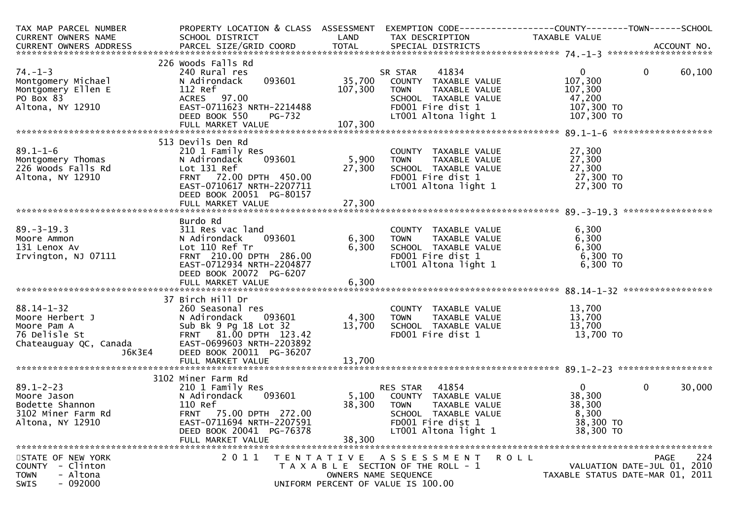| TAX MAP PARCEL NUMBER                    | PROPERTY LOCATION & CLASS ASSESSMENT                |                   | EXEMPTION CODE-----------------COUNTY-------TOWN------SCHOOL |                         |                                  |
|------------------------------------------|-----------------------------------------------------|-------------------|--------------------------------------------------------------|-------------------------|----------------------------------|
| CURRENT OWNERS NAME                      | SCHOOL DISTRICT                                     | LAND              | TAX DESCRIPTION                                              | TAXABLE VALUE           |                                  |
|                                          |                                                     |                   |                                                              |                         |                                  |
|                                          | 226 Woods Falls Rd                                  |                   |                                                              |                         |                                  |
| $74. - 1 - 3$                            | 240 Rural res<br>093601                             | 35,700            | 41834<br>SR STAR                                             | $\mathbf{0}$<br>107,300 | $\mathbf 0$<br>60,100            |
| Montgomery Michael<br>Montgomery Ellen E | N Adirondack<br>112 Ref                             | 107,300           | COUNTY TAXABLE VALUE<br>TAXABLE VALUE<br><b>TOWN</b>         | 107,300                 |                                  |
| PO Box 83                                | ACRES 97.00                                         |                   | SCHOOL TAXABLE VALUE                                         | 47,200                  |                                  |
| Altona, NY 12910                         | EAST-0711623 NRTH-2214488                           |                   | FD001 Fire dist 1                                            | 107,300 TO              |                                  |
|                                          | DEED BOOK 550<br><b>PG-732</b>                      |                   | LT001 Altona light 1                                         | 107,300 TO              |                                  |
|                                          |                                                     |                   |                                                              |                         | *******************              |
|                                          | 513 Devils Den Rd                                   |                   |                                                              |                         |                                  |
| $89.1 - 1 - 6$                           | 210 1 Family Res                                    |                   | COUNTY TAXABLE VALUE                                         | 27,300                  |                                  |
| Montgomery Thomas                        | 093601<br>N Adirondack                              | 5,900             | TAXABLE VALUE<br><b>TOWN</b>                                 | 27,300                  |                                  |
| 226 Woods Falls Rd                       | Lot 131 Ref                                         | 27,300            | SCHOOL TAXABLE VALUE                                         | 27,300                  |                                  |
| Altona, NY 12910                         | FRNT 72.00 DPTH 450.00<br>EAST-0710617 NRTH-2207711 |                   | FD001 Fire dist 1                                            | 27,300 TO               |                                  |
|                                          | DEED BOOK 20051 PG-80157                            |                   | LT001 Altona light 1                                         | 27,300 TO               |                                  |
|                                          |                                                     |                   |                                                              |                         |                                  |
|                                          |                                                     |                   |                                                              |                         |                                  |
|                                          | Burdo Rd                                            |                   |                                                              |                         |                                  |
| $89. - 3 - 19.3$<br>Moore Ammon          | 311 Res vac land<br>093601<br>N Adirondack          | 6,300             | COUNTY TAXABLE VALUE<br>TAXABLE VALUE<br><b>TOWN</b>         | 6,300<br>6,300          |                                  |
| 131 Lenox Av                             | Lot 110 Ref Tr                                      | 6,300             | SCHOOL TAXABLE VALUE                                         | 6,300                   |                                  |
| Irvington, NJ 07111                      | FRNT 210.00 DPTH 286.00                             |                   | FD001 Fire dist 1                                            | $6,300$ TO              |                                  |
|                                          | EAST-0712934 NRTH-2204877                           |                   | LT001 Altona light 1                                         | 6,300 ТО                |                                  |
|                                          | DEED BOOK 20072 PG-6207                             |                   |                                                              |                         |                                  |
|                                          |                                                     |                   |                                                              |                         |                                  |
|                                          | 37 Birch Hill Dr                                    |                   |                                                              |                         |                                  |
| $88.14 - 1 - 32$                         | 260 Seasonal res                                    |                   | COUNTY TAXABLE VALUE                                         | 13,700                  |                                  |
| Moore Herbert J                          | N Adirondack 093601                                 | 4,300             | <b>TOWN</b><br>TAXABLE VALUE                                 | 13,700                  |                                  |
| Moore Pam A                              | Sub Bk 9 Pg 18 Lot 32                               | 13,700            | SCHOOL TAXABLE VALUE                                         | 13,700                  |                                  |
| 76 Delisle St<br>Chateauguay QC, Canada  | FRNT 81.00 DPTH 123.42<br>EAST-0699603 NRTH-2203892 |                   | FD001 Fire dist 1                                            | 13,700 TO               |                                  |
| J6K3E4                                   | DEED BOOK 20011 PG-36207                            |                   |                                                              |                         |                                  |
|                                          | FULL MARKET VALUE                                   | 13,700            |                                                              |                         |                                  |
|                                          |                                                     |                   |                                                              |                         |                                  |
| $89.1 - 2 - 23$                          | 3102 Miner Farm Rd<br>210 1 Family Res              |                   | RES STAR 41854                                               | $\mathbf{0}$            | $\mathbf 0$<br>30,000            |
| Moore Jason                              | N Adirondack<br>093601                              | 5,100             | COUNTY TAXABLE VALUE                                         | 38,300                  |                                  |
| Bodette Shannon                          | 110 Ref                                             | 38,300            | <b>TOWN</b><br>TAXABLE VALUE                                 | 38,300                  |                                  |
| 3102 Miner Farm Rd                       | FRNT 75.00 DPTH 272.00                              |                   | SCHOOL TAXABLE VALUE                                         | 8,300                   |                                  |
| Altona, NY 12910                         | EAST-0711694 NRTH-2207591                           |                   | FD001 Fire dist 1<br>LT001 Altona light 1                    | 38,300 TO               |                                  |
|                                          | DEED BOOK 20041 PG-76378<br>FULL MARKET VALUE       | 38,300            |                                                              | 38,300 TO               |                                  |
|                                          |                                                     |                   |                                                              |                         |                                  |
| STATE OF NEW YORK                        | 2011                                                | T E N T A T I V E | A S S E S S M E N T                                          | <b>ROLL</b>             | 224<br><b>PAGE</b>               |
| COUNTY - Clinton                         |                                                     |                   | T A X A B L E SECTION OF THE ROLL - 1                        |                         | VALUATION DATE-JUL 01, 2010      |
| - Altona<br><b>TOWN</b><br>$-092000$     |                                                     |                   | OWNERS NAME SEQUENCE                                         |                         | TAXABLE STATUS DATE-MAR 01, 2011 |
| <b>SWIS</b>                              |                                                     |                   | UNIFORM PERCENT OF VALUE IS 100.00                           |                         |                                  |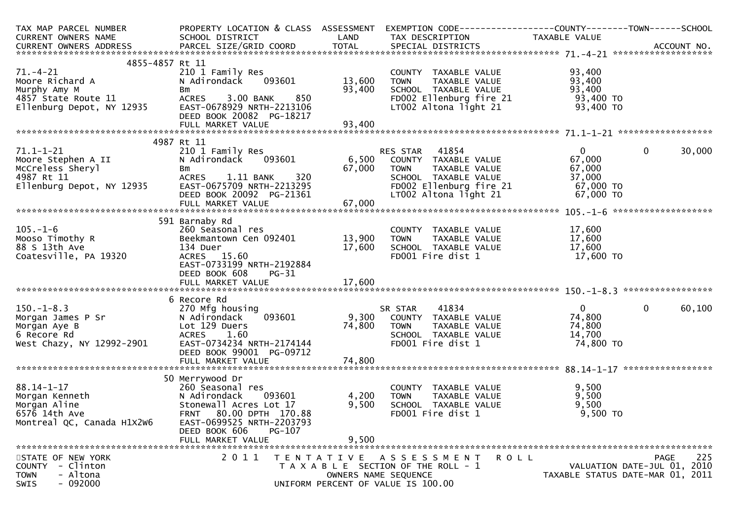| TAX MAP PARCEL NUMBER                                            | PROPERTY LOCATION & CLASS ASSESSMENT                  |        |                                                                                                | EXEMPTION CODE-----------------COUNTY--------TOWN------SCHOOL |        |
|------------------------------------------------------------------|-------------------------------------------------------|--------|------------------------------------------------------------------------------------------------|---------------------------------------------------------------|--------|
| CURRENT OWNERS NAME                                              | SCHOOL DISTRICT                                       | LAND   | TAX DESCRIPTION                                                                                | TAXABLE VALUE                                                 |        |
|                                                                  |                                                       |        |                                                                                                |                                                               |        |
| 4855-4857 Rt 11                                                  |                                                       |        |                                                                                                |                                                               |        |
| $71. - 4 - 21$                                                   | 210 1 Family Res                                      |        | COUNTY TAXABLE VALUE                                                                           | 93,400                                                        |        |
| Moore Richard A                                                  | N Adirondack 093601                                   | 13,600 |                                                                                                | 93,400                                                        |        |
|                                                                  | Bm                                                    | 93,400 | SCHOOL TAXABLE VALUE                                                                           | 93,400                                                        |        |
|                                                                  | 850<br>ACRES 3.00 BANK                                |        |                                                                                                | 93,400 TO                                                     |        |
| Murphy Amy M<br>4857 State Route 11<br>Ellenburg Depot, NY 12935 | EAST-0678929 NRTH-2213106<br>DEED BOOK 20082 PG-18217 |        | FD002 Ellenburg fire 21<br>LT002 Altona light 21                                               | 93,400 TO                                                     |        |
|                                                                  |                                                       |        |                                                                                                |                                                               |        |
|                                                                  |                                                       |        |                                                                                                |                                                               |        |
|                                                                  | 4987 Rt 11                                            |        |                                                                                                | $\mathbf{0}$                                                  |        |
| 71.1–1–21<br>Moore Stephen A II                                  | 210 1 Family Res<br>N Adirondack 093601               |        | RES STAR 41854<br>RES STAR     41854<br>6,500    COUNTY   TAXABLE  VALUE                       | $\mathbf{0}$<br>67,000                                        | 30,000 |
|                                                                  | Bm                                                    | 67,000 | TAXABLE VALUE<br><b>TOWN</b>                                                                   | 67,000                                                        |        |
| McCreless Sheryl<br>4987 Rt 11<br>Ellenburg Depot, NY 12935      | 320<br>ACRES 1.11 BANK                                |        | SCHOOL TAXABLE VALUE                                                                           | 37,000                                                        |        |
|                                                                  | EAST-0675709 NRTH-2213295                             |        | SCHOOL TAXABLE VALUE<br>FD002 Ellenburg fire 21<br>LT003 :                                     | $57,000$ TO                                                   |        |
|                                                                  | DEED BOOK 20092 PG-21361                              |        | LT002 Altona light 21                                                                          | 67,000 TO                                                     |        |
|                                                                  |                                                       |        |                                                                                                |                                                               |        |
|                                                                  |                                                       |        |                                                                                                |                                                               |        |
|                                                                  | 591 Barnaby Rd                                        |        |                                                                                                |                                                               |        |
| $105. - 1 - 6$                                                   | 260 Seasonal res                                      |        | COUNTY TAXABLE VALUE                                                                           | 17,600                                                        |        |
| Mooso Timothy R                                                  | Beekmantown Cen 092401 13,900                         |        | <b>TOWN</b><br>TAXABLE VALUE                                                                   | 17,600                                                        |        |
| 88 S 13th Ave                                                    | 134 Duer                                              | 17,600 | SCHOOL TAXABLE VALUE                                                                           | 17,600                                                        |        |
| Coatesville, PA 19320                                            | ACRES 15.60                                           |        | FD001 Fire dist 1                                                                              | 17,600 TO                                                     |        |
|                                                                  | EAST-0733199 NRTH-2192884                             |        |                                                                                                |                                                               |        |
|                                                                  | DEED BOOK 608<br>PG-31                                |        |                                                                                                |                                                               |        |
|                                                                  |                                                       |        |                                                                                                |                                                               |        |
|                                                                  |                                                       |        |                                                                                                |                                                               |        |
|                                                                  | 6 Recore Rd                                           |        |                                                                                                |                                                               |        |
| $150.-1-8.3$                                                     | 270 Mfg housing                                       |        | 41834<br>SR STAR        41834<br>093601                      9,300     COUNTY   TAXABLE  VALUE | $\overline{0}$<br>$\mathbf 0$                                 | 60,100 |
|                                                                  | N Adirondack                                          |        |                                                                                                | 74,800<br>74,800                                              |        |
| Morgan James P Sr<br>Morgan Aye B<br>6 Recore Rd                 | Lot 129 Duers<br>ACRES 1.60                           | 74,800 | TAXABLE VALUE<br><b>TOWN</b><br>SCHOOL TAXABLE VALUE                                           | 14,700                                                        |        |
| West Chazy, NY 12992-2901                                        | EAST-0734234 NRTH-2174144                             |        | FD001 Fire dist 1                                                                              | 74,800 TO                                                     |        |
|                                                                  | DEED BOOK 99001 PG-09712                              |        |                                                                                                |                                                               |        |
|                                                                  |                                                       |        |                                                                                                |                                                               |        |
|                                                                  |                                                       |        |                                                                                                |                                                               |        |
|                                                                  | 50 Merrywood Dr                                       |        |                                                                                                |                                                               |        |
| $88.14 - 1 - 17$                                                 | 260 Seasonal res                                      |        | COUNTY TAXABLE VALUE                                                                           | 9,500                                                         |        |
| Morgan Kenneth<br>Morgan Aline<br>6576 14th Ave                  | 093601<br>N Adirondack                                | 4,200  | TAXABLE VALUE<br><b>TOWN</b>                                                                   | 9,500                                                         |        |
|                                                                  | Stonewall Acres Lot 17                                | 9,500  | SCHOOL TAXABLE VALUE                                                                           | 9,500                                                         |        |
|                                                                  | FRNT 80.00 DPTH 170.88                                |        | FD001 Fire dist 1                                                                              | 9,500 TO                                                      |        |
| Montreal QC, Canada H1X2W6                                       | EAST-0699525 NRTH-2203793                             |        |                                                                                                |                                                               |        |
|                                                                  | DEED BOOK 606<br><b>PG-107</b>                        |        |                                                                                                |                                                               |        |
|                                                                  | FULL MARKET VALUE                                     | 9,500  |                                                                                                |                                                               |        |
|                                                                  |                                                       |        |                                                                                                |                                                               |        |
| STATE OF NEW YORK<br>COUNTY - Clinton                            | 2011                                                  |        | TENTATIVE ASSESSMENT<br>ROLL<br>T A X A B L E SECTION OF THE ROLL - 1                          | <b>PAGE</b><br>VALUATION DATE-JUL 01, 2010                    | 225    |
| - Altona<br>TOWN                                                 |                                                       |        | OWNERS NAME SEQUENCE                                                                           | TAXABLE STATUS DATE-MAR 01, 2011                              |        |
| $-092000$<br>SWIS                                                |                                                       |        | UNIFORM PERCENT OF VALUE IS 100.00                                                             |                                                               |        |
|                                                                  |                                                       |        |                                                                                                |                                                               |        |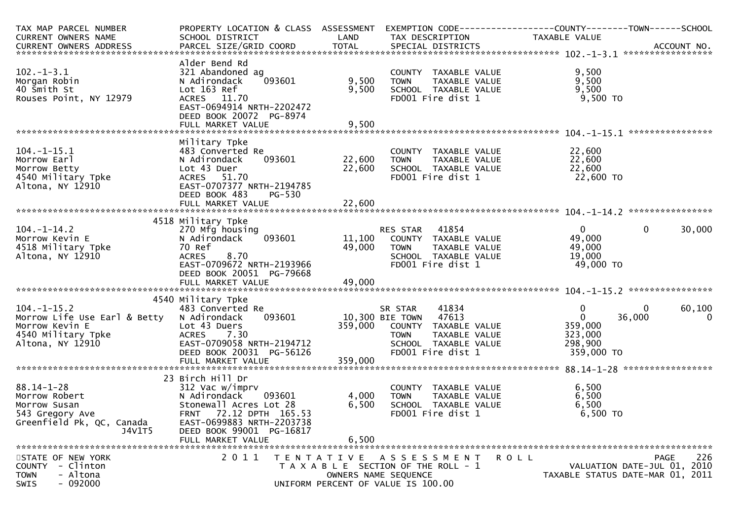| TAX MAP PARCEL NUMBER                                                                                                              | PROPERTY LOCATION & CLASS ASSESSMENT |         |                                           |                      |                                  |
|------------------------------------------------------------------------------------------------------------------------------------|--------------------------------------|---------|-------------------------------------------|----------------------|----------------------------------|
| CURRENT OWNERS NAME                                                                                                                | SCHOOL DISTRICT                      | LAND    | TAX DESCRIPTION                           | <b>TAXABLE VALUE</b> |                                  |
| CURRENT OWNERS ADDRESS PARCEL SIZE/GRID COORD TOTAL SPECIAL DISTRICTS (2011) 10. ACCOUNT NO. ACCOUNT NO.<br>CURRENT OWNERS ADDRESS |                                      |         |                                           |                      |                                  |
|                                                                                                                                    | Alder Bend Rd                        |         |                                           |                      |                                  |
| $102 - 1 - 3.1$                                                                                                                    | 321 Abandoned ag                     |         | COUNTY TAXABLE VALUE                      | 9,500                |                                  |
| Morgan Robin                                                                                                                       | 093601                               | 9,500   | TAXABLE VALUE<br><b>TOWN</b>              | 9,500                |                                  |
| 40 Smith St                                                                                                                        | N Adirondack<br>Lot 163 Ref          | 9,500   | SCHOOL TAXABLE VALUE                      | 9,500                |                                  |
| Rouses Point, NY 12979                                                                                                             | ACRES 11.70                          |         | FD001 Fire dist 1                         | 9,500 TO             |                                  |
|                                                                                                                                    | EAST-0694914 NRTH-2202472            |         |                                           |                      |                                  |
|                                                                                                                                    | DEED BOOK 20072 PG-8974              |         |                                           |                      |                                  |
|                                                                                                                                    |                                      |         |                                           |                      |                                  |
|                                                                                                                                    |                                      |         |                                           |                      | ****************                 |
|                                                                                                                                    | Military Tpke                        |         |                                           |                      |                                  |
| $104. - 1 - 15.1$                                                                                                                  | 483 Converted Re                     |         | COUNTY TAXABLE VALUE                      | 22,600               |                                  |
| Morrow Earl                                                                                                                        | 093601<br>N Adirondack               | 22,600  | TAXABLE VALUE<br><b>TOWN</b>              | 22,600               |                                  |
| Morrow Betty                                                                                                                       | Lot 43 Duer                          | 22,600  | SCHOOL TAXABLE VALUE                      | 22,600               |                                  |
| 4540 Military Tpke                                                                                                                 | ACRES 51.70                          |         | FD001 Fire dist 1                         | 22,600 TO            |                                  |
| Altona, NY 12910                                                                                                                   | EAST-0707377 NRTH-2194785            |         |                                           |                      |                                  |
|                                                                                                                                    | DEED BOOK 483<br>PG-530              |         |                                           |                      |                                  |
|                                                                                                                                    |                                      |         |                                           |                      |                                  |
|                                                                                                                                    |                                      |         |                                           |                      |                                  |
|                                                                                                                                    | 4518 Military Tpke                   |         |                                           |                      |                                  |
| $104. - 1 - 14.2$                                                                                                                  | 270 Mfg housing                      |         | 41854<br>RES STAR                         | $\mathbf{0}$         | $\mathbf{0}$<br>30,000           |
| Morrow Kevin E                                                                                                                     | 093601<br>N Adirondack               | 11,100  | COUNTY TAXABLE VALUE                      | 49,000               |                                  |
| 4518 Military Tpke                                                                                                                 | 70 Ref                               | 49,000  | <b>TOWN</b><br>TAXABLE VALUE              | 49,000               |                                  |
| Altona, NY 12910                                                                                                                   | 8.70<br><b>ACRES</b>                 |         | SCHOOL TAXABLE VALUE                      | 19,000               |                                  |
|                                                                                                                                    | EAST-0709672 NRTH-2193966            |         | FD001 Fire dist 1                         | 49,000 TO            |                                  |
|                                                                                                                                    | DEED BOOK 20051 PG-79668             |         |                                           |                      |                                  |
|                                                                                                                                    |                                      |         |                                           |                      |                                  |
|                                                                                                                                    |                                      |         |                                           |                      |                                  |
|                                                                                                                                    | 4540 Military Tpke                   |         |                                           |                      |                                  |
| $104. -1 - 15.2$                                                                                                                   | 483 Converted Re                     |         | 41834<br>SR STAR                          | $\mathbf 0$          | $\Omega$<br>60,100               |
| Morrow Life Use Earl & Betty                                                                                                       | 093601<br>N Adirondack               |         | 10,300 BIE TOWN<br>47613                  | $\mathbf{0}$         | 36,000<br>$\mathbf 0$            |
| Morrow Kevin E                                                                                                                     | Lot 43 Duers<br><b>ACRES</b><br>7.30 | 359,000 | COUNTY<br>TAXABLE VALUE<br><b>TOWN</b>    | 359,000              |                                  |
| 4540 Military Tpke                                                                                                                 | EAST-0709058 NRTH-2194712            |         | TAXABLE VALUE                             | 323,000<br>298,900   |                                  |
| Altona, NY 12910                                                                                                                   | DEED BOOK 20031 PG-56126             |         | SCHOOL TAXABLE VALUE<br>FD001 Fire dist 1 | 359,000 TO           |                                  |
|                                                                                                                                    | FULL MARKET VALUE                    | 359,000 |                                           |                      |                                  |
|                                                                                                                                    |                                      |         |                                           |                      |                                  |
|                                                                                                                                    | 23 Birch Hill Dr                     |         |                                           |                      |                                  |
| $88.14 - 1 - 28$                                                                                                                   | 312 Vac w/imprv                      |         | COUNTY TAXABLE VALUE                      | 6,500                |                                  |
| Morrow Robert                                                                                                                      | N Adirondack<br>093601               | 4,000   | TAXABLE VALUE<br>TOWN                     | 6,500                |                                  |
| Morrow Susan                                                                                                                       | Stonewall Acres Lot 28               | 6,500   | SCHOOL TAXABLE VALUE                      | 6,500                |                                  |
| 543 Gregory Ave                                                                                                                    | <b>FRNT</b><br>72.12 DPTH 165.53     |         | FD001 Fire dist 1                         | 6,500 TO             |                                  |
| Greenfield Pk, QC, Canada                                                                                                          | EAST-0699883 NRTH-2203738            |         |                                           |                      |                                  |
| J4V1T5                                                                                                                             | DEED BOOK 99001 PG-16817             |         |                                           |                      |                                  |
|                                                                                                                                    | FULL MARKET VALUE                    | 6,500   |                                           |                      |                                  |
|                                                                                                                                    |                                      |         |                                           |                      |                                  |
| STATE OF NEW YORK                                                                                                                  | 2011                                 |         | TENTATIVE ASSESSMENT                      | <b>ROLL</b>          | 226<br><b>PAGE</b>               |
| COUNTY - Clinton                                                                                                                   |                                      |         | T A X A B L E SECTION OF THE ROLL - 1     |                      | VALUATION DATE-JUL 01, 2010      |
| - Altona<br>TOWN                                                                                                                   |                                      |         | OWNERS NAME SEQUENCE                      |                      | TAXABLE STATUS DATE-MAR 01, 2011 |
| $-092000$<br>SWIS                                                                                                                  |                                      |         | UNIFORM PERCENT OF VALUE IS 100.00        |                      |                                  |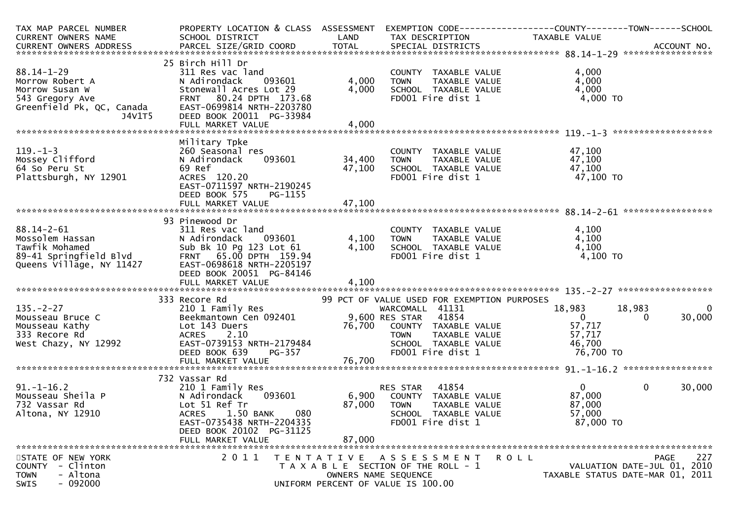| TAX MAP PARCEL NUMBER                | PROPERTY LOCATION & CLASS ASSESSMENT |        | EXEMPTION CODE-----------------COUNTY-------TOWN------SCHOOL |                |                                  |
|--------------------------------------|--------------------------------------|--------|--------------------------------------------------------------|----------------|----------------------------------|
| CURRENT OWNERS NAME                  | SCHOOL DISTRICT                      | LAND   | TAX DESCRIPTION                                              | TAXABLE VALUE  |                                  |
|                                      |                                      |        |                                                              |                |                                  |
|                                      |                                      |        |                                                              |                |                                  |
|                                      | 25 Birch Hill Dr                     |        |                                                              |                |                                  |
| $88.14 - 1 - 29$                     | 311 Res vac land                     |        | COUNTY TAXABLE VALUE                                         | 4,000          |                                  |
| Morrow Robert A                      | N Adirondack<br>093601               | 4,000  | TAXABLE VALUE<br><b>TOWN</b>                                 | 4,000          |                                  |
| Morrow Susan W                       | Stonewall Acres Lot 29               | 4,000  | SCHOOL TAXABLE VALUE                                         | 4,000          |                                  |
| 543 Gregory Ave                      | FRNT 80.24 DPTH 173.68               |        | FD001 Fire dist 1                                            | 4,000 TO       |                                  |
| Greenfield Pk, QC, Canada            | EAST-0699814 NRTH-2203780            |        |                                                              |                |                                  |
| J4V1T5                               | DEED BOOK 20011 PG-33984             |        |                                                              |                |                                  |
|                                      |                                      |        |                                                              |                |                                  |
|                                      |                                      |        |                                                              |                |                                  |
|                                      | Military Tpke                        |        |                                                              |                |                                  |
| $119. - 1 - 3$                       | 260 Seasonal res                     |        | COUNTY TAXABLE VALUE                                         | 47,100         |                                  |
| Mossey Clifford                      | N Adirondack<br>093601               | 34,400 | TAXABLE VALUE<br><b>TOWN</b>                                 | 47,100         |                                  |
| 64 So Peru St                        | 69 Ref                               | 47,100 | SCHOOL TAXABLE VALUE                                         | 47,100         |                                  |
| Plattsburgh, NY 12901                | ACRES 120.20                         |        | FD001 Fire dist 1                                            | 47,100 TO      |                                  |
|                                      | EAST-0711597 NRTH-2190245            |        |                                                              |                |                                  |
|                                      | DEED BOOK 575<br>PG-1155             |        |                                                              |                |                                  |
|                                      |                                      |        |                                                              |                |                                  |
|                                      |                                      |        |                                                              |                |                                  |
|                                      |                                      |        |                                                              |                |                                  |
| 88.14-2-61                           | 93 Pinewood Dr<br>311 Res vac land   |        | COUNTY TAXABLE VALUE                                         | 4,100          |                                  |
|                                      |                                      |        |                                                              |                |                                  |
| Mossolem Hassan                      | N Adirondack<br>093601               | 4,100  | <b>TOWN</b><br>TAXABLE VALUE                                 | 4,100          |                                  |
| Tawfik Mohamed                       | Sub Bk 10 Pg 123 Lot 61              | 4,100  | SCHOOL TAXABLE VALUE                                         | 4,100          |                                  |
| 89-41 Springfield Blvd               | FRNT 65.00 DPTH 159.94               |        | FD001 Fire dist 1                                            | 4,100 TO       |                                  |
| Queens Village, NY 11427             | EAST-0698618 NRTH-2205197            |        |                                                              |                |                                  |
|                                      | DEED BOOK 20051 PG-84146             |        |                                                              |                |                                  |
|                                      |                                      |        |                                                              |                |                                  |
|                                      |                                      |        |                                                              |                |                                  |
|                                      | 333 Recore Rd                        |        | 99 PCT OF VALUE USED FOR EXEMPTION PURPOSES                  |                |                                  |
| $135. - 2 - 27$                      | 210 1 Family Res                     |        | WARCOMALL 41131                                              | 18,983         | $\mathbf 0$<br>18,983            |
| Mousseau Bruce C                     | Beekmantown Cen 092401               |        | 41854<br>9,600 RES STAR                                      | $\overline{0}$ | 30,000<br>0                      |
| Mousseau Kathy                       | Lot 143 Duers                        | 76,700 | COUNTY TAXABLE VALUE                                         | 57,717         |                                  |
| 333 Recore Rd                        | 2.10<br><b>ACRES</b>                 |        | <b>TOWN</b><br>TAXABLE VALUE                                 | 57,717         |                                  |
| West Chazy, NY 12992                 | EAST-0739153 NRTH-2179484            |        | SCHOOL TAXABLE VALUE                                         | 46,700         |                                  |
|                                      | DEED BOOK 639<br>PG-357              |        | FD001 Fire dist 1                                            | 76,700 TO      |                                  |
|                                      |                                      |        |                                                              |                |                                  |
|                                      |                                      |        |                                                              |                |                                  |
|                                      | 732 Vassar Rd                        |        |                                                              |                |                                  |
| $91. - 1 - 16.2$                     | 210 1 Family Res                     |        | 41854<br>RES STAR                                            | $\overline{0}$ | 30,000<br>$\mathbf{0}$           |
| Mousseau Sheila P                    | N Adirondack<br>093601               | 6,900  | COUNTY TAXABLE VALUE                                         | 87,000         |                                  |
| 732 Vassar Rd                        | Lot 51 Ref Tr                        | 87,000 | <b>TOWN</b><br>TAXABLE VALUE                                 | 87,000         |                                  |
| Altona, NY 12910                     | 080<br>1.50 BANK<br><b>ACRES</b>     |        | SCHOOL TAXABLE VALUE                                         | 57,000         |                                  |
|                                      | EAST-0735438 NRTH-2204335            |        | FD001 Fire dist 1                                            | 87,000 TO      |                                  |
|                                      | DEED BOOK 20102 PG-31125             |        |                                                              |                |                                  |
|                                      | FULL MARKET VALUE                    | 87,000 |                                                              |                |                                  |
|                                      |                                      |        |                                                              |                |                                  |
| STATE OF NEW YORK                    | 2011                                 |        |                                                              | <b>ROLL</b>    | 227<br><b>PAGE</b>               |
| COUNTY - Clinton                     |                                      |        | TENTATIVE ASSESSMENT                                         |                | VALUATION DATE-JUL 01, 2010      |
|                                      |                                      |        | T A X A B L E SECTION OF THE ROLL - 1                        |                |                                  |
| - Altona<br><b>TOWN</b><br>$-092000$ |                                      |        | OWNERS NAME SEQUENCE                                         |                | TAXABLE STATUS DATE-MAR 01, 2011 |
| <b>SWIS</b>                          |                                      |        | UNIFORM PERCENT OF VALUE IS 100.00                           |                |                                  |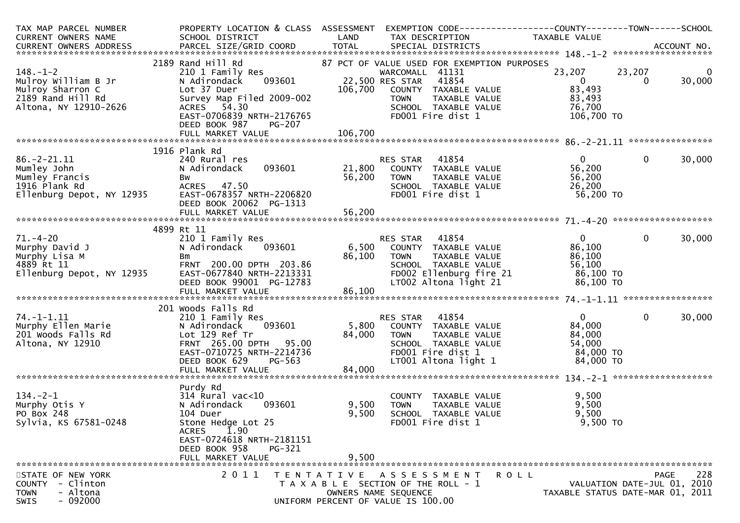| TAX MAP PARCEL NUMBER<br>CURRENT OWNERS NAME                                                            | PROPERTY LOCATION & CLASS ASSESSMENT<br>SCHOOL DISTRICT                                                                                                                            | LAND                                         | EXEMPTION CODE------------------COUNTY--------TOWN------SCHOOL<br>TAX DESCRIPTION                                                                                                            | TAXABLE VALUE                                                          |                                                                                |
|---------------------------------------------------------------------------------------------------------|------------------------------------------------------------------------------------------------------------------------------------------------------------------------------------|----------------------------------------------|----------------------------------------------------------------------------------------------------------------------------------------------------------------------------------------------|------------------------------------------------------------------------|--------------------------------------------------------------------------------|
|                                                                                                         |                                                                                                                                                                                    |                                              |                                                                                                                                                                                              |                                                                        |                                                                                |
| $148. - 1 - 2$<br>Mulroy William B Jr<br>Mulroy Sharron C<br>2189 Rand Hill Rd<br>Altona, NY 12910-2626 | 2189 Rand Hill Rd<br>210 1 Family Res<br>093601<br>N Adirondack<br>Lot 37 Duer<br>Survey Map Filed 2009-002<br>ACRES 54.30<br>EAST-0706839 NRTH-2176765<br>DEED BOOK 987<br>PG-207 | 106,700                                      | 87 PCT OF VALUE USED FOR EXEMPTION PURPOSES<br>WARCOMALL 41131<br>22,500 RES STAR 41854<br>COUNTY TAXABLE VALUE<br>TAXABLE VALUE<br><b>TOWN</b><br>SCHOOL TAXABLE VALUE<br>FDOO1 Fire dist 1 | 23,207<br>$\mathbf{0}$<br>83,493<br>83,493<br>76,700<br>106,700 TO     | 23,207<br>0<br>30,000<br>$\mathbf{0}$                                          |
|                                                                                                         |                                                                                                                                                                                    | 106,700                                      |                                                                                                                                                                                              |                                                                        |                                                                                |
|                                                                                                         | 1916 Plank Rd                                                                                                                                                                      |                                              |                                                                                                                                                                                              |                                                                        |                                                                                |
| $86. -2 - 21.11$<br>Mumley John<br>Mumley Francis<br>1916 Plank Rd<br>Ellenburg Depot, NY 12935         | 240 Rural res<br>093601<br>N Adirondack<br>Bw<br>ACRES 47.50<br>EAST-0678357 NRTH-2206820<br>DEED BOOK 20062 PG-1313<br>FULL MARKET VALUE                                          | 21,800<br>56,200<br>56,200                   | RES STAR 41854<br>COUNTY TAXABLE VALUE<br><b>TOWN</b><br>TAXABLE VALUE<br>SCHOOL TAXABLE VALUE<br>FDOO1 Fire dist 1                                                                          | $\Omega$<br>56,200<br>56,200<br>26,200<br>56,200 TO                    | $\mathbf 0$<br>30,000                                                          |
|                                                                                                         |                                                                                                                                                                                    |                                              |                                                                                                                                                                                              |                                                                        |                                                                                |
| $71. - 4 - 20$<br>Murphy David J<br>Murphy Lisa M<br>4889 Rt 11<br>Ellenburg Depot, NY 12935            | 4899 Rt 11<br>210 1 Family Res<br>N Adirondack 093601<br>Bm<br>FRNT 200.00 DPTH 203.86<br>EAST-0677840 NRTH-2213331<br>DEED BOOK 99001 PG-12783<br>FULL MARKET VALUE               | $\frac{80}{1}$<br>or $\frac{1}{1}$<br>86,100 | RES STAR 41854<br>6,500 COUNTY TAXABLE VALUE<br><b>TOWN</b><br>TAXABLE VALUE<br>SCHOOL TAXABLE VALUE<br>FD002 Ellenburg fire 21 86,100 TO<br>LT002 Altona light 21 86,100 TO                 | 0<br>86,100<br>86,100                                                  | 30,000<br>$\overline{0}$                                                       |
|                                                                                                         | 201 Woods Falls Rd                                                                                                                                                                 |                                              |                                                                                                                                                                                              |                                                                        |                                                                                |
| $74. - 1 - 1.11$<br>Murphy Ellen Marie<br>201 Woods Falls Rd<br>Altona, NY 12910                        | 210 1 Family Res<br>093601<br>N Adirondack<br>Lot 129 Ref Tr<br>FRNT 265.00 DPTH 95.00<br>EAST-0710725 NRTH-2214736<br>DEED BOOK 629<br>PG-563<br>FULL MARKET VALUE                | 5,800<br>84,000<br>84,000                    | RES STAR 41854<br>COUNTY TAXABLE VALUE<br><b>TOWN</b><br>TAXABLE VALUE<br>SCHOOL TAXABLE VALUE<br>FD001 Fire dist 1<br>LT001 Altona light 1                                                  | $\overline{0}$<br>84,000<br>84,000<br>54,000<br>84,000 TO<br>84,000 TO | $\overline{0}$<br>30,000                                                       |
|                                                                                                         | Purdy Rd                                                                                                                                                                           |                                              |                                                                                                                                                                                              |                                                                        |                                                                                |
| $134. - 2 - 1$<br>Murphy Otis Y<br>PO Box 248<br>Sylvia, KS 67581-0248                                  | $314$ Rural vac< $10$<br>093601<br>N Adirondack<br>104 Duer<br>Stone Hedge Lot 25<br><b>ACRES</b><br>1.90<br>EAST-0724618 NRTH-2181151<br>DEED BOOK 958<br>PG-321                  | 9,500<br>9,500                               | COUNTY TAXABLE VALUE<br>TAXABLE VALUE<br><b>TOWN</b><br>SCHOOL TAXABLE VALUE<br>FD001 Fire dist 1                                                                                            | 9,500<br>9,500<br>9,500<br>9,500 TO                                    |                                                                                |
|                                                                                                         | FULL MARKET VALUE                                                                                                                                                                  | 9,500                                        |                                                                                                                                                                                              |                                                                        |                                                                                |
| STATE OF NEW YORK<br>- Clinton<br><b>COUNTY</b><br>- Altona<br><b>TOWN</b><br>$-092000$<br>SWIS         | 2011                                                                                                                                                                               |                                              | TENTATIVE ASSESSMENT<br>T A X A B L E SECTION OF THE ROLL - 1<br>OWNERS NAME SEQUENCE<br>UNIFORM PERCENT OF VALUE IS 100.00                                                                  | <b>ROLL</b>                                                            | 228<br>PAGE<br>VALUATION DATE-JUL 01, 2010<br>TAXABLE STATUS DATE-MAR 01, 2011 |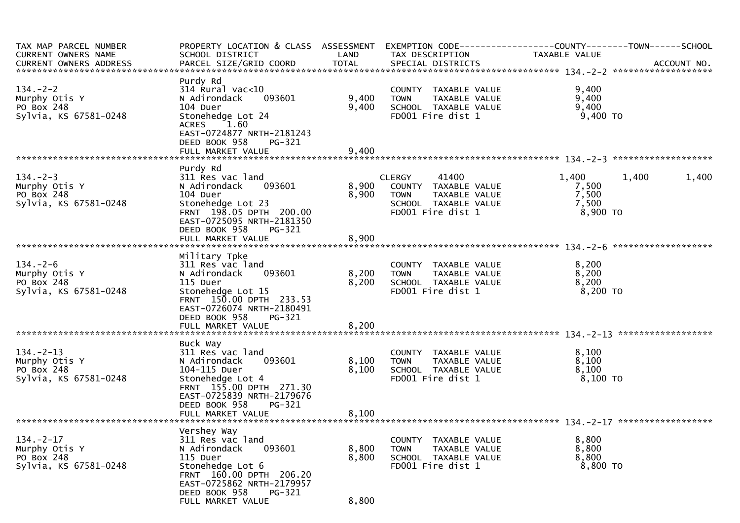| TAX MAP PARCEL NUMBER<br>CURRENT OWNERS NAME<br>CURRENT OWNERS ADDRESS  | PROPERTY LOCATION & CLASS ASSESSMENT<br>SCHOOL DISTRICT                                                                                                                                            | LAND                    | TAX DESCRIPTION                                                                                                             | TAXABLE VALUE                                           |       |
|-------------------------------------------------------------------------|----------------------------------------------------------------------------------------------------------------------------------------------------------------------------------------------------|-------------------------|-----------------------------------------------------------------------------------------------------------------------------|---------------------------------------------------------|-------|
| $134. - 2 - 2$<br>Murphy Otis Y<br>PO Box 248<br>Sylvia, KS 67581-0248  | Purdy Rd<br>$314$ Rural vac< $10$<br>093601<br>N Adirondack<br>104 Duer<br>Stonehedge Lot 24<br><b>ACRES</b><br>1.60<br>EAST-0724877 NRTH-2181243<br>DEED BOOK 958<br>PG-321                       | 9,400<br>9,400          | COUNTY TAXABLE VALUE<br><b>TOWN</b><br>TAXABLE VALUE<br>SCHOOL TAXABLE VALUE<br>FD001 Fire dist 1                           | 9,400<br>9,400<br>9,400<br>9,400 TO                     |       |
|                                                                         |                                                                                                                                                                                                    |                         |                                                                                                                             |                                                         |       |
| $134. - 2 - 3$<br>Murphy Otis Y<br>PO Box 248<br>Sylvia, KS 67581-0248  | Purdy Rd<br>311 Res vac land<br>N Adirondack<br>093601<br>104 Duer<br>Stonehedge Lot 23<br>FRNT 198.05 DPTH 200.00<br>EAST-0725095 NRTH-2181350<br>DEED BOOK 958<br><b>PG-321</b>                  | 8,900<br>8,900          | 41400<br><b>CLERGY</b><br>COUNTY TAXABLE VALUE<br><b>TOWN</b><br>TAXABLE VALUE<br>SCHOOL TAXABLE VALUE<br>FD001 Fire dist 1 | 1,400<br>1,400<br>7,500<br>7,500<br>7,500<br>$8,900$ TO | 1,400 |
|                                                                         | FULL MARKET VALUE                                                                                                                                                                                  | 8,900                   |                                                                                                                             |                                                         |       |
| $134. - 2 - 6$<br>Murphy Otis Y<br>PO Box 248<br>Sylvia, KS 67581-0248  | Military Tpke<br>311 Res vac land<br>093601<br>N Adirondack<br>115 Duer<br>Stonehedge Lot 15<br>FRNT 150.00 DPTH 233.53<br>EAST-0726074 NRTH-2180491<br>DEED BOOK 958<br>PG-321                    | 8,200<br>8,200          | COUNTY TAXABLE VALUE<br><b>TOWN</b><br>TAXABLE VALUE<br>SCHOOL TAXABLE VALUE<br>FD001 Fire dist 1                           | 8,200<br>8,200<br>8,200<br>$8,200$ TO                   |       |
|                                                                         | FULL MARKET VALUE                                                                                                                                                                                  | 8,200                   |                                                                                                                             |                                                         |       |
| $134. - 2 - 13$<br>Murphy Otis Y<br>PO Box 248<br>Sylvia, KS 67581-0248 | Buck Way<br>311 Res vac land<br>N Adirondack<br>093601<br>104-115 Duer<br>Stonehedge Lot 4<br>FRNT 155.00 DPTH 271.30<br>EAST-0725839 NRTH-2179676<br>DEED BOOK 958<br>PG-321<br>FULL MARKET VALUE | 8,100<br>8,100<br>8,100 | COUNTY TAXABLE VALUE<br>TAXABLE VALUE<br><b>TOWN</b><br>SCHOOL TAXABLE VALUE<br>FD001 Fire dist 1                           | 8,100<br>8,100<br>8,100<br>8,100 TO                     |       |
|                                                                         | Vershey Way                                                                                                                                                                                        |                         |                                                                                                                             |                                                         |       |
| $134. -2 - 17$<br>Murphy Otis Y<br>PO Box 248<br>Sylvia, KS 67581-0248  | 311 Res vac land<br>N Adirondack<br>093601<br>115 Duer<br>Stonehedge Lot 6<br>FRNT 160.00 DPTH 206.20<br>EAST-0725862 NRTH-2179957<br>DEED BOOK 958<br><b>PG-321</b><br>FULL MARKET VALUE          | 8,800<br>8,800<br>8,800 | COUNTY TAXABLE VALUE<br>TAXABLE VALUE<br><b>TOWN</b><br>SCHOOL TAXABLE VALUE<br>FD001 Fire dist 1                           | 8,800<br>8,800<br>8,800<br>8,800 TO                     |       |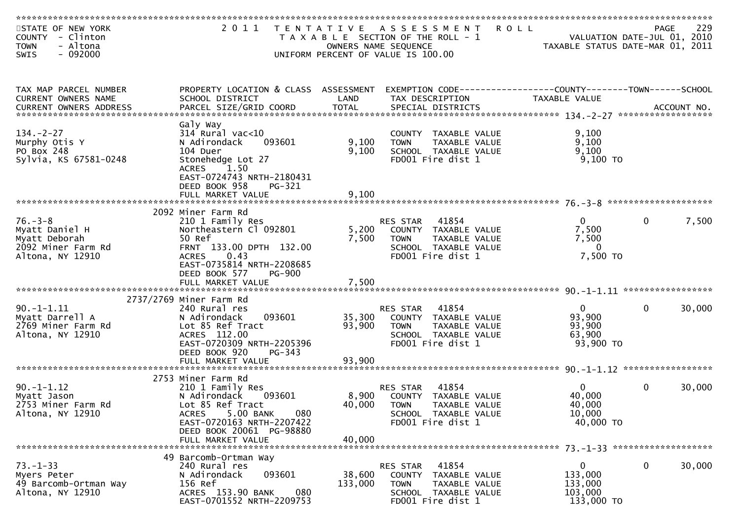| STATE OF NEW YORK<br>COUNTY - Clinton<br>- Altona<br><b>TOWN</b>                           |                                                                                                                                                       |                   | 2011 TENTATIVE ASSESSMENT<br>T A X A B L E SECTION OF THE ROLL - 1<br>OWNERS NAME SEQUENCE                             | <b>ROLL</b><br>VALUATION DATE-JUL 01, 2010<br>TAXABLE STATUS DATE-MAR 01, 2011 | PAGE         | 229    |
|--------------------------------------------------------------------------------------------|-------------------------------------------------------------------------------------------------------------------------------------------------------|-------------------|------------------------------------------------------------------------------------------------------------------------|--------------------------------------------------------------------------------|--------------|--------|
| $-092000$<br><b>SWIS</b>                                                                   |                                                                                                                                                       |                   | UNIFORM PERCENT OF VALUE IS 100.00                                                                                     |                                                                                |              |        |
| TAX MAP PARCEL NUMBER<br>CURRENT OWNERS NAME                                               | PROPERTY LOCATION & CLASS ASSESSMENT<br>SCHOOL DISTRICT                                                                                               | LAND              | EXEMPTION CODE------------------COUNTY--------TOWN------SCHOOL<br>TAX DESCRIPTION                                      | TAXABLE VALUE                                                                  |              |        |
|                                                                                            |                                                                                                                                                       |                   |                                                                                                                        |                                                                                |              |        |
| $134. -2 - 27$<br>Murphy Otis Y<br>PO Box 248<br>Sylvia, KS 67581-0248                     | Galy Way<br>$314$ Rural vac<10<br>093601<br>N Adirondack<br>104 Duer<br>Stonehedge Lot 27<br><b>ACRES</b><br>1.50<br>EAST-0724743 NRTH-2180431        | 9,100<br>9,100    | COUNTY TAXABLE VALUE<br>TAXABLE VALUE<br><b>TOWN</b><br>SCHOOL TAXABLE VALUE<br>FD001 Fire dist 1                      | 9,100<br>9,100<br>9,100<br>9,100 TO                                            |              |        |
|                                                                                            | DEED BOOK 958<br>PG-321<br>FULL MARKET VALUE                                                                                                          | 9,100             |                                                                                                                        |                                                                                |              |        |
|                                                                                            | 2092 Miner Farm Rd                                                                                                                                    |                   |                                                                                                                        |                                                                                |              |        |
| $76. - 3 - 8$<br>Myatt Daniel H<br>Myatt Deborah<br>2092 Miner Farm Rd<br>Altona, NY 12910 | 210 1 Family Res<br>Northeastern Cl 092801<br>50 Ref<br>FRNT 133.00 DPTH 132.00<br>ACRES 0.43                                                         | 5,200<br>7,500    | 41854<br>RES STAR<br>COUNTY TAXABLE VALUE<br><b>TOWN</b><br>TAXABLE VALUE<br>SCHOOL TAXABLE VALUE<br>FD001 Fire dist 1 | $\overline{0}$<br>7,500<br>7,500<br>$\Omega$<br>7,500 TO                       | $\mathbf{0}$ | 7,500  |
|                                                                                            | EAST-0735814 NRTH-2208685<br>DEED BOOK 577<br><b>PG-900</b>                                                                                           |                   |                                                                                                                        |                                                                                |              |        |
|                                                                                            | 2737/2769 Miner Farm Rd                                                                                                                               |                   |                                                                                                                        |                                                                                |              |        |
| $90. -1 - 1.11$<br>Myatt Darrell A<br>2769 Miner Farm Rd<br>Altona, NY 12910               | 240 Rural res<br>093601<br>N Adirondack<br>Lot 85 Ref Tract<br>ACRES 112.00<br>EAST-0720309 NRTH-2205396<br>DEED BOOK 920<br>$PG-343$                 | 35,300<br>93,900  | 41854<br>RES STAR<br>COUNTY TAXABLE VALUE<br><b>TOWN</b><br>TAXABLE VALUE<br>SCHOOL TAXABLE VALUE<br>FD001 Fire dist 1 | $\overline{0}$<br>93,900<br>93,900<br>63,900<br>93,900 TO                      | $\mathbf{0}$ | 30,000 |
|                                                                                            |                                                                                                                                                       |                   |                                                                                                                        |                                                                                |              |        |
| $90. -1 - 1.12$<br>Myatt Jason<br>2753 Miner Farm Rd<br>Altona, NY 12910                   | 2753 Miner Farm Rd<br>210 1 Family Res<br>093601<br>N Adirondack<br>Lot 85 Ref Tract<br>5.00 BANK<br>080<br><b>ACRES</b><br>EAST-0720163 NRTH-2207422 | 8,900<br>40,000   | 41854<br>RES STAR<br>COUNTY TAXABLE VALUE<br><b>TOWN</b><br>TAXABLE VALUE<br>SCHOOL TAXABLE VALUE<br>FD001 Fire dist 1 | $\Omega$<br>40,000<br>40,000<br>10,000<br>40,000 TO                            | $\mathbf{0}$ | 30,000 |
|                                                                                            | DEED BOOK 20061 PG-98880<br>FULL MARKET VALUE                                                                                                         | 40,000            |                                                                                                                        |                                                                                |              |        |
| $73. - 1 - 33$<br>Myers Peter<br>49 Barcomb-Ortman Way<br>Altona, NY 12910                 | 49 Barcomb-Ortman Way<br>240 Rural res<br>093601<br>N Adirondack<br>156 Ref<br>ACRES 153.90 BANK<br>080<br>EAST-0701552 NRTH-2209753                  | 38,600<br>133,000 | 41854<br>RES STAR<br>COUNTY TAXABLE VALUE<br>TAXABLE VALUE<br><b>TOWN</b><br>SCHOOL TAXABLE VALUE<br>FD001 Fire dist 1 | $\mathbf{0}$<br>133,000<br>133,000<br>103,000<br>133,000 TO                    | $\mathbf{0}$ | 30,000 |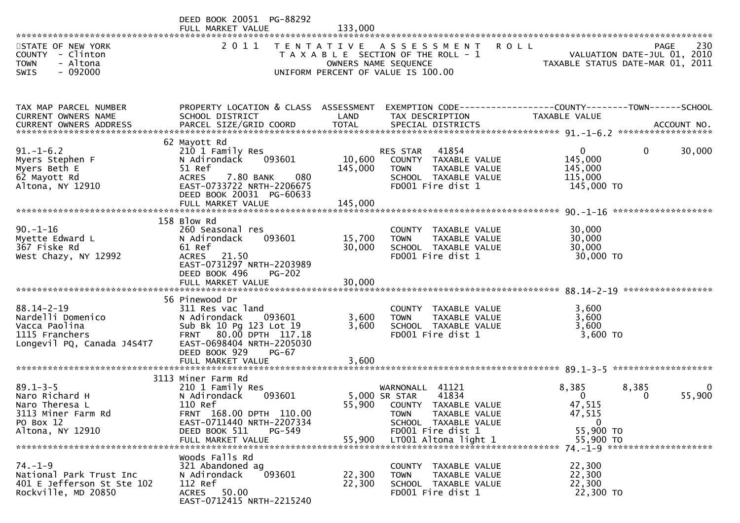|                                                                                                        | DEED BOOK 20051 PG-88292<br>FULL MARKET VALUE                                                                                                                                        | 133,000                      |                                                                                                                                           |                                                                    |                    |
|--------------------------------------------------------------------------------------------------------|--------------------------------------------------------------------------------------------------------------------------------------------------------------------------------------|------------------------------|-------------------------------------------------------------------------------------------------------------------------------------------|--------------------------------------------------------------------|--------------------|
| STATE OF NEW YORK<br>COUNTY - Clinton<br>- Altona<br><b>TOWN</b><br><b>SWIS</b><br>- 092000            | 2011                                                                                                                                                                                 | T E N T A T I V E            | <b>ROLL</b><br>A S S E S S M E N T<br>T A X A B L E SECTION OF THE ROLL - 1<br>OWNERS NAME SEQUENCE<br>UNIFORM PERCENT OF VALUE IS 100.00 | VALUATION DATE-JUL 01, 2010<br>TAXABLE STATUS DATE-MAR 01, 2011    | 230<br><b>PAGE</b> |
|                                                                                                        |                                                                                                                                                                                      |                              |                                                                                                                                           |                                                                    |                    |
| TAX MAP PARCEL NUMBER<br>CURRENT OWNERS NAME<br><b>CURRENT OWNERS ADDRESS</b>                          | PROPERTY LOCATION & CLASS ASSESSMENT<br>SCHOOL DISTRICT                                                                                                                              | LAND                         | EXEMPTION CODE-----------------COUNTY-------TOWN------SCHOOL<br>TAX DESCRIPTION                                                           | TAXABLE VALUE                                                      |                    |
|                                                                                                        | 62 Mayott Rd                                                                                                                                                                         |                              |                                                                                                                                           |                                                                    |                    |
| $91. - 1 - 6.2$<br>Myers Stephen F<br>Myers Beth E<br>62 Mayott Rd<br>Altona, NY 12910                 | 210 1 Family Res<br>N Adirondack<br>093601<br>51 Ref<br>7.80 BANK<br>080<br><b>ACRES</b><br>EAST-0733722 NRTH-2206675<br>DEED BOOK 20031 PG-60633<br>FULL MARKET VALUE               | 10,600<br>145,000<br>145,000 | 41854<br><b>RES STAR</b><br>COUNTY TAXABLE VALUE<br>TAXABLE VALUE<br><b>TOWN</b><br>SCHOOL TAXABLE VALUE<br>FD001 Fire dist 1             | $\overline{0}$<br>0<br>145,000<br>145,000<br>115,000<br>145,000 TO | 30,000             |
|                                                                                                        | 158 Blow Rd                                                                                                                                                                          |                              |                                                                                                                                           |                                                                    |                    |
| $90. - 1 - 16$<br>Myette Edward L<br>367 Fiske Rd<br>West Chazy, NY 12992                              | 260 Seasonal res<br>N Adirondack<br>093601<br>61 Ref<br><b>ACRES</b><br>21.50<br>EAST-0731297 NRTH-2203989<br>DEED BOOK 496<br>$PG-202$                                              | 15,700<br>30,000             | COUNTY TAXABLE VALUE<br>TAXABLE VALUE<br><b>TOWN</b><br>SCHOOL TAXABLE VALUE<br>FD001 Fire dist 1                                         | 30,000<br>30,000<br>30,000<br>30,000 TO                            |                    |
|                                                                                                        |                                                                                                                                                                                      |                              |                                                                                                                                           |                                                                    |                    |
| $88.14 - 2 - 19$<br>Nardelli Domenico<br>Vacca Paolina<br>1115 Franchers<br>Longevil PQ, Canada J4S4T7 | 56 Pinewood Dr<br>311 Res vac land<br>N Adirondack<br>093601<br>Sub Bk 10 Pg 123 Lot 19<br>80.00 DPTH 117.18<br><b>FRNT</b><br>EAST-0698404 NRTH-2205030<br>DEED BOOK 929<br>$PG-67$ | 3,600<br>3,600               | COUNTY TAXABLE VALUE<br>TAXABLE VALUE<br><b>TOWN</b><br>SCHOOL TAXABLE VALUE<br>FD001 Fire dist 1                                         | 3,600<br>3,600<br>3,600<br>$3,600$ TO                              |                    |
|                                                                                                        | FULL MARKET VALUE                                                                                                                                                                    | 3,600                        |                                                                                                                                           |                                                                    |                    |
| $89.1 - 3 - 5$<br>Naro Richard H<br>Naro Theresa L<br>3113 Miner Farm Rd<br>PO Box 12                  | 3113 Miner Farm Rd<br>210 1 Family Res<br>093601<br>N Adirondack<br>110 Ref<br>FRNT 168.00 DPTH 110.00<br>EAST-0711440 NRTH-2207334                                                  |                              | WARNONALL 41121<br>41834<br>5,000 SR STAR<br>55,900 COUNTY TAXABLE VALUE<br>TAXABLE VALUE<br><b>TOWN</b><br>SCHOOL TAXABLE VALUE          | 8,385<br>8,385<br>$\Omega$<br>0<br>47,515<br>47,515<br>$\mathbf 0$ | $\bf{0}$<br>55,900 |
| Altona, NY 12910                                                                                       | DEED BOOK 511<br>PG-549                                                                                                                                                              |                              | FD001 Fire dist 1                                                                                                                         | 55,900 TO                                                          |                    |
| $74. - 1 - 9$<br>National Park Trust Inc<br>401 E Jefferson St Ste 102<br>Rockville, MD 20850          | Woods Falls Rd<br>321 Abandoned ag<br>093601<br>N Adirondack<br>112 Ref<br>ACRES 50.00<br>EAST-0712415 NRTH-2215240                                                                  | 22,300<br>22,300             | COUNTY TAXABLE VALUE<br>TAXABLE VALUE<br><b>TOWN</b><br>SCHOOL TAXABLE VALUE<br>FD001 Fire dist 1                                         | 22,300<br>22,300<br>22,300<br>22,300 TO                            |                    |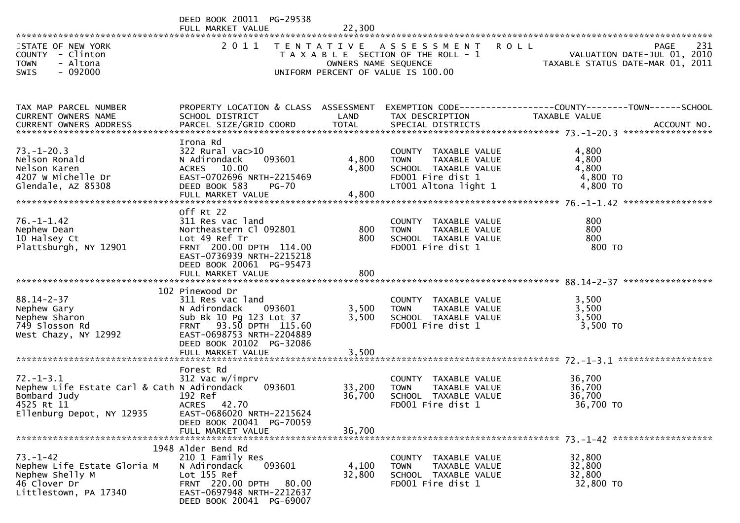|                                                                                                                           | DEED BOOK 20011 PG-29538<br>FULL MARKET VALUE                                                                                                                                                    | 22,300                     |                                                                                                                           |                                                                                |
|---------------------------------------------------------------------------------------------------------------------------|--------------------------------------------------------------------------------------------------------------------------------------------------------------------------------------------------|----------------------------|---------------------------------------------------------------------------------------------------------------------------|--------------------------------------------------------------------------------|
| STATE OF NEW YORK<br>COUNTY - Clinton<br>- Altona<br><b>TOWN</b><br>$-092000$<br>SWIS                                     |                                                                                                                                                                                                  | OWNERS NAME SEQUENCE       | 2011 TENTATIVE ASSESSMENT<br><b>ROLL</b><br>T A X A B L E SECTION OF THE ROLL - 1<br>UNIFORM PERCENT OF VALUE IS 100.00   | 231<br>PAGE<br>VALUATION DATE-JUL 01, 2010<br>TAXABLE STATUS DATE-MAR 01, 2011 |
| TAX MAP PARCEL NUMBER<br>CURRENT OWNERS NAME<br><b>CURRENT OWNERS ADDRESS</b>                                             | PROPERTY LOCATION & CLASS ASSESSMENT<br>SCHOOL DISTRICT                                                                                                                                          | LAND                       | TAX DESCRIPTION                                                                                                           | EXEMPTION CODE-----------------COUNTY-------TOWN------SCHOOL<br>TAXABLE VALUE  |
| $73. - 1 - 20.3$<br>Nelson Ronald<br>Nelson Karen<br>4207 W Michelle Dr<br>Glendale, AZ 85308                             | Irona Rd<br>$322$ Rural vac $>10$<br>N Adirondack<br>093601<br>ACRES 10.00<br>EAST-0702696 NRTH-2215469<br>DEED BOOK 583<br><b>PG-70</b><br>FULL MARKET VALUE                                    | 4,800<br>4,800<br>4,800    | COUNTY TAXABLE VALUE<br>TAXABLE VALUE<br><b>TOWN</b><br>SCHOOL TAXABLE VALUE<br>FD001 Fire dist 1<br>LT001 Altona light 1 | 4,800<br>4,800<br>4,800<br>4,800 TO<br>4,800 TO                                |
| $76. - 1 - 1.42$<br>Nephew Dean<br>10 Halsey Ct<br>Plattsburgh, NY 12901                                                  | Off Rt 22<br>311 Res vac land<br>Northeastern Cl 092801<br>Lot 49 Ref Tr<br>FRNT 200.00 DPTH 114.00<br>EAST-0736939 NRTH-2215218<br>DEED BOOK 20061 PG-95473<br>FULL MARKET VALUE                | 800<br>800<br>800          | COUNTY TAXABLE VALUE<br>TAXABLE VALUE<br><b>TOWN</b><br>SCHOOL TAXABLE VALUE<br>FD001 Fire dist 1                         | 800<br>800<br>800<br>800 TO                                                    |
| $88.14 - 2 - 37$<br>Nephew Gary<br>Nephew Sharon<br>749 Slosson Rd<br>West Chazy, NY 12992                                | 102 Pinewood Dr<br>311 Res vac land<br>093601<br>N Adirondack<br>Sub Bk 10 Pg 123 Lot 37<br>FRNT 93.50 DPTH 115.60<br>EAST-0698753 NRTH-2204889<br>DEED BOOK 20102 PG-32086<br>FULL MARKET VALUE | 3,500<br>3,500<br>3,500    | COUNTY TAXABLE VALUE<br>TAXABLE VALUE<br><b>TOWN</b><br>SCHOOL TAXABLE VALUE<br>FD001 Fire dist 1                         | 3,500<br>3,500<br>3,500<br>3,500 TO                                            |
| $72. - 1 - 3.1$<br>Nephew Life Estate Carl & Cath N Adirondack<br>Bombard Judy<br>4525 Rt 11<br>Ellenburg Depot, NY 12935 | Forest Rd<br>312 Vac w/imprv<br>093601<br>192 Ref<br>ACRES 42.70<br>EAST-0686020 NRTH-2215624<br>DEED BOOK 20041 PG-70059<br>FULL MARKET VALUE                                                   | 33,200<br>36,700<br>36,700 | COUNTY TAXABLE VALUE<br>TAXABLE VALUE<br><b>TOWN</b><br>SCHOOL TAXABLE VALUE<br>FD001 Fire dist 1                         | 36.700<br>36,700<br>36,700<br>36,700 TO                                        |
| $73. - 1 - 42$<br>Nephew Life Estate Gloria M<br>Nephew Shelly M<br>46 Clover Dr<br>Littlestown, PA 17340                 | 1948 Alder Bend Rd<br>210 1 Family Res<br>093601<br>N Adirondack<br>Lot 155 Ref<br>FRNT 220.00 DPTH 80.00<br>EAST-0697948 NRTH-2212637<br>DEED BOOK 20041 PG-69007                               | 4,100<br>32,800            | COUNTY TAXABLE VALUE<br><b>TOWN</b><br>TAXABLE VALUE<br>SCHOOL TAXABLE VALUE<br>FD001 Fire dist 1                         | 32,800<br>32,800<br>32,800<br>32,800 TO                                        |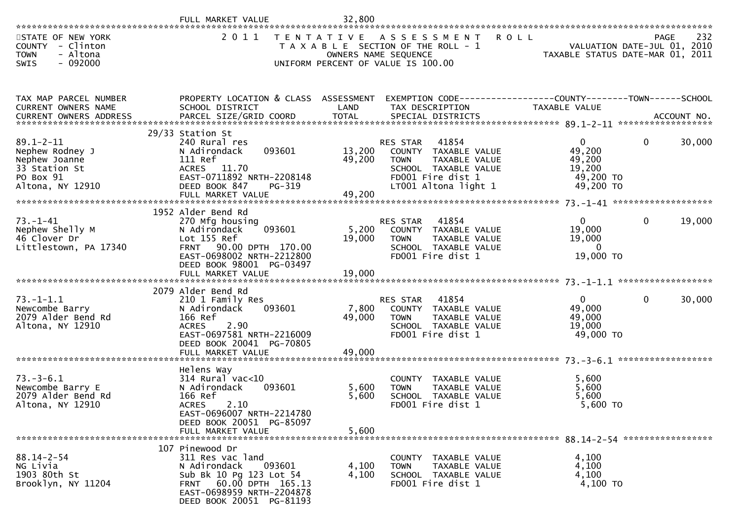| STATE OF NEW YORK<br>COUNTY - Clinton<br>- Altona<br><b>TOWN</b><br>$-092000$<br>SWIS                 | 2 0 1 1                                                                                                                                                                                |                            | TENTATIVE ASSESSMENT<br><b>ROLL</b><br>T A X A B L E SECTION OF THE ROLL - 1<br>OWNERS NAME SEQUENCE<br>UNIFORM PERCENT OF VALUE IS 100.00            |                                                                        | 232<br>PAGE<br>VALUATION DATE-JUL 01, 2010<br>TAXABLE STATUS DATE-MAR 01, 2011 |
|-------------------------------------------------------------------------------------------------------|----------------------------------------------------------------------------------------------------------------------------------------------------------------------------------------|----------------------------|-------------------------------------------------------------------------------------------------------------------------------------------------------|------------------------------------------------------------------------|--------------------------------------------------------------------------------|
| TAX MAP PARCEL NUMBER<br>CURRENT OWNERS NAME                                                          | PROPERTY LOCATION & CLASS ASSESSMENT<br>SCHOOL DISTRICT                                                                                                                                | LAND                       | EXEMPTION CODE------------------COUNTY--------TOWN------SCHOOL<br>TAX DESCRIPTION                                                                     | TAXABLE VALUE                                                          |                                                                                |
| $89.1 - 2 - 11$<br>Nephew Rodney J<br>Nephew Joanne<br>33 Station St<br>PO Box 91<br>Altona, NY 12910 | 29/33 Station St<br>240 Rural res<br>093601<br>N Adirondack<br>111 Ref<br>ACRES 11.70<br>EAST-0711892 NRTH-2208148<br>DEED BOOK 847<br>PG-319<br>FULL MARKET VALUE                     | 13,200<br>49,200<br>49,200 | 41854<br><b>RES STAR</b><br>COUNTY TAXABLE VALUE<br><b>TOWN</b><br>TAXABLE VALUE<br>SCHOOL TAXABLE VALUE<br>FD001 Fire dist 1<br>LT001 Altona light 1 | $\overline{0}$<br>49,200<br>49,200<br>19,200<br>49,200 TO<br>49,200 TO | $\mathbf{0}$<br>30,000                                                         |
| $73. - 1 - 41$<br>Nephew Shelly M<br>46 Clover Dr<br>Littlestown, PA 17340                            | 1952 Alder Bend Rd<br>270 Mfg housing<br>093601<br>N Adirondack<br>Lot 155 Ref<br>FRNT 90.00 DPTH 170.00<br>EAST-0698002 NRTH-2212800<br>DEED BOOK 98001 PG-03497<br>FULL MARKET VALUE | 5,200<br>19,000<br>19,000  | <b>RES STAR</b><br>41854<br>COUNTY TAXABLE VALUE<br>TAXABLE VALUE<br><b>TOWN</b><br>SCHOOL TAXABLE VALUE<br>FD001 Fire dist 1                         | $\overline{0}$<br>19,000<br>19,000<br>$\Omega$<br>19,000 TO            | 19,000<br>$\mathbf{0}$                                                         |
| $73. - 1 - 1.1$<br>Newcombe Barry<br>2079 Alder Bend Rd<br>Altona, NY 12910                           | 2079 Alder Bend Rd<br>210 1 Family Res<br>093601<br>N Adirondack<br>166 Ref<br>2.90<br><b>ACRES</b><br>EAST-0697581 NRTH-2216009<br>DEED BOOK 20041 PG-70805<br>FULL MARKET VALUE      | 7,800<br>49,000<br>49,000  | 41854<br>RES STAR<br>COUNTY TAXABLE VALUE<br><b>TOWN</b><br>TAXABLE VALUE<br>SCHOOL TAXABLE VALUE<br>FD001 Fire dist 1                                | $\overline{0}$<br>49,000<br>49,000<br>19,000<br>49,000 TO              | 30,000<br>0                                                                    |
| $73. - 3 - 6.1$<br>Newcombe Barry E<br>2079 Alder Bend Rd<br>Altona, NY 12910                         | Helens Way<br>$314$ Rural vac<10<br>N Adirondack<br>093601<br>166 Ref<br>ACRES 2.10<br>EAST-0696007 NRTH-2214780<br>DEED BOOK 20051 PG-85097<br>FULL MARKET VALUE                      | 5,600<br>5,600<br>5,600    | COUNTY TAXABLE VALUE<br>TAXABLE VALUE<br><b>TOWN</b><br>SCHOOL TAXABLE VALUE<br>FD001 Fire dist 1                                                     | 5,600<br>5,600<br>5,600<br>5,600 TO                                    |                                                                                |
| $88.14 - 2 - 54$<br>NG Livia<br>1903 80th St<br>Brooklyn, NY 11204                                    | 107 Pinewood Dr<br>311 Res vac land<br>093601<br>N Adirondack<br>Sub Bk 10 Pg 123 Lot 54<br>FRNT 60.00 DPTH 165.13<br>EAST-0698959 NRTH-2204878<br>DEED BOOK 20051 PG-81193            | 4,100<br>4,100             | COUNTY TAXABLE VALUE<br>TAXABLE VALUE<br><b>TOWN</b><br>SCHOOL TAXABLE VALUE<br>FD001 Fire dist 1                                                     | 4,100<br>4,100<br>4,100<br>4,100 TO                                    |                                                                                |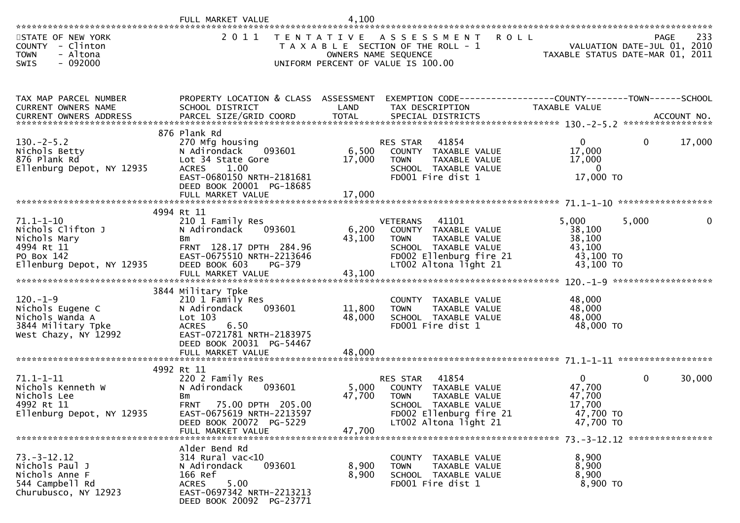|                                                                                                               | FULL MARKET VALUE                                                                                                                                                                   | 4,100                      |                                                                                                                                                                     |                                                                      |                                                                                |
|---------------------------------------------------------------------------------------------------------------|-------------------------------------------------------------------------------------------------------------------------------------------------------------------------------------|----------------------------|---------------------------------------------------------------------------------------------------------------------------------------------------------------------|----------------------------------------------------------------------|--------------------------------------------------------------------------------|
| STATE OF NEW YORK<br>COUNTY - Clinton<br>- Altona<br><b>TOWN</b><br>$-092000$<br>SWIS                         | 2 0 1 1                                                                                                                                                                             | OWNERS NAME SEQUENCE       | TENTATIVE ASSESSMENT ROLL<br>T A X A B L E SECTION OF THE ROLL - 1<br>UNIFORM PERCENT OF VALUE IS 100.00                                                            |                                                                      | 233<br>PAGE<br>VALUATION DATE-JUL 01, 2010<br>TAXABLE STATUS DATE-MAR 01, 2011 |
| TAX MAP PARCEL NUMBER<br>CURRENT OWNERS NAME                                                                  | PROPERTY LOCATION & CLASS ASSESSMENT<br>SCHOOL DISTRICT                                                                                                                             | LAND                       | EXEMPTION CODE------------------COUNTY--------TOWN------SCHOOL<br>TAX DESCRIPTION                                                                                   | TAXABLE VALUE                                                        |                                                                                |
| $130 - 2 - 5.2$<br>Nichols Betty<br>876 Plank Rd<br>Ellenburg Depot, NY 12935                                 | 876 Plank Rd<br>270 Mfg housing<br>093601<br>N Adirondack<br>Lot 34 State Gore<br>ACRES 1.00<br>EAST-0680150 NRTH-2181681<br>DEED BOOK 20001 PG-18685<br>FULL MARKET VALUE          | 6,500<br>17,000<br>17,000  | RES STAR<br>41854<br>COUNTY TAXABLE VALUE<br>TAXABLE VALUE<br><b>TOWN</b><br>SCHOOL TAXABLE VALUE<br>FD001 Fire dist 1                                              | $\overline{0}$<br>17,000<br>17,000<br>$\Omega$<br>17,000 TO          | 17,000<br>$\overline{0}$                                                       |
| $71.1 - 1 - 10$<br>Nichols Clifton J<br>Nichols Mary<br>4994 Rt 11<br>PO Box 142<br>Ellenburg Depot, NY 12935 | 4994 Rt 11<br>210 1 Family Res<br>093601<br>N Adirondack<br>Bm<br>FRNT 128.17 DPTH 284.96<br>EAST-0675510 NRTH-2213646<br>DEED BOOK 603<br>PG-379<br>FULL MARKET VALUE              | 6,200<br>43,100<br>43,100  | 41101<br><b>VETERANS</b><br>COUNTY TAXABLE VALUE<br>TAXABLE VALUE<br><b>TOWN</b><br>SCHOOL TAXABLE VALUE<br>FD002 Ellenburg fire 21<br>LT002 Altona light 21        | 5,000<br>38,100<br>38,100<br>43,100<br>43,100 TO<br>43,100 TO        | $\mathbf 0$<br>5,000                                                           |
| $120. - 1 - 9$<br>Nichols Eugene C<br>Nichols Wanda A<br>3844 Military Tpke<br>West Chazy, NY 12992           | 3844 Military Tpke<br>210 1 Family Res<br>093601<br>N Adirondack<br>$Lot$ 103<br><b>ACRES</b><br>6.50<br>EAST-0721781 NRTH-2183975<br>DEED BOOK 20031 PG-54467<br>FULL MARKET VALUE | 11,800<br>48,000<br>48,000 | COUNTY TAXABLE VALUE<br>TAXABLE VALUE<br><b>TOWN</b><br>SCHOOL TAXABLE VALUE<br>FD001 Fire dist 1                                                                   | 48,000<br>48,000<br>48,000<br>48,000 TO                              |                                                                                |
| $71.1 - 1 - 11$<br>Nichols Kenneth W<br>Nichols Lee<br>4992 Rt 11<br>Ellenburg Depot, NY 12935                | 4992 Rt 11<br>220 2 Family Res<br>093601<br>N Adirondack<br>Bm<br>75.00 DPTH 205.00<br><b>FRNT</b><br>EAST-0675619 NRTH-2213597<br>DEED BOOK 20072 PG-5229<br>FULL MARKET VALUE     | 5,000<br>47,700<br>47,700  | 41854<br><b>RES STAR</b><br>COUNTY TAXABLE VALUE<br><b>TOWN</b><br><b>TAXABLE VALUE</b><br>SCHOOL TAXABLE VALUE<br>FD002 Ellenburg fire 21<br>LT002 Altona light 21 | $\mathbf{0}$<br>47,700<br>47,700<br>17,700<br>47,700 TO<br>47,700 TO | 30,000<br>0                                                                    |
| $73. - 3 - 12.12$<br>Nichols Paul J<br>Nichols Anne F<br>544 Campbell Rd<br>Churubusco, NY 12923              | Alder Bend Rd<br>$314$ Rural vac<10<br>N Adirondack<br>093601<br>166 Ref<br>5.00<br><b>ACRES</b><br>EAST-0697342 NRTH-2213213<br>DEED BOOK 20092 PG-23771                           | 8,900<br>8,900             | COUNTY TAXABLE VALUE<br>TAXABLE VALUE<br><b>TOWN</b><br>SCHOOL TAXABLE VALUE<br>FD001 Fire dist 1                                                                   | 8,900<br>8,900<br>8,900<br>8,900 TO                                  |                                                                                |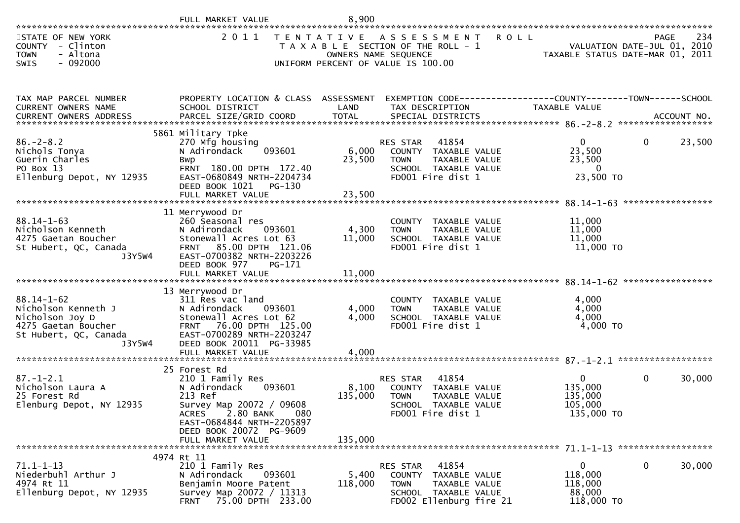|                                                                                                                      | FULL MARKET VALUE                                                                                                                                                                                        | 8,900                       |                                                                                                                                            |                                                            |                                                                                |
|----------------------------------------------------------------------------------------------------------------------|----------------------------------------------------------------------------------------------------------------------------------------------------------------------------------------------------------|-----------------------------|--------------------------------------------------------------------------------------------------------------------------------------------|------------------------------------------------------------|--------------------------------------------------------------------------------|
| STATE OF NEW YORK<br><b>COUNTY</b><br>- Clinton<br>- Altona<br><b>TOWN</b><br>$-092000$<br>SWIS                      | 2 0 1 1                                                                                                                                                                                                  |                             | <b>ROLL</b><br>TENTATIVE ASSESSMENT<br>T A X A B L E SECTION OF THE ROLL - 1<br>OWNERS NAME SEQUENCE<br>UNIFORM PERCENT OF VALUE IS 100.00 |                                                            | 234<br>PAGE<br>VALUATION DATE-JUL 01, 2010<br>TAXABLE STATUS DATE-MAR 01, 2011 |
| TAX MAP PARCEL NUMBER<br>CURRENT OWNERS NAME                                                                         | PROPERTY LOCATION & CLASS ASSESSMENT<br>SCHOOL DISTRICT                                                                                                                                                  | LAND                        | EXEMPTION CODE------------------COUNTY--------TOWN------SCHOOL<br>TAX DESCRIPTION                                                          | TAXABLE VALUE                                              |                                                                                |
| $86. - 2 - 8.2$<br>Nichols Tonya<br>Guerin Charles<br>PO Box 13<br>Ellenburg Depot, NY 12935                         | 5861 Military Tpke<br>270 Mfg housing<br>093601<br>N Adirondack<br>Bwp<br>FRNT 180.00 DPTH 172.40<br>EAST-0680849 NRTH-2204734<br>DEED BOOK 1021 PG-130<br>FULL MARKET VALUE                             | 6,000<br>23,500<br>23,500   | RES STAR<br>41854<br>COUNTY TAXABLE VALUE<br>TAXABLE VALUE<br><b>TOWN</b><br>SCHOOL TAXABLE VALUE<br>FD001 Fire dist 1                     | $\mathbf{0}$<br>23,500<br>23,500<br>$\Omega$<br>23,500 TO  | 23,500<br>$\mathbf{0}$<br>*****************                                    |
| $88.14 - 1 - 63$<br>Nicholson Kenneth<br>4275 Gaetan Boucher<br>St Hubert, QC, Canada<br>J3Y5W4                      | 11 Merrywood Dr<br>260 Seasonal res<br>N Adirondack<br>093601<br>Stonewall Acres Lot 63<br>FRNT 85.00 DPTH 121.06<br>EAST-0700382 NRTH-2203226<br>DEED BOOK 977<br>$PG-171$<br>FULL MARKET VALUE         | 4,300<br>11,000<br>11,000   | <b>COUNTY</b><br>TAXABLE VALUE<br>TAXABLE VALUE<br><b>TOWN</b><br>SCHOOL TAXABLE VALUE<br>FD001 Fire dist 1                                | 11,000<br>11,000<br>11,000<br>11,000 TO                    |                                                                                |
| $88.14 - 1 - 62$<br>Nicholson Kenneth J<br>Nicholson Joy D<br>4275 Gaetan Boucher<br>St Hubert, QC, Canada<br>J3Y5W4 | 13 Merrywood Dr<br>311 Res vac land<br>N Adirondack<br>093601<br>Stonewall Acres Lot 62<br>FRNT 76.00 DPTH 125.00<br>EAST-0700289 NRTH-2203247<br>DEED BOOK 20011 PG-33985<br>FULL MARKET VALUE          | 4,000<br>4,000<br>4,000     | COUNTY TAXABLE VALUE<br>TAXABLE VALUE<br><b>TOWN</b><br>SCHOOL TAXABLE VALUE<br>FD001 Fire dist 1                                          | 4,000<br>4,000<br>4,000<br>4,000 TO                        |                                                                                |
| $87. - 1 - 2.1$<br>Nicholson Laura A<br>25 Forest Rd<br>Elenburg Depot, NY 12935                                     | 25 Forest Rd<br>210 1 Family Res<br>093601<br>N Adirondack<br>213 Ref<br>Survey Map 20072 / 09608<br>ACRES 2.80 BANK<br>080<br>EAST-0684844 NRTH-2205897<br>DEED BOOK 20072 PG-9609<br>FULL MARKET VALUE | 8,100<br>135,000<br>135,000 | 41854<br><b>RES STAR</b><br>COUNTY TAXABLE VALUE<br><b>TOWN</b><br>TAXABLE VALUE<br>SCHOOL TAXABLE VALUE<br>FD001 Fire dist 1              | 0<br>135,000<br>135,000<br>105,000<br>135,000 TO           | 30,000<br>0                                                                    |
| $71.1 - 1 - 13$<br>Niederbuhl Arthur J<br>4974 Rt 11<br>Ellenburg Depot, NY 12935                                    | 4974 Rt 11<br>210 1 Family Res<br>N Adirondack<br>093601<br>Benjamin Moore Patent<br>Survey Map 20072 / 11313<br>75.00 DPTH 233.00<br><b>FRNT</b>                                                        | 5,400<br>118,000            | RES STAR<br>41854<br>COUNTY TAXABLE VALUE<br>TAXABLE VALUE<br><b>TOWN</b><br>SCHOOL TAXABLE VALUE<br>FD002 Ellenburg fire 21               | $\mathbf{0}$<br>118,000<br>118,000<br>88,000<br>118,000 TO | 30,000<br>$\mathbf{0}$                                                         |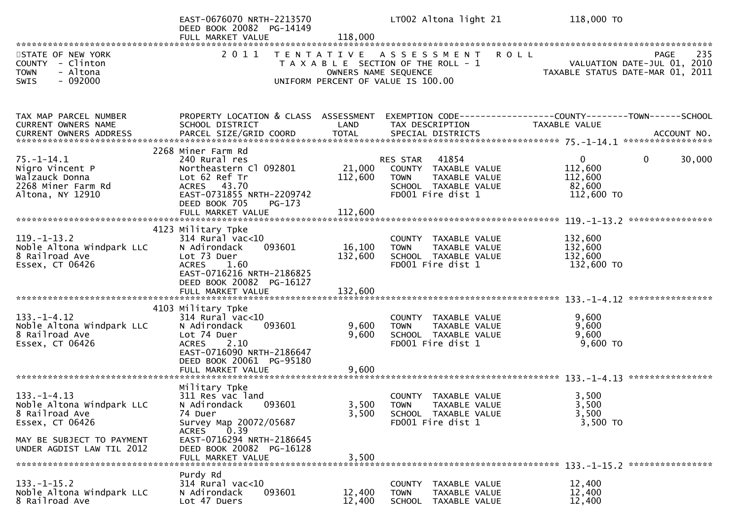|                                                                                                                                               | EAST-0676070 NRTH-2213570<br>DEED BOOK 20082 PG-14149<br>FULL MARKET VALUE                                                                                                                      | 118,000                      | LT002 Altona light 21                                                                                                                      | 118,000 TO                                                 |                                            |
|-----------------------------------------------------------------------------------------------------------------------------------------------|-------------------------------------------------------------------------------------------------------------------------------------------------------------------------------------------------|------------------------------|--------------------------------------------------------------------------------------------------------------------------------------------|------------------------------------------------------------|--------------------------------------------|
| STATE OF NEW YORK<br>COUNTY - Clinton<br><b>TOWN</b><br>- Altona<br>$-092000$<br><b>SWIS</b>                                                  | 2011                                                                                                                                                                                            |                              | TENTATIVE ASSESSMENT<br><b>ROLL</b><br>T A X A B L E SECTION OF THE ROLL - 1<br>OWNERS NAME SEQUENCE<br>UNIFORM PERCENT OF VALUE IS 100.00 | TAXABLE STATUS DATE-MAR 01, 2011                           | 235<br>PAGE<br>VALUATION DATE-JUL 01, 2010 |
| TAX MAP PARCEL NUMBER<br>CURRENT OWNERS NAME                                                                                                  | PROPERTY LOCATION & CLASS ASSESSMENT<br>SCHOOL DISTRICT                                                                                                                                         | LAND                         | EXEMPTION CODE------------------COUNTY--------TOWN------SCHOOL<br>TAX DESCRIPTION                                                          | TAXABLE VALUE                                              |                                            |
| $75. - 1 - 14.1$<br>Nigro Vincent P<br>Walzauck Donna<br>2268 Miner Farm Rd<br>Altona, NY 12910                                               | 2268 Miner Farm Rd<br>240 Rural res<br>Northeastern Cl 092801<br>Lot 62 Ref Tr<br>ACRES 43.70<br>EAST-0731855 NRTH-2209742<br>DEED BOOK 705<br>PG-173<br>FULL MARKET VALUE                      | 21,000<br>112,600<br>112,600 | 41854<br>RES STAR<br>COUNTY TAXABLE VALUE<br><b>TOWN</b><br>TAXABLE VALUE<br>SCHOOL TAXABLE VALUE<br>FD001 Fire dist 1                     | $\mathbf{0}$<br>112,600<br>112,600<br>82,600<br>112,600 TO | 0<br>30,000<br>****************            |
| $119. - 1 - 13.2$<br>Noble Altona Windpark LLC<br>8 Railroad Ave<br>Essex, CT 06426                                                           | 4123 Military Tpke<br>314 Rural vac<10<br>N Adirondack<br>093601<br>Lot 73 Duer<br>1.60<br><b>ACRES</b><br>EAST-0716216 NRTH-2186825<br>DEED BOOK 20082 PG-16127<br>FULL MARKET VALUE           | 16,100<br>132,600<br>132,600 | COUNTY TAXABLE VALUE<br>TAXABLE VALUE<br><b>TOWN</b><br>SCHOOL TAXABLE VALUE<br>FD001 Fire dist 1                                          | 132,600<br>132,600<br>132,600<br>132,600 TO                |                                            |
| $133. - 1 - 4.12$<br>Noble Altona Windpark LLC<br>8 Railroad Ave<br>Essex, CT 06426                                                           | 4103 Military Tpke<br>314 Rural vac<10<br>N Adirondack<br>093601<br>Lot 74 Duer<br>2.10<br><b>ACRES</b><br>EAST-0716090 NRTH-2186647<br>DEED BOOK 20061 PG-95180<br>FULL MARKET VALUE           | 9,600<br>9,600<br>9,600      | COUNTY TAXABLE VALUE<br><b>TOWN</b><br>TAXABLE VALUE<br>SCHOOL TAXABLE VALUE<br>FD001 Fire dist 1                                          | 9,600<br>9,600<br>9,600<br>9,600 TO                        | ****************<br>****************       |
| $133. - 1 - 4.13$<br>Noble Altona Windpark LLC<br>8 Railroad Ave<br>Essex, CT 06426<br>MAY BE SUBJECT TO PAYMENT<br>UNDER AGDIST LAW TIL 2012 | Military Tpke<br>311 Res vac land<br>N Adirondack<br>093601<br>74 Duer<br>Survey Map 20072/05687<br>0.39<br>ACRES<br>EAST-0716294 NRTH-2186645<br>DEED BOOK 20082 PG-16128<br>FULL MARKET VALUE | 3,500<br>3,500<br>3,500      | COUNTY TAXABLE VALUE<br><b>TOWN</b><br><b>TAXABLE VALUE</b><br>SCHOOL TAXABLE VALUE<br>FD001 Fire dist 1                                   | 3,500<br>3,500<br>3,500<br>3,500 TO                        |                                            |
| $133. - 1 - 15.2$<br>Noble Altona Windpark LLC<br>8 Railroad Ave                                                                              | Purdy Rd<br>$314$ Rural vac<10<br>N Adirondack<br>093601<br>Lot 47 Duers                                                                                                                        | 12,400<br>12,400             | COUNTY TAXABLE VALUE<br>TAXABLE VALUE<br><b>TOWN</b><br><b>SCHOOL</b><br>TAXABLE VALUE                                                     | 12,400<br>12,400<br>12,400                                 |                                            |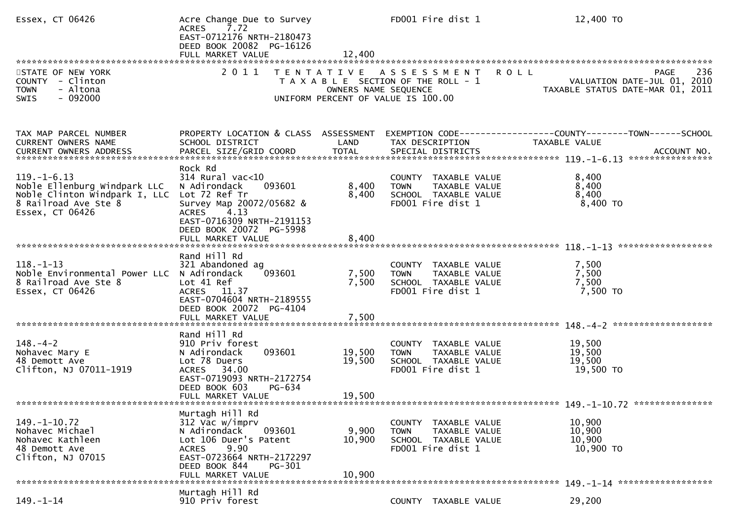| Essex, CT 06426                                                                                                               | Acre Change Due to Survey<br><b>ACRES</b><br>7.72<br>EAST-0712176 NRTH-2180473<br>DEED BOOK 20082 PG-16126<br>FULL MARKET VALUE                                                            | 12,400                     | FD001 Fire dist 1                                                                                  | 12,400 TO                                                                                                                    |
|-------------------------------------------------------------------------------------------------------------------------------|--------------------------------------------------------------------------------------------------------------------------------------------------------------------------------------------|----------------------------|----------------------------------------------------------------------------------------------------|------------------------------------------------------------------------------------------------------------------------------|
| STATE OF NEW YORK<br>COUNTY - Clinton<br><b>TOWN</b><br>- Altona<br>$-092000$<br><b>SWIS</b>                                  | 2011<br>T E N T A T I V E                                                                                                                                                                  | OWNERS NAME SEQUENCE       | A S S E S S M E N T<br>T A X A B L E SECTION OF THE ROLL - 1<br>UNIFORM PERCENT OF VALUE IS 100.00 | 236<br><b>ROLL</b><br>PAGE<br>VALUATION DATE-JUL 01, 2010<br>VALUATIUN DATE-SUL 11, 2011<br>TAXABLE STATUS DATE-MAR 01, 2011 |
| TAX MAP PARCEL NUMBER<br>CURRENT OWNERS NAME<br>CURRENT OWNERS ADDRESS                                                        | PROPERTY LOCATION & CLASS ASSESSMENT<br>SCHOOL DISTRICT                                                                                                                                    | LAND                       | TAX DESCRIPTION                                                                                    | EXEMPTION CODE-----------------COUNTY-------TOWN------SCHOOL<br>TAXABLE VALUE                                                |
| $119. - 1 - 6.13$<br>Noble Ellenburg Windpark LLC<br>Noble Clinton Windpark I, LLC<br>8 Railroad Ave Ste 8<br>Essex, CT 06426 | Rock Rd<br>$314$ Rural vac<10<br>093601<br>N Adirondack<br>Lot 72 Ref Tr<br>Survey Map 20072/05682 &<br>4.13<br><b>ACRES</b><br>EAST-0716309 NRTH-2191153<br>DEED BOOK 20072 PG-5998       | 8,400<br>8,400             | COUNTY TAXABLE VALUE<br>TAXABLE VALUE<br><b>TOWN</b><br>SCHOOL TAXABLE VALUE<br>FD001 Fire dist 1  | 8,400<br>8,400<br>8,400<br>8,400 TO                                                                                          |
|                                                                                                                               |                                                                                                                                                                                            |                            |                                                                                                    | ******************                                                                                                           |
| $118. - 1 - 13$<br>Noble Environmental Power LLC N Adirondack<br>8 Railroad Ave Ste 8<br>Essex, CT 06426                      | Rand Hill Rd<br>321 Abandoned ag<br>093601<br>Lot 41 Ref<br>ACRES 11.37<br>EAST-0704604 NRTH-2189555<br>DEED BOOK 20072 PG-4104                                                            | 7,500<br>7,500             | COUNTY TAXABLE VALUE<br>TAXABLE VALUE<br><b>TOWN</b><br>SCHOOL TAXABLE VALUE<br>FD001 Fire dist 1  | 7,500<br>7,500<br>7,500<br>7,500 TO                                                                                          |
|                                                                                                                               | FULL MARKET VALUE                                                                                                                                                                          | 7,500                      |                                                                                                    |                                                                                                                              |
| $148. - 4 - 2$<br>Nohavec Mary E<br>48 Demott Ave<br>Clifton, NJ 07011-1919                                                   | Rand Hill Rd<br>910 Priv forest<br>093601<br>N Adirondack<br>Lot 78 Duers<br>ACRES 34.00<br>EAST-0719093 NRTH-2172754<br>DEED BOOK 603<br>PG-634<br>FULL MARKET VALUE                      | 19,500<br>19,500<br>19,500 | COUNTY TAXABLE VALUE<br>TAXABLE VALUE<br><b>TOWN</b><br>SCHOOL TAXABLE VALUE<br>FD001 Fire dist 1  | 19,500<br>19,500<br>19,500<br>19,500 TO                                                                                      |
|                                                                                                                               |                                                                                                                                                                                            |                            |                                                                                                    |                                                                                                                              |
| $149. - 1 - 10.72$<br>Nohavec Michael<br>Nohavec Kathleen<br>48 Demott Ave<br>Clifton, NJ 07015                               | Murtagh Hill Rd<br>312 Vac w/imprv<br>093601<br>N Adirondack<br>Lot 106 Duer's Patent<br>9.90<br><b>ACRES</b><br>EAST-0723664 NRTH-2172297<br>DEED BOOK 844<br>PG-301<br>FULL MARKET VALUE | 9,900<br>10,900<br>10,900  | COUNTY TAXABLE VALUE<br><b>TOWN</b><br>TAXABLE VALUE<br>SCHOOL TAXABLE VALUE<br>FD001 Fire dist 1  | 10,900<br>10,900<br>10,900<br>10,900 TO                                                                                      |
|                                                                                                                               | Murtagh Hill Rd                                                                                                                                                                            |                            |                                                                                                    | 149. -1-14 *******************                                                                                               |
| $149. - 1 - 14$                                                                                                               | 910 Priv forest                                                                                                                                                                            |                            | COUNTY TAXABLE VALUE                                                                               | 29,200                                                                                                                       |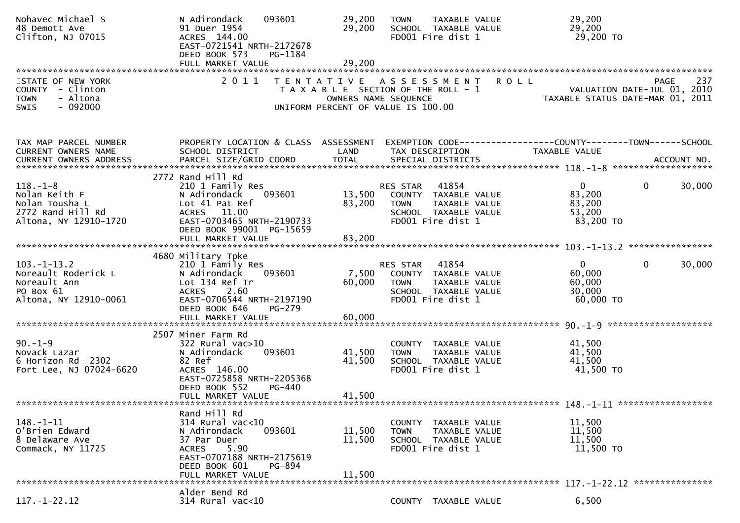| Nohavec Michael S<br>48 Demott Ave<br>Clifton, NJ 07015                                         | N Adirondack<br>093601<br>91 Duer 1954<br>ACRES 144.00<br>EAST-0721541 NRTH-2172678<br>DEED BOOK 573<br>PG-1184                                                                     | 29,200<br>29,200                                                                                                            | <b>TOWN</b>             | TAXABLE VALUE<br>SCHOOL TAXABLE VALUE<br>FD001 Fire dist 1                                  |             | 29,200<br>29,200<br>29,200 TO                                                          |                                            |
|-------------------------------------------------------------------------------------------------|-------------------------------------------------------------------------------------------------------------------------------------------------------------------------------------|-----------------------------------------------------------------------------------------------------------------------------|-------------------------|---------------------------------------------------------------------------------------------|-------------|----------------------------------------------------------------------------------------|--------------------------------------------|
|                                                                                                 |                                                                                                                                                                                     |                                                                                                                             |                         |                                                                                             |             |                                                                                        |                                            |
| STATE OF NEW YORK<br>COUNTY - Clinton<br>- Altona<br><b>TOWN</b><br>$-092000$<br>SWIS           | 2011                                                                                                                                                                                | TENTATIVE ASSESSMENT<br>T A X A B L E SECTION OF THE ROLL - 1<br>OWNERS NAME SEQUENCE<br>UNIFORM PERCENT OF VALUE IS 100.00 |                         |                                                                                             | <b>ROLL</b> | TAXABLE STATUS DATE-MAR 01, 2011                                                       | 237<br>PAGE<br>VALUATION DATE-JUL 01, 2010 |
| TAX MAP PARCEL NUMBER<br>CURRENT OWNERS NAME<br>CURRENT OWNERS ADDRESS                          | PROPERTY LOCATION & CLASS ASSESSMENT<br>SCHOOL DISTRICT                                                                                                                             | LAND                                                                                                                        |                         | TAX DESCRIPTION                                                                             |             | EXEMPTION CODE------------------COUNTY--------TOWN------SCHOOL<br><b>TAXABLE VALUE</b> |                                            |
| $118. - 1 - 8$<br>Nolan Keith F<br>Nolan Tousha L<br>2772 Rand Hill Rd<br>Altona, NY 12910-1720 | 2772 Rand Hill Rd<br>210 1 Family Res<br>093601<br>N Adirondack<br>Lot 41 Pat Ref<br>ACRES 11.00<br>EAST-0703465 NRTH-2190733<br>DEED BOOK 99001 PG-15659                           | 13,500<br>83,200                                                                                                            | RES STAR<br><b>TOWN</b> | 41854<br>COUNTY TAXABLE VALUE<br>TAXABLE VALUE<br>SCHOOL TAXABLE VALUE<br>FD001 Fire dist 1 |             | $\mathbf{0}$<br>83,200<br>83,200<br>53,200<br>83,200 TO                                | 30,000<br>$\overline{0}$                   |
|                                                                                                 | FULL MARKET VALUE                                                                                                                                                                   | 83,200                                                                                                                      |                         |                                                                                             |             |                                                                                        |                                            |
|                                                                                                 |                                                                                                                                                                                     |                                                                                                                             |                         |                                                                                             |             |                                                                                        |                                            |
| $103 - 1 - 13.2$<br>Noreault Roderick L<br>Noreault Ann<br>PO Box 61<br>Altona, NY 12910-0061   | 4680 Military Tpke<br>210 1 Family Res<br>N Adirondack<br>093601<br>Lot 134 Ref Tr<br><b>ACRES</b><br>2.60<br>EAST-0706544 NRTH-2197190<br>DEED BOOK 646<br>PG-279                  | 7,500<br>60,000                                                                                                             | RES STAR<br><b>TOWN</b> | 41854<br>COUNTY TAXABLE VALUE<br>TAXABLE VALUE<br>SCHOOL TAXABLE VALUE<br>FD001 Fire dist 1 |             | $\Omega$<br>60,000<br>60,000<br>30,000<br>60,000 TO                                    | 30,000<br>$\mathbf{0}$                     |
|                                                                                                 | FULL MARKET VALUE                                                                                                                                                                   | 60,000                                                                                                                      |                         |                                                                                             |             |                                                                                        |                                            |
|                                                                                                 |                                                                                                                                                                                     |                                                                                                                             |                         |                                                                                             |             |                                                                                        |                                            |
| $90. -1 - 9$<br>Novack Lazar<br>2302<br>6 Horizon Rd<br>Fort Lee, NJ 07024-6620                 | 2507 Miner Farm Rd<br>$322$ Rural vac $>10$<br>093601<br>N Adirondack<br>82 Ref<br>ACRES 146.00<br>EAST-0725858 NRTH-2205368<br>DEED BOOK 552<br>PG-440<br>FULL MARKET VALUE        | 41,500<br>41,500<br>41,500                                                                                                  | <b>TOWN</b>             | COUNTY TAXABLE VALUE<br>TAXABLE VALUE<br>SCHOOL TAXABLE VALUE<br>FD001 Fire dist 1          |             | 41,500<br>41,500<br>41,500<br>41,500 TO                                                |                                            |
|                                                                                                 |                                                                                                                                                                                     |                                                                                                                             |                         |                                                                                             |             |                                                                                        |                                            |
| $148. - 1 - 11$<br>O'Brien Edward<br>8 Delaware Ave<br>Commack, NY 11725                        | Rand Hill Rd<br>$314$ Rural vac< $10$<br>093601<br>N Adirondack<br>37 Par Duer<br>5.90<br><b>ACRES</b><br>EAST-0707188 NRTH-2175619<br>DEED BOOK 601<br>PG-894<br>FULL MARKET VALUE | 11,500<br>11,500<br>11,500                                                                                                  | <b>TOWN</b>             | COUNTY TAXABLE VALUE<br>TAXABLE VALUE<br>SCHOOL TAXABLE VALUE<br>FD001 Fire dist 1          |             | 11,500<br>11,500<br>11,500<br>11,500 TO                                                |                                            |
|                                                                                                 | Alder Bend Rd                                                                                                                                                                       |                                                                                                                             |                         |                                                                                             |             |                                                                                        |                                            |
| $117. - 1 - 22.12$                                                                              | 314 Rural vac<10                                                                                                                                                                    |                                                                                                                             |                         | COUNTY TAXABLE VALUE                                                                        |             | 6,500                                                                                  |                                            |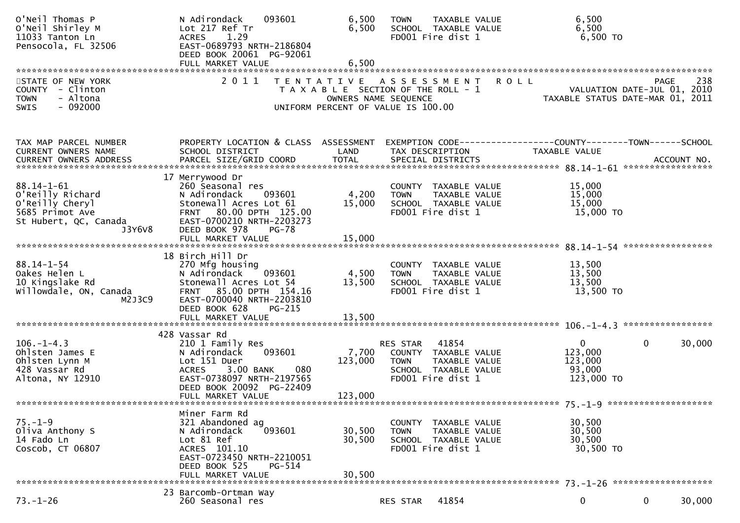| O'Neil Thomas P<br>O'Neil Shirley M<br>11033 Tanton Ln<br>Pensocola, FL 32506                                 | N Adirondack<br>093601<br>Lot 217 Ref Tr<br>1.29<br><b>ACRES</b><br>EAST-0689793 NRTH-2186804<br>DEED BOOK 20061 PG-92061                                                       | 6,500<br>6,500                                                                                                              | <b>TOWN</b>             | TAXABLE VALUE<br>SCHOOL TAXABLE VALUE<br>FD001 Fire dist 1                                  |             | 6,500<br>6,500<br>6,500 TO                      |                                                                                       |
|---------------------------------------------------------------------------------------------------------------|---------------------------------------------------------------------------------------------------------------------------------------------------------------------------------|-----------------------------------------------------------------------------------------------------------------------------|-------------------------|---------------------------------------------------------------------------------------------|-------------|-------------------------------------------------|---------------------------------------------------------------------------------------|
| STATE OF NEW YORK<br>COUNTY - Clinton<br>- Altona<br><b>TOWN</b><br>$-092000$<br><b>SWIS</b>                  | 2011                                                                                                                                                                            | TENTATIVE ASSESSMENT<br>T A X A B L E SECTION OF THE ROLL - 1<br>OWNERS NAME SEQUENCE<br>UNIFORM PERCENT OF VALUE IS 100.00 |                         |                                                                                             | <b>ROLL</b> |                                                 | 238<br><b>PAGE</b><br>VALUATION DATE-JUL 01, 2010<br>TAXABLE STATUS DATE-MAR 01, 2011 |
| TAX MAP PARCEL NUMBER<br>CURRENT OWNERS NAME                                                                  | PROPERTY LOCATION & CLASS ASSESSMENT<br>SCHOOL DISTRICT                                                                                                                         | LAND                                                                                                                        |                         | TAX DESCRIPTION                                                                             |             | TAXABLE VALUE                                   | EXEMPTION CODE-----------------COUNTY-------TOWN------SCHOOL                          |
| $88.14 - 1 - 61$<br>O'Reilly Richard<br>O'Reilly Cheryl<br>5685 Primot Ave<br>St Hubert, QC, Canada<br>J3Y6V8 | 17 Merrywood Dr<br>260 Seasonal res<br>N Adirondack<br>093601<br>Stonewall Acres Lot 61<br>FRNT 80.00 DPTH 125.00<br>EAST-0700210 NRTH-2203273<br>DEED BOOK 978<br><b>PG-78</b> | 4,200<br>15,000                                                                                                             | <b>TOWN</b>             | COUNTY TAXABLE VALUE<br>TAXABLE VALUE<br>SCHOOL TAXABLE VALUE<br>FD001 Fire dist 1          |             | 15,000<br>15,000<br>15,000<br>15,000 TO         |                                                                                       |
|                                                                                                               | FULL MARKET VALUE                                                                                                                                                               | 15,000                                                                                                                      |                         |                                                                                             |             |                                                 |                                                                                       |
| $88.14 - 1 - 54$<br>Oakes Helen L<br>10 Kingslake Rd<br>willowdale, ON, Canada<br>M2J3C9                      | 18 Birch Hill Dr<br>270 Mfg housing<br>N Adirondack<br>093601<br>Stonewall Acres Lot 54<br>FRNT 85.00 DPTH 154.16<br>EAST-0700040 NRTH-2203810<br>DEED BOOK 628<br>PG-215       | 4,500<br>13,500                                                                                                             | <b>TOWN</b>             | COUNTY TAXABLE VALUE<br>TAXABLE VALUE<br>SCHOOL TAXABLE VALUE<br>FD001 Fire dist 1          |             | 13,500<br>13,500<br>13,500<br>13,500 TO         |                                                                                       |
|                                                                                                               | 428 Vassar Rd                                                                                                                                                                   |                                                                                                                             |                         |                                                                                             |             |                                                 |                                                                                       |
| $106. - 1 - 4.3$<br>Ohlsten James E<br>Ohlsten Lynn M<br>428 Vassar Rd<br>Altona, NY 12910                    | 210 1 Family Res<br>093601<br>N Adirondack<br>Lot 151 Duer<br>080<br>3.00 BANK<br><b>ACRES</b><br>EAST-0738097 NRTH-2197565<br>DEED BOOK 20092 PG-22409<br>FULL MARKET VALUE    | 7,700<br>123,000<br>123,000                                                                                                 | RES STAR<br><b>TOWN</b> | 41854<br>COUNTY TAXABLE VALUE<br>TAXABLE VALUE<br>SCHOOL TAXABLE VALUE<br>FD001 Fire dist 1 |             | 0<br>123,000<br>123,000<br>93,000<br>123,000 TO | 0<br>30,000                                                                           |
|                                                                                                               |                                                                                                                                                                                 |                                                                                                                             |                         |                                                                                             |             |                                                 |                                                                                       |
| $75. - 1 - 9$<br>Oliva Anthony S<br>14 Fado Ln<br>Coscob, CT 06807                                            | Miner Farm Rd<br>321 Abandoned ag<br>093601<br>N Adirondack<br>Lot 81 Ref<br>ACRES 101.10<br>EAST-0723450 NRTH-2210051<br>DEED BOOK 525<br>$PG-514$<br>FULL MARKET VALUE        | 30,500<br>30,500<br>30,500                                                                                                  | <b>TOWN</b>             | COUNTY TAXABLE VALUE<br>TAXABLE VALUE<br>SCHOOL TAXABLE VALUE<br>FD001 Fire dist 1          |             | 30,500<br>30,500<br>30,500<br>30,500 TO         |                                                                                       |
|                                                                                                               | 23 Barcomb-Ortman Way                                                                                                                                                           |                                                                                                                             |                         |                                                                                             |             |                                                 |                                                                                       |
| $73. - 1 - 26$                                                                                                | 260 Seasonal res                                                                                                                                                                |                                                                                                                             | RES STAR                | 41854                                                                                       |             | 0                                               | 0<br>30,000                                                                           |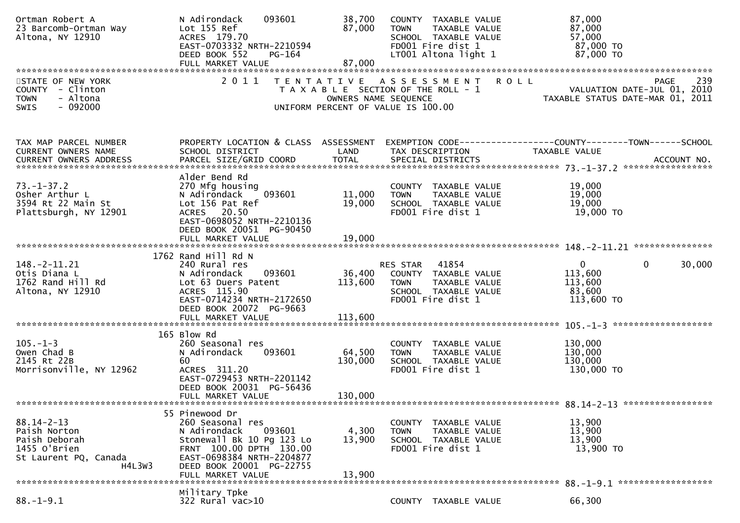| Ortman Robert A<br>23 Barcomb-Ortman Way<br>Altona, NY 12910                                         | N Adirondack<br>093601<br>Lot 155 Ref<br>ACRES 179.70<br>EAST-0703332 NRTH-2210594<br>DEED BOOK 552<br>PG-164                                                                                      | 38,700<br>87,000             | COUNTY TAXABLE VALUE<br><b>TOWN</b><br>TAXABLE VALUE<br>SCHOOL TAXABLE VALUE<br>FD001 Fire dist 1<br>LT001 Altona light 1 | 87,000<br>87,000<br>57,000<br>87,000 TO<br>87,000 TO                                          |
|------------------------------------------------------------------------------------------------------|----------------------------------------------------------------------------------------------------------------------------------------------------------------------------------------------------|------------------------------|---------------------------------------------------------------------------------------------------------------------------|-----------------------------------------------------------------------------------------------|
| STATE OF NEW YORK<br>- Clinton<br><b>COUNTY</b><br>- Altona<br><b>TOWN</b><br>$-092000$<br>SWIS      | 2011                                                                                                                                                                                               | OWNERS NAME SEQUENCE         | TENTATIVE ASSESSMENT<br>T A X A B L E SECTION OF THE ROLL - 1<br>UNIFORM PERCENT OF VALUE IS 100.00                       | 239<br><b>ROLL</b><br>PAGE<br>VALUATION DATE-JUL 01, 2010<br>TAXABLE STATUS DATE-MAR 01, 2011 |
| TAX MAP PARCEL NUMBER<br>CURRENT OWNERS NAME                                                         | PROPERTY LOCATION & CLASS ASSESSMENT<br>SCHOOL DISTRICT                                                                                                                                            | LAND                         | TAX DESCRIPTION                                                                                                           | EXEMPTION        CODE-----------------COUNTY-------TOWN------SCHOOL<br>TAXABLE VALUE          |
| $73. - 1 - 37.2$<br>Osher Arthur L<br>3594 Rt 22 Main St<br>Plattsburgh, NY 12901                    | Alder Bend Rd<br>270 Mfg housing<br>093601<br>N Adirondack<br>Lot 156 Pat Ref<br>ACRES 20.50<br>EAST-0698052 NRTH-2210136<br>DEED BOOK 20051 PG-90450                                              | 11,000<br>19,000             | COUNTY TAXABLE VALUE<br>TAXABLE VALUE<br><b>TOWN</b><br>SCHOOL TAXABLE VALUE<br>FD001 Fire dist 1                         | 19,000<br>19,000<br>19,000<br>19,000 TO                                                       |
|                                                                                                      | FULL MARKET VALUE                                                                                                                                                                                  | 19,000                       |                                                                                                                           |                                                                                               |
| 148. – 2–11. 21<br>Otis Diana L<br>1762 Rand Hill Rd<br>Altona, NY 12910                             | 1762 Rand Hill Rd N<br>240 Rural res<br>N Adirondack<br>093601<br>Lot 63 Duers Patent<br>ACRES 115.90<br>EAST-0714234 NRTH-2172650<br>DEED BOOK 20072 PG-9663                                      | 36,400<br>113,600            | RES STAR<br>41854<br>COUNTY TAXABLE VALUE<br><b>TOWN</b><br>TAXABLE VALUE<br>SCHOOL TAXABLE VALUE<br>FD001 Fire dist 1    | $\mathbf 0$<br>30,000<br>$\overline{0}$<br>113,600<br>113,600<br>83,600<br>113,600 TO         |
|                                                                                                      | FULL MARKET VALUE                                                                                                                                                                                  | 113,600                      |                                                                                                                           |                                                                                               |
| $105. - 1 - 3$<br>Owen Chad B<br>2145 Rt 22B<br>Morrisonville, NY 12962                              | 165 Blow Rd<br>260 Seasonal res<br>093601<br>N Adirondack<br>60<br>ACRES 311.20<br>EAST-0729453 NRTH-2201142<br>DEED BOOK 20031 PG-56436<br>FULL MARKET VALUE                                      | 64,500<br>130,000<br>130,000 | COUNTY TAXABLE VALUE<br>TAXABLE VALUE<br><b>TOWN</b><br>SCHOOL TAXABLE VALUE<br>FD001 Fire dist 1                         | 130,000<br>130,000<br>130,000<br>130,000 TO                                                   |
|                                                                                                      |                                                                                                                                                                                                    |                              |                                                                                                                           |                                                                                               |
| $88.14 - 2 - 13$<br>Paish Norton<br>Paish Deborah<br>1455 O'Brien<br>St Laurent PQ, Canada<br>H4L3W3 | 55 Pinewood Dr<br>260 Seasonal res<br>N Adirondack<br>093601<br>Stonewall Bk 10 Pg 123 Lo<br>FRNT 100.00 DPTH 130.00<br>EAST-0698384 NRTH-2204877<br>DEED BOOK 20001 PG-22755<br>FULL MARKET VALUE | 4,300<br>13,900<br>13,900    | COUNTY TAXABLE VALUE<br><b>TOWN</b><br>TAXABLE VALUE<br>SCHOOL TAXABLE VALUE<br>FD001 Fire dist 1                         | 13,900<br>13,900<br>13,900<br>13,900 TO                                                       |
|                                                                                                      | Military Tpke                                                                                                                                                                                      |                              |                                                                                                                           | 88. -1-9.1 *******************                                                                |
| $88. - 1 - 9.1$                                                                                      | 322 Rural vac>10                                                                                                                                                                                   |                              | COUNTY TAXABLE VALUE                                                                                                      | 66,300                                                                                        |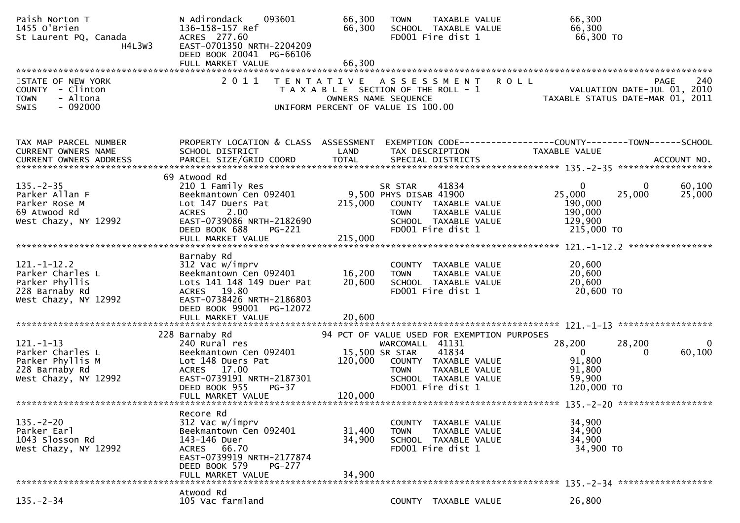| Paish Norton T<br>1455 O'Brien<br>St Laurent PQ, Canada<br>H4L3W3                                 | N Adirondack<br>093601<br>136-158-157 Ref<br>ACRES 277.60<br>EAST-0701350 NRTH-2204209<br>DEED BOOK 20041 PG-66106                                                                    | 66,300<br>66,300                                                                                    | <b>TOWN</b>                                      | TAXABLE VALUE<br>SCHOOL TAXABLE VALUE<br>FD001 Fire dist 1                                  | 66,300<br>66,300<br>66,300 TO                                                                           |
|---------------------------------------------------------------------------------------------------|---------------------------------------------------------------------------------------------------------------------------------------------------------------------------------------|-----------------------------------------------------------------------------------------------------|--------------------------------------------------|---------------------------------------------------------------------------------------------|---------------------------------------------------------------------------------------------------------|
|                                                                                                   |                                                                                                                                                                                       |                                                                                                     |                                                  |                                                                                             |                                                                                                         |
| STATE OF NEW YORK<br>COUNTY - Clinton<br>- Altona<br><b>TOWN</b><br>$-092000$<br><b>SWIS</b>      | 2011                                                                                                                                                                                  | TENTATIVE ASSESSMENT<br>T A X A B L E SECTION OF THE ROLL - 1<br>UNIFORM PERCENT OF VALUE IS 100.00 | OWNERS NAME SEQUENCE                             |                                                                                             | 240<br><b>ROLL</b><br>PAGE<br>VALUATION DATE-JUL 01, 2010<br>TAXABLE STATUS DATE-MAR 01, 2011           |
| TAX MAP PARCEL NUMBER<br><b>CURRENT OWNERS NAME</b><br>CURRENT OWNERS ADDRESS                     | PROPERTY LOCATION & CLASS ASSESSMENT<br>SCHOOL DISTRICT                                                                                                                               | LAND                                                                                                | TAX DESCRIPTION                                  |                                                                                             | TAXABLE VALUE                                                                                           |
| $135. - 2 - 35$<br>Parker Allan F<br>Parker Rose M<br>69 Atwood Rd<br>West Chazy, NY 12992        | 69 Atwood Rd<br>210 1 Family Res<br>Beekmantown Cen 092401<br>Lot 147 Duers Pat<br>2.00<br><b>ACRES</b><br>EAST-0739086 NRTH-2182690<br>DEED BOOK 688<br>PG-221<br>FULL MARKET VALUE  | 215,000<br>215,000                                                                                  | SR STAR<br>9,500 PHYS DISAB 41900<br><b>TOWN</b> | 41834<br>COUNTY TAXABLE VALUE<br>TAXABLE VALUE<br>SCHOOL TAXABLE VALUE<br>FD001 Fire dist 1 | $\mathbf 0$<br>60,100<br>0<br>25,000<br>25,000<br>25,000<br>190,000<br>190,000<br>129,900<br>215,000 TO |
|                                                                                                   |                                                                                                                                                                                       |                                                                                                     |                                                  |                                                                                             |                                                                                                         |
| $121. - 1 - 12.2$<br>Parker Charles L<br>Parker Phyllis<br>228 Barnaby Rd<br>West Chazy, NY 12992 | Barnaby Rd<br>312 Vac w/imprv<br>Beekmantown Cen 092401<br>Lots 141 148 149 Duer Pat<br>ACRES 19.80<br>EAST-0738426 NRTH-2186803<br>DEED BOOK 99001 PG-12072<br>FULL MARKET VALUE     | 16,200<br>20,600<br>20,600                                                                          | <b>TOWN</b>                                      | COUNTY TAXABLE VALUE<br>TAXABLE VALUE<br>SCHOOL TAXABLE VALUE<br>FD001 Fire dist 1          | 20,600<br>20,600<br>20,600<br>20,600 TO                                                                 |
|                                                                                                   |                                                                                                                                                                                       |                                                                                                     |                                                  |                                                                                             |                                                                                                         |
| $121. - 1 - 13$<br>Parker Charles L<br>Parker Phyllis M<br>228 Barnaby Rd<br>West Chazy, NY 12992 | 228 Barnaby Rd<br>240 Rural res<br>Beekmantown Cen 092401<br>Lot 148 Duers Pat<br>17.00<br><b>ACRES</b><br>EAST-0739191 NRTH-2187301<br>DEED BOOK 955<br>$PG-37$<br>FULL MARKET VALUE | 94 PCT OF VALUE USED FOR EXEMPTION PURPOSES<br>120,000<br>120,000                                   | WARCOMALL 41131<br>15,500 SR STAR<br><b>TOWN</b> | 41834<br>COUNTY TAXABLE VALUE<br>TAXABLE VALUE<br>SCHOOL TAXABLE VALUE<br>FD001 Fire dist 1 | 28,200<br>28,200<br>0<br>60,100<br>$\mathbf 0$<br>0<br>91,800<br>91,800<br>59,900<br>120,000 TO         |
|                                                                                                   |                                                                                                                                                                                       |                                                                                                     |                                                  |                                                                                             |                                                                                                         |
| $135. - 2 - 20$<br>Parker Earl<br>1043 Slosson Rd<br>West Chazy, NY 12992                         | Recore Rd<br>312 Vac w/imprv<br>Beekmantown Cen 092401<br>143-146 Duer<br>66.70<br>ACRES<br>EAST-0739919 NRTH-2177874<br>DEED BOOK 579<br>PG-277<br>FULL MARKET VALUE                 | 31,400<br>34,900<br>34.900                                                                          | COUNTY<br><b>TOWN</b>                            | TAXABLE VALUE<br>TAXABLE VALUE<br>SCHOOL TAXABLE VALUE<br>FD001 Fire dist 1                 | 34,900<br>34,900<br>34,900<br>34,900 TO                                                                 |
|                                                                                                   | Atwood Rd                                                                                                                                                                             |                                                                                                     |                                                  |                                                                                             |                                                                                                         |
| $135. - 2 - 34$                                                                                   | 105 Vac farmland                                                                                                                                                                      |                                                                                                     |                                                  | COUNTY TAXABLE VALUE                                                                        | 26,800                                                                                                  |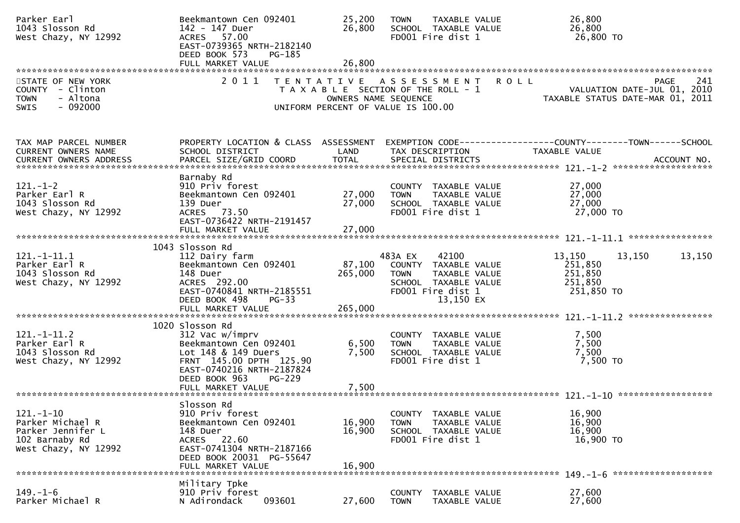| Parker Earl<br>1043 Slosson Rd<br>West Chazy, NY 12992                                             | Beekmantown Cen 092401<br>142 - 147 Duer<br>ACRES 57.00<br>EAST-0739365 NRTH-2182140<br>DEED BOOK 573<br>PG-185                                                  | 25,200<br>26,800                                                                                                            | <b>TOWN</b>                  | TAXABLE VALUE<br>SCHOOL TAXABLE VALUE<br>FD001 Fire dist 1                                               |             | 26,800<br>26,800<br>26,800 TO                         |                                                                                |  |
|----------------------------------------------------------------------------------------------------|------------------------------------------------------------------------------------------------------------------------------------------------------------------|-----------------------------------------------------------------------------------------------------------------------------|------------------------------|----------------------------------------------------------------------------------------------------------|-------------|-------------------------------------------------------|--------------------------------------------------------------------------------|--|
|                                                                                                    |                                                                                                                                                                  |                                                                                                                             |                              |                                                                                                          |             |                                                       |                                                                                |  |
| STATE OF NEW YORK<br>COUNTY - Clinton<br>- Altona<br><b>TOWN</b><br>$-092000$<br><b>SWIS</b>       | 2011                                                                                                                                                             | TENTATIVE ASSESSMENT<br>T A X A B L E SECTION OF THE ROLL - 1<br>OWNERS NAME SEQUENCE<br>UNIFORM PERCENT OF VALUE IS 100.00 |                              |                                                                                                          | <b>ROLL</b> |                                                       | 241<br>PAGE<br>VALUATION DATE-JUL 01, 2010<br>TAXABLE STATUS DATE-MAR 01, 2011 |  |
| TAX MAP PARCEL NUMBER<br>CURRENT OWNERS NAME<br>CURRENT OWNERS ADDRESS                             | PROPERTY LOCATION & CLASS ASSESSMENT<br>SCHOOL DISTRICT                                                                                                          | LAND                                                                                                                        |                              | TAX DESCRIPTION                                                                                          |             | <b>TAXABLE VALUE</b>                                  | EXEMPTION CODE------------------COUNTY--------TOWN------SCHOOL                 |  |
| $121.-1-2$<br>Parker Earl R<br>1043 Slosson Rd<br>West Chazy, NY 12992                             | Barnaby Rd<br>910 Priv forest<br>Beekmantown Cen 092401<br>139 Duer<br>ACRES 73.50<br>EAST-0736422 NRTH-2191457<br>FULL MARKET VALUE                             | 27,000<br>27,000<br>27,000                                                                                                  | <b>TOWN</b>                  | COUNTY TAXABLE VALUE<br>TAXABLE VALUE<br>SCHOOL TAXABLE VALUE<br>FD001 Fire dist 1                       |             | 27,000<br>27,000<br>27,000<br>27,000 TO               |                                                                                |  |
|                                                                                                    | 1043 Slosson Rd                                                                                                                                                  |                                                                                                                             |                              |                                                                                                          |             |                                                       |                                                                                |  |
| $121.-1-11.1$<br>Parker Earl R<br>1043 Slosson Rd<br>West Chazy, NY 12992                          | 112 Dairy farm<br>Beekmantown Cen 092401<br>148 Duer<br>ACRES 292.00<br>EAST-0740841 NRTH-2185551<br>DEED BOOK 498<br>$PG-33$<br>FULL MARKET VALUE               | 87,100<br>265,000<br>265,000                                                                                                | 483A EX<br><b>TOWN</b>       | 42100<br>COUNTY TAXABLE VALUE<br>TAXABLE VALUE<br>SCHOOL TAXABLE VALUE<br>FD001 Fire dist 1<br>13,150 EX |             | 13,150<br>251,850<br>251,850<br>251,850<br>251,850 TO | 13,150<br>13,150                                                               |  |
|                                                                                                    | 1020 Slosson Rd                                                                                                                                                  |                                                                                                                             |                              |                                                                                                          |             |                                                       |                                                                                |  |
| $121. - 1 - 11.2$<br>Parker Earl R<br>1043 Slosson Rd<br>West Chazy, NY 12992                      | 312 Vac w/imprv<br>Beekmantown Cen 092401<br>Lot 148 & 149 Duers<br>FRNT 145.00 DPTH 125.90<br>EAST-0740216 NRTH-2187824<br>DEED BOOK 963<br><b>PG-229</b>       | 6,500<br>7,500                                                                                                              | <b>TOWN</b>                  | COUNTY TAXABLE VALUE<br>TAXABLE VALUE<br>SCHOOL TAXABLE VALUE<br>FD001 Fire dist 1                       |             | 7,500<br>7,500<br>7,500<br>7,500 TO                   |                                                                                |  |
|                                                                                                    |                                                                                                                                                                  |                                                                                                                             |                              |                                                                                                          |             |                                                       |                                                                                |  |
| $121. - 1 - 10$<br>Parker Michael R<br>Parker Jennifer L<br>102 Barnaby Rd<br>West Chazy, NY 12992 | Slosson Rd<br>910 Priv forest<br>Beekmantown Cen 092401<br>148 Duer<br>ACRES 22.60<br>EAST-0741304 NRTH-2187166<br>DEED BOOK 20031 PG-55647<br>FULL MARKET VALUE | 16,900<br>16,900<br>16,900                                                                                                  | <b>TOWN</b>                  | COUNTY TAXABLE VALUE<br>TAXABLE VALUE<br>SCHOOL TAXABLE VALUE<br>FD001 Fire dist 1                       |             | 16,900<br>16,900<br>16,900<br>16,900 TO               |                                                                                |  |
|                                                                                                    | Military Tpke                                                                                                                                                    |                                                                                                                             |                              |                                                                                                          |             |                                                       |                                                                                |  |
| $149. - 1 - 6$<br>Parker Michael R                                                                 | 910 Priv forest<br>093601<br>N Adirondack                                                                                                                        | 27,600                                                                                                                      | <b>COUNTY</b><br><b>TOWN</b> | TAXABLE VALUE<br>TAXABLE VALUE                                                                           |             | 27,600<br>27,600                                      |                                                                                |  |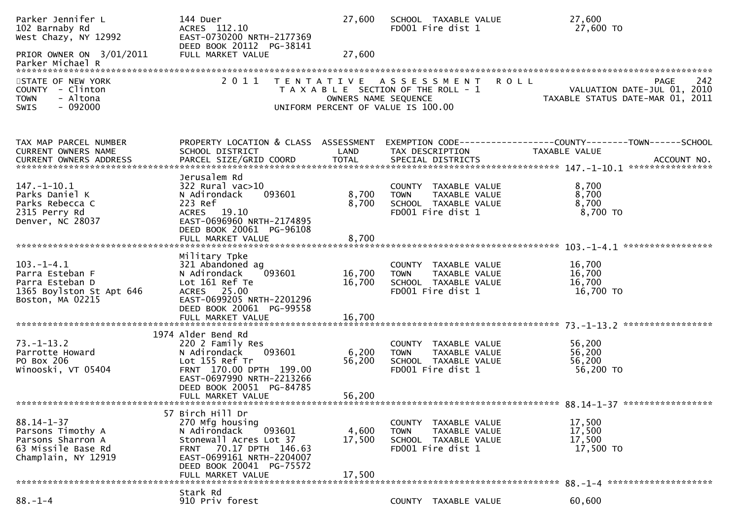| Parker Jennifer L<br>102 Barnaby Rd<br>West Chazy, NY 12992<br>PRIOR OWNER ON 3/01/2011<br>Parker Michael R               | 144 Duer<br>ACRES 112.10<br>EAST-0730200 NRTH-2177369<br>DEED BOOK 20112 PG-38141<br>FULL MARKET VALUE                                                                                          | 27,600<br>27,600          | SCHOOL TAXABLE VALUE<br>FD001 Fire dist 1                                                          | 27,600<br>27,600 TO                                                                           |
|---------------------------------------------------------------------------------------------------------------------------|-------------------------------------------------------------------------------------------------------------------------------------------------------------------------------------------------|---------------------------|----------------------------------------------------------------------------------------------------|-----------------------------------------------------------------------------------------------|
| *************************<br>STATE OF NEW YORK<br>COUNTY - Clinton<br><b>TOWN</b><br>- Altona<br>$-092000$<br><b>SWIS</b> | 2011<br>T E N T A T I V E                                                                                                                                                                       | OWNERS NAME SEQUENCE      | A S S E S S M E N T<br>T A X A B L E SECTION OF THE ROLL - 1<br>UNIFORM PERCENT OF VALUE IS 100.00 | 242<br><b>ROLL</b><br>PAGE<br>VALUATION DATE-JUL 01, 2010<br>TAXABLE STATUS DATE-MAR 01, 2011 |
| TAX MAP PARCEL NUMBER<br>CURRENT OWNERS NAME                                                                              | PROPERTY LOCATION & CLASS ASSESSMENT<br>SCHOOL DISTRICT                                                                                                                                         | LAND                      | TAX DESCRIPTION                                                                                    | TAXABLE VALUE<br>ACCOUNT NO.<br>****************                                              |
| $147. - 1 - 10.1$<br>Parks Daniel K<br>Parks Rebecca C<br>2315 Perry Rd<br>Denver, NC 28037                               | Jerusalem Rd<br>$322$ Rural vac $>10$<br>093601<br>N Adirondack<br>223 Ref<br>ACRES 19.10<br>EAST-0696960 NRTH-2174895<br>DEED BOOK 20061 PG-96108<br>FULL MARKET VALUE                         | 8,700<br>8,700<br>8,700   | COUNTY TAXABLE VALUE<br>TAXABLE VALUE<br><b>TOWN</b><br>SCHOOL TAXABLE VALUE<br>FD001 Fire dist 1  | 8,700<br>8,700<br>8,700<br>8,700 TO                                                           |
|                                                                                                                           | Military Tpke                                                                                                                                                                                   |                           |                                                                                                    |                                                                                               |
| $103. -1 - 4.1$<br>Parra Esteban F<br>Parra Esteban D<br>1365 Boylston St Apt 646<br>Boston, MA 02215                     | 321 Abandoned ag<br>N Adirondack<br>093601<br>Lot 161 Ref Te<br>ACRES 25.00<br>EAST-0699205 NRTH-2201296<br>DEED BOOK 20061 PG-99558                                                            | 16,700<br>16,700          | COUNTY TAXABLE VALUE<br>TAXABLE VALUE<br><b>TOWN</b><br>SCHOOL TAXABLE VALUE<br>FD001 Fire dist 1  | 16,700<br>16,700<br>16,700<br>16,700 TO                                                       |
|                                                                                                                           | FULL MARKET VALUE                                                                                                                                                                               | 16,700                    |                                                                                                    |                                                                                               |
| $73. - 1 - 13.2$<br>Parrotte Howard<br>PO Box 206<br>Winooski, VT 05404                                                   | 1974 Alder Bend Rd<br>220 2 Family Res<br>093601<br>N Adirondack<br>Lot 155 Ref Tr<br>FRNT 170.00 DPTH 199.00<br>EAST-0697990 NRTH-2213266<br>DEED BOOK 20051 PG-84785<br>FULL MARKET VALUE     | 6,200<br>56,200<br>56,200 | COUNTY TAXABLE VALUE<br>TAXABLE VALUE<br><b>TOWN</b><br>SCHOOL TAXABLE VALUE<br>FD001 Fire dist 1  | 56,200<br>56,200<br>56,200<br>56,200 TO                                                       |
|                                                                                                                           |                                                                                                                                                                                                 |                           |                                                                                                    |                                                                                               |
| $88.14 - 1 - 37$<br>Parsons Timothy A<br>Parsons Sharron A<br>63 Missile Base Rd<br>Champlain, NY 12919                   | 57 Birch Hill Dr<br>270 Mfg housing<br>093601<br>N Adirondack<br>Stonewall Acres Lot 37<br>FRNT 70.17 DPTH 146.63<br>EAST-0699161 NRTH-2204007<br>DEED BOOK 20041 PG-75572<br>FULL MARKET VALUE | 4,600<br>17,500<br>17,500 | COUNTY TAXABLE VALUE<br>TAXABLE VALUE<br><b>TOWN</b><br>SCHOOL TAXABLE VALUE<br>FD001 Fire dist 1  | 17,500<br>17,500<br>17,500<br>17,500 TO                                                       |
|                                                                                                                           | Stark Rd                                                                                                                                                                                        |                           |                                                                                                    | $88. - 1 - 4$ **********************                                                          |
| $88. - 1 - 4$                                                                                                             | 910 Priv forest                                                                                                                                                                                 |                           | COUNTY TAXABLE VALUE                                                                               | 60,600                                                                                        |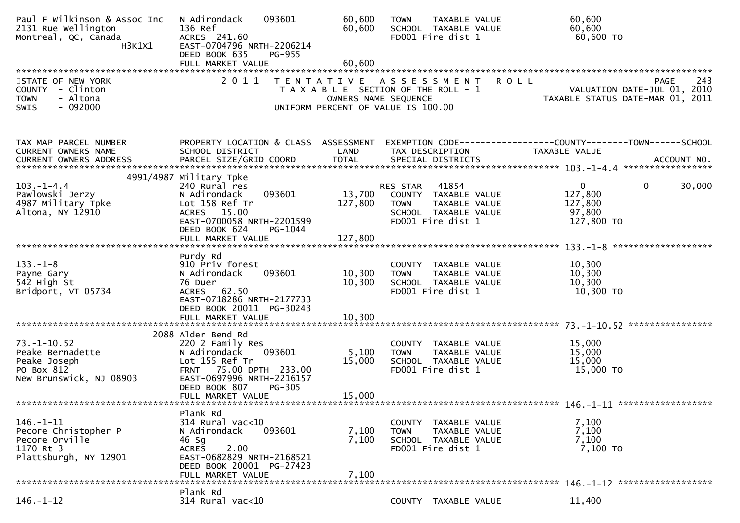| Paul F Wilkinson & Assoc Inc<br>2131 Rue Wellington<br>Montreal, QC, Canada<br>H3K1X1          | 093601<br>N Adirondack<br>136 Ref<br>ACRES 241.60<br>EAST-0704796 NRTH-2206214<br>DEED BOOK 635<br><b>PG-955</b>                                                        | 60,600<br>60,600                                                                                    | <b>TOWN</b><br>FD001 Fire dist 1             | TAXABLE VALUE<br>SCHOOL TAXABLE VALUE                                  | 60,600<br>60,600<br>60,600 TO                                                  |             |
|------------------------------------------------------------------------------------------------|-------------------------------------------------------------------------------------------------------------------------------------------------------------------------|-----------------------------------------------------------------------------------------------------|----------------------------------------------|------------------------------------------------------------------------|--------------------------------------------------------------------------------|-------------|
|                                                                                                |                                                                                                                                                                         |                                                                                                     |                                              |                                                                        |                                                                                |             |
| STATE OF NEW YORK<br>COUNTY - Clinton<br>- Altona<br><b>TOWN</b><br>$-092000$<br><b>SWIS</b>   | 2011                                                                                                                                                                    | TENTATIVE ASSESSMENT<br>T A X A B L E SECTION OF THE ROLL - 1<br>UNIFORM PERCENT OF VALUE IS 100.00 | OWNERS NAME SEQUENCE                         |                                                                        | <b>ROLL</b><br>VALUATION DATE-JUL 01, 2010<br>TAXABLE STATUS DATE-MAR 01, 2011 | 243<br>PAGE |
| TAX MAP PARCEL NUMBER<br>CURRENT OWNERS NAME                                                   | PROPERTY LOCATION & CLASS ASSESSMENT<br>SCHOOL DISTRICT                                                                                                                 | LAND                                                                                                | TAX DESCRIPTION                              |                                                                        | TAXABLE VALUE                                                                  |             |
|                                                                                                | 4991/4987 Military Tpke                                                                                                                                                 |                                                                                                     |                                              |                                                                        |                                                                                |             |
| $103. -1 - 4.4$<br>Pawlowski Jerzy<br>4987 Military Tpke<br>Altona, NY 12910                   | 240 Rural res<br>093601<br>N Adirondack<br>Lot 158 Ref Tr<br>ACRES 15.00<br>EAST-0700058 NRTH-2201599<br>DEED BOOK 624<br>PG-1044                                       | 13,700<br>127,800                                                                                   | RES STAR<br><b>TOWN</b><br>FD001 Fire dist 1 | 41854<br>COUNTY TAXABLE VALUE<br>TAXABLE VALUE<br>SCHOOL TAXABLE VALUE | $\mathbf{0}$<br>0<br>127,800<br>127,800<br>97,800<br>127,800 TO                | 30,000      |
|                                                                                                | FULL MARKET VALUE                                                                                                                                                       | 127,800                                                                                             |                                              |                                                                        |                                                                                |             |
|                                                                                                | Purdy Rd                                                                                                                                                                |                                                                                                     |                                              |                                                                        |                                                                                |             |
| $133. - 1 - 8$<br>Payne Gary<br>542 High St<br>Bridport, VT 05734                              | 910 Priv forest<br>093601<br>N Adirondack<br>76 Duer<br>62.50<br><b>ACRES</b><br>EAST-0718286 NRTH-2177733                                                              | 10,300<br>10,300                                                                                    | <b>TOWN</b><br>FD001 Fire dist 1             | COUNTY TAXABLE VALUE<br>TAXABLE VALUE<br>SCHOOL TAXABLE VALUE          | 10,300<br>10,300<br>10,300<br>10,300 TO                                        |             |
|                                                                                                | DEED BOOK 20011 PG-30243<br>FULL MARKET VALUE                                                                                                                           | 10,300                                                                                              |                                              |                                                                        |                                                                                |             |
| $73. - 1 - 10.52$<br>Peake Bernadette<br>Peake Joseph<br>PO Box 812<br>New Brunswick, NJ 08903 | 2088 Alder Bend Rd<br>220 2 Family Res<br>093601<br>N Adirondack<br>Lot 155 Ref Tr<br>FRNT 75.00 DPTH 233.00<br>EAST-0697996 NRTH-2216157<br>DEED BOOK 807<br>PG-305    | 5,100<br>15,000                                                                                     | <b>TOWN</b><br>FD001 Fire dist 1             | COUNTY TAXABLE VALUE<br>TAXABLE VALUE<br>SCHOOL TAXABLE VALUE          | 15,000<br>15,000<br>15,000<br>15,000 TO                                        |             |
|                                                                                                | FULL MARKET VALUE                                                                                                                                                       | 15,000                                                                                              |                                              |                                                                        |                                                                                |             |
| 146. - 1 - 11<br>Pecore Christopher P<br>Pecore Orville<br>1170 Rt 3<br>Plattsburgh, NY 12901  | Plank Rd<br>$314$ Rural vac<10<br>N Adirondack<br>093601<br>46 Sg<br>2.00<br><b>ACRES</b><br>EAST-0682829 NRTH-2168521<br>DEED BOOK 20001 PG-27423<br>FULL MARKET VALUE | 7,100<br>7,100<br>7,100                                                                             | COUNTY<br><b>TOWN</b><br>FD001 Fire dist 1   | TAXABLE VALUE<br>TAXABLE VALUE<br>SCHOOL TAXABLE VALUE                 | 7,100<br>7,100<br>7,100<br>7,100 TO                                            |             |
|                                                                                                | Plank Rd                                                                                                                                                                |                                                                                                     |                                              |                                                                        |                                                                                |             |
| $146. - 1 - 12$                                                                                | 314 Rural vac<10                                                                                                                                                        |                                                                                                     |                                              | COUNTY TAXABLE VALUE                                                   | 11,400                                                                         |             |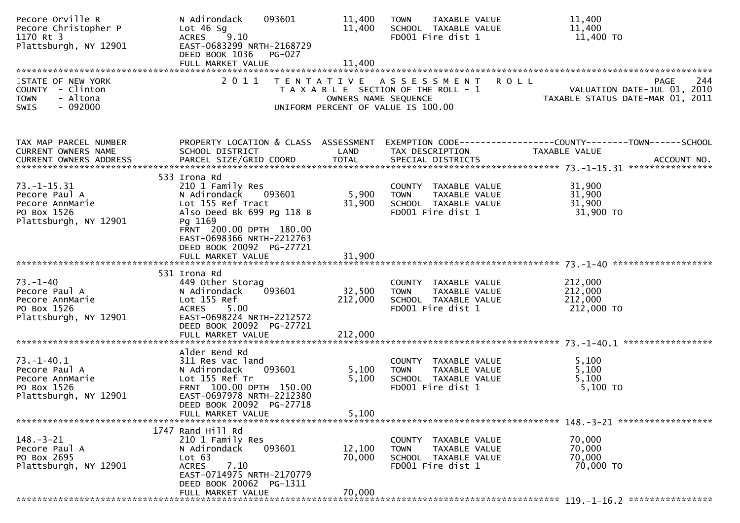| Pecore Orville R<br>Pecore Christopher P<br>1170 Rt 3<br>Plattsburgh, NY 12901                | 093601<br>N Adirondack<br>Lot $46$ Sg<br>9.10<br><b>ACRES</b><br>EAST-0683299 NRTH-2168729<br>DEED BOOK 1036<br><b>PG-027</b>                                                                               | 11,400<br>11,400     | TAXABLE VALUE<br><b>TOWN</b><br>SCHOOL TAXABLE VALUE<br>FD001 Fire dist 1                           | 11,400<br>11,400<br>11,400 TO                                                                 |
|-----------------------------------------------------------------------------------------------|-------------------------------------------------------------------------------------------------------------------------------------------------------------------------------------------------------------|----------------------|-----------------------------------------------------------------------------------------------------|-----------------------------------------------------------------------------------------------|
| STATE OF NEW YORK<br>COUNTY - Clinton<br>- Altona<br><b>TOWN</b><br>$-092000$<br>SWIS         | 2011                                                                                                                                                                                                        | OWNERS NAME SEQUENCE | TENTATIVE ASSESSMENT<br>T A X A B L E SECTION OF THE ROLL - 1<br>UNIFORM PERCENT OF VALUE IS 100.00 | 244<br><b>ROLL</b><br>PAGE<br>VALUATION DATE-JUL 01, 2010<br>TAXABLE STATUS DATE-MAR 01, 2011 |
| TAX MAP PARCEL NUMBER<br>CURRENT OWNERS NAME                                                  | PROPERTY LOCATION & CLASS ASSESSMENT<br>SCHOOL DISTRICT                                                                                                                                                     | LAND                 | TAX DESCRIPTION                                                                                     | EXEMPTION CODE-----------------COUNTY-------TOWN------SCHOOL<br>TAXABLE VALUE                 |
| $73. - 1 - 15.31$<br>Pecore Paul A<br>Pecore AnnMarie<br>PO Box 1526<br>Plattsburgh, NY 12901 | 533 Irona Rd<br>210 1 Family Res<br>093601<br>N Adirondack<br>Lot 155 Ref Tract<br>Also Deed Bk 699 Pg 118 B<br>Pg 1169<br>FRNT 200.00 DPTH 180.00<br>EAST-0698366 NRTH-2212763<br>DEED BOOK 20092 PG-27721 | 5,900<br>31,900      | COUNTY TAXABLE VALUE<br><b>TOWN</b><br>TAXABLE VALUE<br>SCHOOL TAXABLE VALUE<br>FD001 Fire dist 1   | 31,900<br>31,900<br>31,900<br>31,900 TO                                                       |
|                                                                                               | FULL MARKET VALUE                                                                                                                                                                                           | 31,900               |                                                                                                     |                                                                                               |
| $73. - 1 - 40$<br>Pecore Paul A<br>Pecore AnnMarie<br>PO Box 1526<br>Plattsburgh, NY 12901    | 531 Irona Rd<br>449 Other Storag<br>N Adirondack<br>093601<br>Lot 155 Ref<br>5.00<br><b>ACRES</b><br>EAST-0698224 NRTH-2212572<br>DEED BOOK 20092 PG-27721                                                  | 32,500<br>212,000    | COUNTY TAXABLE VALUE<br>TAXABLE VALUE<br><b>TOWN</b><br>SCHOOL TAXABLE VALUE<br>FD001 Fire dist 1   | 212,000<br>212,000<br>212,000<br>212,000 TO                                                   |
|                                                                                               |                                                                                                                                                                                                             |                      |                                                                                                     |                                                                                               |
| $73. - 1 - 40.1$<br>Pecore Paul A<br>Pecore AnnMarie<br>PO Box 1526<br>Plattsburgh, NY 12901  | Alder Bend Rd<br>311 Res vac land<br>093601<br>N Adirondack<br>Lot 155 Ref Tr<br>FRNT 100.00 DPTH 150.00<br>EAST-0697978 NRTH-2212380<br>DEED BOOK 20092 PG-27718                                           | 5,100<br>5,100       | COUNTY TAXABLE VALUE<br>TAXABLE VALUE<br><b>TOWN</b><br>SCHOOL TAXABLE VALUE<br>FD001 Fire dist 1   | 5,100<br>5,100<br>5,100<br>5,100 TO                                                           |
|                                                                                               | FULL MARKET VALUE                                                                                                                                                                                           | 5,100                |                                                                                                     |                                                                                               |
| $148. - 3 - 21$<br>Pecore Paul A<br>PO Box 2695<br>Plattsburgh, NY 12901                      | 1747 Rand Hill Rd<br>210 1 Family Res<br>093601<br>N Adirondack<br>Lot 63<br>7.10<br><b>ACRES</b><br>EAST-0714975 NRTH-2170779<br>DEED BOOK 20062 PG-1311                                                   | 12,100<br>70,000     | COUNTY TAXABLE VALUE<br>TAXABLE VALUE<br>TOWN<br>SCHOOL TAXABLE VALUE<br>FD001 Fire dist 1          | 70,000<br>70,000<br>70,000<br>70,000 TO                                                       |
|                                                                                               | FULL MARKET VALUE                                                                                                                                                                                           | 70,000               |                                                                                                     |                                                                                               |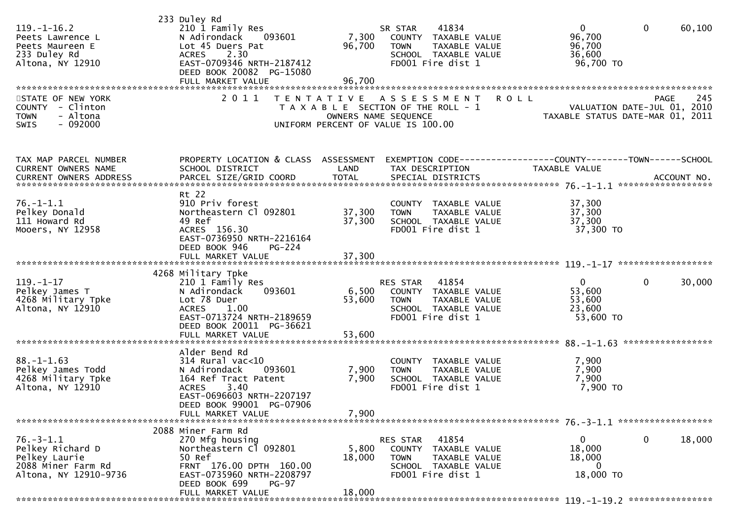| $119. - 1 - 16.2$<br>Peets Lawrence L<br>Peets Maureen E<br>233 Duley Rd<br>Altona, NY 12910        | 233 Duley Rd<br>210 1 Family Res<br>N Adirondack<br>093601<br>Lot 45 Duers Pat<br>2.30<br><b>ACRES</b><br>EAST-0709346 NRTH-2187412<br>DEED BOOK 20082 PG-15080<br>FULL MARKET VALUE | 7,300<br>96,700<br>96,700                 | 41834<br>SR STAR<br>COUNTY TAXABLE VALUE<br><b>TOWN</b><br>TAXABLE VALUE<br>SCHOOL TAXABLE VALUE<br>FD001 Fire dist 1  | $\mathbf{0}$<br>96,700<br>96,700<br>36,600<br>96,700 TO | $\mathbf 0$<br>60,100                                                          |
|-----------------------------------------------------------------------------------------------------|--------------------------------------------------------------------------------------------------------------------------------------------------------------------------------------|-------------------------------------------|------------------------------------------------------------------------------------------------------------------------|---------------------------------------------------------|--------------------------------------------------------------------------------|
| STATE OF NEW YORK<br>COUNTY - Clinton<br>- Altona<br><b>TOWN</b><br>$-092000$<br><b>SWIS</b>        | 2 0 1 1                                                                                                                                                                              | T E N T A T I V E<br>OWNERS NAME SEQUENCE | A S S E S S M E N T<br>T A X A B L E SECTION OF THE ROLL - 1<br>UNIFORM PERCENT OF VALUE IS 100.00                     | <b>ROLL</b>                                             | 245<br>PAGE<br>VALUATION DATE-JUL 01, 2010<br>TAXABLE STATUS DATE-MAR 01, 2011 |
| TAX MAP PARCEL NUMBER<br>CURRENT OWNERS NAME                                                        | PROPERTY LOCATION & CLASS ASSESSMENT<br>SCHOOL DISTRICT                                                                                                                              | LAND                                      | EXEMPTION CODE------------------COUNTY--------TOWN------SCHOOL<br>TAX DESCRIPTION                                      | <b>TAXABLE VALUE</b>                                    |                                                                                |
| $76. - 1 - 1.1$<br>Pelkey Donald<br>111 Howard Rd<br>Mooers, NY 12958                               | Rt 22<br>910 Priv forest<br>Northeastern Cl 092801<br>49 Ref<br>ACRES 156.30<br>EAST-0736950 NRTH-2216164<br>DEED BOOK 946<br>PG-224                                                 | 37,300<br>37,300                          | COUNTY TAXABLE VALUE<br>TAXABLE VALUE<br><b>TOWN</b><br>SCHOOL TAXABLE VALUE<br>FD001 Fire dist 1                      | 37,300<br>37,300<br>37,300<br>37,300 TO                 |                                                                                |
|                                                                                                     | FULL MARKET VALUE                                                                                                                                                                    | 37,300                                    |                                                                                                                        |                                                         |                                                                                |
| $119. - 1 - 17$<br>Pelkey James T<br>4268 Military Tpke<br>Altona, NY 12910                         | 4268 Military Tpke<br>210 1 Family Res<br>093601<br>N Adirondack<br>Lot 78 Duer<br><b>ACRES</b><br>1.00<br>EAST-0713724 NRTH-2189659<br>DEED BOOK 20011 PG-36621                     | 6,500<br>53,600                           | RES STAR<br>41854<br>COUNTY TAXABLE VALUE<br><b>TOWN</b><br>TAXABLE VALUE<br>SCHOOL TAXABLE VALUE<br>FD001 Fire dist 1 | $\mathbf 0$<br>53,600<br>53,600<br>23,600<br>53,600 TO  | $\mathbf{0}$<br>30,000                                                         |
|                                                                                                     | FULL MARKET VALUE                                                                                                                                                                    | 53,600                                    |                                                                                                                        |                                                         |                                                                                |
| $88. - 1 - 1.63$<br>Pelkey James Todd<br>4268 Military Tpke<br>Altona, NY 12910                     | Alder Bend Rd<br>$314$ Rural vac< $10$<br>093601<br>N Adirondack<br>164 Ref Tract Patent<br>3.40<br><b>ACRES</b><br>EAST-0696603 NRTH-2207197<br>DEED BOOK 99001 PG-07906            | 7,900<br>7,900                            | COUNTY TAXABLE VALUE<br><b>TOWN</b><br><b>TAXABLE VALUE</b><br>SCHOOL TAXABLE VALUE<br>FD001 Fire dist 1               | 7,900<br>7,900<br>7,900<br>7,900 TO                     |                                                                                |
|                                                                                                     | FULL MARKET VALUE                                                                                                                                                                    | 7,900                                     |                                                                                                                        |                                                         |                                                                                |
| $76. - 3 - 1.1$<br>Pelkey Richard D<br>Pelkey Laurie<br>2088 Miner Farm Rd<br>Altona, NY 12910-9736 | 2088 Miner Farm Rd<br>270 Mfg housing<br>Northeastern Cl 092801<br>50 Ref<br>FRNT 176.00 DPTH 160.00<br>EAST-0735960 NRTH-2208797<br>DEED BOOK 699<br>PG-97<br>FULL MARKET VALUE     | 5,800<br>18,000<br>18,000                 | 41854<br>RES STAR<br>COUNTY TAXABLE VALUE<br><b>TOWN</b><br>TAXABLE VALUE<br>SCHOOL TAXABLE VALUE<br>FD001 Fire dist 1 | 0<br>18,000<br>18,000<br>0<br>18,000 TO                 | 0<br>18,000                                                                    |
|                                                                                                     |                                                                                                                                                                                      |                                           |                                                                                                                        |                                                         |                                                                                |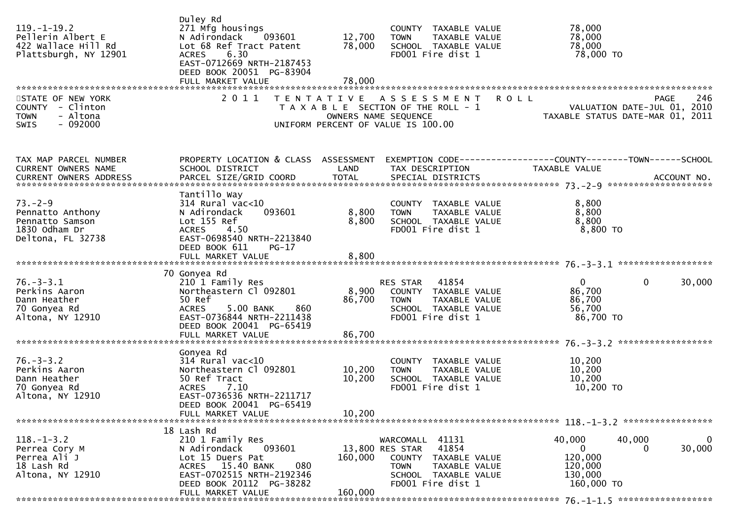| $119. - 1 - 19.2$<br>Pellerin Albert E<br>422 Wallace Hill Rd<br>Plattsburgh, NY 12901     | Duley Rd<br>271 Mfg housings<br>N Adirondack<br>093601<br>Lot 68 Ref Tract Patent<br>6.30<br><b>ACRES</b><br>EAST-0712669 NRTH-2187453<br>DEED BOOK 20051 PG-83904<br>FULL MARKET VALUE | 12,700<br>78,000<br>78,000 | COUNTY TAXABLE VALUE<br>TAXABLE VALUE<br><b>TOWN</b><br>SCHOOL TAXABLE VALUE<br>FD001 Fire dist 1                                                   | 78,000<br>78,000<br>78,000<br>78,000 TO                                                              |
|--------------------------------------------------------------------------------------------|-----------------------------------------------------------------------------------------------------------------------------------------------------------------------------------------|----------------------------|-----------------------------------------------------------------------------------------------------------------------------------------------------|------------------------------------------------------------------------------------------------------|
| STATE OF NEW YORK<br>COUNTY - Clinton<br>- Altona<br><b>TOWN</b><br>$-092000$<br>SWIS      | 2 0 1 1                                                                                                                                                                                 | OWNERS NAME SEQUENCE       | TENTATIVE ASSESSMENT<br>T A X A B L E SECTION OF THE ROLL - 1<br>UNIFORM PERCENT OF VALUE IS 100.00                                                 | <b>ROLL</b><br>246<br><b>PAGE</b><br>VALUATION DATE-JUL 01, 2010<br>TAXABLE STATUS DATE-MAR 01, 2011 |
| TAX MAP PARCEL NUMBER<br><b>CURRENT OWNERS NAME</b>                                        | PROPERTY LOCATION & CLASS ASSESSMENT<br>SCHOOL DISTRICT                                                                                                                                 | LAND                       | TAX DESCRIPTION                                                                                                                                     | TAXABLE VALUE                                                                                        |
| $73. - 2 - 9$<br>Pennatto Anthony<br>Pennatto Samson<br>1830 Odham Dr<br>Deltona, FL 32738 | Tantillo Way<br>314 Rural vac<10<br>093601<br>N Adirondack<br>Lot 155 Ref<br><b>ACRES</b><br>4.50<br>EAST-0698540 NRTH-2213840<br>DEED BOOK 611<br>$PG-17$                              | 8,800<br>8,800             | COUNTY TAXABLE VALUE<br>TAXABLE VALUE<br><b>TOWN</b><br>SCHOOL TAXABLE VALUE<br>FD001 Fire dist 1                                                   | 8,800<br>8,800<br>8,800<br>8,800 TO                                                                  |
|                                                                                            | FULL MARKET VALUE                                                                                                                                                                       | 8,800                      |                                                                                                                                                     |                                                                                                      |
| $76. - 3 - 3.1$<br>Perkins Aaron<br>Dann Heather<br>70 Gonyea Rd<br>Altona, NY 12910       | 70 Gonyea Rd<br>210 1 Family Res<br>Northeastern Cl 092801<br>50 Ref<br>5.00 BANK<br>860<br><b>ACRES</b><br>EAST-0736844 NRTH-2211438<br>DEED BOOK 20041 PG-65419                       | 86,700                     | RES STAR 41854<br>8,900 COUNTY TAXABLE VALUE<br><b>TOWN</b><br>TAXABLE VALUE<br>SCHOOL TAXABLE VALUE<br>FD001 Fire dist 1                           | $\mathbf{0}$<br>$\mathbf 0$<br>30,000<br>86,700<br>86,700<br>56,700<br>86,700 TO                     |
| $76. - 3 - 3.2$<br>Perkins Aaron<br>Dann Heather<br>70 Gonyea Rd<br>Altona, NY 12910       | Gonyea Rd<br>$314$ Rural vac<10<br>Northeastern Cl 092801<br>50 Ref Tract<br>7.10<br><b>ACRES</b><br>EAST-0736536 NRTH-2211717<br>DEED BOOK 20041 PG-65419<br>FULL MARKET VALUE         | 10,200<br>10,200<br>10,200 | COUNTY TAXABLE VALUE<br><b>TOWN</b><br>TAXABLE VALUE<br>SCHOOL TAXABLE VALUE<br>FD001 Fire dist 1                                                   | 10,200<br>10,200<br>10,200<br>10,200 TO                                                              |
|                                                                                            | 18 Lash Rd                                                                                                                                                                              |                            |                                                                                                                                                     |                                                                                                      |
| $118. - 1 - 3.2$<br>Perrea Cory M<br>Perrea Ali J<br>18 Lash Rd<br>Altona, NY 12910        | 210 1 Family Res<br>093601<br>N Adirondack<br>Lot 15 Duers Pat<br>15.40 BANK<br>080<br><b>ACRES</b><br>EAST-0702515 NRTH-2192346<br>DEED BOOK 20112 PG-38282<br>FULL MARKET VALUE       | 160,000<br>160,000         | WARCOMALL 41131<br>13,800 RES STAR<br>41854<br>COUNTY<br>TAXABLE VALUE<br><b>TOWN</b><br>TAXABLE VALUE<br>SCHOOL TAXABLE VALUE<br>FD001 Fire dist 1 | 40,000<br>40,000<br>0<br>30,000<br>0<br>$\Omega$<br>120,000<br>120,000<br>130,000<br>160,000 TO      |
|                                                                                            |                                                                                                                                                                                         |                            |                                                                                                                                                     |                                                                                                      |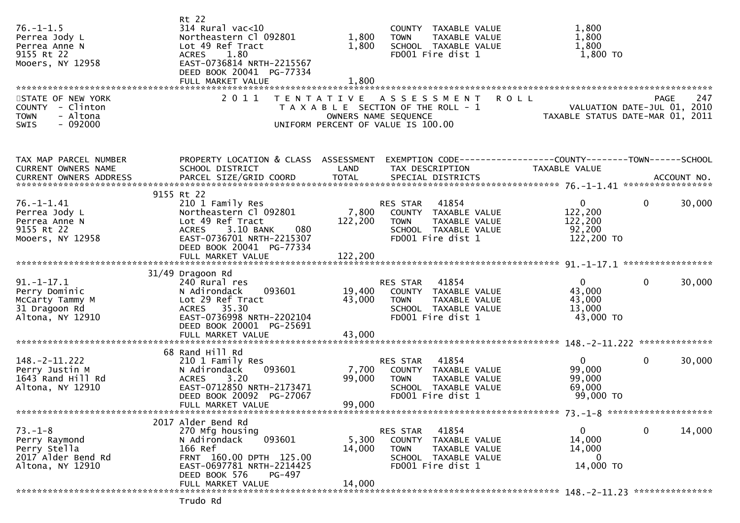| $76. - 1 - 1.5$<br>Perrea Jody L<br>Perrea Anne N<br>9155 Rt 22<br>Mooers, NY 12958       | Rt 22<br>$314$ Rural vac<10<br>Northeastern Cl 092801<br>Lot 49 Ref Tract<br><b>ACRES</b><br>1.80<br>EAST-0736814 NRTH-2215567<br>DEED BOOK 20041 PG-77334<br>FULL MARKET VALUE | 1,800<br>1,800<br>1,800   | COUNTY TAXABLE VALUE<br><b>TOWN</b><br>TAXABLE VALUE<br>SCHOOL TAXABLE VALUE<br>FD001 Fire dist 1                           | 1,800<br>1,800<br>1,800<br>1,800 TO                                             |                                                           |
|-------------------------------------------------------------------------------------------|---------------------------------------------------------------------------------------------------------------------------------------------------------------------------------|---------------------------|-----------------------------------------------------------------------------------------------------------------------------|---------------------------------------------------------------------------------|-----------------------------------------------------------|
| STATE OF NEW YORK<br>COUNTY - Clinton<br>- Altona<br><b>TOWN</b><br>$-092000$<br>SWIS     | 2011                                                                                                                                                                            |                           | TENTATIVE ASSESSMENT<br>T A X A B L E SECTION OF THE ROLL - 1<br>OWNERS NAME SEQUENCE<br>UNIFORM PERCENT OF VALUE IS 100.00 | <b>ROLL</b><br>VALUATION DATE-JUL 01, 2010<br>TAXABLE STATUS DATE-MAR 01, 2011  | <b>PAGE</b><br>247                                        |
| TAX MAP PARCEL NUMBER<br>CURRENT OWNERS NAME<br><b>CURRENT OWNERS ADDRESS</b>             | PROPERTY LOCATION & CLASS ASSESSMENT<br>SCHOOL DISTRICT                                                                                                                         | LAND                      | TAX DESCRIPTION                                                                                                             | EXEMPTION CODE------------------COUNTY--------TOWN------SCHOOL<br>TAXABLE VALUE |                                                           |
| $76. - 1 - 1.41$<br>Perrea Jody L<br>Perrea Anne N<br>9155 Rt 22<br>Mooers, NY 12958      | 9155 Rt 22<br>210 1 Family Res<br>Northeastern Cl 092801<br>Lot 49 Ref Tract<br>3.10 BANK<br>080<br><b>ACRES</b><br>EAST-0736701 NRTH-2215307<br>DEED BOOK 20041 PG-77334       | 7,800<br>122,200          | 41854<br>RES STAR<br>COUNTY TAXABLE VALUE<br>TAXABLE VALUE<br><b>TOWN</b><br>SCHOOL TAXABLE VALUE<br>FD001 Fire dist 1      | $\overline{0}$<br>122,200<br>122,200<br>92,200<br>122,200 TO                    | $\mathbf{0}$<br>30,000                                    |
|                                                                                           | FULL MARKET VALUE                                                                                                                                                               | 122,200                   |                                                                                                                             |                                                                                 |                                                           |
| $91. - 1 - 17.1$<br>Perry Dominic<br>McCarty Tammy M<br>31 Dragoon Rd<br>Altona, NY 12910 | 31/49 Dragoon Rd<br>240 Rural res<br>093601<br>N Adirondack<br>Lot 29 Ref Tract<br>ACRES 35.30<br>EAST-0736998 NRTH-2202104<br>DEED BOOK 20001 PG-25691                         | 19,400<br>43,000          | RES STAR 41854<br>COUNTY TAXABLE VALUE<br>TAXABLE VALUE<br>TOWN<br>SCHOOL TAXABLE VALUE<br>FD001 Fire dist 1                | $\mathbf{0}$<br>43,000<br>43,000<br>13,000<br>43,000 TO                         | $\mathbf{0}$<br>30,000                                    |
|                                                                                           | FULL MARKET VALUE                                                                                                                                                               | 43,000                    |                                                                                                                             |                                                                                 |                                                           |
| $148. -2 - 11.222$<br>Perry Justin M<br>1643 Rand Hill Rd<br>Altona, NY 12910             | 68 Rand Hill Rd<br>210 1 Family Res<br>093601<br>N Adirondack<br>3.20<br><b>ACRES</b><br>EAST-0712850 NRTH-2173471<br>DEED BOOK 20092 PG-27067<br>FULL MARKET VALUE             | 7,700<br>99,000<br>99,000 | 41854<br>RES STAR<br>COUNTY TAXABLE VALUE<br><b>TOWN</b><br>TAXABLE VALUE<br>SCHOOL TAXABLE VALUE<br>FD001 Fire dist 1      | $\overline{0}$<br>99,000<br>99,000<br>69,000<br>99,000 TO                       | $\mathbf{0}$<br>30,000<br>73. -1-8 ********************** |
|                                                                                           | 2017 Alder Bend Rd                                                                                                                                                              |                           |                                                                                                                             |                                                                                 |                                                           |
| $73. - 1 - 8$<br>Perry Raymond<br>Perry Stella<br>2017 Alder Bend Rd<br>Altona, NY 12910  | 270 Mfg housing<br>093601<br>N Adirondack<br>166 Ref<br>FRNT 160.00 DPTH 125.00<br>EAST-0697781 NRTH-2214425<br>DEED BOOK 576<br>PG-497                                         | 5,300<br>14,000           | 41854<br>RES STAR<br>COUNTY TAXABLE VALUE<br><b>TOWN</b><br>TAXABLE VALUE<br>SCHOOL TAXABLE VALUE<br>FD001 Fire dist 1      | $\mathbf{0}$<br>14,000<br>14,000<br>0<br>14,000 TO                              | 14,000<br>$\mathbf 0$                                     |
|                                                                                           | FULL MARKET VALUE<br>Trudo Rd                                                                                                                                                   | 14,000                    |                                                                                                                             |                                                                                 |                                                           |
|                                                                                           |                                                                                                                                                                                 |                           |                                                                                                                             |                                                                                 |                                                           |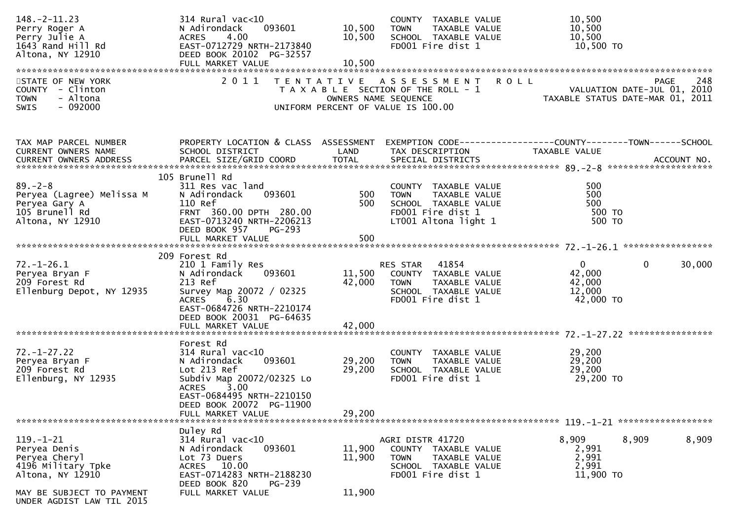| $148. - 2 - 11.23$<br>Perry Roger A<br>Perry Julie A<br>1643 Rand Hill Rd<br>Altona, NY 12910     | 314 Rural vac<10<br>093601<br>N Adirondack<br>4.00<br><b>ACRES</b><br>EAST-0712729 NRTH-2173840<br>DEED BOOK 20102 PG-32557                                                                                    | 10,500<br>10,500           | COUNTY TAXABLE VALUE<br>TAXABLE VALUE<br>TOWN<br>SCHOOL TAXABLE VALUE<br>FD001 Fire dist 1                                       | 10,500<br>10,500<br>10,500<br>10,500 TO                                                       |
|---------------------------------------------------------------------------------------------------|----------------------------------------------------------------------------------------------------------------------------------------------------------------------------------------------------------------|----------------------------|----------------------------------------------------------------------------------------------------------------------------------|-----------------------------------------------------------------------------------------------|
| STATE OF NEW YORK<br>COUNTY - Clinton<br>- Altona<br><b>TOWN</b><br>- 092000<br><b>SWIS</b>       |                                                                                                                                                                                                                |                            | 2011 TENTATIVE ASSESSMENT<br>T A X A B L E SECTION OF THE ROLL - 1<br>OWNERS NAME SEQUENCE<br>UNIFORM PERCENT OF VALUE IS 100.00 | <b>ROLL</b><br>248<br>PAGE<br>VALUATION DATE-JUL 01, 2010<br>TAXABLE STATUS DATE-MAR 01, 2011 |
| TAX MAP PARCEL NUMBER<br>CURRENT OWNERS NAME<br>CURRENT OWNERS ADDRESS                            | PROPERTY LOCATION & CLASS ASSESSMENT<br>SCHOOL DISTRICT                                                                                                                                                        | LAND                       | TAX DESCRIPTION                                                                                                                  | EXEMPTION CODE-----------------COUNTY-------TOWN------SCHOOL<br>TAXABLE VALUE                 |
| $89. - 2 - 8$<br>Peryea (Lagree) Melissa M<br>Peryea Gary A<br>105 Brunell Rd<br>Altona, NY 12910 | 105 Brunell Rd<br>311 Res vac land<br>093601<br>N Adirondack<br>110 Ref<br>FRNT 360.00 DPTH 280.00<br>EAST-0713240 NRTH-2206213<br>DEED BOOK 957<br>PG-293<br>FULL MARKET VALUE                                | 500<br>500<br>500          | COUNTY TAXABLE VALUE<br><b>TOWN</b><br>TAXABLE VALUE<br>SCHOOL TAXABLE VALUE<br>FD001 Fire dist 1<br>LT001 Altona light 1        | 500<br>500<br>500<br>500 TO<br>500 TO                                                         |
| $72. - 1 - 26.1$<br>Peryea Bryan F<br>209 Forest Rd<br>Ellenburg Depot, NY 12935                  | 209 Forest Rd<br>210 1 Family Res<br>093601<br>N Adirondack<br>213 Ref<br>Survey Map 20072 / 02325<br><b>ACRES</b><br>6.30<br>EAST-0684726 NRTH-2210174<br>DEED BOOK 20031 PG-64635                            | 11,500<br>42,000           | RES STAR 41854<br>COUNTY TAXABLE VALUE<br>TAXABLE VALUE<br><b>TOWN</b><br>SCHOOL TAXABLE VALUE<br>FD001 Fire dist 1              | $\mathbf{0}$<br>$\mathbf{0}$<br>30,000<br>42,000<br>42,000<br>12,000<br>42,000 TO             |
| $72. - 1 - 27.22$<br>Peryea Bryan F<br>209 Forest Rd<br>Ellenburg, NY 12935                       | Forest Rd<br>$314$ Rural vac< $10$<br>093601<br>N Adirondack<br>Lot 213 Ref<br>Subdiv Map 20072/02325 Lo<br>3.00<br><b>ACRES</b><br>EAST-0684495 NRTH-2210150<br>DEED BOOK 20072 PG-11900<br>FULL MARKET VALUE | 29,200<br>29,200<br>29,200 | COUNTY TAXABLE VALUE<br>TAXABLE VALUE<br><b>TOWN</b><br>SCHOOL TAXABLE VALUE<br>FD001 Fire dist 1                                | 29,200<br>29,200<br>29,200<br>29,200 TO                                                       |
| $119. - 1 - 21$<br>Peryea Denis<br>Peryea Cheryl<br>4196 Military Tpke<br>Altona, NY 12910        | Duley Rd<br>$314$ Rural vac<10<br>093601<br>N Adirondack<br>Lot 73 Duers<br>ACRES 10.00<br>EAST-0714283 NRTH-2188230<br>DEED BOOK 820<br>PG-239                                                                | 11,900<br>11,900           | AGRI DISTR 41720<br>COUNTY TAXABLE VALUE<br><b>TOWN</b><br>TAXABLE VALUE<br>SCHOOL TAXABLE VALUE<br>FD001 Fire dist 1            | 8,909<br>8,909<br>8,909<br>2,991<br>2,991<br>2,991<br>11,900 TO                               |
| MAY BE SUBJECT TO PAYMENT<br>UNDER AGDIST LAW TIL 2015                                            | FULL MARKET VALUE                                                                                                                                                                                              | 11,900                     |                                                                                                                                  |                                                                                               |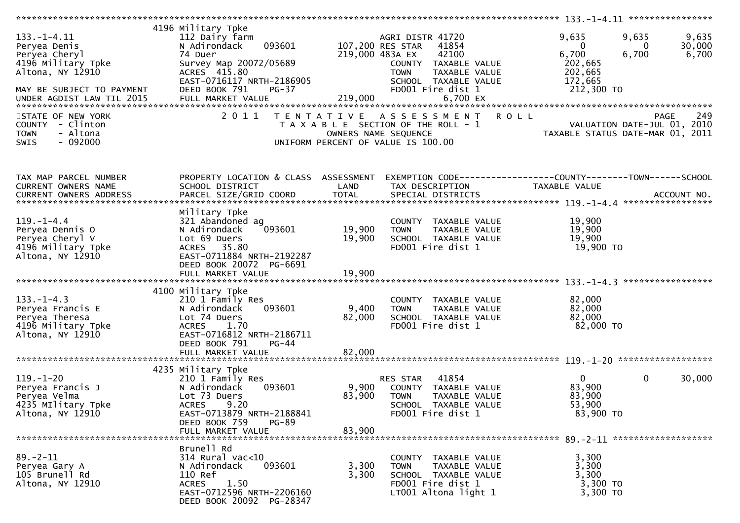| $133. - 1 - 4.11$<br>Peryea Denis<br>Peryea Cheryl<br>4196 Military Tpke<br>Altona, NY 12910<br>MAY BE SUBJECT TO PAYMENT<br>STATE OF NEW YORK | 4196 Military Tpke<br>112 Dairy farm<br>093601<br>N Adirondack<br>74 Duer<br>Survey Map 20072/05689<br>ACRES 415.80<br>EAST-0716117 NRTH-2186905<br>DEED BOOK 791<br>PG-37<br>2011     | 219,000 483A EX           | AGRI DISTR 41720<br>107,200 RES STAR<br>41854<br>42100<br>COUNTY TAXABLE VALUE<br>TAXABLE VALUE<br><b>TOWN</b><br>SCHOOL TAXABLE VALUE<br>FD001 Fire dist 1<br>TENTATIVE ASSESSMENT ROLL | 9,635<br>$\Omega$<br>6,700<br>202,665<br>202,665<br>172,665<br>212,300 TO | 9,635<br>9,635<br>30,000<br>$\Omega$<br>6,700<br>6,700<br>249<br><b>PAGE</b> |
|------------------------------------------------------------------------------------------------------------------------------------------------|----------------------------------------------------------------------------------------------------------------------------------------------------------------------------------------|---------------------------|------------------------------------------------------------------------------------------------------------------------------------------------------------------------------------------|---------------------------------------------------------------------------|------------------------------------------------------------------------------|
| COUNTY - Clinton                                                                                                                               |                                                                                                                                                                                        |                           | T A X A B L E SECTION OF THE ROLL - 1                                                                                                                                                    |                                                                           | VALUATION DATE-JUL 01, 2010                                                  |
| - Altona<br><b>TOWN</b><br>$-092000$<br>SWIS                                                                                                   |                                                                                                                                                                                        | OWNERS NAME SEQUENCE      | UNIFORM PERCENT OF VALUE IS 100.00                                                                                                                                                       | TAXABLE STATUS DATE-MAR 01, 2011                                          |                                                                              |
| TAX MAP PARCEL NUMBER<br>CURRENT OWNERS NAME                                                                                                   | PROPERTY LOCATION & CLASS ASSESSMENT<br>SCHOOL DISTRICT                                                                                                                                | LAND                      | EXEMPTION CODE------------------COUNTY--------TOWN------SCHOOL<br>TAX DESCRIPTION                                                                                                        | TAXABLE VALUE                                                             |                                                                              |
| $119. - 1 - 4.4$                                                                                                                               | Military Tpke                                                                                                                                                                          |                           |                                                                                                                                                                                          | 19,900                                                                    |                                                                              |
| Peryea Dennis O                                                                                                                                | 321 Abandoned ag<br>093601<br>N Adirondack                                                                                                                                             | 19,900                    | COUNTY TAXABLE VALUE<br><b>TOWN</b><br>TAXABLE VALUE                                                                                                                                     | 19,900                                                                    |                                                                              |
| Peryea Cheryl V                                                                                                                                | Lot 69 Duers                                                                                                                                                                           | 19,900                    | SCHOOL TAXABLE VALUE                                                                                                                                                                     | 19,900                                                                    |                                                                              |
| 4196 Military Tpke<br>Altona, NY 12910                                                                                                         | ACRES 35.80<br>EAST-0711884 NRTH-2192287<br>DEED BOOK 20072 PG-6691                                                                                                                    |                           | FD001 Fire dist 1                                                                                                                                                                        | 19,900 TO                                                                 |                                                                              |
|                                                                                                                                                | FULL MARKET VALUE                                                                                                                                                                      | 19,900                    |                                                                                                                                                                                          |                                                                           | ****************                                                             |
| $133. - 1 - 4.3$<br>Peryea Francis E<br>Peryea Theresa<br>4196 Military Tpke<br>Altona, NY 12910                                               | 4100 Military Tpke<br>210 1 Family Res<br>093601<br>N Adirondack<br>Lot 74 Duers<br>ACRES 1.70<br>EAST-0716812 NRTH-2186711<br>DEED BOOK 791<br>$PG-44$<br>FULL MARKET VALUE           | 9,400<br>82,000<br>82,000 | COUNTY TAXABLE VALUE<br><b>TOWN</b><br>TAXABLE VALUE<br>SCHOOL TAXABLE VALUE<br>FD001 Fire dist 1                                                                                        | 82,000<br>82,000<br>82,000<br>82,000 TO                                   |                                                                              |
|                                                                                                                                                |                                                                                                                                                                                        |                           |                                                                                                                                                                                          |                                                                           |                                                                              |
| $119. - 1 - 20$<br>Peryea Francis J<br>Peryea Velma<br>4235 Military Tpke<br>Altona, NY 12910                                                  | 4235 Military Tpke<br>210 1 Family Res<br>093601<br>N Adirondack<br>Lot 73 Duers<br><b>ACRES</b><br>9.20<br>EAST-0713879 NRTH-2188841<br>DEED BOOK 759<br>$PG-89$<br>FULL MARKET VALUE | 9,900<br>83,900<br>83,900 | 41854<br>RES STAR<br>COUNTY TAXABLE VALUE<br><b>TOWN</b><br>TAXABLE VALUE<br>SCHOOL TAXABLE VALUE<br>FD001 Fire dist 1                                                                   | $\mathbf{0}$<br>83,900<br>83,900<br>53,900<br>83,900 TO                   | 30,000<br>$\mathbf{0}$                                                       |
|                                                                                                                                                |                                                                                                                                                                                        |                           |                                                                                                                                                                                          |                                                                           |                                                                              |
| $89. - 2 - 11$<br>Peryea Gary A<br>105 Brunell Rd<br>Altona, NY 12910                                                                          | Brunell Rd<br>$314$ Rural vac<10<br>093601<br>N Adirondack<br>110 Ref<br><b>ACRES</b><br>1.50<br>EAST-0712596 NRTH-2206160<br>DEED BOOK 20092 PG-28347                                 | 3,300<br>3,300            | COUNTY TAXABLE VALUE<br>TAXABLE VALUE<br>TOWN<br>SCHOOL TAXABLE VALUE<br>FD001 Fire dist 1<br>LT001 Altona light 1                                                                       | 3,300<br>3,300<br>3,300<br>3,300 TO<br>3,300 TO                           |                                                                              |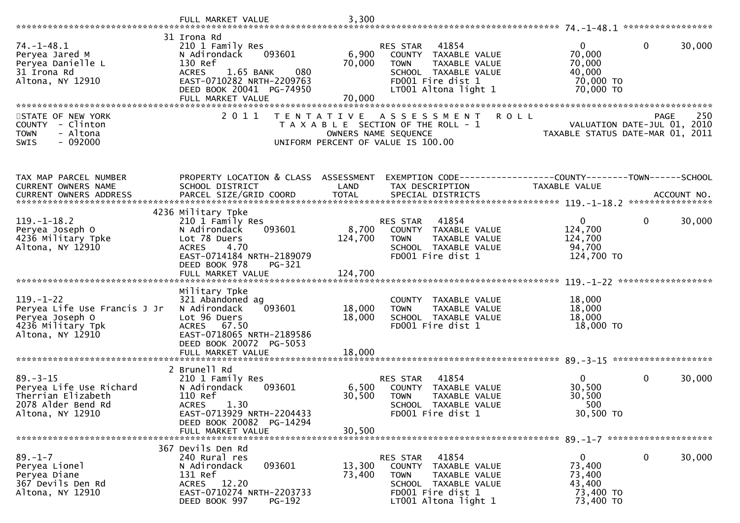|                                                                                                             | FULL MARKET VALUE                                                                                                                                                                 | 3,300                      |                                                                                                                                                |                                                                      |                                                   |
|-------------------------------------------------------------------------------------------------------------|-----------------------------------------------------------------------------------------------------------------------------------------------------------------------------------|----------------------------|------------------------------------------------------------------------------------------------------------------------------------------------|----------------------------------------------------------------------|---------------------------------------------------|
| $74. - 1 - 48.1$                                                                                            | 31 Irona Rd<br>210 1 Family Res                                                                                                                                                   |                            | RES STAR<br>41854                                                                                                                              | $\mathbf{0}$                                                         | $\mathbf{0}$<br>30,000                            |
| Peryea Jared M<br>Peryea Danielle L<br>31 Irona Rd<br>Altona, NY 12910                                      | N Adirondack<br>093601<br>130 Ref<br>1.65 BANK<br>080<br><b>ACRES</b><br>EAST-0710282 NRTH-2209763<br>DEED BOOK 20041 PG-74950                                                    | 6,900<br>70,000            | COUNTY TAXABLE VALUE<br><b>TOWN</b><br><b>TAXABLE VALUE</b><br>SCHOOL TAXABLE VALUE<br>FD001 Fire dist 1<br>LT001 Altona light 1               | 70,000<br>70,000<br>40,000<br>70,000 TO<br>70,000 TO                 |                                                   |
|                                                                                                             | FULL MARKET VALUE                                                                                                                                                                 | 70,000                     |                                                                                                                                                |                                                                      |                                                   |
| STATE OF NEW YORK<br>COUNTY - Clinton<br><b>TOWN</b><br>- Altona<br>$-092000$<br>SWIS                       | 2011                                                                                                                                                                              | T E N T A T I V E          | <b>ROLL</b><br>A S S E S S M E N T<br>T A X A B L E SECTION OF THE ROLL - 1<br>OWNERS NAME SEQUENCE<br>UNIFORM PERCENT OF VALUE IS 100.00      | TAXABLE STATUS DATE-MAR 01, 2011                                     | 250<br><b>PAGE</b><br>VALUATION DATE-JUL 01, 2010 |
| TAX MAP PARCEL NUMBER<br>CURRENT OWNERS NAME                                                                | PROPERTY LOCATION & CLASS ASSESSMENT<br>SCHOOL DISTRICT                                                                                                                           | LAND                       | TAX DESCRIPTION                                                                                                                                | TAXABLE VALUE                                                        |                                                   |
|                                                                                                             |                                                                                                                                                                                   |                            |                                                                                                                                                |                                                                      | ACCOUNT NO.<br>****************                   |
| $119. - 1 - 18.2$<br>Peryea Joseph O<br>4236 Military Tpke<br>Altona, NY 12910                              | 4236 Military Tpke<br>210 1 Family Res<br>093601<br>N Adirondack<br>Lot 78 Duers<br><b>ACRES</b><br>4.70<br>EAST-0714184 NRTH-2189079<br>DEED BOOK 978<br>$PG-321$                | 8,700<br>124,700           | 41854<br><b>RES STAR</b><br>COUNTY TAXABLE VALUE<br><b>TOWN</b><br>TAXABLE VALUE<br>SCHOOL TAXABLE VALUE<br>FD001 Fire dist 1                  | $\mathbf{0}$<br>124,700<br>124,700<br>94,700<br>124,700 TO           | $\mathbf 0$<br>30,000                             |
|                                                                                                             | FULL MARKET VALUE                                                                                                                                                                 | 124,700                    |                                                                                                                                                |                                                                      |                                                   |
| $119. - 1 - 22$<br>Peryea Life Use Francis J Jr<br>Peryea Joseph O<br>4236 Military Tpk<br>Altona, NY 12910 | Military Tpke<br>321 Abandoned ag<br>093601<br>N Adirondack<br>Lot 96 Duers<br>67.50<br><b>ACRES</b><br>EAST-0718065 NRTH-2189586<br>DEED BOOK 20072 PG-5053<br>FULL MARKET VALUE | 18,000<br>18,000<br>18,000 | COUNTY TAXABLE VALUE<br>TAXABLE VALUE<br><b>TOWN</b><br>SCHOOL TAXABLE VALUE<br>FD001 Fire dist 1                                              | 18,000<br>18,000<br>18,000<br>18,000 TO                              |                                                   |
|                                                                                                             |                                                                                                                                                                                   |                            |                                                                                                                                                |                                                                      |                                                   |
| $89. - 3 - 15$<br>Peryea Life Use Richard<br>Therrian Elizabeth<br>2078 Alder Bend Rd<br>Altona, NY 12910   | 2 Brunell Rd<br>210 1 Family Res<br>N Adirondack<br>093601<br>110 Ref<br><b>ACRES</b><br>1.30<br>EAST-0713929 NRTH-2204433<br>DEED BOOK 20082 PG-14294                            | 6,500<br>30,500            | 41854<br>RES STAR<br>COUNTY TAXABLE VALUE<br><b>TOWN</b><br>TAXABLE VALUE<br><b>SCHOOL</b><br>TAXABLE VALUE<br>FD001 Fire dist 1               | $\mathbf{0}$<br>30,500<br>30,500<br>500<br>30,500 TO                 | $\mathbf 0$<br>30,000                             |
|                                                                                                             | FULL MARKET VALUE                                                                                                                                                                 | 30,500                     |                                                                                                                                                |                                                                      |                                                   |
| $89. - 1 - 7$<br>Peryea Lionel<br>Peryea Diane<br>367 Devils Den Rd<br>Altona, NY 12910                     | 367 Devils Den Rd<br>240 Rural res<br>093601<br>N Adirondack<br>131 Ref<br>ACRES 12.20<br>EAST-0710274 NRTH-2203733<br>DEED BOOK 997<br>PG-192                                    | 13,300<br>73,400           | 41854<br>RES STAR<br>COUNTY TAXABLE VALUE<br>TAXABLE VALUE<br><b>TOWN</b><br>SCHOOL TAXABLE VALUE<br>FD001 Fire dist 1<br>LT001 Altona light 1 | $\mathbf{0}$<br>73,400<br>73,400<br>43,400<br>73,400 TO<br>73,400 TO | $\mathbf 0$<br>30,000                             |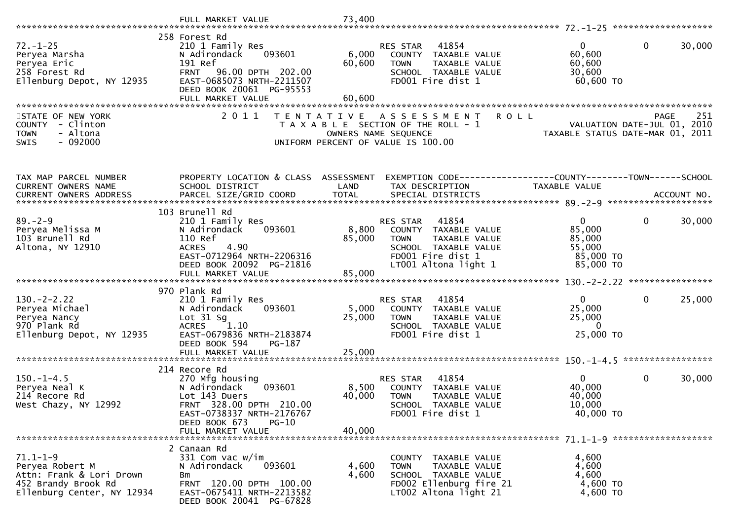|                                                                                                                    | FULL MARKET VALUE                                                                                                                                         | 73,400          |                                                                                                                                                       |                                                                  |                                                    |
|--------------------------------------------------------------------------------------------------------------------|-----------------------------------------------------------------------------------------------------------------------------------------------------------|-----------------|-------------------------------------------------------------------------------------------------------------------------------------------------------|------------------------------------------------------------------|----------------------------------------------------|
|                                                                                                                    |                                                                                                                                                           |                 |                                                                                                                                                       |                                                                  |                                                    |
| $72. - 1 - 25$<br>Peryea Marsha<br>Peryea Eric<br>258 Forest Rd<br>Ellenburg Depot, NY 12935                       | 258 Forest Rd<br>210 1 Family Res<br>093601<br>N Adirondack<br>191 Ref<br>FRNT 96.00 DPTH 202.00<br>EAST-0685073 NRTH-2211507                             | 6,000<br>60,600 | 41854<br>RES STAR<br>COUNTY TAXABLE VALUE<br>TAXABLE VALUE<br><b>TOWN</b><br>SCHOOL TAXABLE VALUE<br>FD001 Fire dist 1                                | 0 <sup>1</sup><br>60,600<br>60,600<br>30,600<br>60,600 TO        | $\mathbf 0$<br>30,000                              |
|                                                                                                                    | DEED BOOK 20061 PG-95553<br>FULL MARKET VALUE                                                                                                             | 60,600          |                                                                                                                                                       |                                                                  |                                                    |
|                                                                                                                    |                                                                                                                                                           |                 |                                                                                                                                                       |                                                                  |                                                    |
| STATE OF NEW YORK<br>COUNTY - Clinton<br>- Altona<br><b>TOWN</b><br>$-092000$<br>SWIS                              | 2 0 1 1<br>T E N T A T I V E                                                                                                                              |                 | <b>ROLL</b><br>A S S E S S M E N T<br>T A X A B L E SECTION OF THE ROLL - 1<br>OWNERS NAME SEQUENCE<br>UNIFORM PERCENT OF VALUE IS 100.00             | TAXABLE STATUS DATE-MAR 01,                                      | 251<br>PAGE<br>VALUATION DATE-JUL 01, 2010<br>2011 |
| TAX MAP PARCEL NUMBER                                                                                              | PROPERTY LOCATION & CLASS ASSESSMENT                                                                                                                      |                 | EXEMPTION CODE-----------------COUNTY--------TOWN------SCHOOL                                                                                         |                                                                  |                                                    |
| CURRENT OWNERS NAME                                                                                                | SCHOOL DISTRICT                                                                                                                                           | LAND            | TAX DESCRIPTION                                                                                                                                       | TAXABLE VALUE                                                    |                                                    |
|                                                                                                                    |                                                                                                                                                           |                 |                                                                                                                                                       |                                                                  |                                                    |
|                                                                                                                    | 103 Brunell Rd                                                                                                                                            |                 |                                                                                                                                                       |                                                                  |                                                    |
| $89. - 2 - 9$<br>Peryea Melissa M<br>103 Brunell Rd<br>Altona, NY 12910                                            | 210 1 Family Res<br>N Adirondack<br>093601<br>110 Ref<br>4.90<br><b>ACRES</b><br>EAST-0712964 NRTH-2206316<br>DEED BOOK 20092 PG-21816                    | 8,800<br>85,000 | 41854<br>RES STAR<br>COUNTY TAXABLE VALUE<br><b>TOWN</b><br><b>TAXABLE VALUE</b><br>SCHOOL TAXABLE VALUE<br>FD001 Fire dist 1<br>LT001 Altona light 1 | $\Omega$<br>85,000<br>85,000<br>55,000<br>85,000 TO<br>85,000 TO | $\mathbf{0}$<br>30,000                             |
|                                                                                                                    |                                                                                                                                                           |                 |                                                                                                                                                       |                                                                  |                                                    |
| $130. -2 - 2.22$<br>Peryea Michael<br>Peryea Nancy<br>970 Plank Rd<br>Ellenburg Depot, NY 12935                    | 970 Plank Rd<br>210 1 Family Res<br>093601<br>N Adirondack<br>Lot $31$ Sg<br>1.10<br><b>ACRES</b><br>EAST-0679836 NRTH-2183874<br>DEED BOOK 594<br>PG-187 | 5,000<br>25,000 | RES STAR<br>41854<br>COUNTY TAXABLE VALUE<br><b>TOWN</b><br>TAXABLE VALUE<br>SCHOOL TAXABLE VALUE<br>FD001 Fire dist 1                                | $\mathbf{0}$<br>25,000<br>25,000<br>$\Omega$<br>25,000 TO        | $\mathbf 0$<br>25,000                              |
|                                                                                                                    | FULL MARKET VALUE                                                                                                                                         | 25,000          |                                                                                                                                                       |                                                                  |                                                    |
|                                                                                                                    | 214 Recore Rd                                                                                                                                             |                 |                                                                                                                                                       |                                                                  |                                                    |
| $150.-1-4.5$<br>Peryea Neal K<br>214 Recore Rd<br>West Chazy, NY 12992                                             | 270 Mfg housing<br>N Adirondack<br>093601<br>Lot 143 Duers<br>FRNT 328.00 DPTH 210.00<br>EAST-0738337 NRTH-2176767<br>DEED BOOK 673<br>$PG-10$            | 8,500<br>40,000 | RES STAR<br>41854<br>COUNTY TAXABLE VALUE<br><b>TOWN</b><br>TAXABLE VALUE<br><b>SCHOOL</b><br>TAXABLE VALUE<br>FD001 Fire dist 1                      | $\mathbf{0}$<br>40,000<br>40,000<br>10,000<br>40,000 TO          | $\mathbf 0$<br>30,000                              |
|                                                                                                                    | FULL MARKET VALUE                                                                                                                                         | 40,000          |                                                                                                                                                       |                                                                  |                                                    |
| $71.1 - 1 - 9$<br>Peryea Robert M<br>Attn: Frank & Lori Drown<br>452 Brandy Brook Rd<br>Ellenburg Center, NY 12934 | 2 Canaan Rd<br>331 Com vac w/im<br>093601<br>N Adirondack<br>Bm<br>FRNT 120.00 DPTH 100.00<br>EAST-0675411 NRTH-2213582<br>DEED BOOK 20041 PG-67828       | 4,600<br>4,600  | COUNTY TAXABLE VALUE<br>TAXABLE VALUE<br><b>TOWN</b><br>SCHOOL TAXABLE VALUE<br>FD002 Ellenburg fire 21<br>LT002 Altona light 21                      | 4,600<br>4,600<br>4,600<br>4,600 TO<br>4,600 TO                  |                                                    |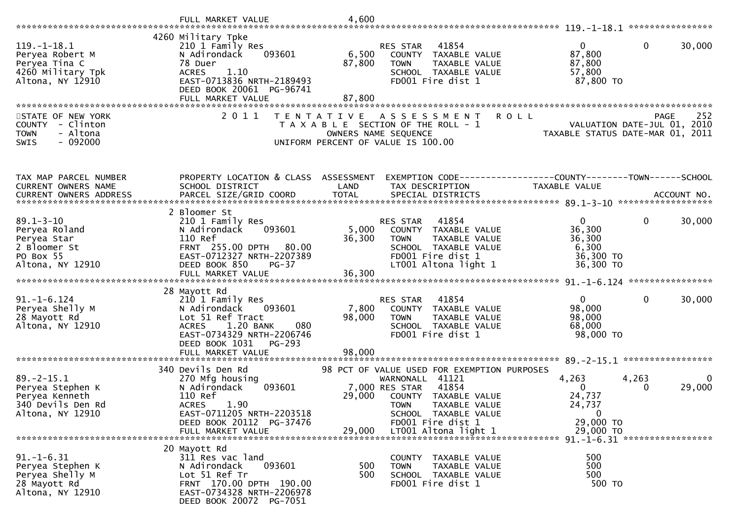|                                                                                                  | FULL MARKET VALUE                                                                                                                                                                                  | 4,600                     |                                                                                                                                                                                                   |                                                                     |                                                            |
|--------------------------------------------------------------------------------------------------|----------------------------------------------------------------------------------------------------------------------------------------------------------------------------------------------------|---------------------------|---------------------------------------------------------------------------------------------------------------------------------------------------------------------------------------------------|---------------------------------------------------------------------|------------------------------------------------------------|
|                                                                                                  |                                                                                                                                                                                                    |                           |                                                                                                                                                                                                   |                                                                     | ****************                                           |
| $119. - 1 - 18.1$<br>Peryea Robert M<br>Peryea Tina C<br>4260 Military Tpk<br>Altona, NY 12910   | 4260 Military Tpke<br>210 1 Family Res<br>N Adirondack<br>093601<br>78 Duer<br>1.10<br><b>ACRES</b><br>EAST-0713836 NRTH-2189493<br>DEED BOOK 20061 PG-96741                                       | 6,500<br>87,800           | 41854<br><b>RES STAR</b><br>COUNTY TAXABLE VALUE<br><b>TOWN</b><br>TAXABLE VALUE<br>SCHOOL TAXABLE VALUE<br>FD001 Fire dist 1                                                                     | $\overline{0}$<br>87,800<br>87,800<br>57,800<br>87,800 TO           | $\mathbf 0$<br>30,000                                      |
|                                                                                                  | FULL MARKET VALUE                                                                                                                                                                                  | 87,800                    |                                                                                                                                                                                                   |                                                                     |                                                            |
| STATE OF NEW YORK<br>COUNTY - Clinton<br><b>TOWN</b><br>- Altona<br>$-092000$<br>SWIS            | **********************************<br>2 0 1 1                                                                                                                                                      | T E N T A T I V E         | A S S E S S M E N T<br>T A X A B L E SECTION OF THE ROLL - 1<br>OWNERS NAME SEQUENCE<br>UNIFORM PERCENT OF VALUE IS 100.00                                                                        | <b>ROLL</b><br>TAXABLE STATUS DATE-MAR 01,                          | 252<br><b>PAGE</b><br>VALUATION DATE-JUL 01, 2010<br>-2011 |
| TAX MAP PARCEL NUMBER                                                                            | PROPERTY LOCATION & CLASS ASSESSMENT                                                                                                                                                               |                           |                                                                                                                                                                                                   |                                                                     |                                                            |
| CURRENT OWNERS NAME<br><b>CURRENT OWNERS ADDRESS</b>                                             | SCHOOL DISTRICT<br>PARCEL SIZE/GRID COORD                                                                                                                                                          | LAND<br><b>TOTAL</b>      | TAX DESCRIPTION<br>SPECIAL DISTRICTS                                                                                                                                                              | TAXABLE VALUE                                                       | ACCOUNT NO.<br>******************                          |
| $89.1 - 3 - 10$<br>Peryea Roland<br>Peryea Star<br>2 Bloomer St<br>PO Box 55<br>Altona, NY 12910 | 2 Bloomer St<br>210 1 Family Res<br>093601<br>N Adirondack<br>110 Ref<br>FRNT 255.00 DPTH 80.00<br>EAST-0712327 NRTH-2207389<br>DEED BOOK 850<br>$PG-37$<br>FULL MARKET VALUE                      | 5,000<br>36,300<br>36,300 | 41854<br>RES STAR<br>COUNTY TAXABLE VALUE<br><b>TOWN</b><br>TAXABLE VALUE<br>SCHOOL TAXABLE VALUE<br>FD001 Fire dist 1<br>LT001 Altona light 1                                                    | $\mathbf{0}$<br>36,300<br>36,300<br>6,300<br>36,300 TO<br>36,300 TO | $\mathbf 0$<br>30,000                                      |
|                                                                                                  |                                                                                                                                                                                                    |                           |                                                                                                                                                                                                   |                                                                     |                                                            |
| $91. - 1 - 6.124$<br>Peryea Shelly M<br>28 Mayott Rd<br>Altona, NY 12910                         | 28 Mayott Rd<br>210 1 Family Res<br>093601<br>N Adirondack<br>Lot 51 Ref Tract<br>1.20 BANK<br><b>ACRES</b><br>080<br>EAST-0734329 NRTH-2206746<br>DEED BOOK 1031<br>$PG-293$<br>FULL MARKET VALUE | 7,800<br>98,000<br>98,000 | RES STAR<br>41854<br>COUNTY TAXABLE VALUE<br>TAXABLE VALUE<br><b>TOWN</b><br>SCHOOL TAXABLE VALUE<br>FD001 Fire dist 1                                                                            | $\mathbf{0}$<br>98,000<br>98,000<br>68,000<br>98,000 TO             | $\mathbf 0$<br>30,000                                      |
|                                                                                                  |                                                                                                                                                                                                    |                           |                                                                                                                                                                                                   |                                                                     | 89. - 2 - 15. 1 ******************                         |
| $89. - 2 - 15.1$<br>Peryea Stephen K<br>Peryea Kenneth<br>340 Devils Den Rd<br>Altona, NY 12910  | 340 Devils Den Rd<br>270 Mfg housing<br>N Adirondack<br>093601<br>110 Ref<br>1.90<br><b>ACRES</b><br>EAST-0711205 NRTH-2203518<br>DEED BOOK 20112 PG-37476                                         | 29,000                    | 98 PCT OF VALUE USED FOR EXEMPTION PURPOSES<br>WARNONALL<br>41121<br>41854<br>7,000 RES STAR<br>COUNTY TAXABLE VALUE<br>TAXABLE VALUE<br><b>TOWN</b><br>SCHOOL TAXABLE VALUE<br>FD001 Fire dist 1 | 4,263<br>$\Omega$<br>24,737<br>24,737<br>$\mathbf 0$<br>29,000 TO   | 4,263<br>$\bf{0}$<br>29,000<br>0                           |
|                                                                                                  | FULL MARKET VALUE                                                                                                                                                                                  | 29,000                    | LT001 Altona light 1                                                                                                                                                                              | 29,000 TO                                                           |                                                            |
| $91. - 1 - 6.31$<br>Peryea Stephen K<br>Peryea Shelly M<br>28 Mayott Rd<br>Altona, NY 12910      | 20 Mayott Rd<br>311 Res vac land<br>093601<br>N Adirondack<br>Lot 51 Ref Tr<br>FRNT 170.00 DPTH 190.00<br>EAST-0734328 NRTH-2206978<br>DEED BOOK 20072 PG-7051                                     | 500<br>500                | COUNTY TAXABLE VALUE<br><b>TOWN</b><br>TAXABLE VALUE<br>SCHOOL TAXABLE VALUE<br>FD001 Fire dist 1                                                                                                 | 500<br>500<br>500<br>500 TO                                         |                                                            |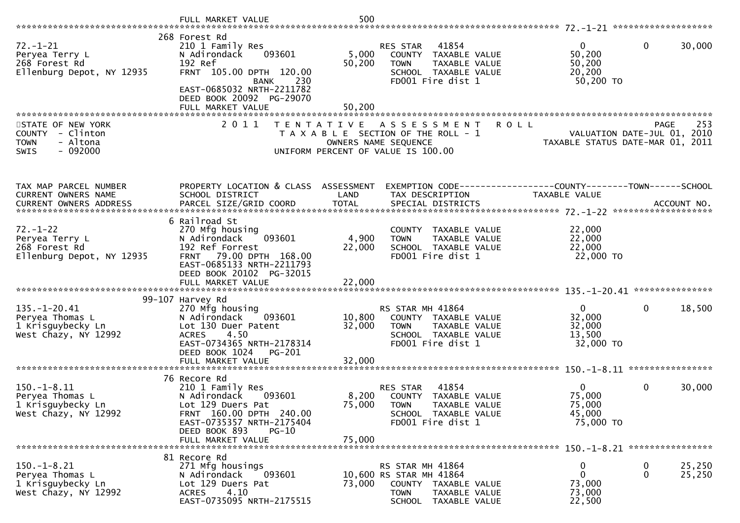|                                                                                                        | FULL MARKET VALUE                                                                                                                                                                                     | 500                        |                                                                                                                                           |                                                           |                                                   |
|--------------------------------------------------------------------------------------------------------|-------------------------------------------------------------------------------------------------------------------------------------------------------------------------------------------------------|----------------------------|-------------------------------------------------------------------------------------------------------------------------------------------|-----------------------------------------------------------|---------------------------------------------------|
| $72. - 1 - 21$<br>Peryea Terry L<br>268 Forest Rd<br>Ellenburg Depot, NY 12935                         | 268 Forest Rd<br>210 1 Family Res<br>093601<br>N Adirondack<br>192 Ref<br>FRNT 105.00 DPTH 120.00<br>230<br><b>BANK</b><br>EAST-0685032 NRTH-2211782<br>DEED BOOK 20092 PG-29070<br>FULL MARKET VALUE | 5,000<br>50,200<br>50,200  | 41854<br>RES STAR<br>COUNTY TAXABLE VALUE<br>TAXABLE VALUE<br><b>TOWN</b><br>SCHOOL TAXABLE VALUE<br>FD001 Fire dist 1                    | $\mathbf{0}$<br>50,200<br>50,200<br>20,200<br>50,200 TO   | 30,000<br>$\mathbf 0$                             |
| STATE OF NEW YORK<br>- Clinton<br><b>COUNTY</b><br><b>TOWN</b><br>- Altona<br>$-092000$<br><b>SWIS</b> | 2011                                                                                                                                                                                                  | T E N T A T I V E          | <b>ROLL</b><br>A S S E S S M E N T<br>T A X A B L E SECTION OF THE ROLL - 1<br>OWNERS NAME SEQUENCE<br>UNIFORM PERCENT OF VALUE IS 100.00 | TAXABLE STATUS DATE-MAR 01, 2011                          | 253<br><b>PAGE</b><br>VALUATION DATE-JUL 01, 2010 |
| TAX MAP PARCEL NUMBER<br>CURRENT OWNERS NAME                                                           | PROPERTY LOCATION & CLASS<br>SCHOOL DISTRICT                                                                                                                                                          | ASSESSMENT<br>LAND         | EXEMPTION CODE-----------------COUNTY-------TOWN------SCHOOL<br>TAX DESCRIPTION                                                           | <b>TAXABLE VALUE</b>                                      |                                                   |
| $72. - 1 - 22$<br>Peryea Terry L<br>268 Forest Rd<br>Ellenburg Depot, NY 12935                         | 6 Railroad St<br>270 Mfg housing<br>N Adirondack<br>093601<br>192 Ref Forrest<br>FRNT 79.00 DPTH 168.00<br>EAST-0685133 NRTH-2211793<br>DEED BOOK 20102 PG-32015                                      | 4,900<br>22,000            | COUNTY TAXABLE VALUE<br><b>TOWN</b><br>TAXABLE VALUE<br>SCHOOL TAXABLE VALUE<br>FD001 Fire dist 1                                         | 22,000<br>22,000<br>22,000<br>22,000 TO                   |                                                   |
| $135. - 1 - 20.41$<br>Peryea Thomas L<br>1 Krisguybecky Ln<br>West Chazy, NY 12992                     | 99-107 Harvey Rd<br>270 Mfg housing<br>N Adirondack<br>093601<br>Lot 130 Duer Patent<br>4.50<br><b>ACRES</b><br>EAST-0734365 NRTH-2178314<br>DEED BOOK 1024<br><b>PG-201</b><br>FULL MARKET VALUE     | 10,800<br>32,000<br>32,000 | RS STAR MH 41864<br>COUNTY TAXABLE VALUE<br>TAXABLE VALUE<br><b>TOWN</b><br>SCHOOL TAXABLE VALUE<br>FD001 Fire dist 1                     | $\mathbf 0$<br>32,000<br>32,000<br>13,500<br>32,000 TO    | 0<br>18,500                                       |
| $150.-1-8.11$<br>Peryea Thomas L<br>1 Krisguybecky Ln<br>West Chazy, NY 12992                          | 76 Recore Rd<br>210 1 Family Res<br>N Adirondack<br>093601<br>Lot 129 Duers Pat<br>FRNT 160.00 DPTH 240.00<br>EAST-0735357 NRTH-2175404<br>DEED BOOK 893<br>$PG-10$<br>FULL MARKET VALUE              | 8,200<br>75,000<br>75,000  | 41854<br>RES STAR<br>COUNTY<br>TAXABLE VALUE<br><b>TOWN</b><br>TAXABLE VALUE<br>SCHOOL TAXABLE VALUE<br>FD001 Fire dist 1                 | $\overline{0}$<br>75,000<br>75,000<br>45,000<br>75,000 TO | $\mathbf 0$<br>30,000                             |
| $150.-1-8.21$<br>Peryea Thomas L<br>1 Krisguybecky Ln<br>West Chazy, NY 12992                          | 81 Recore Rd<br>271 Mfg housings<br>093601<br>N Adirondack<br>Lot 129 Duers Pat<br>4.10<br><b>ACRES</b><br>EAST-0735095 NRTH-2175515                                                                  | 73,000                     | RS STAR MH 41864<br>10,600 RS STAR MH 41864<br>COUNTY TAXABLE VALUE<br><b>TOWN</b><br>TAXABLE VALUE<br>SCHOOL TAXABLE VALUE               | 0<br>$\mathbf 0$<br>73,000<br>73,000<br>22,500            | 25,250<br>$\bf{0}$<br>25,250<br>$\mathbf 0$       |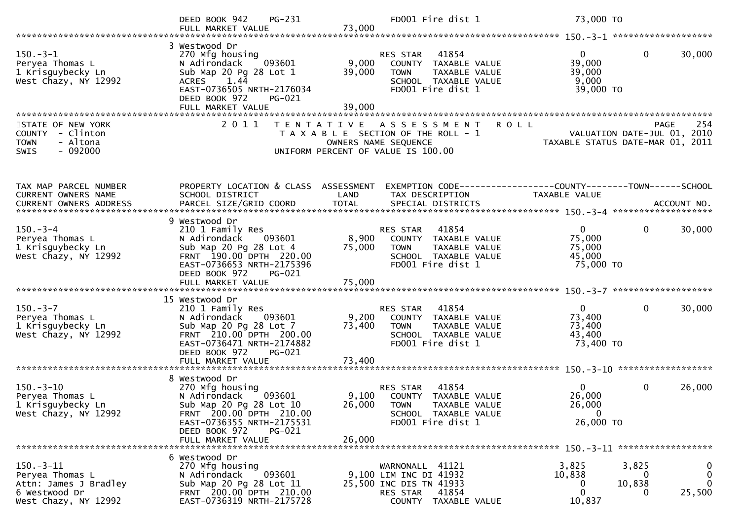|                                                                                                  | PG-231<br>DEED BOOK 942<br>FULL MARKET VALUE                                                                                                                                                  | 73,000                    | FD001 Fire dist 1                                                                                                          | 73,000 TO                                                                       |                         |
|--------------------------------------------------------------------------------------------------|-----------------------------------------------------------------------------------------------------------------------------------------------------------------------------------------------|---------------------------|----------------------------------------------------------------------------------------------------------------------------|---------------------------------------------------------------------------------|-------------------------|
| $150.-3-1$<br>Peryea Thomas L<br>1 Krisguybecky Ln<br>West Chazy, NY 12992                       | 3 Westwood Dr<br>270 Mfg housing<br>093601<br>N Adirondack<br>Sub Map 20 Pg 28 Lot 1<br>1.44<br><b>ACRES</b><br>EAST-0736505 NRTH-2176034<br>DEED BOOK 972<br>PG-021<br>FULL MARKET VALUE     | 9,000<br>39,000<br>39,000 | RES STAR 41854<br>COUNTY TAXABLE VALUE<br>TAXABLE VALUE<br><b>TOWN</b><br>SCHOOL TAXABLE VALUE<br>FD001 Fire dist 1        | 0<br>$\mathbf{0}$<br>39,000<br>39,000<br>9,000<br>39,000 TO                     | 30,000                  |
| STATE OF NEW YORK<br>COUNTY - Clinton<br><b>TOWN</b><br>- Altona<br>$-092000$<br>SWIS            | 2011                                                                                                                                                                                          | T E N T A T I V E         | A S S E S S M E N T<br>T A X A B L E SECTION OF THE ROLL - 1<br>OWNERS NAME SEQUENCE<br>UNIFORM PERCENT OF VALUE IS 100.00 | <b>ROLL</b><br>VALUATION DATE-JUL 01, 2010<br>TAXABLE STATUS DATE-MAR 01, 2011  | 254<br><b>PAGE</b>      |
| TAX MAP PARCEL NUMBER<br>CURRENT OWNERS NAME<br>CURRENT OWNERS ADDRESS                           | PROPERTY LOCATION & CLASS ASSESSMENT<br>SCHOOL DISTRICT                                                                                                                                       | LAND                      | TAX DESCRIPTION                                                                                                            | EXEMPTION CODE------------------COUNTY--------TOWN------SCHOOL<br>TAXABLE VALUE |                         |
| $150 - 3 - 4$<br>Peryea Thomas L<br>1 Krisguybecky Ln<br>West Chazy, NY 12992                    | 9 Westwood Dr<br>210 1 Family Res<br>N Adirondack<br>093601<br>Sub Map 20 Pg 28 Lot 4<br>FRNT 190.00 DPTH 220.00<br>EAST-0736653 NRTH-2175396<br>DEED BOOK 972<br><b>PG-021</b>               | 8,900<br>75,000           | 41854<br>RES STAR<br>COUNTY TAXABLE VALUE<br><b>TOWN</b><br>TAXABLE VALUE<br>SCHOOL TAXABLE VALUE<br>FD001 Fire dist 1     | $\mathbf{0}$<br>$\mathbf{0}$<br>75,000<br>75,000<br>45,000<br>75,000 TO         | 30,000                  |
| $150 - 3 - 7$<br>Peryea Thomas L<br>1 Krisguybecky Ln<br>West Chazy, NY 12992                    | 15 Westwood Dr<br>210 1 Family Res<br>N Adirondack 093601<br>Sub Map 20 Pg 28 Lot 7<br>FRNT 210.00 DPTH 200.00<br>EAST-0736471 NRTH-2174882<br>DEED BOOK 972<br>PG-021                        | 9,200<br>73,400           | RES STAR<br>41854<br>COUNTY TAXABLE VALUE<br>TAXABLE VALUE<br><b>TOWN</b><br>SCHOOL TAXABLE VALUE<br>FD001 Fire dist 1     | 0<br>0<br>73,400<br>73,400<br>43,400<br>73,400 TO                               | 30,000                  |
| $150.-3-10$<br>Peryea Thomas L<br>1 Krisguybecky Ln<br>West Chazy, NY 12992                      | 8 Westwood Dr<br>270 Mfg housing<br>093601<br>N Adirondack<br>Sub Map 20 Pg 28 Lot 10<br>FRNT 200.00 DPTH 210.00<br>EAST-0736355 NRTH-2175531<br>DEED BOOK 972<br>PG-021<br>FULL MARKET VALUE | 26,000                    | 41854<br>RES STAR<br>9,100 COUNTY TAXABLE VALUE<br>26,000 TOWN TAXABLE VALUE<br>SCHOOL TAXABLE VALUE<br>FD001 Fire dist 1  | $\mathbf{0}$<br>$\mathbf{0}$<br>26,000<br>26,000<br>$\overline{0}$<br>26,000 TO | 26,000                  |
| $150.-3-11$<br>Peryea Thomas L<br>Attn: James J Bradley<br>6 Westwood Dr<br>West Chazy, NY 12992 | 6 Westwood Dr<br>270 Mfg housing<br>093601<br>N Adirondack<br>Sub Map 20 Pg 28 Lot 11<br>FRNT 200.00 DPTH 210.00<br>EAST-0736319 NRTH-2175728                                                 |                           | WARNONALL 41121<br>9,100 LIM INC DI 41932<br>25,500 INC DIS TN 41933<br>RES STAR<br>41854<br>COUNTY TAXABLE VALUE          | 3,825<br>3,825<br>10,838<br>0<br>10,838<br>0<br>$\Omega$<br>10,837              | $\bf{0}$<br>0<br>25,500 |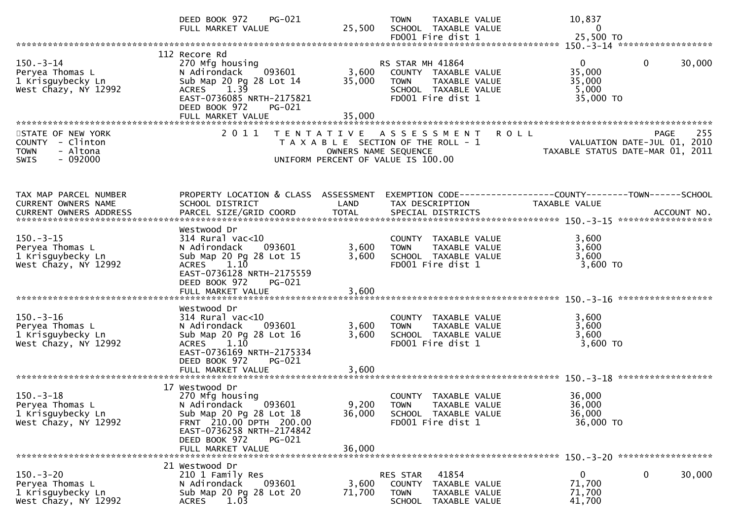|                                                                                              | DEED BOOK 972<br>$PG-021$<br>FULL MARKET VALUE                                                                                                                                                 | 25,500                  | <b>TOWN</b><br>TAXABLE VALUE<br>SCHOOL TAXABLE VALUE<br>FD001 Fire dist 1                                             | 10,837<br>0<br>25,500 TO                                                               |        |
|----------------------------------------------------------------------------------------------|------------------------------------------------------------------------------------------------------------------------------------------------------------------------------------------------|-------------------------|-----------------------------------------------------------------------------------------------------------------------|----------------------------------------------------------------------------------------|--------|
|                                                                                              |                                                                                                                                                                                                |                         |                                                                                                                       |                                                                                        |        |
| $150.-3-14$<br>Peryea Thomas L<br>1 Krisguybecky Ln<br>West Chazy, NY 12992                  | 112 Recore Rd<br>270 Mfg housing<br>093601<br>N Adirondack<br>Sub Map 20 Pg 28 Lot 14<br>$ACRES$ 1.39<br>EAST-0736085 NRTH-2175821<br>DEED BOOK 972<br>PG-021                                  | 3,600<br>35,000         | RS STAR MH 41864<br>COUNTY TAXABLE VALUE<br><b>TOWN</b><br>TAXABLE VALUE<br>SCHOOL TAXABLE VALUE<br>FD001 Fire dist 1 | $\mathbf{0}$<br>$\mathbf{0}$<br>35,000<br>35,000<br>5,000<br>35,000 TO                 | 30,000 |
|                                                                                              | FULL MARKET VALUE                                                                                                                                                                              | 35,000                  |                                                                                                                       |                                                                                        |        |
| STATE OF NEW YORK<br>COUNTY - Clinton<br>- Altona<br><b>TOWN</b><br>$-092000$<br><b>SWIS</b> | 2 0 1 1                                                                                                                                                                                        | OWNERS NAME SEQUENCE    | TENTATIVE ASSESSMENT<br>T A X A B L E SECTION OF THE ROLL - 1<br>UNIFORM PERCENT OF VALUE IS 100.00                   | <b>ROLL</b><br>PAGE<br>VALUATION DATE-JUL 01, 2010<br>TAXABLE STATUS DATE-MAR 01, 2011 | 255    |
| TAX MAP PARCEL NUMBER<br>CURRENT OWNERS NAME                                                 | PROPERTY LOCATION & CLASS ASSESSMENT<br>SCHOOL DISTRICT                                                                                                                                        | LAND                    | TAX DESCRIPTION                                                                                                       | EXEMPTION CODE------------------COUNTY--------TOWN------SCHOOL<br><b>TAXABLE VALUE</b> |        |
| $150.-3-15$<br>Peryea Thomas L<br>1 Krisguybecky Ln<br>West Chazy, NY 12992                  | Westwood Dr<br>$314$ Rural vac<10<br>N Adirondack<br>093601<br>Sub Map 20 Pg 28 Lot 15<br>1.10<br><b>ACRES</b><br>EAST-0736128 NRTH-2175559<br>DEED BOOK 972<br>PG-021<br>FULL MARKET VALUE    | 3,600<br>3,600<br>3,600 | COUNTY TAXABLE VALUE<br>TAXABLE VALUE<br><b>TOWN</b><br>SCHOOL TAXABLE VALUE<br>FD001 Fire dist 1                     | 3,600<br>3,600<br>3,600<br>3,600 TO                                                    |        |
| $150 - 3 - 16$<br>Peryea Thomas L<br>1 Krisguybecky Ln<br>West Chazy, NY 12992               | Westwood Dr<br>$314$ Rural vac<10<br>N Adirondack<br>093601<br>Sub Map 20 Pg 28 Lot 16<br>1.10<br><b>ACRES</b><br>EAST-0736169 NRTH-2175334<br>DEED BOOK 972<br>PG-021<br>FULL MARKET VALUE    | 3,600<br>3,600<br>3,600 | COUNTY TAXABLE VALUE<br>TAXABLE VALUE<br><b>TOWN</b><br>SCHOOL TAXABLE VALUE<br>FD001 Fire dist 1                     | 3,600<br>3,600<br>3,600<br>3,600 TO                                                    |        |
| $150 - 3 - 18$<br>Peryea Thomas L<br>1 Krisguybecky Ln<br>West Chazy, NY 12992               | 17 Westwood Dr<br>270 Mfg housing<br>N Adirondack<br>093601<br>Sub Map 20 Pg 28 Lot 18<br>FRNT 210.00 DPTH 200.00<br>EAST-0736258 NRTH-2174842<br>DEED BOOK 972<br>PG-021<br>FULL MARKET VALUE | 36,000<br>36,000        | COUNTY TAXABLE VALUE<br>9,200 TOWN<br>TAXABLE VALUE<br>SCHOOL TAXABLE VALUE<br>FD001 Fire dist 1                      | 36,000<br>36,000<br>36,000<br>36,000 TO                                                |        |
| $150 - 3 - 20$<br>Peryea Thomas L<br>1 Krisguybecky Ln<br>West Chazy, NY 12992               | 21 Westwood Dr<br>210 1 Family Res<br>N Adirondack<br>093601<br>Sub Map 20 Pg 28 Lot 20<br>1.03<br><b>ACRES</b>                                                                                | 3,600<br>71,700         | 41854<br>RES STAR<br>COUNTY<br>TAXABLE VALUE<br><b>TOWN</b><br>TAXABLE VALUE<br>TAXABLE VALUE<br><b>SCHOOL</b>        | 0<br>0<br>71,700<br>71,700<br>41,700                                                   | 30,000 |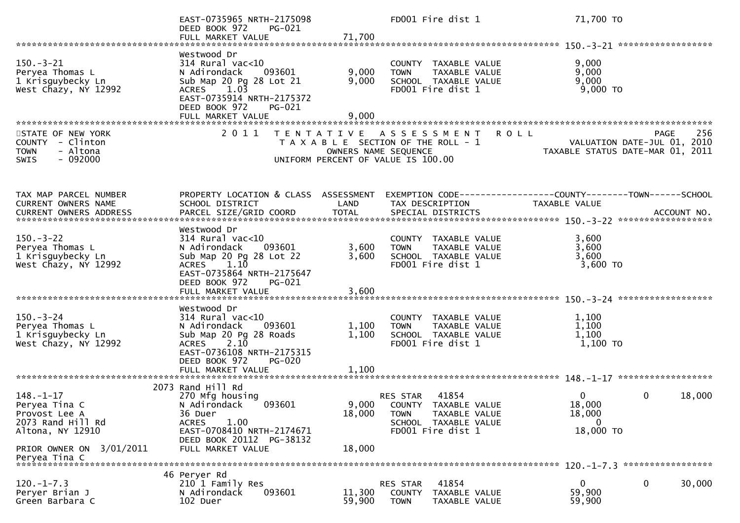|                                                                                              | EAST-0735965 NRTH-2175098<br>DEED BOOK 972<br><b>PG-021</b><br>FULL MARKET VALUE                                                                                  | 71,700               | FD001 Fire dist 1                                                                                                            | 71,700 TO                                                                                        |
|----------------------------------------------------------------------------------------------|-------------------------------------------------------------------------------------------------------------------------------------------------------------------|----------------------|------------------------------------------------------------------------------------------------------------------------------|--------------------------------------------------------------------------------------------------|
|                                                                                              |                                                                                                                                                                   |                      |                                                                                                                              |                                                                                                  |
| $150.-3-21$<br>Peryea Thomas L<br>1 Krisguybecky Ln<br>West Chazy, NY 12992                  | Westwood Dr<br>$314$ Rural vac< $10$<br>N Adirondack<br>093601<br>Sub Map 20 Pg 28 Lot 21<br>$ACRES$ 1.03<br>EAST-0735914 NRTH-2175372<br>DEED BOOK 972<br>PG-021 | 9,000<br>9,000       | COUNTY TAXABLE VALUE<br><b>TOWN</b><br>TAXABLE VALUE<br>SCHOOL TAXABLE VALUE<br>FD001 Fire dist 1                            | 9,000<br>9,000<br>9,000<br>$9,000$ TO                                                            |
|                                                                                              | FULL MARKET VALUE                                                                                                                                                 | 9,000                |                                                                                                                              |                                                                                                  |
|                                                                                              |                                                                                                                                                                   |                      |                                                                                                                              |                                                                                                  |
| STATE OF NEW YORK<br>COUNTY - Clinton<br>- Altona<br><b>TOWN</b><br>$-092000$<br><b>SWIS</b> | 2011                                                                                                                                                              | OWNERS NAME SEQUENCE | TENTATIVE ASSESSMENT<br>T A X A B L E SECTION OF THE ROLL - 1<br>UNIFORM PERCENT OF VALUE IS 100.00                          | 256<br>R O L L<br><b>PAGE</b><br>VALUATION DATE-JUL 01, 2010<br>TAXABLE STATUS DATE-MAR 01, 2011 |
| TAX MAP PARCEL NUMBER                                                                        | PROPERTY LOCATION & CLASS ASSESSMENT                                                                                                                              |                      |                                                                                                                              | EXEMPTION CODE------------------COUNTY--------TOWN------SCHOOL                                   |
| CURRENT OWNERS NAME                                                                          | SCHOOL DISTRICT                                                                                                                                                   | LAND                 | TAX DESCRIPTION                                                                                                              | <b>TAXABLE VALUE</b>                                                                             |
| $150 - 3 - 22$                                                                               | Westwood Dr<br>314 Rural vac<10                                                                                                                                   |                      | COUNTY TAXABLE VALUE                                                                                                         | 3,600                                                                                            |
| Peryea Thomas L                                                                              | 093601<br>N Adirondack                                                                                                                                            | 3,600                | TAXABLE VALUE<br><b>TOWN</b>                                                                                                 | 3,600                                                                                            |
| 1 Krisguybecky Ln                                                                            | Sub Map 20 Pg 28 Lot 22                                                                                                                                           | 3,600                | SCHOOL TAXABLE VALUE                                                                                                         | 3,600                                                                                            |
| West Chazy, NY 12992                                                                         | 1.10<br><b>ACRES</b><br>EAST-0735864 NRTH-2175647<br>DEED BOOK 972<br>PG-021<br>FULL MARKET VALUE                                                                 | 3,600                | FD001 Fire dist 1                                                                                                            | 3,600 TO                                                                                         |
|                                                                                              |                                                                                                                                                                   |                      |                                                                                                                              |                                                                                                  |
| $150. - 3 - 24$<br>Peryea Thomas L<br>1 Krisguybecky Ln<br>West Chazy, NY 12992              | Westwood Dr<br>$314$ Rural vac<10<br>093601<br>N Adirondack<br>Sub Map 20 Pg 28 Roads<br>ACRES 2.10<br>EAST-0736108 NRTH-2175315                                  | 1,100<br>1,100       | COUNTY TAXABLE VALUE<br>TAXABLE VALUE<br><b>TOWN</b><br>SCHOOL TAXABLE VALUE<br>FD001 Fire dist 1                            | 1,100<br>1,100<br>1,100<br>1,100 TO                                                              |
|                                                                                              | DEED BOOK 972<br><b>PG-020</b><br>FULL MARKET VALUE                                                                                                               | 1,100                |                                                                                                                              |                                                                                                  |
|                                                                                              |                                                                                                                                                                   |                      |                                                                                                                              |                                                                                                  |
| $148. - 1 - 17$<br>Peryea Tina C<br>Provost Lee A<br>2073 Rand Hill Rd<br>Altona, NY 12910   | 2073 Rand Hill Rd<br>270 Mfg housing<br>N Adirondack<br>093601<br>36 Duer<br><b>ACRES</b><br>1.00<br>EAST-0708410 NRTH-2174671                                    | 18,000               | 41854<br>RES STAR<br>9,000 COUNTY TAXABLE VALUE<br><b>TOWN</b><br>TAXABLE VALUE<br>SCHOOL TAXABLE VALUE<br>FD001 Fire dist 1 | $\mathbf{0}$<br>18,000<br>0<br>18,000<br>18,000<br>$\mathbf{0}$<br>18,000 TO                     |
| PRIOR OWNER ON 3/01/2011<br>Peryea Tina C                                                    | DEED BOOK 20112 PG-38132<br>FULL MARKET VALUE                                                                                                                     | 18,000               |                                                                                                                              |                                                                                                  |
| *************************                                                                    |                                                                                                                                                                   |                      |                                                                                                                              |                                                                                                  |
| $120. -1 - 7.3$                                                                              | 46 Peryer Rd<br>210 1 Family Res                                                                                                                                  |                      | 41854<br>RES STAR                                                                                                            | 30,000<br>$\mathbf{0}$<br>0                                                                      |
| Peryer Brian J<br>Green Barbara C                                                            | 093601<br>N Adirondack<br>102 Duer                                                                                                                                | 11,300<br>59,900     | COUNTY<br>TAXABLE VALUE<br><b>TOWN</b><br>TAXABLE VALUE                                                                      | 59,900<br>59,900                                                                                 |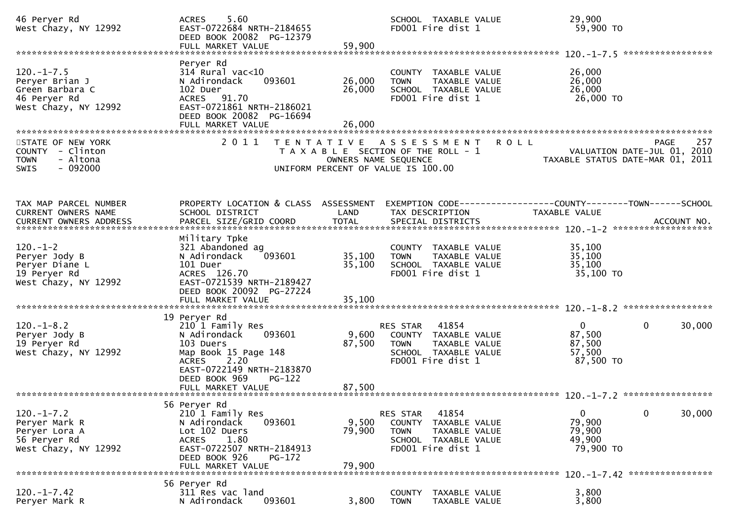| 46 Peryer Rd<br>West Chazy, NY 12992                                                         | 5.60<br><b>ACRES</b><br>EAST-0722684 NRTH-2184655<br>DEED BOOK 20082 PG-12379<br>FULL MARKET VALUE                                                                                | 59,900                     | SCHOOL TAXABLE VALUE<br>FD001 Fire dist 1                                                                                   | 29,900<br>59,900 TO                                                                  |                                                                                       |
|----------------------------------------------------------------------------------------------|-----------------------------------------------------------------------------------------------------------------------------------------------------------------------------------|----------------------------|-----------------------------------------------------------------------------------------------------------------------------|--------------------------------------------------------------------------------------|---------------------------------------------------------------------------------------|
| $120. -1 - 7.5$<br>Peryer Brian J<br>Green Barbara C<br>46 Peryer Rd<br>West Chazy, NY 12992 | Peryer Rd<br>$314$ Rural vac<10<br>N Adirondack<br>093601<br>102 Duer<br>ACRES 91.70<br>EAST-0721861 NRTH-2186021<br>DEED BOOK 20082 PG-16694                                     | 26,000<br>26,000           | COUNTY<br>TAXABLE VALUE<br>TAXABLE VALUE<br><b>TOWN</b><br>SCHOOL TAXABLE VALUE<br>FD001 Fire dist 1                        | 26,000<br>26,000<br>26,000<br>26,000 TO                                              |                                                                                       |
| STATE OF NEW YORK<br>COUNTY - Clinton<br>- Altona<br><b>TOWN</b><br>$-092000$<br><b>SWIS</b> | 2011                                                                                                                                                                              |                            | TENTATIVE ASSESSMENT<br>T A X A B L E SECTION OF THE ROLL - 1<br>OWNERS NAME SEQUENCE<br>UNIFORM PERCENT OF VALUE IS 100.00 | <b>ROLL</b>                                                                          | 257<br><b>PAGE</b><br>VALUATION DATE-JUL 01, 2010<br>TAXABLE STATUS DATE-MAR 01, 2011 |
| TAX MAP PARCEL NUMBER<br><b>CURRENT OWNERS NAME</b>                                          | PROPERTY LOCATION & CLASS ASSESSMENT<br>SCHOOL DISTRICT                                                                                                                           | LAND                       | TAX DESCRIPTION                                                                                                             | EXEMPTION CODE-----------------COUNTY-------TOWN------SCHOOL<br><b>TAXABLE VALUE</b> |                                                                                       |
| $120. - 1 - 2$<br>Peryer Jody B<br>Peryer Diane L<br>19 Peryer Rd<br>West Chazy, NY 12992    | Military Tpke<br>321 Abandoned ag<br>093601<br>N Adirondack<br>101 Duer<br>ACRES 126.70<br>EAST-0721539 NRTH-2189427<br>DEED BOOK 20092 PG-27224<br>FULL MARKET VALUE             | 35,100<br>35,100<br>35,100 | COUNTY TAXABLE VALUE<br>TAXABLE VALUE<br><b>TOWN</b><br>SCHOOL TAXABLE VALUE<br>FD001 Fire dist 1                           | 35,100<br>35,100<br>35,100<br>35,100 TO                                              |                                                                                       |
| $120. - 1 - 8.2$<br>Peryer Jody B<br>19 Peryer Rd<br>West Chazy, NY 12992                    | 19 Peryer Rd<br>210 1 Family Res<br>N Adirondack<br>093601<br>103 Duers<br>Map Book 15 Page 148<br>2.20<br><b>ACRES</b><br>EAST-0722149 NRTH-2183870<br>DEED BOOK 969<br>$PG-122$ | 9,600<br>87,500            | 41854<br>RES STAR<br>COUNTY TAXABLE VALUE<br>TAXABLE VALUE<br><b>TOWN</b><br>SCHOOL TAXABLE VALUE<br>FD001 Fire dist 1      | $\mathbf{0}$<br>87,500<br>87,500<br>57,500<br>87,500 TO                              | $\mathbf 0$<br>30,000                                                                 |
| $120. -1 - 7.2$<br>Peryer Mark R<br>Peryer Lora A<br>56 Peryer Rd<br>West Chazy, NY 12992    | 56 Peryer Rd<br>210 1 Family Res<br>N Adirondack<br>093601<br>Lot 102 Duers<br>1.80<br><b>ACRES</b><br>EAST-0722507 NRTH-2184913<br>DEED BOOK 926<br>PG-172<br>FULL MARKET VALUE  | 9,500<br>79,900<br>79,900  | 41854<br>RES STAR<br>COUNTY TAXABLE VALUE<br><b>TOWN</b><br>TAXABLE VALUE<br>SCHOOL TAXABLE VALUE<br>FD001 Fire dist 1      | $\mathbf 0$<br>79,900<br>79,900<br>49,900<br>79,900 TO                               | $\mathbf 0$<br>30,000                                                                 |
| $120. -1 - 7.42$                                                                             | 56 Peryer Rd<br>311 Res vac land                                                                                                                                                  |                            | COUNTY<br>TAXABLE VALUE                                                                                                     | 3,800                                                                                |                                                                                       |
| Peryer Mark R                                                                                | N Adirondack<br>093601                                                                                                                                                            | 3,800                      | TAXABLE VALUE<br><b>TOWN</b>                                                                                                | 3,800                                                                                |                                                                                       |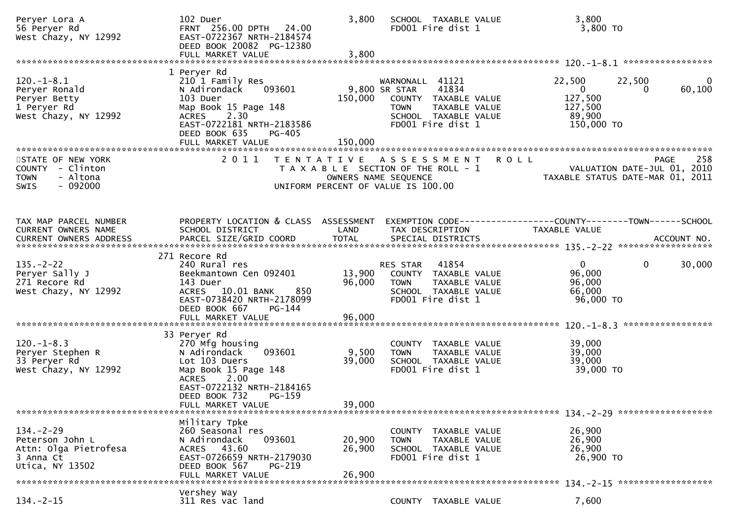| Peryer Lora A<br>56 Peryer Rd<br>West Chazy, NY 12992                                       | 102 Duer<br>FRNT 256.00 DPTH 24.00<br>EAST-0722367 NRTH-2184574<br>DEED BOOK 20082 PG-12380                                                                           | 3,800                      | SCHOOL TAXABLE VALUE<br>FD001 Fire dist 1                                                                                                              | 3,800<br>3,800 TO                                                                     |                          |
|---------------------------------------------------------------------------------------------|-----------------------------------------------------------------------------------------------------------------------------------------------------------------------|----------------------------|--------------------------------------------------------------------------------------------------------------------------------------------------------|---------------------------------------------------------------------------------------|--------------------------|
|                                                                                             | 1 Peryer Rd                                                                                                                                                           |                            |                                                                                                                                                        |                                                                                       |                          |
| $120.-1-8.1$<br>Peryer Ronald<br>Peryer Betty<br>1 Peryer Rd<br>West Chazy, NY 12992        | 210 1 Family Res<br>093601<br>N Adirondack<br>103 Duer<br>Map Book 15 Page 148<br>2.30<br><b>ACRES</b><br>EAST-0722181 NRTH-2183586<br>DEED BOOK 635<br><b>PG-405</b> |                            | WARNONALL 41121<br>41834<br>9,800 SR STAR<br>150,000 COUNTY TAXABLE VALUE<br><b>TOWN</b><br>TAXABLE VALUE<br>SCHOOL TAXABLE VALUE<br>FD001 Fire dist 1 | 22,500<br>22,500<br>$\overline{0}$<br>0<br>127,500<br>127,500<br>89,900<br>150,000 TO | $\overline{0}$<br>60,100 |
|                                                                                             | FULL MARKET VALUE                                                                                                                                                     | 150,000                    |                                                                                                                                                        |                                                                                       |                          |
| STATE OF NEW YORK<br>COUNTY - Clinton<br>- Altona<br><b>TOWN</b><br>$-092000$<br>SWIS       | 2011                                                                                                                                                                  |                            | TENTATIVE ASSESSMENT ROLL<br>T A X A B L E SECTION OF THE ROLL - 1<br>OWNERS NAME SEQUENCE<br>UNIFORM PERCENT OF VALUE IS 100.00                       | <b>PAGE</b><br>VALUATION DATE-JUL 01, 2010<br>TAXABLE STATUS DATE-MAR 01, 2011        | 258                      |
| TAX MAP PARCEL NUMBER<br>CURRENT OWNERS NAME                                                | PROPERTY LOCATION & CLASS ASSESSMENT<br>SCHOOL DISTRICT                                                                                                               | LAND                       | TAX DESCRIPTION                                                                                                                                        | EXEMPTION CODE-----------------COUNTY--------TOWN------SCHOOL<br>TAXABLE VALUE        |                          |
|                                                                                             | 271 Recore Rd                                                                                                                                                         |                            |                                                                                                                                                        |                                                                                       |                          |
| $135. - 2 - 22$<br>Peryer Sally J<br>271 Recore Rd<br>West Chazy, NY 12992                  | 240 Rural res<br>Beekmantown Cen 092401<br>143 Duer<br>ACRES 10.01 BANK<br>850<br>EAST-0738420 NRTH-2178099<br>DEED BOOK 667<br>PG-144                                | 13,900<br>96,000           | RES STAR 41854<br>COUNTY TAXABLE VALUE<br><b>TOWN</b><br>TAXABLE VALUE<br>SCHOOL TAXABLE VALUE<br>FD001 Fire dist 1                                    | $\overline{0}$<br>$\mathbf{0}$<br>96,000<br>96,000<br>66,000<br>96,000 TO             | 30,000                   |
|                                                                                             | FULL MARKET VALUE                                                                                                                                                     | 96,000                     |                                                                                                                                                        |                                                                                       |                          |
|                                                                                             | 33 Peryer Rd                                                                                                                                                          |                            |                                                                                                                                                        |                                                                                       |                          |
| $120. -1 - 8.3$<br>Peryer Stephen R<br>33 Peryer Rd<br>West Chazy, NY 12992                 | 270 Mfg housing<br>093601<br>N Adirondack<br>Lot 103 Duers<br>Map Book 15 Page 148<br>2.00<br><b>ACRES</b><br>EAST-0722132 NRTH-2184165<br>DEED BOOK 732<br>PG-159    | 9,500<br>39,000            | COUNTY TAXABLE VALUE<br>TAXABLE VALUE<br><b>TOWN</b><br>SCHOOL TAXABLE VALUE<br>FD001 Fire dist 1                                                      | 39,000<br>39,000<br>39,000<br>39,000 TO                                               |                          |
|                                                                                             | FULL MARKET VALUE                                                                                                                                                     | 39,000                     |                                                                                                                                                        |                                                                                       |                          |
|                                                                                             |                                                                                                                                                                       |                            |                                                                                                                                                        |                                                                                       |                          |
| $134. - 2 - 29$<br>Peterson John L<br>Attn: Olga Pietrofesa<br>3 Anna Ct<br>Utica, NY 13502 | Military Tpke<br>260 Seasonal res<br>093601<br>N Adirondack<br>ACRES 43.60<br>EAST-0726659 NRTH-2179030<br>DEED BOOK 567<br>PG-219<br>FULL MARKET VALUE               | 20,900<br>26,900<br>26,900 | COUNTY TAXABLE VALUE<br><b>TOWN</b><br>TAXABLE VALUE<br>SCHOOL TAXABLE VALUE<br>FD001 Fire dist 1                                                      | 26,900<br>26,900<br>26,900<br>26,900 TO                                               |                          |
|                                                                                             | Vershey Way                                                                                                                                                           |                            |                                                                                                                                                        |                                                                                       |                          |
| $134. -2 - 15$                                                                              | 311 Res vac land                                                                                                                                                      |                            | COUNTY TAXABLE VALUE                                                                                                                                   | 7,600                                                                                 |                          |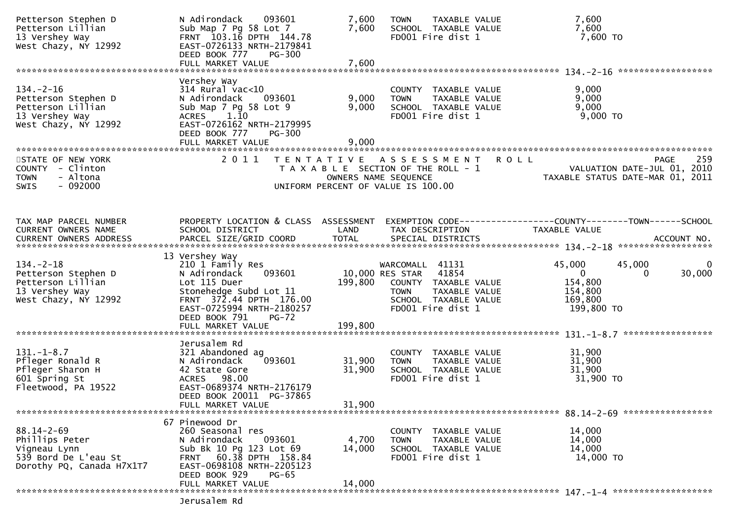| Petterson Stephen D<br>Petterson Lillian<br>13 Vershey Way<br>West Chazy, NY 12992                      | N Adirondack 093601<br>Sub Map 7 Pg 58 Lot 7<br>FRNT 103.16 DPTH 144.78<br>EAST-0726133 NRTH-2179841<br>DEED BOOK 777<br><b>PG-300</b>                                                               | 7,600<br>7,600                            | TAXABLE VALUE<br><b>TOWN</b><br>SCHOOL TAXABLE VALUE<br>FD001 Fire dist 1                                                                     | 7,600<br>7,600<br>7,600 TO                                                                                            |
|---------------------------------------------------------------------------------------------------------|------------------------------------------------------------------------------------------------------------------------------------------------------------------------------------------------------|-------------------------------------------|-----------------------------------------------------------------------------------------------------------------------------------------------|-----------------------------------------------------------------------------------------------------------------------|
|                                                                                                         |                                                                                                                                                                                                      |                                           |                                                                                                                                               |                                                                                                                       |
| $134. - 2 - 16$<br>Petterson Stephen D<br>Petterson Lillian<br>13 Vershey Way<br>West Chazy, NY 12992   | Vershey Way<br>$314$ Rural vac<10<br>N Adirondack<br>093601<br>Sub Map 7 Pg 58 Lot 9<br>1.10<br><b>ACRES</b><br>EAST-0726162 NRTH-2179995<br>DEED BOOK 777<br><b>PG-300</b><br>FULL MARKET VALUE     | 9,000<br>9,000<br>9,000                   | COUNTY TAXABLE VALUE<br>TAXABLE VALUE<br><b>TOWN</b><br>SCHOOL TAXABLE VALUE<br>FD001 Fire dist 1                                             | 9,000<br>9,000<br>9,000<br>$9,000$ TO                                                                                 |
| STATE OF NEW YORK<br>COUNTY - Clinton<br>- Altona<br><b>TOWN</b><br>$-092000$<br><b>SWIS</b>            | 2011                                                                                                                                                                                                 | T E N T A T I V E<br>OWNERS NAME SEQUENCE | A S S E S S M E N T<br>T A X A B L E SECTION OF THE ROLL - 1<br>UNIFORM PERCENT OF VALUE IS 100.00                                            | <b>ROLL</b><br>259<br><b>PAGE</b><br>VALUATION DATE-JUL 01, 2010<br>TAXABLE STATUS DATE-MAR 01, 2011                  |
| TAX MAP PARCEL NUMBER<br>CURRENT OWNERS NAME<br>CURRENT OWNERS ADDRESS                                  | PROPERTY LOCATION & CLASS ASSESSMENT<br>SCHOOL DISTRICT<br>PARCEL SIZE/GRID COORD                                                                                                                    | LAND<br><b>TOTAL</b>                      | TAX DESCRIPTION<br>SPECIAL DISTRICTS                                                                                                          | EXEMPTION CODE-----------------COUNTY-------TOWN------SCHOOL<br>TAXABLE VALUE<br>ACCOUNT NO.                          |
| $134. - 2 - 18$<br>Petterson Stephen D<br>Petterson Lillian<br>13 Vershey Way<br>West Chazy, NY 12992   | 13 Vershey Way<br>210 1 Family Res<br>N Adirondack<br>093601<br>Lot 115 Duer<br>Stonehedge Subd Lot 11<br>FRNT 372.44 DPTH 176.00<br>EAST-0725994 NRTH-2180257<br>DEED BOOK 791<br>$PG-72$           | 199,800                                   | WARCOMALL 41131<br>10,000 RES STAR 41854<br>COUNTY TAXABLE VALUE<br><b>TOWN</b><br>TAXABLE VALUE<br>SCHOOL TAXABLE VALUE<br>FD001 Fire dist 1 | 45,000<br>45,000<br>$\overline{0}$<br>30,000<br>0<br>154,800<br>154,800<br>169,800<br>199,800 TO<br>***************** |
| $131.-1-8.7$<br>Pfleger Ronald R<br>Pfleger Sharon H<br>601 Spring St<br>Fleetwood, PA 19522            | Jerusalem Rd<br>321 Abandoned ag<br>093601<br>N Adirondack<br>42 State Gore<br>ACRES 98.00<br>EAST-0689374 NRTH-2176179<br>DEED BOOK 20011 PG-37865<br>FULL MARKET VALUE                             | 31,900<br>31,900<br>31,900                | COUNTY TAXABLE VALUE<br>TAXABLE VALUE<br><b>TOWN</b><br>SCHOOL TAXABLE VALUE<br>FD001 Fire dist 1                                             | 31,900<br>31,900<br>31,900<br>31,900 TO                                                                               |
| $88.14 - 2 - 69$<br>Phillips Peter<br>Vigneau Lynn<br>539 Bord De L'eau St<br>Dorothy PQ, Canada H7X1T7 | 67 Pinewood Dr<br>260 Seasonal res<br>093601<br>N Adirondack<br>Sub Bk 10 Pg 123 Lot 69<br>FRNT 60.38 DPTH 158.84<br>EAST-0698108 NRTH-2205123<br>DEED BOOK 929<br><b>PG-65</b><br>FULL MARKET VALUE | 4,700<br>14,000<br>14,000                 | COUNTY TAXABLE VALUE<br><b>TOWN</b><br>TAXABLE VALUE<br>SCHOOL TAXABLE VALUE<br>FD001 Fire dist 1                                             | 14,000<br>14,000<br>14,000<br>14,000 TO                                                                               |
|                                                                                                         | Jerusalem Rd                                                                                                                                                                                         |                                           |                                                                                                                                               |                                                                                                                       |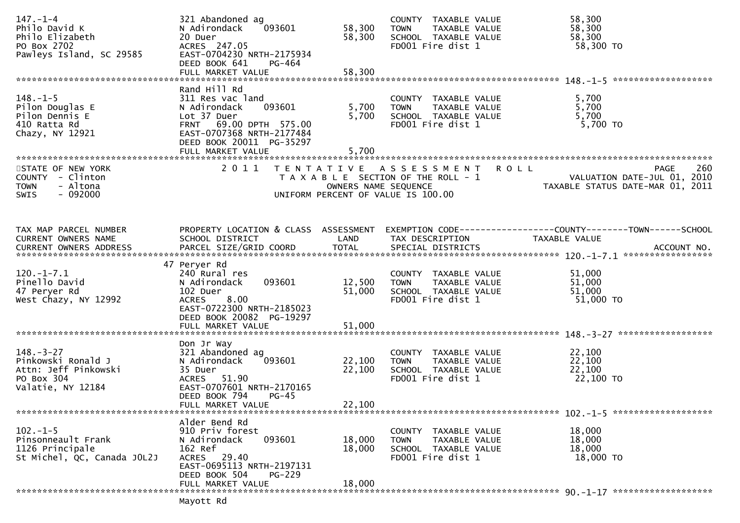| $147. - 1 - 4$<br>Philo David K<br>Philo Elizabeth<br>PO Box 2702<br>Pawleys Island, SC 29585    | 321 Abandoned ag<br>N Adirondack<br>093601<br>20 Duer<br>ACRES 247.05<br>EAST-0704230 NRTH-2175934<br>DEED BOOK 641<br>PG-464<br>FULL MARKET VALUE                                | 58,300<br>58,300<br>58,300                | COUNTY TAXABLE VALUE<br>TAXABLE VALUE<br><b>TOWN</b><br>SCHOOL TAXABLE VALUE<br>FD001 Fire dist 1  | 58,300<br>58,300<br>58,300<br>58,300 TO                                                              |
|--------------------------------------------------------------------------------------------------|-----------------------------------------------------------------------------------------------------------------------------------------------------------------------------------|-------------------------------------------|----------------------------------------------------------------------------------------------------|------------------------------------------------------------------------------------------------------|
|                                                                                                  |                                                                                                                                                                                   |                                           |                                                                                                    |                                                                                                      |
| $148. - 1 - 5$<br>Pilon Douglas E<br>Pilon Dennis E<br>410 Ratta Rd<br>Chazy, NY 12921           | Rand Hill Rd<br>311 Res vac land<br>093601<br>N Adirondack<br>Lot 37 Duer<br>FRNT 69.00 DPTH 575.00<br>EAST-0707368 NRTH-2177484<br>DEED BOOK 20011 PG-35297<br>FULL MARKET VALUE | 5,700<br>5,700<br>5,700                   | COUNTY TAXABLE VALUE<br>TAXABLE VALUE<br><b>TOWN</b><br>SCHOOL TAXABLE VALUE<br>FD001 Fire dist 1  | 5,700<br>5,700<br>5,700<br>5,700 TO                                                                  |
| STATE OF NEW YORK<br>COUNTY - Clinton<br>- Altona<br><b>TOWN</b><br>$-092000$<br>SWIS            | 2011                                                                                                                                                                              | T E N T A T I V E<br>OWNERS NAME SEQUENCE | A S S E S S M E N T<br>T A X A B L E SECTION OF THE ROLL - 1<br>UNIFORM PERCENT OF VALUE IS 100.00 | <b>ROLL</b><br>260<br><b>PAGE</b><br>VALUATION DATE-JUL 01, 2010<br>TAXABLE STATUS DATE-MAR 01, 2011 |
| TAX MAP PARCEL NUMBER                                                                            |                                                                                                                                                                                   |                                           |                                                                                                    | PROPERTY LOCATION & CLASS ASSESSMENT EXEMPTION CODE----------------COUNTY-------TOWN------SCHOOL     |
| CURRENT OWNERS NAME                                                                              | SCHOOL DISTRICT                                                                                                                                                                   | LAND                                      | TAX DESCRIPTION                                                                                    | TAXABLE VALUE                                                                                        |
| $120.-1-7.1$<br>Pinello David<br>47 Peryer Rd<br>West Chazy, NY 12992                            | 47 Peryer Rd<br>240 Rural res<br>093601<br>N Adirondack<br>102 Duer<br>8.00<br><b>ACRES</b><br>EAST-0722300 NRTH-2185023<br>DEED BOOK 20082 PG-19297                              | 12,500<br>51,000                          | COUNTY TAXABLE VALUE<br>TAXABLE VALUE<br><b>TOWN</b><br>SCHOOL TAXABLE VALUE<br>FD001 Fire dist 1  | 51,000<br>51,000<br>51,000<br>51,000 TO                                                              |
|                                                                                                  |                                                                                                                                                                                   |                                           |                                                                                                    |                                                                                                      |
| $148. - 3 - 27$<br>Pinkowski Ronald J<br>Attn: Jeff Pinkowski<br>PO Box 304<br>Valatie, NY 12184 | Don Jr Way<br>321 Abandoned ag<br>093601<br>N Adirondack<br>35 Duer<br><b>ACRES</b><br>51.90<br>EAST-0707601 NRTH-2170165<br>DEED BOOK 794<br>$PG-45$                             | 22,100<br>22,100                          | COUNTY TAXABLE VALUE<br>TAXABLE VALUE<br><b>TOWN</b><br>SCHOOL TAXABLE VALUE<br>FD001 Fire dist 1  | 22,100<br>22,100<br>22,100<br>22,100 TO                                                              |
|                                                                                                  | FULL MARKET VALUE                                                                                                                                                                 | 22,100                                    |                                                                                                    |                                                                                                      |
| $102 - 1 - 5$<br>Pinsonneault Frank<br>1126 Principale<br>St Michel, QC, Canada JOL2J            | Alder Bend Rd<br>910 Priv forest<br>093601<br>N Adirondack<br>162 Ref<br>ACRES 29.40<br>EAST-0695113 NRTH-2197131<br>DEED BOOK 504<br><b>PG-229</b>                               | 18,000<br>18,000                          | COUNTY TAXABLE VALUE<br>TAXABLE VALUE<br><b>TOWN</b><br>SCHOOL TAXABLE VALUE<br>FD001 Fire dist 1  | 18,000<br>18,000<br>18,000<br>18,000 TO                                                              |
|                                                                                                  | FULL MARKET VALUE<br>Mayott Rd                                                                                                                                                    | 18,000                                    |                                                                                                    |                                                                                                      |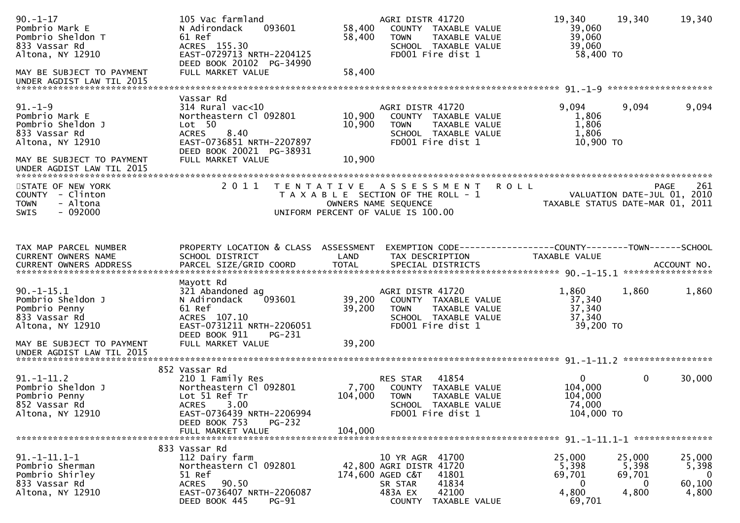| $90. -1 - 17$<br>Pombrio Mark E<br>Pombrio Sheldon T<br>833 Vassar Rd<br>Altona, NY 12910<br>MAY BE SUBJECT TO PAYMENT<br>UNDER AGDIST LAW TIL 2015 | 105 Vac farmland<br>093601<br>N Adirondack<br>61 Ref<br>ACRES 155.30<br>EAST-0729713 NRTH-2204125<br>DEED BOOK 20102 PG-34990<br>FULL MARKET VALUE                                       | 58,400<br>58,400<br>58,400  | AGRI DISTR 41720<br>COUNTY TAXABLE VALUE<br><b>TOWN</b><br>TAXABLE VALUE<br>SCHOOL TAXABLE VALUE<br>FD001 Fire dist 1                      | 19,340<br>39,060<br>39,060<br>39,060<br>58,400 TO                              | 19,340                                  | 19,340                                            |
|-----------------------------------------------------------------------------------------------------------------------------------------------------|------------------------------------------------------------------------------------------------------------------------------------------------------------------------------------------|-----------------------------|--------------------------------------------------------------------------------------------------------------------------------------------|--------------------------------------------------------------------------------|-----------------------------------------|---------------------------------------------------|
|                                                                                                                                                     |                                                                                                                                                                                          |                             |                                                                                                                                            |                                                                                |                                         |                                                   |
| $91. - 1 - 9$<br>Pombrio Mark E<br>Pombrio Sheldon J<br>833 Vassar Rd<br>Altona, NY 12910<br>MAY BE SUBJECT TO PAYMENT                              | Vassar Rd<br>$314$ Rural vac<10<br>Northeastern Cl 092801<br>Lot 50<br>8.40<br><b>ACRES</b><br>EAST-0736851 NRTH-2207897<br>DEED BOOK 20021 PG-38931<br>FULL MARKET VALUE                | 10,900<br>10,900<br>10,900  | AGRI DISTR 41720<br>COUNTY TAXABLE VALUE<br>TAXABLE VALUE<br><b>TOWN</b><br>SCHOOL TAXABLE VALUE<br>FD001 Fire dist 1                      | 9,094<br>1,806<br>1,806<br>1,806<br>10,900 TO                                  | 9,094                                   | 9,094                                             |
| UNDER AGDIST LAW TIL 2015                                                                                                                           |                                                                                                                                                                                          |                             |                                                                                                                                            |                                                                                |                                         |                                                   |
| STATE OF NEW YORK<br>COUNTY - Clinton<br>- Altona<br><b>TOWN</b><br>- 092000<br><b>SWIS</b>                                                         | 2011                                                                                                                                                                                     | T E N T A T I V E           | A S S E S S M E N T<br>T A X A B L E SECTION OF THE ROLL - 1<br>OWNERS NAME SEQUENCE<br>UNIFORM PERCENT OF VALUE IS 100.00                 | <b>ROLL</b><br>VALUATION DATE-JUL 01, 2010<br>TAXABLE STATUS DATE-MAR 01, 2011 |                                         | 261<br><b>PAGE</b>                                |
| TAX MAP PARCEL NUMBER<br>CURRENT OWNERS NAME                                                                                                        | PROPERTY LOCATION & CLASS ASSESSMENT<br>SCHOOL DISTRICT                                                                                                                                  | LAND                        | EXEMPTION CODE-----------------COUNTY-------TOWN------SCHOOL<br>TAX DESCRIPTION                                                            | TAXABLE VALUE                                                                  |                                         |                                                   |
| $90. -1 - 15.1$<br>Pombrio Sheldon J<br>Pombrio Penny<br>833 Vassar Rd<br>Altona, NY 12910<br>MAY BE SUBJECT TO PAYMENT                             | Mayott Rd<br>321 Abandoned ag<br>N Adirondack<br>093601<br>61 Ref<br>ACRES 107.10<br>EAST-0731211 NRTH-2206051<br>DEED BOOK 911<br>PG-231<br>FULL MARKET VALUE                           | 39,200<br>39,200<br>39,200  | AGRI DISTR 41720<br>COUNTY TAXABLE VALUE<br>TAXABLE VALUE<br><b>TOWN</b><br>SCHOOL TAXABLE VALUE<br>FD001 Fire dist 1                      | 1,860<br>37,340<br>37,340<br>37,340<br>39,200 TO                               | 1,860                                   | 1,860                                             |
| UNDER AGDIST LAW TIL 2015                                                                                                                           |                                                                                                                                                                                          |                             |                                                                                                                                            |                                                                                |                                         |                                                   |
| $91. - 1 - 11.2$<br>Pombrio Sheldon J<br>Pombrio Penny<br>852 Vassar Rd<br>Altona, NY 12910                                                         | 852 Vassar Rd<br>210 1 Family Res<br>Northeastern Cl 092801<br>Lot 51 Ref Tr<br>3.00<br><b>ACRES</b><br>EAST-0736439 NRTH-2206994<br>DEED BOOK 753<br><b>PG-232</b><br>FULL MARKET VALUE | 7,700<br>104,000<br>104,000 | 41854<br>RES STAR<br>COUNTY TAXABLE VALUE<br><b>TOWN</b><br>TAXABLE VALUE<br>SCHOOL TAXABLE VALUE<br>FD001 Fire dist 1                     | $\overline{0}$<br>104,000<br>104,000<br>74,000<br>104,000 TO                   | $\mathbf{0}$                            | *****************<br>30,000                       |
|                                                                                                                                                     | 833 Vassar Rd                                                                                                                                                                            |                             |                                                                                                                                            |                                                                                |                                         |                                                   |
| $91. -1 - 11.1 - 1$<br>Pombrio Sherman<br>Pombrio Shirley<br>833 Vassar Rd<br>Altona, NY 12910                                                      | 112 Dairy farm<br>Northeastern Cl 092801<br>51 Ref<br><b>ACRES</b><br>90.50<br>EAST-0736407 NRTH-2206087<br>DEED BOOK 445<br><b>PG-91</b>                                                |                             | 10 YR AGR 41700<br>42,800 AGRI DISTR 41720<br>174,600 AGED C&T<br>41801<br>41834<br>SR STAR<br>42100<br>483A EX<br>COUNTY<br>TAXABLE VALUE | 25,000<br>5,398<br>69,701<br>0<br>4,800<br>69,701                              | 25,000<br>5,398<br>69,701<br>0<br>4,800 | 25,000<br>5,398<br>$\mathbf 0$<br>60,100<br>4,800 |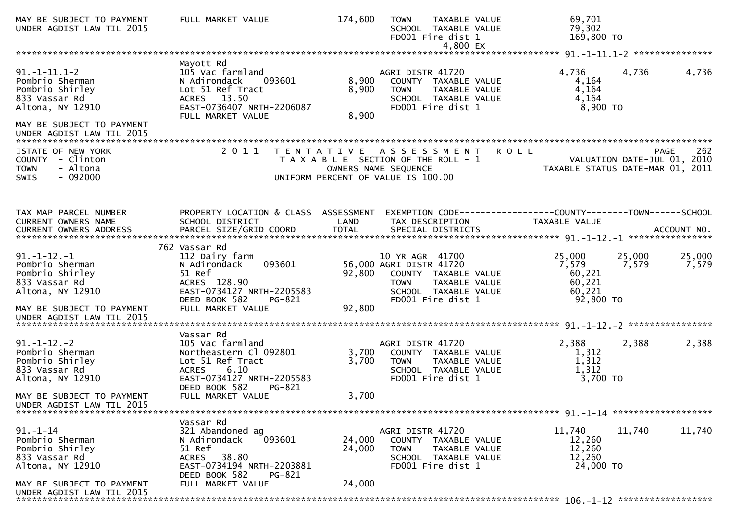| MAY BE SUBJECT TO PAYMENT<br>UNDER AGDIST LAW TIL 2015                                                                      | FULL MARKET VALUE                                                                                                                                                | 174,600                 | <b>TOWN</b><br>TAXABLE VALUE<br>SCHOOL TAXABLE VALUE<br>FD001 Fire dist 1<br>4,800 EX                                                           | 69,701<br>79,302<br>169,800 TO                                                  |                 |
|-----------------------------------------------------------------------------------------------------------------------------|------------------------------------------------------------------------------------------------------------------------------------------------------------------|-------------------------|-------------------------------------------------------------------------------------------------------------------------------------------------|---------------------------------------------------------------------------------|-----------------|
|                                                                                                                             |                                                                                                                                                                  |                         |                                                                                                                                                 |                                                                                 |                 |
| $91. -1 - 11.1 - 2$<br>Pombrio Sherman<br>Pombrio Shirley<br>833 Vassar Rd<br>Altona, NY 12910<br>MAY BE SUBJECT TO PAYMENT | Mayott Rd<br>105 Vac farmland<br>093601<br>N Adirondack<br>Lot 51 Ref Tract<br>ACRES 13.50<br>EAST-0736407 NRTH-2206087<br>FULL MARKET VALUE                     | 8,900<br>8,900<br>8,900 | AGRI DISTR 41720<br>COUNTY TAXABLE VALUE<br><b>TOWN</b><br>TAXABLE VALUE<br>SCHOOL TAXABLE VALUE<br>FD001 Fire dist 1                           | 4,736<br>4,736<br>4,164<br>4,164<br>4,164<br>$8,900$ TO                         | 4,736           |
| UNDER AGDIST LAW TIL 2015                                                                                                   |                                                                                                                                                                  |                         |                                                                                                                                                 |                                                                                 |                 |
| STATE OF NEW YORK<br>COUNTY - Clinton<br><b>TOWN</b><br>- Altona<br>$-092000$<br>SWIS                                       |                                                                                                                                                                  |                         | 2011 TENTATIVE ASSESSMENT ROLL<br>T A X A B L E SECTION OF THE ROLL - 1<br>OWNERS NAME SEQUENCE<br>UNIFORM PERCENT OF VALUE IS 100.00           | VALUATION DATE-JUL 01, 2010<br>TAXABLE STATUS DATE-MAR 01, 2011                 | 262<br>PAGE     |
| TAX MAP PARCEL NUMBER<br>CURRENT OWNERS NAME                                                                                | PROPERTY LOCATION & CLASS ASSESSMENT<br>SCHOOL DISTRICT                                                                                                          | LAND                    | TAX DESCRIPTION                                                                                                                                 | EXEMPTION CODE------------------COUNTY--------TOWN------SCHOOL<br>TAXABLE VALUE |                 |
| $91. -1 - 12. -1$<br>Pombrio Sherman<br>Pombrio Shirley<br>833 Vassar Rd<br>Altona, NY 12910<br>MAY BE SUBJECT TO PAYMENT   | 762 Vassar Rd<br>112 Dairy farm<br>093601<br>N Adirondack<br>51 Ref<br>ACRES 128.90<br>EAST-0734127 NRTH-2205583<br>DEED BOOK 582<br>PG-821<br>FULL MARKET VALUE | 92,800<br>92,800        | 10 YR AGR 41700<br>56,000 AGRI DISTR 41720<br>COUNTY TAXABLE VALUE<br>TAXABLE VALUE<br><b>TOWN</b><br>SCHOOL TAXABLE VALUE<br>FD001 Fire dist 1 | 25,000<br>25,000<br>7,579<br>7,579<br>60,221<br>60,221<br>60,221<br>92,800 TO   | 25,000<br>7,579 |
| UNDER AGDIST LAW TIL 2015                                                                                                   |                                                                                                                                                                  |                         |                                                                                                                                                 |                                                                                 |                 |
| $91. -1 - 12. -2$<br>Pombrio Sherman<br>Pombrio Shirley<br>833 Vassar Rd<br>Altona, NY 12910                                | Vassar Rd<br>105 Vac farmland<br>Northeastern Cl 092801<br>Lot 51 Ref Tract<br>6.10<br><b>ACRES</b><br>EAST-0734127 NRTH-2205583                                 | 3,700<br>3,700          | AGRI DISTR 41720<br>COUNTY TAXABLE VALUE<br><b>TOWN</b><br>TAXABLE VALUE<br>SCHOOL TAXABLE VALUE<br>FD001 Fire dist 1                           | 2,388<br>2,388<br>1,312<br>1,312<br>1,312<br>3,700 TO                           | 2,388           |
| MAY BE SUBJECT TO PAYMENT<br>UNDER AGDIST LAW TIL 2015                                                                      | DEED BOOK 582<br>PG-821<br>FULL MARKET VALUE                                                                                                                     | 3,700                   |                                                                                                                                                 |                                                                                 |                 |
|                                                                                                                             | Vassar Rd                                                                                                                                                        |                         |                                                                                                                                                 |                                                                                 |                 |
| $91. - 1 - 14$<br>Pombrio Sherman<br>Pombrio Shirley<br>833 Vassar Rd<br>Altona, NY 12910                                   | 321 Abandoned ag<br>093601<br>N Adirondack<br>51 Ref<br>ACRES 38.80<br>EAST-0734194 NRTH-2203881<br>DEED BOOK 582<br>PG-821                                      | 24,000<br>24,000        | AGRI DISTR 41720<br>COUNTY TAXABLE VALUE<br>TAXABLE VALUE<br><b>TOWN</b><br>SCHOOL TAXABLE VALUE<br>FD001 Fire dist 1                           | 11,740<br>11,740<br>12,260<br>12,260<br>12,260<br>24,000 TO                     | 11,740          |
| MAY BE SUBJECT TO PAYMENT<br>UNDER AGDIST LAW TIL 2015                                                                      | FULL MARKET VALUE                                                                                                                                                | 24,000                  |                                                                                                                                                 |                                                                                 |                 |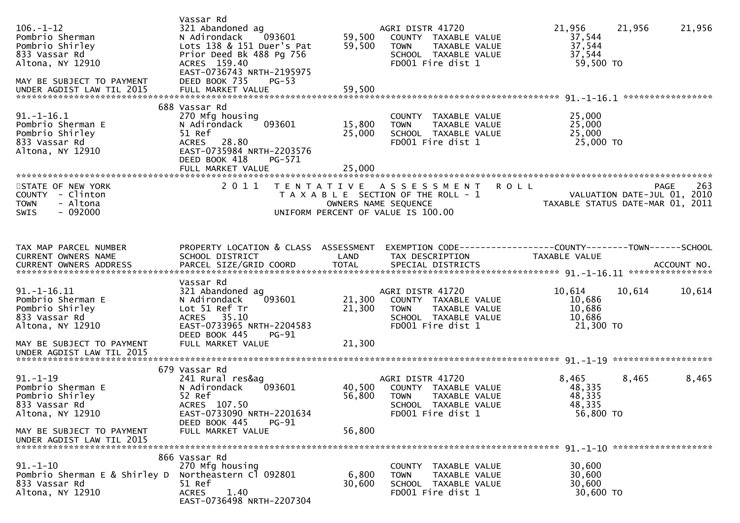| $106. - 1 - 12$<br>Pombrio Sherman<br>Pombrio Shirley<br>833 Vassar Rd<br>Altona, NY 12910<br>MAY BE SUBJECT TO PAYMENT<br>UNDER AGDIST LAW TIL 2015  | Vassar Rd<br>321 Abandoned ag<br>N Adirondack<br>093601<br>Lots 138 & 151 Duer's Pat<br>Prior Deed Bk 488 Pg 756<br>ACRES 159.40<br>EAST-0736743 NRTH-2195975<br>DEED BOOK 735<br>$PG-53$<br>FULL MARKET VALUE | 59,500<br>59,500<br>59,500 | AGRI DISTR 41720<br>COUNTY TAXABLE VALUE<br>TAXABLE VALUE<br><b>TOWN</b><br>SCHOOL TAXABLE VALUE<br>FD001 Fire dist 1        | 21,956<br>37,544<br>37,544<br>37,544<br>59,500 TO | 21,956<br>21,956                                                                      |
|-------------------------------------------------------------------------------------------------------------------------------------------------------|----------------------------------------------------------------------------------------------------------------------------------------------------------------------------------------------------------------|----------------------------|------------------------------------------------------------------------------------------------------------------------------|---------------------------------------------------|---------------------------------------------------------------------------------------|
| $91. - 1 - 16.1$<br>Pombrio Sherman E<br>Pombrio Shirley<br>833 Vassar Rd<br>Altona, NY 12910                                                         | 688 Vassar Rd<br>270 Mfg housing<br>093601<br>N Adirondack<br>51 Ref<br>28.80<br><b>ACRES</b><br>EAST-0735984 NRTH-2203576<br>DEED BOOK 418<br>PG-571<br>FULL MARKET VALUE                                     | 15,800<br>25,000<br>25,000 | COUNTY TAXABLE VALUE<br>TAXABLE VALUE<br><b>TOWN</b><br>SCHOOL TAXABLE VALUE<br>FD001 Fire dist 1                            | 25,000<br>25,000<br>25,000<br>25,000 TO           |                                                                                       |
| STATE OF NEW YORK<br>COUNTY - Clinton<br>- Altona<br><b>TOWN</b><br>$-092000$<br>SWIS                                                                 | 2011                                                                                                                                                                                                           |                            | TENTATIVE ASSESSMENT<br>T A X A B L E SECTION OF THE ROLL - 1<br>OWNERS NAME SEQUENCE<br>UNIFORM PERCENT OF VALUE IS 100.00  | <b>ROLL</b>                                       | 263<br><b>PAGE</b><br>VALUATION DATE-JUL 01, 2010<br>TAXABLE STATUS DATE-MAR 01, 2011 |
| TAX MAP PARCEL NUMBER<br>CURRENT OWNERS NAME                                                                                                          | PROPERTY LOCATION & CLASS ASSESSMENT<br>SCHOOL DISTRICT                                                                                                                                                        | LAND                       | EXEMPTION CODE------------------COUNTY--------TOWN------SCHOOL<br>TAX DESCRIPTION                                            | <b>TAXABLE VALUE</b>                              |                                                                                       |
| $91. -1 - 16.11$<br>Pombrio Sherman E<br>Pombrio Shirley<br>833 Vassar Rd<br>Altona, NY 12910<br>MAY BE SUBJECT TO PAYMENT                            | Vassar Rd<br>321 Abandoned ag<br>093601<br>N Adirondack<br>Lot 51 Ref Tr<br>ACRES 35.10<br>EAST-0733965 NRTH-2204583<br>DEED BOOK 445<br><b>PG-91</b><br>FULL MARKET VALUE                                     | 21,300<br>21,300<br>21,300 | AGRI DISTR 41720<br>COUNTY TAXABLE VALUE<br>TAXABLE VALUE<br><b>TOWN</b><br>SCHOOL TAXABLE VALUE<br>FD001 Fire dist 1        | 10,614<br>10,686<br>10,686<br>10,686<br>21,300 TO | 10,614<br>10,614                                                                      |
| UNDER AGDIST LAW TIL 2015                                                                                                                             |                                                                                                                                                                                                                |                            |                                                                                                                              |                                                   |                                                                                       |
| $91. - 1 - 19$<br>Pombrio Sherman E<br>Pombrio Shirley<br>833 Vassar Rd<br>Altona, NY 12910<br>MAY BE SUBJECT TO PAYMENT<br>UNDER AGDIST LAW TIL 2015 | 679 Vassar Rd<br>241 Rural res&ag<br>N Adirondack<br>093601<br>52 Ref<br>ACRES 107.50<br>EAST-0733090 NRTH-2201634<br>DEED BOOK 445<br><b>PG-91</b><br>FULL MARKET VALUE                                       | 40,500<br>56,800<br>56,800 | AGRI DISTR 41720<br>COUNTY TAXABLE VALUE<br><b>TOWN</b><br><b>TAXABLE VALUE</b><br>SCHOOL TAXABLE VALUE<br>FD001 Fire dist 1 | 8,465<br>48,335<br>48,335<br>48,335<br>56,800 TO  | 8,465<br>8,465                                                                        |
| $91.-1-10$<br>Pombrio Sherman E & Shirley D<br>833 Vassar Rd<br>Altona, NY 12910                                                                      | 866 Vassar Rd<br>270 Mfg housing<br>Northeastern C1 092801<br>51 Ref<br><b>ACRES</b><br>1.40<br>EAST-0736498 NRTH-2207304                                                                                      | 6,800<br>30,600            | COUNTY TAXABLE VALUE<br>TAXABLE VALUE<br><b>TOWN</b><br>SCHOOL TAXABLE VALUE<br>FD001 Fire dist 1                            | 30,600<br>30,600<br>30,600<br>30,600 TO           |                                                                                       |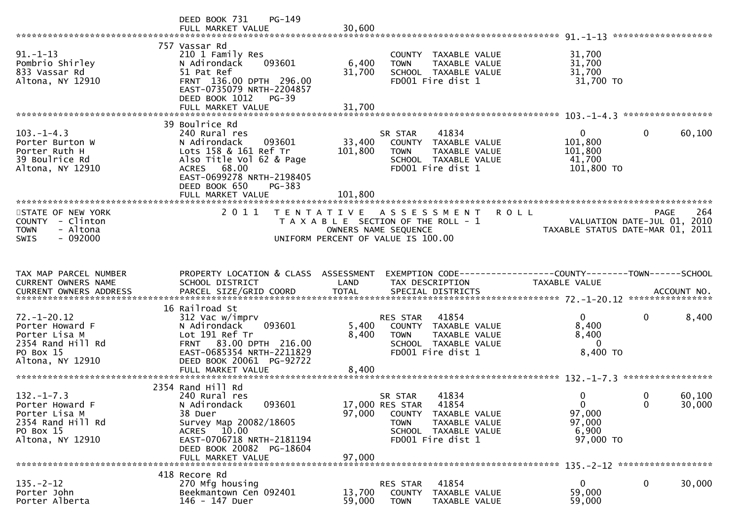|                                                                                                             | DEED BOOK 731<br>$PG-149$<br>FULL MARKET VALUE                                                                                                                                                 | 30,600                  |                                                                                                                                                   |                                                                 |                                            |
|-------------------------------------------------------------------------------------------------------------|------------------------------------------------------------------------------------------------------------------------------------------------------------------------------------------------|-------------------------|---------------------------------------------------------------------------------------------------------------------------------------------------|-----------------------------------------------------------------|--------------------------------------------|
|                                                                                                             |                                                                                                                                                                                                |                         |                                                                                                                                                   |                                                                 |                                            |
| $91. - 1 - 13$<br>Pombrio Shirley<br>833 Vassar Rd<br>Altona, NY 12910                                      | 757 Vassar Rd<br>210 1 Family Res<br>093601<br>N Adirondack<br>51 Pat Ref<br>FRNT 136.00 DPTH 296.00<br>EAST-0735079 NRTH-2204857<br>DEED BOOK 1012<br><b>PG-39</b>                            | 6,400<br>31,700         | COUNTY TAXABLE VALUE<br><b>TOWN</b><br>TAXABLE VALUE<br>SCHOOL TAXABLE VALUE<br>FD001 Fire dist 1                                                 | 31,700<br>31,700<br>31,700<br>31,700 TO                         |                                            |
|                                                                                                             | FULL MARKET VALUE                                                                                                                                                                              | 31,700                  |                                                                                                                                                   |                                                                 |                                            |
|                                                                                                             | 39 Boulrice Rd                                                                                                                                                                                 |                         |                                                                                                                                                   |                                                                 |                                            |
| $103. -1 - 4.3$<br>Porter Burton W<br>Porter Ruth H<br>39 Boulrice Rd<br>Altona, NY 12910                   | 240 Rural res<br>N Adirondack<br>093601<br>Lots 158 & 161 Ref Tr<br>Also Title Vol 62 & Page<br>ACRES 68.00<br>EAST-0699278 NRTH-2198405<br>DEED BOOK 650<br>PG-383                            | 33,400<br>101,800       | 41834<br>SR STAR<br>COUNTY TAXABLE VALUE<br><b>TOWN</b><br>TAXABLE VALUE<br>SCHOOL TAXABLE VALUE<br>FD001 Fire dist 1                             | $\overline{0}$<br>101,800<br>101,800<br>41,700<br>101,800 TO    | $\mathbf{0}$<br>60,100                     |
|                                                                                                             | FULL MARKET VALUE                                                                                                                                                                              | 101,800                 |                                                                                                                                                   |                                                                 |                                            |
| STATE OF NEW YORK<br>COUNTY - Clinton<br>- Altona<br><b>TOWN</b><br>$-092000$<br><b>SWIS</b>                | 2011                                                                                                                                                                                           |                         | <b>ROLL</b><br>TENTATIVE ASSESSMENT<br>T A X A B L E SECTION OF THE ROLL - 1<br>OWNERS NAME SEQUENCE<br>UNIFORM PERCENT OF VALUE IS 100.00        | VALUATION DATE-JUL 01, 2010<br>TAXABLE STATUS DATE-MAR 01, 2011 | 264<br>PAGE<br>VALUATION DATE-JUL 01, 2010 |
|                                                                                                             |                                                                                                                                                                                                |                         |                                                                                                                                                   |                                                                 |                                            |
| TAX MAP PARCEL NUMBER<br>CURRENT OWNERS NAME                                                                | PROPERTY LOCATION & CLASS ASSESSMENT<br>SCHOOL DISTRICT                                                                                                                                        | LAND                    | EXEMPTION CODE-----------------COUNTY-------TOWN------SCHOOL<br>TAX DESCRIPTION                                                                   | TAXABLE VALUE                                                   |                                            |
|                                                                                                             | 16 Railroad St                                                                                                                                                                                 |                         |                                                                                                                                                   |                                                                 |                                            |
| $72. - 1 - 20.12$<br>Porter Howard F<br>Porter Lisa M<br>2354 Rand Hill Rd<br>PO Box 15<br>Altona, NY 12910 | 312 Vac w/imprv<br>093601<br>N Adirondack<br>Lot 191 Ref Tr<br>FRNT 83.00 DPTH 216.00<br>EAST-0685354 NRTH-2211829<br>DEED BOOK 20061 PG-92722<br>FULL MARKET VALUE                            | 5,400<br>8,400<br>8,400 | 41854<br>RES STAR<br>COUNTY TAXABLE VALUE<br><b>TOWN</b><br>TAXABLE VALUE<br>SCHOOL TAXABLE VALUE<br>FD001 Fire dist 1                            | 0<br>8,400<br>8,400<br>- 0<br>8,400 TO                          | $\mathbf 0$<br>8,400                       |
|                                                                                                             |                                                                                                                                                                                                |                         |                                                                                                                                                   |                                                                 |                                            |
| $132. - 1 - 7.3$<br>Porter Howard F<br>Porter Lisa M<br>2354 Rand Hill Rd<br>PO Box 15<br>Altona, NY 12910  | 2354 Rand Hill Rd<br>240 Rural res<br>N Adirondack<br>093601<br>38 Duer<br>Survey Map 20082/18605<br>ACRES 10.00<br>EAST-0706718 NRTH-2181194<br>DEED BOOK 20082 PG-18604<br>FULL MARKET VALUE | 97,000<br>97,000        | 41834<br>SR STAR<br>17,000 RES STAR<br>41854<br>COUNTY TAXABLE VALUE<br><b>TOWN</b><br>TAXABLE VALUE<br>SCHOOL TAXABLE VALUE<br>FD001 Fire dist 1 | 0<br>$\Omega$<br>97,000<br>97,000<br>6,900<br>97,000 TO         | 60,100<br>0<br>$\Omega$<br>30,000          |
|                                                                                                             |                                                                                                                                                                                                |                         |                                                                                                                                                   |                                                                 |                                            |
| $135. - 2 - 12$<br>Porter John<br>Porter Alberta                                                            | 418 Recore Rd<br>270 Mfg housing<br>Beekmantown Cen 092401<br>146 - 147 Duer                                                                                                                   | 13,700<br>59,000        | 41854<br>RES STAR<br><b>COUNTY</b><br>TAXABLE VALUE<br><b>TOWN</b><br>TAXABLE VALUE                                                               | 0<br>59,000<br>59,000                                           | 0<br>30,000                                |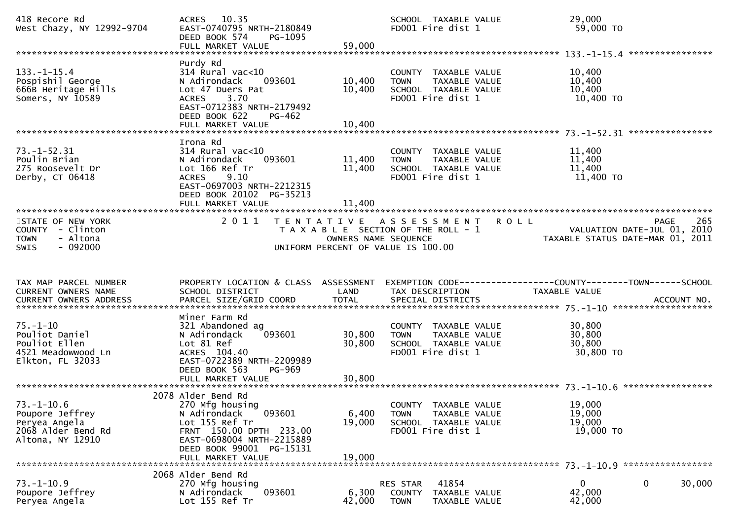| 418 Recore Rd<br>West Chazy, NY 12992-9704                                                     | ACRES 10.35<br>EAST-0740795 NRTH-2180849<br>DEED BOOK 574<br>PG-1095<br>FULL MARKET VALUE                                                                                                  | 59,000                                    | SCHOOL TAXABLE VALUE<br>FD001 Fire dist 1                                                                         | 29,000<br>59,000 TO                                             |                    |
|------------------------------------------------------------------------------------------------|--------------------------------------------------------------------------------------------------------------------------------------------------------------------------------------------|-------------------------------------------|-------------------------------------------------------------------------------------------------------------------|-----------------------------------------------------------------|--------------------|
| $133. - 1 - 15.4$<br>Pospishil George<br>666B Heritage Hills<br>Somers, NY 10589               | Purdy Rd<br>314 Rural vac<10<br>N Adirondack<br>093601<br>Lot 47 Duers Pat<br>3.70<br><b>ACRES</b><br>EAST-0712383 NRTH-2179492<br>DEED BOOK 622<br>PG-462<br>FULL MARKET VALUE            | 10,400<br>10,400<br>10,400                | COUNTY TAXABLE VALUE<br>TAXABLE VALUE<br><b>TOWN</b><br>SCHOOL TAXABLE VALUE<br>FD001 Fire dist 1                 | 10,400<br>10,400<br>10,400<br>10,400 TO                         |                    |
| $73. - 1 - 52.31$<br>Poulin Brian<br>275 Roosevelt Dr<br>Derby, CT 06418                       | Irona Rd<br>$314$ Rural vac<10<br>N Adirondack<br>093601<br>Lot 166 Ref Tr<br>9.10<br><b>ACRES</b><br>EAST-0697003 NRTH-2212315<br>DEED BOOK 20102 PG-35213<br>FULL MARKET VALUE           | 11,400<br>11,400<br>11,400                | COUNTY TAXABLE VALUE<br>TAXABLE VALUE<br><b>TOWN</b><br>SCHOOL TAXABLE VALUE<br>FD001 Fire dist 1                 | 11,400<br>11,400<br>11,400<br>11,400 TO                         |                    |
| STATE OF NEW YORK<br>COUNTY - Clinton<br>- Altona<br><b>TOWN</b><br>$-092000$<br><b>SWIS</b>   | 2 0 1 1                                                                                                                                                                                    | T E N T A T I V E<br>OWNERS NAME SEQUENCE | A S S E S S M E N T<br><b>ROLL</b><br>T A X A B L E SECTION OF THE ROLL - 1<br>UNIFORM PERCENT OF VALUE IS 100.00 | VALUATION DATE-JUL 01, 2010<br>TAXABLE STATUS DATE-MAR 01, 2011 | <b>PAGE</b><br>265 |
| TAX MAP PARCEL NUMBER<br><b>CURRENT OWNERS NAME</b><br>CURRENT OWNERS ADDRESS                  | PROPERTY LOCATION & CLASS ASSESSMENT<br>SCHOOL DISTRICT<br>PARCEL SIZE/GRID COORD                                                                                                          | LAND<br><b>TOTAL</b>                      | TAX DESCRIPTION<br>SPECIAL DISTRICTS                                                                              | TAXABLE VALUE                                                   | ACCOUNT NO.        |
| $75. - 1 - 10$<br>Pouliot Daniel<br>Pouliot Ellen<br>4521 Meadowwood Ln<br>Elkton, FL 32033    | Miner Farm Rd<br>321 Abandoned ag<br>093601<br>N Adirondack<br>Lot 81 Ref<br>ACRES 104.40<br>EAST-0722389 NRTH-2209989<br>DEED BOOK 563<br><b>PG-969</b><br>FULL MARKET VALUE              | 30,800<br>30,800<br>30,800                | COUNTY TAXABLE VALUE<br>TAXABLE VALUE<br><b>TOWN</b><br>SCHOOL TAXABLE VALUE<br>FD001 Fire dist 1                 | 30,800<br>30,800<br>30,800<br>30,800 TO                         |                    |
|                                                                                                |                                                                                                                                                                                            |                                           |                                                                                                                   |                                                                 |                    |
| $73. - 1 - 10.6$<br>Poupore Jeffrey<br>Peryea Angela<br>2068 Alder Bend Rd<br>Altona, NY 12910 | 2078 Alder Bend Rd<br>270 Mfg housing<br>093601<br>N Adirondack<br>Lot 155 Ref Tr<br>FRNT 150.00 DPTH 233.00<br>EAST-0698004 NRTH-2215889<br>DEED BOOK 99001 PG-15131<br>FULL MARKET VALUE | 6,400<br>19,000<br>19,000                 | COUNTY TAXABLE VALUE<br><b>TOWN</b><br>TAXABLE VALUE<br>SCHOOL TAXABLE VALUE<br>FD001 Fire dist 1                 | 19,000<br>19,000<br>19,000<br>19,000 TO                         |                    |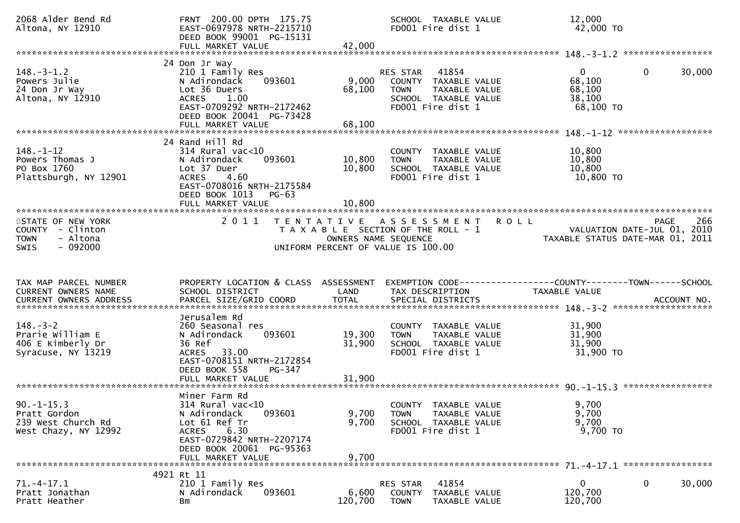| 2068 Alder Bend Rd<br>Altona, NY 12910                                                       | FRNT 200.00 DPTH 175.75<br>EAST-0697978 NRTH-2215710<br>DEED BOOK 99001 PG-15131<br>FULL MARKET VALUE                                                                             | 42,000                    | SCHOOL TAXABLE VALUE<br>FD001 Fire dist 1                                                                              | 12,000<br>42,000 TO                                                                            |                    |
|----------------------------------------------------------------------------------------------|-----------------------------------------------------------------------------------------------------------------------------------------------------------------------------------|---------------------------|------------------------------------------------------------------------------------------------------------------------|------------------------------------------------------------------------------------------------|--------------------|
|                                                                                              |                                                                                                                                                                                   |                           |                                                                                                                        |                                                                                                |                    |
| $148.-3-1.2$<br>Powers Julie<br>24 Don Jr Way<br>Altona, NY 12910                            | 24 Don Jr Way<br>210 1 Family Res<br>N Adirondack<br>093601<br>Lot 36 Duers<br><b>ACRES</b><br>1.00<br>EAST-0709292 NRTH-2172462<br>DEED BOOK 20041 PG-73428<br>FULL MARKET VALUE | 9,000<br>68,100<br>68,100 | 41854<br>RES STAR<br>COUNTY TAXABLE VALUE<br><b>TOWN</b><br>TAXABLE VALUE<br>SCHOOL TAXABLE VALUE<br>FD001 Fire dist 1 | $\overline{0}$<br>$\mathbf{0}$<br>68,100<br>68,100<br>38,100<br>$68,100$ TO                    | 30,000             |
|                                                                                              |                                                                                                                                                                                   |                           |                                                                                                                        |                                                                                                |                    |
| $148. - 1 - 12$<br>Powers Thomas J<br>PO Box 1760<br>Plattsburgh, NY 12901                   | 24 Rand Hill Rd<br>$314$ Rural vac<10<br>093601<br>N Adirondack<br>Lot 37 Duer<br><b>ACRES</b><br>4.60<br>EAST-0708016 NRTH-2175584<br>DEED BOOK 1013<br>PG-63                    | 10,800<br>10,800          | COUNTY TAXABLE VALUE<br>TAXABLE VALUE<br><b>TOWN</b><br>SCHOOL TAXABLE VALUE<br>FD001 Fire dist 1                      | 10,800<br>10,800<br>10,800<br>10,800 TO                                                        |                    |
|                                                                                              | FULL MARKET VALUE                                                                                                                                                                 | 10,800                    |                                                                                                                        |                                                                                                |                    |
| STATE OF NEW YORK<br>COUNTY - Clinton<br>- Altona<br><b>TOWN</b><br>$-092000$<br><b>SWIS</b> | 2011                                                                                                                                                                              | OWNERS NAME SEQUENCE      | TENTATIVE ASSESSMENT ROLL<br>T A X A B L E SECTION OF THE ROLL - 1<br>UNIFORM PERCENT OF VALUE IS 100.00               | VALUATION DATE-JUL 01, 2010<br>VALUATION DATE-JUL 01, 2010<br>TAXABLE STATUS DATE-MAR 01, 2011 | 266<br><b>PAGE</b> |
|                                                                                              |                                                                                                                                                                                   |                           |                                                                                                                        |                                                                                                |                    |
| TAX MAP PARCEL NUMBER<br>CURRENT OWNERS NAME                                                 | PROPERTY LOCATION & CLASS ASSESSMENT<br>SCHOOL DISTRICT                                                                                                                           | LAND                      | EXEMPTION CODE-----------------COUNTY-------TOWN------SCHOOL<br>TAX DESCRIPTION                                        | TAXABLE VALUE                                                                                  |                    |
| $148. - 3 - 2$<br>Prarie William E<br>406 E Kimberly Dr<br>Syracuse, NY 13219                | Jerusalem Rd<br>260 Seasonal res<br>N Adirondack<br>093601<br>36 Ref<br>33.00<br>ACRES<br>EAST-0708151 NRTH-2172854<br>DEED BOOK 558<br>PG-347                                    | 19,300<br>31,900          | COUNTY TAXABLE VALUE<br>TAXABLE VALUE<br><b>TOWN</b><br>SCHOOL TAXABLE VALUE<br>FD001 Fire dist 1                      | 31,900<br>31,900<br>31,900<br>31,900 TO                                                        |                    |
|                                                                                              | FULL MARKET VALUE                                                                                                                                                                 | 31,900                    |                                                                                                                        |                                                                                                |                    |
| $90. -1 - 15.3$<br>Pratt Gordon<br>239 West Church Rd<br>West Chazy, NY 12992                | Miner Farm Rd<br>$314$ Rural vac<10<br>N Adirondack<br>093601<br>Lot 61 Ref Tr<br>6.30<br>ACRES<br>EAST-0729842 NRTH-2207174<br>DEED BOOK 20061 PG-95363                          | 9,700<br>9,700            | COUNTY TAXABLE VALUE<br>TAXABLE VALUE<br><b>TOWN</b><br>SCHOOL TAXABLE VALUE<br>FD001 Fire dist 1                      | 9,700<br>9,700<br>9,700<br>9,700 TO                                                            |                    |
|                                                                                              | FULL MARKET VALUE                                                                                                                                                                 | 9,700                     |                                                                                                                        |                                                                                                |                    |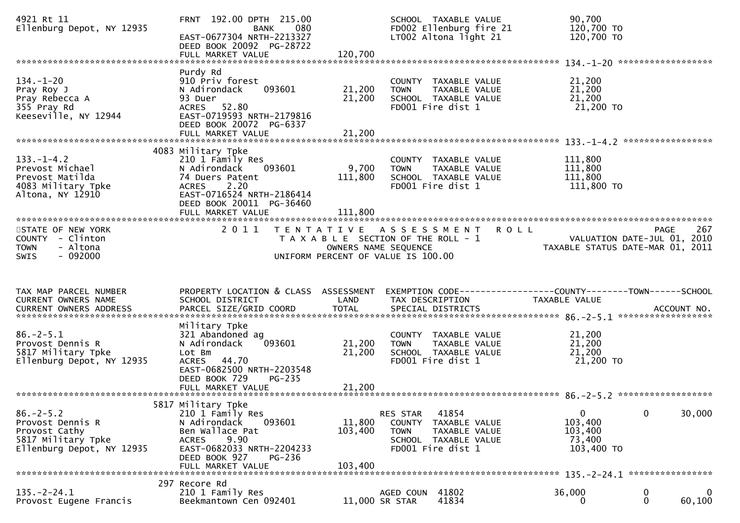| 4921 Rt 11<br>Ellenburg Depot, NY 12935                                                          | FRNT 192.00 DPTH 215.00<br>080<br>BANK<br>EAST-0677304 NRTH-2213327<br>DEED BOOK 20092 PG-28722<br>FULL MARKET VALUE                                                                      | 120,700                      | SCHOOL TAXABLE VALUE<br>FD002 Ellenburg fire 21<br>LT002 Altona light 21                                 | 90,700<br>120,700 TO<br>120,700 TO                                            |             |        |
|--------------------------------------------------------------------------------------------------|-------------------------------------------------------------------------------------------------------------------------------------------------------------------------------------------|------------------------------|----------------------------------------------------------------------------------------------------------|-------------------------------------------------------------------------------|-------------|--------|
| $134. - 1 - 20$<br>Pray Roy J<br>Pray Rebecca A<br>355 Pray Rd<br>Keeseville, NY 12944           | Purdy Rd<br>910 Priv forest<br>093601<br>N Adirondack<br>93 Duer<br>ACRES 52.80<br>EAST-0719593 NRTH-2179816<br>DEED BOOK 20072 PG-6337<br>FULL MARKET VALUE                              | 21,200<br>21,200<br>21,200   | COUNTY TAXABLE VALUE<br>TAXABLE VALUE<br><b>TOWN</b><br>SCHOOL TAXABLE VALUE<br>FD001 Fire dist 1        | 21,200<br>21,200<br>21,200<br>21,200 TO                                       |             |        |
| $133. - 1 - 4.2$<br>Prevost Michael<br>Prevost Matilda<br>4083 Military Tpke<br>Altona, NY 12910 | 4083 Military Tpke<br>210 1 Family Res<br>093601<br>N Adirondack<br>74 Duers Patent<br>2.20<br><b>ACRES</b><br>EAST-0716524 NRTH-2186414<br>DEED BOOK 20011 PG-36460<br>FULL MARKET VALUE | 9,700<br>111,800<br>111,800  | COUNTY TAXABLE VALUE<br>TAXABLE VALUE<br><b>TOWN</b><br>SCHOOL TAXABLE VALUE<br>FD001 Fire dist 1        | 111,800<br>111,800<br>111,800<br>111,800 TO                                   |             |        |
| STATE OF NEW YORK<br>COUNTY - Clinton<br><b>TOWN</b><br>- Altona<br>$-092000$<br><b>SWIS</b>     | 2011                                                                                                                                                                                      | OWNERS NAME SEQUENCE         | TENTATIVE ASSESSMENT ROLL<br>T A X A B L E SECTION OF THE ROLL - 1<br>UNIFORM PERCENT OF VALUE IS 100.00 | VALUATION DATE-JUL 01, 2010<br>TAXABLE STATUS DATE-MAR 01, 2011               | <b>PAGE</b> | 267    |
| TAX MAP PARCEL NUMBER<br>CURRENT OWNERS NAME                                                     | PROPERTY LOCATION & CLASS ASSESSMENT<br>SCHOOL DISTRICT                                                                                                                                   | LAND                         | TAX DESCRIPTION                                                                                          | EXEMPTION CODE-----------------COUNTY-------TOWN------SCHOOL<br>TAXABLE VALUE |             |        |
| $86. - 2 - 5.1$<br>Provost Dennis R<br>5817 Military Tpke<br>Ellenburg Depot, NY 12935           | Military Tpke<br>321 Abandoned ag<br>N Adirondack<br>093601<br>Lot Bm<br>ACRES 44.70<br>EAST-0682500 NRTH-2203548<br>DEED BOOK 729<br>PG-235                                              | 21,200<br>21,200             | COUNTY TAXABLE VALUE<br>TAXABLE VALUE<br><b>TOWN</b><br>SCHOOL TAXABLE VALUE<br>FD001 Fire dist 1        | 21,200<br>21,200<br>21,200<br>21,200 TO                                       |             |        |
| $86. - 2 - 5.2$<br>Provost Dennis R<br>Provost Cathy                                             | 5817 Military Tpke<br>210 1 Family Res                                                                                                                                                    |                              | RES STAR<br>41854<br>COUNTY<br>TAXABLE VALUE                                                             | $\mathbf{0}$<br>103,400                                                       | $\mathbf 0$ | 30,000 |
| 5817 Military Tpke<br>Ellenburg Depot, NY 12935                                                  | N Adirondack<br>093601<br>Ben Wallace Pat<br>9.90<br><b>ACRES</b><br>EAST-0682033 NRTH-2204233<br>DEED BOOK 927<br>PG-236<br>FULL MARKET VALUE                                            | 11,800<br>103,400<br>103,400 | <b>TOWN</b><br>TAXABLE VALUE<br>SCHOOL TAXABLE VALUE<br>FD001 Fire dist 1                                | 103,400<br>73,400<br>103,400 TO                                               |             |        |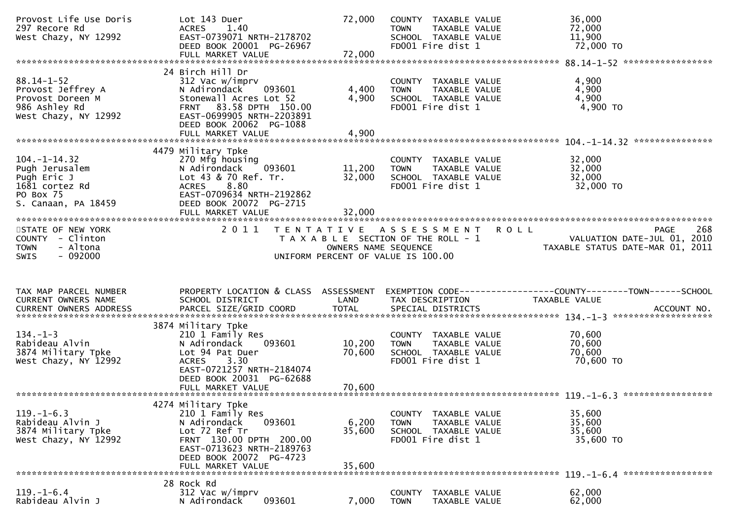| Provost Life Use Doris<br>297 Recore Rd<br>West Chazy, NY 12992                                           | Lot 143 Duer<br>ACRES 1.40<br>EAST-0739071 NRTH-2178702<br>DEED BOOK 20001 PG-26967<br>FULL MARKET VALUE                                                                                       | 72,000<br>72,000           | COUNTY TAXABLE VALUE<br>TAXABLE VALUE<br><b>TOWN</b><br>SCHOOL TAXABLE VALUE<br>FD001 Fire dist 1 | 36,000<br>72,000<br>11,900<br>72,000 TO                                                                                  |     |
|-----------------------------------------------------------------------------------------------------------|------------------------------------------------------------------------------------------------------------------------------------------------------------------------------------------------|----------------------------|---------------------------------------------------------------------------------------------------|--------------------------------------------------------------------------------------------------------------------------|-----|
|                                                                                                           |                                                                                                                                                                                                |                            |                                                                                                   |                                                                                                                          |     |
| $88.14 - 1 - 52$<br>Provost Jeffrey A<br>Provost Doreen M<br>986 Ashley Rd<br>West Chazy, NY 12992        | 24 Birch Hill Dr<br>312 Vac w/imprv<br>093601<br>N Adirondack<br>Stonewall Acres Lot 52<br>FRNT 83.58 DPTH 150.00<br>EAST-0699905 NRTH-2203891<br>DEED BOOK 20062 PG-1088<br>FULL MARKET VALUE | 4,400<br>4,900<br>4,900    | COUNTY TAXABLE VALUE<br><b>TOWN</b><br>TAXABLE VALUE<br>SCHOOL TAXABLE VALUE<br>FD001 Fire dist 1 | 4,900<br>4,900<br>4,900<br>4,900 TO                                                                                      |     |
|                                                                                                           |                                                                                                                                                                                                |                            |                                                                                                   |                                                                                                                          |     |
| $104. - 1 - 14.32$<br>Pugh Jerusalem<br>Pugh Eric J<br>1681 cortez Rd<br>PO Box 75<br>S. Canaan, PA 18459 | 4479 Military Tpke<br>270 Mfg housing<br>093601<br>N Adirondack<br>Lot 43 & 70 Ref. Tr.<br>8.80<br><b>ACRES</b><br>EAST-0709634 NRTH-2192862<br>DEED BOOK 20072 PG-2715<br>FULL MARKET VALUE   | 11,200<br>32,000<br>32,000 | COUNTY TAXABLE VALUE<br><b>TOWN</b><br>TAXABLE VALUE<br>SCHOOL TAXABLE VALUE<br>FD001 Fire dist 1 | 32,000<br>32,000<br>32,000<br>32,000 TO                                                                                  |     |
| STATE OF NEW YORK<br>COUNTY - Clinton<br>- Altona<br><b>TOWN</b>                                          | 2 0 1 1                                                                                                                                                                                        | OWNERS NAME SEQUENCE       | TENTATIVE ASSESSMENT<br><b>ROLL</b><br>T A X A B L E SECTION OF THE ROLL - 1                      | <b>PAGE</b><br>VALUATION DATE-JUL 01, 2010<br>TAXABLE STATUS DATE-MAR 01, 2011                                           | 268 |
| $-092000$<br>SWIS                                                                                         |                                                                                                                                                                                                |                            | UNIFORM PERCENT OF VALUE IS 100.00                                                                |                                                                                                                          |     |
|                                                                                                           |                                                                                                                                                                                                |                            |                                                                                                   |                                                                                                                          |     |
| TAX MAP PARCEL NUMBER<br>CURRENT OWNERS NAME                                                              | SCHOOL DISTRICT                                                                                                                                                                                | LAND                       | TAX DESCRIPTION                                                                                   | PROPERTY LOCATION & CLASS ASSESSMENT EXEMPTION CODE----------------COUNTY-------TOWN------SCHOOL<br><b>TAXABLE VALUE</b> |     |
|                                                                                                           |                                                                                                                                                                                                |                            |                                                                                                   |                                                                                                                          |     |
| $134. - 1 - 3$<br>Rabideau Alvin<br>3874 Military Tpke<br>West Chazy, NY 12992                            | 3874 Military Tpke<br>210 1 Family Res<br>093601<br>N Adirondack<br>Lot 94 Pat Duer<br>ACRES 3.30<br>EAST-0721257 NRTH-2184074<br>DEED BOOK 20031 PG-62688                                     | 10,200<br>70,600           | COUNTY TAXABLE VALUE<br><b>TOWN</b><br>TAXABLE VALUE<br>SCHOOL TAXABLE VALUE<br>FD001 Fire dist 1 | 70,600<br>70,600<br>70,600<br>70,600 TO                                                                                  |     |
|                                                                                                           |                                                                                                                                                                                                |                            |                                                                                                   |                                                                                                                          |     |
| $119. - 1 - 6.3$<br>Rabideau Alvin J<br>3874 Military Tpke<br>West Chazy, NY 12992                        | 4274 Military Tpke<br>210 1 Family Res<br>N Adirondack<br>093601<br>Lot 72 Ref Tr<br>FRNT 130.00 DPTH 200.00<br>EAST-0713623 NRTH-2189763<br>DEED BOOK 20072 PG-4723                           | 6,200<br>35,600            | COUNTY TAXABLE VALUE<br><b>TOWN</b><br>TAXABLE VALUE<br>SCHOOL TAXABLE VALUE<br>FD001 Fire dist 1 | 35,600<br>35,600<br>35,600<br>35,600 TO                                                                                  |     |
|                                                                                                           | FULL MARKET VALUE                                                                                                                                                                              | 35,600                     |                                                                                                   |                                                                                                                          |     |
| $119. - 1 - 6.4$                                                                                          | 28 Rock Rd<br>312 Vac w/imprv                                                                                                                                                                  |                            |                                                                                                   | 62,000                                                                                                                   |     |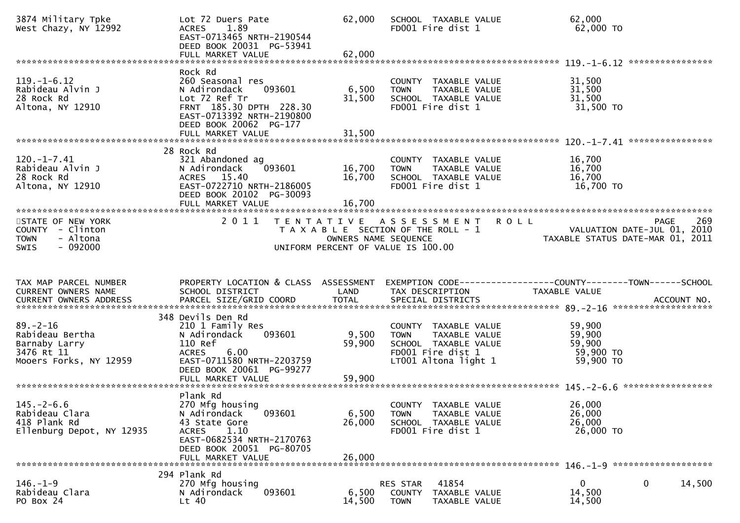| 3874 Military Tpke<br>West Chazy, NY 12992                                                 | Lot 72 Duers Pate<br>1.89<br><b>ACRES</b><br>EAST-0713465 NRTH-2190544<br>DEED BOOK 20031 PG-53941<br>FULL MARKET VALUE                                                       | 62,000<br>62,000           | SCHOOL TAXABLE VALUE<br>FD001 Fire dist 1                                                                                 | 62,000<br>62,000 TO                                                                                               |     |
|--------------------------------------------------------------------------------------------|-------------------------------------------------------------------------------------------------------------------------------------------------------------------------------|----------------------------|---------------------------------------------------------------------------------------------------------------------------|-------------------------------------------------------------------------------------------------------------------|-----|
|                                                                                            |                                                                                                                                                                               |                            |                                                                                                                           |                                                                                                                   |     |
| $119. - 1 - 6.12$<br>Rabideau Alvin J<br>28 Rock Rd<br>Altona, NY 12910                    | Rock Rd<br>260 Seasonal res<br>093601<br>N Adirondack<br>Lot 72 Ref Tr<br>FRNT 185.30 DPTH 228.30<br>EAST-0713392 NRTH-2190800<br>DEED BOOK 20062 PG-177<br>FULL MARKET VALUE | 6,500<br>31,500<br>31,500  | COUNTY TAXABLE VALUE<br>TAXABLE VALUE<br><b>TOWN</b><br>SCHOOL TAXABLE VALUE<br>FD001 Fire dist 1                         | 31,500<br>31,500<br>31,500<br>31,500 TO                                                                           |     |
|                                                                                            |                                                                                                                                                                               |                            |                                                                                                                           |                                                                                                                   |     |
| $120. -1 - 7.41$<br>Rabideau Alvin J<br>28 Rock Rd<br>Altona, NY 12910                     | 28 Rock Rd<br>321 Abandoned ag<br>093601<br>N Adirondack<br>ACRES 15.40<br>EAST-0722710 NRTH-2186005<br>DEED BOOK 20102 PG-30093<br>FULL MARKET VALUE                         | 16,700<br>16,700<br>16,700 | COUNTY TAXABLE VALUE<br>TAXABLE VALUE<br><b>TOWN</b><br>SCHOOL TAXABLE VALUE<br>FD001 Fire dist 1                         | 16,700<br>16,700<br>16,700<br>16,700 TO                                                                           |     |
| STATE OF NEW YORK                                                                          | 2011                                                                                                                                                                          |                            | <b>ROLL</b><br>TENTATIVE ASSESSMENT                                                                                       | <b>PAGE</b>                                                                                                       | 269 |
| COUNTY - Clinton<br>- Altona<br><b>TOWN</b><br>$-092000$<br><b>SWIS</b>                    |                                                                                                                                                                               |                            | T A X A B L E SECTION OF THE ROLL - 1<br>OWNERS NAME SEQUENCE<br>UNIFORM PERCENT OF VALUE IS 100.00                       | VALUATION DATE-JUL 01, 2010<br>TAXABLE STATUS DATE-MAR 01, 2011                                                   |     |
|                                                                                            |                                                                                                                                                                               |                            |                                                                                                                           |                                                                                                                   |     |
|                                                                                            |                                                                                                                                                                               |                            |                                                                                                                           |                                                                                                                   |     |
| TAX MAP PARCEL NUMBER<br>CURRENT OWNERS NAME<br>CURRENT OWNERS ADDRESS                     | SCHOOL DISTRICT                                                                                                                                                               | LAND                       | TAX DESCRIPTION                                                                                                           | PROPERTY LOCATION & CLASS ASSESSMENT EXEMPTION CODE----------------COUNTY-------TOWN------SCHOOL<br>TAXABLE VALUE |     |
|                                                                                            |                                                                                                                                                                               |                            |                                                                                                                           |                                                                                                                   |     |
| $89. - 2 - 16$<br>Rabideau Bertha<br>Barnaby Larry<br>3476 Rt 11<br>Mooers Forks, NY 12959 | 348 Devils Den Rd<br>210 1 Family Res<br>093601<br>N Adirondack<br>110 Ref<br>6.00<br><b>ACRES</b><br>EAST-0711580 NRTH-2203759<br>DEED BOOK 20061 PG-99277                   | 9,500<br>59,900            | COUNTY TAXABLE VALUE<br>TAXABLE VALUE<br><b>TOWN</b><br>SCHOOL TAXABLE VALUE<br>FD001 Fire dist 1<br>LT001 Altona light 1 | 59,900<br>59,900<br>59,900<br>59,900 TO<br>59,900 TO                                                              |     |
|                                                                                            | FULL MARKET VALUE                                                                                                                                                             | 59,900                     |                                                                                                                           |                                                                                                                   |     |
| $145. - 2 - 6.6$<br>Rabideau Clara<br>418 Plank Rd<br>Ellenburg Depot, NY 12935            | Plank Rd<br>270 Mfg housing<br>093601<br>N Adirondack<br>43 State Gore<br><b>ACRES</b><br>1.10<br>EAST-0682534 NRTH-2170763<br>DEED BOOK 20051 PG-80705<br>FULL MARKET VALUE  | 6,500<br>26,000<br>26,000  | COUNTY TAXABLE VALUE<br><b>TOWN</b><br>TAXABLE VALUE<br>SCHOOL TAXABLE VALUE<br>FD001 Fire dist 1                         | 26,000<br>26,000<br>26,000<br>26,000 TO                                                                           |     |
|                                                                                            | 294 Plank Rd                                                                                                                                                                  |                            |                                                                                                                           |                                                                                                                   |     |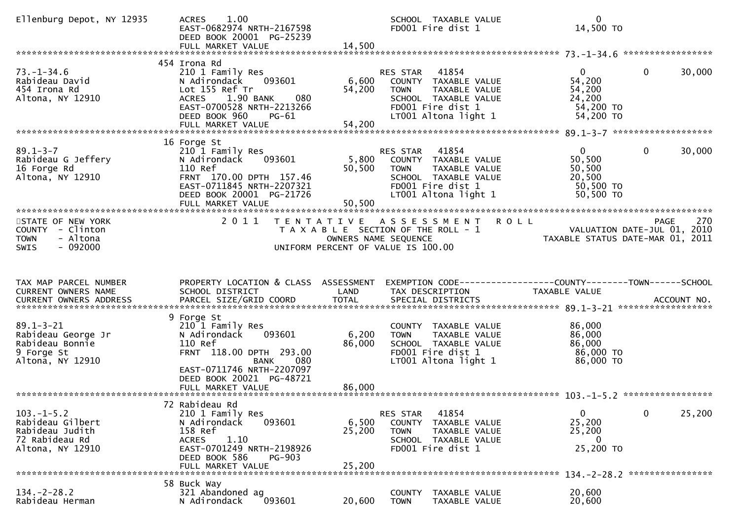| Ellenburg Depot, NY 12935                                                                    | 1.00<br><b>ACRES</b><br>EAST-0682974 NRTH-2167598<br>DEED BOOK 20001 PG-25239<br>FULL MARKET VALUE                                                                                             | 14,500                    | SCHOOL TAXABLE VALUE<br>FD001 Fire dist 1                                                                                                            | $\mathbf{0}$<br>14,500 TO                                                              |        |
|----------------------------------------------------------------------------------------------|------------------------------------------------------------------------------------------------------------------------------------------------------------------------------------------------|---------------------------|------------------------------------------------------------------------------------------------------------------------------------------------------|----------------------------------------------------------------------------------------|--------|
| $73. - 1 - 34.6$<br>Rabideau David<br>454 Irona Rd<br>Altona, NY 12910                       | 454 Irona Rd<br>210 1 Family Res<br>093601<br>N Adirondack<br>Lot 155 Ref Tr<br>080<br>1.90 BANK<br><b>ACRES</b><br>EAST-0700528 NRTH-2213266<br>DEED BOOK 960<br>$PG-61$<br>FULL MARKET VALUE | 6,600<br>54,200<br>54,200 | 41854<br>RES STAR<br>COUNTY TAXABLE VALUE<br><b>TOWN</b><br>TAXABLE VALUE<br>SCHOOL TAXABLE VALUE<br>FD001 Fire dist 1<br>LT001 Altona light 1       | $\mathbf{0}$<br>$\Omega$<br>54,200<br>54,200<br>24,200<br>54,200 TO<br>54,200 TO       | 30,000 |
| $89.1 - 3 - 7$<br>Rabideau G Jeffery<br>16 Forge Rd<br>Altona, NY 12910                      | 16 Forge St<br>210 1 Family Res<br>093601<br>N Adirondack<br>110 Ref<br>FRNT 170.00 DPTH 157.46<br>EAST-0711845 NRTH-2207321<br>DEED BOOK 20001 PG-21726<br>FULL MARKET VALUE                  | 50,500<br>50,500          | 41854<br>RES STAR<br>5,800 COUNTY TAXABLE VALUE<br>TAXABLE VALUE<br><b>TOWN</b><br>SCHOOL TAXABLE VALUE<br>FD001 Fire dist 1<br>LT001 Altona light 1 | $\overline{0}$<br>$\mathbf{0}$<br>50,500<br>50,500<br>20,500<br>50,500 TO<br>50,500 TO | 30,000 |
| STATE OF NEW YORK<br>COUNTY - Clinton<br>- Altona<br><b>TOWN</b><br>$-092000$<br><b>SWIS</b> | 2011                                                                                                                                                                                           | OWNERS NAME SEQUENCE      | TENTATIVE ASSESSMENT ROLL<br>T A X A B L E SECTION OF THE ROLL - 1<br>UNIFORM PERCENT OF VALUE IS 100.00                                             | <b>PAGE</b><br>VALUATION DATE-JUL 01, 2010<br>TAXABLE STATUS DATE-MAR 01, 2011         | 270    |
| TAX MAP PARCEL NUMBER<br>CURRENT OWNERS NAME<br>CURRENT OWNERS ADDRESS                       | PROPERTY LOCATION & CLASS ASSESSMENT<br>SCHOOL DISTRICT                                                                                                                                        | LAND                      | TAX DESCRIPTION                                                                                                                                      | EXEMPTION CODE------------------COUNTY--------TOWN------SCHOOL<br>TAXABLE VALUE        |        |
| $89.1 - 3 - 21$                                                                              | 9 Forge St                                                                                                                                                                                     |                           |                                                                                                                                                      |                                                                                        |        |
| Rabideau George Jr<br>Rabideau Bonnie<br>9 Forge St<br>Altona, NY 12910                      | 210 1 Family Res<br>093601<br>N Adirondack<br>110 Ref<br>FRNT 118.00 DPTH 293.00<br>080<br><b>BANK</b><br>EAST-0711746 NRTH-2207097<br>DEED BOOK 20021 PG-48721                                | 6,200<br>86,000           | COUNTY TAXABLE VALUE<br>TAXABLE VALUE<br><b>TOWN</b><br>SCHOOL TAXABLE VALUE<br>FD001 Fire dist 1<br>LT001 Altona light 1                            | 86,000<br>86,000<br>86,000<br>86,000 TO<br>86,000 TO                                   |        |
| $103.-1-5.2$<br>Rabideau Gilbert<br>Rabideau Judith<br>72 Rabideau Rd<br>Altona, NY 12910    | 72 Rabideau Rd<br>210 1 Family Res<br>N Adirondack<br>093601<br>158 Ref<br>1.10<br><b>ACRES</b><br>EAST-0701249 NRTH-2198926<br>DEED BOOK 586<br><b>PG-903</b>                                 | 6,500<br>25,200           | 41854<br>RES STAR<br>COUNTY TAXABLE VALUE<br><b>TOWN</b><br>TAXABLE VALUE<br>SCHOOL TAXABLE VALUE<br>FD001 Fire dist 1                               | $\mathbf{0}$<br>$\mathbf 0$<br>25,200<br>25,200<br>$\bf{0}$<br>25,200 TO               | 25,200 |
| $134. - 2 - 28.2$                                                                            | FULL MARKET VALUE<br>58 Buck Way<br>321 Abandoned ag                                                                                                                                           | 25,200                    | COUNTY<br>TAXABLE VALUE                                                                                                                              | 134. - 2 - 28. 2 *****************<br>20,600                                           |        |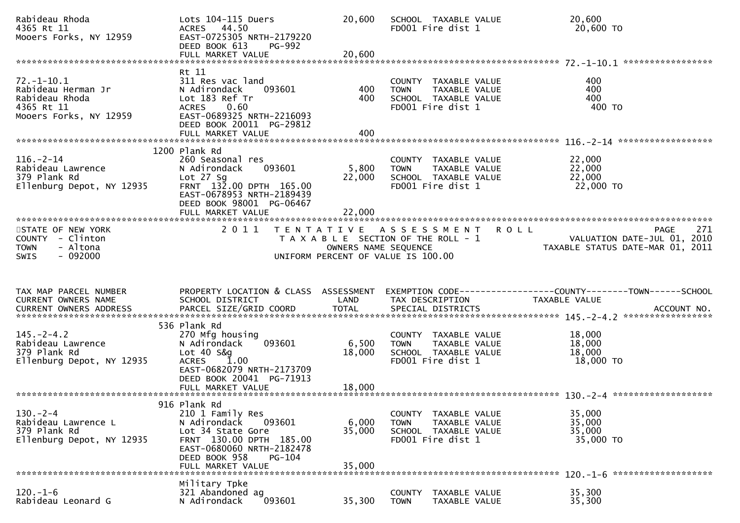| Rabideau Rhoda<br>4365 Rt 11<br>Mooers Forks, NY 12959                                           | Lots 104-115 Duers<br>ACRES 44.50<br>EAST-0725305 NRTH-2179220<br>DEED BOOK 613<br><b>PG-992</b><br>FULL MARKET VALUE                                                                          | 20,600<br>20,600          | SCHOOL TAXABLE VALUE<br>FD001 Fire dist 1                                                         | 20,600<br>20,600 TO                                                             |                                                   |
|--------------------------------------------------------------------------------------------------|------------------------------------------------------------------------------------------------------------------------------------------------------------------------------------------------|---------------------------|---------------------------------------------------------------------------------------------------|---------------------------------------------------------------------------------|---------------------------------------------------|
|                                                                                                  |                                                                                                                                                                                                |                           |                                                                                                   |                                                                                 |                                                   |
| $72. - 1 - 10.1$<br>Rabideau Herman Jr<br>Rabideau Rhoda<br>4365 Rt 11<br>Mooers Forks, NY 12959 | Rt 11<br>311 Res vac land<br>N Adirondack<br>093601<br>Lot 183 Ref Tr<br>0.60<br><b>ACRES</b><br>EAST-0689325 NRTH-2216093<br>DEED BOOK 20011 PG-29812<br>FULL MARKET VALUE                    | 400<br>400<br>400         | COUNTY TAXABLE VALUE<br><b>TOWN</b><br>TAXABLE VALUE<br>SCHOOL TAXABLE VALUE<br>FD001 Fire dist 1 | 400<br>400<br>400<br>400 TO                                                     |                                                   |
|                                                                                                  | 1200 Plank Rd                                                                                                                                                                                  |                           |                                                                                                   |                                                                                 |                                                   |
| $116. - 2 - 14$<br>Rabideau Lawrence<br>379 Plank Rd<br>Ellenburg Depot, NY 12935                | 260 Seasonal res<br>N Adirondack<br>093601<br>Lot $27$ Sg<br>FRNT 132.00 DPTH 165.00<br>EAST-0678953 NRTH-2189439<br>DEED BOOK 98001 PG-06467<br>FULL MARKET VALUE                             | 5,800<br>22,000<br>22,000 | COUNTY TAXABLE VALUE<br>TAXABLE VALUE<br><b>TOWN</b><br>SCHOOL TAXABLE VALUE<br>FD001 Fire dist 1 | 22,000<br>22,000<br>22,000<br>22,000 TO                                         |                                                   |
|                                                                                                  |                                                                                                                                                                                                |                           |                                                                                                   |                                                                                 |                                                   |
| STATE OF NEW YORK<br>COUNTY - Clinton<br>- Altona<br><b>TOWN</b><br>$-092000$<br><b>SWIS</b>     | 2011                                                                                                                                                                                           | OWNERS NAME SEQUENCE      | TENTATIVE ASSESSMENT<br>T A X A B L E SECTION OF THE ROLL - 1                                     | <b>ROLL</b><br>TAXABLE STATUS DATE-MAR 01, 2011                                 | 271<br><b>PAGE</b><br>VALUATION DATE-JUL 01, 2010 |
|                                                                                                  |                                                                                                                                                                                                |                           | UNIFORM PERCENT OF VALUE IS 100.00                                                                |                                                                                 |                                                   |
| TAX MAP PARCEL NUMBER<br>CURRENT OWNERS NAME<br>CURRENT OWNERS ADDRESS                           | PROPERTY LOCATION & CLASS ASSESSMENT<br>SCHOOL DISTRICT                                                                                                                                        | LAND                      | TAX DESCRIPTION                                                                                   | EXEMPTION CODE------------------COUNTY--------TOWN------SCHOOL<br>TAXABLE VALUE |                                                   |
|                                                                                                  | 536 Plank Rd                                                                                                                                                                                   |                           |                                                                                                   |                                                                                 |                                                   |
| $145. - 2 - 4.2$<br>Rabideau Lawrence<br>379 Plank Rd<br>Ellenburg Depot, NY 12935               | 270 Mfg housing<br>N Adirondack<br>093601<br>Lot 40 S&q<br>1.00<br><b>ACRES</b><br>EAST-0682079 NRTH-2173709<br>DEED BOOK 20041 PG-71913                                                       | 6,500<br>18,000           | COUNTY TAXABLE VALUE<br>TAXABLE VALUE<br><b>TOWN</b><br>SCHOOL TAXABLE VALUE<br>FD001 Fire dist 1 | 18,000<br>18,000<br>18,000<br>18,000 TO                                         |                                                   |
|                                                                                                  |                                                                                                                                                                                                |                           |                                                                                                   |                                                                                 |                                                   |
| $130. -2 - 4$<br>Rabideau Lawrence L<br>379 Plank Rd<br>Ellenburg Depot, NY 12935                | 916 Plank Rd<br>210 1 Family Res<br>N Adirondack<br>093601<br>Lot 34 State Gore<br>FRNT 130.00 DPTH 185.00<br>EAST-0680060 NRTH-2182478<br>DEED BOOK 958<br><b>PG-104</b><br>FULL MARKET VALUE | 6,000<br>35,000<br>35,000 | COUNTY TAXABLE VALUE<br><b>TOWN</b><br>TAXABLE VALUE<br>SCHOOL TAXABLE VALUE<br>FD001 Fire dist 1 | 35,000<br>35,000<br>35,000<br>35,000 TO                                         |                                                   |
|                                                                                                  | Military Tpke                                                                                                                                                                                  |                           |                                                                                                   |                                                                                 |                                                   |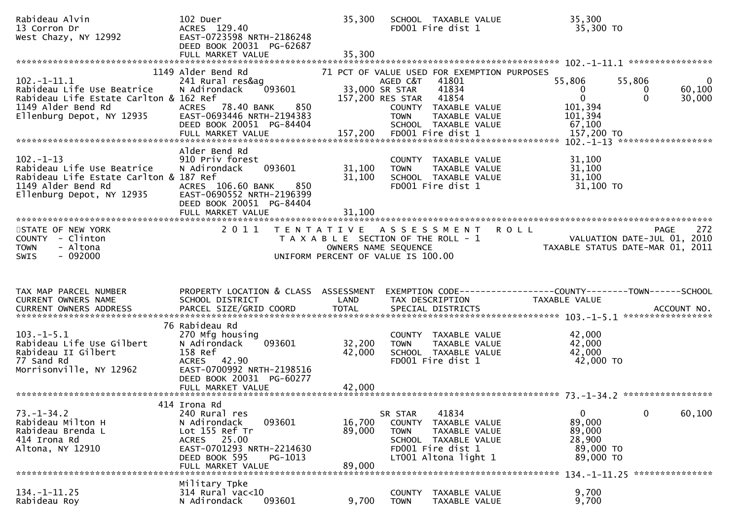| Rabideau Alvin<br>13 Corron Dr<br>West Chazy, NY 12992                                                                                                                                                                | 102 Duer<br>ACRES 129.40<br>EAST-0723598 NRTH-2186248<br>DEED BOOK 20031 PG-62687                                                                                         | 35,300                     | SCHOOL TAXABLE VALUE<br>FD001 Fire dist 1                                                                                                                                                                                             | 35,300<br>35,300 TO                                                                    |                                                            |
|-----------------------------------------------------------------------------------------------------------------------------------------------------------------------------------------------------------------------|---------------------------------------------------------------------------------------------------------------------------------------------------------------------------|----------------------------|---------------------------------------------------------------------------------------------------------------------------------------------------------------------------------------------------------------------------------------|----------------------------------------------------------------------------------------|------------------------------------------------------------|
| $102.-1-11.1$<br>Rabideau Life Use Beatrice<br>Rabideau Life Estate Carlton & 162 Ref<br>1149 Alder Bend Rd<br>Ellenburg Depot, NY 12935                                                                              | 1149 Alder Bend Rd<br>241 Rural res&ag<br>093601<br>N Adirondack<br>850<br>ACRES 78.40 BANK<br>EAST-0693446 NRTH-2194383<br>DEED BOOK 20051 PG-84404<br>FULL MARKET VALUE |                            | 71 PCT OF VALUE USED FOR EXEMPTION PURPOSES<br>41801<br>AGED C&T<br>33,000 SR STAR<br>41834<br>157,200 RES STAR<br>41854<br>COUNTY TAXABLE VALUE<br>TAXABLE VALUE<br><b>TOWN</b><br>SCHOOL TAXABLE VALUE<br>157,200 FD001 Fire dist 1 | 55,806<br>$\overline{0}$<br>$\mathbf{0}$<br>101,394<br>101,394<br>67,100<br>157,200 TO | $\mathbf 0$<br>55,806<br>60,100<br>0<br>$\Omega$<br>30,000 |
| $102 - 1 - 13$<br>Rabideau Life Use Beatrice<br>Rabideau Life Estate Carlton & 187 Ref<br>1149 Alder Bend Rd<br>Ellenburg Depot, NY 12935                                                                             | Alder Bend Rd<br>910 Priv forest<br>093601<br>N Adirondack<br>ACRES 106.60 BANK<br>850<br>EAST-0690552 NRTH-2196399<br>DEED BOOK 20051 PG-84404<br>FULL MARKET VALUE      | 31,100<br>31,100<br>31,100 | COUNTY TAXABLE VALUE<br>TAXABLE VALUE<br><b>TOWN</b><br>SCHOOL TAXABLE VALUE<br>FD001 Fire dist 1                                                                                                                                     | 31,100<br>31,100<br>31,100<br>31,100 TO                                                |                                                            |
| STATE OF NEW YORK<br>COUNTY - Clinton<br>- Altona<br><b>TOWN</b><br>$-092000$<br><b>SWIS</b>                                                                                                                          | 2 0 1 1                                                                                                                                                                   | OWNERS NAME SEQUENCE       | TENTATIVE ASSESSMENT ROLL<br>T A X A B L E SECTION OF THE ROLL - 1<br>UNIFORM PERCENT OF VALUE IS 100.00                                                                                                                              | TAXABLE STATUS DATE-MAR 01, 2011                                                       | 272<br><b>PAGE</b><br>VALUATION DATE-JUL 01, 2010          |
|                                                                                                                                                                                                                       |                                                                                                                                                                           |                            |                                                                                                                                                                                                                                       |                                                                                        |                                                            |
| TAX MAP PARCEL NUMBER<br>CURRENT OWNERS NAME                                                                                                                                                                          | PROPERTY LOCATION & CLASS ASSESSMENT<br>SCHOOL DISTRICT                                                                                                                   | LAND                       | TAX DESCRIPTION                                                                                                                                                                                                                       | TAXABLE VALUE                                                                          |                                                            |
| CURRENT OWNERS ADDRESS PARCEL SIZE/GRID COORD TOTAL SPECIAL DISTRICTS (2011) 10. ACCOUNT NO. ACCOUNT NO.<br>$103.-1-5.1$<br>Rabideau Life Use Gilbert<br>Rabideau II Gilbert<br>77 Sand Rd<br>Morrisonville, NY 12962 | 76 Rabideau Rd<br>270 Mfg housing<br>N Adirondack<br>093601<br>158 Ref<br>ACRES 42.90<br>EAST-0700992 NRTH-2198516<br>DEED BOOK 20031 PG-60277                            | 32,200<br>42,000           | COUNTY TAXABLE VALUE<br>TAXABLE VALUE<br><b>TOWN</b><br>SCHOOL TAXABLE VALUE<br>FD001 Fire dist 1                                                                                                                                     | 42,000<br>42,000<br>42,000<br>42,000 TO                                                |                                                            |
| $73. - 1 - 34.2$<br>Rabideau Milton H<br>Rabideau Brenda L<br>414 Irona Rd<br>Altona, NY 12910                                                                                                                        | 414 Irona Rd<br>240 Rural res<br>093601<br>N Adirondack<br>Lot 155 Ref Tr<br>ACRES 25.00<br>EAST-0701293 NRTH-2214630<br>DEED BOOK 595<br>PG-1013<br>FULL MARKET VALUE    | 16,700<br>89,000<br>89,000 | 41834<br>SR STAR<br><b>COUNTY</b><br>TAXABLE VALUE<br>TAXABLE VALUE<br><b>TOWN</b><br>SCHOOL TAXABLE VALUE<br>FD001 Fire dist 1<br>LT001 Altona light 1                                                                               | $\mathbf{0}$<br>89,000<br>89,000<br>28,900<br>89,000 TO<br>89,000 TO                   | $\mathbf 0$<br>60,100                                      |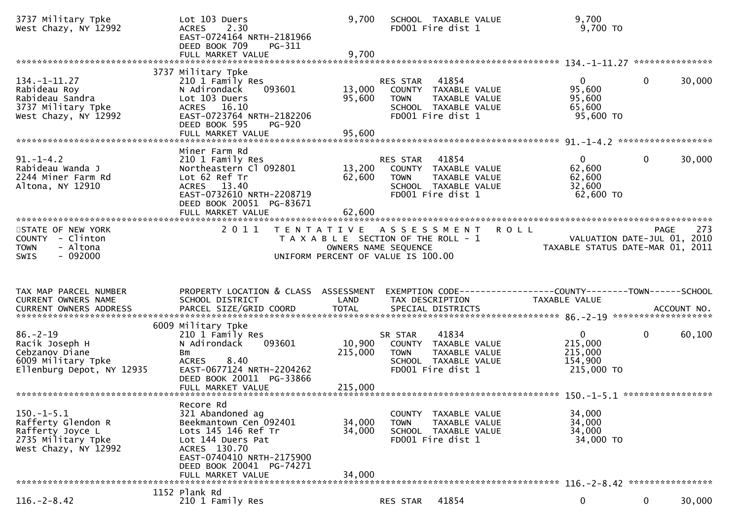| 3737 Military Tpke<br>West Chazy, NY 12992                                                              | Lot 103 Duers<br><b>ACRES</b><br>2.30<br>EAST-0724164 NRTH-2181966<br>DEED BOOK 709<br>PG-311<br>FULL MARKET VALUE                                                        | 9,700<br>9,700                            | SCHOOL TAXABLE VALUE<br>FD001 Fire dist 1                                                                              | 9,700<br>$9,700$ TO                                             |                       |
|---------------------------------------------------------------------------------------------------------|---------------------------------------------------------------------------------------------------------------------------------------------------------------------------|-------------------------------------------|------------------------------------------------------------------------------------------------------------------------|-----------------------------------------------------------------|-----------------------|
|                                                                                                         |                                                                                                                                                                           |                                           |                                                                                                                        |                                                                 |                       |
| $134. - 1 - 11.27$<br>Rabideau Roy<br>Rabideau Sandra<br>3737 Military Tpke<br>West Chazy, NY 12992     | 3737 Military Tpke<br>210 1 Family Res<br>093601<br>N Adirondack<br>Lot 103 Duers<br>ACRES 16.10<br>EAST-0723764 NRTH-2182206<br>DEED BOOK 595<br>PG-920                  | 13,000<br>95,600                          | RES STAR 41854<br>COUNTY TAXABLE VALUE<br><b>TOWN</b><br>TAXABLE VALUE<br>SCHOOL TAXABLE VALUE<br>FD001 Fire dist 1    | $\overline{0}$<br>95,600<br>95,600<br>65,600<br>95,600 TO       | $\mathbf 0$<br>30,000 |
|                                                                                                         |                                                                                                                                                                           |                                           |                                                                                                                        |                                                                 |                       |
| $91. - 1 - 4.2$<br>Rabideau Wanda J<br>2244 Miner Farm Rd<br>Altona, NY 12910                           | Miner Farm Rd<br>210 1 Family Res<br>Northeastern Cl 092801<br>Lot 62 Ref Tr<br>ACRES 13.40<br>EAST-0732610 NRTH-2208719<br>DEED BOOK 20051 PG-83671<br>FULL MARKET VALUE | 13,200<br>62,600<br>62,600                | RES STAR<br>41854<br>COUNTY TAXABLE VALUE<br><b>TOWN</b><br>TAXABLE VALUE<br>SCHOOL TAXABLE VALUE<br>FD001 Fire dist 1 | $\mathbf{0}$<br>62,600<br>62,600<br>32,600<br>62,600 TO         | $\mathbf 0$<br>30,000 |
|                                                                                                         |                                                                                                                                                                           |                                           |                                                                                                                        |                                                                 |                       |
| STATE OF NEW YORK<br>COUNTY - Clinton<br>- Altona<br><b>TOWN</b><br>$-092000$<br><b>SWIS</b>            | 2 0 1 1                                                                                                                                                                   | T E N T A T I V E<br>OWNERS NAME SEQUENCE | <b>ROLL</b><br>A S S E S S M E N T<br>T A X A B L E SECTION OF THE ROLL - 1<br>UNIFORM PERCENT OF VALUE IS 100.00      | VALUATION DATE-JUL 01, 2010<br>TAXABLE STATUS DATE-MAR 01, 2011 | 273<br><b>PAGE</b>    |
|                                                                                                         |                                                                                                                                                                           |                                           |                                                                                                                        |                                                                 |                       |
| TAX MAP PARCEL NUMBER                                                                                   | PROPERTY LOCATION & CLASS ASSESSMENT                                                                                                                                      |                                           | EXEMPTION CODE------------------COUNTY--------TOWN------SCHOOL                                                         |                                                                 |                       |
| CURRENT OWNERS NAME                                                                                     | SCHOOL DISTRICT                                                                                                                                                           | LAND                                      | TAX DESCRIPTION                                                                                                        | TAXABLE VALUE                                                   |                       |
| $86. - 2 - 19$                                                                                          | 6009 Military Tpke<br>210 1 Family Res                                                                                                                                    |                                           | 41834<br>SR STAR                                                                                                       | $\overline{0}$                                                  | $\mathbf 0$<br>60,100 |
| Racik Joseph H<br>Cebzanov Diane<br>6009 Military Tpke<br>Ellenburg Depot, NY 12935                     | N Adirondack<br>093601<br>Bm<br>8.40<br><b>ACRES</b><br>EAST-0677124 NRTH-2204262                                                                                         | 10,900<br>215,000                         | COUNTY TAXABLE VALUE<br>TAXABLE VALUE<br><b>TOWN</b><br>SCHOOL TAXABLE VALUE<br>FD001 Fire dist 1                      | 215,000<br>215,000<br>154,900<br>215,000 TO                     |                       |
|                                                                                                         | DEED BOOK 20011 PG-33866                                                                                                                                                  |                                           |                                                                                                                        |                                                                 |                       |
|                                                                                                         | Recore Rd                                                                                                                                                                 |                                           |                                                                                                                        |                                                                 |                       |
| $150. -1 - 5.1$<br>Rafferty Glendon R<br>Rafferty Joyce L<br>2735 Military Tpke<br>West Chazy, NY 12992 | 321 Abandoned ag<br>Beekmantown Cen 092401<br>Lots 145 146 Ref Tr<br>Lot 144 Duers Pat<br>ACRES 130.70<br>EAST-0740410 NRTH-2175900                                       | 34,000<br>34,000                          | COUNTY TAXABLE VALUE<br><b>TOWN</b><br>TAXABLE VALUE<br>SCHOOL TAXABLE VALUE<br>FD001 Fire dist 1                      | 34,000<br>34,000<br>34,000<br>34,000 TO                         |                       |
|                                                                                                         | DEED BOOK 20041 PG-74271<br>FULL MARKET VALUE                                                                                                                             | 34,000                                    |                                                                                                                        |                                                                 |                       |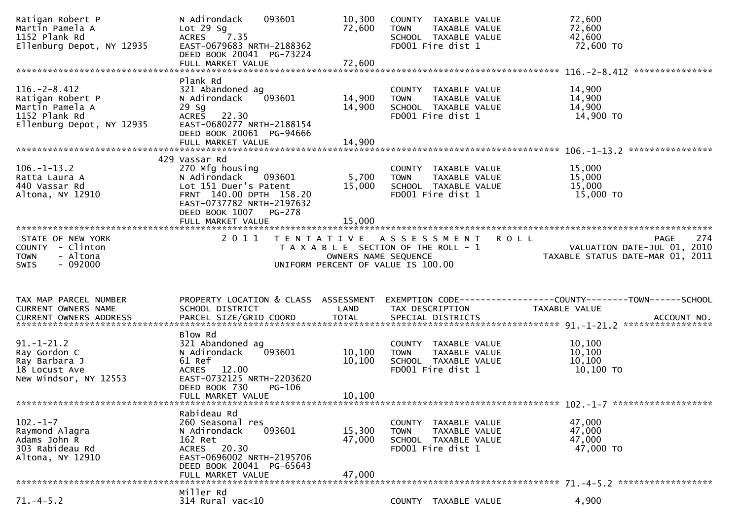| Ratigan Robert P<br>Martin Pamela A<br>1152 Plank Rd<br>Ellenburg Depot, NY 12935                       | 093601<br>N Adirondack<br>Lot $29$ Sg<br>7.35<br><b>ACRES</b><br>EAST-0679683 NRTH-2188362<br>DEED BOOK 20041 PG-73224                                                         | 10,300<br>72,600            | COUNTY TAXABLE VALUE<br><b>TOWN</b><br>TAXABLE VALUE<br>SCHOOL TAXABLE VALUE<br>FD001 Fire dist 1 | 72,600<br>72,600<br>42,600<br>72,600 TO                                                                                                                    |
|---------------------------------------------------------------------------------------------------------|--------------------------------------------------------------------------------------------------------------------------------------------------------------------------------|-----------------------------|---------------------------------------------------------------------------------------------------|------------------------------------------------------------------------------------------------------------------------------------------------------------|
|                                                                                                         |                                                                                                                                                                                |                             |                                                                                                   | ***************                                                                                                                                            |
| $116. - 2 - 8.412$<br>Ratigan Robert P<br>Martin Pamela A<br>1152 Plank Rd<br>Ellenburg Depot, NY 12935 | Plank Rd<br>321 Abandoned ag<br>093601<br>N Adirondack<br>$29$ Sg<br><b>ACRES</b><br>22.30<br>EAST-0680277 NRTH-2188154<br>DEED BOOK 20061 PG-94666                            | 14,900<br>14,900            | COUNTY TAXABLE VALUE<br>TAXABLE VALUE<br><b>TOWN</b><br>SCHOOL TAXABLE VALUE<br>FD001 Fire dist 1 | 14,900<br>14,900<br>14,900<br>14,900 TO                                                                                                                    |
|                                                                                                         |                                                                                                                                                                                |                             |                                                                                                   |                                                                                                                                                            |
|                                                                                                         |                                                                                                                                                                                |                             |                                                                                                   |                                                                                                                                                            |
| $106. - 1 - 13.2$<br>Ratta Laura A<br>440 Vassar Rd<br>Altona, NY 12910                                 | 429 Vassar Rd<br>270 Mfg housing<br>N Adirondack<br>093601<br>Lot 151 Duer's Patent<br>FRNT 140.00 DPTH 158.20<br>EAST-0737782 NRTH-2197632<br>DEED BOOK 1007<br><b>PG-278</b> | 5,700<br>15,000             | COUNTY TAXABLE VALUE<br>TAXABLE VALUE<br><b>TOWN</b><br>SCHOOL TAXABLE VALUE<br>FD001 Fire dist 1 | 15,000<br>15,000<br>15,000<br>15,000 TO                                                                                                                    |
|                                                                                                         |                                                                                                                                                                                |                             |                                                                                                   |                                                                                                                                                            |
| STATE OF NEW YORK<br>COUNTY - Clinton                                                                   | 2011                                                                                                                                                                           |                             | TENTATIVE ASSESSMENT<br>T A X A B L E SECTION OF THE ROLL - 1                                     | 274<br><b>ROLL</b><br>PAGE<br>VALUATION DATE-JUL 01, 2010                                                                                                  |
| - Altona<br><b>TOWN</b><br>$-092000$<br><b>SWIS</b>                                                     |                                                                                                                                                                                |                             | OWNERS NAME SEQUENCE<br>UNIFORM PERCENT OF VALUE IS 100.00                                        | TAXABLE STATUS DATE-MAR 01, 2011                                                                                                                           |
| TAX MAP PARCEL NUMBER<br>CURRENT OWNERS NAME                                                            | PROPERTY LOCATION & CLASS ASSESSMENT<br>SCHOOL DISTRICT                                                                                                                        | LAND                        | TAX DESCRIPTION                                                                                   | EXEMPTION CODE-----------------COUNTY--------TOWN------SCHOOL<br>TAXABLE VALUE                                                                             |
|                                                                                                         |                                                                                                                                                                                |                             |                                                                                                   |                                                                                                                                                            |
| $91. - 1 - 21.2$<br>Ray Gordon C<br>Ray Barbara J<br>18 Locust Ave<br>New Windsor, NY 12553             | Blow Rd<br>321 Abandoned ag<br>093601<br>N Adirondack<br>61 Ref<br>12.00<br><b>ACRES</b><br>EAST-0732125 NRTH-2203620<br>DEED BOOK 730<br>$PG-106$<br>FULL MARKET VALUE        | 10, 100<br>10,100<br>10,100 | COUNTY TAXABLE VALUE<br><b>TOWN</b><br>TAXABLE VALUE<br>SCHOOL TAXABLE VALUE<br>FD001 Fire dist 1 | .0URRENT OWNERS ADDRESS PARCEL SIZE/GRID COORD TOTAL SPECIAL DISTRICTS ACCOUNT NO ACCOUNT NO ACCOUNT NO ACCOUNT<br>10,100<br>10,100<br>10,100<br>10,100 TO |
|                                                                                                         |                                                                                                                                                                                |                             |                                                                                                   |                                                                                                                                                            |
| $102 - 1 - 7$<br>Raymond Alagra<br>Adams John R<br>303 Rabideau Rd<br>Altona, NY 12910                  | Rabideau Rd<br>260 Seasonal res<br>N Adirondack<br>093601<br>162 Ret<br>ACRES 20.30<br>EAST-0696002 NRTH-2195706<br>DEED BOOK 20041 PG-65643<br>FULL MARKET VALUE              | 15,300<br>47,000<br>47,000  | COUNTY TAXABLE VALUE<br><b>TOWN</b><br>TAXABLE VALUE<br>SCHOOL TAXABLE VALUE<br>FD001 Fire dist 1 | 47,000<br>47,000<br>47,000<br>47,000 TO                                                                                                                    |
|                                                                                                         | Miller Rd                                                                                                                                                                      |                             |                                                                                                   |                                                                                                                                                            |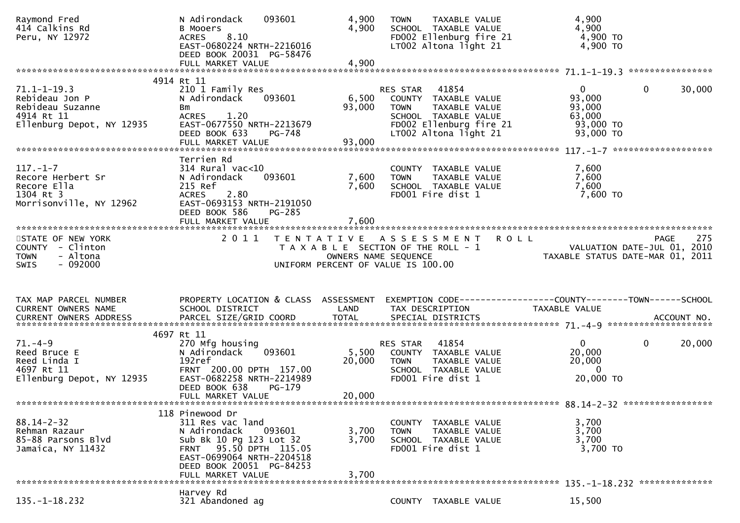| Raymond Fred<br>414 Calkins Rd<br>Peru, NY 12972                                                   | N Adirondack<br>093601<br><b>B Mooers</b><br>8.10<br><b>ACRES</b><br>EAST-0680224 NRTH-2216016<br>DEED BOOK 20031 PG-58476<br>FULL MARKET VALUE                                                            | 4,900<br>4,900<br>4,900   | TAXABLE VALUE<br><b>TOWN</b><br>SCHOOL TAXABLE VALUE<br>FD002 Ellenburg fire 21<br>LT002 Altona light 21                                       | 4,900<br>4,900<br>4,900 TO<br>$4,900$ TO                                             |             |
|----------------------------------------------------------------------------------------------------|------------------------------------------------------------------------------------------------------------------------------------------------------------------------------------------------------------|---------------------------|------------------------------------------------------------------------------------------------------------------------------------------------|--------------------------------------------------------------------------------------|-------------|
|                                                                                                    |                                                                                                                                                                                                            |                           |                                                                                                                                                |                                                                                      |             |
| $71.1 - 1 - 19.3$<br>Rebideau Jon P<br>Rebideau Suzanne<br>4914 Rt 11<br>Ellenburg Depot, NY 12935 | 4914 Rt 11<br>210 1 Family Res<br>N Adirondack<br>093601<br>Bm<br>1.20<br><b>ACRES</b><br>EAST-0677550 NRTH-2213679<br>DEED BOOK 633<br><b>PG-748</b>                                                      | 6,500<br>93,000<br>93,000 | 41854<br>RES STAR<br>COUNTY TAXABLE VALUE<br>TAXABLE VALUE<br>TOWN<br>SCHOOL TAXABLE VALUE<br>FD002 Ellenburg fire 21<br>LT002 Altona light 21 | $\mathbf{0}$<br>$\mathbf{0}$<br>93,000<br>93,000<br>63,000<br>93,000 TO<br>93,000 TO | 30,000      |
|                                                                                                    |                                                                                                                                                                                                            |                           |                                                                                                                                                |                                                                                      |             |
| $117. - 1 - 7$<br>Recore Herbert Sr<br>Recore Ella<br>1304 Rt 3<br>Morrisonville, NY 12962         | Terrien Rd<br>$314$ Rural vac< $10$<br>093601<br>N Adirondack<br>215 Ref<br>2.80<br><b>ACRES</b><br>EAST-0693153 NRTH-2191050<br>DEED BOOK 586<br><b>PG-285</b>                                            | 7,600<br>7,600            | COUNTY TAXABLE VALUE<br>TAXABLE VALUE<br>TOWN<br>SCHOOL TAXABLE VALUE<br>FD001 Fire dist 1                                                     | 7,600<br>7,600<br>7,600<br>7,600 TO                                                  |             |
|                                                                                                    |                                                                                                                                                                                                            |                           |                                                                                                                                                |                                                                                      |             |
| STATE OF NEW YORK<br>COUNTY - Clinton<br>- Altona<br><b>TOWN</b>                                   |                                                                                                                                                                                                            | OWNERS NAME SEQUENCE      | 2011 TENTATIVE ASSESSMENT ROLL<br>T A X A B L E SECTION OF THE ROLL - 1                                                                        | VALUATION DATE-JUL 01, 2010<br>TAXABLE STATUS DATE-MAR 01, 2011                      | 275<br>PAGE |
| $-092000$<br><b>SWIS</b>                                                                           |                                                                                                                                                                                                            |                           | UNIFORM PERCENT OF VALUE IS 100.00                                                                                                             |                                                                                      |             |
|                                                                                                    |                                                                                                                                                                                                            |                           |                                                                                                                                                |                                                                                      |             |
| TAX MAP PARCEL NUMBER<br>CURRENT OWNERS NAME                                                       | PROPERTY LOCATION & CLASS ASSESSMENT<br>SCHOOL DISTRICT                                                                                                                                                    | LAND                      | TAX DESCRIPTION                                                                                                                                | EXEMPTION CODE-----------------COUNTY-------TOWN------SCHOOL<br>TAXABLE VALUE        |             |
|                                                                                                    |                                                                                                                                                                                                            |                           |                                                                                                                                                |                                                                                      |             |
| $71. -4-9$<br>Reed Bruce E<br>Reed Linda I<br>4697 Rt 11<br>Ellenburg Depot, NY 12935              | 4697 Rt 11<br>270 Mfg housing<br>093601<br>N Adirondack<br>192ref<br>FRNT 200.00 DPTH 157.00<br>EAST-0682258 NRTH-2214989<br>DEED BOOK 638<br><b>PG-179</b>                                                | 5,500<br>20,000           | 41854<br>RES STAR<br>COUNTY TAXABLE VALUE<br><b>TOWN</b><br>TAXABLE VALUE<br>SCHOOL TAXABLE VALUE<br>FD001 Fire dist 1                         | $\mathbf{0}$<br>0<br>20,000<br>20,000<br>$\overline{0}$<br>20,000 TO                 | 20,000      |
|                                                                                                    | FULL MARKET VALUE                                                                                                                                                                                          | 20,000                    |                                                                                                                                                |                                                                                      |             |
| $88.14 - 2 - 32$<br>Rehman Razaur<br>85-88 Parsons Blvd<br>Jamaica, NY 11432                       | 118 Pinewood Dr<br>311 Res vac land<br>N Adirondack<br>093601<br>Sub Bk 10 Pg 123 Lot 32<br>95.50 DPTH 115.05<br><b>FRNT</b><br>EAST-0699064 NRTH-2204518<br>DEED BOOK 20051 PG-84253<br>FULL MARKET VALUE | 3,700<br>3,700<br>3,700   | COUNTY TAXABLE VALUE<br><b>TOWN</b><br>TAXABLE VALUE<br>SCHOOL TAXABLE VALUE<br>FD001 Fire dist 1                                              | 3,700<br>3,700<br>3,700<br>3,700 TO                                                  |             |
|                                                                                                    | Harvey Rd                                                                                                                                                                                                  |                           |                                                                                                                                                |                                                                                      |             |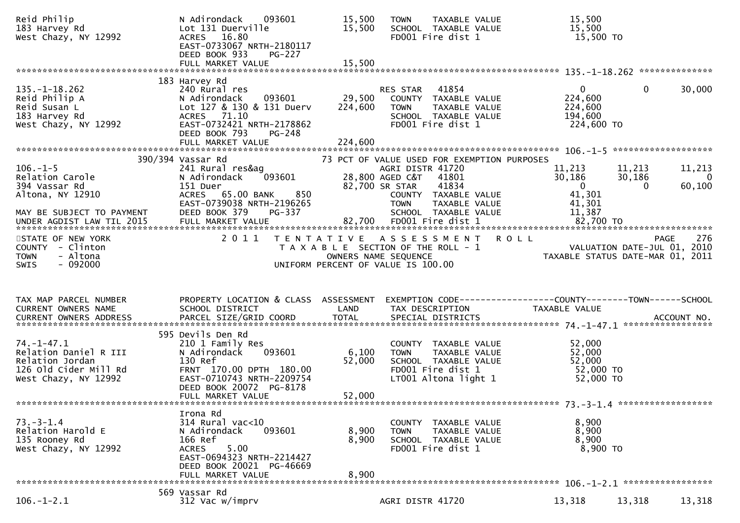| Reid Philip<br>183 Harvey Rd<br>West Chazy, NY 12992                                                          | N Adirondack<br>093601<br>Lot 131 Duerville<br>16.80<br>ACRES<br>EAST-0733067 NRTH-2180117<br>DEED BOOK 933<br><b>PG-227</b><br>FULL MARKET VALUE                                           | 15,500<br>15,500<br>15,500   | TAXABLE VALUE<br><b>TOWN</b><br>SCHOOL TAXABLE VALUE<br>FD001 Fire dist 1                                                                                                                              | 15,500<br>15,500<br>15,500 TO                                                                    |                                    |
|---------------------------------------------------------------------------------------------------------------|---------------------------------------------------------------------------------------------------------------------------------------------------------------------------------------------|------------------------------|--------------------------------------------------------------------------------------------------------------------------------------------------------------------------------------------------------|--------------------------------------------------------------------------------------------------|------------------------------------|
|                                                                                                               |                                                                                                                                                                                             |                              |                                                                                                                                                                                                        |                                                                                                  |                                    |
| $135. - 1 - 18.262$<br>Reid Philip A<br>Reid Susan L<br>183 Harvey Rd<br>West Chazy, NY 12992                 | 183 Harvey Rd<br>240 Rural res<br>N Adirondack<br>093601<br>Lot 127 & 130 & 131 Duerv<br>71.10<br><b>ACRES</b><br>EAST-0732421 NRTH-2178862<br>DEED BOOK 793<br>PG-248<br>FULL MARKET VALUE | 29,500<br>224,600<br>224,600 | RES STAR<br>41854<br>COUNTY TAXABLE VALUE<br><b>TOWN</b><br>TAXABLE VALUE<br>SCHOOL TAXABLE VALUE<br>FD001 Fire dist 1                                                                                 | $\mathbf{0}$<br>$\mathbf{0}$<br>224,600<br>224,600<br>194,600<br>224,600 TO                      | 30,000                             |
|                                                                                                               |                                                                                                                                                                                             |                              |                                                                                                                                                                                                        |                                                                                                  |                                    |
| $106. - 1 - 5$<br>Relation Carole<br>394 Vassar Rd<br>Altona, NY 12910<br>MAY BE SUBJECT TO PAYMENT           | 390/394 Vassar Rd<br>241 Rural res&ag<br>N Adirondack<br>093601<br>151 Duer<br>ACRES 65.00 BANK<br>850<br>EAST-0739038 NRTH-2196265<br>DEED BOOK 379<br>PG-337                              |                              | 73 PCT OF VALUE USED FOR EXEMPTION PURPOSES<br>AGRI DISTR 41720<br>28,800 AGED C&T<br>41801<br>82,700 SR STAR<br>41834<br>COUNTY TAXABLE VALUE<br><b>TOWN</b><br>TAXABLE VALUE<br>SCHOOL TAXABLE VALUE | 11,213<br>11,213<br>30,186<br>30,186<br>$\overline{0}$<br>$\Omega$<br>41,301<br>41,301<br>11,387 | 11,213<br>$\overline{0}$<br>60,100 |
| STATE OF NEW YORK<br>COUNTY - Clinton<br>- Altona<br><b>TOWN</b><br>$-092000$<br>SWIS                         | 2 0 1 1                                                                                                                                                                                     |                              | TENTATIVE ASSESSMENT<br>T A X A B L E SECTION OF THE ROLL - 1<br>OWNERS NAME SEQUENCE<br>UNIFORM PERCENT OF VALUE IS 100.00                                                                            | <b>ROLL</b><br>PAGE<br>VALUATION DATE-JUL 01, 2010<br>TAXABLE STATUS DATE-MAR 01, 2011           | 276                                |
| TAX MAP PARCEL NUMBER<br>CURRENT OWNERS NAME                                                                  | PROPERTY LOCATION & CLASS ASSESSMENT<br>SCHOOL DISTRICT                                                                                                                                     | LAND                         | TAX DESCRIPTION                                                                                                                                                                                        | EXEMPTION CODE-----------------COUNTY-------TOWN------SCHOOL<br>TAXABLE VALUE                    |                                    |
| $74. - 1 - 47.1$<br>Relation Daniel R III<br>Relation Jordan<br>126 Old Cider Mill Rd<br>West Chazy, NY 12992 | 595 Devils Den Rd<br>210 1 Family Res<br>093601<br>N Adirondack<br>130 Ref<br>FRNT 170.00 DPTH 180.00<br>EAST-0710743 NRTH-2209754<br>DEED BOOK 20072 PG-8178<br>FULL MARKET VALUE          | 6,100<br>52,000<br>52,000    | COUNTY TAXABLE VALUE<br>TAXABLE VALUE<br><b>TOWN</b><br>SCHOOL TAXABLE VALUE<br>FD001 Fire dist 1<br>LT001 Altona light 1                                                                              | 52,000<br>52,000<br>52,000<br>52,000 TO<br>52,000 TO                                             |                                    |
|                                                                                                               | Irona Rd                                                                                                                                                                                    |                              |                                                                                                                                                                                                        |                                                                                                  |                                    |
| $73. - 3 - 1.4$<br>Relation Harold E<br>135 Rooney Rd<br>West Chazy, NY 12992                                 | $314$ Rural vac<10<br>093601<br>N Adirondack<br>166 Ref<br>5.00<br><b>ACRES</b><br>EAST-0694323 NRTH-2214427<br>DEED BOOK 20021 PG-46669<br>FULL MARKET VALUE                               | 8,900<br>8,900<br>8,900      | COUNTY<br>TAXABLE VALUE<br>TAXABLE VALUE<br><b>TOWN</b><br>SCHOOL TAXABLE VALUE<br>FD001 Fire dist 1                                                                                                   | 8,900<br>8,900<br>8,900<br>8,900 TO                                                              |                                    |
|                                                                                                               | 569 Vassar Rd                                                                                                                                                                               |                              |                                                                                                                                                                                                        |                                                                                                  |                                    |
| $106. - 1 - 2.1$                                                                                              | 312 Vac w/imprv                                                                                                                                                                             |                              | AGRI DISTR 41720                                                                                                                                                                                       | 13,318<br>13,318                                                                                 | 13,318                             |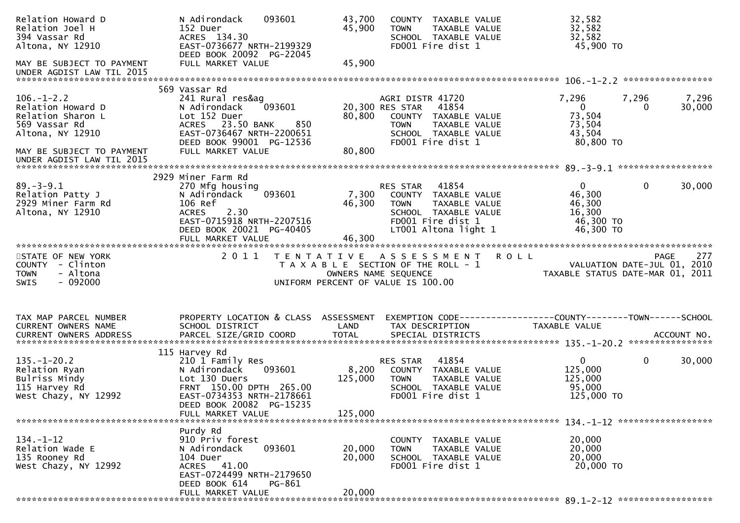| Relation Howard D<br>Relation Joel H<br>394 Vassar Rd<br>Altona, NY 12910<br>MAY BE SUBJECT TO PAYMENT | 093601<br>N Adirondack<br>152 Duer<br>ACRES 134.30<br>EAST-0736677 NRTH-2199329<br>DEED BOOK 20092 PG-22045<br>FULL MARKET VALUE | 43,700<br>45,900<br>45,900 | COUNTY TAXABLE VALUE<br>TAXABLE VALUE<br><b>TOWN</b><br>SCHOOL TAXABLE VALUE<br>FD001 Fire dist 1 | 32,582<br>32,582<br>32,582<br>45,900 TO                                       |
|--------------------------------------------------------------------------------------------------------|----------------------------------------------------------------------------------------------------------------------------------|----------------------------|---------------------------------------------------------------------------------------------------|-------------------------------------------------------------------------------|
| UNDER AGDIST LAW TIL 2015                                                                              |                                                                                                                                  |                            |                                                                                                   |                                                                               |
|                                                                                                        | 569 Vassar Rd                                                                                                                    |                            |                                                                                                   |                                                                               |
| $106. - 1 - 2.2$                                                                                       | 241 Rural res&ag<br>093601                                                                                                       |                            | AGRI DISTR 41720<br>41854                                                                         | 7,296<br>7,296<br>7,296<br>$\overline{0}$                                     |
| Relation Howard D<br>Relation Sharon L                                                                 | N Adirondack<br>Lot 152 Duer                                                                                                     | 80,800                     | 20,300 RES STAR<br>COUNTY TAXABLE VALUE                                                           | 30,000<br>$\Omega$<br>73,504                                                  |
| 569 Vassar Rd                                                                                          | 850<br>ACRES 23.50 BANK                                                                                                          |                            | <b>TOWN</b><br>TAXABLE VALUE                                                                      | 73,504                                                                        |
| Altona, NY 12910                                                                                       | EAST-0736467 NRTH-2200651                                                                                                        |                            | SCHOOL TAXABLE VALUE                                                                              | 43,504                                                                        |
| MAY BE SUBJECT TO PAYMENT                                                                              | DEED BOOK 99001 PG-12536<br>FULL MARKET VALUE                                                                                    | 80,800                     | FD001 Fire dist 1                                                                                 | 80,800 TO                                                                     |
| UNDER AGDIST LAW TIL 2015                                                                              |                                                                                                                                  |                            |                                                                                                   |                                                                               |
|                                                                                                        |                                                                                                                                  |                            |                                                                                                   |                                                                               |
|                                                                                                        | 2929 Miner Farm Rd                                                                                                               |                            |                                                                                                   |                                                                               |
| $89. - 3 - 9.1$<br>Relation Patty J                                                                    | 270 Mfg housing<br>093601<br>N Adirondack                                                                                        | 7,300                      | RES STAR<br>41854<br>COUNTY TAXABLE VALUE                                                         | $\mathbf{0}$<br>$\mathbf{0}$<br>30,000<br>46,300                              |
| 2929 Miner Farm Rd                                                                                     | 106 Ref                                                                                                                          | 46,300                     | <b>TOWN</b><br>TAXABLE VALUE                                                                      | 46,300                                                                        |
| Altona, NY 12910                                                                                       | 2.30<br><b>ACRES</b>                                                                                                             |                            | SCHOOL TAXABLE VALUE                                                                              | 16,300                                                                        |
|                                                                                                        | EAST-0715918 NRTH-2207516                                                                                                        |                            | FD001 Fire dist 1                                                                                 | 46,300 TO                                                                     |
|                                                                                                        | DEED BOOK 20021 PG-40405<br>FULL MARKET VALUE                                                                                    | 46,300                     | LT001 Altona light 1                                                                              | 46,300 TO                                                                     |
|                                                                                                        |                                                                                                                                  |                            |                                                                                                   |                                                                               |
| STATE OF NEW YORK                                                                                      | 2011                                                                                                                             | T E N T A T I V E          | A S S E S S M E N T                                                                               | <b>ROLL</b><br>277<br>PAGE                                                    |
| COUNTY - Clinton<br>- Altona                                                                           |                                                                                                                                  |                            | T A X A B L E SECTION OF THE ROLL - 1<br>OWNERS NAME SEQUENCE                                     | VALUATION DATE-JUL 01, 2010<br>TAXABLE STATUS DATE-MAR 01, 2011               |
| <b>TOWN</b>                                                                                            |                                                                                                                                  |                            |                                                                                                   |                                                                               |
|                                                                                                        |                                                                                                                                  |                            |                                                                                                   |                                                                               |
| $-092000$<br><b>SWIS</b>                                                                               |                                                                                                                                  |                            | UNIFORM PERCENT OF VALUE IS 100.00                                                                |                                                                               |
|                                                                                                        |                                                                                                                                  |                            |                                                                                                   |                                                                               |
|                                                                                                        |                                                                                                                                  |                            |                                                                                                   |                                                                               |
| TAX MAP PARCEL NUMBER<br>CURRENT OWNERS NAME                                                           | PROPERTY LOCATION & CLASS ASSESSMENT                                                                                             | LAND                       | TAX DESCRIPTION                                                                                   | EXEMPTION CODE-----------------COUNTY-------TOWN------SCHOOL<br>TAXABLE VALUE |
|                                                                                                        | SCHOOL DISTRICT                                                                                                                  |                            |                                                                                                   |                                                                               |
|                                                                                                        |                                                                                                                                  |                            |                                                                                                   |                                                                               |
|                                                                                                        | 115 Harvey Rd                                                                                                                    |                            |                                                                                                   |                                                                               |
| $135. - 1 - 20.2$<br>Relation Ryan                                                                     | 210 1 Family Res<br>N Adirondack<br>093601                                                                                       | 8,200                      | RES STAR<br>41854<br>COUNTY TAXABLE VALUE                                                         | $\mathbf 0$<br>$\mathbf 0$<br>30,000<br>125,000                               |
| Bulriss Mindy                                                                                          | Lot 130 Duers                                                                                                                    | 125,000                    | <b>TOWN</b><br>TAXABLE VALUE                                                                      | 125,000                                                                       |
| 115 Harvey Rd                                                                                          | FRNT 150.00 DPTH 265.00                                                                                                          |                            | SCHOOL TAXABLE VALUE                                                                              | 95,000                                                                        |
| West Chazy, NY 12992                                                                                   | EAST-0734353 NRTH-2178661                                                                                                        |                            | FD001 Fire dist 1                                                                                 | 125,000 TO                                                                    |
|                                                                                                        | DEED BOOK 20082 PG-15235<br>FULL MARKET VALUE                                                                                    | 125,000                    |                                                                                                   |                                                                               |
| *******************************                                                                        |                                                                                                                                  |                            |                                                                                                   |                                                                               |
|                                                                                                        | Purdy Rd                                                                                                                         |                            |                                                                                                   |                                                                               |
| $134. - 1 - 12$                                                                                        | 910 Priv forest                                                                                                                  |                            | COUNTY TAXABLE VALUE                                                                              | 20,000                                                                        |
| Relation Wade E<br>135 Rooney Rd                                                                       | 093601<br>N Adirondack<br>104 Duer                                                                                               | 20,000<br>20,000           | TAXABLE VALUE<br><b>TOWN</b><br>SCHOOL TAXABLE VALUE                                              | 20,000<br>20,000                                                              |
| West Chazy, NY 12992                                                                                   | ACRES 41.00                                                                                                                      |                            | FD001 Fire dist 1                                                                                 | 20,000 TO                                                                     |
|                                                                                                        | EAST-0724499 NRTH-2179650                                                                                                        |                            |                                                                                                   |                                                                               |
|                                                                                                        | DEED BOOK 614<br>PG-861<br>FULL MARKET VALUE                                                                                     | 20,000                     |                                                                                                   |                                                                               |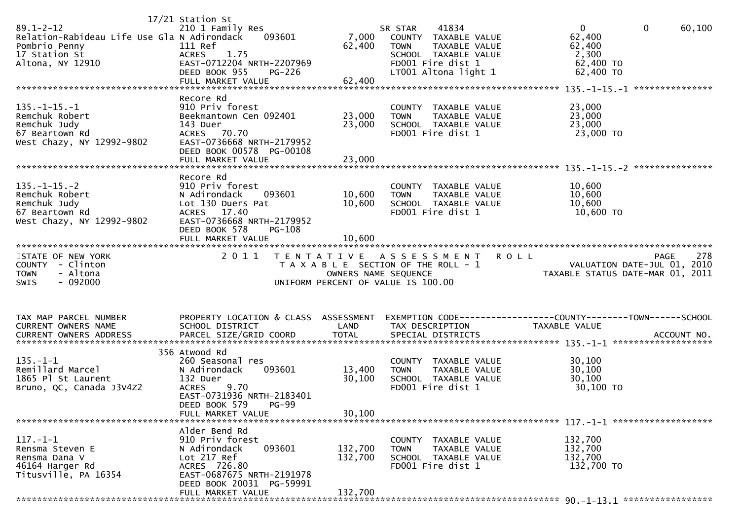| $89.1 - 2 - 12$<br>Relation-Rabideau Life Use Gla N Adirondack<br>Pombrio Penny<br>17 Station St<br>Altona, NY 12910 | 17/21 Station St<br>210 1 Family Res<br>093601<br>111 Ref<br>1.75<br><b>ACRES</b><br>EAST-0712204 NRTH-2207969<br>DEED BOOK 955<br>PG-226<br>FULL MARKET VALUE              | 7,000<br>62,400<br>62,400                                                                           | SR STAR<br><b>TOWN</b> | 41834<br>COUNTY TAXABLE VALUE<br>TAXABLE VALUE<br>SCHOOL TAXABLE VALUE<br>FD001 Fire dist 1<br>LT001 Altona light 1 | $\mathbf{0}$<br>$\mathbf{0}$<br>62,400<br>62,400<br>2,300<br>62,400 TO<br>62,400 TO | 60,100             |
|----------------------------------------------------------------------------------------------------------------------|-----------------------------------------------------------------------------------------------------------------------------------------------------------------------------|-----------------------------------------------------------------------------------------------------|------------------------|---------------------------------------------------------------------------------------------------------------------|-------------------------------------------------------------------------------------|--------------------|
| $135. -1 - 15. -1$<br>Remchuk Robert<br>Remchuk Judy<br>67 Beartown Rd<br>West Chazy, NY 12992-9802                  | Recore Rd<br>910 Priv forest<br>Beekmantown Cen 092401<br>143 Duer<br>ACRES 70.70<br>EAST-0736668 NRTH-2179952<br>DEED BOOK 00578 PG-00108<br>FULL MARKET VALUE             | 23,000<br>23,000<br>23,000                                                                          | <b>TOWN</b>            | COUNTY TAXABLE VALUE<br>TAXABLE VALUE<br>SCHOOL TAXABLE VALUE<br>FD001 Fire dist 1                                  | 23,000<br>23,000<br>23,000<br>23,000 TO                                             |                    |
| $135. - 1 - 15. - 2$<br>Remchuk Robert<br>Remchuk Judy<br>67 Beartown Rd<br>West Chazy, NY 12992-9802                | Recore Rd<br>910 Priv forest<br>N Adirondack<br>093601<br>Lot 130 Duers Pat<br>ACRES 17.40<br>EAST-0736668 NRTH-2179952<br>DEED BOOK 578<br>PG-108<br>FULL MARKET VALUE     | 10,600<br>10,600<br>10,600                                                                          | <b>TOWN</b>            | COUNTY TAXABLE VALUE<br><b>TAXABLE VALUE</b><br>SCHOOL TAXABLE VALUE<br>FD001 Fire dist 1                           | 10,600<br>10,600<br>10,600<br>10,600 TO                                             |                    |
| STATE OF NEW YORK<br>COUNTY - Clinton<br>- Altona<br><b>TOWN</b><br>$-092000$<br><b>SWIS</b>                         | 2011<br>T E N T A T I V E                                                                                                                                                   | T A X A B L E SECTION OF THE ROLL - 1<br>OWNERS NAME SEQUENCE<br>UNIFORM PERCENT OF VALUE IS 100.00 | A S S E S S M E N T    |                                                                                                                     | <b>ROLL</b><br>VALUATION DATE-JUL 01, 2010<br>TAXABLE STATUS DATE-MAR 01, 2011      | 278<br><b>PAGE</b> |
| TAX MAP PARCEL NUMBER<br>CURRENT OWNERS NAME                                                                         | PROPERTY LOCATION & CLASS ASSESSMENT                                                                                                                                        |                                                                                                     |                        |                                                                                                                     |                                                                                     |                    |
|                                                                                                                      | SCHOOL DISTRICT                                                                                                                                                             | LAND                                                                                                | TAX DESCRIPTION        |                                                                                                                     | TAXABLE VALUE                                                                       |                    |
| $135. - 1 - 1$<br>Remillard Marcel<br>1865 Pl St Laurent<br>Bruno, QC, Canada J3V4Z2                                 | 356 Atwood Rd<br>260 Seasonal res<br>N Adirondack<br>093601<br>132 Duer<br>9.70<br><b>ACRES</b><br>EAST-0731936 NRTH-2183401<br>DEED BOOK 579<br>PG-99<br>FULL MARKET VALUE | 13,400<br>30,100<br>30,100                                                                          | <b>TOWN</b>            | COUNTY TAXABLE VALUE<br>TAXABLE VALUE<br>SCHOOL TAXABLE VALUE<br>FD001 Fire dist 1                                  | 30,100<br>30,100<br>30,100<br>30,100 TO<br>$117. - 1 - 1$ ********************      |                    |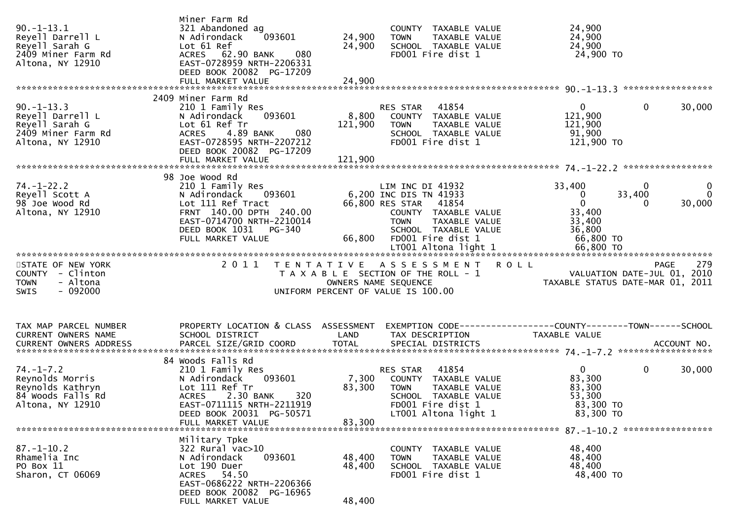| $90. -1 - 13.1$<br>Reyell Darrell L<br>Reyell Sarah G<br>2409 Miner Farm Rd<br>Altona, NY 12910 | Miner Farm Rd<br>321 Abandoned ag<br>093601<br>N Adirondack<br>Lot 61 Ref<br>080<br>ACRES 62.90 BANK<br>EAST-0728959 NRTH-2206331<br>DEED BOOK 20082 PG-17209                              | 24,900<br>24,900           | COUNTY TAXABLE VALUE<br>TAXABLE VALUE<br><b>TOWN</b><br>SCHOOL TAXABLE VALUE<br>FD001 Fire dist 1                                                                               | 24,900<br>24,900<br>24,900<br>24,900 TO                                                                                 |                                    |
|-------------------------------------------------------------------------------------------------|--------------------------------------------------------------------------------------------------------------------------------------------------------------------------------------------|----------------------------|---------------------------------------------------------------------------------------------------------------------------------------------------------------------------------|-------------------------------------------------------------------------------------------------------------------------|------------------------------------|
| $90. -1 - 13.3$<br>Reyell Darrell L<br>Reyell Sarah G<br>2409 Miner Farm Rd<br>Altona, NY 12910 | 2409 Miner Farm Rd<br>210 1 Family Res<br>093601<br>N Adirondack<br>Lot 61 Ref Tr<br>4.89 BANK<br>080<br><b>ACRES</b><br>EAST-0728595 NRTH-2207212<br>DEED BOOK 20082 PG-17209             | 8,800<br>121,900           | 41854<br>RES STAR<br>COUNTY TAXABLE VALUE<br>TAXABLE VALUE<br>TOWN<br>SCHOOL TAXABLE VALUE<br>FD001 Fire dist 1                                                                 | $\mathbf{0}$<br>$\mathbf 0$<br>121,900<br>121,900<br>91,900<br>121,900 TO                                               | 30,000                             |
| $74. - 1 - 22.2$<br>Reyell Scott A<br>98 Joe Wood Rd<br>Altona, NY 12910                        | 98 Joe Wood Rd<br>210 1 Family Res<br>N Adirondack<br>093601<br>Lot 111 Ref Tract<br>FRNT 140.00 DPTH 240.00<br>EAST-0714700 NRTH-2210014<br>DEED BOOK 1031<br>PG-340<br>FULL MARKET VALUE |                            | LIM INC DI 41932<br>6,200 INC DIS TN 41933<br>66,800 RES STAR 41854<br>COUNTY TAXABLE VALUE<br><b>TOWN</b><br>TAXABLE VALUE<br>SCHOOL TAXABLE VALUE<br>66,800 FD001 Fire dist 1 | $\mathbf{0}$<br>33,400<br>33,400<br>$\mathbf{0}$<br>$\mathbf{0}$<br>$\Omega$<br>33,400<br>33,400<br>36,800<br>66,800 TO | $\mathbf{0}$<br>$\Omega$<br>30,000 |
| STATE OF NEW YORK<br>COUNTY - Clinton<br>- Altona<br><b>TOWN</b><br>- 092000<br>SWIS            | 2011<br>T E N T A T I V E                                                                                                                                                                  |                            | A S S E S S M E N T<br><b>ROLL</b><br>T A X A B L E SECTION OF THE ROLL - 1<br>OWNERS NAME SEQUENCE<br>UNIFORM PERCENT OF VALUE IS 100.00                                       | <b>PAGE</b><br>VALUATION DATE-JUL 01, 2010<br>TAXABLE STATUS DATE-MAR 01, 2011                                          | 279                                |
| TAX MAP PARCEL NUMBER<br>CURRENT OWNERS NAME                                                    | PROPERTY LOCATION & CLASS ASSESSMENT<br>SCHOOL DISTRICT                                                                                                                                    | LAND                       | TAX DESCRIPTION                                                                                                                                                                 | EXEMPTION CODE------------------COUNTY--------TOWN------SCHOOL<br>TAXABLE VALUE                                         |                                    |
| $74. - 1 - 7.2$<br>Reynolds Morris<br>Reynolds Kathryn<br>84 Woods Falls Rd<br>Altona, NY 12910 | 84 Woods Falls Rd<br>210 1 Family Res<br>093601<br>N Adirondack<br>Lot 111 Ref Tr<br>ACRES 2.30 BANK<br>320<br>EAST-0711115 NRTH-2211919<br>DEED BOOK 20031 PG-50571<br>FULL MARKET VALUE  | 7,300<br>83,300<br>83,300  | 41854<br>RES STAR<br>COUNTY TAXABLE VALUE<br><b>TOWN</b><br>TAXABLE VALUE<br>SCHOOL TAXABLE VALUE<br>FD001 Fire dist 1<br>LT001 Altona light 1                                  | $\mathbf 0$<br>$\mathbf{0}$<br>83,300<br>83,300<br>53,300<br>83,300 TO<br>83,300 TO                                     | 30,000                             |
| $87. - 1 - 10.2$<br>Rhamelia Inc<br>PO Box 11<br>Sharon, CT 06069                               | Military Tpke<br>322 Rural vac>10<br>093601<br>N Adirondack<br>Lot 190 Duer<br>ACRES 54.50<br>EAST-0686222 NRTH-2206366<br>DEED BOOK 20082 PG-16965<br>FULL MARKET VALUE                   | 48,400<br>48,400<br>48,400 | COUNTY TAXABLE VALUE<br>TAXABLE VALUE<br><b>TOWN</b><br>SCHOOL TAXABLE VALUE<br>FD001 Fire dist 1                                                                               | 48,400<br>48,400<br>48,400<br>48,400 TO                                                                                 |                                    |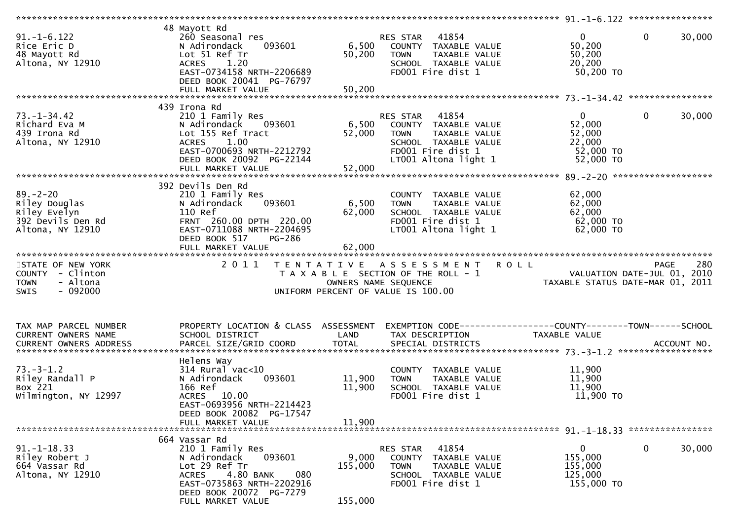| $91. -1 - 6.122$<br>Rice Eric D<br>48 Mayott Rd<br>Altona, NY 12910                          | 48 Mayott Rd<br>260 Seasonal res<br>093601<br>N Adirondack<br>Lot 51 Ref Tr<br>1.20<br><b>ACRES</b><br>EAST-0734158 NRTH-2206689<br>DEED BOOK 20041 PG-76797<br>FULL MARKET VALUE             | 50,200<br>50,200               | 41854<br>RES STAR<br>6,500 COUNTY TAXABLE VALUE<br><b>TOWN</b><br>TAXABLE VALUE<br>SCHOOL TAXABLE VALUE<br>FD001 Fire dist 1                                                                                                                        | $\overline{0}$<br>50,200<br>50,200<br>20,200<br>50,200 TO            | $\Omega$<br>30,000     |
|----------------------------------------------------------------------------------------------|-----------------------------------------------------------------------------------------------------------------------------------------------------------------------------------------------|--------------------------------|-----------------------------------------------------------------------------------------------------------------------------------------------------------------------------------------------------------------------------------------------------|----------------------------------------------------------------------|------------------------|
|                                                                                              |                                                                                                                                                                                               |                                |                                                                                                                                                                                                                                                     |                                                                      |                        |
| $73. - 1 - 34.42$<br>Richard Eva M<br>439 Irona Rd<br>Altona, NY 12910                       | 439 Irona Rd<br>210 1 Family Res<br>N Adirondack 093601<br>Lot 155 Ref Tract<br><b>ACRES</b><br>1.00<br>EAST-0700693 NRTH-2212792<br>DEED BOOK 20092 PG-22144                                 | 6,500<br>52,000                | RES STAR 41854<br>COUNTY TAXABLE VALUE<br><b>TOWN</b><br>TAXABLE VALUE<br>SCHOOL TAXABLE VALUE<br>FD001 Fire dist 1<br>LT001 Altona light 1                                                                                                         | $\mathbf{0}$<br>52,000<br>52,000<br>22,000<br>52,000 TO<br>52,000 TO | $\mathbf{0}$<br>30,000 |
|                                                                                              |                                                                                                                                                                                               |                                |                                                                                                                                                                                                                                                     |                                                                      |                        |
| $89. - 2 - 20$<br>Riley Douglas<br>Riley Evelyn<br>392 Devils Den Rd<br>Altona, NY 12910     | 392 Devils Den Rd<br>210 1 Family Res<br>093601<br>N Adirondack<br>110 Ref<br>FRNT 260.00 DPTH 220.00<br>EAST-0711088 NRTH-2204695<br>DEED BOOK 517<br>PG-286<br>FULL MARKET VALUE            | 6,500 TOWN<br>62,000<br>62,000 | COUNTY TAXABLE VALUE<br>TAXABLE VALUE<br>SCHOOL TAXABLE VALUE<br>FD001 Fire dist 1<br>LT001 Altona light 1                                                                                                                                          | 62,000<br>62,000<br>62,000<br>62,000 TO<br>62,000 TO                 |                        |
|                                                                                              |                                                                                                                                                                                               |                                |                                                                                                                                                                                                                                                     |                                                                      |                        |
| STATE OF NEW YORK<br>COUNTY - Clinton<br>- Altona<br><b>TOWN</b><br>$-092000$<br><b>SWIS</b> |                                                                                                                                                                                               |                                | 2011 TENTATIVE ASSESSMENT ROLL<br>I E N I A I I V E A S S E S S M E N T R O L L<br>T A X A B L E SECTION OF THE ROLL - 1 VALUATION DATE-JUL 01, 2010<br>OWNERS NAME SEQUENCE TAXABLE STATUS DATE-MAR 01, 2011<br>UNIFORM PERCENT OF VALUE IS 100.00 |                                                                      | 280<br>PAGE            |
| TAX MAP PARCEL NUMBER<br>CURRENT OWNERS NAME<br><b>CURRENT OWNERS ADDRESS</b>                | PROPERTY LOCATION & CLASS ASSESSMENT<br>SCHOOL DISTRICT                                                                                                                                       | LAND                           | EXEMPTION CODE------------------COUNTY-------TOWN------SCHOOL<br>TAX DESCRIPTION                                                                                                                                                                    | TAXABLE VALUE                                                        |                        |
| $73. - 3 - 1.2$<br>Riley Randall P<br>Box 221<br>Wilmington, NY 12997                        | Helens Way<br>$314$ Rural vac< $10$<br>093601<br>N Adirondack<br>166 Ref<br>ACRES 10.00<br>EAST-0693956 NRTH-2214423<br>DEED BOOK 20082 PG-17547<br>FULL MARKET VALUE                         | 11,900<br>11,900<br>11,900     | COUNTY TAXABLE VALUE<br>TAXABLE VALUE<br><b>TOWN</b><br>SCHOOL TAXABLE VALUE<br>FD001 Fire dist 1                                                                                                                                                   | 11,900<br>11,900<br>11,900<br>11,900 TO                              |                        |
|                                                                                              |                                                                                                                                                                                               |                                |                                                                                                                                                                                                                                                     |                                                                      |                        |
| $91. - 1 - 18.33$<br>Riley Robert J<br>664 Vassar Rd<br>Altona, NY 12910                     | 664 Vassar Rd<br>210 1 Family Res<br>093601<br>N Adirondack<br>Lot 29 Ref Tr<br>4.80 BANK<br>080<br><b>ACRES</b><br>EAST-0735863 NRTH-2202916<br>DEED BOOK 20072 PG-7279<br>FULL MARKET VALUE | 9,000<br>155,000<br>155,000    | 41854<br>RES STAR<br>COUNTY<br>TAXABLE VALUE<br><b>TOWN</b><br><b>TAXABLE VALUE</b><br>SCHOOL TAXABLE VALUE<br>FD001 Fire dist 1                                                                                                                    | 0<br>155,000<br>155,000<br>125,000<br>155,000 TO                     | $\mathbf 0$<br>30,000  |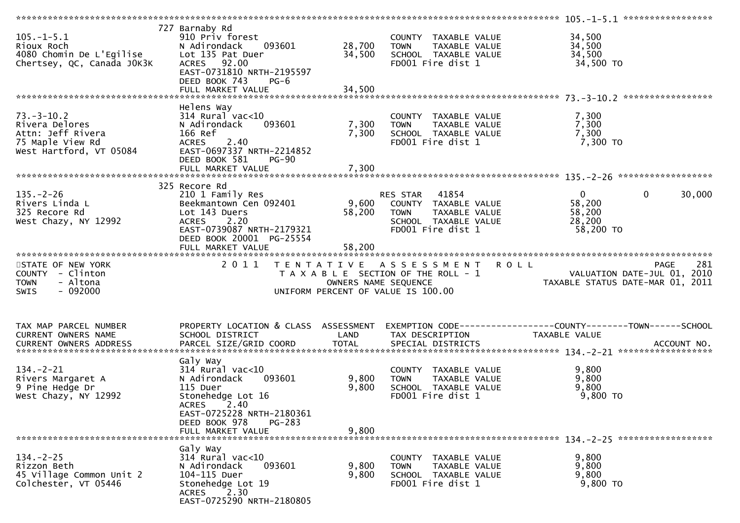| $105. -1 - 5.1$<br>Rioux Roch<br>4080 Chomin De L'Egilise<br>Chertsey, QC, Canada JOK3K                | 727 Barnaby Rd<br>910 Priv forest<br>N Adirondack<br>093601<br>Lot 135 Pat Duer<br>ACRES 92.00<br>EAST-0731810 NRTH-2195597<br>DEED BOOK 743<br>$PG-6$<br>FULL MARKET VALUE                      | 28,700<br>34,500<br>34,500 | COUNTY TAXABLE VALUE<br><b>TOWN</b><br>TAXABLE VALUE<br>SCHOOL TAXABLE VALUE<br>FD001 Fire dist 1                   | 34,500<br>34,500<br>34,500<br>34,500 TO                                         |             |
|--------------------------------------------------------------------------------------------------------|--------------------------------------------------------------------------------------------------------------------------------------------------------------------------------------------------|----------------------------|---------------------------------------------------------------------------------------------------------------------|---------------------------------------------------------------------------------|-------------|
|                                                                                                        |                                                                                                                                                                                                  |                            |                                                                                                                     |                                                                                 |             |
| $73. - 3 - 10.2$<br>Rivera Delores<br>Attn: Jeff Rivera<br>75 Maple View Rd<br>West Hartford, VT 05084 | Helens Way<br>$314$ Rural vac<10<br>093601<br>N Adirondack<br>166 Ref<br>ACRES 2.40<br>EAST-0697337 NRTH-2214852<br>DEED BOOK 581<br><b>PG-90</b>                                                | 7,300<br>7,300             | COUNTY TAXABLE VALUE<br><b>TOWN</b><br>TAXABLE VALUE<br>SCHOOL TAXABLE VALUE<br>FD001 Fire dist 1                   | 7,300<br>7,300<br>7,300<br>7,300 TO                                             |             |
|                                                                                                        | 325 Recore Rd                                                                                                                                                                                    |                            |                                                                                                                     |                                                                                 |             |
| $135. - 2 - 26$<br>Rivers Linda L<br>325 Recore Rd<br>West Chazy, NY 12992                             | 210 1 Family Res<br>Beekmantown Cen 092401<br>Lot 143 Duers<br>ACRES 2.20<br>EAST-0739087 NRTH-2179321<br>DEED BOOK 20001 PG-25554<br>FULL MARKET VALUE                                          | 9,600<br>58,200<br>58,200  | RES STAR 41854<br>COUNTY TAXABLE VALUE<br>TAXABLE VALUE<br><b>TOWN</b><br>SCHOOL TAXABLE VALUE<br>FD001 Fire dist 1 | $\overline{0}$<br>$\mathbf 0$<br>58,200<br>58,200<br>28,200<br>58,200 TO        | 30,000      |
|                                                                                                        |                                                                                                                                                                                                  |                            |                                                                                                                     |                                                                                 |             |
| STATE OF NEW YORK<br>COUNTY - Clinton<br>- Altona<br><b>TOWN</b><br>$-092000$<br><b>SWIS</b>           | 2011                                                                                                                                                                                             | OWNERS NAME SEQUENCE       | TENTATIVE ASSESSMENT<br>T A X A B L E SECTION OF THE ROLL - 1<br>UNIFORM PERCENT OF VALUE IS 100.00                 | <b>ROLL</b><br>VALUATION DATE-JUL 01, 2010<br>TAXABLE STATUS DATE-MAR 01, 2011  | 281<br>PAGE |
| TAX MAP PARCEL NUMBER<br>CURRENT OWNERS NAME                                                           | PROPERTY LOCATION & CLASS ASSESSMENT<br>SCHOOL DISTRICT                                                                                                                                          | LAND                       | TAX DESCRIPTION                                                                                                     | EXEMPTION CODE------------------COUNTY--------TOWN------SCHOOL<br>TAXABLE VALUE |             |
| $134. - 2 - 21$<br>Rivers Margaret A<br>9 Pine Hedge Dr<br>West Chazy, NY 12992                        | Galy Way<br>$314$ Rural vac<10<br>093601<br>N Adirondack<br>115 Duer<br>Stonehedge Lot 16<br>2.40<br><b>ACRES</b><br>EAST-0725228 NRTH-2180361<br>DEED BOOK 978<br>$PG-283$<br>FULL MARKET VALUE | 9,800<br>9,800<br>9,800    | COUNTY TAXABLE VALUE<br>TAXABLE VALUE<br><b>TOWN</b><br>SCHOOL TAXABLE VALUE<br>FD001 Fire dist 1                   | 9,800<br>9,800<br>9,800<br>$9,800$ TO                                           |             |
|                                                                                                        | Galy Way                                                                                                                                                                                         |                            |                                                                                                                     |                                                                                 |             |
| $134. -2 - 25$<br>Rizzon Beth<br>45 Village Common Unit 2<br>Colchester, VT 05446                      | $314$ Rural vac<10<br>N Adirondack<br>093601<br>104-115 Duer<br>Stonehedge Lot 19<br><b>ACRES</b><br>2.30<br>EAST-0725290 NRTH-2180805                                                           | 9,800<br>9,800             | COUNTY TAXABLE VALUE<br>TAXABLE VALUE<br><b>TOWN</b><br>SCHOOL TAXABLE VALUE<br>FD001 Fire dist 1                   | 9,800<br>9,800<br>9,800<br>9,800 TO                                             |             |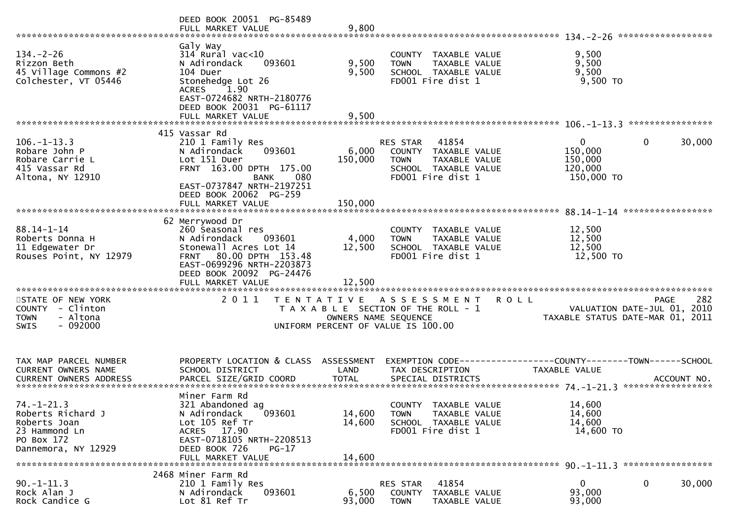|                                                                                                             | DEED BOOK 20051 PG-85489<br>FULL MARKET VALUE                                                                                                                                         | 9,800                   |                                                                                                     |               |                                                  | ******************                                                      |     |
|-------------------------------------------------------------------------------------------------------------|---------------------------------------------------------------------------------------------------------------------------------------------------------------------------------------|-------------------------|-----------------------------------------------------------------------------------------------------|---------------|--------------------------------------------------|-------------------------------------------------------------------------|-----|
| $134. - 2 - 26$<br>Rizzon Beth<br>45 Village Commons #2<br>Colchester, VT 05446                             | Galy Way<br>$314$ Rural vac<10<br>093601<br>N Adirondack<br>104 Duer<br>Stonehedge Lot 26<br>ACRES 1.90<br>EAST-0724682 NRTH-2180776<br>DEED BOOK 20031 PG-61117<br>FULL MARKET VALUE | 9,500<br>9,500<br>9,500 | COUNTY TAXABLE VALUE<br><b>TOWN</b><br>SCHOOL TAXABLE VALUE<br>FD001 Fire dist 1                    | TAXABLE VALUE | 9,500<br>9,500<br>9,500<br>9,500 TO              |                                                                         |     |
|                                                                                                             | 415 Vassar Rd                                                                                                                                                                         |                         |                                                                                                     |               |                                                  |                                                                         |     |
| $106. - 1 - 13.3$<br>Robare John P<br>Robare Carrie L<br>415 Vassar Rd<br>Altona, NY 12910                  | 210 1 Family Res<br>093601<br>N Adirondack<br>Lot 151 Duer<br>FRNT 163.00 DPTH 175.00<br><b>BANK</b><br>080<br>EAST-0737847 NRTH-2197251                                              | 6,000<br>150,000        | RES STAR 41854<br>COUNTY TAXABLE VALUE<br><b>TOWN</b><br>SCHOOL TAXABLE VALUE<br>FD001 Fire dist 1  | TAXABLE VALUE | 0<br>150,000<br>150,000<br>120,000<br>150,000 TO | 30,000<br>$\overline{0}$                                                |     |
|                                                                                                             | DEED BOOK 20062 PG-259<br>FULL MARKET VALUE                                                                                                                                           | 150,000                 |                                                                                                     |               |                                                  |                                                                         |     |
|                                                                                                             | 62 Merrywood Dr                                                                                                                                                                       |                         |                                                                                                     |               |                                                  |                                                                         |     |
| $88.14 - 1 - 14$<br>Roberts Donna H<br>11 Edgewater Dr<br>Rouses Point, NY 12979                            | 260 Seasonal res<br>N Adirondack<br>093601<br>Stonewall Acres Lot 14<br>80.00 DPTH 153.48<br><b>FRNT</b><br>EAST-0699296 NRTH-2203873<br>DEED BOOK 20092 PG-24476                     | 4,000<br>12,500         | COUNTY TAXABLE VALUE<br><b>TOWN</b><br>SCHOOL TAXABLE VALUE<br>FD001 Fire dist 1                    | TAXABLE VALUE | 12,500<br>12,500<br>12,500<br>12,500 TO          |                                                                         |     |
|                                                                                                             |                                                                                                                                                                                       |                         |                                                                                                     |               |                                                  |                                                                         |     |
|                                                                                                             |                                                                                                                                                                                       |                         |                                                                                                     |               |                                                  |                                                                         |     |
| STATE OF NEW YORK<br>COUNTY - Clinton<br>- Altona<br><b>TOWN</b><br>$-092000$<br><b>SWIS</b>                | 2011                                                                                                                                                                                  | OWNERS NAME SEQUENCE    | TENTATIVE ASSESSMENT<br>T A X A B L E SECTION OF THE ROLL - 1<br>UNIFORM PERCENT OF VALUE IS 100.00 | <b>ROLL</b>   |                                                  | PAGE<br>VALUATION DATE-JUL 01, 2010<br>TAXABLE STATUS DATE-MAR 01, 2011 | 282 |
|                                                                                                             |                                                                                                                                                                                       |                         |                                                                                                     |               |                                                  |                                                                         |     |
| TAX MAP PARCEL NUMBER<br><b>CURRENT OWNERS NAME</b><br><b>CURRENT OWNERS ADDRESS</b>                        | PROPERTY LOCATION & CLASS ASSESSMENT<br>SCHOOL DISTRICT<br>PARCEL SIZE/GRID COORD                                                                                                     | LAND<br><b>TOTAL</b>    | TAX DESCRIPTION<br>SPECIAL DISTRICTS                                                                |               | <b>TAXABLE VALUE</b>                             | ACCOUNT NO.                                                             |     |
|                                                                                                             | Miner Farm Rd                                                                                                                                                                         |                         |                                                                                                     |               |                                                  |                                                                         |     |
| $74. - 1 - 21.3$<br>Roberts Richard J<br>Roberts Joan<br>23 Hammond Ln<br>PO Box 172<br>Dannemora, NY 12929 | 321 Abandoned ag<br>$\left[093601\right]$<br>N Adirondack<br>Lot 105 Ref Tr<br>ACRES 17.90<br>EAST-0718105 NRTH-2208513<br>DEED BOOK 726<br>$PG-17$                                   | 14,600<br>14,600        | COUNTY TAXABLE VALUE<br><b>TOWN</b><br>SCHOOL TAXABLE VALUE<br>FD001 Fire dist 1                    | TAXABLE VALUE | 14,600<br>14,600<br>14,600<br>14,600 TO          |                                                                         |     |
|                                                                                                             | FULL MARKET VALUE                                                                                                                                                                     | 14,600                  |                                                                                                     |               |                                                  |                                                                         |     |
|                                                                                                             | 2468 Miner Farm Rd                                                                                                                                                                    |                         |                                                                                                     |               |                                                  |                                                                         |     |
| $90. -1 - 11.3$<br>Rock Alan J<br>Rock Candice G                                                            | 210 1 Family Res<br>N Adirondack<br>093601<br>Lot 81 Ref Tr                                                                                                                           | 6,500<br>93,000         | 41854<br>RES STAR<br>COUNTY TAXABLE VALUE<br><b>TOWN</b>                                            | TAXABLE VALUE | 0<br>93,000<br>93,000                            | 30,000<br>0                                                             |     |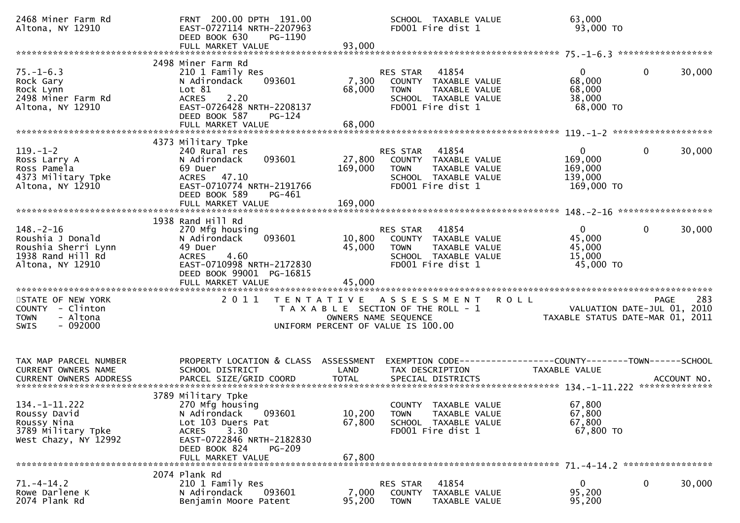| 2468 Miner Farm Rd<br>Altona, NY 12910                                                              | FRNT 200.00 DPTH 191.00<br>EAST-0727114 NRTH-2207963<br>DEED BOOK 630<br>PG-1190<br>FULL MARKET VALUE                                                                                | 93,000                                                                                              |                                | SCHOOL TAXABLE VALUE<br>FD001 Fire dist 1                                                   | 63,000<br>93,000 TO                                                             |              |        |
|-----------------------------------------------------------------------------------------------------|--------------------------------------------------------------------------------------------------------------------------------------------------------------------------------------|-----------------------------------------------------------------------------------------------------|--------------------------------|---------------------------------------------------------------------------------------------|---------------------------------------------------------------------------------|--------------|--------|
|                                                                                                     |                                                                                                                                                                                      |                                                                                                     |                                |                                                                                             |                                                                                 |              |        |
| $75. - 1 - 6.3$<br>Rock Gary<br>Rock Lynn<br>2498 Miner Farm Rd<br>Altona, NY 12910                 | 2498 Miner Farm Rd<br>210 1 Family Res<br>093601<br>N Adirondack<br>Lot 81<br>2.20<br><b>ACRES</b><br>EAST-0726428 NRTH-2208137<br>DEED BOOK 587<br>$PG-124$<br>FULL MARKET VALUE    | 7,300<br>68,000<br>68,000                                                                           | RES STAR<br><b>TOWN</b>        | 41854<br>COUNTY TAXABLE VALUE<br>TAXABLE VALUE<br>SCHOOL TAXABLE VALUE<br>FD001 Fire dist 1 | 0<br>68,000<br>68,000<br>38,000<br>68,000 TO                                    | $\mathbf{0}$ | 30,000 |
|                                                                                                     |                                                                                                                                                                                      |                                                                                                     |                                |                                                                                             |                                                                                 |              |        |
|                                                                                                     |                                                                                                                                                                                      |                                                                                                     |                                |                                                                                             |                                                                                 |              |        |
| $119. - 1 - 2$<br>Ross Larry A<br>Ross Pamela<br>4373 Military Tpke<br>Altona, NY 12910             | 4373 Military Tpke<br>240 Rural res<br>093601<br>N Adirondack<br>69 Duer<br>ACRES 47.10<br>EAST-0710774 NRTH-2191766<br>DEED BOOK 589<br>PG-461<br>FULL MARKET VALUE                 | 27,800<br>169,000<br>169,000                                                                        | RES STAR<br><b>TOWN</b>        | 41854<br>COUNTY TAXABLE VALUE<br>TAXABLE VALUE<br>SCHOOL TAXABLE VALUE<br>FD001 Fire dist 1 | 0<br>169,000<br>169,000<br>139,000<br>169,000 TO                                | 0            | 30,000 |
|                                                                                                     |                                                                                                                                                                                      |                                                                                                     |                                |                                                                                             |                                                                                 |              |        |
| $148. - 2 - 16$<br>Roushia J Donald<br>Roushia Sherri Lynn<br>1938 Rand Hill Rd<br>Altona, NY 12910 | 1938 Rand Hill Rd<br>270 Mfg housing<br>093601<br>N Adirondack<br>49 Duer<br>4.60<br><b>ACRES</b><br>EAST-0710998 NRTH-2172830<br>DEED BOOK 99001 PG-16815                           | 10,800<br>45,000                                                                                    | <b>RES STAR</b><br><b>TOWN</b> | 41854<br>COUNTY TAXABLE VALUE<br>TAXABLE VALUE<br>SCHOOL TAXABLE VALUE<br>FD001 Fire dist 1 | $\Omega$<br>45,000<br>45,000<br>15,000<br>45,000 TO                             | $\mathbf{0}$ | 30,000 |
|                                                                                                     |                                                                                                                                                                                      |                                                                                                     |                                |                                                                                             |                                                                                 |              |        |
| STATE OF NEW YORK<br>COUNTY - Clinton<br>- Altona<br><b>TOWN</b><br>$-092000$<br><b>SWIS</b>        | 2011                                                                                                                                                                                 | TENTATIVE ASSESSMENT<br>T A X A B L E SECTION OF THE ROLL - 1<br>UNIFORM PERCENT OF VALUE IS 100.00 | OWNERS NAME SEQUENCE           |                                                                                             | <b>ROLL</b><br>VALUATION DATE-JUL 01, 2010<br>TAXABLE STATUS DATE-MAR 01, 2011  | <b>PAGE</b>  | 283    |
| TAX MAP PARCEL NUMBER<br>CURRENT OWNERS NAME                                                        | PROPERTY LOCATION & CLASS ASSESSMENT<br>SCHOOL DISTRICT                                                                                                                              | LAND                                                                                                | TAX DESCRIPTION                |                                                                                             | EXEMPTION CODE------------------COUNTY--------TOWN------SCHOOL<br>TAXABLE VALUE |              |        |
| 134. -1 - 11. 222<br>Roussy David<br>Roussy Nina<br>3789 Military Tpke<br>West Chazy, NY 12992      | 3789 Military Tpke<br>270 Mfg housing<br>093601<br>N Adirondack<br>Lot 103 Duers Pat<br>3.30<br>ACRES<br>EAST-0722846 NRTH-2182830<br>DEED BOOK 824<br>$PG-209$<br>FULL MARKET VALUE | 10,200<br>67,800<br>67,800                                                                          | TOWN                           | COUNTY TAXABLE VALUE<br>TAXABLE VALUE<br>SCHOOL TAXABLE VALUE<br>FD001 Fire dist 1          | 67,800<br>67,800<br>67,800<br>67,800 TO                                         |              |        |
|                                                                                                     |                                                                                                                                                                                      |                                                                                                     |                                |                                                                                             |                                                                                 |              |        |
| $71. -4 - 14.2$<br>Rowe Darlene K<br>2074 Plank Rd                                                  | 2074 Plank Rd<br>210 1 Family Res<br>N Adirondack<br>093601<br>Benjamin Moore Patent                                                                                                 | 7,000<br>95,200                                                                                     | RES STAR<br><b>TOWN</b>        | 41854<br>COUNTY TAXABLE VALUE<br>TAXABLE VALUE                                              | 0<br>95,200<br>95,200                                                           | 0            | 30,000 |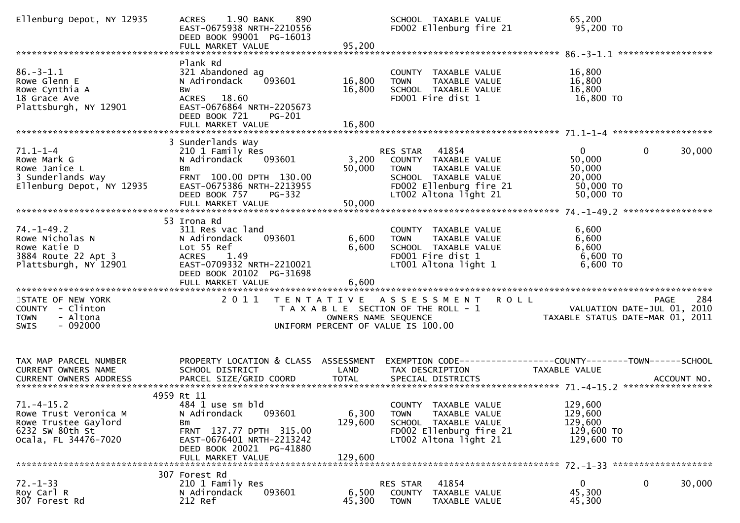| Ellenburg Depot, NY 12935                                                                                   | 1.90 BANK<br>890<br><b>ACRES</b><br>EAST-0675938 NRTH-2210556<br>DEED BOOK 99001 PG-16013<br>FULL MARKET VALUE                                                                       | 95,200                      | SCHOOL TAXABLE VALUE<br>FD002 Ellenburg fire 21                                                                                                    | 65,200<br>95,200 TO                                                            |                        |
|-------------------------------------------------------------------------------------------------------------|--------------------------------------------------------------------------------------------------------------------------------------------------------------------------------------|-----------------------------|----------------------------------------------------------------------------------------------------------------------------------------------------|--------------------------------------------------------------------------------|------------------------|
|                                                                                                             |                                                                                                                                                                                      |                             |                                                                                                                                                    |                                                                                |                        |
| $86. - 3 - 1.1$<br>Rowe Glenn E<br>Rowe Cynthia A<br>18 Grace Ave<br>Plattsburgh, NY 12901                  | Plank Rd<br>321 Abandoned ag<br>093601<br>N Adirondack<br>Bw<br>ACRES 18.60<br>EAST-0676864 NRTH-2205673<br>DEED BOOK 721<br>PG-201<br>FULL MARKET VALUE                             | 16,800<br>16,800<br>16,800  | COUNTY TAXABLE VALUE<br><b>TOWN</b><br>TAXABLE VALUE<br>SCHOOL TAXABLE VALUE<br>FD001 Fire dist 1                                                  | 16,800<br>16,800<br>16,800<br>16,800 TO                                        |                        |
|                                                                                                             |                                                                                                                                                                                      |                             |                                                                                                                                                    |                                                                                |                        |
| $71.1 - 1 - 4$<br>Rowe Mark G<br>Rowe Janice L<br>3 Sunderlands Way<br>Ellenburg Depot, NY 12935            | 3 Sunderlands Way<br>210 1 Family Res<br>N Adirondack<br>093601<br>Bm<br>FRNT 100.00 DPTH 130.00<br>EAST-0675386 NRTH-2213955<br>DEED BOOK 757<br><b>PG-332</b><br>FULL MARKET VALUE | 3,200<br>50,000<br>50,000   | RES STAR 41854<br>COUNTY TAXABLE VALUE<br><b>TOWN</b><br>TAXABLE VALUE<br>SCHOOL TAXABLE VALUE<br>FD002 Ellenburg fire 21<br>LT002 Altona light 21 | $\mathbf{0}$<br>50,000<br>50,000<br>20,000<br>50,000 TO<br>50,000 TO           | $\mathbf{0}$<br>30,000 |
|                                                                                                             | 53 Irona Rd                                                                                                                                                                          |                             |                                                                                                                                                    |                                                                                |                        |
| $74. - 1 - 49.2$<br>Rowe Nicholas N<br>Rowe Katie D<br>3884 Route 22 Apt 3<br>Plattsburgh, NY 12901         | 311 Res vac land<br>N Adirondack<br>093601<br>Lot 55 Ref<br>ACRES 1.49<br>EAST-0709332 NRTH-2210021<br>DEED BOOK 20102 PG-31698                                                      | 6,600<br>6,600              | COUNTY TAXABLE VALUE<br>TAXABLE VALUE<br><b>TOWN</b><br>SCHOOL TAXABLE VALUE<br>FD001 Fire dist 1<br>LT001 Altona light 1                          | 6,600<br>6,600<br>6,600<br>$6,600$ TO<br>6,600 TO                              |                        |
|                                                                                                             |                                                                                                                                                                                      |                             |                                                                                                                                                    |                                                                                |                        |
| STATE OF NEW YORK<br>COUNTY - Clinton<br>- Altona<br><b>TOWN</b><br>$-092000$<br>SWIS                       | 2011                                                                                                                                                                                 | OWNERS NAME SEQUENCE        | TENTATIVE ASSESSMENT<br>T A X A B L E SECTION OF THE ROLL - 1<br>UNIFORM PERCENT OF VALUE IS 100.00                                                | <b>ROLL</b><br>VALUATION DATE-JUL 01, 2010<br>TAXABLE STATUS DATE-MAR 01, 2011 | 284<br>PAGE            |
| TAX MAP PARCEL NUMBER<br>CURRENT OWNERS NAME                                                                | PROPERTY LOCATION & CLASS ASSESSMENT EXEMPTION CODE----------------COUNTY-------TOWN------SCHOOL<br>SCHOOL DISTRICT                                                                  | LAND                        | TAX DESCRIPTION                                                                                                                                    | <b>TAXABLE VALUE</b>                                                           |                        |
| $71. -4 - 15.2$<br>Rowe Trust Veronica M<br>Rowe Trustee Gaylord<br>6232 SW 80th St<br>Ocala, FL 34476-7020 | 4959 Rt 11<br>484 1 use sm bld<br>N Adirondack<br>093601<br>Bm<br>FRNT 137.77 DPTH 315.00<br>EAST-0676401 NRTH-2213242<br>DEED BOOK 20021 PG-41880<br>FULL MARKET VALUE              | 6,300<br>129,600<br>129,600 | COUNTY TAXABLE VALUE<br><b>TOWN</b><br>TAXABLE VALUE<br>SCHOOL TAXABLE VALUE<br>FD002 Ellenburg fire 21<br>LT002 Altona light 21                   | 129,600<br>129,600<br>129,600<br>129,600 TO<br>129,600 TO                      |                        |
|                                                                                                             |                                                                                                                                                                                      |                             |                                                                                                                                                    |                                                                                |                        |
| $72. - 1 - 33$<br>Roy Carl R<br>307 Forest Rd                                                               | 307 Forest Rd<br>210 1 Family Res<br>093601<br>N Adirondack<br>212 Ref                                                                                                               | 6,500<br>45,300             | 41854<br>RES STAR<br>COUNTY TAXABLE VALUE<br><b>TOWN</b><br>TAXABLE VALUE                                                                          | 0<br>45,300<br>45,300                                                          | $\mathbf{0}$<br>30,000 |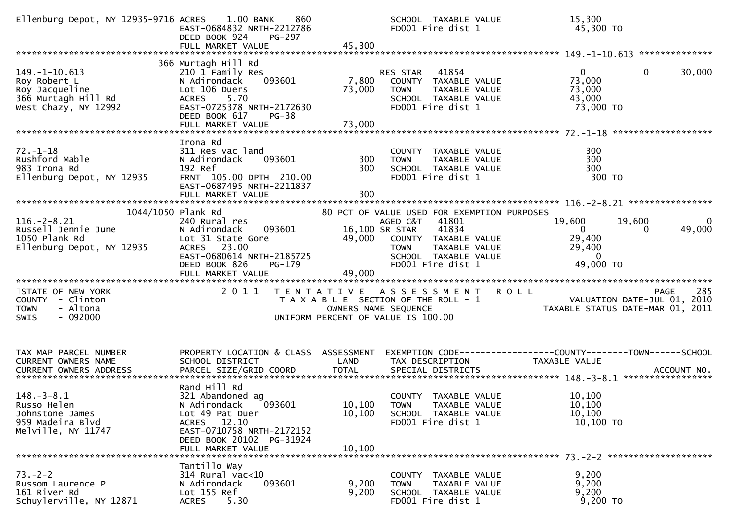| Ellenburg Depot, NY 12935-9716 ACRES 1.00 BANK                                                               | 860<br>EAST-0684832 NRTH-2212786<br>DEED BOOK 924<br>PG-297<br>FULL MARKET VALUE                                                                                           | 45,300           | SCHOOL TAXABLE VALUE<br>FD001 Fire dist 1                                                                                                                                                     | 15,300<br>45,300 TO                                                                                         |
|--------------------------------------------------------------------------------------------------------------|----------------------------------------------------------------------------------------------------------------------------------------------------------------------------|------------------|-----------------------------------------------------------------------------------------------------------------------------------------------------------------------------------------------|-------------------------------------------------------------------------------------------------------------|
|                                                                                                              |                                                                                                                                                                            |                  |                                                                                                                                                                                               |                                                                                                             |
| $149. - 1 - 10.613$<br>Roy Robert L<br>Roy Jacqueline<br>366 Murtagh Hill Rd<br>West Chazy, NY 12992         | 366 Murtagh Hill Rd<br>210 1 Family Res<br>093601<br>N Adirondack<br>Lot 106 Duers<br>ACRES 5.70<br>EAST-0725378 NRTH-2172630<br>DEED BOOK 617<br>PG-38                    | 7,800<br>73,000  | RES STAR 41854<br>COUNTY TAXABLE VALUE<br><b>TOWN</b><br>TAXABLE VALUE<br>SCHOOL TAXABLE VALUE<br>FD001 Fire dist 1                                                                           | $\overline{0}$<br>$\Omega$<br>30,000<br>73,000<br>73,000<br>43,000<br>73,000 TO                             |
|                                                                                                              |                                                                                                                                                                            |                  |                                                                                                                                                                                               |                                                                                                             |
| $72. - 1 - 18$<br>Rushford Mable<br>983 Irona Rd<br>Ellenburg Depot, NY 12935                                | Irona Rd<br>311 Res vac land<br>093601<br>N Adirondack<br>192 Ref<br>FRNT 105.00 DPTH 210.00<br>EAST-0687495 NRTH-2211837                                                  | 300<br>300       | COUNTY TAXABLE VALUE<br>TAXABLE VALUE<br><b>TOWN</b><br>SCHOOL TAXABLE VALUE<br>FD001 Fire dist 1                                                                                             | 300<br>300<br>300<br>300 TO                                                                                 |
|                                                                                                              |                                                                                                                                                                            |                  |                                                                                                                                                                                               |                                                                                                             |
| 1044/1050 Plank Rd<br>$116. - 2 - 8.21$<br>Russell Jennie June<br>1050 Plank Rd<br>Ellenburg Depot, NY 12935 | 240 Rural res<br>093601<br>N Adirondack<br>Lot 31 State Gore<br>ACRES 23.00<br>EAST-0680614 NRTH-2185725<br>DEED BOOK 826<br>PG-179<br>FULL MARKET VALUE                   | 49,000<br>49,000 | 80 PCT OF VALUE USED FOR EXEMPTION PURPOSES<br>AGED C&T 41801<br>41834<br>16,100 SR STAR<br>COUNTY TAXABLE VALUE<br><b>TOWN</b><br>TAXABLE VALUE<br>SCHOOL TAXABLE VALUE<br>FD001 Fire dist 1 | $\mathbf 0$<br>19,600<br>19,600<br>49,000<br>$\mathbf{0}$<br>0<br>29,400<br>29,400<br>$\sim$ 0<br>49,000 TO |
|                                                                                                              |                                                                                                                                                                            |                  |                                                                                                                                                                                               |                                                                                                             |
| STATE OF NEW YORK<br>COUNTY - Clinton<br>- Altona<br><b>TOWN</b><br>$-092000$<br><b>SWIS</b>                 | 2011                                                                                                                                                                       |                  | TENTATIVE ASSESSMENT<br>T A X A B L E SECTION OF THE ROLL - 1<br>OWNERS NAME SEQUENCE<br>UNIFORM PERCENT OF VALUE IS 100.00                                                                   | <b>ROLL</b><br>285<br>PAGE<br>VALUATION DATE-JUL 01, 2010<br>7AXABLE STATUS DATE-MAR 01, 2011               |
| TAX MAP PARCEL NUMBER<br>CURRENT OWNERS NAME                                                                 | PROPERTY LOCATION & CLASS ASSESSMENT<br>SCHOOL DISTRICT                                                                                                                    | LAND             | TAX DESCRIPTION                                                                                                                                                                               | EXEMPTION CODE------------------COUNTY--------TOWN------SCHOOL<br>TAXABLE VALUE                             |
| $148. - 3 - 8.1$<br>Russo Helen<br>Johnstone James<br>959 Madeira Blvd<br>Melville, NY 11747                 | Rand Hill Rd<br>321 Abandoned ag<br>093601<br>N Adirondack<br>Lot 49 Pat Duer<br>ACRES 12.10<br>EAST-0710758 NRTH-2172152<br>DEED BOOK 20102 PG-31924<br>FULL MARKET VALUE | 10,100<br>10,100 | COUNTY TAXABLE VALUE<br>10,100 TOWN TAXABLE VALUE<br>SCHOOL TAXABLE VALUE<br>FD001 Fire dist 1                                                                                                | 10,100<br>10,100<br>10,100<br>$10,100$ TO                                                                   |
|                                                                                                              | Tantillo Way                                                                                                                                                               |                  |                                                                                                                                                                                               |                                                                                                             |
| $73. - 2 - 2$<br>Russom Laurence P<br>161 River Rd<br>Schuylerville, NY 12871                                | $314$ Rural vac<10<br>093601<br>N Adirondack<br>Lot 155 Ref<br>5.30<br><b>ACRES</b>                                                                                        | 9,200<br>9,200   | COUNTY TAXABLE VALUE<br>TAXABLE VALUE<br><b>TOWN</b><br>SCHOOL TAXABLE VALUE<br>FD001 Fire dist 1                                                                                             | 9,200<br>9,200<br>9,200<br>9,200 TO                                                                         |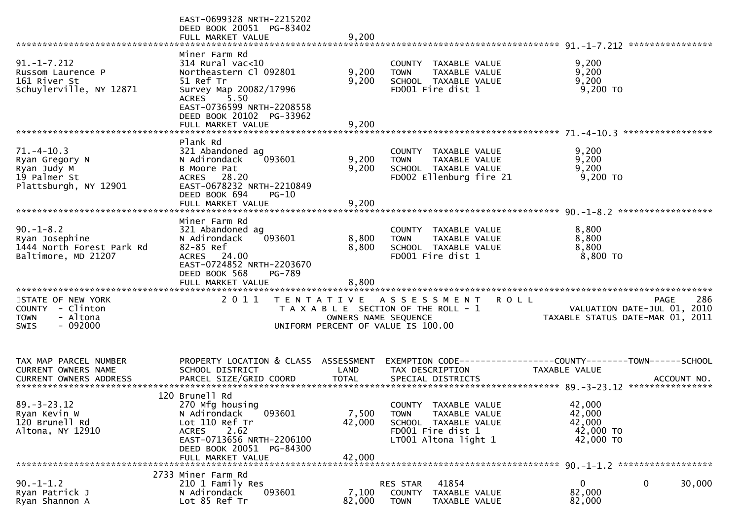|                                                                                              | EAST-0699328 NRTH-2215202<br>DEED BOOK 20051 PG-83402<br>FULL MARKET VALUE                                                                                                                       | 9,200                     |                                                                                                                           |                                                                                                     |        |
|----------------------------------------------------------------------------------------------|--------------------------------------------------------------------------------------------------------------------------------------------------------------------------------------------------|---------------------------|---------------------------------------------------------------------------------------------------------------------------|-----------------------------------------------------------------------------------------------------|--------|
| $91. -1 - 7.212$<br>Russom Laurence P<br>161 River St<br>Schuylerville, NY 12871             | Miner Farm Rd<br>$314$ Rural vac<10<br>Northeastern Cl 092801<br>51 Ref Tr<br>Survey Map 20082/17996<br>ACRES 5.50<br>EAST-0736599 NRTH-2208558<br>DEED BOOK 20102 PG-33962<br>FULL MARKET VALUE | 9,200<br>9,200<br>9,200   | COUNTY TAXABLE VALUE<br>TAXABLE VALUE<br><b>TOWN</b><br>SCHOOL TAXABLE VALUE<br>FD001 Fire dist 1                         | 9,200<br>9,200<br>9,200<br>$9,200$ TO                                                               |        |
|                                                                                              |                                                                                                                                                                                                  |                           |                                                                                                                           |                                                                                                     |        |
| $71. - 4 - 10.3$<br>Ryan Gregory N<br>Ryan Judy M<br>19 Palmer St<br>Plattsburgh, NY 12901   | Plank Rd<br>321 Abandoned ag<br>093601<br>N Adirondack<br>B Moore Pat<br>ACRES 28.20<br>EAST-0678232 NRTH-2210849<br>DEED BOOK 694<br>$PG-10$                                                    | 9,200<br>9,200            | COUNTY TAXABLE VALUE<br>TAXABLE VALUE<br><b>TOWN</b><br>SCHOOL TAXABLE VALUE<br>FD002 Ellenburg fire 21                   | 9,200<br>9,200<br>9,200<br>9,200 TO                                                                 |        |
|                                                                                              | FULL MARKET VALUE                                                                                                                                                                                | 9,200                     |                                                                                                                           |                                                                                                     |        |
|                                                                                              |                                                                                                                                                                                                  |                           |                                                                                                                           |                                                                                                     |        |
| $90. -1 - 8.2$<br>Ryan Josephine<br>1444 North Forest Park Rd<br>Baltimore, MD 21207         | Miner Farm Rd<br>321 Abandoned ag<br>N Adirondack<br>093601<br>82-85 Ref<br>ACRES 24.00<br>EAST-0724852 NRTH-2203670<br>DEED BOOK 568<br>PG-789                                                  | 8,800<br>8,800<br>8,800   | COUNTY TAXABLE VALUE<br>TAXABLE VALUE<br><b>TOWN</b><br>SCHOOL TAXABLE VALUE<br>FD001 Fire dist 1                         | 8,800<br>8,800<br>8,800<br>8,800 TO                                                                 |        |
|                                                                                              | 2011                                                                                                                                                                                             |                           |                                                                                                                           | PAGE                                                                                                | 286    |
| STATE OF NEW YORK<br>COUNTY - Clinton<br>- Altona<br><b>TOWN</b><br>$-092000$<br><b>SWIS</b> |                                                                                                                                                                                                  | OWNERS NAME SEQUENCE      | TENTATIVE ASSESSMENT<br><b>ROLL</b><br>T A X A B L E SECTION OF THE ROLL - 1<br>UNIFORM PERCENT OF VALUE IS 100.00        | VALUATION DATE-JUL 01,<br>TAXABLE STATUS DATE-MAR 01, 2011                                          | 2010   |
| TAX MAP PARCEL NUMBER<br><b>CURRENT OWNERS NAME</b><br><b>CURRENT OWNERS ADDRESS</b>         | PROPERTY LOCATION & CLASS ASSESSMENT<br>SCHOOL DISTRICT<br>PARCEL SIZE/GRID COORD                                                                                                                | LAND<br><b>TOTAL</b>      | TAX DESCRIPTION<br>SPECIAL DISTRICTS                                                                                      | EXEMPTION CODE-----------------COUNTY-------TOWN------SCHOOL<br><b>TAXABLE VALUE</b><br>ACCOUNT NO. |        |
|                                                                                              | 120 Brunell Rd                                                                                                                                                                                   |                           |                                                                                                                           |                                                                                                     |        |
| $89. - 3 - 23.12$<br>Ryan Kevin W<br>120 Brunell Rd<br>Altona, NY 12910                      | 270 Mfg housing<br>093601<br>N Adirondack<br>Lot 110 Ref Tr<br>2.62<br>ACRES<br>EAST-0713656 NRTH-2206100<br>DEED BOOK 20051 PG-84300<br>FULL MARKET VALUE                                       | 7,500<br>42,000<br>42,000 | COUNTY TAXABLE VALUE<br><b>TOWN</b><br>TAXABLE VALUE<br>SCHOOL TAXABLE VALUE<br>FD001 Fire dist 1<br>LT001 Altona light 1 | 42,000<br>42,000<br>42,000<br>42,000 TO<br>42,000 TO                                                |        |
|                                                                                              | 2733 Miner Farm Rd                                                                                                                                                                               |                           |                                                                                                                           |                                                                                                     |        |
| $90. - 1 - 1.2$<br>Ryan Patrick J<br>Ryan Shannon A                                          | 210 1 Family Res<br>093601<br>N Adirondack<br>Lot 85 Ref Tr                                                                                                                                      | 7,100<br>82,000           | 41854<br><b>RES STAR</b><br>COUNTY<br>TAXABLE VALUE<br><b>TOWN</b><br>TAXABLE VALUE                                       | 0<br>0<br>82,000<br>82,000                                                                          | 30,000 |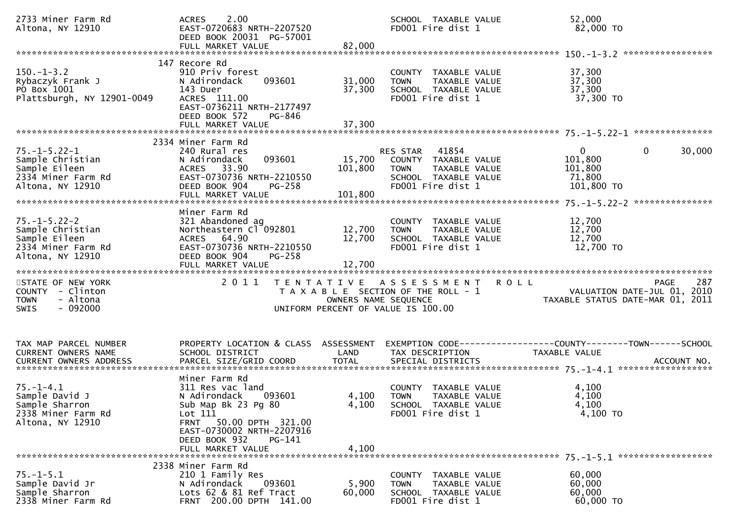| 2733 Miner Farm Rd<br>Altona, NY 12910                                                              | 2.00<br><b>ACRES</b><br>EAST-0720683 NRTH-2207520<br>DEED BOOK 20031 PG-57001                                                                                        |                                           | SCHOOL TAXABLE VALUE<br>FD001 Fire dist 1                                                                              | 52,000<br>82,000 TO                                        |                                                   |
|-----------------------------------------------------------------------------------------------------|----------------------------------------------------------------------------------------------------------------------------------------------------------------------|-------------------------------------------|------------------------------------------------------------------------------------------------------------------------|------------------------------------------------------------|---------------------------------------------------|
|                                                                                                     |                                                                                                                                                                      |                                           |                                                                                                                        |                                                            |                                                   |
| $150 - 1 - 3.2$<br>Rybaczyk Frank J<br>PO Box 1001<br>Plattsburgh, NY 12901-0049                    | 147 Recore Rd<br>910 Priv forest<br>093601<br>N Adirondack<br>143 Duer<br>ACRES 111.00<br>EAST-0736211 NRTH-2177497<br>DEED BOOK 572<br>PG-846                       | 31,000<br>37,300                          | COUNTY TAXABLE VALUE<br>TAXABLE VALUE<br><b>TOWN</b><br>SCHOOL TAXABLE VALUE<br>FD001 Fire dist 1                      | 37,300<br>37,300<br>37,300<br>37,300 TO                    |                                                   |
|                                                                                                     | FULL MARKET VALUE                                                                                                                                                    | 37,300                                    |                                                                                                                        |                                                            |                                                   |
|                                                                                                     |                                                                                                                                                                      |                                           |                                                                                                                        |                                                            |                                                   |
| $75. - 1 - 5.22 - 1$<br>Sample Christian<br>Sample Eileen<br>2334 Miner Farm Rd<br>Altona, NY 12910 | 2334 Miner Farm Rd<br>240 Rural res<br>093601<br>N Adirondack<br>ACRES 33.90<br>EAST-0730736 NRTH-2210550<br>DEED BOOK 904<br><b>PG-258</b><br>FULL MARKET VALUE     | 15,700<br>101,800<br>101,800              | 41854<br>RES STAR<br>COUNTY TAXABLE VALUE<br><b>TOWN</b><br>TAXABLE VALUE<br>SCHOOL TAXABLE VALUE<br>FD001 Fire dist 1 | $\mathbf{0}$<br>101,800<br>101,800<br>71,800<br>101,800 TO | $\mathbf{0}$<br>30,000                            |
|                                                                                                     |                                                                                                                                                                      |                                           |                                                                                                                        |                                                            |                                                   |
| $75. - 1 - 5.22 - 2$<br>Sample Christian<br>Sample Eileen<br>2334 Miner Farm Rd<br>Altona, NY 12910 | Miner Farm Rd<br>321 Abandoned ag<br>Northeastern Cl <sup>-</sup> 092801<br>ACRES 64.90<br>EAST-0730736 NRTH-2210550<br>DEED BOOK 904<br>PG-258<br>FULL MARKET VALUE | 12,700<br>12,700<br>12,700                | COUNTY TAXABLE VALUE<br>TAXABLE VALUE<br><b>TOWN</b><br>SCHOOL TAXABLE VALUE<br>FD001 Fire dist 1                      | 12,700<br>12,700<br>12,700<br>12,700 TO                    |                                                   |
| STATE OF NEW YORK<br>COUNTY - Clinton<br>- Altona<br><b>TOWN</b><br>- 092000<br>SWIS                | 2011                                                                                                                                                                 | T E N T A T I V E<br>OWNERS NAME SEQUENCE | A S S E S S M E N T<br>T A X A B L E SECTION OF THE ROLL - 1<br>UNIFORM PERCENT OF VALUE IS 100.00                     | <b>ROLL</b><br>TAXABLE STATUS DATE-MAR 01, 2011            | 287<br><b>PAGE</b><br>VALUATION DATE-JUL 01, 2010 |
|                                                                                                     |                                                                                                                                                                      |                                           |                                                                                                                        |                                                            |                                                   |
| TAX MAP PARCEL NUMBER<br>CURRENT OWNERS NAME                                                        | PROPERTY LOCATION & CLASS ASSESSMENT<br>SCHOOL DISTRICT                                                                                                              | LAND                                      | TAX DESCRIPTION                                                                                                        | TAXABLE VALUE                                              |                                                   |
|                                                                                                     |                                                                                                                                                                      |                                           |                                                                                                                        |                                                            |                                                   |
| $75. - 1 - 4.1$<br>Sample David J<br>Sample Sharron<br>2338 Miner Farm Rd<br>Altona, NY 12910       | Miner Farm Rd<br>311 Res vac land<br>N Adirondack<br>093601<br>Sub Map Bk 23 Pg 80<br>Lot 111<br><b>FRNT</b><br>50.00 DPTH 321.00<br>EAST-0730002 NRTH-2207916       | 4,100<br>4,100                            | COUNTY TAXABLE VALUE<br><b>TOWN</b><br>TAXABLE VALUE<br>SCHOOL TAXABLE VALUE<br>FD001 Fire dist 1                      | 4,100<br>4,100<br>4,100<br>4,100 TO                        |                                                   |
|                                                                                                     | DEED BOOK 932<br>PG-141<br>FULL MARKET VALUE                                                                                                                         | 4,100                                     |                                                                                                                        |                                                            |                                                   |
|                                                                                                     |                                                                                                                                                                      |                                           |                                                                                                                        |                                                            |                                                   |
| $75. - 1 - 5.1$<br>Sample David Jr<br>Sample Sharron<br>2338 Miner Farm Rd                          | 2338 Miner Farm Rd<br>210 1 Family Res<br>N Adirondack<br>093601<br>Lots 62 & 81 Ref Tract<br>FRNT 200.00 DPTH 141.00                                                | 5,900<br>60,000                           | COUNTY TAXABLE VALUE<br>TAXABLE VALUE<br><b>TOWN</b><br>SCHOOL TAXABLE VALUE<br>FD001 Fire dist 1                      | 60,000<br>60,000<br>60,000<br>60,000 TO                    |                                                   |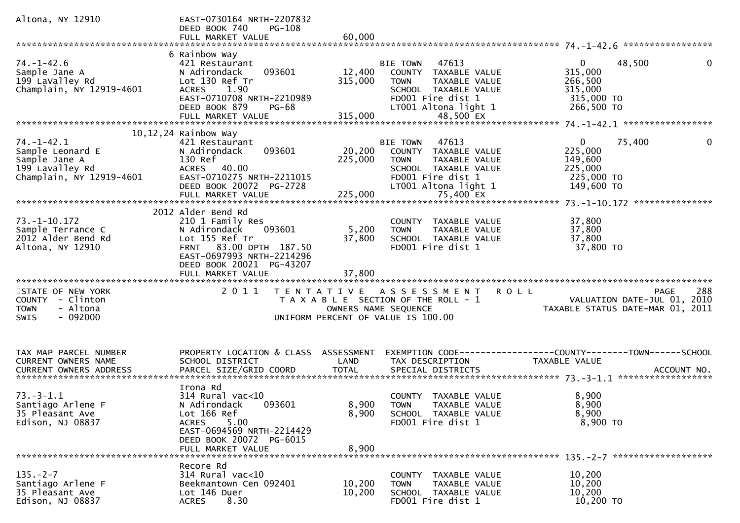| Altona, NY 12910                                                                                     | EAST-0730164 NRTH-2207832<br>DEED BOOK 740<br>PG-108                                                                                                                                       |                           |                                                                                                                                             |                                                                                                          |
|------------------------------------------------------------------------------------------------------|--------------------------------------------------------------------------------------------------------------------------------------------------------------------------------------------|---------------------------|---------------------------------------------------------------------------------------------------------------------------------------------|----------------------------------------------------------------------------------------------------------|
|                                                                                                      |                                                                                                                                                                                            |                           |                                                                                                                                             |                                                                                                          |
| $74. - 1 - 42.6$<br>Sample Jane A<br>199 LaValley Rd<br>Champlain, NY 12919-4601                     | 6 Rainbow Way<br>421 Restaurant<br>093601<br>N Adirondack<br>Lot 130 Ref Tr<br>ACRES 1.90<br>EAST-0710708 NRTH-2210989<br>DEED BOOK 879<br><b>PG-68</b>                                    | 12,400<br>315,000         | BIE TOWN 47613<br>COUNTY TAXABLE VALUE<br><b>TOWN</b><br>TAXABLE VALUE<br>SCHOOL TAXABLE VALUE<br>FD001 Fire dist 1<br>LT001 Altona light 1 | $\overline{0}$<br>48,500<br>$\mathbf{0}$<br>315,000<br>266,500<br>315,000<br>$315,000$ TO<br>266,500 TO  |
|                                                                                                      |                                                                                                                                                                                            |                           |                                                                                                                                             |                                                                                                          |
|                                                                                                      | 10,12,24 Rainbow Way                                                                                                                                                                       |                           |                                                                                                                                             |                                                                                                          |
| $74. - 1 - 42.1$<br>Sample Leonard E<br>Sample Jane A<br>199 Lavalley Rd<br>Champlain, NY 12919-4601 | 421 Restaurant<br>093601<br>N Adirondack<br>130 Ref<br>ACRES 40.00<br>EAST-0710275 NRTH-2211015<br>DEED BOOK 20072 PG-2728<br>G LLO                                                        | 225,000                   | BIE TOWN 47613<br>20,200 COUNTY TAXABLE VALUE<br>TAXABLE VALUE<br>TOWN<br>SCHOOL TAXABLE VALUE<br>FD001 Fire dist 1<br>LT001 Altona light 1 | $0 \qquad \qquad$<br>75,400<br>$\mathbf{0}$<br>225,000<br>149,600<br>225,000<br>225,000 TO<br>149,600 TO |
|                                                                                                      |                                                                                                                                                                                            |                           |                                                                                                                                             |                                                                                                          |
| $73. - 1 - 10.172$<br>Sample Terrance C<br>2012 Alder Bend Rd<br>Altona, NY 12910                    | 2012 Alder Bend Rd<br>210 1 Family Res<br>093601<br>N Adirondack<br>Lot 155 Ref Tr<br>FRNT 83.00 DPTH 187.50<br>EAST-0697993 NRTH-2214296<br>DEED BOOK 20021 PG-43207<br>FULL MARKET VALUE | 5,200<br>37,800<br>37,800 | COUNTY TAXABLE VALUE<br>TAXABLE VALUE<br>TOWN<br>SCHOOL TAXABLE VALUE<br>FD001 Fire dist 1                                                  | 37,800<br>37,800<br>37,800<br>37,800 TO                                                                  |
|                                                                                                      |                                                                                                                                                                                            |                           |                                                                                                                                             |                                                                                                          |
| STATE OF NEW YORK<br>COUNTY - Clinton<br>- Altona<br><b>TOWN</b><br>$-092000$<br><b>SWIS</b>         | 2011                                                                                                                                                                                       |                           | TENTATIVE ASSESSMENT ROLL<br>T A X A B L E SECTION OF THE ROLL - 1<br>OWNERS NAME SEQUENCE<br>UNIFORM PERCENT OF VALUE IS 100.00            | 288<br>PAGE<br>ROLL - 1 NOSE - VALUATION DATE-JUL 01, 2010<br>TAXABLE STATUS DATE-MAR 01, 2011           |
| TAX MAP PARCEL NUMBER<br>CURRENT OWNERS NAME                                                         | PROPERTY LOCATION & CLASS ASSESSMENT<br>SCHOOL DISTRICT                                                                                                                                    | LAND                      | TAX DESCRIPTION                                                                                                                             | EXEMPTION CODE-----------------COUNTY-------TOWN------SCHOOL<br>TAXABLE VALUE                            |
| $73.-3-1.1$<br>Santiago Arlene F<br>35 Pleasant Ave<br>Edison, NJ 08837                              | Irona Rd<br>$314$ Rural vac<10<br>N Adirondack 093601<br>Lot 166 Ref<br><b>ACRES</b><br>5.00<br>EAST-0694569 NRTH-2214429<br>DEED BOOK 20072 PG-6015<br>FULL MARKET VALUE                  | 8,900<br>8,900            | COUNTY TAXABLE VALUE<br>8,900 TOWN TAXABLE VALUE<br>SCHOOL TAXABLE VALUE<br>FD001 Fire dist 1                                               | 8,900<br>8,900<br>8,900<br>8,900 то                                                                      |
| $135. - 2 - 7$<br>Santiago Arlene F<br>35 Pleasant Ave<br>Edison, NJ 08837                           | Recore Rd<br>314 Rural vac<10<br>Beekmantown Cen 092401<br>Lot 146 Duer<br>8.30<br><b>ACRES</b>                                                                                            | 10,200<br>10,200          | COUNTY TAXABLE VALUE<br>TAXABLE VALUE<br><b>TOWN</b><br>SCHOOL TAXABLE VALUE<br>FD001 Fire dist 1                                           | 10,200<br>10,200<br>10,200<br>10,200 TO                                                                  |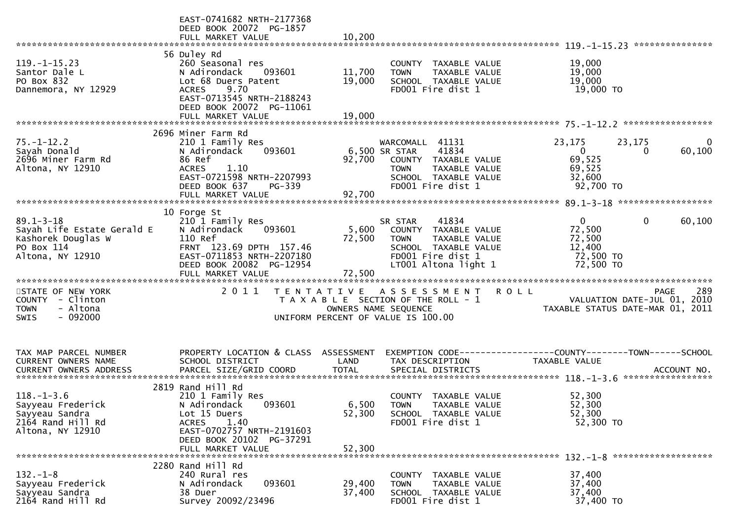|                                                                                                       | EAST-0741682 NRTH-2177368<br>DEED BOOK 20072 PG-1857<br>FULL MARKET VALUE                                                                                                              | 10,200                     |                                                                                                                                                       |                                                                                |                                                |
|-------------------------------------------------------------------------------------------------------|----------------------------------------------------------------------------------------------------------------------------------------------------------------------------------------|----------------------------|-------------------------------------------------------------------------------------------------------------------------------------------------------|--------------------------------------------------------------------------------|------------------------------------------------|
| $119. - 1 - 15.23$<br>Santor Dale L<br>PO Box 832<br>Dannemora, NY 12929                              | 56 Duley Rd<br>260 Seasonal res<br>N Adirondack<br>093601<br>Lot 68 Duers Patent<br>9.70<br><b>ACRES</b><br>EAST-0713545 NRTH-2188243<br>DEED BOOK 20072 PG-11061<br>FULL MARKET VALUE | 11,700<br>19,000<br>19,000 | COUNTY TAXABLE VALUE<br><b>TOWN</b><br>TAXABLE VALUE<br>SCHOOL TAXABLE VALUE<br>FD001 Fire dist 1                                                     | 19,000<br>19,000<br>19,000<br>19,000 TO                                        |                                                |
|                                                                                                       | 2696 Miner Farm Rd                                                                                                                                                                     |                            |                                                                                                                                                       |                                                                                |                                                |
| $75. - 1 - 12.2$<br>Sayah Donald<br>2696 Miner Farm Rd<br>Altona, NY 12910                            | 210 1 Family Res<br>093601<br>N Adirondack<br>86 Ref<br>1.10<br><b>ACRES</b><br>EAST-0721598 NRTH-2207993<br>DEED BOOK 637<br>PG-339                                                   |                            | WARCOMALL 41131<br>41834<br>6,500 SR STAR<br>92,700 COUNTY TAXABLE VALUE<br><b>TOWN</b><br>TAXABLE VALUE<br>SCHOOL TAXABLE VALUE<br>FD001 Fire dist 1 | 23,175<br>$\mathbf{0}$<br>69,525<br>69,525<br>32,600<br>92,700 TO              | $\overline{0}$<br>23,175<br>60,100<br>$\Omega$ |
|                                                                                                       | 10 Forge St                                                                                                                                                                            |                            |                                                                                                                                                       |                                                                                |                                                |
| $89.1 - 3 - 18$<br>Sayah Life Estate Gerald E<br>Kashorek Douglas W<br>PO Box 114<br>Altona, NY 12910 | 210 1 Family Res<br>093601<br>N Adirondack<br>110 Ref<br>FRNT 123.69 DPTH 157.46<br>EAST-0711853 NRTH-2207180<br>DEED BOOK 20082 PG-12954                                              | 5,600<br>72,500            | 41834<br>SR STAR<br>COUNTY TAXABLE VALUE<br>TAXABLE VALUE<br>TOWN<br>SCHOOL TAXABLE VALUE<br>FD001 Fire dist 1<br>LT001 Altona light 1                | $\mathbf{0}$<br>72,500<br>72,500<br>12,400<br>72,500 TO<br>72,500 TO           | $\mathbf 0$<br>60,100                          |
|                                                                                                       | FULL MARKET VALUE                                                                                                                                                                      | 72,500                     |                                                                                                                                                       |                                                                                |                                                |
| STATE OF NEW YORK<br>COUNTY - Clinton<br>- Altona<br><b>TOWN</b><br>$-092000$<br><b>SWIS</b>          | 2011                                                                                                                                                                                   |                            | TENTATIVE ASSESSMENT<br>T A X A B L E SECTION OF THE ROLL - 1<br>OWNERS NAME SEQUENCE<br>UNIFORM PERCENT OF VALUE IS 100.00                           | <b>ROLL</b><br>VALUATION DATE-JUL 01, 2010<br>TAXABLE STATUS DATE-MAR 01, 2011 | 289<br><b>PAGE</b>                             |
| TAX MAP PARCEL NUMBER                                                                                 | PROPERTY LOCATION & CLASS ASSESSMENT                                                                                                                                                   |                            |                                                                                                                                                       |                                                                                |                                                |
| CURRENT OWNERS NAME                                                                                   | SCHOOL DISTRICT                                                                                                                                                                        | LAND                       | TAX DESCRIPTION                                                                                                                                       | TAXABLE VALUE                                                                  |                                                |
|                                                                                                       |                                                                                                                                                                                        |                            |                                                                                                                                                       |                                                                                |                                                |
| $118. - 1 - 3.6$<br>Sayyeau Frederick<br>Sayyeau Sandra<br>2164 Rand Hill Rd<br>Altona, NY 12910      | 2819 Rand Hill Rd<br>210 1 Family Res<br>N Adirondack 093601<br>Lot 15 Duers<br><b>ACRES</b><br>1.40<br>EAST-0702757 NRTH-2191603<br>DEED BOOK 20102 PG-37291                          | 52,300<br>52,300           | COUNTY TAXABLE VALUE<br>6,500 TOWN TAXABLE VALUE<br>SCHOOL TAXABLE VALUE<br>FD001 Fire dist 1                                                         | 52,300<br>52,300<br>52,300<br>52,300 TO                                        |                                                |
|                                                                                                       | FULL MARKET VALUE                                                                                                                                                                      |                            |                                                                                                                                                       |                                                                                |                                                |
| $132 - 1 - 8$<br>Sayyeau Frederick<br>Sayyeau Sandra<br>2164 Rand Hill Rd                             | 2280 Rand Hill Rd<br>240 Rural res<br>093601<br>N Adirondack<br>38 Duer<br>Survey 20092/23496                                                                                          | 29,400<br>37,400           | COUNTY TAXABLE VALUE<br>TAXABLE VALUE<br><b>TOWN</b><br>SCHOOL TAXABLE VALUE<br>FD001 Fire dist 1                                                     | 37,400<br>37,400<br>37,400<br>37,400 TO                                        |                                                |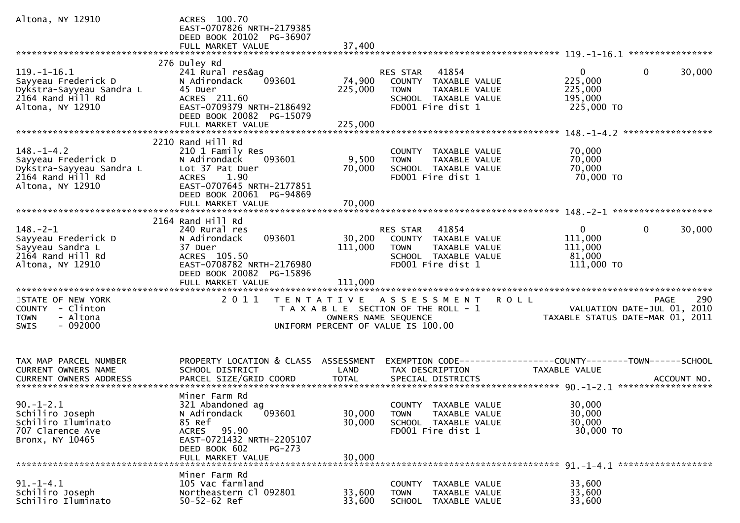| Altona, NY 12910                                                                                              | ACRES 100.70<br>EAST-0707826 NRTH-2179385<br>DEED BOOK 20102 PG-36907                                                                                               |                            |                                                                                                                             |                                                                                               |        |
|---------------------------------------------------------------------------------------------------------------|---------------------------------------------------------------------------------------------------------------------------------------------------------------------|----------------------------|-----------------------------------------------------------------------------------------------------------------------------|-----------------------------------------------------------------------------------------------|--------|
|                                                                                                               |                                                                                                                                                                     |                            |                                                                                                                             |                                                                                               |        |
| $119. - 1 - 16.1$<br>Sayyeau Frederick D<br>Dykstra-Sayyeau Sandra L<br>2164 Rand Hill Rd<br>Altona, NY 12910 | 276 Duley Rd<br>241 Rural res&ag<br>093601<br>N Adirondack<br>45 Duer<br>ACRES 211.60<br>EAST-0709379 NRTH-2186492<br>DEED BOOK 20082 PG-15079                      | 74,900<br>225,000          | 41854<br>RES STAR<br>COUNTY TAXABLE VALUE<br>TAXABLE VALUE<br>TOWN<br>SCHOOL TAXABLE VALUE<br>FD001 Fire dist 1             | $\mathbf{0}$<br>$\overline{0}$<br>225,000<br>225,000<br>195,000<br>225,000 TO                 | 30,000 |
|                                                                                                               |                                                                                                                                                                     |                            |                                                                                                                             |                                                                                               |        |
| $148. - 1 - 4.2$<br>Sayyeau Frederick D<br>Dykstra-Sayyeau Sandra L<br>2164 Rand Hill Rd<br>Altona, NY 12910  | 2210 Rand Hill Rd<br>210 1 Family Res<br>093601<br>N Adirondack<br>Lot 37 Pat Duer<br>1.90<br><b>ACRES</b><br>EAST-0707645 NRTH-2177851<br>DEED BOOK 20061 PG-94869 | 9,500<br>70,000<br>70,000  | COUNTY TAXABLE VALUE<br><b>TOWN</b><br>TAXABLE VALUE<br>SCHOOL TAXABLE VALUE<br>FD001 Fire dist 1                           | 70,000<br>70,000<br>70,000<br>70,000 TO                                                       |        |
|                                                                                                               | FULL MARKET VALUE                                                                                                                                                   |                            |                                                                                                                             |                                                                                               |        |
|                                                                                                               |                                                                                                                                                                     |                            |                                                                                                                             |                                                                                               |        |
| $148. - 2 - 1$<br>Sayyeau Frederick D<br>Sayyeau Sandra L<br>$2164$ Rand Hill Rd<br>Altona, NY 12910          | 2164 Rand Hill Rd<br>240 Rural res<br>093601<br>N Adirondack<br>37 Duer<br>ACRES 105.50<br>EAST-0708782 NRTH-2176980<br>DEED BOOK 20082 PG-15896                    | 30,200<br>111,000          | RES STAR 41854<br>COUNTY TAXABLE VALUE<br>TAXABLE VALUE<br>TOWN<br>SCHOOL TAXABLE VALUE<br>FD001 Fire dist 1                | $\mathbf{0}$<br>$\mathbf 0$<br>111,000<br>111,000<br>81,000<br>111,000 TO                     | 30,000 |
|                                                                                                               |                                                                                                                                                                     |                            |                                                                                                                             |                                                                                               |        |
| STATE OF NEW YORK<br>COUNTY - Clinton<br>- Altona<br><b>TOWN</b><br>$-092000$<br>SWIS                         | 2011                                                                                                                                                                |                            | TENTATIVE ASSESSMENT<br>T A X A B L E SECTION OF THE ROLL - 1<br>OWNERS NAME SEQUENCE<br>UNIFORM PERCENT OF VALUE IS 100.00 | <b>ROLL</b><br><b>PAGE</b><br>VALUATION DATE-JUL 01, 2010<br>TAXABLE STATUS DATE-MAR 01, 2011 | 290    |
| TAX MAP PARCEL NUMBER<br><b>CURRENT OWNERS NAME</b>                                                           | PROPERTY LOCATION & CLASS ASSESSMENT<br>SCHOOL DISTRICT                                                                                                             | LAND                       | TAX DESCRIPTION                                                                                                             | EXEMPTION CODE-----------------COUNTY-------TOWN------SCHOOL<br>TAXABLE VALUE                 |        |
| $90. -1 - 2.1$<br>Schiliro Joseph<br>Schiliro Iluminato<br>707 Clarence Ave<br>Bronx, NY 10465                | Miner Farm Rd<br>321 Abandoned ag<br>N Adirondack<br>093601<br>85 Ref<br>ACRES 95.90<br>EAST-0721432 NRTH-2205107<br>DEED BOOK 602<br>PG-273<br>FULL MARKET VALUE   | 30,000<br>30,000<br>30,000 | COUNTY TAXABLE VALUE<br><b>TOWN</b><br>TAXABLE VALUE<br>SCHOOL TAXABLE VALUE<br>FD001 Fire dist 1                           | 30,000<br>30,000<br>30,000<br>30,000 TO                                                       |        |
|                                                                                                               |                                                                                                                                                                     |                            |                                                                                                                             |                                                                                               |        |
| $91. - 1 - 4.1$<br>Schiliro Joseph<br>Schiliro Iluminato                                                      | Miner Farm Rd<br>105 Vac farmland<br>Northeastern Cl 092801<br>$50 - 52 - 62$ Ref                                                                                   | 33,600<br>33,600           | <b>COUNTY</b><br>TAXABLE VALUE<br><b>TOWN</b><br>TAXABLE VALUE<br><b>SCHOOL</b><br>TAXABLE VALUE                            | 33,600<br>33,600<br>33,600                                                                    |        |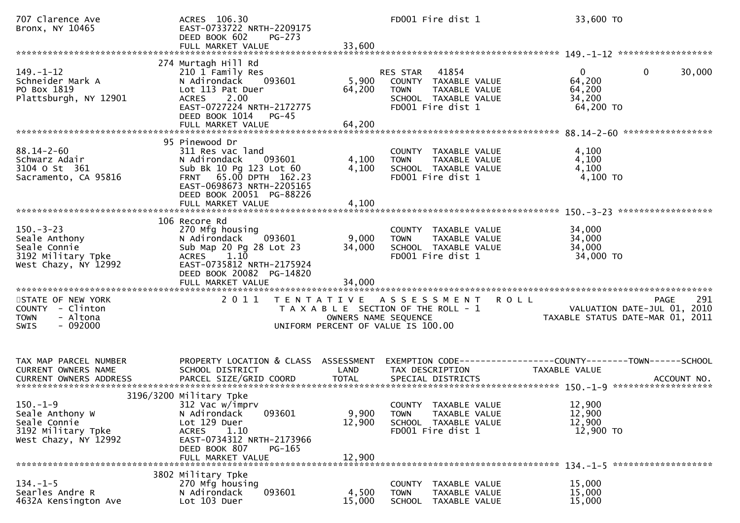| 707 Clarence Ave<br>Bronx, NY 10465                                                           | ACRES 106.30<br>EAST-0733722 NRTH-2209175<br>DEED BOOK 602<br>$PG-273$<br>FULL MARKET VALUE                                                                                                     | 33,600                                    | FD001 Fire dist 1                                                                                                             | 33,600 TO                                                                                        |
|-----------------------------------------------------------------------------------------------|-------------------------------------------------------------------------------------------------------------------------------------------------------------------------------------------------|-------------------------------------------|-------------------------------------------------------------------------------------------------------------------------------|--------------------------------------------------------------------------------------------------|
| $149. - 1 - 12$<br>Schneider Mark A<br>PO Box 1819<br>Plattsburgh, NY 12901                   | 274 Murtagh Hill Rd<br>210 1 Family Res<br>N Adirondack<br>093601<br>Lot 113 Pat Duer<br>2.00<br>ACRES<br>EAST-0727224 NRTH-2172775<br>DEED BOOK 1014<br><b>PG-45</b><br>FULL MARKET VALUE      | 5,900<br>64,200<br>64,200                 | 41854<br><b>RES STAR</b><br>COUNTY TAXABLE VALUE<br><b>TOWN</b><br>TAXABLE VALUE<br>SCHOOL TAXABLE VALUE<br>FD001 Fire dist 1 | $\overline{0}$<br>$\bf{0}$<br>30,000<br>64,200<br>64,200<br>34,200<br>64,200 TO                  |
| $88.14 - 2 - 60$<br>Schwarz Adair<br>3104 o st 361<br>Sacramento, CA 95816                    | 95 Pinewood Dr<br>311 Res vac land<br>N Adirondack<br>093601<br>Sub Bk 10 Pg 123 Lot 60<br>FRNT 65.00 DPTH 162.23<br>EAST-0698673 NRTH-2205165<br>DEED BOOK 20051 PG-88226<br>FULL MARKET VALUE | 4,100<br>4,100<br>4,100                   | COUNTY TAXABLE VALUE<br><b>TOWN</b><br>TAXABLE VALUE<br>SCHOOL TAXABLE VALUE<br>FD001 Fire dist 1                             | 4,100<br>4,100<br>4,100<br>4,100 TO                                                              |
| $150 - 3 - 23$<br>Seale Anthony<br>Seale Connie<br>3192 Military Tpke<br>West Chazy, NY 12992 | 106 Recore Rd<br>270 Mfg housing<br>N Adirondack<br>093601<br>Sub Map 20 Pg 28 Lot 23<br>1.10<br><b>ACRES</b><br>EAST-0735812 NRTH-2175924<br>DEED BOOK 20082 PG-14820<br>FULL MARKET VALUE     | 9,000<br>34,000<br>34,000                 | TAXABLE VALUE<br>COUNTY<br>TAXABLE VALUE<br><b>TOWN</b><br>SCHOOL TAXABLE VALUE<br>FD001 Fire dist 1                          | 34,000<br>34,000<br>34,000<br>34,000 TO                                                          |
| STATE OF NEW YORK<br>COUNTY - Clinton<br>- Altona<br><b>TOWN</b><br>$-092000$<br>SWIS         | 2 0 1 1                                                                                                                                                                                         | T E N T A T I V E<br>OWNERS NAME SEQUENCE | A S S E S S M E N T<br>T A X A B L E SECTION OF THE ROLL - 1<br>UNIFORM PERCENT OF VALUE IS 100.00                            | 291<br><b>PAGE</b><br>R O L L<br>VALUATION DATE-JUL 01, 2010<br>TAXABLE STATUS DATE-MAR 01, 2011 |
| TAX MAP PARCEL NUMBER<br>CURRENT OWNERS NAME                                                  | PROPERTY LOCATION & CLASS ASSESSMENT<br>SCHOOL DISTRICT                                                                                                                                         | LAND                                      | TAX DESCRIPTION                                                                                                               | TAXABLE VALUE                                                                                    |
| 150.–1–9<br>Seale Anthony W<br>Seale Connie<br>3192 Military Tpke<br>West Chazy, NY 12992     | 3196/3200 Military Tpke<br>312 Vac w/imprv<br>093601<br>N Adirondack<br>Lot 129 Duer<br>ACRES 1.10<br>EAST-0734312 NRTH-2173966<br>DEED BOOK 807<br>PG-165<br>FULL MARKET VALUE                 | 9,900<br>12,900<br>12,900                 | COUNTY TAXABLE VALUE<br>TAXABLE VALUE<br>TOWN<br>SCHOOL TAXABLE VALUE<br>FD001 Fire dist 1                                    | 12,900<br>12,900<br>12,900<br>12,900 TO                                                          |
| $134. - 1 - 5$<br>Searles Andre R<br>4632A Kensington Ave                                     | 3802 Military Tpke<br>270 Mfg housing<br>093601<br>N Adirondack<br>Lot 103 Duer                                                                                                                 | 4,500<br>15,000                           | COUNTY TAXABLE VALUE<br><b>TOWN</b><br>TAXABLE VALUE<br>SCHOOL TAXABLE VALUE                                                  | 15,000<br>15,000<br>15,000                                                                       |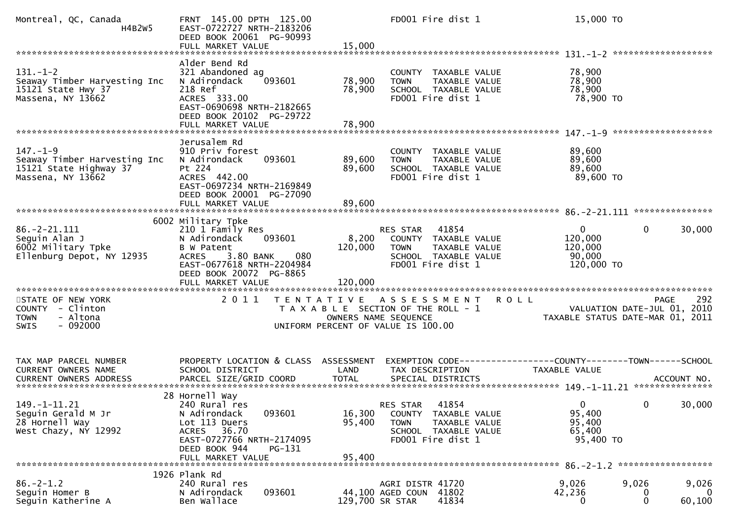| Montreal, QC, Canada<br>H4B2W5                                                                | FRNT 145.00 DPTH 125.00<br>EAST-0722727 NRTH-2183206<br>DEED BOOK 20061 PG-90993<br>FULL MARKET VALUE                                                                  | 15,000                     | FD001 Fire dist 1                                                                                                           | 15,000 TO                                                                            |                                                                                       |
|-----------------------------------------------------------------------------------------------|------------------------------------------------------------------------------------------------------------------------------------------------------------------------|----------------------------|-----------------------------------------------------------------------------------------------------------------------------|--------------------------------------------------------------------------------------|---------------------------------------------------------------------------------------|
|                                                                                               | Alder Bend Rd                                                                                                                                                          |                            |                                                                                                                             |                                                                                      |                                                                                       |
| $131. - 1 - 2$<br>Seaway Timber Harvesting Inc<br>15121 State Hwy 37<br>Massena, NY 13662     | 321 Abandoned ag<br>093601<br>N Adirondack<br>218 Ref<br>ACRES 333.00<br>EAST-0690698 NRTH-2182665<br>DEED BOOK 20102 PG-29722                                         | 78,900<br>78,900           | COUNTY TAXABLE VALUE<br>TAXABLE VALUE<br><b>TOWN</b><br>SCHOOL TAXABLE VALUE<br>FD001 Fire dist 1                           | 78,900<br>78,900<br>78,900<br>78,900 TO                                              |                                                                                       |
|                                                                                               | FULL MARKET VALUE                                                                                                                                                      | 78,900                     |                                                                                                                             |                                                                                      |                                                                                       |
| $147. - 1 - 9$<br>Seaway Timber Harvesting Inc<br>15121 State Highway 37<br>Massena, NY 13662 | Jerusalem Rd<br>910 Priv forest<br>093601<br>N Adirondack<br>Pt 224<br>ACRES 442.00<br>EAST-0697234 NRTH-2169849<br>DEED BOOK 20001 PG-27090                           | 89,600<br>89,600           | COUNTY TAXABLE VALUE<br><b>TOWN</b><br>TAXABLE VALUE<br>SCHOOL TAXABLE VALUE<br>FD001 Fire dist 1                           | 89,600<br>89,600<br>89,600<br>89,600 TO                                              |                                                                                       |
|                                                                                               | FULL MARKET VALUE                                                                                                                                                      | 89,600                     |                                                                                                                             |                                                                                      |                                                                                       |
|                                                                                               | 6002 Military Tpke                                                                                                                                                     |                            |                                                                                                                             |                                                                                      |                                                                                       |
| $86. - 2 - 21.111$<br>Seguin Alan J<br>6002 Military Tpke<br>Ellenburg Depot, NY 12935        | 210 1 Family Res<br>093601<br>N Adirondack<br>B W Patent<br>3.80 BANK<br>080<br><b>ACRES</b><br>EAST-0677618 NRTH-2204984<br>DEED BOOK 20072 PG-8865                   | 8,200<br>120,000           | 41854<br>RES STAR<br>COUNTY TAXABLE VALUE<br><b>TOWN</b><br>TAXABLE VALUE<br>SCHOOL TAXABLE VALUE<br>FD001 Fire dist 1      | $\mathbf{0}$<br>120,000<br>120,000<br>90,000<br>120,000 TO                           | $\Omega$<br>30,000                                                                    |
|                                                                                               |                                                                                                                                                                        |                            |                                                                                                                             |                                                                                      |                                                                                       |
| STATE OF NEW YORK<br>COUNTY - Clinton<br>- Altona<br><b>TOWN</b><br>$-092000$<br><b>SWIS</b>  | 2011                                                                                                                                                                   |                            | TENTATIVE ASSESSMENT<br>T A X A B L E SECTION OF THE ROLL - 1<br>OWNERS NAME SEQUENCE<br>UNIFORM PERCENT OF VALUE IS 100.00 | <b>ROLL</b>                                                                          | 292<br><b>PAGE</b><br>VALUATION DATE-JUL 01, 2010<br>TAXABLE STATUS DATE-MAR 01, 2011 |
| TAX MAP PARCEL NUMBER<br>CURRENT OWNERS NAME                                                  | PROPERTY LOCATION & CLASS ASSESSMENT<br>SCHOOL DISTRICT                                                                                                                | LAND                       | TAX DESCRIPTION                                                                                                             | EXEMPTION CODE-----------------COUNTY-------TOWN------SCHOOL<br><b>TAXABLE VALUE</b> |                                                                                       |
| <b>CURRENT OWNERS ADDRESS</b>                                                                 | PARCEL SIZE/GRID COORD                                                                                                                                                 | <b>TOTAL</b>               | SPECIAL DISTRICTS                                                                                                           |                                                                                      | ACCOUNT NO.                                                                           |
| 149. -1 -11.21<br>Seguin Gerald M Jr<br>28 Hornell Way<br>West Chazy, NY 12992                | 28 Hornell Way<br>240 Rural res<br>093601<br>N Adirondack<br>Lot 113 Duers<br>ACRES 36.70<br>EAST-0727766 NRTH-2174095<br>DEED BOOK 944<br>PG-131<br>FULL MARKET VALUE | 16,300<br>95,400<br>95,400 | 41854<br>RES STAR<br>COUNTY TAXABLE VALUE<br>TAXABLE VALUE<br><b>TOWN</b><br>SCHOOL TAXABLE VALUE<br>FD001 Fire dist 1      | 95,400<br>95,400<br>65,400<br>95,400 TO                                              | 30,000<br>$\overline{0}$<br>$\mathbf{0}$                                              |
|                                                                                               | 1926 Plank Rd                                                                                                                                                          |                            |                                                                                                                             |                                                                                      |                                                                                       |
| $86. - 2 - 1.2$<br>Seguin Homer B<br>Seguin Katherine A                                       | 240 Rural res<br>093601<br>N Adirondack<br>Ben Wallace                                                                                                                 | 129,700 SR STAR            | AGRI DISTR 41720<br>44,100 AGED COUN 41802<br>41834                                                                         | 9,026<br>42,236<br>0                                                                 | 9,026<br>9,026<br>$\Omega$<br>U<br>60,100<br>0                                        |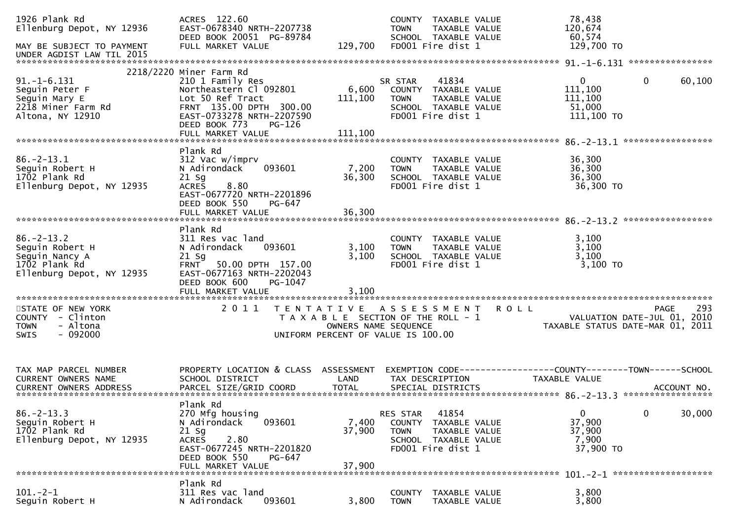| 1926 Plank Rd<br>Ellenburg Depot, NY 12936<br>MAY BE SUBJECT TO PAYMENT<br>UNDER AGDIST LAW TIL 2015                                  | ACRES 122.60<br>EAST-0678340 NRTH-2207738<br>DEED BOOK 20051 PG-89784<br>FULL MARKET VALUE                                                                                                        | 129,700                     | TAXABLE VALUE<br>COUNTY<br>TAXABLE VALUE<br><b>TOWN</b><br>SCHOOL TAXABLE VALUE<br>FD001 Fire dist 1                        |             | 78,438<br>120,674<br>60,574<br>129,700 TO                       |                   |        |
|---------------------------------------------------------------------------------------------------------------------------------------|---------------------------------------------------------------------------------------------------------------------------------------------------------------------------------------------------|-----------------------------|-----------------------------------------------------------------------------------------------------------------------------|-------------|-----------------------------------------------------------------|-------------------|--------|
|                                                                                                                                       |                                                                                                                                                                                                   |                             |                                                                                                                             |             |                                                                 |                   |        |
| $91. -1 - 6.131$<br>Seguin Peter F<br>Seguin Mary E<br>2218 Miner Farm Rd<br>Altona, NY 12910                                         | 2218/2220 Miner Farm Rd<br>210 1 Family Res<br>Northeastern Cl 092801<br>Lot 50 Ref Tract<br>FRNT 135.00 DPTH 300.00<br>EAST-0733278 NRTH-2207590<br>DEED BOOK 773<br>PG-126<br>FULL MARKET VALUE | 6,600<br>111,100<br>111,100 | 41834<br>SR STAR<br>COUNTY TAXABLE VALUE<br>TAXABLE VALUE<br><b>TOWN</b><br>SCHOOL TAXABLE VALUE<br>FD001 Fire dist 1       |             | $\mathbf{0}$<br>111,100<br>111,100<br>51,000<br>111,100 TO      | $\mathbf 0$       | 60,100 |
|                                                                                                                                       |                                                                                                                                                                                                   |                             |                                                                                                                             |             |                                                                 | ***************** |        |
| $86. - 2 - 13.1$<br>Sequin Robert H<br>1702 Plank Rd<br>Ellenburg Depot, NY 12935                                                     | Plank Rd<br>312 Vac w/imprv<br>093601<br>N Adirondack<br>$21$ Sg<br>8.80<br><b>ACRES</b><br>EAST-0677720 NRTH-2201896<br>DEED BOOK 550<br>PG-647<br>FULL MARKET VALUE                             | 7,200<br>36,300<br>36,300   | COUNTY TAXABLE VALUE<br>TAXABLE VALUE<br><b>TOWN</b><br>SCHOOL TAXABLE VALUE<br>FD001 Fire dist 1                           |             | 36,300<br>36,300<br>36,300<br>36,300 TO                         |                   |        |
|                                                                                                                                       |                                                                                                                                                                                                   |                             |                                                                                                                             |             |                                                                 |                   |        |
| $86. - 2 - 13.2$<br>Seguin Robert H<br>Seguin Nancy A<br>1702 Plank Rd<br>Ellenburg Depot, NY 12935<br>****************************** | Plank Rd<br>311 Res vac land<br>093601<br>N Adirondack<br>$21$ Sg<br><b>FRNT</b><br>50.00 DPTH 157.00<br>EAST-0677163 NRTH-2202043<br>DEED BOOK 600<br>PG-1047<br>FULL MARKET VALUE               | 3,100<br>3,100<br>3,100     | COUNTY TAXABLE VALUE<br><b>TAXABLE VALUE</b><br><b>TOWN</b><br>SCHOOL TAXABLE VALUE<br>FD001 Fire dist 1                    |             | 3,100<br>3,100<br>3,100<br>3,100 TO                             |                   |        |
| STATE OF NEW YORK<br>COUNTY - Clinton<br>- Altona<br><b>TOWN</b><br>$-092000$<br><b>SWIS</b>                                          | 2011                                                                                                                                                                                              |                             | TENTATIVE ASSESSMENT<br>T A X A B L E SECTION OF THE ROLL - 1<br>OWNERS NAME SEQUENCE<br>UNIFORM PERCENT OF VALUE IS 100.00 | <b>ROLL</b> | VALUATION DATE-JUL 01, 2010<br>TAXABLE STATUS DATE-MAR 01, 2011 | <b>PAGE</b>       | 293    |
|                                                                                                                                       |                                                                                                                                                                                                   |                             |                                                                                                                             |             |                                                                 |                   |        |
| TAX MAP PARCEL NUMBER<br><b>CURRENT OWNERS NAME</b>                                                                                   | PROPERTY LOCATION & CLASS ASSESSMENT<br>SCHOOL DISTRICT                                                                                                                                           | LAND                        | EXEMPTION        CODE-----------------COUNTY-------TOWN------SCHOOL<br>TAX DESCRIPTION                                      |             | TAXABLE VALUE                                                   |                   |        |
| $86. -2 - 13.3$<br>Seguin Robert H<br>1702 Plank Rd<br>Ellenburg Depot, NY 12935                                                      | Plank Rd<br>270 Mfg housing<br>093601<br>N Adirondack<br>$21$ Sg<br>2.80<br><b>ACRES</b><br>EAST-0677245 NRTH-2201820<br>DEED BOOK 550<br>PG-647<br>FULL MARKET VALUE                             | 7,400<br>37,900<br>37,900   | 41854<br>RES STAR<br>COUNTY TAXABLE VALUE<br><b>TOWN</b><br>TAXABLE VALUE<br>SCHOOL TAXABLE VALUE<br>FD001 Fire dist 1      |             | $\Omega$<br>37,900<br>37,900<br>7,900<br>37,900 TO              | 0                 | 30,000 |
|                                                                                                                                       | Plank Rd                                                                                                                                                                                          |                             |                                                                                                                             |             |                                                                 |                   |        |
| $101. -2 - 1$<br>Seguin Robert H                                                                                                      | 311 Res vac land<br>093601<br>N Adirondack                                                                                                                                                        | 3,800                       | <b>COUNTY</b><br>TAXABLE VALUE<br>TAXABLE VALUE<br><b>TOWN</b>                                                              |             | 3,800<br>3,800                                                  |                   |        |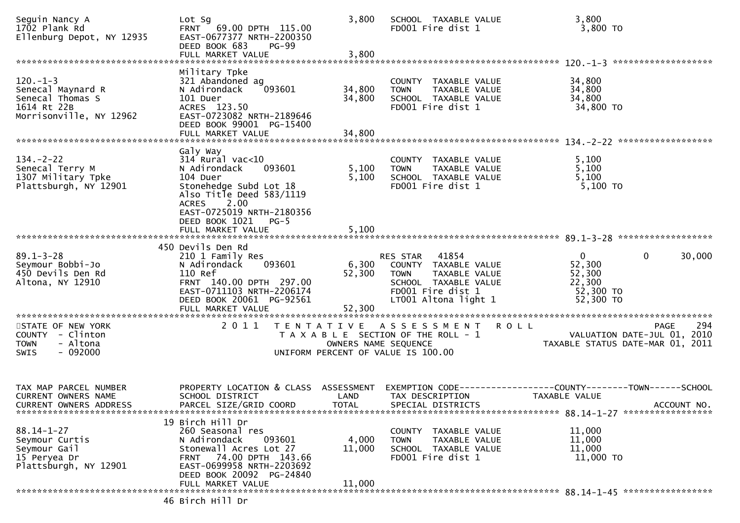| Seguin Nancy A<br>1702 Plank Rd<br>Ellenburg Depot, NY 12935                                  | Lot Sq<br>FRNT 69.00 DPTH 115.00<br>EAST-0677377 NRTH-2200350<br>DEED BOOK 683<br><b>PG-99</b><br>FULL MARKET VALUE                                                                                              | 3,800<br>3,800              | SCHOOL TAXABLE VALUE<br>FD001 Fire dist 1                                                                                                            | 3,800<br>3,800 TO                                                    |                                                                                |
|-----------------------------------------------------------------------------------------------|------------------------------------------------------------------------------------------------------------------------------------------------------------------------------------------------------------------|-----------------------------|------------------------------------------------------------------------------------------------------------------------------------------------------|----------------------------------------------------------------------|--------------------------------------------------------------------------------|
| $120.-1-3$<br>Senecal Maynard R<br>Senecal Thomas S<br>1614 Rt 22B<br>Morrisonville, NY 12962 | Military Tpke<br>321 Abandoned ag<br>093601<br>N Adirondack<br>101 Duer<br>ACRES 123.50<br>EAST-0723082 NRTH-2189646<br>DEED BOOK 99001 PG-15400                                                                 | 34,800<br>34,800            | COUNTY TAXABLE VALUE<br>TAXABLE VALUE<br><b>TOWN</b><br>SCHOOL TAXABLE VALUE<br>FD001 Fire dist 1                                                    | 34,800<br>34,800<br>34,800<br>34,800 TO                              |                                                                                |
|                                                                                               | FULL MARKET VALUE                                                                                                                                                                                                | 34,800                      |                                                                                                                                                      |                                                                      |                                                                                |
| $134. - 2 - 22$<br>Senecal Terry M<br>1307 Military Tpke<br>Plattsburgh, NY 12901             | Galy Way<br>$314$ Rural vac< $10$<br>093601<br>N Adirondack<br>104 Duer<br>Stonehedge Subd Lot 18<br>Also Title Deed $583/1119$<br><b>ACRES</b><br>2.00<br>EAST-0725019 NRTH-2180356<br>DEED BOOK 1021<br>$PG-5$ | 5,100<br>5,100              | COUNTY TAXABLE VALUE<br><b>TOWN</b><br>TAXABLE VALUE<br>SCHOOL TAXABLE VALUE<br>FD001 Fire dist 1                                                    | 5,100<br>5,100<br>5,100<br>5,100 TO                                  |                                                                                |
|                                                                                               | FULL MARKET VALUE                                                                                                                                                                                                | 5,100                       |                                                                                                                                                      |                                                                      |                                                                                |
| $89.1 - 3 - 28$<br>Seymour Bobbi-Jo<br>450 Devils Den Rd<br>Altona, NY 12910                  | 450 Devils Den Rd<br>210 1 Family Res<br>093601<br>N Adirondack<br>110 Ref<br>FRNT 140.00 DPTH 297.00<br>EAST-0711103 NRTH-2206174<br>DEED BOOK 20061 PG-92561<br>FULL MARKET VALUE                              | 52,300<br>52,300            | 41854<br>RES STAR<br>6,300 COUNTY TAXABLE VALUE<br><b>TOWN</b><br>TAXABLE VALUE<br>SCHOOL TAXABLE VALUE<br>FD001 Fire dist 1<br>LT001 Altona light 1 | $\mathbf{0}$<br>52,300<br>52,300<br>22,300<br>52,300 TO<br>52,300 TO | 30,000<br>$\bf{0}$                                                             |
| STATE OF NEW YORK<br>COUNTY - Clinton<br>- Altona<br><b>TOWN</b><br>$-092000$<br>SWIS         | 2011                                                                                                                                                                                                             | OWNERS NAME SEQUENCE        | TENTATIVE ASSESSMENT ROLL<br>T A X A B L E SECTION OF THE ROLL - 1<br>UNIFORM PERCENT OF VALUE IS 100.00                                             |                                                                      | 294<br>PAGE<br>VALUATION DATE-JUL 01, 2010<br>TAXABLE STATUS DATE-MAR 01, 2011 |
| TAX MAP PARCEL NUMBER<br><b>CURRENT OWNERS NAME</b><br>CURRENT OWNERS ADDRESS                 | PROPERTY LOCATION & CLASS<br>SCHOOL DISTRICT<br>PARCEL SIZE/GRID COORD                                                                                                                                           | ASSESSMENT<br>LAND<br>TOTAL | TAX DESCRIPTION<br>SPECIAL DISTRICTS                                                                                                                 | TAXABLE VALUE                                                        | ACCOUNT NO.                                                                    |
| $88.14 - 1 - 27$<br>Seymour Curtis<br>Seymour Gail<br>15 Peryea Dr<br>Plattsburgh, NY 12901   | 19 Birch Hill Dr<br>260 Seasonal res<br>093601<br>N Adirondack<br>Stonewall Acres Lot 27<br>FRNT 74.00 DPTH 143.66<br>EAST-0699958 NRTH-2203692<br>DEED BOOK 20092 PG-24840<br>FULL MARKET VALUE                 | 4,000<br>11,000<br>11,000   | COUNTY TAXABLE VALUE<br><b>TOWN</b><br>TAXABLE VALUE<br>SCHOOL TAXABLE VALUE<br>FD001 Fire dist 1                                                    | 11,000<br>11,000<br>11,000<br>11,000 TO                              |                                                                                |
|                                                                                               | 46 Birch Hill Dr                                                                                                                                                                                                 |                             |                                                                                                                                                      |                                                                      |                                                                                |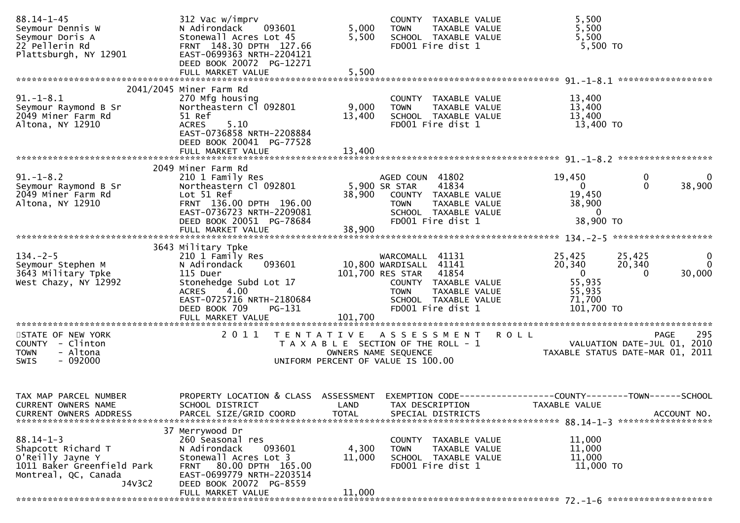| $88.14 - 1 - 45$<br>Seymour Dennis W<br>Seymour Doris A<br>22 Pellerin Rd<br>Plattsburgh, NY 12901                        | 312 Vac w/imprv<br>093601<br>N Adirondack<br>Stonewall Acres Lot 45<br>FRNT 148.30 DPTH 127.66<br>EAST-0699363 NRTH-2204121<br>DEED BOOK 20072 PG-12271<br>FULL MARKET VALUE | 5,000<br>5,500<br>5,500            | COUNTY TAXABLE VALUE<br>TAXABLE VALUE<br><b>TOWN</b><br>SCHOOL TAXABLE VALUE<br>FD001 Fire dist 1                                                                           | 5,500<br>5,500<br>5,500<br>5,500 TO                                                                                                |
|---------------------------------------------------------------------------------------------------------------------------|------------------------------------------------------------------------------------------------------------------------------------------------------------------------------|------------------------------------|-----------------------------------------------------------------------------------------------------------------------------------------------------------------------------|------------------------------------------------------------------------------------------------------------------------------------|
| $91.-1-8.1$                                                                                                               | 2041/2045 Miner Farm Rd                                                                                                                                                      |                                    |                                                                                                                                                                             |                                                                                                                                    |
| Seymour Raymond B Sr<br>2049 Miner Farm Rd<br>Altona, NY 12910                                                            | 270 Mfg housing<br>Northeastern Cl 092801<br>51 Ref<br><b>ACRES</b><br>5.10<br>EAST-0736858 NRTH-2208884<br>DEED BOOK 20041 PG-77528                                         | 9,000<br>13,400                    | COUNTY TAXABLE VALUE<br>TAXABLE VALUE<br><b>TOWN</b><br>SCHOOL TAXABLE VALUE<br>FD001 Fire dist 1                                                                           | 13,400<br>13,400<br>13,400<br>13,400 TO                                                                                            |
|                                                                                                                           | FULL MARKET VALUE                                                                                                                                                            | 13,400                             |                                                                                                                                                                             |                                                                                                                                    |
| $91. - 1 - 8.2$<br>Seymour Raymond B Sr<br>2049 Miner Farm Rd<br>Altona, NY 12910                                         | 2049 Miner Farm Rd<br>210 1 Family Res<br>Northeastern Cl 092801<br>Lot 51 Ref<br>FRNT 136.00 DPTH 196.00<br>EAST-0736723 NRTH-2209081                                       | 38,900                             | AGED COUN 41802<br>5,900 SR STAR<br>41834<br>COUNTY TAXABLE VALUE<br><b>TOWN</b><br>TAXABLE VALUE<br>SCHOOL TAXABLE VALUE                                                   | 0<br>19,450<br>- 0<br>38,900<br>$\overline{0}$<br>$\Omega$<br>19,450<br>38,900<br>$\overline{0}$                                   |
|                                                                                                                           | DEED BOOK 20051 PG-78684<br>FULL MARKET VALUE                                                                                                                                | 38,900                             | FD001 Fire dist 1                                                                                                                                                           | 38,900 TO                                                                                                                          |
|                                                                                                                           | 3643 Military Tpke                                                                                                                                                           |                                    |                                                                                                                                                                             |                                                                                                                                    |
| $134. - 2 - 5$<br>Seymour Stephen M<br>3643 Military Tpke<br>West Chazy, NY 12992                                         | 210 1 Family Res<br>N Adirondack<br>093601<br>115 Duer<br>Stonehedge Subd Lot 17<br>4.00<br><b>ACRES</b><br>EAST-0725716 NRTH-2180684<br>DEED BOOK 709<br>PG-131             |                                    | WARCOMALL 41131<br>10,800 WARDISALL 41141<br>101,700 RES STAR<br>41854<br>COUNTY TAXABLE VALUE<br>TAXABLE VALUE<br><b>TOWN</b><br>SCHOOL TAXABLE VALUE<br>FD001 Fire dist 1 | 25,425<br>25,425<br>0<br>$\Omega$<br>20,340<br>20,340<br>30,000<br>$\overline{0}$<br>0<br>55,935<br>55,935<br>71,700<br>101,700 TO |
|                                                                                                                           | FULL MARKET VALUE                                                                                                                                                            | 101,700                            |                                                                                                                                                                             |                                                                                                                                    |
| STATE OF NEW YORK<br>COUNTY - Clinton<br>- Altona<br><b>TOWN</b><br>$-092000$<br>SWIS                                     | 2011                                                                                                                                                                         | OWNERS NAME SEQUENCE               | TENTATIVE ASSESSMENT ROLL<br>T A X A B L E SECTION OF THE ROLL - 1<br>UNIFORM PERCENT OF VALUE IS 100.00                                                                    | 295<br>PAGE<br>VALUATION DATE-JUL 01, 2010<br>TAXABLE STATUS DATE-MAR 01, 2011                                                     |
| TAX MAP PARCEL NUMBER<br>CURRENT OWNERS NAME<br><b>CURRENT OWNERS ADDRESS</b>                                             | PROPERTY LOCATION & CLASS<br>SCHOOL DISTRICT<br>PARCEL SIZE/GRID COORD                                                                                                       | ASSESSMENT<br>LAND<br><b>TOTAL</b> | TAX DESCRIPTION<br>SPECIAL DISTRICTS                                                                                                                                        | EXEMPTION CODE-----------------COUNTY-------TOWN------SCHOOL<br>TAXABLE VALUE<br>ACCOUNT NO.                                       |
|                                                                                                                           | 37 Merrywood Dr                                                                                                                                                              |                                    |                                                                                                                                                                             |                                                                                                                                    |
| $88.14 - 1 - 3$<br>Shapcott Richard T<br>O'Reilly Jayne Y<br>1011 Baker Greenfield Park<br>Montreal, QC, Canada<br>J4V3C2 | 260 Seasonal res<br>093601<br>N Adirondack<br>Stonewall Acres Lot 3<br>80.00 DPTH 165.00<br><b>FRNT</b><br>EAST-0699779 NRTH-2203514<br>DEED BOOK 20072 PG-8559              | 4,300<br>11,000                    | <b>COUNTY</b><br>TAXABLE VALUE<br>TAXABLE VALUE<br><b>TOWN</b><br>SCHOOL TAXABLE VALUE<br>FD001 Fire dist 1                                                                 | 11,000<br>11,000<br>11,000<br>11,000 TO                                                                                            |
|                                                                                                                           | FULL MARKET VALUE                                                                                                                                                            | 11,000                             |                                                                                                                                                                             |                                                                                                                                    |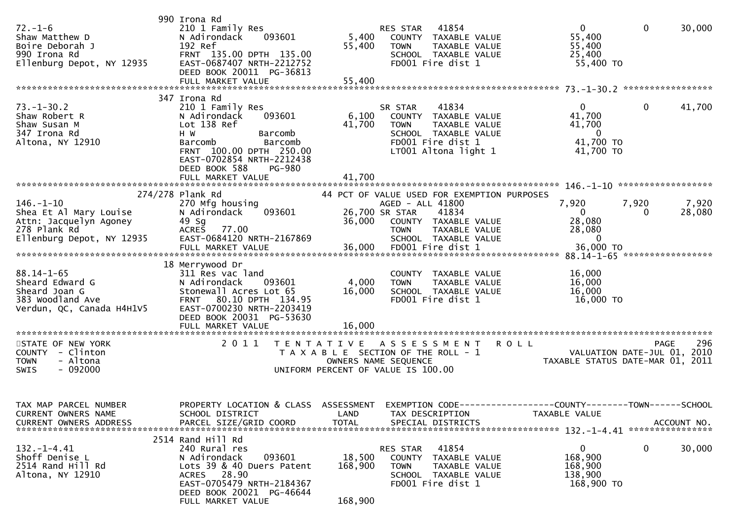| $72. - 1 - 6$<br>Shaw Matthew D<br>Boire Deborah J<br>990 Irona Rd<br>Ellenburg Depot, NY 12935                  | 990 Irona Rd<br>210 1 Family Res<br>N Adirondack<br>093601<br>192 Ref<br>FRNT 135.00 DPTH 135.00<br>EAST-0687407 NRTH-2212752<br>DEED BOOK 20011 PG-36813                                                   | 5,400<br>55,400              | 41854<br>RES STAR<br>COUNTY TAXABLE VALUE<br>TAXABLE VALUE<br><b>TOWN</b><br>SCHOOL TAXABLE VALUE<br>FD001 Fire dist 1                               | $\mathbf{0}$<br>55,400<br>55,400<br>25,400<br>55,400 TO                  | $\mathbf 0$<br>30,000                                                          |
|------------------------------------------------------------------------------------------------------------------|-------------------------------------------------------------------------------------------------------------------------------------------------------------------------------------------------------------|------------------------------|------------------------------------------------------------------------------------------------------------------------------------------------------|--------------------------------------------------------------------------|--------------------------------------------------------------------------------|
|                                                                                                                  |                                                                                                                                                                                                             |                              |                                                                                                                                                      |                                                                          |                                                                                |
| $73. - 1 - 30.2$<br>Shaw Robert R<br>Shaw Susan M<br>347 Irona Rd<br>Altona, NY 12910                            | 347 Irona Rd<br>210 1 Family Res<br>N Adirondack<br>093601<br>Lot 138 Ref<br>H W<br>Barcomb<br>Barcomb<br>Barcomb<br>FRNT 100.00 DPTH 250.00<br>EAST-0702854 NRTH-2212438<br>DEED BOOK 588<br><b>PG-980</b> | 6,100<br>41,700              | 41834<br>SR STAR<br>COUNTY TAXABLE VALUE<br><b>TAXABLE VALUE</b><br><b>TOWN</b><br>SCHOOL TAXABLE VALUE<br>FD001 Fire dist 1<br>LT001 Altona light 1 | $\Omega$<br>41,700<br>41,700<br>$\overline{0}$<br>41,700 TO<br>41,700 TO | 41,700<br>0                                                                    |
|                                                                                                                  | FULL MARKET VALUE                                                                                                                                                                                           | 41,700                       |                                                                                                                                                      |                                                                          |                                                                                |
|                                                                                                                  | 274/278 Plank Rd                                                                                                                                                                                            |                              | 44 PCT OF VALUE USED FOR EXEMPTION PURPOSES                                                                                                          |                                                                          |                                                                                |
| $146. - 1 - 10$<br>Shea Et Al Mary Louise<br>Attn: Jacquelyn Agoney<br>278 Plank Rd<br>Ellenburg Depot, NY 12935 | 270 Mfg housing<br>093601<br>N Adirondack<br>49 Sg<br>77.00<br><b>ACRES</b><br>EAST-0684120 NRTH-2167869<br>FULL MARKET VALUE                                                                               | 36,000<br>36,000             | AGED - ALL 41800<br>26,700 SR STAR<br>41834<br>COUNTY TAXABLE VALUE<br>TAXABLE VALUE<br><b>TOWN</b><br>SCHOOL TAXABLE VALUE<br>FD001 Fire dist 1     | 7,920<br>$\mathbf{0}$<br>28,080<br>28,080<br>$\Omega$<br>36,000 TO       | 7,920<br>7,920<br>28,080<br>0                                                  |
|                                                                                                                  |                                                                                                                                                                                                             |                              |                                                                                                                                                      |                                                                          |                                                                                |
| $88.14 - 1 - 65$<br>Sheard Edward G<br>Sheard Joan G<br>383 Woodland Ave<br>Verdun, QC, Canada H4H1V5            | 18 Merrywood Dr<br>311 Res vac land<br>N Adirondack<br>093601<br>Stonewall Acres Lot 65<br>FRNT 80.10 DPTH 134.95<br>EAST-0700230 NRTH-2203419<br>DEED BOOK 20031 PG-53630<br>FULL MARKET VALUE             | 4,000<br>16,000<br>16,000    | COUNTY TAXABLE VALUE<br>TAXABLE VALUE<br><b>TOWN</b><br>SCHOOL TAXABLE VALUE<br>FD001 Fire dist 1                                                    | 16,000<br>16,000<br>16,000<br>16,000 TO                                  |                                                                                |
| STATE OF NEW YORK<br>COUNTY - Clinton<br><b>TOWN</b><br>- Altona<br>$-092000$<br>SWIS                            | 2011                                                                                                                                                                                                        | T E N T A T I V E            | A S S E S S M E N T<br>T A X A B L E SECTION OF THE ROLL - 1<br>OWNERS NAME SEQUENCE<br>UNIFORM PERCENT OF VALUE IS 100.00                           | <b>ROLL</b>                                                              | 296<br>PAGE<br>VALUATION DATE-JUL 01, 2010<br>TAXABLE STATUS DATE-MAR 01, 2011 |
| TAX MAP PARCEL NUMBER<br>CURRENT OWNERS NAME                                                                     | PROPERTY LOCATION & CLASS ASSESSMENT EXEMPTION CODE----------------COUNTY-------TOWN------SCHOOL<br>SCHOOL DISTRICT                                                                                         | LAND                         | TAX DESCRIPTION                                                                                                                                      | TAXABLE VALUE                                                            |                                                                                |
| $132. - 1 - 4.41$<br>Shoff Denise L<br>2514 Rand Hill Rd<br>Altona, NY 12910                                     | 2514 Rand Hill Rd<br>240 Rural res<br>093601<br>N Adirondack<br>Lots 39 & 40 Duers Patent<br>ACRES 28.90<br>EAST-0705479 NRTH-2184367<br>DEED BOOK 20021 PG-46644<br>FULL MARKET VALUE                      | 18,500<br>168,900<br>168,900 | RES STAR 41854<br>COUNTY TAXABLE VALUE<br><b>TOWN</b><br>TAXABLE VALUE<br>SCHOOL TAXABLE VALUE<br>FD001 Fire dist 1                                  | $\overline{0}$<br>168,900<br>168,900<br>138,900<br>168,900 то            | 0<br>30,000                                                                    |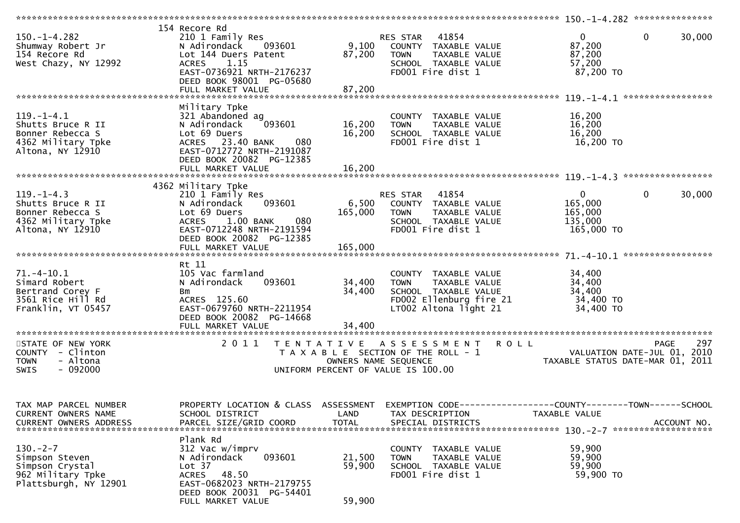| $150. - 1 - 4.282$<br>Shumway Robert Jr<br>154 Recore Rd<br>West Chazy, NY 12992                    | 154 Recore Rd<br>210 1 Family Res<br>093601<br>N Adirondack<br>Lot 144 Duers Patent<br><b>ACRES</b><br>1.15<br>EAST-0736921 NRTH-2176237<br>DEED BOOK 98001 PG-05680<br>FULL MARKET VALUE          | 9,100<br>87,200<br>87,200  | RES STAR 41854<br>COUNTY TAXABLE VALUE<br>TAXABLE VALUE<br>TOWN<br>SCHOOL TAXABLE VALUE<br>FD001 Fire dist 1                     | $\mathbf{0}$<br>87,200<br>87,200<br>57,200<br>87,200 TO                                                            | $\mathbf 0$<br>30,000 |
|-----------------------------------------------------------------------------------------------------|----------------------------------------------------------------------------------------------------------------------------------------------------------------------------------------------------|----------------------------|----------------------------------------------------------------------------------------------------------------------------------|--------------------------------------------------------------------------------------------------------------------|-----------------------|
| $119. - 1 - 4.1$<br>Shutts Bruce R II<br>Bonner Rebecca S<br>4362 Military Tpke<br>Altona, NY 12910 | Military Tpke<br>321 Abandoned ag<br>093601<br>N Adirondack<br>Lot 69 Duers<br>ACRES 23.40 BANK<br>080<br>EAST-0712772 NRTH-2191087<br>DEED BOOK 20082 PG-12385                                    | 16,200<br>16,200           | COUNTY TAXABLE VALUE<br>TAXABLE VALUE<br>TOWN<br>SCHOOL TAXABLE VALUE<br>FD001 Fire dist 1                                       | 16,200<br>16,200<br>16,200<br>16,200 TO                                                                            |                       |
| $119. - 1 - 4.3$<br>Shutts Bruce R II<br>Bonner Rebecca S<br>4362 Military Tpke<br>Altona, NY 12910 | 4362 Military Tpke<br>210 1 Family Res<br>093601<br>N Adirondack<br>Lot 69 Duers<br>1.00 BANK<br>080<br><b>ACRES</b><br>EAST-0712248 NRTH-2191594<br>DEED BOOK 20082 PG-12385<br>FULL MARKET VALUE | 165,000<br>165,000         | <b>RES STAR 41854</b><br>6,500 COUNTY TAXABLE VALUE<br><b>TOWN</b><br>TAXABLE VALUE<br>SCHOOL TAXABLE VALUE<br>FD001 Fire dist 1 | $\overline{0}$<br>165,000<br>165,000<br>135,000<br>165,000 TO                                                      | $\mathbf 0$<br>30,000 |
| $71. - 4 - 10.1$<br>Simard Robert<br>Bertrand Corey F<br>3561 Rice Hill Rd<br>Franklin, VT 05457    | Rt 11<br>105 Vac farmland<br>N Adirondack<br>093601<br>Bm<br>ACRES 125.60<br>EAST-0679760 NRTH-2211954<br>DEED BOOK 20082 PG-14668                                                                 | 34,400<br>34,400           | COUNTY TAXABLE VALUE<br><b>TOWN</b><br>TAXABLE VALUE<br>SCHOOL TAXABLE VALUE<br>FD002 Ellenburg fire 21<br>LT002 Altona light 21 | 34,400<br>34,400<br>34,400<br>34,400 TO<br>34,400 TO                                                               |                       |
| STATE OF NEW YORK<br>COUNTY - Clinton<br>- Altona<br><b>TOWN</b><br>$-092000$<br><b>SWIS</b>        | 2011                                                                                                                                                                                               | OWNERS NAME SEQUENCE       | TENTATIVE ASSESSMENT<br>T A X A B L E SECTION OF THE ROLL - 1<br>UNIFORM PERCENT OF VALUE IS 100.00                              | <b>ROLL</b><br>VALUATION DATE-JUL 01, 2010<br>TAYARLE STATUS DATE MAR 01, 2019<br>TAXABLE STATUS DATE-MAR 01, 2011 | 297<br><b>PAGE</b>    |
| TAX MAP PARCEL NUMBER<br>CURRENT OWNERS NAME<br>CURRENT OWNERS ADDRESS                              | PROPERTY LOCATION & CLASS ASSESSMENT EXEMPTION CODE----------------COUNTY-------TOWN------SCHOOL<br>SCHOOL DISTRICT<br>PARCEL SIZE/GRID COORD                                                      | LAND<br><b>TOTAL</b>       | TAX DESCRIPTION<br>SPECIAL DISTRICTS                                                                                             | TAXABLE VALUE                                                                                                      | ACCOUNT NO.           |
| $130 - 2 - 7$<br>Simpson Steven<br>Simpson Crystal<br>962 Military Tpke<br>Plattsburgh, NY 12901    | Plank Rd<br>312 Vac w/imprv<br>093601<br>N Adirondack<br>Lot 37<br>48.50<br><b>ACRES</b><br>EAST-0682023 NRTH-2179755<br>DEED BOOK 20031 PG-54401<br>FULL MARKET VALUE                             | 21,500<br>59,900<br>59,900 | TAXABLE VALUE<br><b>COUNTY</b><br>TAXABLE VALUE<br><b>TOWN</b><br>SCHOOL TAXABLE VALUE<br>FD001 Fire dist 1                      | 59,900<br>59,900<br>59,900<br>59,900 TO                                                                            |                       |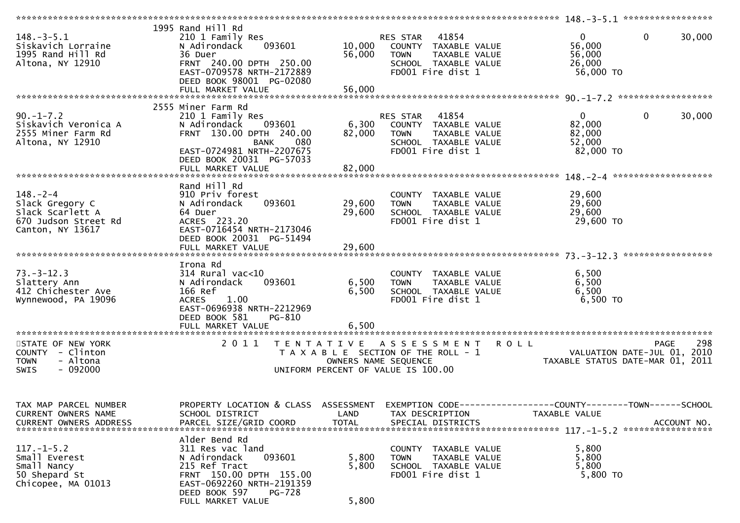| $148. - 3 - 5.1$<br>Siskavich Lorraine<br>1995 Rand Hill Rd | 1995 Rand Hill Rd<br>210 1 Family Res<br>N Adirondack<br>093601<br>36 Duer       | 10,000<br>56,000     | 41854<br>RES STAR<br>COUNTY TAXABLE VALUE<br>TAXABLE VALUE<br>TOWN | $\overline{0}$<br>56,000<br>56,000                   | $\mathbf{0}$<br>30,000           |
|-------------------------------------------------------------|----------------------------------------------------------------------------------|----------------------|--------------------------------------------------------------------|------------------------------------------------------|----------------------------------|
| Altona, NY 12910                                            | FRNT 240.00 DPTH 250.00<br>EAST-0709578 NRTH-2172889<br>DEED BOOK 98001 PG-02080 |                      | SCHOOL TAXABLE VALUE<br>FD001 Fire dist 1                          | 26,000<br>56,000 TO                                  |                                  |
|                                                             | FULL MARKET VALUE                                                                | 56,000               |                                                                    |                                                      |                                  |
|                                                             |                                                                                  |                      |                                                                    |                                                      |                                  |
|                                                             | 2555 Miner Farm Rd                                                               |                      |                                                                    |                                                      |                                  |
| $90. -1 - 7.2$                                              | 210 1 Family Res                                                                 |                      | RES STAR<br>41854                                                  | $\mathbf{0}$                                         | $\mathbf{0}$<br>30,000           |
| Siskavich Veronica A<br>2555 Miner Farm Rd                  | 093601<br>N Adirondack<br>FRNT 130.00 DPTH 240.00                                | 6,300<br>82,000      | COUNTY TAXABLE VALUE<br><b>TOWN</b>                                | 82,000<br>82,000                                     |                                  |
|                                                             |                                                                                  |                      | TAXABLE VALUE                                                      | 52,000                                               |                                  |
| Altona, NY 12910                                            | 080<br>BANK<br>EAST-0724981 NRTH-2207675                                         |                      | SCHOOL TAXABLE VALUE<br>FD001 Fire dist 1                          | 82,000 TO                                            |                                  |
|                                                             | DEED BOOK 20031 PG-57033                                                         |                      |                                                                    |                                                      |                                  |
|                                                             |                                                                                  | 82,000               |                                                                    |                                                      |                                  |
|                                                             | FULL MARKET VALUE                                                                |                      |                                                                    |                                                      |                                  |
|                                                             |                                                                                  |                      |                                                                    |                                                      |                                  |
| $148. - 2 - 4$                                              | Rand Hill Rd<br>910 Priv forest                                                  |                      |                                                                    | 29,600                                               |                                  |
| Slack Gregory C                                             | 093601<br>N Adirondack                                                           | 29,600               | COUNTY TAXABLE VALUE<br>TAXABLE VALUE<br><b>TOWN</b>               | 29,600                                               |                                  |
| Slack Scarlett A                                            | 64 Duer                                                                          | 29,600               | SCHOOL TAXABLE VALUE                                               | 29,600                                               |                                  |
| 670 Judson Street Rd                                        | ACRES 223.20                                                                     |                      | FD001 Fire dist 1                                                  | 29,600 TO                                            |                                  |
| Canton, NY 13617                                            | EAST-0716454 NRTH-2173046                                                        |                      |                                                                    |                                                      |                                  |
|                                                             | DEED BOOK 20031 PG-51494                                                         |                      |                                                                    |                                                      |                                  |
|                                                             |                                                                                  |                      |                                                                    |                                                      |                                  |
|                                                             |                                                                                  |                      |                                                                    |                                                      |                                  |
|                                                             | Irona Rd                                                                         |                      |                                                                    |                                                      |                                  |
| $73. - 3 - 12.3$                                            | $314$ Rural vac< $10$                                                            |                      | COUNTY TAXABLE VALUE                                               | 6,500                                                |                                  |
| Slattery Ann                                                | 093601<br>N Adirondack                                                           | 6,500                | TAXABLE VALUE<br><b>TOWN</b>                                       | 6,500                                                |                                  |
| 412 Chichester Ave                                          | 166 Ref                                                                          | 6,500                | SCHOOL TAXABLE VALUE                                               | 6,500                                                |                                  |
| Wynnewood, PA 19096                                         | 1.00<br><b>ACRES</b>                                                             |                      | FD001 Fire dist 1                                                  | 6,500 TO                                             |                                  |
|                                                             | EAST-0696938 NRTH-2212969                                                        |                      |                                                                    |                                                      |                                  |
|                                                             | DEED BOOK 581<br>PG-810                                                          |                      |                                                                    |                                                      |                                  |
|                                                             |                                                                                  |                      |                                                                    |                                                      |                                  |
|                                                             |                                                                                  |                      |                                                                    |                                                      |                                  |
| STATE OF NEW YORK                                           |                                                                                  |                      | 2011 TENTATIVE ASSESSMENT                                          | <b>ROLL</b>                                          | 298<br><b>PAGE</b>               |
| COUNTY - Clinton                                            |                                                                                  |                      | T A X A B L E SECTION OF THE ROLL - 1                              |                                                      | 2010                             |
| - Altona<br><b>TOWN</b>                                     |                                                                                  | OWNERS NAME SEQUENCE |                                                                    | VALUATION DATE-JUL 01,<br>TAXABLE STATUS DATE MAD 01 | TAXABLE STATUS DATE-MAR 01, 2011 |
| SWIS<br>- 092000                                            |                                                                                  |                      | UNIFORM PERCENT OF VALUE IS 100.00                                 |                                                      |                                  |
|                                                             |                                                                                  |                      |                                                                    |                                                      |                                  |
|                                                             |                                                                                  |                      |                                                                    |                                                      |                                  |
|                                                             |                                                                                  |                      |                                                                    |                                                      |                                  |
| TAX MAP PARCEL NUMBER                                       | PROPERTY LOCATION & CLASS ASSESSMENT                                             |                      | EXEMPTION CODE-----------------COUNTY-------TOWN------SCHOOL       |                                                      |                                  |
| CURRENT OWNERS NAME                                         | SCHOOL DISTRICT                                                                  | LAND                 | TAX DESCRIPTION                                                    | TAXABLE VALUE                                        |                                  |
| <b>CURRENT OWNERS ADDRESS</b>                               | PARCEL SIZE/GRID COORD                                                           | <b>TOTAL</b>         | SPECIAL DISTRICTS                                                  |                                                      | ACCOUNT NO.                      |
|                                                             |                                                                                  |                      |                                                                    |                                                      |                                  |
|                                                             | Alder Bend Rd                                                                    |                      |                                                                    |                                                      |                                  |
| $117. - 1 - 5.2$                                            | 311 Res vac land                                                                 |                      | TAXABLE VALUE<br><b>COUNTY</b>                                     | 5,800                                                |                                  |
| Small Everest                                               | N Adirondack<br>093601                                                           | 5,800                | TAXABLE VALUE<br><b>TOWN</b>                                       | 5,800                                                |                                  |
| Small Nancy                                                 | 215 Ref Tract                                                                    | 5,800                | SCHOOL TAXABLE VALUE                                               | 5,800                                                |                                  |
| 50 Shepard St                                               | FRNT 150.00 DPTH 155.00                                                          |                      | FD001 Fire dist 1                                                  | 5,800 TO                                             |                                  |
| Chicopee, MA 01013                                          | EAST-0692260 NRTH-2191359                                                        |                      |                                                                    |                                                      |                                  |
|                                                             | DEED BOOK 597<br>PG-728                                                          |                      |                                                                    |                                                      |                                  |
|                                                             | FULL MARKET VALUE                                                                | 5,800                |                                                                    |                                                      |                                  |
|                                                             |                                                                                  |                      |                                                                    |                                                      |                                  |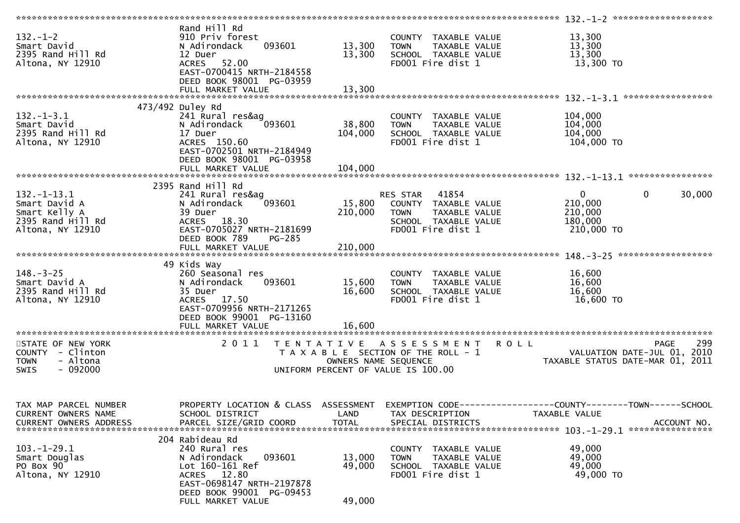|                         | Rand Hill Rd                                  |                      |                                       |                                                              |        |
|-------------------------|-----------------------------------------------|----------------------|---------------------------------------|--------------------------------------------------------------|--------|
| $132. - 1 - 2$          | 910 Priv forest                               |                      | COUNTY TAXABLE VALUE                  | 13,300                                                       |        |
| Smart David             | N Adirondack<br>093601                        | 13,300               | <b>TOWN</b><br>TAXABLE VALUE          | 13,300                                                       |        |
|                         |                                               |                      |                                       |                                                              |        |
| 2395 Rand Hill Rd       | 12 Duer                                       | 13,300               | SCHOOL TAXABLE VALUE                  | 13,300                                                       |        |
| Altona, NY 12910        | ACRES 52.00                                   |                      | FD001 Fire dist 1                     | 13,300 TO                                                    |        |
|                         | EAST-0700415 NRTH-2184558                     |                      |                                       |                                                              |        |
|                         | DEED BOOK 98001 PG-03959                      |                      |                                       |                                                              |        |
|                         | FULL MARKET VALUE                             | 13,300               |                                       |                                                              |        |
|                         |                                               |                      |                                       |                                                              |        |
|                         | 473/492 Duley Rd                              |                      |                                       |                                                              |        |
|                         |                                               |                      |                                       |                                                              |        |
| $132. - 1 - 3.1$        | 241 Rural res&ag                              |                      | COUNTY TAXABLE VALUE                  | 104,000                                                      |        |
| Smart David             | 093601<br>N Adirondack                        | 38,800               | <b>TOWN</b><br>TAXABLE VALUE          | 104,000                                                      |        |
| 2395 Rand Hill Rd       | 17 Duer                                       | 104,000              | SCHOOL TAXABLE VALUE                  | 104,000                                                      |        |
| Altona, NY 12910        | ACRES 150.60                                  |                      | FD001 Fire dist 1                     | 104,000 TO                                                   |        |
|                         | EAST-0702501 NRTH-2184949                     |                      |                                       |                                                              |        |
|                         | DEED BOOK 98001 PG-03958                      |                      |                                       |                                                              |        |
|                         | FULL MARKET VALUE                             | 104,000              |                                       |                                                              |        |
|                         |                                               |                      |                                       |                                                              |        |
|                         |                                               |                      |                                       |                                                              |        |
|                         | 2395 Rand Hill Rd                             |                      |                                       |                                                              |        |
| $132. - 1 - 13.1$       | 241 Rural res&ag                              |                      | RES STAR 41854                        | $\mathbf{0}$<br>$\mathbf 0$                                  | 30,000 |
| Smart David A           | 093601<br>N Adirondack                        | 15,800               | COUNTY TAXABLE VALUE                  | 210,000                                                      |        |
| Smart Kelly A           | 39 Duer                                       | 210,000              | TAXABLE VALUE<br><b>TOWN</b>          | 210,000                                                      |        |
| 2395 Rand Hill Rd       | ACRES 18.30                                   |                      | SCHOOL TAXABLE VALUE                  | 180,000                                                      |        |
| Altona, NY 12910        | EAST-0705027 NRTH-2181699                     |                      | FD001 Fire dist 1                     | 210,000 TO                                                   |        |
|                         |                                               |                      |                                       |                                                              |        |
|                         | DEED BOOK 789<br>$PG-285$                     |                      |                                       |                                                              |        |
|                         |                                               |                      |                                       |                                                              |        |
|                         |                                               |                      |                                       |                                                              |        |
|                         | 49 Kids Way                                   |                      |                                       |                                                              |        |
| $148. - 3 - 25$         | 260 Seasonal res                              |                      | COUNTY TAXABLE VALUE                  | 16,600                                                       |        |
|                         |                                               |                      |                                       |                                                              |        |
|                         |                                               |                      |                                       |                                                              |        |
| Smart David A           | 093601<br>N Adirondack                        | 15,600               | TAXABLE VALUE<br><b>TOWN</b>          | 16,600                                                       |        |
| 2395 Rand Hill Rd       | 35 Duer                                       | 16,600               | SCHOOL TAXABLE VALUE                  | 16,600                                                       |        |
| Altona, NY 12910        | ACRES 17.50                                   |                      | FD001 Fire dist 1                     | 16,600 TO                                                    |        |
|                         | EAST-0709956 NRTH-2171265                     |                      |                                       |                                                              |        |
|                         | DEED BOOK 99001 PG-13160                      |                      |                                       |                                                              |        |
|                         |                                               |                      |                                       |                                                              |        |
|                         |                                               |                      |                                       |                                                              |        |
|                         |                                               |                      |                                       |                                                              |        |
| STATE OF NEW YORK       | 2011                                          |                      | TENTATIVE ASSESSMENT                  | <b>ROLL</b><br><b>PAGE</b>                                   | 299    |
| COUNTY - Clinton        |                                               |                      | T A X A B L E SECTION OF THE ROLL - 1 | VALUATION DATE-JUL 01,                                       | 2010   |
| - Altona<br><b>TOWN</b> |                                               | OWNERS NAME SEQUENCE |                                       | TAXABLE STATUS DATE-MAR 01, 2011                             |        |
| <b>SWIS</b><br>- 092000 |                                               |                      | UNIFORM PERCENT OF VALUE IS 100.00    |                                                              |        |
|                         |                                               |                      |                                       |                                                              |        |
|                         |                                               |                      |                                       |                                                              |        |
|                         |                                               |                      |                                       |                                                              |        |
| TAX MAP PARCEL NUMBER   |                                               |                      |                                       |                                                              |        |
|                         | PROPERTY LOCATION & CLASS ASSESSMENT          |                      |                                       | EXEMPTION CODE-----------------COUNTY-------TOWN------SCHOOL |        |
| CURRENT OWNERS NAME     | SCHOOL DISTRICT                               | LAND                 | TAX DESCRIPTION                       | TAXABLE VALUE                                                |        |
| CURRENT OWNERS ADDRESS  | PARCEL SIZE/GRID COORD                        | <b>TOTAL</b>         | SPECIAL DISTRICTS                     | ACCOUNT NO.                                                  |        |
|                         |                                               |                      |                                       |                                                              |        |
|                         | 204 Rabideau Rd                               |                      |                                       |                                                              |        |
| 103.-1-29.1             | 240 Rural res                                 |                      | TAXABLE VALUE<br>COUNTY               | 49,000                                                       |        |
| Smart Douglas           | N Adirondack<br>093601                        | 13,000               | TAXABLE VALUE<br><b>TOWN</b>          | 49,000                                                       |        |
|                         | Lot 160-161 Ref                               |                      |                                       | 49,000                                                       |        |
| PO Box 90               |                                               | 49,000               | SCHOOL TAXABLE VALUE                  |                                                              |        |
| Altona, NY 12910        | ACRES 12.80                                   |                      | FD001 Fire dist 1                     | 49,000 TO                                                    |        |
|                         | EAST-0698147 NRTH-2197878                     |                      |                                       |                                                              |        |
|                         | DEED BOOK 99001 PG-09453<br>FULL MARKET VALUE | 49,000               |                                       |                                                              |        |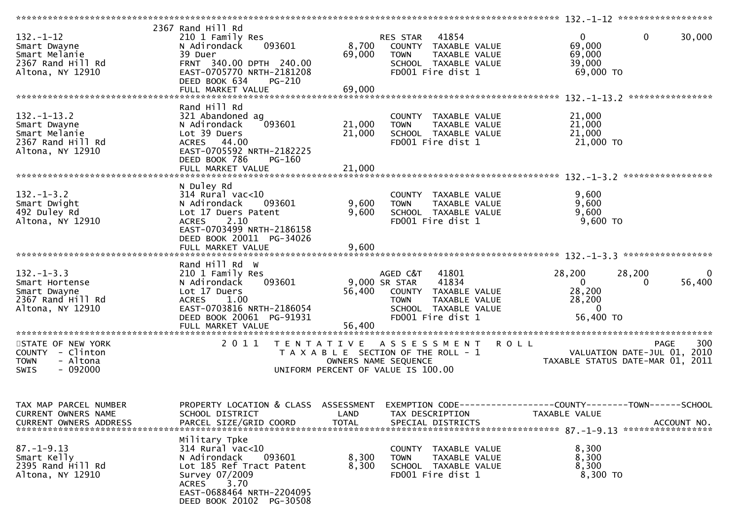| $132. - 1 - 12$<br>Smart Dwayne<br>Smart Melanie<br>2367 Rand Hill Rd<br>Altona, NY 12910   | 2367 Rand Hill Rd<br>210 1 Family Res<br>093601<br>N Adirondack<br>39 Duer<br>FRNT 340.00 DPTH 240.00<br>EAST-0705770 NRTH-2181208<br>DEED BOOK 634<br>$PG-210$<br>FULL MARKET VALUE            | 8,700<br>69,000<br>69,000 | 41854<br>RES STAR<br>COUNTY TAXABLE VALUE<br>TAXABLE VALUE<br><b>TOWN</b><br>SCHOOL TAXABLE VALUE<br>FD001 Fire dist 1                           | $\mathbf{0}$<br>69,000<br>69,000<br>39,000<br>69,000 TO             | $\mathbf 0$<br>30,000                          |
|---------------------------------------------------------------------------------------------|-------------------------------------------------------------------------------------------------------------------------------------------------------------------------------------------------|---------------------------|--------------------------------------------------------------------------------------------------------------------------------------------------|---------------------------------------------------------------------|------------------------------------------------|
|                                                                                             | Rand Hill Rd                                                                                                                                                                                    |                           |                                                                                                                                                  |                                                                     |                                                |
| $132. - 1 - 13.2$<br>Smart Dwayne<br>Smart Melanie<br>2367 Rand Hill Rd<br>Altona, NY 12910 | 321 Abandoned ag<br>093601<br>N Adirondack<br>Lot 39 Duers<br>ACRES 44.00<br>EAST-0705592 NRTH-2182225<br>DEED BOOK 786<br>PG-160                                                               | 21,000<br>21,000          | COUNTY TAXABLE VALUE<br>TAXABLE VALUE<br><b>TOWN</b><br>SCHOOL TAXABLE VALUE<br>FD001 Fire dist 1                                                | 21,000<br>21,000<br>21,000<br>21,000 TO                             |                                                |
|                                                                                             |                                                                                                                                                                                                 |                           |                                                                                                                                                  |                                                                     |                                                |
| $132 - 1 - 3.2$<br>Smart Dwight<br>492 Duley Rd<br>Altona, NY 12910                         | N Duley Rd<br>$314$ Rural vac<10<br>N Adirondack<br>093601<br>Lot 17 Duers Patent<br>2.10<br><b>ACRES</b><br>EAST-0703499 NRTH-2186158<br>DEED BOOK 20011 PG-34026<br>FULL MARKET VALUE         | 9,600<br>9,600<br>9,600   | COUNTY TAXABLE VALUE<br><b>TOWN</b><br>TAXABLE VALUE<br>SCHOOL TAXABLE VALUE<br>FD001 Fire dist 1                                                | 9,600<br>9,600<br>9,600<br>$9,600$ TO                               |                                                |
|                                                                                             |                                                                                                                                                                                                 |                           |                                                                                                                                                  |                                                                     |                                                |
| $132. -1 - 3.3$<br>Smart Hortense<br>Smart Dwayne<br>2367 Rand Hill Rd<br>Altona, NY 12910  | Rand Hill Rd W<br>210 1 Family Res<br>093601<br>N Adirondack<br>Lot 17 Duers<br><b>ACRES</b><br>1.00<br>EAST-0703816 NRTH-2186054<br>DEED BOOK 20061 PG-91931                                   | 56,400                    | AGED C&T<br>41801<br>41834<br>9,000 SR STAR<br>COUNTY TAXABLE VALUE<br><b>TOWN</b><br>TAXABLE VALUE<br>SCHOOL TAXABLE VALUE<br>FD001 Fire dist 1 | 28,200<br>$\mathbf{0}$<br>28,200<br>28,200<br>$\Omega$<br>56,400 TO | 28,200<br>$\overline{0}$<br>56,400<br>$\Omega$ |
| STATE OF NEW YORK                                                                           | 2011                                                                                                                                                                                            |                           | TENTATIVE ASSESSMENT                                                                                                                             | <b>ROLL</b>                                                         | 300<br><b>PAGE</b>                             |
| COUNTY - Clinton<br>- Altona<br><b>TOWN</b><br>$-092000$<br><b>SWIS</b>                     |                                                                                                                                                                                                 |                           | T A X A B L E SECTION OF THE ROLL - 1<br>OWNERS NAME SEQUENCE<br>UNIFORM PERCENT OF VALUE IS 100.00                                              | VALUATION DATE-JUL 01, 2010                                         | TAXABLE STATUS DATE-MAR 01, 2011               |
| TAX MAP PARCEL NUMBER<br>CURRENT OWNERS NAME<br><b>CURRENT OWNERS ADDRESS</b>               | PROPERTY LOCATION & CLASS ASSESSMENT<br>SCHOOL DISTRICT<br>PARCEL SIZE/GRID COORD                                                                                                               | LAND<br><b>TOTAL</b>      | TAX DESCRIPTION<br>SPECIAL DISTRICTS                                                                                                             | TAXABLE VALUE                                                       | ACCOUNT NO.                                    |
| $87. - 1 - 9.13$<br>Smart Kelly<br>2395 Rand Hill Rd<br>Altona, NY 12910                    | Military Tpke<br>$314$ Rural vac< $10$<br>N Adirondack<br>093601<br>Lot 185 Ref Tract Patent<br>Survey 07/2009<br><b>ACRES</b><br>3.70<br>EAST-0688464 NRTH-2204095<br>DEED BOOK 20102 PG-30508 | 8,300<br>8,300            | COUNTY TAXABLE VALUE<br>TAXABLE VALUE<br><b>TOWN</b><br>SCHOOL TAXABLE VALUE<br>FD001 Fire dist 1                                                | 8,300<br>8,300<br>8,300<br>8,300 TO                                 |                                                |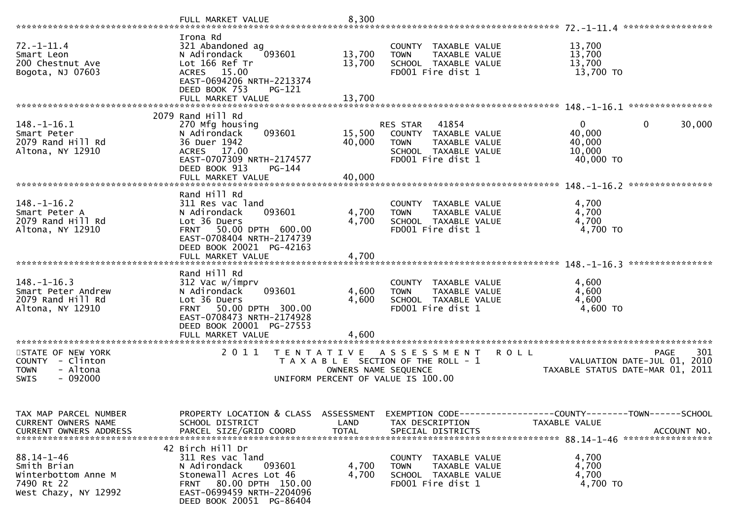|                                                                                              | FULL MARKET VALUE                                                                                                                                                                     | 8,300                      |                                                                                                                                           | *****************                                                                             |
|----------------------------------------------------------------------------------------------|---------------------------------------------------------------------------------------------------------------------------------------------------------------------------------------|----------------------------|-------------------------------------------------------------------------------------------------------------------------------------------|-----------------------------------------------------------------------------------------------|
| $72. - 1 - 11.4$<br>Smart Leon<br>200 Chestnut Ave<br>Bogota, NJ 07603                       | Irona Rd<br>321 Abandoned ag<br>N Adirondack<br>093601<br>Lot 166 Ref Tr<br>15.00<br><b>ACRES</b><br>EAST-0694206 NRTH-2213374<br>DEED BOOK 753<br>PG-121<br>FULL MARKET VALUE        | 13,700<br>13,700<br>13,700 | COUNTY TAXABLE VALUE<br>TAXABLE VALUE<br><b>TOWN</b><br>SCHOOL TAXABLE VALUE<br>FD001 Fire dist 1                                         | 13,700<br>13,700<br>13,700<br>13,700 TO<br>****************                                   |
|                                                                                              | 2079 Rand Hill Rd                                                                                                                                                                     |                            |                                                                                                                                           |                                                                                               |
| 148.-1-16.1<br>Smart Peter<br>2079 Rand Hill Rd<br>Altona, NY 12910                          | 270 Mfg housing<br>093601<br>N Adirondack<br>36 Duer 1942<br>17.00<br><b>ACRES</b><br>EAST-0707309 NRTH-2174577<br>DEED BOOK 913<br>PG-144                                            | 15,500<br>40,000           | RES STAR<br>41854<br>COUNTY TAXABLE VALUE<br><b>TOWN</b><br>TAXABLE VALUE<br>SCHOOL TAXABLE VALUE<br>FD001 Fire dist 1                    | $\overline{0}$<br>$\Omega$<br>30,000<br>40,000<br>40,000<br>10,000<br>40,000 TO               |
|                                                                                              | FULL MARKET VALUE                                                                                                                                                                     | 40,000                     |                                                                                                                                           | ****************<br>$148. - 1 - 16.2$                                                         |
| $148. - 1 - 16.2$<br>Smart Peter A<br>2079 Rand Hill Rd<br>Altona, NY 12910                  | Rand Hill Rd<br>311 Res vac land<br>093601<br>N Adirondack<br>Lot 36 Duers<br>50.00 DPTH 600.00<br><b>FRNT</b><br>EAST-0708404 NRTH-2174739<br>DEED BOOK 20021 PG-42163               | 4,700<br>4,700             | COUNTY TAXABLE VALUE<br>TAXABLE VALUE<br><b>TOWN</b><br>SCHOOL TAXABLE VALUE<br>FD001 Fire dist 1                                         | 4,700<br>4,700<br>4,700<br>4,700 TO                                                           |
|                                                                                              | FULL MARKET VALUE                                                                                                                                                                     | 4,700                      |                                                                                                                                           | ****************                                                                              |
| $148. - 1 - 16.3$<br>Smart Peter Andrew<br>2079 Rand Hill Rd<br>Altona, NY 12910             | Rand Hill Rd<br>312 Vac w/imprv<br>093601<br>N Adirondack<br>Lot 36 Duers<br><b>FRNT</b><br>50.00 DPTH 300.00<br>EAST-0708473 NRTH-2174928<br>DEED BOOK 20001 PG-27553                | 4,600<br>4,600             | COUNTY TAXABLE VALUE<br>TAXABLE VALUE<br><b>TOWN</b><br>SCHOOL TAXABLE VALUE<br>FD001 Fire dist 1                                         | 4,600<br>4,600<br>4,600<br>4,600 TO                                                           |
|                                                                                              | FULL MARKET VALUE<br>******************                                                                                                                                               | 4,600                      |                                                                                                                                           |                                                                                               |
| STATE OF NEW YORK<br>COUNTY - Clinton<br>- Altona<br><b>TOWN</b><br>$-092000$<br><b>SWIS</b> | 2011<br>T E N T A T I V E                                                                                                                                                             |                            | A S S E S S M E N T<br><b>ROLL</b><br>T A X A B L E SECTION OF THE ROLL - 1<br>OWNERS NAME SEQUENCE<br>UNIFORM PERCENT OF VALUE IS 100.00 | 301<br><b>PAGE</b><br>VALUATION DATE-JUL 01,<br>2010<br>2011<br>TAXABLE STATUS DATE-MAR 01,   |
| TAX MAP PARCEL NUMBER<br>CURRENT OWNERS NAME<br><b>CURRENT OWNERS ADDRESS</b>                | PROPERTY LOCATION & CLASS ASSESSMENT<br>SCHOOL DISTRICT<br>PARCEL SIZE/GRID COORD                                                                                                     | LAND<br><b>TOTAL</b>       | TAX DESCRIPTION<br>SPECIAL DISTRICTS                                                                                                      | EXEMPTION CODE-----------------COUNTY--------TOWN------SCHOOL<br>TAXABLE VALUE<br>ACCOUNT NO. |
| $88.14 - 1 - 46$<br>Smith Brian<br>Winterbottom Anne M<br>7490 Rt 22<br>West Chazy, NY 12992 | 42 Birch Hill Dr<br>311 Res vac land<br>093601<br>N Adirondack<br>Stonewall Acres Lot 46<br>80.00 DPTH 150.00<br><b>FRNT</b><br>EAST-0699459 NRTH-2204096<br>DEED BOOK 20051 PG-86404 | 4,700<br>4,700             | COUNTY TAXABLE VALUE<br>TAXABLE VALUE<br><b>TOWN</b><br>SCHOOL TAXABLE VALUE<br>FD001 Fire dist 1                                         | 4,700<br>4,700<br>4,700<br>4,700 TO                                                           |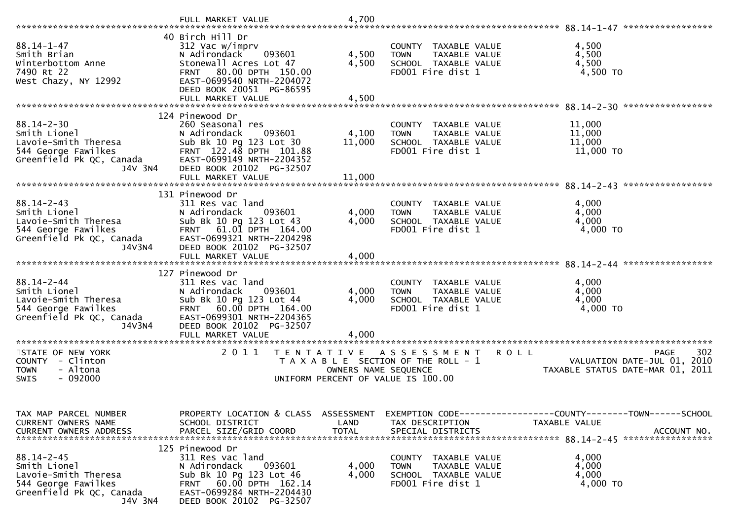|                                                                                                                        | FULL MARKET VALUE                                                                                                                                                                                                                   | 4,700                                     |                                                                                                   |                                                                                             |
|------------------------------------------------------------------------------------------------------------------------|-------------------------------------------------------------------------------------------------------------------------------------------------------------------------------------------------------------------------------------|-------------------------------------------|---------------------------------------------------------------------------------------------------|---------------------------------------------------------------------------------------------|
| $88.14 - 1 - 47$<br>Smith Brian<br>Winterbottom Anne<br>7490 Rt 22<br>West Chazy, NY 12992                             | 40 Birch Hill Dr<br>312 Vac w/imprv<br>093601<br>N Adirondack<br>Stonewall Acres Lot 47<br>80.00 DPTH 150.00<br><b>FRNT</b><br>EAST-0699540 NRTH-2204072<br>DEED BOOK 20051 PG-86595                                                | 4,500<br>4,500                            | COUNTY TAXABLE VALUE<br>TAXABLE VALUE<br><b>TOWN</b><br>SCHOOL TAXABLE VALUE<br>FD001 Fire dist 1 | 4,500<br>4,500<br>4,500<br>4,500 TO                                                         |
| $88.14 - 2 - 30$<br>Smith Lionel<br>Lavoie-Smith Theresa<br>544 George Fawilkes<br>Greenfield Pk QC, Canada<br>J4V 3N4 | 124 Pinewood Dr<br>260 Seasonal res<br>N Adirondack<br>093601<br>Sub Bk 10 Pg 123 Lot 30<br>FRNT 122.48 DPTH 101.88<br>EAST-0699149 NRTH-2204352<br>DEED BOOK 20102 PG-32507<br>FULL MARKET VALUE                                   | 4,100<br>11,000<br>11,000                 | COUNTY TAXABLE VALUE<br>TAXABLE VALUE<br><b>TOWN</b><br>SCHOOL TAXABLE VALUE<br>FD001 Fire dist 1 | 11,000<br>11,000<br>11,000<br>11,000 TO<br>*****************                                |
| $88.14 - 2 - 43$<br>Smith Lionel<br>Lavoie-Smith Theresa<br>544 George Fawilkes<br>Greenfield Pk QC, Canada<br>J4V3N4  | 131 Pinewood Dr<br>311 Res vac land<br>N Adirondack<br>093601<br>Sub Bk 10 Pg 123 Lot 43<br>61.Ol DPTH 164.OO<br><b>FRNT</b><br>EAST-0699321 NRTH-2204298<br>DEED BOOK 20102 PG-32507<br>FULL MARKET VALUE                          | 4,000<br>4,000<br>4,000                   | COUNTY TAXABLE VALUE<br><b>TOWN</b><br>TAXABLE VALUE<br>SCHOOL TAXABLE VALUE<br>FD001 Fire dist 1 | 4,000<br>4,000<br>4,000<br>4,000 TO                                                         |
| $88.14 - 2 - 44$<br>Smith Lionel<br>Lavoie-Smith Theresa<br>544 George Fawilkes<br>Greenfield Pk QC, Canada<br>J4V3N4  | 127 Pinewood Dr<br>311 Res vac land<br>N Adirondack<br>093601<br>Sub Bk 10 Pg 123 Lot 44<br>60.00 DPTH 164.00<br><b>FRNT</b><br>EAST-0699301 NRTH-2204365<br>DEED BOOK 20102 PG-32507<br>FULL MARKET VALUE<br>********************* | 4,000<br>4,000<br>4,000                   | COUNTY TAXABLE VALUE<br><b>TOWN</b><br>TAXABLE VALUE<br>SCHOOL TAXABLE VALUE<br>FD001 Fire dist 1 | 4,000<br>4,000<br>4,000<br>4,000 TO                                                         |
| STATE OF NEW YORK<br>COUNTY - Clinton<br><b>TOWN</b><br>- Altona<br>$-092000$<br>SWIS                                  | 2011<br>T A X A B L E                                                                                                                                                                                                               | T E N T A T I V E<br>OWNERS NAME SEQUENCE | ASSESSMENT<br><b>ROLL</b><br>SECTION OF THE ROLL - 1<br>UNIFORM PERCENT OF VALUE IS 100.00        | 302<br><b>PAGE</b><br>2010<br>VALUATION DATE-JUL 01,<br>TAXABLE STATUS DATE-MAR 01,<br>2011 |
| TAX MAP PARCEL NUMBER<br>CURRENT OWNERS NAME                                                                           | PROPERTY LOCATION & CLASS ASSESSMENT<br>SCHOOL DISTRICT                                                                                                                                                                             | LAND                                      | TAX DESCRIPTION                                                                                   | EXEMPTION CODE------------------COUNTY--------TOWN------SCHOOL<br><b>TAXABLE VALUE</b>      |
| $88.14 - 2 - 45$<br>Smith Lionel<br>Lavoie-Smith Theresa<br>544 George Fawilkes<br>Greenfield Pk QC, Canada<br>J4V 3N4 | 125 Pinewood Dr<br>311 Res vac land<br>093601<br>N Adirondack<br>Sub Bk 10 Pg 123 Lot 46<br>FRNT 60.00 DPTH 162.14<br>EAST-0699284 NRTH-2204430<br>DEED BOOK 20102 PG-32507                                                         | 4,000<br>4,000                            | COUNTY TAXABLE VALUE<br>TAXABLE VALUE<br><b>TOWN</b><br>SCHOOL TAXABLE VALUE<br>FD001 Fire dist 1 | 4,000<br>4,000<br>4,000<br>4,000 TO                                                         |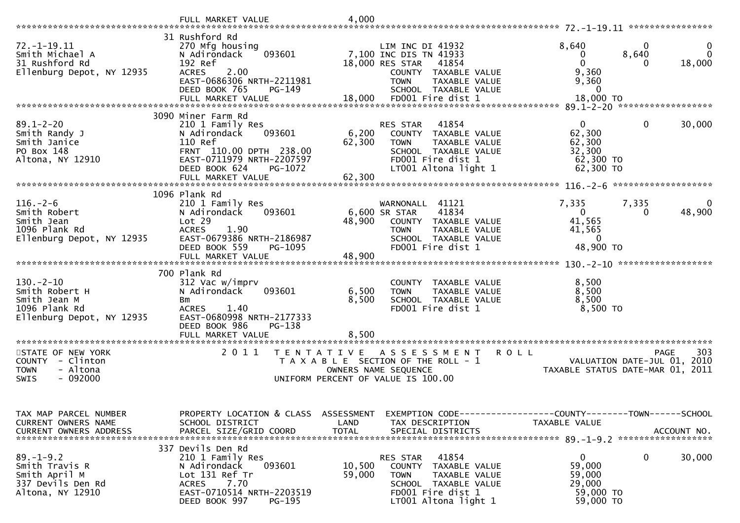|                                                                                                 | FULL MARKET VALUE                                                                                                                                                                    | 4,000                     |                                                                                                                                                        |                                                                                 |                                |
|-------------------------------------------------------------------------------------------------|--------------------------------------------------------------------------------------------------------------------------------------------------------------------------------------|---------------------------|--------------------------------------------------------------------------------------------------------------------------------------------------------|---------------------------------------------------------------------------------|--------------------------------|
| 72. -1-19.11<br>Smith Michael A<br>31 Rushford Rd<br>Ellenburg Depot, NY 12935                  | 31 Rushford Rd<br>270 Mfg housing<br>093601<br>N Adirondack<br>192 Ref<br><b>ACRES</b><br>2.00<br>EAST-0686306 NRTH-2211981<br>DEED BOOK 765<br>PG-149                               |                           | LIM INC DI 41932<br>7,100 INC DIS TN 41933<br>18,000 RES STAR<br>41854<br>COUNTY TAXABLE VALUE<br><b>TOWN</b><br>TAXABLE VALUE<br>SCHOOL TAXABLE VALUE | 8,640<br>8,640<br>0<br>$\Omega$<br>9,360<br>9,360<br>0                          | $\Omega$<br>$\Omega$<br>18,000 |
|                                                                                                 | FULL MARKET VALUE                                                                                                                                                                    | 18,000                    | FD001 Fire dist 1                                                                                                                                      | 18,000 TO                                                                       |                                |
| $89.1 - 2 - 20$<br>Smith Randy J<br>Smith Janice<br>PO Box 148<br>Altona, NY 12910              | 3090 Miner Farm Rd<br>210 1 Family Res<br>093601<br>N Adirondack<br>110 Ref<br>FRNT 110.00 DPTH 238.00<br>EAST-0711979 NRTH-2207597<br>DEED BOOK 624<br>PG-1072<br>FULL MARKET VALUE | 6,200<br>62,300<br>62,300 | RES STAR<br>41854<br>COUNTY TAXABLE VALUE<br><b>TOWN</b><br>TAXABLE VALUE<br>SCHOOL TAXABLE VALUE<br>FD001 Fire dist 1<br>LT001 Altona light 1         | 0<br>62,300<br>62,300<br>32,300<br>62,300 TO<br>62,300 TO                       | 30,000<br>0                    |
|                                                                                                 |                                                                                                                                                                                      |                           |                                                                                                                                                        |                                                                                 |                                |
| $116. - 2 - 6$<br>Smith Robert<br>Smith Jean<br>1096 Plank Rd<br>Ellenburg Depot, NY 12935      | 1096 Plank Rd<br>210 1 Family Res<br>N Adirondack<br>093601<br>Lot 29<br><b>ACRES</b><br>1.90<br>EAST-0679386 NRTH-2186987                                                           | 48,900                    | WARNONALL 41121<br>41834<br>6,600 SR STAR<br>COUNTY TAXABLE VALUE<br><b>TOWN</b><br>TAXABLE VALUE<br>SCHOOL TAXABLE VALUE                              | 7,335<br>7,335<br>$\overline{0}$<br>41,565<br>41,565<br>$\mathbf 0$             | 48,900<br>0                    |
|                                                                                                 | DEED BOOK 559<br>PG-1095<br>FULL MARKET VALUE                                                                                                                                        | 48,900                    | FD001 Fire dist 1                                                                                                                                      | 48,900 TO                                                                       |                                |
|                                                                                                 |                                                                                                                                                                                      |                           |                                                                                                                                                        |                                                                                 |                                |
| $130. - 2 - 10$<br>Smith Robert H<br>Smith Jean M<br>1096 Plank Rd<br>Ellenburg Depot, NY 12935 | 700 Plank Rd<br>312 Vac w/imprv<br>093601<br>N Adirondack<br>Bm<br>1.40<br><b>ACRES</b><br>EAST-0680998 NRTH-2177333<br>DEED BOOK 986<br>PG-138                                      | 6,500<br>8,500            | COUNTY TAXABLE VALUE<br><b>TOWN</b><br>TAXABLE VALUE<br>SCHOOL TAXABLE VALUE<br>FD001 Fire dist 1                                                      | 8,500<br>8,500<br>8,500<br>8,500 TO                                             |                                |
| *************************                                                                       | FULL MARKET VALUE<br>*************************                                                                                                                                       | 8,500                     |                                                                                                                                                        |                                                                                 |                                |
| STATE OF NEW YORK<br>COUNTY - Clinton<br>- Altona<br><b>TOWN</b><br>$-092000$<br>SWIS           | 2011<br>T E N T A T I V E                                                                                                                                                            |                           | A S S E S S M E N T<br>T A X A B L E SECTION OF THE ROLL - 1<br>OWNERS NAME SEQUENCE<br>UNIFORM PERCENT OF VALUE IS 100.00                             | <b>ROLL</b><br>VALUATION DATE-JUL 01, 2010<br>TAXABLE STATUS DATE-MAR 01, 2011  | 303<br><b>PAGE</b>             |
| TAX MAP PARCEL NUMBER<br>CURRENT OWNERS NAME<br><b>CURRENT OWNERS ADDRESS</b>                   | PROPERTY LOCATION & CLASS ASSESSMENT<br>SCHOOL DISTRICT<br>PARCEL SIZE/GRID COORD                                                                                                    | LAND<br><b>TOTAL</b>      | TAX DESCRIPTION<br>SPECIAL DISTRICTS                                                                                                                   | EXEMPTION CODE------------------COUNTY--------TOWN------SCHOOL<br>TAXABLE VALUE | ACCOUNT NO.                    |
| $89. - 1 - 9.2$<br>Smith Travis R<br>Smith April M<br>337 Devils Den Rd<br>Altona, NY 12910     | 337 Devils Den Rd<br>210 1 Family Res<br>093601<br>N Adirondack<br>Lot 131 Ref Tr<br>7.70<br><b>ACRES</b><br>EAST-0710514 NRTH-2203519<br>DEED BOOK 997<br>PG-195                    | 10,500<br>59,000          | RES STAR<br>41854<br>COUNTY TAXABLE VALUE<br><b>TOWN</b><br>TAXABLE VALUE<br>SCHOOL TAXABLE VALUE<br>FD001 Fire dist 1<br>LT001 Altona light 1         | 0<br>59,000<br>59,000<br>29,000<br>59,000 TO<br>59,000 TO                       | 0<br>30,000                    |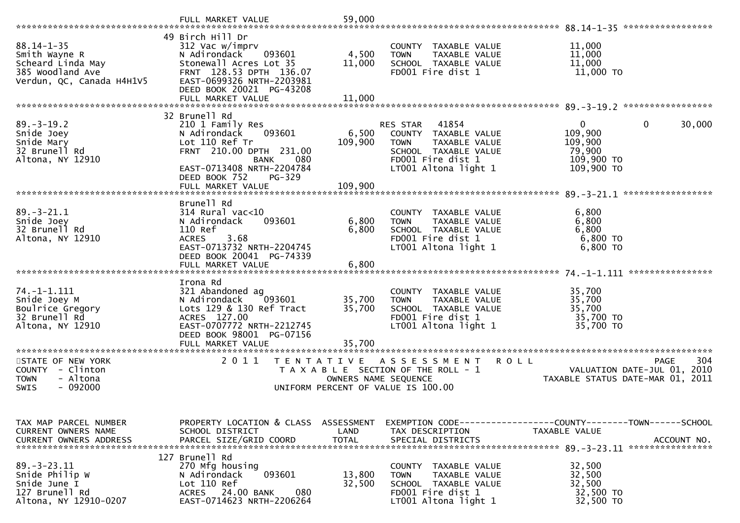|                                                                                                         | FULL MARKET VALUE                                                                                                                                                                                           | 59,000                                    |                                                                                                                                                          |                                                                          | *****************                                                              |
|---------------------------------------------------------------------------------------------------------|-------------------------------------------------------------------------------------------------------------------------------------------------------------------------------------------------------------|-------------------------------------------|----------------------------------------------------------------------------------------------------------------------------------------------------------|--------------------------------------------------------------------------|--------------------------------------------------------------------------------|
| $88.14 - 1 - 35$<br>Smith Wayne R<br>Scheard Linda May<br>385 Woodland Ave<br>Verdun, QC, Canada H4H1V5 | 49 Birch Hill Dr<br>312 Vac w/imprv<br>N Adirondack<br>093601<br>Stonewall Acres Lot 35<br>FRNT 128.53 DPTH 136.07<br>EAST-0699326 NRTH-2203981<br>DEED BOOK 20021 PG-43208                                 | 4,500<br>11,000                           | COUNTY<br>TAXABLE VALUE<br>TAXABLE VALUE<br><b>TOWN</b><br>SCHOOL TAXABLE VALUE<br>FD001 Fire dist 1                                                     | 11,000<br>11,000<br>11,000<br>$11,000$ TO                                |                                                                                |
|                                                                                                         | FULL MARKET VALUE                                                                                                                                                                                           | 11,000                                    |                                                                                                                                                          |                                                                          |                                                                                |
| $89. - 3 - 19.2$<br>Snide Joey<br>Snide Mary<br>32 Brunell Rd<br>Altona, NY 12910                       | 32 Brunell Rd<br>210 1 Family Res<br>N Adirondack<br>093601<br>Lot 110 Ref Tr<br>FRNT 210.00 DPTH 231.00<br><b>BANK</b><br>080<br>EAST-0713408 NRTH-2204784<br>DEED BOOK 752<br>PG-329<br>FULL MARKET VALUE | 6,500<br>109,900<br>109,900               | RES STAR<br>41854<br><b>COUNTY</b><br>TAXABLE VALUE<br><b>TOWN</b><br>TAXABLE VALUE<br>SCHOOL TAXABLE VALUE<br>FD001 Fire dist 1<br>LT001 Altona light 1 | $\mathbf{0}$<br>109,900<br>109,900<br>79,900<br>109,900 TO<br>109,900 TO | $\Omega$<br>30,000                                                             |
|                                                                                                         | Brunell Rd                                                                                                                                                                                                  |                                           |                                                                                                                                                          |                                                                          |                                                                                |
| $89. - 3 - 21.1$<br>Snide Joey<br>32 Brunell Rd<br>Altona, NY 12910                                     | $314$ Rural vac<10<br>N Adirondack<br>093601<br>110 Ref<br>3.68<br><b>ACRES</b><br>EAST-0713732 NRTH-2204745<br>DEED BOOK 20041 PG-74339                                                                    | 6,800<br>6,800                            | COUNTY<br>TAXABLE VALUE<br>TAXABLE VALUE<br><b>TOWN</b><br>SCHOOL TAXABLE VALUE<br>FD001 Fire dist 1<br>LT001 Altona light 1                             | 6,800<br>6,800<br>6,800<br>6,800 TO<br>$6,800$ TO                        |                                                                                |
|                                                                                                         |                                                                                                                                                                                                             |                                           |                                                                                                                                                          |                                                                          | ****************                                                               |
| $74. - 1 - 1.111$<br>Snide Joey M<br>Boulrice Gregory<br>32 Brunell Rd<br>Altona, NY 12910              | Irona Rd<br>321 Abandoned ag<br>N Adirondack<br>093601<br>Lots 129 & 130 Ref Tract<br>ACRES 127.00<br>EAST-0707772 NRTH-2212745<br>DEED BOOK 98001 PG-07156                                                 | 35,700<br>35,700                          | COUNTY TAXABLE VALUE<br>TAXABLE VALUE<br><b>TOWN</b><br>SCHOOL TAXABLE VALUE<br>FD001 Fire dist 1<br>LT001 Altona light 1                                | 35,700<br>35,700<br>35,700<br>35,700 TO<br>35,700 TO                     |                                                                                |
|                                                                                                         | FULL MARKET VALUE                                                                                                                                                                                           | 35,700                                    |                                                                                                                                                          |                                                                          |                                                                                |
| STATE OF NEW YORK<br>COUNTY - Clinton<br>- Altona<br><b>TOWN</b><br>$-092000$<br><b>SWIS</b>            | 2011                                                                                                                                                                                                        | T E N T A T I V E<br>OWNERS NAME SEQUENCE | A S S E S S M E N T<br>T A X A B L E SECTION OF THE ROLL - 1<br>UNIFORM PERCENT OF VALUE IS 100.00                                                       | <b>ROLL</b>                                                              | 304<br>PAGE<br>VALUATION DATE-JUL 01, 2010<br>TAXABLE STATUS DATE-MAR 01, 2011 |
|                                                                                                         |                                                                                                                                                                                                             |                                           |                                                                                                                                                          |                                                                          |                                                                                |
| TAX MAP PARCEL NUMBER<br>CURRENT OWNERS NAME<br><b>CURRENT OWNERS ADDRESS</b>                           | PROPERTY LOCATION & CLASS ASSESSMENT<br>SCHOOL DISTRICT<br>PARCEL SIZE/GRID COORD                                                                                                                           | LAND<br><b>TOTAL</b>                      | EXEMPTION CODE-----------------COUNTY-------TOWN-----SCHOOL<br>TAX DESCRIPTION<br>SPECIAL DISTRICTS                                                      | <b>TAXABLE VALUE</b>                                                     | ACCOUNT NO.                                                                    |
|                                                                                                         | 127 Brunell Rd                                                                                                                                                                                              |                                           |                                                                                                                                                          |                                                                          |                                                                                |
| $89. - 3 - 23.11$<br>Snide Philip W<br>Snide June I<br>127 Brunell Rd<br>Altona, NY 12910-0207          | 270 Mfg housing<br>093601<br>N Adirondack<br>Lot 110 Ref<br>24.00 BANK<br>080<br>ACRES<br>EAST-0714623 NRTH-2206264                                                                                         | 13,800<br>32,500                          | COUNTY TAXABLE VALUE<br>TAXABLE VALUE<br><b>TOWN</b><br>SCHOOL TAXABLE VALUE<br>FD001 Fire dist 1<br>LT001 Altona light 1                                | 32,500<br>32,500<br>32,500<br>32,500 TO<br>32,500 TO                     |                                                                                |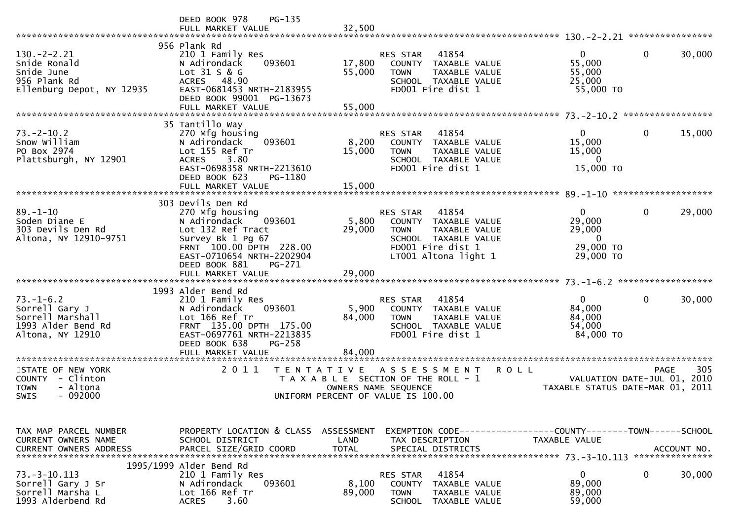|                                                                                                 | PG-135<br>DEED BOOK 978                                                                                                                                                                                          |                                                                                                                                                                                    |                                                                                               |
|-------------------------------------------------------------------------------------------------|------------------------------------------------------------------------------------------------------------------------------------------------------------------------------------------------------------------|------------------------------------------------------------------------------------------------------------------------------------------------------------------------------------|-----------------------------------------------------------------------------------------------|
| $130 - 2 - 2.21$<br>Snide Ronald<br>Snide June<br>956 Plank Rd<br>Ellenburg Depot, NY 12935     | 956 Plank Rd<br>210 1 Family Res<br>N Adirondack<br>093601<br>Lot 31 S & G<br>ACRES 48.90<br>EAST-0681453 NRTH-2183955<br>DEED BOOK 99001 PG-13673<br>FULL MARKET VALUE                                          | RES STAR<br>41854<br>17,800<br>COUNTY TAXABLE VALUE<br>55,000<br><b>TOWN</b><br>TAXABLE VALUE<br>SCHOOL TAXABLE VALUE<br>FD001 Fire dist 1<br>55,000                               | $\mathbf{0}$<br>$\mathbf 0$<br>30,000<br>55,000<br>55,000<br>25,000<br>55,000 TO              |
| $73. - 2 - 10.2$                                                                                | 35 Tantillo Way<br>270 Mfg housing                                                                                                                                                                               | RES STAR<br>41854                                                                                                                                                                  | 15,000<br>$\overline{0}$<br>0                                                                 |
| Snow William<br>PO Box 2974<br>Plattsburgh, NY 12901                                            | 093601<br>N Adirondack<br>Lot 155 Ref Tr<br>3.80<br><b>ACRES</b><br>EAST-0698358 NRTH-2213610<br>DEED BOOK 623<br>PG-1180                                                                                        | 8,200<br>COUNTY TAXABLE VALUE<br>15,000<br><b>TOWN</b><br>TAXABLE VALUE<br>SCHOOL TAXABLE VALUE<br>FD001 Fire dist 1                                                               | 15,000<br>15,000<br>$\Omega$<br>15,000 TO                                                     |
|                                                                                                 | FULL MARKET VALUE                                                                                                                                                                                                | 15,000                                                                                                                                                                             | 89.-1-10 *********************                                                                |
| $89. - 1 - 10$<br>Soden Diane E<br>303 Devils Den Rd<br>Altona, NY 12910-9751                   | 303 Devils Den Rd<br>270 Mfg housing<br>093601<br>N Adirondack<br>Lot 132 Ref Tract<br>Survey Bk 1 Pg 67<br>FRNT 100.00 DPTH 228.00<br>EAST-0710654 NRTH-2202904<br>DEED BOOK 881<br>PG-271<br>FULL MARKET VALUE | 41854<br><b>RES STAR</b><br>5,800<br>COUNTY TAXABLE VALUE<br>29,000<br>TAXABLE VALUE<br><b>TOWN</b><br>SCHOOL TAXABLE VALUE<br>FD001 Fire dist 1<br>LT001 Altona light 1<br>29,000 | 29,000<br>$\overline{0}$<br>0<br>29,000<br>29,000<br>$\overline{0}$<br>29,000 TO<br>29,000 TO |
|                                                                                                 |                                                                                                                                                                                                                  |                                                                                                                                                                                    |                                                                                               |
| $73. - 1 - 6.2$<br>Sorrell Gary J<br>Sorrell Marshall<br>1993 Alder Bend Rd<br>Altona, NY 12910 | 1993 Alder Bend Rd<br>210 1 Family Res<br>093601<br>N Adirondack<br>Lot 166 Ref Tr<br>FRNT 135.00 DPTH 175.00<br>EAST-0697761 NRTH-2213835<br>DEED BOOK 638<br><b>PG-258</b><br>FULL MARKET VALUE                | RES STAR<br>41854<br>5,900<br>COUNTY TAXABLE VALUE<br>84,000<br>TAXABLE VALUE<br><b>TOWN</b><br>SCHOOL TAXABLE VALUE<br>FD001 Fire dist 1<br>84,000                                | $\mathbf{0}$<br>$\mathbf 0$<br>30,000<br>84,000<br>84,000<br>54,000<br>84,000 TO              |
|                                                                                                 | 2 0 1 1                                                                                                                                                                                                          |                                                                                                                                                                                    |                                                                                               |
| STATE OF NEW YORK<br>COUNTY - Clinton<br>- Altona<br><b>TOWN</b><br><b>SWIS</b><br>- 092000     | T E N T A T I V E                                                                                                                                                                                                | <b>ROLL</b><br>A S S E S S M E N T<br>T A X A B L E SECTION OF THE ROLL - 1<br>OWNERS NAME SEQUENCE<br>UNIFORM PERCENT OF VALUE IS 100.00                                          | 305<br><b>PAGE</b><br>VALUATION DATE-JUL 01, 2010<br>TAXABLE STATUS DATE-MAR 01, 2011         |
| TAX MAP PARCEL NUMBER<br>CURRENT OWNERS NAME                                                    | PROPERTY LOCATION & CLASS ASSESSMENT<br>SCHOOL DISTRICT                                                                                                                                                          | LAND<br>TAX DESCRIPTION                                                                                                                                                            | TAXABLE VALUE                                                                                 |
| <b>CURRENT OWNERS ADDRESS</b>                                                                   | PARCEL SIZE/GRID COORD                                                                                                                                                                                           | <b>TOTAL</b><br>SPECIAL DISTRICTS                                                                                                                                                  | ACCOUNT NO.                                                                                   |
| $73. - 3 - 10.113$<br>Sorrell Gary J Sr<br>Sorrell Marsha L<br>1993 Alderbend Rd                | 1995/1999 Alder Bend Rd<br>210 1 Family Res<br>N Adirondack<br>093601<br>Lot 166 Ref Tr<br>3.60<br><b>ACRES</b>                                                                                                  | 41854<br>RES STAR<br>8,100<br>COUNTY<br>TAXABLE VALUE<br>89,000<br><b>TOWN</b><br>TAXABLE VALUE<br>SCHOOL<br>TAXABLE VALUE                                                         | 0<br>0<br>30,000<br>89,000<br>89,000<br>59,000                                                |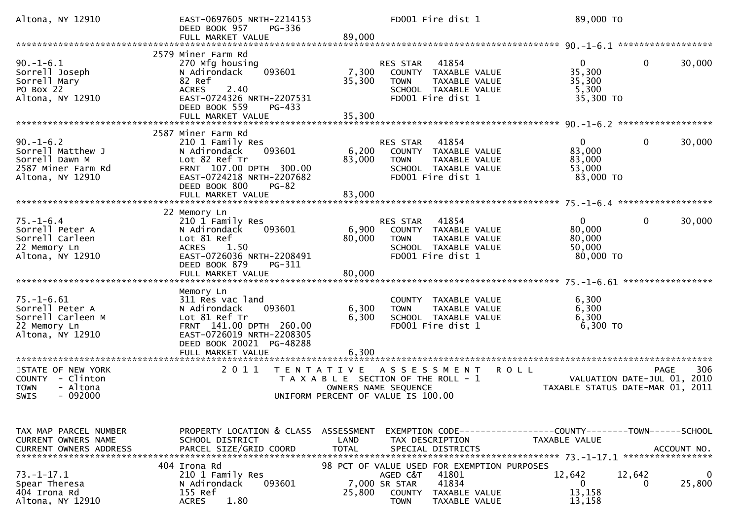| Altona, NY 12910                                                                                                         | EAST-0697605 NRTH-2214153<br>DEED BOOK 957<br>PG-336<br>FULL MARKET VALUE                                                                                                                                        | FD001 Fire dist 1<br>89,000                                                                                                                                            | 89,000 TO                                                                           |
|--------------------------------------------------------------------------------------------------------------------------|------------------------------------------------------------------------------------------------------------------------------------------------------------------------------------------------------------------|------------------------------------------------------------------------------------------------------------------------------------------------------------------------|-------------------------------------------------------------------------------------|
|                                                                                                                          |                                                                                                                                                                                                                  |                                                                                                                                                                        |                                                                                     |
| $90. -1 - 6.1$<br>Sorrell Joseph<br>Sorrell Mary<br>PO Box 22<br>Altona, NY 12910                                        | 2579 Miner Farm Rd<br>270 Mfg housing<br>093601<br>N Adirondack<br>82 Ref<br><b>ACRES</b><br>2.40<br>EAST-0724326 NRTH-2207531<br>DEED BOOK 559<br>PG-433                                                        | RES STAR<br>41854<br>7,300<br>COUNTY TAXABLE VALUE<br>35,300<br><b>TOWN</b><br>TAXABLE VALUE<br>SCHOOL TAXABLE VALUE<br>FD001 Fire dist 1                              | $\Omega$<br>0<br>30,000<br>35,300<br>35,300<br>5,300<br>35,300 TO                   |
|                                                                                                                          | FULL MARKET VALUE                                                                                                                                                                                                | 35,300                                                                                                                                                                 |                                                                                     |
|                                                                                                                          | 2587 Miner Farm Rd                                                                                                                                                                                               |                                                                                                                                                                        |                                                                                     |
| $90. - 1 - 6.2$<br>Sorrell Matthew J<br>Sorrell Dawn M<br>2587 Miner Farm Rd<br>Altona, NY 12910                         | 210 1 Family Res<br>N Adirondack<br>093601<br>Lot 82 Ref Tr<br>FRNT 107.00 DPTH 300.00<br>EAST-0724218 NRTH-2207682<br>DEED BOOK 800<br>$PG-82$                                                                  | 41854<br>RES STAR<br>6,200<br>COUNTY TAXABLE VALUE<br>83,000<br><b>TOWN</b><br>TAXABLE VALUE<br>SCHOOL TAXABLE VALUE<br>FD001 Fire dist 1                              | $\overline{0}$<br>$\mathbf{0}$<br>30,000<br>83,000<br>83,000<br>53,000<br>83,000 TO |
|                                                                                                                          | FULL MARKET VALUE                                                                                                                                                                                                | 83,000                                                                                                                                                                 |                                                                                     |
| $75. - 1 - 6.4$<br>Sorrell Peter A<br>Sorrell Carleen<br>22 Memory Ln<br>Altona, NY 12910                                | 22 Memory Ln<br>210 1 Family Res<br>N Adirondack<br>093601<br>Lot 81 Ref<br>1.50<br><b>ACRES</b><br>EAST-0726036 NRTH-2208491<br>DEED BOOK 879<br>PG-311<br>FULL MARKET VALUE                                    | 41854<br><b>RES STAR</b><br>6,900<br>COUNTY TAXABLE VALUE<br>80,000<br><b>TOWN</b><br>TAXABLE VALUE<br>SCHOOL TAXABLE VALUE<br>FD001 Fire dist 1<br>80,000             | $\mathbf{0}$<br>0<br>30,000<br>80,000<br>80,000<br>50,000<br>80,000 TO              |
|                                                                                                                          |                                                                                                                                                                                                                  |                                                                                                                                                                        |                                                                                     |
| $75. - 1 - 6.61$<br>Sorrell Peter A<br>Sorrell Carleen M<br>22 Memory Ln<br>Altona, NY 12910<br>************************ | Memory Ln<br>311 Res vac land<br>093601<br>N Adirondack<br>Lot 81 Ref Tr<br>FRNT 141.00 DPTH 260.00<br>EAST-0726019 NRTH-2208305<br>DEED BOOK 20021 PG-48288<br>FULL MARKET VALUE<br>*************************** | COUNTY TAXABLE VALUE<br>6,300<br>TAXABLE VALUE<br><b>TOWN</b><br>6,300<br>SCHOOL TAXABLE VALUE<br>FD001 Fire dist 1<br>6,300                                           | 6,300<br>6,300<br>6,300<br>6,300 TO                                                 |
| STATE OF NEW YORK                                                                                                        | 2 0 1 1                                                                                                                                                                                                          | T E N T A T I V E<br>A S S E S S M E N T                                                                                                                               | 306<br><b>ROLL</b><br><b>PAGE</b>                                                   |
| COUNTY - Clinton<br>- Altona<br><b>TOWN</b><br>$-092000$<br>SWIS                                                         |                                                                                                                                                                                                                  | T A X A B L E SECTION OF THE ROLL - 1<br>OWNERS NAME SEQUENCE<br>UNIFORM PERCENT OF VALUE IS 100.00                                                                    | VALUATION DATE-JUL 01, 2010<br>TAXABLE STATUS DATE-MAR 01, 2011                     |
|                                                                                                                          |                                                                                                                                                                                                                  |                                                                                                                                                                        |                                                                                     |
| TAX MAP PARCEL NUMBER<br>CURRENT OWNERS NAME<br><b>CURRENT OWNERS ADDRESS</b>                                            | PROPERTY LOCATION & CLASS<br>SCHOOL DISTRICT<br>PARCEL SIZE/GRID COORD                                                                                                                                           | ASSESSMENT<br>LAND<br>TAX DESCRIPTION<br><b>TOTAL</b><br>SPECIAL DISTRICTS                                                                                             | TAXABLE VALUE<br>ACCOUNT NO.                                                        |
| $73. - 1 - 17.1$<br>Spear Theresa<br>404 Irona Rd<br>Altona, NY 12910                                                    | 404 Irona Rd<br>210 1 Family Res<br>N Adirondack<br>093601<br>155 Ref<br><b>ACRES</b><br>1.80                                                                                                                    | 98 PCT OF VALUE USED FOR EXEMPTION PURPOSES<br>AGED C&T<br>41801<br>41834<br>7,000 SR STAR<br>25,800<br><b>COUNTY</b><br>TAXABLE VALUE<br><b>TOWN</b><br>TAXABLE VALUE | 12,642<br>12,642<br>0<br>25,800<br>0<br>0<br>13,158<br>13,158                       |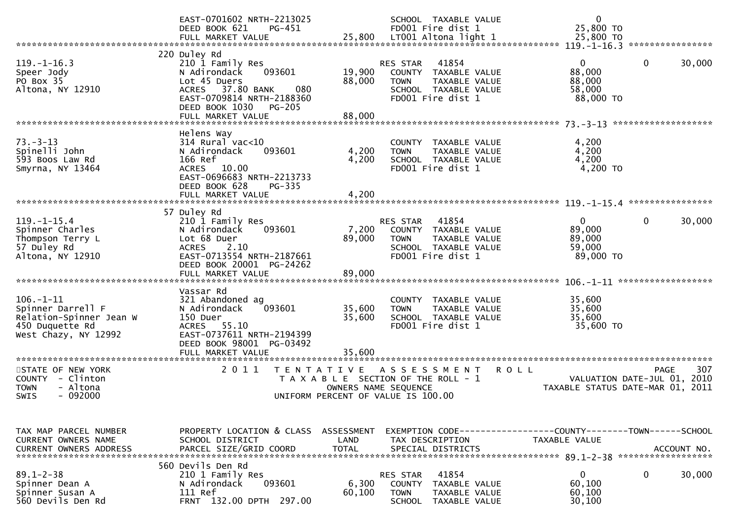|                                                                                                            | EAST-0701602 NRTH-2213025<br>DEED BOOK 621<br>PG-451<br>FULL MARKET VALUE                                                                              | 25,800                    | SCHOOL TAXABLE VALUE<br>FD001 Fire dist 1<br>LT001 Altona light 1                                                      | $\mathbf 0$<br>25,800 TO<br>25,800 TO                                         |                                                   |
|------------------------------------------------------------------------------------------------------------|--------------------------------------------------------------------------------------------------------------------------------------------------------|---------------------------|------------------------------------------------------------------------------------------------------------------------|-------------------------------------------------------------------------------|---------------------------------------------------|
|                                                                                                            |                                                                                                                                                        |                           |                                                                                                                        |                                                                               |                                                   |
| $119. - 1 - 16.3$<br>Speer Jody<br>PO Box 35<br>Altona, NY 12910                                           | 220 Duley Rd<br>210 1 Family Res<br>093601<br>N Adirondack<br>Lot 45 Duers<br>ACRES 37.80 BANK<br>080<br>EAST-0709814 NRTH-2188360                     | 19,900<br>88,000          | 41854<br>RES STAR<br>COUNTY TAXABLE VALUE<br><b>TOWN</b><br>TAXABLE VALUE<br>SCHOOL TAXABLE VALUE<br>FD001 Fire dist 1 | 0<br>88,000<br>88,000<br>58,000<br>88,000 TO                                  | $\mathbf{0}$<br>30,000                            |
|                                                                                                            | DEED BOOK 1030<br><b>PG-205</b><br>FULL MARKET VALUE                                                                                                   | 88,000                    |                                                                                                                        |                                                                               |                                                   |
|                                                                                                            |                                                                                                                                                        |                           |                                                                                                                        |                                                                               |                                                   |
| $73. - 3 - 13$<br>Spinelli John<br>593 Boos Law Rd<br>Smyrna, NY 13464                                     | Helens Way<br>$314$ Rural vac<10<br>N Adirondack<br>093601<br>166 Ref<br>10.00<br><b>ACRES</b><br>EAST-0696683 NRTH-2213733<br>DEED BOOK 628<br>PG-335 | 4,200<br>4,200            | COUNTY TAXABLE VALUE<br><b>TOWN</b><br>TAXABLE VALUE<br>SCHOOL TAXABLE VALUE<br>FD001 Fire dist 1                      | 4,200<br>4,200<br>4,200<br>4,200 TO                                           |                                                   |
|                                                                                                            | FULL MARKET VALUE                                                                                                                                      | 4,200                     |                                                                                                                        |                                                                               |                                                   |
|                                                                                                            | 57 Duley Rd                                                                                                                                            |                           |                                                                                                                        |                                                                               |                                                   |
| $119. - 1 - 15.4$<br>Spinner Charles<br>Thompson Terry L<br>57 Duley Rd<br>Altona, NY 12910                | 210 1 Family Res<br>N Adirondack<br>093601<br>Lot 68 Duer<br>2.10<br><b>ACRES</b><br>EAST-0713554 NRTH-2187661<br>DEED BOOK 20001 PG-24262             | 7,200<br>89,000<br>89,000 | 41854<br>RES STAR<br>COUNTY TAXABLE VALUE<br><b>TOWN</b><br>TAXABLE VALUE<br>SCHOOL TAXABLE VALUE<br>FD001 Fire dist 1 | $\mathbf{0}$<br>89,000<br>89,000<br>59,000<br>89,000 TO                       | 0<br>30,000                                       |
|                                                                                                            | FULL MARKET VALUE                                                                                                                                      |                           |                                                                                                                        |                                                                               |                                                   |
| $106. - 1 - 11$<br>Spinner Darrell F<br>Relation-Spinner Jean W<br>450 Duquette Rd<br>West Chazy, NY 12992 | Vassar Rd<br>321 Abandoned ag<br>N Adirondack<br>093601<br>150 Duer<br>55.10<br><b>ACRES</b><br>EAST-0737611 NRTH-2194399<br>DEED BOOK 98001 PG-03492  | 35,600<br>35,600          | COUNTY TAXABLE VALUE<br>TAXABLE VALUE<br><b>TOWN</b><br>SCHOOL TAXABLE VALUE<br>FD001 Fire dist 1                      | 35,600<br>35,600<br>35,600<br>35,600 TO                                       |                                                   |
|                                                                                                            | FULL MARKET VALUE                                                                                                                                      | 35,600                    |                                                                                                                        |                                                                               |                                                   |
| STATE OF NEW YORK<br>COUNTY - Clinton<br>- Altona<br><b>TOWN</b><br>$-092000$<br><b>SWIS</b>               | 2 0 1 1<br>T E N T A T I V E                                                                                                                           | OWNERS NAME SEQUENCE      | A S S E S S M E N T<br>T A X A B L E SECTION OF THE ROLL - 1<br>UNIFORM PERCENT OF VALUE IS 100.00                     | <b>ROLL</b><br>TAXABLE STATUS DATE-MAR 01, 2011                               | 307<br><b>PAGE</b><br>VALUATION DATE-JUL 01, 2010 |
| TAX MAP PARCEL NUMBER<br><b>CURRENT OWNERS NAME</b><br><b>CURRENT OWNERS ADDRESS</b>                       | PROPERTY LOCATION & CLASS ASSESSMENT<br>SCHOOL DISTRICT<br>PARCEL SIZE/GRID COORD                                                                      | LAND<br><b>TOTAL</b>      | TAX DESCRIPTION<br>SPECIAL DISTRICTS                                                                                   | EXEMPTION CODE-----------------COUNTY-------TOWN------SCHOOL<br>TAXABLE VALUE | ACCOUNT NO.                                       |
| $89.1 - 2 - 38$<br>Spinner Dean A<br>Spinner Susan A<br>560 Devils Den Rd                                  | 560 Devils Den Rd<br>210 1 Family Res<br>N Adirondack<br>093601<br>111 Ref<br>FRNT 132.00 DPTH 297.00                                                  | 6,300<br>60,100           | 41854<br>RES STAR<br><b>COUNTY</b><br>TAXABLE VALUE<br><b>TOWN</b><br>TAXABLE VALUE<br><b>SCHOOL</b><br>TAXABLE VALUE  | 0<br>60,100<br>60,100<br>30,100                                               | 30,000<br>0                                       |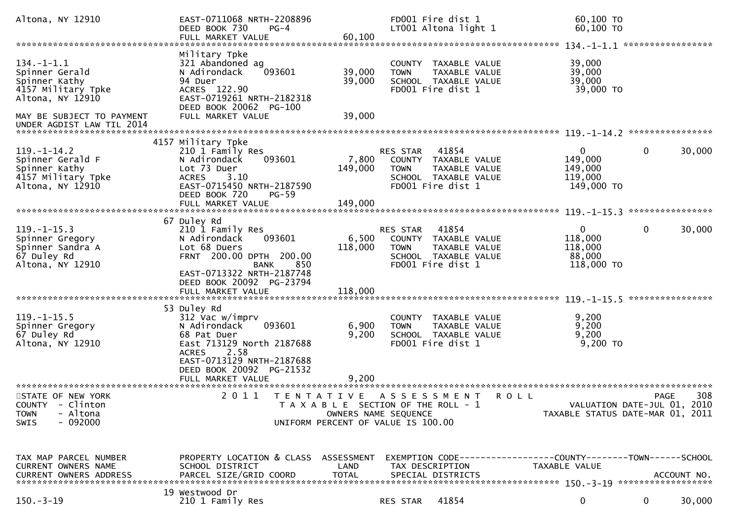| Altona, NY 12910                                                                                 | EAST-0711068 NRTH-2208896<br>DEED BOOK 730<br>$PG-4$<br>FULL MARKET VALUE                                                            | 60,100               | FD001 Fire dist 1<br>LT001 Altona light 1                                                                         |                                                                        | 60,100 ТО<br>60,100 ТО                                                        |              |             |
|--------------------------------------------------------------------------------------------------|--------------------------------------------------------------------------------------------------------------------------------------|----------------------|-------------------------------------------------------------------------------------------------------------------|------------------------------------------------------------------------|-------------------------------------------------------------------------------|--------------|-------------|
|                                                                                                  |                                                                                                                                      |                      |                                                                                                                   |                                                                        |                                                                               |              |             |
| $134. - 1 - 1.1$<br>Spinner Gerald<br>Spinner Kathy<br>4157 Military Tpke<br>Altona, NY 12910    | Military Tpke<br>321 Abandoned ag<br>093601<br>N Adirondack<br>94 Duer<br>ACRES 122.90<br>EAST-0719261 NRTH-2182318                  | 39,000<br>39,000     | <b>TOWN</b><br>FD001 Fire dist 1                                                                                  | COUNTY TAXABLE VALUE<br>TAXABLE VALUE<br>SCHOOL TAXABLE VALUE          | 39,000<br>39,000<br>39,000<br>39,000 TO                                       |              |             |
| MAY BE SUBJECT TO PAYMENT                                                                        | DEED BOOK 20062 PG-100<br>FULL MARKET VALUE                                                                                          | 39,000               |                                                                                                                   |                                                                        |                                                                               |              |             |
|                                                                                                  |                                                                                                                                      |                      |                                                                                                                   |                                                                        |                                                                               |              |             |
| $119. - 1 - 14.2$<br>Spinner Gerald F<br>Spinner Kathy<br>4157 Military Tpke<br>Altona, NY 12910 | 4157 Military Tpke<br>210 1 Family Res<br>N Adirondack<br>093601<br>Lot 73 Duer<br>3.10<br><b>ACRES</b><br>EAST-0715450 NRTH-2187590 | 7,800<br>149,000     | RES STAR 41854<br><b>TOWN</b><br>FD001 Fire dist 1                                                                | COUNTY TAXABLE VALUE<br>TAXABLE VALUE<br>SCHOOL TAXABLE VALUE          | $\mathbf{0}$<br>149,000<br>149,000<br>119,000<br>149,000 TO                   | $\mathbf{0}$ | 30,000      |
|                                                                                                  | DEED BOOK 720<br>$PG-59$                                                                                                             |                      |                                                                                                                   |                                                                        |                                                                               |              |             |
| $119. - 1 - 15.3$<br>Spinner Gregory<br>Spinner Sandra A<br>67 Duley Rd<br>Altona, NY 12910      | 67 Duley Rd<br>210 1 Family Res<br>N Adirondack<br>093601<br>Lot 68 Duers<br>FRNT 200.00 DPTH 200.00<br>850<br><b>BANK</b>           | 6,500<br>118,000     | RES STAR<br><b>TOWN</b><br>FD001 Fire dist 1                                                                      | 41854<br>COUNTY TAXABLE VALUE<br>TAXABLE VALUE<br>SCHOOL TAXABLE VALUE | $\mathbf{0}$<br>118,000<br>118,000<br>88,000<br>118,000 TO                    | 0            | 30,000      |
|                                                                                                  | EAST-0713322 NRTH-2187748<br>DEED BOOK 20092 PG-23794<br>FULL MARKET VALUE                                                           | 118,000              |                                                                                                                   |                                                                        |                                                                               |              |             |
|                                                                                                  | 53 Duley Rd                                                                                                                          |                      |                                                                                                                   |                                                                        |                                                                               |              |             |
| $119. - 1 - 15.5$<br>Spinner Gregory<br>67 Duley Rd<br>Altona, NY 12910                          | 312 Vac w/imprv<br>093601<br>N Adirondack<br>68 Pat Duer<br>East 713129 North 2187688                                                | 6,900<br>9,200       | <b>TOWN</b><br>FD001 Fire dist 1                                                                                  | COUNTY TAXABLE VALUE<br>TAXABLE VALUE<br>SCHOOL TAXABLE VALUE          | 9,200<br>9,200<br>9,200<br>9,200 TO                                           |              |             |
|                                                                                                  | <b>ACRES</b><br>2.58<br>EAST-0713129 NRTH-2187688<br>DEED BOOK 20092 PG-21532<br>FULL MARKET VALUE                                   | 9.200                |                                                                                                                   |                                                                        |                                                                               |              |             |
| STATE OF NEW YORK<br>COUNTY - Clinton<br>- Altona<br><b>TOWN</b><br>$-092000$<br>SWIS            | 2 0 1 1                                                                                                                              | T E N T A T I V E    | ASSESSMENT<br>T A X A B L E SECTION OF THE ROLL - 1<br>OWNERS NAME SEQUENCE<br>UNIFORM PERCENT OF VALUE IS 100.00 | <b>ROLL</b>                                                            | VALUATION DATE-JUL 01, 2010<br>TAXABLE STATUS DATE-MAR 01, 2011               | <b>PAGE</b>  | 308         |
|                                                                                                  |                                                                                                                                      |                      |                                                                                                                   |                                                                        |                                                                               |              |             |
| TAX MAP PARCEL NUMBER<br>CURRENT OWNERS NAME<br><b>CURRENT OWNERS ADDRESS</b>                    | PROPERTY LOCATION & CLASS ASSESSMENT<br>SCHOOL DISTRICT<br>PARCEL SIZE/GRID COORD                                                    | LAND<br><b>TOTAL</b> | TAX DESCRIPTION<br>SPECIAL DISTRICTS                                                                              |                                                                        | EXEMPTION CODE-----------------COUNTY-------TOWN------SCHOOL<br>TAXABLE VALUE |              | ACCOUNT NO. |
| $150.-3-19$                                                                                      | 19 Westwood Dr<br>210 1 Family Res                                                                                                   |                      | RES STAR                                                                                                          | 41854                                                                  | 0                                                                             | 0            | 30,000      |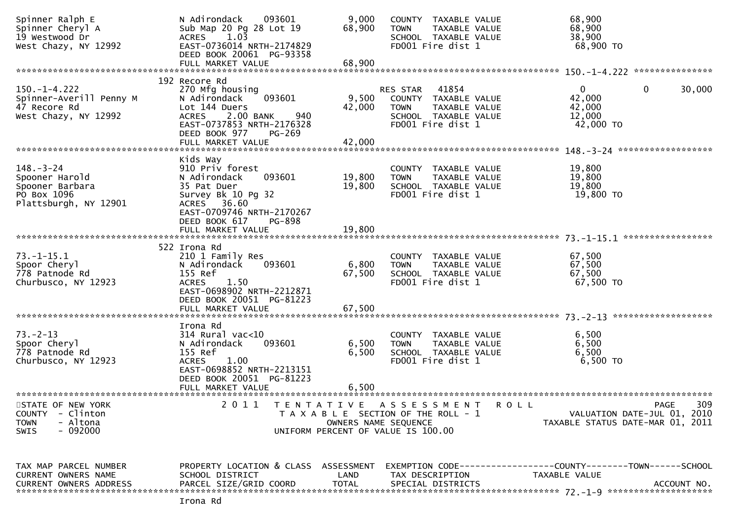| Spinner Ralph E<br>Spinner Cheryl A<br>19 Westwood Dr<br>West Chazy, NY 12992                                                      | N Adirondack<br>093601<br>Sub Map 20 Pg 28 Lot 19<br>1.03<br><b>ACRES</b><br>EAST-0736014 NRTH-2174829<br>DEED BOOK 20061 PG-93358                                                     | 9,000<br>68,900            | COUNTY TAXABLE VALUE<br>TAXABLE VALUE<br><b>TOWN</b><br>SCHOOL TAXABLE VALUE<br>FD001 Fire dist 1                                    | 68,900<br>68,900<br>38,900<br>68,900 TO                                               |
|------------------------------------------------------------------------------------------------------------------------------------|----------------------------------------------------------------------------------------------------------------------------------------------------------------------------------------|----------------------------|--------------------------------------------------------------------------------------------------------------------------------------|---------------------------------------------------------------------------------------|
|                                                                                                                                    |                                                                                                                                                                                        |                            |                                                                                                                                      |                                                                                       |
| $150. - 1 - 4.222$<br>Spinner-Averill Penny M<br>47 Recore Rd<br>West Chazy, NY 12992                                              | 192 Recore Rd<br>270 Mfg housing<br>093601<br>N Adirondack<br>Lot 144 Duers<br>2.00 BANK<br><b>ACRES</b><br>940<br>EAST-0737853 NRTH-2176328<br>DEED BOOK 977<br>PG-269                | 9,500<br>42,000            | 41854<br><b>RES STAR</b><br>COUNTY TAXABLE VALUE<br><b>TAXABLE VALUE</b><br><b>TOWN</b><br>SCHOOL TAXABLE VALUE<br>FD001 Fire dist 1 | $\overline{0}$<br>30,000<br>0<br>42,000<br>42,000<br>12,000<br>42,000 TO              |
| $148. - 3 - 24$<br>Spooner Harold<br>Spooner Barbara<br>PO Box 1096<br>Plattsburgh, NY 12901                                       | Kids Way<br>910 Priv forest<br>N Adirondack<br>093601<br>35 Pat Duer<br>Survey Bk 10 Pg 32<br>ACRES 36.60<br>EAST-0709746 NRTH-2170267<br>DEED BOOK 617<br>PG-898<br>FULL MARKET VALUE | 19,800<br>19,800<br>19,800 | COUNTY TAXABLE VALUE<br>TAXABLE VALUE<br><b>TOWN</b><br>SCHOOL TAXABLE VALUE<br>FD001 Fire dist 1                                    | 19,800<br>19,800<br>19,800<br>19,800 TO                                               |
|                                                                                                                                    | 522 Irona Rd                                                                                                                                                                           |                            |                                                                                                                                      |                                                                                       |
| $73.-1-15.1$<br>Spoor Cheryl<br>778 Patnode Rd<br>Churbusco, NY 12923                                                              | 210 1 Family Res<br>093601<br>N Adirondack<br>155 Ref<br>ACRES<br>1.50<br>EAST-0698902 NRTH-2212871<br>DEED BOOK 20051 PG-81223<br>FULL MARKET VALUE                                   | 6,800<br>67,500<br>67,500  | COUNTY TAXABLE VALUE<br>TAXABLE VALUE<br><b>TOWN</b><br>SCHOOL TAXABLE VALUE<br>FD001 Fire dist 1                                    | 67,500<br>67,500<br>67,500<br>67,500 TO                                               |
|                                                                                                                                    |                                                                                                                                                                                        |                            |                                                                                                                                      |                                                                                       |
| $73. - 2 - 13$<br>Spoor Cheryl<br>778 Patnode Rd<br>Churbusco, NY 12923                                                            | Irona Rd<br>$314$ Rural vac< $10$<br>093601<br>N Adirondack<br>155 Ref<br><b>ACRES</b><br>1.00<br>EAST-0698852 NRTH-2213151<br>DEED BOOK 20051 PG-81223<br>FULL MARKET VALUE           | 6,500<br>6,500<br>6.500    | COUNTY TAXABLE VALUE<br>TAXABLE VALUE<br><b>TOWN</b><br>SCHOOL TAXABLE VALUE<br>FD001 Fire dist 1                                    | 6,500<br>6,500<br>6,500<br>6,500 TO                                                   |
| ************************<br>STATE OF NEW YORK<br><b>COUNTY</b><br>- Clinton<br>- Altona<br><b>TOWN</b><br>$-092000$<br><b>SWIS</b> | 2011<br>T E N T A T I V E                                                                                                                                                              | OWNERS NAME SEQUENCE       | A S S E S S M E N T<br>ROLL<br>T A X A B L E SECTION OF THE ROLL - 1<br>UNIFORM PERCENT OF VALUE IS 100.00                           | 309<br><b>PAGE</b><br>VALUATION DATE-JUL 01, 2010<br>TAXABLE STATUS DATE-MAR 01, 2011 |
| TAX MAP PARCEL NUMBER<br>CURRENT OWNERS NAME<br><b>CURRENT OWNERS ADDRESS</b>                                                      | PROPERTY LOCATION & CLASS ASSESSMENT<br>SCHOOL DISTRICT<br>PARCEL SIZE/GRID COORD                                                                                                      | LAND<br><b>TOTAL</b>       | TAX DESCRIPTION<br>SPECIAL DISTRICTS                                                                                                 | TAXABLE VALUE<br>ACCOUNT NO.                                                          |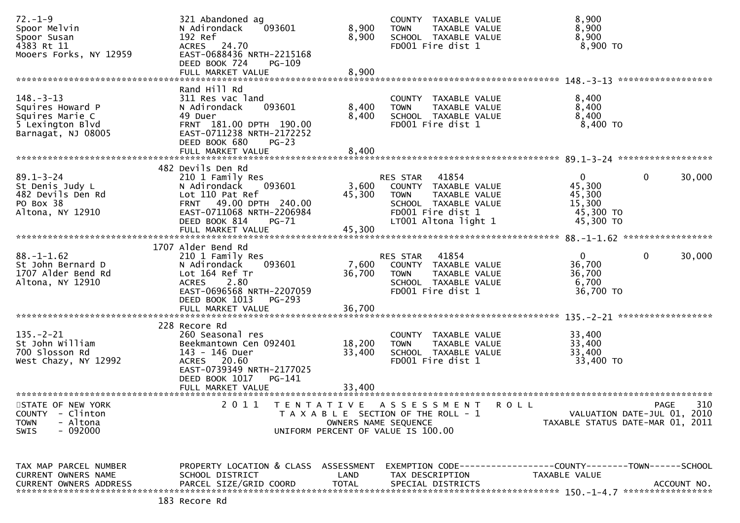| $72. - 1 - 9$<br>Spoor Melvin<br>Spoor Susan<br>4383 Rt 11<br>Mooers Forks, NY 12959             | 321 Abandoned ag<br>093601<br>N Adirondack<br>192 Ref<br>ACRES 24.70<br>EAST-0688436 NRTH-2215168<br>DEED BOOK 724<br>PG-109<br>FULL MARKET VALUE                                          | 8,900<br>8,900<br>8,900                   | COUNTY TAXABLE VALUE<br><b>TOWN</b><br>TAXABLE VALUE<br>SCHOOL TAXABLE VALUE<br>FD001 Fire dist 1                                           | 8,900<br>8,900<br>8,900<br>8,900 TO                                                           |
|--------------------------------------------------------------------------------------------------|--------------------------------------------------------------------------------------------------------------------------------------------------------------------------------------------|-------------------------------------------|---------------------------------------------------------------------------------------------------------------------------------------------|-----------------------------------------------------------------------------------------------|
| $148. - 3 - 13$<br>Squires Howard P<br>Squires Marie C<br>5 Lexington Blvd<br>Barnagat, NJ 08005 | Rand Hill Rd<br>311 Res vac land<br>093601<br>N Adirondack<br>49 Duer<br>FRNT 181.00 DPTH 190.00<br>EAST-0711238 NRTH-2172252<br>DEED BOOK 680<br>$PG-23$<br>FULL MARKET VALUE             | 8,400<br>8,400<br>8,400                   | COUNTY TAXABLE VALUE<br>TAXABLE VALUE<br><b>TOWN</b><br>SCHOOL TAXABLE VALUE<br>FD001 Fire dist 1                                           | 8,400<br>8,400<br>8,400<br>8,400 TO                                                           |
| $89.1 - 3 - 24$<br>St Denis Judy L<br>482 Devils Den Rd<br>PO Box 38<br>Altona, NY 12910         | 482 Devils Den Rd<br>210 1 Family Res<br>N Adirondack<br>093601<br>Lot 110 Pat Ref<br>FRNT 49.00 DPTH 240.00<br>EAST-0711068 NRTH-2206984<br>DEED BOOK 814<br>$PG-71$<br>FULL MARKET VALUE | 3,600<br>45,300<br>45,300                 | RES STAR 41854<br>COUNTY TAXABLE VALUE<br><b>TOWN</b><br>TAXABLE VALUE<br>SCHOOL TAXABLE VALUE<br>FD001 Fire dist 1<br>LT001 Altona light 1 | $\mathbf{0}$<br>0<br>30,000<br>45,300<br>45,300<br>15,300<br>45,300 TO<br>45,300 TO           |
| $88. - 1 - 1.62$<br>St John Bernard D<br>1707 Alder Bend Rd<br>Altona, NY 12910                  | 1707 Alder Bend Rd<br>210 1 Family Res<br>093601<br>N Adirondack<br>Lot 164 Ref Tr<br>ACRES 2.80<br>EAST-0696568 NRTH-2207059<br>DEED BOOK 1013<br>$PG-293$<br>FULL MARKET VALUE           | 7,600<br>36,700<br>36,700                 | 41854<br>RES STAR<br>COUNTY TAXABLE VALUE<br><b>TOWN</b><br>TAXABLE VALUE<br>SCHOOL TAXABLE VALUE<br>FD001 Fire dist 1                      | $\Omega$<br>0<br>30,000<br>36,700<br>36,700<br>6,700<br>36,700 TO                             |
| $135. - 2 - 21$<br>St John William<br>700 Slosson Rd<br>West Chazy, NY 12992                     | 228 Recore Rd<br>260 Seasonal res<br>Beekmantown Cen 092401<br>143 - 146 Duer<br>ACRES 20.60<br>EAST-0739349 NRTH-2177025<br>DEED BOOK 1017<br>PG-141<br>FULL MARKET VALUE                 | 18,200<br>33,400<br>33,400                | COUNTY TAXABLE VALUE<br>TAXABLE VALUE<br><b>TOWN</b><br>SCHOOL TAXABLE VALUE<br>FD001 Fire dist 1                                           | 33,400<br>33,400<br>33,400<br>33,400 TO                                                       |
| STATE OF NEW YORK<br><b>COUNTY</b><br>- Clinton<br>- Altona<br><b>TOWN</b><br>$-092000$<br>SWIS  | 2 0 1 1                                                                                                                                                                                    | T E N T A T I V E<br>OWNERS NAME SEQUENCE | A S S E S S M E N T<br><b>ROLL</b><br>T A X A B L E SECTION OF THE ROLL - 1<br>UNIFORM PERCENT OF VALUE IS 100.00                           | 310<br><b>PAGE</b><br>VALUATION DATE-JUL 01, 2010<br>TAXABLE STATUS DATE-MAR 01, 2011         |
| TAX MAP PARCEL NUMBER<br>CURRENT OWNERS NAME<br><b>CURRENT OWNERS ADDRESS</b>                    | PROPERTY LOCATION & CLASS<br>SCHOOL DISTRICT<br>PARCEL SIZE/GRID COORD                                                                                                                     | ASSESSMENT<br>LAND<br><b>TOTAL</b>        | TAX DESCRIPTION<br>SPECIAL DISTRICTS                                                                                                        | EXEMPTION CODE-----------------COUNTY--------TOWN------SCHOOL<br>TAXABLE VALUE<br>ACCOUNT NO. |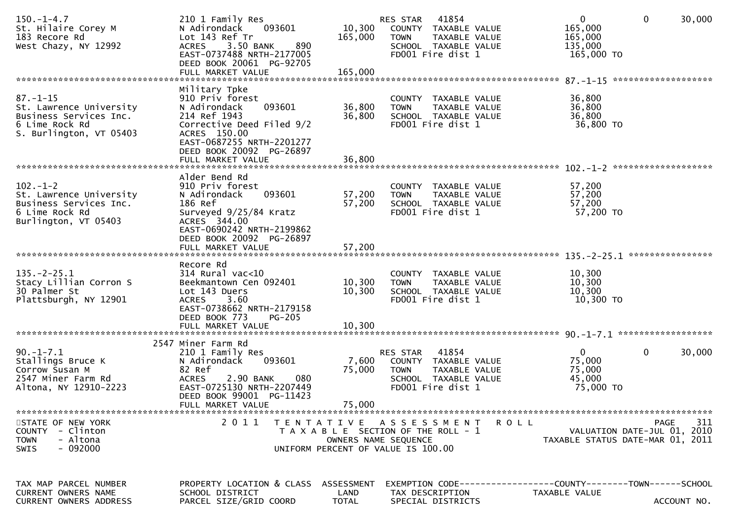| $150.-1-4.7$<br>St. Hilaire Corey M<br>183 Recore Rd<br>West Chazy, NY 12992                                     | 210 1 Family Res<br>093601<br>N Adirondack<br>Lot 143 Ref Tr<br>3.50 BANK<br><b>ACRES</b><br>890<br>EAST-0737488 NRTH-2177005<br>DEED BOOK 20061 PG-92705<br>FULL MARKET VALUE   | 10,300<br>165,000<br>165,000 | 41854<br>RES STAR<br>COUNTY TAXABLE VALUE<br>TAXABLE VALUE<br><b>TOWN</b><br>SCHOOL TAXABLE VALUE<br>FD001 Fire dist 1      | $\mathbf{0}$<br>165,000<br>165,000<br>135,000<br>165,000 TO | $\mathbf 0$<br>30,000                                                          |
|------------------------------------------------------------------------------------------------------------------|----------------------------------------------------------------------------------------------------------------------------------------------------------------------------------|------------------------------|-----------------------------------------------------------------------------------------------------------------------------|-------------------------------------------------------------|--------------------------------------------------------------------------------|
|                                                                                                                  |                                                                                                                                                                                  |                              |                                                                                                                             |                                                             | *******************                                                            |
| $87. - 1 - 15$<br>St. Lawrence University<br>Business Services Inc.<br>6 Lime Rock Rd<br>S. Burlington, VT 05403 | Military Tpke<br>910 Priv forest<br>093601<br>N Adirondack<br>214 Ref 1943<br>Corrective Deed Filed 9/2<br>ACRES 150.00<br>EAST-0687255 NRTH-2201277<br>DEED BOOK 20092 PG-26897 | 36,800<br>36,800             | COUNTY TAXABLE VALUE<br><b>TOWN</b><br>TAXABLE VALUE<br>SCHOOL TAXABLE VALUE<br>FD001 Fire dist 1                           | 36,800<br>36,800<br>36,800<br>36,800 TO                     |                                                                                |
|                                                                                                                  | FULL MARKET VALUE                                                                                                                                                                | 36,800                       |                                                                                                                             |                                                             |                                                                                |
| $102 - 1 - 2$<br>St. Lawrence University<br>Business Services Inc.<br>6 Lime Rock Rd<br>Burlington, VT 05403     | Alder Bend Rd<br>910 Priv forest<br>093601<br>N Adirondack<br>186 Ref<br>Surveyed 9/25/84 Kratz<br>ACRES 344.00<br>EAST-0690242 NRTH-2199862                                     | 57,200<br>57,200             | COUNTY TAXABLE VALUE<br><b>TOWN</b><br>TAXABLE VALUE<br>SCHOOL TAXABLE VALUE<br>FD001 Fire dist 1                           | 57,200<br>57,200<br>57,200<br>57,200 TO                     |                                                                                |
|                                                                                                                  | DEED BOOK 20092 PG-26897<br>FULL MARKET VALUE                                                                                                                                    | 57,200                       |                                                                                                                             |                                                             |                                                                                |
| $135. -2 - 25.1$<br>Stacy Lillian Corron S<br>30 Palmer St<br>Plattsburgh, NY 12901                              | Recore Rd<br>$314$ Rural vac<10<br>Beekmantown Cen 092401<br>Lot 143 Duers<br><b>ACRES</b><br>3.60<br>EAST-0738662 NRTH-2179158<br><b>PG-205</b><br>DEED BOOK 773                | 10,300<br>10,300             | COUNTY TAXABLE VALUE<br>TAXABLE VALUE<br><b>TOWN</b><br>SCHOOL TAXABLE VALUE<br>FD001 Fire dist 1                           | 10,300<br>10,300<br>10,300<br>10,300 TO                     |                                                                                |
|                                                                                                                  |                                                                                                                                                                                  |                              |                                                                                                                             |                                                             |                                                                                |
| $90. - 1 - 7.1$<br>Stallings Bruce K<br>Corrow Susan M<br>2547 Miner Farm Rd<br>Altona, NY 12910-2223            | 2547 Miner Farm Rd<br>210 1 Family Res<br>N Adirondack<br>093601<br>82 Ref<br><b>ACRES</b><br>2.90 BANK<br>080<br>EAST-0725130 NRTH-2207449<br>DEED BOOK 99001 PG-11423          | 7,600<br>75,000              | 41854<br>RES STAR<br>COUNTY TAXABLE VALUE<br><b>TOWN</b><br>TAXABLE VALUE<br>SCHOOL TAXABLE VALUE<br>FD001 Fire dist 1      | $\mathbf{0}$<br>75,000<br>75,000<br>45,000<br>75,000 TO     | $\mathbf{0}$<br>30,000                                                         |
|                                                                                                                  | FULL MARKET VALUE                                                                                                                                                                | 75,000                       |                                                                                                                             |                                                             |                                                                                |
| STATE OF NEW YORK<br>COUNTY - Clinton<br>- Altona<br><b>TOWN</b><br>$-092000$<br><b>SWIS</b>                     | 2011                                                                                                                                                                             |                              | TENTATIVE ASSESSMENT<br>T A X A B L E SECTION OF THE ROLL - 1<br>OWNERS NAME SEQUENCE<br>UNIFORM PERCENT OF VALUE IS 100.00 | R O L L                                                     | 311<br>PAGE<br>VALUATION DATE-JUL 01, 2010<br>TAXABLE STATUS DATE-MAR 01, 2011 |
| TAX MAP PARCEL NUMBER<br>CURRENT OWNERS NAME<br><b>CURRENT OWNERS ADDRESS</b>                                    | PROPERTY LOCATION & CLASS ASSESSMENT<br>SCHOOL DISTRICT<br>PARCEL SIZE/GRID COORD                                                                                                | LAND<br><b>TOTAL</b>         | EXEMPTION CODE-----------------COUNTY--------TOWN------SCHOOL<br>TAX DESCRIPTION<br>SPECIAL DISTRICTS                       | TAXABLE VALUE                                               | ACCOUNT NO.                                                                    |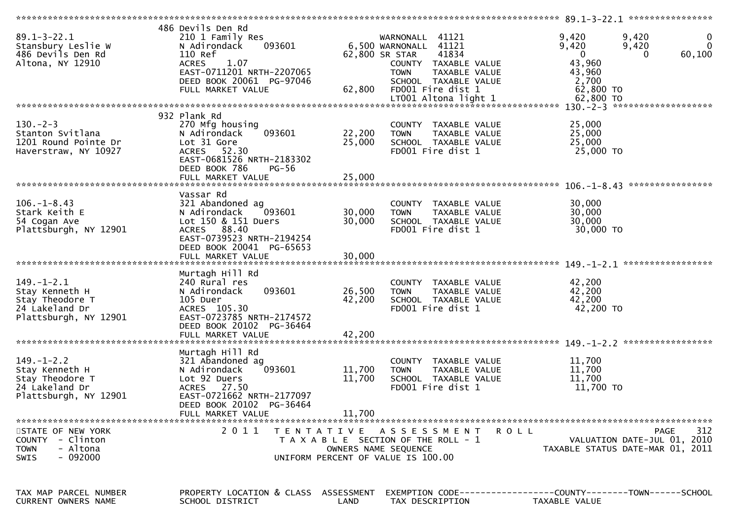| $89.1 - 3 - 22.1$<br>Stansbury Leslie W<br>486 Devils Den Rd<br>Altona, NY 12910                 | 486 Devils Den Rd<br>210 1 Family Res<br>093601<br>N Adirondack<br>110 Ref<br>1.07<br><b>ACRES</b><br>EAST-0711201 NRTH-2207065<br>DEED BOOK 20061 PG-97046<br>FULL MARKET VALUE | 62,800                     | WARNONALL 41121<br>6,500 WARNONALL 41121<br>41834<br>62,800 SR STAR<br>COUNTY TAXABLE VALUE<br><b>TOWN</b><br>TAXABLE VALUE<br>SCHOOL TAXABLE VALUE<br>FD001 Fire dist 1<br>LT001 Altona light 1 | 9,420<br>9,420<br>$\bf{0}$<br>$\overline{0}$<br>9,420<br>9,420<br>60,100<br>$\Omega$<br>$\Omega$<br>43,960<br>43,960<br>2,700<br>62,800 TO<br>62,800 TO |
|--------------------------------------------------------------------------------------------------|----------------------------------------------------------------------------------------------------------------------------------------------------------------------------------|----------------------------|--------------------------------------------------------------------------------------------------------------------------------------------------------------------------------------------------|---------------------------------------------------------------------------------------------------------------------------------------------------------|
|                                                                                                  |                                                                                                                                                                                  |                            |                                                                                                                                                                                                  |                                                                                                                                                         |
| $130 - 2 - 3$<br>Stanton Svitlana<br>1201 Round Pointe Dr<br>Haverstraw, NY 10927                | 932 Plank Rd<br>270 Mfg housing<br>093601<br>N Adirondack<br>Lot 31 Gore<br>ACRES 52.30<br>EAST-0681526 NRTH-2183302<br>DEED BOOK 786<br>PG-56                                   | 22,200<br>25,000           | COUNTY TAXABLE VALUE<br>TAXABLE VALUE<br><b>TOWN</b><br>SCHOOL TAXABLE VALUE<br>FD001 Fire dist 1                                                                                                | 25,000<br>25,000<br>25,000<br>25,000 TO                                                                                                                 |
|                                                                                                  | FULL MARKET VALUE                                                                                                                                                                | 25,000                     |                                                                                                                                                                                                  |                                                                                                                                                         |
| $106. - 1 - 8.43$<br>Stark Keith E<br>54 Cogan Ave<br>Plattsburgh, NY 12901                      | Vassar Rd<br>321 Abandoned ag<br>093601<br>N Adirondack<br>Lot 150 & 151 Duers<br>ACRES 88.40<br>EAST-0739523 NRTH-2194254<br>DEED BOOK 20041 PG-65653<br>FULL MARKET VALUE      | 30,000<br>30,000<br>30,000 | COUNTY TAXABLE VALUE<br><b>TOWN</b><br>TAXABLE VALUE<br>SCHOOL TAXABLE VALUE<br>FD001 Fire dist 1                                                                                                | 30,000<br>30,000<br>30,000<br>30,000 TO                                                                                                                 |
|                                                                                                  |                                                                                                                                                                                  |                            |                                                                                                                                                                                                  |                                                                                                                                                         |
| $149. - 1 - 2.1$<br>Stay Kenneth H<br>Stay Theodore T<br>24 Lakeland Dr<br>Plattsburgh, NY 12901 | Murtagh Hill Rd<br>240 Rural res<br>093601<br>N Adirondack<br>105 Duer<br>ACRES 105.30<br>EAST-0723785 NRTH-2174572<br>DEED BOOK 20102 PG-36464<br>FULL MARKET VALUE             | 26,500<br>42,200<br>42,200 | COUNTY TAXABLE VALUE<br><b>TOWN</b><br>TAXABLE VALUE<br>SCHOOL TAXABLE VALUE<br>FD001 Fire dist 1                                                                                                | 42,200<br>42,200<br>42,200<br>42,200 TO                                                                                                                 |
|                                                                                                  |                                                                                                                                                                                  |                            |                                                                                                                                                                                                  |                                                                                                                                                         |
| $149. - 1 - 2.2$<br>Stay Kenneth H<br>Stay Theodore T<br>24 Lakeland Dr<br>Plattsburgh, NY 12901 | Murtagh Hill Rd<br>321 Abandoned ag<br>093601<br>N Adirondack<br>Lot 92 Duers<br>ACRES 27.50<br>EAST-0721662 NRTH-2177097<br>DEED BOOK 20102 PG-36464<br>FULL MARKET VALUE       | 11,700<br>11,700<br>11,700 | COUNTY TAXABLE VALUE<br>TAXABLE VALUE<br><b>TOWN</b><br>SCHOOL TAXABLE VALUE<br>FD001 Fire dist 1                                                                                                | 11,700<br>11,700<br>11,700<br>11,700 TO                                                                                                                 |
|                                                                                                  |                                                                                                                                                                                  |                            |                                                                                                                                                                                                  |                                                                                                                                                         |
| STATE OF NEW YORK<br>COUNTY - Clinton<br>- Altona<br><b>TOWN</b><br>$-092000$<br><b>SWIS</b>     | 2011                                                                                                                                                                             |                            | TENTATIVE ASSESSMENT<br>T A X A B L E SECTION OF THE ROLL - 1<br>OWNERS NAME SEQUENCE<br>UNIFORM PERCENT OF VALUE IS 100.00                                                                      | 312<br>R O L L<br>PAGE<br>VALUATION DATE-JUL 01, 2010<br>TAXABLE STATUS DATE-MAR 01, 2011                                                               |
| TAX MAP PARCEL NUMBER<br>CURRENT OWNERS NAME                                                     | PROPERTY LOCATION & CLASS ASSESSMENT<br>SCHOOL DISTRICT                                                                                                                          | LAND                       | TAX DESCRIPTION                                                                                                                                                                                  | EXEMPTION CODE-----------------COUNTY-------TOWN------SCHOOL<br>TAXABLE VALUE                                                                           |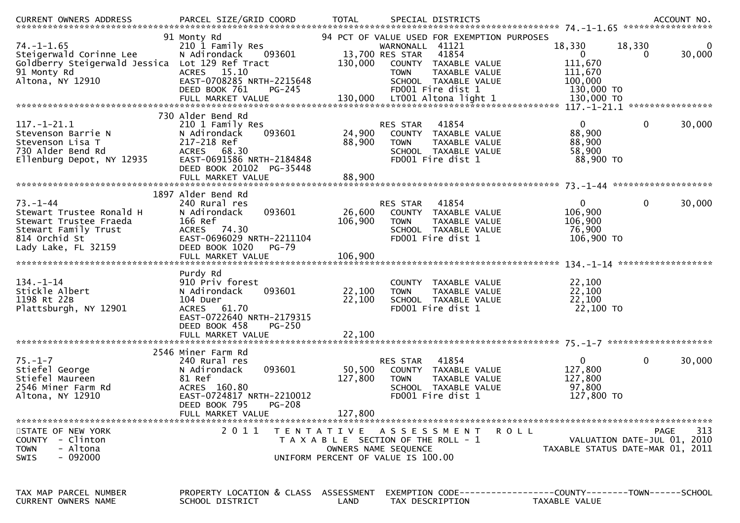| $74. - 1 - 1.65$<br>Steigerwald Corinne Lee<br>Goldberry Steigerwald Jessica Lot 129 Ref Tract<br>91 Monty Rd<br>Altona, NY 12910    | 91 Monty Rd<br>210 1 Family Res<br>N Adirondack<br>093601<br><b>ACRES</b><br>15.10<br>EAST-0708285 NRTH-2215648<br>DEED BOOK 761<br>$PG-245$                                | 130,000                                                                     | WARNONALL 41121<br>13,700 RES STAR<br><b>TOWN</b> | 94 PCT OF VALUE USED FOR EXEMPTION PURPOSES<br>41854<br>COUNTY TAXABLE VALUE<br>TAXABLE VALUE<br>SCHOOL TAXABLE VALUE<br>FD001 Fire dist 1 | 18,330<br>$\overline{0}$<br>111,670<br>111,670<br>100,000<br>130,000 TO | 18,330<br>0  | 0<br>30,000<br>**************** |
|--------------------------------------------------------------------------------------------------------------------------------------|-----------------------------------------------------------------------------------------------------------------------------------------------------------------------------|-----------------------------------------------------------------------------|---------------------------------------------------|--------------------------------------------------------------------------------------------------------------------------------------------|-------------------------------------------------------------------------|--------------|---------------------------------|
| $117.-1-21.1$<br>Stevenson Barrie N<br>Stevenson Lisa T<br>730 Alder Bend Rd<br>Ellenburg Depot, NY 12935                            | 730 Alder Bend Rd<br>210 1 Family Res<br>N Adirondack<br>093601<br>217-218 Ref<br>ACRES 68.30<br>EAST-0691586 NRTH-2184848<br>DEED BOOK 20102 PG-35448<br>FULL MARKET VALUE | 24,900<br>88,900<br>88,900                                                  | RES STAR<br><b>TOWN</b>                           | 41854<br>COUNTY TAXABLE VALUE<br>TAXABLE VALUE<br>SCHOOL TAXABLE VALUE<br>FD001 Fire dist 1                                                | $\mathbf 0$<br>88,900<br>88,900<br>58,900<br>88,900 TO                  | $\mathbf 0$  | 30,000                          |
|                                                                                                                                      |                                                                                                                                                                             |                                                                             |                                                   |                                                                                                                                            |                                                                         |              |                                 |
| $73. - 1 - 44$<br>Stewart Trustee Ronald H<br>Stewart Trustee Fraeda<br>Stewart Family Trust<br>814 Orchid St<br>Lady Lake, FL 32159 | 1897 Alder Bend Rd<br>240 Rural res<br>093601<br>N Adirondack<br>166 Ref<br>ACRES 74.30<br>EAST-0696029 NRTH-2211104<br>DEED BOOK 1020<br>$PG-79$                           | 26,600<br>106,900                                                           | <b>RES STAR</b><br><b>TOWN</b>                    | 41854<br>COUNTY TAXABLE VALUE<br>TAXABLE VALUE<br>SCHOOL TAXABLE VALUE<br>FD001 Fire dist 1                                                | $\mathbf{0}$<br>106,900<br>106,900<br>76,900<br>106,900 ТО              | $\mathbf{0}$ | 30,000                          |
|                                                                                                                                      | FULL MARKET VALUE                                                                                                                                                           | 106,900                                                                     |                                                   |                                                                                                                                            |                                                                         |              |                                 |
| $134. - 1 - 14$<br>Stickle Albert<br>1198 Rt 22B<br>Plattsburgh, NY 12901                                                            | Purdy Rd<br>910 Priv forest<br>N Adirondack<br>093601<br>104 Duer<br>ACRES 61.70<br>EAST-0722640 NRTH-2179315<br>DEED BOOK 458<br>PG-250<br>FULL MARKET VALUE               | 22,100<br>22,100<br>22,100                                                  | <b>TOWN</b>                                       | COUNTY TAXABLE VALUE<br>TAXABLE VALUE<br>SCHOOL TAXABLE VALUE<br>FD001 Fire dist 1                                                         | 22,100<br>22,100<br>22,100<br>22,100 TO                                 |              |                                 |
|                                                                                                                                      | 2546 Miner Farm Rd                                                                                                                                                          |                                                                             |                                                   |                                                                                                                                            |                                                                         |              |                                 |
| $75. - 1 - 7$<br>Stiefel George<br>Stiefel Maureen<br>2546 Miner Farm Rd<br>Altona, NY 12910                                         | 240 Rural res<br>093601<br>N Adirondack<br>81 Ref<br>ACRES 160.80<br>EAST-0724817 NRTH-2210012<br>DEED BOOK 795<br>PG-208<br>FULL MARKET VALUE                              | 50,500<br>127,800<br>127,800                                                | RES STAR<br><b>COUNTY</b><br><b>TOWN</b>          | 41854<br>TAXABLE VALUE<br>TAXABLE VALUE<br>SCHOOL TAXABLE VALUE<br>FD001 Fire dist 1                                                       | $\mathbf{0}$<br>127,800<br>127,800<br>97,800<br>127,800 TO              | $\mathbf{0}$ | 30,000                          |
|                                                                                                                                      |                                                                                                                                                                             |                                                                             |                                                   |                                                                                                                                            |                                                                         |              |                                 |
| STATE OF NEW YORK<br>COUNTY - Clinton<br>- Altona<br><b>TOWN</b><br>$-092000$<br>SWIS                                                | 2011                                                                                                                                                                        | T A X A B L E SECTION OF THE ROLL - 1<br>UNIFORM PERCENT OF VALUE IS 100.00 | OWNERS NAME SEQUENCE                              | TENTATIVE ASSESSMENT ROLL                                                                                                                  | VALUATION DATE-JUL 01, 2010<br>TAXABLE STATUS DATE-MAR 01, 2011         | PAGE         | 313                             |
| TAX MAP PARCEL NUMBER<br><b>CURRENT OWNERS NAME</b>                                                                                  | PROPERTY LOCATION & CLASS ASSESSMENT EXEMPTION CODE----------------COUNTY-------TOWN------SCHOOL<br>SCHOOL DISTRICT                                                         | LAND                                                                        | TAX DESCRIPTION                                   |                                                                                                                                            | TAXABLE VALUE                                                           |              |                                 |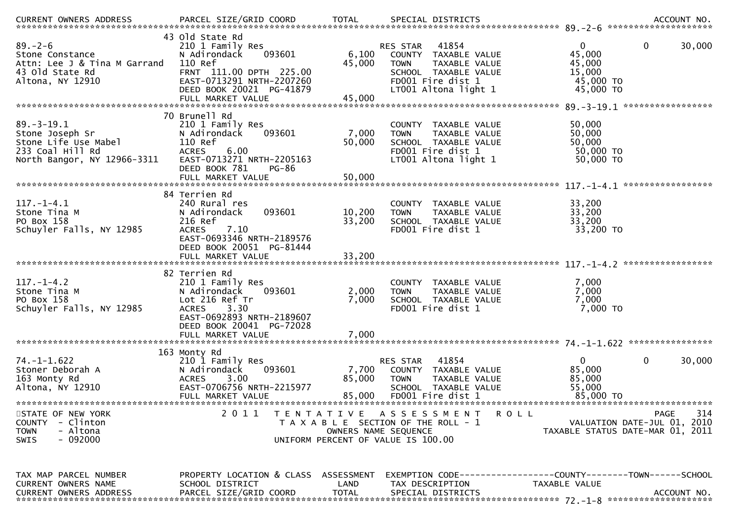|                                                                                                                |                                                                                                                                                                                   |                           |                                                                                                                                                       | ********************                                                                  | ACCOUNT NO. |
|----------------------------------------------------------------------------------------------------------------|-----------------------------------------------------------------------------------------------------------------------------------------------------------------------------------|---------------------------|-------------------------------------------------------------------------------------------------------------------------------------------------------|---------------------------------------------------------------------------------------|-------------|
| $89. - 2 - 6$<br>Stone Constance<br>Attn: Lee J & Tina M Garrand<br>43 old State Rd<br>Altona, NY 12910        | 43 Old State Rd<br>210 1 Family Res<br>N Adirondack<br>093601<br>110 Ref<br>FRNT 111.00 DPTH 225.00<br>EAST-0713291 NRTH-2207260<br>DEED BOOK 20021 PG-41879<br>FULL MARKET VALUE | 6,100<br>45,000<br>45,000 | 41854<br><b>RES STAR</b><br>COUNTY TAXABLE VALUE<br><b>TOWN</b><br>TAXABLE VALUE<br>SCHOOL TAXABLE VALUE<br>FD001 Fire dist 1<br>LT001 Altona light 1 | 0<br>0<br>45,000<br>45,000<br>15,000<br>45,000 TO<br>45,000 TO                        | 30,000      |
|                                                                                                                | 70 Brunell Rd                                                                                                                                                                     |                           |                                                                                                                                                       |                                                                                       |             |
| $89. - 3 - 19.1$<br>Stone Joseph Sr<br>Stone Life Use Mabel<br>233 Coal Hill Rd<br>North Bangor, NY 12966-3311 | 210 1 Family Res<br>N Adirondack<br>093601<br>110 Ref<br>6.00<br><b>ACRES</b><br>EAST-0713271 NRTH-2205163<br>DEED BOOK 781<br>PG-86                                              | 7,000<br>50,000           | TAXABLE VALUE<br><b>COUNTY</b><br>TAXABLE VALUE<br><b>TOWN</b><br>SCHOOL TAXABLE VALUE<br>FD001 Fire dist 1<br>LT001 Altona light 1                   | 50,000<br>50,000<br>50,000<br>50,000 TO<br>50,000 TO                                  |             |
|                                                                                                                | FULL MARKET VALUE                                                                                                                                                                 | 50,000                    |                                                                                                                                                       | *****************                                                                     |             |
| $117. - 1 - 4.1$<br>Stone Tina M<br>PO Box 158<br>Schuyler Falls, NY 12985                                     | 84 Terrien Rd<br>240 Rural res<br>N Adirondack<br>093601<br>216 Ref<br><b>ACRES</b><br>7.10<br>EAST-0693346 NRTH-2189576<br>DEED BOOK 20051 PG-81444                              | 10,200<br>33,200          | <b>COUNTY</b><br>TAXABLE VALUE<br>TAXABLE VALUE<br><b>TOWN</b><br>SCHOOL TAXABLE VALUE<br>FD001 Fire dist 1                                           | 33,200<br>33,200<br>33,200<br>33,200 TO                                               |             |
|                                                                                                                | FULL MARKET VALUE                                                                                                                                                                 | 33,200                    |                                                                                                                                                       |                                                                                       |             |
|                                                                                                                | 82 Terrien Rd                                                                                                                                                                     |                           |                                                                                                                                                       |                                                                                       |             |
| $117. - 1 - 4.2$<br>Stone Tina M<br>PO Box 158<br>Schuyler Falls, NY 12985                                     | 210 1 Family Res<br>093601<br>N Adirondack<br>Lot 216 Ref Tr<br><b>ACRES</b><br>3.30<br>EAST-0692893 NRTH-2189607<br>DEED BOOK 20041 PG-72028<br>FULL MARKET VALUE                | 2,000<br>7,000<br>7,000   | <b>COUNTY</b><br>TAXABLE VALUE<br>TAXABLE VALUE<br><b>TOWN</b><br>SCHOOL TAXABLE VALUE<br>FD001 Fire dist 1                                           | 7,000<br>7,000<br>7,000<br>7,000 TO                                                   |             |
|                                                                                                                |                                                                                                                                                                                   |                           |                                                                                                                                                       | ****************                                                                      |             |
| $74. - 1 - 1.622$<br>Stoner Deborah A<br>163 Monty Rd<br>Altona, NY 12910                                      | 163 Monty Rd<br>210 1 Family Res<br>093601<br>N Adirondack<br>3.00<br><b>ACRES</b><br>EAST-0706756 NRTH-2215977<br>FULL MARKET VALUE                                              | 7,700<br>85,000<br>85,000 | 41854<br><b>RES STAR</b><br>TAXABLE VALUE<br><b>COUNTY</b><br><b>TOWN</b><br>TAXABLE VALUE<br>SCHOOL TAXABLE VALUE<br>FD001 Fire dist 1               | 0<br>0<br>85,000<br>85,000<br>55,000<br>85,000 TO<br>******************************** | 30,000      |
| STATE OF NEW YORK                                                                                              | 2 0 1 1                                                                                                                                                                           |                           | TENTATIVE ASSESSMENT<br>R O L L                                                                                                                       | PAGE                                                                                  | 314         |
| COUNTY<br>- Clinton<br>- Altona<br><b>TOWN</b><br>$-092000$<br><b>SWIS</b>                                     |                                                                                                                                                                                   |                           | T A X A B L E SECTION OF THE ROLL - 1<br>OWNERS NAME SEQUENCE<br>UNIFORM PERCENT OF VALUE IS 100.00                                                   | VALUATION DATE-JUL 01, 2010<br>TAXABLE STATUS DATE-MAR 01, 2011                       |             |
| TAX MAP PARCEL NUMBER<br>CURRENT OWNERS NAME<br><b>CURRENT OWNERS ADDRESS</b>                                  | PROPERTY LOCATION & CLASS ASSESSMENT<br>SCHOOL DISTRICT<br>PARCEL SIZE/GRID COORD                                                                                                 | LAND<br><b>TOTAL</b>      | TAX DESCRIPTION<br>SPECIAL DISTRICTS                                                                                                                  | EXEMPTION        CODE-----------------COUNTY-------TOWN------SCHOOL<br>TAXABLE VALUE  | ACCOUNT NO. |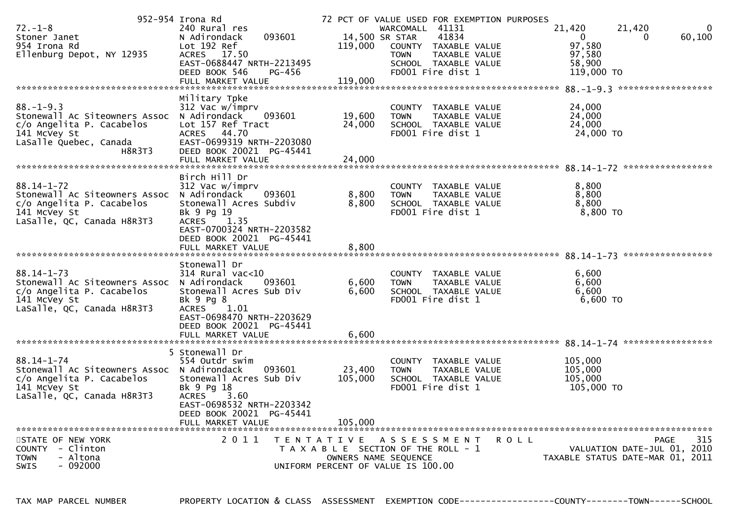|                                            | 952-954 Irona Rd                          |                   |                                       | 72 PCT OF VALUE USED FOR EXEMPTION PURPOSES |                |                                     |
|--------------------------------------------|-------------------------------------------|-------------------|---------------------------------------|---------------------------------------------|----------------|-------------------------------------|
| $72. - 1 - 8$                              | 240 Rural res                             |                   | WARCOMALL 41131                       |                                             | 21,420         | 21,420<br>0                         |
| Stoner Janet                               | 093601<br>N Adirondack                    |                   | 14,500 SR STAR                        | 41834                                       | $\Omega$       | 60,100                              |
| 954 Irona Rd                               | Lot 192 Ref                               | 119,000           |                                       | COUNTY TAXABLE VALUE                        | 97,580         |                                     |
| Ellenburg Depot, NY 12935                  | <b>ACRES</b><br>17.50                     |                   | <b>TOWN</b>                           | TAXABLE VALUE                               | 97,580         |                                     |
|                                            | EAST-0688447 NRTH-2213495                 |                   |                                       | SCHOOL TAXABLE VALUE                        | 58,900         |                                     |
|                                            | DEED BOOK 546<br>PG-456                   |                   |                                       | FD001 Fire dist 1                           | 119,000 TO     |                                     |
|                                            | FULL MARKET VALUE                         | 119,000           |                                       |                                             |                |                                     |
|                                            |                                           |                   |                                       |                                             |                | 88. -1-9.3 *******************      |
|                                            | Military Tpke                             |                   |                                       |                                             |                |                                     |
| $88. - 1 - 9.3$                            | 312 Vac w/imprv                           |                   | <b>COUNTY</b>                         | TAXABLE VALUE                               | 24,000         |                                     |
| Stonewall Ac Siteowners Assoc              | N Adirondack<br>093601                    | 19,600            | <b>TOWN</b>                           | TAXABLE VALUE                               | 24,000         |                                     |
| c/o Angelita P. Cacabelos                  | Lot 157 Ref Tract                         | 24,000            |                                       | SCHOOL TAXABLE VALUE                        | 24,000         |                                     |
| 141 McVey St                               | ACRES 44.70                               |                   |                                       | FD001 Fire dist 1                           | 24,000 TO      |                                     |
| LaSalle Quebec, Canada                     | EAST-0699319 NRTH-2203080                 |                   |                                       |                                             |                |                                     |
| H8R3T3                                     | DEED BOOK 20021 PG-45441                  |                   |                                       |                                             |                |                                     |
|                                            | FULL MARKET VALUE                         | 24,000            |                                       |                                             |                |                                     |
|                                            | Birch Hill Dr                             |                   |                                       |                                             |                |                                     |
| $88.14 - 1 - 72$                           |                                           |                   | <b>COUNTY</b>                         |                                             |                |                                     |
| Stonewall Ac Siteowners Assoc              | 312 Vac w/imprv<br>N Adirondack<br>093601 | 8,800             | <b>TOWN</b>                           | TAXABLE VALUE<br>TAXABLE VALUE              | 8,800<br>8,800 |                                     |
| c/o Angelita P. Cacabelos                  | Stonewall Acres Subdiv                    | 8,800             |                                       | SCHOOL TAXABLE VALUE                        | 8,800          |                                     |
| 141 McVey St                               | Bk 9 Pg 19                                |                   |                                       | FD001 Fire dist 1                           | 8,800 TO       |                                     |
| LaSalle, QC, Canada H8R3T3                 | 1.35<br><b>ACRES</b>                      |                   |                                       |                                             |                |                                     |
|                                            | EAST-0700324 NRTH-2203582                 |                   |                                       |                                             |                |                                     |
|                                            | DEED BOOK 20021 PG-45441                  |                   |                                       |                                             |                |                                     |
|                                            | FULL MARKET VALUE                         | 8,800             |                                       |                                             |                |                                     |
|                                            |                                           |                   |                                       |                                             |                |                                     |
|                                            | Stonewall Dr                              |                   |                                       |                                             |                |                                     |
| $88.14 - 1 - 73$                           | $314$ Rural vac<10                        |                   |                                       | COUNTY TAXABLE VALUE                        | 6,600          |                                     |
| Stonewall Ac Siteowners Assoc              | N Adirondack<br>093601                    | 6,600             | <b>TOWN</b>                           | TAXABLE VALUE                               | 6,600          |                                     |
| c/o Angelita P. Cacabelos                  | Stonewall Acres Sub Div                   | 6,600             |                                       | SCHOOL TAXABLE VALUE                        | 6,600          |                                     |
| 141 McVey St                               | Bk 9 Pg 8                                 |                   |                                       | FD001 Fire dist 1                           | 6,600 TO       |                                     |
| LaSalle, QC, Canada H8R3T3                 | <b>ACRES</b><br>1.01                      |                   |                                       |                                             |                |                                     |
|                                            | EAST-0698470 NRTH-2203629                 |                   |                                       |                                             |                |                                     |
|                                            | DEED BOOK 20021 PG-45441                  |                   |                                       |                                             |                |                                     |
|                                            | FULL MARKET VALUE                         | 6,600             |                                       |                                             |                |                                     |
|                                            |                                           |                   |                                       |                                             |                |                                     |
|                                            | 5 Stonewall Dr                            |                   |                                       |                                             |                |                                     |
| $88.14 - 1 - 74$                           | 554 Outdr swim                            |                   | COUNTY                                | TAXABLE VALUE                               | 105,000        |                                     |
| Stonewall Ac Siteowners Assoc N Adirondack | 093601                                    | 23,400            | <b>TOWN</b>                           | TAXABLE VALUE                               | 105,000        |                                     |
| c/o Angelita P. Cacabelos                  | Stonewall Acres Sub Div                   | 105,000           |                                       | SCHOOL TAXABLE VALUE                        | 105,000        |                                     |
| 141 McVey St                               | Bk 9 Pg 18                                |                   |                                       | FD001 Fire dist 1                           | 105,000 TO     |                                     |
| LaSalle, QC, Canada H8R3T3                 | <b>ACRES</b><br>3.60                      |                   |                                       |                                             |                |                                     |
|                                            | EAST-0698532 NRTH-2203342                 |                   |                                       |                                             |                |                                     |
|                                            | DEED BOOK 20021 PG-45441                  |                   |                                       |                                             |                |                                     |
|                                            | FULL MARKET VALUE                         | 105.000           |                                       |                                             |                |                                     |
|                                            |                                           |                   |                                       |                                             |                |                                     |
| STATE OF NEW YORK                          | 2011                                      | T E N T A T I V E | A S S E S S M E N T                   |                                             | <b>ROLL</b>    | 315<br>PAGE                         |
| COUNTY - Clinton                           |                                           |                   | T A X A B L E SECTION OF THE ROLL - 1 |                                             |                | VALUATION DATE-JUL 01, 2010         |
| - Altona<br><b>TOWN</b>                    |                                           |                   | OWNERS NAME SEQUENCE                  |                                             |                | TAXABLE STATUS DATE-MAR 01,<br>2011 |
| $-092000$<br><b>SWIS</b>                   |                                           |                   | UNIFORM PERCENT OF VALUE IS 100.00    |                                             |                |                                     |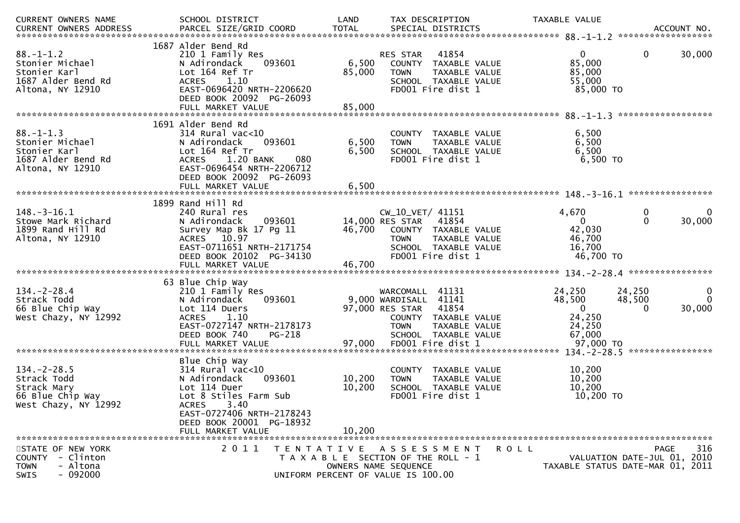| CURRENT OWNERS NAME                                                                          | SCHOOL DISTRICT                                                                                                                                                                                        | LAND                      | TAX DESCRIPTION                                                                                                                                                        |             | TAXABLE VALUE                                                               | ACCOUNT NO.<br>******************                                              |
|----------------------------------------------------------------------------------------------|--------------------------------------------------------------------------------------------------------------------------------------------------------------------------------------------------------|---------------------------|------------------------------------------------------------------------------------------------------------------------------------------------------------------------|-------------|-----------------------------------------------------------------------------|--------------------------------------------------------------------------------|
| $88. - 1 - 1.2$<br>Stonier Michael<br>Stonier Karl<br>1687 Alder Bend Rd<br>Altona, NY 12910 | 1687 Alder Bend Rd<br>210 1 Family Res<br>093601<br>N Adirondack<br>Lot 164 Ref Tr<br>ACRES 1.10<br>EAST-0696420 NRTH-2206620<br>DEED BOOK 20092 PG-26093<br>FULL MARKET VALUE                         | 6,500<br>85,000<br>85,000 | 41854<br>RES STAR<br>COUNTY TAXABLE VALUE<br><b>TOWN</b><br>TAXABLE VALUE<br>SCHOOL TAXABLE VALUE<br>FD001 Fire dist 1                                                 |             | $\mathbf{0}$<br>85,000<br>85,000<br>55,000<br>85,000 TO                     | $\mathbf{0}$<br>30,000                                                         |
| $88. - 1 - 1.3$<br>Stonier Michael<br>Stonier Karl<br>1687 Alder Bend Rd<br>Altona, NY 12910 | 1691 Alder Bend Rd<br>$314$ Rural vac<10<br>093601<br>N Adirondack<br>Lot 164 Ref Tr<br>1.20 BANK<br><b>ACRES</b><br>080<br>EAST-0696454 NRTH-2206712<br>DEED BOOK 20092 PG-26093<br>FULL MARKET VALUE | 6,500<br>6,500<br>6,500   | COUNTY TAXABLE VALUE<br>TAXABLE VALUE<br><b>TOWN</b><br>SCHOOL TAXABLE VALUE<br>FD001 Fire dist 1                                                                      |             | 6,500<br>6,500<br>6,500<br>6,500 TO                                         |                                                                                |
|                                                                                              |                                                                                                                                                                                                        |                           |                                                                                                                                                                        |             |                                                                             |                                                                                |
| $148.-3-16.1$<br>Stowe Mark Richard<br>1899 Rand Hill Rd<br>Altona, NY 12910                 | 1899 Rand Hill Rd<br>240 Rural res<br>N Adirondack<br>093601<br>Survey Map Bk 17 Pg 11<br>ACRES 10.97<br>EAST-0711651 NRTH-2171754<br>DEED BOOK 20102 PG-34130                                         | 46,700                    | CW_10_VET/ 41151<br>14,000 RES STAR<br>41854<br>COUNTY TAXABLE VALUE<br><b>TOWN</b><br>TAXABLE VALUE<br>SCHOOL TAXABLE VALUE<br>FD001 Fire dist 1                      |             | 4,670<br>$\mathbf{0}$<br>42,030<br>46,700<br>16,700<br>46,700 TO            | 0<br>0<br>$\mathbf{0}$<br>30,000                                               |
|                                                                                              |                                                                                                                                                                                                        |                           |                                                                                                                                                                        |             |                                                                             |                                                                                |
| $134. - 2 - 28.4$<br>Strack Todd<br>66 Blue Chip Way<br>West Chazy, NY 12992                 | 63 Blue Chip Way<br>210 1 Family Res<br>093601<br>N Adirondack<br>Lot 114 Duers<br><b>ACRES</b><br>1.10<br>EAST-0727147 NRTH-2178173<br>DEED BOOK 740<br>PG-218<br>FULL MARKET VALUE                   | 97,000                    | WARCOMALL 41131<br>9,000 WARDISALL 41141<br>97,000 RES STAR 41854<br>COUNTY TAXABLE VALUE<br><b>TOWN</b><br>TAXABLE VALUE<br>SCHOOL TAXABLE VALUE<br>FD001 Fire dist 1 |             | 24,250<br>48,500<br>$\mathbf{0}$<br>24,250<br>24,250<br>67,000<br>97,000 TO | 24,250<br>0<br>$\Omega$<br>48,500<br>30,000<br>0                               |
|                                                                                              |                                                                                                                                                                                                        |                           |                                                                                                                                                                        |             |                                                                             | ****************                                                               |
| $134. -2 - 28.5$<br>Strack Todd<br>Strack Mary<br>66 Blue Chip Way<br>West Chazy, NY 12992   | Blue Chip Way<br>$314$ Rural vac<10<br>093601<br>N Adirondack<br>Lot 114 Duer<br>Lot 8 Stiles Farm Sub<br><b>ACRES</b><br>3.40<br>EAST-0727406 NRTH-2178243                                            | 10,200<br>10,200          | COUNTY TAXABLE VALUE<br>TAXABLE VALUE<br><b>TOWN</b><br>SCHOOL TAXABLE VALUE<br>FD001 Fire dist 1                                                                      |             | 10,200<br>10,200<br>10,200<br>10,200 TO                                     |                                                                                |
|                                                                                              | DEED BOOK 20001 PG-18932                                                                                                                                                                               |                           |                                                                                                                                                                        |             |                                                                             |                                                                                |
|                                                                                              | FULL MARKET VALUE                                                                                                                                                                                      | 10,200                    |                                                                                                                                                                        |             |                                                                             |                                                                                |
| STATE OF NEW YORK<br>COUNTY - Clinton<br><b>TOWN</b><br>- Altona<br>SWIS<br>- 092000         | 2011<br>T E N T A T I V E                                                                                                                                                                              |                           | A S S E S S M E N T<br>T A X A B L E SECTION OF THE ROLL - 1<br>OWNERS NAME SEQUENCE<br>UNIFORM PERCENT OF VALUE IS 100.00                                             | <b>ROLL</b> |                                                                             | 316<br>PAGE<br>VALUATION DATE-JUL 01, 2010<br>TAXABLE STATUS DATE-MAR 01, 2011 |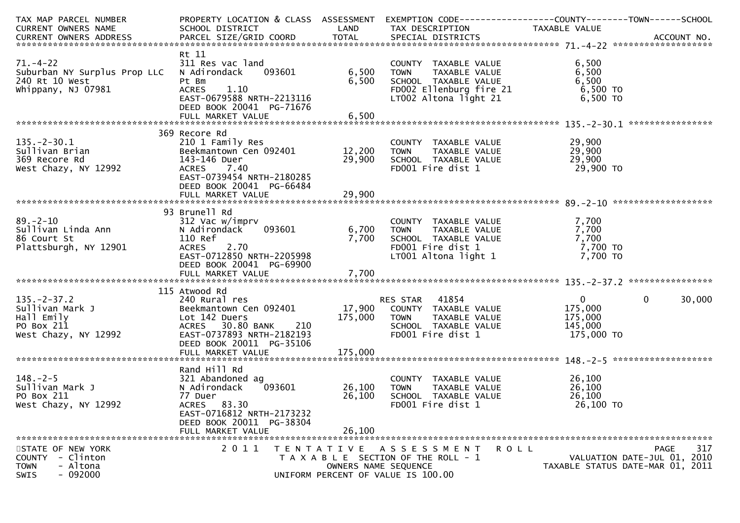| TAX MAP PARCEL NUMBER<br><b>CURRENT OWNERS NAME</b>                                          | PROPERTY LOCATION & CLASS ASSESSMENT EXEMPTION CODE----------------COUNTY-------TOWN------SCHOOL<br>SCHOOL DISTRICT                                                       | LAND                                      | TAX DESCRIPTION                                                                                                                  | TAXABLE VALUE                                               |                                                                                       |
|----------------------------------------------------------------------------------------------|---------------------------------------------------------------------------------------------------------------------------------------------------------------------------|-------------------------------------------|----------------------------------------------------------------------------------------------------------------------------------|-------------------------------------------------------------|---------------------------------------------------------------------------------------|
|                                                                                              |                                                                                                                                                                           |                                           |                                                                                                                                  |                                                             |                                                                                       |
| $71. - 4 - 22$<br>Suburban NY Surplus Prop LLC<br>240 Rt 10 West<br>Whippany, NJ 07981       | Rt 11<br>311 Res vac land<br>093601<br>N Adirondack<br>Pt Bm<br>1.10<br><b>ACRES</b><br>EAST-0679588 NRTH-2213116<br>DEED BOOK 20041 PG-71676                             | 6,500<br>6,500                            | COUNTY TAXABLE VALUE<br>TAXABLE VALUE<br><b>TOWN</b><br>SCHOOL TAXABLE VALUE<br>FD002 Ellenburg fire 21<br>LT002 Altona light 21 | 6,500<br>6,500<br>6,500<br>6,500 TO<br>6,500 TO             |                                                                                       |
|                                                                                              |                                                                                                                                                                           |                                           |                                                                                                                                  |                                                             |                                                                                       |
|                                                                                              | 369 Recore Rd                                                                                                                                                             |                                           |                                                                                                                                  |                                                             |                                                                                       |
| $135. -2 - 30.1$<br>Sullivan Brian<br>369 Recore Rd<br>West Chazy, NY 12992                  | 210 1 Family Res<br>EXAMPLE 210 1 Family Res<br>Beekmantown Cen 092401 12,200 TOWN<br>143-146 Duer<br>ACRES 7.40<br>EAST-0739454 NRTH-2180285<br>DEED BOOK 20041 PG-66484 | 29,900                                    | COUNTY TAXABLE VALUE<br>TOWN     TAXABLE VALUE<br>SCHOOL  TAXABLE VALUE<br>FDOO1 Fire dist 1                                     | 29,900<br>29,900<br>29,900<br>29,900 TO                     |                                                                                       |
|                                                                                              |                                                                                                                                                                           |                                           |                                                                                                                                  |                                                             |                                                                                       |
|                                                                                              | 93 Brunell Rd                                                                                                                                                             |                                           |                                                                                                                                  |                                                             |                                                                                       |
| $89. - 2 - 10$<br>Sullivan Linda Ann<br>86 Court St<br>Plattsburgh, NY 12901                 | 312 Vac w/imprv<br>093601<br>N Adirondack<br>110 Ref<br>ACRES 2.70<br>EAST-0712850 NRTH-2205998<br>DEED BOOK 20041 PG-69900                                               | 7,700                                     | COUNTY TAXABLE VALUE<br>TOWN TAXABLE VALUE<br>COUON TAXABLE VALUE<br>6,700 TOWN<br>FD001 Fire dist 1<br>LT001 Altona light 1     | 7,700<br>7,700<br>7,700<br>7,700 TO<br>7,700 TO             |                                                                                       |
|                                                                                              |                                                                                                                                                                           |                                           |                                                                                                                                  |                                                             |                                                                                       |
| $135. - 2 - 37.2$<br>Sullivan Mark J<br>Hall Emily<br>PO Box 211<br>West Chazy, NY 12992     | 115 Atwood Rd<br>240 Rural res<br>Lot 142 Duers<br>ACRES 30.80 BANK 210<br>EAST-0737893 NRTH-2182193<br>DEED BOOK 20011 PG-35106                                          | 175,000                                   | RES STAR 41854<br>TAXABLE VALUE<br>TOWN<br>SCHOOL TAXABLE VALUE<br>FD001 Fire dist 1                                             | $\mathbf{0}$<br>175,000<br>175,000<br>145,000<br>175,000 TO | $\mathbf 0$<br>30,000                                                                 |
|                                                                                              | Rand Hill Rd                                                                                                                                                              |                                           |                                                                                                                                  |                                                             |                                                                                       |
| $148. - 2 - 5$<br>Sullivan Mark J<br>PO Box 211<br>West Chazy, NY 12992                      | 321 Abandoned ag<br>093601<br>N Adirondack<br>77 Duer<br>ACRES 83.30<br>EAST-0716812 NRTH-2173232<br>DEED BOOK 20011 PG-38304                                             | 26,100<br>26,100                          | COUNTY TAXABLE VALUE<br>TAXABLE VALUE<br><b>TOWN</b><br>SCHOOL TAXABLE VALUE<br>FD001 Fire dist 1                                | 26,100<br>26,100<br>26,100<br>26,100 TO                     |                                                                                       |
|                                                                                              | FULL MARKET VALUE                                                                                                                                                         | 26,100                                    |                                                                                                                                  |                                                             |                                                                                       |
| STATE OF NEW YORK<br>COUNTY - Clinton<br><b>TOWN</b><br>- Altona<br>$-092000$<br><b>SWIS</b> | 2 0 1 1                                                                                                                                                                   | T E N T A T I V E<br>OWNERS NAME SEQUENCE | A S S E S S M E N T<br>T A X A B L E SECTION OF THE ROLL - 1<br>UNIFORM PERCENT OF VALUE IS 100.00                               | <b>ROLL</b>                                                 | 317<br><b>PAGE</b><br>VALUATION DATE-JUL 01, 2010<br>TAXABLE STATUS DATE-MAR 01, 2011 |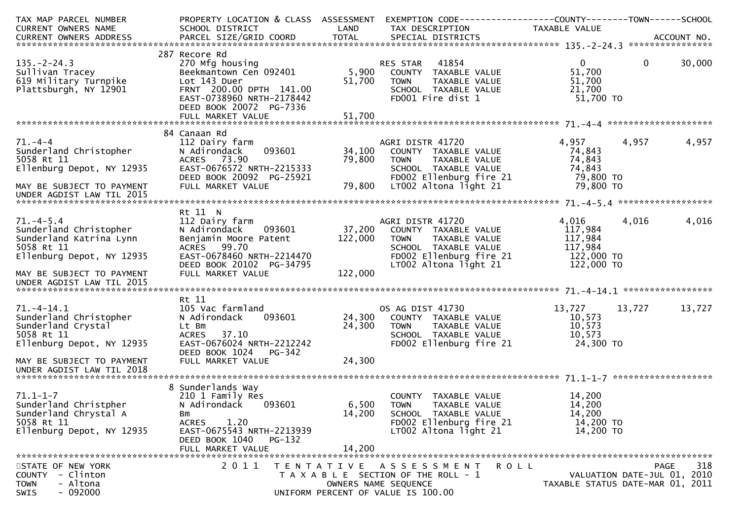| TAX MAP PARCEL NUMBER<br><b>CURRENT OWNERS NAME</b>                                                             | PROPERTY LOCATION & CLASS ASSESSMENT EXEMPTION CODE----------------COUNTY--------TOWN------SCHOOL<br>SCHOOL DISTRICT                                                        | LAND                       | TAX DESCRIPTION                                                                                                                               | TAXABLE VALUE                                                      |              |        |
|-----------------------------------------------------------------------------------------------------------------|-----------------------------------------------------------------------------------------------------------------------------------------------------------------------------|----------------------------|-----------------------------------------------------------------------------------------------------------------------------------------------|--------------------------------------------------------------------|--------------|--------|
|                                                                                                                 |                                                                                                                                                                             |                            |                                                                                                                                               |                                                                    |              |        |
| $135. - 2 - 24.3$<br>Sullivan Tracey<br>619 Military Turnpike<br>Plattsburgh, NY 12901                          | 287 Recore Rd<br>270 Mfg housing<br>Beekmantown Cen 092401<br>Lot 143 Duer<br>FRNT 200.00 DPTH 141.00<br>EAST-0738960 NRTH-2178442<br>DEED BOOK 20072 PG-7336               | 51,700                     | RES STAR 41854<br>5,900 COUNTY TAXABLE VALUE<br><b>TOWN</b><br>TAXABLE VALUE<br>SCHOOL TAXABLE VALUE<br>FD001 Fire dist 1                     | $\mathbf{0}$<br>51,700<br>51,700<br>21,700<br>51,700 TO            | $\mathbf{0}$ | 30,000 |
|                                                                                                                 | 84 Canaan Rd                                                                                                                                                                |                            |                                                                                                                                               |                                                                    |              |        |
| $71. - 4 - 4$<br>Sunderland Christopher<br>5058 Rt 11<br>Ellenburg Depot, NY 12935<br>MAY BE SUBJECT TO PAYMENT | 112 Dairy farm<br>093601<br>N Adirondack<br>ACRES 73.90<br>EAST-0676572 NRTH-2215333<br>DEED BOOK 20092 PG-25921<br>FULL MARKET VALUE                                       | 34,100<br>79,800<br>79,800 | AGRI DISTR 41720<br>COUNTY TAXABLE VALUE<br>TAXABLE VALUE<br>TOWN<br>SCHOOL TAXABLE VALUE<br>FD002 Ellenburg fire 21<br>LT002 Altona light 21 | 4,957<br>74,843<br>74,843<br>74,843<br>79,800 TO<br>79,800 TO      | 4,957        | 4,957  |
| UNDER AGDIST LAW TIL 2015                                                                                       |                                                                                                                                                                             |                            |                                                                                                                                               |                                                                    |              |        |
|                                                                                                                 |                                                                                                                                                                             |                            |                                                                                                                                               |                                                                    |              |        |
| $71. -4 - 5.4$<br>Sunderland Christopher<br>Sunderland Katrina Lynn<br>5058 Rt 11<br>Ellenburg Depot, NY 12935  | Rt 11 N<br>112 Dairy farm<br>093601<br>N Adirondack<br>Benjamin Moore Patent<br>ACRES 99.70<br>EAST-0678460 NRTH-2214470<br>DEED BOOK 20102 PG-34795                        | 37,200<br>122,000          | AGRI DISTR 41720<br>COUNTY TAXABLE VALUE<br>TAXABLE VALUE<br>TOWN<br>SCHOOL TAXABLE VALUE<br>FD002 Ellenburg fire 21<br>LT002 Altona light 21 | 4,016<br>117,984<br>117,984<br>117,984<br>122,000 TO<br>122,000 TO | 4,016        | 4,016  |
| MAY BE SUBJECT TO PAYMENT<br>UNDER AGDIST LAW TIL 2015                                                          | FULL MARKET VALUE                                                                                                                                                           | 122,000                    |                                                                                                                                               |                                                                    |              |        |
|                                                                                                                 | Rt 11                                                                                                                                                                       |                            |                                                                                                                                               |                                                                    |              |        |
| $71. - 4 - 14.1$<br>Sunderland Christopher<br>Sunderland Crystal<br>5058 Rt 11<br>Ellenburg Depot, NY 12935     | 105 Vac farmland<br>093601<br>N Adirondack<br>Lt Bm<br>37.10<br><b>ACRES</b><br>EAST-0676024 NRTH-2212242<br>DEED BOOK 1024<br><b>PG-342</b>                                | 24,300<br>24,300           | OS AG DIST 41730<br>COUNTY TAXABLE VALUE<br>TAXABLE VALUE<br><b>TOWN</b><br>SCHOOL TAXABLE VALUE<br>FD002 Ellenburg fire 21                   | 13,727<br>10,573<br>10,573<br>10,573<br>24,300 TO                  | 13,727       | 13,727 |
| MAY BE SUBJECT TO PAYMENT<br>UNDER AGDIST LAW TIL 2018                                                          | FULL MARKET VALUE                                                                                                                                                           | 24,300                     |                                                                                                                                               |                                                                    |              |        |
| $71.1 - 1 - 7$<br>Sunderland Christpher<br>Sunderland Chrystal A<br>5058 Rt 11<br>Ellenburg Depot, NY 12935     | 8 Sunderlands Way<br>210 1 Family Res<br>N Adirondack<br>093601<br>Bm<br>1.20<br><b>ACRES</b><br>EAST-0675543 NRTH-2213939<br>DEED BOOK 1040<br>PG-132<br>FULL MARKET VALUE | 6,500<br>14,200<br>14,200  | COUNTY TAXABLE VALUE<br><b>TOWN</b><br>TAXABLE VALUE<br>SCHOOL TAXABLE VALUE<br>FD002 Ellenburg fire 21<br>LT002 Altona light 21              | 14,200<br>14,200<br>14,200<br>14,200 TO<br>14,200 TO               |              |        |
| STATE OF NEW YORK<br>- Clinton<br><b>COUNTY</b><br>- Altona<br><b>TOWN</b><br>$-092000$<br><b>SWIS</b>          | 2011                                                                                                                                                                        | T E N T A T I V E          | A S S E S S M E N T<br>R O L L<br>T A X A B L E SECTION OF THE ROLL - 1<br>OWNERS NAME SEQUENCE<br>UNIFORM PERCENT OF VALUE IS 100.00         | VALUATION DATE-JUL 01, 2010<br>TAXABLE STATUS DATE-MAR 01, 2011    | PAGE         | 318    |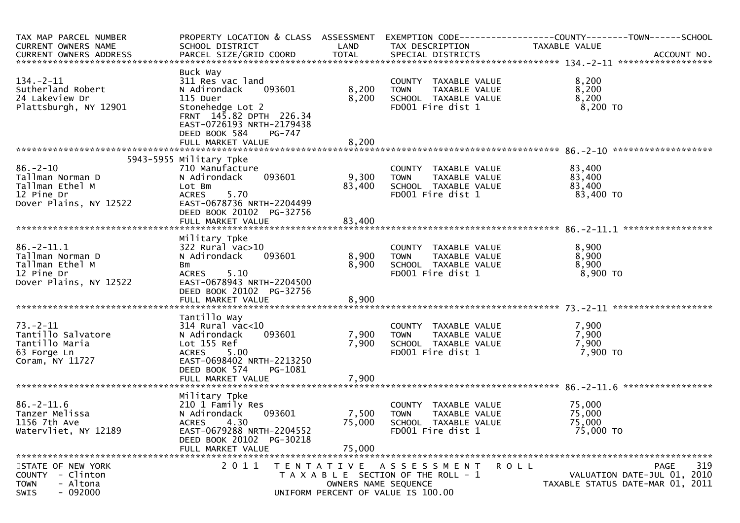| TAX MAP PARCEL NUMBER<br>CURRENT OWNERS NAME                                                   | SCHOOL DISTRICT                                                                                                                                                           | LAND                                      | TAX DESCRIPTION                                                                                    | PROPERTY LOCATION & CLASS ASSESSMENT EXEMPTION CODE----------------COUNTY--------TOWN------SCHOOL<br>TAXABLE VALUE |
|------------------------------------------------------------------------------------------------|---------------------------------------------------------------------------------------------------------------------------------------------------------------------------|-------------------------------------------|----------------------------------------------------------------------------------------------------|--------------------------------------------------------------------------------------------------------------------|
|                                                                                                |                                                                                                                                                                           |                                           |                                                                                                    |                                                                                                                    |
| $134. - 2 - 11$<br>Sutherland Robert<br>24 Lakeview Dr<br>Plattsburgh, NY 12901                | Buck Way<br>311 Res vac land<br>093601<br>N Adirondack<br>115 Duer<br>Stonehedge Lot 2<br>FRNT 145.82 DPTH 226.34<br>EAST-0726193 NRTH-2179438<br>DEED BOOK 584<br>PG-747 | 8,200<br>8,200                            | COUNTY TAXABLE VALUE<br>TAXABLE VALUE<br><b>TOWN</b><br>SCHOOL TAXABLE VALUE<br>FD001 Fire dist 1  | 8,200<br>8,200<br>8,200<br>8,200 TO                                                                                |
|                                                                                                |                                                                                                                                                                           |                                           |                                                                                                    |                                                                                                                    |
| $86. - 2 - 10$<br>Tallman Norman D<br>Tallman Ethel M<br>12 Pine Dr<br>Dover Plains, NY 12522  | 5943-5955 Military Tpke<br>710 Manufacture<br>093601<br>N Adirondack<br>Lot Bm<br>5.70<br>ACRES<br>EAST-0678736 NRTH-2204499<br>DEED BOOK 20102 PG-32756                  | 9,300<br>83,400                           | COUNTY TAXABLE VALUE<br>TAXABLE VALUE<br><b>TOWN</b><br>SCHOOL TAXABLE VALUE<br>FD001 Fire dist 1  | 83,400<br>83,400<br>83,400<br>83,400 TO                                                                            |
|                                                                                                |                                                                                                                                                                           |                                           |                                                                                                    |                                                                                                                    |
| $86. -2 - 11.1$<br>Tallman Norman D<br>Tallman Ethel M<br>12 Pine Dr<br>Dover Plains, NY 12522 | Military Tpke<br>$322$ Rural vac $>10$<br>093601<br>N Adirondack<br>Bm<br>5.10<br><b>ACRES</b><br>EAST-0678943 NRTH-2204500<br>DEED BOOK 20102 PG-32756                   | 8,900<br>8,900                            | COUNTY TAXABLE VALUE<br><b>TOWN</b><br>TAXABLE VALUE<br>SCHOOL TAXABLE VALUE<br>FD001 Fire dist 1  | 8,900<br>8,900<br>8,900<br>$8,900$ TO                                                                              |
|                                                                                                |                                                                                                                                                                           |                                           |                                                                                                    |                                                                                                                    |
| $73. - 2 - 11$<br>Tantillo Salvatore<br>Tantillo Maria<br>63 Forge Ln<br>Coram, NY 11727       | Tantillo Way<br>314 Rural vac<10<br>N Adirondack<br>093601<br>Lot 155 Ref<br>ACRES 5.00<br>EAST-0698402 NRTH-2213250<br>DEED BOOK 574<br>PG-1081<br>FULL MARKET VALUE     | 7,900<br>7,900<br>7,900                   | COUNTY TAXABLE VALUE<br>TAXABLE VALUE<br><b>TOWN</b><br>SCHOOL TAXABLE VALUE<br>FD001 Fire dist 1  | 7,900<br>7,900<br>7,900<br>7,900 то                                                                                |
|                                                                                                |                                                                                                                                                                           |                                           |                                                                                                    |                                                                                                                    |
| $86. - 2 - 11.6$<br>Tanzer Melissa<br>1156 7th Ave<br>Watervliet, NY 12189                     | Military Tpke<br>210 1 Family Res<br>093601<br>N Adirondack<br><b>ACRES</b><br>4.30<br>EAST-0679288 NRTH-2204552<br>DEED BOOK 20102 PG-30218<br>FULL MARKET VALUE         | 7,500<br>75,000<br>75,000                 | COUNTY TAXABLE VALUE<br><b>TOWN</b><br>TAXABLE VALUE<br>SCHOOL TAXABLE VALUE<br>FD001 Fire dist 1  | 75,000<br>75,000<br>75,000<br>75,000 TO                                                                            |
| STATE OF NEW YORK<br>COUNTY - Clinton<br>- Altona<br><b>TOWN</b><br>$-092000$<br>SWIS          | 2011                                                                                                                                                                      | T E N T A T I V E<br>OWNERS NAME SEQUENCE | A S S E S S M E N T<br>T A X A B L E SECTION OF THE ROLL - 1<br>UNIFORM PERCENT OF VALUE IS 100.00 | 319<br>PAGE<br>R O L L<br>VALUATION DATE-JUL 01, 2010<br>TAXABLE STATUS DATE-MAR 01, 2011                          |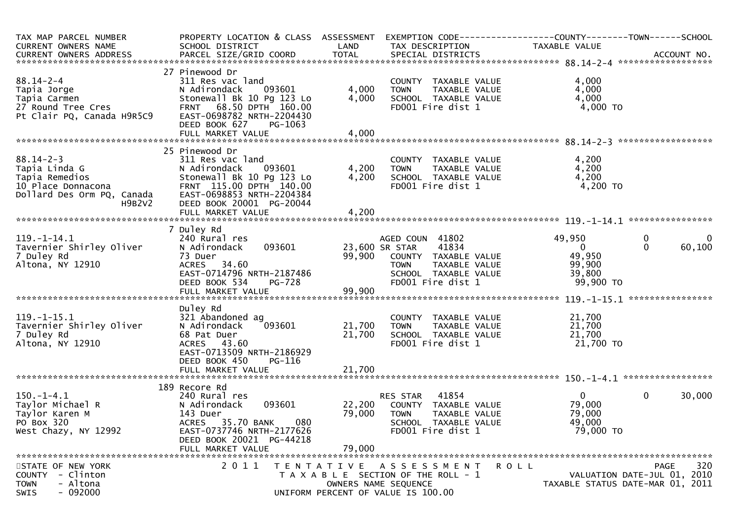| TAX MAP PARCEL NUMBER<br>CURRENT OWNERS NAME                                                                                     | PROPERTY LOCATION & CLASS ASSESSMENT<br>SCHOOL DISTRICT                                                                                                                                            | LAND                       | EXEMPTION CODE------------------COUNTY--------TOWN------SCHOOL<br>TAX DESCRIPTION                                                               | TAXABLE VALUE                                                     |                                             |                          |
|----------------------------------------------------------------------------------------------------------------------------------|----------------------------------------------------------------------------------------------------------------------------------------------------------------------------------------------------|----------------------------|-------------------------------------------------------------------------------------------------------------------------------------------------|-------------------------------------------------------------------|---------------------------------------------|--------------------------|
|                                                                                                                                  |                                                                                                                                                                                                    |                            |                                                                                                                                                 |                                                                   |                                             |                          |
| $88.14 - 2 - 4$<br>Tapia Jorge<br>Tapia Carmen<br>27 Round Tree Cres<br>Pt Clair PO. Canada H9R5C9<br>Pt Clair PQ, Canada H9R5C9 | 27 Pinewood Dr<br>311 Res vac land<br>093601<br>N Adirondack<br>Stonewall Bk 10 Pg 123 Lo<br>FRNT 68.50 DPTH 160.00<br>EAST-0698782 NRTH-2204430<br>DEED BOOK 627<br>PG-1063                       | 4,000<br>4,000             | COUNTY TAXABLE VALUE<br>TAXABLE VALUE<br><b>TOWN</b><br>SCHOOL TAXABLE VALUE<br>FD001 Fire dist 1                                               | 4,000<br>4,000<br>4,000<br>$4,000$ TO                             |                                             |                          |
|                                                                                                                                  |                                                                                                                                                                                                    |                            |                                                                                                                                                 |                                                                   |                                             |                          |
| $88.14 - 2 - 3$<br>Tapia Linda G<br>тарта кетеатоѕ<br>10 Place Donnacona<br>Dollard Des Orm PQ, Canada<br>H9B2V2                 | 25 Pinewood Dr<br>311 Res vac land<br>N Adirondack<br>093601<br>Stonewall Bk 10 Pg 123 Lo<br>FRNT 115.00 DPTH 140.00<br>EAST-0698853 NRTH-2204384<br>DEED BOOK 20001 PG-20044<br>FULL MARKET VALUE | 4,200<br>4,200<br>4,200    | COUNTY TAXABLE VALUE<br><b>TOWN</b><br>TAXABLE VALUE<br>SCHOOL TAXABLE VALUE<br>FD001 Fire dist 1                                               | 4,200<br>4,200<br>4,200<br>4,200 TO                               |                                             |                          |
|                                                                                                                                  |                                                                                                                                                                                                    |                            |                                                                                                                                                 |                                                                   |                                             |                          |
| $119. - 1 - 14.1$<br>Tavernier Shirley Oliver<br>7 Duley Rd<br>Altona, NY 12910                                                  | 7 Duley Rd<br>240 Rural res<br>093601<br>N Adirondack<br>73 Duer<br>ACRES 34.60<br>EAST-0714796 NRTH-2187486<br>DEED BOOK 534<br><b>PG-728</b>                                                     | 99,900                     | AGED COUN 41802<br>41834<br>23,600 SR STAR<br>COUNTY TAXABLE VALUE<br><b>TOWN</b><br>TAXABLE VALUE<br>SCHOOL TAXABLE VALUE<br>FD001 Fire dist 1 | 49,950<br>$\mathbf{0}$<br>49,950<br>99,900<br>39,800<br>99,900 TO | $\mathbf 0$<br>$\Omega$<br>**************** | $\overline{0}$<br>60,100 |
|                                                                                                                                  | Duley Rd                                                                                                                                                                                           |                            |                                                                                                                                                 |                                                                   |                                             |                          |
| $119. - 1 - 15.1$<br>Tavernier Shirley Oliver<br>7 Duley Rd<br>Altona, NY 12910                                                  | 321 Abandoned ag<br>N Adirondack<br>093601<br>68 Pat Duer<br>ACRES 43.60<br>EAST-0713509 NRTH-2186929<br>DEED BOOK 450<br>PG-116<br>FULL MARKET VALUE                                              | 21,700<br>21,700<br>21,700 | COUNTY TAXABLE VALUE<br><b>TOWN</b><br>TAXABLE VALUE<br>SCHOOL TAXABLE VALUE<br>FD001 Fire dist 1                                               | 21,700<br>21,700<br>21,700<br>21,700 TO                           |                                             |                          |
|                                                                                                                                  |                                                                                                                                                                                                    |                            |                                                                                                                                                 |                                                                   |                                             |                          |
| $150.-1-4.1$<br>Taylor Michael R<br>Taylor Karen M<br>PO Box 320<br>West Chazy, NY 12992                                         | 189 Recore Rd<br>240 Rural res<br>093601<br>N Adirondack<br>143 Duer<br>080<br>ACRES 35.70 BANK<br>EAST-0737746 NRTH-2177626<br>DEED BOOK 20021 PG-44218<br>FULL MARKET VALUE                      | 22,200<br>79,000<br>79,000 | 41854<br>RES STAR<br>COUNTY TAXABLE VALUE<br><b>TOWN</b><br>TAXABLE VALUE<br>SCHOOL TAXABLE VALUE<br>FD001 Fire dist 1                          | $\overline{0}$<br>79,000<br>79,000<br>49,000<br>79,000 TO         | $\mathbf 0$                                 | 30,000                   |
| STATE OF NEW YORK<br>COUNTY - Clinton<br><b>TOWN</b><br>- Altona<br>$-092000$<br>SWIS                                            | 2011                                                                                                                                                                                               |                            | R O L L<br>TENTATIVE ASSESSMENT<br>T A X A B L E SECTION OF THE ROLL - 1<br>OWNERS NAME SEQUENCE<br>UNIFORM PERCENT OF VALUE IS 100.00          | TAXABLE STATUS DATE-MAR 01, 2011                                  | PAGE<br>VALUATION DATE-JUL 01, 2010         | 320                      |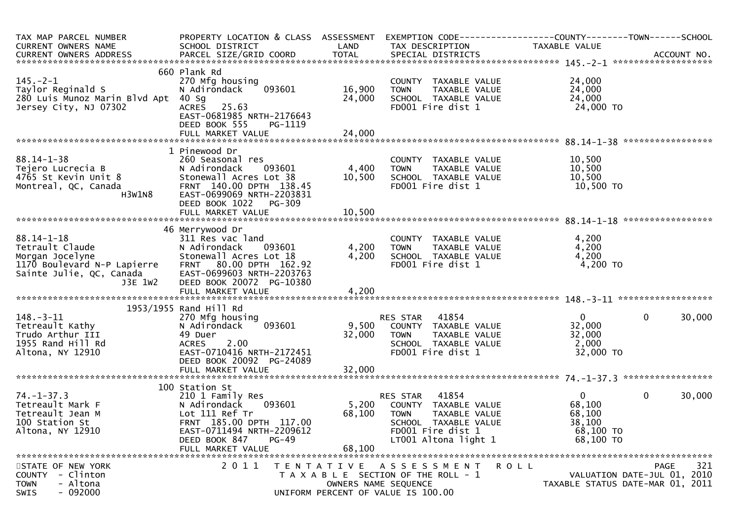| TAX MAP PARCEL NUMBER                                                                         | PROPERTY LOCATION & CLASS ASSESSMENT |                                    | EXEMPTION CODE-----------------COUNTY-------TOWN------SCHOOL |                |                                  |
|-----------------------------------------------------------------------------------------------|--------------------------------------|------------------------------------|--------------------------------------------------------------|----------------|----------------------------------|
| CURRENT OWNERS NAME                                                                           | SCHOOL DISTRICT                      | LAND                               | TAX DESCRIPTION                                              | TAXABLE VALUE  |                                  |
| CURRENT OWNERS ADDRESS PARCEL SIZE/GRID COORD TOTAL SPECIAL DISTRICTS (15.125.175 ACCOUNT NO. |                                      |                                    |                                                              |                |                                  |
|                                                                                               |                                      |                                    |                                                              |                |                                  |
|                                                                                               | 660 Plank Rd                         |                                    |                                                              |                |                                  |
| $145. - 2 - 1$                                                                                | 270 Mfg housing                      |                                    | COUNTY TAXABLE VALUE                                         | 24,000         |                                  |
| Taylor Reginald S                                                                             | 093601<br>N Adirondack               | 16,900                             | TAXABLE VALUE<br><b>TOWN</b>                                 | 24,000         |                                  |
| 280 Luis Munoz Marin Blvd Apt 40 Sg                                                           |                                      | 24,000                             | SCHOOL TAXABLE VALUE                                         | 24,000         |                                  |
| Jersey City, NJ 07302                                                                         | ACRES 25.63                          |                                    | FD001 Fire dist 1                                            | 24,000 TO      |                                  |
|                                                                                               | EAST-0681985 NRTH-2176643            |                                    |                                                              |                |                                  |
|                                                                                               | DEED BOOK 555<br>PG-1119             |                                    |                                                              |                |                                  |
|                                                                                               |                                      |                                    |                                                              |                |                                  |
|                                                                                               |                                      |                                    |                                                              |                | *****************                |
|                                                                                               | 1 Pinewood Dr                        |                                    |                                                              |                |                                  |
| $88.14 - 1 - 38$                                                                              | 260 Seasonal res                     |                                    | COUNTY TAXABLE VALUE                                         | 10,500         |                                  |
| Tejero Lucrecia B                                                                             | N Adirondack<br>093601               | 4,400                              | TAXABLE VALUE<br><b>TOWN</b>                                 | 10,500         |                                  |
| 4765 St Kevin Unit 8                                                                          | Stonewall Acres Lot 38               | 10,500                             | SCHOOL TAXABLE VALUE                                         | 10,500         |                                  |
| Montreal, QC, Canada                                                                          | FRNT 140.00 DPTH 138.45              |                                    | FD001 Fire dist 1                                            | 10,500 TO      |                                  |
| H3W1N8                                                                                        | EAST-0699069 NRTH-2203831            |                                    |                                                              |                |                                  |
|                                                                                               | DEED BOOK 1022<br>PG-309             |                                    |                                                              |                |                                  |
|                                                                                               | FULL MARKET VALUE                    | 10,500                             |                                                              |                |                                  |
|                                                                                               |                                      |                                    |                                                              |                |                                  |
|                                                                                               | 46 Merrywood Dr                      |                                    |                                                              |                |                                  |
| $88.14 - 1 - 18$                                                                              | 311 Res vac land                     |                                    | COUNTY TAXABLE VALUE                                         | 4,200          |                                  |
| Tetrault Claude                                                                               | N Adirondack<br>093601               | 4,200                              | TAXABLE VALUE<br><b>TOWN</b>                                 | 4,200          |                                  |
| Morgan Jocelyne                                                                               | Stonewall Acres Lot 18               | 4,200                              | SCHOOL TAXABLE VALUE                                         | 4,200          |                                  |
| 1170 Boulevard N-P Lapierre                                                                   | FRNT 80.00 DPTH 162.92               |                                    | FD001 Fire dist 1                                            | 4,200 TO       |                                  |
| Sainte Julie, QC, Canada                                                                      | EAST-0699603 NRTH-2203763            |                                    |                                                              |                |                                  |
| J3E 1W2                                                                                       | DEED BOOK 20072 PG-10380             |                                    |                                                              |                |                                  |
|                                                                                               | FULL MARKET VALUE                    | 4,200                              |                                                              |                |                                  |
|                                                                                               |                                      |                                    |                                                              |                |                                  |
|                                                                                               | 1953/1955 Rand Hill Rd               |                                    |                                                              |                |                                  |
| $148. - 3 - 11$                                                                               | 270 Mfg housing                      |                                    | RES STAR<br>41854                                            | $\overline{0}$ | $\mathbf 0$<br>30,000            |
| Tetreault Kathy                                                                               | 093601<br>N Adirondack               | 9,500                              | COUNTY TAXABLE VALUE                                         | 32,000         |                                  |
| Trudo Arthur III                                                                              | 49 Duer                              | 32,000                             | <b>TOWN</b><br>TAXABLE VALUE                                 | 32,000         |                                  |
| 1955 Rand Hill Rd                                                                             | 2.00<br><b>ACRES</b>                 |                                    | SCHOOL TAXABLE VALUE                                         | 2,000          |                                  |
| Altona, NY 12910                                                                              | EAST-0710416 NRTH-2172451            |                                    | FD001 Fire dist 1                                            | 32,000 TO      |                                  |
|                                                                                               | DEED BOOK 20092 PG-24089             |                                    |                                                              |                |                                  |
|                                                                                               | FULL MARKET VALUE                    | 32,000                             |                                                              |                |                                  |
|                                                                                               |                                      |                                    |                                                              |                |                                  |
|                                                                                               | 100 Station St                       |                                    |                                                              |                |                                  |
| $74. - 1 - 37.3$                                                                              | 210 1 Family Res                     |                                    | 41854<br>RES STAR                                            | $\mathbf{0}$   | $\mathbf 0$<br>30,000            |
| Tetreault Mark F                                                                              | 093601<br>N Adirondack               | 5,200                              | COUNTY TAXABLE VALUE                                         | 68,100         |                                  |
| Tetreault Jean M                                                                              | Lot 111 Ref Tr                       | 68,100                             | <b>TOWN</b><br>TAXABLE VALUE                                 | 68,100         |                                  |
| 100 Station St                                                                                | FRNT 185.00 DPTH 117.00              |                                    | SCHOOL TAXABLE VALUE                                         | 38,100         |                                  |
| Altona, NY 12910                                                                              | EAST-0711494 NRTH-2209612            |                                    | FD001 Fire dist 1                                            | 68,100 TO      |                                  |
|                                                                                               | DEED BOOK 847<br>$PG-49$             |                                    | LT001 Altona light 1                                         | 68,100 TO      |                                  |
|                                                                                               | FULL MARKET VALUE                    | 68,100                             |                                                              |                |                                  |
|                                                                                               |                                      |                                    |                                                              |                |                                  |
| STATE OF NEW YORK                                                                             | 2011                                 |                                    | TENTATIVE ASSESSMENT                                         | R O L L        | 321<br>PAGE                      |
| COUNTY<br>- Clinton                                                                           |                                      |                                    | T A X A B L E SECTION OF THE ROLL - 1                        |                | VALUATION DATE-JUL 01, 2010      |
| - Altona<br><b>TOWN</b>                                                                       |                                      |                                    | OWNERS NAME SEQUENCE                                         |                | TAXABLE STATUS DATE-MAR 01, 2011 |
| $-092000$<br>SWIS                                                                             |                                      | UNIFORM PERCENT OF VALUE IS 100.00 |                                                              |                |                                  |
|                                                                                               |                                      |                                    |                                                              |                |                                  |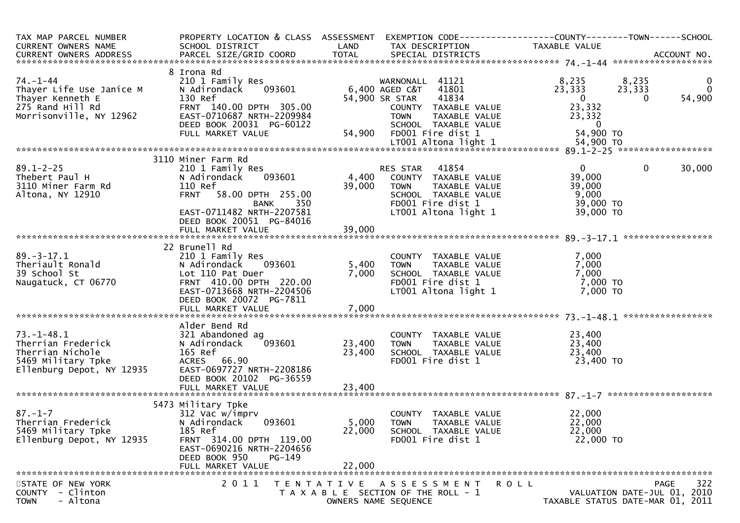| TAX MAP PARCEL NUMBER<br>CURRENT OWNERS NAME                                                                                                                                                                                            | PROPERTY LOCATION & CLASS ASSESSMENT EXEMPTION CODE----------------COUNTY-------TOWN------SCHOOL<br>SCHOOL DISTRICT | LAND   | TAX DESCRIPTION                                                                              | TAXABLE VALUE                     |                                               |
|-----------------------------------------------------------------------------------------------------------------------------------------------------------------------------------------------------------------------------------------|---------------------------------------------------------------------------------------------------------------------|--------|----------------------------------------------------------------------------------------------|-----------------------------------|-----------------------------------------------|
|                                                                                                                                                                                                                                         |                                                                                                                     |        |                                                                                              |                                   |                                               |
|                                                                                                                                                                                                                                         | 8 Irona Rd                                                                                                          |        |                                                                                              |                                   |                                               |
| 74. –1–44<br>Thayer Life Use Janice M                                                                                                                                                                                                   | 210 1 Family Res<br>093601<br>N Adirondack                                                                          |        | WARNONALL 41121<br>6,400 AGED C&T 41801                                                      | 8,235<br>23,333                   | 8,235<br>$\overline{0}$<br>23,333<br>$\Omega$ |
| Thayer Kenneth E<br>275 Rand Hill Rd                                                                                                                                                                                                    | 130 Ref<br>FRNT 140.00 DPTH 305.00                                                                                  |        | 41834<br>54,900 SR STAR                                                                      | $\overline{\mathbf{0}}$<br>23,332 | 54,900<br>$\Omega$                            |
| Morrisonville, NY 12962                                                                                                                                                                                                                 | EAST-0710687 NRTH-2209984                                                                                           |        | COUNTY TAXABLE VOLUE<br>TOWN TAXABLE VALUE<br>SCHOOL TAXABLE VALUE                           | 23,332                            |                                               |
|                                                                                                                                                                                                                                         | DEED BOOK 20031 PG-60122                                                                                            |        |                                                                                              | $\overline{0}$                    |                                               |
|                                                                                                                                                                                                                                         | FULL MARKET VALUE                                                                                                   | 54,900 |                                                                                              | 54,900 TO                         |                                               |
|                                                                                                                                                                                                                                         |                                                                                                                     |        |                                                                                              |                                   |                                               |
|                                                                                                                                                                                                                                         |                                                                                                                     |        |                                                                                              |                                   |                                               |
| $89.1 - 2 - 25$                                                                                                                                                                                                                         | 3110 Miner Farm Rd<br>210 1 Family Res                                                                              |        | RES STAR 41854                                                                               | $\overline{0}$                    | $\mathbf{0}$<br>30,000                        |
| Thebert Paul H                                                                                                                                                                                                                          | 093601<br>N Adirondack                                                                                              | 4,400  | COUNTY TAXABLE VALUE                                                                         | 39,000                            |                                               |
| 3110 Miner Farm Rd                                                                                                                                                                                                                      | 110 Ref                                                                                                             | 39,000 | <b>TOWN</b><br>TAXABLE VALUE                                                                 | 39,000                            |                                               |
| Altona, NY 12910                                                                                                                                                                                                                        | FRNT 58.00 DPTH 255.00                                                                                              |        | SCHOOL TAXABLE VALUE                                                                         | 9,000                             |                                               |
|                                                                                                                                                                                                                                         | 350<br><b>BANK</b>                                                                                                  |        | FD001 Fire dist 1                                                                            | 39,000 TO                         |                                               |
|                                                                                                                                                                                                                                         | EAST-0711482 NRTH-2207581                                                                                           |        | LT001 Altona light 1                                                                         | 39,000 TO                         |                                               |
|                                                                                                                                                                                                                                         | DEED BOOK 20051 PG-84016                                                                                            |        |                                                                                              |                                   |                                               |
|                                                                                                                                                                                                                                         |                                                                                                                     |        |                                                                                              |                                   |                                               |
| 39.-3-17.1<br>Theriault Ronald<br>An School St<br>An Off Carp Control Carp Off Carp Control Carp Off Carp Off Carp Off Carp Off Carp Off Carp Off Carp Off Carp Off Carp Off Carp Off Carp Off Carp Off Carp Off Carp Off Carp Off Carp | 22 Brunell Rd                                                                                                       |        |                                                                                              |                                   |                                               |
|                                                                                                                                                                                                                                         | 210 1 Family Res                                                                                                    |        |                                                                                              | 7,000                             |                                               |
|                                                                                                                                                                                                                                         | N Adirondack 093601                                                                                                 | 5,400  |                                                                                              | 7,000                             |                                               |
|                                                                                                                                                                                                                                         | Lot 110 Pat Duer                                                                                                    | 7,000  | COUNTY TAXABLE VALUE<br>TOWN     TAXABLE VALUE<br>SCHOOL  TAXABLE VALUE<br>FDOO1 Fire dist 1 | 7,000                             |                                               |
|                                                                                                                                                                                                                                         | FRNT 410.00 DPTH 220.00<br>EAST-0713668 NRTH-2204506                                                                |        |                                                                                              | 7,000 TO<br>7,000 TO              |                                               |
|                                                                                                                                                                                                                                         | DEED BOOK 20072 PG-7811                                                                                             |        | $LT001$ Altona light 1                                                                       |                                   |                                               |
|                                                                                                                                                                                                                                         | FULL MARKET VALUE                                                                                                   | 7,000  |                                                                                              |                                   |                                               |
|                                                                                                                                                                                                                                         |                                                                                                                     |        |                                                                                              |                                   |                                               |
|                                                                                                                                                                                                                                         | Alder Bend Rd                                                                                                       |        |                                                                                              |                                   |                                               |
| $73. - 1 - 48.1$                                                                                                                                                                                                                        | 321 Abandoned ag                                                                                                    |        | COUNTY TAXABLE VALUE                                                                         | 23,400                            |                                               |
| Therrian Frederick                                                                                                                                                                                                                      | 093601<br>N Adirondack                                                                                              | 23,400 | <b>TOWN</b><br>TAXABLE VALUE                                                                 | 23,400                            |                                               |
| Therrian Nichole<br>5469 Military Tpke                                                                                                                                                                                                  | 165 Ref<br>ACRES 66.90                                                                                              | 23,400 | SCHOOL TAXABLE VALUE<br>FD001 Fire dist 1                                                    | 23,400<br>23,400 TO               |                                               |
| Ellenburg Depot, NY 12935                                                                                                                                                                                                               | EAST-0697727 NRTH-2208186                                                                                           |        |                                                                                              |                                   |                                               |
|                                                                                                                                                                                                                                         | DEED BOOK 20102 PG-36559                                                                                            |        |                                                                                              |                                   |                                               |
|                                                                                                                                                                                                                                         |                                                                                                                     |        |                                                                                              |                                   |                                               |
|                                                                                                                                                                                                                                         |                                                                                                                     |        |                                                                                              |                                   |                                               |
|                                                                                                                                                                                                                                         | 5473 Military Tpke                                                                                                  |        |                                                                                              |                                   |                                               |
| $87. - 1 - 7$<br>Therrian Frederick                                                                                                                                                                                                     | 312 Vac w/imprv<br>N Adirondack<br>093601                                                                           | 5,000  | COUNTY TAXABLE VALUE<br><b>TOWN</b><br>TAXABLE VALUE                                         | 22,000<br>22,000                  |                                               |
| 5469 Military Tpke                                                                                                                                                                                                                      | 185 Ref                                                                                                             | 22,000 | SCHOOL TAXABLE VALUE                                                                         | 22,000                            |                                               |
| Ellenburg Depot, NY 12935                                                                                                                                                                                                               | FRNT 314.00 DPTH 119.00                                                                                             |        | FD001 Fire dist 1                                                                            | 22,000 TO                         |                                               |
|                                                                                                                                                                                                                                         | EAST-0690216 NRTH-2204656                                                                                           |        |                                                                                              |                                   |                                               |
|                                                                                                                                                                                                                                         | DEED BOOK 950<br>$PG-149$                                                                                           |        |                                                                                              |                                   |                                               |
|                                                                                                                                                                                                                                         | FULL MARKET VALUE                                                                                                   | 22,000 |                                                                                              |                                   |                                               |
| STATE OF NEW YORK                                                                                                                                                                                                                       | 2011                                                                                                                |        | TENTATIVE ASSESSMENT                                                                         | R O L L                           | 322<br><b>PAGE</b>                            |
| - Clinton<br><b>COUNTY</b>                                                                                                                                                                                                              |                                                                                                                     |        | T A X A B L E SECTION OF THE ROLL - 1                                                        |                                   | VALUATION DATE-JUL 01, 2010                   |
| - Altona<br><b>TOWN</b>                                                                                                                                                                                                                 |                                                                                                                     |        | OWNERS NAME SEQUENCE                                                                         |                                   | TAXABLE STATUS DATE-MAR 01, 2011              |
|                                                                                                                                                                                                                                         |                                                                                                                     |        |                                                                                              |                                   |                                               |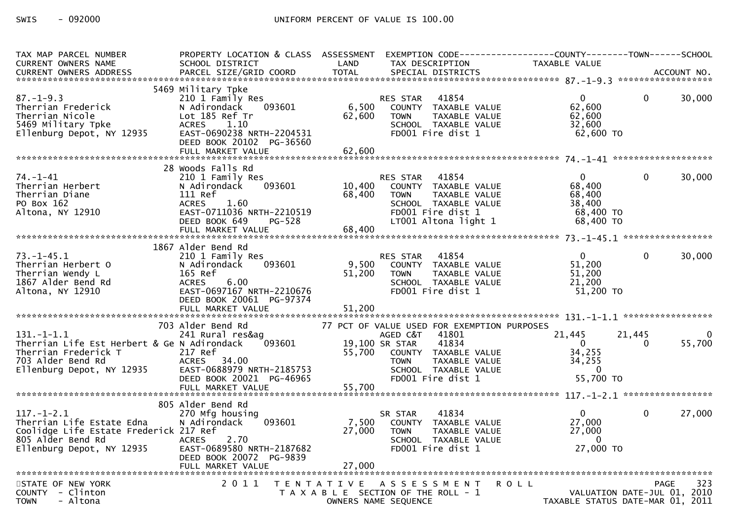| TAX MAP PARCEL NUMBER<br>CURRENT OWNERS NAME                                                                                              | PROPERTY LOCATION & CLASS ASSESSMENT<br>SCHOOL DISTRICT                                                                                                             | LAND                      | EXEMPTION CODE-----------------COUNTY--------TOWN------SCHOOL<br>TAX DESCRIPTION                                                                         | <b>TAXABLE VALUE</b>                                                   |                                            |             |
|-------------------------------------------------------------------------------------------------------------------------------------------|---------------------------------------------------------------------------------------------------------------------------------------------------------------------|---------------------------|----------------------------------------------------------------------------------------------------------------------------------------------------------|------------------------------------------------------------------------|--------------------------------------------|-------------|
|                                                                                                                                           |                                                                                                                                                                     |                           |                                                                                                                                                          |                                                                        |                                            |             |
| $87. - 1 - 9.3$<br>Therrian Frederick<br>Therrian Nicole<br>5469 Military Tpke<br>Ellenburg Depot, NY 12935                               | 5469 Military Tpke<br>210 1 Family Res<br>093601<br>N Adirondack<br>Lot 185 Ref Tr<br><b>ACRES</b><br>1.10<br>EAST-0690238 NRTH-2204531<br>DEED BOOK 20102 PG-36560 | 62,600                    | 41854<br>RES STAR<br>6,500 COUNTY TAXABLE VALUE<br>TAXABLE VALUE<br><b>TOWN</b><br>SCHOOL TAXABLE VALUE<br>FD001 Fire dist 1                             | $\overline{0}$<br>62,600<br>62,600<br>32,600<br>62,600 TO              | $\overline{0}$                             | 30,000      |
|                                                                                                                                           | 28 Woods Falls Rd                                                                                                                                                   |                           |                                                                                                                                                          |                                                                        |                                            |             |
| $74. - 1 - 41$<br>Therrian Herbert<br>Therrian Diane<br>PO Box 162<br>Altona, NY 12910                                                    | 210 1 Family Res<br>093601<br>N Adirondack<br>111 Ref<br><b>ACRES</b><br>1.60<br>EAST-0711036 NRTH-2210519<br>DEED BOOK 649<br><b>PG-528</b><br>FULL MARKET VALUE   | 68,400<br>68,400          | 41854<br>RES STAR<br>10,400 COUNTY TAXABLE VALUE<br><b>TOWN</b><br>TAXABLE VALUE<br>SCHOOL TAXABLE VALUE<br>FD001 Fire dist 1<br>LT001 Altona light 1    | $\overline{0}$<br>68,400<br>68,400<br>38,400<br>68,400 TO<br>68,400 TO | $\mathbf{0}$                               | 30,000      |
|                                                                                                                                           | 1867 Alder Bend Rd                                                                                                                                                  |                           |                                                                                                                                                          |                                                                        |                                            |             |
| $73. - 1 - 45.1$<br>Therrian Herbert O<br>Therrian Wendy L<br>1867 Alder Bend Rd<br>Altona, NY 12910                                      | 210 1 Family Res<br>N Adirondack<br>093601<br>165 Ref<br>6.00<br>ACRES<br>EAST-0697167 NRTH-2210676<br>DEED BOOK 20061 PG-97374<br>FULL MARKET VALUE                | 51,200<br>51,200          | RES STAR 41854<br>9,500 COUNTY TAXABLE VALUE<br><b>TOWN</b><br>TAXABLE VALUE<br>SCHOOL TAXABLE VALUE<br>FD001 Fire dist 1                                | $\overline{0}$<br>51,200<br>51,200<br>21,200<br>51,200 TO              | $\mathbf{0}$                               | 30,000      |
|                                                                                                                                           | 703 Alder Bend Rd                                                                                                                                                   |                           | 77 PCT OF VALUE USED FOR EXEMPTION PURPOSES                                                                                                              |                                                                        |                                            |             |
| $131. - 1 - 1.1$<br>Therrian Life Est Herbert & Ge N Adirondack<br>Therrian Frederick T<br>703 Alder Bend Rd<br>Ellenburg Depot, NY 12935 | 241 Rural res&ag<br>093601<br>217 Ref<br>ACRES 34.00<br>EAST-0688979 NRTH-2185753<br>DEED BOOK 20021 PG-46965                                                       |                           | AGED C&T<br>41801<br>19,100 SR STAR<br>41834<br>55,700 COUNTY TAXABLE VALUE<br><b>TOWN</b><br>TAXABLE VALUE<br>SCHOOL TAXABLE VALUE<br>FD001 Fire dist 1 | 21,445<br>$\Omega$<br>34,255<br>34,255<br>$\mathbf{0}$<br>55,700 TO    | 21,445<br>$\Omega$                         | 0<br>55,700 |
|                                                                                                                                           |                                                                                                                                                                     |                           |                                                                                                                                                          |                                                                        |                                            |             |
| $117. - 1 - 2.1$<br>Therrian Life Estate Edna<br>Coolidge Life Estate Frederick 217 Ref<br>805 Alder Bend Rd<br>Ellenburg Depot, NY 12935 | 805 Alder Bend Rd<br>270 Mfg housing<br>N Adirondack<br>093601<br><b>ACRES</b><br>2.70<br>EAST-0689580 NRTH-2187682<br>DEED BOOK 20072 PG-9839                      | 7,500<br>27,000<br>27,000 | 41834<br>SR STAR<br>COUNTY TAXABLE VALUE<br><b>TOWN</b><br>TAXABLE VALUE<br>SCHOOL TAXABLE VALUE<br>FD001 Fire dist 1                                    | $\overline{0}$<br>27,000<br>27,000<br>$\bf{0}$<br>27,000 TO            | $\mathbf 0$                                | 27,000      |
|                                                                                                                                           | FULL MARKET VALUE                                                                                                                                                   |                           |                                                                                                                                                          |                                                                        |                                            |             |
| STATE OF NEW YORK<br>COUNTY - Clinton<br>- Altona<br><b>TOWN</b>                                                                          | 2011                                                                                                                                                                | T E N T A T I V E         | A S S E S S M E N T<br>T A X A B L E SECTION OF THE ROLL - 1<br>OWNERS NAME SEQUENCE                                                                     | R O L L<br>TAXABLE STATUS DATE-MAR 01, 2011                            | <b>PAGE</b><br>VALUATION DATE-JUL 01, 2010 | 323         |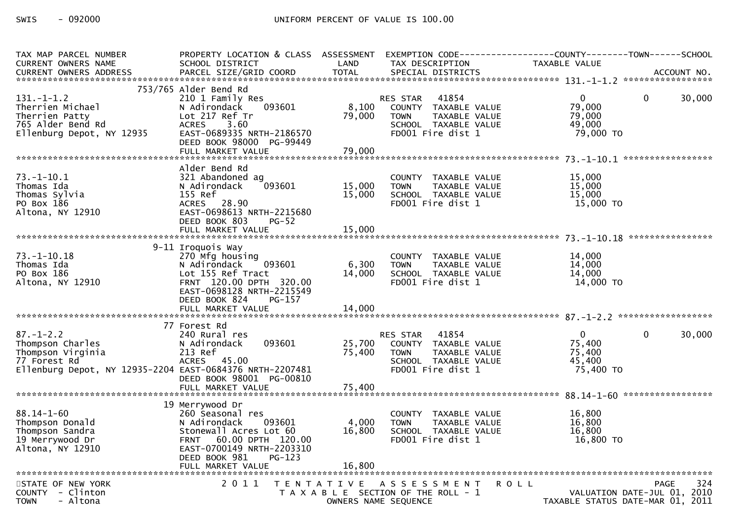| TAX MAP PARCEL NUMBER<br><b>CURRENT OWNERS NAME</b><br>CURRENT OWNERS ADDRESS                                                        | PROPERTY LOCATION & CLASS ASSESSMENT EXEMPTION CODE----------------COUNTY--------TOWN------SCHOOL<br>SCHOOL DISTRICT<br>PARCEL SIZE/GRID COORD                                              | LAND<br><b>TOTAL</b>      | TAX DESCRIPTION<br>SPECIAL DISTRICTS                                                                                   | TAXABLE VALUE                                                   |              | ACCOUNT NO. |
|--------------------------------------------------------------------------------------------------------------------------------------|---------------------------------------------------------------------------------------------------------------------------------------------------------------------------------------------|---------------------------|------------------------------------------------------------------------------------------------------------------------|-----------------------------------------------------------------|--------------|-------------|
|                                                                                                                                      |                                                                                                                                                                                             |                           |                                                                                                                        |                                                                 |              |             |
| $131. - 1 - 1.2$<br>Therrien Michael<br>Therrien Patty<br>765 Alder Bend Rd<br>Ellenburg Depot, NY 12935                             | 753/765 Alder Bend Rd<br>210 1 Family Res<br>N Adirondack<br>093601<br>Lot 217 Ref Tr<br><b>ACRES</b><br>3.60<br>EAST-0689335 NRTH-2186570<br>DEED BOOK 98000 PG-99449<br>FULL MARKET VALUE | 8,100<br>79,000<br>79,000 | 41854<br>RES STAR<br>COUNTY TAXABLE VALUE<br><b>TOWN</b><br>TAXABLE VALUE<br>SCHOOL TAXABLE VALUE<br>FD001 Fire dist 1 | $\mathbf{0}$<br>79,000<br>79,000<br>49,000<br>79,000 TO         | $\mathbf{0}$ | 30,000      |
|                                                                                                                                      |                                                                                                                                                                                             |                           |                                                                                                                        |                                                                 |              |             |
| $73.-1-10.1$<br>Thomas Ida<br>Thomas Sylvia<br>PO Box 186<br>Altona, NY 12910                                                        | Alder Bend Rd<br>321 Abandoned ag<br>093601<br>N Adirondack<br>155 Ref<br>ACRES 28.90<br>EAST-0698613 NRTH-2215680<br>DEED BOOK 803<br><b>PG-52</b>                                         | 15,000<br>15,000          | COUNTY TAXABLE VALUE<br><b>TOWN</b><br>TAXABLE VALUE<br>SCHOOL TAXABLE VALUE<br>FD001 Fire dist 1                      | 15,000<br>15,000<br>15,000<br>15,000 TO                         |              |             |
|                                                                                                                                      |                                                                                                                                                                                             |                           |                                                                                                                        |                                                                 |              |             |
| $73. - 1 - 10.18$<br>Thomas Ida<br>PO Box 186<br>Altona, NY 12910                                                                    | 9-11 Iroquois Way<br>270 Mfg housing<br>093601<br>N Adirondack<br>Lot 155 Ref Tract<br>FRNT 120.00 DPTH 320.00<br>EAST-0698128 NRTH-2215549<br>DEED BOOK 824<br>PG-157<br>FULL MARKET VALUE | 6,300<br>14,000<br>14,000 | COUNTY TAXABLE VALUE<br><b>TOWN</b><br>TAXABLE VALUE<br>SCHOOL TAXABLE VALUE<br>FD001 Fire dist 1                      | 14,000<br>14,000<br>14,000<br>14,000 TO                         |              |             |
| $87. - 1 - 2.2$<br>Thompson Charles<br>Thompson Virginia<br>77 Forest Rd<br>Ellenburg Depot, NY 12935-2204 EAST-0684376 NRTH-2207481 | 77 Forest Rd<br>240 Rural res<br>093601<br>N Adirondack<br>213 Ref<br>ACRES 45.00<br>DEED BOOK 98001 PG-00810                                                                               | 25,700<br>75,400          | 41854<br>RES STAR<br>COUNTY TAXABLE VALUE<br>TAXABLE VALUE<br><b>TOWN</b><br>SCHOOL TAXABLE VALUE<br>FD001 Fire dist 1 | $\overline{0}$<br>75,400<br>75,400<br>45,400<br>75,400 TO       | $\Omega$     | 30,000      |
|                                                                                                                                      |                                                                                                                                                                                             |                           |                                                                                                                        |                                                                 |              |             |
| $88.14 - 1 - 60$<br>Thompson Donald<br>Thompson Sandra<br>19 Merrywood Dr<br>Altona, NY 12910                                        | 19 Merrywood Dr<br>260 Seasonal res<br>093601<br>N Adirondack<br>Stonewall Acres Lot 60<br>FRNT 60.00 DPTH 120.00<br>EAST-0700149 NRTH-2203310<br>DEED BOOK 981<br>PG-123                   | 4,000<br>16,800           | COUNTY TAXABLE VALUE<br><b>TOWN</b><br>TAXABLE VALUE<br>SCHOOL TAXABLE VALUE<br>FD001 Fire dist 1                      | 16,800<br>16,800<br>16,800<br>16,800 TO                         |              |             |
| STATE OF NEW YORK                                                                                                                    | 2 0 1 1                                                                                                                                                                                     |                           | TENTATIVE ASSESSMENT                                                                                                   | <b>ROLL</b>                                                     | <b>PAGE</b>  | 324         |
| COUNTY - Clinton<br><b>TOWN</b><br>- Altona                                                                                          |                                                                                                                                                                                             |                           | T A X A B L E SECTION OF THE ROLL - 1<br>OWNERS NAME SEQUENCE                                                          | VALUATION DATE-JUL 01, 2010<br>TAXABLE STATUS DATE-MAR 01, 2011 |              |             |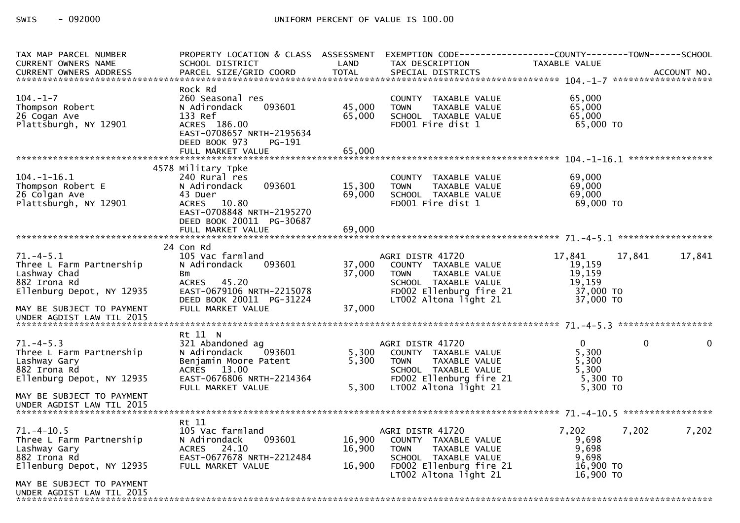| TAX MAP PARCEL NUMBER<br><b>CURRENT OWNERS NAME</b>                                                                                                                                                                            | PROPERTY LOCATION & CLASS ASSESSMENT EXEMPTION CODE----------------COUNTY--------TOWN------SCHOOL<br>SCHOOL DISTRICT                                              | LAND                       | TAX DESCRIPTION                                                                                                                                      | TAXABLE VALUE                                                   |                      |
|--------------------------------------------------------------------------------------------------------------------------------------------------------------------------------------------------------------------------------|-------------------------------------------------------------------------------------------------------------------------------------------------------------------|----------------------------|------------------------------------------------------------------------------------------------------------------------------------------------------|-----------------------------------------------------------------|----------------------|
| .4CCOUNT NO . PARCEL SIZE/GRID COORD TOTAL SPECIAL DISTRICTS . ACCOUNT NO . ACCOUNT NO . ACCOUNT NO . في المكتبة المستوى المستوى المستوى المستوى المستوى المستوى المستوى المستوى المستوى المستوى المستوى المستوى المستوى المست |                                                                                                                                                                   |                            |                                                                                                                                                      |                                                                 |                      |
| $104. - 1 - 7$<br>Thompson Robert<br>26 Cogan Ave<br>Plattsburgh, NY 12901                                                                                                                                                     | Rock Rd<br>260 Seasonal res<br>N Adirondack<br>093601<br>133 Ref<br>ACRES 186.00<br>EAST-0708657 NRTH-2195634<br>DEED BOOK 973<br>PG-191<br>FULL MARKET VALUE     | 45,000<br>65,000<br>65,000 | COUNTY TAXABLE VALUE<br>TAXABLE VALUE<br><b>TOWN</b><br>SCHOOL TAXABLE VALUE<br>FD001 Fire dist 1                                                    | 65,000<br>65,000<br>65,000<br>65,000 TO                         |                      |
|                                                                                                                                                                                                                                | 4578 Military Tpke                                                                                                                                                |                            |                                                                                                                                                      |                                                                 |                      |
| $104. - 1 - 16.1$<br>Thompson Robert E<br>26 Colgan Ave<br>Plattsburgh, NY 12901                                                                                                                                               | 240 Rural res<br>093601<br>N Adirondack<br>43 Duer<br>ACRES 10.80<br>EAST-0708848 NRTH-2195270<br>DEED BOOK 20011 PG-30687                                        | 15,300<br>69,000           | COUNTY TAXABLE VALUE<br>TAXABLE VALUE<br><b>TOWN</b><br>SCHOOL TAXABLE VALUE<br>FD001 Fire dist 1                                                    | 69,000<br>69,000<br>69,000<br>69,000 TO                         |                      |
|                                                                                                                                                                                                                                |                                                                                                                                                                   |                            |                                                                                                                                                      |                                                                 |                      |
| $71. -4 - 5.1$<br>Three L Farm Partnership<br>Lashway Chad<br>882 Irona Rd<br>Ellenburg Depot, NY 12935<br>MAY BE SUBJECT TO PAYMENT<br>UNDER AGDIST LAW TIL 2015                                                              | 24 Con Rd<br>105 Vac farmland<br>N Adirondack<br>093601<br><b>Bm</b><br>ACRES 45.20<br>EAST-0679106 NRTH-2215078<br>DEED BOOK 20011 PG-31224<br>FULL MARKET VALUE | 37,000<br>37,000<br>37,000 | AGRI DISTR 41720<br>COUNTY TAXABLE VALUE<br>TAXABLE VALUE<br><b>TOWN</b><br>SCHOOL TAXABLE VALUE<br>FD002 Ellenburg fire 21<br>LT002 Altona light 21 | 17,841<br>19,159<br>19,159<br>19,159<br>37,000 TO<br>37,000 TO  | 17,841<br>17,841     |
|                                                                                                                                                                                                                                | Rt 11 N                                                                                                                                                           |                            |                                                                                                                                                      |                                                                 |                      |
| $71. -4 - 5.3$<br>Three L Farm Partnership<br>Lashway Gary<br>882 Irona Rd<br>Ellenburg Depot, NY 12935                                                                                                                        | 321 Abandoned ag<br>093601<br>N Adirondack<br>Benjamin Moore Patent<br>ACRES 13.00<br>EAST-0676806 NRTH-2214364<br>FULL MARKET VALUE                              | 5,300<br>5,300<br>5,300    | AGRI DISTR 41720<br>COUNTY TAXABLE VALUE<br>TAXABLE VALUE<br><b>TOWN</b><br>SCHOOL TAXABLE VALUE<br>FD002 Ellenburg fire 21<br>LT002 Altona light 21 | $\Omega$<br>5,300<br>5,300<br>5,300<br>$5,300$ TO<br>$5,300$ TO | $\Omega$<br>$\Omega$ |
| MAY BE SUBJECT TO PAYMENT                                                                                                                                                                                                      |                                                                                                                                                                   |                            |                                                                                                                                                      |                                                                 |                      |
| $71. - 4 - 10.5$<br>Three L Farm Partnership<br>Lashway Gary<br>882 Irona Rd<br>Ellenburg Depot, NY 12935                                                                                                                      | Rt 11<br>105 Vac farmland<br>093601<br>N Adirondack<br>ACRES 24.10<br>EAST-0677678 NRTH-2212484<br>FULL MARKET VALUE                                              | 16,900<br>16,900<br>16,900 | AGRI DISTR 41720<br>COUNTY TAXABLE VALUE<br><b>TOWN</b><br>TAXABLE VALUE<br>SCHOOL TAXABLE VALUE<br>FD002 Ellenburg fire 21<br>LT002 Altona light 21 | 7,202<br>9,698<br>9,698<br>9,698<br>16,900 TO<br>$16,900$ TO    | 7,202<br>7,202       |
| MAY BE SUBJECT TO PAYMENT<br>UNDER AGDIST LAW TIL 2015                                                                                                                                                                         |                                                                                                                                                                   |                            |                                                                                                                                                      |                                                                 |                      |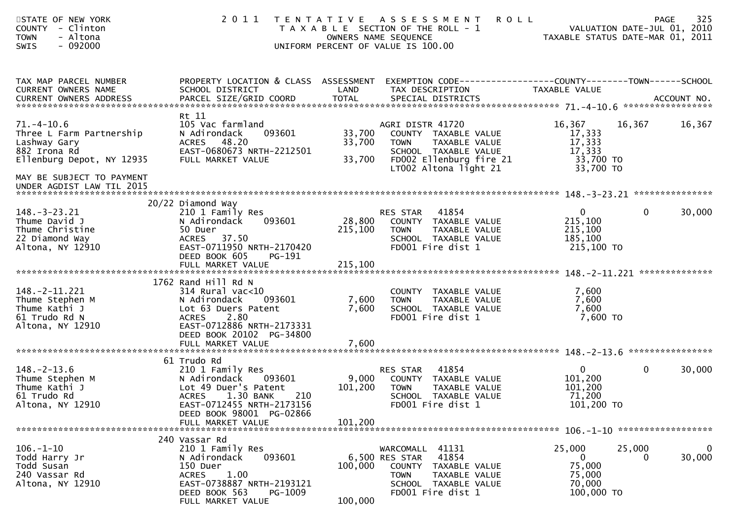| STATE OF NEW YORK<br><b>COUNTY</b><br>- Clinton<br>- Altona<br><b>TOWN</b><br>$-092000$<br>SWIS                                        | 2011                                                                                                                                                                          | OWNERS NAME SEQUENCE<br>UNIFORM PERCENT OF VALUE IS 100.00 | TENTATIVE ASSESSMENT<br>T A X A B L E SECTION OF THE ROLL - 1                                                                                 | <b>ROLL</b><br>TAXABLE STATUS DATE-MAR 01, 2011                    | <b>PAGE</b><br>VALUATION DATE-JUL 01, 2010 | 325                      |
|----------------------------------------------------------------------------------------------------------------------------------------|-------------------------------------------------------------------------------------------------------------------------------------------------------------------------------|------------------------------------------------------------|-----------------------------------------------------------------------------------------------------------------------------------------------|--------------------------------------------------------------------|--------------------------------------------|--------------------------|
| TAX MAP PARCEL NUMBER<br>CURRENT OWNERS NAME<br>CURRENT OWNERS ADDRESS                                                                 | PROPERTY LOCATION & CLASS ASSESSMENT<br>SCHOOL DISTRICT                                                                                                                       | LAND                                                       | EXEMPTION CODE------------------COUNTY--------TOWN------SCHOOL<br>TAX DESCRIPTION                                                             | TAXABLE VALUE                                                      |                                            |                          |
| $71. - 4 - 10.6$<br>Three L Farm Partnership<br>Lashway Gary<br>882 Irona Rd<br>Ellenburg Depot, NY 12935<br>MAY BE SUBJECT TO PAYMENT | Rt 11<br>105 Vac farmland<br>093601<br>N Adirondack<br>ACRES 48.20<br>EAST-0680673 NRTH-2212501<br>FULL MARKET VALUE                                                          | 33,700<br>33,700<br>33,700                                 | AGRI DISTR 41720<br>COUNTY TAXABLE VALUE<br>TAXABLE VALUE<br>TOWN<br>SCHOOL TAXABLE VALUE<br>FD002 Ellenburg fire 21<br>LT002 Altona light 21 | 16,367<br>17,333<br>17,333<br>17,333<br>33,700 TO<br>33,700 TO     | 16,367                                     | 16,367                   |
| UNDER AGDIST LAW TIL 2015                                                                                                              |                                                                                                                                                                               |                                                            |                                                                                                                                               |                                                                    |                                            |                          |
| $148. - 3 - 23.21$<br>Thume David J<br>Thume Christine<br>22 Diamond Way<br>Altona, NY 12910                                           | 20/22 Diamond Way<br>210 1 Family Res<br>093601<br>N Adirondack<br>50 Duer<br>ACRES 37.50<br>EAST-0711950 NRTH-2170420<br>DEED BOOK 605<br>PG-191<br>FULL MARKET VALUE        | 28,800<br>215,100<br>215,100                               | RES STAR<br>41854<br>COUNTY TAXABLE VALUE<br>TAXABLE VALUE<br><b>TOWN</b><br>SCHOOL TAXABLE VALUE<br>FD001 Fire dist 1                        | $\mathbf{0}$<br>215,100<br>215,100<br>185,100<br>215,100 TO        | $\mathbf{0}$                               | 30,000                   |
| $148. -2 - 11.221$<br>Thume Stephen M<br>Thume Kathi J<br>61 Trudo Rd N<br>Altona, NY 12910                                            | 1762 Rand Hill Rd N<br>$314$ Rural vac<10<br>N Adirondack<br>093601<br>Lot 63 Duers Patent<br><b>ACRES</b><br>2.80<br>EAST-0712886 NRTH-2173331<br>DEED BOOK 20102 PG-34800   | 7,600<br>7,600                                             | COUNTY TAXABLE VALUE<br><b>TOWN</b><br>TAXABLE VALUE<br>SCHOOL TAXABLE VALUE<br>FD001 Fire dist 1                                             | 7,600<br>7,600<br>7,600<br>7,600 TO                                |                                            |                          |
|                                                                                                                                        | 61 Trudo Rd                                                                                                                                                                   |                                                            |                                                                                                                                               |                                                                    |                                            |                          |
| $148. - 2 - 13.6$<br>Thume Stephen M<br>Thume Kathi J<br>61 Trudo Rd<br>Altona, NY 12910                                               | 210 1 Family Res<br>093601<br>N Adirondack<br>Lot 49 Duer's Patent<br>210<br><b>ACRES</b><br>1.30 BANK<br>EAST-0712455 NRTH-2173156<br>DEED BOOK 98001 PG-02866               | 9,000<br>101,200                                           | RES STAR<br>41854<br>COUNTY TAXABLE VALUE<br>TAXABLE VALUE<br><b>TOWN</b><br>SCHOOL TAXABLE VALUE<br>FD001 Fire dist 1                        | $\mathbf{0}$<br>101,200<br>101,200<br>71,200<br>101,200 TO         | $\mathbf{0}$                               | 30,000                   |
|                                                                                                                                        |                                                                                                                                                                               |                                                            |                                                                                                                                               |                                                                    |                                            |                          |
| $106. - 1 - 10$<br>Todd Harry Jr<br>Todd Susan<br>240 Vassar Rd<br>Altona, NY 12910                                                    | 240 Vassar Rd<br>210 1 Family Res<br>093601<br>N Adirondack<br>150 Duer<br>1.00<br><b>ACRES</b><br>EAST-0738887 NRTH-2193121<br>DEED BOOK 563<br>PG-1009<br>FULL MARKET VALUE | 6,500 RES STAR<br>100,000<br>100,000                       | WARCOMALL 41131<br>41854<br>COUNTY TAXABLE VALUE<br><b>TOWN</b><br>TAXABLE VALUE<br>SCHOOL TAXABLE VALUE<br>FD001 Fire dist 1                 | 25,000<br>$\mathbf{0}$<br>75,000<br>75,000<br>70,000<br>100,000 TO | 25,000<br>$\Omega$                         | $\overline{0}$<br>30,000 |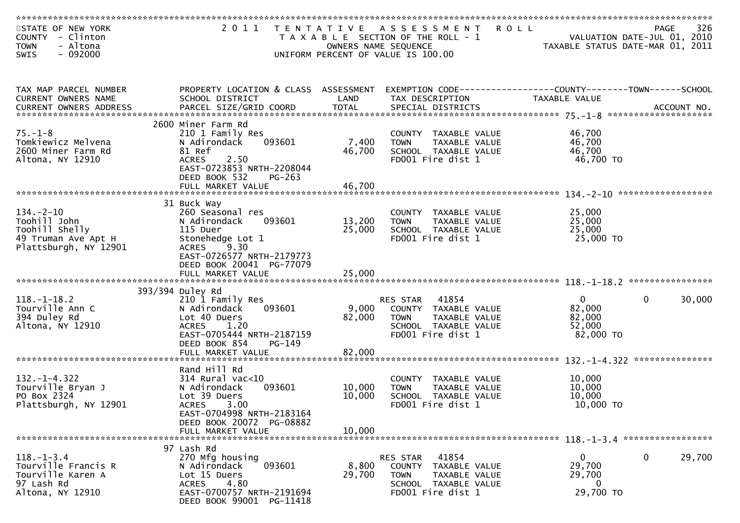| STATE OF NEW YORK<br>COUNTY - Clinton        |                                                         |        | 2011 TENTATIVE ASSESSMENT ROLL<br>T A X A B L E SECTION OF THE ROLL - 1         |                                  | 326<br>PAGE<br>VALUATION DATE-JUL 01, 2010 |
|----------------------------------------------|---------------------------------------------------------|--------|---------------------------------------------------------------------------------|----------------------------------|--------------------------------------------|
| - Altona<br><b>TOWN</b>                      |                                                         |        | OWNERS NAME SEQUENCE                                                            | TAXABLE STATUS DATE-MAR 01, 2011 |                                            |
| $-092000$<br><b>SWIS</b>                     |                                                         |        | UNIFORM PERCENT OF VALUE IS 100.00                                              |                                  |                                            |
| TAX MAP PARCEL NUMBER<br>CURRENT OWNERS NAME | PROPERTY LOCATION & CLASS ASSESSMENT<br>SCHOOL DISTRICT | LAND   | EXEMPTION CODE-----------------COUNTY-------TOWN------SCHOOL<br>TAX DESCRIPTION | <b>TAXABLE VALUE</b>             |                                            |
|                                              |                                                         |        |                                                                                 |                                  |                                            |
| $75. - 1 - 8$                                | 2600 Miner Farm Rd<br>210 1 Family Res                  |        | COUNTY TAXABLE VALUE                                                            | 46,700                           |                                            |
| Tomkiewicz Melvena                           | 093601<br>N Adirondack                                  | 7,400  | <b>TOWN</b><br>TAXABLE VALUE                                                    | 46,700                           |                                            |
| 2600 Miner Farm Rd                           | 81 Ref                                                  | 46,700 | SCHOOL TAXABLE VALUE                                                            | 46,700                           |                                            |
| Altona, NY 12910                             | <b>ACRES</b><br>2.50                                    |        | FD001 Fire dist 1                                                               | 46,700 TO                        |                                            |
|                                              | EAST-0723853 NRTH-2208044<br>DEED BOOK 532<br>PG-263    |        |                                                                                 |                                  |                                            |
|                                              | FULL MARKET VALUE                                       | 46,700 |                                                                                 |                                  |                                            |
|                                              |                                                         |        |                                                                                 |                                  |                                            |
| $134. - 2 - 10$                              | 31 Buck Way<br>260 Seasonal res                         |        | COUNTY TAXABLE VALUE                                                            | 25,000                           |                                            |
| Toohill John                                 | 093601<br>N Adirondack                                  | 13,200 | <b>TOWN</b><br>TAXABLE VALUE                                                    | 25,000                           |                                            |
| Toohill Shelly                               | 115 Duer                                                | 25,000 | SCHOOL TAXABLE VALUE                                                            | 25,000                           |                                            |
| 49 Truman Ave Apt H                          | Stonehedge Lot 1                                        |        | FD001 Fire dist 1                                                               | 25,000 TO                        |                                            |
| Plattsburgh, NY 12901                        | ACRES 9.30                                              |        |                                                                                 |                                  |                                            |
|                                              | EAST-0726577 NRTH-2179773                               |        |                                                                                 |                                  |                                            |
|                                              | DEED BOOK 20041 PG-77079                                |        |                                                                                 |                                  |                                            |
|                                              |                                                         |        |                                                                                 |                                  |                                            |
|                                              | 393/394 Duley Rd                                        |        |                                                                                 |                                  |                                            |
| $118.-1-18.2$                                | 210 1 Family Res                                        |        | RES STAR<br>41854                                                               | $\mathbf{0}$                     | $\mathbf 0$<br>30,000                      |
| Tourville Ann C                              | 093601<br>N Adirondack                                  | 9,000  | COUNTY TAXABLE VALUE                                                            | 82,000                           |                                            |
| 394 Duley Rd                                 | Lot 40 Duers                                            | 82,000 | <b>TOWN</b><br>TAXABLE VALUE                                                    | 82,000                           |                                            |
| Altona, NY 12910                             | <b>ACRES</b><br>1.20                                    |        | SCHOOL TAXABLE VALUE                                                            | 52,000                           |                                            |
|                                              | EAST-0705444 NRTH-2187159                               |        | FD001 Fire dist 1                                                               | 82,000 TO                        |                                            |
|                                              | DEED BOOK 854<br>$PG-149$                               |        |                                                                                 |                                  |                                            |
|                                              | FULL MARKET VALUE                                       | 82,000 |                                                                                 |                                  |                                            |
|                                              | Rand Hill Rd                                            |        |                                                                                 |                                  |                                            |
| $132. - 1 - 4.322$                           | $314$ Rural vac<10                                      |        | COUNTY TAXABLE VALUE                                                            | 10,000                           |                                            |
| Tourville Bryan J                            | N Adirondack<br>093601                                  | 10,000 | TAXABLE VALUE<br><b>TOWN</b>                                                    | 10,000                           |                                            |
| PO Box 2324                                  | Lot 39 Duers                                            | 10,000 | SCHOOL TAXABLE VALUE                                                            | 10,000                           |                                            |
| Plattsburgh, NY 12901                        | <b>ACRES</b><br>3.00                                    |        | FD001 Fire dist 1                                                               | 10,000 TO                        |                                            |
|                                              | EAST-0704998 NRTH-2183164                               |        |                                                                                 |                                  |                                            |
|                                              | DEED BOOK 20072 PG-08882                                |        |                                                                                 |                                  |                                            |
|                                              | FULL MARKET VALUE                                       | 10,000 |                                                                                 |                                  |                                            |
|                                              | 97 Lash Rd                                              |        |                                                                                 |                                  |                                            |
| $118. - 1 - 3.4$                             | 270 Mfg housing                                         |        | 41854<br>RES STAR                                                               | $\overline{0}$                   | $\mathbf 0$<br>29,700                      |
| Tourville Francis R                          | 093601<br>N Adirondack                                  | 8,800  | COUNTY<br>TAXABLE VALUE                                                         | 29,700                           |                                            |
| Tourville Karen A                            | Lot 15 Duers                                            | 29,700 | TAXABLE VALUE<br><b>TOWN</b>                                                    | 29,700                           |                                            |
| 97 Lash Rd                                   | 4.80<br><b>ACRES</b>                                    |        | SCHOOL TAXABLE VALUE                                                            | 0                                |                                            |
| Altona, NY 12910                             | EAST-0700757 NRTH-2191694                               |        | FD001 Fire dist 1                                                               | 29,700 TO                        |                                            |
|                                              | DEED BOOK 99001 PG-11418                                |        |                                                                                 |                                  |                                            |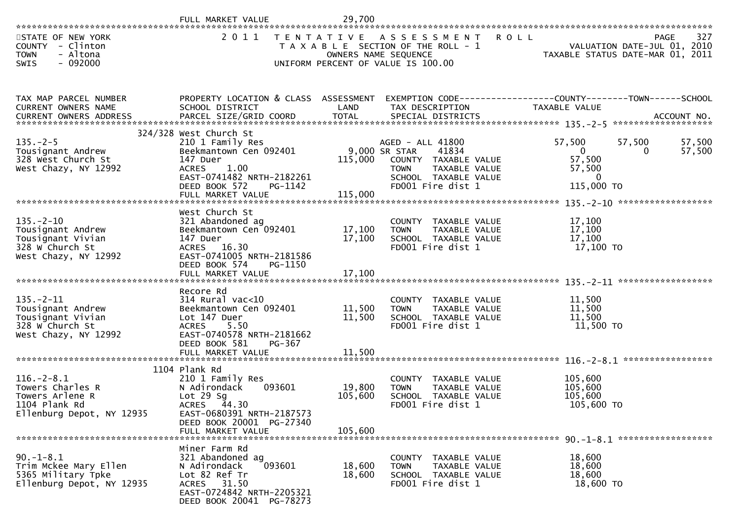| **********************                                                                                | FULL MARKET VALUE                                                                                                                                                                 | 29,700                              |                                                                                                                                  |                                                                          |                                                                                       |
|-------------------------------------------------------------------------------------------------------|-----------------------------------------------------------------------------------------------------------------------------------------------------------------------------------|-------------------------------------|----------------------------------------------------------------------------------------------------------------------------------|--------------------------------------------------------------------------|---------------------------------------------------------------------------------------|
| STATE OF NEW YORK<br>COUNTY - Clinton<br><b>TOWN</b><br>- Altona<br>$-092000$<br>SWIS                 | 2011                                                                                                                                                                              |                                     | TENTATIVE ASSESSMENT ROLL<br>T A X A B L E SECTION OF THE ROLL - 1<br>OWNERS NAME SEQUENCE<br>UNIFORM PERCENT OF VALUE IS 100.00 |                                                                          | 327<br><b>PAGE</b><br>VALUATION DATE-JUL 01, 2010<br>TAXABLE STATUS DATE-MAR 01, 2011 |
| TAX MAP PARCEL NUMBER<br>CURRENT OWNERS NAME<br>CURRENT OWNERS ADDRESS                                | SCHOOL DISTRICT                                                                                                                                                                   | LAND                                | PROPERTY LOCATION & CLASS ASSESSMENT EXEMPTION CODE----------------COUNTY-------TOWN------SCHOOL<br>TAX DESCRIPTION              | TAXABLE VALUE                                                            |                                                                                       |
| $135. - 2 - 5$<br>Tousignant Andrew<br>328 West Church St<br>West Chazy, NY 12992                     | 324/328 West Church St<br>210 1 Family Res<br>Beekmantown Cen 092401<br>147 Duer<br>ACRES 1.00<br>EAST-0741482 NRTH-2182261<br>DEED BOOK 572<br>PG-1142<br>FULL MARKET VALUE      | 9,000 SR STAR<br>115,000<br>115,000 | AGED - ALL 41800<br>41834<br>COUNTY TAXABLE VALUE<br><b>TOWN</b><br>TAXABLE VALUE<br>SCHOOL TAXABLE VALUE<br>FD001 Fire dist 1   | 57,500<br>$\mathbf{0}$<br>57,500<br>57,500<br>$\mathbf{0}$<br>115,000 TO | 57,500<br>57,500<br>57,500<br>$\Omega$                                                |
| $135. - 2 - 10$<br>Tousignant Andrew<br>Tousignant Vivian<br>328 W Church St<br>West Chazy, NY 12992  | West Church St<br>321 Abandoned ag<br>Beekmantown Cen 092401<br>147 Duer<br>ACRES 16.30<br>EAST-0741005 NRTH-2181586<br>DEED BOOK 574<br>PG-1150<br>FULL MARKET VALUE             | 17,100<br>17,100<br>17,100          | COUNTY TAXABLE VALUE<br>TAXABLE VALUE<br>TOWN<br>SCHOOL TAXABLE VALUE<br>FD001 Fire dist 1                                       | 17,100<br>17,100<br>17,100<br>17,100 TO                                  |                                                                                       |
| $135. -2 - 11$<br>Tousignant Andrew<br>Tousignant Vivian<br>328 W Church St<br>West Chazy, NY 12992   | Recore Rd<br>$314$ Rural vac<10<br>Beekmantown Cen 092401<br>Lot 147 Duer<br>ACRES 5.50<br>EAST-0740578 NRTH-2181662<br>DEED BOOK 581<br>PG-367<br>FULL MARKET VALUE              | 11,500<br>11,500<br>11,500          | COUNTY TAXABLE VALUE<br><b>TOWN</b><br>TAXABLE VALUE<br>SCHOOL TAXABLE VALUE<br>FD001 Fire dist 1                                | 11,500<br>11,500<br>11,500<br>11,500 TO                                  |                                                                                       |
| $116. - 2 - 8.1$<br>Towers Charles R<br>Towers Arlene R<br>1104 Plank Rd<br>Ellenburg Depot, NY 12935 | 1104 Plank Rd<br>210 1 Family Res<br>093601<br>N Adirondack<br>Lot $29$ Sg<br>44.30<br><b>ACRES</b><br>EAST-0680391 NRTH-2187573<br>DEED BOOK 20001 PG-27340<br>FULL MARKET VALUE | 19,800<br>105,600<br>105,600        | COUNTY TAXABLE VALUE<br>TAXABLE VALUE<br><b>TOWN</b><br>SCHOOL TAXABLE VALUE<br>FD001 Fire dist 1                                | 105,600<br>105,600<br>105,600<br>105,600 TO                              |                                                                                       |
| $90. - 1 - 8.1$<br>Trim Mckee Mary Ellen<br>5365 Military Tpke<br>Ellenburg Depot, NY 12935           | Miner Farm Rd<br>321 Abandoned ag<br>093601<br>N Adirondack<br>Lot 82 Ref Tr<br>ACRES 31.50<br>EAST-0724842 NRTH-2205321<br>DEED BOOK 20041 PG-78273                              | 18,600<br>18,600                    | COUNTY TAXABLE VALUE<br>TAXABLE VALUE<br><b>TOWN</b><br>SCHOOL TAXABLE VALUE<br>FD001 Fire dist 1                                | 18,600<br>18,600<br>18,600<br>18,600 TO                                  |                                                                                       |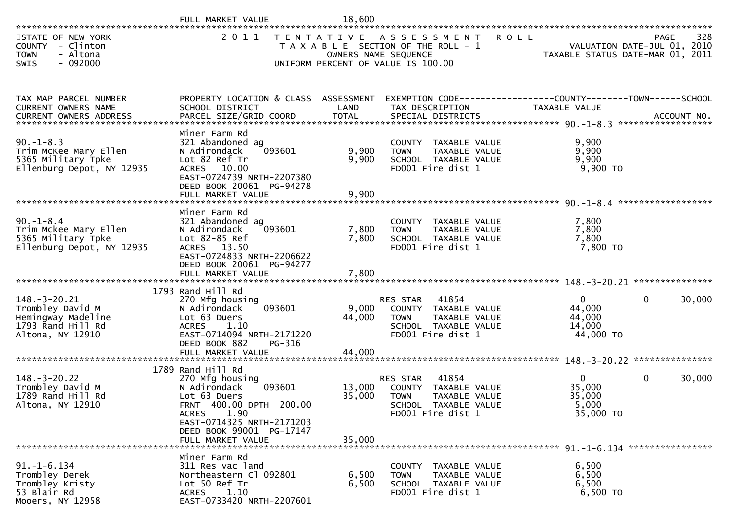|                                                                                                       | FULL MARKET VALUE                                                                                                                                                                          | 18,600                    |                                                                                                                                            |                                                                 |              |             |
|-------------------------------------------------------------------------------------------------------|--------------------------------------------------------------------------------------------------------------------------------------------------------------------------------------------|---------------------------|--------------------------------------------------------------------------------------------------------------------------------------------|-----------------------------------------------------------------|--------------|-------------|
| STATE OF NEW YORK<br>COUNTY - Clinton<br><b>TOWN</b><br>- Altona<br>SWIS<br>$-092000$                 | 2 0 1 1                                                                                                                                                                                    |                           | TENTATIVE ASSESSMENT<br><b>ROLL</b><br>T A X A B L E SECTION OF THE ROLL - 1<br>OWNERS NAME SEQUENCE<br>UNIFORM PERCENT OF VALUE IS 100.00 | VALUATION DATE-JUL 01, 2010<br>TAXABLE STATUS DATE-MAR 01, 2011 |              | 328<br>PAGE |
| TAX MAP PARCEL NUMBER<br>CURRENT OWNERS NAME                                                          | PROPERTY LOCATION & CLASS ASSESSMENT EXEMPTION CODE----------------COUNTY-------TOWN------SCHOOL<br>SCHOOL DISTRICT                                                                        | LAND                      | TAX DESCRIPTION                                                                                                                            | TAXABLE VALUE                                                   |              |             |
| $90. - 1 - 8.3$<br>Trim McKee Mary Ellen<br>5365 Military Tpke<br>Ellenburg Depot, NY 12935           | Miner Farm Rd<br>321 Abandoned ag<br>N Adirondack<br>093601<br>Lot 82 Ref Tr<br>ACRES 10.00<br>EAST-0724739 NRTH-2207380<br>DEED BOOK 20061 PG-94278<br>FULL MARKET VALUE                  | 9,900<br>9,900<br>9,900   | COUNTY TAXABLE VALUE<br><b>TOWN</b><br>TAXABLE VALUE<br>SCHOOL TAXABLE VALUE<br>FD001 Fire dist 1                                          | 9,900<br>9,900<br>9,900<br>$9,900$ TO                           |              |             |
| $90. - 1 - 8.4$<br>Trim Mckee Mary Ellen<br>5365 Military Tpke<br>Ellenburg Depot, NY 12935           | Miner Farm Rd<br>321 Abandoned ag<br>093601<br>N Adirondack<br>Lot 82-85 Ref<br>ACRES 13.50<br>EAST-0724833 NRTH-2206622<br>DEED BOOK 20061 PG-94277                                       | 7,800<br>7,800<br>7,800   | COUNTY TAXABLE VALUE<br><b>TOWN</b><br>TAXABLE VALUE<br>SCHOOL TAXABLE VALUE<br>FD001 Fire dist 1                                          | 7,800<br>7,800<br>7,800<br>7,800 TO                             |              |             |
|                                                                                                       | FULL MARKET VALUE                                                                                                                                                                          |                           |                                                                                                                                            |                                                                 |              |             |
| $148. - 3 - 20.21$<br>Trombley David M<br>Hemingway Madeline<br>1793 Rand Hill Rd<br>Altona, NY 12910 | 1793 Rand Hill Rd<br>270 Mfg housing<br>093601<br>N Adirondack<br>Lot 63 Duers<br>1.10<br><b>ACRES</b><br>EAST-0714094 NRTH-2171220<br>DEED BOOK 882<br>PG-316<br>FULL MARKET VALUE        | 9,000<br>44,000<br>44,000 | 41854<br><b>RES STAR</b><br>COUNTY TAXABLE VALUE<br><b>TOWN</b><br>TAXABLE VALUE<br>SCHOOL TAXABLE VALUE<br>FD001 Fire dist 1              | $\mathbf{0}$<br>44,000<br>44,000<br>14,000<br>44,000 TO         | $\mathbf{0}$ | 30,000      |
|                                                                                                       |                                                                                                                                                                                            |                           |                                                                                                                                            |                                                                 |              |             |
| $148. - 3 - 20.22$<br>Trombley David M<br>1789 Rand Hill Rd<br>Altona, NY 12910                       | 1789 Rand Hill Rd<br>270 Mfg housing<br>093601<br>N Adirondack<br>Lot 63 Duers<br>FRNT 400.00 DPTH 200.00<br><b>ACRES</b><br>1.90<br>EAST-0714325 NRTH-2171203<br>DEED BOOK 99001 PG-17147 | 13,000<br>35,000          | 41854<br><b>RES STAR</b><br>COUNTY TAXABLE VALUE<br><b>TOWN</b><br>TAXABLE VALUE<br>SCHOOL TAXABLE VALUE<br>FD001 Fire dist 1              | $\mathbf{0}$<br>35,000<br>35,000<br>5,000<br>35,000 TO          | $\mathbf{0}$ | 30,000      |
|                                                                                                       | FULL MARKET VALUE                                                                                                                                                                          | 35,000                    |                                                                                                                                            |                                                                 |              |             |
| $91. - 1 - 6.134$<br>Trombley Derek<br>Trombley Kristy<br>53 Blair Rd<br>Mooers, NY 12958             | Miner Farm Rd<br>311 Res vac land<br>Northeastern Cl 092801<br>Lot 50 Ref Tr<br>1.10<br><b>ACRES</b><br>EAST-0733420 NRTH-2207601                                                          | 6,500<br>6,500            | COUNTY TAXABLE VALUE<br>TAXABLE VALUE<br><b>TOWN</b><br>SCHOOL TAXABLE VALUE<br>FD001 Fire dist 1                                          | 6,500<br>6,500<br>6,500<br>6,500 TO                             |              |             |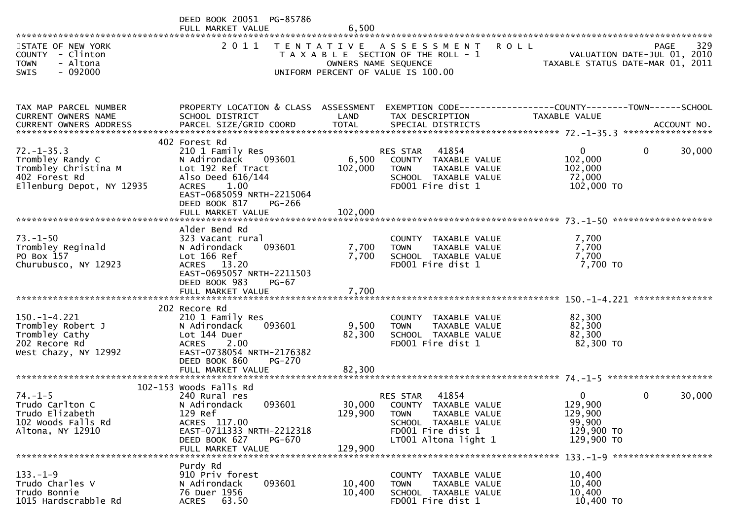|                                                                                                            | DEED BOOK 20051 PG-85786<br>FULL MARKET VALUE                                                                                                                                    | 6,500                        |                                                                                                                                                |                                                               |                                                   |
|------------------------------------------------------------------------------------------------------------|----------------------------------------------------------------------------------------------------------------------------------------------------------------------------------|------------------------------|------------------------------------------------------------------------------------------------------------------------------------------------|---------------------------------------------------------------|---------------------------------------------------|
| STATE OF NEW YORK<br>COUNTY - Clinton<br><b>TOWN</b><br>- Altona                                           | 2 0 1 1                                                                                                                                                                          | T E N T A T I V E            | <b>ROLL</b><br>A S S E S S M E N T<br>T A X A B L E SECTION OF THE ROLL - 1<br>OWNERS NAME SEQUENCE                                            | TAXABLE STATUS DATE-MAR 01, 2011                              | 329<br><b>PAGE</b><br>VALUATION DATE-JUL 01, 2010 |
| SWIS<br>$-092000$                                                                                          |                                                                                                                                                                                  |                              | UNIFORM PERCENT OF VALUE IS 100.00                                                                                                             |                                                               |                                                   |
| TAX MAP PARCEL NUMBER<br>CURRENT OWNERS NAME                                                               | PROPERTY LOCATION & CLASS ASSESSMENT<br>SCHOOL DISTRICT                                                                                                                          | LAND                         | EXEMPTION CODE-----------------COUNTY--------TOWN------SCHOOL<br>TAX DESCRIPTION                                                               | TAXABLE VALUE                                                 |                                                   |
|                                                                                                            | 402 Forest Rd                                                                                                                                                                    |                              |                                                                                                                                                |                                                               |                                                   |
| $72. - 1 - 35.3$<br>Trombley Randy C<br>Trombley Christina M<br>402 Forest Rd<br>Ellenburg Depot, NY 12935 | 210 1 Family Res<br>093601<br>N Adirondack<br>Lot 192 Ref Tract<br>Also Deed $616/144$<br>ACRES 1.00<br>EAST-0685059 NRTH-2215064<br>DEED BOOK 817<br>PG-266                     | 6,500<br>102,000             | RES STAR<br>41854<br>COUNTY TAXABLE VALUE<br>TAXABLE VALUE<br><b>TOWN</b><br>SCHOOL TAXABLE VALUE<br>FD001 Fire dist 1                         | $\mathbf{0}$<br>102,000<br>102,000<br>72,000<br>102,000 TO    | 0<br>30,000                                       |
|                                                                                                            | FULL MARKET VALUE                                                                                                                                                                | 102,000                      |                                                                                                                                                |                                                               |                                                   |
| $73. - 1 - 50$<br>Trombley Reginald<br>PO Box 157<br>Churubusco, NY 12923                                  | Alder Bend Rd<br>323 Vacant rural<br>093601<br>N Adirondack<br>Lot 166 Ref<br>ACRES 13.20<br>EAST-0695057 NRTH-2211503<br>DEED BOOK 983<br>$PG-67$<br>FULL MARKET VALUE          | 7,700<br>7,700<br>7,700      | COUNTY TAXABLE VALUE<br>TAXABLE VALUE<br><b>TOWN</b><br>SCHOOL TAXABLE VALUE<br>FD001 Fire dist 1                                              | 7,700<br>7,700<br>7,700<br>7,700 TO                           |                                                   |
|                                                                                                            | 202 Recore Rd                                                                                                                                                                    |                              |                                                                                                                                                |                                                               | ***************                                   |
| $150. - 1 - 4.221$<br>Trombley Robert J<br>Trombley Cathy<br>202 Recore Rd<br>West Chazy, NY 12992         | 210 1 Family Res<br>093601<br>N Adirondack<br>Lot 144 Duer<br>ACRES 2.00<br>EAST-0738054 NRTH-2176382<br>DEED BOOK 860<br><b>PG-270</b>                                          | 9,500<br>82,300              | COUNTY TAXABLE VALUE<br>TAXABLE VALUE<br><b>TOWN</b><br>SCHOOL TAXABLE VALUE<br>FD001 Fire dist 1                                              | 82,300<br>82,300<br>82,300<br>82,300 TO                       |                                                   |
|                                                                                                            | FULL MARKET VALUE                                                                                                                                                                | 82,300                       |                                                                                                                                                |                                                               |                                                   |
| $74. - 1 - 5$<br>Trudo Carlton C<br>Trudo Elizabeth<br>102 Woods Falls Rd<br>Altona, NY 12910              | 102-153 Woods Falls Rd<br>240 Rural res<br>093601<br>N Adirondack<br>129 Ref<br>ACRES 117.00<br>EAST-0711333 NRTH-2212318<br>DEED BOOK 627<br><b>PG-670</b><br>FULL MARKET VALUE | 30,000<br>129,900<br>129,900 | 41854<br>RES STAR<br>COUNTY TAXABLE VALUE<br>TAXABLE VALUE<br><b>TOWN</b><br>SCHOOL TAXABLE VALUE<br>FD001 Fire dist 1<br>LT001 Altona light 1 | 0<br>129,900<br>129,900<br>99,900<br>129,900 TO<br>129,900 TO | 30,000<br>0                                       |
|                                                                                                            | Purdy Rd                                                                                                                                                                         |                              |                                                                                                                                                |                                                               |                                                   |
| $133. - 1 - 9$<br>Trudo Charles V<br>Trudo Bonnie<br>1015 Hardscrabble Rd                                  | 910 Priv forest<br>093601<br>N Adirondack<br>76 Duer 1956<br>63.50<br><b>ACRES</b>                                                                                               | 10,400<br>10,400             | COUNTY TAXABLE VALUE<br>TAXABLE VALUE<br><b>TOWN</b><br>SCHOOL TAXABLE VALUE<br>FD001 Fire dist 1                                              | 10,400<br>10,400<br>10,400<br>10,400 TO                       |                                                   |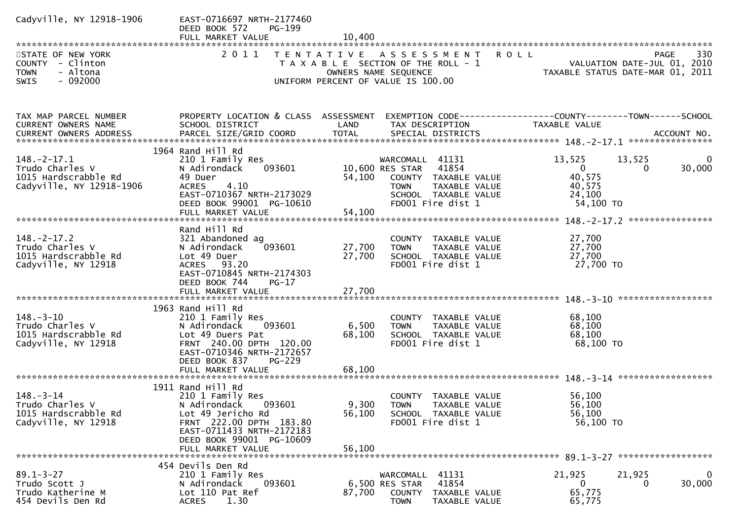| Cadyville, NY 12918-1906<br>STATE OF NEW YORK                                        | EAST-0716697 NRTH-2177460<br>DEED BOOK 572<br><b>PG-199</b><br>FULL MARKET VALUE                                                                                                                   | 10,400                     | 2011 TENTATIVE ASSESSMENT                                                                                                                     | <b>ROLL</b><br>330<br>PAGE                                                                               |
|--------------------------------------------------------------------------------------|----------------------------------------------------------------------------------------------------------------------------------------------------------------------------------------------------|----------------------------|-----------------------------------------------------------------------------------------------------------------------------------------------|----------------------------------------------------------------------------------------------------------|
| COUNTY - Clinton<br><b>TOWN</b><br>- Altona<br>$-092000$<br><b>SWIS</b>              |                                                                                                                                                                                                    |                            | T A X A B L E SECTION OF THE ROLL - 1<br>OWNERS NAME SEQUENCE<br>UNIFORM PERCENT OF VALUE IS 100.00                                           | VALUATION DATE-JUL 01, 2010<br>TAXABLE STATUS DATE-MAR 01, 2011                                          |
| TAX MAP PARCEL NUMBER<br>CURRENT OWNERS NAME                                         | PROPERTY LOCATION & CLASS ASSESSMENT<br>SCHOOL DISTRICT                                                                                                                                            | LAND                       | TAX DESCRIPTION                                                                                                                               | EXEMPTION CODE------------------COUNTY--------TOWN------SCHOOL<br>TAXABLE VALUE                          |
| $148.-2-17.1$<br>Trudo Charles V<br>1015 Hardscrabble Rd<br>Cadyville, NY 12918-1906 | 1964 Rand Hill Rd<br>210 1 Family Res<br>N Adirondack<br>093601<br>49 Duer<br><b>ACRES</b><br>4.10<br>EAST-0710367 NRTH-2173029<br>DEED BOOK 99001 PG-10610                                        | 54,100                     | WARCOMALL 41131<br>10,600 RES STAR 41854<br>COUNTY TAXABLE VALUE<br><b>TOWN</b><br>TAXABLE VALUE<br>SCHOOL TAXABLE VALUE<br>FD001 Fire dist 1 | 13,525<br>13,525<br>0<br>30,000<br>$\overline{0}$<br>$\Omega$<br>40,575<br>40,575<br>24,100<br>54,100 TO |
| $148. - 2 - 17.2$<br>Trudo Charles V<br>1015 Hardscrabble Rd<br>Cadyville, NY 12918  | Rand Hill Rd<br>321 Abandoned ag<br>093601<br>N Adirondack<br>Lot 49 Duer<br>ACRES 93.20<br>EAST-0710845 NRTH-2174303<br>DEED BOOK 744<br>$PG-17$<br>FULL MARKET VALUE                             | 27,700<br>27,700<br>27,700 | COUNTY TAXABLE VALUE<br>TAXABLE VALUE<br><b>TOWN</b><br>SCHOOL TAXABLE VALUE<br>FD001 Fire dist 1                                             | 27,700<br>27,700<br>27,700<br>27,700 TO                                                                  |
| $148. - 3 - 10$<br>Trudo Charles V<br>1015 Hardscrabble Rd<br>Cadyville, NY 12918    | 1963 Rand Hill Rd<br>210 1 Family Res<br>N Adirondack<br>093601<br>Lot 49 Duers Pat<br>FRNT 240.00 DPTH 120.00<br>EAST-0710346 NRTH-2172657<br>DEED BOOK 837<br><b>PG-229</b><br>FULL MARKET VALUE | 6,500<br>68,100<br>68,100  | COUNTY TAXABLE VALUE<br>TAXABLE VALUE<br><b>TOWN</b><br>SCHOOL TAXABLE VALUE<br>FD001 Fire dist 1                                             | 68,100<br>68,100<br>68,100<br>68,100 TO                                                                  |
| $148. - 3 - 14$<br>Trudo Charles V<br>1015 Hardscrabble Rd<br>Cadyville, NY 12918    | 1911 Rand Hill Rd<br>210 1 Family Res<br>N Adirondack<br>093601<br>Lot 49 Jericho Rd<br>FRNT 222.00 DPTH 183.80<br>EAST-0711433 NRTH-2172183<br>DEED BOOK 99001 PG-10609<br>FULL MARKET VALUE      | 56,100<br>56,100           | COUNTY TAXABLE VALUE<br>9,300 TOWN<br>TAXABLE VALUE<br>SCHOOL TAXABLE VALUE<br>FD001 Fire dist 1                                              | 56,100<br>56,100<br>56,100<br>56,100 TO                                                                  |
| $89.1 - 3 - 27$<br>Trudo Scott J<br>Trudo Katherine M<br>454 Devils Den Rd           | 454 Devils Den Rd<br>210 1 Family Res<br>N Adirondack<br>093601<br>Lot 110 Pat Ref<br>1.30<br><b>ACRES</b>                                                                                         | 87,700                     | 41131<br>WARCOMALL<br>41854<br>6,500 RES STAR<br><b>COUNTY</b><br>TAXABLE VALUE<br><b>TOWN</b><br>TAXABLE VALUE                               | 21,925<br>21,925<br>0<br>0<br>30,000<br>0<br>65,775<br>65,775                                            |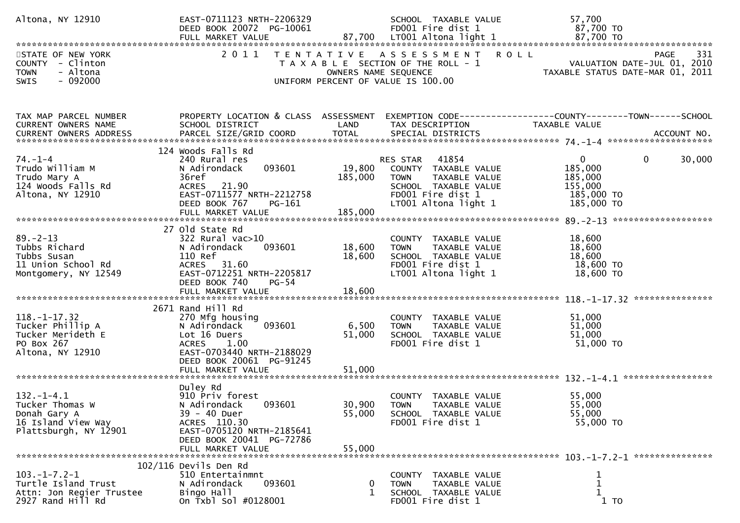| Altona, NY 12910                                                                                   | EAST-0711123 NRTH-2206329<br>DEED BOOK 20072 PG-10061                                                                                                                      |                              | SCHOOL TAXABLE VALUE<br>FD001 Fire dist 1                                                                                                   | 57,700<br>87,700 TO                                                                                |
|----------------------------------------------------------------------------------------------------|----------------------------------------------------------------------------------------------------------------------------------------------------------------------------|------------------------------|---------------------------------------------------------------------------------------------------------------------------------------------|----------------------------------------------------------------------------------------------------|
| STATE OF NEW YORK<br>COUNTY - Clinton<br>- Altona<br><b>TOWN</b><br>$-092000$                      | 2011                                                                                                                                                                       |                              | TENTATIVE ASSESSMENT ROLL<br>T A X A B L E SECTION OF THE ROLL - 1<br>OWNERS NAME SEQUENCE                                                  | PAGE<br>331<br>VALUATION DATE-JUL 01, 2010<br>TAXABLE STATUS DATE-MAR 01, 2011                     |
| SWIS                                                                                               |                                                                                                                                                                            |                              | UNIFORM PERCENT OF VALUE IS 100.00                                                                                                          |                                                                                                    |
| TAX MAP PARCEL NUMBER<br>CURRENT OWNERS NAME                                                       | PROPERTY LOCATION & CLASS ASSESSMENT<br>SCHOOL DISTRICT                                                                                                                    | LAND                         | TAX DESCRIPTION                                                                                                                             | EXEMPTION CODE------------------COUNTY--------TOWN------SCHOOL<br>TAXABLE VALUE                    |
| $74. - 1 - 4$<br>Trudo William M<br>Trudo Mary A<br>124 Woods Falls Rd<br>Altona, NY 12910         | 124 Woods Falls Rd<br>240 Rural res<br>093601<br>N Adirondack<br>36ref<br>ACRES 21.90<br>EAST-0711577 NRTH-2212758<br>DEED BOOK 767<br>PG-161<br>FULL MARKET VALUE         | 19,800<br>185,000<br>185,000 | RES STAR 41854<br>COUNTY TAXABLE VALUE<br><b>TOWN</b><br>TAXABLE VALUE<br>SCHOOL TAXABLE VALUE<br>FD001 Fire dist 1<br>LT001 Altona light 1 | $\mathbf 0$<br>$\mathbf{0}$<br>30,000<br>185,000<br>185,000<br>155,000<br>185,000 TO<br>185,000 TO |
| $89. - 2 - 13$<br>Tubbs Richard<br>Tubbs Susan<br>11 Union School Rd<br>Montgomery, NY 12549       | 27 Old State Rd<br>$322$ Rural vac $>10$<br>093601<br>N Adirondack<br>110 Ref<br>ACRES 31.60<br>EAST-0712251 NRTH-2205817<br>DEED BOOK 740<br>PG-54<br>FULL MARKET VALUE   | 18,600<br>18,600<br>18,600   | COUNTY TAXABLE VALUE<br>TAXABLE VALUE<br><b>TOWN</b><br>SCHOOL TAXABLE VALUE<br>FD001 Fire dist 1<br>LT001 Altona light 1                   | 18,600<br>18,600<br>18,600<br>18,600 TO<br>18,600 TO                                               |
| $118. - 1 - 17.32$<br>Tucker Phillip A<br>Tucker Merideth E<br>PO Box 267<br>Altona, NY 12910      | 2671 Rand Hill Rd<br>270 Mfg housing<br>093601<br>N Adirondack<br>Lot 16 Duers<br>ACRES 1.00<br>EAST-0703440 NRTH-2188029<br>DEED BOOK 20061 PG-91245<br>FULL MARKET VALUE | 6,500<br>51,000<br>51,000    | COUNTY TAXABLE VALUE<br>TAXABLE VALUE<br><b>TOWN</b><br>SCHOOL TAXABLE VALUE<br>FD001 Fire dist 1                                           | 51,000<br>51,000<br>51,000<br>51,000 TO                                                            |
| $132. - 1 - 4.1$<br>Tucker Thomas W<br>Donah Gary A<br>16 Island View Way<br>Plattsburgh, NY 12901 | Duley Rd<br>910 Priv forest<br>093601<br>N Adirondack<br>39 - 40 Duer<br>ACRES 110.30<br>EAST-0705120 NRTH-2185641<br>DEED BOOK 20041 PG-72786<br>FULL MARKET VALUE        | 30,900<br>55,000<br>55,000   | COUNTY TAXABLE VALUE<br><b>TOWN</b><br>TAXABLE VALUE<br>SCHOOL TAXABLE VALUE<br>FD001 Fire dist 1                                           | 55,000<br>55,000<br>55,000<br>55,000 TO                                                            |
| $103. -1 - 7.2 - 1$<br>Turtle Island Trust<br>Attn: Jon Regier Trustee<br>2927 Rand Hill Rd        | $102/116$ Devils Den Rd<br>510 Entertainmnt<br>N Adirondack<br>093601<br>Bingo Hall<br>On Txbl Sol #0128001                                                                | 0<br>1                       | COUNTY TAXABLE VALUE<br><b>TOWN</b><br>TAXABLE VALUE<br>SCHOOL TAXABLE VALUE<br>FD001 Fire dist 1                                           | 1<br>$\mathbf 1$<br>$\mathbf{1}$<br>$1$ TO                                                         |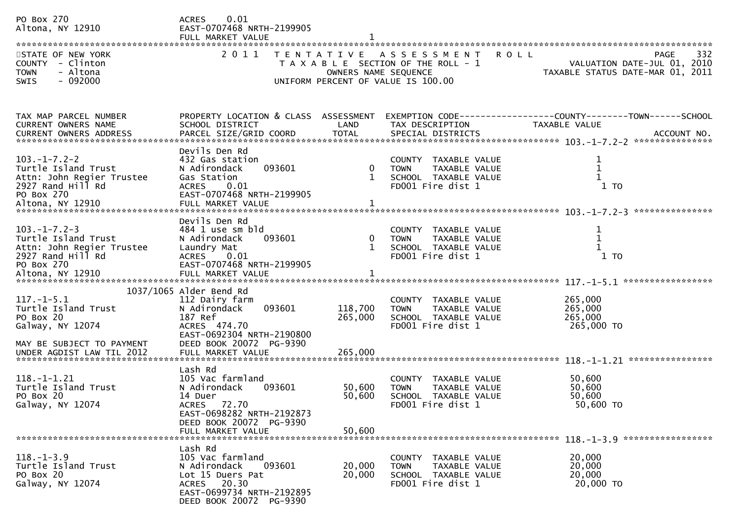| PO Box 270<br>Altona, NY 12910<br>STATE OF NEW YORK<br>COUNTY - Clinton<br><b>TOWN</b><br>- Altona<br>$-092000$<br><b>SWIS</b>     | 0.01<br><b>ACRES</b><br>EAST-0707468 NRTH-2199905<br>FULL MARKET VALUE<br>2011                                                                                              | OWNERS NAME SEQUENCE             | TENTATIVE ASSESSMENT<br><b>ROLL</b><br>T A X A B L E SECTION OF THE ROLL - 1<br>UNIFORM PERCENT OF VALUE IS 100.00 | 332<br><b>PAGE</b><br>VALUATION DATE-JUL 01, 2010<br>TAXABLE STATUS DATE-MAR 01, 2011 |
|------------------------------------------------------------------------------------------------------------------------------------|-----------------------------------------------------------------------------------------------------------------------------------------------------------------------------|----------------------------------|--------------------------------------------------------------------------------------------------------------------|---------------------------------------------------------------------------------------|
| TAX MAP PARCEL NUMBER<br>CURRENT OWNERS NAME                                                                                       | PROPERTY LOCATION & CLASS ASSESSMENT<br>SCHOOL DISTRICT                                                                                                                     | LAND                             | TAX DESCRIPTION                                                                                                    | EXEMPTION CODE-----------------COUNTY--------TOWN------SCHOOL<br>TAXABLE VALUE        |
| $103. -1 - 7.2 - 2$<br>Turtle Island Trust<br>Attn: John Regier Trustee<br>2927 Rand Hill Rd<br>PO Box 270                         | Devils Den Rd<br>432 Gas station<br>093601<br>N Adirondack<br>Gas Station<br><b>ACRES</b><br>0.01<br>EAST-0707468 NRTH-2199905                                              | $\boldsymbol{0}$<br>$\mathbf{1}$ | COUNTY TAXABLE VALUE<br>TAXABLE VALUE<br><b>TOWN</b><br>SCHOOL TAXABLE VALUE<br>FD001 Fire dist 1                  | $\mathbf 1$<br>$1$ TO                                                                 |
| $103. -1 - 7.2 - 3$<br>Turtle Island Trust<br>Attn: John Regier Trustee<br>2927 Rand Hill Rd<br>PO Box 270                         | Devils Den Rd<br>484 1 use sm bld<br>N Adirondack<br>093601<br>Laundry Mat<br><b>ACRES</b><br>0.01<br>EAST-0707468 NRTH-2199905                                             | 0                                | COUNTY TAXABLE VALUE<br>TAXABLE VALUE<br><b>TOWN</b><br>SCHOOL TAXABLE VALUE<br>FD001 Fire dist 1                  | 1<br>$\mathbf 1$<br>$1$ TO                                                            |
| $117. - 1 - 5.1$<br>Turtle Island Trust<br>PO Box 20<br>Galway, NY 12074<br>MAY BE SUBJECT TO PAYMENT<br>UNDER AGDIST LAW TIL 2012 | 1037/1065 Alder Bend Rd<br>112 Dairy farm<br>093601<br>N Adirondack<br>187 Ref<br>ACRES 474.70<br>EAST-0692304 NRTH-2190800<br>DEED BOOK 20072 PG-9390<br>FULL MARKET VALUE | 118,700<br>265,000<br>265,000    | COUNTY TAXABLE VALUE<br>TAXABLE VALUE<br><b>TOWN</b><br>SCHOOL TAXABLE VALUE<br>FD001 Fire dist 1                  | 265,000<br>265,000<br>265,000<br>265,000 TO                                           |
| $118. - 1 - 1.21$<br>Turtle Island Trust<br>PO Box 20<br>Galway, NY 12074                                                          | Lash Rd<br>105 Vac farmland<br>N Adirondack<br>093601<br>14 Duer<br>ACRES 72.70<br>EAST-0698282 NRTH-2192873<br>DEED BOOK 20072 PG-9390<br>FULL MARKET VALUE                | 50,600<br>50,600<br>50,600       | COUNTY TAXABLE VALUE<br>TAXABLE VALUE<br><b>TOWN</b><br>SCHOOL TAXABLE VALUE<br>FD001 Fire dist 1                  | 50,600<br>50,600<br>50,600<br>50,600 TO                                               |
| $118. - 1 - 3.9$<br>Turtle Island Trust<br>PO Box 20<br>Galway, NY 12074                                                           | Lash Rd<br>105 Vac farmland<br>093601<br>N Adirondack<br>Lot 15 Duers Pat<br>ACRES 20.30<br>EAST-0699734 NRTH-2192895<br>DEED BOOK 20072 PG-9390                            | 20,000<br>20,000                 | COUNTY TAXABLE VALUE<br>TAXABLE VALUE<br><b>TOWN</b><br>SCHOOL TAXABLE VALUE<br>FD001 Fire dist 1                  | 20,000<br>20,000<br>20,000<br>20,000 TO                                               |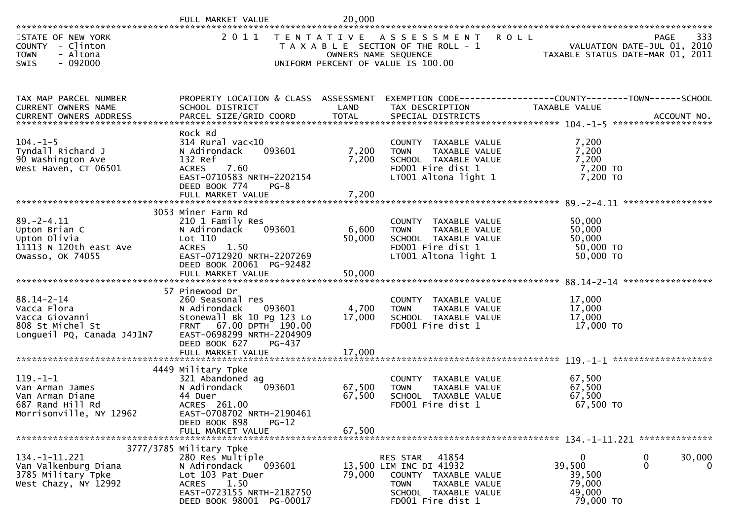|                                                                                                                                                                                                                                                                | FULL MARKET VALUE                                                                                                                                                                                | 20,000                     |                                                                                                                                                      |                                                        |                                                                                |
|----------------------------------------------------------------------------------------------------------------------------------------------------------------------------------------------------------------------------------------------------------------|--------------------------------------------------------------------------------------------------------------------------------------------------------------------------------------------------|----------------------------|------------------------------------------------------------------------------------------------------------------------------------------------------|--------------------------------------------------------|--------------------------------------------------------------------------------|
| STATE OF NEW YORK<br>COUNTY - Clinton<br><b>TOWN</b><br>- Altona<br>$-092000$<br><b>SWIS</b>                                                                                                                                                                   | 2011                                                                                                                                                                                             | OWNERS NAME SEQUENCE       | TENTATIVE ASSESSMENT<br>R O L L<br>T A X A B L E SECTION OF THE ROLL - 1<br>UNIFORM PERCENT OF VALUE IS 100.00                                       |                                                        | 333<br>PAGE<br>VALUATION DATE-JUL 01, 2010<br>TAXABLE STATUS DATE-MAR 01, 2011 |
| TAX MAP PARCEL NUMBER<br>CURRENT OWNERS NAME<br>.000 ACCOUNT NO . PARCEL SIZE/GRID COORD TOTAL SPECIAL DISTRICTS AND RESULT ACCOUNT NO . ACCOUNT NO . AND RESULT AND . AND RESULT AND . AND RESULT AND . AND RESULT AND . AND RESULT A TOTAL SPECIAL DISTRICTS | PROPERTY LOCATION & CLASS ASSESSMENT<br>SCHOOL DISTRICT                                                                                                                                          | LAND                       | EXEMPTION CODE------------------COUNTY--------TOWN------SCHOOL<br>TAX DESCRIPTION                                                                    | <b>TAXABLE VALUE</b>                                   |                                                                                |
| $104. - 1 - 5$<br>Tyndall Richard J<br>90 Washington Ave<br>West Haven, CT 06501                                                                                                                                                                               | Rock Rd<br>314 Rural vac<10<br>N Adirondack<br>093601<br>132 Ref<br>7.60<br><b>ACRES</b><br>EAST-0710583 NRTH-2202154<br>DEED BOOK 774<br>$PG-8$                                                 | 7,200<br>7,200             | COUNTY TAXABLE VALUE<br>TAXABLE VALUE<br><b>TOWN</b><br>SCHOOL TAXABLE VALUE<br>FD001 Fire dist 1<br>LT001 Altona light 1                            | 7,200<br>7,200<br>7,200<br>7,200 TO<br>7,200 TO        |                                                                                |
| $89. - 2 - 4.11$<br>Upton Brian C<br>Upton Olivia<br>11113 N 120th east Ave<br>Owasso, OK 74055                                                                                                                                                                | 3053 Miner Farm Rd<br>210 1 Family Res<br>093601<br>N Adirondack<br>Lot 110<br>ACRES 1.50<br>EAST-0712920 NRTH-2207269<br>DEED BOOK 20061 PG-92482<br>FULL MARKET VALUE                          | 6,600<br>50,000<br>50,000  | COUNTY TAXABLE VALUE<br>TAXABLE VALUE<br>TOWN<br>SCHOOL TAXABLE VALUE<br>FD001 Fire dist 1<br>LT001 Altona light 1                                   | 50,000<br>50,000<br>50,000<br>50,000 TO<br>50,000 TO   |                                                                                |
| $88.14 - 2 - 14$<br>Vacca Flora<br>Vacca Giovanni<br>808 St Michel St<br>Longueil PQ, Canada J4J1N7                                                                                                                                                            | 57 Pinewood Dr<br>260 Seasonal res<br>093601<br>N Adirondack<br>Stonewall Bk 10 Pg 123 Lo<br>FRNT 67.00 DPTH 190.00<br>EAST-0698299 NRTH-2204909<br>DEED BOOK 627<br>PG-437<br>FULL MARKET VALUE | 4,700<br>17,000<br>17,000  | COUNTY TAXABLE VALUE<br>TAXABLE VALUE<br><b>TOWN</b><br>SCHOOL TAXABLE VALUE<br>FD001 Fire dist 1                                                    | 17,000<br>17,000<br>17,000<br>17,000 TO                | ****************                                                               |
| $119. - 1 - 1$<br>Van Arman James<br>Van Arman Diane<br>687 Rand Hill Rd<br>Morrisonville, NY 12962                                                                                                                                                            | 4449 Military Tpke<br>321 Abandoned ag<br>093601<br>N Adirondack<br>44 Duer<br>ACRES 261.00<br>EAST-0708702 NRTH-2190461<br>DEED BOOK 898<br>$PG-12$<br>FULL MARKET VALUE                        | 67,500<br>67,500<br>67,500 | COUNTY TAXABLE VALUE<br>TAXABLE VALUE<br><b>TOWN</b><br>SCHOOL TAXABLE VALUE<br>FD001 Fire dist 1                                                    | 67,500<br>67,500<br>67,500<br>67,500 TO                |                                                                                |
| $134. - 1 - 11.221$<br>Van Valkenburg Diana<br>3785 Military Tpke<br>West Chazy, NY 12992                                                                                                                                                                      | 3777/3785 Military Tpke<br>280 Res Multiple<br>093601<br>N Adirondack<br>Lot 103 Pat Duer<br>1.50<br>ACRES<br>EAST-0723155 NRTH-2182750<br>DEED BOOK 98001 PG-00017                              | 79,000                     | 41854<br>RES STAR<br>13,500 LIM INC DI 41932<br><b>COUNTY</b><br>TAXABLE VALUE<br>TOWN<br>TAXABLE VALUE<br>SCHOOL TAXABLE VALUE<br>FD001 Fire dist 1 | 0<br>39,500<br>39,500<br>79,000<br>49,000<br>79,000 TO | 30,000<br>0<br>$\mathbf 0$<br>0                                                |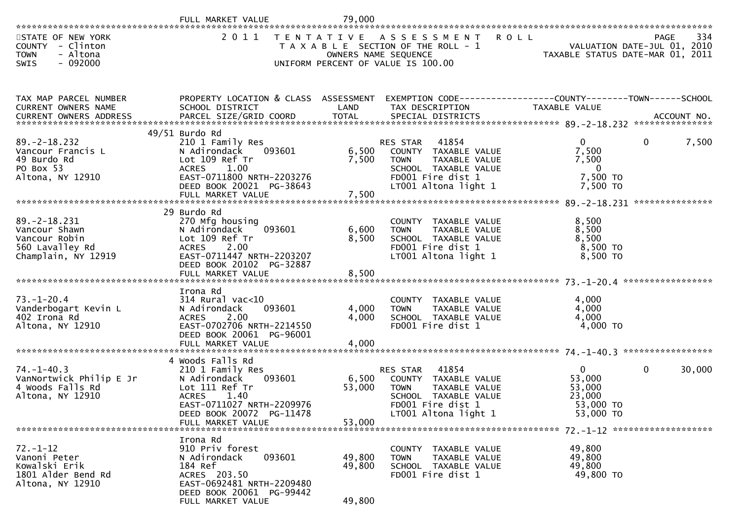|                                                                                                | FULL MARKET VALUE                                                                                                                                                                      | 79,000                     |                                                                                                                                                       |                                                                      |                                            |
|------------------------------------------------------------------------------------------------|----------------------------------------------------------------------------------------------------------------------------------------------------------------------------------------|----------------------------|-------------------------------------------------------------------------------------------------------------------------------------------------------|----------------------------------------------------------------------|--------------------------------------------|
| STATE OF NEW YORK<br>COUNTY - Clinton<br>- Altona<br><b>TOWN</b><br>$-092000$<br>SWIS          | 2 0 1 1                                                                                                                                                                                | OWNERS NAME SEQUENCE       | TENTATIVE ASSESSMENT<br><b>ROLL</b><br>T A X A B L E SECTION OF THE ROLL - 1<br>UNIFORM PERCENT OF VALUE IS 100.00                                    | VALUATION DATE-JUL 01, 2010<br>TAXABLE STATUS DATE-MAR 01, 2011      | 334<br>PAGE<br>VALUATION DATE-JUL 01, 2010 |
| TAX MAP PARCEL NUMBER<br>CURRENT OWNERS NAME                                                   | PROPERTY LOCATION & CLASS ASSESSMENT<br>SCHOOL DISTRICT                                                                                                                                | LAND                       | EXEMPTION CODE------------------COUNTY--------TOWN------SCHOOL<br>TAX DESCRIPTION                                                                     | TAXABLE VALUE                                                        |                                            |
| $89. -2 - 18.232$<br>Vancour Francis L<br>49 Burdo Rd<br>PO Box 53<br>Altona, NY 12910         | $49/51$ Burdo Rd<br>210 1 Family Res<br>N Adirondack<br>093601<br>Lot 109 Ref Tr<br>1.00<br><b>ACRES</b><br>EAST-0711800 NRTH-2203276<br>DEED BOOK 20021 PG-38643<br>FULL MARKET VALUE | 6,500<br>7,500<br>7,500    | 41854<br><b>RES STAR</b><br>COUNTY TAXABLE VALUE<br>TAXABLE VALUE<br><b>TOWN</b><br>SCHOOL TAXABLE VALUE<br>FD001 Fire dist 1<br>LT001 Altona light 1 | $\Omega$<br>7,500<br>7,500<br>$\mathbf{0}$<br>7,500 TO<br>7,500 TO   | 7,500<br>0                                 |
| $89. - 2 - 18.231$<br>Vancour Shawn<br>Vancour Robin<br>560 Lavalley Rd<br>Champlain, NY 12919 | 29 Burdo Rd<br>270 Mfg housing<br>093601<br>N Adirondack<br>Lot 109 Ref Tr<br>ACRES 2.00<br>EAST-0711447 NRTH-2203207<br>DEED BOOK 20102 PG-32887<br>FULL MARKET VALUE                 | 6,600<br>8,500<br>8,500    | COUNTY TAXABLE VALUE<br>TAXABLE VALUE<br><b>TOWN</b><br>SCHOOL TAXABLE VALUE<br>FD001 Fire dist 1<br>LT001 Altona light 1                             | 8,500<br>8,500<br>8,500<br>8,500 TO<br>8,500 TO                      |                                            |
| $73. - 1 - 20.4$<br>Vanderbogart Kevin L<br>402 Irona Rd<br>Altona, NY 12910                   | Irona Rd<br>$314$ Rural vac< $10$<br>093601<br>N Adirondack<br>2.00<br><b>ACRES</b><br>EAST-0702706 NRTH-2214550<br>DEED BOOK 20061 PG-96001<br>FULL MARKET VALUE                      | 4,000<br>4,000<br>4,000    | COUNTY TAXABLE VALUE<br><b>TOWN</b><br>TAXABLE VALUE<br>SCHOOL TAXABLE VALUE<br>FD001 Fire dist 1                                                     | 4,000<br>4,000<br>4,000<br>4,000 TO                                  | ****************                           |
| $74. - 1 - 40.3$<br>VanNortwick Philip E Jr<br>4 Woods Falls Rd<br>Altona, NY 12910            | 4 Woods Falls Rd<br>210 1 Family Res<br>N Adirondack<br>093601<br>Lot 111 Ref Tr<br><b>ACRES</b><br>1.40<br>EAST-0711027 NRTH-2209976<br>DEED BOOK 20072 PG-11478<br>FULL MARKET VALUE | 6,500<br>53,000<br>53,000  | 41854<br><b>RES STAR</b><br>COUNTY TAXABLE VALUE<br><b>TOWN</b><br>TAXABLE VALUE<br>SCHOOL TAXABLE VALUE<br>FD001 Fire dist 1<br>LT001 Altona light 1 | $\mathbf{0}$<br>53,000<br>53,000<br>23,000<br>53,000 TO<br>53,000 TO | 0<br>30,000                                |
| $72. - 1 - 12$<br>Vanoni Peter<br>Kowalski Erik<br>1801 Alder Bend Rd<br>Altona, NY 12910      | Irona Rd<br>910 Priv forest<br>N Adirondack<br>093601<br>184 Ref<br>ACRES 203.50<br>EAST-0692481 NRTH-2209480<br>DEED BOOK 20061 PG-99442<br>FULL MARKET VALUE                         | 49,800<br>49,800<br>49,800 | COUNTY TAXABLE VALUE<br>TAXABLE VALUE<br><b>TOWN</b><br>SCHOOL TAXABLE VALUE<br>FD001 Fire dist 1                                                     | 49,800<br>49,800<br>49,800<br>49,800 TO                              |                                            |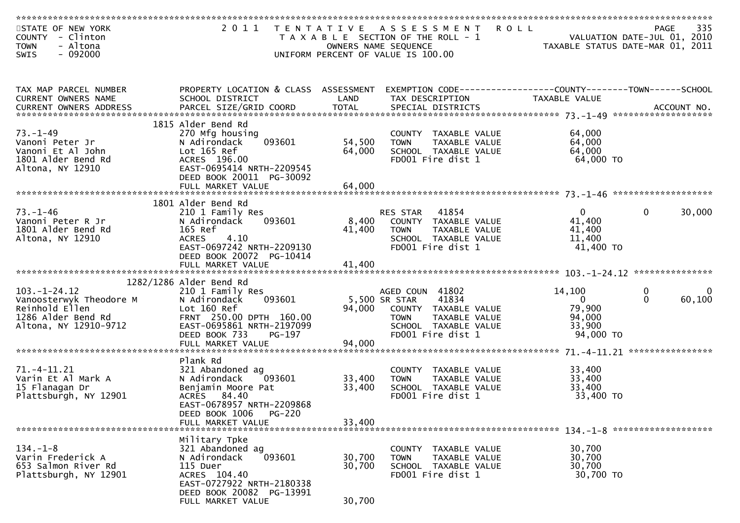| STATE OF NEW YORK<br>COUNTY - Clinton<br>- Altona<br><b>TOWN</b>                                               | 2011 TENTATIVE                                                                                                                                                                               |                            | A S S E S S M E N T<br>T A X A B L E SECTION OF THE ROLL - 1<br>OWNERS NAME SEQUENCE                                                           | <b>ROLL</b>                                                       | 335<br><b>PAGE</b><br>VALUATION DATE-JUL 01, 2010<br>TAXABLE STATUS DATE-MAR 01, 2011 |
|----------------------------------------------------------------------------------------------------------------|----------------------------------------------------------------------------------------------------------------------------------------------------------------------------------------------|----------------------------|------------------------------------------------------------------------------------------------------------------------------------------------|-------------------------------------------------------------------|---------------------------------------------------------------------------------------|
| $-092000$<br>SWIS                                                                                              |                                                                                                                                                                                              |                            | UNIFORM PERCENT OF VALUE IS 100.00                                                                                                             |                                                                   |                                                                                       |
| TAX MAP PARCEL NUMBER<br>CURRENT OWNERS NAME                                                                   | PROPERTY LOCATION & CLASS ASSESSMENT<br>SCHOOL DISTRICT                                                                                                                                      | LAND                       | TAX DESCRIPTION                                                                                                                                | <b>TAXABLE VALUE</b>                                              |                                                                                       |
| $73. - 1 - 49$<br>Vanoni Peter Jr<br>Vanoni Et Al John<br>1801 Alder Bend Rd<br>Altona, NY 12910               | 1815 Alder Bend Rd<br>270 Mfg housing<br>093601<br>N Adirondack<br>Lot 165 Ref<br>ACRES 196.00<br>EAST-0695414 NRTH-2209545<br>DEED BOOK 20011 PG-30092<br>FULL MARKET VALUE                 | 54,500<br>64,000<br>64,000 | COUNTY TAXABLE VALUE<br>TAXABLE VALUE<br><b>TOWN</b><br>SCHOOL TAXABLE VALUE<br>FD001 Fire dist 1                                              | 64,000<br>64,000<br>64,000<br>64,000 TO                           |                                                                                       |
|                                                                                                                |                                                                                                                                                                                              |                            |                                                                                                                                                |                                                                   |                                                                                       |
| $73. - 1 - 46$<br>Vanoni Peter R Jr<br>1801 Alder Bend Rd<br>Altona, NY 12910                                  | 1801 Alder Bend Rd<br>210 1 Family Res<br>093601<br>N Adirondack<br>165 Ref<br><b>ACRES</b><br>4.10<br>EAST-0697242 NRTH-2209130<br>DEED BOOK 20072 PG-10414<br>FULL MARKET VALUE            | 8,400<br>41,400<br>41,400  | 41854<br>RES STAR<br>COUNTY TAXABLE VALUE<br><b>TOWN</b><br>TAXABLE VALUE<br>SCHOOL TAXABLE VALUE<br>FD001 Fire dist 1                         | $\overline{0}$<br>41,400<br>41,400<br>11,400<br>41,400 TO         | 30,000<br>$\mathbf{0}$                                                                |
|                                                                                                                |                                                                                                                                                                                              |                            |                                                                                                                                                |                                                                   |                                                                                       |
| $103. - 1 - 24.12$<br>Vanoosterwyk Theodore M<br>Reinhold Ellen<br>1286 Alder Bend Rd<br>Altona, NY 12910-9712 | 1282/1286 Alder Bend Rd<br>210 1 Family Res<br>093601<br>N Adirondack<br>Lot 160 Ref<br>FRNT 250.00 DPTH 160.00<br>EAST-0695861 NRTH-2197099<br>DEED BOOK 733<br>PG-197<br>FULL MARKET VALUE | 94,000<br>94,000           | AGED COUN 41802<br>5,500 SR STAR<br>41834<br>COUNTY TAXABLE VALUE<br><b>TOWN</b><br>TAXABLE VALUE<br>SCHOOL TAXABLE VALUE<br>FD001 Fire dist 1 | 14,100<br>$\mathbf{0}$<br>79,900<br>94,000<br>33,900<br>94,000 TO | 0<br>0<br>$\Omega$<br>60,100                                                          |
|                                                                                                                |                                                                                                                                                                                              |                            |                                                                                                                                                |                                                                   |                                                                                       |
| $71. - 4 - 11.21$<br>Varin Et Al Mark A<br>15 Flanagan Dr<br>Plattsburgh, NY 12901                             | Plank Rd<br>321 Abandoned ag<br>093601<br>N Adirondack<br>Benjamin Moore Pat<br>ACRES 84.40<br>EAST-0678957 NRTH-2209868                                                                     | 33,400<br>33,400           | COUNTY TAXABLE VALUE<br>TAXABLE VALUE<br><b>TOWN</b><br>SCHOOL TAXABLE VALUE<br>FD001 Fire dist 1                                              | 33,400<br>33,400<br>33,400<br>33,400 TO                           |                                                                                       |
|                                                                                                                | <b>PG-220</b><br>DEED BOOK 1006<br>FULL MARKET VALUE                                                                                                                                         | 33,400                     |                                                                                                                                                |                                                                   |                                                                                       |
| $134. - 1 - 8$<br>Varin Frederick A<br>653 Salmon River Rd<br>Plattsburgh, NY 12901                            | Military Tpke<br>321 Abandoned ag<br>093601<br>N Adirondack<br>115 Duer<br>ACRES 104.40<br>EAST-0727922 NRTH-2180338<br>DEED BOOK 20082 PG-13991<br>FULL MARKET VALUE                        | 30,700<br>30,700<br>30,700 | COUNTY TAXABLE VALUE<br>TAXABLE VALUE<br><b>TOWN</b><br>SCHOOL TAXABLE VALUE<br>FD001 Fire dist 1                                              | 30,700<br>30,700<br>30,700<br>30,700 TO                           |                                                                                       |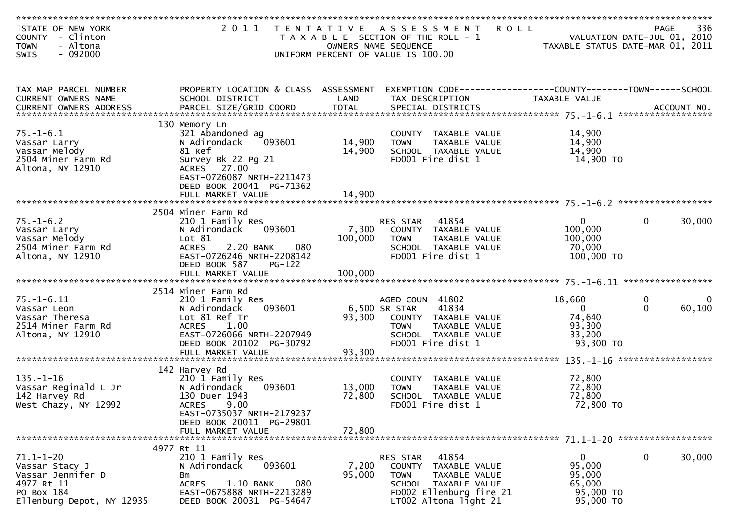| STATE OF NEW YORK<br>COUNTY - Clinton<br>- Altona<br><b>TOWN</b> |                                                        |                 | 2011 TENTATIVE ASSESSMENT<br>T A X A B L E SECTION OF THE ROLL - 1<br>OWNERS NAME SEQUENCE | PAGE 336<br>VALUATION DATE-JUL 01, 2010<br>TAXABLE STATUS DATE 1112 2010 |                                        |
|------------------------------------------------------------------|--------------------------------------------------------|-----------------|--------------------------------------------------------------------------------------------|--------------------------------------------------------------------------|----------------------------------------|
| $-092000$<br><b>SWIS</b>                                         |                                                        |                 | UNIFORM PERCENT OF VALUE IS 100.00                                                         |                                                                          |                                        |
|                                                                  |                                                        |                 |                                                                                            |                                                                          |                                        |
| TAX MAP PARCEL NUMBER                                            | PROPERTY LOCATION & CLASS ASSESSMENT                   |                 | EXEMPTION CODE-----------------COUNTY-------TOWN------SCHOOL                               |                                                                          |                                        |
| CURRENT OWNERS NAME                                              | SCHOOL DISTRICT                                        | LAND            | TAX DESCRIPTION                                                                            | TAXABLE VALUE                                                            |                                        |
|                                                                  |                                                        |                 |                                                                                            |                                                                          |                                        |
|                                                                  | 130 Memory Ln                                          |                 |                                                                                            |                                                                          |                                        |
| $75. - 1 - 6.1$                                                  | 321 Abandoned ag                                       |                 | COUNTY TAXABLE VALUE                                                                       | 14,900                                                                   |                                        |
| Vassar Larry                                                     | 093601<br>N Adirondack                                 | 14,900          | <b>TOWN</b><br>TAXABLE VALUE                                                               | 14,900                                                                   |                                        |
| Vassar Melody<br>2504 Miner Farm Rd                              | 81 Ref<br>Survey Bk 22 Pg 21                           | 14,900          | SCHOOL TAXABLE VALUE<br>FD001 Fire dist 1                                                  | 14,900<br>14,900 TO                                                      |                                        |
| Altona, NY 12910                                                 | ACRES 27.00                                            |                 |                                                                                            |                                                                          |                                        |
|                                                                  | EAST-0726087 NRTH-2211473                              |                 |                                                                                            |                                                                          |                                        |
|                                                                  | DEED BOOK 20041 PG-71362                               |                 |                                                                                            |                                                                          |                                        |
|                                                                  | FULL MARKET VALUE                                      | 14,900          |                                                                                            |                                                                          |                                        |
|                                                                  | 2504 Miner Farm Rd                                     |                 |                                                                                            |                                                                          |                                        |
| $75. - 1 - 6.2$                                                  | 210 1 Family Res                                       |                 | RES STAR 41854                                                                             | $\overline{0}$                                                           | $\mathbf{0}$<br>30,000                 |
| Vassar Larry                                                     | 093601<br>N Adirondack                                 | 7,300           | COUNTY TAXABLE VALUE                                                                       | 100,000                                                                  |                                        |
| Vassar Melody                                                    | Lot 81                                                 | 100,000         | <b>TOWN</b><br>TAXABLE VALUE                                                               | 100,000                                                                  |                                        |
| 2504 Miner Farm Rd                                               | 2.20 BANK<br>080<br>ACRES                              |                 | SCHOOL TAXABLE VALUE                                                                       | 70,000                                                                   |                                        |
| Altona, NY 12910                                                 | EAST-0726246 NRTH-2208142<br>DEED BOOK 587<br>$PG-122$ |                 | FD001 Fire dist 1                                                                          | 100,000 TO                                                               |                                        |
|                                                                  |                                                        |                 |                                                                                            |                                                                          |                                        |
|                                                                  |                                                        |                 |                                                                                            |                                                                          |                                        |
|                                                                  | 2514 Miner Farm Rd                                     |                 |                                                                                            |                                                                          |                                        |
| $75. - 1 - 6.11$                                                 | 210 1 Family Res<br>093601                             |                 | AGED COUN 41802<br>6,500 SR STAR<br>41834                                                  | 18,660<br>$\Omega$                                                       | 0<br>$\mathbf 0$<br>60,100<br>$\Omega$ |
| Vassar Leon<br>Vassar Theresa                                    | N Adirondack<br>Lot 81 Ref Tr                          |                 | 93,300 COUNTY TAXABLE VALUE                                                                | 74,640                                                                   |                                        |
| 2514 Miner Farm Rd                                               | <b>ACRES</b><br>1.00                                   |                 | TAXABLE VALUE<br><b>TOWN</b>                                                               | 93,300                                                                   |                                        |
| Altona, NY 12910                                                 | EAST-0726066 NRTH-2207949                              |                 | SCHOOL TAXABLE VALUE                                                                       | 33,200                                                                   |                                        |
|                                                                  | DEED BOOK 20102 PG-30792                               |                 | FD001 Fire dist 1                                                                          | 93,300 TO                                                                |                                        |
|                                                                  | FULL MARKET VALUE                                      | 93,300          |                                                                                            |                                                                          |                                        |
|                                                                  | 142 Harvey Rd                                          |                 |                                                                                            |                                                                          |                                        |
| $135. - 1 - 16$                                                  | 210 1 Family Res                                       |                 | COUNTY TAXABLE VALUE                                                                       | 72,800                                                                   |                                        |
| Vassar Reginald L Jr                                             | 093601<br>N Adirondack                                 | 13,000          | TAXABLE VALUE<br>TOWN                                                                      | 72,800                                                                   |                                        |
| 142 Harvey Rd                                                    | 130 Duer 1943                                          | 72,800          | SCHOOL TAXABLE VALUE                                                                       | 72,800                                                                   |                                        |
| West Chazy, NY 12992                                             | <b>ACRES</b><br>9.00                                   |                 | FD001 Fire dist 1                                                                          | 72,800 TO                                                                |                                        |
|                                                                  | EAST-0735037 NRTH-2179237<br>DEED BOOK 20011 PG-29801  |                 |                                                                                            |                                                                          |                                        |
|                                                                  | FULL MARKET VALUE                                      | 72,800          |                                                                                            |                                                                          |                                        |
|                                                                  |                                                        |                 |                                                                                            |                                                                          |                                        |
|                                                                  | 4977 Rt 11                                             |                 |                                                                                            |                                                                          |                                        |
| $71.1 - 1 - 20$                                                  | 210 1 Family Res<br>093601<br>N Adirondack             |                 | 41854<br>RES STAR                                                                          | $\mathbf{0}$<br>95,000                                                   | 0<br>30,000                            |
| Vassar Stacy J<br>Vassar Jennifer D                              | Bm                                                     | 7,200<br>95,000 | COUNTY TAXABLE VALUE<br><b>TOWN</b><br>TAXABLE VALUE                                       | 95,000                                                                   |                                        |
| 4977 Rt 11                                                       | <b>ACRES</b><br>1.10 BANK<br>080                       |                 | SCHOOL TAXABLE VALUE                                                                       | 65,000                                                                   |                                        |
| PO Box 184                                                       | EAST-0675888 NRTH-2213289                              |                 | FD002 Ellenburg fire 21                                                                    | 95,000 TO                                                                |                                        |
| Ellenburg Depot, NY 12935                                        | DEED BOOK 20031 PG-54647                               |                 | LT002 Altona light 21                                                                      | 95,000 TO                                                                |                                        |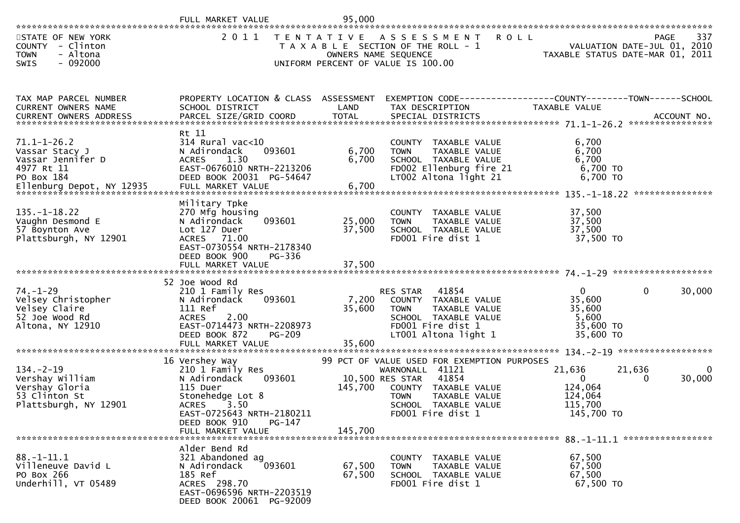|                                                                                                | FULL MARKET VALUE                                                                                                                                                                                   | 95,000                    |                                                                                                                                                                                                 |                                                                       |                                                                                |
|------------------------------------------------------------------------------------------------|-----------------------------------------------------------------------------------------------------------------------------------------------------------------------------------------------------|---------------------------|-------------------------------------------------------------------------------------------------------------------------------------------------------------------------------------------------|-----------------------------------------------------------------------|--------------------------------------------------------------------------------|
| STATE OF NEW YORK<br>COUNTY - Clinton<br>- Altona<br><b>TOWN</b><br>$-092000$<br>SWIS          | 2 0 1 1                                                                                                                                                                                             | T E N T A T I V E         | A S S E S S M E N T<br>T A X A B L E SECTION OF THE ROLL - 1<br>OWNERS NAME SEQUENCE<br>UNIFORM PERCENT OF VALUE IS 100.00                                                                      | <b>ROLL</b>                                                           | 337<br>PAGE<br>VALUATION DATE-JUL 01, 2010<br>TAXABLE STATUS DATE-MAR 01, 2011 |
| TAX MAP PARCEL NUMBER<br>CURRENT OWNERS NAME                                                   | PROPERTY LOCATION & CLASS ASSESSMENT<br>SCHOOL DISTRICT                                                                                                                                             | LAND                      | EXEMPTION CODE-----------------COUNTY-------TOWN------SCHOOL<br>TAX DESCRIPTION                                                                                                                 | TAXABLE VALUE                                                         | ACCOUNT NO.<br>****************                                                |
| $71.1 - 1 - 26.2$<br>Vassar Stacy J<br>Vassar Jennifer D<br>4977 Rt 11<br>PO Box 184           | Rt 11<br>314 Rural vac<10<br>093601<br>N Adirondack<br><b>ACRES</b><br>1.30<br>EAST-0676010 NRTH-2213206<br>DEED BOOK 20031 PG-54647                                                                | 6,700<br>6,700            | COUNTY TAXABLE VALUE<br>TAXABLE VALUE<br><b>TOWN</b><br>SCHOOL TAXABLE VALUE<br>FD002 Ellenburg fire 21<br>LT002 Altona light 21                                                                | 6,700<br>6,700<br>6,700<br>6,700 TO<br>6,700 TO                       |                                                                                |
| $135. - 1 - 18.22$<br>Vaughn Desmond E<br>57 Boynton Ave<br>Plattsburgh, NY 12901              | Military Tpke<br>270 Mfg housing<br>N Adirondack<br>093601<br>Lot 127 Duer<br>ACRES 71.00<br>EAST-0730554 NRTH-2178340<br>DEED BOOK 900<br>PG-336                                                   | 25,000<br>37,500          | COUNTY<br>TAXABLE VALUE<br>TAXABLE VALUE<br><b>TOWN</b><br>SCHOOL TAXABLE VALUE<br>FD001 Fire dist 1                                                                                            | 37,500<br>37,500<br>37,500<br>37,500 TO                               |                                                                                |
|                                                                                                |                                                                                                                                                                                                     |                           |                                                                                                                                                                                                 |                                                                       |                                                                                |
| $74. - 1 - 29$<br>Velsey Christopher<br>Velsey Claire<br>52 Joe Wood Rd<br>Altona, NY 12910    | 52 Joe Wood Rd<br>210 1 Family Res<br>093601<br>N Adirondack<br>111 Ref<br><b>ACRES</b><br>2.00<br>EAST-0714473 NRTH-2208973<br>DEED BOOK 872<br><b>PG-209</b><br>FULL MARKET VALUE                 | 7,200<br>35,600<br>35,600 | 41854<br><b>RES STAR</b><br>COUNTY TAXABLE VALUE<br>TAXABLE VALUE<br><b>TOWN</b><br>SCHOOL TAXABLE VALUE<br>FD001 Fire dist 1<br>LT001 Altona light 1                                           | $\overline{0}$<br>35,600<br>35,600<br>5,600<br>35,600 TO<br>35,600 TO | 0<br>30,000                                                                    |
| $134. - 2 - 19$<br>Vershay William<br>Vershay Gloria<br>53 Clinton St<br>Plattsburgh, NY 12901 | 16 Vershey Way<br>210 1 Family Res<br>N Adirondack<br>093601<br>115 Duer<br>Stonehedge Lot 8<br><b>ACRES</b><br>3.50<br>EAST-0725643 NRTH-2180211<br>DEED BOOK 910<br>$PG-147$<br>FULL MARKET VALUE | 145,700<br>145,700        | 99 PCT OF VALUE USED FOR EXEMPTION PURPOSES<br>WARNONALL 41121<br>10,500 RES STAR<br>41854<br>COUNTY TAXABLE VALUE<br><b>TOWN</b><br>TAXABLE VALUE<br>SCHOOL TAXABLE VALUE<br>FD001 Fire dist 1 | 21,636<br>$\mathbf{0}$<br>124,064<br>124,064<br>115,700<br>145,700 TO | 21,636<br>$\mathbf{0}$<br>30,000<br>0                                          |
| $88. - 1 - 11.1$<br>Villeneuve David L<br>PO Box 266<br>Underhill, VT 05489                    | Alder Bend Rd<br>321 Abandoned ag<br>093601<br>N Adirondack<br>185 Ref<br>ACRES 298.70<br>EAST-0696596 NRTH-2203519<br>DEED BOOK 20061 PG-92009                                                     | 67,500<br>67,500          | COUNTY TAXABLE VALUE<br>TAXABLE VALUE<br><b>TOWN</b><br>SCHOOL TAXABLE VALUE<br>FD001 Fire dist 1                                                                                               | 67,500<br>67,500<br>67,500<br>67,500 TO                               |                                                                                |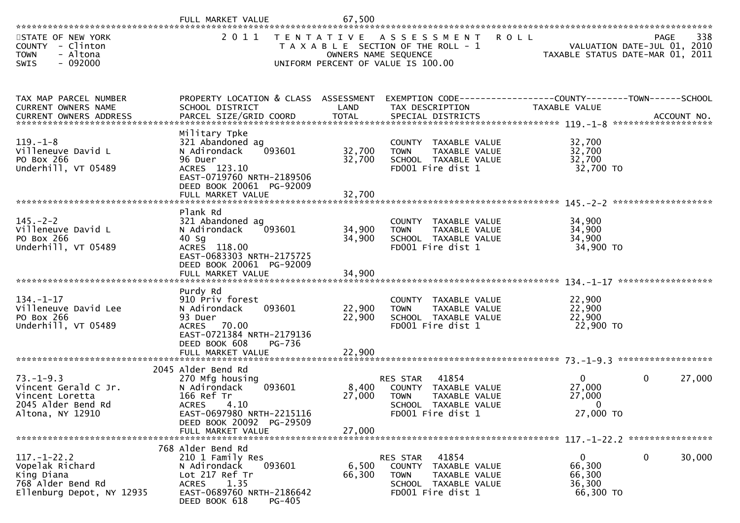|                                                                                                      | FULL MARKET VALUE                                                                                                                                                                   | 67,500                                    |                                                                                                                        |                                                           |                                                                                       |
|------------------------------------------------------------------------------------------------------|-------------------------------------------------------------------------------------------------------------------------------------------------------------------------------------|-------------------------------------------|------------------------------------------------------------------------------------------------------------------------|-----------------------------------------------------------|---------------------------------------------------------------------------------------|
| STATE OF NEW YORK<br>COUNTY - Clinton<br><b>TOWN</b><br>- Altona<br>$-092000$<br><b>SWIS</b>         | 2 0 1 1                                                                                                                                                                             | T E N T A T I V E<br>OWNERS NAME SEQUENCE | <b>ROLL</b><br>A S S E S S M E N T<br>T A X A B L E SECTION OF THE ROLL - 1<br>UNIFORM PERCENT OF VALUE IS 100.00      |                                                           | 338<br><b>PAGE</b><br>VALUATION DATE-JUL 01, 2010<br>TAXABLE STATUS DATE-MAR 01, 2011 |
| TAX MAP PARCEL NUMBER<br>CURRENT OWNERS NAME                                                         | PROPERTY LOCATION & CLASS ASSESSMENT<br>SCHOOL DISTRICT                                                                                                                             | LAND                                      | EXEMPTION CODE------------------COUNTY--------TOWN------SCHOOL<br>TAX DESCRIPTION                                      | TAXABLE VALUE                                             |                                                                                       |
| $119. - 1 - 8$<br>Villeneuve David L<br>PO Box 266<br>Underhill, VT 05489                            | Military Tpke<br>321 Abandoned ag<br>093601<br>N Adirondack<br>96 Duer<br>ACRES 123.10<br>EAST-0719760 NRTH-2189506<br>DEED BOOK 20061 PG-92009                                     | 32,700<br>32,700                          | COUNTY TAXABLE VALUE<br><b>TOWN</b><br>TAXABLE VALUE<br>SCHOOL TAXABLE VALUE<br>FD001 Fire dist 1                      | 32,700<br>32,700<br>32,700<br>32,700 TO                   |                                                                                       |
| $145. -2 - 2$<br>Villeneuve David L<br>PO Box 266<br>Underhill, VT 05489                             | Plank Rd<br>321 Abandoned ag<br>093601<br>N Adirondack<br>$40$ Sg<br>ACRES 118.00<br>EAST-0683303 NRTH-2175725<br>DEED BOOK 20061 PG-92009<br>FULL MARKET VALUE                     | 34,900<br>34,900<br>34,900                | COUNTY TAXABLE VALUE<br>TAXABLE VALUE<br><b>TOWN</b><br>SCHOOL TAXABLE VALUE<br>FD001 Fire dist 1                      | 34,900<br>34,900<br>34,900<br>34,900 TO                   |                                                                                       |
| $134. - 1 - 17$<br>Villeneuve David Lee<br>PO Box 266<br>Underhill, VT 05489                         | Purdy Rd<br>910 Priv forest<br>093601<br>N Adirondack<br>93 Duer<br>ACRES 70.00<br>EAST-0721384 NRTH-2179136<br>DEED BOOK 608<br>PG-736<br>FULL MARKET VALUE                        | 22,900<br>22,900<br>22,900                | COUNTY TAXABLE VALUE<br>TAXABLE VALUE<br><b>TOWN</b><br>SCHOOL TAXABLE VALUE<br>FD001 Fire dist 1                      | 22,900<br>22,900<br>22,900<br>22,900 TO                   | ******************                                                                    |
| $73. - 1 - 9.3$<br>Vincent Gerald C Jr.<br>Vincent Loretta<br>2045 Alder Bend Rd<br>Altona, NY 12910 | 2045 Alder Bend Rd<br>270 Mfg housing<br>N Adirondack<br>093601<br>166 Ref Tr<br>4.10<br><b>ACRES</b><br>EAST-0697980 NRTH-2215116<br>DEED BOOK 20092 PG-29509<br>FULL MARKET VALUE | 8,400<br>27,000<br>27,000                 | 41854<br>RES STAR<br>COUNTY TAXABLE VALUE<br><b>TOWN</b><br>TAXABLE VALUE<br>SCHOOL TAXABLE VALUE<br>FD001 Fire dist 1 | $\Omega$<br>27,000<br>27,000<br>$\mathbf 0$<br>27,000 TO  | 27,000<br>$\mathbf{0}$                                                                |
| $117. - 1 - 22.2$<br>Vopelak Richard<br>King Diana<br>768 Alder Bend Rd<br>Ellenburg Depot, NY 12935 | 768 Alder Bend Rd<br>210 1 Family Res<br>093601<br>N Adirondack<br>Lot 217 Ref Tr<br>1.35<br>ACRES<br>EAST-0689760 NRTH-2186642<br>DEED BOOK 618<br>PG-405                          | 6,500<br>66,300                           | 41854<br>RES STAR<br>COUNTY TAXABLE VALUE<br><b>TOWN</b><br>TAXABLE VALUE<br>SCHOOL TAXABLE VALUE<br>FD001 Fire dist 1 | $\overline{0}$<br>66,300<br>66,300<br>36,300<br>66,300 TO | 30,000<br>$\mathbf{0}$                                                                |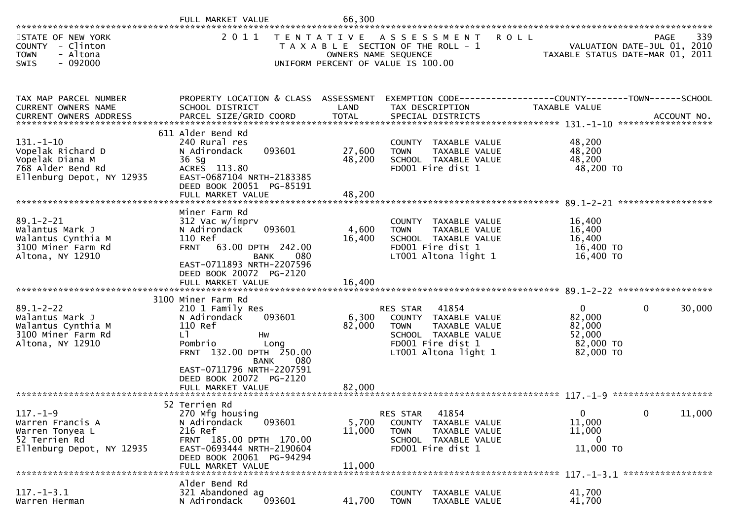|                                                                                                                                                                                                |                                                                                                                                                                                                                                           | 66,300                     |                                                                                                                                                |                                                                                |                                                   |
|------------------------------------------------------------------------------------------------------------------------------------------------------------------------------------------------|-------------------------------------------------------------------------------------------------------------------------------------------------------------------------------------------------------------------------------------------|----------------------------|------------------------------------------------------------------------------------------------------------------------------------------------|--------------------------------------------------------------------------------|---------------------------------------------------|
| STATE OF NEW YORK<br>COUNTY - Clinton<br>- Altona<br><b>TOWN</b><br>$-092000$<br>SWIS                                                                                                          | 2011                                                                                                                                                                                                                                      |                            | TENTATIVE ASSESSMENT<br>T A X A B L E SECTION OF THE ROLL - 1<br>OWNERS NAME SEQUENCE<br>UNIFORM PERCENT OF VALUE IS 100.00                    | <b>ROLL</b><br>VALUATION DATE-JUL 01, 2010<br>TAXABLE STATUS DATE-MAR 01, 2011 | 339<br><b>PAGE</b><br>VALUATION DATE-JUL 01, 2010 |
| TAX MAP PARCEL NUMBER<br>CURRENT OWNERS NAME<br>.4CCOUNT NO . PARCEL SIZE/GRID COORD TOTAL SPECIAL DISTRICTS SPERENT OWNERS ADDRESS PARCEL SIZE/GRID COORD TOTAL SPECIAL DISTRICTS ACCOUNT NO. | PROPERTY LOCATION & CLASS ASSESSMENT EXEMPTION CODE----------------COUNTY-------TOWN------SCHOOL<br>SCHOOL DISTRICT                                                                                                                       | LAND                       | TAX DESCRIPTION                                                                                                                                | TAXABLE VALUE                                                                  |                                                   |
| $131. - 1 - 10$<br>Vopelak Richard D<br>Vopelak Diana M<br>768 Alder Bend Rd<br>Ellenburg Depot, NY 12935                                                                                      | 611 Alder Bend Rd<br>240 Rural res<br>093601<br>N Adirondack<br>36 Sg<br>ACRES 113.80<br>EAST-0687104 NRTH-2183385<br>DEED BOOK 20051 PG-85191<br>FULL MARKET VALUE                                                                       | 27,600<br>48,200<br>48,200 | COUNTY TAXABLE VALUE<br>TAXABLE VALUE<br><b>TOWN</b><br>SCHOOL TAXABLE VALUE<br>FD001 Fire dist 1                                              | 48,200<br>48,200<br>48,200<br>48,200 TO                                        |                                                   |
| $89.1 - 2 - 21$<br>Walantus Mark J<br>Walantus Cynthia M<br>3100 Miner Farm Rd<br>Altona, NY 12910                                                                                             | Miner Farm Rd<br>312 Vac w/imprv<br>093601<br>N Adirondack<br>110 Ref<br>FRNT 63.00 DPTH 242.00<br>080<br><b>BANK</b><br>EAST-0711893 NRTH-2207596<br>DEED BOOK 20072 PG-2120<br>FULL MARKET VALUE                                        | 4,600<br>16,400<br>16,400  | COUNTY TAXABLE VALUE<br>TAXABLE VALUE<br><b>TOWN</b><br>SCHOOL TAXABLE VALUE<br>FD001 Fire dist 1<br>LT001 Altona light 1                      | 16,400<br>16,400<br>16,400<br>16,400 TO<br>16,400 TO                           |                                                   |
| $89.1 - 2 - 22$<br>Walantus Mark J<br>Walantus Cynthia M<br>3100 Miner Farm Rd<br>Altona, NY 12910                                                                                             | 3100 Miner Farm Rd<br>210 1 Family Res<br>093601<br>N Adirondack<br>110 Ref<br>LI.<br>Hw<br>Pombrio<br>Lona<br>FRNT 132.00 DPTH 250.00<br>080<br><b>BANK</b><br>EAST-0711796 NRTH-2207591<br>DEED BOOK 20072 PG-2120<br>FULL MARKET VALUE | 6,300<br>82,000<br>82,000  | 41854<br>RES STAR<br>COUNTY TAXABLE VALUE<br>TAXABLE VALUE<br><b>TOWN</b><br>SCHOOL TAXABLE VALUE<br>FD001 Fire dist 1<br>LT001 Altona light 1 | $\overline{0}$<br>82,000<br>82,000<br>52,000<br>82,000 TO<br>82,000 TO         | 30,000<br>$\mathbf{0}$                            |
| $117. - 1 - 9$<br>Warren Francis A<br>Warren Tonyea L<br>52 Terrien Rd<br>Ellenburg Depot, NY 12935                                                                                            | 52 Terrien Rd<br>270 Mfg housing<br>N Adirondack<br>093601<br>216 Ref<br>FRNT 185.00 DPTH 170.00<br>EAST-0693444 NRTH-2190604<br>DEED BOOK 20061 PG-94294<br>FULL MARKET VALUE                                                            | 5,700<br>11,000<br>11,000  | 41854<br>RES STAR<br><b>COUNTY</b><br>TAXABLE VALUE<br>TAXABLE VALUE<br><b>TOWN</b><br>SCHOOL TAXABLE VALUE<br>FD001 Fire dist 1               | 0<br>11,000<br>11,000<br>$\Omega$<br>11,000 TO                                 | 11,000<br>$\mathbf{0}$                            |
| $117. - 1 - 3.1$<br>Warren Herman                                                                                                                                                              | Alder Bend Rd<br>321 Abandoned ag<br>N Adirondack<br>093601                                                                                                                                                                               | 41,700                     | <b>COUNTY</b><br>TAXABLE VALUE<br>TAXABLE VALUE<br><b>TOWN</b>                                                                                 | 41,700<br>41,700                                                               |                                                   |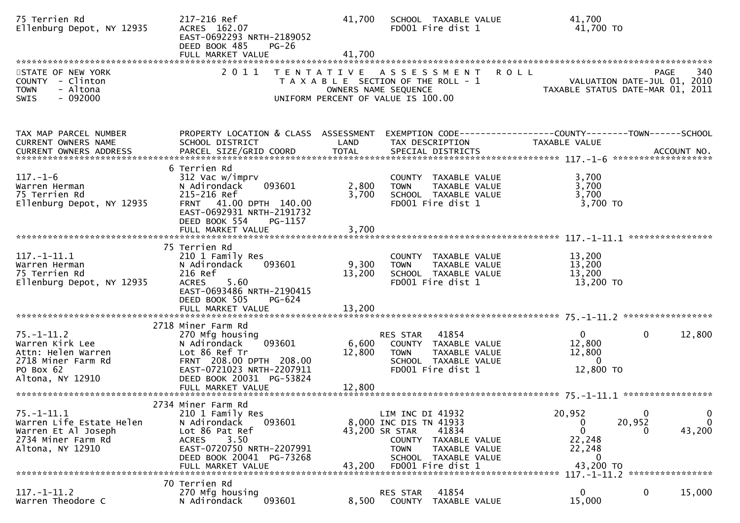| 75 Terrien Rd<br>Ellenburg Depot, NY 12935                                                                       | 217-216 Ref<br>ACRES 162.07<br>EAST-0692293 NRTH-2189052<br>DEED BOOK 485<br>$PG-26$<br>FULL MARKET VALUE                                                                                  | 41,700<br>41,700          | SCHOOL TAXABLE VALUE<br>FD001 Fire dist 1                                                                                                                                  | 41,700<br>41,700 TO                                                                                                                             |
|------------------------------------------------------------------------------------------------------------------|--------------------------------------------------------------------------------------------------------------------------------------------------------------------------------------------|---------------------------|----------------------------------------------------------------------------------------------------------------------------------------------------------------------------|-------------------------------------------------------------------------------------------------------------------------------------------------|
| STATE OF NEW YORK<br>COUNTY - Clinton<br>- Altona<br><b>TOWN</b><br>$-092000$<br><b>SWIS</b>                     | 2 0 1 1<br>T E N T A T I V E                                                                                                                                                               |                           | A S S E S S M E N T<br>T A X A B L E SECTION OF THE ROLL - 1<br>OWNERS NAME SEQUENCE<br>UNIFORM PERCENT OF VALUE IS 100.00                                                 | <b>ROLL</b><br>340<br>PAGE<br>VALUATION DATE-JUL 01, 2010<br>TAXABLE STATUS DATE-MAR 01, 2011                                                   |
| TAX MAP PARCEL NUMBER<br>CURRENT OWNERS NAME<br>CURRENT OWNERS ADDRESS                                           | PROPERTY LOCATION & CLASS ASSESSMENT<br>SCHOOL DISTRICT                                                                                                                                    | LAND                      | TAX DESCRIPTION                                                                                                                                                            | TAXABLE VALUE                                                                                                                                   |
| $117. - 1 - 6$<br>Warren Herman<br>75 Terrien Rd<br>Ellenburg Depot, NY 12935                                    | 6 Terrien Rd<br>312 Vac w/imprv<br>093601<br>N Adirondack<br>215-216 Ref<br>41.00 DPTH 140.00<br><b>FRNT</b><br>EAST-0692931 NRTH-2191732<br>DEED BOOK 554<br>PG-1157<br>FULL MARKET VALUE | 2,800<br>3,700<br>3,700   | COUNTY TAXABLE VALUE<br>TAXABLE VALUE<br><b>TOWN</b><br>SCHOOL TAXABLE VALUE<br>FD001 Fire dist 1                                                                          | 3,700<br>3,700<br>3,700<br>3,700 TO                                                                                                             |
| $117.-1-11.1$<br>Warren Herman<br>75 Terrien Rd<br>Ellenburg Depot, NY 12935                                     | 75 Terrien Rd<br>210 1 Family Res<br>093601<br>N Adirondack<br>216 Ref<br>5.60<br><b>ACRES</b><br>EAST-0693486 NRTH-2190415<br>DEED BOOK 505<br>PG-624<br>FULL MARKET VALUE                | 9,300<br>13,200<br>13,200 | COUNTY TAXABLE VALUE<br><b>TOWN</b><br>TAXABLE VALUE<br>SCHOOL TAXABLE VALUE<br>FD001 Fire dist 1                                                                          | 13,200<br>13,200<br>13,200<br>13,200 TO                                                                                                         |
| $75. - 1 - 11.2$<br>Warren Kirk Lee<br>Attn: Helen Warren<br>2718 Miner Farm Rd<br>PO Box 62<br>Altona, NY 12910 | 2718 Miner Farm Rd<br>270 Mfg housing<br>N Adirondack<br>093601<br>Lot 86 Ref Tr<br>FRNT 208.00 DPTH 208.00<br>EAST-0721023 NRTH-2207911<br>DEED BOOK 20031 PG-53824                       | 6,600<br>12,800           | 41854<br>RES STAR<br>COUNTY TAXABLE VALUE<br><b>TOWN</b><br>TAXABLE VALUE<br>SCHOOL TAXABLE VALUE<br>FD001 Fire dist 1                                                     | $\mathbf{0}$<br>$\mathbf{0}$<br>12,800<br>12,800<br>12,800<br>$\overline{0}$<br>12,800 TO                                                       |
| $75. - 1 - 11.1$<br>Warren Life Estate Helen<br>Warren Et Al Joseph<br>2734 Miner Farm Rd<br>Altona, NY 12910    | 2734 Miner Farm Rd<br>210 1 Family Res<br>N Adirondack<br>093601<br>Lot 86 Pat Ref<br>3.50<br><b>ACRES</b><br>EAST-0720750 NRTH-2207991<br>DEED BOOK 20041 PG-73268<br>FULL MARKET VALUE   | 43,200                    | LIM INC DI 41932<br>8,000 INC DIS TN 41933<br>43,200 SR STAR<br>41834<br>COUNTY TAXABLE VALUE<br><b>TOWN</b><br>TAXABLE VALUE<br>SCHOOL TAXABLE VALUE<br>FD001 Fire dist 1 | 20,952<br>$\mathbf 0$<br>$\mathbf 0$<br>20,952<br>$\mathbf{0}$<br>0<br>$\mathbf{0}$<br>43,200<br>$\Omega$<br>22,248<br>22,248<br>0<br>43,200 TO |
| $117. - 1 - 11.2$<br>Warren Theodore C                                                                           | 70 Terrien Rd<br>270 Mfg housing<br>093601<br>N Adirondack                                                                                                                                 | 8,500                     | 41854<br>RES STAR<br><b>COUNTY</b><br>TAXABLE VALUE                                                                                                                        | 0<br>15,000<br>$\mathbf 0$<br>15,000                                                                                                            |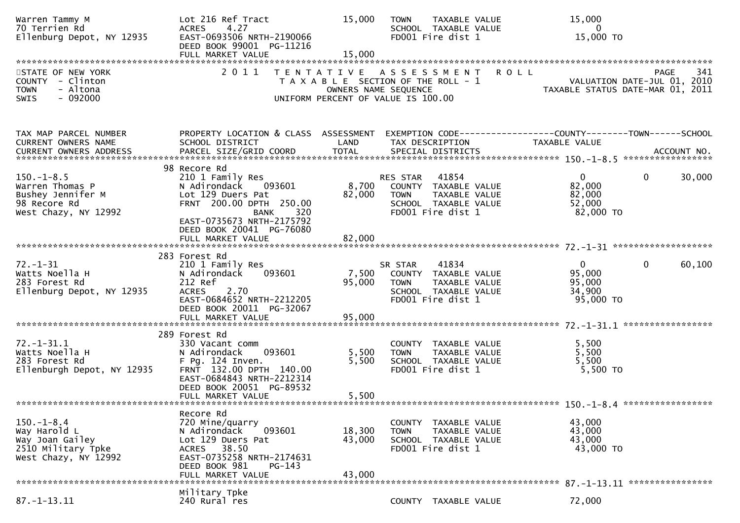| 2011<br>341<br>STATE OF NEW YORK<br><b>ROLL</b><br><b>PAGE</b><br>TENTATIVE ASSESSMENT<br>COUNTY - Clinton<br>VALUATION DATE-JUL 01, 2010<br>T A X A B L E SECTION OF THE ROLL - 1<br><b>TOWN</b><br>- Altona<br>OWNERS NAME SEQUENCE<br>TAXABLE STATUS DATE-MAR 01, 2011<br>$-092000$<br>UNIFORM PERCENT OF VALUE IS 100.00<br><b>SWIS</b><br>TAX MAP PARCEL NUMBER<br>PROPERTY LOCATION & CLASS ASSESSMENT<br>EXEMPTION CODE-----------------COUNTY-------TOWN------SCHOOL<br>CURRENT OWNERS NAME<br>SCHOOL DISTRICT<br>LAND<br>TAX DESCRIPTION<br>TAXABLE VALUE<br>98 Recore Rd<br>$\overline{0}$<br>$\mathbf 0$<br>210 1 Family Res<br>RES STAR 41854<br>30,000<br>82,000<br>8,700<br>Warren Thomas P<br>N Adirondack<br>093601<br>COUNTY TAXABLE VALUE<br>Bushey Jennifer M<br>Lot 129 Duers Pat<br>82,000<br><b>TOWN</b><br>TAXABLE VALUE<br>82,000<br>FRNT 200.00 DPTH 250.00<br>52,000<br>98 Recore Rd<br>SCHOOL TAXABLE VALUE<br>FD001 Fire dist 1<br>82,000 TO<br>West Chazy, NY 12992<br>BANK<br>320<br>EAST-0735673 NRTH-2175792<br>DEED BOOK 20041 PG-76080<br>FULL MARKET VALUE<br>82,000<br>283 Forest Rd<br>$72. - 1 - 31$<br>$\mathbf{0}$<br>$\mathbf{0}$<br>60,100<br>210 1 Family Res<br>41834<br>SR STAR<br>7,500<br>95,000<br>093601<br>Watts Noella H<br>N Adirondack<br>COUNTY TAXABLE VALUE<br>283 Forest Rd<br>212 Ref<br>95,000<br>95,000<br><b>TOWN</b><br>TAXABLE VALUE<br>Ellenburg Depot, NY 12935<br><b>ACRES</b><br>2.70<br>34,900<br>SCHOOL TAXABLE VALUE<br>EAST-0684652 NRTH-2212205<br>95,000 TO<br>FD001 Fire dist 1<br>DEED BOOK 20011 PG-32067<br>95,000<br>FULL MARKET VALUE<br>289 Forest Rd<br>$72. - 1 - 31.1$<br>5,500<br>330 Vacant comm<br>COUNTY TAXABLE VALUE<br>5,500<br>093601<br>5,500<br>Watts Noella H<br>TAXABLE VALUE<br>N Adirondack<br><b>TOWN</b><br>283 Forest Rd<br>5,500<br>$F$ Pg. 124 Inven.<br>5,500<br>SCHOOL TAXABLE VALUE<br>$5,500$ TO<br>Ellenburgh Depot, NY 12935<br>FRNT 132.00 DPTH 140.00<br>FD001 Fire dist 1<br>EAST-0684843 NRTH-2212314<br>DEED BOOK 20051 PG-89532<br>FULL MARKET VALUE<br>5,500<br>Recore Rd<br>$150. - 1 - 8.4$<br>720 Mine/quarry<br>TAXABLE VALUE<br>43,000<br>COUNTY<br>18,300<br>Way Harold L<br>093601<br>43,000<br>N Adirondack<br><b>TOWN</b><br>TAXABLE VALUE<br>Way Joan Gailey<br>Lot 129 Duers Pat<br>43,000<br>43,000<br>SCHOOL TAXABLE VALUE<br>2510 Military Tpke<br>38.50<br>43,000 TO<br>FD001 Fire dist 1<br>ACRES<br>West Chazy, NY 12992<br>EAST-0735258 NRTH-2174631<br>DEED BOOK 981<br>$PG-143$<br>FULL MARKET VALUE<br>43,000<br>87. -1-13. 11 *****************<br>Military Tpke<br>$87. - 1 - 13.11$<br>240 Rural res<br>72,000<br>COUNTY TAXABLE VALUE | Warren Tammy M<br>70 Terrien Rd<br>Ellenburg Depot, NY 12935 | Lot 216 Ref Tract<br><b>ACRES</b><br>4.27<br>EAST-0693506 NRTH-2190066<br>DEED BOOK 99001 PG-11216<br>FULL MARKET VALUE | 15,000<br>15,000 | <b>TOWN</b> | TAXABLE VALUE<br>SCHOOL TAXABLE VALUE<br>FD001 Fire dist 1 | 15,000<br>$\mathbf{0}$<br>15,000 TO |  |
|-----------------------------------------------------------------------------------------------------------------------------------------------------------------------------------------------------------------------------------------------------------------------------------------------------------------------------------------------------------------------------------------------------------------------------------------------------------------------------------------------------------------------------------------------------------------------------------------------------------------------------------------------------------------------------------------------------------------------------------------------------------------------------------------------------------------------------------------------------------------------------------------------------------------------------------------------------------------------------------------------------------------------------------------------------------------------------------------------------------------------------------------------------------------------------------------------------------------------------------------------------------------------------------------------------------------------------------------------------------------------------------------------------------------------------------------------------------------------------------------------------------------------------------------------------------------------------------------------------------------------------------------------------------------------------------------------------------------------------------------------------------------------------------------------------------------------------------------------------------------------------------------------------------------------------------------------------------------------------------------------------------------------------------------------------------------------------------------------------------------------------------------------------------------------------------------------------------------------------------------------------------------------------------------------------------------------------------------------------------------------------------------------------------------------------------------------------------------------------------------------------------------------------------------------------------------------------------------------------------------------------------------------------------------------------------|--------------------------------------------------------------|-------------------------------------------------------------------------------------------------------------------------|------------------|-------------|------------------------------------------------------------|-------------------------------------|--|
|                                                                                                                                                                                                                                                                                                                                                                                                                                                                                                                                                                                                                                                                                                                                                                                                                                                                                                                                                                                                                                                                                                                                                                                                                                                                                                                                                                                                                                                                                                                                                                                                                                                                                                                                                                                                                                                                                                                                                                                                                                                                                                                                                                                                                                                                                                                                                                                                                                                                                                                                                                                                                                                                                   |                                                              |                                                                                                                         |                  |             |                                                            |                                     |  |
|                                                                                                                                                                                                                                                                                                                                                                                                                                                                                                                                                                                                                                                                                                                                                                                                                                                                                                                                                                                                                                                                                                                                                                                                                                                                                                                                                                                                                                                                                                                                                                                                                                                                                                                                                                                                                                                                                                                                                                                                                                                                                                                                                                                                                                                                                                                                                                                                                                                                                                                                                                                                                                                                                   |                                                              |                                                                                                                         |                  |             |                                                            |                                     |  |
|                                                                                                                                                                                                                                                                                                                                                                                                                                                                                                                                                                                                                                                                                                                                                                                                                                                                                                                                                                                                                                                                                                                                                                                                                                                                                                                                                                                                                                                                                                                                                                                                                                                                                                                                                                                                                                                                                                                                                                                                                                                                                                                                                                                                                                                                                                                                                                                                                                                                                                                                                                                                                                                                                   | $150.-1-8.5$                                                 |                                                                                                                         |                  |             |                                                            |                                     |  |
|                                                                                                                                                                                                                                                                                                                                                                                                                                                                                                                                                                                                                                                                                                                                                                                                                                                                                                                                                                                                                                                                                                                                                                                                                                                                                                                                                                                                                                                                                                                                                                                                                                                                                                                                                                                                                                                                                                                                                                                                                                                                                                                                                                                                                                                                                                                                                                                                                                                                                                                                                                                                                                                                                   |                                                              |                                                                                                                         |                  |             |                                                            |                                     |  |
|                                                                                                                                                                                                                                                                                                                                                                                                                                                                                                                                                                                                                                                                                                                                                                                                                                                                                                                                                                                                                                                                                                                                                                                                                                                                                                                                                                                                                                                                                                                                                                                                                                                                                                                                                                                                                                                                                                                                                                                                                                                                                                                                                                                                                                                                                                                                                                                                                                                                                                                                                                                                                                                                                   |                                                              |                                                                                                                         |                  |             |                                                            |                                     |  |
|                                                                                                                                                                                                                                                                                                                                                                                                                                                                                                                                                                                                                                                                                                                                                                                                                                                                                                                                                                                                                                                                                                                                                                                                                                                                                                                                                                                                                                                                                                                                                                                                                                                                                                                                                                                                                                                                                                                                                                                                                                                                                                                                                                                                                                                                                                                                                                                                                                                                                                                                                                                                                                                                                   |                                                              |                                                                                                                         |                  |             |                                                            |                                     |  |
|                                                                                                                                                                                                                                                                                                                                                                                                                                                                                                                                                                                                                                                                                                                                                                                                                                                                                                                                                                                                                                                                                                                                                                                                                                                                                                                                                                                                                                                                                                                                                                                                                                                                                                                                                                                                                                                                                                                                                                                                                                                                                                                                                                                                                                                                                                                                                                                                                                                                                                                                                                                                                                                                                   |                                                              |                                                                                                                         |                  |             |                                                            |                                     |  |
|                                                                                                                                                                                                                                                                                                                                                                                                                                                                                                                                                                                                                                                                                                                                                                                                                                                                                                                                                                                                                                                                                                                                                                                                                                                                                                                                                                                                                                                                                                                                                                                                                                                                                                                                                                                                                                                                                                                                                                                                                                                                                                                                                                                                                                                                                                                                                                                                                                                                                                                                                                                                                                                                                   |                                                              |                                                                                                                         |                  |             |                                                            |                                     |  |
|                                                                                                                                                                                                                                                                                                                                                                                                                                                                                                                                                                                                                                                                                                                                                                                                                                                                                                                                                                                                                                                                                                                                                                                                                                                                                                                                                                                                                                                                                                                                                                                                                                                                                                                                                                                                                                                                                                                                                                                                                                                                                                                                                                                                                                                                                                                                                                                                                                                                                                                                                                                                                                                                                   |                                                              |                                                                                                                         |                  |             |                                                            |                                     |  |
|                                                                                                                                                                                                                                                                                                                                                                                                                                                                                                                                                                                                                                                                                                                                                                                                                                                                                                                                                                                                                                                                                                                                                                                                                                                                                                                                                                                                                                                                                                                                                                                                                                                                                                                                                                                                                                                                                                                                                                                                                                                                                                                                                                                                                                                                                                                                                                                                                                                                                                                                                                                                                                                                                   |                                                              |                                                                                                                         |                  |             |                                                            |                                     |  |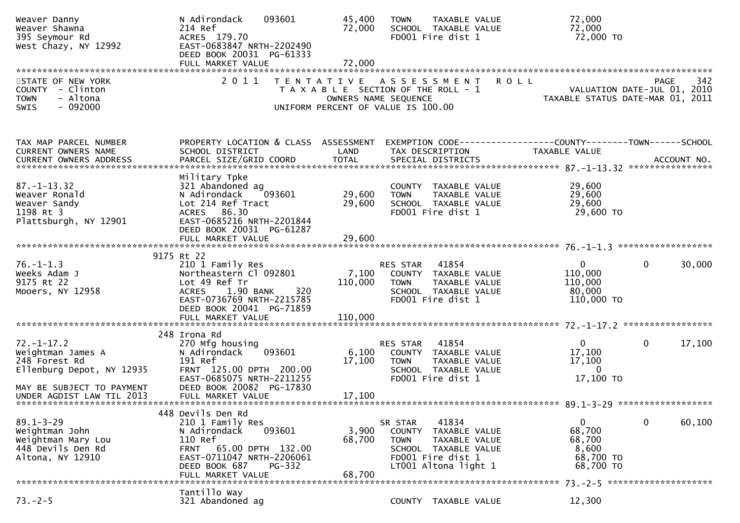| Weaver Danny<br>Weaver Shawna<br>395 Seymour Rd<br>West Chazy, NY 12992                                          | N Adirondack<br>093601<br>214 Ref<br>ACRES 179.70<br>EAST-0683847 NRTH-2202490<br>DEED BOOK 20031 PG-61333                                                             | 45,400<br>72,000                                                                                                            | <b>TOWN</b>                      | TAXABLE VALUE<br>SCHOOL TAXABLE VALUE<br>FD001 Fire dist 1                                                   |             | 72,000<br>72,000<br>72,000 TO                                                 |                                            |
|------------------------------------------------------------------------------------------------------------------|------------------------------------------------------------------------------------------------------------------------------------------------------------------------|-----------------------------------------------------------------------------------------------------------------------------|----------------------------------|--------------------------------------------------------------------------------------------------------------|-------------|-------------------------------------------------------------------------------|--------------------------------------------|
|                                                                                                                  |                                                                                                                                                                        |                                                                                                                             |                                  |                                                                                                              |             |                                                                               |                                            |
| STATE OF NEW YORK<br>COUNTY - Clinton<br>- Altona<br><b>TOWN</b><br>$-092000$<br>SWIS                            | 2011                                                                                                                                                                   | TENTATIVE ASSESSMENT<br>T A X A B L E SECTION OF THE ROLL - 1<br>OWNERS NAME SEQUENCE<br>UNIFORM PERCENT OF VALUE IS 100.00 |                                  |                                                                                                              | <b>ROLL</b> | TAXABLE STATUS DATE-MAR 01, 2011                                              | 342<br>PAGE<br>VALUATION DATE-JUL 01, 2010 |
| TAX MAP PARCEL NUMBER<br>CURRENT OWNERS NAME                                                                     | PROPERTY LOCATION & CLASS ASSESSMENT<br>SCHOOL DISTRICT                                                                                                                | LAND                                                                                                                        |                                  | TAX DESCRIPTION                                                                                              |             | EXEMPTION CODE-----------------COUNTY-------TOWN------SCHOOL<br>TAXABLE VALUE |                                            |
| $87. - 1 - 13.32$<br>Weaver Ronald<br>Weaver Sandy<br>1198 Rt 3<br>Plattsburgh, NY 12901                         | Military Tpke<br>321 Abandoned ag<br>093601<br>N Adirondack<br>Lot 214 Ref Tract<br>ACRES 86.30<br>EAST-0685216 NRTH-2201844<br>DEED BOOK 20031 PG-61287               | 29,600<br>29,600                                                                                                            | <b>TOWN</b>                      | COUNTY TAXABLE VALUE<br>TAXABLE VALUE<br>SCHOOL TAXABLE VALUE<br>FD001 Fire dist 1                           |             | 29,600<br>29,600<br>29,600<br>29,600 TO                                       |                                            |
|                                                                                                                  | FULL MARKET VALUE                                                                                                                                                      | 29,600                                                                                                                      |                                  |                                                                                                              |             |                                                                               |                                            |
|                                                                                                                  |                                                                                                                                                                        |                                                                                                                             |                                  |                                                                                                              |             |                                                                               |                                            |
| $76. - 1 - 1.3$<br>Weeks Adam J<br>9175 Rt 22<br>Mooers, NY 12958                                                | 9175 Rt 22<br>210 1 Family Res<br>Northeastern Cl 092801<br>Lot 49 Ref Tr<br>1.90 BANK<br><b>ACRES</b><br>320<br>EAST-0736769 NRTH-2215785<br>DEED BOOK 20041 PG-71859 | 7,100<br>110,000                                                                                                            | <b>RES STAR</b><br><b>TOWN</b>   | 41854<br>COUNTY TAXABLE VALUE<br>TAXABLE VALUE<br>SCHOOL TAXABLE VALUE<br>FD001 Fire dist 1                  |             | $\mathbf{0}$<br>110,000<br>110,000<br>80,000<br>110,000 TO                    | 30,000<br>0                                |
|                                                                                                                  | FULL MARKET VALUE                                                                                                                                                      | 110,000                                                                                                                     |                                  |                                                                                                              |             |                                                                               |                                            |
| $72. - 1 - 17.2$<br>Weightman James A<br>248 Forest Rd<br>Ellenburg Depot, NY 12935<br>MAY BE SUBJECT TO PAYMENT | 248 Irona Rd<br>270 Mfg housing<br>093601<br>N Adirondack<br>191 Ref<br>FRNT 125.00 DPTH 200.00<br>EAST-0685075 NRTH-2211255<br>DEED BOOK 20082 PG-17830               | 6,100<br>17,100                                                                                                             | RES STAR<br><b>TOWN</b>          | 41854<br>COUNTY TAXABLE VALUE<br>TAXABLE VALUE<br>SCHOOL TAXABLE VALUE<br>FD001 Fire dist 1                  |             | $\mathbf{0}$<br>17,100<br>17,100<br>$\Omega$<br>17,100 TO                     | 17,100<br>0                                |
| UNDER AGDIST LAW TIL 2013                                                                                        | FULL MARKET VALUE                                                                                                                                                      | 17,100                                                                                                                      |                                  |                                                                                                              |             |                                                                               |                                            |
| $89.1 - 3 - 29$<br>Weightman John<br>Weightman Mary Lou<br>448 Devils Den Rd<br>Altona, NY 12910                 | 448 Devils Den Rd<br>210 1 Family Res<br>N Adirondack<br>093601<br>110 Ref<br>65.00 DPTH 132.00<br><b>FRNT</b><br>EAST-0711047 NRTH-2206061<br>DEED BOOK 687<br>PG-332 | 3,900<br>68,700                                                                                                             | SR STAR<br>COUNTY<br><b>TOWN</b> | 41834<br>TAXABLE VALUE<br>TAXABLE VALUE<br>SCHOOL TAXABLE VALUE<br>FD001 Fire dist 1<br>LT001 Altona light 1 |             | 0<br>68,700<br>68,700<br>8,600<br>68,700 TO<br>68,700 TO                      | 0<br>60,100                                |
|                                                                                                                  | FULL MARKET VALUE                                                                                                                                                      | 68,700                                                                                                                      |                                  |                                                                                                              |             |                                                                               |                                            |
| $73. - 2 - 5$                                                                                                    | Tantillo Way<br>321 Abandoned ag                                                                                                                                       |                                                                                                                             |                                  | COUNTY TAXABLE VALUE                                                                                         |             | 12,300                                                                        |                                            |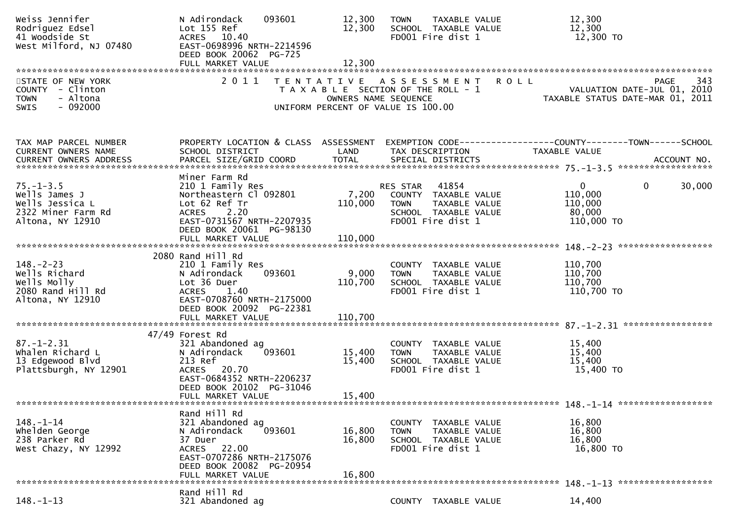| Weiss Jennifer<br>Rodriguez Edsel<br>41 Woodside St<br>West Milford, NJ 07480                | N Adirondack<br>093601<br>Lot 155 Ref<br>10.40<br><b>ACRES</b><br>EAST-0698996 NRTH-2214596<br>DEED BOOK 20062 PG-725                                                 | 12,300<br>12,300                                                                                                            | <b>TOWN</b>             | <b>TAXABLE VALUE</b><br>SCHOOL TAXABLE VALUE<br>FD001 Fire dist 1                           |             | 12,300<br>12,300<br>12,300 TO                   |                                                                                |
|----------------------------------------------------------------------------------------------|-----------------------------------------------------------------------------------------------------------------------------------------------------------------------|-----------------------------------------------------------------------------------------------------------------------------|-------------------------|---------------------------------------------------------------------------------------------|-------------|-------------------------------------------------|--------------------------------------------------------------------------------|
| STATE OF NEW YORK<br>COUNTY - Clinton<br>- Altona<br><b>TOWN</b><br>$-092000$<br><b>SWIS</b> | 2011                                                                                                                                                                  | TENTATIVE ASSESSMENT<br>T A X A B L E SECTION OF THE ROLL - 1<br>OWNERS NAME SEQUENCE<br>UNIFORM PERCENT OF VALUE IS 100.00 |                         |                                                                                             | <b>ROLL</b> |                                                 | 343<br>PAGE<br>VALUATION DATE-JUL 01, 2010<br>TAXABLE STATUS DATE-MAR 01, 2011 |
| TAX MAP PARCEL NUMBER<br>CURRENT OWNERS NAME                                                 | PROPERTY LOCATION & CLASS ASSESSMENT<br>SCHOOL DISTRICT                                                                                                               | LAND                                                                                                                        |                         | TAX DESCRIPTION                                                                             |             | <b>TAXABLE VALUE</b>                            |                                                                                |
| $75 - 1 - 3.5$<br>Wells James J<br>Wells Jessica L<br>2322 Miner Farm Rd<br>Altona, NY 12910 | Miner Farm Rd<br>210 1 Family Res<br>Northeastern Cl 092801<br>Lot 62 Ref Tr<br>2.20<br><b>ACRES</b><br>EAST-0731567 NRTH-2207935<br>DEED BOOK 20061 PG-98130         | 7,200<br>110,000                                                                                                            | RES STAR<br><b>TOWN</b> | 41854<br>COUNTY TAXABLE VALUE<br>TAXABLE VALUE<br>SCHOOL TAXABLE VALUE<br>FD001 Fire dist 1 |             | 0<br>110,000<br>110,000<br>80,000<br>110,000 TO | 30,000<br>0                                                                    |
|                                                                                              | FULL MARKET VALUE                                                                                                                                                     | 110,000                                                                                                                     |                         |                                                                                             |             |                                                 |                                                                                |
| $148. - 2 - 23$<br>Wells Richard<br>Wells Molly<br>2080 Rand Hill Rd<br>Altona, NY 12910     | 2080 Rand Hill Rd<br>210 1 Family Res<br>N Adirondack<br>093601<br>Lot 36 Duer<br><b>ACRES</b><br>1.40<br>EAST-0708760 NRTH-2175000<br>DEED BOOK 20092 PG-22381       | 9,000<br>110,700                                                                                                            | <b>TOWN</b>             | COUNTY TAXABLE VALUE<br>TAXABLE VALUE<br>SCHOOL TAXABLE VALUE<br>FD001 Fire dist 1          |             | 110,700<br>110,700<br>110,700<br>110,700 TO     |                                                                                |
|                                                                                              | FULL MARKET VALUE                                                                                                                                                     | 110,700                                                                                                                     |                         |                                                                                             |             |                                                 |                                                                                |
| $87. - 1 - 2.31$<br>Whalen Richard L<br>13 Edgewood Blvd<br>Plattsburgh, NY 12901            | 47/49 Forest Rd<br>321 Abandoned ag<br>093601<br>N Adirondack<br>213 Ref<br>ACRES 20.70<br>EAST-0684352 NRTH-2206237<br>DEED BOOK 20102 PG-31046<br>FULL MARKET VALUE | 15,400<br>15,400<br>15,400                                                                                                  | <b>TOWN</b>             | COUNTY TAXABLE VALUE<br>TAXABLE VALUE<br>SCHOOL TAXABLE VALUE<br>FD001 Fire dist 1          |             | 15,400<br>15,400<br>15,400<br>15,400 TO         |                                                                                |
|                                                                                              | Rand Hill Rd                                                                                                                                                          |                                                                                                                             |                         |                                                                                             |             |                                                 |                                                                                |
| $148. - 1 - 14$<br>whelden George<br>238 Parker Rd<br>West Chazy, NY 12992                   | 321 Abandoned ag<br>093601<br>N Adirondack<br>37 Duer<br>ACRES 22.00<br>EAST-0707286 NRTH-2175076<br>DEED BOOK 20082 PG-20954<br>FULL MARKET VALUE                    | 16,800<br>16,800<br>16,800                                                                                                  | <b>TOWN</b>             | COUNTY TAXABLE VALUE<br>TAXABLE VALUE<br>SCHOOL TAXABLE VALUE<br>FD001 Fire dist 1          |             | 16,800<br>16,800<br>16,800<br>16,800 TO         |                                                                                |
|                                                                                              | Rand Hill Rd                                                                                                                                                          |                                                                                                                             |                         |                                                                                             |             |                                                 |                                                                                |
| $148. - 1 - 13$                                                                              | 321 Abandoned ag                                                                                                                                                      |                                                                                                                             |                         | COUNTY TAXABLE VALUE                                                                        |             | 14,400                                          |                                                                                |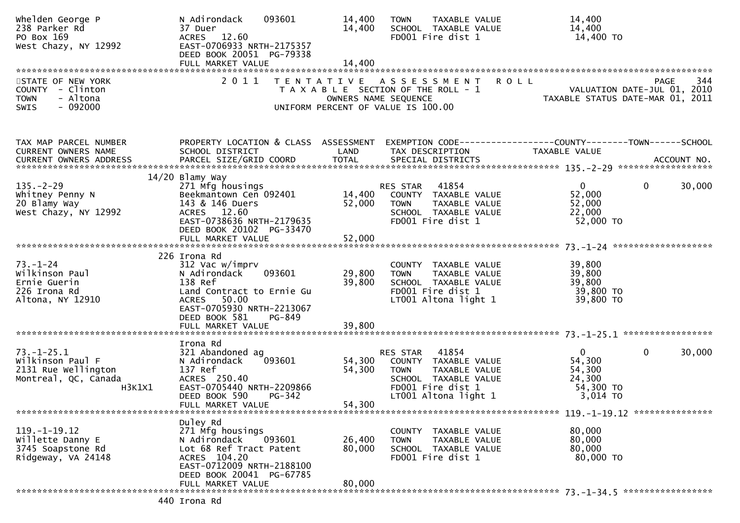| Whelden George P<br>238 Parker Rd<br>PO Box 169<br>West Chazy, NY 12992                       | N Adirondack<br>093601<br>37 Duer<br>ACRES 12.60<br>EAST-0706933 NRTH-2175357<br>DEED BOOK 20051 PG-79338                                                                       | 14,400<br>14,400           | TAXABLE VALUE<br><b>TOWN</b><br>SCHOOL TAXABLE VALUE<br>FD001 Fire dist 1                                                                      | 14,400<br>14,400<br>14,400 TO                                                                                                                                                             |
|-----------------------------------------------------------------------------------------------|---------------------------------------------------------------------------------------------------------------------------------------------------------------------------------|----------------------------|------------------------------------------------------------------------------------------------------------------------------------------------|-------------------------------------------------------------------------------------------------------------------------------------------------------------------------------------------|
| STATE OF NEW YORK<br>COUNTY - Clinton<br>- Altona<br><b>TOWN</b><br>$-092000$<br><b>SWIS</b>  | 2011                                                                                                                                                                            |                            | TENTATIVE ASSESSMENT ROLL<br>T A X A B L E SECTION OF THE ROLL - 1<br>OWNERS NAME SEQUENCE<br>UNIFORM PERCENT OF VALUE IS 100.00               | 344<br>PAGE<br>VALUATION DATE-JUL 01, 2010<br>TAXABLE STATUS DATE-MAR 01, 2011                                                                                                            |
| TAX MAP PARCEL NUMBER<br>CURRENT OWNERS NAME                                                  | PROPERTY LOCATION & CLASS ASSESSMENT<br>SCHOOL DISTRICT                                                                                                                         | LAND                       | TAX DESCRIPTION                                                                                                                                | EXEMPTION CODE-----------------COUNTY-------TOWN------SCHOOL<br><b>TAXABLE VALUE</b><br>CURRENT OWNERS ADDRESS PARCEL SIZE/GRID COORD TOTAL SPECIAL DISTRICTS 75 75 155.07779 ACCOUNT NO. |
| $135. - 2 - 29$<br>Whitney Penny N<br>20 Blamy Way<br>West Chazy, NY 12992                    | $14/20$ Blamy Way<br>271 Mfg housings<br>Beekmantown Cen 092401<br>143 & 146 Duers<br>ACRES 12.60<br>EAST-0738636 NRTH-2179635<br>DEED BOOK 20102 PG-33470<br>FULL MARKET VALUE | 14,400<br>52,000<br>52,000 | RES STAR 41854<br>COUNTY TAXABLE VALUE<br><b>TOWN</b><br>TAXABLE VALUE<br>SCHOOL TAXABLE VALUE<br>FD001 Fire dist 1                            | $\mathbf{0}$<br>30,000<br>$\overline{0}$<br>52,000<br>52,000<br>22,000<br>52,000 TO                                                                                                       |
| $73. - 1 - 24$<br>Wilkinson Paul<br>Ernie Guerin<br>226 Irona Rd<br>Altona, NY 12910          | 226 Irona Rd<br>312 Vac w/imprv<br>093601<br>N Adirondack<br>138 Ref<br>Land Contract to Ernie Gu<br>ACRES 50.00<br>EAST-0705930 NRTH-2213067<br>DEED BOOK 581<br>PG-849        | 29,800<br>39,800           | COUNTY TAXABLE VALUE<br>TAXABLE VALUE<br><b>TOWN</b><br>SCHOOL TAXABLE VALUE<br>FD001 Fire dist 1<br>LT001 Altona light 1                      | 39,800<br>39,800<br>39,800<br>39,800 TO<br>39,800 TO                                                                                                                                      |
| $73. - 1 - 25.1$<br>Wilkinson Paul F<br>2131 Rue Wellington<br>Montreal, QC, Canada<br>H3K1X1 | Irona Rd<br>321 Abandoned ag<br>093601<br>N Adirondack<br>137 Ref<br>ACRES 250.40<br>EAST-0705440 NRTH-2209866<br>DEED BOOK 590<br>$PG-342$<br>FULL MARKET VALUE                | 54,300<br>54,300<br>54,300 | 41854<br>RES STAR<br>COUNTY TAXABLE VALUE<br>TAXABLE VALUE<br><b>TOWN</b><br>SCHOOL TAXABLE VALUE<br>FD001 Fire dist 1<br>LT001 Altona light 1 | $\mathbf{0}$<br>0<br>30,000<br>54,300<br>54,300<br>24,300<br>54,300 TO<br>3,014 TO                                                                                                        |
| $119. - 1 - 19.12$<br>Willette Danny E<br>3745 Soapstone Rd<br>Ridgeway, VA 24148             | Duley Rd<br>271 Mfg housings<br>N Adirondack<br>093601<br>Lot 68 Ref Tract Patent<br>ACRES 104.20<br>EAST-0712009 NRTH-2188100<br>DEED BOOK 20041 PG-67785<br>FULL MARKET VALUE | 26,400<br>80,000<br>80,000 | COUNTY TAXABLE VALUE<br><b>TOWN</b><br>TAXABLE VALUE<br>SCHOOL TAXABLE VALUE<br>FD001 Fire dist 1                                              | 80,000<br>80,000<br>80,000<br>80,000 TO                                                                                                                                                   |
|                                                                                               | 440 Irona Rd                                                                                                                                                                    |                            |                                                                                                                                                |                                                                                                                                                                                           |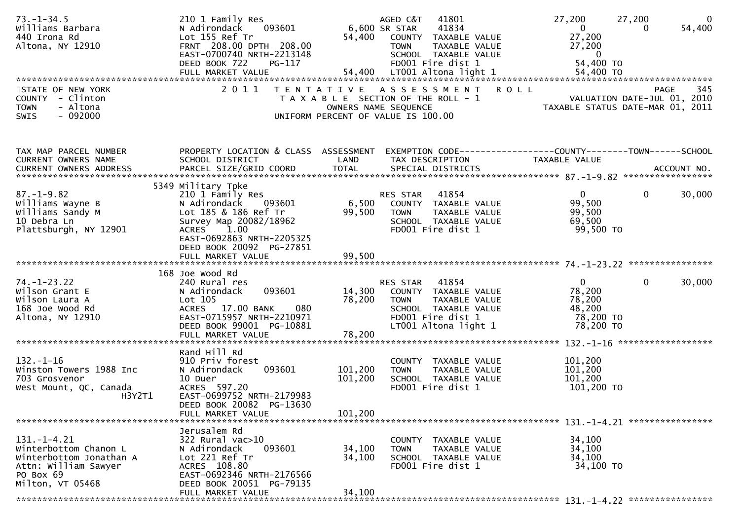| $73. - 1 - 34.5$<br>Williams Barbara<br>440 Irona Rd<br>Altona, NY 12910                                                       | 210 1 Family Res<br>093601<br>N Adirondack<br>Lot 155 Ref Tr<br>FRNT 208.00 DPTH 208.00<br>EAST-0700740 NRTH-2213148<br>DEED BOOK 722<br>PG-117                    |                               | 41801<br>AGED C&T<br>6,600 SR STAR<br>41834<br>54,400 COUNTY TAXABLE VALUE<br><b>TOWN</b><br>TAXABLE VALUE<br>SCHOOL TAXABLE VALUE<br>FD001 Fire dist 1 | 27,200<br>27,200<br>$\mathbf{0}$<br>27,200<br>27,200<br>$\overline{0}$<br>54,400 TO    | $\overline{0}$<br>54,400 |
|--------------------------------------------------------------------------------------------------------------------------------|--------------------------------------------------------------------------------------------------------------------------------------------------------------------|-------------------------------|---------------------------------------------------------------------------------------------------------------------------------------------------------|----------------------------------------------------------------------------------------|--------------------------|
| STATE OF NEW YORK                                                                                                              |                                                                                                                                                                    |                               | 2011 TENTATIVE ASSESSMENT ROLL                                                                                                                          |                                                                                        | 345<br><b>PAGE</b>       |
| COUNTY - Clinton<br><b>TOWN</b><br>- Altona<br>$-092000$<br><b>SWIS</b>                                                        |                                                                                                                                                                    |                               | T A X A B L E SECTION OF THE ROLL - 1<br>OWNERS NAME SEQUENCE<br>UNIFORM PERCENT OF VALUE IS 100.00                                                     | VALUATION DATE-JUL 01, 2010<br>TAXABLE STATUS DATE-MAR 01, 2011                        |                          |
| TAX MAP PARCEL NUMBER                                                                                                          | PROPERTY LOCATION & CLASS ASSESSMENT                                                                                                                               |                               | EXEMPTION CODE------------------COUNTY--------TOWN------SCHOOL                                                                                          |                                                                                        |                          |
| CURRENT OWNERS NAME                                                                                                            | SCHOOL DISTRICT                                                                                                                                                    | LAND                          | TAX DESCRIPTION                                                                                                                                         | TAXABLE VALUE                                                                          |                          |
|                                                                                                                                | 5349 Military Tpke                                                                                                                                                 |                               |                                                                                                                                                         |                                                                                        |                          |
| $87. - 1 - 9.82$<br>Williams Wayne B<br>Williams Sandy M<br>10 Debra Ln<br>Plattsburgh, NY 12901                               | 210 1 Family Res<br>N Adirondack 093601<br>Lot 185 & 186 Ref Tr<br>Survey Map 20082/18962<br>ACRES 1.00<br>EAST-0692863 NRTH-2205325                               | 6,500<br>99,500               | RES STAR<br>41854<br>COUNTY TAXABLE VALUE<br><b>TOWN</b><br>TAXABLE VALUE<br>SCHOOL TAXABLE VALUE<br>FD001 Fire dist 1                                  | $\mathbf{0}$<br>$\Omega$<br>99,500<br>99,500<br>69,500<br>99,500 TO                    | 30,000                   |
|                                                                                                                                | DEED BOOK 20092 PG-27851<br>FULL MARKET VALUE                                                                                                                      | 99,500                        |                                                                                                                                                         |                                                                                        |                          |
|                                                                                                                                |                                                                                                                                                                    |                               |                                                                                                                                                         |                                                                                        |                          |
| $74. - 1 - 23.22$<br>Wilson Grant E<br>Wilson Laura A<br>168 Joe Wood Rd<br>Altona, NY 12910                                   | 168 Joe Wood Rd<br>240 Rural res<br>093601<br>N Adirondack<br>Lot 105<br>ACRES 17.00 BANK<br>080<br>EAST-0715957 NRTH-2210971<br>DEED BOOK 99001 PG-10881          | 14,300<br>78,200              | RES STAR 41854<br>COUNTY TAXABLE VALUE<br><b>TOWN</b><br>TAXABLE VALUE<br>SCHOOL TAXABLE VALUE<br>FD001 Fire dist 1<br>LT001 Altona light 1             | $\overline{0}$<br>$\mathbf{0}$<br>78,200<br>78,200<br>48,200<br>78,200 TO<br>78,200 TO | 30,000                   |
|                                                                                                                                | FULL MARKET VALUE                                                                                                                                                  | 78,200                        |                                                                                                                                                         |                                                                                        | ******************       |
| $132. - 1 - 16$<br>Winston Towers 1988 Inc<br>703 Grosvenor<br>West Mount, QC, Canada<br>H3Y2T1                                | Rand Hill Rd<br>910 Priv forest<br>093601<br>N Adirondack<br>10 Duer<br>ACRES 597.20<br>EAST-0699752 NRTH-2179983<br>DEED BOOK 20082 PG-13630<br>FULL MARKET VALUE | 101,200<br>101,200<br>101,200 | COUNTY TAXABLE VALUE<br><b>TAXABLE VALUE</b><br><b>TOWN</b><br>SCHOOL TAXABLE VALUE<br>FD001 Fire dist 1                                                | 101,200<br>101,200<br>101,200<br>101,200 TO                                            |                          |
|                                                                                                                                | Jerusalem Rd                                                                                                                                                       |                               |                                                                                                                                                         |                                                                                        |                          |
| $131. - 1 - 4.21$<br>Winterbottom Chanon L<br>Winterbottom Jonathan A<br>Attn: William Sawyer<br>PO Box 69<br>Milton, VT 05468 | $322$ Rural vac $>10$<br>N Adirondack<br>093601<br>Lot 221 Ref Tr<br>ACRES 108.80<br>EAST-0692346 NRTH-2176566<br>DEED BOOK 20051 PG-79135                         | 34,100<br>34,100              | TAXABLE VALUE<br>COUNTY<br><b>TOWN</b><br>TAXABLE VALUE<br>SCHOOL TAXABLE VALUE<br>FD001 Fire dist 1                                                    | 34,100<br>34,100<br>34,100<br>34,100 TO                                                |                          |
|                                                                                                                                | FULL MARKET VALUE                                                                                                                                                  | 34,100                        |                                                                                                                                                         |                                                                                        |                          |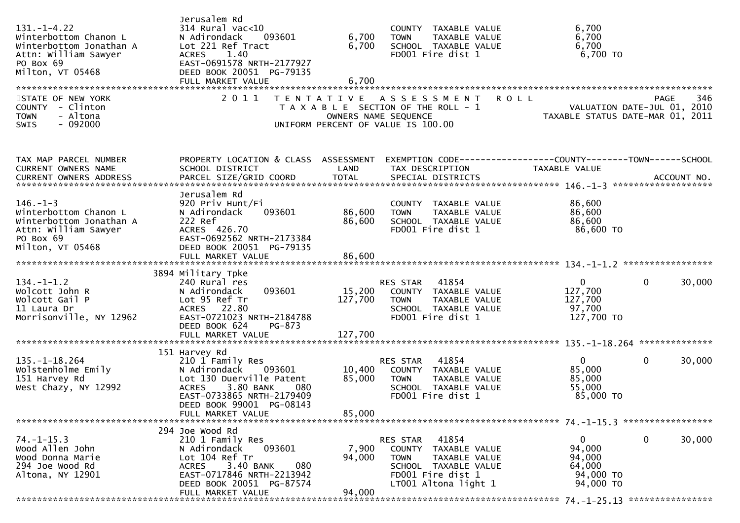| $131. - 1 - 4.22$<br>Winterbottom Chanon L<br>Winterbottom Jonathan A<br>Attn: William Sawyer<br>PO Box 69<br>Milton, VT 05468 | Jerusalem Rd<br>314 Rural vac<10<br>093601<br>N Adirondack<br>Lot 221 Ref Tract<br>1.40<br><b>ACRES</b><br>EAST-0691578 NRTH-2177927<br>DEED BOOK 20051 PG-79135                                          | 6,700<br>6,700             | COUNTY TAXABLE VALUE<br>TAXABLE VALUE<br><b>TOWN</b><br>SCHOOL TAXABLE VALUE<br>FD001 Fire dist 1                                              | 6,700<br>6,700<br>6,700<br>$6,700$ TO                                           |     |
|--------------------------------------------------------------------------------------------------------------------------------|-----------------------------------------------------------------------------------------------------------------------------------------------------------------------------------------------------------|----------------------------|------------------------------------------------------------------------------------------------------------------------------------------------|---------------------------------------------------------------------------------|-----|
| STATE OF NEW YORK<br>COUNTY - Clinton<br>- Altona<br><b>TOWN</b><br>SWIS<br>- 092000                                           | 2011<br>T E N T A T I V E                                                                                                                                                                                 | OWNERS NAME SEQUENCE       | <b>ROLL</b><br>A S S E S S M E N T<br>T A X A B L E SECTION OF THE ROLL - 1<br>UNIFORM PERCENT OF VALUE IS 100.00                              | PAGE<br>VALUATION DATE-JUL 01, 2010<br>TAXABLE STATUS DATE-MAR 01, 2011         | 346 |
| TAX MAP PARCEL NUMBER<br>CURRENT OWNERS NAME                                                                                   | PROPERTY LOCATION & CLASS ASSESSMENT<br>SCHOOL DISTRICT                                                                                                                                                   | LAND                       | TAX DESCRIPTION                                                                                                                                | EXEMPTION CODE------------------COUNTY--------TOWN------SCHOOL<br>TAXABLE VALUE |     |
| $146. - 1 - 3$<br>Winterbottom Chanon L<br>Winterbottom Jonathan A<br>Attn: William Sawyer<br>PO Box 69<br>Milton, VT 05468    | Jerusalem Rd<br>920 Priv Hunt/Fi<br>093601<br>N Adirondack<br>222 Ref<br>ACRES 426.70<br>EAST-0692562 NRTH-2173384<br>DEED BOOK 20051 PG-79135                                                            | 86,600<br>86,600           | COUNTY TAXABLE VALUE<br><b>TOWN</b><br>TAXABLE VALUE<br>SCHOOL TAXABLE VALUE<br>FD001 Fire dist 1                                              | 86,600<br>86,600<br>86,600<br>86,600 TO                                         |     |
|                                                                                                                                | FULL MARKET VALUE                                                                                                                                                                                         | 86,600                     |                                                                                                                                                |                                                                                 |     |
| $134. - 1 - 1.2$<br>Wolcott John R<br>Wolcott Gail P<br>11 Laura Dr<br>Morrisonville, NY 12962                                 | 3894 Military Tpke<br>240 Rural res<br>093601<br>N Adirondack<br>Lot 95 Ref Tr<br>ACRES 22.80<br>EAST-0721023 NRTH-2184788<br>DEED BOOK 624<br>PG-873                                                     | 15,200<br>127,700          | 41854<br>RES STAR<br>COUNTY TAXABLE VALUE<br><b>TAXABLE VALUE</b><br><b>TOWN</b><br>SCHOOL TAXABLE VALUE<br>FD001 Fire dist 1                  | $\mathbf{0}$<br>0<br>30,000<br>127,700<br>127,700<br>97,700<br>127,700 TO       |     |
|                                                                                                                                |                                                                                                                                                                                                           |                            |                                                                                                                                                |                                                                                 |     |
| $135. - 1 - 18.264$<br>Wolstenholme Emily<br>151 Harvey Rd<br>West Chazy, NY 12992                                             | 151 Harvey Rd<br>210 1 Family Res<br>N Adirondack<br>093601<br>Lot 130 Duerville Patent<br>3.80 BANK<br><b>ACRES</b><br>080<br>EAST-0733865 NRTH-2179409<br>DEED BOOK 99001 PG-08143<br>FULL MARKET VALUE | 10,400<br>85,000<br>85,000 | 41854<br>RES STAR<br>COUNTY TAXABLE VALUE<br><b>TOWN</b><br>TAXABLE VALUE<br>SCHOOL TAXABLE VALUE<br>FD001 Fire dist 1                         | $\mathbf{0}$<br>0<br>30,000<br>85,000<br>85,000<br>55,000<br>85,000 TO          |     |
|                                                                                                                                | 294 Joe Wood Rd                                                                                                                                                                                           |                            |                                                                                                                                                |                                                                                 |     |
| $74. - 1 - 15.3$<br>Wood Allen John<br>Wood Donna Marie<br>294 Joe Wood Rd<br>Altona, NY 12901                                 | 210 1 Family Res<br>093601<br>N Adirondack<br>Lot 104 Ref Tr<br>3.40 BANK<br>080<br><b>ACRES</b><br>EAST-0717846 NRTH-2213942<br>DEED BOOK 20051 PG-87574<br>FULL MARKET VALUE                            | 7,900<br>94,000<br>94,000  | 41854<br>RES STAR<br>COUNTY TAXABLE VALUE<br><b>TOWN</b><br>TAXABLE VALUE<br>SCHOOL TAXABLE VALUE<br>FD001 Fire dist 1<br>LT001 Altona light 1 | 0<br>0<br>30,000<br>94,000<br>94,000<br>64,000<br>94,000 TO<br>94,000 TO        |     |
|                                                                                                                                |                                                                                                                                                                                                           |                            |                                                                                                                                                |                                                                                 |     |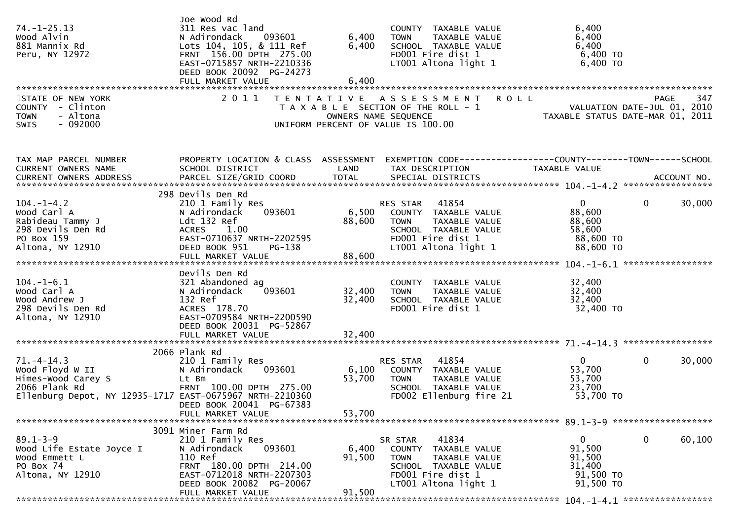| $74. - 1 - 25.13$<br>Wood Alvin<br>881 Mannix Rd<br>Peru, NY 12972                                                                    | Joe Wood Rd<br>311 Res vac land<br>N Adirondack<br>093601<br>Lots 104, 105, & 111 Ref<br>FRNT 156.00 DPTH 275.00<br>EAST-0715857 NRTH-2210336<br>DEED BOOK 20092 PG-24273             | 6,400<br>6,400            | COUNTY TAXABLE VALUE<br>TAXABLE VALUE<br><b>TOWN</b><br>SCHOOL TAXABLE VALUE<br>FD001 Fire dist 1<br>LT001 Altona light 1                         | 6,400<br>6,400<br>6,400<br>6,400 ТО<br>6,400 TO                                      |        |
|---------------------------------------------------------------------------------------------------------------------------------------|---------------------------------------------------------------------------------------------------------------------------------------------------------------------------------------|---------------------------|---------------------------------------------------------------------------------------------------------------------------------------------------|--------------------------------------------------------------------------------------|--------|
| STATE OF NEW YORK<br>COUNTY - Clinton<br>- Altona<br><b>TOWN</b><br>$-092000$<br><b>SWIS</b>                                          | 2011                                                                                                                                                                                  | OWNERS NAME SEQUENCE      | <b>ROLL</b><br>TENTATIVE ASSESSMENT<br>T A X A B L E SECTION OF THE ROLL - 1<br>UNIFORM PERCENT OF VALUE IS 100.00                                | PAGE 347<br>VALUATION DATE-JUL 01, 2010<br>TAXABLE STATUS DATE-MAR 01, 2011          | 347    |
| TAX MAP PARCEL NUMBER<br>CURRENT OWNERS NAME<br>CURRENT OWNERS ADDRESS                                                                | PROPERTY LOCATION & CLASS ASSESSMENT<br>SCHOOL DISTRICT                                                                                                                               | LAND                      | TAX DESCRIPTION                                                                                                                                   | EXEMPTION CODE------------------COUNTY-------TOWN------SCHOOL<br>TAXABLE VALUE       |        |
| $104. - 1 - 4.2$<br>Wood Carl A<br>Rabideau Tammy J<br>298 Devils Den Rd<br>PO Box 159<br>Altona, NY 12910                            | 298 Devils Den Rd<br>210 1 Family Res<br>093601<br>N Adirondack<br>Ldt 132 Ref<br><b>ACRES</b><br>1.00<br>EAST-0710637 NRTH-2202595<br>DEED BOOK 951<br>$PG-138$<br>FULL MARKET VALUE | 88,600<br>88,600          | RES STAR 41854<br>6,500 COUNTY TAXABLE VALUE<br>TAXABLE VALUE<br><b>TOWN</b><br>SCHOOL TAXABLE VALUE<br>FD001 Fire dist 1<br>LT001 Altona light 1 | $\mathbf{0}$<br>$\mathbf{0}$<br>88,600<br>88,600<br>58,600<br>88,600 TO<br>88,600 TO | 30,000 |
| $104.-1-6.1$<br>Wood Carl A<br>Wood Andrew J<br>298 Devils Den Rd<br>Altona, NY 12910                                                 | Devils Den Rd<br>321 Abandoned ag<br>093601<br>N Adirondack<br>132 Ref<br>ACRES 178.70<br>EAST-0709584 NRTH-2200590<br>DEED BOOK 20031 PG-52867                                       | 32,400<br>32,400          | COUNTY TAXABLE VALUE<br><b>TOWN</b><br>TAXABLE VALUE<br>SCHOOL TAXABLE VALUE<br>FD001 Fire dist 1                                                 | 32,400<br>32,400<br>32,400<br>32,400 TO                                              |        |
|                                                                                                                                       | 2066 Plank Rd                                                                                                                                                                         |                           |                                                                                                                                                   |                                                                                      |        |
| $71. -4 - 14.3$<br>Wood Floyd W II<br>Himes-Wood Carey S<br>2066 Plank Rd<br>Ellenburg Depot, NY 12935-1717 EAST-0675967 NRTH-2210360 | 210 1 Family Res<br>N Adirondack<br>093601<br>Lt Bm<br>FRNT 100.00 DPTH 275.00<br>DEED BOOK 20041 PG-67383                                                                            | 6,100<br>53,700           | 41854<br>RES STAR<br>COUNTY TAXABLE VALUE<br>TAXABLE VALUE<br><b>TOWN</b><br>SCHOOL TAXABLE VALUE<br>FD002 Ellenburg fire 21                      | $\mathbf{0}$<br>$\mathbf{0}$<br>53,700<br>53,700<br>23,700<br>53,700 TO              | 30,000 |
|                                                                                                                                       | FULL MARKET VALUE                                                                                                                                                                     | 53,700                    |                                                                                                                                                   |                                                                                      |        |
| $89.1 - 3 - 9$<br>Wood Life Estate Joyce I<br>Wood Emmett L<br>PO Box 74<br>Altona, NY 12910                                          | 3091 Miner Farm Rd<br>210 1 Family Res<br>N Adirondack<br>093601<br>110 Ref<br>FRNT 180.00 DPTH 214.00<br>EAST-0712018 NRTH-2207303<br>DEED BOOK 20082 PG-20067<br>FULL MARKET VALUE  | 6,400<br>91,500<br>91,500 | 41834<br>SR STAR<br>COUNTY TAXABLE VALUE<br><b>TOWN</b><br>TAXABLE VALUE<br>SCHOOL TAXABLE VALUE<br>FD001 Fire dist 1<br>LT001 Altona light 1     | 0<br>0<br>91,500<br>91,500<br>31,400<br>91,500 TO<br>91,500 TO                       | 60,100 |
|                                                                                                                                       |                                                                                                                                                                                       |                           |                                                                                                                                                   |                                                                                      |        |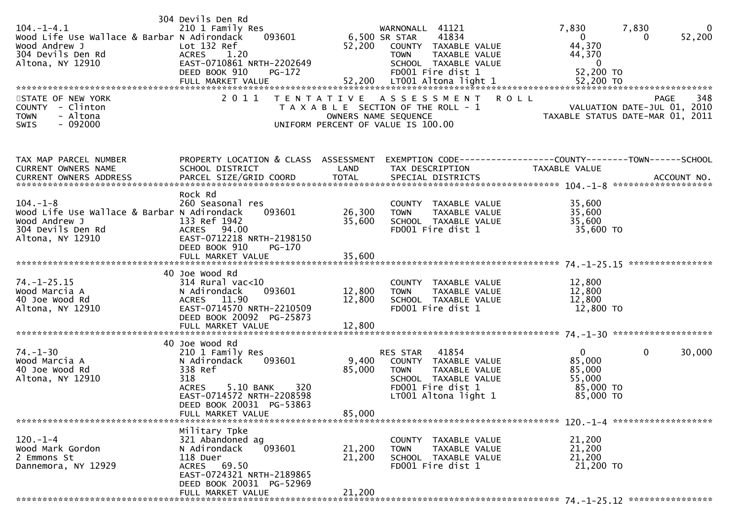| $104. - 1 - 4.1$<br>Wood Life Use Wallace & Barbar N Adirondack<br>Wood Andrew J<br>304 Devils Den Rd<br>Altona, NY 12910 | 304 Devils Den Rd<br>210 1 Family Res<br>093601<br>Lot 132 Ref<br><b>ACRES</b><br>1.20<br>EAST-0710861 NRTH-2202649<br>DEED BOOK 910<br>$PG-172$                                                 | 52,200                     | WARNONALL 41121<br>41834<br>6,500 SR STAR<br>COUNTY TAXABLE VALUE<br><b>TOWN</b><br>TAXABLE VALUE<br>SCHOOL TAXABLE VALUE<br>FD001 Fire dist 1   | 7,830<br>7,830<br>$\bf{0}$<br>52,200<br>$\overline{0}$<br>$\Omega$<br>44,370<br>44,370<br>$\mathbf{0}$<br>52,200 TO |
|---------------------------------------------------------------------------------------------------------------------------|--------------------------------------------------------------------------------------------------------------------------------------------------------------------------------------------------|----------------------------|--------------------------------------------------------------------------------------------------------------------------------------------------|---------------------------------------------------------------------------------------------------------------------|
| STATE OF NEW YORK<br>COUNTY - Clinton<br>- Altona<br><b>TOWN</b><br>SWIS<br>- 092000                                      | 2 0 1 1                                                                                                                                                                                          | T E N T A T I V E          | A S S E S S M E N T<br>T A X A B L E SECTION OF THE ROLL - 1<br>OWNERS NAME SEQUENCE<br>UNIFORM PERCENT OF VALUE IS 100.00                       | <b>ROLL</b><br>348<br><b>PAGE</b><br>VALUATION DATE-JUL 01, 2010<br>TAXABLE STATUS DATE-MAR 01, 2011                |
| TAX MAP PARCEL NUMBER<br>CURRENT OWNERS NAME                                                                              | SCHOOL DISTRICT                                                                                                                                                                                  | LAND                       | TAX DESCRIPTION                                                                                                                                  | PROPERTY LOCATION & CLASS ASSESSMENT EXEMPTION CODE----------------COUNTY-------TOWN------SCHOOL<br>TAXABLE VALUE   |
| $104. - 1 - 8$<br>Wood Life Use Wallace & Barbar N Adirondack<br>Wood Andrew J<br>304 Devils Den Rd<br>Altona, NY 12910   | Rock Rd<br>260 Seasonal res<br>093601<br>133 Ref 1942<br>ACRES 94.00<br>EAST-0712218 NRTH-2198150<br>DEED BOOK 910<br>$PG-170$<br>FULL MARKET VALUE                                              | 26,300<br>35,600<br>35,600 | COUNTY TAXABLE VALUE<br><b>TOWN</b><br>TAXABLE VALUE<br>SCHOOL TAXABLE VALUE<br>FD001 Fire dist 1                                                | 35,600<br>35,600<br>35,600<br>35,600 TO                                                                             |
| $74. - 1 - 25.15$<br>Wood Marcia A<br>40 Joe Wood Rd<br>Altona, NY 12910                                                  | 40 Joe Wood Rd<br>$314$ Rural vac< $10$<br>N Adirondack<br>093601<br>ACRES 11.90<br>EAST-0714570 NRTH-2210509<br>DEED BOOK 20092 PG-25873                                                        | 12,800<br>12,800           | COUNTY TAXABLE VALUE<br>TAXABLE VALUE<br><b>TOWN</b><br>SCHOOL TAXABLE VALUE<br>FD001 Fire dist 1                                                | 12,800<br>12,800<br>12,800<br>12,800 TO                                                                             |
| $74. - 1 - 30$<br>Wood Marcia A<br>40 Joe Wood Rd<br>Altona, NY 12910                                                     | 40 Joe Wood Rd<br>210 1 Family Res<br>N Adirondack<br>093601<br>338 Ref<br>318<br><b>ACRES</b><br>5.10 BANK<br>320<br>EAST-0714572 NRTH-2208598<br>DEED BOOK 20031 PG-53863<br>FULL MARKET VALUE | 9,400<br>85,000<br>85,000  | 41854<br>RES STAR<br>COUNTY TAXABLE VALUE<br><b>TOWN</b><br>TAXABLE VALUE<br>SCHOOL TAXABLE VALUE<br>FD001 Fire dist 1<br>$LT001$ Altona light 1 | $\mathbf{0}$<br>$\mathbf{0}$<br>30,000<br>85,000<br>85,000<br>55,000<br>85,000 TO<br>85,000 TO                      |
| $120. - 1 - 4$<br>Wood Mark Gordon<br>2 Emmons St<br>Dannemora, NY 12929                                                  | Military Tpke<br>321 Abandoned ag<br>093601<br>N Adirondack<br>118 Duer<br>ACRES 69.50<br>EAST-0724321 NRTH-2189865<br>DEED BOOK 20031 PG-52969<br>FULL MARKET VALUE                             | 21,200<br>21,200<br>21,200 | COUNTY TAXABLE VALUE<br><b>TOWN</b><br>TAXABLE VALUE<br>SCHOOL TAXABLE VALUE<br>FD001 Fire dist 1                                                | 21,200<br>21,200<br>21,200<br>21,200 TO                                                                             |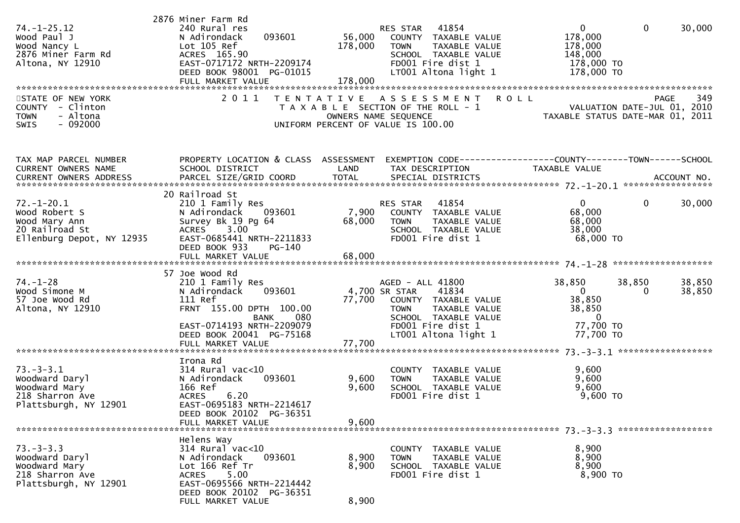| $74. - 1 - 25.12$<br>Wood Paul J<br>Wood Nancy L<br>2876 Miner Farm Rd<br>Altona, NY 12910<br>STATE OF NEW YORK<br>COUNTY - Clinton<br>- Altona<br><b>TOWN</b><br>$-092000$<br><b>SWIS</b> | 2876 Miner Farm Rd<br>240 Rural res<br>093601<br>N Adirondack<br>Lot 105 Ref<br>ACRES 165.90<br>EAST-0717172 NRTH-2209174<br>DEED BOOK 98001 PG-01015<br>2011                           | 41854<br>RES STAR<br>56,000<br>COUNTY TAXABLE VALUE<br>178,000<br>TAXABLE VALUE<br><b>TOWN</b><br>SCHOOL TAXABLE VALUE<br>FD001 Fire dist 1<br>LT001 Altona light 1<br>TENTATIVE ASSESSMENT<br>T A X A B L E SECTION OF THE ROLL - 1<br>OWNERS NAME SEQUENCE<br>UNIFORM PERCENT OF VALUE IS 100.00 | $\mathbf 0$<br>$\mathbf{0}$<br>30,000<br>178,000<br>178,000<br>148,000<br>178,000 TO<br>178,000 TO<br>PAGE 349<br>VALUATION DATE-JUL 01, 2010<br>TAXARLE STATIS DATE<br>TAXABLE STATUS DATE-MAR 01, 2011 |
|--------------------------------------------------------------------------------------------------------------------------------------------------------------------------------------------|-----------------------------------------------------------------------------------------------------------------------------------------------------------------------------------------|----------------------------------------------------------------------------------------------------------------------------------------------------------------------------------------------------------------------------------------------------------------------------------------------------|----------------------------------------------------------------------------------------------------------------------------------------------------------------------------------------------------------|
| TAX MAP PARCEL NUMBER<br>CURRENT OWNERS NAME                                                                                                                                               | PROPERTY LOCATION & CLASS ASSESSMENT<br>SCHOOL DISTRICT                                                                                                                                 | LAND<br>TAX DESCRIPTION<br>.CURRENT OWNERS ADDRESS PARCEL SIZE/GRID COORD TOTAL SPECIAL DISTRICTS ACCOUNT NO ACCOUNT NO ACCOUNT NO ACCOUNT                                                                                                                                                         | EXEMPTION CODE-----------------COUNTY--------TOWN------SCHOOL<br>TAXABLE VALUE                                                                                                                           |
| $72. - 1 - 20.1$<br>Wood Robert S<br>Wood Mary Ann<br>20 Railroad St<br>Ellenburg Depot, NY 12935                                                                                          | 20 Railroad St<br>210 1 Family Res<br>N Adirondack<br>093601<br>Survey Bk 19 Pg 64<br><b>ACRES</b><br>3.00<br>EAST-0685441 NRTH-2211833<br>DEED BOOK 933<br>PG-140<br>FULL MARKET VALUE | RES STAR 41854<br>7,900 COUNTY TAXABLE VALUE<br>68,000<br><b>TOWN</b><br>TAXABLE VALUE<br>SCHOOL TAXABLE VALUE<br>FD001 Fire dist 1<br>68,000                                                                                                                                                      | $\mathbf{0}$<br>$\mathbf{0}$<br>30,000<br>68,000<br>68,000<br>38,000<br>68,000 TO                                                                                                                        |
| 74. – 1–28<br>Wood Simone M<br>57 Joe Wood Rd<br>Altona, NY 12910                                                                                                                          | 57 Joe Wood Rd<br>210 1 Family Res<br>093601<br>N Adirondack<br>111 Ref<br>FRNT 155.00 DPTH 100.00<br>080<br>BANK<br>EAST-0714193 NRTH-2209079<br>DEED BOOK 20041 PG-75168              | AGED - ALL 41800<br>4,700 SR STAR<br>41834<br>77,700<br>COUNTY TAXABLE VALUE<br>TAXABLE VALUE<br><b>TOWN</b><br>SCHOOL TAXABLE VALUE<br>FD001 Fire dist 1<br>LT001 Altona light 1                                                                                                                  | 38,850<br>38,850<br>38,850<br>$\mathbf{0}$<br>38,850<br>$\Omega$<br>38,850<br>38,850<br>$\mathbf{0}$<br>77,700 TO<br>77,700 TO                                                                           |
| $73. - 3 - 3.1$<br>Woodward Daryl<br>Woodward Mary<br>218 Sharron Ave<br>Plattsburgh, NY 12901                                                                                             | Irona Rd<br>$314$ Rural vac<10<br>093601<br>N Adirondack<br>166 Ref<br>6.20<br><b>ACRES</b><br>EAST-0695183 NRTH-2214617<br>DEED BOOK 20102 PG-36351<br>FULL MARKET VALUE               | COUNTY TAXABLE VALUE<br>9,600<br>TAXABLE VALUE<br><b>TOWN</b><br>9,600<br>SCHOOL TAXABLE VALUE<br>FD001 Fire dist 1<br>9,600                                                                                                                                                                       | 9,600<br>9,600<br>9,600<br>$9,600$ TO                                                                                                                                                                    |
| $73. - 3 - 3.3$<br>Woodward Daryl<br>Woodward Mary<br>218 Sharron Ave<br>Plattsburgh, NY 12901                                                                                             | Helens Way<br>314 Rural vac<10<br>093601<br>N Adirondack<br>Lot 166 Ref Tr<br>5.00<br>ACRES<br>EAST-0695566 NRTH-2214442<br>DEED BOOK 20102 PG-36351<br>FULL MARKET VALUE               | COUNTY TAXABLE VALUE<br>8,900<br>TAXABLE VALUE<br>TOWN<br>8,900<br>SCHOOL TAXABLE VALUE<br>FD001 Fire dist 1<br>8,900                                                                                                                                                                              | 8,900<br>8,900<br>8,900<br>8,900 то                                                                                                                                                                      |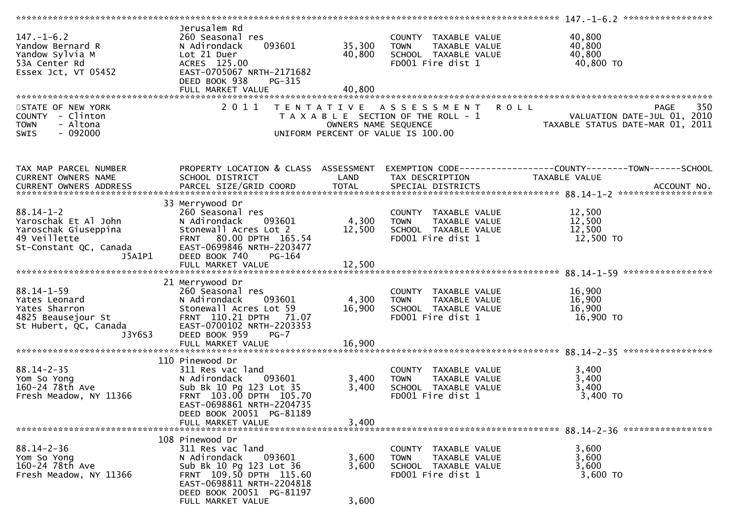| $147. - 1 - 6.2$<br>Yandow Bernard R<br>Yandow Sylvia M<br>53A Center Rd<br>Essex Jct, VT 05452                                                                                                                                            | Jerusalem Rd<br>260 Seasonal res<br>093601<br>N Adirondack<br>Lot 21 Duer<br>ACRES 125.00<br>EAST-0705067 NRTH-2171682<br>DEED BOOK 938<br>PG-315<br>FULL MARKET VALUE                            | 35,300<br>40,800<br>40,800 | COUNTY TAXABLE VALUE<br><b>TOWN</b><br>TAXABLE VALUE<br>SCHOOL TAXABLE VALUE<br>FD001 Fire dist 1                                | 40,800<br>40,800<br>40,800<br>40,800 TO                                                                           |
|--------------------------------------------------------------------------------------------------------------------------------------------------------------------------------------------------------------------------------------------|---------------------------------------------------------------------------------------------------------------------------------------------------------------------------------------------------|----------------------------|----------------------------------------------------------------------------------------------------------------------------------|-------------------------------------------------------------------------------------------------------------------|
| STATE OF NEW YORK<br>COUNTY - Clinton<br>- Altona<br><b>TOWN</b><br>$-092000$<br><b>SWIS</b>                                                                                                                                               | 2 0 1 1                                                                                                                                                                                           |                            | TENTATIVE ASSESSMENT ROLL<br>T A X A B L E SECTION OF THE ROLL - 1<br>OWNERS NAME SEQUENCE<br>UNIFORM PERCENT OF VALUE IS 100.00 | 350<br><b>PAGE</b><br>ROLL - 1<br>TAXABLE STATUS DATE-JUL 01, 2010<br>TAXABLE STATUS DATE-MAR 01, 2011            |
| TAX MAP PARCEL NUMBER<br>CURRENT OWNERS NAME                                                                                                                                                                                               | SCHOOL DISTRICT                                                                                                                                                                                   | LAND                       | TAX DESCRIPTION                                                                                                                  | PROPERTY LOCATION & CLASS ASSESSMENT EXEMPTION CODE----------------COUNTY-------TOWN------SCHOOL<br>TAXABLE VALUE |
|                                                                                                                                                                                                                                            |                                                                                                                                                                                                   |                            |                                                                                                                                  | CURRENT OWNERS ADDRESS PARCEL SIZE/GRID COORD TOTAL SPECIAL DISTRICTS 700. ACCOUNT NO.                            |
| $88.14 - 1 - 2$<br>88.14-1-4<br>Yaroschak Et Al John<br>Yaroschak Giuseppina<br>49 Veillette<br>st-Constant OC, Canada<br>J5A1P1                                                                                                           | 33 Merrywood Dr<br>260 Seasonal res<br>N Adirondack<br>093601<br>Stonewall Acres Lot 2<br>FRNT 80.00 DPTH 165.54<br>EAST-0699846 NRTH-2203477<br>DEED BOOK 740<br>$PG-164$                        | 4,300<br>12,500            | COUNTY TAXABLE VALUE<br>TOWN<br>TAXABLE VALUE<br>SCHOOL TAXABLE VALUE<br>FD001 Fire dist 1                                       | 12,500<br>12,500<br>12,500<br>12,500 TO                                                                           |
|                                                                                                                                                                                                                                            |                                                                                                                                                                                                   |                            |                                                                                                                                  |                                                                                                                   |
| $88.14 - 1 - 59$<br>Yates Leonard<br>Yates Sharron<br>4825 Beausejour St<br>St Hubert, QC, Canada<br>J3Y6S3                                                                                                                                | 21 Merrywood Dr<br>260 Seasonal res<br>N Adirondack<br>093601<br>Stonewall Acres Lot 59<br>FRNT 110.21 DPTH 71.07<br>EAST-0700102 NRTH-2203353<br>DEED BOOK 959<br>$PG-7$                         | 4,300<br>16,900            | COUNTY TAXABLE VALUE<br><b>TOWN</b><br>TAXABLE VALUE<br>SCHOOL TAXABLE VALUE<br>FD001 Fire dist 1                                | 16,900<br>16,900<br>16,900<br>16,900 TO                                                                           |
|                                                                                                                                                                                                                                            | FULL MARKET VALUE                                                                                                                                                                                 | 16,900                     |                                                                                                                                  |                                                                                                                   |
| $88.14 - 2 - 35$<br>Yom So Yong<br>$\label{eq:2.1} \frac{1}{\sqrt{2}}\int_{0}^{\infty}\frac{1}{\sqrt{2\pi}}\left(\frac{1}{\sqrt{2\pi}}\right)^{2\alpha} \frac{1}{\sqrt{2\pi}}\,d\mu_{\alpha}$<br>160-24 78th Ave<br>Fresh Meadow, NY 11366 | 110 Pinewood Dr<br>311 Res vac land<br>N Adirondack<br>093601<br>Sub Bk 10 Pg 123 Lot 35<br>FRNT 103.00 DPTH 105.70<br>EAST-0698861 NRTH-2204735                                                  | 3,400<br>3,400             | COUNTY TAXABLE VALUE<br>TAXABLE VALUE<br><b>TOWN</b><br>SCHOOL TAXABLE VALUE<br>FD001 Fire dist 1                                | 3,400<br>3,400<br>3,400<br>$3,400$ TO                                                                             |
|                                                                                                                                                                                                                                            | DEED BOOK 20051 PG-81189<br>FULL MARKET VALUE                                                                                                                                                     | 3,400                      |                                                                                                                                  |                                                                                                                   |
| $88.14 - 2 - 36$<br>Yom So Yong<br>160-24 78th Ave<br>Fresh Meadow, NY 11366                                                                                                                                                               | 108 Pinewood Dr<br>311 Res vac land<br>093601<br>N Adirondack<br>Sub Bk 10 Pg 123 Lot 36<br>FRNT 109.50 DPTH 115.60<br>EAST-0698811 NRTH-2204818<br>DEED BOOK 20051 PG-81197<br>FULL MARKET VALUE | 3,600<br>3,600<br>3,600    | COUNTY TAXABLE VALUE<br>TAXABLE VALUE<br><b>TOWN</b><br>SCHOOL TAXABLE VALUE<br>FD001 Fire dist 1                                | 3,600<br>3,600<br>3,600<br>3,600 TO                                                                               |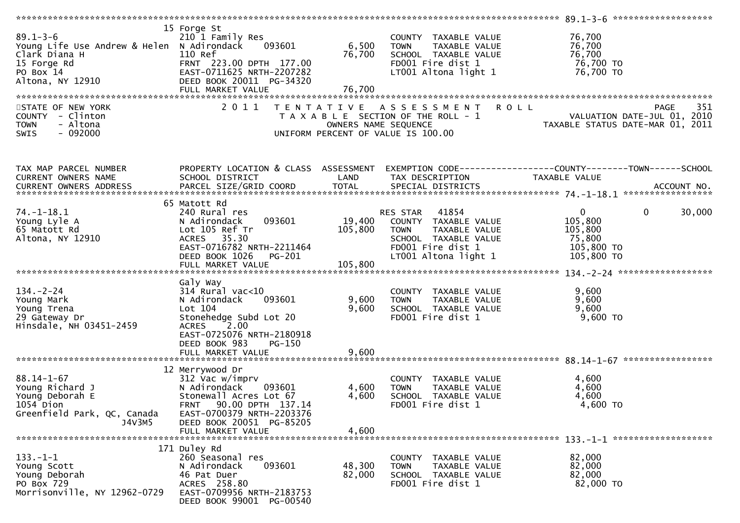| $89.1 - 3 - 6$<br>Young Life Use Andrew & Helen N Adirondack<br>Clark Diana H<br>15 Forge Rd<br>PO Box 14<br>Altona, NY 12910 | 15 Forge St<br>210 1 Family Res<br>093601<br>110 Ref<br>FRNT 223.00 DPTH 177.00<br>EAST-0711625 NRTH-2207282<br>DEED BOOK 20011 PG-34320<br>FULL MARKET VALUE                          | 6,500<br>76,700<br>76,700 | COUNTY TAXABLE VALUE<br>TAXABLE VALUE<br><b>TOWN</b><br>SCHOOL TAXABLE VALUE<br>FD001 Fire dist 1<br>LT001 Altona light 1               | 76,700<br>76,700<br>76,700<br>76,700 TO<br>76,700 TO                                                 |
|-------------------------------------------------------------------------------------------------------------------------------|----------------------------------------------------------------------------------------------------------------------------------------------------------------------------------------|---------------------------|-----------------------------------------------------------------------------------------------------------------------------------------|------------------------------------------------------------------------------------------------------|
| STATE OF NEW YORK                                                                                                             | 2011                                                                                                                                                                                   |                           | TENTATIVE ASSESSMENT                                                                                                                    | <b>ROLL</b><br>351<br><b>PAGE</b>                                                                    |
| COUNTY - Clinton<br>- Altona<br><b>TOWN</b><br>$-092000$<br>SWIS                                                              |                                                                                                                                                                                        |                           | T A X A B L E SECTION OF THE ROLL - 1<br>OWNERS NAME SEQUENCE<br>UNIFORM PERCENT OF VALUE IS 100.00                                     | VALUATION DATE-JUL 01, 2010<br>TAXABLE STATUS DATE-MAR 01, 2011                                      |
| TAX MAP PARCEL NUMBER<br>CURRENT OWNERS NAME                                                                                  | PROPERTY LOCATION & CLASS ASSESSMENT<br>SCHOOL DISTRICT                                                                                                                                | LAND                      | TAX DESCRIPTION                                                                                                                         | EXEMPTION CODE-----------------COUNTY-------TOWN------SCHOOL<br>TAXABLE VALUE                        |
| CURRENT OWNERS ADDRESS                                                                                                        |                                                                                                                                                                                        |                           |                                                                                                                                         |                                                                                                      |
| $74. - 1 - 18.1$<br>Young Lyle A<br>65 Matott Rd<br>Altona, NY 12910                                                          | 65 Matott Rd<br>240 Rural res<br>093601<br>N Adirondack<br>Lot 105 Ref Tr<br>ACRES 35.30<br>EAST-0716782 NRTH-2211464<br>DEED BOOK 1026<br>PG-201                                      | 19,400<br>105,800         | 41854<br>RES STAR<br>COUNTY TAXABLE VALUE<br>TAXABLE VALUE<br>TOWN<br>SCHOOL TAXABLE VALUE<br>FD001 Fire dist 1<br>LT001 Altona light 1 | $\overline{0}$<br>30,000<br>$\mathbf{0}$<br>105,800<br>105,800<br>75,800<br>105,800 TO<br>105,800 TO |
|                                                                                                                               |                                                                                                                                                                                        |                           |                                                                                                                                         |                                                                                                      |
| $134. - 2 - 24$<br>Young Mark<br>Young Trena<br>29 Gateway Dr<br>Hinsdale, NH 03451-2459                                      | Galy Way<br>314 Rural vac<10<br>N Adirondack<br>093601<br>Lot 104<br>Stonehedge Subd Lot 20<br>ACRES 2.00<br>EAST-0725076 NRTH-2180918<br>DEED BOOK 983<br>PG-150<br>FULL MARKET VALUE | 9,600<br>9,600<br>9,600   | COUNTY TAXABLE VALUE<br>TAXABLE VALUE<br><b>TOWN</b><br>SCHOOL TAXABLE VALUE<br>FD001 Fire dist 1                                       | 9,600<br>9,600<br>9,600<br>$9,600$ TO                                                                |
|                                                                                                                               |                                                                                                                                                                                        |                           |                                                                                                                                         |                                                                                                      |
| $88.14 - 1 - 67$<br>Young Richard J<br>Young Deborah E<br>$1054$ Dion<br>Greenfield Park, QC, Canada<br>J4V3M5                | 12 Merrywood Dr<br>312 Vac w/imprv<br>N Adirondack<br>093601<br>Stonewall Acres Lot 67<br>FRNT 90.00 DPTH 137.14<br>EAST-0700379 NRTH-2203376<br>DEED BOOK 20051 PG-85205              | 4,600<br>4,600            | COUNTY TAXABLE VALUE<br>TAXABLE VALUE<br><b>TOWN</b><br>SCHOOL TAXABLE VALUE<br>FD001 Fire dist 1                                       | 4,600<br>4,600<br>4,600<br>4,600 TO                                                                  |
|                                                                                                                               | FULL MARKET VALUE                                                                                                                                                                      | 4,600                     |                                                                                                                                         |                                                                                                      |
| $133. - 1 - 1$<br>Young Scott<br>Young Deborah<br>PO Box 729<br>Morrisonville, NY 12962-0729                                  | 171 Duley Rd<br>260 Seasonal res<br>093601<br>N Adirondack<br>46 Pat Duer<br>ACRES 258.80<br>EAST-0709956 NRTH-2183753<br>DEED BOOK 99001 PG-00540                                     | 48,300<br>82,000          | COUNTY TAXABLE VALUE<br>TAXABLE VALUE<br><b>TOWN</b><br>SCHOOL TAXABLE VALUE<br>FD001 Fire dist 1                                       | 82,000<br>82,000<br>82,000<br>82,000 TO                                                              |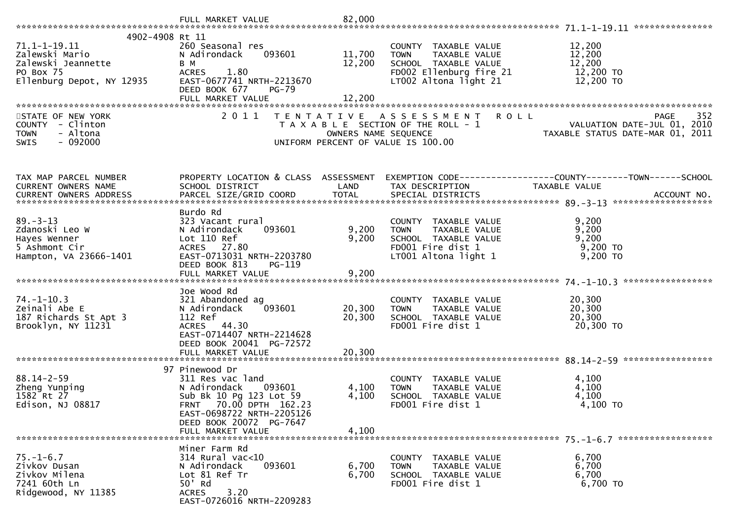| 4902-4908 Rt 11<br>$71.1 - 1 - 19.11$<br>Zalewski Mario<br>Zalewski Jeannette<br>PO Box 75<br>Ellenburg Depot, NY 12935 | 260 Seasonal res<br>093601<br>N Adirondack<br>B M<br><b>ACRES</b><br>1.80<br>EAST-0677741 NRTH-2213670<br>DEED BOOK 677<br>$PG-79$<br>FULL MARKET VALUE                                        | 11,700<br>12,200<br>12,200 | COUNTY TAXABLE VALUE<br><b>TOWN</b><br>TAXABLE VALUE<br>SCHOOL TAXABLE VALUE<br>FD002 Ellenburg fire 21<br>LT002 Altona light 21 | 12,200<br>12,200<br>12,200<br>12,200 TO<br>12,200 TO                                                                            |
|-------------------------------------------------------------------------------------------------------------------------|------------------------------------------------------------------------------------------------------------------------------------------------------------------------------------------------|----------------------------|----------------------------------------------------------------------------------------------------------------------------------|---------------------------------------------------------------------------------------------------------------------------------|
| STATE OF NEW YORK                                                                                                       | 2011                                                                                                                                                                                           |                            | TENTATIVE ASSESSMENT ROLL                                                                                                        | 352                                                                                                                             |
| COUNTY - Clinton<br>- Altona<br><b>TOWN</b><br>SWIS<br>$-092000$                                                        |                                                                                                                                                                                                |                            |                                                                                                                                  | PAGE 352<br>OWNERS NAME SEQUENCE<br>OWNERS NAME SEQUENCE TAXABLE STATUS DATE-MAR 01, 2011<br>UNIFORM PERCENT OF VALUE IS 100.00 |
| TAX MAP PARCEL NUMBER                                                                                                   |                                                                                                                                                                                                |                            |                                                                                                                                  | PROPERTY LOCATION & CLASS ASSESSMENT EXEMPTION CODE----------------COUNTY-------TOWN------SCHOOL                                |
| CURRENT OWNERS NAME                                                                                                     | SCHOOL DISTRICT                                                                                                                                                                                | LAND                       | TAX DESCRIPTION                                                                                                                  | TAXABLE VALUE                                                                                                                   |
| CURRENT OWNERS ADDRESS                                                                                                  |                                                                                                                                                                                                |                            |                                                                                                                                  |                                                                                                                                 |
|                                                                                                                         |                                                                                                                                                                                                |                            |                                                                                                                                  |                                                                                                                                 |
| $89. - 3 - 13$<br>Zdanoski Leo W<br>Hayes Wenner<br>5 Ashmont Cir<br>Hampton, VA 23666-1401                             | Burdo Rd<br>323 Vacant rural<br>N Adirondack<br>093601<br>Lot 110 Ref<br>ACRES 27.80<br>EAST-0713031 NRTH-2203780<br>DEED BOOK 813<br>PG-119                                                   | 9,200<br>9,200             | COUNTY TAXABLE VALUE<br>TAXABLE VALUE<br><b>TOWN</b><br>SCHOOL TAXABLE VALUE<br>FD001 Fire dist 1<br>LT001 Altona light 1        | 9,200<br>9,200<br>9,200<br>9,200 TO<br>$9,200$ TO                                                                               |
|                                                                                                                         |                                                                                                                                                                                                |                            |                                                                                                                                  |                                                                                                                                 |
| $74. - 1 - 10.3$<br>Zeinali Abe E<br>187 Richards St Apt 3<br>Brooklyn, NY 11231                                        | Joe Wood Rd<br>321 Abandoned ag<br>093601<br>N Adirondack<br>112 Ref<br>ACRES 44.30<br>EAST-0714407 NRTH-2214628<br>DEED BOOK 20041 PG-72572                                                   | 20,300<br>20,300           | COUNTY TAXABLE VALUE<br><b>TOWN</b><br>TAXABLE VALUE<br>SCHOOL TAXABLE VALUE<br>FD001 Fire dist 1                                | 20,300<br>20,300<br>20,300<br>20,300 TO                                                                                         |
|                                                                                                                         |                                                                                                                                                                                                |                            |                                                                                                                                  |                                                                                                                                 |
| $88.14 - 2 - 59$<br>Zheng Yunping<br>1582 Rt 27<br>Edison, NJ 08817                                                     | 97 Pinewood Dr<br>311 Res vac land<br>N Adirondack<br>093601<br>Sub Bk 10 Pg 123 Lot 59<br>FRNT 70.00 DPTH 162.23<br>EAST-0698722 NRTH-2205126<br>DEED BOOK 20072 PG-7647<br>FULL MARKET VALUE | 4,100<br>4,100<br>4,100    | COUNTY TAXABLE VALUE<br><b>TOWN</b><br>TAXABLE VALUE<br>SCHOOL TAXABLE VALUE<br>FD001 Fire dist 1                                | 4,100<br>4,100<br>4,100<br>4,100 TO                                                                                             |
|                                                                                                                         |                                                                                                                                                                                                |                            |                                                                                                                                  |                                                                                                                                 |
| $75. - 1 - 6.7$<br>Zivkov Dusan<br>Zivkov Milena<br>7241 60th Ln<br>Ridgewood, NY 11385                                 | Miner Farm Rd<br>$314$ Rural vac<10<br>N Adirondack<br>093601<br>Lot 81 Ref Tr<br>50' Rd<br><b>ACRES</b><br>3.20<br>EAST-0726016 NRTH-2209283                                                  | 6,700<br>6,700             | COUNTY TAXABLE VALUE<br>TAXABLE VALUE<br><b>TOWN</b><br>SCHOOL TAXABLE VALUE<br>FD001 Fire dist 1                                | 6,700<br>6,700<br>6,700<br>6,700 TO                                                                                             |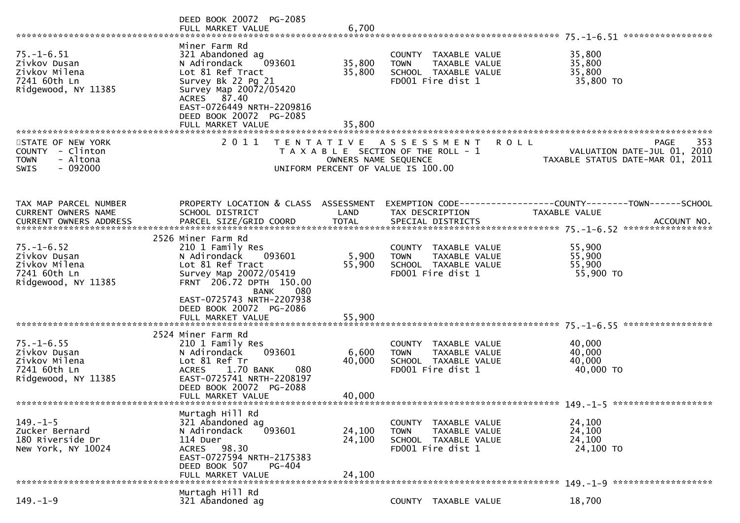|                                                                                          | DEED BOOK 20072 PG-2085<br>FULL MARKET VALUE                                                                                                                                                                                | 6,700                      |                                                                                                     |                                                                                                  |
|------------------------------------------------------------------------------------------|-----------------------------------------------------------------------------------------------------------------------------------------------------------------------------------------------------------------------------|----------------------------|-----------------------------------------------------------------------------------------------------|--------------------------------------------------------------------------------------------------|
| $75. - 1 - 6.51$<br>Zivkov Dusan<br>Zivkov Milena<br>7241 60th Ln<br>Ridgewood, NY 11385 | Miner Farm Rd<br>321 Abandoned ag<br>N Adirondack<br>093601<br>Lot 81 Ref Tract<br>Survey Bk 22 Pg 21<br>Survey Map 20072/05420<br>ACRES 87.40<br>EAST-0726449 NRTH-2209816<br>DEED BOOK 20072 PG-2085<br>FULL MARKET VALUE | 35,800<br>35,800<br>35,800 | COUNTY TAXABLE VALUE<br>TAXABLE VALUE<br><b>TOWN</b><br>SCHOOL TAXABLE VALUE<br>FD001 Fire dist 1   | 35,800<br>35,800<br>35,800<br>35,800 TO                                                          |
| STATE OF NEW YORK<br>COUNTY - Clinton<br>- Altona<br><b>TOWN</b><br>$-092000$<br>SWIS    | 2011                                                                                                                                                                                                                        | OWNERS NAME SEQUENCE       | TENTATIVE ASSESSMENT<br>T A X A B L E SECTION OF THE ROLL - 1<br>UNIFORM PERCENT OF VALUE IS 100.00 | 353<br><b>PAGE</b><br>R O L L<br>VALUATION DATE-JUL 01, 2010<br>TAXABLE STATUS DATE-MAR 01, 2011 |
| TAX MAP PARCEL NUMBER<br>CURRENT OWNERS NAME                                             | PROPERTY LOCATION & CLASS ASSESSMENT<br>SCHOOL DISTRICT                                                                                                                                                                     | LAND                       | TAX DESCRIPTION                                                                                     | <b>TAXABLE VALUE</b>                                                                             |
| $75. - 1 - 6.52$<br>Zivkov Dusan<br>Zivkov Milena<br>7241 60th Ln<br>Ridgewood, NY 11385 | 2526 Miner Farm Rd<br>210 1 Family Res<br>093601<br>N Adirondack<br>Lot 81 Ref Tract<br>Survey Map 20072/05419<br>FRNT 206.72 DPTH 150.00<br><b>BANK</b><br>080                                                             | 5,900<br>55,900            | COUNTY TAXABLE VALUE<br>TAXABLE VALUE<br><b>TOWN</b><br>SCHOOL TAXABLE VALUE<br>FD001 Fire dist 1   | 55,900<br>55,900<br>55,900<br>55,900 TO                                                          |
|                                                                                          | EAST-0725743 NRTH-2207938<br>DEED BOOK 20072 PG-2086<br>FULL MARKET VALUE                                                                                                                                                   | 55,900                     |                                                                                                     |                                                                                                  |
| $75. - 1 - 6.55$<br>Zivkov Dusan<br>Zivkov Milena<br>7241 60th Ln<br>Ridgewood, NY 11385 | 2524 Miner Farm Rd<br>210 1 Family Res<br>093601<br>N Adirondack<br>Lot 81 Ref Tr<br>1.70 BANK<br>080<br><b>ACRES</b><br>EAST-0725741 NRTH-2208197<br>DEED BOOK 20072 PG-2088<br>FULL MARKET VALUE                          | 6,600<br>40,000<br>40,000  | COUNTY TAXABLE VALUE<br>TAXABLE VALUE<br><b>TOWN</b><br>SCHOOL TAXABLE VALUE<br>FD001 Fire dist 1   | 40,000<br>40,000<br>40,000<br>40,000 TO                                                          |
| $149. - 1 - 5$<br>Zucker Bernard<br>180 Riverside Dr<br>New York, NY 10024               | Murtagh Hill Rd<br>321 Abandoned ag<br>093601<br>N Adirondack<br>114 Duer<br>ACRES 98.30<br>EAST-0727594 NRTH-2175383<br>DEED BOOK 507<br><b>PG-404</b><br>FULL MARKET VALUE                                                | 24,100<br>24,100<br>24,100 | COUNTY TAXABLE VALUE<br>TAXABLE VALUE<br>TOWN<br>SCHOOL TAXABLE VALUE<br>FD001 Fire dist 1          | 24,100<br>24,100<br>24,100<br>24,100 TO                                                          |
| $149. - 1 - 9$                                                                           | Murtagh Hill Rd<br>321 Abandoned ag                                                                                                                                                                                         |                            | COUNTY TAXABLE VALUE                                                                                | 149. -1-9 ********************<br>18,700                                                         |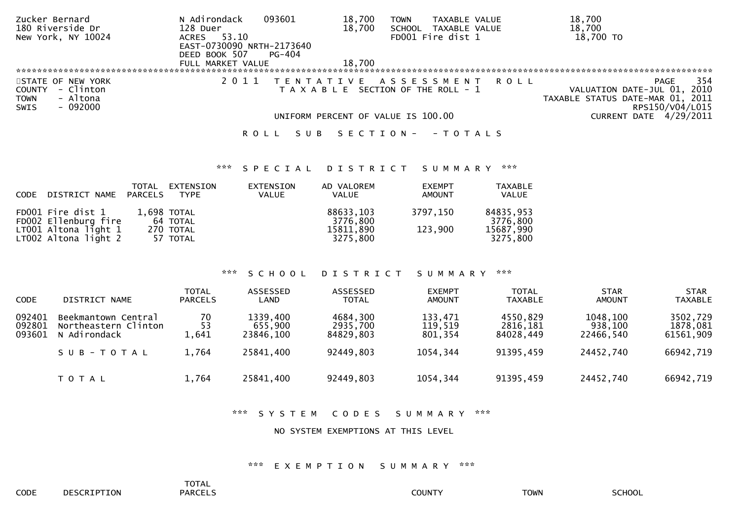| Zucker Bernard          | N Adirondack<br>093601    | 18,700<br>TAXABLE VALUE<br><b>TOWN</b>   | 18,700                           |
|-------------------------|---------------------------|------------------------------------------|----------------------------------|
| 180 Riverside Dr        | 128 Duer                  | 18,700<br><b>SCHOOL</b><br>TAXABLE VALUE | 18,700                           |
| New York, NY 10024      | 53.10<br>ACRES            | FD001 Fire dist 1                        | 18,700 TO                        |
|                         | EAST-0730090 NRTH-2173640 |                                          |                                  |
|                         | DEED BOOK 507<br>PG-404   |                                          |                                  |
|                         | FULL MARKET VALUE         | 18.700                                   |                                  |
|                         |                           |                                          |                                  |
| STATE OF NEW YORK       |                           | TENTATIVE ASSESSMENT                     | 354<br>R O L L<br>PAGE           |
| - Clinton<br>COUNTY     |                           | T A X A B L E SECTION OF THE ROLL - 1    | VALUATION DATE-JUL 01, 2010      |
| - Altona<br><b>TOWN</b> |                           |                                          | TAXABLE STATUS DATE-MAR 01, 2011 |
| - 092000<br>SWIS        |                           |                                          | RPS150/V04/L015                  |
|                         |                           | UNIFORM PERCENT OF VALUE IS 100.00       | <b>CURRENT DATE 4/29/2011</b>    |
|                         | S U B<br>ROLL             | S E C T I O N -<br>- T O T A L S         |                                  |

### \*\*\* S P E C I A L D I S T R I C T S U M M A R Y \*\*\*

| CODE DISTRICT NAME                             | TOTAL<br>PARCELS | EXTENSION<br><b>TYPE</b> | EXTENSION<br><b>VALUE</b> | AD VALOREM<br><b>VALUE</b> | <b>EXEMPT</b><br>AMOUNT | <b>TAXABLE</b><br>VALUE |
|------------------------------------------------|------------------|--------------------------|---------------------------|----------------------------|-------------------------|-------------------------|
| FD001 Fire dist 1<br>FD002 Ellenburg fire      |                  | 1,698 TOTAL<br>64 TOTAL  |                           | 88633,103<br>3776,800      | 3797.150                | 84835,953<br>3776,800   |
| $LT001$ Altona light 1<br>LT002 Altona light 2 |                  | 270 TOTAL<br>57 TOTAL    |                           | 15811,890<br>3275.800      | 123,900                 | 15687,990<br>3275,800   |

### \*\*\* S C H O O L D I S T R I C T S U M M A R Y \*\*\*

| <b>CODE</b>                | DISTRICT NAME                                               | <b>TOTAL</b><br><b>PARCELS</b> | <b>ASSESSED</b><br>LAND          | ASSESSED<br><b>TOTAL</b>          | <b>EXEMPT</b><br><b>AMOUNT</b> | <b>TOTAL</b><br><b>TAXABLE</b>    | <b>STAR</b><br><b>AMOUNT</b>     | <b>STAR</b><br><b>TAXABLE</b>     |
|----------------------------|-------------------------------------------------------------|--------------------------------|----------------------------------|-----------------------------------|--------------------------------|-----------------------------------|----------------------------------|-----------------------------------|
| 092401<br>092801<br>093601 | Beekmantown Central<br>Northeastern Clinton<br>N Adirondack | 70<br>53<br>1,641              | 1339,400<br>655,900<br>23846.100 | 4684,300<br>2935,700<br>84829.803 | 133,471<br>119,519<br>801,354  | 4550,829<br>2816,181<br>84028.449 | 1048,100<br>938,100<br>22466.540 | 3502,729<br>1878,081<br>61561,909 |
|                            | SUB-TOTAL                                                   | 1,764                          | 25841,400                        | 92449,803                         | 1054,344                       | 91395,459                         | 24452,740                        | 66942,719                         |
|                            | T O T A L                                                   | 1,764                          | 25841,400                        | 92449,803                         | 1054,344                       | 91395,459                         | 24452,740                        | 66942,719                         |

### \*\*\* S Y S T E M C O D E S S U M M A R Y \*\*\*

#### NO SYSTEM EXEMPTIONS AT THIS LEVEL

### \*\*\* E X E M P T I O N S U M M A R Y \*\*\*

TOTAL**PARCELS**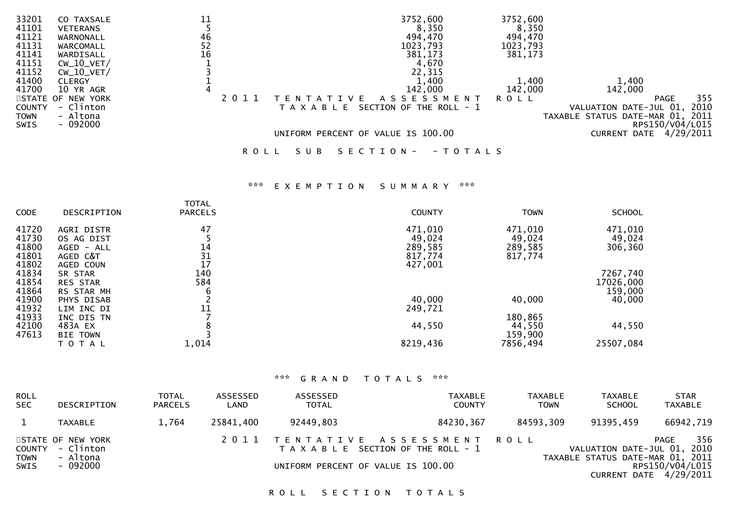| 33201         | CO TAXSALE        |                                         | 3752,600                                 | 3752,600 |                                  |
|---------------|-------------------|-----------------------------------------|------------------------------------------|----------|----------------------------------|
| 41101         | <b>VETERANS</b>   |                                         | 8,350                                    | 8,350    |                                  |
| 41121         | WARNONALL         | 46                                      | 494,470                                  | 494,470  |                                  |
| 41131         | WARCOMALL         | $\begin{array}{c} 52 \\ 16 \end{array}$ | 1023,793                                 | 1023,793 |                                  |
| 41141         | WARDISALL         |                                         | 381,173                                  | 381,173  |                                  |
| 41151         | $CW_10_VET/$      |                                         | 4,670                                    |          |                                  |
| 41152         | $CW_10_VET/$      |                                         | 22,315                                   |          |                                  |
| 41400         | <b>CLERGY</b>     |                                         | 1,400                                    | 1,400    | 1,400                            |
| 41700         | 10 YR AGR         |                                         | 142,000                                  | 142,000  | 142,000                          |
|               | STATE OF NEW YORK |                                         | A S S E S S M E N T<br>∵V F              | ROLL     | 355<br><b>PAGE</b>               |
| <b>COUNTY</b> | - Clinton         |                                         | SECTION OF THE ROLL - 1<br>T A X A B L E |          | VALUATION DATE-JUL 01, 2010      |
| <b>TOWN</b>   | - Altona          |                                         |                                          |          | TAXABLE STATUS DATE-MAR 01, 2011 |
| SWIS          | $-092000$         |                                         |                                          |          | RPS150/V04/L015                  |
|               |                   |                                         | UNIFORM PERCENT OF VALUE IS 100.00       |          | 4/29/2011<br>CURRENT DATE        |
|               |                   |                                         |                                          |          |                                  |

R O L L S U B S E C T I O N - - T O T A L S

# \*\*\* E X E M P T I O N S U M M A R Y \*\*\*

|             |                 | TOTAL          |               |             |               |
|-------------|-----------------|----------------|---------------|-------------|---------------|
| <b>CODE</b> | DESCRIPTION     | <b>PARCELS</b> | <b>COUNTY</b> | <b>TOWN</b> | <b>SCHOOL</b> |
| 41720       | AGRI DISTR      | 47             | 471,010       | 471,010     | 471,010       |
| 41730       | OS AG DIST      |                | 49,024        | 49,024      | 49,024        |
| 41800       | AGED - ALL      | 14             | 289,585       | 289,585     | 306,360       |
| 41801       | AGED C&T        | 31             | 817,774       | 817,774     |               |
| 41802       | AGED COUN       | 17             | 427,001       |             |               |
| 41834       | SR STAR         | 140            |               |             | 7267,740      |
| 41854       | <b>RES STAR</b> | 584            |               |             | 17026,000     |
| 41864       | RS STAR MH      | 6              |               |             | 159,000       |
| 41900       | PHYS DISAB      |                | 40,000        | 40,000      | 40,000        |
| 41932       | LIM INC DI      | 11             | 249,721       |             |               |
| 41933       | INC DIS TN      |                |               | 180,865     |               |
| 42100       | 483A EX         |                | 44,550        | 44,550      | 44,550        |
| 47613       | <b>BIE TOWN</b> |                |               | 159,900     |               |
|             | T O T A L       | 1,014          | 8219,436      | 7856,494    | 25507,084     |
|             |                 |                |               |             |               |

### \*\*\* G R A N D T O T A L S \*\*\*

| <b>ROLL</b>                  |                                            | TOTAL          | ASSESSED  | ASSESSED     | TAXABLE                                                                 | TAXABLE     | <b>TAXABLE</b>                                                  | <b>STAR</b>                                 |
|------------------------------|--------------------------------------------|----------------|-----------|--------------|-------------------------------------------------------------------------|-------------|-----------------------------------------------------------------|---------------------------------------------|
| <b>SEC</b>                   | DESCRIPTION                                | <b>PARCELS</b> | LAND      | <b>TOTAL</b> | <b>COUNTY</b>                                                           | <b>TOWN</b> | <b>SCHOOL</b>                                                   | TAXABLE                                     |
|                              | <b>TAXABLE</b>                             | 1.764          | 25841,400 | 92449,803    | 84230,367                                                               | 84593,309   | 91395,459                                                       | 66942,719                                   |
| <b>COUNTY</b><br><b>TOWN</b> | STATE OF NEW YORK<br>- Clinton<br>- Altona |                |           |              | 2011 TENTATIVE ASSESSMENT ROLL<br>T A X A B L E SECTION OF THE ROLL - 1 |             | VALUATION DATE-JUL 01, 2010<br>TAXABLE STATUS DATE-MAR 01, 2011 | 356<br>PAGE                                 |
| <b>SWIS</b>                  | - 092000                                   |                |           |              | UNIFORM PERCENT OF VALUE IS 100.00                                      |             |                                                                 | RPS150/V04/L015<br>CURRENT DATE $4/29/2011$ |

ROLL SECTION TOTALS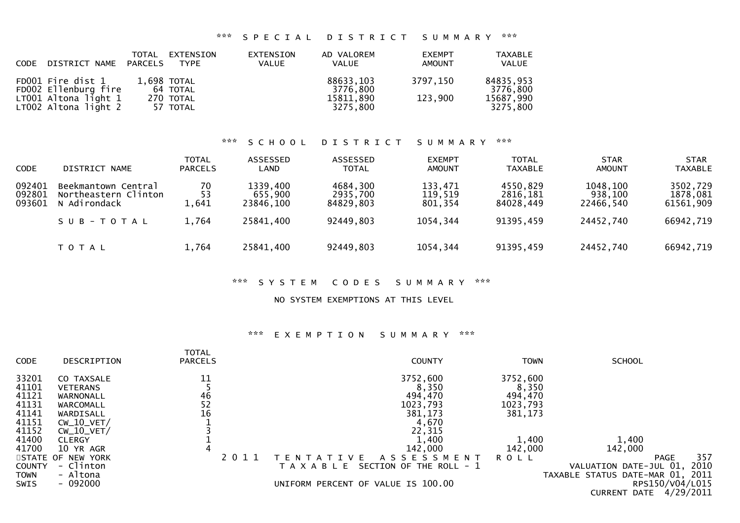# \*\*\* S P E C I A L D I S T R I C T S U M M A R Y \*\*\*

| CODE DISTRICT NAME PARCELS                   | TOTAL | EXTENSION<br>TYPE       | EXTENSION<br><b>VALUE</b> | AD VALOREM<br><b>VALUE</b> | <b>EXEMPT</b><br>AMOUNT | <b>TAXABLE</b><br><b>VALUE</b> |
|----------------------------------------------|-------|-------------------------|---------------------------|----------------------------|-------------------------|--------------------------------|
| FD001 Fire dist 1<br>FD002 Ellenburg fire    |       | 1,698 TOTAL<br>64 TOTAL |                           | 88633,103<br>3776.800      | 3797.150                | 84835,953<br>3776,800          |
| LT001 Altona light 1<br>LT002 Altona light 2 |       | 270 TOTAL<br>57 TOTAL   |                           | 15811,890<br>3275.800      | 123,900                 | 15687,990<br>3275,800          |

### \*\*\* S C H O O L D I S T R I C T S U M M A R Y \*\*\*

| <b>CODE</b>                | DISTRICT NAME                                               | <b>TOTAL</b><br><b>PARCELS</b> | ASSESSED<br>LAND                 | ASSESSED<br><b>TOTAL</b>          | <b>EXEMPT</b><br><b>AMOUNT</b> | <b>TOTAL</b><br><b>TAXABLE</b>    | <b>STAR</b><br><b>AMOUNT</b>     | <b>STAR</b><br><b>TAXABLE</b>     |
|----------------------------|-------------------------------------------------------------|--------------------------------|----------------------------------|-----------------------------------|--------------------------------|-----------------------------------|----------------------------------|-----------------------------------|
| 092401<br>092801<br>093601 | Beekmantown Central<br>Northeastern Clinton<br>N Adirondack | 70<br>53<br>1,641              | 1339,400<br>655,900<br>23846.100 | 4684,300<br>2935,700<br>84829,803 | 133,471<br>119,519<br>801,354  | 4550,829<br>2816,181<br>84028.449 | 1048,100<br>938,100<br>22466.540 | 3502,729<br>1878,081<br>61561,909 |
|                            | SUB-TOTAL                                                   | 1,764                          | 25841,400                        | 92449,803                         | 1054,344                       | 91395,459                         | 24452,740                        | 66942,719                         |
|                            | T O T A L                                                   | 1,764                          | 25841,400                        | 92449,803                         | 1054,344                       | 91395,459                         | 24452,740                        | 66942,719                         |

### \*\*\* S Y S T E M C O D E S S U M M A R Y \*\*\*

### NO SYSTEM EXEMPTIONS AT THIS LEVEL

# \*\*\* E X E M P T I O N S U M M A R Y \*\*\*

| <b>CODE</b>   | DESCRIPTION       | <b>TOTAL</b><br><b>PARCELS</b> | <b>COUNTY</b>                          | <b>TOWN</b> | <b>SCHOOL</b>                    |
|---------------|-------------------|--------------------------------|----------------------------------------|-------------|----------------------------------|
| 33201         | CO TAXSALE        | 11                             | 3752,600                               | 3752,600    |                                  |
| 41101         | <b>VETERANS</b>   |                                | 8,350                                  | 8,350       |                                  |
| 41121         | WARNONALL         | 46                             | 494,470                                | 494,470     |                                  |
| 41131         | WARCOMALL         | 52                             | 1023,793                               | 1023,793    |                                  |
| 41141         | WARDISALL         | 16                             | 381,173                                | 381,173     |                                  |
| 41151         | $CW_10_VET/$      |                                | 4,670                                  |             |                                  |
| 41152         | $CW_10_VET/$      |                                | 22,315                                 |             |                                  |
| 41400         | <b>CLERGY</b>     |                                | 1,400                                  | 1,400       | 1,400                            |
| 41700         | 10 YR AGR         |                                | 142,000                                | 142,000     | 142,000                          |
|               | STATE OF NEW YORK | 2011                           | A S S E S S M E N T<br>VE.             | <b>ROLL</b> | 357<br><b>PAGE</b>               |
| <b>COUNTY</b> | - Clinton         |                                | SECTION OF THE ROLL - 1<br>A X A B L E |             | 2010<br>VALUATION DATE-JUL 01,   |
| TOWN          | - Altona          |                                |                                        |             | TAXABLE STATUS DATE-MAR 01, 2011 |
| <b>SWIS</b>   | $-092000$         |                                | UNIFORM PERCENT OF VALUE IS 100.00     |             | RPS150/V04/L015                  |
|               |                   |                                |                                        |             | 4/29/2011<br><b>CURRENT DATE</b> |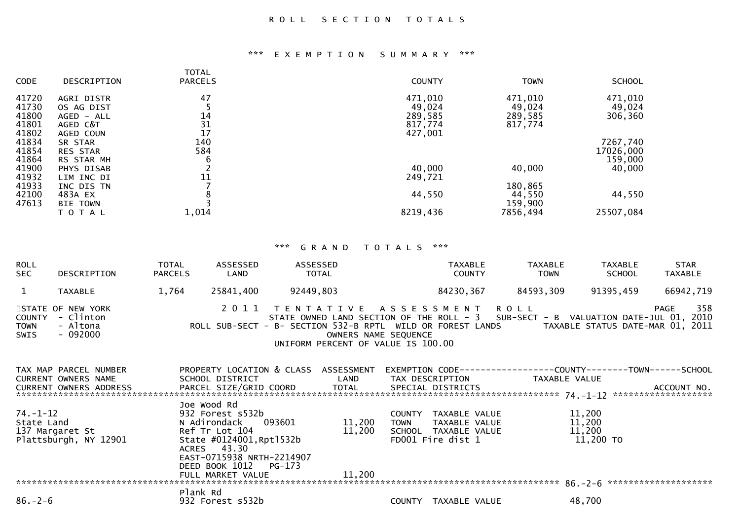# \*\*\* E X E M P T I O N S U M M A R Y \*\*\*

| <b>CODE</b> | DESCRIPTION     | <b>TOTAL</b><br><b>PARCELS</b> | <b>COUNTY</b> | <b>TOWN</b> | <b>SCHOOL</b> |
|-------------|-----------------|--------------------------------|---------------|-------------|---------------|
| 41720       | AGRI DISTR      | 47                             | 471,010       | 471,010     | 471,010       |
| 41730       | OS AG DIST      |                                | 49,024        | 49,024      | 49,024        |
| 41800       | AGED - ALL      | 14                             | 289,585       | 289,585     | 306,360       |
| 41801       | AGED C&T        | 31                             | 817,774       | 817,774     |               |
| 41802       | AGED COUN       | 17                             | 427,001       |             |               |
| 41834       | SR STAR         | 140                            |               |             | 7267,740      |
| 41854       | <b>RES STAR</b> | 584                            |               |             | 17026,000     |
| 41864       | RS STAR MH      | 6                              |               |             | 159,000       |
| 41900       | PHYS DISAB      |                                | 40,000        | 40,000      | 40,000        |
| 41932       | LIM INC DI      | 11                             | 249,721       |             |               |
| 41933       | INC DIS TN      |                                |               | 180,865     |               |
| 42100       | 483A EX         | 8                              | 44,550        | 44,550      | 44,550        |
| 47613       | <b>BIE TOWN</b> |                                |               | 159,900     |               |
|             | T O T A L       | 1,014                          | 8219,436      | 7856,494    | 25507,084     |
|             |                 |                                |               |             |               |

# \*\*\* G R A N D T O T A L S \*\*\*

| <b>ROLL</b><br>SEC | DESCRIPTION                                                    | TOTAL<br><b>PARCELS</b> | ASSESSED<br>LAND                                                                                                                                 | ASSESSED<br>TOTAL                                                                                                                                                                                                                                                                                                    |                       | TAXABLE<br><b>COUNTY</b>                                                           | TAXABLE<br><b>TOWN</b>                                                                          | TAXABLE<br><b>SCHOOL</b>                | <b>STAR</b><br>TAXABLE |
|--------------------|----------------------------------------------------------------|-------------------------|--------------------------------------------------------------------------------------------------------------------------------------------------|----------------------------------------------------------------------------------------------------------------------------------------------------------------------------------------------------------------------------------------------------------------------------------------------------------------------|-----------------------|------------------------------------------------------------------------------------|-------------------------------------------------------------------------------------------------|-----------------------------------------|------------------------|
| $\mathbf{1}$       | TAXABLE                                                        | 1,764                   | 25841,400                                                                                                                                        | 92449,803                                                                                                                                                                                                                                                                                                            |                       | 84230,367                                                                          | 84593,309                                                                                       | 91395,459                               | 66942,719              |
| TOWN<br>SWIS       | STATE OF NEW YORK<br>COUNTY - Clinton<br>- Altona<br>$-092000$ |                         |                                                                                                                                                  | 2011 TENTATIVE ASSESSMENT ROLL<br>STATE OWNED LAND SECTION OF THE NOLL CONDSTAND STATE OWNED LAND SECTION OF THE NOLL CANDS<br>ROLL SUB-SECT - B- SECTION 532-B RPTL WILD OR FOREST LANDS<br>STATE OWNED LAND SECTION OF THE ROLL - 3 SUB-SECT - B VALUATION DATE-JUL 01, 2010<br>UNIFORM PERCENT OF VALUE IS 100.00 |                       |                                                                                    |                                                                                                 | TAXABLE STATUS DATE-MAR 01, 2011        | -358<br>PAGE           |
|                    | TAX MAP PARCEL NUMBER<br>CURRENT OWNERS NAME                   |                         | SCHOOL DISTRICT                                                                                                                                  | PROPERTY LOCATION & CLASS ASSESSMENT                                                                                                                                                                                                                                                                                 | LAND                  |                                                                                    | EXEMPTION CODE------------------COUNTY--------TOWN------SCHOOL<br>TAX DESCRIPTION TAXABLE VALUE |                                         |                        |
| State Land         | $74. - 1 - 12$<br>137 Margaret St<br>Plattsburgh, NY 12901     |                         | Joe Wood Rd<br>932 Forest s532b<br>N Adirondack 093601<br>Ref Tr Lot 104<br>State #0124001, Rpt1532b<br>ACRES 43.30<br>EAST-0715938 NRTH-2214907 | 11,200                                                                                                                                                                                                                                                                                                               | <b>TOWN</b><br>11,200 | COUNTY TAXABLE VALUE<br>TAXABLE VALUE<br>SCHOOL TAXABLE VALUE<br>FD001 Fire dist 1 |                                                                                                 | 11,200<br>11,200<br>11,200<br>11,200 TO |                        |
| $86. - 2 - 6$      |                                                                | Plank Rd                | DEED BOOK 1012 PG-173<br>FULL MARKET VALUE<br>932 Forest s532b                                                                                   |                                                                                                                                                                                                                                                                                                                      | 11,200                | COUNTY TAXABLE VALUE                                                               |                                                                                                 | 48,700                                  |                        |
|                    |                                                                |                         |                                                                                                                                                  |                                                                                                                                                                                                                                                                                                                      |                       |                                                                                    |                                                                                                 |                                         |                        |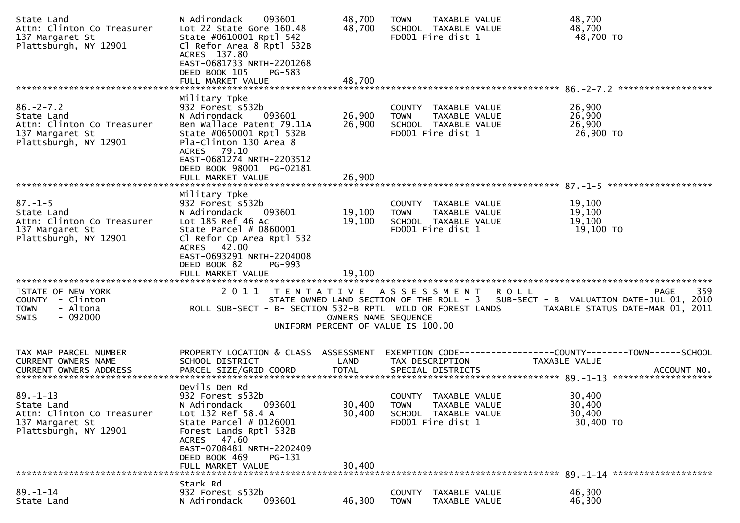| State Land<br>Attn: Clinton Co Treasurer<br>137 Margaret St<br>Plattsburgh, NY 12901                   | 093601<br>N Adirondack<br>Lot 22 State Gore 160.48<br>State #0610001 Rptl 542<br>Cl Refor Area 8 Rptl 532B<br>ACRES 137.80<br>EAST-0681733 NRTH-2201268<br>DEED BOOK 105<br>PG-583                                                          | 48,700<br>48,700           | <b>TOWN</b><br>TAXABLE VALUE<br>SCHOOL TAXABLE VALUE<br>FD001 Fire dist 1                         |               | 48,700<br>48,700<br>48,700 TO                                                                                                                                                                   |
|--------------------------------------------------------------------------------------------------------|---------------------------------------------------------------------------------------------------------------------------------------------------------------------------------------------------------------------------------------------|----------------------------|---------------------------------------------------------------------------------------------------|---------------|-------------------------------------------------------------------------------------------------------------------------------------------------------------------------------------------------|
|                                                                                                        |                                                                                                                                                                                                                                             |                            |                                                                                                   |               |                                                                                                                                                                                                 |
| $86. -2 - 7.2$<br>State Land<br>Attn: Clinton Co Treasurer<br>137 Margaret St<br>Plattsburgh, NY 12901 | Military Tpke<br>932 Forest s532b<br>N Adirondack<br>093601<br>Ben Wallace Patent 79.11A<br>State #0650001 Rptl 532B<br>Pla-Clinton 130 Area 8<br>ACRES 79.10<br>EAST-0681274 NRTH-2203512<br>DEED BOOK 98001 PG-02181<br>FULL MARKET VALUE | 26,900<br>26,900<br>26,900 | COUNTY TAXABLE VALUE<br>TAXABLE VALUE<br><b>TOWN</b><br>SCHOOL TAXABLE VALUE<br>FD001 Fire dist 1 |               | 26,900<br>26,900<br>26,900<br>26,900 TO                                                                                                                                                         |
|                                                                                                        |                                                                                                                                                                                                                                             |                            |                                                                                                   |               |                                                                                                                                                                                                 |
| $87. - 1 - 5$<br>State Land<br>Attn: Clinton Co Treasurer<br>137 Margaret St<br>Plattsburgh, NY 12901  | Military Tpke<br>932 Forest s532b<br>093601<br>N Adirondack<br>Lot 185 Ref 46 Ac<br>State Parcel $# 0860001$<br>Cl Refor Cp Area Rptl 532<br>ACRES 42.00<br>EAST-0693291 NRTH-2204008<br>DEED BOOK 82<br>PG-993                             | 19,100<br>19,100           | COUNTY TAXABLE VALUE<br><b>TOWN</b><br>TAXABLE VALUE<br>SCHOOL TAXABLE VALUE<br>FD001 Fire dist 1 |               | 19,100<br>19,100<br>19,100<br>19,100 TO                                                                                                                                                         |
|                                                                                                        | FULL MARKET VALUE                                                                                                                                                                                                                           | 19,100                     |                                                                                                   |               |                                                                                                                                                                                                 |
| STATE OF NEW YORK<br>COUNTY - Clinton<br>- Altona<br><b>TOWN</b><br>$-092000$<br>SWIS                  | 2011 TENTATIVE ASSESSMENT                                                                                                                                                                                                                   | OWNERS NAME SEQUENCE       | UNIFORM PERCENT OF VALUE IS 100.00                                                                | R O L L       | 359<br>PAGE<br>STATE OWNED LAND SECTION OF THE ROLL - 3 SUB-SECT - B VALUATION DATE-JUL 01, 2010<br>ROLL SUB-SECT - B- SECTION 532-B RPTL WILD OR FOREST LANDS TAXABLE STATUS DATE-MAR 01, 2011 |
| TAX MAP PARCEL NUMBER<br>CURRENT OWNERS NAME                                                           | PROPERTY LOCATION & CLASS ASSESSMENT<br>SCHOOL DISTRICT                                                                                                                                                                                     | LAND                       | TAX DESCRIPTION                                                                                   | TAXABLE VALUE | EXEMPTION CODE-----------------COUNTY-------TOWN------SCHOOL                                                                                                                                    |
| $89. - 1 - 13$<br>State Land<br>Attn: Clinton Co Treasurer<br>137 Margaret St<br>Plattsburgh, NY 12901 | Devils Den Rd<br>932 Forest s532b<br>093601<br>N Adirondack<br>Lot 132 Ref 58.4 A<br>State Parcel # 0126001<br>Forest Lands Rptl 532B<br>ACRES 47.60<br>EAST-0708481 NRTH-2202409<br>DEED BOOK 469<br>PG-131<br>FULL MARKET VALUE           | 30,400<br>30,400<br>30,400 | COUNTY TAXABLE VALUE<br><b>TOWN</b><br>TAXABLE VALUE<br>SCHOOL TAXABLE VALUE<br>FD001 Fire dist 1 |               | 30,400<br>30,400<br>30,400<br>30,400 TO                                                                                                                                                         |
|                                                                                                        |                                                                                                                                                                                                                                             |                            |                                                                                                   |               |                                                                                                                                                                                                 |
| $89. - 1 - 14$<br>State Land                                                                           | Stark Rd<br>932 Forest s532b<br>N Adirondack<br>093601                                                                                                                                                                                      | 46,300                     | TAXABLE VALUE<br><b>COUNTY</b><br>TAXABLE VALUE<br><b>TOWN</b>                                    |               | 46,300<br>46,300                                                                                                                                                                                |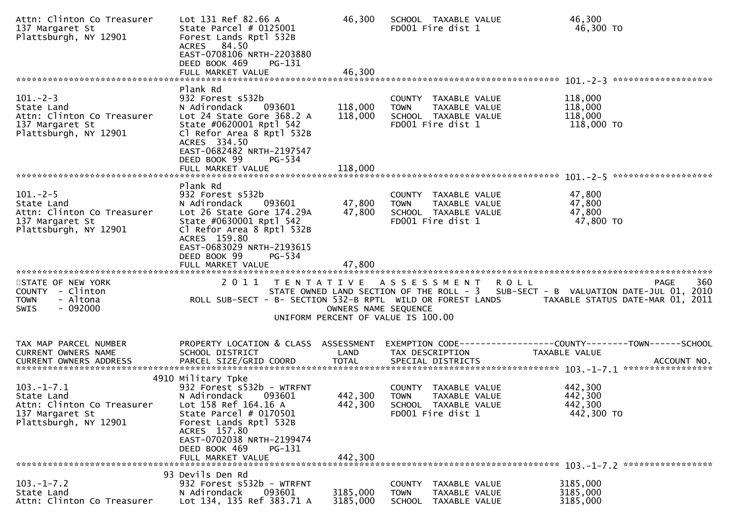| Attn: Clinton Co Treasurer<br>137 Margaret St<br>Plattsburgh, NY 12901                                  | Lot 131 Ref 82.66 A<br>State Parcel $#$ 0125001<br>Forest Lands Rptl 532B<br>ACRES 84.50<br>EAST-0708106 NRTH-2203880<br>DEED BOOK 469<br>PG-131<br>FULL MARKET VALUE                                                                                | 46,300<br>46,300              | SCHOOL TAXABLE VALUE<br>FD001 Fire dist 1                                                         |         | 46,300<br>46,300 TO                                                                                                                         |
|---------------------------------------------------------------------------------------------------------|------------------------------------------------------------------------------------------------------------------------------------------------------------------------------------------------------------------------------------------------------|-------------------------------|---------------------------------------------------------------------------------------------------|---------|---------------------------------------------------------------------------------------------------------------------------------------------|
|                                                                                                         | Plank Rd                                                                                                                                                                                                                                             |                               |                                                                                                   |         |                                                                                                                                             |
| $101 - 2 - 3$<br>State Land<br>Attn: Clinton Co Treasurer<br>137 Margaret St<br>Plattsburgh, NY 12901   | 932 Forest s532b<br>N Adirondack<br>093601<br>Lot 24 State Gore 368.2 A<br>State #0620001 Rptl 542<br>Cl Refor Area 8 Rptl 532B<br>ACRES 334.50<br>EAST-0682482 NRTH-2197547<br>DEED BOOK 99<br>PG-534<br>FULL MARKET VALUE                          | 118,000<br>118,000<br>118,000 | COUNTY TAXABLE VALUE<br><b>TOWN</b><br>TAXABLE VALUE<br>SCHOOL TAXABLE VALUE<br>FD001 Fire dist 1 |         | 118,000<br>118,000<br>118,000<br>118,000 TO                                                                                                 |
|                                                                                                         |                                                                                                                                                                                                                                                      |                               |                                                                                                   |         |                                                                                                                                             |
| $101 - 2 - 5$<br>State Land<br>Attn: Clinton Co Treasurer<br>137 Margaret St<br>Plattsburgh, NY 12901   | Plank Rd<br>932 Forest s532b<br>N Adirondack<br>093601<br>Lot 26 State Gore 174.29A<br>State #0630001 Rptl 542<br>Cl Refor Area 8 Rptl 532B<br>ACRES 159.80<br>EAST-0683029 NRTH-2193615<br>DEED BOOK 99<br>$PG - 534$<br>FULL MARKET VALUE          | 47,800<br>47,800<br>47,800    | COUNTY TAXABLE VALUE<br>TAXABLE VALUE<br><b>TOWN</b><br>SCHOOL TAXABLE VALUE<br>FD001 Fire dist 1 |         | 47,800<br>47,800<br>47,800<br>47,800 TO                                                                                                     |
| STATE OF NEW YORK<br>COUNTY - Clinton<br><b>TOWN</b><br>- Altona<br>- 092000<br>SWIS                    | 2011<br>T E N T A T I V E<br>ROLL SUB-SECT - B- SECTION 532-B RPTL WILD OR FOREST LANDS                                                                                                                                                              | OWNERS NAME SEQUENCE          | A S S E S S M E N T<br>UNIFORM PERCENT OF VALUE IS 100.00                                         | R O L L | 360<br><b>PAGE</b><br>STATE OWNED LAND SECTION OF THE ROLL - 3 SUB-SECT - B VALUATION DATE-JUL 01, 2010<br>TAXABLE STATUS DATE-MAR 01, 2011 |
| TAX MAP PARCEL NUMBER                                                                                   | PROPERTY LOCATION & CLASS ASSESSMENT                                                                                                                                                                                                                 |                               |                                                                                                   |         | EXEMPTION        CODE-----------------COUNTY-------TOWN------SCHOOL                                                                         |
| CURRENT OWNERS NAME<br><b>CURRENT OWNERS ADDRESS</b>                                                    | SCHOOL DISTRICT<br>PARCEL SIZE/GRID COORD                                                                                                                                                                                                            | LAND<br><b>TOTAL</b>          | TAX DESCRIPTION<br>SPECIAL DISTRICTS                                                              |         | TAXABLE VALUE<br>ACCOUNT NO.                                                                                                                |
|                                                                                                         |                                                                                                                                                                                                                                                      |                               |                                                                                                   |         |                                                                                                                                             |
| $103. -1 - 7.1$<br>State Land<br>Attn: Clinton Co Treasurer<br>137 Margaret St<br>Plattsburgh, NY 12901 | 4910 Military Tpke<br>932 Forest s532b - WTRFNT<br>N Adirondack<br>093601<br>Lot 158 Ref 164.16 A<br>State Parcel $#$ 0170501<br>Forest Lands Rptl 532B<br>ACRES 157.80<br>EAST-0702038 NRTH-2199474<br>DEED BOOK 469<br>PG-131<br>FULL MARKET VALUE | 442,300<br>442,300<br>442,300 | COUNTY TAXABLE VALUE<br><b>TOWN</b><br>TAXABLE VALUE<br>SCHOOL TAXABLE VALUE<br>FD001 Fire dist 1 |         | 442,300<br>442,300<br>442,300<br>442,300 TO                                                                                                 |
|                                                                                                         | 93 Devils Den Rd                                                                                                                                                                                                                                     |                               |                                                                                                   |         |                                                                                                                                             |
| $103. -1 - 7.2$<br>State Land<br>Attn: Clinton Co Treasurer                                             | 932 Forest s532b - WTRFNT<br>N Adirondack<br>093601<br>Lot 134, 135 Ref 383.71 A                                                                                                                                                                     | 3185,000<br>3185,000          | <b>COUNTY</b><br>TAXABLE VALUE<br><b>TOWN</b><br>TAXABLE VALUE<br>SCHOOL TAXABLE VALUE            |         | 3185,000<br>3185,000<br>3185,000                                                                                                            |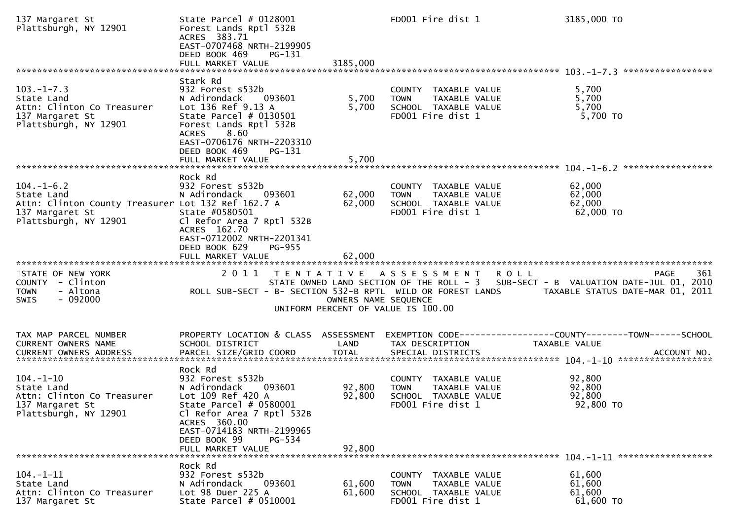| 137 Margaret St<br>Plattsburgh, NY 12901                                                                                         | State Parcel # 0128001<br>Forest Lands Rptl 532B<br>ACRES 383.71<br>EAST-0707468 NRTH-2199905<br>DEED BOOK 469<br>PG-131<br>FULL MARKET VALUE                                                                    | 3185,000             | FD001 Fire dist 1                                                                |               | 3185,000 TO                                                                                                                                 |
|----------------------------------------------------------------------------------------------------------------------------------|------------------------------------------------------------------------------------------------------------------------------------------------------------------------------------------------------------------|----------------------|----------------------------------------------------------------------------------|---------------|---------------------------------------------------------------------------------------------------------------------------------------------|
|                                                                                                                                  |                                                                                                                                                                                                                  |                      |                                                                                  |               |                                                                                                                                             |
| $103.-1-7.3$<br>State Land<br>Attn: Clinton Co Treasurer<br>137 Margaret St<br>Plattsburgh, NY 12901                             | Stark Rd<br>932 Forest s532b<br>N Adirondack<br>093601<br>Lot 136 Ref 9.13 A<br>State Parcel # 0130501<br>Forest Lands Rptl 532B<br>8.60<br><b>ACRES</b><br>EAST-0706176 NRTH-2203310<br>DEED BOOK 469<br>PG-131 | 5,700<br>5,700       | COUNTY TAXABLE VALUE<br><b>TOWN</b><br>SCHOOL TAXABLE VALUE<br>FD001 Fire dist 1 | TAXABLE VALUE | 5,700<br>5,700<br>5,700<br>5,700 TO                                                                                                         |
|                                                                                                                                  |                                                                                                                                                                                                                  |                      |                                                                                  |               |                                                                                                                                             |
| $104. - 1 - 6.2$<br>State Land<br>Attn: Clinton County Treasurer Lot 132 Ref 162.7 A<br>137 Margaret St<br>Plattsburgh, NY 12901 | Rock Rd<br>932 Forest s532b<br>N Adirondack<br>093601<br>State #0580501<br>Cl Refor Area 7 Rptl 532B<br>ACRES 162.70<br>EAST-0712002 NRTH-2201341                                                                | 62,000<br>62,000     | COUNTY TAXABLE VALUE<br><b>TOWN</b><br>SCHOOL TAXABLE VALUE<br>FD001 Fire dist 1 | TAXABLE VALUE | 62,000<br>62,000<br>62,000<br>$62,000$ TO                                                                                                   |
|                                                                                                                                  | DEED BOOK 629<br>PG-955                                                                                                                                                                                          | 62,000               |                                                                                  |               |                                                                                                                                             |
|                                                                                                                                  | FULL MARKET VALUE                                                                                                                                                                                                |                      |                                                                                  |               |                                                                                                                                             |
| STATE OF NEW YORK<br>COUNTY - Clinton<br>- Altona<br><b>TOWN</b><br><b>SWIS</b><br>- 092000                                      | 2011<br>T E N T A T I V E<br>ROLL SUB-SECT - B- SECTION 532-B RPTL WILD OR FOREST LANDS                                                                                                                          | OWNERS NAME SEQUENCE | A S S E S S M E N T<br>UNIFORM PERCENT OF VALUE IS 100.00                        | <b>ROLL</b>   | 361<br><b>PAGE</b><br>STATE OWNED LAND SECTION OF THE ROLL - 3 SUB-SECT - B VALUATION DATE-JUL 01, 2010<br>TAXABLE STATUS DATE-MAR 01, 2011 |
| TAX MAP PARCEL NUMBER<br>CURRENT OWNERS NAME<br><b>CURRENT OWNERS ADDRESS</b>                                                    | PROPERTY LOCATION & CLASS ASSESSMENT<br>SCHOOL DISTRICT<br>PARCEL SIZE/GRID COORD                                                                                                                                | LAND<br><b>TOTAL</b> | TAX DESCRIPTION<br>SPECIAL DISTRICTS                                             |               | EXEMPTION        CODE-----------------COUNTY-------TOWN------SCHOOL<br>TAXABLE VALUE<br>ACCOUNT NO.                                         |
| $104. - 1 - 10$<br>State Land<br>Attn: Clinton Co Treasurer<br>137 Margaret St<br>Plattsburgh, NY 12901                          | Rock Rd<br>932 Forest s532b<br>N Adirondack<br>093601<br>Lot 109 Ref 420 A<br>State Parcel # 0580001<br>Cl Refor Area 7 Rptl 532B<br>ACRES 360.00<br>EAST-0714183 NRTH-2199965<br>DEED BOOK 99<br>PG-534         | 92,800<br>92,800     | COUNTY TAXABLE VALUE<br><b>TOWN</b><br>SCHOOL TAXABLE VALUE<br>FD001 Fire dist 1 | TAXABLE VALUE | 92,800<br>92,800<br>92,800<br>92,800 TO                                                                                                     |
|                                                                                                                                  | FULL MARKET VALUE                                                                                                                                                                                                | 92,800               |                                                                                  |               |                                                                                                                                             |
| $104. -1 - 11$<br>State Land<br>Attn: Clinton Co Treasurer<br>137 Margaret St                                                    | Rock Rd<br>932 Forest s532b<br>N Adirondack<br>093601<br>Lot 98 Duer 225 A<br>State Parcel # 0510001                                                                                                             | 61,600<br>61,600     | COUNTY TAXABLE VALUE<br><b>TOWN</b><br>SCHOOL TAXABLE VALUE<br>FD001 Fire dist 1 | TAXABLE VALUE | 61,600<br>61,600<br>61,600<br>61,600 TO                                                                                                     |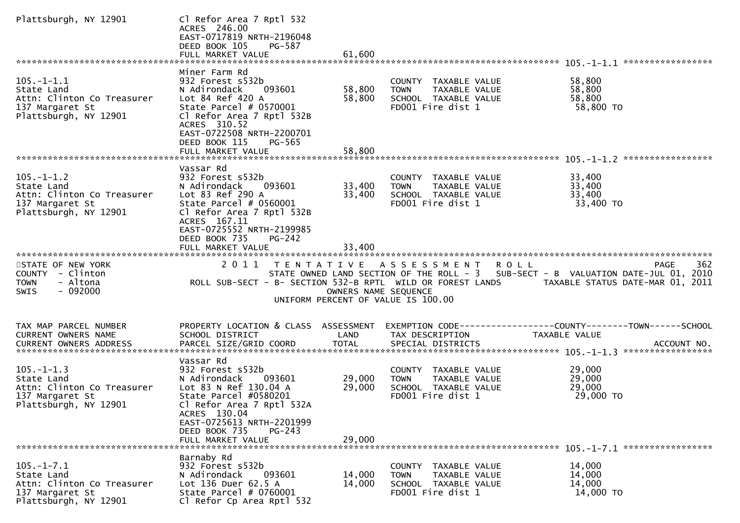| Plattsburgh, NY 12901                                                                                    | Cl Refor Area 7 Rptl 532<br>ACRES 246.00<br>EAST-0717819 NRTH-2196048<br>DEED BOOK 105<br>PG-587<br>FULL MARKET VALUE                                                                                               | 61,600               |                                                                                                   |                                                                                                                                                                                                                |
|----------------------------------------------------------------------------------------------------------|---------------------------------------------------------------------------------------------------------------------------------------------------------------------------------------------------------------------|----------------------|---------------------------------------------------------------------------------------------------|----------------------------------------------------------------------------------------------------------------------------------------------------------------------------------------------------------------|
|                                                                                                          | Miner Farm Rd                                                                                                                                                                                                       |                      |                                                                                                   |                                                                                                                                                                                                                |
| $105. -1 - 1.1$<br>State Land<br>Attn: Clinton Co Treasurer<br>137 Margaret St<br>Plattsburgh, NY 12901  | 932 Forest s532b<br>093601<br>N Adirondack<br>Lot 84 Ref 420 A<br>State Parcel $# 0570001$<br>Cl Refor Area 7 Rptl 532B<br>ACRES 310.52<br>EAST-0722508 NRTH-2200701                                                | 58,800<br>58,800     | COUNTY TAXABLE VALUE<br><b>TOWN</b><br>TAXABLE VALUE<br>SCHOOL TAXABLE VALUE<br>FD001 Fire dist 1 | 58,800<br>58,800<br>58,800<br>58,800 TO                                                                                                                                                                        |
|                                                                                                          | DEED BOOK 115<br>PG-565<br>FULL MARKET VALUE                                                                                                                                                                        | 58,800               |                                                                                                   |                                                                                                                                                                                                                |
| $105. - 1 - 1.2$<br>State Land<br>Attn: Clinton Co Treasurer<br>137 Margaret St<br>Plattsburgh, NY 12901 | Vassar Rd<br>932 Forest s532b<br>N Adirondack<br>093601<br>Lot 83 Ref 290 A<br>State Parcel $# 0560001$<br>Cl Refor Area 7 Rptl 532B<br>ACRES 167.11<br>EAST-0725552 NRTH-2199985<br>DEED BOOK 735<br><b>PG-242</b> | 33,400<br>33,400     | COUNTY TAXABLE VALUE<br>TAXABLE VALUE<br><b>TOWN</b><br>SCHOOL TAXABLE VALUE<br>FD001 Fire dist 1 | 33,400<br>33,400<br>33,400<br>33,400 TO                                                                                                                                                                        |
|                                                                                                          | FULL MARKET VALUE                                                                                                                                                                                                   | 33,400               |                                                                                                   |                                                                                                                                                                                                                |
| STATE OF NEW YORK<br>COUNTY - Clinton<br><b>TOWN</b><br>- Altona<br>$-092000$<br><b>SWIS</b>             | 2 0 1 1                                                                                                                                                                                                             | OWNERS NAME SEQUENCE | TENTATIVE ASSESSMENT<br>UNIFORM PERCENT OF VALUE IS 100.00                                        | 362<br><b>ROLL</b><br>PAGE<br>STATE OWNED LAND SECTION OF THE ROLL - 3 SUB-SECT - B VALUATION DATE-JUL 01, 2010<br>ROLL SUB-SECT - B- SECTION 532-B RPTL WILD OR FOREST LANDS TAXABLE STATUS DATE-MAR 01, 2011 |
| TAX MAP PARCEL NUMBER<br><b>CURRENT OWNERS NAME</b>                                                      | PROPERTY LOCATION & CLASS ASSESSMENT<br>SCHOOL DISTRICT                                                                                                                                                             | LAND                 | TAX DESCRIPTION                                                                                   | EXEMPTION CODE-----------------COUNTY-------TOWN------SCHOOL<br>TAXABLE VALUE                                                                                                                                  |
| $105. -1 - 1.3$<br>State Land<br>Attn: Clinton Co Treasurer<br>137 Margaret St<br>Plattsburgh, NY 12901  | Vassar Rd<br>932 Forest s532b<br>N Adirondack<br>093601<br>Lot 83 N Ref 130.04 A<br>State Parcel #0580201<br>Cl Refor Area 7 Rptl 532A<br>ACRES 130.04<br>EAST-0725613 NRTH-2201999<br>DEED BOOK 735<br>$PG-243$    | 29,000<br>29,000     | COUNTY TAXABLE VALUE<br><b>TOWN</b><br>TAXABLE VALUE<br>SCHOOL TAXABLE VALUE<br>FD001 Fire dist 1 | 29,000<br>29,000<br>29,000<br>29,000 TO                                                                                                                                                                        |
|                                                                                                          | FULL MARKET VALUE                                                                                                                                                                                                   | 29,000               |                                                                                                   |                                                                                                                                                                                                                |
| $105. -1 - 7.1$<br>State Land<br>Attn: Clinton Co Treasurer<br>137 Margaret St<br>Plattsburgh, NY 12901  | Barnaby Rd<br>932 Forest s532b<br>N Adirondack<br>093601<br>Lot 136 Duer 62.5 A<br>State Parcel $# 0760001$<br>Cl Refor Cp Area Rptl 532                                                                            | 14,000<br>14,000     | COUNTY TAXABLE VALUE<br><b>TOWN</b><br>TAXABLE VALUE<br>SCHOOL TAXABLE VALUE<br>FD001 Fire dist 1 | 14,000<br>14,000<br>14,000<br>14,000 TO                                                                                                                                                                        |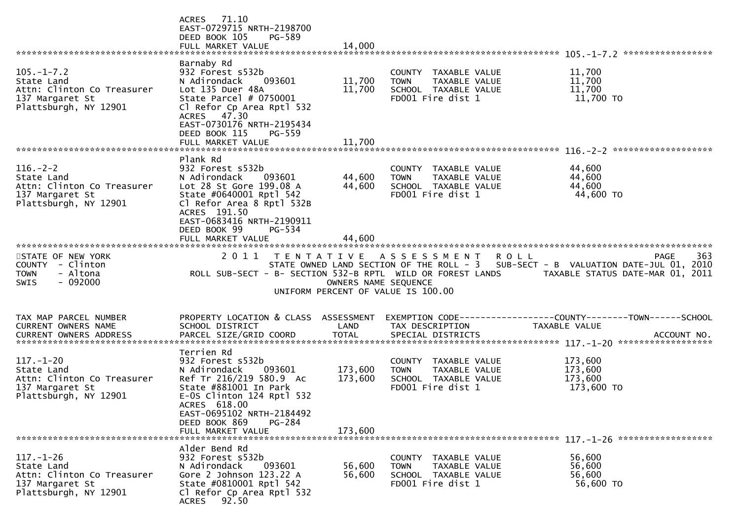|                                                                                                          | ACRES 71.10<br>EAST-0729715 NRTH-2198700<br>DEED BOOK 105<br>PG-589<br>FULL MARKET VALUE                                                                                                                                                 | 14,000                        |                                                                                                   |                                                                                                                                                                                                                       |
|----------------------------------------------------------------------------------------------------------|------------------------------------------------------------------------------------------------------------------------------------------------------------------------------------------------------------------------------------------|-------------------------------|---------------------------------------------------------------------------------------------------|-----------------------------------------------------------------------------------------------------------------------------------------------------------------------------------------------------------------------|
| $105. - 1 - 7.2$<br>State Land<br>Attn: Clinton Co Treasurer<br>137 Margaret St<br>Plattsburgh, NY 12901 | Barnaby Rd<br>932 Forest s532b<br>N Adirondack<br>093601<br>Lot 135 Duer 48A<br>State Parcel # 0750001<br>Cl Refor Cp Area Rptl 532<br>ACRES 47.30<br>EAST-0730176 NRTH-2195434<br>DEED BOOK 115<br>PG-559                               | 11,700<br>11,700              | COUNTY TAXABLE VALUE<br>TAXABLE VALUE<br><b>TOWN</b><br>SCHOOL TAXABLE VALUE<br>FD001 Fire dist 1 | 11,700<br>11,700<br>11,700<br>11,700 TO                                                                                                                                                                               |
|                                                                                                          | FULL MARKET VALUE                                                                                                                                                                                                                        | 11,700                        |                                                                                                   |                                                                                                                                                                                                                       |
| $116. - 2 - 2$<br>State Land<br>Attn: Clinton Co Treasurer<br>137 Margaret St<br>Plattsburgh, NY 12901   | Plank Rd<br>932 Forest s532b<br>N Adirondack<br>093601<br>Lot 28 St Gore 199.08 A<br>State #0640001 Rptl 542<br>Cl Refor Area 8 Rptl 532B<br>ACRES 191.50<br>EAST-0683416 NRTH-2190911<br>DEED BOOK 99<br>PG-534                         | 44,600<br>44,600              | COUNTY TAXABLE VALUE<br>TAXABLE VALUE<br><b>TOWN</b><br>SCHOOL TAXABLE VALUE<br>FD001 Fire dist 1 | 44,600<br>44,600<br>44,600<br>44,600 TO                                                                                                                                                                               |
| STATE OF NEW YORK<br>COUNTY - Clinton<br><b>TOWN</b><br>- Altona<br>$-092000$<br>SWIS                    | 2011                                                                                                                                                                                                                                     | OWNERS NAME SEQUENCE          | TENTATIVE ASSESSMENT<br>UNIFORM PERCENT OF VALUE IS 100.00                                        | 363<br><b>ROLL</b><br><b>PAGE</b><br>STATE OWNED LAND SECTION OF THE ROLL - 3 SUB-SECT - B VALUATION DATE-JUL 01, 2010<br>ROLL SUB-SECT - B- SECTION 532-B RPTL WILD OR FOREST LANDS TAXABLE STATUS DATE-MAR 01, 2011 |
| TAX MAP PARCEL NUMBER<br>CURRENT OWNERS NAME                                                             | PROPERTY LOCATION & CLASS ASSESSMENT<br>SCHOOL DISTRICT                                                                                                                                                                                  | LAND                          | TAX DESCRIPTION                                                                                   | EXEMPTION CODE------------------COUNTY--------TOWN------SCHOOL<br>TAXABLE VALUE                                                                                                                                       |
| $117. - 1 - 20$<br>State Land<br>Attn: Clinton Co Treasurer<br>137 Margaret St<br>Plattsburgh, NY 12901  | Terrien Rd<br>932 Forest s532b<br>093601<br>N Adirondack<br>Ref Tr 216/219 580.9 Ac<br>State #881001 In Park<br>$E-0S$ Clinton 124 Rptl 532<br>ACRES 618.00<br>EAST-0695102 NRTH-2184492<br>DEED BOOK 869<br>PG-284<br>FULL MARKET VALUE | 173,600<br>173,600<br>173,600 | COUNTY TAXABLE VALUE<br><b>TOWN</b><br>TAXABLE VALUE<br>SCHOOL TAXABLE VALUE<br>FD001 Fire dist 1 | 173,600<br>173,600<br>173,600<br>173,600 TO                                                                                                                                                                           |
| $117. - 1 - 26$<br>State Land<br>Attn: Clinton Co Treasurer<br>137 Margaret St<br>Plattsburgh, NY 12901  | Alder Bend Rd<br>932 Forest s532b<br>N Adirondack<br>093601<br>Gore 2 Johnson 123.22 A<br>State #0810001 Rptl 542<br>Cl Refor Cp Area Rptl 532<br>ACRES 92.50                                                                            | 56,600<br>56,600              | COUNTY TAXABLE VALUE<br>TAXABLE VALUE<br><b>TOWN</b><br>SCHOOL TAXABLE VALUE<br>FD001 Fire dist 1 | 56,600<br>56,600<br>56,600<br>56,600 TO                                                                                                                                                                               |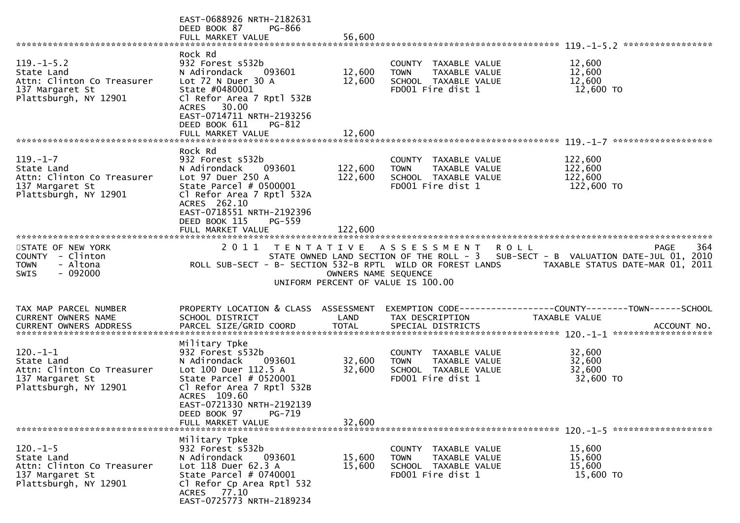|                                                                                                         | EAST-0688926 NRTH-2182631<br>DEED BOOK 87<br>PG-866<br>FULL MARKET VALUE                                                                                                                                                 | 56,600                     |                                                                                                   | *****************                                                                                                                                   |
|---------------------------------------------------------------------------------------------------------|--------------------------------------------------------------------------------------------------------------------------------------------------------------------------------------------------------------------------|----------------------------|---------------------------------------------------------------------------------------------------|-----------------------------------------------------------------------------------------------------------------------------------------------------|
| $119. -1 - 5.2$<br>State Land<br>Attn: Clinton Co Treasurer<br>137 Margaret St<br>Plattsburgh, NY 12901 | Rock Rd<br>932 Forest s532b<br>N Adirondack<br>093601<br>Lot 72 N Duer 30 A<br>State #0480001<br>Cl Refor Area 7 Rptl 532B<br>ACRES 30.00<br>EAST-0714711 NRTH-2193256<br>DEED BOOK 611<br>$PG-812$<br>FULL MARKET VALUE | 12,600<br>12,600<br>12,600 | COUNTY TAXABLE VALUE<br>TAXABLE VALUE<br><b>TOWN</b><br>SCHOOL TAXABLE VALUE<br>FD001 Fire dist 1 | 12,600<br>12,600<br>12,600<br>12,600 TO                                                                                                             |
|                                                                                                         | Rock Rd                                                                                                                                                                                                                  |                            |                                                                                                   |                                                                                                                                                     |
| $119. - 1 - 7$<br>State Land<br>Attn: Clinton Co Treasurer<br>137 Margaret St<br>Plattsburgh, NY 12901  | 932 Forest s532b<br>N Adirondack<br>093601<br>Lot 97 Duer 250 A<br>State Parcel $# 0500001$<br>Cl Refor Area 7 Rptl 532A<br>ACRES 262.10                                                                                 | 122,600<br>122,600         | COUNTY TAXABLE VALUE<br><b>TOWN</b><br>TAXABLE VALUE<br>SCHOOL TAXABLE VALUE<br>FD001 Fire dist 1 | 122,600<br>122,600<br>122,600<br>122,600 TO                                                                                                         |
|                                                                                                         | EAST-0718551 NRTH-2192396<br><b>PG-559</b><br>DEED BOOK 115                                                                                                                                                              |                            |                                                                                                   |                                                                                                                                                     |
|                                                                                                         | FULL MARKET VALUE                                                                                                                                                                                                        | 122,600                    |                                                                                                   |                                                                                                                                                     |
| STATE OF NEW YORK<br>COUNTY - Clinton<br>- Altona<br><b>TOWN</b><br>$-092000$<br>SWIS                   | ROLL SUB-SECT - B- SECTION 532-B RPTL WILD OR FOREST LANDS                                                                                                                                                               | OWNERS NAME SEQUENCE       | 2011 TENTATIVE ASSESSMENT<br>UNIFORM PERCENT OF VALUE IS 100.00                                   | 364<br>PAGE<br><b>ROLL</b><br>STATE OWNED LAND SECTION OF THE ROLL - 3 SUB-SECT - B VALUATION DATE-JUL 01, 2010<br>TAXABLE STATUS DATE-MAR 01, 2011 |
| TAX MAP PARCEL NUMBER                                                                                   | PROPERTY LOCATION & CLASS ASSESSMENT                                                                                                                                                                                     |                            |                                                                                                   | EXEMPTION CODE------------------COUNTY--------TOWN------SCHOOL                                                                                      |
| CURRENT OWNERS NAME<br><b>CURRENT OWNERS ADDRESS</b>                                                    | SCHOOL DISTRICT<br>PARCEL SIZE/GRID COORD                                                                                                                                                                                | LAND<br><b>TOTAL</b>       | TAX DESCRIPTION<br>SPECIAL DISTRICTS                                                              | <b>TAXABLE VALUE</b><br>ACCOUNT NO.                                                                                                                 |
| $120.-1-1$                                                                                              | Military Tpke<br>932 Forest s532b                                                                                                                                                                                        |                            | COUNTY TAXABLE VALUE                                                                              | 32,600                                                                                                                                              |
| State Land<br>Attn: Clinton Co Treasurer<br>137 Margaret St<br>Plattsburgh, NY 12901                    | N Adirondack<br>093601<br>Lot 100 Duer 112.5 A<br>State Parcel $#$ 0520001<br>Cl Refor Area 7 Rptl 532B<br>ACRES 109.60<br>EAST-0721330 NRTH-2192139<br>DEED BOOK 97<br>PG-719                                           | 32,600<br>32,600           | TAXABLE VALUE<br><b>TOWN</b><br>SCHOOL TAXABLE VALUE<br>FD001 Fire dist 1                         | 32,600<br>32,600<br>32,600 TO                                                                                                                       |
|                                                                                                         |                                                                                                                                                                                                                          |                            |                                                                                                   |                                                                                                                                                     |
| $120. - 1 - 5$<br>State Land<br>Attn: Clinton Co Treasurer<br>137 Margaret St<br>Plattsburgh, NY 12901  | Military Tpke<br>932 Forest s532b<br>N Adirondack<br>093601<br>Lot 118 Duer 62.3 A<br>State Parcel $# 0740001$<br>Cl Refor Cp Area Rptl 532<br>ACRES 77.10<br>EAST-0725773 NRTH-2189234                                  | 15,600<br>15,600           | COUNTY TAXABLE VALUE<br><b>TOWN</b><br>TAXABLE VALUE<br>SCHOOL TAXABLE VALUE<br>FD001 Fire dist 1 | 15,600<br>15,600<br>15,600<br>15,600 TO                                                                                                             |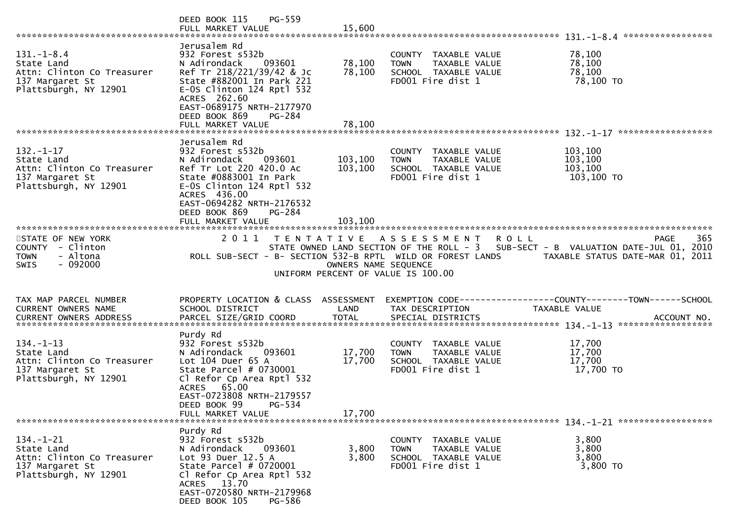|                                                                                                                                                                                                                                                       | PG-559<br>DEED BOOK 115<br>FULL MARKET VALUE                                                                                                                                                                                       | 15,600                     |                                                                                                   |                                                                                                                                                     |     |
|-------------------------------------------------------------------------------------------------------------------------------------------------------------------------------------------------------------------------------------------------------|------------------------------------------------------------------------------------------------------------------------------------------------------------------------------------------------------------------------------------|----------------------------|---------------------------------------------------------------------------------------------------|-----------------------------------------------------------------------------------------------------------------------------------------------------|-----|
| $131 - 1 - 8.4$<br>State Land<br>Attn: Clinton Co Treasurer<br>137 Margaret St<br>Plattsburgh, NY 12901<br>FULL MARKET VALUE 78,100<br>1-17. http://www.thittater.com/sextater.com/sextater.com/sextater.com/sextater.com/sextater.com/sextater.com/s | Jerusalem Rd<br>932 Forest s532b<br>N Adirondack<br>093601<br>Ref Tr 218/221/39/42 & Jc<br>State #882001 In Park 221<br>$E-0S$ Clinton 124 Rptl 532<br>ACRES 262.60<br>EAST-0689175 NRTH-2177970<br>DEED BOOK 869<br><b>PG-284</b> | 78,100<br>78,100           | COUNTY TAXABLE VALUE<br>TAXABLE VALUE<br><b>TOWN</b><br>SCHOOL TAXABLE VALUE<br>FD001 Fire dist 1 | 78,100<br>78,100<br>78,100<br>78,100 TO<br>******************                                                                                       |     |
|                                                                                                                                                                                                                                                       | Jerusalem Rd                                                                                                                                                                                                                       |                            |                                                                                                   |                                                                                                                                                     |     |
| $132. - 1 - 17$<br>State Land<br>Attn: Clinton Co Treasurer<br>137 Margaret St<br>Plattsburgh, NY 12901                                                                                                                                               | 932 Forest s532b<br>N Adirondack<br>093601<br>Ref Tr Lot 220 420.0 Ac<br>State #0883001 In Park<br>E-OS Clinton 124 Rptl 532<br>ACRES 436.00<br>EAST-0694282 NRTH-2176532<br>DEED BOOK 869<br><b>PG-284</b>                        | 103,100<br>103,100         | COUNTY TAXABLE VALUE<br><b>TOWN</b><br>TAXABLE VALUE<br>SCHOOL TAXABLE VALUE<br>FD001 Fire dist 1 | 103,100<br>103,100<br>103,100<br>103,100 TO                                                                                                         |     |
|                                                                                                                                                                                                                                                       |                                                                                                                                                                                                                                    |                            |                                                                                                   |                                                                                                                                                     |     |
| STATE OF NEW YORK<br>COUNTY - Clinton<br><b>TOWN</b><br>- Altona<br><b>SWIS</b><br>- 092000                                                                                                                                                           | ROLL SUB-SECT - B- SECTION 532-B RPTL WILD OR FOREST LANDS                                                                                                                                                                         | OWNERS NAME SEQUENCE       | 2011 TENTATIVE ASSESSMENT<br>UNIFORM PERCENT OF VALUE IS 100.00                                   | <b>ROLL</b><br><b>PAGE</b><br>STATE OWNED LAND SECTION OF THE ROLL - 3 SUB-SECT - B VALUATION DATE-JUL 01, 2010<br>TAXABLE STATUS DATE-MAR 01, 2011 | 365 |
| TAX MAP PARCEL NUMBER<br><b>CURRENT OWNERS NAME</b>                                                                                                                                                                                                   | PROPERTY LOCATION & CLASS ASSESSMENT<br>SCHOOL DISTRICT                                                                                                                                                                            | LAND                       | TAX DESCRIPTION                                                                                   | EXEMPTION CODE-----------------COUNTY--------TOWN------SCHOOL<br>TAXABLE VALUE                                                                      |     |
| $134. - 1 - 13$<br>State Land<br>Attn: Clinton Co Treasurer<br>137 Margaret St<br>Plattsburgh, NY 12901                                                                                                                                               | Purdy Rd<br>932 Forest s532b<br>N Adirondack<br>093601<br>Lot $104$ Duer $65$ A<br>State Parcel # 0730001<br>Cl Refor Cp Area Rptl 532<br>ACRES 65.00<br>EAST-0723808 NRTH-2179557<br>PG-534<br>DEED BOOK 99<br>FULL MARKET VALUE  | 17,700<br>17,700<br>17,700 | COUNTY TAXABLE VALUE<br><b>TOWN</b><br>TAXABLE VALUE<br>SCHOOL TAXABLE VALUE<br>FD001 Fire dist 1 | 17,700<br>17,700<br>17,700<br>17,700 TO                                                                                                             |     |
|                                                                                                                                                                                                                                                       |                                                                                                                                                                                                                                    |                            |                                                                                                   |                                                                                                                                                     |     |
| $134. - 1 - 21$<br>State Land<br>Attn: Clinton Co Treasurer<br>137 Margaret St<br>Plattsburgh, NY 12901                                                                                                                                               | Purdy Rd<br>932 Forest s532b<br>093601<br>N Adirondack<br>Lot 93 Duer 12.5 A<br>State Parcel $# 0720001$<br>Cl Refor Cp Area Rptl 532<br>ACRES 13.70<br>EAST-0720580 NRTH-2179968<br>DEED BOOK 105<br><b>PG-586</b>                | 3,800<br>3,800             | COUNTY<br>TAXABLE VALUE<br>TOWN<br>TAXABLE VALUE<br>SCHOOL TAXABLE VALUE<br>FD001 Fire dist 1     | 3,800<br>3,800<br>3,800<br>3,800 TO                                                                                                                 |     |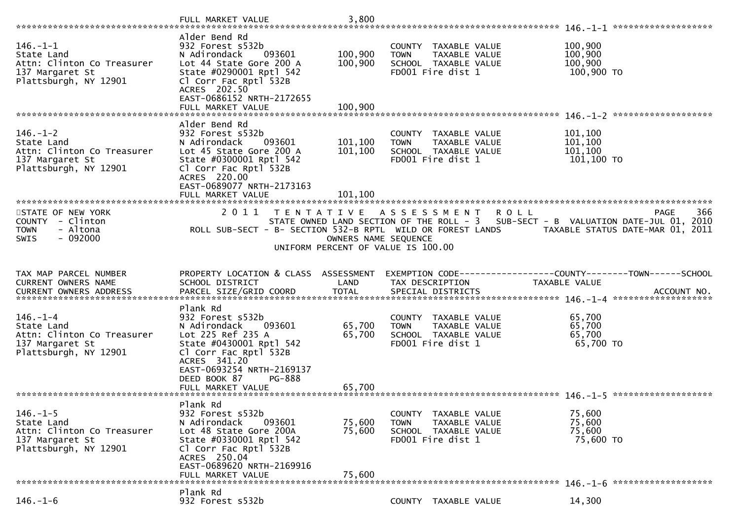|                                                                                                        | FULL MARKET VALUE                                                                                                                                                                                             | 3,800                         |                                                                                                   |                                                                                                                                             |
|--------------------------------------------------------------------------------------------------------|---------------------------------------------------------------------------------------------------------------------------------------------------------------------------------------------------------------|-------------------------------|---------------------------------------------------------------------------------------------------|---------------------------------------------------------------------------------------------------------------------------------------------|
| $146. - 1 - 1$<br>State Land<br>Attn: Clinton Co Treasurer<br>137 Margaret St<br>Plattsburgh, NY 12901 | Alder Bend Rd<br>932 Forest s532b<br>093601<br>N Adirondack<br>Lot 44 State Gore 200 A<br>State #0290001 Rptl 542<br>Cl Corr Fac Rptl 532B<br>ACRES 202.50<br>EAST-0686152 NRTH-2172655<br>FULL MARKET VALUE  | 100,900<br>100,900<br>100,900 | COUNTY TAXABLE VALUE<br><b>TOWN</b><br>TAXABLE VALUE<br>SCHOOL TAXABLE VALUE<br>FD001 Fire dist 1 | 100,900<br>100,900<br>100,900<br>100,900 TO                                                                                                 |
|                                                                                                        | Alder Bend Rd                                                                                                                                                                                                 |                               |                                                                                                   |                                                                                                                                             |
| $146. - 1 - 2$<br>State Land<br>Attn: Clinton Co Treasurer<br>137 Margaret St<br>Plattsburgh, NY 12901 | 932 Forest s532b<br>N Adirondack<br>093601<br>Lot 45 State Gore 200 A<br>State #0300001 Rptl 542<br>Cl Corr Fac Rptl 532B<br>ACRES 220.00<br>EAST-0689077 NRTH-2173163                                        | 101,100<br>101,100            | COUNTY TAXABLE VALUE<br>TAXABLE VALUE<br><b>TOWN</b><br>SCHOOL TAXABLE VALUE<br>FD001 Fire dist 1 | 101,100<br>101,100<br>101,100<br>101,100 TO                                                                                                 |
|                                                                                                        | FULL MARKET VALUE                                                                                                                                                                                             | 101,100                       |                                                                                                   |                                                                                                                                             |
| STATE OF NEW YORK<br>COUNTY - Clinton<br>- Altona<br><b>TOWN</b><br>$-092000$<br><b>SWIS</b>           | 2011<br>T E N T A T I V E<br>ROLL SUB-SECT - B- SECTION 532-B RPTL WILD OR FOREST LANDS                                                                                                                       | OWNERS NAME SEQUENCE          | A S S E S S M E N T<br><b>ROLL</b><br>UNIFORM PERCENT OF VALUE IS 100.00                          | <b>PAGE</b><br>366<br>STATE OWNED LAND SECTION OF THE ROLL - 3 SUB-SECT - B VALUATION DATE-JUL 01, 2010<br>TAXABLE STATUS DATE-MAR 01, 2011 |
|                                                                                                        |                                                                                                                                                                                                               |                               |                                                                                                   |                                                                                                                                             |
| TAX MAP PARCEL NUMBER<br>CURRENT OWNERS NAME<br><b>CURRENT OWNERS ADDRESS</b>                          | PROPERTY LOCATION & CLASS ASSESSMENT<br>SCHOOL DISTRICT<br>PARCEL SIZE/GRID COORD                                                                                                                             | LAND<br><b>TOTAL</b>          | TAX DESCRIPTION<br>SPECIAL DISTRICTS                                                              | EXEMPTION CODE-----------------COUNTY-------TOWN------SCHOOL<br>TAXABLE VALUE<br>ACCOUNT NO.                                                |
| $146. - 1 - 4$<br>State Land<br>Attn: Clinton Co Treasurer<br>137 Margaret St<br>Plattsburgh, NY 12901 | Plank Rd<br>932 Forest s532b<br>N Adirondack<br>093601<br>Lot 225 Ref 235 A<br>State #0430001 Rptl 542<br>Cl Corr Fac Rptl 532B<br>ACRES 341.20<br>EAST-0693254 NRTH-2169137<br>DEED BOOK 87<br><b>PG-888</b> | 65,700<br>65,700              | COUNTY TAXABLE VALUE<br><b>TOWN</b><br>TAXABLE VALUE<br>SCHOOL TAXABLE VALUE<br>FD001 Fire dist 1 | 65,700<br>65,700<br>65,700<br>65,700 TO                                                                                                     |
|                                                                                                        |                                                                                                                                                                                                               |                               |                                                                                                   |                                                                                                                                             |
| $146. - 1 - 5$<br>State Land<br>Attn: Clinton Co Treasurer<br>137 Margaret St<br>Plattsburgh, NY 12901 | Plank Rd<br>932 Forest s532b<br>N Adirondack<br>093601<br>Lot 48 State Gore 200A<br>State #0330001 Rptl 542<br>Cl Corr Fac Rptl 532B<br>ACRES 250.04<br>EAST-0689620 NRTH-2169916                             | 75,600<br>75,600              | COUNTY TAXABLE VALUE<br>TAXABLE VALUE<br><b>TOWN</b><br>SCHOOL TAXABLE VALUE<br>FD001 Fire dist 1 | 75,600<br>75,600<br>75,600<br>75,600 TO                                                                                                     |
|                                                                                                        | FULL MARKET VALUE                                                                                                                                                                                             | 75,600                        |                                                                                                   |                                                                                                                                             |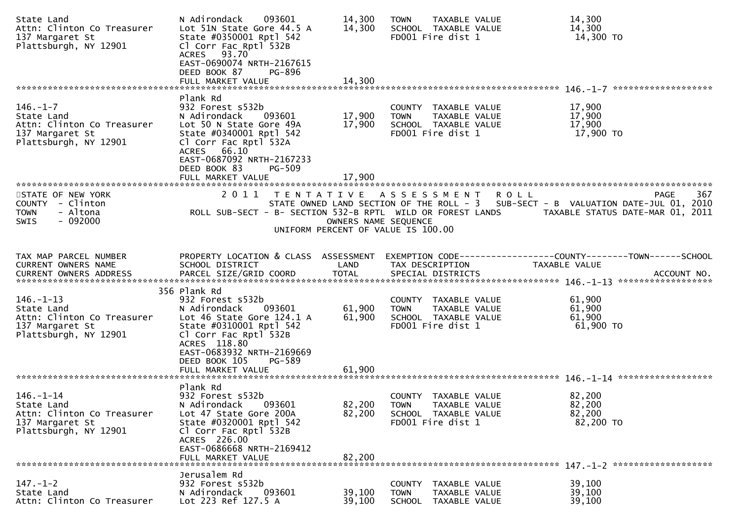| State Land<br>Attn: Clinton Co Treasurer<br>137 Margaret St<br>Plattsburgh, NY 12901                    | 093601<br>N Adirondack<br>Lot 51N State Gore 44.5 A<br>State #0350001 Rptl 542<br>Cl Corr Fac Rptl 532B<br>ACRES 93.70<br>EAST-0690074 NRTH-2167615<br>DEED BOOK 87<br>PG-896                                       | 14,300<br>14,300           | TAXABLE VALUE<br><b>TOWN</b><br>SCHOOL TAXABLE VALUE<br>FD001 Fire dist 1                                | 14,300<br>14,300<br>14,300 TO                                                                                                                              |
|---------------------------------------------------------------------------------------------------------|---------------------------------------------------------------------------------------------------------------------------------------------------------------------------------------------------------------------|----------------------------|----------------------------------------------------------------------------------------------------------|------------------------------------------------------------------------------------------------------------------------------------------------------------|
|                                                                                                         | FULL MARKET VALUE                                                                                                                                                                                                   | 14,300                     |                                                                                                          |                                                                                                                                                            |
| $146. - 1 - 7$<br>State Land<br>Attn: Clinton Co Treasurer<br>137 Margaret St<br>Plattsburgh, NY 12901  | Plank Rd<br>932 Forest s532b<br>N Adirondack<br>093601<br>Lot 50 N State Gore 49A<br>State #0340001 Rptl 542<br>Cl Corr Fac Rptl 532A<br>ACRES 66.10                                                                | 17,900<br>17,900           | COUNTY TAXABLE VALUE<br><b>TOWN</b><br><b>TAXABLE VALUE</b><br>SCHOOL TAXABLE VALUE<br>FD001 Fire dist 1 | 17,900<br>17,900<br>17,900<br>17,900 TO                                                                                                                    |
|                                                                                                         | EAST-0687092 NRTH-2167233<br>DEED BOOK 83<br><b>PG-509</b>                                                                                                                                                          |                            |                                                                                                          |                                                                                                                                                            |
| STATE OF NEW YORK<br>COUNTY - Clinton<br><b>TOWN</b><br>- Altona<br>$-092000$<br>SWIS                   | 2011<br>ROLL SUB-SECT - B- SECTION 532-B RPTL WILD OR FOREST LANDS                                                                                                                                                  | OWNERS NAME SEQUENCE       | TENTATIVE ASSESSMENT<br>UNIFORM PERCENT OF VALUE IS 100.00                                               | 367<br><b>ROLL</b><br><b>PAGE</b><br>STATE OWNED LAND SECTION OF THE ROLL - 3 SUB-SECT - B VALUATION DATE-JUL 01, 2010<br>TAXABLE STATUS DATE-MAR 01, 2011 |
| TAX MAP PARCEL NUMBER<br>CURRENT OWNERS NAME                                                            | PROPERTY LOCATION & CLASS ASSESSMENT<br>SCHOOL DISTRICT                                                                                                                                                             | LAND                       | TAX DESCRIPTION                                                                                          | <b>TAXABLE VALUE</b>                                                                                                                                       |
| $146. - 1 - 13$<br>State Land<br>Attn: Clinton Co Treasurer<br>137 Margaret St<br>Plattsburgh, NY 12901 | 356 Plank Rd<br>932 Forest s532b<br>093601<br>N Adirondack<br>Lot 46 State Gore 124.1 A<br>State #0310001 Rptl 542<br>Cl Corr Fac Rptl 532B<br>ACRES 118.80<br>EAST-0683932 NRTH-2169669<br>DEED BOOK 105<br>PG-589 | 61,900<br>61,900           | COUNTY TAXABLE VALUE<br><b>TOWN</b><br>TAXABLE VALUE<br>SCHOOL TAXABLE VALUE<br>FD001 Fire dist 1        | 61,900<br>61,900<br>61,900<br>61,900 TO                                                                                                                    |
| $146. - 1 - 14$<br>State Land<br>Attn: Clinton Co Treasurer<br>137 Margaret St<br>Plattsburgh, NY 12901 | FULL MARKET VALUE<br>Plank Rd<br>932 Forest s532b<br>N Adirondack<br>093601<br>Lot 47 State Gore 200A<br>State #0320001 Rptl 542<br>Cl Corr Fac Rptl 532B<br>ACRES 226.00                                           | 61,900<br>82,200<br>82,200 | COUNTY<br>TAXABLE VALUE<br><b>TOWN</b><br>TAXABLE VALUE<br>SCHOOL TAXABLE VALUE<br>FD001 Fire dist 1     | 82,200<br>82,200<br>82,200<br>82,200 TO                                                                                                                    |
|                                                                                                         | EAST-0686668 NRTH-2169412<br>FULL MARKET VALUE                                                                                                                                                                      | 82,200                     |                                                                                                          |                                                                                                                                                            |
| $147. - 1 - 2$<br>State Land<br>Attn: Clinton Co Treasurer                                              | Jerusalem Rd<br>932 Forest s532b<br>093601<br>N Adirondack<br>Lot 223 Ref 127.5 A                                                                                                                                   | 39,100<br>39,100           | COUNTY TAXABLE VALUE<br>TAXABLE VALUE<br><b>TOWN</b><br><b>SCHOOL</b><br>TAXABLE VALUE                   | 39,100<br>39,100<br>39,100                                                                                                                                 |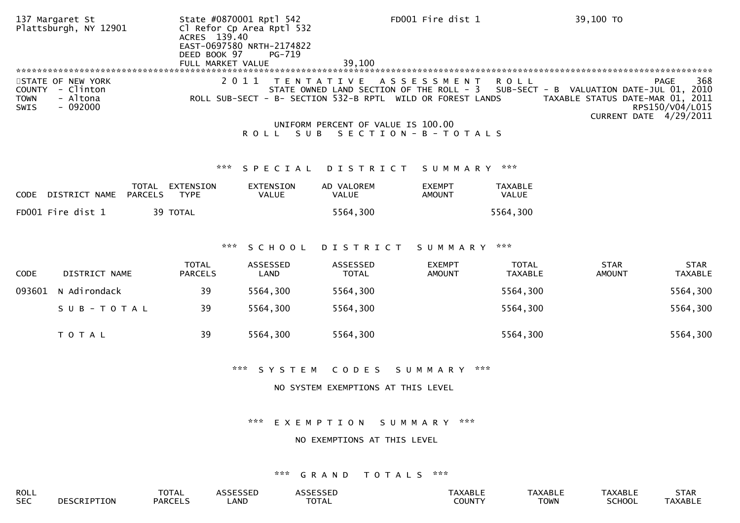|                                      | 137 Margaret St<br>Plattsburgh, NY 12901                |                         | ACRES 139.40<br>DEED BOOK 97   | State #0870001 Rptl 542<br>Cl Refor Cp Area Rptl 532<br>EAST-0697580 NRTH-2174822<br>PG-719 |                                                                                                                             | FD001 Fire dist 1              |                                | 39,100 TO                                                                    |                                                                 |
|--------------------------------------|---------------------------------------------------------|-------------------------|--------------------------------|---------------------------------------------------------------------------------------------|-----------------------------------------------------------------------------------------------------------------------------|--------------------------------|--------------------------------|------------------------------------------------------------------------------|-----------------------------------------------------------------|
| <b>COUNTY</b><br><b>TOWN</b><br>SWIS | STATE OF NEW YORK<br>- Clinton<br>- Altona<br>$-092000$ |                         |                                | 2011                                                                                        | T E N T A T I V E<br>STATE OWNED LAND SECTION OF THE ROLL - 3<br>ROLL SUB-SECT - B- SECTION 532-B RPTL WILD OR FOREST LANDS | A S S E S S M E N T            | <b>ROLL</b>                    | SUB-SECT - B VALUATION DATE-JUL 01, 2010<br>TAXABLE STATUS DATE-MAR 01, 2011 | <b>PAGE</b><br>368<br>RPS150/V04/L015<br>CURRENT DATE 4/29/2011 |
|                                      |                                                         |                         |                                | ROLL SUB                                                                                    | UNIFORM PERCENT OF VALUE IS 100.00<br>SECTION - B - TOTALS                                                                  |                                |                                |                                                                              |                                                                 |
|                                      |                                                         |                         | ***                            | SPECIAL                                                                                     | DISTRICT                                                                                                                    | SUMMARY ***                    |                                |                                                                              |                                                                 |
| <b>CODE</b>                          | DISTRICT NAME                                           | TOTAL<br><b>PARCELS</b> | EXTENSION<br><b>TYPE</b>       | <b>EXTENSION</b><br><b>VALUE</b>                                                            | AD VALOREM<br>VALUE                                                                                                         | <b>EXEMPT</b><br><b>AMOUNT</b> | <b>TAXABLE</b><br>VALUE        |                                                                              |                                                                 |
|                                      | FD001 Fire dist 1                                       |                         | 39 TOTAL                       |                                                                                             | 5564,300                                                                                                                    |                                | 5564,300                       |                                                                              |                                                                 |
|                                      |                                                         |                         | ***                            | SCHOOL                                                                                      | DISTRICT                                                                                                                    | SUMMARY                        | ***                            |                                                                              |                                                                 |
| CODE                                 | DISTRICT NAME                                           |                         | <b>TOTAL</b><br><b>PARCELS</b> | ASSESSED<br><b>LAND</b>                                                                     | ASSESSED<br><b>TOTAL</b>                                                                                                    | <b>EXEMPT</b><br><b>AMOUNT</b> | <b>TOTAL</b><br><b>TAXABLE</b> | <b>STAR</b><br><b>AMOUNT</b>                                                 | <b>STAR</b><br><b>TAXABLE</b>                                   |
| 093601                               | N Adirondack                                            |                         | 39                             | 5564,300                                                                                    | 5564,300                                                                                                                    |                                | 5564,300                       |                                                                              | 5564,300                                                        |
|                                      | SUB-TOTAL                                               |                         | 39                             | 5564,300                                                                                    | 5564,300                                                                                                                    |                                | 5564,300                       |                                                                              | 5564,300                                                        |
|                                      | TOTAL                                                   |                         | 39                             | 5564,300                                                                                    | 5564,300                                                                                                                    |                                | 5564,300                       |                                                                              | 5564,300                                                        |
|                                      |                                                         |                         |                                | $\pi \times \pi$<br>SYSTEM                                                                  | CODES                                                                                                                       | SUMMARY                        | $\times\times\times$           |                                                                              |                                                                 |
|                                      |                                                         |                         |                                |                                                                                             | NO SYSTEM EXEMPTIONS AT THIS LEVEL                                                                                          |                                |                                |                                                                              |                                                                 |
|                                      |                                                         |                         |                                | ***                                                                                         | EXEMPTION                                                                                                                   | ***<br>S U M M A R Y           |                                |                                                                              |                                                                 |

# NO EXEMPTIONS AT THIS LEVEL

| ROLL                 |     | $T^{\wedge}$<br>UIAL |                               | $\sim$ $\sim$ $\sim$ $\sim$ $\sim$ $\sim$ | .AD.            | AXABL.      | <b>\XABL.</b> | <b>STAR</b> |
|----------------------|-----|----------------------|-------------------------------|-------------------------------------------|-----------------|-------------|---------------|-------------|
| $\sim$ $\sim$<br>5EC | TOI | <b>PARCELS</b>       | $\sim$ 1.00 $\sim$<br>. JIN D | TOTA.<br>.                                | דוגו וח׳<br>OUN | <b>TOWN</b> | <b>RCHOOL</b> | TAXABLL     |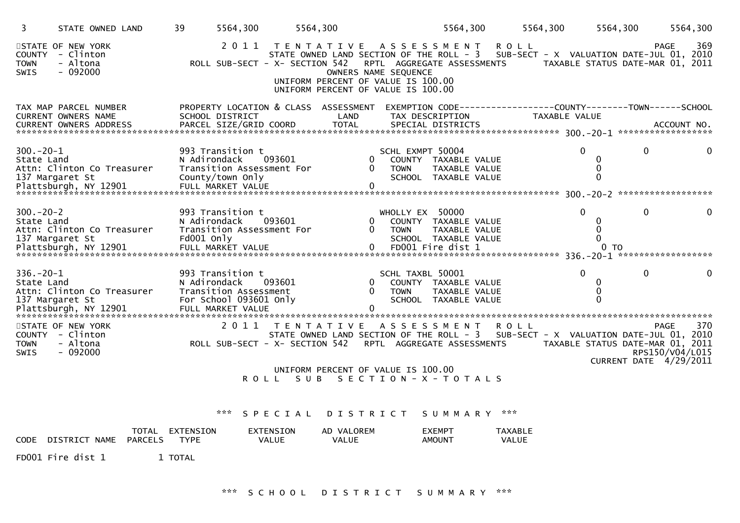| 3                             | STATE OWNED LAND                                               | 39<br>5564,300                                                                      | 5564,300                                            |                                                                                                                          | 5564,300                                                                          | 5564,300                                                                                                                                                                                       | 5564,300                                                          | 5564,300                              |
|-------------------------------|----------------------------------------------------------------|-------------------------------------------------------------------------------------|-----------------------------------------------------|--------------------------------------------------------------------------------------------------------------------------|-----------------------------------------------------------------------------------|------------------------------------------------------------------------------------------------------------------------------------------------------------------------------------------------|-------------------------------------------------------------------|---------------------------------------|
| <b>TOWN</b><br>SWIS           | STATE OF NEW YORK<br>COUNTY - Clinton<br>- Altona<br>$-092000$ | 2011                                                                                |                                                     | TENTATIVE ASSESSMENT<br>OWNERS NAME SEQUENCE<br>UNIFORM PERCENT OF VALUE IS 100.00<br>UNIFORM PERCENT OF VALUE IS 100.00 |                                                                                   | <b>ROLL</b><br>STATE OWNED LAND SECTION OF THE ROLL - 3 SUB-SECT - X VALUATION DATE-JUL 01, 2010<br>ROLL SUB-SECT - X- SECTION 542 RPTL AGGREGATE ASSESSMENTS TAXABLE STATUS DATE-MAR 01, 2011 |                                                                   | 369<br><b>PAGE</b>                    |
|                               | TAX MAP PARCEL NUMBER<br><b>CURRENT OWNERS NAME</b>            | SCHOOL DISTRICT                                                                     |                                                     | LAND                                                                                                                     | TAX DESCRIPTION                                                                   | PROPERTY LOCATION & CLASS ASSESSMENT EXEMPTION CODE----------------COUNTY-------TOWN------SCHOOL<br>TAXABLE VALUE                                                                              |                                                                   |                                       |
| $300 - 20 - 1$<br>State Land  | Attn: Clinton Co Treasurer<br>137 Margaret St                  | 993 Transition t<br>N Adirondack<br>Transition Assessment For<br>County/town Only   | 093601                                              | 0<br>$\Omega$<br><b>TOWN</b>                                                                                             | SCHL EXMPT 50004<br>COUNTY TAXABLE VALUE<br>TAXABLE VALUE<br>SCHOOL TAXABLE VALUE | $\Omega$                                                                                                                                                                                       | $\mathbf{0}$<br>0<br>0<br>$\Omega$                                | 0                                     |
| $300 - 20 - 2$<br>State Land  | Attn: Clinton Co Treasurer<br>137 Margaret St                  | 993 Transition t<br>N Adirondack<br>Transition Assessment For<br>Fd001 Only         | 093601                                              | $\Omega$<br><b>TOWN</b>                                                                                                  | WHOLLY EX 50000<br>COUNTY TAXABLE VALUE<br>TAXABLE VALUE<br>SCHOOL TAXABLE VALUE  | $\Omega$                                                                                                                                                                                       | $\mathbf{0}$<br>0<br>0<br>$\Omega$                                | 0                                     |
| $336. - 20 - 1$<br>State Land | Attn: Clinton Co Treasurer<br>137 Margaret St                  | 993 Transition t<br>N Adirondack<br>Transition Assessment<br>For School 093601 Only | 093601                                              | $\Omega$<br><b>TOWN</b>                                                                                                  | SCHL TAXBL 50001<br>COUNTY TAXABLE VALUE<br>TAXABLE VALUE<br>SCHOOL TAXABLE VALUE | $\Omega$                                                                                                                                                                                       | $\mathbf{0}$<br>0<br>$\Omega$                                     | 0                                     |
| <b>TOWN</b><br>SWIS           | STATE OF NEW YORK<br>COUNTY - Clinton<br>- Altona<br>$-092000$ | 2011                                                                                | T E N T A T I V E<br>ROLL SUB-SECT - X- SECTION 542 | UNIFORM PERCENT OF VALUE IS 100.00<br>ROLL SUB SECTION-X-TOTALS                                                          | A S S E S S M E N T<br>RPTL AGGREGATE ASSESSMENTS                                 | R O L L<br>STATE OWNED LAND SECTION OF THE ROLL - 3 SUB-SECT - X VALUATION DATE-JUL 01, 2010                                                                                                   | TAXABLE STATUS DATE-MAR 01, 2011<br><b>CURRENT DATE 4/29/2011</b> | 370<br><b>PAGE</b><br>RPS150/V04/L015 |
|                               | <b>TOTAL</b>                                                   | ***<br>EXTENSION                                                                    | EXTENSION                                           | SPECIAL DISTRICT SUMMARY ***<br>AD VALOREM                                                                               | <b>EXEMPT</b>                                                                     | <b>TAXABLE</b>                                                                                                                                                                                 |                                                                   |                                       |

|      |                        | TOTAL          | EXTENSION   | EXTENSION | AD<br>.OREM<br>VAI | EXEMPT | TAXABL. |
|------|------------------------|----------------|-------------|-----------|--------------------|--------|---------|
| CODE | DTSTRTC<br><b>NAME</b> | <b>PARCELS</b> | <b>TYPF</b> | VALUE     | <b>VALUE</b>       | AMOUN1 | VALUE   |

FD001 Fire dist 1 1 TOTAL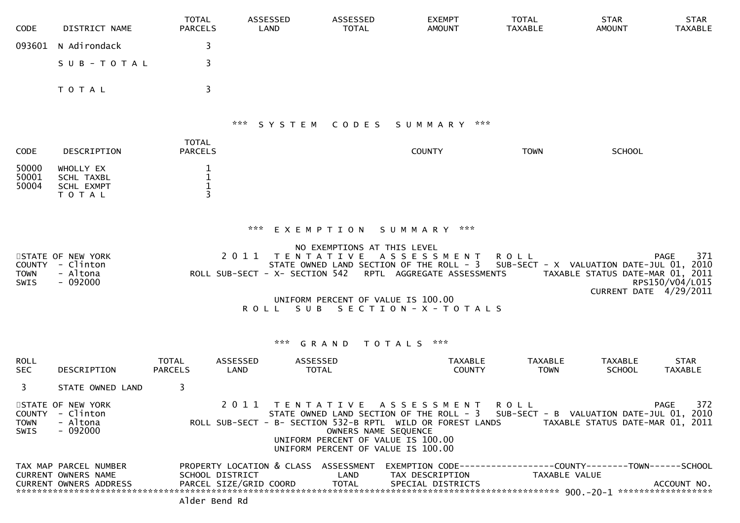| <b>CODE</b>                                 | DISTRICT NAME                                                                        | <b>TOTAL</b><br><b>PARCELS</b> | ASSESSED<br>LAND                          |                               | <b>ASSESSED</b><br><b>TOTAL</b>                              | <b>EXEMPT</b><br><b>AMOUNT</b>                                                                                                                                                                                                                                |                                 | <b>TOTAL</b><br><b>TAXABLE</b> | <b>STAR</b><br><b>AMOUNT</b>                                                                           | <b>STAR</b><br><b>TAXABLE</b>         |
|---------------------------------------------|--------------------------------------------------------------------------------------|--------------------------------|-------------------------------------------|-------------------------------|--------------------------------------------------------------|---------------------------------------------------------------------------------------------------------------------------------------------------------------------------------------------------------------------------------------------------------------|---------------------------------|--------------------------------|--------------------------------------------------------------------------------------------------------|---------------------------------------|
| 093601                                      | N Adirondack                                                                         | 3                              |                                           |                               |                                                              |                                                                                                                                                                                                                                                               |                                 |                                |                                                                                                        |                                       |
|                                             | SUB-TOTAL                                                                            | 3                              |                                           |                               |                                                              |                                                                                                                                                                                                                                                               |                                 |                                |                                                                                                        |                                       |
|                                             | TOTAL                                                                                | 3                              |                                           |                               |                                                              |                                                                                                                                                                                                                                                               |                                 |                                |                                                                                                        |                                       |
|                                             |                                                                                      |                                |                                           |                               | *** SYSTEM CODES                                             | S U M M A R Y                                                                                                                                                                                                                                                 | ***                             |                                |                                                                                                        |                                       |
| <b>CODE</b>                                 | DESCRIPTION                                                                          | <b>TOTAL</b><br><b>PARCELS</b> |                                           |                               |                                                              | <b>COUNTY</b>                                                                                                                                                                                                                                                 |                                 | <b>TOWN</b>                    | <b>SCHOOL</b>                                                                                          |                                       |
| 50000<br>50001<br>50004                     | WHOLLY EX<br>SCHL TAXBL<br>SCHL EXMPT<br>TOTAL                                       | 1<br>1<br>$\mathbf{1}$         |                                           |                               |                                                              |                                                                                                                                                                                                                                                               |                                 |                                |                                                                                                        |                                       |
|                                             |                                                                                      |                                | ***                                       |                               |                                                              | EXEMPTION SUMMARY ***                                                                                                                                                                                                                                         |                                 |                                |                                                                                                        |                                       |
| <b>COUNTY</b><br><b>TOWN</b><br><b>SWIS</b> | STATE OF NEW YORK<br>- Clinton<br>- Altona<br>$-092000$                              |                                | 2011                                      | T E N T A T I V E<br>ROLL SUB | NO EXEMPTIONS AT THIS LEVEL                                  | A S S E S S M E N T<br>STATE OWNED LAND SECTION OF THE ROLL - 3<br>ROLL SUB-SECT - X- SECTION 542 RPTL AGGREGATE ASSESSMENTS<br>UNIFORM PERCENT OF VALUE IS 100.00<br>SECTION-X-TOTALS                                                                        | <b>ROLL</b>                     |                                | SUB-SECT - X VALUATION DATE-JUL 01, 2010<br>TAXABLE STATUS DATE-MAR 01, 2011<br>CURRENT DATE 4/29/2011 | 371<br><b>PAGE</b><br>RPS150/V04/L015 |
|                                             |                                                                                      |                                |                                           | *** <b>GRAND</b>              |                                                              | TOTALS ***                                                                                                                                                                                                                                                    |                                 |                                |                                                                                                        |                                       |
| <b>ROLL</b><br><b>SEC</b>                   | <b>DESCRIPTION</b>                                                                   | <b>TOTAL</b><br><b>PARCELS</b> | ASSESSED<br>LAND                          | ASSESSED<br><b>TOTAL</b>      |                                                              |                                                                                                                                                                                                                                                               | <b>TAXABLE</b><br><b>COUNTY</b> | <b>TAXABLE</b><br><b>TOWN</b>  | <b>TAXABLE</b><br><b>SCHOOL</b>                                                                        | <b>STAR</b><br>TAXABLE                |
| 3                                           | STATE OWNED LAND                                                                     | 3                              |                                           |                               |                                                              |                                                                                                                                                                                                                                                               |                                 |                                |                                                                                                        |                                       |
| <b>TOWN</b><br>SWIS                         | STATE OF NEW YORK<br>COUNTY - Clinton<br>- Altona<br>- 092000                        |                                |                                           |                               | OWNERS NAME SEQUENCE                                         | 2011 TENTATIVE ASSESSMENT ROLL<br>STATE OWNED LAND SECTION OF THE ROLL - 3 SUB-SECT - B VALUATION DATE-JUL 01, 2010<br>ROLL SUB-SECT - B- SECTION 532-B RPTL WILD OR FOREST LANDS<br>UNIFORM PERCENT OF VALUE IS 100.00<br>UNIFORM PERCENT OF VALUE IS 100.00 |                                 |                                | TAXABLE STATUS DATE-MAR 01, 2011                                                                       | 372<br><b>PAGE</b>                    |
|                                             | TAX MAP PARCEL NUMBER<br><b>CURRENT OWNERS NAME</b><br><b>CURRENT OWNERS ADDRESS</b> | Alder Bend Rd                  | SCHOOL DISTRICT<br>PARCEL SIZE/GRID COORD |                               | PROPERTY LOCATION & CLASS ASSESSMENT<br>LAND<br><b>TOTAL</b> | EXEMPTION CODE------------------COUNTY--------TOWN------SCHOOL<br>TAX DESCRIPTION<br>SPECIAL DISTRICTS                                                                                                                                                        |                                 | TAXABLE VALUE                  |                                                                                                        | ACCOUNT NO.                           |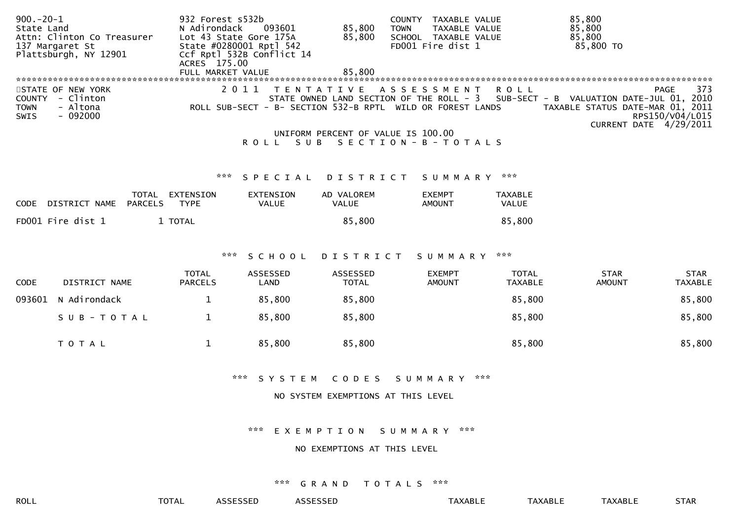| $900 - 20 - 1$<br>State Land         |                                                         | 932 Forest s532b<br>N Adirondack  | 093601                    | 85,800                             | COUNTY TAXABLE VALUE<br>TAXABLE VALUE<br><b>TOWN</b>                              |                                | 85,800<br>85,800                                                                                                                                               |
|--------------------------------------|---------------------------------------------------------|-----------------------------------|---------------------------|------------------------------------|-----------------------------------------------------------------------------------|--------------------------------|----------------------------------------------------------------------------------------------------------------------------------------------------------------|
|                                      | Attn: Clinton Co Treasurer<br>137 Margaret St           | Lot 43 State Gore 175A            | State #0280001 Rptl 542   | 85,800                             | SCHOOL TAXABLE VALUE<br>FD001 Fire dist 1                                         |                                | 85,800<br>85,800 TO                                                                                                                                            |
|                                      | Plattsburgh, NY 12901                                   |                                   | Ccf Rptl 532B Conflict 14 |                                    |                                                                                   |                                |                                                                                                                                                                |
|                                      |                                                         | ACRES 175.00<br>FULL MARKET VALUE |                           | 85,800                             |                                                                                   |                                |                                                                                                                                                                |
|                                      |                                                         |                                   |                           |                                    |                                                                                   |                                |                                                                                                                                                                |
| <b>COUNTY</b><br><b>TOWN</b><br>SWIS | STATE OF NEW YORK<br>- Clinton<br>- Altona<br>$-092000$ |                                   | 2011<br>T E N T A T I V E |                                    | A S S E S S M E N T<br>ROLL SUB-SECT - B- SECTION 532-B RPTL WILD OR FOREST LANDS | <b>ROLL</b>                    | 373<br><b>PAGE</b><br>STATE OWNED LAND SECTION OF THE ROLL - 3 SUB-SECT - B VALUATION DATE-JUL 01, 2010<br>TAXABLE STATUS DATE-MAR 01, 2011<br>RPS150/V04/L015 |
|                                      |                                                         |                                   |                           |                                    |                                                                                   |                                | CURRENT DATE 4/29/2011                                                                                                                                         |
|                                      |                                                         |                                   | ROLL SUB                  | UNIFORM PERCENT OF VALUE IS 100.00 | SECTION - B - TOTALS                                                              |                                |                                                                                                                                                                |
|                                      |                                                         |                                   |                           |                                    |                                                                                   |                                |                                                                                                                                                                |
|                                      |                                                         | ***                               | SPECIAL                   | <b>DISTRICT</b>                    | SUMMARY ***                                                                       |                                |                                                                                                                                                                |
|                                      | TOTAL                                                   | EXTENSION                         | <b>EXTENSION</b>          | AD VALOREM                         | <b>EXEMPT</b>                                                                     | <b>TAXABLE</b>                 |                                                                                                                                                                |
| <b>CODE</b>                          | <b>PARCELS</b><br>DISTRICT NAME                         | <b>TYPE</b>                       | VALUE                     | VALUE                              | <b>AMOUNT</b>                                                                     | VALUE                          |                                                                                                                                                                |
|                                      | FD001 Fire dist 1                                       | 1 TOTAL                           |                           | 85,800                             |                                                                                   | 85,800                         |                                                                                                                                                                |
|                                      |                                                         |                                   |                           |                                    |                                                                                   |                                |                                                                                                                                                                |
|                                      |                                                         | ***                               |                           |                                    |                                                                                   | ***                            |                                                                                                                                                                |
|                                      |                                                         |                                   | SCHOOL                    | <b>DISTRICT</b>                    | SUMMARY                                                                           |                                |                                                                                                                                                                |
| <b>CODE</b>                          | DISTRICT NAME                                           | <b>TOTAL</b><br><b>PARCELS</b>    | ASSESSED<br>LAND          | ASSESSED<br><b>TOTAL</b>           | <b>EXEMPT</b><br><b>AMOUNT</b>                                                    | <b>TOTAL</b><br><b>TAXABLE</b> | <b>STAR</b><br><b>STAR</b><br><b>AMOUNT</b><br><b>TAXABLE</b>                                                                                                  |
| 093601                               | N Adirondack                                            | $\mathbf{1}$                      | 85,800                    | 85,800                             |                                                                                   | 85,800                         | 85,800                                                                                                                                                         |
|                                      | SUB-TOTAL                                               | $\mathbf{1}$                      | 85,800                    | 85,800                             |                                                                                   | 85,800                         | 85,800                                                                                                                                                         |
|                                      | TOTAL                                                   | $\mathbf{1}$                      | 85,800                    | 85,800                             |                                                                                   | 85,800                         | 85,800                                                                                                                                                         |
|                                      |                                                         |                                   | $X \times X$<br>SYSTEM    | CODES                              | ***<br>SUMMARY                                                                    |                                |                                                                                                                                                                |
|                                      |                                                         |                                   |                           | NO SYSTEM EXEMPTIONS AT THIS LEVEL |                                                                                   |                                |                                                                                                                                                                |
|                                      |                                                         |                                   |                           |                                    |                                                                                   |                                |                                                                                                                                                                |
|                                      |                                                         |                                   |                           |                                    |                                                                                   |                                |                                                                                                                                                                |

\*\*\* E X E M P T I O N S U M M A R Y \*\*\*

# NO EXEMPTIONS AT THIS LEVEL

# \*\*\* G R A N D T O T A L S \*\*\*

ROLL TOTAL ASSESSED ASSESSED TAXABLE TAXABLE TAXABLE STAR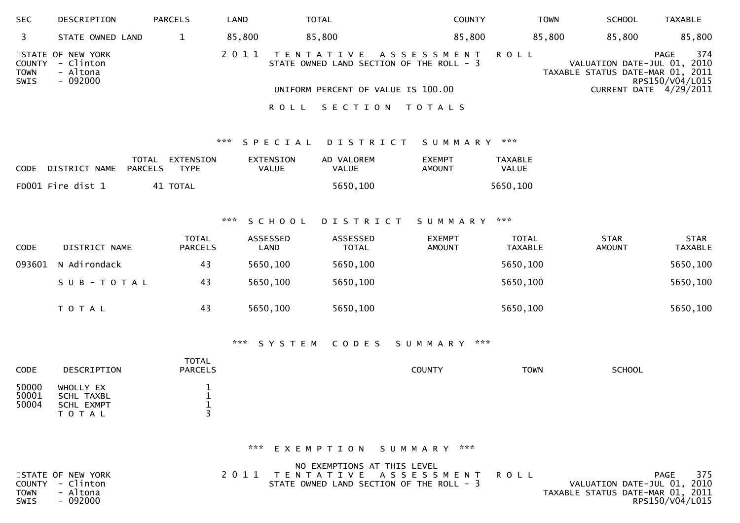| <b>SEC</b>                    | DESCRIPTION                                            | <b>PARCELS</b> | LAND   | TOTAL                                      | <b>COUNTY</b>                  | <b>TOWN</b> | <b>SCHOOL</b>                                                   | <b>TAXABLE</b>                 |
|-------------------------------|--------------------------------------------------------|----------------|--------|--------------------------------------------|--------------------------------|-------------|-----------------------------------------------------------------|--------------------------------|
|                               | STATE OWNED LAND                                       |                | 85.800 | 85,800                                     | 85,800                         | 85.800      | 85.800                                                          | 85,800                         |
| COUNTY<br><b>TOWN</b><br>SWIS | STATE OF NEW YORK<br>- Clinton<br>- Altona<br>- 092000 |                |        | STATE OWNED LAND SECTION OF THE ROLL - 3   | 2011 TENTATIVE ASSESSMENT ROLL |             | VALUATION DATE-JUL 01, 2010<br>TAXABLE STATUS DATE-MAR 01, 2011 | 374<br>PAGE<br>RPS150/V04/L015 |
|                               |                                                        |                |        | UNIFORM PERCENT OF VALUE IS 100.00<br>ROLL | SECTION TOTALS                 |             |                                                                 | CURRENT DATE 4/29/2011         |

# \*\*\* S P E C I A L D I S T R I C T S U M M A R Y \*\*\*

| CODE | DISTRICT NAME     | TOTAL EXTENSION<br>PARCELS<br><b>TYPF</b> | EXTENSION<br>VALUE | AD VALOREM<br>VALUE | <b>EXEMPT</b><br>AMOUNT | TAXABLE<br><b>VALUE</b> |
|------|-------------------|-------------------------------------------|--------------------|---------------------|-------------------------|-------------------------|
|      | FD001 Fire dist 1 | 41 TOTAL                                  |                    | 5650,100            |                         | 5650,100                |

# \*\*\* S C H O O L D I S T R I C T S U M M A R Y \*\*\*

| <b>CODE</b> | DISTRICT NAME       | <b>TOTAL</b><br><b>PARCELS</b> | ASSESSED<br>LAND | ASSESSED<br><b>TOTAL</b> | <b>EXEMPT</b><br>AMOUNT | <b>TOTAL</b><br>TAXABLE | <b>STAR</b><br><b>AMOUNT</b> | <b>STAR</b><br><b>TAXABLE</b> |
|-------------|---------------------|--------------------------------|------------------|--------------------------|-------------------------|-------------------------|------------------------------|-------------------------------|
|             | 093601 N Adirondack | 43                             | 5650,100         | 5650,100                 |                         | 5650,100                |                              | 5650,100                      |
|             | SUB-TOTAL           | 43                             | 5650,100         | 5650,100                 |                         | 5650,100                |                              | 5650,100                      |
|             | T O T A L           | 43                             | 5650,100         | 5650,100                 |                         | 5650,100                |                              | 5650,100                      |

### \*\*\* S Y S T E M C O D E S S U M M A R Y \*\*\*

| DESCRIPTION                       | TOTAL<br><b>PARCELS</b> | <b>COUNTY</b> | <b>TOWN</b> | <b>SCHOOL</b> |
|-----------------------------------|-------------------------|---------------|-------------|---------------|
| WHOLLY EX                         |                         |               |             |               |
| <b>SCHL EXMPT</b><br><b>TOTAL</b> |                         |               |             |               |
|                                   | SCHL TAXBL              |               |             |               |

# \*\*\* E X E M P T I O N S U M M A R Y \*\*\*

|                                                                   | NO EXEMPTIONS AT THIS LEVEL              |  |                                                                 |                 |     |
|-------------------------------------------------------------------|------------------------------------------|--|-----------------------------------------------------------------|-----------------|-----|
| STATE OF NEW YORK                                                 | 2011 TENTATIVE ASSESSMENT ROLL           |  |                                                                 | PAGE            | 375 |
| $COUNTY - Clinton$<br><b>TOWN</b><br>- Altona<br>- 092000<br>SWIS | STATE OWNED LAND SECTION OF THE ROLL - 3 |  | VALUATION DATE-JUL 01, 2010<br>TAXABLE STATUS DATE-MAR 01, 2011 | RPS150/V04/L015 |     |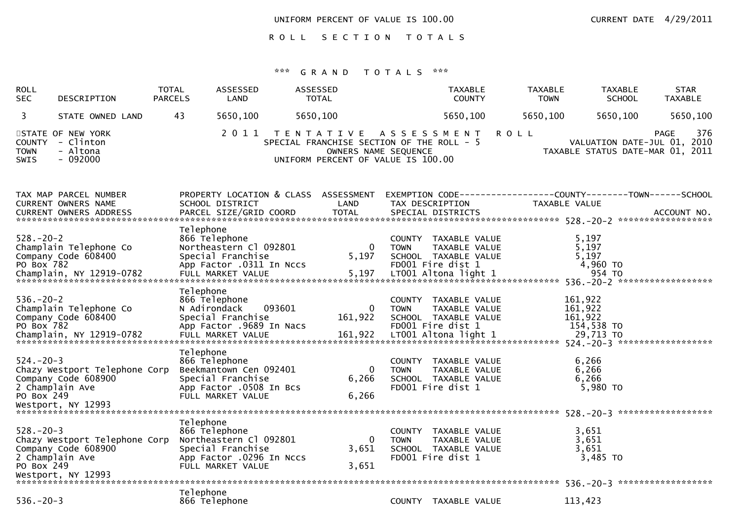UNIFORM PERCENT OF VALUE IS 100.00 CURRENT DATE 4/29/2011

ROLL SECTION TOTALS

| ROLL<br><b>SEC</b>                                                                            | DESCRIPTION                        | <b>TOTAL</b><br><b>PARCELS</b>             | ASSESSED<br>LAND                                                                             | ASSESSED          | <b>TOTAL</b>                                                                                            |                              | <b>TAXABLE</b><br><b>COUNTY</b>                                                    | <b>TAXABLE</b><br><b>TOWN</b> | <b>TAXABLE</b><br><b>SCHOOL</b>                                               | <b>STAR</b><br><b>TAXABLE</b> |
|-----------------------------------------------------------------------------------------------|------------------------------------|--------------------------------------------|----------------------------------------------------------------------------------------------|-------------------|---------------------------------------------------------------------------------------------------------|------------------------------|------------------------------------------------------------------------------------|-------------------------------|-------------------------------------------------------------------------------|-------------------------------|
| 3                                                                                             | STATE OWNED LAND                   | 43                                         | 5650,100                                                                                     | 5650,100          |                                                                                                         |                              | 5650,100                                                                           | 5650,100                      | 5650,100                                                                      | 5650,100                      |
| STATE OF NEW YORK<br><b>COUNTY</b><br><b>TOWN</b><br>SWIS                                     | - Clinton<br>- Altona<br>$-092000$ |                                            | 2 0 1 1                                                                                      | T E N T A T I V E | SPECIAL FRANCHISE SECTION OF THE ROLL - 5<br>OWNERS NAME SEQUENCE<br>UNIFORM PERCENT OF VALUE IS 100.00 | A S S E S S M E N T          |                                                                                    | <b>ROLL</b>                   | VALUATION DATE-JUL 01,<br>TAXABLE STATUS DATE-MAR 01, 2011                    | 376<br><b>PAGE</b><br>2010    |
| TAX MAP PARCEL NUMBER<br><b>CURRENT OWNERS NAME</b><br><b>CURRENT OWNERS ADDRESS</b>          |                                    |                                            | SCHOOL DISTRICT<br>PARCEL SIZE/GRID COORD                                                    |                   | PROPERTY LOCATION & CLASS ASSESSMENT<br>LAND<br><b>TOTAL</b>                                            |                              | TAX DESCRIPTION<br>SPECIAL DISTRICTS                                               |                               | EXEMPTION CODE-----------------COUNTY-------TOWN------SCHOOL<br>TAXABLE VALUE | ACCOUNT NO.                   |
| $528. - 20 - 2$<br>Champlain Telephone Co<br>Company Code 608400<br>PO Box 782                |                                    | Telephone<br>866 Telephone                 | Northeastern Cl 092801<br>Special Franchise<br>App Factor .0311 In Nccs                      |                   | 0<br>5,197                                                                                              | <b>TOWN</b>                  | COUNTY TAXABLE VALUE<br>TAXABLE VALUE<br>SCHOOL TAXABLE VALUE<br>FD001 Fire dist 1 |                               | 5,197<br>5,197<br>5,197<br>4,960 TO                                           |                               |
| $536. - 20 - 2$<br>Champlain Telephone Co<br>Company Code 608400<br>PO Box 782                |                                    | Telephone<br>866 Telephone<br>N Adirondack | Special Franchise<br>App Factor .9689 In Nacs                                                | 093601            | $\Omega$<br>161,922                                                                                     | <b>COUNTY</b><br><b>TOWN</b> | TAXABLE VALUE<br>TAXABLE VALUE<br>SCHOOL TAXABLE VALUE<br>FD001 Fire dist 1        |                               | 161,922<br>161,922<br>161,922<br>154,538 TO                                   |                               |
| $524. - 20 - 3$<br>Company Code 608900<br>2 Champlain Ave<br>PO Box 249<br>Westport, NY 12993 | Chazy Westport Telephone Corp      | Telephone<br>866 Telephone                 | Beekmantown Cen 092401<br>Special Franchise<br>App Factor .0508 In Bcs<br>FULL MARKET VALUE  |                   | 0<br>6,266<br>6,266                                                                                     | <b>COUNTY</b><br><b>TOWN</b> | TAXABLE VALUE<br>TAXABLE VALUE<br>SCHOOL TAXABLE VALUE<br>FD001 Fire dist 1        |                               | 6,266<br>6,266<br>6,266<br>5,980 TO                                           |                               |
| $528. - 20 - 3$<br>Company Code 608900<br>2 Champlain Ave<br>PO Box 249<br>Westport, NY 12993 | Chazy Westport Telephone Corp      | Telephone<br>866 Telephone                 | Northeastern Cl 092801<br>Special Franchise<br>App Factor .0296 In Nccs<br>FULL MARKET VALUE |                   | $\Omega$<br>3,651<br>3,651                                                                              | COUNTY<br><b>TOWN</b>        | TAXABLE VALUE<br>TAXABLE VALUE<br>SCHOOL TAXABLE VALUE<br>FD001 Fire dist 1        |                               | 3,651<br>3,651<br>3,651<br>$3,485$ TO<br>$536. - 20 - 3$                      | ******************            |
| $536. - 20 - 3$                                                                               |                                    | Telephone<br>866 Telephone                 |                                                                                              |                   |                                                                                                         |                              | COUNTY TAXABLE VALUE                                                               |                               | 113,423                                                                       |                               |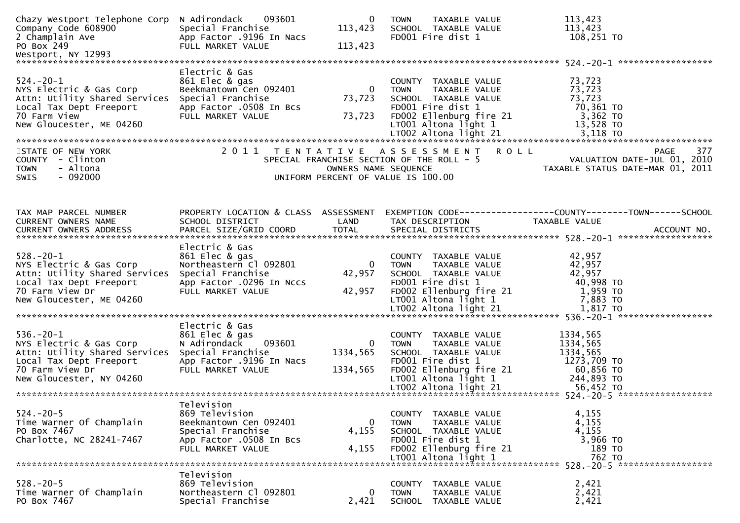| Chazy Westport Telephone Corp<br>Company Code 608900<br>2 Champlain Ave<br>PO Box 249<br>Westport, NY 12993                                           | N Adirondack<br>093601<br>Special Franchise<br>App Factor .9196 In Nacs<br>FULL MARKET VALUE                                    | 0<br>113,423<br>113,423      | TAXABLE VALUE<br><b>TOWN</b><br>SCHOOL TAXABLE VALUE<br>FD001 Fire dist 1                                                                                   | 113,423<br>113,423<br>108,251 TO                                                                                                                                                 |
|-------------------------------------------------------------------------------------------------------------------------------------------------------|---------------------------------------------------------------------------------------------------------------------------------|------------------------------|-------------------------------------------------------------------------------------------------------------------------------------------------------------|----------------------------------------------------------------------------------------------------------------------------------------------------------------------------------|
|                                                                                                                                                       |                                                                                                                                 |                              |                                                                                                                                                             |                                                                                                                                                                                  |
| $524. - 20 - 1$<br>NYS Electric & Gas Corp<br>Attn: Utility Shared Services<br>Local Tax Dept Freeport<br>70 Farm View<br>New Gloucester, ME 04260    | Electric & Gas<br>861 Elec & gas<br>Beekmantown Cen 092401<br>Special Franchise<br>App Factor .0508 In Bcs<br>FULL MARKET VALUE | 0<br>73,723<br>73,723        | COUNTY TAXABLE VALUE<br><b>TOWN</b><br>TAXABLE VALUE<br>SCHOOL TAXABLE VALUE<br>FD001 Fire dist 1<br>FD002 Ellenburg fire 21<br>$LT001$ Altona light 1      | 73,723<br>73,723<br>73,723<br>70,361 то<br>3,362 TO<br>13,528 TO                                                                                                                 |
| STATE OF NEW YORK                                                                                                                                     |                                                                                                                                 |                              | 2011 TENTATIVE ASSESSMENT<br><b>ROLL</b>                                                                                                                    | 377<br>PAGE                                                                                                                                                                      |
| COUNTY - Clinton<br><b>TOWN</b><br>- Altona<br>$-092000$<br><b>SWIS</b>                                                                               |                                                                                                                                 | OWNERS NAME SEQUENCE         | SPECIAL FRANCHISE SECTION OF THE ROLL - 5<br>UNIFORM PERCENT OF VALUE IS 100.00                                                                             | VALUATION DATE-JUL 01, 2010<br>TAXABLE STATUS DATE-MAR 01, 2011                                                                                                                  |
|                                                                                                                                                       |                                                                                                                                 |                              |                                                                                                                                                             |                                                                                                                                                                                  |
| TAX MAP PARCEL NUMBER<br><b>CURRENT OWNERS NAME</b>                                                                                                   | PROPERTY LOCATION & CLASS ASSESSMENT<br>SCHOOL DISTRICT                                                                         | LAND                         | TAX DESCRIPTION                                                                                                                                             | EXEMPTION CODE-----------------COUNTY-------TOWN------SCHOOL<br>TAXABLE VALUE                                                                                                    |
|                                                                                                                                                       | Electric & Gas                                                                                                                  |                              |                                                                                                                                                             |                                                                                                                                                                                  |
| $528. - 20 - 1$<br>NYS Electric & Gas Corp<br>Attn: Utility Shared Services<br>Local Tax Dept Freeport<br>70 Farm View Dr<br>New Gloucester, ME 04260 | 861 Elec & gas<br>Northeastern Cl 092801<br>Special Franchise<br>App Factor .0296 In Nccs<br>FULL MARKET VALUE                  | $\Omega$<br>42,957<br>42,957 | COUNTY TAXABLE VALUE<br>TAXABLE VALUE<br><b>TOWN</b><br>SCHOOL TAXABLE VALUE<br>FD001 Fire dist 1<br>FD002 Ellenburg fire 21<br>LT001 Altona light 1        | 42,957<br>42,957<br>42,957<br>40,998 TO<br>1,959 TO<br>7,883 TO<br>LTOO2 Altona light 21 1,817 TO 2 2001 1,817 TO 2 2001 1,817 1 1,817 TO 2 2001 1,817 1 1,817 TO 2 2001 1,817 1 |
|                                                                                                                                                       | Electric & Gas                                                                                                                  |                              |                                                                                                                                                             |                                                                                                                                                                                  |
| $536. - 20 - 1$<br>NYS Electric & Gas Corp<br>Attn: Utility Shared Services<br>Local Tax Dept Freeport<br>70 Farm View Dr<br>New Gloucester, NY 04260 | 861 Elec & gas<br>093601<br>N Adirondack<br>Special Franchise<br>App Factor .9196 In Nacs<br>FULL MARKET VALUE                  | 0<br>1334,565<br>1334,565    | COUNTY TAXABLE VALUE<br><b>TOWN</b><br>TAXABLE VALUE<br>SCHOOL TAXABLE VALUE<br>FD001 Fire dist 1<br>FD002 Ellenburg fire 21<br>LT001 Altona light 1        | 1334,565<br>1334,565<br>1334,565<br>1273,709 TO<br>60,856 TO<br>244,893 TO                                                                                                       |
|                                                                                                                                                       |                                                                                                                                 |                              |                                                                                                                                                             |                                                                                                                                                                                  |
| $524. - 20 - 5$<br>Time Warner Of Champlain<br>PO Box 7467<br>Charlotte, NC 28241-7467                                                                | Television<br>869 Television<br>Beekmantown Cen 092401<br>Special Franchise<br>App Factor .0508 In Bcs<br>FULL MARKET VALUE     | 0<br>4,155<br>4,155          | COUNTY TAXABLE VALUE<br><b>TOWN</b><br><b>TAXABLE VALUE</b><br>SCHOOL TAXABLE VALUE<br>FD001 Fire dist 1<br>FD002 Ellenburg fire 21<br>LT001 Altona light 1 | 4,155<br>4,155<br>4,155<br>3,966 TO<br>189 TO<br>762 TO                                                                                                                          |
|                                                                                                                                                       |                                                                                                                                 |                              |                                                                                                                                                             | 528. - 20 - 5 ********************                                                                                                                                               |
| $528. - 20 - 5$<br>Time Warner Of Champlain<br>PO Box 7467                                                                                            | Television<br>869 Television<br>Northeastern Cl 092801<br>Special Franchise                                                     | 0<br>2,421                   | COUNTY TAXABLE VALUE<br>TAXABLE VALUE<br><b>TOWN</b><br>SCHOOL TAXABLE VALUE                                                                                | 2,421<br>2,421<br>2,421                                                                                                                                                          |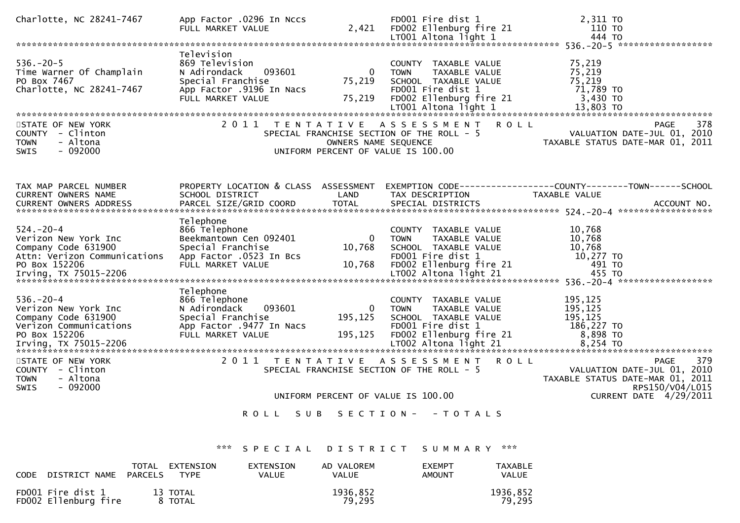| Charlotte, NC 28241-7467                                                                                                                 | App Factor .0296 In Nccs<br>FULL MARKET VALUE                                                                                | 2,421                          | FD001 Fire dist 1<br>FD002 Ellenburg fire 21<br>LT001 Altona light 1                                                                                   | 2,311 TO<br>110 TO<br>444 TO                                                                                            |
|------------------------------------------------------------------------------------------------------------------------------------------|------------------------------------------------------------------------------------------------------------------------------|--------------------------------|--------------------------------------------------------------------------------------------------------------------------------------------------------|-------------------------------------------------------------------------------------------------------------------------|
|                                                                                                                                          |                                                                                                                              |                                |                                                                                                                                                        |                                                                                                                         |
| $536. -20 - 5$<br>Time Warner Of Champlain<br>PO Box 7467<br>Charlotte, NC 28241-7467                                                    | Television<br>869 Television<br>N Adirondack<br>093601<br>Special Franchise<br>App Factor .9196 In Nacs<br>FULL MARKET VALUE | 0<br>75,219<br>75,219          | COUNTY TAXABLE VALUE<br>TAXABLE VALUE<br><b>TOWN</b><br>SCHOOL TAXABLE VALUE<br>FD001 Fire dist 1<br>FD002 Ellenburg fire 21<br>$LT001$ Altona light 1 | 75,219<br>75,219<br>75,219<br>71,789 TO<br>3,430 TO<br>13,803 TO                                                        |
|                                                                                                                                          |                                                                                                                              |                                |                                                                                                                                                        |                                                                                                                         |
| STATE OF NEW YORK<br>COUNTY - Clinton<br><b>TOWN</b><br>- Altona<br>- 092000<br><b>SWIS</b>                                              | 2011<br>T E N T A T I V E                                                                                                    | OWNERS NAME SEQUENCE           | A S S E S S M E N T<br>SPECIAL FRANCHISE SECTION OF THE ROLL - 5<br>UNIFORM PERCENT OF VALUE IS 100.00                                                 | <b>ROLL</b><br>378<br>PAGE<br>VALUATION DATE-JUL 01, 2010<br>TAXABLE STATUS DATE-MAR 01, 2011                           |
| TAX MAP PARCEL NUMBER<br><b>CURRENT OWNERS NAME</b><br><b>CURRENT OWNERS ADDRESS</b>                                                     | PROPERTY LOCATION & CLASS ASSESSMENT<br>SCHOOL DISTRICT<br>PARCEL SIZE/GRID COORD                                            | LAND<br><b>TOTAL</b>           | TAX DESCRIPTION<br>SPECIAL DISTRICTS                                                                                                                   | EXEMPTION CODE-----------------COUNTY--------TOWN-----SCHOOL<br>TAXABLE VALUE<br>ACCOUNT NO.                            |
| $524. - 20 - 4$<br>Verizon New York Inc<br>Company Code 631900<br>Attn: Verizon Communications<br>PO Box 152206<br>Irving, TX 75015-2206 | Telephone<br>866 Telephone<br>Beekmantown Cen 092401<br>Special Franchise<br>App Factor .0523 In Bcs<br>FULL MARKET VALUE    | $\bf{0}$<br>10,768<br>10,768   | COUNTY TAXABLE VALUE<br><b>TOWN</b><br>TAXABLE VALUE<br>SCHOOL TAXABLE VALUE<br>FD001 Fire dist 1<br>FD002 Ellenburg fire 21<br>LT002 Altona light 21  | 10,768<br>10,768<br>10,768<br>10,277 TO<br>491 TO<br>455 TO                                                             |
| $536. - 20 - 4$<br>Verizon New York Inc<br>Company Code 631900<br>Verizon Communications<br>PO Box 152206<br>Irving, TX 75015-2206       | Telephone<br>866 Telephone<br>N Adirondack<br>093601<br>Special Franchise<br>App Factor .9477 In Nacs<br>FULL MARKET VALUE   | $\Omega$<br>195,125<br>195,125 | COUNTY TAXABLE VALUE<br><b>TOWN</b><br>TAXABLE VALUE<br>SCHOOL TAXABLE VALUE<br>FD001 Fire dist 1<br>FD002 Ellenburg fire 21<br>LT002 Altona light 21  | 195,125<br>195,125<br>195,125<br>186,227 TO<br>8,898 TO<br>8.254 TO                                                     |
| STATE OF NEW YORK<br>COUNTY - Clinton<br><b>TOWN</b><br>- Altona<br>- 092000<br><b>SWIS</b>                                              | 2011                                                                                                                         | T E N T A T I V E              | ASSESSMENT<br>SPECIAL FRANCHISE SECTION OF THE ROLL - 5                                                                                                | <b>ROLL</b><br><b>PAGE</b><br>379<br>VALUATION DATE-JUL 01, 2010<br>TAXABLE STATUS DATE-MAR 01, 2011<br>RPS150/V04/L015 |
|                                                                                                                                          |                                                                                                                              |                                | UNIFORM PERCENT OF VALUE IS 100.00                                                                                                                     | CURRENT DATE 4/29/2011                                                                                                  |
|                                                                                                                                          | ROLL<br>S U B                                                                                                                |                                | SECTION - - TOTALS                                                                                                                                     |                                                                                                                         |
|                                                                                                                                          | ***<br>SPECIAL                                                                                                               | DISTRICT                       | SUMMARY ***                                                                                                                                            |                                                                                                                         |

 TOTAL EXTENSION EXTENSION AD VALOREM EXEMPT TAXABLETAXABLE<br>VALUE CODE DISTRICT NAME PARCELS FD001 Fire dist 1 13 TOTAL 1936,852 1936,8521936,852<br>79,295 FD002 Ellenburg fire a 8 TOTAL 19, 295 79,295 79,295 79,295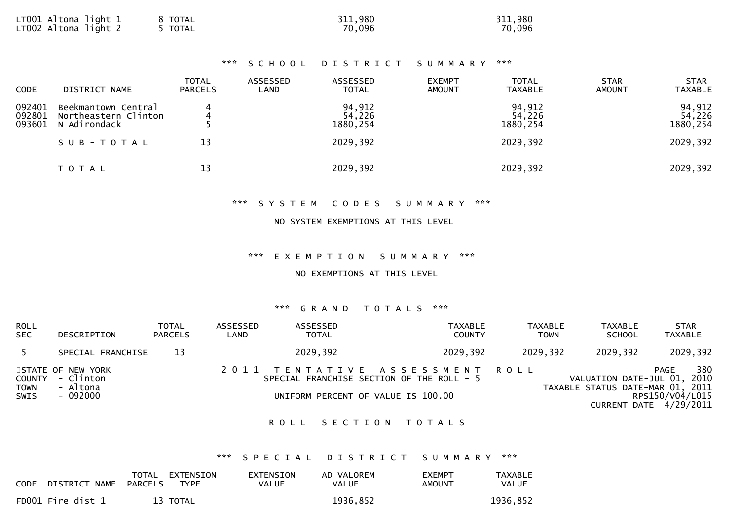| LT001 Altona light 1<br>8 TOTAL<br>LTOO2 Altona liğht 2<br><b>TOTAL</b> | 311,980<br>70,096 | 311,980<br>70,096 |
|-------------------------------------------------------------------------|-------------------|-------------------|
|-------------------------------------------------------------------------|-------------------|-------------------|

# \*\*\* S C H O O L D I S T R I C T S U M M A R Y \*\*\*

| <b>CODE</b>                | DISTRICT NAME                                               | <b>TOTAL</b><br><b>PARCELS</b> | ASSESSED<br>LAND | ASSESSED<br><b>TOTAL</b>     | <b>EXEMPT</b><br><b>AMOUNT</b> | <b>TOTAL</b><br><b>TAXABLE</b> | <b>STAR</b><br><b>AMOUNT</b> | <b>STAR</b><br><b>TAXABLE</b> |
|----------------------------|-------------------------------------------------------------|--------------------------------|------------------|------------------------------|--------------------------------|--------------------------------|------------------------------|-------------------------------|
| 092401<br>092801<br>093601 | Beekmantown Central<br>Northeastern Clinton<br>N Adirondack | 4                              |                  | 94,912<br>54,226<br>1880,254 |                                | 94,912<br>54,226<br>1880,254   |                              | 94,912<br>54,226<br>1880,254  |
|                            | SUB-TOTAL                                                   | 13                             |                  | 2029,392                     |                                | 2029,392                       |                              | 2029,392                      |
|                            | T O T A L                                                   | 13                             |                  | 2029,392                     |                                | 2029,392                       |                              | 2029,392                      |

### \*\*\* S Y S T E M C O D E S S U M M A R Y \*\*\*

### NO SYSTEM EXEMPTIONS AT THIS LEVEL

#### \*\*\* E X E M P T I O N S U M M A R Y \*\*\*

#### NO EXEMPTIONS AT THIS LEVEL

### \*\*\* G R A N D T O T A L S \*\*\*

| <b>ROLL</b><br><b>SEC</b> | DESCRIPTION                                                   | <b>TOTAL</b><br><b>PARCELS</b> | ASSESSED<br>LAND | ASSESSED<br><b>TOTAL</b>                                                                                          | <b>TAXABLE</b><br><b>COUNTY</b> | TAXABLE<br><b>TOWN</b> | <b>TAXABLE</b><br><b>SCHOOL</b>                                 | <b>STAR</b><br><b>TAXABLE</b>                            |
|---------------------------|---------------------------------------------------------------|--------------------------------|------------------|-------------------------------------------------------------------------------------------------------------------|---------------------------------|------------------------|-----------------------------------------------------------------|----------------------------------------------------------|
| - 5                       | SPECIAL FRANCHISE                                             | 13                             |                  | 2029,392                                                                                                          | 2029,392                        | 2029,392               | 2029,392                                                        | 2029,392                                                 |
| TOWN<br><b>SWIS</b>       | STATE OF NEW YORK<br>COUNTY - Clinton<br>- Altona<br>- 092000 |                                |                  | 2011 TENTATIVE ASSESSMENT ROLL<br>SPECIAL FRANCHISE SECTION OF THE ROLL - 5<br>UNIFORM PERCENT OF VALUE IS 100.00 |                                 |                        | VALUATION DATE-JUL 01, 2010<br>TAXABLE STATUS DATE-MAR 01, 2011 | 380<br>PAGE<br>RPS150/V04/L015<br>CURRENT DATE 4/29/2011 |

### ROLL SECTION TOTALS

# \*\*\* S P E C I A L D I S T R I C T S U M M A R Y \*\*\*

| <b>CODE</b> | DISTRICT NAME     | TOTAL<br>PARCELS | EXTENSION<br>TYPE | EXTENSION<br>VALUE | AD VALOREM<br>VALUE | <b>EXEMPT</b><br>AMOUNT | <b>TAXABLE</b><br>VALUE |
|-------------|-------------------|------------------|-------------------|--------------------|---------------------|-------------------------|-------------------------|
|             | FD001 Fire dist 1 |                  | 13 TOTAL          |                    | 1936,852            |                         | 1936,852                |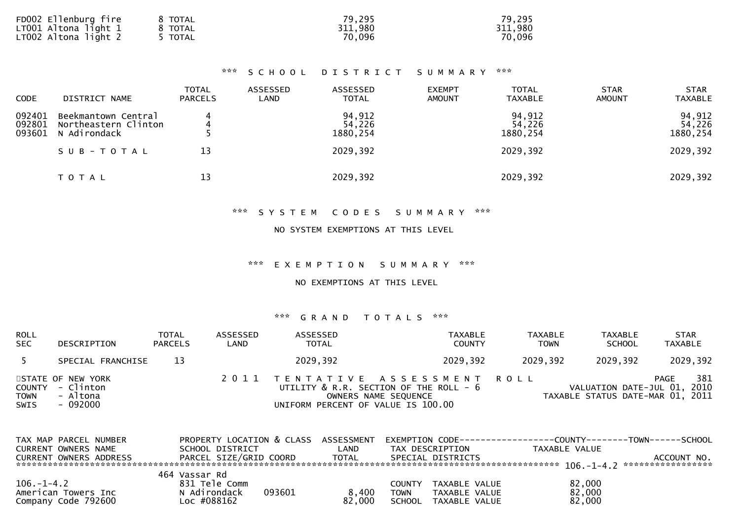| FD002 Ellenburg fire     | 8 TOTAL | 79,295  | 79,295  |
|--------------------------|---------|---------|---------|
| $LT001$ Altona light $1$ | 8 TOTAL | 311,980 | 311,980 |
| LT002 Altona light 2     | TOTAL   | 70,096  | 70,096  |

# \*\*\* S C H O O L D I S T R I C T S U M M A R Y \*\*\*

| <b>CODE</b>                | DISTRICT NAME                                               | <b>TOTAL</b><br><b>PARCELS</b> | ASSESSED<br>LAND | ASSESSED<br><b>TOTAL</b>     | <b>EXEMPT</b><br><b>AMOUNT</b> | <b>TOTAL</b><br><b>TAXABLE</b> | <b>STAR</b><br><b>AMOUNT</b> | <b>STAR</b><br><b>TAXABLE</b> |
|----------------------------|-------------------------------------------------------------|--------------------------------|------------------|------------------------------|--------------------------------|--------------------------------|------------------------------|-------------------------------|
| 092401<br>092801<br>093601 | Beekmantown Central<br>Northeastern Clinton<br>N Adirondack | 4<br>4                         |                  | 94,912<br>54,226<br>1880,254 |                                | 94,912<br>54,226<br>1880,254   |                              | 94,912<br>54,226<br>1880, 254 |
|                            | SUB-TOTAL                                                   | 13                             |                  | 2029,392                     |                                | 2029,392                       |                              | 2029,392                      |
|                            | T O T A L                                                   | 13                             |                  | 2029,392                     |                                | 2029,392                       |                              | 2029,392                      |

# \*\*\* S Y S T E M C O D E S S U M M A R Y \*\*\*

#### NO SYSTEM EXEMPTIONS AT THIS LEVEL

### \*\*\* E X E M P T I O N S U M M A R Y \*\*\*

# NO EXEMPTIONS AT THIS LEVEL

| <b>ROLL</b><br><b>SEC</b> | DESCRIPTION                                                   | TOTAL<br><b>PARCELS</b> | ASSESSED<br>LAND | ASSESSED<br><b>TOTAL</b>           | <b>TAXABLE</b><br><b>COUNTY</b>                                                                  | <b>TAXABLE</b><br><b>TOWN</b> | <b>TAXABLE</b><br><b>SCHOOL</b>                                 | <b>STAR</b><br><b>TAXABLE</b> |
|---------------------------|---------------------------------------------------------------|-------------------------|------------------|------------------------------------|--------------------------------------------------------------------------------------------------|-------------------------------|-----------------------------------------------------------------|-------------------------------|
| 5                         | SPECIAL FRANCHISE                                             | 13                      |                  | 2029,392                           | 2029,392                                                                                         | 2029,392                      | 2029,392                                                        | 2029,392                      |
| <b>TOWN</b><br>SWIS       | STATE OF NEW YORK<br>COUNTY - Clinton<br>- Altona<br>- 092000 |                         |                  | UNIFORM PERCENT OF VALUE IS 100.00 | 2011 TENTATIVE ASSESSMENT ROLL<br>UTILITY & R.R. SECTION OF THE ROLL - 6<br>OWNERS NAME SEQUENCE |                               | VALUATION DATE-JUL 01, 2010<br>TAXABLE STATUS DATE-MAR 01, 2011 | 381<br>PAGE                   |

| TAX MAP PARCEL NUMBER<br>CURRENT OWNERS NAME                   | PROPERTY LOCATION & CLASS<br>SCHOOL DISTRICT           | <b>ASSESSMENT</b><br>LAND | EXEMPTION        CODE-----------------COUNTY--------TOWN------SCHOOL<br>TAX DESCRIPTION | TAXABLE VALUE              |             |
|----------------------------------------------------------------|--------------------------------------------------------|---------------------------|-----------------------------------------------------------------------------------------|----------------------------|-------------|
| <b>CURRENT OWNERS ADDRESS</b>                                  | PARCEL SIZE/GRID COORD                                 | <b>TOTAL</b>              | SPECIAL DISTRICTS                                                                       |                            | ACCOUNT NO. |
|                                                                | 464 Vassar Rd                                          |                           |                                                                                         |                            |             |
| $106. - 1 - 4.2$<br>American Towers Inc<br>Company Code 792600 | 831 Tele Comm<br>N Adirondack<br>093601<br>Loc #088162 | 8.400<br>82,000           | TAXABLE VALUE<br>COUNTY<br>TAXABLE VALUE<br>TOWN<br><b>SCHOOL</b><br>TAXABLE VALUE      | 82,000<br>82,000<br>82,000 |             |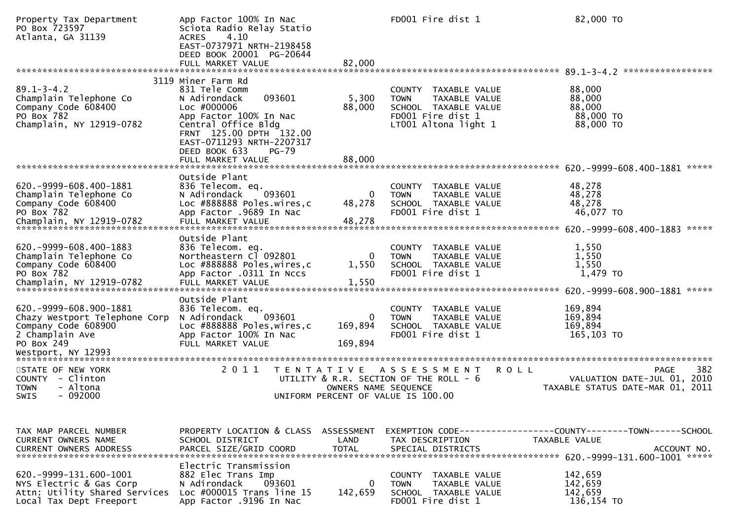| Property Tax Department<br>PO Box 723597<br>Atlanta, GA 31139                                                                          | App Factor 100% In Nac<br>Sciota Radio Relay Statio<br>4.10<br><b>ACRES</b><br>EAST-0737971 NRTH-2198458<br>DEED BOOK 20001 PG-20644<br>FULL MARKET VALUE                                                                              | 82,000                    | FD001 Fire dist 1                                                                                                         | 82,000 TO                                                                                     |
|----------------------------------------------------------------------------------------------------------------------------------------|----------------------------------------------------------------------------------------------------------------------------------------------------------------------------------------------------------------------------------------|---------------------------|---------------------------------------------------------------------------------------------------------------------------|-----------------------------------------------------------------------------------------------|
|                                                                                                                                        |                                                                                                                                                                                                                                        |                           |                                                                                                                           |                                                                                               |
| $89.1 - 3 - 4.2$<br>Champlain Telephone Co<br>Company Code 608400<br>PO Box 782<br>Champlain, NY 12919-0782                            | 3119 Miner Farm Rd<br>831 Tele Comm<br>N Adirondack<br>093601<br>Loc #000006<br>App Factor 100% In Nac<br>Central Office Bldg<br>FRNT 125.00 DPTH 132.00<br>EAST-0711293 NRTH-2207317<br>DEED BOOK 633<br>$PG-79$<br>FULL MARKET VALUE | 5,300<br>88,000<br>88,000 | COUNTY TAXABLE VALUE<br>TAXABLE VALUE<br><b>TOWN</b><br>SCHOOL TAXABLE VALUE<br>FD001 Fire dist 1<br>LT001 Altona light 1 | 88,000<br>88,000<br>88,000<br>88,000 TO<br>88,000 TO                                          |
|                                                                                                                                        |                                                                                                                                                                                                                                        |                           |                                                                                                                           | *****                                                                                         |
| 620. -9999-608.400-1881<br>Champlain Telephone Co<br>Company Code 608400<br>PO Box 782                                                 | Outside Plant<br>836 Telecom. eq.<br>093601<br>N Adirondack<br>Loc #888888 Poles.wires.c<br>App Factor .9689 In Nac                                                                                                                    | 0<br>48,278               | <b>COUNTY</b><br>TAXABLE VALUE<br><b>TOWN</b><br>TAXABLE VALUE<br>SCHOOL TAXABLE VALUE<br>FD001 Fire dist 1               | 48,278<br>48,278<br>48,278<br>46,077 TO                                                       |
|                                                                                                                                        | Outside Plant                                                                                                                                                                                                                          |                           |                                                                                                                           |                                                                                               |
| 620. -9999-608.400-1883<br>Champlain Telephone Co<br>Company Code 608400<br>PO Box 782                                                 | 836 Telecom. eq.<br>Northeastern Cl 092801<br>Loc #888888 Poles, wires, c<br>App Factor .0311 In Nccs                                                                                                                                  | 0<br>1,550                | COUNTY TAXABLE VALUE<br><b>TOWN</b><br>TAXABLE VALUE<br>SCHOOL TAXABLE VALUE<br>FD001 Fire dist 1                         | 1,550<br>1,550<br>1,550<br>1,479 TO<br>*****                                                  |
|                                                                                                                                        | Outside Plant                                                                                                                                                                                                                          |                           |                                                                                                                           |                                                                                               |
| 620. -9999-608.900-1881<br>Chazy Westport Telephone Corp<br>Company Code 608900<br>2 Champlain Ave<br>PO Box 249<br>Westport, NY 12993 | 836 Telecom. eq.<br>093601<br>N Adirondack<br>Loc #888888 Poles, wires, c<br>App Factor 100% In Nac<br>FULL MARKET VALUE                                                                                                               | 0<br>169,894<br>169,894   | <b>COUNTY</b><br>TAXABLE VALUE<br>TAXABLE VALUE<br><b>TOWN</b><br>SCHOOL TAXABLE VALUE<br>FD001 Fire dist 1               | 169,894<br>169,894<br>169,894<br>165,103 TO                                                   |
| STATE OF NEW YORK                                                                                                                      | 2 0 1 1<br>T E N T A T I V E                                                                                                                                                                                                           |                           | A S S E S S M E N T                                                                                                       | 382<br><b>ROLL</b><br><b>PAGE</b>                                                             |
| COUNTY - Clinton<br>- Altona<br><b>TOWN</b><br>$-092000$<br><b>SWIS</b>                                                                |                                                                                                                                                                                                                                        | OWNERS NAME SEQUENCE      | UTILITY & R.R. SECTION OF THE ROLL - 6<br>UNIFORM PERCENT OF VALUE IS 100.00                                              | VALUATION DATE-JUL 01, 2010<br>TAXABLE STATUS DATE-MAR 01, 2011                               |
|                                                                                                                                        |                                                                                                                                                                                                                                        |                           |                                                                                                                           |                                                                                               |
| TAX MAP PARCEL NUMBER<br><b>CURRENT OWNERS NAME</b><br><b>CURRENT OWNERS ADDRESS</b>                                                   | PROPERTY LOCATION & CLASS ASSESSMENT<br>SCHOOL DISTRICT<br>PARCEL SIZE/GRID COORD                                                                                                                                                      | LAND<br><b>TOTAL</b>      | TAX DESCRIPTION<br>SPECIAL DISTRICTS                                                                                      | EXEMPTION CODE-----------------COUNTY--------TOWN------SCHOOL<br>TAXABLE VALUE<br>ACCOUNT NO. |
| 620. - 9999 - 131. 600 - 1001<br>NYS Electric & Gas Corp<br>Attn: Utility Shared Services<br>Local Tax Dept Freeport                   | Electric Transmission<br>882 Elec Trans Imp<br>N Adirondack<br>093601<br>Loc #000015 Trans line 15<br>App Factor .9196 In Nac                                                                                                          | 0<br>142,659              | COUNTY TAXABLE VALUE<br><b>TOWN</b><br><b>TAXABLE VALUE</b><br>SCHOOL TAXABLE VALUE<br>FD001 Fire dist 1                  | 142,659<br>142,659<br>142,659<br>136,154 TO                                                   |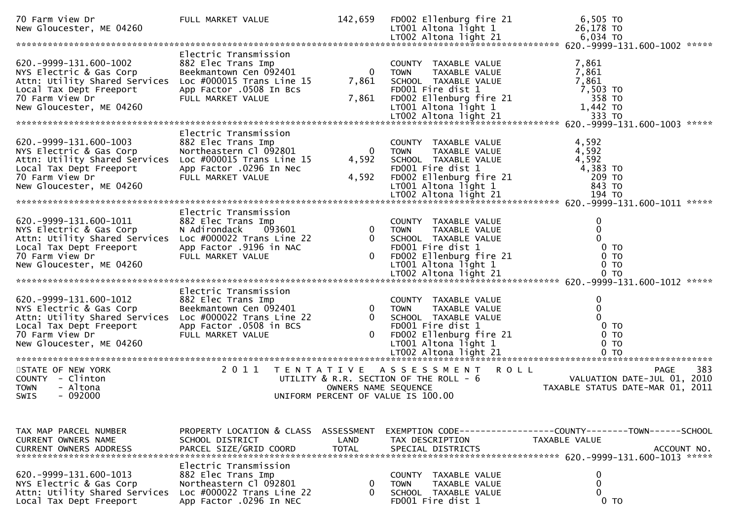| 70 Farm View Dr<br>New Gloucester, ME 04260                                                                                                                    | FULL MARKET VALUE                                                                                                                                     | 142,659                                        | FD002 Ellenburg fire 21<br>LT001 Altona light 1                                                                                                      | 6,505 TO<br>26,178 TO                                                                        |
|----------------------------------------------------------------------------------------------------------------------------------------------------------------|-------------------------------------------------------------------------------------------------------------------------------------------------------|------------------------------------------------|------------------------------------------------------------------------------------------------------------------------------------------------------|----------------------------------------------------------------------------------------------|
|                                                                                                                                                                |                                                                                                                                                       |                                                |                                                                                                                                                      |                                                                                              |
| 620. -9999-131. 600-1002<br>NYS Electric & Gas Corp<br>Attn: Utility Shared Services<br>Local Tax Dept Freeport<br>70 Farm View Dr<br>New Gloucester, ME 04260 | Electric Transmission<br>882 Elec Trans Imp<br>Beekmantown Cen 092401<br>Loc #000015 Trans Line 15<br>App Factor .0508 In Bcs<br>FULL MARKET VALUE    | $\overline{0}$<br>7,861<br>7,861               | COUNTY TAXABLE VALUE<br>TAXABLE VALUE<br><b>TOWN</b><br>SCHOOL TAXABLE VALUE<br>FD001 Fire dist 1<br>FD002 Ellenburg fire 21<br>LT001 Altona light 1 | 7,861<br>7,861<br>7,861<br>7,503 TO<br>358 TO<br>1,442 TO                                    |
|                                                                                                                                                                |                                                                                                                                                       |                                                |                                                                                                                                                      | 21 70 333 TO<br>****** 620-1003 600-1003 620 17002 Altona light 21 833 TO                    |
| 620. -9999-131. 600-1003<br>NYS Electric & Gas Corp<br>Attn: Utility Shared Services<br>Local Tax Dept Freeport<br>70 Farm View Dr<br>New Gloucester, ME 04260 | Electric Transmission<br>882 Elec Trans Imp<br>Northeastern Cl 092801<br>Loc $\#000015$ Trans Line 15<br>App Factor .0296 In Nec<br>FULL MARKET VALUE | $\overline{0}$<br>4,592<br>4,592               | COUNTY TAXABLE VALUE<br>TOWN<br>TAXABLE VALUE<br>SCHOOL TAXABLE VALUE<br>FD001 Fire dist 1<br>FD002 Ellenburg fire 21<br>LT001 Altona light 1        | 4,592<br>4,592<br>4,592<br>4,383 TO<br>209 TO<br>843 TO                                      |
|                                                                                                                                                                | Electric Transmission                                                                                                                                 |                                                |                                                                                                                                                      |                                                                                              |
| 620. -9999-131. 600-1011<br>NYS Electric & Gas Corp<br>Attn: Utility Shared Services<br>Local Tax Dept Freeport<br>70 Farm View Dr<br>New Gloucester, ME 04260 | 882 Elec Trans Imp<br>N Adirondack<br>093601<br>Loc $\#000022$ Trans Line 22<br>App Factor .9196 in NAC<br>FULL MARKET VALUE                          | $\mathbf{0}$<br>0                              | COUNTY TAXABLE VALUE<br>TAXABLE VALUE<br><b>TOWN</b><br>SCHOOL TAXABLE VALUE<br>FD001 Fire dist 1<br>FD002 Ellenburg fire 21<br>LT001 Altona light 1 | $\mathbf 0$<br>$\mathbf 0$<br>$\Omega$<br>$0$ TO<br>0 <sub>T</sub><br>$0$ TO                 |
|                                                                                                                                                                |                                                                                                                                                       |                                                |                                                                                                                                                      |                                                                                              |
| 620. -9999-131. 600-1012<br>NYS Electric & Gas Corp<br>Attn: Utility Shared Services<br>Local Tax Dept Freeport<br>70 Farm View Dr<br>New Gloucester, ME 04260 | Electric Transmission<br>882 Elec Trans Imp<br>Beekmantown Cen 092401<br>Loc $\#000022$ Trans Line 22<br>App Factor .0508 in BCS<br>FULL MARKET VALUE | $\mathbf{0}$<br>$\overline{0}$<br>$\mathbf{0}$ | COUNTY TAXABLE VALUE<br>TAXABLE VALUE<br><b>TOWN</b><br>SCHOOL TAXABLE VALUE<br>FD001 Fire dist 1<br>FD002 Ellenburg fire 21<br>LT001 Altona light 1 | $\mathbf 0$<br>$\mathbf 0$<br>$\Omega$<br>0 <sub>T</sub><br>0 <sub>T</sub><br>0 <sub>T</sub> |
|                                                                                                                                                                |                                                                                                                                                       |                                                |                                                                                                                                                      |                                                                                              |
| STATE OF NEW YORK<br>COUNTY - Clinton<br><b>TOWN</b><br>- Altona<br>$-092000$<br><b>SWIS</b>                                                                   | 2011                                                                                                                                                  | OWNERS NAME SEQUENCE                           | <b>ROLL</b><br>TENTATIVE ASSESSMENT<br>UTILITY & R.R. SECTION OF THE ROLL - 6<br>UNIFORM PERCENT OF VALUE IS 100.00                                  | 383<br>PAGE<br>VALUATION DATE-JUL 01, 2010<br>TAXABLE STATUS DATE-MAR 01, 2011               |
|                                                                                                                                                                |                                                                                                                                                       |                                                |                                                                                                                                                      |                                                                                              |
| TAX MAP PARCEL NUMBER<br>CURRENT OWNERS NAME                                                                                                                   | PROPERTY LOCATION & CLASS ASSESSMENT<br>SCHOOL DISTRICT                                                                                               | LAND                                           | TAX DESCRIPTION                                                                                                                                      | EXEMPTION CODE-----------------COUNTY-------TOWN------SCHOOL<br>TAXABLE VALUE                |
| 620. -9999-131. 600-1013<br>NYS Electric & Gas Corp<br>Attn: Utility Shared Services<br>Local Tax Dept Freeport                                                | Electric Transmission<br>882 Elec Trans Imp<br>Northeastern Cl 092801<br>Loc $\#000022$ Trans Line 22<br>App Factor .0296 In NEC                      | 0<br>$\Omega$                                  | COUNTY TAXABLE VALUE<br>TAXABLE VALUE<br><b>TOWN</b><br>SCHOOL TAXABLE VALUE<br>FD001 Fire dist 1                                                    | 0<br>0<br>$\Omega$<br>0 <sub>T</sub>                                                         |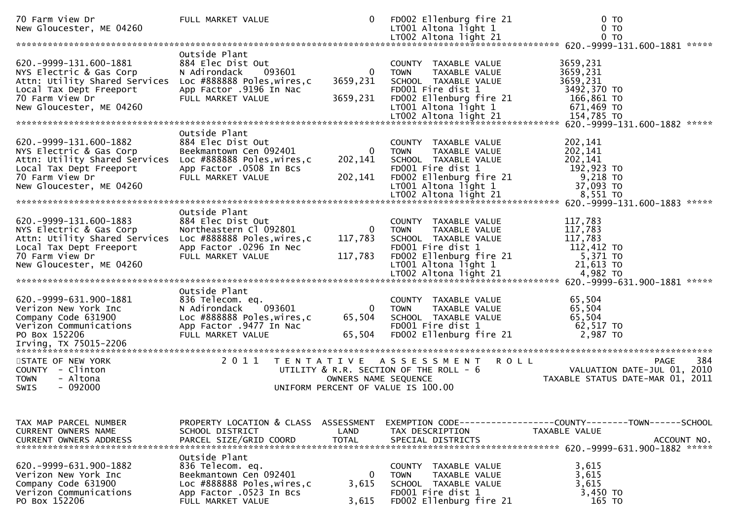| 70 Farm View Dr<br>New Gloucester, ME 04260                                                                                                                                                     | FULL MARKET VALUE                                                                                                                          | 0                                   | FD002 Ellenburg fire 21<br>$LT001$ Altona light 1                                                                                                           | 0 <sub>T</sub><br>0 <sub>T</sub><br>0 <sub>T</sub>                                   |
|-------------------------------------------------------------------------------------------------------------------------------------------------------------------------------------------------|--------------------------------------------------------------------------------------------------------------------------------------------|-------------------------------------|-------------------------------------------------------------------------------------------------------------------------------------------------------------|--------------------------------------------------------------------------------------|
|                                                                                                                                                                                                 |                                                                                                                                            |                                     | LT002 Altona light 21                                                                                                                                       |                                                                                      |
|                                                                                                                                                                                                 | Outside Plant                                                                                                                              |                                     |                                                                                                                                                             |                                                                                      |
| 620. -9999-131.600-1881<br>NYS Electric & Gas Corp<br>Attn: Utility Shared Services Loc #888888 Poles, wires, c<br>Local Tax Dept Freeport<br>70 Farm View Dr<br>New Gloucester, ME 04260       | 884 Elec Dist Out<br>093601<br>N Adirondack<br>App Factor .9196 In Nac<br>FULL MARKET VALUE                                                | $\mathbf 0$<br>3659,231<br>3659,231 | COUNTY TAXABLE VALUE<br><b>TOWN</b><br>TAXABLE VALUE<br>SCHOOL TAXABLE VALUE<br>FD001 Fire dist 1<br>FD002 Ellenburg fire 21<br>$LT001$ Altona light 1      | 3659,231<br>3659,231<br>3659,231<br>3492,370 TO<br>166,861 TO<br>671,469 ТО          |
|                                                                                                                                                                                                 |                                                                                                                                            |                                     | LT002 Altona light 21                                                                                                                                       | 154,785 TO                                                                           |
|                                                                                                                                                                                                 |                                                                                                                                            |                                     |                                                                                                                                                             |                                                                                      |
| 620. - 9999 - 131. 600 - 1882<br>NYS Electric & Gas Corp<br>Attn: Utility Shared Services Loc #888888 Poles, wires, c<br>Local Tax Dept Freeport<br>70 Farm View Dr<br>New Gloucester, ME 04260 | Outside Plant<br>884 Elec Dist Out<br>Beekmantown Cen 092401<br>App Factor .0508 In Bcs<br>FULL MARKET VALUE                               | $\mathbf{0}$<br>202,141<br>202,141  | COUNTY TAXABLE VALUE<br><b>TOWN</b><br>TAXABLE VALUE<br>SCHOOL TAXABLE VALUE<br>FD001 Fire dist 1<br>FD002 Ellenburg fire 21<br>LT001 Altona light 1        | 202,141<br>202,141<br>202,141<br>192,923 TO<br>9,218 то<br>37,093 TO                 |
|                                                                                                                                                                                                 | Outside Plant                                                                                                                              |                                     |                                                                                                                                                             |                                                                                      |
| 620. -9999 - 131. 600 - 1883<br>NYS Electric & Gas Corp<br>Attn: Utility Shared Services Loc #888888 Poles, wires, c<br>Local Tax Dept Freeport<br>70 Farm View Dr<br>New Gloucester, ME 04260  | 884 Elec Dist Out<br>Northeastern Cl 092801<br>App Factor .0296 In Nec<br>FULL MARKET VALUE                                                | $\mathbf{0}$<br>117,783<br>117,783  | COUNTY TAXABLE VALUE<br><b>TOWN</b><br><b>TAXABLE VALUE</b><br>SCHOOL TAXABLE VALUE<br>FD001 Fire dist 1<br>FD002 Ellenburg fire 21<br>LT001 Altona light 1 | 117,783<br>117,783<br>117,783<br>112,412 TO<br>5,371 TO<br>21,613 TO                 |
|                                                                                                                                                                                                 |                                                                                                                                            |                                     |                                                                                                                                                             |                                                                                      |
| 620.-9999-631.900-1881<br>Verizon New York Inc<br>Company Code 631900<br>Verizon Communications<br>PO Box 152206                                                                                | Outside Plant<br>836 Telecom. eq.<br>093601<br>N Adirondack<br>Loc #888888 Poles, wires, c<br>App Factor .9477 In Nac<br>FULL MARKET VALUE | 0<br>65,504<br>65,504               | COUNTY TAXABLE VALUE<br>TAXABLE VALUE<br><b>TOWN</b><br>SCHOOL TAXABLE VALUE<br>FD001 Fire dist 1<br>FD002 Ellenburg fire 21                                | 65,504<br>65,504<br>65,504<br>62,517 TO<br>2,987 TO                                  |
| STATE OF NEW YORK                                                                                                                                                                               |                                                                                                                                            |                                     | 2011 TENTATIVE ASSESSMENT<br><b>ROLL</b>                                                                                                                    | 384<br><b>PAGE</b>                                                                   |
| COUNTY - Clinton<br><b>TOWN</b><br>- Altona<br>SWIS<br>$-092000$                                                                                                                                |                                                                                                                                            | OWNERS NAME SEQUENCE                | UTILITY & R.R. SECTION OF THE ROLL - 6<br>UNIFORM PERCENT OF VALUE IS 100.00                                                                                | VALUATION DATE-JUL 01, 2010<br>TAXABLE STATUS DATE-MAR 01, 2011                      |
|                                                                                                                                                                                                 |                                                                                                                                            |                                     |                                                                                                                                                             |                                                                                      |
| TAX MAP PARCEL NUMBER<br><b>CURRENT OWNERS NAME</b>                                                                                                                                             | PROPERTY LOCATION & CLASS ASSESSMENT<br>SCHOOL DISTRICT                                                                                    | LAND                                | TAX DESCRIPTION                                                                                                                                             | EXEMPTION        CODE-----------------COUNTY-------TOWN------SCHOOL<br>TAXABLE VALUE |
| 620.-9999-631.900-1882<br>Verizon New York Inc<br>Company Code 631900<br>Verizon Communications<br>PO Box 152206                                                                                | Outside Plant<br>836 Telecom. eq.<br>Beekmantown Cen 092401<br>Loc #888888 Poles, wires, c<br>App Factor .0523 In Bcs<br>FULL MARKET VALUE | $\mathbf{0}$<br>3,615<br>3,615      | COUNTY TAXABLE VALUE<br>TAXABLE VALUE<br>TOWN<br>SCHOOL TAXABLE VALUE<br>FD001 Fire dist 1<br>FD002 Ellenburg fire 21                                       | 3,615<br>3,615<br>3,615<br>3,450 TO<br>165 TO                                        |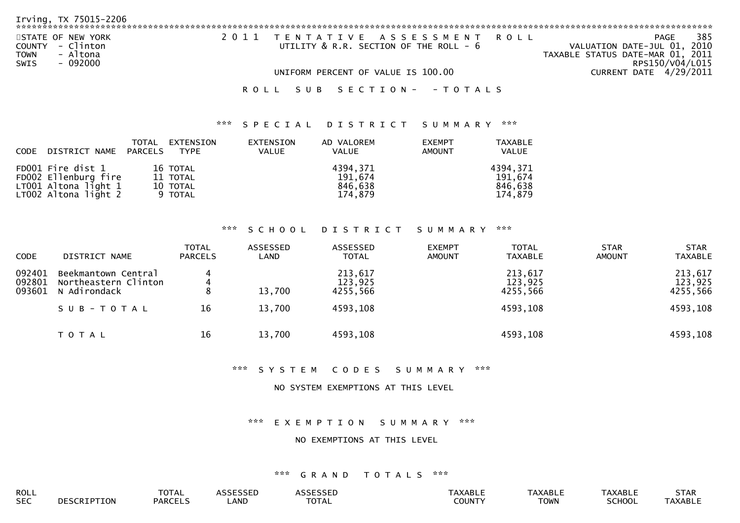| Irving, TX 75015-2206                                                                |                                                                          |                                                                                                   |
|--------------------------------------------------------------------------------------|--------------------------------------------------------------------------|---------------------------------------------------------------------------------------------------|
| STATE OF NEW YORK<br>COUNTY - Clinton<br>- Altona<br><b>TOWN</b><br>- 092000<br>SWIS | 2011 TENTATIVE ASSESSMENT ROLL<br>UTILITY & R.R. SECTION OF THE ROLL - 6 | 385<br>PAGE<br>VALUATION DATE-JUL 01, 2010<br>TAXABLE STATUS DATE-MAR 01, 2011<br>RPS150/V04/L015 |
|                                                                                      | UNIFORM PERCENT OF VALUE IS 100.00                                       | CURRENT DATE 4/29/2011                                                                            |
|                                                                                      | ROLL SUB SECTION- - TOTALS                                               |                                                                                                   |

# \*\*\* S P E C I A L D I S T R I C T S U M M A R Y \*\*\*

| CODE | DISTRICT NAME                                                                             | TOTAL<br>PARCELS | EXTENSION<br>TYPE                           | EXTENSION<br>VALUE | AD VALOREM<br><b>VALUE</b>                | <b>EXEMPT</b><br>AMOUNT | TAXABLE<br><b>VALUE</b>                   |
|------|-------------------------------------------------------------------------------------------|------------------|---------------------------------------------|--------------------|-------------------------------------------|-------------------------|-------------------------------------------|
|      | FD001 Fire dist 1<br>FD002 Ellenburg fire<br>LT001 Altona light 1<br>LT002 Altona light 2 |                  | 16 TOTAL<br>11 TOTAL<br>10 TOTAL<br>9 TOTAL |                    | 4394.371<br>191,674<br>846,638<br>174.879 |                         | 4394,371<br>191,674<br>846,638<br>174.879 |

### \*\*\* S C H O O L D I S T R I C T S U M M A R Y \*\*\*

| <b>CODE</b>                | DISTRICT NAME                                               | <b>TOTAL</b><br><b>PARCELS</b> | ASSESSED<br>LAND | ASSESSED<br><b>TOTAL</b>       | <b>EXEMPT</b><br><b>AMOUNT</b> | <b>TOTAL</b><br><b>TAXABLE</b> | <b>STAR</b><br><b>AMOUNT</b> | <b>STAR</b><br><b>TAXABLE</b>  |
|----------------------------|-------------------------------------------------------------|--------------------------------|------------------|--------------------------------|--------------------------------|--------------------------------|------------------------------|--------------------------------|
| 092401<br>092801<br>093601 | Beekmantown Central<br>Northeastern Clinton<br>N Adirondack |                                | 13,700           | 213,617<br>123,925<br>4255,566 |                                | 213,617<br>123,925<br>4255,566 |                              | 213,617<br>123,925<br>4255,566 |
|                            | SUB-TOTAL                                                   | 16                             | 13,700           | 4593,108                       |                                | 4593,108                       |                              | 4593,108                       |
|                            | T O T A L                                                   | 16                             | 13,700           | 4593,108                       |                                | 4593,108                       |                              | 4593,108                       |

\*\*\* S Y S T E M C O D E S S U M M A R Y \*\*\*

#### NO SYSTEM EXEMPTIONS AT THIS LEVEL

\*\*\* E X E M P T I O N S U M M A R Y \*\*\*

### NO EXEMPTIONS AT THIS LEVEL

| ROLL       | <b>TATI</b><br><b>UIAL</b> |     |                   |        | ADIT<br><b>AADL</b> | AXABLI        | 7.7.7  |
|------------|----------------------------|-----|-------------------|--------|---------------------|---------------|--------|
| <b>SEC</b> | PARCFI                     | AND | $-2 - 1$<br>'UIAL | 0.1111 | <b>TOWN</b>         | <b>SCHOOL</b> | TAXARI |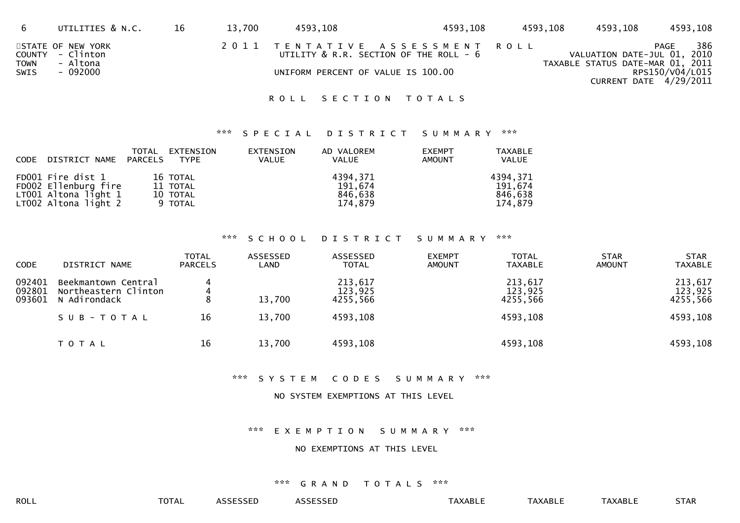|                     | UTILITIES & N.C.                                              | 16 | 13,700 | 4593,108                           | 4593,108                                                                 | 4593,108 | 4593,108                                                        | 4593,108                                                   |
|---------------------|---------------------------------------------------------------|----|--------|------------------------------------|--------------------------------------------------------------------------|----------|-----------------------------------------------------------------|------------------------------------------------------------|
| <b>TOWN</b><br>SWIS | STATE OF NEW YORK<br>COUNTY - Clinton<br>- Altona<br>- 092000 |    |        | UNIFORM PERCENT OF VALUE IS 100.00 | 2011 TENTATIVE ASSESSMENT ROLL<br>UTILITY & R.R. SECTION OF THE ROLL - 6 |          | VALUATION DATE-JUL 01, 2010<br>TAXABLE STATUS DATE-MAR 01, 2011 | 386<br>PAGE<br>RPS150/V04/L015<br>CURRENT DATE $4/29/2011$ |

# ROLL SECTION TOTALS

### \*\*\* S P E C I A L D I S T R I C T S U M M A R Y \*\*\*

| CODE DISTRICT NAME PARCELS                                                                | TOTAL EXTENSION<br><b>TYPE</b>              | EXTENSION<br><b>VALUE</b> | AD VALOREM<br><b>VALUE</b>                | <b>EXEMPT</b><br><b>AMOUNT</b> | TAXABLE<br><b>VALUE</b>                   |
|-------------------------------------------------------------------------------------------|---------------------------------------------|---------------------------|-------------------------------------------|--------------------------------|-------------------------------------------|
| FD001 Fire dist 1<br>FD002 Ellenburg fire<br>LT001 Altona light 1<br>LT002 Altona light 2 | 16 TOTAL<br>11 TOTAL<br>10 TOTAL<br>9 TOTAL |                           | 4394,371<br>191,674<br>846,638<br>174.879 |                                | 4394,371<br>191.674<br>846.638<br>174.879 |

#### \*\*\* S C H O O L D I S T R I C T S U M M A R Y \*\*\*

| <b>CODE</b>                | DISTRICT NAME                                               | <b>TOTAL</b><br><b>PARCELS</b> | ASSESSED<br>LAND | ASSESSED<br><b>TOTAL</b>       | <b>EXEMPT</b><br><b>AMOUNT</b> | <b>TOTAL</b><br><b>TAXABLE</b> | <b>STAR</b><br><b>AMOUNT</b> | <b>STAR</b><br><b>TAXABLE</b>  |
|----------------------------|-------------------------------------------------------------|--------------------------------|------------------|--------------------------------|--------------------------------|--------------------------------|------------------------------|--------------------------------|
| 092401<br>092801<br>093601 | Beekmantown Central<br>Northeastern Clinton<br>N Adirondack | 4<br>8                         | 13,700           | 213,617<br>123,925<br>4255,566 |                                | 213,617<br>123,925<br>4255,566 |                              | 213,617<br>123,925<br>4255,566 |
|                            | SUB-TOTAL                                                   | 16                             | 13,700           | 4593,108                       |                                | 4593,108                       |                              | 4593,108                       |
|                            | T O T A L                                                   | 16                             | 13,700           | 4593,108                       |                                | 4593,108                       |                              | 4593,108                       |

### \*\*\* S Y S T E M C O D E S S U M M A R Y \*\*\*

#### NO SYSTEM EXEMPTIONS AT THIS LEVEL

\*\*\* E X E M P T I O N S U M M A R Y \*\*\*

# NO EXEMPTIONS AT THIS LEVEL

#### \*\*\* G R A N D T O T A L S \*\*\*

ROLL TOTAL ASSESSED ASSESSED TAXABLE TAXABLE TAXABLE STAR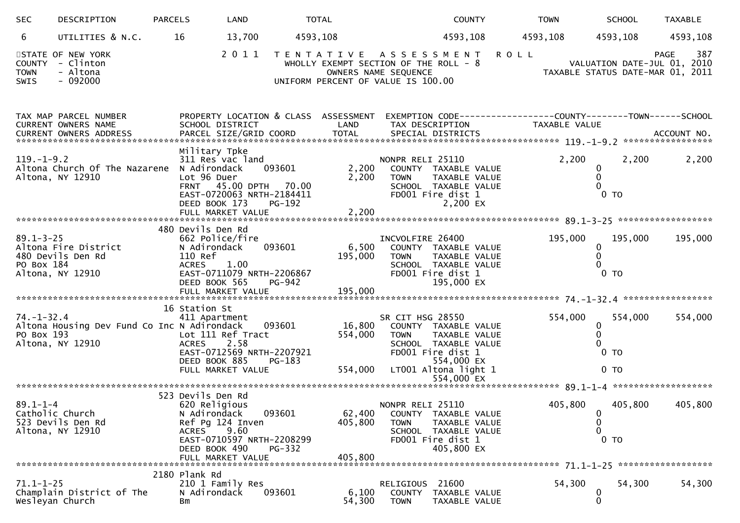| <b>SEC</b>                           | DESCRIPTION                                                     | <b>PARCELS</b>                               | LAND                                                                                                                         | <b>TOTAL</b>            |                                                                                                                             |                                                  | <b>COUNTY</b>                                                                                                            |             | <b>TOWN</b>   | <b>SCHOOL</b>                            | <b>TAXABLE</b>                                                                 |
|--------------------------------------|-----------------------------------------------------------------|----------------------------------------------|------------------------------------------------------------------------------------------------------------------------------|-------------------------|-----------------------------------------------------------------------------------------------------------------------------|--------------------------------------------------|--------------------------------------------------------------------------------------------------------------------------|-------------|---------------|------------------------------------------|--------------------------------------------------------------------------------|
| 6                                    | UTILITIES & N.C.                                                | 16                                           | 13,700                                                                                                                       | 4593,108                |                                                                                                                             |                                                  | 4593,108                                                                                                                 |             | 4593,108      | 4593,108                                 | 4593,108                                                                       |
| <b>COUNTY</b><br><b>TOWN</b><br>SWIS | STATE OF NEW YORK<br>- Clinton<br>- Altona<br>$-092000$         |                                              | 2011                                                                                                                         |                         | TENTATIVE ASSESSMENT<br>WHOLLY EXEMPT SECTION OF THE ROLL - 8<br>OWNERS NAME SEQUENCE<br>UNIFORM PERCENT OF VALUE IS 100.00 |                                                  |                                                                                                                          | <b>ROLL</b> |               |                                          | 387<br>PAGE<br>VALUATION DATE-JUL 01, 2010<br>TAXABLE STATUS DATE-MAR 01, 2011 |
|                                      | TAX MAP PARCEL NUMBER<br>CURRENT OWNERS NAME                    |                                              | PROPERTY LOCATION & CLASS ASSESSMENT<br>SCHOOL DISTRICT                                                                      |                         | LAND                                                                                                                        |                                                  | TAX DESCRIPTION                                                                                                          |             | TAXABLE VALUE |                                          | EXEMPTION CODE------------------COUNTY--------TOWN------SCHOOL                 |
| $119. - 1 - 9.2$                     | Altona Church Of The Nazarene N Adirondack<br>Altona, NY 12910  | Lot 96 Duer                                  | Military Tpke<br>311 Res vac land<br>FRNT 45.00 DPTH 70.00<br>EAST-0720063 NRTH-2184411<br>DEED BOOK 173                     | 093601<br>PG-192        | 2,200<br>2,200                                                                                                              | NONPR RELI 25110<br><b>TOWN</b>                  | COUNTY TAXABLE VALUE<br>TAXABLE VALUE<br>SCHOOL TAXABLE VALUE<br>FD001 Fire dist 1<br>2,200 EX                           |             | 2,200         | 0<br>0 <sub>T</sub>                      | 2,200<br>2,200                                                                 |
| $89.1 - 3 - 25$<br>PO Box 184        | Altona Fire District<br>480 Devils Den Rd<br>Altona, NY 12910   | 480 Devils Den Rd<br>110 Ref<br><b>ACRES</b> | 662 Police/fire<br>N Adirondack<br>1.00<br>EAST-0711079 NRTH-2206867<br>DEED BOOK 565                                        | 093601<br><b>PG-942</b> | 6,500<br>195,000                                                                                                            | INCVOLFIRE 26400<br><b>TOWN</b>                  | COUNTY TAXABLE VALUE<br>TAXABLE VALUE<br>SCHOOL TAXABLE VALUE<br>FD001 Fire dist 1<br>195,000 EX                         |             | 195,000       | 195,000<br>0<br>0<br>0 <sub>T</sub>      | 195,000                                                                        |
| $74. - 1 - 32.4$<br>PO Box 193       | Altona Housing Dev Fund Co Inc N Adirondack<br>Altona, NY 12910 | 16 Station St<br><b>ACRES</b>                | 411 Apartment<br>Lot 111 Ref Tract<br>2.58<br>EAST-0712569 NRTH-2207921<br>DEED BOOK 885<br>FULL MARKET VALUE                | 093601<br>PG-183        | 16,800<br>554,000<br>554,000                                                                                                | SR CIT HSG 28550<br><b>TOWN</b>                  | COUNTY TAXABLE VALUE<br>TAXABLE VALUE<br>SCHOOL TAXABLE VALUE<br>FD001 Fire dist 1<br>554,000 EX<br>LT001 Altona light 1 |             | 554,000       | 554,000<br>0<br>0 <sub>T</sub><br>$0$ TO | 554,000                                                                        |
|                                      |                                                                 |                                              |                                                                                                                              |                         |                                                                                                                             |                                                  |                                                                                                                          |             |               |                                          |                                                                                |
| $89.1 - 1 - 4$                       | Catholic Church<br>523 Devils Den Rd<br>Altona, NY 12910        | 523 Devils Den Rd<br><b>ACRES</b>            | 620 Religious<br>N Adirondack<br>Ref Pg 124 Inven<br>9.60<br>EAST-0710597 NRTH-2208299<br>DEED BOOK 490<br>FULL MARKET VALUE | 093601<br>PG-332        | 62,400<br>405,800<br>405,800                                                                                                | NONPR RELI 25110<br><b>COUNTY</b><br><b>TOWN</b> | TAXABLE VALUE<br>TAXABLE VALUE<br>SCHOOL TAXABLE VALUE<br>FD001 Fire dist 1<br>405,800 EX                                |             | 405,800       | 405,800<br>0<br>0<br>0<br>$0$ TO         | 405,800                                                                        |
|                                      |                                                                 | 2180 Plank Rd                                |                                                                                                                              |                         |                                                                                                                             |                                                  |                                                                                                                          |             |               |                                          |                                                                                |
| $71.1 - 1 - 25$                      | Champlain District of The<br>Wesleyan Church                    | <b>Bm</b>                                    | 210 1 Family Res<br>N Adirondack                                                                                             | 093601                  | 6,100<br>54,300                                                                                                             | RELIGIOUS<br><b>COUNTY</b><br><b>TOWN</b>        | 21600<br>TAXABLE VALUE<br>TAXABLE VALUE                                                                                  |             | 54,300        | 54,300<br>0<br>0                         | 54,300                                                                         |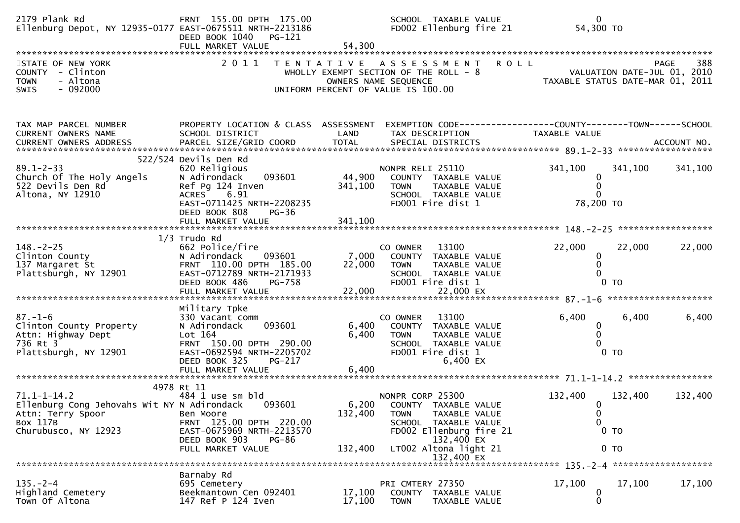| 2179 Plank Rd<br>Ellenburg Depot, NY 12935-0177 EAST-0675511 NRTH-2213186                                                 | FRNT 155.00 DPTH 175.00<br>DEED BOOK 1040<br>PG-121<br>FULL MARKET VALUE                                                                                                      | 54,300                      | SCHOOL TAXABLE VALUE<br>FD002 Ellenburg fire 21                                                                                                                                  | $\mathbf 0$<br>54,300 TO                                                                    |             |
|---------------------------------------------------------------------------------------------------------------------------|-------------------------------------------------------------------------------------------------------------------------------------------------------------------------------|-----------------------------|----------------------------------------------------------------------------------------------------------------------------------------------------------------------------------|---------------------------------------------------------------------------------------------|-------------|
| STATE OF NEW YORK<br>COUNTY - Clinton<br>- Altona<br><b>TOWN</b><br>$-092000$<br><b>SWIS</b>                              | 2011                                                                                                                                                                          | T E N T A T I V E           | <b>ROLL</b><br>A S S E S S M E N T<br>WHOLLY EXEMPT SECTION OF THE ROLL - 8<br>OWNERS NAME SEQUENCE<br>UNIFORM PERCENT OF VALUE IS 100.00                                        | VALUATION DATE-JUL 01, 2010<br>TAXABLE STATUS DATE-MAR 01, 2011                             | 388<br>PAGE |
| TAX MAP PARCEL NUMBER<br>CURRENT OWNERS NAME<br>CURRENT OWNERS ADDRESS                                                    | PROPERTY LOCATION & CLASS ASSESSMENT<br>SCHOOL DISTRICT                                                                                                                       | LAND                        | TAX DESCRIPTION                                                                                                                                                                  | TAXABLE VALUE                                                                               |             |
| $89.1 - 2 - 33$<br>Church Of The Holy Angels<br>522 Devils Den Rd<br>Altona, NY 12910                                     | 522/524 Devils Den Rd<br>620 Religious<br>N Adirondack<br>093601<br>Ref Pg 124 Inven<br>ACRES 6.91<br>EAST-0711425 NRTH-2208235<br>DEED BOOK 808<br>$PG-36$                   | 44,900<br>341,100           | NONPR RELI 25110<br>COUNTY TAXABLE VALUE<br><b>TOWN</b><br>TAXABLE VALUE<br>SCHOOL TAXABLE VALUE<br>FD001 Fire dist 1                                                            | 341,100<br>341,100<br>0<br>0<br>78,200 TO                                                   | 341,100     |
| $148. - 2 - 25$<br>Clinton County<br>137 Margaret St<br>Plattsburgh, NY 12901                                             | $1/3$ Trudo Rd<br>662 Police/fire<br>N Adirondack<br>093601<br>FRNT 110.00 DPTH 185.00<br>EAST-0712789 NRTH-2171933<br>DEED BOOK 486<br>PG-758                                | 22,000                      | 13100<br>CO OWNER<br>7,000 COUNTY TAXABLE VALUE<br><b>TOWN</b><br>TAXABLE VALUE<br>SCHOOL TAXABLE VALUE<br>FD001 Fire dist 1                                                     | 22,000<br>22,000<br>0<br>$\mathbf{0}$<br>0 <sub>T</sub>                                     | 22,000      |
| $87. - 1 - 6$<br>Clinton County Property<br>Attn: Highway Dept<br>736 Rt 3<br>Plattsburgh, NY 12901                       | Military Tpke<br>330 Vacant comm<br>093601<br>N Adirondack<br>Lot 164<br>FRNT 150.00 DPTH 290.00<br>EAST-0692594 NRTH-2205702<br>DEED BOOK 325<br>PG-217<br>FULL MARKET VALUE | 6,400<br>6,400<br>6,400     | 13100<br>CO OWNER<br>COUNTY TAXABLE VALUE<br><b>TOWN</b><br>TAXABLE VALUE<br>SCHOOL TAXABLE VALUE<br>FD001 Fire dist 1<br>6,400 EX                                               | 6,400<br>6,400<br>0 <sub>T</sub>                                                            | 6,400       |
| $71.1 - 1 - 14.2$<br>Ellenburg Cong Jehovahs Wit NY N Adirondack<br>Attn: Terry Spoor<br>Box 117B<br>Churubusco, NY 12923 | 4978 Rt 11<br>484 1 use sm bld<br>093601<br>Ben Moore<br>FRNT 125.00 DPTH 220.00<br>EAST-0675969 NRTH-2213570<br>DEED BOOK 903<br><b>PG-86</b><br>FULL MARKET VALUE           | 6,200<br>132,400<br>132,400 | NONPR CORP 25300<br>COUNTY TAXABLE VALUE<br>TAXABLE VALUE<br><b>TOWN</b><br>SCHOOL TAXABLE VALUE<br>FD002 Ellenburg fire 21<br>132,400 EX<br>LT002 Altona light 21<br>132,400 EX | 132,400<br>132,400<br>$\mathbf{0}$<br>0<br>$\mathbf{0}$<br>0 <sub>T</sub><br>0 <sub>T</sub> | 132,400     |
| $135. - 2 - 4$<br>Highland Cemetery<br>Town Of Altona                                                                     | Barnaby Rd<br>695 Cemetery<br>Beekmantown Cen 092401<br>147 Ref P 124 Iven                                                                                                    | 17,100<br>17,100            | PRI CMTERY 27350<br>COUNTY TAXABLE VALUE<br><b>TOWN</b><br>TAXABLE VALUE                                                                                                         | 17,100<br>17,100<br>0<br>0                                                                  | 17,100      |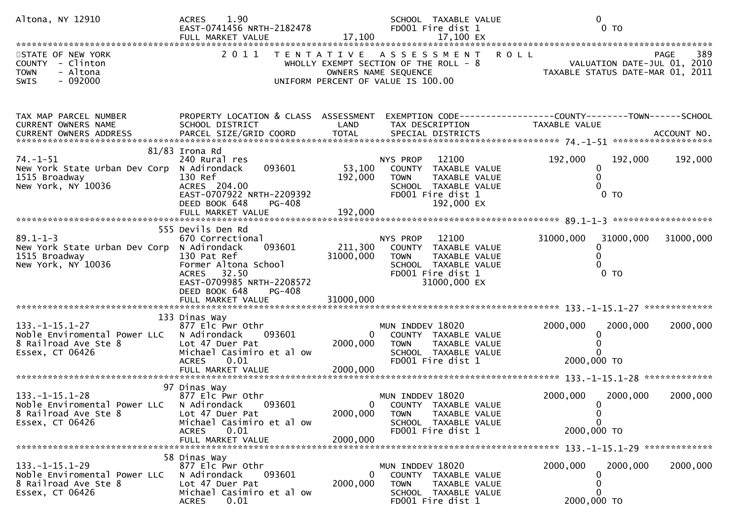| Altona, NY 12910                                                                                 | 1.90<br><b>ACRES</b><br>EAST-0741456 NRTH-2182478                                                                                                                          | 17,100                               | SCHOOL TAXABLE VALUE<br>FD001 Fire dist 1                                                                                              | $\mathbf 0$<br>0 <sub>T</sub>                                                                                      |
|--------------------------------------------------------------------------------------------------|----------------------------------------------------------------------------------------------------------------------------------------------------------------------------|--------------------------------------|----------------------------------------------------------------------------------------------------------------------------------------|--------------------------------------------------------------------------------------------------------------------|
| STATE OF NEW YORK<br>COUNTY - Clinton<br>- Altona<br><b>TOWN</b><br>$-092000$<br><b>SWIS</b>     | 2011<br>T E N T A T I V E                                                                                                                                                  |                                      | ASSESSMENT ROLL<br>WHOLLY EXEMPT SECTION OF THE ROLL - 8<br>OWNERS NAME SEQUENCE<br>UNIFORM PERCENT OF VALUE IS 100.00                 | 389<br><b>PAGE</b><br>VALUATION DATE-JUL 01,<br>TAXABLE STATUS DATE-MAR 01,<br>VALUATION DATE-JUL 01, 2010<br>2011 |
| TAX MAP PARCEL NUMBER<br>CURRENT OWNERS NAME                                                     | PROPERTY LOCATION & CLASS ASSESSMENT<br>SCHOOL DISTRICT                                                                                                                    | LAND                                 | TAX DESCRIPTION                                                                                                                        | EXEMPTION CODE-----------------COUNTY--------TOWN------SCHOOL<br>TAXABLE VALUE                                     |
| $74. - 1 - 51$<br>New York State Urban Dev Corp<br>1515 Broadway<br>New York, NY 10036           | $81/83$ Irona Rd<br>240 Rural res<br>093601<br>N Adirondack<br>130 Ref<br>ACRES 204.00<br>EAST-0707922 NRTH-2209392<br>DEED BOOK 648<br><b>PG-408</b><br>FULL MARKET VALUE | 53,100<br>192,000<br>192,000         | 12100<br>NYS PROP<br>COUNTY TAXABLE VALUE<br><b>TOWN</b><br>TAXABLE VALUE<br>SCHOOL TAXABLE VALUE<br>FD001 Fire dist 1<br>192,000 EX   | 192,000<br>192,000<br>192,000<br>0<br>$\mathbf{0}$<br>$0$ TO                                                       |
|                                                                                                  | 555 Devils Den Rd                                                                                                                                                          |                                      |                                                                                                                                        |                                                                                                                    |
| $89.1 - 1 - 3$<br>New York State Urban Dev Corp<br>1515 Broadway<br>New York, NY 10036           | 670 Correctional<br>093601<br>N Adirondack<br>130 Pat Ref<br>Former Altona School<br>32.50<br><b>ACRES</b><br>EAST-0709985 NRTH-2208572<br>DEED BOOK 648<br><b>PG-408</b>  | 211,300<br>31000,000                 | 12100<br>NYS PROP<br>COUNTY TAXABLE VALUE<br><b>TOWN</b><br>TAXABLE VALUE<br>SCHOOL TAXABLE VALUE<br>FD001 Fire dist 1<br>31000,000 EX | 31000,000<br>31000,000<br>31000,000<br>$\mathbf 0$<br>$0$ TO                                                       |
|                                                                                                  |                                                                                                                                                                            |                                      |                                                                                                                                        |                                                                                                                    |
|                                                                                                  | 133 Dinas Way                                                                                                                                                              |                                      |                                                                                                                                        |                                                                                                                    |
| $133. -1 - 15.1 - 27$<br>Noble Enviromental Power LLC<br>8 Railroad Ave Ste 8<br>Essex, CT 06426 | 877 Elc Pwr Othr<br>093601<br>N Adirondack<br>Lot 47 Duer Pat<br>Michael Casimiro et al ow<br>0.01<br><b>ACRES</b>                                                         | $\mathbf{0}$<br>2000,000             | MUN INDDEV 18020<br>COUNTY TAXABLE VALUE<br><b>TOWN</b><br>TAXABLE VALUE<br>SCHOOL TAXABLE VALUE<br>FD001 Fire dist 1                  | 2000,000<br>2000,000<br>2000,000<br>0<br>2000,000 TO                                                               |
|                                                                                                  | 97 Dinas Way                                                                                                                                                               |                                      |                                                                                                                                        |                                                                                                                    |
| $133. -1 - 15.1 - 28$<br>Noble Enviromental Power LLC<br>8 Railroad Ave Ste 8<br>Essex, CT 06426 | 877 Elc Pwr Othr<br>N Adirondack<br>093601<br>Lot 47 Duer Pat<br>Michael Casimiro et al ow<br><b>ACRES</b><br>0.01<br>FULL MARKET VALUE                                    | $\mathbf{0}$<br>2000,000<br>2000,000 | MUN INDDEV 18020<br>COUNTY TAXABLE VALUE<br>TAXABLE VALUE<br><b>TOWN</b><br>SCHOOL TAXABLE VALUE<br>FD001 Fire dist 1                  | 2000,000<br>2000,000<br>2000,000<br>$\mathbf{0}$<br>0<br>$\mathbf{0}$<br>2000,000 TO                               |
|                                                                                                  |                                                                                                                                                                            |                                      |                                                                                                                                        |                                                                                                                    |
| $133. -1 - 15.1 - 29$<br>Noble Enviromental Power LLC<br>8 Railroad Ave Ste 8<br>Essex, CT 06426 | 58 Dinas Way<br>877 Elc Pwr Othr<br>N Adirondack<br>093601<br>Lot 47 Duer Pat<br>Michael Casimiro et al ow<br><b>ACRES</b><br>0.01                                         | 2000,000                             | MUN INDDEV 18020<br>COUNTY TAXABLE VALUE<br><b>TOWN</b><br>TAXABLE VALUE<br>SCHOOL TAXABLE VALUE<br>FD001 Fire dist 1                  | 2000,000<br>2000,000<br>2000,000<br>0<br>0<br>$\Omega$<br>2000,000 TO                                              |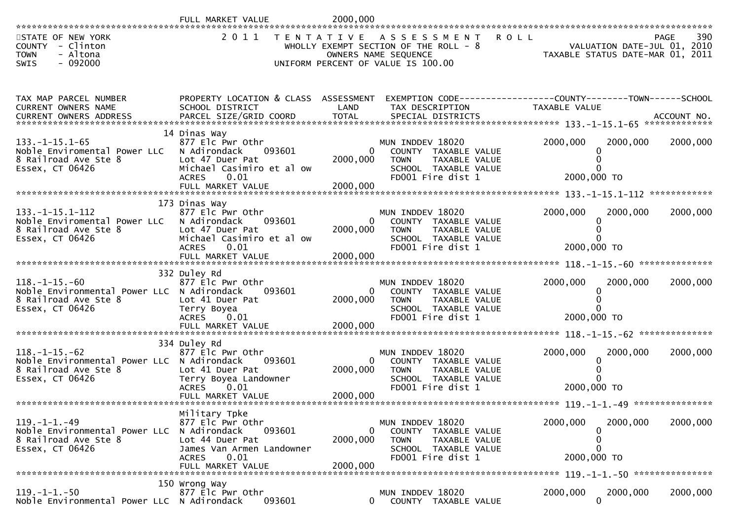|                                                                                                                |                                                                                                                                     | 2000,000                         |                                                                                                                                   |                                                                                          |                      |
|----------------------------------------------------------------------------------------------------------------|-------------------------------------------------------------------------------------------------------------------------------------|----------------------------------|-----------------------------------------------------------------------------------------------------------------------------------|------------------------------------------------------------------------------------------|----------------------|
| STATE OF NEW YORK<br>COUNTY - Clinton<br>- Altona<br><b>TOWN</b><br>$-092000$<br><b>SWIS</b>                   |                                                                                                                                     |                                  | 2011 TENTATIVE ASSESSMENT<br>WHOLLY EXEMPT SECTION OF THE ROLL $-8$<br>OWNERS NAME SEQUENCE<br>UNIFORM PERCENT OF VALUE IS 100.00 | <b>ROLL</b><br>PAGE 390<br>VALUATION DATE-JUL 01, 2010<br>TAXABLE STATUS DATE MARIC 2019 | 390<br>PAGE          |
| TAX MAP PARCEL NUMBER<br><b>CURRENT OWNERS NAME</b>                                                            | PROPERTY LOCATION & CLASS ASSESSMENT<br>SCHOOL DISTRICT                                                                             | LAND                             | EXEMPTION CODE-----------------COUNTY--------TOWN------SCHOOL<br>TAX DESCRIPTION                                                  | TAXABLE VALUE                                                                            |                      |
| $133. - 1 - 15.1 - 65$<br>Noble Enviromental Power LLC<br>8 Railroad Ave Ste 8<br>Essex, CT 06426              | 14 Dinas Way<br>877 Elc Pwr Othr<br>093601<br>N Adirondack<br>Lot 47 Duer Pat<br>Michael Casimiro et al ow<br><b>ACRES</b><br>0.01  | 2000,000                         | MUN INDDEV 18020<br>COUNTY TAXABLE VALUE<br><b>TOWN</b><br>TAXABLE VALUE<br>SCHOOL TAXABLE VALUE<br>FD001 Fire dist 1             | 2000,000<br>0<br>2000,000 TO                                                             | 2000,000<br>2000,000 |
|                                                                                                                |                                                                                                                                     |                                  |                                                                                                                                   |                                                                                          |                      |
| $133. - 1 - 15.1 - 112$<br>Noble Enviromental Power LLC<br>8 Railroad Ave Ste 8                                | 173 Dinas Way<br>877 Elc Pwr Othr<br>N Adirondack<br>093601<br>Lot 47 Duer Pat                                                      | $\Omega$<br>2000,000             | MUN INDDEV 18020<br>COUNTY TAXABLE VALUE<br>TAXABLE VALUE<br><b>TOWN</b>                                                          | 2000,000<br>0                                                                            | 2000,000<br>2000,000 |
| Essex, CT 06426                                                                                                | Michael Casimiro et al ow<br><b>ACRES</b><br>0.01<br>FULL MARKET VALUE                                                              | 2000,000                         | SCHOOL TAXABLE VALUE<br>FD001 Fire dist 1                                                                                         | 2000,000 TO                                                                              |                      |
| $118. - 1 - 15. - 60$<br>Noble Environmental Power LLC N Adirondack<br>8 Railroad Ave Ste 8<br>Essex, CT 06426 | 332 Duley Rd<br>877 Elc Pwr Othr<br>093601<br>Lot 41 Duer Pat<br>Terry Boyea<br>ACRES 0.01                                          | $\overline{0}$<br>2000,000       | MUN INDDEV 18020<br>COUNTY TAXABLE VALUE<br>TAXABLE VALUE<br><b>TOWN</b><br>SCHOOL TAXABLE VALUE<br>FD001 Fire dist 1             | 2000,000<br>2000,000 TO                                                                  | 2000,000<br>2000,000 |
|                                                                                                                |                                                                                                                                     |                                  |                                                                                                                                   |                                                                                          |                      |
| $118. - 1 - 15. - 62$<br>Noble Environmental Power LLC N Adirondack<br>8 Railroad Ave Ste 8<br>Essex, CT 06426 | 334 Duley Rd<br>877 Elc Pwr Othr<br>093601<br>Lot 41 Duer Pat<br>Terry Boyea Landowner<br><b>ACRES</b><br>0.01<br>FULL MARKET VALUE | $\Omega$<br>2000,000<br>2000,000 | MUN INDDEV 18020<br>COUNTY TAXABLE VALUE<br><b>TOWN</b><br>TAXABLE VALUE<br>SCHOOL TAXABLE VALUE<br>FD001 Fire dist 1             | 2000,000<br>0<br>2000,000 TO                                                             | 2000,000<br>2000,000 |
|                                                                                                                |                                                                                                                                     |                                  |                                                                                                                                   |                                                                                          |                      |
| $119. -1 -1. -49$<br>Noble Environmental Power LLC<br>8 Railroad Ave Ste 8<br>Essex, CT 06426                  | Military Tpke<br>877 Elc Pwr Othr<br>N Adirondack<br>093601<br>Lot 44 Duer Pat<br>James Van Armen Landowner<br><b>ACRES</b><br>0.01 | $\Omega$<br>2000,000             | MUN INDDEV 18020<br>COUNTY TAXABLE VALUE<br><b>TOWN</b><br>TAXABLE VALUE<br>SCHOOL TAXABLE VALUE<br>FD001 Fire dist 1             | 2000,000<br>0<br>0<br>O<br>2000,000 TO                                                   | 2000,000<br>2000,000 |
|                                                                                                                |                                                                                                                                     |                                  |                                                                                                                                   |                                                                                          |                      |
| $119. - 1 - 1. - 50$<br>Noble Environmental Power LLC N Adirondack                                             | 150 Wrong Way<br>877 Elc Pwr Othr<br>093601                                                                                         | $\Omega$                         | MUN INDDEV 18020<br>COUNTY TAXABLE VALUE                                                                                          | 2000,000<br>$\Omega$                                                                     | 2000,000<br>2000,000 |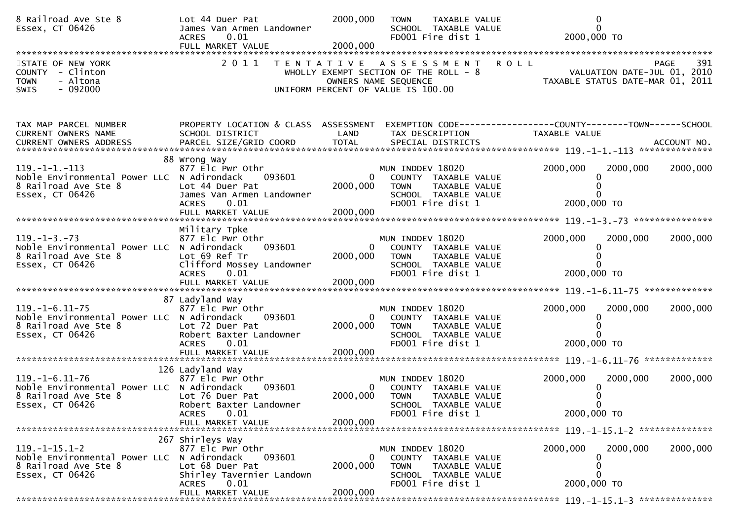| 8 Railroad Ave Ste 8<br>Essex, CT 06426                                                                         | Lot 44 Duer Pat<br>James Van Armen Landowner<br>0.01<br><b>ACRES</b><br>FULL MARKET VALUE                                                            | 2000,000<br>2000,000             | TAXABLE VALUE<br><b>TOWN</b><br>SCHOOL TAXABLE VALUE<br>FD001 Fire dist 1                                                    | $\mathbf{0}$<br>$\Omega$<br>2000,000 TO                                                       |
|-----------------------------------------------------------------------------------------------------------------|------------------------------------------------------------------------------------------------------------------------------------------------------|----------------------------------|------------------------------------------------------------------------------------------------------------------------------|-----------------------------------------------------------------------------------------------|
| STATE OF NEW YORK<br>COUNTY - Clinton<br>- Altona<br><b>TOWN</b><br>$-092000$<br><b>SWIS</b>                    | 2011<br>T E N T A T I V E                                                                                                                            |                                  | ASSESSMENT<br>WHOLLY EXEMPT SECTION OF THE ROLL - 8<br>OWNERS NAME SEQUENCE<br>UNIFORM PERCENT OF VALUE IS 100.00            | <b>ROLL</b><br>391<br>PAGE<br>VALUATION DATE-JUL 01, 2010<br>TAXABLE STATUS DATE-MAR 01, 2011 |
| TAX MAP PARCEL NUMBER<br>CURRENT OWNERS NAME<br>CURRENT OWNERS ADDRESS                                          | PROPERTY LOCATION & CLASS ASSESSMENT<br>SCHOOL DISTRICT                                                                                              | LAND                             | TAX DESCRIPTION                                                                                                              | EXEMPTION CODE-----------------COUNTY-------TOWN------SCHOOL<br>TAXABLE VALUE                 |
| 119. –1–1. –113<br>Noble Environmental Power LLC N Adirondack<br>8 Railroad Ave Ste 8<br>Essex, CT 06426        | 88 Wrong Way<br>877 Elc Pwr Othr<br>093601<br>Lot 44 Duer Pat<br>James Van Armen Landowner<br>0.01<br><b>ACRES</b><br>FULL MARKET VALUE              | 0<br>2000,000<br>2000,000        | MUN INDDEV 18020<br>COUNTY TAXABLE VALUE<br><b>TOWN</b><br>TAXABLE VALUE<br>SCHOOL TAXABLE VALUE<br>FD001 Fire dist 1        | 2000,000<br>2000,000<br>2000,000<br>∩<br>2000,000 TO                                          |
| $119. - 1 - 3. - 73$<br>Noble Environmental Power LLC<br>8 Railroad Ave Ste 8<br>Essex, CT 06426                | Military Tpke<br>877 Elc Pwr Othr<br>093601<br>N Adirondack<br>Lot 69 Ref Tr<br>Clifford Mossey Landowner<br><b>ACRES</b><br>0.01                    | 0<br>2000,000                    | MUN INDDEV 18020<br>COUNTY TAXABLE VALUE<br><b>TOWN</b><br>TAXABLE VALUE<br>SCHOOL TAXABLE VALUE<br>FD001 Fire dist 1        | 2000,000<br>2000,000<br>2000,000<br>$\Omega$<br>2000,000 TO                                   |
| $119. - 1 - 6.11 - 75$<br>Noble Environmental Power LLC N Adirondack<br>8 Railroad Ave Ste 8<br>Essex, CT 06426 | 87 Ladyland Way<br>877 Elc Pwr Othr<br>093601<br>Lot 72 Duer Pat<br>Robert Baxter Landowner<br><b>ACRES</b><br>0.01<br>FULL MARKET VALUE             | $\Omega$<br>2000,000<br>2000,000 | MUN INDDEV 18020<br>COUNTY TAXABLE VALUE<br><b>TOWN</b><br>TAXABLE VALUE<br>SCHOOL TAXABLE VALUE<br>FD001 Fire dist 1        | 2000,000<br>2000,000<br>2000,000<br>2000,000 TO                                               |
| $119. - 1 - 6.11 - 76$<br>Noble Environmental Power LLC N Adirondack<br>8 Railroad Ave Ste 8<br>Essex, CT 06426 | 126 Ladyland Way<br>877 Elc Pwr Othr<br>093601<br>Lot 76 Duer Pat<br>Robert Baxter Landowner<br>0.01<br><b>ACRES</b><br>FULL MARKET VALUE            | 0<br>2000,000<br>2000,000        | MUN INDDEV 18020<br>COUNTY TAXABLE VALUE<br><b>TOWN</b><br><b>TAXABLE VALUE</b><br>SCHOOL TAXABLE VALUE<br>FD001 Fire dist 1 | 2000,000<br>2000,000<br>2000,000<br>2000,000 TO                                               |
| $119. -1 - 15.1 - 2$<br>Noble Environmental Power LLC<br>8 Railroad Ave Ste 8<br>Essex, CT 06426                | 267 Shirleys Way<br>877 Elc Pwr Othr<br>N Adirondack<br>093601<br>Lot 68 Duer Pat<br>Shirley Tavernier Landown<br>0.01<br>ACRES<br>FULL MARKET VALUE | 0<br>2000,000<br>2000,000        | MUN INDDEV 18020<br>COUNTY TAXABLE VALUE<br><b>TOWN</b><br><b>TAXABLE VALUE</b><br>SCHOOL TAXABLE VALUE<br>FD001 Fire dist 1 | 2000,000<br>2000,000<br>2000,000<br>$\mathbf{U}$<br>0<br>$\Omega$<br>2000,000 TO              |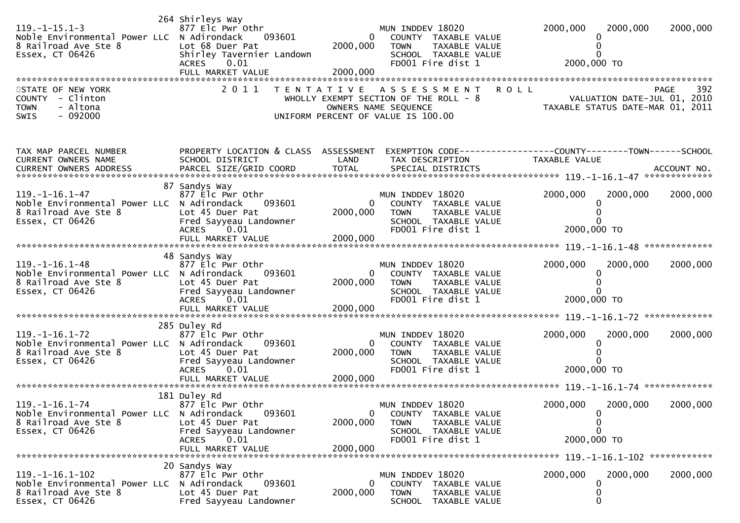| $119. -1 - 15.1 - 3$<br>Noble Environmental Power LLC N Adirondack<br>8 Railroad Ave Ste 8<br>Essex, CT 06426<br>STATE OF NEW YORK<br>COUNTY - Clinton<br><b>TOWN</b><br>- Altona<br>$-092000$<br><b>SWIS</b> | 264 Shirleys Way<br>877 Elc Pwr Othr<br>093601<br>Lot 68 Duer Pat<br>Shirley Tavernier Landown<br>ACRES 0.01<br>FULL MARKET VALUE<br>2 0 1 1 | $\mathbf{0}$<br>2000,000<br>2000,000 | MUN INDDEV 18020<br>COUNTY TAXABLE VALUE<br><b>TOWN</b><br>TAXABLE VALUE<br>SCHOOL TAXABLE VALUE<br>FD001 Fire dist 1<br>TENTATIVE ASSESSMENT<br>WHOLLY EXEMPT SECTION OF THE ROLL - 8<br>OWNERS NAME SEQUENCE<br>UNIFORM PERCENT OF VALUE IS 100.00 | 2000,000<br>2000,000<br>0<br>0<br>2000,000 TO<br><b>ROLL</b><br>VALUATION DATE-JUL 01, 2010<br>TAXABLE STATUS DATE-MAR 01, 2011 | 2000,000<br>392<br>PAGE |
|---------------------------------------------------------------------------------------------------------------------------------------------------------------------------------------------------------------|----------------------------------------------------------------------------------------------------------------------------------------------|--------------------------------------|------------------------------------------------------------------------------------------------------------------------------------------------------------------------------------------------------------------------------------------------------|---------------------------------------------------------------------------------------------------------------------------------|-------------------------|
| TAX MAP PARCEL NUMBER<br>CURRENT OWNERS NAME<br>CURRENT OWNERS ADDRESS PARCEL SIZE/GRID COORD TOTAL SPECIAL DISTRICTS 19.1-16.1-47 ACCOUNT NO.                                                                | PROPERTY LOCATION & CLASS ASSESSMENT<br>SCHOOL DISTRICT                                                                                      | LAND                                 | TAX DESCRIPTION                                                                                                                                                                                                                                      | EXEMPTION CODE------------------COUNTY--------TOWN------SCHOOL<br>TAXABLE VALUE                                                 |                         |
| $119. - 1 - 16.1 - 47$<br>Noble Environmental Power LLC N Adirondack<br>8 Railroad Ave Ste 8<br>Essex, CT 06426                                                                                               | 87 Sandys Way<br>877 Elc Pwr Othr<br>093601<br>Lot 45 Duer Pat<br>Fred Sayyeau Landowner<br>ACRES 0.01                                       | 0<br>2000,000                        | MUN INDDEV 18020<br>COUNTY TAXABLE VALUE<br><b>TOWN</b><br>TAXABLE VALUE<br>SCHOOL TAXABLE VALUE<br>FD001 Fire dist 1                                                                                                                                | 2000,000<br>2000,000<br>0<br>2000,000 TO                                                                                        | 2000,000                |
|                                                                                                                                                                                                               | 48 Sandys Way                                                                                                                                |                                      |                                                                                                                                                                                                                                                      |                                                                                                                                 |                         |
| $119. - 1 - 16.1 - 48$<br>Noble Environmental Power LLC N Adirondack<br>8 Railroad Ave Ste 8<br>Essex, CT 06426                                                                                               | 877 Elc Pwr Othr<br>093601<br>Lot 45 Duer Pat<br>Fred Sayyeau Landowner<br>ACRES 0.01<br>FULL MARKET VALUE                                   | $\Omega$<br>2000,000<br>2000,000     | MUN INDDEV 18020<br>COUNTY TAXABLE VALUE<br>TAXABLE VALUE<br><b>TOWN</b><br>SCHOOL TAXABLE VALUE<br>FD001 Fire dist 1                                                                                                                                | 2000,000<br>2000,000<br>2000,000 TO                                                                                             | 2000,000                |
|                                                                                                                                                                                                               | 285 Duley Rd                                                                                                                                 |                                      |                                                                                                                                                                                                                                                      |                                                                                                                                 |                         |
| $119. - 1 - 16.1 - 72$<br>Noble Environmental Power LLC N Adirondack<br>8 Railroad Ave Ste 8<br>Essex, CT 06426                                                                                               | 877 Elc Pwr Othr<br>093601<br>Lot 45 Duer Pat<br>Fred Sayyeau Landowner<br>ACRES 0.01<br>FULL MARKET VALUE                                   | $\mathbf{0}$<br>2000,000<br>2000,000 | MUN INDDEV 18020<br>COUNTY TAXABLE VALUE<br>TAXABLE VALUE<br><b>TOWN</b><br>SCHOOL TAXABLE VALUE<br>FD001 Fire dist 1                                                                                                                                | 2000,000<br>2000,000<br>0<br>2000,000 TO                                                                                        | 2000,000                |
|                                                                                                                                                                                                               | 181 Duley Rd                                                                                                                                 |                                      |                                                                                                                                                                                                                                                      |                                                                                                                                 |                         |
| $119. - 1 - 16.1 - 74$<br>Noble Environmental Power LLC N Adirondack<br>8 Railroad Ave Ste 8<br>Essex, CT 06426                                                                                               | 877 Elc Pwr Othr<br>093601<br>Lot 45 Duer Pat<br>Fred Sayyeau Landowner<br>ACRES<br>0.01<br>FULL MARKET VALUE                                | 2000,000<br>2000.000                 | MUN INDDEV 18020<br>COUNTY TAXABLE VALUE<br>TAXABLE VALUE<br><b>TOWN</b><br>SCHOOL TAXABLE VALUE<br>FD001 Fire dist 1                                                                                                                                | 2000,000<br>2000,000<br>0<br>0<br>2000,000 TO                                                                                   | 2000,000                |
|                                                                                                                                                                                                               | 20 Sandys Way                                                                                                                                |                                      |                                                                                                                                                                                                                                                      |                                                                                                                                 |                         |
| $119. - 1 - 16.1 - 102$<br>Noble Environmental Power LLC N Adirondack<br>8 Railroad Ave Ste 8<br>Essex, CT 06426                                                                                              | 877 Elc Pwr Othr<br>093601<br>Lot 45 Duer Pat<br>Fred Sayyeau Landowner                                                                      | 0<br>2000,000                        | MUN INDDEV 18020<br>COUNTY TAXABLE VALUE<br>TAXABLE VALUE<br><b>TOWN</b><br>SCHOOL TAXABLE VALUE                                                                                                                                                     | 2000,000<br>2000,000<br>0<br>0<br>0                                                                                             | 2000,000                |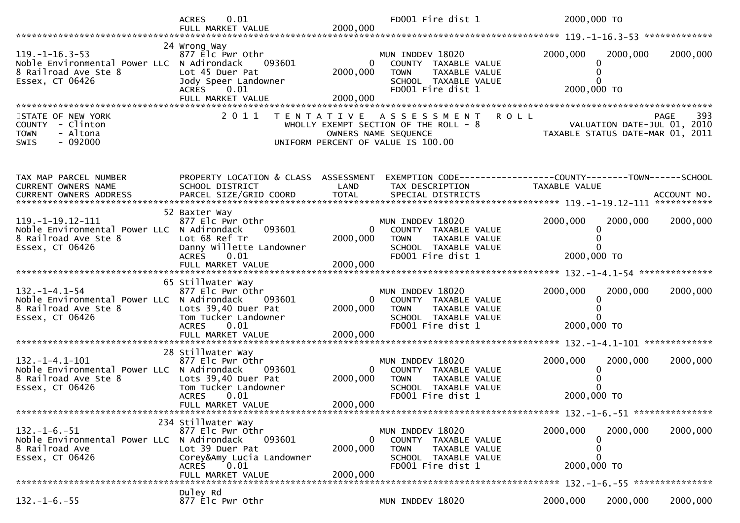|                                                                                                                 | <b>ACRES</b><br>0.01                                                                                                                          |                                      | FD001 Fire dist 1                                                                                                          | 2000,000 TO                                                                     |                    |
|-----------------------------------------------------------------------------------------------------------------|-----------------------------------------------------------------------------------------------------------------------------------------------|--------------------------------------|----------------------------------------------------------------------------------------------------------------------------|---------------------------------------------------------------------------------|--------------------|
| $119. - 1 - 16.3 - 53$<br>Noble Environmental Power LLC N Adirondack<br>8 Railroad Ave Ste 8<br>Essex, CT 06426 | 24 Wrong Way<br>877 Elc Pwr Othr<br>093601<br>Lot 45 Duer Pat<br>Jody Speer Landowner<br>ACRES 0.01<br>FULL MARKET VALUE                      | $\mathbf{0}$<br>2000,000<br>2000,000 | MUN INDDEV 18020<br>COUNTY TAXABLE VALUE<br><b>TOWN</b><br>TAXABLE VALUE<br>SCHOOL TAXABLE VALUE<br>FD001 Fire dist 1      | 2000,000<br>2000,000<br>0<br>2000,000 TO                                        | 2000,000           |
| STATE OF NEW YORK<br>COUNTY - Clinton<br>- Altona<br><b>TOWN</b><br>$-092000$<br><b>SWIS</b>                    | 2011                                                                                                                                          | T E N T A T I V E                    | A S S E S S M E N T<br>WHOLLY EXEMPT SECTION OF THE ROLL - 8<br>OWNERS NAME SEQUENCE<br>UNIFORM PERCENT OF VALUE IS 100.00 | <b>ROLL</b><br>VALUATION DATE-JUL 01, 2010<br>TAXABLE STATUS DATE-MAR 01, 2011  | 393<br><b>PAGE</b> |
| TAX MAP PARCEL NUMBER<br>CURRENT OWNERS NAME                                                                    | PROPERTY LOCATION & CLASS ASSESSMENT<br>SCHOOL DISTRICT                                                                                       | LAND<br><b>TOTAL</b>                 | TAX DESCRIPTION                                                                                                            | EXEMPTION CODE------------------COUNTY--------TOWN------SCHOOL<br>TAXABLE VALUE |                    |
| 119. -1-19. 12-111<br>Noble Environmental Power LLC N Adirondack<br>8 Railroad Ave Ste 8<br>Essex, CT 06426     | 52 Baxter Way<br>877 Elc Pwr Othr<br>093601<br>Lot 68 Ref Tr<br>Danny Willette Landowner<br><b>ACRES</b><br>0.01                              | 2000,000                             | MUN INDDEV 18020<br>COUNTY TAXABLE VALUE<br><b>TOWN</b><br>TAXABLE VALUE<br>SCHOOL TAXABLE VALUE<br>FD001 Fire dist 1      | 2000,000<br>2000,000<br>2000,000 TO                                             | 2000,000           |
| $132. - 1 - 4.1 - 54$<br>Noble Environmental Power LLC N Adirondack<br>8 Railroad Ave Ste 8<br>Essex, CT 06426  | 65 Stillwater Way<br>877 Elc Pwr Othr<br>093601<br>Lots 39,40 Duer Pat<br>Tom Tucker Landowner<br><b>ACRES</b><br>0.01                        | $\Omega$<br>2000,000                 | MUN INDDEV 18020<br>COUNTY TAXABLE VALUE<br>TAXABLE VALUE<br><b>TOWN</b><br>SCHOOL TAXABLE VALUE<br>FD001 Fire dist 1      | 2000,000<br>2000,000<br>0<br>2000,000 TO                                        | 2000,000           |
| $132. - 1 - 4.1 - 101$<br>Noble Environmental Power LLC N Adirondack<br>8 Railroad Ave Ste 8<br>Essex, CT 06426 | 28 Stillwater Way<br>877 Elc Pwr Othr<br>093601<br>Lots 39,40 Duer Pat<br>Tom Tucker Landowner<br><b>ACRES</b><br>0.01<br>FULL MARKET VALUE   | $\mathbf{0}$<br>2000,000<br>2000,000 | MUN INDDEV 18020<br>COUNTY TAXABLE VALUE<br>TAXABLE VALUE<br><b>TOWN</b><br>SCHOOL TAXABLE VALUE<br>FD001 Fire dist 1      | 2000,000<br>2000,000<br>2000,000 TO                                             | 2000,000           |
| $132. -1 - 6. -51$<br>Noble Environmental Power LLC N Adirondack<br>8 Railroad Ave<br>Essex, CT 06426           | 234 Stillwater Way<br>877 Elc Pwr Othr<br>093601<br>Lot 39 Duer Pat<br>Corey&Amy Lucia Landowner<br><b>ACRES</b><br>0.01<br>FULL MARKET VALUE | 2000,000<br>2000,000                 | MUN INDDEV 18020<br>COUNTY TAXABLE VALUE<br><b>TOWN</b><br>TAXABLE VALUE<br>SCHOOL TAXABLE VALUE<br>FD001 Fire dist 1      | 2000,000<br>2000,000<br>0<br>0<br>0<br>2000,000 TO                              | 2000,000           |
| $132. - 1 - 6. - 55$                                                                                            | Duley Rd<br>877 Elc Pwr Othr                                                                                                                  |                                      | MUN INDDEV 18020                                                                                                           | 2000,000<br>2000,000                                                            | 2000,000           |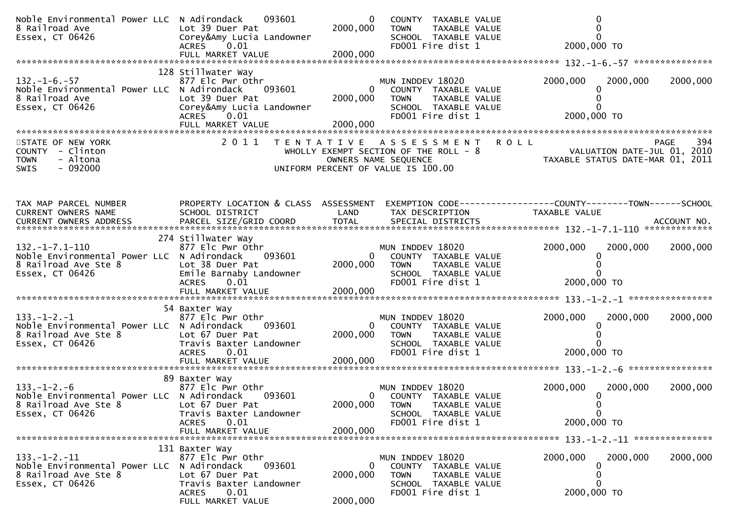| Noble Environmental Power LLC N Adirondack<br>8 Railroad Ave<br>Essex, CT 06426                                | 093601<br>Lot 39 Duer Pat<br>Corey&Amy Lucia Landowner<br>ACRES 0.01                                                                             | $\mathbf{0}$<br>2000,000  | COUNTY TAXABLE VALUE<br><b>TOWN</b><br>TAXABLE VALUE<br>SCHOOL TAXABLE VALUE<br>FD001 Fire dist 1                                    | 2000,000 TO             | $\Omega$                                                                                                                                                      |
|----------------------------------------------------------------------------------------------------------------|--------------------------------------------------------------------------------------------------------------------------------------------------|---------------------------|--------------------------------------------------------------------------------------------------------------------------------------|-------------------------|---------------------------------------------------------------------------------------------------------------------------------------------------------------|
| $132. - 1 - 6. - 57$<br>Noble Environmental Power LLC N Adirondack<br>8 Railroad Ave<br>Essex, CT 06426        | 128 Stillwater Way<br>877 Elc Pwr Othr<br>$\frac{1}{2}$ 093601<br>Lot 39 Duer Pat<br>Corey&Amy Lucia Landowner<br><b>ACRES</b><br>0.01           | 2000,000                  | MUN INDDEV 18020<br>0 COUNTY TAXABLE VALUE<br>TOWN TAXABLE VALUE<br>SCHOOL TAXABLE VALUE<br>FD001 Fire dist 1                        | 2000,000<br>2000,000 TO | 2000,000<br>2000,000<br>0<br>0                                                                                                                                |
| STATE OF NEW YORK<br>COUNTY - Clinton<br><b>TOWN</b><br>- Altona<br>$-092000$<br>SWIS                          |                                                                                                                                                  |                           | 2011 TENTATIVE ASSESSMENT ROLL<br>UNIFORM PERCENT OF VALUE IS 100.00                                                                 |                         | 394<br>PAGE<br>WHOLLY EXEMPT SECTION OF THE ROLL - 8<br>OWNERS NAME SEQUENCE THE ROLL - 8<br>VALUATION DATE-JUL 01, 2010<br>VIFORM PERCENT OF VALUE IS 100.00 |
| TAX MAP PARCEL NUMBER<br>CURRENT OWNERS NAME                                                                   | PROPERTY LOCATION & CLASS ASSESSMENT<br>SCHOOL DISTRICT                                                                                          | LAND                      | TAX DESCRIPTION                                                                                                                      | TAXABLE VALUE           | EXEMPTION CODE-----------------COUNTY-------TOWN-----SCHOOL                                                                                                   |
| $132. -1 - 7.1 - 110$<br>Noble Environmental Power LLC N Adirondack<br>8 Railroad Ave Ste 8<br>Essex, CT 06426 | 274 Stillwater Way<br>877 Elc Pwr Othr<br>nr<br>093601<br>Lot 38 Duer Pat<br>Emile Barnaby Landowner<br>ACRES 0.01                               | 2000,000                  | MUN INDDEV 18020<br>COUNTY TAXABLE VALUE<br>0<br><b>TOWN</b><br>TAXABLE VALUE<br>SCHOOL TAXABLE VALUE<br>FD001 Fire dist 1           | 2000,000<br>2000,000 TO | 2000,000<br>2000,000<br>0                                                                                                                                     |
| $133. - 1 - 2. - 1$<br>Noble Environmental Power LLC N Adirondack<br>8 Railroad Ave Ste 8<br>Essex, CT 06426   | 54 Baxter Way<br>877 Elc Pwr Othr<br>093601<br>Lot 67 Duer Pat<br>Travis Baxter Landowner<br>ACRES 0.01                                          | 2000,000                  | MUN INDDEV 18020<br>0 COUNTY TAXABLE VALUE<br><b>TOWN</b><br>TAXABLE VALUE<br>SCHOOL TAXABLE VALUE<br>FD001 Fire dist 1              | 2000,000<br>2000,000 TO | 2000,000<br>2000,000<br>0                                                                                                                                     |
| $133. - 1 - 2. - 6$<br>Noble Environmental Power LLC N Adirondack<br>8 Railroad Ave Ste 8<br>Essex, CT 06426   | 89 Baxter Way<br>877 Elc Pwr Othr<br>093601<br>Lot 67 Duer Pat<br>Travis Baxter Landowner<br><b>ACRES</b><br>0.01<br>FULL MARKET VALUE           | 2000,000                  | MUN INDDEV 18020<br>COUNTY TAXABLE VALUE<br>$\mathbf{0}$<br>2000,000 TOWN TAXABLE VALUE<br>SCHOOL TAXABLE VALUE<br>FD001 Fire dist 1 | 2000,000<br>2000,000 TO | 2000,000<br>2000,000<br>0<br>0<br>$\mathbf{0}$                                                                                                                |
| $133. - 1 - 2. - 11$<br>Noble Environmental Power LLC<br>8 Railroad Ave Ste 8<br>Essex, CT 06426               | 131 Baxter Way<br>877 Elc Pwr Othr<br>N Adirondack<br>093601<br>Lot 67 Duer Pat<br>Travis Baxter Landowner<br>ACRES<br>0.01<br>FULL MARKET VALUE | 0<br>2000,000<br>2000,000 | MUN INDDEV 18020<br>COUNTY TAXABLE VALUE<br><b>TOWN</b><br>TAXABLE VALUE<br>SCHOOL TAXABLE VALUE<br>FD001 Fire dist 1                | 2000,000<br>2000,000 TO | 2000,000<br>2000,000<br>0<br>0<br>0                                                                                                                           |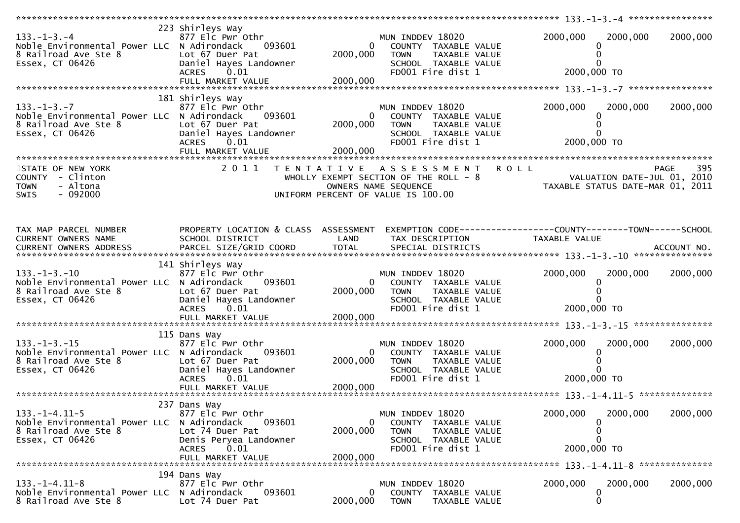| $133. - 1 - 3. - 4$<br>Noble Environmental Power LLC N Adirondack<br>8 Railroad Ave Ste 8<br>Essex, CT 06426   | 223 Shirleys Way<br>877 Elc Pwr Othr<br>093601<br>Lot 67 Duer Pat<br>Daniel Hayes Landowner<br>0.01<br><b>ACRES</b><br>FULL MARKET VALUE | $\overline{0}$<br>2000,000<br>2000,000 | MUN INDDEV 18020<br>COUNTY TAXABLE VALUE<br>TAXABLE VALUE<br><b>TOWN</b><br>SCHOOL TAXABLE VALUE<br>FD001 Fire dist 1 | 2000,000<br>2000,000<br>0<br>0<br>2000,000 TO                                                                     | 2000,000           |
|----------------------------------------------------------------------------------------------------------------|------------------------------------------------------------------------------------------------------------------------------------------|----------------------------------------|-----------------------------------------------------------------------------------------------------------------------|-------------------------------------------------------------------------------------------------------------------|--------------------|
|                                                                                                                |                                                                                                                                          |                                        |                                                                                                                       |                                                                                                                   |                    |
| $133. -1 - 3. -7$<br>Noble Environmental Power LLC N Adirondack<br>8 Railroad Ave Ste 8<br>Essex, CT 06426     | 181 Shirleys Way<br>877 Elc Pwr Othr<br>093601<br>Lot 67 Duer Pat<br>Daniel Hayes Landowner<br><b>ACRES</b><br>0.01<br>FULL MARKET VALUE | $\overline{0}$<br>2000,000<br>2000,000 | MUN INDDEV 18020<br>COUNTY TAXABLE VALUE<br>TAXABLE VALUE<br><b>TOWN</b><br>SCHOOL TAXABLE VALUE<br>FD001 Fire dist 1 | 2000,000<br>2000,000<br>0<br>0<br>2000,000 TO                                                                     | 2000,000           |
| STATE OF NEW YORK                                                                                              | 2 0 1 1                                                                                                                                  |                                        | TENTATIVE ASSESSMENT                                                                                                  | <b>ROLL</b>                                                                                                       | 395<br><b>PAGE</b> |
| COUNTY - Clinton<br>- Altona<br><b>TOWN</b><br>$-092000$<br><b>SWIS</b>                                        |                                                                                                                                          |                                        | WHOLLY EXEMPT SECTION OF THE ROLL - 8<br>OWNERS NAME SEQUENCE<br>UNIFORM PERCENT OF VALUE IS 100.00                   | VALUATION DATE-JUL 01, 2010<br>TAXABLE STATUS DATE-MAR 01, 2011                                                   |                    |
| TAX MAP PARCEL NUMBER<br>CURRENT OWNERS NAME                                                                   | SCHOOL DISTRICT                                                                                                                          | LAND                                   | TAX DESCRIPTION                                                                                                       | PROPERTY LOCATION & CLASS ASSESSMENT EXEMPTION CODE----------------COUNTY-------TOWN------SCHOOL<br>TAXABLE VALUE |                    |
|                                                                                                                |                                                                                                                                          |                                        |                                                                                                                       |                                                                                                                   |                    |
| $133. -1 - 3. -10$<br>Noble Environmental Power LLC N Adirondack<br>8 Railroad Ave Ste 8<br>Essex, CT 06426    | 141 Shirleys Way<br>877 Elc Pwr Othr<br>093601<br>Lot 67 Duer Pat<br>Daniel Hayes Landowner<br><b>ACRES</b><br>0.01                      | $\Omega$<br>2000,000                   | MUN INDDEV 18020<br>COUNTY TAXABLE VALUE<br><b>TOWN</b><br>TAXABLE VALUE<br>SCHOOL TAXABLE VALUE<br>FD001 Fire dist 1 | 2000,000<br>2000,000<br>0<br>2000,000 ТО                                                                          | 2000,000           |
|                                                                                                                |                                                                                                                                          |                                        |                                                                                                                       |                                                                                                                   |                    |
| $133. - 1 - 3. - 15$<br>Noble Environmental Power LLC N Adirondack<br>8 Railroad Ave Ste 8<br>Essex, CT 06426  | 115 Dans Way<br>877 Elc Pwr Othr<br>093601<br>Lot 67 Duer Pat<br>Daniel Hayes Landowner<br>0.01<br><b>ACRES</b><br>FULL MARKET VALUE     | $\mathbf{0}$<br>2000,000<br>2000,000   | MUN INDDEV 18020<br>COUNTY TAXABLE VALUE<br><b>TOWN</b><br>TAXABLE VALUE<br>SCHOOL TAXABLE VALUE<br>FD001 Fire dist 1 | 2000,000<br>2000,000<br>0<br>2000,000 TO                                                                          | 2000,000           |
|                                                                                                                |                                                                                                                                          |                                        |                                                                                                                       |                                                                                                                   |                    |
| $133. - 1 - 4.11 - 5$<br>Noble Environmental Power LLC N Adirondack<br>8 Railroad Ave Ste 8<br>Essex, CT 06426 | 237 Dans Way<br>877 Elc Pwr Othr<br>093601<br>Lot 74 Duer Pat<br>Denis Peryea Landowner<br><b>ACRES</b><br>0.01<br>FULL MARKET VALUE     | $\overline{0}$<br>2000,000<br>2000,000 | MUN INDDEV 18020<br>COUNTY TAXABLE VALUE<br><b>TOWN</b><br>TAXABLE VALUE<br>SCHOOL TAXABLE VALUE<br>FD001 Fire dist 1 | 2000,000<br>2000,000<br>0<br>0<br>0<br>2000,000 TO                                                                | 2000,000           |
|                                                                                                                |                                                                                                                                          |                                        |                                                                                                                       |                                                                                                                   |                    |
| $133. - 1 - 4.11 - 8$<br>Noble Environmental Power LLC N Adirondack<br>8 Railroad Ave Ste 8                    | 194 Dans Way<br>877 Elc Pwr Othr<br>093601<br>Lot 74 Duer Pat                                                                            | 0<br>2000,000                          | MUN INDDEV 18020<br>COUNTY TAXABLE VALUE<br><b>TOWN</b><br>TAXABLE VALUE                                              | 2000,000<br>2000,000<br>0<br>0                                                                                    | 2000,000           |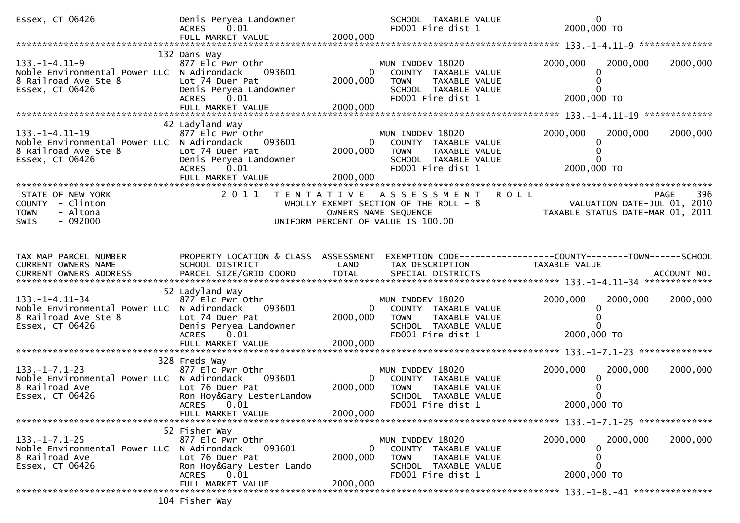| Essex, CT 06426                                                                                                 | Denis Peryea Landowner<br><b>ACRES</b><br>0.01                                                                                           |                                      | SCHOOL TAXABLE VALUE<br>FD001 Fire dist 1                                                                             | $\Omega$<br>2000,000 TO                                                                                         |          |
|-----------------------------------------------------------------------------------------------------------------|------------------------------------------------------------------------------------------------------------------------------------------|--------------------------------------|-----------------------------------------------------------------------------------------------------------------------|-----------------------------------------------------------------------------------------------------------------|----------|
|                                                                                                                 |                                                                                                                                          |                                      |                                                                                                                       |                                                                                                                 |          |
| 133. –1–4.11–9<br>Noble Environmental Power LLC N Adirondack<br>8 Railroad Ave Ste 8<br>Essex, CT 06426         | 132 Dans Way<br>877 Elc Pwr Othr<br>093601<br>Lot 74 Duer Pat<br>Denis Peryea Landowner<br>0.01<br>ACRES<br>FULL MARKET VALUE            | 0<br>2000,000<br>2000,000            | MUN INDDEV 18020<br>COUNTY TAXABLE VALUE<br>TAXABLE VALUE<br><b>TOWN</b><br>SCHOOL TAXABLE VALUE<br>FD001 Fire dist 1 | 2000,000<br>2000,000<br>2000,000 TO                                                                             | 2000,000 |
|                                                                                                                 | 42 Ladyland Way                                                                                                                          |                                      |                                                                                                                       |                                                                                                                 |          |
| $133. -1 - 4.11 - 19$<br>Noble Environmental Power LLC N Adirondack<br>8 Railroad Ave Ste 8<br>Essex, CT 06426  | 877 Elc Pwr Othr<br>093601<br>Lot 74 Duer Pat<br>Denis Peryea Landowner<br>0.01<br><b>ACRES</b>                                          | $\mathbf{0}$<br>2000,000             | MUN INDDEV 18020<br>COUNTY TAXABLE VALUE<br><b>TOWN</b><br>TAXABLE VALUE<br>SCHOOL TAXABLE VALUE<br>FD001 Fire dist 1 | 2000,000<br>2000,000<br>2000,000 TO                                                                             | 2000,000 |
| STATE OF NEW YORK                                                                                               |                                                                                                                                          |                                      | 2011 TENTATIVE ASSESSMENT                                                                                             |                                                                                                                 |          |
| COUNTY - Clinton<br>- Altona<br><b>TOWN</b><br>$-092000$<br><b>SWIS</b>                                         |                                                                                                                                          | OWNERS NAME SEQUENCE                 | WHOLLY EXEMPT SECTION OF THE ROLL - 8<br>UNIFORM PERCENT OF VALUE IS 100.00                                           | PAGE 396<br>VALUATION DATE-JUL 01, 2010<br>TAXARLE STATUS BATE ULL 01, 2010<br>TAXABLE STATUS DATE-MAR 01, 2011 |          |
| TAX MAP PARCEL NUMBER<br>CURRENT OWNERS NAME                                                                    | PROPERTY LOCATION & CLASS ASSESSMENT<br>SCHOOL DISTRICT                                                                                  | LAND                                 | TAX DESCRIPTION                                                                                                       | EXEMPTION CODE-----------------COUNTY--------TOWN------SCHOOL<br>TAXABLE VALUE                                  |          |
|                                                                                                                 |                                                                                                                                          |                                      |                                                                                                                       |                                                                                                                 |          |
|                                                                                                                 |                                                                                                                                          |                                      |                                                                                                                       |                                                                                                                 |          |
| $133. - 1 - 4.11 - 34$<br>Noble Environmental Power LLC N Adirondack<br>8 Railroad Ave Ste 8<br>Essex, CT 06426 | 52 Ladyland Way<br>877 Elc Pwr Othr<br>093601<br>Lot 74 Duer Pat<br>Denis Peryea Landowner<br><b>ACRES</b><br>0.01                       | 0<br>2000,000                        | MUN INDDEV 18020<br>COUNTY TAXABLE VALUE<br>TAXABLE VALUE<br><b>TOWN</b><br>SCHOOL TAXABLE VALUE<br>FD001 Fire dist 1 | 2000,000<br>2000,000<br>2000,000 TO                                                                             | 2000,000 |
|                                                                                                                 |                                                                                                                                          |                                      |                                                                                                                       |                                                                                                                 |          |
|                                                                                                                 |                                                                                                                                          |                                      |                                                                                                                       |                                                                                                                 |          |
| $133. - 1 - 7.1 - 23$<br>Noble Environmental Power LLC N Adirondack<br>8 Railroad Ave<br>Essex, CT 06426        | 328 Freds Way<br>877 Elc Pwr Othr<br>093601<br>Lot 76 Duer Pat<br>Ron Hoy&Gary LesterLandow<br>ACRES 0.01                                | 0<br>2000,000<br>2000,000            | MUN INDDEV 18020<br>COUNTY TAXABLE VALUE<br><b>TOWN</b><br>TAXABLE VALUE<br>SCHOOL TAXABLE VALUE<br>FD001 Fire dist 1 | 2000,000<br>2000,000<br>2000,000 TO                                                                             | 2000,000 |
|                                                                                                                 | FULL MARKET VALUE                                                                                                                        |                                      |                                                                                                                       |                                                                                                                 |          |
| $133. - 1 - 7.1 - 25$<br>Noble Environmental Power LLC N Adirondack<br>8 Railroad Ave<br>Essex, CT 06426        | 52 Fisher Way<br>877 Elc Pwr Othr<br>093601<br>Lot 76 Duer Pat<br>Ron Hoy&Gary Lester Lando<br><b>ACRES</b><br>0.01<br>FULL MARKET VALUE | $\mathbf{0}$<br>2000,000<br>2000,000 | MUN INDDEV 18020<br>COUNTY TAXABLE VALUE<br><b>TOWN</b><br>TAXABLE VALUE<br>SCHOOL TAXABLE VALUE<br>FD001 Fire dist 1 | 2000,000<br>2000,000<br>0<br>2000,000 TO                                                                        | 2000,000 |
|                                                                                                                 | 104 Fisher Way                                                                                                                           |                                      |                                                                                                                       |                                                                                                                 |          |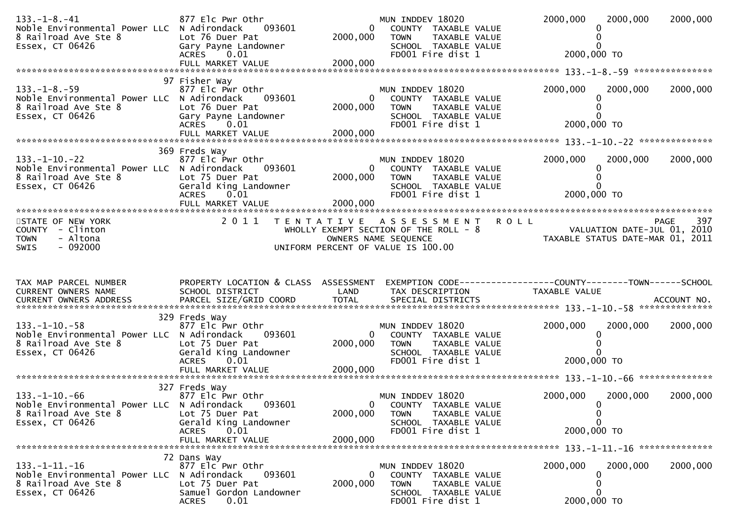| $133. - 1 - 8. - 41$<br>Noble Environmental Power LLC N Adirondack<br>8 Railroad Ave Ste 8<br>Essex, CT 06426  | 877 Elc Pwr Othr<br>093601<br>Lot 76 Duer Pat<br>Gary Payne Landowner<br><b>ACRES</b><br>0.01                                        | $\overline{0}$<br>2000,000           | MUN INDDEV 18020<br>COUNTY TAXABLE VALUE<br><b>TOWN</b><br>TAXABLE VALUE<br>SCHOOL TAXABLE VALUE<br>FD001 Fire dist 1      | 2000,000<br>2000,000<br>2000,000 TO                                                            | 2000,000    |
|----------------------------------------------------------------------------------------------------------------|--------------------------------------------------------------------------------------------------------------------------------------|--------------------------------------|----------------------------------------------------------------------------------------------------------------------------|------------------------------------------------------------------------------------------------|-------------|
|                                                                                                                |                                                                                                                                      |                                      |                                                                                                                            |                                                                                                |             |
| $133. - 1 - 8. - 59$<br>Noble Environmental Power LLC N Adirondack<br>8 Railroad Ave Ste 8<br>Essex, CT 06426  | 97 Fisher Way<br>877 Elc Pwr Othr<br>093601<br>Lot 76 Duer Pat<br>Gary Payne Landowner<br>ACRES 0.01<br>FULL MARKET VALUE            | 0<br>2000,000<br>2000,000            | MUN INDDEV 18020<br>COUNTY TAXABLE VALUE<br><b>TOWN</b><br>TAXABLE VALUE<br>SCHOOL TAXABLE VALUE<br>FD001 Fire dist 1      | 2000,000<br>2000,000<br>0<br>2000,000 TO                                                       | 2000,000    |
|                                                                                                                |                                                                                                                                      |                                      |                                                                                                                            |                                                                                                |             |
| 133. –1–10. –22<br>Noble Environmental Power LLC N Adirondack<br>8 Railroad Ave Ste 8<br>Essex, CT 06426       | 369 Freds Way<br>877 Elc Pwr Othr<br>093601<br>Lot 75 Duer Pat<br>Gerald King Landowner<br><b>ACRES</b><br>0.01<br>FULL MARKET VALUE | $\mathbf{0}$<br>2000,000<br>2000,000 | MUN INDDEV 18020<br>COUNTY TAXABLE VALUE<br>TAXABLE VALUE<br><b>TOWN</b><br>SCHOOL TAXABLE VALUE<br>FD001 Fire dist 1      | 2000,000<br>2000,000<br>$\Omega$<br>2000,000 TO                                                | 2000,000    |
| STATE OF NEW YORK                                                                                              | 2 0 1 1                                                                                                                              |                                      | TENTATIVE ASSESSMENT                                                                                                       | <b>ROLL</b>                                                                                    | 397<br>PAGE |
| COUNTY - Clinton<br>- Altona<br><b>TOWN</b><br>$-092000$<br><b>SWIS</b>                                        |                                                                                                                                      |                                      | WHOLLY EXEMPT SECTION OF THE ROLL - 8<br>OWNERS NAME SEQUENCE<br>UNIFORM PERCENT OF VALUE IS 100.00                        | VALUATION DATE-JUL 01, 2010<br>VALUATION DATE-JUL 01, 2010<br>TAXABLE STATUS DATE-MAR 01, 2011 |             |
|                                                                                                                |                                                                                                                                      |                                      |                                                                                                                            |                                                                                                |             |
| TAX MAP PARCEL NUMBER<br>CURRENT OWNERS NAME                                                                   | PROPERTY LOCATION & CLASS ASSESSMENT<br>SCHOOL DISTRICT                                                                              | LAND                                 | TAX DESCRIPTION                                                                                                            | TAXABLE VALUE                                                                                  |             |
|                                                                                                                | 329 Freds Way                                                                                                                        |                                      |                                                                                                                            |                                                                                                |             |
| 133. –1–10. –58<br>Noble Environmental Power LLC N Adirondack<br>8 Railroad Ave Ste 8<br>Essex, CT 06426       | 877 Elc Pwr Othr<br>093601<br>Lot 75 Duer Pat<br>Gerald King Landowner<br>ACRES 0.01                                                 | 0<br>2000,000                        | MUN INDDEV 18020<br>COUNTY TAXABLE VALUE<br><b>TOWN</b><br>TAXABLE VALUE<br>SCHOOL TAXABLE VALUE<br>FD001 Fire dist 1      | 2000,000<br>2000,000<br>0<br>0<br>2000,000 TO                                                  | 2000,000    |
|                                                                                                                |                                                                                                                                      |                                      |                                                                                                                            |                                                                                                |             |
| $133. - 1 - 10. - 66$<br>Noble Environmental Power LLC N Adirondack<br>8 Railroad Ave Ste 8<br>Essex, CT 06426 | 327 Freds Way<br>877 Elc Pwr Othr<br>093601<br>Lot 75 Duer Pat<br>Gerald King Landowner<br><b>ACRES</b><br>0.01                      | 2000,000                             | MUN INDDEV 18020<br>0<br>COUNTY TAXABLE VALUE<br>TAXABLE VALUE<br><b>TOWN</b><br>SCHOOL TAXABLE VALUE<br>FD001 Fire dist 1 | 2000,000<br>2000,000<br>$\Omega$<br>0<br>$\Omega$<br>2000,000 TO                               | 2000,000    |
|                                                                                                                | FULL MARKET VALUE                                                                                                                    | 2000,000                             |                                                                                                                            |                                                                                                |             |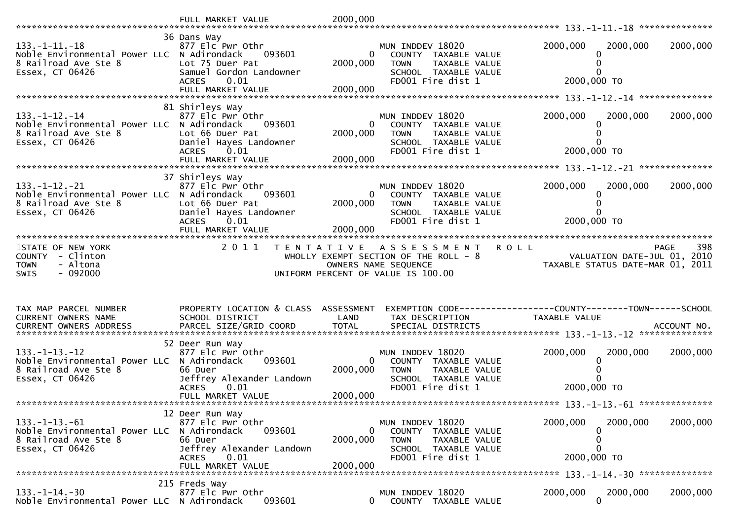| $133. -1 - 11. -18$<br>Noble Environmental Power LLC N Adirondack<br>8 Railroad Ave Ste 8<br>Essex, CT 06426   | 36 Dans Way<br>877 Elc Pwr Othr<br>093601<br>Lot 75 Duer Pat<br>Samuel Gordon Landowner<br><b>ACRES</b><br>0.01<br>FULL MARKET VALUE    | $\mathbf{0}$<br>2000,000<br>2000,000   | MUN INDDEV 18020<br>COUNTY TAXABLE VALUE<br><b>TOWN</b><br>TAXABLE VALUE<br>SCHOOL TAXABLE VALUE<br>FD001 Fire dist 1 | 2000,000<br>2000,000<br>2000,000 TO                                           | 2000,000    |
|----------------------------------------------------------------------------------------------------------------|-----------------------------------------------------------------------------------------------------------------------------------------|----------------------------------------|-----------------------------------------------------------------------------------------------------------------------|-------------------------------------------------------------------------------|-------------|
|                                                                                                                | 81 Shirleys Way                                                                                                                         |                                        |                                                                                                                       |                                                                               |             |
| $133. - 1 - 12. - 14$<br>Noble Environmental Power LLC N Adirondack<br>8 Railroad Ave Ste 8<br>Essex, CT 06426 | 877 Elc Pwr Othr<br>093601<br>Lot 66 Duer Pat<br>Daniel Hayes Landowner<br>0.01<br><b>ACRES</b>                                         | $\overline{0}$<br>2000,000             | MUN INDDEV 18020<br>COUNTY TAXABLE VALUE<br><b>TOWN</b><br>TAXABLE VALUE<br>SCHOOL TAXABLE VALUE<br>FD001 Fire dist 1 | 2000,000<br>2000,000<br>$\Omega$<br>2000,000 TO                               | 2000,000    |
|                                                                                                                |                                                                                                                                         |                                        |                                                                                                                       |                                                                               |             |
| $133. - 1 - 12. - 21$<br>Noble Environmental Power LLC N Adirondack<br>8 Railroad Ave Ste 8<br>Essex, CT 06426 | 37 Shirleys Way<br>877 Elc Pwr Othr<br>093601<br>Lot 66 Duer Pat<br>Daniel Hayes Landowner<br><b>ACRES</b><br>0.01<br>FULL MARKET VALUE | $\overline{0}$<br>2000,000<br>2000,000 | MUN INDDEV 18020<br>COUNTY TAXABLE VALUE<br>TAXABLE VALUE<br><b>TOWN</b><br>SCHOOL TAXABLE VALUE<br>FD001 Fire dist 1 | 2000,000<br>2000,000<br>0<br>2000,000 TO                                      | 2000,000    |
|                                                                                                                |                                                                                                                                         |                                        |                                                                                                                       |                                                                               |             |
| STATE OF NEW YORK<br>COUNTY - Clinton                                                                          | 2 0 1 1                                                                                                                                 |                                        | <b>ROLL</b><br>TENTATIVE ASSESSMENT<br>WHOLLY EXEMPT SECTION OF THE ROLL - 8                                          |                                                                               | 398<br>PAGE |
| <b>TOWN</b><br>- Altona<br>$-092000$<br><b>SWIS</b>                                                            |                                                                                                                                         |                                        | OWNERS NAME SEQUENCE<br>UNIFORM PERCENT OF VALUE IS 100.00                                                            | VALUATION DATE-JUL 01, 2010<br>TAXABLE STATUS DATE-MAR 01, 2011               |             |
| TAX MAP PARCEL NUMBER<br>CURRENT OWNERS NAME                                                                   | PROPERTY LOCATION & CLASS ASSESSMENT<br>SCHOOL DISTRICT                                                                                 | LAND                                   | TAX DESCRIPTION                                                                                                       | EXEMPTION CODE-----------------COUNTY-------TOWN------SCHOOL<br>TAXABLE VALUE |             |
| $133. - 1 - 13. - 12$<br>Noble Environmental Power LLC N Adirondack<br>8 Railroad Ave Ste 8<br>Essex, CT 06426 | 52 Deer Run Way<br>877 Elc Pwr Othr<br>093601<br>66 Duer<br>Jeffrey Alexander Landown<br>0.01<br><b>ACRES</b><br>FULL MARKET VALUE      | $\overline{0}$<br>2000,000<br>2000,000 | MUN INDDEV 18020<br>COUNTY TAXABLE VALUE<br>TAXABLE VALUE<br><b>TOWN</b><br>SCHOOL TAXABLE VALUE<br>FD001 Fire dist 1 | 2000,000<br>2000,000<br>0<br>2000,000 TO                                      | 2000,000    |
|                                                                                                                |                                                                                                                                         |                                        |                                                                                                                       |                                                                               |             |
| $133. - 1 - 13. - 61$<br>Noble Environmental Power LLC N Adirondack<br>8 Railroad Ave Ste 8<br>Essex, CT 06426 | 12 Deer Run Way<br>877 Elc Pwr Othr<br>093601<br>66 Duer<br>Jeffrey Alexander Landown<br><b>ACRES</b><br>0.01                           | 0<br>2000,000                          | MUN INDDEV 18020<br>COUNTY TAXABLE VALUE<br><b>TOWN</b><br>TAXABLE VALUE<br>SCHOOL TAXABLE VALUE<br>FD001 Fire dist 1 | 2000,000<br>2000,000<br>0<br>0<br>U<br>2000,000 TO                            | 2000,000    |
|                                                                                                                | FULL MARKET VALUE<br>215 Freds Way                                                                                                      | 2000,000                               |                                                                                                                       |                                                                               |             |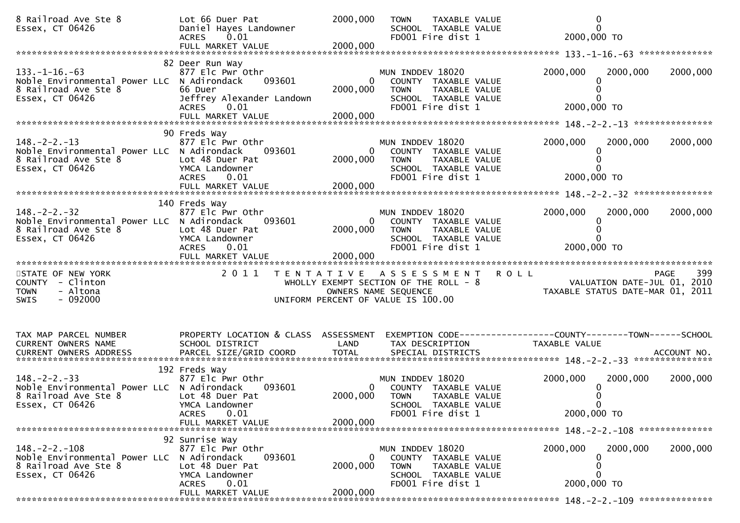| 8 Railroad Ave Ste 8<br>Essex, CT 06426                                                                       | Lot 66 Duer Pat<br>Daniel Hayes Landowner<br><b>ACRES</b><br>0.01<br>FULL MARKET VALUE                                       | 2000,000<br>2000,000                 | <b>TOWN</b><br>TAXABLE VALUE<br>SCHOOL TAXABLE VALUE<br>FD001 Fire dist 1                                                  | $\Omega$<br>$\Omega$<br>2000,000 TO                                                                  |
|---------------------------------------------------------------------------------------------------------------|------------------------------------------------------------------------------------------------------------------------------|--------------------------------------|----------------------------------------------------------------------------------------------------------------------------|------------------------------------------------------------------------------------------------------|
|                                                                                                               |                                                                                                                              |                                      |                                                                                                                            |                                                                                                      |
| $133. -1 - 16. -63$<br>Noble Environmental Power LLC N Adirondack<br>8 Railroad Ave Ste 8<br>Essex, CT 06426  | 82 Deer Run Way<br>877 Elc Pwr Othr<br>093601<br>66 Duer<br>Jeffrey Alexander Landown<br>ACRES 0.01<br>FULL MARKET VALUE     | $\mathbf{0}$<br>2000,000<br>2000,000 | MUN INDDEV 18020<br>COUNTY TAXABLE VALUE<br>TAXABLE VALUE<br><b>TOWN</b><br>SCHOOL TAXABLE VALUE<br>FD001 Fire dist 1      | 2000,000<br>2000,000<br>2000,000<br>2000,000 TO                                                      |
|                                                                                                               |                                                                                                                              |                                      |                                                                                                                            |                                                                                                      |
| $148. - 2 - 2. - 13$<br>Noble Environmental Power LLC N Adirondack<br>8 Railroad Ave Ste 8<br>Essex, CT 06426 | 90 Freds Way<br>877 Elc Pwr Othr<br>093601<br>Lot 48 Duer Pat<br>YMCA Landowner<br><b>ACRES</b><br>0.01                      | 2000,000                             | MUN INDDEV 18020<br>COUNTY TAXABLE VALUE<br>TAXABLE VALUE<br><b>TOWN</b><br>SCHOOL TAXABLE VALUE<br>FD001 Fire dist 1      | 2000,000<br>2000,000<br>2000,000<br>2000,000 TO                                                      |
|                                                                                                               |                                                                                                                              |                                      |                                                                                                                            |                                                                                                      |
| $148. - 2 - 2. - 32$<br>Noble Environmental Power LLC N Adirondack<br>8 Railroad Ave Ste 8<br>Essex, CT 06426 | 140 Freds Way<br>877 Elc Pwr Othr<br>093601<br>Lot 48 Duer Pat<br>YMCA Landowner<br><b>ACRES</b><br>0.01                     | $\Omega$<br>2000,000                 | MUN INDDEV 18020<br>COUNTY TAXABLE VALUE<br><b>TOWN</b><br>TAXABLE VALUE<br>SCHOOL TAXABLE VALUE<br>FD001 Fire dist 1      | 2000,000<br>2000,000<br>2000,000<br>2000,000 TO                                                      |
|                                                                                                               |                                                                                                                              |                                      |                                                                                                                            |                                                                                                      |
|                                                                                                               | FULL MARKET VALUE                                                                                                            | 2000,000                             |                                                                                                                            |                                                                                                      |
| STATE OF NEW YORK<br>COUNTY - Clinton<br>- Altona<br><b>TOWN</b><br>$-092000$<br><b>SWIS</b>                  | 2011<br>T E N T A T I V E                                                                                                    |                                      | A S S E S S M E N T<br>WHOLLY EXEMPT SECTION OF THE ROLL - 8<br>OWNERS NAME SEQUENCE<br>UNIFORM PERCENT OF VALUE IS 100.00 | <b>ROLL</b><br>399<br><b>PAGE</b><br>VALUATION DATE-JUL 01, 2010<br>TAXABLE STATUS DATE-MAR 01, 2011 |
|                                                                                                               |                                                                                                                              |                                      |                                                                                                                            |                                                                                                      |
| TAX MAP PARCEL NUMBER<br>CURRENT OWNERS NAME<br>CURRENT OWNERS ADDRESS                                        | PROPERTY LOCATION & CLASS ASSESSMENT<br>SCHOOL DISTRICT                                                                      | LAND                                 | TAX DESCRIPTION                                                                                                            | EXEMPTION CODE------------------COUNTY--------TOWN------SCHOOL<br>TAXABLE VALUE                      |
|                                                                                                               |                                                                                                                              |                                      |                                                                                                                            |                                                                                                      |
| $148. -2 - 2. -33$<br>Noble Environmental Power LLC N Adirondack<br>8 Railroad Ave Ste 8<br>Essex, CT 06426   | 192 Freds Way<br>877 Elc Pwr Othr<br>093601<br>Lot 48 Duer Pat<br>YMCA Landowner<br>0.01<br><b>ACRES</b>                     | $\Omega$<br>2000,000                 | MUN INDDEV 18020<br>COUNTY TAXABLE VALUE<br><b>TOWN</b><br>TAXABLE VALUE<br>SCHOOL TAXABLE VALUE<br>FD001 Fire dist 1      | 2000,000<br>2000,000<br>2000,000<br>2000,000 TO                                                      |
|                                                                                                               | FULL MARKET VALUE                                                                                                            | 2000,000                             |                                                                                                                            |                                                                                                      |
|                                                                                                               | 92 Sunrise Way                                                                                                               |                                      |                                                                                                                            |                                                                                                      |
| $148. - 2 - 2. - 108$<br>Noble Environmental Power LLC<br>8 Railroad Ave Ste 8<br>Essex, CT 06426             | 877 Elc Pwr Othr<br>093601<br>N Adirondack<br>Lot 48 Duer Pat<br>YMCA Landowner<br><b>ACRES</b><br>0.01<br>FULL MARKET VALUE | 0<br>2000,000<br>2000,000            | MUN INDDEV 18020<br>COUNTY TAXABLE VALUE<br><b>TOWN</b><br>TAXABLE VALUE<br>SCHOOL TAXABLE VALUE<br>FD001 Fire dist 1      | 2000,000<br>2000,000<br>2000,000<br>O<br>0<br>2000,000 TO                                            |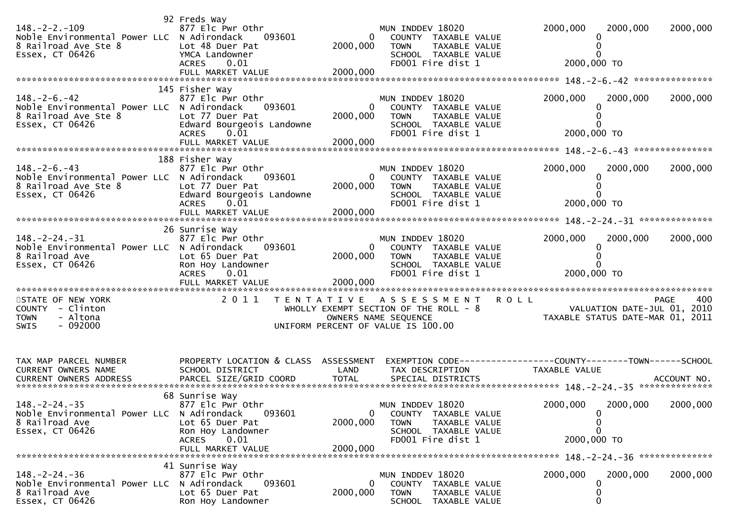| $148. - 2 - 2. - 109$<br>Noble Environmental Power LLC N Adirondack<br>8 Railroad Ave Ste 8<br>Essex, CT 06426 | 92 Freds Way<br>877 Elc Pwr Othr<br>093601<br>Lot 48 Duer Pat<br>YMCA Landowner<br>ACRES 0.01<br>FULL MARKET VALUE         | $\Omega$<br>2000,000<br>2000,000 | MUN INDDEV 18020<br>COUNTY TAXABLE VALUE<br><b>TOWN</b><br>TAXABLE VALUE<br>SCHOOL TAXABLE VALUE<br>FD001 Fire dist 1       | 2000,000<br>2000,000<br>2000,000 TO                                              | 2000,000    |
|----------------------------------------------------------------------------------------------------------------|----------------------------------------------------------------------------------------------------------------------------|----------------------------------|-----------------------------------------------------------------------------------------------------------------------------|----------------------------------------------------------------------------------|-------------|
|                                                                                                                | 145 Fisher Way                                                                                                             |                                  |                                                                                                                             |                                                                                  |             |
| $148. - 2 - 6. - 42$<br>Noble Environmental Power LLC N Adirondack<br>8 Railroad Ave Ste 8<br>Essex, CT 06426  | 877 Elc Pwr Othr<br>093601<br>Lot 77 Duer Pat<br>Edward Bourgeois Landowne<br><b>ACRES</b><br>$0.\overline{0}1$            | $\mathbf{0}$<br>2000,000         | MUN INDDEV 18020<br>COUNTY TAXABLE VALUE<br>TAXABLE VALUE<br><b>TOWN</b><br>SCHOOL TAXABLE VALUE<br>FD001 Fire dist 1       | 2000,000<br>2000,000<br>$\Omega$<br>2000,000 TO                                  | 2000,000    |
|                                                                                                                |                                                                                                                            |                                  |                                                                                                                             |                                                                                  |             |
| $148. - 2 - 6. - 43$<br>Noble Environmental Power LLC N Adirondack<br>8 Railroad Ave Ste 8<br>Essex, CT 06426  | 188 Fisher Way<br>877 Elc Pwr Othr<br>093601<br>Lot 77 Duer Pat<br>Edward Bourgeois Landowne<br>ACRES<br>0.01              | 0<br>2000,000                    | MUN INDDEV 18020<br>COUNTY TAXABLE VALUE<br><b>TOWN</b><br>TAXABLE VALUE<br>SCHOOL TAXABLE VALUE<br>FD001 Fire dist 1       | 2000,000<br>2000,000<br>2000,000 TO                                              | 2000,000    |
|                                                                                                                |                                                                                                                            |                                  |                                                                                                                             |                                                                                  |             |
| $148. -2 - 24. -31$<br>Noble Environmental Power LLC N Adirondack<br>8 Railroad Ave<br>Essex, CT 06426         | 26 Sunrise Way<br>877 Elc Pwr Othr<br>093601<br>Lot 65 Duer Pat<br>Ron Hoy Landowner<br><b>ACRES</b><br>0.01               | $\Omega$<br>2000,000             | MUN INDDEV 18020<br>COUNTY TAXABLE VALUE<br><b>TOWN</b><br>TAXABLE VALUE<br>SCHOOL TAXABLE VALUE<br>FD001 Fire dist 1       | 2000,000<br>2000,000<br>2000,000 TO                                              | 2000,000    |
| STATE OF NEW YORK<br>COUNTY<br>- Clinton<br>- Altona<br><b>TOWN</b><br>$-092000$<br><b>SWIS</b>                | 2011                                                                                                                       |                                  | TENTATIVE ASSESSMENT<br>WHOLLY EXEMPT SECTION OF THE ROLL - 8<br>OWNERS NAME SEQUENCE<br>UNIFORM PERCENT OF VALUE IS 100.00 | <b>ROLL</b><br>$VALUATION$ DATE-JUL 01, 2010<br>TAXABLE STATUS DATE-MAR 01, 2011 | 400<br>PAGE |
| TAX MAP PARCEL NUMBER<br><b>CURRENT OWNERS NAME</b>                                                            | PROPERTY LOCATION & CLASS ASSESSMENT<br>SCHOOL DISTRICT                                                                    | LAND                             | TAX DESCRIPTION                                                                                                             | EXEMPTION CODE-----------------COUNTY-------TOWN------SCHOOL<br>TAXABLE VALUE    |             |
| $148. - 2 - 24. - 35$<br>Noble Environmental Power LLC N Adirondack<br>8 Railroad Ave<br>Essex, CT 06426       | 68 Sunrise Way<br>877 Elc Pwr Othr<br>093601<br>Lot 65 Duer Pat<br>Ron Hoy Landowner<br>0.01<br>ACRES<br>FULL MARKET VALUE | 0<br>2000,000<br>2000,000        | MUN INDDEV 18020<br>COUNTY TAXABLE VALUE<br><b>TOWN</b><br>TAXABLE VALUE<br>SCHOOL TAXABLE VALUE<br>FD001 Fire dist 1       | 2000,000<br>2000,000<br>0<br>2000,000 TO                                         | 2000,000    |
| $148. - 2 - 24. - 36$<br>Noble Environmental Power LLC N Adirondack<br>8 Railroad Ave<br>Essex, CT 06426       | 41 Sunrise Way<br>877 Elc Pwr Othr<br>093601<br>Lot 65 Duer Pat<br>Ron Hoy Landowner                                       | 2000,000                         | MUN INDDEV 18020<br>COUNTY TAXABLE VALUE<br><b>TOWN</b><br>TAXABLE VALUE<br>SCHOOL TAXABLE VALUE                            | 2000,000<br>2000,000<br>0<br>0<br>0                                              | 2000,000    |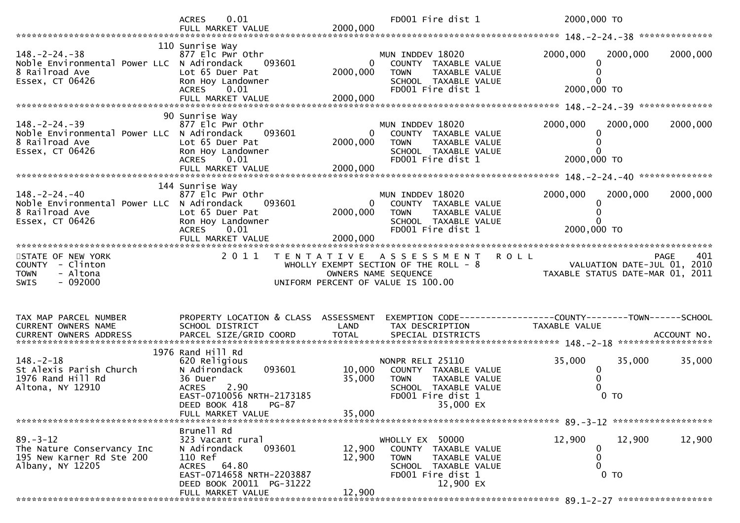|                                                                                                          | 0.01<br><b>ACRES</b>                                                                                                                                                        |                            | FD001 Fire dist 1                                                                                                                     | 2000,000 TO                                                                                                                |          |
|----------------------------------------------------------------------------------------------------------|-----------------------------------------------------------------------------------------------------------------------------------------------------------------------------|----------------------------|---------------------------------------------------------------------------------------------------------------------------------------|----------------------------------------------------------------------------------------------------------------------------|----------|
|                                                                                                          |                                                                                                                                                                             |                            |                                                                                                                                       |                                                                                                                            |          |
| $148. - 2 - 24. - 38$<br>Noble Environmental Power LLC N Adirondack<br>8 Railroad Ave<br>Essex, CT 06426 | 110 Sunrise Way<br>877 Elc Pwr Othr<br>093601<br>Lot 65 Duer Pat<br>Ron Hoy Landowner<br>ACRES 0.01                                                                         | $\overline{0}$<br>2000,000 | MUN INDDEV 18020<br>COUNTY TAXABLE VALUE<br><b>TOWN</b><br>TAXABLE VALUE<br>SCHOOL TAXABLE VALUE<br>FD001 Fire dist 1                 | 2000,000<br>2000,000<br>2000,000 TO                                                                                        | 2000,000 |
|                                                                                                          |                                                                                                                                                                             |                            |                                                                                                                                       |                                                                                                                            |          |
| $148. - 2 - 24. - 39$<br>Noble Environmental Power LLC N Adirondack<br>8 Railroad Ave<br>Essex, CT 06426 | 90 Sunrise Way<br>877 Elc Pwr Othr<br>093601<br>Lot 65 Duer Pat<br>Ron Hoy Landowner<br>ACRES 0.01                                                                          | 2000,000                   | MUN INDDEV 18020<br>$\mathbf{0}$<br>COUNTY TAXABLE VALUE<br><b>TOWN</b><br>TAXABLE VALUE<br>SCHOOL TAXABLE VALUE<br>FD001 Fire dist 1 | 2000,000<br>2000,000<br>2000,000 TO                                                                                        | 2000,000 |
|                                                                                                          | 144 Sunrise Way                                                                                                                                                             |                            |                                                                                                                                       |                                                                                                                            |          |
| $148. - 2 - 24. - 40$<br>Noble Environmental Power LLC N Adirondack<br>8 Railroad Ave<br>Essex, CT 06426 | 877 Elc Pwr Othr<br>093601<br>Lot 65 Duer Pat<br>Ron Hoy Landowner<br>ACRES<br>0.01                                                                                         | 2000,000                   | MUN INDDEV 18020<br>0 COUNTY TAXABLE VALUE<br>TAXABLE VALUE<br><b>TOWN</b><br>SCHOOL TAXABLE VALUE<br>FD001 Fire dist 1               | 2000,000<br>2000,000<br>2000,000 TO                                                                                        | 2000,000 |
|                                                                                                          |                                                                                                                                                                             |                            |                                                                                                                                       |                                                                                                                            |          |
|                                                                                                          |                                                                                                                                                                             |                            |                                                                                                                                       |                                                                                                                            |          |
|                                                                                                          |                                                                                                                                                                             |                            |                                                                                                                                       |                                                                                                                            |          |
| STATE OF NEW YORK<br>COUNTY - Clinton<br>- Altona<br><b>TOWN</b><br>$-092000$<br><b>SWIS</b>             | 2 0 1 1                                                                                                                                                                     |                            | TENTATIVE ASSESSMENT<br>UNIFORM PERCENT OF VALUE IS 100.00                                                                            | <b>ROLL</b><br><b>PAGE</b><br>WHOLLY EXEMPT SECTION OF THE ROLL - 8<br>WALUATION DATE-JUL 01, 2010<br>OWNERS NAME SEQUENCE | 401      |
| TAX MAP PARCEL NUMBER<br>CURRENT OWNERS NAME                                                             | PROPERTY LOCATION & CLASS ASSESSMENT<br>SCHOOL DISTRICT                                                                                                                     | LAND                       | TAX DESCRIPTION                                                                                                                       | EXEMPTION CODE-----------------COUNTY-------TOWN------SCHOOL<br>TAXABLE VALUE                                              |          |
| $148. - 2 - 18$<br>St Alexis Parish Church<br>1976 Rand Hill Rd<br>Altona, NY 12910                      | 1976 Rand Hill Rd<br>620 Religious<br>093601<br>N Adirondack<br>36 Duer<br>2.90<br><b>ACRES</b><br>EAST-0710056 NRTH-2173185<br>DEED BOOK 418<br>PG-87<br>FULL MARKET VALUE | 10,000<br>35,000<br>35,000 | NONPR RELI 25110<br>COUNTY TAXABLE VALUE<br><b>TOWN</b><br>TAXABLE VALUE<br>SCHOOL TAXABLE VALUE<br>FD001 Fire dist 1<br>35,000 EX    | 35,000<br>35,000<br>$\mathbf 0$<br>$0$ TO                                                                                  | 35,000   |
|                                                                                                          |                                                                                                                                                                             |                            |                                                                                                                                       |                                                                                                                            |          |
| $89. - 3 - 12$<br>The Nature Conservancy Inc<br>195 New Karner Rd Ste 200<br>Albany, NY 12205            | Brunell Rd<br>323 Vacant rural<br>093601<br>N Adirondack<br>110 Ref<br>ACRES 64.80<br>EAST-0714658 NRTH-2203887<br>DEED BOOK 20011 PG-31222<br>FULL MARKET VALUE            | 12,900<br>12,900<br>12,900 | WHOLLY EX 50000<br>COUNTY TAXABLE VALUE<br><b>TOWN</b><br>TAXABLE VALUE<br>SCHOOL TAXABLE VALUE<br>FD001 Fire dist 1<br>12,900 EX     | 12,900<br>12,900<br>0 TO                                                                                                   | 12,900   |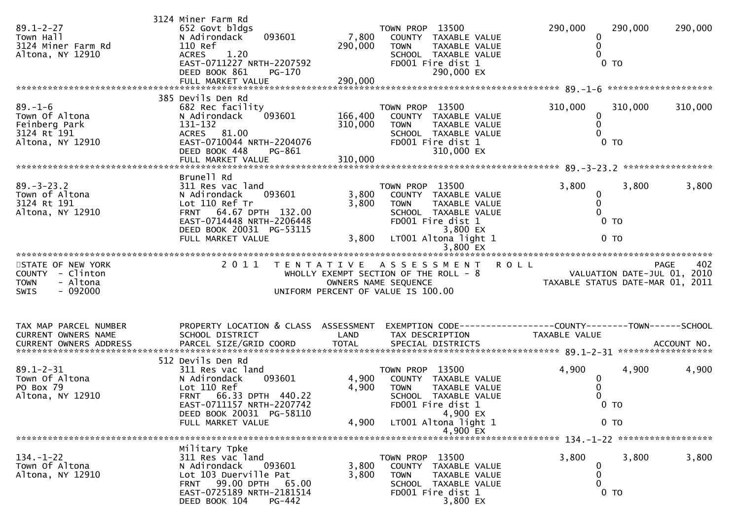| $89.1 - 2 - 27$<br>Town Hall<br>3124 Miner Farm Rd<br>Altona, NY 12910                       | 3124 Miner Farm Rd<br>652 Govt bldgs<br>093601<br>N Adirondack<br>110 Ref<br>1.20<br><b>ACRES</b><br>EAST-0711227 NRTH-2207592<br>DEED BOOK 861<br>PG-170                              | 7,800<br>290,000        | TOWN PROP 13500<br>COUNTY TAXABLE VALUE<br>TAXABLE VALUE<br><b>TOWN</b><br>SCHOOL TAXABLE VALUE<br>FD001 Fire dist 1<br>290,000 EX                | 290,000<br>0<br>0<br>$\Omega$                   | 290,000<br>0 <sub>T</sub>         | 290,000                                    |
|----------------------------------------------------------------------------------------------|----------------------------------------------------------------------------------------------------------------------------------------------------------------------------------------|-------------------------|---------------------------------------------------------------------------------------------------------------------------------------------------|-------------------------------------------------|-----------------------------------|--------------------------------------------|
|                                                                                              | 385 Devils Den Rd                                                                                                                                                                      |                         |                                                                                                                                                   |                                                 |                                   |                                            |
| $89. - 1 - 6$<br>Town Of Altona<br>Feinberg Park<br>3124 Rt 191<br>Altona, NY 12910          | 682 Rec facility<br>N Adirondack<br>093601<br>131-132<br>ACRES 81.00<br>EAST-0710044 NRTH-2204076<br>DEED BOOK 448<br>PG-861                                                           | 166,400<br>310,000      | TOWN PROP 13500<br>COUNTY TAXABLE VALUE<br><b>TOWN</b><br><b>TAXABLE VALUE</b><br>SCHOOL TAXABLE VALUE<br>FD001 Fire dist 1<br>310,000 EX         | 310,000<br>0<br>0<br>$\Omega$                   | 310,000<br>$0$ TO                 | 310,000                                    |
|                                                                                              |                                                                                                                                                                                        |                         |                                                                                                                                                   |                                                 |                                   |                                            |
| $89. - 3 - 23.2$<br>Town of Altona<br>3124 Rt 191<br>Altona, NY 12910                        | Brunell Rd<br>311 Res vac land<br>093601<br>N Adirondack<br>Lot 110 Ref Tr<br>FRNT 64.67 DPTH 132.00<br>EAST-0714448 NRTH-2206448<br>DEED BOOK 20031 PG-53115                          | 3,800<br>3,800          | TOWN PROP 13500<br>COUNTY TAXABLE VALUE<br><b>TOWN</b><br><b>TAXABLE VALUE</b><br>SCHOOL TAXABLE VALUE<br>FD001 Fire dist 1<br>3,800 EX           | 3,800<br>0<br>0<br>0                            | 3,800<br>0 <sub>T</sub>           | 3,800                                      |
|                                                                                              | FULL MARKET VALUE                                                                                                                                                                      | 3,800                   | LT001 Altona light 1                                                                                                                              |                                                 | 0 <sub>T</sub>                    |                                            |
|                                                                                              |                                                                                                                                                                                        |                         |                                                                                                                                                   |                                                 |                                   |                                            |
| STATE OF NEW YORK<br>COUNTY - Clinton<br><b>TOWN</b><br>- Altona<br>$-092000$<br><b>SWIS</b> | 2 0 1 1                                                                                                                                                                                |                         | TENTATIVE ASSESSMENT<br>WHOLLY EXEMPT SECTION OF THE ROLL - 8<br>OWNERS NAME SEQUENCE<br>UNIFORM PERCENT OF VALUE IS 100.00                       | <b>ROLL</b><br>TAXABLE STATUS DATE-MAR 01, 2011 |                                   | 402<br>PAGE<br>VALUATION DATE-JUL 01, 2010 |
| TAX MAP PARCEL NUMBER<br>CURRENT OWNERS NAME                                                 | PROPERTY LOCATION & CLASS ASSESSMENT<br>SCHOOL DISTRICT                                                                                                                                | LAND                    | EXEMPTION CODE------------------COUNTY-------TOWN------SCHOOL<br>TAX DESCRIPTION                                                                  | TAXABLE VALUE                                   |                                   |                                            |
|                                                                                              |                                                                                                                                                                                        |                         |                                                                                                                                                   |                                                 |                                   |                                            |
| $89.1 - 2 - 31$<br>Town Of Altona<br>PO Box 79<br>Altona, NY 12910                           | 512 Devils Den Rd<br>311 Res vac land<br>N Adirondack<br>093601<br>Lot 110 Ref<br>FRNT 66.33 DPTH 440.22<br>EAST-0711157 NRTH-2207742<br>DEED BOOK 20031 PG-58110<br>FULL MARKET VALUE | 4,900<br>4,900<br>4,900 | TOWN PROP 13500<br>COUNTY TAXABLE VALUE<br>TAXABLE VALUE<br>TOWN<br>SCHOOL TAXABLE VALUE<br>FD001 Fire dist 1<br>4,900 EX<br>LT001 Altona light 1 | 4,900<br>0                                      | 4,900<br>$0$ TO<br>0 <sub>T</sub> | 4,900                                      |
|                                                                                              |                                                                                                                                                                                        |                         | 4,900 EX                                                                                                                                          |                                                 |                                   |                                            |
| $134. - 1 - 22$<br>Town Of Altona<br>Altona, NY 12910                                        | Military Tpke<br>311 Res vac land<br>N Adirondack<br>093601<br>Lot 103 Duerville Pat<br>FRNT 99.00 DPTH 65.00<br>EAST-0725189 NRTH-2181514<br>DEED BOOK 104<br>PG-442                  | 3,800<br>3,800          | TOWN PROP 13500<br>COUNTY TAXABLE VALUE<br><b>TOWN</b><br>TAXABLE VALUE<br>SCHOOL TAXABLE VALUE<br>FD001 Fire dist 1<br>3,800 EX                  | 3,800<br>0<br>0<br>0                            | 3,800<br>0 <sub>T</sub>           | 3,800                                      |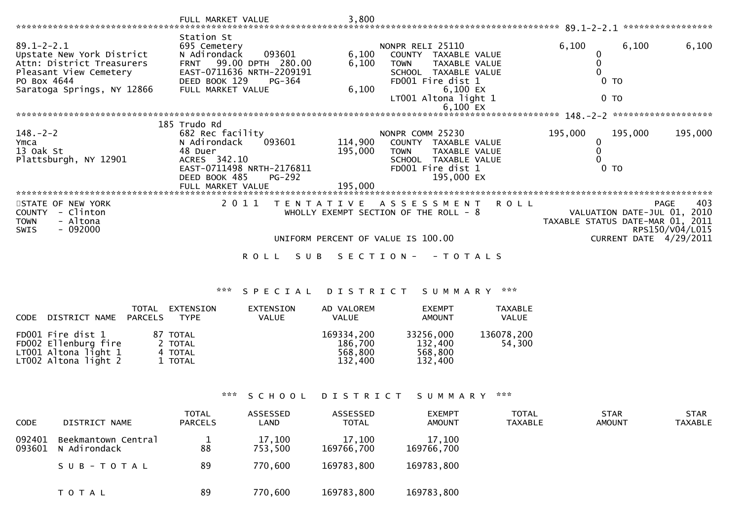|                                                                                                                                                   | FULL MARKET VALUE                                                                                                                                                         | 3,800                         |                                                                                                                                                                         | 89.1–2–2.1                                                                                | *****************                     |
|---------------------------------------------------------------------------------------------------------------------------------------------------|---------------------------------------------------------------------------------------------------------------------------------------------------------------------------|-------------------------------|-------------------------------------------------------------------------------------------------------------------------------------------------------------------------|-------------------------------------------------------------------------------------------|---------------------------------------|
| $89.1 - 2 - 2.1$<br>Upstate New York District<br>Attn: District Treasurers<br>Pleasant View Cemetery<br>PO Box 4644<br>Saratoga Springs, NY 12866 | Station St<br>695 Cemetery<br>093601<br>N Adirondack<br>99.00 DPTH 280.00<br><b>FRNT</b><br>EAST-0711636 NRTH-2209191<br>DEED BOOK 129<br>PG-364<br>FULL MARKET VALUE     | 6,100<br>6,100<br>6,100       | NONPR RELI 25110<br>COUNTY TAXABLE VALUE<br><b>TOWN</b><br>TAXABLE VALUE<br>SCHOOL TAXABLE VALUE<br>FD001 Fire dist 1<br>6,100 EX<br>LT001 Altona light 1<br>$6,100$ EX | 6,100<br>6,100<br>0 <sub>T</sub><br>0 <sub>T</sub>                                        | 6,100                                 |
|                                                                                                                                                   |                                                                                                                                                                           |                               |                                                                                                                                                                         | $148. - 2 - 2$                                                                            | *******************                   |
| $148. - 2 - 2$<br>Ymca<br>13 Oak St<br>Plattsburgh, NY 12901<br>**********************                                                            | 185 Trudo Rd<br>682 Rec facility<br>093601<br>N Adirondack<br>48 Duer<br>ACRES 342.10<br>EAST-0711498 NRTH-2176811<br>DEED BOOK 485<br><b>PG-292</b><br>FULL MARKET VALUE | 114,900<br>195,000<br>195,000 | NONPR COMM 25230<br>COUNTY<br>TAXABLE VALUE<br><b>TOWN</b><br>TAXABLE VALUE<br>SCHOOL TAXABLE VALUE<br>FD001 Fire dist 1<br>195,000 EX                                  | 195,000<br>195,000<br>TO                                                                  | 195,000                               |
| STATE OF NEW YORK<br>- Clinton<br><b>COUNTY</b><br>- Altona<br><b>TOWN</b><br>$-092000$<br>SWIS                                                   | 2 0 1 1<br>T E N T A T I V E                                                                                                                                              |                               | A S S E S S M E N T<br><b>ROLL</b><br>WHOLLY EXEMPT SECTION OF THE ROLL - 8<br>UNIFORM PERCENT OF VALUE IS 100.00                                                       | VALUATION DATE-JUL 01, 2010<br>TAXABLE STATUS DATE-MAR 01, 2011<br>CURRENT DATE 4/29/2011 | 403<br><b>PAGE</b><br>RPS150/V04/L015 |
|                                                                                                                                                   | R O L L<br>S U B                                                                                                                                                          | S E C T I O N -               | - T O T A L S                                                                                                                                                           |                                                                                           |                                       |

## \*\*\* S P E C I A L D I S T R I C T S U M M A R Y \*\*\*

| CODE | DISTRICT NAME PARCELS                                                                     | TOTAL | EXTENSION<br>TYPE                         | EXTENSION<br>VALUE | AD VALOREM<br><b>VALUE</b>                  | <b>EXEMPT</b><br><b>AMOUNT</b>             | <b>TAXABLE</b><br>VALUE |
|------|-------------------------------------------------------------------------------------------|-------|-------------------------------------------|--------------------|---------------------------------------------|--------------------------------------------|-------------------------|
|      | FD001 Fire dist 1<br>FD002 Ellenburg fire<br>LT001 Altona light 1<br>LT002 Altona light 2 |       | 87 TOTAL<br>2 TOTAL<br>4 TOTAL<br>1 TOTAL |                    | 169334,200<br>186,700<br>568,800<br>132.400 | 33256,000<br>132,400<br>568,800<br>132,400 | 136078,200<br>54,300    |

## \*\*\* S C H O O L D I S T R I C T S U M M A R Y \*\*\*

| <b>CODE</b>      | DISTRICT NAME                       | <b>TOTAL</b><br><b>PARCELS</b> | ASSESSED<br>LAND  | ASSESSED<br><b>TOTAL</b> | <b>EXEMPT</b><br>AMOUNT | <b>TOTAL</b><br>TAXABLE | <b>STAR</b><br><b>AMOUNT</b> | <b>STAR</b><br><b>TAXABLE</b> |
|------------------|-------------------------------------|--------------------------------|-------------------|--------------------------|-------------------------|-------------------------|------------------------------|-------------------------------|
| 092401<br>093601 | Beekmantown Central<br>N Adirondack | 88                             | 17,100<br>753,500 | 17,100<br>169766,700     | 17,100<br>169766,700    |                         |                              |                               |
|                  | SUB-TOTAL                           | 89                             | 770,600           | 169783,800               | 169783,800              |                         |                              |                               |
|                  | T O T A L                           | 89                             | 770,600           | 169783,800               | 169783,800              |                         |                              |                               |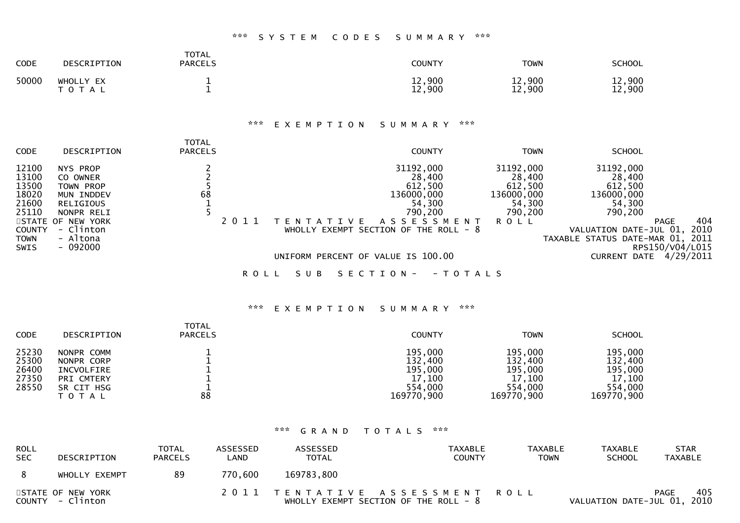## \*\*\* S Y S T E M C O D E S S U M M A R Y \*\*\*

| <b>CODE</b> | DESCRIPTION             | TOTAL<br><b>PARCELS</b> | COUNTY           | <b>TOWN</b>      | <b>SCHOOL</b>    |
|-------------|-------------------------|-------------------------|------------------|------------------|------------------|
| 50000       | WHOLLY EX<br>тот<br>A L |                         | 12,900<br>12,900 | 12,900<br>12,900 | 12,900<br>12,900 |

## \*\*\* E X E M P T I O N S U M M A R Y \*\*\*

| <b>CODE</b>                                                                                | DESCRIPTION                                                                                                                                         | <b>TOTAL</b><br><b>PARCELS</b> | <b>COUNTY</b>                                                                                                                                   | <b>TOWN</b>                                                                      | <b>SCHOOL</b>                                                                                                                                                     |             |
|--------------------------------------------------------------------------------------------|-----------------------------------------------------------------------------------------------------------------------------------------------------|--------------------------------|-------------------------------------------------------------------------------------------------------------------------------------------------|----------------------------------------------------------------------------------|-------------------------------------------------------------------------------------------------------------------------------------------------------------------|-------------|
| 12100<br>13100<br>13500<br>18020<br>21600<br>25110<br><b>COUNTY</b><br><b>TOWN</b><br>SWIS | NYS PROP<br>CO OWNER<br><b>TOWN PROP</b><br>MUN INDDEV<br><b>RELIGIOUS</b><br>NONPR RELI<br>STATE OF NEW YORK<br>- Clinton<br>- Altona<br>$-092000$ | 68<br>2011                     | 31192,000<br>28,400<br>612,500<br>136000,000<br>54,300<br>790,200<br>A S S E S S M E N T<br>A T T V F<br>WHOLLY EXEMPT SECTION OF THE ROLL $-8$ | 31192,000<br>28,400<br>612,500<br>136000,000<br>54,300<br>790,200<br><b>ROLL</b> | 31192,000<br>28,400<br>612,500<br>136000,000<br>54,300<br>790,200<br><b>PAGE</b><br>VALUATION DATE-JUL 01,<br>TAXABLE STATUS DATE-MAR 01, 2011<br>RPS150/V04/L015 | 404<br>2010 |
|                                                                                            |                                                                                                                                                     |                                | UNIFORM PERCENT OF VALUE IS 100.00                                                                                                              |                                                                                  | <b>CURRENT DATE</b>                                                                                                                                               | 4/29/2011   |
|                                                                                            |                                                                                                                                                     | R O L L                        | S U B<br>S E C T I O N -<br>- T O T A L S                                                                                                       |                                                                                  |                                                                                                                                                                   |             |

#### \*\*\* E X E M P T I O N S U M M A R Y \*\*\*

| <b>CODE</b>    | DESCRIPTION              | <b>TOTAL</b><br><b>PARCELS</b> | <b>COUNTY</b>         | <b>TOWN</b>           | <b>SCHOOL</b>         |
|----------------|--------------------------|--------------------------------|-----------------------|-----------------------|-----------------------|
| 25230<br>25300 | NONPR COMM<br>NONPR CORP |                                | 195,000<br>132,400    | 195,000<br>132,400    | 195,000<br>132,400    |
| 26400          | INCVOLFIRE               |                                | 195,000               | 195,000               | 195,000               |
| 27350          | PRI CMTERY               |                                | 17,100                | 17,100                | 17,100                |
| 28550          | SR CIT HSG<br>T O T A L  | 88                             | 554,000<br>169770,900 | 554,000<br>169770,900 | 554,000<br>169770,900 |

#### \*\*\* G R A N D T O T A L S \*\*\*

| <b>ROLL</b><br><b>SEC</b> | DESCRIPTION                           | <b>TOTAL</b><br><b>PARCELS</b> | <b>ASSESSED</b><br>LAND | ASSESSED<br><b>TOTAL</b> | TAXABLE<br><b>COUNTY</b>                                                  | <b>TAXABLE</b><br><b>TOWN</b> | <b>TAXABLE</b><br><b>SCHOOL</b> | <b>STAR</b><br><b>TAXABLE</b> |
|---------------------------|---------------------------------------|--------------------------------|-------------------------|--------------------------|---------------------------------------------------------------------------|-------------------------------|---------------------------------|-------------------------------|
| - 8                       | WHOLLY EXEMPT                         | 89                             | 770,600                 | 169783,800               |                                                                           |                               |                                 |                               |
|                           | STATE OF NEW YORK<br>COUNTY - Clinton |                                |                         |                          | 2011 TENTATIVE ASSESSMENT ROLL<br>WHOLLY EXEMPT SECTION OF THE ROLL - $8$ |                               | VALUATION DATE-JUL 01, 2010     | 405<br>PAGE                   |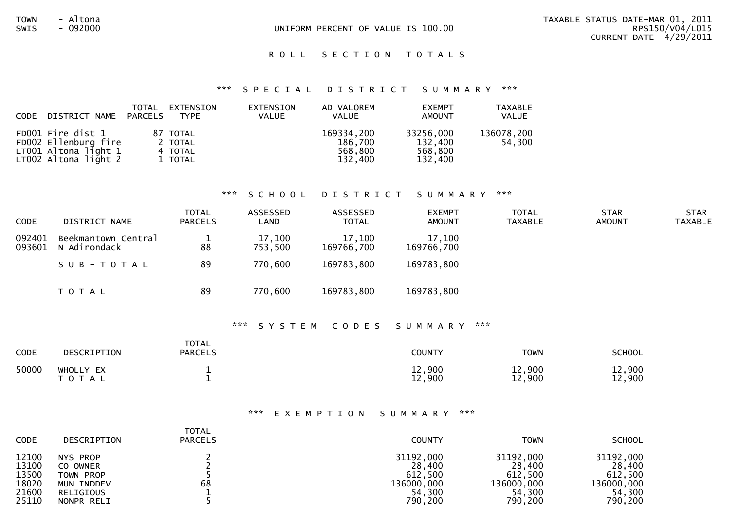#### ROLL SECTION TOTALS

#### \*\*\* S P E C I A L D I S T R I C T S U M M A R Y \*\*\*

| CODE | DISTRICT NAME PARCELS                                                                     | TOTAL | EXTENSION<br>TYPE                         | EXTENSION<br><b>VALUE</b> | AD VALOREM<br><b>VALUE</b>                  | <b>EXEMPT</b><br>AMOUNT                    | <b>TAXABLE</b><br>VALUE |
|------|-------------------------------------------------------------------------------------------|-------|-------------------------------------------|---------------------------|---------------------------------------------|--------------------------------------------|-------------------------|
|      | FD001 Fire dist 1<br>FD002 Ellenburg fire<br>LT001 Altona light 1<br>LT002 Altona light 2 |       | 87 TOTAL<br>2 TOTAL<br>4 TOTAL<br>1 TOTAL |                           | 169334,200<br>186,700<br>568.800<br>132,400 | 33256,000<br>132,400<br>568,800<br>132,400 | 136078,200<br>54,300    |

#### \*\*\* S C H O O L D I S T R I C T S U M M A R Y \*\*\*

| <b>CODE</b>      | DISTRICT NAME                       | <b>TOTAL</b><br>PARCELS | ASSESSED<br>LAND  | ASSESSED<br><b>TOTAL</b> | <b>EXEMPT</b><br><b>AMOUNT</b> | <b>TOTAL</b><br>TAXABLE | <b>STAR</b><br><b>AMOUNT</b> | <b>STAR</b><br><b>TAXABLE</b> |
|------------------|-------------------------------------|-------------------------|-------------------|--------------------------|--------------------------------|-------------------------|------------------------------|-------------------------------|
| 092401<br>093601 | Beekmantown Central<br>N Adirondack | 88                      | 17,100<br>753,500 | 17,100<br>169766,700     | 17,100<br>169766,700           |                         |                              |                               |
|                  | SUB-TOTAL                           | 89                      | 770,600           | 169783,800               | 169783,800                     |                         |                              |                               |
|                  | T O T A L                           | 89                      | 770,600           | 169783,800               | 169783,800                     |                         |                              |                               |

#### \*\*\* S Y S T E M C O D E S S U M M A R Y \*\*\*

| CODE  | DESCRIPTION            | <b>TOTAL</b><br><b>PARCELS</b> | COUNTY           | <b>TOWN</b>      | <b>SCHOOL</b>    |
|-------|------------------------|--------------------------------|------------------|------------------|------------------|
| 50000 | WHOLLY EX<br>T O T A L | --                             | 12,900<br>12,900 | 12,900<br>12,900 | 12,900<br>12,900 |

#### \*\*\* E X E M P T I O N S U M M A R Y \*\*\*

| <b>CODE</b> | DESCRIPTION | <b>TOTAL</b><br><b>PARCELS</b> | <b>COUNTY</b> | <b>TOWN</b> | <b>SCHOOL</b> |
|-------------|-------------|--------------------------------|---------------|-------------|---------------|
| 12100       | NYS PROP    |                                | 31192,000     | 31192,000   | 31192,000     |
| 13100       | CO OWNER    |                                | 28,400        | 28,400      | 28,400        |
| 13500       | TOWN PROP   |                                | 612,500       | 612,500     | 612,500       |
| 18020       | MUN INDDEV  | 68                             | 136000,000    | 136000,000  | 136000,000    |
| 21600       | RELIGIOUS   |                                | 54.300        | 54.300      | 54,300        |
| 25110       | NONPR RELI  |                                | 790,200       | 790,200     | 790,200       |
|             |             |                                |               |             |               |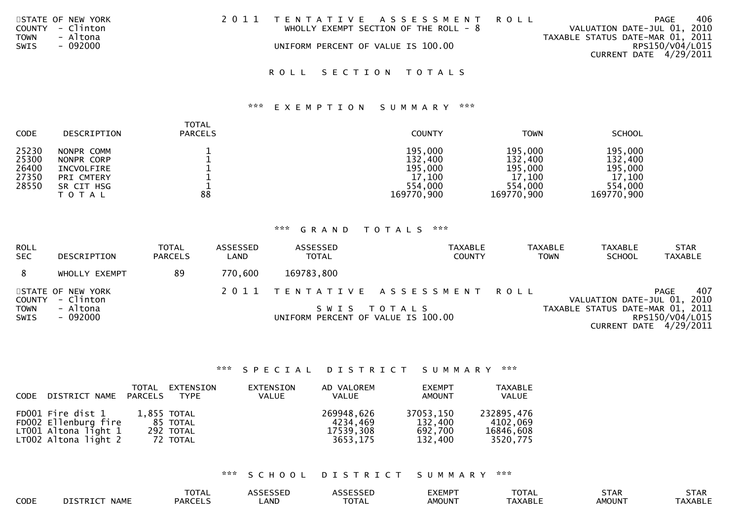| STATE OF NEW YORK       | 2011 TENTATIVE ASSESSMENT ROLL         | PAGE                             | 406 |
|-------------------------|----------------------------------------|----------------------------------|-----|
| COUNTY - Clinton        | WHOLLY EXEMPT SECTION OF THE ROLL $-8$ | VALUATION DATE-JUL 01, 2010      |     |
| - Altona<br><b>TOWN</b> |                                        | TAXABLE STATUS DATE-MAR 01, 2011 |     |
| - 092000<br>SWIS        | UNIFORM PERCENT OF VALUE IS 100.00     | RPS150/V04/L015                  |     |
|                         |                                        | CURRENT DATE 4/29/2011           |     |
|                         |                                        |                                  |     |

# ROLL SECTION TOTALS

## \*\*\* E X E M P T I O N S U M M A R Y \*\*\*

| <b>CODE</b> | DESCRIPTION | <b>TOTAL</b><br><b>PARCELS</b> | <b>COUNTY</b> | <b>TOWN</b> | <b>SCHOOL</b> |
|-------------|-------------|--------------------------------|---------------|-------------|---------------|
| 25230       | NONPR COMM  |                                | 195,000       | 195,000     | 195,000       |
| 25300       | NONPR CORP  |                                | 132,400       | 132,400     | 132,400       |
| 26400       | INCVOLFIRE  |                                | 195,000       | 195,000     | 195,000       |
| 27350       | PRI CMTERY  |                                | 17,100        | 17,100      | 17.100        |
| 28550       | SR CIT HSG  |                                | 554,000       | 554,000     | 554,000       |
|             | T O T A L   | 88                             | 169770,900    | 169770,900  | 169770,900    |

## \*\*\* G R A N D T O T A L S \*\*\*

| <b>ROLL</b><br><b>SEC</b> | DESCRIPTION                           | <b>TOTAL</b><br><b>PARCELS</b> | ASSESSED<br>LAND | ASSESSED<br><b>TOTAL</b>           | <b>TAXABLE</b><br><b>COUNTY</b> | <b>TAXABLE</b><br><b>TOWN</b> | <b>TAXABLE</b><br><b>SCHOOL</b>  | <b>STAR</b><br><b>TAXABLE</b>             |
|---------------------------|---------------------------------------|--------------------------------|------------------|------------------------------------|---------------------------------|-------------------------------|----------------------------------|-------------------------------------------|
| 8                         | WHOLLY EXEMPT                         | 89                             | 770.600          | 169783,800                         |                                 |                               |                                  |                                           |
|                           | STATE OF NEW YORK<br>COUNTY - Clinton |                                |                  |                                    | 2011 TENTATIVE ASSESSMENT ROLL  |                               | VALUATION DATE-JUL 01, 2010      | 407<br>PAGE                               |
| <b>TOWN</b><br>SWIS       | - Altona<br>- 092000                  |                                |                  | UNIFORM PERCENT OF VALUE IS 100.00 | SWIS TOTALS                     |                               | TAXABLE STATUS DATE-MAR 01, 2011 | RPS150/V04/L015<br>CURRENT DATE 4/29/2011 |

## \*\*\* S P E C I A L D I S T R I C T S U M M A R Y \*\*\*

| CODE DISTRICT NAME PARCELS                                                                | TOTAL | EXTENSION<br>TYPE                                | EXTENSION<br><b>VALUE</b> | AD VALOREM<br>VALUE                             | <b>EXEMPT</b><br>AMOUNT                    | <b>TAXABLE</b><br>VALUE                         |
|-------------------------------------------------------------------------------------------|-------|--------------------------------------------------|---------------------------|-------------------------------------------------|--------------------------------------------|-------------------------------------------------|
| FD001 Fire dist 1<br>FD002 Ellenburg fire<br>LT001 Altona light 1<br>LT002 Altona light 2 |       | 1,855 TOTAL<br>85 TOTAL<br>292 TOTAL<br>72 TOTAL |                           | 269948,626<br>4234.469<br>17539,308<br>3653.175 | 37053,150<br>132.400<br>692,700<br>132,400 | 232895,476<br>4102,069<br>16846,608<br>3520,775 |

## \*\*\* S C H O O L D I S T R I C T S U M M A R Y \*\*\*

|      |                              | <b>TOTAL</b>   | <b>ACCECCEP</b><br><b>SESSEL</b> | <b>ASSESSET</b><br>こココヒレ | EXEMP <sup>-</sup> | $-2$<br>UIAL   | <b>STAR</b>   | <b>STAR</b> |
|------|------------------------------|----------------|----------------------------------|--------------------------|--------------------|----------------|---------------|-------------|
| CODE | DTSTRTCT<br><b>NAME</b><br>. | <b>PARCELS</b> | ∟AND                             | $ -$<br>UUIAL            | <b>AMOUNT</b>      | <b>TAXABLE</b> | <b>AMOUNT</b> | TAXABLE     |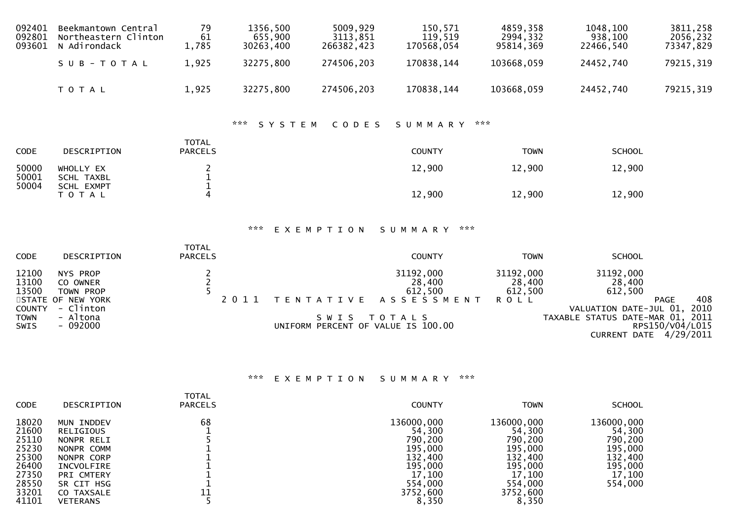| 092401<br>092801<br>093601                           | Beekmantown Central<br>Northeastern Clinton<br>N Adirondack | 79<br>61<br>1,785                                         | 1356,500<br>655,900<br>30263,400         | 5009,929<br>3113,851<br>266382,423                              | 150,571<br>119,519<br>170568,054 | 4859,358<br>2994,332<br>95814,369 | 1048,100<br>938,100<br>22466,540                      | 3811,258<br>2056,232<br>73347,829                                               |
|------------------------------------------------------|-------------------------------------------------------------|-----------------------------------------------------------|------------------------------------------|-----------------------------------------------------------------|----------------------------------|-----------------------------------|-------------------------------------------------------|---------------------------------------------------------------------------------|
|                                                      | SUB-TOTAL                                                   | 1,925                                                     | 32275,800                                | 274506,203                                                      | 170838,144                       | 103668,059                        | 24452,740                                             | 79215,319                                                                       |
|                                                      | TOTAL                                                       | 1,925                                                     | 32275,800                                | 274506,203                                                      | 170838,144                       | 103668,059                        | 24452,740                                             | 79215, 319                                                                      |
|                                                      |                                                             |                                                           | $\mathbf{x} \times \mathbf{x}$<br>SYSTEM | CODES                                                           | SUMMARY                          | $\pi \times \pi$                  |                                                       |                                                                                 |
| CODE                                                 | DESCRIPTION                                                 | <b>TOTAL</b><br><b>PARCELS</b>                            |                                          |                                                                 | <b>COUNTY</b>                    | <b>TOWN</b>                       | <b>SCHOOL</b>                                         |                                                                                 |
| 50000<br>50001<br>50004                              | WHOLLY EX<br><b>SCHL TAXBL</b><br>SCHL EXMPT                | $\begin{smallmatrix}2\\1\end{smallmatrix}$<br>$\mathbf 1$ |                                          |                                                                 | 12,900                           | 12,900                            | 12,900                                                |                                                                                 |
|                                                      | T O T A L                                                   | $\overline{\mathbf{4}}$                                   |                                          |                                                                 | 12,900                           | 12,900                            | 12,900                                                |                                                                                 |
|                                                      |                                                             |                                                           | ***                                      | EXEMPTION                                                       | ***<br>SUMMARY                   |                                   |                                                       |                                                                                 |
| CODE                                                 | DESCRIPTION                                                 | <b>TOTAL</b><br><b>PARCELS</b>                            |                                          |                                                                 | <b>COUNTY</b>                    | <b>TOWN</b>                       | <b>SCHOOL</b>                                         |                                                                                 |
| 12100<br>13100<br>13500                              | NYS PROP<br>CO OWNER<br>TOWN PROP                           | $\begin{array}{c} 2 \\ 2 \\ 5 \end{array}$                |                                          |                                                                 | 31192,000<br>28,400<br>612,500   | 31192,000<br>28,400<br>612,500    | 31192,000<br>28,400<br>612,500                        |                                                                                 |
| <b>STATE</b><br><b>COUNTY</b><br><b>TOWN</b><br>SWIS | OF NEW YORK<br>- Clinton<br>- Altona<br>$-092000$           |                                                           | 2 0 1 1                                  | T E N T A T I V E<br>SWIS<br>UNIFORM PERCENT OF VALUE IS 100.00 | ASSESSMENT<br>TOTALS             | <b>ROLL</b>                       | VALUATION DATE-JUL 01,<br>TAXABLE STATUS DATE-MAR 01, | 408<br><b>PAGE</b><br>2010<br>2011<br>RPS150/V04/L015<br>CURRENT DATE 4/29/2011 |
|                                                      |                                                             |                                                           |                                          |                                                                 |                                  |                                   |                                                       |                                                                                 |

## \*\*\* E X E M P T I O N S U M M A R Y \*\*\*

| <b>CODE</b>                                                                            | DESCRIPTION                                                                                                                                  | <b>TOTAL</b><br><b>PARCELS</b> | <b>COUNTY</b>                                                                                              | <b>TOWN</b>                                                                                                | <b>SCHOOL</b>                                                                         |
|----------------------------------------------------------------------------------------|----------------------------------------------------------------------------------------------------------------------------------------------|--------------------------------|------------------------------------------------------------------------------------------------------------|------------------------------------------------------------------------------------------------------------|---------------------------------------------------------------------------------------|
| 18020<br>21600<br>25110<br>25230<br>25300<br>26400<br>27350<br>28550<br>33201<br>41101 | MUN INDDEV<br>RELIGIOUS<br>NONPR RELI<br>NONPR COMM<br>NONPR CORP<br>INCVOLFIRE<br>PRI CMTERY<br>SR CIT HSG<br>CO TAXSALE<br><b>VETERANS</b> | 68                             | 136000,000<br>54,300<br>790,200<br>195,000<br>132,400<br>195,000<br>17,100<br>554,000<br>3752,600<br>8,350 | 136000,000<br>54,300<br>790,200<br>195,000<br>132,400<br>195,000<br>17,100<br>554,000<br>3752,600<br>8,350 | 136000,000<br>54,300<br>790,200<br>195,000<br>132,400<br>195,000<br>17,100<br>554,000 |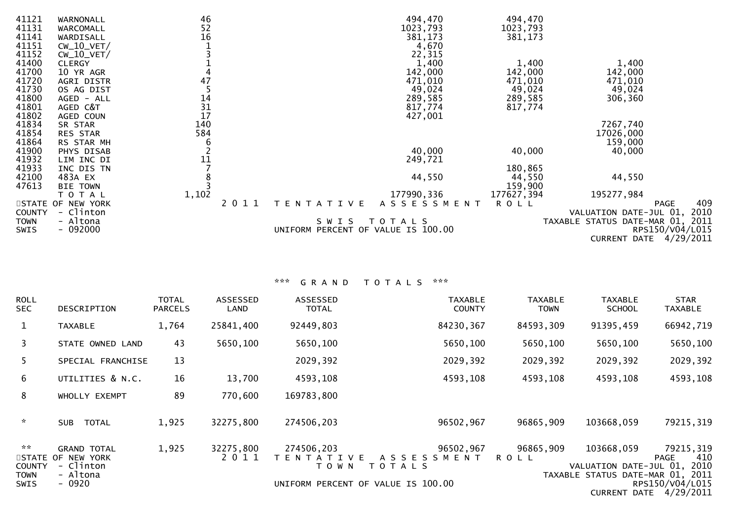| 41121<br>41131 | WARNONALL         | 46<br>52        |      |                                    | 494,470             | 494,470     |                                  |      |
|----------------|-------------------|-----------------|------|------------------------------------|---------------------|-------------|----------------------------------|------|
| 41141          | WARCOMALL         | 16              |      |                                    | 1023,793<br>381,173 | 1023,793    |                                  |      |
|                | WARDISALL         |                 |      |                                    |                     | 381,173     |                                  |      |
| 41151          | $CW_10_VET/$      |                 |      |                                    | 4,670               |             |                                  |      |
| 41152          | $CW_10_VET/$      |                 |      |                                    | 22,315              |             |                                  |      |
| 41400          | <b>CLERGY</b>     |                 |      |                                    | 1,400               | 1,400       | 1,400                            |      |
| 41700          | 10 YR AGR         |                 |      |                                    | 142,000             | 142,000     | 142,000                          |      |
| 41720          | <b>AGRI DISTR</b> | 47              |      |                                    | 471,010             | 471,010     | 471,010                          |      |
| 41730          | OS AG DIST        |                 |      |                                    | 49,024              | 49,024      | 49,024                           |      |
| 41800          | AGED - ALL        | $\frac{14}{31}$ |      |                                    | 289,585             | 289,585     | 306,360                          |      |
| 41801          | AGED C&T          |                 |      |                                    | 817,774             | 817,774     |                                  |      |
| 41802          | AGED COUN         |                 |      |                                    | 427,001             |             |                                  |      |
| 41834          | SR STAR           | 140             |      |                                    |                     |             | 7267,740                         |      |
| 41854          | RES STAR          | 584             |      |                                    |                     |             | 17026,000                        |      |
| 41864          | RS STAR MH        | 6               |      |                                    |                     |             | 159,000                          |      |
| 41900          | PHYS DISAB        |                 |      |                                    | 40,000              | 40,000      | 40,000                           |      |
| 41932          | LIM INC DI        | $\frac{11}{7}$  |      |                                    | 249,721             |             |                                  |      |
| 41933          | INC DIS TN        |                 |      |                                    |                     | 180,865     |                                  |      |
| 42100          | 483A EX           |                 |      |                                    | 44,550              | 44,550      | 44,550                           |      |
| 47613          | <b>BIE TOWN</b>   |                 |      |                                    |                     | 159,900     |                                  |      |
|                | T O T A L         | 1,102           |      |                                    | 177990,336          | 177627,394  | 195277,984                       |      |
|                | STATE OF NEW YORK |                 | 2011 | T E N T A T I V E                  | ASSESSMENT          | <b>ROLL</b> | <b>PAGE</b>                      | 409  |
| <b>COUNTY</b>  | - Clinton         |                 |      |                                    |                     |             | VALUATION DATE-JUL 01,           | 2010 |
| <b>TOWN</b>    | - Altona          |                 |      | SWIS                               | T O T A L S         |             | TAXABLE STATUS DATE-MAR 01, 2011 |      |
| <b>SWIS</b>    | $-092000$         |                 |      | UNIFORM PERCENT OF VALUE IS 100.00 |                     |             | RPS150/V04/L015                  |      |
|                |                   |                 |      |                                    |                     |             | <b>CURRENT DATE 4/29/2011</b>    |      |

## \*\*\* G R A N D T O T A L S \*\*\*

| <b>ROLL</b><br><b>SEC</b>            | <b>DESCRIPTION</b>                                   | TOTAL<br><b>PARCELS</b> | <b>ASSESSED</b><br>LAND | <b>ASSESSED</b><br><b>TOTAL</b>            | <b>TAXABLE</b><br><b>COUNTY</b>            | <b>TAXABLE</b><br><b>TOWN</b> | <b>TAXABLE</b><br><b>SCHOOL</b>           | <b>STAR</b><br><b>TAXABLE</b>             |
|--------------------------------------|------------------------------------------------------|-------------------------|-------------------------|--------------------------------------------|--------------------------------------------|-------------------------------|-------------------------------------------|-------------------------------------------|
| $\mathbf{1}$                         | <b>TAXABLE</b>                                       | 1,764                   | 25841,400               | 92449,803                                  | 84230,367                                  | 84593,309                     | 91395,459                                 | 66942,719                                 |
| 3                                    | STATE OWNED LAND                                     | 43                      | 5650,100                | 5650,100                                   | 5650,100                                   | 5650,100                      | 5650,100                                  | 5650,100                                  |
| 5.                                   | SPECIAL FRANCHISE                                    | 13                      |                         | 2029, 392                                  | 2029, 392                                  | 2029, 392                     | 2029,392                                  | 2029,392                                  |
| 6                                    | UTILITIES & N.C.                                     | 16                      | 13,700                  | 4593,108                                   | 4593,108                                   | 4593,108                      | 4593,108                                  | 4593,108                                  |
| 8                                    | WHOLLY EXEMPT                                        | 89                      | 770,600                 | 169783,800                                 |                                            |                               |                                           |                                           |
| $\mathcal{H}$                        | <b>TOTAL</b><br><b>SUB</b>                           | 1,925                   | 32275,800               | 274506,203                                 | 96502,967                                  | 96865,909                     | 103668,059                                | 79215, 319                                |
| $\mathbf{x} \times$<br><b>COUNTY</b> | <b>GRAND TOTAL</b><br>STATE OF NEW YORK<br>- Clinton | 1,925                   | 32275,800<br>2 0 1 1    | 274506,203<br>T E N T A T I V E<br>T O W N | 96502,967<br>A S S E S S M E N T<br>TOTALS | 96865,909<br><b>ROLL</b>      | 103668,059<br>VALUATION DATE-JUL 01, 2010 | 79215,319<br>410<br><b>PAGE</b>           |
| <b>TOWN</b><br><b>SWIS</b>           | - Altona<br>$-0920$                                  |                         |                         |                                            | UNIFORM PERCENT OF VALUE IS 100.00         |                               | TAXABLE STATUS DATE-MAR 01, 2011          | RPS150/V04/L015<br>CURRENT DATE 4/29/2011 |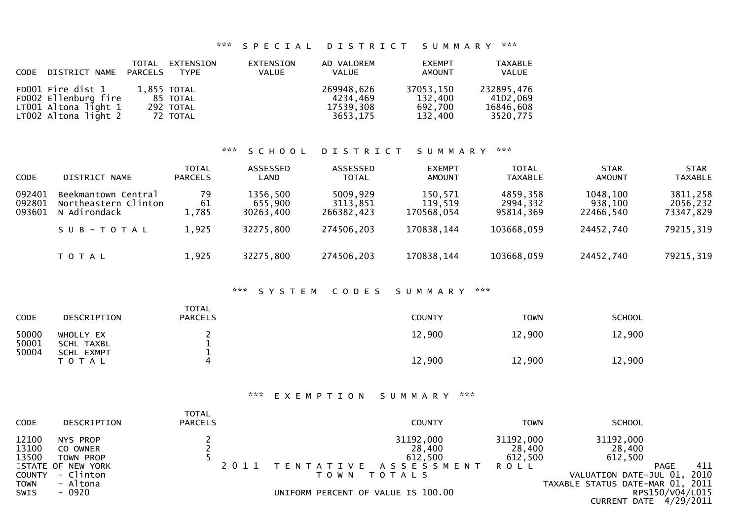#### \*\*\* S P E C I A L D I S T R I C T S U M M A R Y \*\*\*

| CODE DISTRICT NAME PARCELS                                                                |             | TOTAL EXTENSION<br><b>TYPE</b>    | EXTENSION<br>VALUE | AD VALOREM<br>VALUE                             | <b>EXEMPT</b><br>AMOUNT                    | <b>TAXABLE</b><br><b>VALUE</b>                  |
|-------------------------------------------------------------------------------------------|-------------|-----------------------------------|--------------------|-------------------------------------------------|--------------------------------------------|-------------------------------------------------|
| FD001 Fire dist 1<br>FD002 Ellenburg fire<br>LT001 Altona light 1<br>LT002 Altona light 2 | 1,855 TOTAL | 85 TOTAL<br>292 TOTAL<br>72 TOTAL |                    | 269948,626<br>4234.469<br>17539,308<br>3653.175 | 37053,150<br>132,400<br>692,700<br>132.400 | 232895,476<br>4102.069<br>16846,608<br>3520,775 |

## \*\*\* S C H O O L D I S T R I C T S U M M A R Y \*\*\*

| <b>CODE</b>                | DISTRICT NAME                                               | <b>TOTAL</b><br><b>PARCELS</b> | ASSESSED<br>LAND                 | ASSESSED<br><b>TOTAL</b>           | <b>EXEMPT</b><br><b>AMOUNT</b>   | <b>TOTAL</b><br><b>TAXABLE</b>    | <b>STAR</b><br><b>AMOUNT</b>     | <b>STAR</b><br><b>TAXABLE</b>     |
|----------------------------|-------------------------------------------------------------|--------------------------------|----------------------------------|------------------------------------|----------------------------------|-----------------------------------|----------------------------------|-----------------------------------|
| 092401<br>092801<br>093601 | Beekmantown Central<br>Northeastern Clinton<br>N Adirondack | 79<br>61<br>1,785              | 1356,500<br>655,900<br>30263,400 | 5009,929<br>3113,851<br>266382,423 | 150,571<br>119,519<br>170568.054 | 4859,358<br>2994,332<br>95814,369 | 1048,100<br>938,100<br>22466.540 | 3811,258<br>2056,232<br>73347,829 |
|                            | SUB-TOTAL                                                   | 1,925                          | 32275,800                        | 274506,203                         | 170838,144                       | 103668,059                        | 24452,740                        | 79215,319                         |
|                            | <b>TOTAL</b>                                                | 1,925                          | 32275,800                        | 274506,203                         | 170838,144                       | 103668,059                        | 24452,740                        | 79215, 319                        |

#### \*\*\* S Y S T E M C O D E S S U M M A R Y \*\*\*

| CODE           | DESCRIPTION             | <b>TOTAL</b><br><b>PARCELS</b> | <b>COUNTY</b> | <b>TOWN</b> | <b>SCHOOL</b> |
|----------------|-------------------------|--------------------------------|---------------|-------------|---------------|
| 50000<br>50001 | WHOLLY EX<br>SCHL TAXBL |                                | 12,900        | 12,900      | 12,900        |
| 50004          | SCHL EXMPT<br>TOTAL     | 4                              | 12,900        | 12,900      | 12,900        |

#### \*\*\* E X E M P T I O N S U M M A R Y \*\*\*

| <b>CODE</b>             | DESCRIPTION                       | <b>TOTAL</b><br><b>PARCELS</b> | <b>COUNTY</b>                       | <b>TOWN</b>                    | <b>SCHOOL</b>                                           |                              |
|-------------------------|-----------------------------------|--------------------------------|-------------------------------------|--------------------------------|---------------------------------------------------------|------------------------------|
| 12100<br>13100<br>13500 | NYS PROP<br>CO OWNER<br>TOWN PROP |                                | 31192,000<br>28,400<br>612,500      | 31192,000<br>28,400<br>612,500 | 31192,000<br>28,400<br>612,500                          |                              |
| <b>COUNTY</b>           | STATE OF NEW YORK<br>- Clinton    |                                | TENTATIVE ASSESSMENT<br>TOWN TOTALS | <b>ROLL</b>                    | PAGE<br>VALUATION DATE-JUL 01,                          | 411<br>2010                  |
| <b>TOWN</b><br>SWIS     | - Altona<br>- 0920                |                                | UNIFORM PERCENT OF VALUE IS 100.00  |                                | TAXABLE STATUS DATE-MAR 01, 2011<br><b>CURRENT DATE</b> | RPS150/V04/L015<br>4/29/2011 |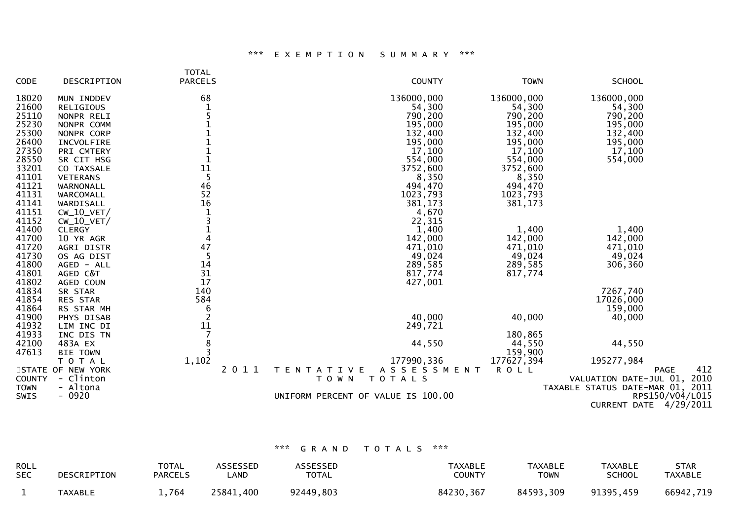# \*\*\* E X E M P T I O N S U M M A R Y \*\*\*

|               |                   | <b>TOTAL</b>         |                                          |             |                                  |
|---------------|-------------------|----------------------|------------------------------------------|-------------|----------------------------------|
| CODE          | DESCRIPTION       | <b>PARCELS</b>       | <b>COUNTY</b>                            | <b>TOWN</b> | <b>SCHOOL</b>                    |
| 18020         | MUN INDDEV        | 68                   | 136000,000                               | 136000,000  | 136000,000                       |
| 21600         | <b>RELIGIOUS</b>  | $\mathbf{1}$         | 54,300                                   | 54,300      | 54,300                           |
| 25110         | NONPR RELI        |                      | 790,200                                  | 790,200     | 790,200                          |
| 25230         | NONPR COMM        |                      | 195,000                                  | 195,000     | 195,000                          |
| 25300         | NONPR CORP        |                      | 132,400                                  | 132,400     | 132,400                          |
| 26400         | INCVOLFIRE        |                      | 195,000                                  | 195,000     | 195,000                          |
| 27350         | PRI CMTERY        | $\mathbf{1}$         | 17,100                                   | 17,100      | 17,100                           |
| 28550         | SR CIT HSG        | $\mathbf{1}$         | 554,000                                  | 554,000     | 554,000                          |
| 33201         | CO TAXSALE        |                      | 3752,600                                 | 3752,600    |                                  |
| 41101         | <b>VETERANS</b>   | $\frac{1\bar{1}}{5}$ | 8,350                                    | 8,350       |                                  |
| 41121         | WARNONALL         | 46                   | 494,470                                  | 494,470     |                                  |
| 41131         | WARCOMALL         | 52                   | 1023,793                                 | 1023,793    |                                  |
| 41141         | WARDISALL         | 16                   | 381,173                                  | 381,173     |                                  |
| 41151         | $CW_10_VET/$      | $\mathbf{1}$         | 4,670                                    |             |                                  |
| 41152         | $CW_10_VET/$      | $\overline{3}$       | 22,315                                   |             |                                  |
| 41400         | <b>CLERGY</b>     | $\mathbf{1}$         | 1,400                                    | 1,400       | 1,400                            |
| 41700         | 10 YR AGR         | $\overline{4}$       | 142,000                                  | 142,000     | 142,000                          |
| 41720         | AGRI DISTR        | 47                   | 471,010                                  | 471,010     | 471,010                          |
| 41730         | OS AG DIST        | 5                    | 49,024                                   | 49,024      | 49,024                           |
| 41800         | AGED - ALL        | 14                   | 289,585                                  | 289,585     | 306,360                          |
| 41801         | AGED C&T          | 31                   | 817,774                                  | 817,774     |                                  |
| 41802         | AGED COUN         | 17                   | 427,001                                  |             |                                  |
| 41834         | SR STAR           | 140                  |                                          |             | 7267,740                         |
| 41854         | RES STAR          | 584                  |                                          |             | 17026,000                        |
| 41864         | RS STAR MH        | 6                    |                                          |             | 159,000                          |
| 41900         | PHYS DISAB        | $\overline{2}$       | 40,000                                   | 40,000      | 40,000                           |
| 41932         | LIM INC DI        |                      | 249,721                                  |             |                                  |
| 41933         | INC DIS TN        | $\frac{11}{7}$       |                                          | 180,865     |                                  |
| 42100         | 483A EX           | 8                    | 44,550                                   | 44,550      | 44,550                           |
| 47613         | <b>BIE TOWN</b>   | $\overline{3}$       |                                          | 159,900     |                                  |
|               | T O T A L         | 1,102                | 177990,336                               | 177627,394  | 195277,984                       |
|               | STATE OF NEW YORK | 2011                 | A S S E S S M E N T<br>T E N T A T I V E | <b>ROLL</b> | 412<br><b>PAGE</b>               |
| <b>COUNTY</b> | - Clinton         |                      | TOTALS<br>T O W N                        |             | VALUATION DATE-JUL 01, 2010      |
| <b>TOWN</b>   | - Altona          |                      |                                          |             | TAXABLE STATUS DATE-MAR 01, 2011 |
| SWIS          | $-0920$           |                      | UNIFORM PERCENT OF VALUE IS 100.00       |             | RPS150/V04/L015                  |
|               |                   |                      |                                          |             | <b>CURRENT DATE 4/29/2011</b>    |
|               |                   |                      |                                          |             |                                  |

# \*\*\* G R A N D T O T A L S \*\*\*

| <b>ROLL</b> | DESCRIPTION    | TOTAL          | <b>ASSESSED</b> | <b>ASSESSED</b> | <b>TAXABLE</b> | <b>TAXABLE</b> | <b>TAXABLE</b> | STAR           |
|-------------|----------------|----------------|-----------------|-----------------|----------------|----------------|----------------|----------------|
| <b>SEC</b>  |                | <b>PARCELS</b> | _AND            | <b>TOTAL</b>    | <b>COUNTY</b>  | TOWN           | <b>SCHOOL</b>  | <b>TAXABLE</b> |
|             | <b>TAXABLE</b> | .,764          | 25841,400       | 92449,803       | 84230,367      | 84593,309      | 91395,459      | 66942,719      |